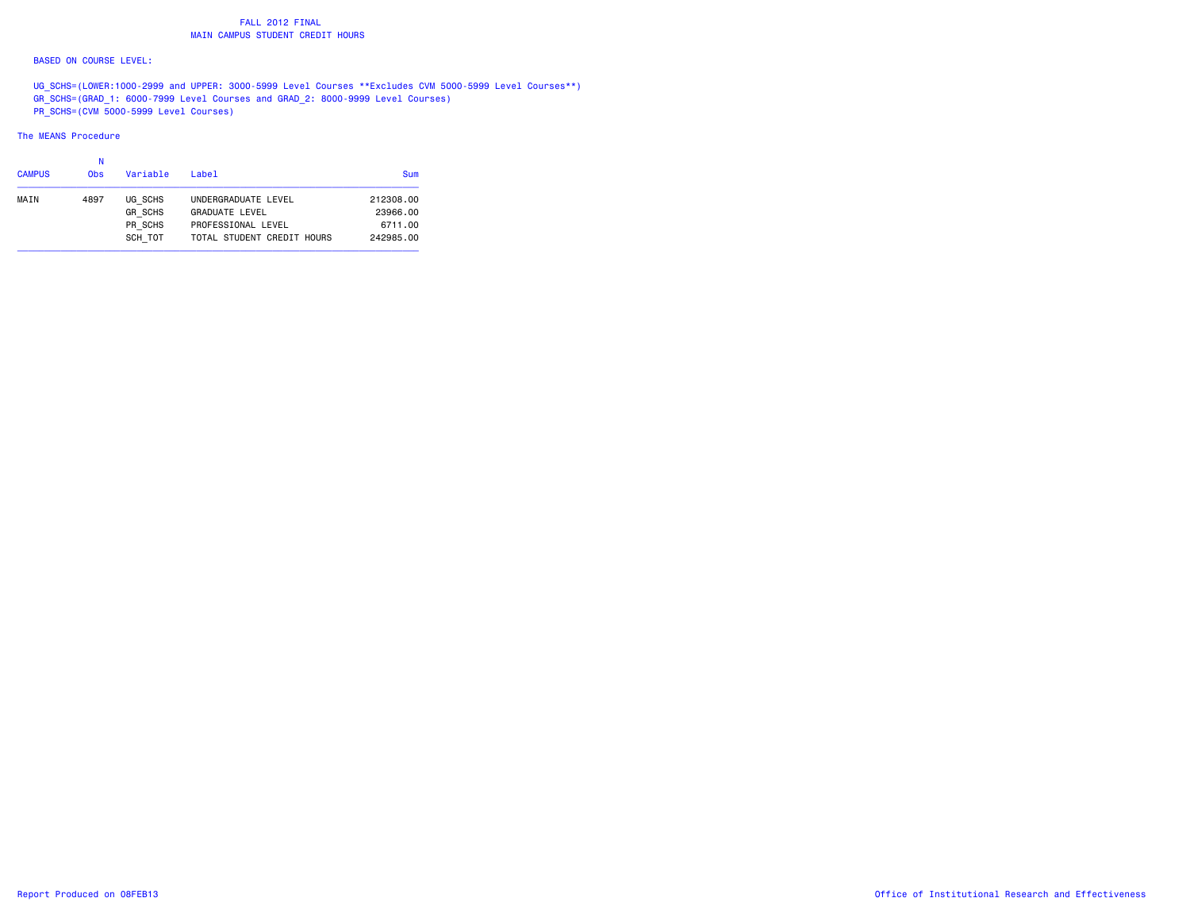### FALL 2012 FINAL**MAIN CAMPUS STUDENT CREDIT HOURS**

### BASED ON COURSE LEVEL:

UG SCHS=(LOWER:1000-2999 and UPPER: 3000-5999 Level Courses \*\*Excludes CVM 5000-5999 Level Courses\*\*) GR\_SCHS=(GRAD\_1: 6000-7999 Level Courses and GRAD\_2: 8000-9999 Level Courses) PR\_SCHS=(CVM 5000-5999 Level Courses)

### The MEANS Procedure

| <b>CAMPUS</b> | 0bs  | Variable                                        | Label                                                                                            | Sum                                           |
|---------------|------|-------------------------------------------------|--------------------------------------------------------------------------------------------------|-----------------------------------------------|
| MAIN          | 4897 | UG SCHS<br><b>GR SCHS</b><br>PR SCHS<br>SCH TOT | UNDERGRADUATE LEVEL<br><b>GRADUATE LEVEL</b><br>PROFESSIONAL LEVEL<br>TOTAL STUDENT CREDIT HOURS | 212308.00<br>23966.00<br>6711.00<br>242985.00 |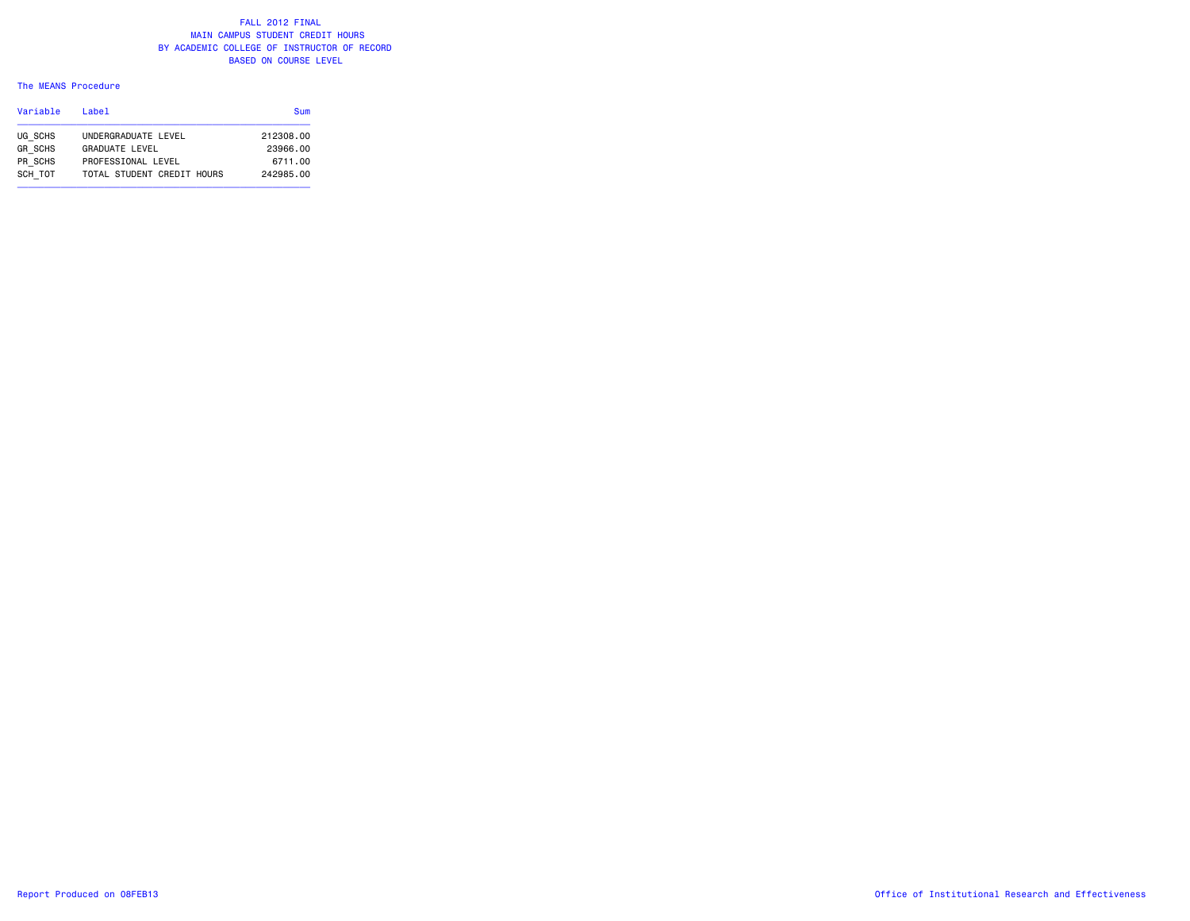### The MEANS Procedure

| Variable       | l ahel                     | Sum       |
|----------------|----------------------------|-----------|
| UG SCHS        | UNDERGRADUATE LEVEL        | 212308.00 |
| <b>GR SCHS</b> | <b>GRADUATE LEVEL</b>      | 23966.00  |
| PR SCHS        | PROFESSIONAL LEVEL         | 6711.00   |
| SCH TOT        | TOTAL STUDENT CREDIT HOURS | 242985.00 |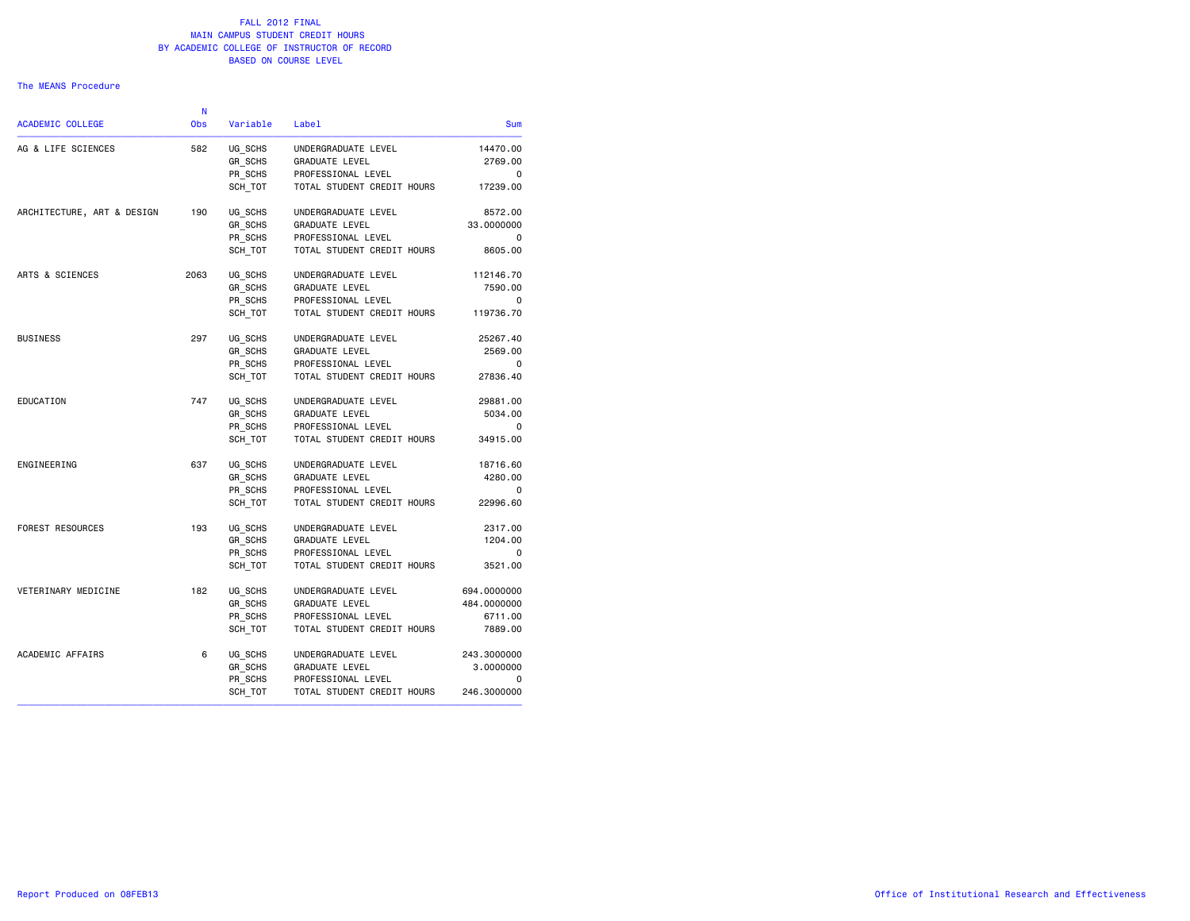#### The MEANS Procedure

| Sum                 | Label                      | Variable | <b>Obs</b> | <b>ACADEMIC COLLEGE</b>    |
|---------------------|----------------------------|----------|------------|----------------------------|
| 14470.00<br>2769.00 |                            |          |            |                            |
|                     | UNDERGRADUATE LEVEL        | UG_SCHS  | 582        | AG & LIFE SCIENCES         |
|                     | <b>GRADUATE LEVEL</b>      | GR SCHS  |            |                            |
| 0                   | PROFESSIONAL LEVEL         | PR SCHS  |            |                            |
| 17239.00            | TOTAL STUDENT CREDIT HOURS | SCH TOT  |            |                            |
| 8572.00             | UNDERGRADUATE LEVEL        | UG SCHS  | 190        | ARCHITECTURE, ART & DESIGN |
| 33.0000000          | <b>GRADUATE LEVEL</b>      | GR SCHS  |            |                            |
| 0                   | PROFESSIONAL LEVEL         | PR SCHS  |            |                            |
| 8605.00             | TOTAL STUDENT CREDIT HOURS | SCH TOT  |            |                            |
| 112146.70           | UNDERGRADUATE LEVEL        | UG SCHS  | 2063       | ARTS & SCIENCES            |
| 7590.00             | GRADUATE LEVEL             | GR SCHS  |            |                            |
| 0                   | PROFESSIONAL LEVEL         | PR SCHS  |            |                            |
| 119736.70           | TOTAL STUDENT CREDIT HOURS | SCH TOT  |            |                            |
| 25267.40            | UNDERGRADUATE LEVEL        | UG SCHS  | 297        | <b>BUSINESS</b>            |
| 2569.00             | <b>GRADUATE LEVEL</b>      | GR_SCHS  |            |                            |
| $\Omega$            | PROFESSIONAL LEVEL         | PR SCHS  |            |                            |
| 27836.40            | TOTAL STUDENT CREDIT HOURS | SCH TOT  |            |                            |
| 29881.00            | UNDERGRADUATE LEVEL        | UG SCHS  | 747        | EDUCATION                  |
| 5034.00             | <b>GRADUATE LEVEL</b>      | GR SCHS  |            |                            |
| 0                   | PROFESSIONAL LEVEL         | PR SCHS  |            |                            |
| 34915.00            | TOTAL STUDENT CREDIT HOURS | SCH TOT  |            |                            |
| 18716.60            | UNDERGRADUATE LEVEL        | UG SCHS  | 637        | ENGINEERING                |
| 4280.00             | <b>GRADUATE LEVEL</b>      | GR SCHS  |            |                            |
| 0                   | PROFESSIONAL LEVEL         | PR_SCHS  |            |                            |
| 22996.60            | TOTAL STUDENT CREDIT HOURS | SCH_TOT  |            |                            |
| 2317.00             | UNDERGRADUATE LEVEL        | UG SCHS  | 193        | FOREST RESOURCES           |
| 1204.00             | GRADUATE LEVEL             | GR SCHS  |            |                            |
| 0                   | PROFESSIONAL LEVEL         | PR SCHS  |            |                            |
| 3521.00             | TOTAL STUDENT CREDIT HOURS | SCH TOT  |            |                            |
| 694.0000000         | UNDERGRADUATE LEVEL        | UG SCHS  | 182        | VETERINARY MEDICINE        |
| 484.0000000         | GRADUATE LEVEL             | GR SCHS  |            |                            |
| 6711.00             | PROFESSIONAL LEVEL         | PR SCHS  |            |                            |
| 7889.00             | TOTAL STUDENT CREDIT HOURS | SCH TOT  |            |                            |
| 243.3000000         | UNDERGRADUATE LEVEL        | UG SCHS  | 6          | ACADEMIC AFFAIRS           |
| 3.0000000           | GRADUATE LEVEL             | GR_SCHS  |            |                            |
| 0                   | PROFESSIONAL LEVEL         | PR SCHS  |            |                            |
| 246.3000000         | TOTAL STUDENT CREDIT HOURS | SCH_TOT  |            |                            |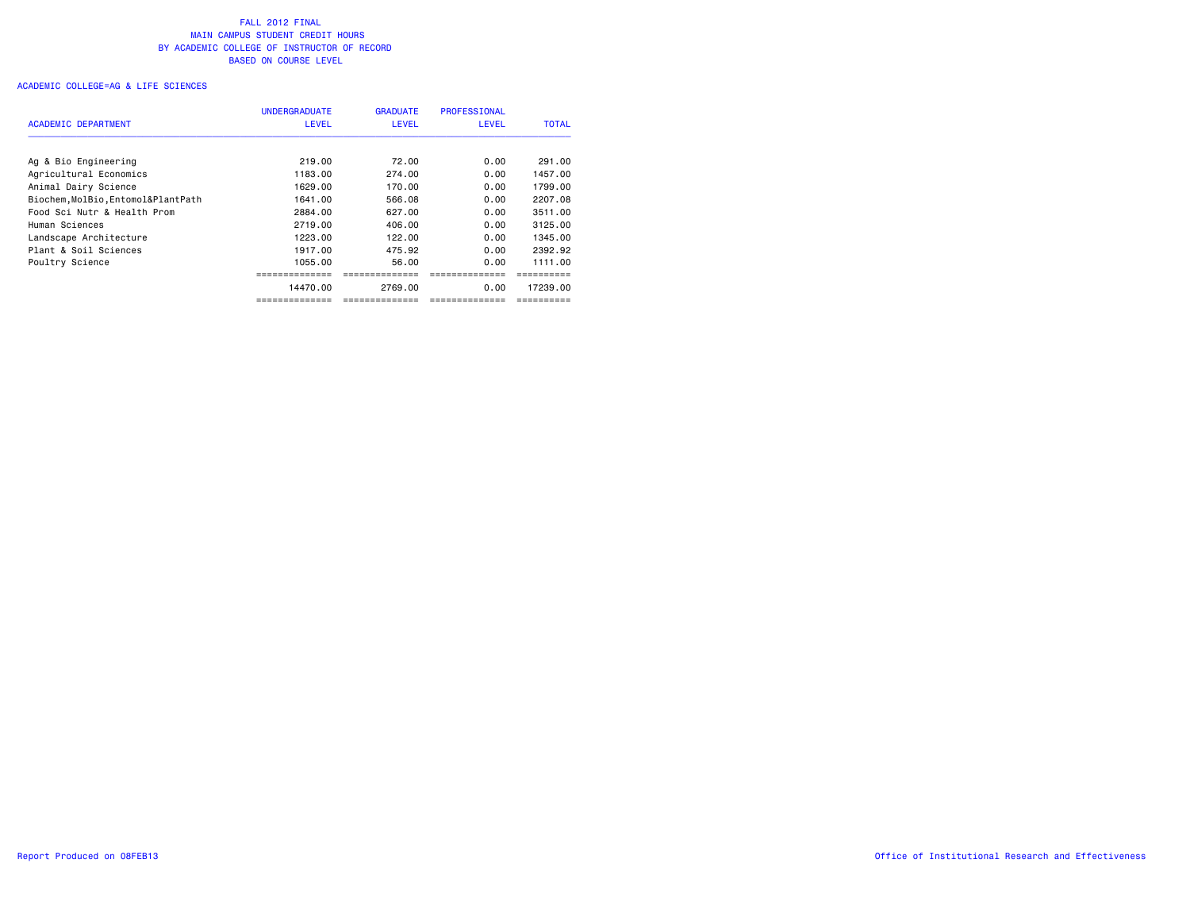|                                    | <b>UNDERGRADUATE</b> | <b>GRADUATE</b> | <b>PROFESSIONAL</b> |              |
|------------------------------------|----------------------|-----------------|---------------------|--------------|
| ACADEMIC DEPARTMENT                | <b>LEVEL</b>         | <b>LEVEL</b>    | <b>LEVEL</b>        | <b>TOTAL</b> |
|                                    |                      |                 |                     |              |
| Ag & Bio Engineering               | 219.00               | 72.00           | 0.00                | 291.00       |
| Agricultural Economics             | 1183.00              | 274.00          | 0.00                | 1457.00      |
| Animal Dairy Science               | 1629.00              | 170.00          | 0.00                | 1799.00      |
| Biochem, MolBio, Entomol&PlantPath | 1641.00              | 566.08          | 0.00                | 2207.08      |
| Food Sci Nutr & Health Prom        | 2884.00              | 627.00          | 0.00                | 3511.00      |
| Human Sciences                     | 2719.00              | 406.00          | 0.00                | 3125.00      |
| Landscape Architecture             | 1223.00              | 122.00          | 0.00                | 1345.00      |
| Plant & Soil Sciences              | 1917.00              | 475.92          | 0.00                | 2392.92      |
| Poultry Science                    | 1055.00              | 56.00           | 0.00                | 1111.00      |
|                                    |                      |                 |                     |              |
|                                    | 14470.00             | 2769.00         | 0.00                | 17239.00     |
|                                    |                      |                 |                     |              |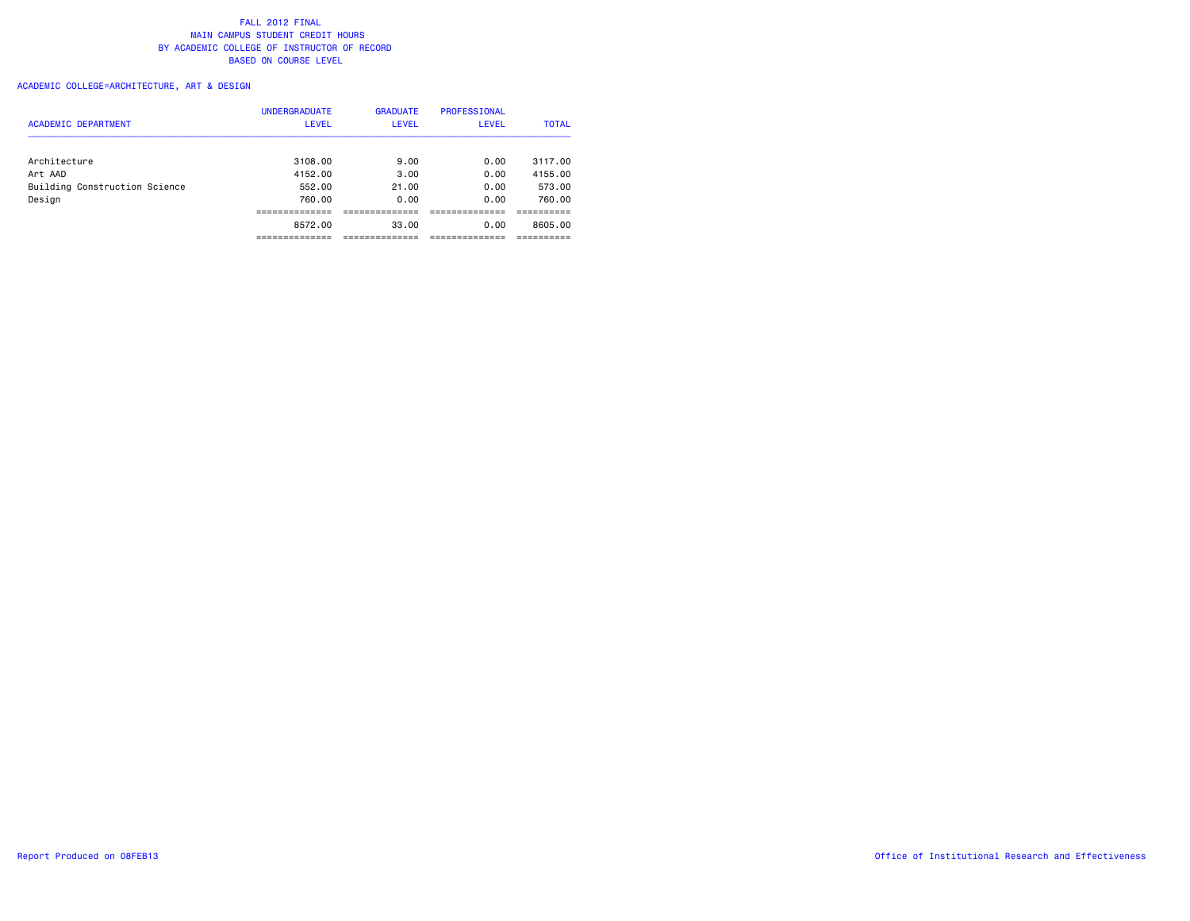# ACADEMIC COLLEGE=ARCHITECTURE, ART & DESIGN

| <b>ACADEMIC DEPARTMENT</b>    | <b>UNDERGRADUATE</b><br><b>LEVEL</b> | <b>GRADUATE</b><br><b>LEVEL</b> | <b>PROFESSIONAL</b><br><b>LEVEL</b> | <b>TOTAL</b> |
|-------------------------------|--------------------------------------|---------------------------------|-------------------------------------|--------------|
| Architecture                  | 3108.00                              | 9.00                            | 0.00                                | 3117.00      |
| Art AAD                       | 4152.00                              | 3.00                            | 0.00                                | 4155.00      |
| Building Construction Science | 552.00                               | 21.00                           | 0.00                                | 573.00       |
| Design                        | 760.00                               | 0.00                            | 0.00                                | 760.00       |
|                               |                                      |                                 |                                     |              |
|                               | 8572.00                              | 33.00                           | 0.00                                | 8605.00      |
|                               |                                      |                                 |                                     |              |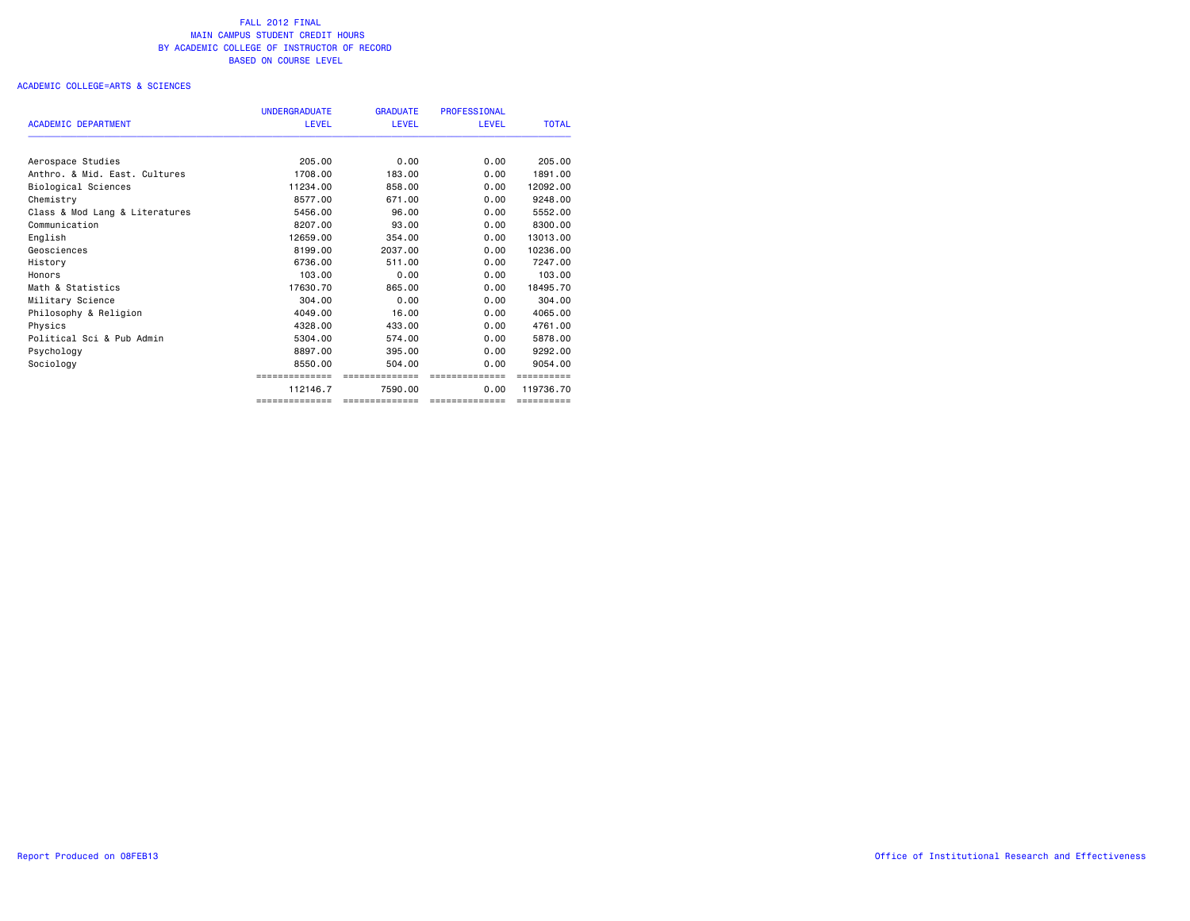### ACADEMIC COLLEGE=ARTS & SCIENCES

|                                | <b>UNDERGRADUATE</b> | <b>GRADUATE</b> | <b>PROFESSIONAL</b> |              |
|--------------------------------|----------------------|-----------------|---------------------|--------------|
| <b>ACADEMIC DEPARTMENT</b>     | <b>LEVEL</b>         | <b>LEVEL</b>    | <b>LEVEL</b>        | <b>TOTAL</b> |
| Aerospace Studies              | 205,00               | 0.00            | 0.00                | 205,00       |
| Anthro, & Mid. East, Cultures  | 1708.00              | 183.00          | 0.00                | 1891.00      |
| Biological Sciences            | 11234.00             | 858,00          | 0.00                | 12092.00     |
| Chemistry                      | 8577.00              | 671.00          | 0.00                | 9248.00      |
| Class & Mod Lang & Literatures | 5456.00              | 96.00           | 0.00                | 5552.00      |
| Communication                  | 8207.00              | 93,00           | 0.00                | 8300,00      |
| English                        | 12659.00             | 354.00          | 0.00                | 13013,00     |
| Geosciences                    | 8199.00              | 2037.00         | 0.00                | 10236.00     |
| History                        | 6736.00              | 511.00          | 0.00                | 7247.00      |
| Honors                         | 103.00               | 0.00            | 0.00                | 103,00       |
| Math & Statistics              | 17630.70             | 865,00          | 0.00                | 18495.70     |
| Military Science               | 304.00               | 0.00            | 0.00                | 304.00       |
| Philosophy & Religion          | 4049.00              | 16.00           | 0.00                | 4065,00      |
| Physics                        | 4328.00              | 433,00          | 0.00                | 4761.00      |
| Political Sci & Pub Admin      | 5304.00              | 574.00          | 0.00                | 5878.00      |
| Psychology                     | 8897.00              | 395,00          | 0.00                | 9292.00      |
| Sociology                      | 8550.00              | 504.00          | 0.00                | 9054.00      |
|                                | ==============       | =============   | ==============      | ==========   |
|                                | 112146.7             | 7590.00         | 0.00                | 119736.70    |
|                                | ==============       | ==============  | ==============      | ==========   |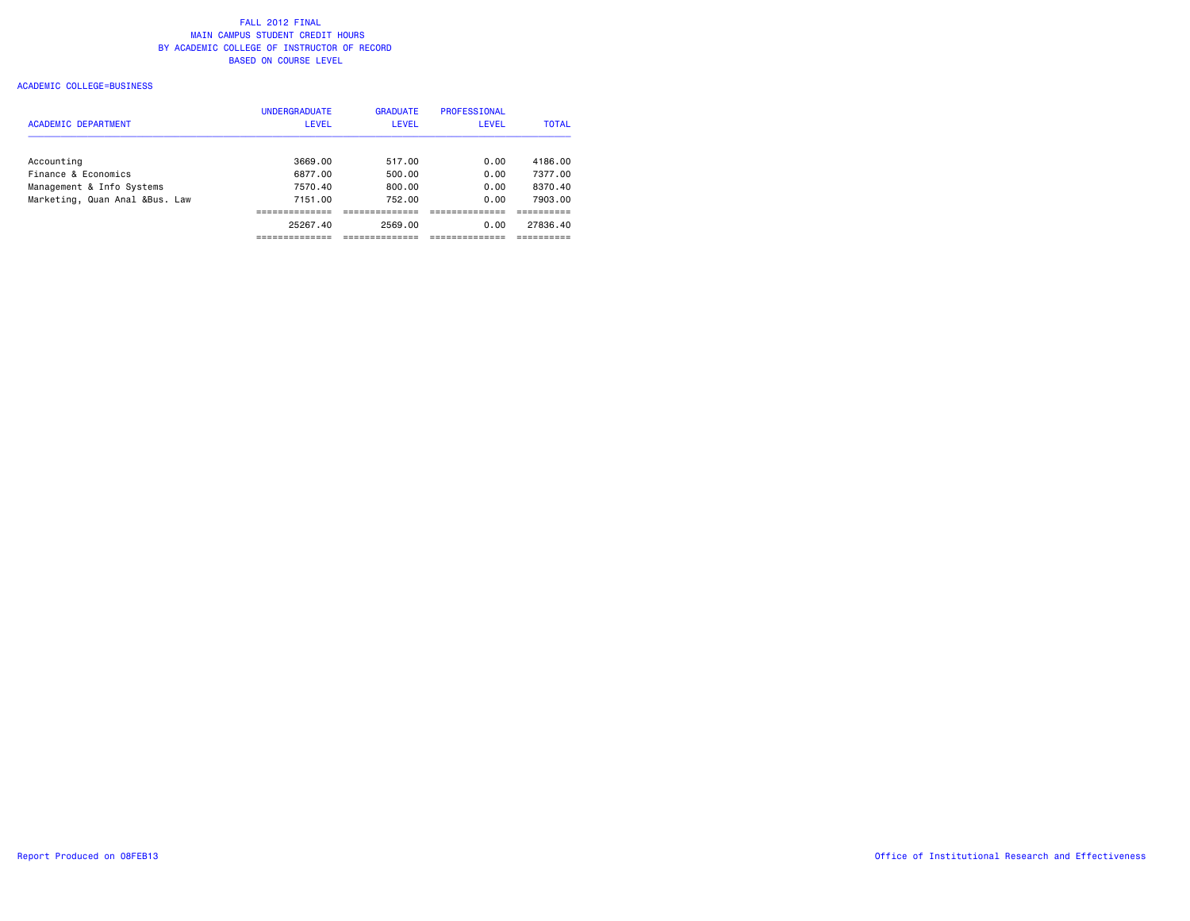### ACADEMIC COLLEGE=BUSINESS

|                                | <b>UNDERGRADUATE</b> | <b>GRADUATE</b> | PROFESSIONAL |              |
|--------------------------------|----------------------|-----------------|--------------|--------------|
| <b>ACADEMIC DEPARTMENT</b>     | <b>LEVEL</b>         | <b>LEVEL</b>    | <b>LEVEL</b> | <b>TOTAL</b> |
| Accounting                     | 3669.00              | 517.00          | 0.00         | 4186.00      |
| Finance & Economics            | 6877.00              | 500.00          | 0.00         | 7377.00      |
| Management & Info Systems      | 7570.40              | 800.00          | 0.00         | 8370.40      |
| Marketing, Quan Anal &Bus. Law | 7151.00              | 752.00          | 0.00         | 7903.00      |
|                                |                      |                 |              |              |
|                                | 25267.40             | 2569.00         | 0.00         | 27836.40     |
|                                |                      |                 |              |              |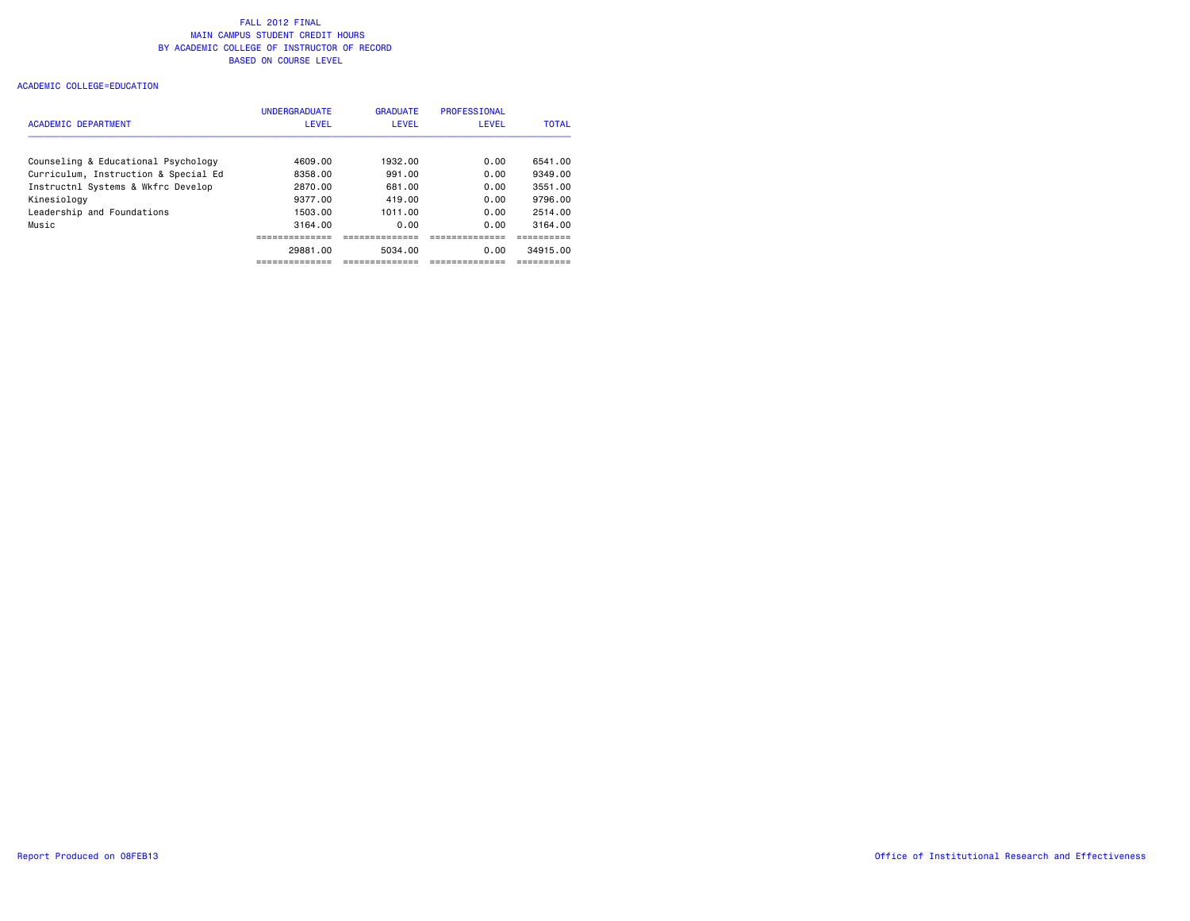### ACADEMIC COLLEGE=EDUCATION

| <b>ACADEMIC DEPARTMENT</b>           | <b>UNDERGRADUATE</b><br><b>LEVEL</b> | <b>GRADUATE</b><br><b>LEVEL</b> | <b>PROFESSIONAL</b><br>LEVEL | <b>TOTAL</b> |
|--------------------------------------|--------------------------------------|---------------------------------|------------------------------|--------------|
| Counseling & Educational Psychology  | 4609.00                              | 1932.00                         | 0.00                         | 6541.00      |
| Curriculum, Instruction & Special Ed | 8358.00                              | 991.00                          | 0.00                         | 9349.00      |
| Instructnl Systems & Wkfrc Develop   | 2870.00                              | 681.00                          | 0.00                         | 3551.00      |
| Kinesiology                          | 9377.00                              | 419.00                          | 0.00                         | 9796.00      |
| Leadership and Foundations           | 1503.00                              | 1011.00                         | 0.00                         | 2514.00      |
| Music                                | 3164.00                              | 0.00                            | 0.00                         | 3164.00      |
|                                      |                                      |                                 |                              |              |
|                                      | 29881.00                             | 5034.00                         | 0.00                         | 34915.00     |
|                                      |                                      |                                 |                              |              |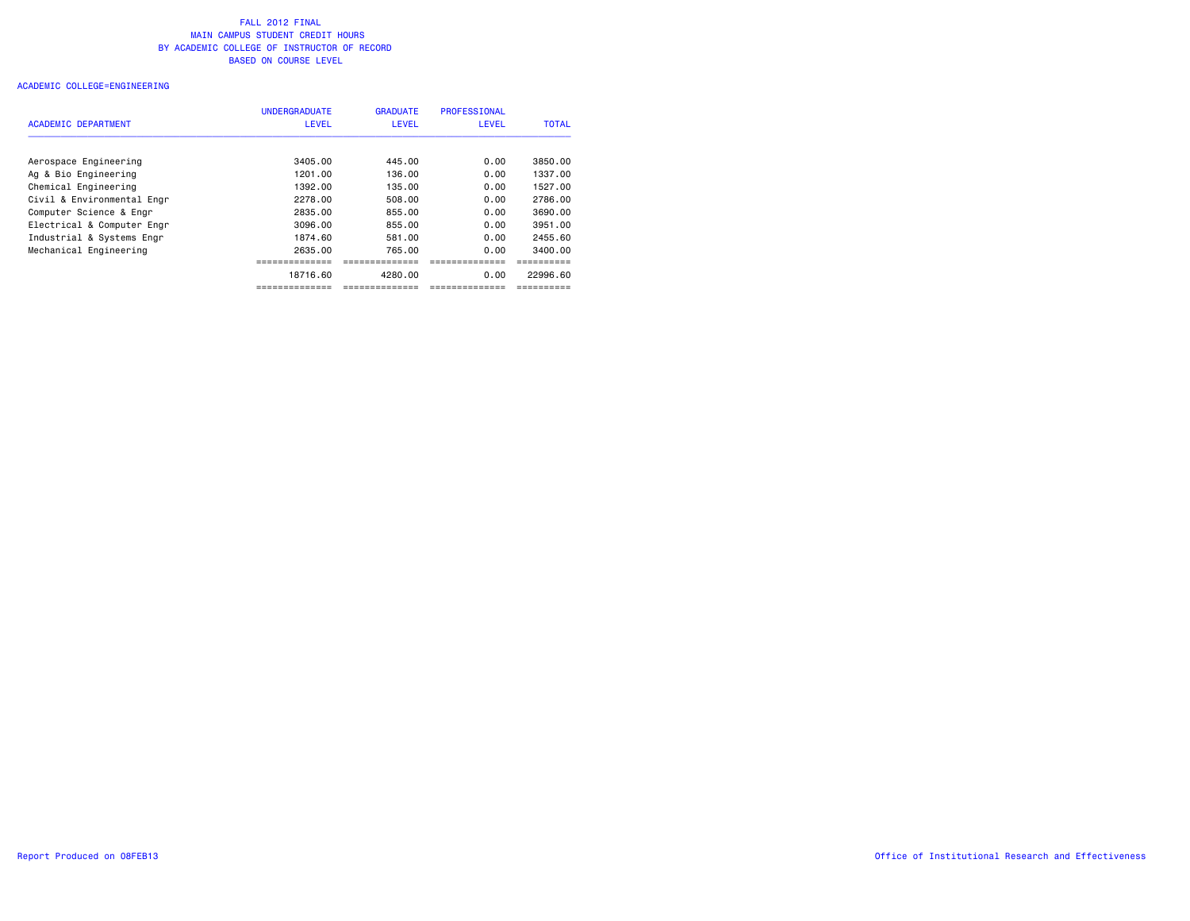#### ACADEMIC COLLEGE=ENGINEERING

|                            | <b>UNDERGRADUATE</b> | <b>GRADUATE</b> | PROFESSIONAL |              |
|----------------------------|----------------------|-----------------|--------------|--------------|
| <b>ACADEMIC DEPARTMENT</b> | <b>LEVEL</b>         | LEVEL           | LEVEL        | <b>TOTAL</b> |
|                            |                      |                 |              |              |
| Aerospace Engineering      | 3405.00              | 445.00          | 0.00         | 3850.00      |
| Ag & Bio Engineering       | 1201.00              | 136.00          | 0.00         | 1337.00      |
| Chemical Engineering       | 1392.00              | 135.00          | 0.00         | 1527.00      |
| Civil & Environmental Engr | 2278.00              | 508.00          | 0.00         | 2786.00      |
| Computer Science & Engr    | 2835.00              | 855.00          | 0.00         | 3690.00      |
| Electrical & Computer Engr | 3096.00              | 855.00          | 0.00         | 3951.00      |
| Industrial & Systems Engr  | 1874.60              | 581.00          | 0.00         | 2455.60      |
| Mechanical Engineering     | 2635.00              | 765.00          | 0.00         | 3400.00      |
|                            |                      |                 |              |              |
|                            | 18716.60             | 4280.00         | 0.00         | 22996.60     |
|                            |                      |                 |              |              |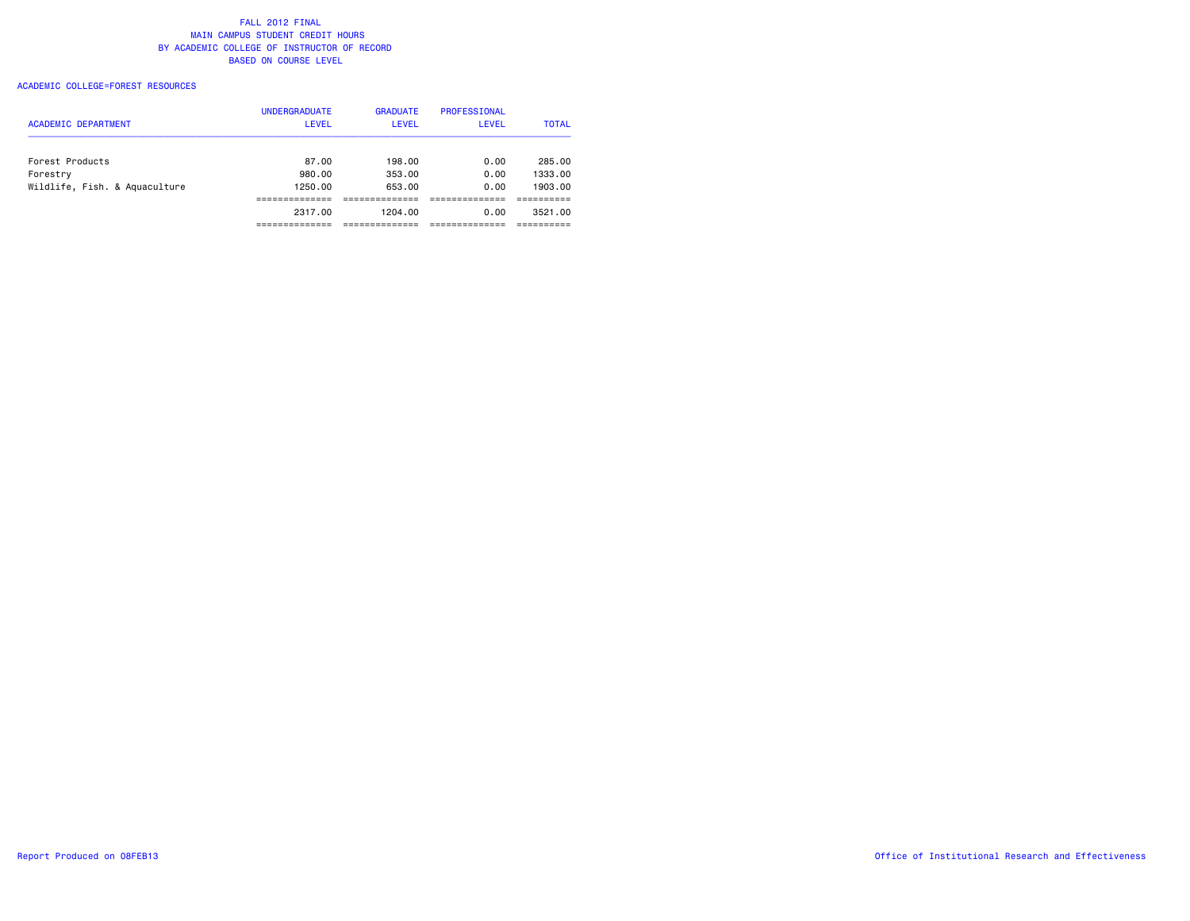### ACADEMIC COLLEGE=FOREST RESOURCES

| <b>ACADEMIC DEPARTMENT</b>    | <b>UNDERGRADUATE</b><br><b>LEVEL</b> | <b>GRADUATE</b><br>LEVEL | PROFESSIONAL<br>LEVEL | <b>TOTAL</b> |
|-------------------------------|--------------------------------------|--------------------------|-----------------------|--------------|
| Forest Products               | 87.00                                | 198.00                   | 0.00                  | 285.00       |
| Forestry                      | 980.00                               | 353.00                   | 0.00                  | 1333.00      |
| Wildlife, Fish. & Aquaculture | 1250.00                              | 653.00                   | 0.00                  | 1903.00      |
|                               |                                      |                          |                       |              |
|                               | 2317.00                              | 1204.00                  | 0.00                  | 3521.00      |
|                               |                                      |                          |                       |              |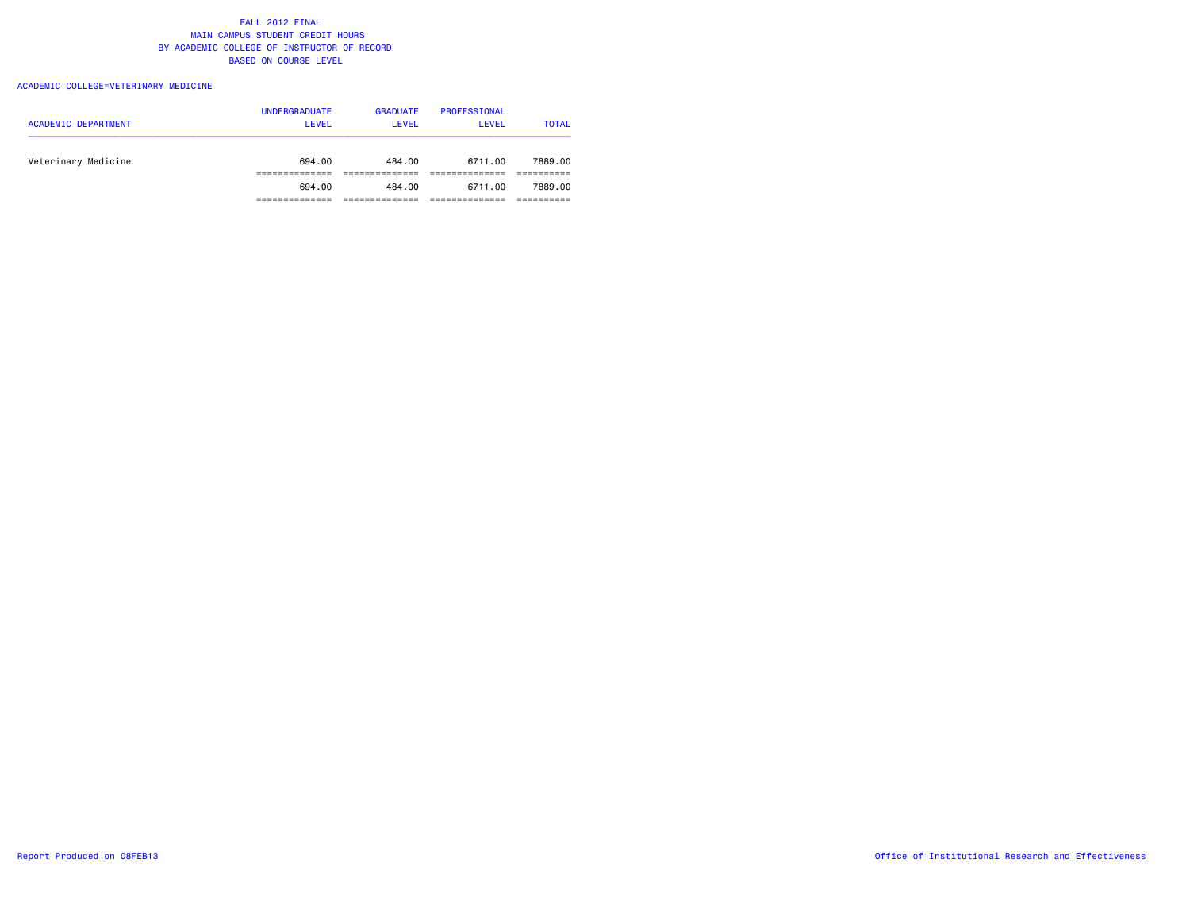### ACADEMIC COLLEGE=VETERINARY MEDICINE

| <b>ACADEMIC DEPARTMENT</b> | <b>UNDERGRADUATE</b><br>LEVEL | <b>GRADUATE</b><br><b>LEVEL</b> | PROFESSIONAL<br>LEVEL | <b>TOTAL</b> |
|----------------------------|-------------------------------|---------------------------------|-----------------------|--------------|
| Veterinary Medicine        | 694.00                        | 484.00                          | 6711.00               | 7889.00      |
|                            | 694.00                        | 484.00                          | 6711.00               | 7889.00      |
|                            |                               |                                 |                       |              |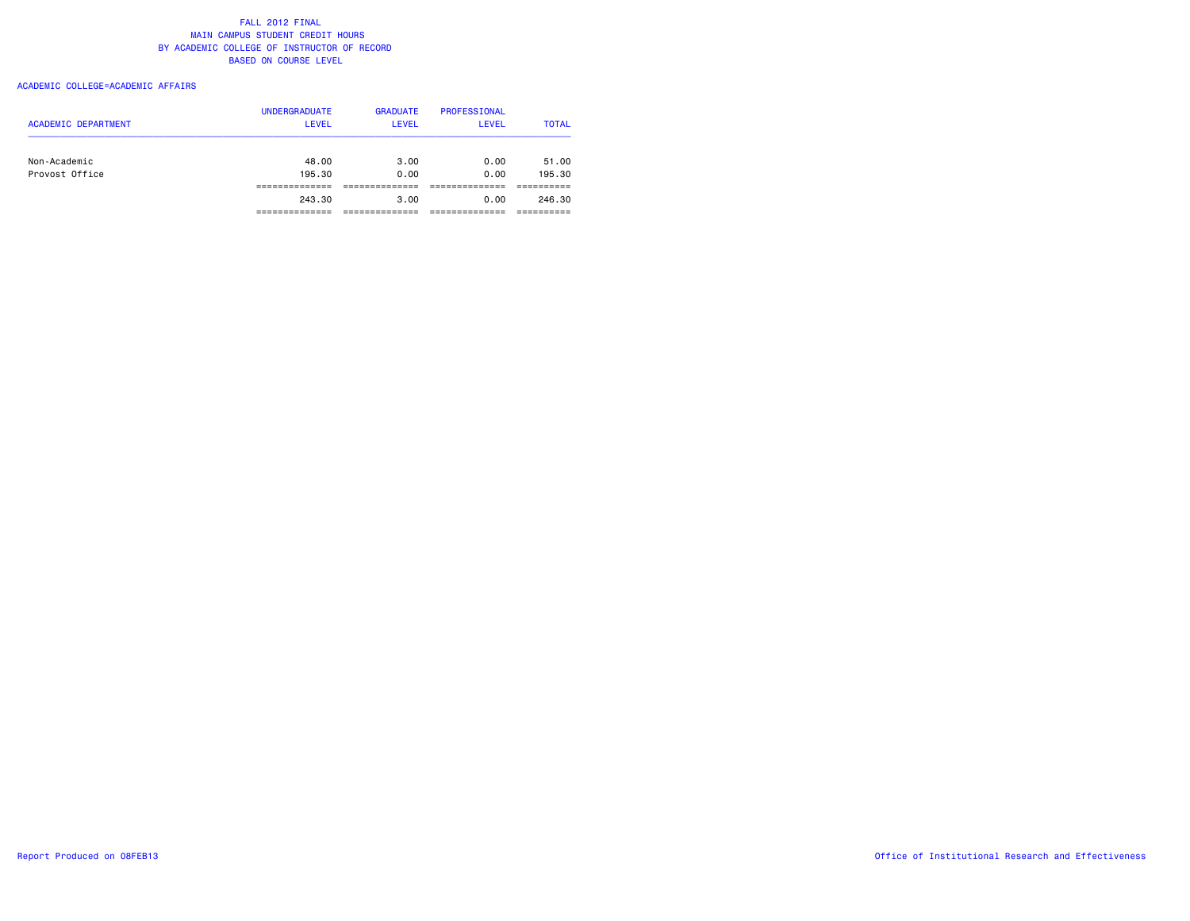### ACADEMIC COLLEGE=ACADEMIC AFFAIRS

| <b>ACADEMIC DEPARTMENT</b>     | <b>UNDERGRADUATE</b><br><b>LEVEL</b> | <b>GRADUATE</b><br><b>LEVEL</b> | PROFESSIONAL<br><b>LEVEL</b> | <b>TOTAL</b>    |
|--------------------------------|--------------------------------------|---------------------------------|------------------------------|-----------------|
| Non-Academic<br>Provost Office | 48.00<br>195.30                      | 3.00<br>0.00                    | 0.00<br>0.00                 | 51.00<br>195.30 |
|                                |                                      |                                 |                              |                 |
|                                | 243.30                               | 3.00                            | 0.00                         | 246.30          |
|                                |                                      |                                 |                              |                 |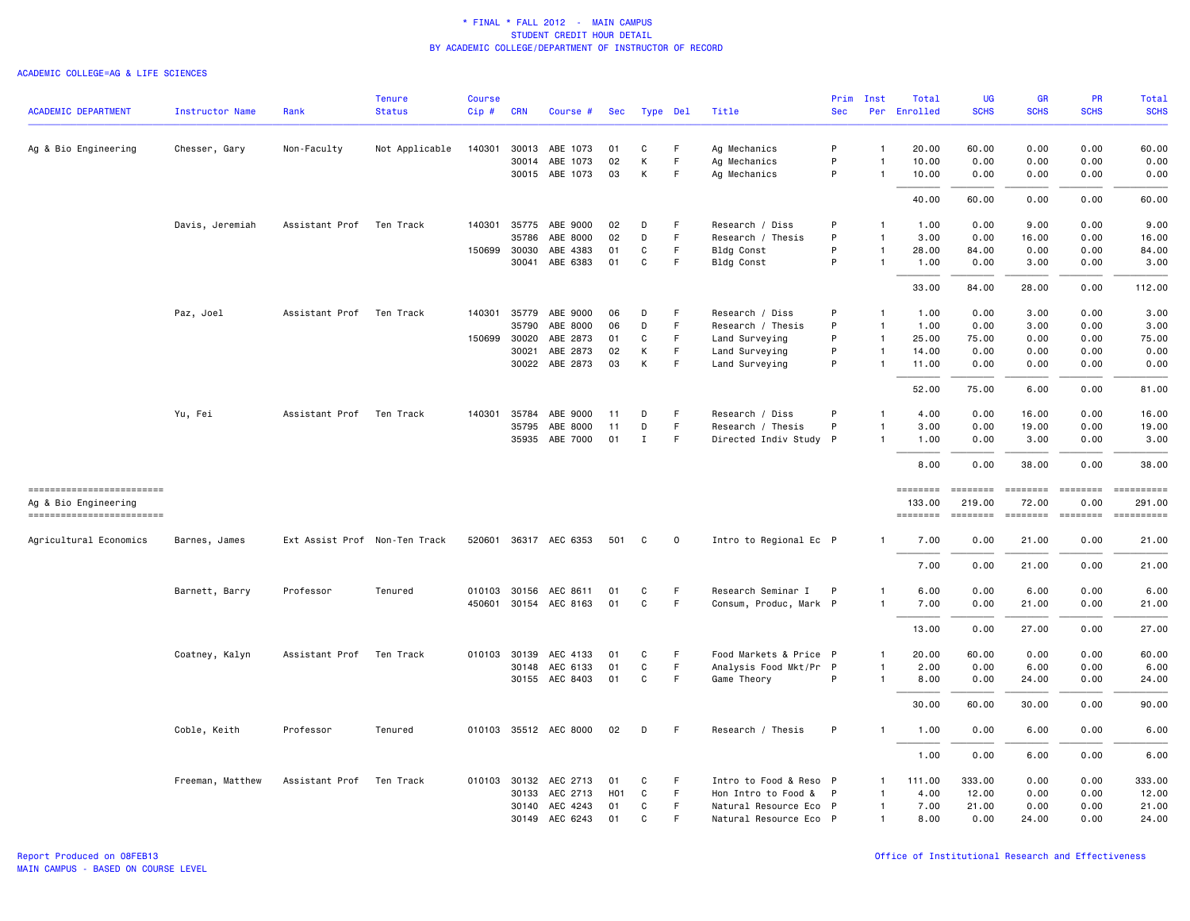| <b>ACADEMIC DEPARTMENT</b>                                                      | Instructor Name  | Rank                          | <b>Tenure</b><br><b>Status</b> | <b>Course</b><br>Cip# | <b>CRN</b>   | Course #              | Sec              | Type Del    |             | Title                  | <b>Sec</b> | Prim Inst      | Total<br>Per Enrolled                                                                                                                                                                                                                                                                                                                                                                                                                                                                                      | <b>UG</b><br><b>SCHS</b>                                                                                                                                                                                                                                                                                                                                                                                                                                                                                     | <b>GR</b><br><b>SCHS</b>                                                                                                                                                                                                                                                                                                                                                                                                                                                                                                                                                   | <b>PR</b><br><b>SCHS</b>                                                                                                                                                                                                                                                                                                                                                                                                                                                                                         | Total<br><b>SCHS</b> |
|---------------------------------------------------------------------------------|------------------|-------------------------------|--------------------------------|-----------------------|--------------|-----------------------|------------------|-------------|-------------|------------------------|------------|----------------|------------------------------------------------------------------------------------------------------------------------------------------------------------------------------------------------------------------------------------------------------------------------------------------------------------------------------------------------------------------------------------------------------------------------------------------------------------------------------------------------------------|--------------------------------------------------------------------------------------------------------------------------------------------------------------------------------------------------------------------------------------------------------------------------------------------------------------------------------------------------------------------------------------------------------------------------------------------------------------------------------------------------------------|----------------------------------------------------------------------------------------------------------------------------------------------------------------------------------------------------------------------------------------------------------------------------------------------------------------------------------------------------------------------------------------------------------------------------------------------------------------------------------------------------------------------------------------------------------------------------|------------------------------------------------------------------------------------------------------------------------------------------------------------------------------------------------------------------------------------------------------------------------------------------------------------------------------------------------------------------------------------------------------------------------------------------------------------------------------------------------------------------|----------------------|
|                                                                                 |                  |                               |                                |                       |              |                       |                  |             |             |                        |            |                |                                                                                                                                                                                                                                                                                                                                                                                                                                                                                                            |                                                                                                                                                                                                                                                                                                                                                                                                                                                                                                              |                                                                                                                                                                                                                                                                                                                                                                                                                                                                                                                                                                            |                                                                                                                                                                                                                                                                                                                                                                                                                                                                                                                  |                      |
| Ag & Bio Engineering                                                            | Chesser, Gary    | Non-Faculty                   | Not Applicable                 | 140301                | 30013        | ABE 1073              | 01               | C           | F           | Ag Mechanics           | P          | $\mathbf{1}$   | 20.00                                                                                                                                                                                                                                                                                                                                                                                                                                                                                                      | 60.00                                                                                                                                                                                                                                                                                                                                                                                                                                                                                                        | 0.00                                                                                                                                                                                                                                                                                                                                                                                                                                                                                                                                                                       | 0.00                                                                                                                                                                                                                                                                                                                                                                                                                                                                                                             | 60.00                |
|                                                                                 |                  |                               |                                |                       | 30014        | ABE 1073              | 02               | К           | F           | Ag Mechanics           | P          | $\mathbf{1}$   | 10.00                                                                                                                                                                                                                                                                                                                                                                                                                                                                                                      | 0.00                                                                                                                                                                                                                                                                                                                                                                                                                                                                                                         | 0.00                                                                                                                                                                                                                                                                                                                                                                                                                                                                                                                                                                       | 0.00                                                                                                                                                                                                                                                                                                                                                                                                                                                                                                             | 0.00                 |
|                                                                                 |                  |                               |                                |                       |              | 30015 ABE 1073        | 03               | K           | F           | Ag Mechanics           | P          | $\overline{1}$ | 10.00                                                                                                                                                                                                                                                                                                                                                                                                                                                                                                      | 0.00                                                                                                                                                                                                                                                                                                                                                                                                                                                                                                         | 0.00                                                                                                                                                                                                                                                                                                                                                                                                                                                                                                                                                                       | 0.00                                                                                                                                                                                                                                                                                                                                                                                                                                                                                                             | 0.00                 |
|                                                                                 |                  |                               |                                |                       |              |                       |                  |             |             |                        |            |                | 40.00                                                                                                                                                                                                                                                                                                                                                                                                                                                                                                      | 60.00                                                                                                                                                                                                                                                                                                                                                                                                                                                                                                        | 0.00                                                                                                                                                                                                                                                                                                                                                                                                                                                                                                                                                                       | 0.00                                                                                                                                                                                                                                                                                                                                                                                                                                                                                                             | 60.00                |
|                                                                                 | Davis, Jeremiah  | Assistant Prof Ten Track      |                                |                       |              | 140301 35775 ABE 9000 | 02               | D           | F           | Research / Diss        | P          | $\mathbf{1}$   | 1.00                                                                                                                                                                                                                                                                                                                                                                                                                                                                                                       | 0.00                                                                                                                                                                                                                                                                                                                                                                                                                                                                                                         | 9.00                                                                                                                                                                                                                                                                                                                                                                                                                                                                                                                                                                       | 0.00                                                                                                                                                                                                                                                                                                                                                                                                                                                                                                             | 9.00                 |
|                                                                                 |                  |                               |                                |                       | 35786        | ABE 8000              | 02               | D           | F           | Research / Thesis      | P          | $\overline{1}$ | 3.00                                                                                                                                                                                                                                                                                                                                                                                                                                                                                                       | 0.00                                                                                                                                                                                                                                                                                                                                                                                                                                                                                                         | 16.00                                                                                                                                                                                                                                                                                                                                                                                                                                                                                                                                                                      | 0.00                                                                                                                                                                                                                                                                                                                                                                                                                                                                                                             | 16.00                |
|                                                                                 |                  |                               |                                |                       | 150699 30030 | ABE 4383              | 01               | C           | F           | Bldg Const             | P          | $\overline{1}$ | 28.00                                                                                                                                                                                                                                                                                                                                                                                                                                                                                                      | 84.00                                                                                                                                                                                                                                                                                                                                                                                                                                                                                                        | 0.00                                                                                                                                                                                                                                                                                                                                                                                                                                                                                                                                                                       | 0.00                                                                                                                                                                                                                                                                                                                                                                                                                                                                                                             | 84.00                |
|                                                                                 |                  |                               |                                |                       |              | 30041 ABE 6383        | 01               | C           | F           | Bldg Const             | P          | $\overline{1}$ | 1.00                                                                                                                                                                                                                                                                                                                                                                                                                                                                                                       | 0.00                                                                                                                                                                                                                                                                                                                                                                                                                                                                                                         | 3.00                                                                                                                                                                                                                                                                                                                                                                                                                                                                                                                                                                       | 0.00                                                                                                                                                                                                                                                                                                                                                                                                                                                                                                             | 3.00                 |
|                                                                                 |                  |                               |                                |                       |              |                       |                  |             |             |                        |            |                | 33.00                                                                                                                                                                                                                                                                                                                                                                                                                                                                                                      | 84.00                                                                                                                                                                                                                                                                                                                                                                                                                                                                                                        | 28.00                                                                                                                                                                                                                                                                                                                                                                                                                                                                                                                                                                      | 0.00                                                                                                                                                                                                                                                                                                                                                                                                                                                                                                             | 112.00               |
|                                                                                 | Paz, Joel        | Assistant Prof                | Ten Track                      |                       | 140301 35779 | ABE 9000              | 06               | D           | F           | Research / Diss        | P          | $\mathbf{1}$   | 1.00                                                                                                                                                                                                                                                                                                                                                                                                                                                                                                       | 0.00                                                                                                                                                                                                                                                                                                                                                                                                                                                                                                         | 3.00                                                                                                                                                                                                                                                                                                                                                                                                                                                                                                                                                                       | 0.00                                                                                                                                                                                                                                                                                                                                                                                                                                                                                                             | 3.00                 |
|                                                                                 |                  |                               |                                |                       | 35790        | ABE 8000              | 06               | D           | F           | Research / Thesis      | P          | $\overline{1}$ | 1.00                                                                                                                                                                                                                                                                                                                                                                                                                                                                                                       | 0.00                                                                                                                                                                                                                                                                                                                                                                                                                                                                                                         | 3.00                                                                                                                                                                                                                                                                                                                                                                                                                                                                                                                                                                       | 0.00                                                                                                                                                                                                                                                                                                                                                                                                                                                                                                             | 3.00                 |
|                                                                                 |                  |                               |                                |                       | 150699 30020 | ABE 2873              | 01               | C           | F           | Land Surveying         | P          | $\overline{1}$ | 25.00                                                                                                                                                                                                                                                                                                                                                                                                                                                                                                      | 75.00                                                                                                                                                                                                                                                                                                                                                                                                                                                                                                        | 0.00                                                                                                                                                                                                                                                                                                                                                                                                                                                                                                                                                                       | 0.00                                                                                                                                                                                                                                                                                                                                                                                                                                                                                                             | 75.00                |
|                                                                                 |                  |                               |                                |                       | 30021        | ABE 2873              | 02               | К           | F           | Land Surveying         | P          | $\mathbf{1}$   | 14.00                                                                                                                                                                                                                                                                                                                                                                                                                                                                                                      | 0.00                                                                                                                                                                                                                                                                                                                                                                                                                                                                                                         | 0.00                                                                                                                                                                                                                                                                                                                                                                                                                                                                                                                                                                       | 0.00                                                                                                                                                                                                                                                                                                                                                                                                                                                                                                             | 0.00                 |
|                                                                                 |                  |                               |                                |                       | 30022        | ABE 2873              | 03               | К           | F           | Land Surveying         | P          | $\overline{1}$ | 11.00                                                                                                                                                                                                                                                                                                                                                                                                                                                                                                      | 0.00                                                                                                                                                                                                                                                                                                                                                                                                                                                                                                         | 0.00                                                                                                                                                                                                                                                                                                                                                                                                                                                                                                                                                                       | 0.00                                                                                                                                                                                                                                                                                                                                                                                                                                                                                                             | 0.00                 |
|                                                                                 |                  |                               |                                |                       |              |                       |                  |             |             |                        |            |                | 52.00                                                                                                                                                                                                                                                                                                                                                                                                                                                                                                      | 75.00                                                                                                                                                                                                                                                                                                                                                                                                                                                                                                        | 6.00                                                                                                                                                                                                                                                                                                                                                                                                                                                                                                                                                                       | 0.00                                                                                                                                                                                                                                                                                                                                                                                                                                                                                                             | 81.00                |
|                                                                                 | Yu, Fei          | Assistant Prof                | Ten Track                      | 140301                | 35784        | ABE 9000              | 11               | D           | F           | Research / Diss        | P          | $\overline{1}$ | 4.00                                                                                                                                                                                                                                                                                                                                                                                                                                                                                                       | 0.00                                                                                                                                                                                                                                                                                                                                                                                                                                                                                                         | 16.00                                                                                                                                                                                                                                                                                                                                                                                                                                                                                                                                                                      | 0.00                                                                                                                                                                                                                                                                                                                                                                                                                                                                                                             | 16.00                |
|                                                                                 |                  |                               |                                |                       | 35795        | ABE 8000              | 11               | D           | F.          | Research / Thesis      | P          | $\overline{1}$ | 3.00                                                                                                                                                                                                                                                                                                                                                                                                                                                                                                       | 0.00                                                                                                                                                                                                                                                                                                                                                                                                                                                                                                         | 19.00                                                                                                                                                                                                                                                                                                                                                                                                                                                                                                                                                                      | 0.00                                                                                                                                                                                                                                                                                                                                                                                                                                                                                                             | 19.00                |
|                                                                                 |                  |                               |                                |                       | 35935        | ABE 7000              | 01               | $\mathbf I$ | F           | Directed Indiv Study P |            | $\overline{1}$ | 1.00                                                                                                                                                                                                                                                                                                                                                                                                                                                                                                       | 0.00                                                                                                                                                                                                                                                                                                                                                                                                                                                                                                         | 3.00                                                                                                                                                                                                                                                                                                                                                                                                                                                                                                                                                                       | 0.00                                                                                                                                                                                                                                                                                                                                                                                                                                                                                                             | 3.00                 |
|                                                                                 |                  |                               |                                |                       |              |                       |                  |             |             |                        |            |                |                                                                                                                                                                                                                                                                                                                                                                                                                                                                                                            |                                                                                                                                                                                                                                                                                                                                                                                                                                                                                                              |                                                                                                                                                                                                                                                                                                                                                                                                                                                                                                                                                                            |                                                                                                                                                                                                                                                                                                                                                                                                                                                                                                                  |                      |
|                                                                                 |                  |                               |                                |                       |              |                       |                  |             |             |                        |            |                | 8.00                                                                                                                                                                                                                                                                                                                                                                                                                                                                                                       | 0.00                                                                                                                                                                                                                                                                                                                                                                                                                                                                                                         | 38.00                                                                                                                                                                                                                                                                                                                                                                                                                                                                                                                                                                      | 0.00                                                                                                                                                                                                                                                                                                                                                                                                                                                                                                             | 38.00                |
| ==========================<br>Ag & Bio Engineering<br>------------------------- |                  |                               |                                |                       |              |                       |                  |             |             |                        |            |                | $\begin{array}{cccccc} \multicolumn{2}{c}{} & \multicolumn{2}{c}{} & \multicolumn{2}{c}{} & \multicolumn{2}{c}{} & \multicolumn{2}{c}{} & \multicolumn{2}{c}{} & \multicolumn{2}{c}{} & \multicolumn{2}{c}{} & \multicolumn{2}{c}{} & \multicolumn{2}{c}{} & \multicolumn{2}{c}{} & \multicolumn{2}{c}{} & \multicolumn{2}{c}{} & \multicolumn{2}{c}{} & \multicolumn{2}{c}{} & \multicolumn{2}{c}{} & \multicolumn{2}{c}{} & \multicolumn{2}{c}{} & \multicolumn{2}{c}{} & \multic$<br>133.00<br>======== | ========<br>219.00<br>$\begin{array}{cccccccccc} \multicolumn{2}{c}{} & \multicolumn{2}{c}{} & \multicolumn{2}{c}{} & \multicolumn{2}{c}{} & \multicolumn{2}{c}{} & \multicolumn{2}{c}{} & \multicolumn{2}{c}{} & \multicolumn{2}{c}{} & \multicolumn{2}{c}{} & \multicolumn{2}{c}{} & \multicolumn{2}{c}{} & \multicolumn{2}{c}{} & \multicolumn{2}{c}{} & \multicolumn{2}{c}{} & \multicolumn{2}{c}{} & \multicolumn{2}{c}{} & \multicolumn{2}{c}{} & \multicolumn{2}{c}{} & \multicolumn{2}{c}{} & \mult$ | $\qquad \qquad \equiv \equiv \equiv \equiv \equiv \equiv \equiv \equiv$<br>72.00<br>$\begin{array}{cccccccccc} \multicolumn{2}{c}{} & \multicolumn{2}{c}{} & \multicolumn{2}{c}{} & \multicolumn{2}{c}{} & \multicolumn{2}{c}{} & \multicolumn{2}{c}{} & \multicolumn{2}{c}{} & \multicolumn{2}{c}{} & \multicolumn{2}{c}{} & \multicolumn{2}{c}{} & \multicolumn{2}{c}{} & \multicolumn{2}{c}{} & \multicolumn{2}{c}{} & \multicolumn{2}{c}{} & \multicolumn{2}{c}{} & \multicolumn{2}{c}{} & \multicolumn{2}{c}{} & \multicolumn{2}{c}{} & \multicolumn{2}{c}{} & \mult$ | <b>ESSESSE</b><br>0.00<br>$\begin{array}{cccccccccc} \multicolumn{2}{c}{} & \multicolumn{2}{c}{} & \multicolumn{2}{c}{} & \multicolumn{2}{c}{} & \multicolumn{2}{c}{} & \multicolumn{2}{c}{} & \multicolumn{2}{c}{} & \multicolumn{2}{c}{} & \multicolumn{2}{c}{} & \multicolumn{2}{c}{} & \multicolumn{2}{c}{} & \multicolumn{2}{c}{} & \multicolumn{2}{c}{} & \multicolumn{2}{c}{} & \multicolumn{2}{c}{} & \multicolumn{2}{c}{} & \multicolumn{2}{c}{} & \multicolumn{2}{c}{} & \multicolumn{2}{c}{} & \mult$ | 291.00<br>========== |
| Agricultural Economics                                                          | Barnes, James    | Ext Assist Prof Non-Ten Track |                                |                       |              | 520601 36317 AEC 6353 | 501              | C           | $\mathbf 0$ | Intro to Regional Ec P |            | $\mathbf{1}$   | 7.00                                                                                                                                                                                                                                                                                                                                                                                                                                                                                                       | 0.00                                                                                                                                                                                                                                                                                                                                                                                                                                                                                                         | 21.00                                                                                                                                                                                                                                                                                                                                                                                                                                                                                                                                                                      | 0.00                                                                                                                                                                                                                                                                                                                                                                                                                                                                                                             | 21.00                |
|                                                                                 |                  |                               |                                |                       |              |                       |                  |             |             |                        |            |                |                                                                                                                                                                                                                                                                                                                                                                                                                                                                                                            |                                                                                                                                                                                                                                                                                                                                                                                                                                                                                                              |                                                                                                                                                                                                                                                                                                                                                                                                                                                                                                                                                                            |                                                                                                                                                                                                                                                                                                                                                                                                                                                                                                                  |                      |
|                                                                                 |                  |                               |                                |                       |              |                       |                  |             |             |                        |            |                | 7.00                                                                                                                                                                                                                                                                                                                                                                                                                                                                                                       | 0.00                                                                                                                                                                                                                                                                                                                                                                                                                                                                                                         | 21.00                                                                                                                                                                                                                                                                                                                                                                                                                                                                                                                                                                      | 0.00                                                                                                                                                                                                                                                                                                                                                                                                                                                                                                             | 21.00                |
|                                                                                 | Barnett, Barry   | Professor                     | Tenured                        |                       |              | 010103 30156 AEC 8611 | 01               | C           | F           | Research Seminar I     | P          | $\overline{1}$ | 6.00                                                                                                                                                                                                                                                                                                                                                                                                                                                                                                       | 0.00                                                                                                                                                                                                                                                                                                                                                                                                                                                                                                         | 6.00                                                                                                                                                                                                                                                                                                                                                                                                                                                                                                                                                                       | 0.00                                                                                                                                                                                                                                                                                                                                                                                                                                                                                                             | 6.00                 |
|                                                                                 |                  |                               |                                |                       |              | 450601 30154 AEC 8163 | 01               | C           | F           | Consum, Produc, Mark P |            | $\overline{1}$ | 7.00                                                                                                                                                                                                                                                                                                                                                                                                                                                                                                       | 0.00                                                                                                                                                                                                                                                                                                                                                                                                                                                                                                         | 21.00                                                                                                                                                                                                                                                                                                                                                                                                                                                                                                                                                                      | 0.00                                                                                                                                                                                                                                                                                                                                                                                                                                                                                                             | 21.00                |
|                                                                                 |                  |                               |                                |                       |              |                       |                  |             |             |                        |            |                | 13.00                                                                                                                                                                                                                                                                                                                                                                                                                                                                                                      | 0.00                                                                                                                                                                                                                                                                                                                                                                                                                                                                                                         | 27.00                                                                                                                                                                                                                                                                                                                                                                                                                                                                                                                                                                      | 0.00                                                                                                                                                                                                                                                                                                                                                                                                                                                                                                             | 27.00                |
|                                                                                 | Coatney, Kalyn   | Assistant Prof                | Ten Track                      |                       | 010103 30139 | AEC 4133              | 01               | C           | F           | Food Markets & Price P |            | $\overline{1}$ | 20.00                                                                                                                                                                                                                                                                                                                                                                                                                                                                                                      | 60.00                                                                                                                                                                                                                                                                                                                                                                                                                                                                                                        | 0.00                                                                                                                                                                                                                                                                                                                                                                                                                                                                                                                                                                       | 0.00                                                                                                                                                                                                                                                                                                                                                                                                                                                                                                             | 60.00                |
|                                                                                 |                  |                               |                                |                       |              | 30148 AEC 6133        | 01               | C           | F.          | Analysis Food Mkt/Pr P |            | $\overline{1}$ | 2.00                                                                                                                                                                                                                                                                                                                                                                                                                                                                                                       | 0.00                                                                                                                                                                                                                                                                                                                                                                                                                                                                                                         | 6.00                                                                                                                                                                                                                                                                                                                                                                                                                                                                                                                                                                       | 0.00                                                                                                                                                                                                                                                                                                                                                                                                                                                                                                             | 6.00                 |
|                                                                                 |                  |                               |                                |                       |              | 30155 AEC 8403        | 01               | C           | F           | Game Theory            | P          | $\overline{1}$ | 8.00                                                                                                                                                                                                                                                                                                                                                                                                                                                                                                       | 0.00                                                                                                                                                                                                                                                                                                                                                                                                                                                                                                         | 24.00                                                                                                                                                                                                                                                                                                                                                                                                                                                                                                                                                                      | 0.00                                                                                                                                                                                                                                                                                                                                                                                                                                                                                                             | 24.00                |
|                                                                                 |                  |                               |                                |                       |              |                       |                  |             |             |                        |            |                | 30.00                                                                                                                                                                                                                                                                                                                                                                                                                                                                                                      | 60.00                                                                                                                                                                                                                                                                                                                                                                                                                                                                                                        | 30.00                                                                                                                                                                                                                                                                                                                                                                                                                                                                                                                                                                      | 0.00                                                                                                                                                                                                                                                                                                                                                                                                                                                                                                             | 90.00                |
|                                                                                 | Coble, Keith     | Professor                     | Tenured                        |                       |              | 010103 35512 AEC 8000 | 02               | D           | F           | Research / Thesis      | P          | $\mathbf{1}$   | 1.00                                                                                                                                                                                                                                                                                                                                                                                                                                                                                                       | 0.00                                                                                                                                                                                                                                                                                                                                                                                                                                                                                                         | 6.00                                                                                                                                                                                                                                                                                                                                                                                                                                                                                                                                                                       | 0.00                                                                                                                                                                                                                                                                                                                                                                                                                                                                                                             | 6.00                 |
|                                                                                 |                  |                               |                                |                       |              |                       |                  |             |             |                        |            |                | 1.00                                                                                                                                                                                                                                                                                                                                                                                                                                                                                                       | 0.00                                                                                                                                                                                                                                                                                                                                                                                                                                                                                                         | 6.00                                                                                                                                                                                                                                                                                                                                                                                                                                                                                                                                                                       | 0.00                                                                                                                                                                                                                                                                                                                                                                                                                                                                                                             | 6.00                 |
|                                                                                 | Freeman, Matthew | Assistant Prof                | Ten Track                      |                       |              | 010103 30132 AEC 2713 | 01               | C           | F           | Intro to Food & Reso P |            | -1             | 111.00                                                                                                                                                                                                                                                                                                                                                                                                                                                                                                     | 333.00                                                                                                                                                                                                                                                                                                                                                                                                                                                                                                       | 0.00                                                                                                                                                                                                                                                                                                                                                                                                                                                                                                                                                                       | 0.00                                                                                                                                                                                                                                                                                                                                                                                                                                                                                                             | 333.00               |
|                                                                                 |                  |                               |                                |                       |              | 30133 AEC 2713        | H <sub>0</sub> 1 | C           | F           | Hon Intro to Food &    | P          | $\mathbf{1}$   | 4.00                                                                                                                                                                                                                                                                                                                                                                                                                                                                                                       | 12.00                                                                                                                                                                                                                                                                                                                                                                                                                                                                                                        | 0.00                                                                                                                                                                                                                                                                                                                                                                                                                                                                                                                                                                       | 0.00                                                                                                                                                                                                                                                                                                                                                                                                                                                                                                             | 12.00                |
|                                                                                 |                  |                               |                                |                       |              | 30140 AEC 4243        | 01               | C           | F           | Natural Resource Eco P |            | $\overline{1}$ | 7.00                                                                                                                                                                                                                                                                                                                                                                                                                                                                                                       | 21.00                                                                                                                                                                                                                                                                                                                                                                                                                                                                                                        | 0.00                                                                                                                                                                                                                                                                                                                                                                                                                                                                                                                                                                       | 0.00                                                                                                                                                                                                                                                                                                                                                                                                                                                                                                             | 21.00                |
|                                                                                 |                  |                               |                                |                       |              | 30149 AEC 6243        | 01               | C           | F           | Natural Resource Eco P |            | $\mathbf{1}$   | 8.00                                                                                                                                                                                                                                                                                                                                                                                                                                                                                                       | 0.00                                                                                                                                                                                                                                                                                                                                                                                                                                                                                                         | 24.00                                                                                                                                                                                                                                                                                                                                                                                                                                                                                                                                                                      | 0.00                                                                                                                                                                                                                                                                                                                                                                                                                                                                                                             | 24.00                |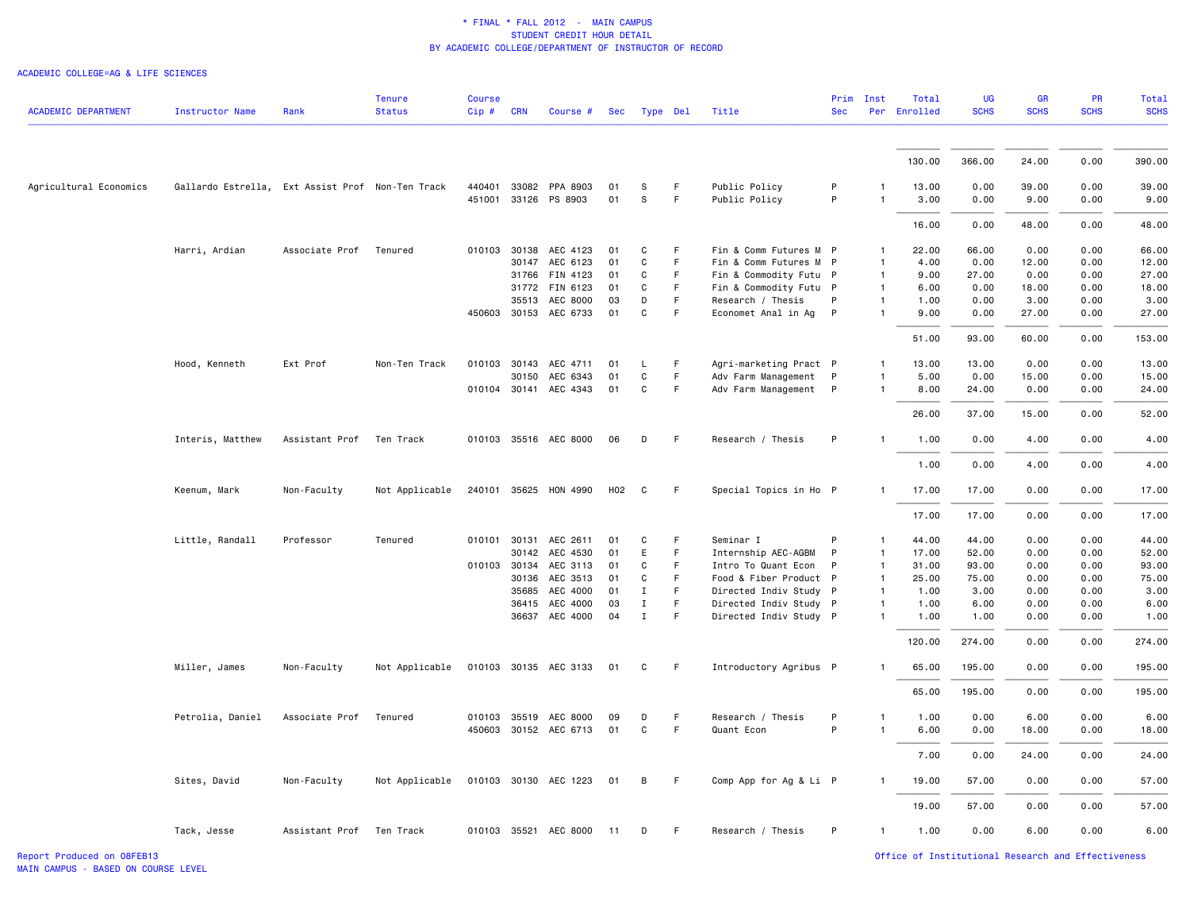| <b>ACADEMIC DEPARTMENT</b> | <b>Instructor Name</b>                           | Rank                     | <b>Tenure</b><br><b>Status</b> | <b>Course</b><br>Cip# | <b>CRN</b> | Course #              | Sec |              | Type Del | Title                  | <b>Sec</b>   | Prim Inst    | Total<br>Per Enrolled | UG<br><b>SCHS</b> | GR<br><b>SCHS</b> | PR<br><b>SCHS</b> | <b>Total</b><br><b>SCHS</b> |
|----------------------------|--------------------------------------------------|--------------------------|--------------------------------|-----------------------|------------|-----------------------|-----|--------------|----------|------------------------|--------------|--------------|-----------------------|-------------------|-------------------|-------------------|-----------------------------|
|                            |                                                  |                          |                                |                       |            |                       |     |              |          |                        |              |              | 130.00                | 366.00            | 24.00             | 0.00              | 390.00                      |
|                            |                                                  |                          |                                |                       |            |                       |     |              |          |                        |              |              |                       |                   |                   |                   |                             |
| Agricultural Economics     | Gallardo Estrella, Ext Assist Prof Non-Ten Track |                          |                                |                       |            | 440401 33082 PPA 8903 | 01  | S            | F.       | Public Policy          | P            | $\mathbf{1}$ | 13.00                 | 0.00              | 39.00             | 0.00              | 39.00                       |
|                            |                                                  |                          |                                |                       |            | 451001 33126 PS 8903  | 01  | S            | F        | Public Policy          | P            |              | 3.00                  | 0.00              | 9.00              | 0.00              | 9.00                        |
|                            |                                                  |                          |                                |                       |            |                       |     |              |          |                        |              |              | 16.00                 | 0.00              | 48.00             | 0.00              | 48.00                       |
|                            | Harri, Ardian                                    | Associate Prof           | Tenured                        |                       |            | 010103 30138 AEC 4123 | 01  | C            | F.       | Fin & Comm Futures M P |              | 1            | 22.00                 | 66.00             | 0.00              | 0.00              | 66.00                       |
|                            |                                                  |                          |                                |                       | 30147      | AEC 6123              | 01  | $\mathbf c$  | F        | Fin & Comm Futures M P |              | $\mathbf{1}$ | 4.00                  | 0.00              | 12.00             | 0.00              | 12.00                       |
|                            |                                                  |                          |                                |                       | 31766      | FIN 4123              | 01  | C            | F.       | Fin & Commodity Futu P |              | $\mathbf{1}$ | 9.00                  | 27.00             | 0.00              | 0.00              | 27.00                       |
|                            |                                                  |                          |                                |                       |            | 31772 FIN 6123        | 01  | C            | F.       | Fin & Commodity Futu P |              | $\mathbf{1}$ | 6.00                  | 0.00              | 18.00             | 0.00              | 18.00                       |
|                            |                                                  |                          |                                |                       | 35513      | AEC 8000              | 03  | D            | F        | Research / Thesis      | P            | $\mathbf{1}$ | 1.00                  | 0.00              | 3.00              | 0.00              | 3.00                        |
|                            |                                                  |                          |                                |                       |            | 450603 30153 AEC 6733 | 01  | $\mathtt{C}$ | F        | Economet Anal in Ag P  |              | $\mathbf{1}$ | 9.00                  | 0.00              | 27.00             | 0.00              | 27.00                       |
|                            |                                                  |                          |                                |                       |            |                       |     |              |          |                        |              |              | 51.00                 | 93.00             | 60.00             | 0.00              | 153.00                      |
|                            | Hood, Kenneth                                    | Ext Prof                 | Non-Ten Track                  | 010103 30143          |            | AEC 4711              | 01  | L            | F.       | Agri-marketing Pract P |              | 1            | 13.00                 | 13.00             | 0.00              | 0.00              | 13.00                       |
|                            |                                                  |                          |                                |                       | 30150      | AEC 6343              | 01  | $\mathtt{C}$ | F        | Adv Farm Management    | P            | $\mathbf{1}$ | 5.00                  | 0.00              | 15.00             | 0.00              | 15.00                       |
|                            |                                                  |                          |                                |                       |            | 010104 30141 AEC 4343 | 01  | $\mathtt{C}$ | F        | Adv Farm Management    | $\mathsf{P}$ | $\mathbf{1}$ | 8.00                  | 24.00             | 0.00              | 0.00              | 24.00                       |
|                            |                                                  |                          |                                |                       |            |                       |     |              |          |                        |              |              | 26.00                 | 37.00             | 15.00             | 0.00              | 52.00                       |
|                            | Interis, Matthew                                 | Assistant Prof           | Ten Track                      |                       |            | 010103 35516 AEC 8000 | 06  | D            | F        | Research / Thesis      | P            | $\mathbf{1}$ | 1.00                  | 0.00              | 4.00              | 0.00              | 4.00                        |
|                            |                                                  |                          |                                |                       |            |                       |     |              |          |                        |              |              | 1.00                  | 0.00              | 4.00              | 0.00              | 4.00                        |
|                            | Keenum, Mark                                     | Non-Faculty              | Not Applicable                 |                       |            | 240101 35625 HON 4990 | H02 | C            | F        | Special Topics in Ho P |              | $\mathbf{1}$ | 17.00                 | 17.00             | 0.00              | 0.00              | 17.00                       |
|                            |                                                  |                          |                                |                       |            |                       |     |              |          |                        |              |              | 17.00                 | 17.00             | 0.00              | 0.00              | 17.00                       |
|                            | Little, Randall                                  | Professor                | Tenured                        | 010101 30131          |            | AEC 2611              | 01  | C            | F.       | Seminar I              | P            | $\mathbf{1}$ | 44.00                 | 44.00             | 0.00              | 0.00              | 44.00                       |
|                            |                                                  |                          |                                |                       | 30142      | AEC 4530              | 01  | E            | F        | Internship AEC-AGBM    | $\mathsf{P}$ | $\mathbf{1}$ | 17.00                 | 52.00             | 0.00              | 0.00              | 52.00                       |
|                            |                                                  |                          |                                | 010103 30134          |            | AEC 3113              | 01  | C            | F        | Intro To Quant Econ    | P            | $\mathbf{1}$ | 31.00                 | 93.00             | 0.00              | 0.00              | 93.00                       |
|                            |                                                  |                          |                                |                       | 30136      | AEC 3513              | 01  | C            | F        | Food & Fiber Product P |              | $\mathbf{1}$ | 25.00                 | 75.00             | 0.00              | 0.00              | 75.00                       |
|                            |                                                  |                          |                                |                       | 35685      | AEC 4000              | 01  | $\mathbf{I}$ | F        | Directed Indiv Study P |              | $\mathbf{1}$ | 1.00                  | 3.00              | 0.00              | 0.00              | 3.00                        |
|                            |                                                  |                          |                                |                       | 36415      | AEC 4000              | 03  | $\mathbf I$  | F.       | Directed Indiv Study P |              | $\mathbf{1}$ | 1.00                  | 6.00              | 0.00              | 0.00              | 6.00                        |
|                            |                                                  |                          |                                |                       |            | 36637 AEC 4000        | 04  | $\mathbf{I}$ | F        | Directed Indiv Study P |              | $\mathbf{1}$ | 1.00                  | 1.00              | 0.00              | 0.00              | 1.00                        |
|                            |                                                  |                          |                                |                       |            |                       |     |              |          |                        |              |              | 120.00                | 274.00            | 0.00              | 0.00              | 274.00                      |
|                            | Miller, James                                    | Non-Faculty              | Not Applicable                 |                       |            | 010103 30135 AEC 3133 | 01  | C            | F.       | Introductory Agribus P |              | -1           | 65.00                 | 195.00            | 0.00              | 0.00              | 195.00                      |
|                            |                                                  |                          |                                |                       |            |                       |     |              |          |                        |              |              | 65.00                 | 195.00            | 0.00              | 0.00              | 195.00                      |
|                            | Petrolia, Daniel                                 | Associate Prof           | Tenured                        |                       |            | 010103 35519 AEC 8000 | 09  | D            | F        | Research / Thesis      | P            | 1            | 1.00                  | 0.00              | 6.00              | 0.00              | 6.00                        |
|                            |                                                  |                          |                                |                       |            | 450603 30152 AEC 6713 | 01  | C            | F.       | Quant Econ             | P            | $\mathbf{1}$ | 6.00                  | 0.00              | 18.00             | 0.00              | 18.00                       |
|                            |                                                  |                          |                                |                       |            |                       |     |              |          |                        |              |              | 7.00                  | 0.00              | 24.00             | 0.00              | 24.00                       |
|                            | Sites, David                                     | Non-Faculty              | Not Applicable                 |                       |            | 010103 30130 AEC 1223 | 01  | B            | F        | Comp App for Ag & Li P |              | $\mathbf{1}$ | 19.00                 | 57.00             | 0.00              | 0.00              | 57.00                       |
|                            |                                                  |                          |                                |                       |            |                       |     |              |          |                        |              |              | 19.00                 | 57.00             | 0.00              | 0.00              | 57.00                       |
|                            | Tack, Jesse                                      | Assistant Prof Ten Track |                                |                       |            | 010103 35521 AEC 8000 | 11  | D            | F        | Research / Thesis      | P            | $\mathbf{1}$ | 1.00                  | 0.00              | 6.00              | 0.00              | 6.00                        |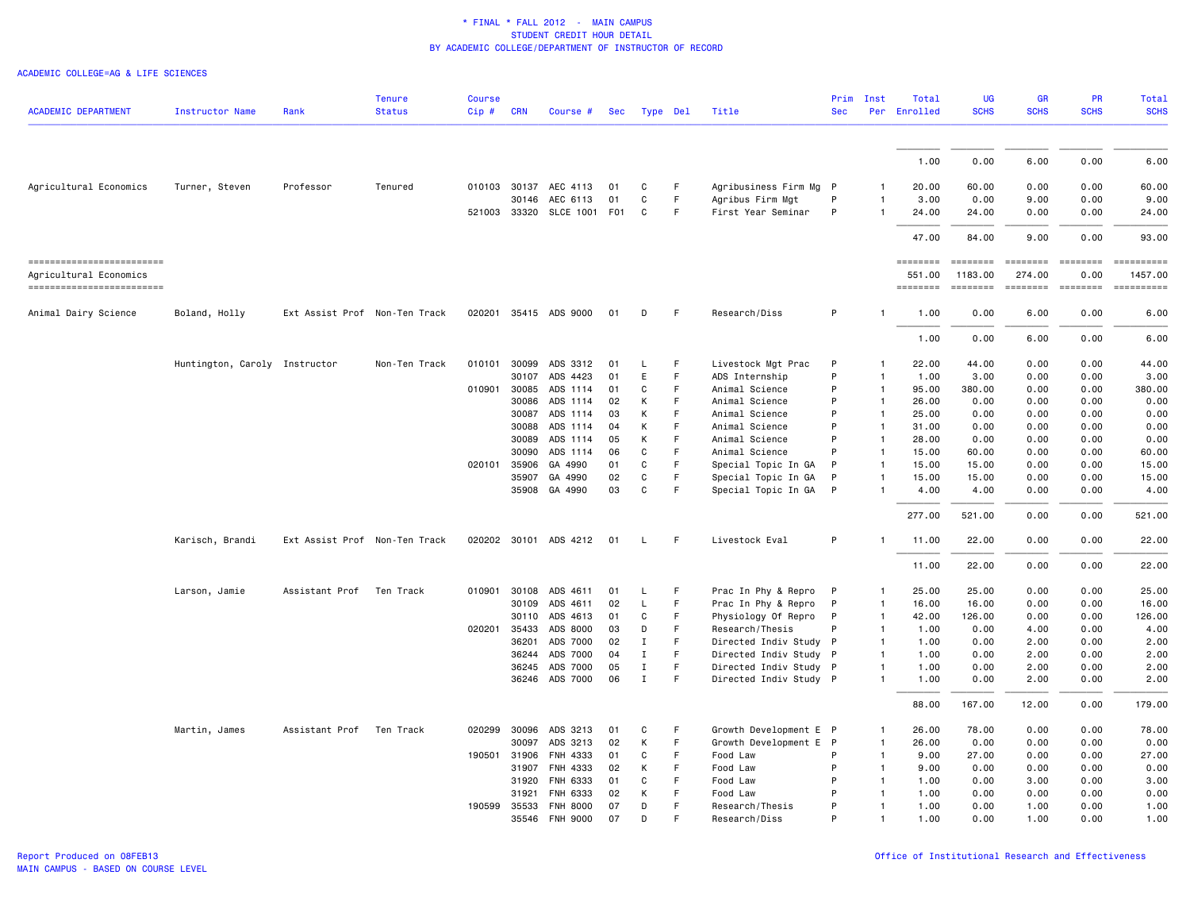|                                                    |                               |                               | Tenure        | <b>Course</b> |            |                       |     |              |             |                        |            | Prim Inst      | Total              | UG                  | <b>GR</b>                 | <b>PR</b>   | Total       |
|----------------------------------------------------|-------------------------------|-------------------------------|---------------|---------------|------------|-----------------------|-----|--------------|-------------|------------------------|------------|----------------|--------------------|---------------------|---------------------------|-------------|-------------|
| <b>ACADEMIC DEPARTMENT</b>                         | <b>Instructor Name</b>        | Rank                          | <b>Status</b> | Cip#          | <b>CRN</b> | Course #              | Sec | Type Del     |             | Title                  | <b>Sec</b> |                | Per Enrolled       | <b>SCHS</b>         | <b>SCHS</b>               | <b>SCHS</b> | <b>SCHS</b> |
|                                                    |                               |                               |               |               |            |                       |     |              |             |                        |            |                | 1.00               | 0.00                | 6.00                      | 0.00        | 6.00        |
|                                                    |                               |                               |               |               |            |                       |     |              |             |                        |            |                |                    |                     |                           |             |             |
| Agricultural Economics                             | Turner, Steven                | Professor                     | Tenured       |               |            | 010103 30137 AEC 4113 | 01  | C            | F           | Agribusiness Firm Mg P |            |                | 20.00              | 60.00               | 0.00                      | 0.00        | 60.00       |
|                                                    |                               |                               |               |               | 30146      | AEC 6113              | 01  | C            | F.          | Agribus Firm Mgt       | P          |                | 3,00               | 0.00                | 9.00                      | 0.00        | 9.00        |
|                                                    |                               |                               |               | 521003 33320  |            | SLCE 1001 F01         |     | C            | F           | First Year Seminar     | P          |                | 24.00              | 24.00               | 0.00                      | 0.00        | 24.00       |
|                                                    |                               |                               |               |               |            |                       |     |              |             |                        |            |                | 47.00              | 84.00               | 9.00                      | 0.00        | 93.00       |
| ------------------------<br>Agricultural Economics |                               |                               |               |               |            |                       |     |              |             |                        |            |                | ========<br>551.00 | ========<br>1183.00 | <b>EEEEEEEE</b><br>274.00 | 0.00        | 1457.00     |
| ------------------------                           |                               |                               |               |               |            |                       |     |              |             |                        |            |                | ========           | $= 222222222$       | ========                  | ========    | ==========  |
| Animal Dairy Science                               | Boland, Holly                 | Ext Assist Prof Non-Ten Track |               |               |            | 020201 35415 ADS 9000 | 01  | D            | F           | Research/Diss          | P          | $\mathbf{1}$   | 1.00               | 0.00                | 6.00                      | 0.00        | 6.00        |
|                                                    |                               |                               |               |               |            |                       |     |              |             |                        |            |                | 1.00               | 0.00                | 6.00                      | 0.00        | 6.00        |
|                                                    | Huntington, Caroly Instructor |                               | Non-Ten Track | 010101        | 30099      | ADS 3312              | 01  | L            | F           | Livestock Mgt Prac     | P          | $\mathbf{1}$   | 22.00              | 44.00               | 0.00                      | 0.00        | 44.00       |
|                                                    |                               |                               |               |               | 30107      | ADS 4423              | 01  | Ε            | F           | ADS Internship         | P          | $\mathbf{1}$   | 1.00               | 3.00                | 0.00                      | 0.00        | 3.00        |
|                                                    |                               |                               |               | 010901        | 30085      | ADS 1114              | 01  | C            | E           | Animal Science         | P          | $\overline{1}$ | 95.00              | 380.00              | 0.00                      | 0.00        | 380.00      |
|                                                    |                               |                               |               |               | 30086      | ADS 1114              | 02  | К            | F.          | Animal Science         | P          | $\overline{1}$ | 26.00              | 0.00                | 0.00                      | 0.00        | 0.00        |
|                                                    |                               |                               |               |               | 30087      | ADS 1114              | 03  | К            | F           | Animal Science         | P          | $\overline{1}$ | 25.00              | 0.00                | 0.00                      | 0.00        | 0.00        |
|                                                    |                               |                               |               |               | 30088      | ADS 1114              | 04  | К            | F           | Animal Science         | P          | $\mathbf{1}$   | 31.00              | 0.00                | 0.00                      | 0.00        | 0.00        |
|                                                    |                               |                               |               |               | 30089      | ADS 1114              | 05  | К            | F           | Animal Science         | P          | $\mathbf{1}$   | 28.00              | 0.00                | 0.00                      | 0.00        | 0.00        |
|                                                    |                               |                               |               |               | 30090      | ADS 1114              | 06  | $\mathsf{C}$ | F           | Animal Science         | P          | $\overline{1}$ | 15.00              | 60.00               | 0.00                      | 0.00        | 60.00       |
|                                                    |                               |                               |               | 020101        | 35906      | GA 4990               | 01  | C            | F           | Special Topic In GA    | P          | $\mathbf{1}$   | 15.00              | 15.00               | 0.00                      | 0.00        | 15.00       |
|                                                    |                               |                               |               |               | 35907      | GA 4990               | 02  | C            | F           | Special Topic In GA    | P          | $\mathbf{1}$   | 15.00              | 15.00               | 0.00                      | 0.00        | 15.00       |
|                                                    |                               |                               |               |               |            | 35908 GA 4990         | 03  | C            | F           | Special Topic In GA    | P          | $\overline{1}$ | 4.00               | 4.00                | 0.00                      | 0.00        | 4.00        |
|                                                    |                               |                               |               |               |            |                       |     |              |             |                        |            |                | 277.00             | 521.00              | 0.00                      | 0.00        | 521.00      |
|                                                    | Karisch, Brandi               | Ext Assist Prof Non-Ten Track |               |               |            | 020202 30101 ADS 4212 | 01  | L            | -F          | Livestock Eval         | P          | -1             | 11.00              | 22.00               | 0.00                      | 0.00        | 22.00       |
|                                                    |                               |                               |               |               |            |                       |     |              |             |                        |            |                | 11.00              | 22.00               | 0.00                      | 0.00        | 22.00       |
|                                                    | Larson, Jamie                 | Assistant Prof                | Ten Track     | 010901        | 30108      | ADS 4611              | 01  | L.           | F           | Prac In Phy & Repro    | P          | $\mathbf{1}$   | 25.00              | 25.00               | 0.00                      | 0.00        | 25.00       |
|                                                    |                               |                               |               |               | 30109      | ADS 4611              | 02  | L            | F           | Prac In Phy & Repro    | P          | $\mathbf{1}$   | 16.00              | 16.00               | 0.00                      | 0.00        | 16.00       |
|                                                    |                               |                               |               |               | 30110      | ADS 4613              | 01  | C            | F           | Physiology Of Repro    | P          | $\mathbf{1}$   | 42.00              | 126.00              | 0.00                      | 0.00        | 126.00      |
|                                                    |                               |                               |               | 020201 35433  |            | ADS 8000              | 03  | D            | F           | Research/Thesis        | P          | $\overline{1}$ | 1.00               | 0.00                | 4.00                      | 0.00        | 4.00        |
|                                                    |                               |                               |               |               | 36201      | ADS 7000              | 02  | $\mathbf I$  | F           | Directed Indiv Study P |            | -1             | 1.00               | 0.00                | 2.00                      | 0.00        | 2.00        |
|                                                    |                               |                               |               |               | 36244      | ADS 7000              | 04  | $\mathbf I$  | F           | Directed Indiv Study P |            | $\mathbf{1}$   | 1.00               | 0.00                | 2.00                      | 0.00        | 2.00        |
|                                                    |                               |                               |               |               | 36245      | ADS 7000              | 05  | $\mathbf I$  | F           | Directed Indiv Study P |            | $\mathbf{1}$   | 1.00               | 0.00                | 2.00                      | 0.00        | 2.00        |
|                                                    |                               |                               |               |               | 36246      | ADS 7000              | 06  | $\mathbf I$  | F           | Directed Indiv Study P |            | $\mathbf{1}$   | 1.00               | 0.00                | 2.00                      | 0.00        | 2.00        |
|                                                    |                               |                               |               |               |            |                       |     |              |             |                        |            |                | 88.00              | 167.00              | 12.00                     | 0.00        | 179.00      |
|                                                    | Martin, James                 | Assistant Prof                | Ten Track     | 020299        | 30096      | ADS 3213              | 01  | C            | -F          | Growth Development E P |            | $\mathbf{1}$   | 26.00              | 78.00               | 0.00                      | 0.00        | 78.00       |
|                                                    |                               |                               |               |               | 30097      | ADS 3213              | 02  | К            | F           | Growth Development E P |            | $\mathbf{1}$   | 26.00              | 0.00                | 0.00                      | 0.00        | 0.00        |
|                                                    |                               |                               |               | 190501 31906  |            | FNH 4333              | 01  | C            | F           | Food Law               | P          | $\mathbf{1}$   | 9.00               | 27.00               | 0.00                      | 0.00        | 27.00       |
|                                                    |                               |                               |               |               | 31907      | FNH 4333              | 02  | К            | $\mathsf F$ | Food Law               | P          | $\mathbf{1}$   | 9.00               | 0.00                | 0.00                      | 0.00        | 0.00        |
|                                                    |                               |                               |               |               | 31920      | FNH 6333              | 01  | C            | E           | Food Law               | P          | $\mathbf{1}$   | 1.00               | 0.00                | 3.00                      | 0.00        | 3.00        |
|                                                    |                               |                               |               |               | 31921      | FNH 6333              | 02  | К            | F           | Food Law               | P          | $\mathbf{1}$   | 1.00               | 0.00                | 0.00                      | 0.00        | 0.00        |
|                                                    |                               |                               |               | 190599 35533  |            | <b>FNH 8000</b>       | 07  | D            | F           | Research/Thesis        | P          | $\mathbf{1}$   | 1.00               | 0.00                | 1.00                      | 0.00        | 1.00        |
|                                                    |                               |                               |               |               | 35546      | FNH 9000              | 07  | D            | F           | Research/Diss          | P          | $\mathbf{1}$   | 1.00               | 0.00                | 1.00                      | 0.00        | 1.00        |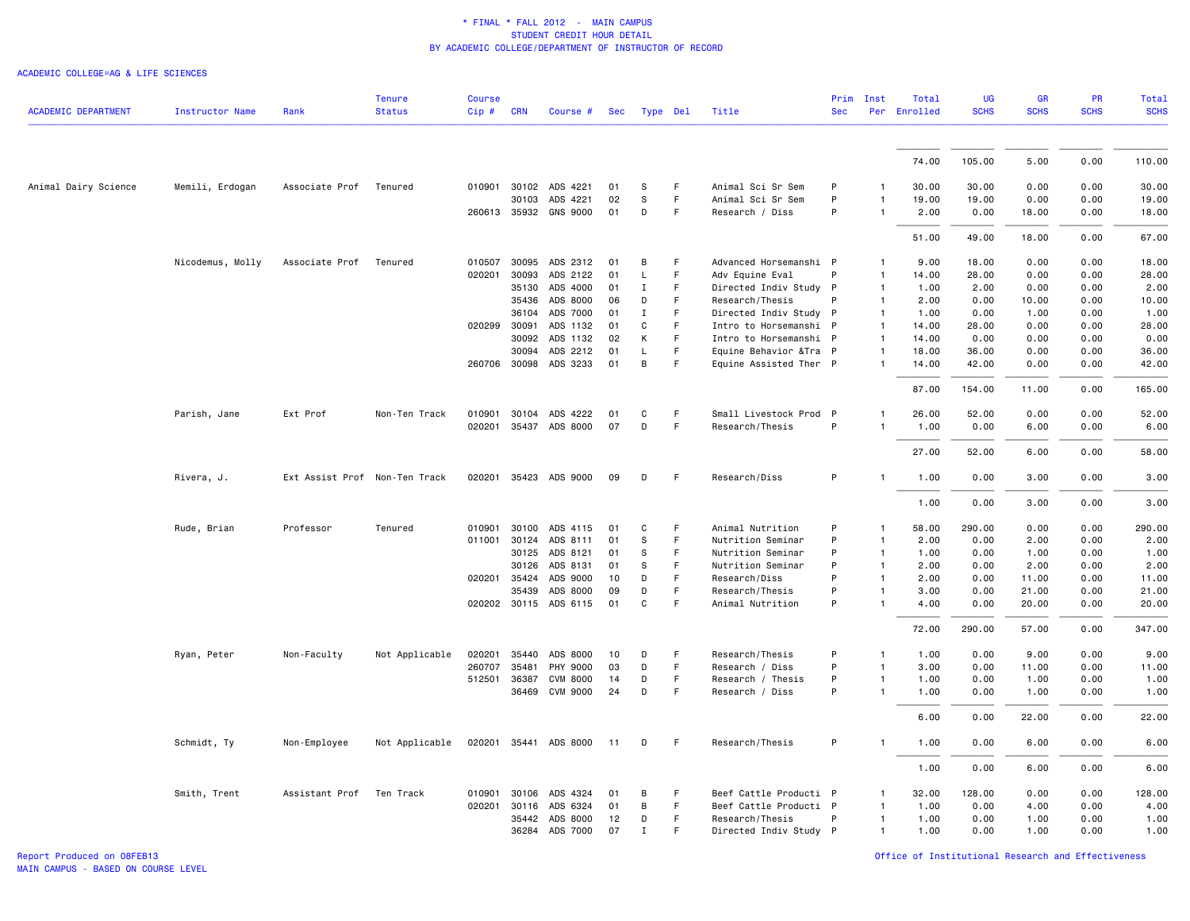|                      |                        |                               | <b>Tenure</b>  | <b>Course</b> |                |                                   |          |             |        |                                                   |            | Prim Inst                    | Total          | <b>UG</b>     | <b>GR</b>    | PR           | <b>Total</b>   |
|----------------------|------------------------|-------------------------------|----------------|---------------|----------------|-----------------------------------|----------|-------------|--------|---------------------------------------------------|------------|------------------------------|----------------|---------------|--------------|--------------|----------------|
| ACADEMIC DEPARTMENT  | <b>Instructor Name</b> | Rank                          | <b>Status</b>  | Cip#          | <b>CRN</b>     | Course #                          | Sec      | Type Del    |        | Title                                             | <b>Sec</b> |                              | Per Enrolled   | <b>SCHS</b>   | <b>SCHS</b>  | <b>SCHS</b>  | <b>SCHS</b>    |
|                      |                        |                               |                |               |                |                                   |          |             |        |                                                   |            |                              |                |               |              |              |                |
|                      |                        |                               |                |               |                |                                   |          |             |        |                                                   |            |                              | 74.00          | 105.00        | 5.00         | 0.00         | 110.00         |
| Animal Dairy Science | Memili, Erdogan        | Associate Prof Tenured        |                |               |                | 010901 30102 ADS 4221             | 01       | S           | F      | Animal Sci Sr Sem                                 | P          | 1                            | 30.00          | 30.00         | 0.00         | 0.00         | 30.00          |
|                      |                        |                               |                |               | 30103          | ADS 4221                          | 02       | s           | F      | Animal Sci Sr Sem                                 | P          | 1                            | 19.00          | 19.00         | 0.00         | 0.00         | 19.00          |
|                      |                        |                               |                |               |                | 260613 35932 GNS 9000             | 01       | D           | F      | Research / Diss                                   | P          |                              | 2.00           | 0.00          | 18.00        | 0.00         | 18.00          |
|                      |                        |                               |                |               |                |                                   |          |             |        |                                                   |            |                              | 51.00          | 49.00         | 18.00        | 0.00         | 67.00          |
|                      | Nicodemus, Molly       | Associate Prof                | Tenured        | 010507        | 30095          | ADS 2312                          | 01       | B           | F      | Advanced Horsemanshi P                            |            | $\mathbf{1}$                 | 9.00           | 18.00         | 0.00         | 0.00         | 18.00          |
|                      |                        |                               |                | 020201        | 30093          | ADS 2122                          | 01       | L           | F      | Adv Equine Eval                                   | P          | $\mathbf{1}$                 | 14.00          | 28.00         | 0.00         | 0.00         | 28.00          |
|                      |                        |                               |                |               | 35130          | ADS 4000                          | 01       | $\mathbf I$ | F      | Directed Indiv Study P                            |            | $\mathbf{1}$                 | 1.00           | 2.00          | 0.00         | 0.00         | 2.00           |
|                      |                        |                               |                |               | 35436          | ADS 8000                          | 06       | D           | F.     | Research/Thesis                                   | P          | $\mathbf{1}$                 | 2.00           | 0.00          | 10.00        | 0.00         | 10.00          |
|                      |                        |                               |                |               | 36104          | ADS 7000                          | 01       | Ι           | F      | Directed Indiv Study P                            |            | $\mathbf{1}$                 | 1.00           | 0.00          | 1.00         | 0.00         | 1.00           |
|                      |                        |                               |                |               | 020299 30091   | ADS 1132                          | 01       | C           | F<br>F | Intro to Horsemanshi P                            |            | $\overline{1}$               | 14.00          | 28.00         | 0.00         | 0.00         | 28.00          |
|                      |                        |                               |                |               | 30092<br>30094 | ADS 1132                          | 02<br>01 | К<br>L      | F.     | Intro to Horsemanshi P                            |            | $\mathbf{1}$<br>$\mathbf{1}$ | 14.00<br>18.00 | 0.00<br>36.00 | 0.00         | 0.00         | 0.00           |
|                      |                        |                               |                |               |                | ADS 2212<br>260706 30098 ADS 3233 | 01       | B           | F      | Equine Behavior & Tra P<br>Equine Assisted Ther P |            | $\mathbf{1}$                 | 14.00          | 42.00         | 0.00<br>0.00 | 0.00<br>0.00 | 36.00<br>42.00 |
|                      |                        |                               |                |               |                |                                   |          |             |        |                                                   |            |                              | 87.00          | 154.00        | 11.00        | 0.00         | 165.00         |
|                      | Parish, Jane           | Ext Prof                      | Non-Ten Track  | 010901        | 30104          | ADS 4222                          | 01       | C           | F.     | Small Livestock Prod P                            |            | $\mathbf{1}$                 | 26.00          | 52.00         | 0.00         | 0.00         | 52.00          |
|                      |                        |                               |                |               |                | 020201 35437 ADS 8000             | 07       | D           | F      | Research/Thesis                                   | P          | $\mathbf{1}$                 | 1.00           | 0.00          | 6.00         | 0.00         | 6.00           |
|                      |                        |                               |                |               |                |                                   |          |             |        |                                                   |            |                              | 27.00          | 52.00         | 6.00         | 0.00         | 58.00          |
|                      | Rivera, J.             | Ext Assist Prof Non-Ten Track |                |               |                | 020201 35423 ADS 9000             | 09       | D           | F      | Research/Diss                                     | P          | $\mathbf{1}$                 | 1.00           | 0.00          | 3.00         | 0.00         | 3.00           |
|                      |                        |                               |                |               |                |                                   |          |             |        |                                                   |            |                              | 1.00           | 0.00          | 3.00         | 0.00         | 3.00           |
|                      | Rude, Brian            | Professor                     | Tenured        |               |                | 010901 30100 ADS 4115             | 01       | C           | F      | Animal Nutrition                                  | P          | $\mathbf{1}$                 | 58.00          | 290.00        | 0.00         | 0.00         | 290.00         |
|                      |                        |                               |                | 011001        | 30124          | ADS 8111                          | 01       | S           | F      | Nutrition Seminar                                 | P          | $\mathbf{1}$                 | 2.00           | 0.00          | 2.00         | 0.00         | 2.00           |
|                      |                        |                               |                |               | 30125          | ADS 8121                          | 01       | s           | F      | Nutrition Seminar                                 | P          | $\mathbf{1}$                 | 1.00           | 0.00          | 1.00         | 0.00         | 1.00           |
|                      |                        |                               |                |               | 30126          | ADS 8131                          | 01       | s           | F      | Nutrition Seminar                                 | P          | $\overline{1}$               | 2.00           | 0.00          | 2.00         | 0.00         | 2.00           |
|                      |                        |                               |                | 020201 35424  |                | ADS 9000                          | 10       | D           | F      | Research/Diss                                     | P          | $\mathbf{1}$                 | 2.00           | 0.00          | 11.00        | 0.00         | 11.00          |
|                      |                        |                               |                |               | 35439          | ADS 8000                          | 09       | D           | F      | Research/Thesis                                   | P          | $\mathbf{1}$                 | 3.00           | 0.00          | 21.00        | 0.00         | 21.00          |
|                      |                        |                               |                |               |                | 020202 30115 ADS 6115             | 01       | C           | F      | Animal Nutrition                                  | P          | $\mathbf{1}$                 | 4.00           | 0.00          | 20.00        | 0.00         | 20.00          |
|                      |                        |                               |                |               |                |                                   |          |             |        |                                                   |            |                              | 72.00          | 290.00        | 57.00        | 0.00         | 347.00         |
|                      | Ryan, Peter            | Non-Faculty                   | Not Applicable | 020201        | 35440          | ADS 8000                          | 10       | D           | F      | Research/Thesis                                   | P          | $\mathbf{1}$                 | 1.00           | 0.00          | 9.00         | 0.00         | 9.00           |
|                      |                        |                               |                | 260707        | 35481          | PHY 9000                          | 03       | D           | F.     | Research / Diss                                   | P          | $\mathbf{1}$                 | 3.00           | 0.00          | 11.00        | 0.00         | 11.00          |
|                      |                        |                               |                | 512501 36387  |                | <b>CVM 8000</b>                   | 14       | D           | F      | Research / Thesis                                 | P          | $\mathbf{1}$                 | 1.00           | 0.00          | 1.00         | 0.00         | 1.00           |
|                      |                        |                               |                |               | 36469          | <b>CVM 9000</b>                   | 24       | D           | F      | Research / Diss                                   | P          | $\mathbf{1}$                 | 1.00           | 0.00          | 1.00         | 0.00         | 1.00           |
|                      |                        |                               |                |               |                |                                   |          |             |        |                                                   |            |                              | 6.00           | 0.00          | 22.00        | 0.00         | 22.00          |
|                      | Schmidt, Ty            | Non-Employee                  | Not Applicable |               |                | 020201 35441 ADS 8000             | 11       | D           | F      | Research/Thesis                                   | P          | $\mathbf{1}$                 | 1.00           | 0.00          | 6.00         | 0.00         | 6.00           |
|                      |                        |                               |                |               |                |                                   |          |             |        |                                                   |            |                              | 1.00           | 0.00          | 6.00         | 0.00         | 6.00           |
|                      | Smith, Trent           | Assistant Prof                | Ten Track      | 010901        | 30106          | ADS 4324                          | 01       | В           | F      | Beef Cattle Producti P                            |            | $\mathbf{1}$                 | 32.00          | 128.00        | 0.00         | 0.00         | 128.00         |
|                      |                        |                               |                | 020201        | 30116          | ADS 6324                          | 01       | B           | F      | Beef Cattle Producti P                            |            | $\mathbf{1}$                 | 1.00           | 0.00          | 4.00         | 0.00         | 4.00           |
|                      |                        |                               |                |               | 35442          | ADS 8000                          | 12       | D           | F.     | Research/Thesis                                   | P          | 1                            | 1.00           | 0.00          | 1.00         | 0.00         | 1.00           |
|                      |                        |                               |                |               | 36284          | ADS 7000                          | 07       | $\mathbf I$ | F      | Directed Indiv Study P                            |            | 1                            | 1.00           | 0.00          | 1.00         | 0.00         | 1.00           |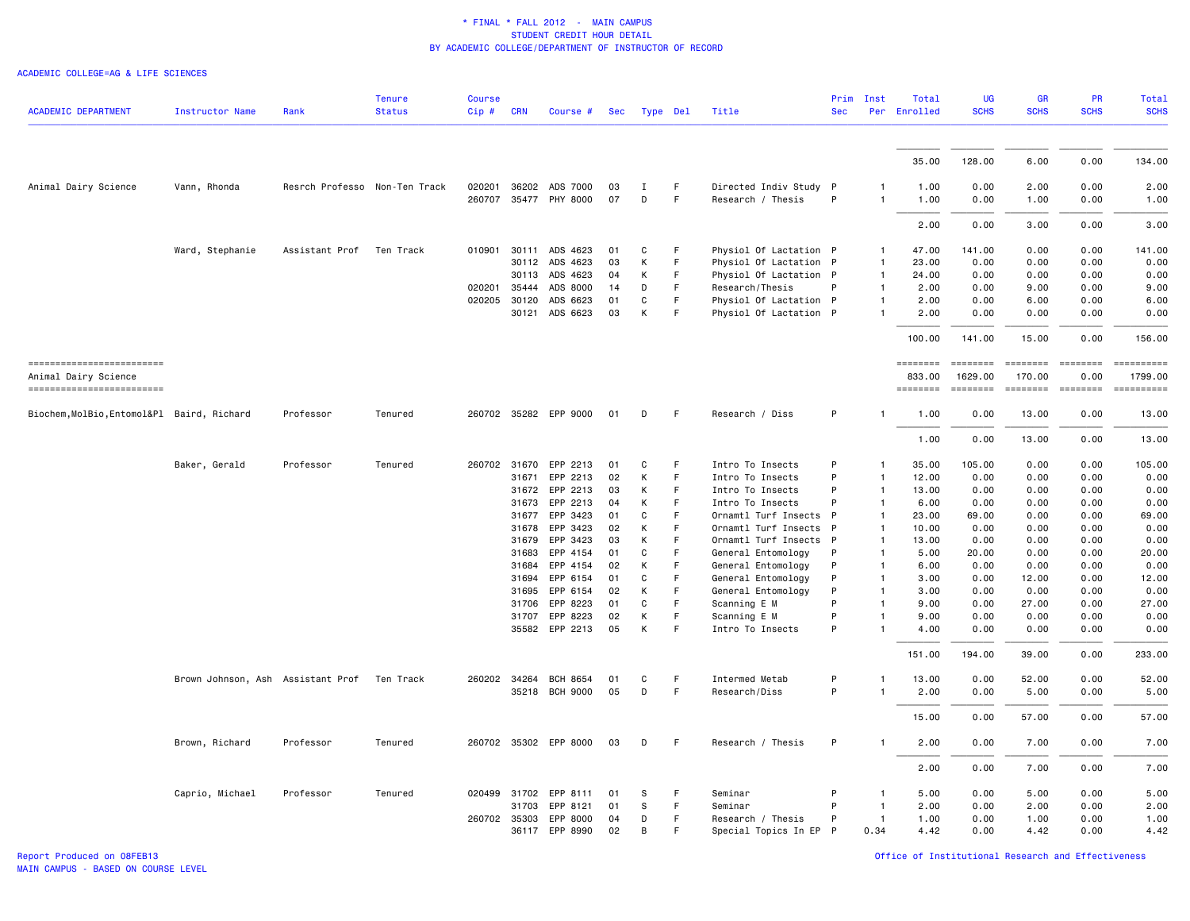| ACADEMIC DEPARTMENT                        | <b>Instructor Name</b>            | Rank                          | <b>Tenure</b><br><b>Status</b> | <b>Course</b><br>Cip# | <b>CRN</b>     | Course #              | Sec      | Type Del |         | Title                            | <b>Sec</b>   | Prim Inst                    | Total<br>Per Enrolled | <b>UG</b><br><b>SCHS</b> | <b>GR</b><br><b>SCHS</b>                                                                                                             | <b>PR</b><br><b>SCHS</b> | <b>Total</b><br><b>SCHS</b>                                                                                                                                                                                                                                                                                                                                                                                                                                                               |
|--------------------------------------------|-----------------------------------|-------------------------------|--------------------------------|-----------------------|----------------|-----------------------|----------|----------|---------|----------------------------------|--------------|------------------------------|-----------------------|--------------------------|--------------------------------------------------------------------------------------------------------------------------------------|--------------------------|-------------------------------------------------------------------------------------------------------------------------------------------------------------------------------------------------------------------------------------------------------------------------------------------------------------------------------------------------------------------------------------------------------------------------------------------------------------------------------------------|
|                                            |                                   |                               |                                |                       |                |                       |          |          |         |                                  |              |                              |                       |                          |                                                                                                                                      |                          |                                                                                                                                                                                                                                                                                                                                                                                                                                                                                           |
|                                            |                                   |                               |                                |                       |                |                       |          |          |         |                                  |              |                              | 35.00                 | 128.00                   | 6.00                                                                                                                                 | 0.00                     | 134.00                                                                                                                                                                                                                                                                                                                                                                                                                                                                                    |
| Animal Dairy Science                       | Vann, Rhonda                      | Resrch Professo Non-Ten Track |                                |                       |                | 020201 36202 ADS 7000 | 03       | <b>I</b> | F.      | Directed Indiv Study P           |              | -1                           | 1.00                  | 0.00                     | 2.00                                                                                                                                 | 0.00                     | 2.00                                                                                                                                                                                                                                                                                                                                                                                                                                                                                      |
|                                            |                                   |                               |                                | 260707                | 35477          | PHY 8000              | 07       | D        | F       | Research / Thesis                | P            | $\mathbf{1}$                 | 1.00                  | 0.00                     | 1.00                                                                                                                                 | 0.00                     | 1.00                                                                                                                                                                                                                                                                                                                                                                                                                                                                                      |
|                                            |                                   |                               |                                |                       |                |                       |          |          |         |                                  |              |                              | 2.00                  | 0.00                     | 3.00                                                                                                                                 | 0.00                     | 3.00                                                                                                                                                                                                                                                                                                                                                                                                                                                                                      |
|                                            | Ward, Stephanie                   | Assistant Prof                | Ten Track                      | 010901                | 30111          | ADS 4623              | 01       | C        | F       | Physiol Of Lactation P           |              | $\mathbf{1}$                 | 47.00                 | 141.00                   | 0.00                                                                                                                                 | 0.00                     | 141.00                                                                                                                                                                                                                                                                                                                                                                                                                                                                                    |
|                                            |                                   |                               |                                |                       | 30112          | ADS 4623              | 03       | К        | F       | Physiol Of Lactation P           |              | $\mathbf{1}$                 | 23.00                 | 0.00                     | 0.00                                                                                                                                 | 0.00                     | 0.00                                                                                                                                                                                                                                                                                                                                                                                                                                                                                      |
|                                            |                                   |                               |                                |                       | 30113          | ADS 4623              | 04       | K        | F.      | Physiol Of Lactation P           |              | $\mathbf{1}$                 | 24.00                 | 0.00                     | 0.00                                                                                                                                 | 0.00                     | 0.00                                                                                                                                                                                                                                                                                                                                                                                                                                                                                      |
|                                            |                                   |                               |                                | 020201 35444          |                | ADS 8000              | 14       | D        | F       | Research/Thesis                  | P            | $\mathbf{1}$                 | 2.00                  | 0.00                     | 9.00                                                                                                                                 | 0.00                     | 9.00                                                                                                                                                                                                                                                                                                                                                                                                                                                                                      |
|                                            |                                   |                               |                                | 020205 30120          |                | ADS 6623              | 01       | C        | F.      | Physiol Of Lactation P           |              | $\mathbf{1}$                 | 2.00                  | 0.00                     | 6.00                                                                                                                                 | 0.00                     | 6.00                                                                                                                                                                                                                                                                                                                                                                                                                                                                                      |
|                                            |                                   |                               |                                |                       |                | 30121 ADS 6623        | 03       | К        | F       | Physiol Of Lactation P           |              | $\mathbf{1}$                 | 2.00                  | 0.00                     | 0.00                                                                                                                                 | 0.00                     | 0.00                                                                                                                                                                                                                                                                                                                                                                                                                                                                                      |
|                                            |                                   |                               |                                |                       |                |                       |          |          |         |                                  |              |                              | 100.00                | 141.00                   | 15.00                                                                                                                                | 0.00                     | 156.00                                                                                                                                                                                                                                                                                                                                                                                                                                                                                    |
| ------------------------                   |                                   |                               |                                |                       |                |                       |          |          |         |                                  |              |                              | ========              | <b>ESSESSE</b>           | $\qquad \qquad \blacksquare \blacksquare \blacksquare \blacksquare \blacksquare \blacksquare \blacksquare \blacksquare \blacksquare$ | $= 222222222$            | $\begin{minipage}{0.03\linewidth} \begin{tabular}{l} \multicolumn{2}{l}{} & \multicolumn{2}{l}{} & \multicolumn{2}{l}{} \\ \multicolumn{2}{l}{} & \multicolumn{2}{l}{} & \multicolumn{2}{l}{} \\ \multicolumn{2}{l}{} & \multicolumn{2}{l}{} & \multicolumn{2}{l}{} \\ \multicolumn{2}{l}{} & \multicolumn{2}{l}{} & \multicolumn{2}{l}{} \\ \multicolumn{2}{l}{} & \multicolumn{2}{l}{} & \multicolumn{2}{l}{} \\ \multicolumn{2}{l}{} & \multicolumn{2}{l}{} & \multicolumn{2}{l}{} \\$ |
| Animal Dairy Science                       |                                   |                               |                                |                       |                |                       |          |          |         |                                  |              |                              | 833,00                | 1629.00                  | 170.00                                                                                                                               | 0.00                     | 1799.00                                                                                                                                                                                                                                                                                                                                                                                                                                                                                   |
| -------------------------                  |                                   |                               |                                |                       |                |                       |          |          |         |                                  |              |                              | ========              |                          | $=$ $=$ $=$ $=$ $=$ $=$ $=$                                                                                                          |                          | $\begin{array}{cccccccccc} \multicolumn{2}{c}{} & \multicolumn{2}{c}{} & \multicolumn{2}{c}{} & \multicolumn{2}{c}{} & \multicolumn{2}{c}{} & \multicolumn{2}{c}{} & \multicolumn{2}{c}{} & \multicolumn{2}{c}{} & \multicolumn{2}{c}{} & \multicolumn{2}{c}{} & \multicolumn{2}{c}{} & \multicolumn{2}{c}{} & \multicolumn{2}{c}{} & \multicolumn{2}{c}{} & \multicolumn{2}{c}{} & \multicolumn{2}{c}{} & \multicolumn{2}{c}{} & \multicolumn{2}{c}{} & \multicolumn{2}{c}{} & \mult$    |
| Biochem, MolBio, Entomol&Pl Baird, Richard |                                   | Professor                     | Tenured                        |                       |                | 260702 35282 EPP 9000 | 01       | D        | F       | Research / Diss                  | P            | $\mathbf{1}$                 | 1.00                  | 0.00                     | 13.00                                                                                                                                | 0.00                     | 13.00                                                                                                                                                                                                                                                                                                                                                                                                                                                                                     |
|                                            |                                   |                               |                                |                       |                |                       |          |          |         |                                  |              |                              | 1.00                  | 0.00                     | 13.00                                                                                                                                | 0.00                     | 13.00                                                                                                                                                                                                                                                                                                                                                                                                                                                                                     |
|                                            | Baker, Gerald                     | Professor                     | Tenured                        | 260702 31670          |                | EPP 2213              | 01       | C        | F       | Intro To Insects                 | P            | $\mathbf{1}$                 | 35.00                 | 105.00                   | 0.00                                                                                                                                 | 0.00                     | 105.00                                                                                                                                                                                                                                                                                                                                                                                                                                                                                    |
|                                            |                                   |                               |                                |                       | 31671          | EPP 2213              | 02       | К        | F       | Intro To Insects                 | P            | 1                            | 12.00                 | 0.00                     | 0.00                                                                                                                                 | 0.00                     | 0.00                                                                                                                                                                                                                                                                                                                                                                                                                                                                                      |
|                                            |                                   |                               |                                |                       | 31672          | EPP 2213              | 03       | K        | F.      | Intro To Insects                 | P            | $\mathbf{1}$                 | 13.00                 | 0.00                     | 0.00                                                                                                                                 | 0.00                     | 0.00                                                                                                                                                                                                                                                                                                                                                                                                                                                                                      |
|                                            |                                   |                               |                                |                       | 31673          | EPP 2213              | 04       | К        | F       | Intro To Insects                 | P            | $\mathbf{1}$                 | 6.00                  | 0.00                     | 0.00                                                                                                                                 | 0.00                     | 0.00                                                                                                                                                                                                                                                                                                                                                                                                                                                                                      |
|                                            |                                   |                               |                                |                       | 31677          | EPP 3423              | 01       | C        | F.      | Ornamtl Turf Insects             | P            | $\mathbf{1}$                 | 23.00                 | 69.00                    | 0.00                                                                                                                                 | 0.00                     | 69.00                                                                                                                                                                                                                                                                                                                                                                                                                                                                                     |
|                                            |                                   |                               |                                |                       | 31678          | EPP 3423              | 02       | K        | F       | Ornamtl Turf Insects             | P            | $\overline{1}$               | 10.00                 | 0.00                     | 0.00                                                                                                                                 | 0.00                     | 0.00                                                                                                                                                                                                                                                                                                                                                                                                                                                                                      |
|                                            |                                   |                               |                                |                       | 31679          | EPP 3423              | 03       | К        | F       | Ornamtl Turf Insects             | $\mathsf{P}$ | $\mathbf{1}$                 | 13.00                 | 0.00                     | 0.00                                                                                                                                 | 0.00                     | 0.00                                                                                                                                                                                                                                                                                                                                                                                                                                                                                      |
|                                            |                                   |                               |                                |                       | 31683          | EPP 4154              | 01       | C        | F       | General Entomology               | P            | $\mathbf{1}$                 | 5.00                  | 20.00                    | 0.00                                                                                                                                 | 0.00                     | 20.00                                                                                                                                                                                                                                                                                                                                                                                                                                                                                     |
|                                            |                                   |                               |                                |                       | 31684          | EPP 4154              | 02       | К        | F.      | General Entomology               | P            | $\mathbf{1}$                 | 6.00                  | 0.00                     | 0.00                                                                                                                                 | 0.00                     | 0.00                                                                                                                                                                                                                                                                                                                                                                                                                                                                                      |
|                                            |                                   |                               |                                |                       | 31694          | EPP 6154              | 01       | C        | F       | General Entomology               | P            | $\mathbf{1}$                 | 3.00                  | 0.00                     | 12.00                                                                                                                                | 0.00                     | 12.00                                                                                                                                                                                                                                                                                                                                                                                                                                                                                     |
|                                            |                                   |                               |                                |                       | 31695          | EPP 6154              | 02       | K        | F.      | General Entomology               | P            | $\mathbf{1}$                 | 3.00                  | 0.00                     | 0.00                                                                                                                                 | 0.00                     | 0.00                                                                                                                                                                                                                                                                                                                                                                                                                                                                                      |
|                                            |                                   |                               |                                |                       | 31706          | EPP 8223              | 01       | C        | F       | Scanning E M                     | P<br>P       | $\mathbf{1}$<br>$\mathbf{1}$ | 9.00                  | 0.00                     | 27.00                                                                                                                                | 0.00                     | 27.00                                                                                                                                                                                                                                                                                                                                                                                                                                                                                     |
|                                            |                                   |                               |                                |                       | 31707<br>35582 | EPP 8223<br>EPP 2213  | 02<br>05 | К<br>К   | F.<br>F | Scanning E M<br>Intro To Insects | P            | $\mathbf{1}$                 | 9.00<br>4.00          | 0.00<br>0.00             | 0.00<br>0.00                                                                                                                         | 0.00<br>0.00             | 0.00<br>0.00                                                                                                                                                                                                                                                                                                                                                                                                                                                                              |
|                                            |                                   |                               |                                |                       |                |                       |          |          |         |                                  |              |                              | 151.00                | 194.00                   | 39.00                                                                                                                                | 0.00                     | 233.00                                                                                                                                                                                                                                                                                                                                                                                                                                                                                    |
|                                            | Brown Johnson, Ash Assistant Prof |                               | Ten Track                      | 260202 34264          |                | <b>BCH 8654</b>       | 01       | C        | F       | Intermed Metab                   | P            |                              | 13.00                 | 0.00                     | 52.00                                                                                                                                | 0.00                     | 52.00                                                                                                                                                                                                                                                                                                                                                                                                                                                                                     |
|                                            |                                   |                               |                                |                       |                | 35218 BCH 9000        | 05       | D        | F       | Research/Diss                    | P            | 1                            | 2.00                  | 0.00                     | 5.00                                                                                                                                 | 0.00                     | 5.00                                                                                                                                                                                                                                                                                                                                                                                                                                                                                      |
|                                            |                                   |                               |                                |                       |                |                       |          |          |         |                                  |              |                              | 15.00                 | 0.00                     | 57.00                                                                                                                                | 0.00                     | 57.00                                                                                                                                                                                                                                                                                                                                                                                                                                                                                     |
|                                            | Brown, Richard                    | Professor                     | Tenured                        |                       |                | 260702 35302 EPP 8000 | 03       | D        | F       | Research / Thesis                | P            | $\mathbf{1}$                 | 2.00                  | 0.00                     | 7.00                                                                                                                                 | 0.00                     | 7.00                                                                                                                                                                                                                                                                                                                                                                                                                                                                                      |
|                                            |                                   |                               |                                |                       |                |                       |          |          |         |                                  |              |                              | 2.00                  | 0.00                     | 7.00                                                                                                                                 | 0.00                     | 7.00                                                                                                                                                                                                                                                                                                                                                                                                                                                                                      |
|                                            | Caprio, Michael                   | Professor                     | Tenured                        | 020499 31702          |                | EPP 8111              | 01       | S        | F       | Seminar                          | P            | $\mathbf{1}$                 | 5.00                  | 0.00                     | 5.00                                                                                                                                 | 0.00                     | 5.00                                                                                                                                                                                                                                                                                                                                                                                                                                                                                      |
|                                            |                                   |                               |                                |                       | 31703          | EPP 8121              | 01       | S        | F.      | Seminar                          | P            | $\overline{1}$               | 2.00                  | 0.00                     | 2.00                                                                                                                                 | 0.00                     | 2.00                                                                                                                                                                                                                                                                                                                                                                                                                                                                                      |
|                                            |                                   |                               |                                | 260702 35303          |                | EPP 8000              | 04       | D        | F       | Research / Thesis                | P            | $\mathbf{1}$                 | 1.00                  | 0.00                     | 1.00                                                                                                                                 | 0.00                     | 1.00                                                                                                                                                                                                                                                                                                                                                                                                                                                                                      |
|                                            |                                   |                               |                                |                       |                | 36117 EPP 8990        | 02       | B        | F       | Special Topics In EP             | $\mathsf{P}$ | 0.34                         | 4.42                  | 0.00                     | 4.42                                                                                                                                 | 0.00                     | 4.42                                                                                                                                                                                                                                                                                                                                                                                                                                                                                      |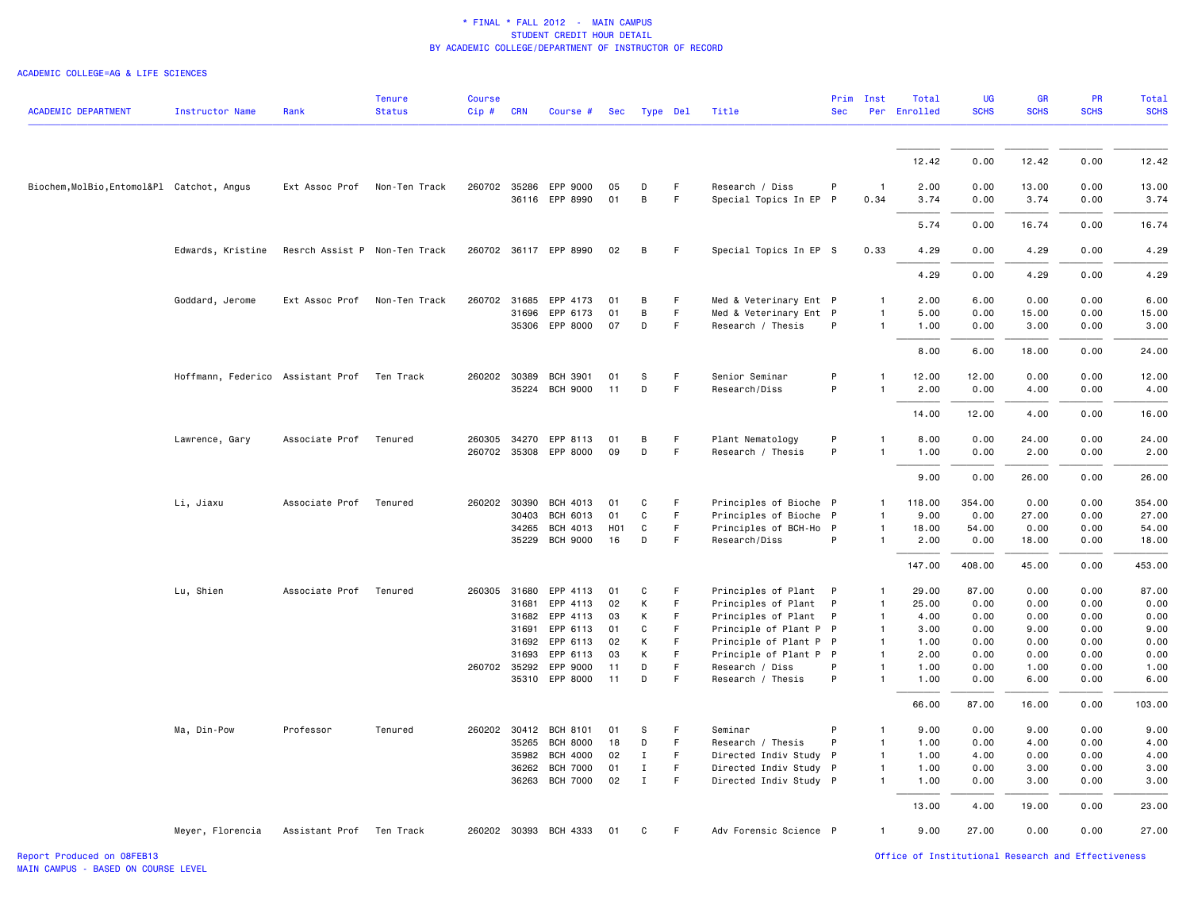| <b>ACADEMIC DEPARTMENT</b>                 | <b>Instructor Name</b>                      | Rank                          | <b>Tenure</b><br><b>Status</b> | <b>Course</b><br>$Cip$ # | <b>CRN</b>     | Course #                          | Sec              | Type Del                     |         | Title                                            | <b>Sec</b>   | Prim Inst                    | Total<br>Per Enrolled | <b>UG</b><br><b>SCHS</b> | <b>GR</b><br><b>SCHS</b> | <b>PR</b><br><b>SCHS</b> | <b>Total</b><br><b>SCHS</b> |
|--------------------------------------------|---------------------------------------------|-------------------------------|--------------------------------|--------------------------|----------------|-----------------------------------|------------------|------------------------------|---------|--------------------------------------------------|--------------|------------------------------|-----------------------|--------------------------|--------------------------|--------------------------|-----------------------------|
|                                            |                                             |                               |                                |                          |                |                                   |                  |                              |         |                                                  |              |                              | 12.42                 | 0.00                     | 12.42                    | 0.00                     | 12.42                       |
|                                            |                                             |                               |                                |                          |                |                                   |                  |                              |         |                                                  |              |                              |                       |                          |                          |                          |                             |
| Biochem, MolBio, Entomol&Pl Catchot, Angus |                                             | Ext Assoc Prof                | Non-Ten Track                  |                          |                | 260702 35286 EPP 9000             | 05               | D                            | F.      | Research / Diss                                  | P            | $\mathbf{1}$                 | 2.00                  | 0.00                     | 13.00                    | 0.00                     | 13.00                       |
|                                            |                                             |                               |                                |                          |                | 36116 EPP 8990                    | 01               | B                            | F       | Special Topics In EP                             | $\mathsf{P}$ | 0.34                         | 3.74                  | 0.00                     | 3.74                     | 0.00                     | 3.74                        |
|                                            |                                             |                               |                                |                          |                |                                   |                  |                              |         |                                                  |              |                              | 5.74                  | 0.00                     | 16.74                    | 0.00                     | 16.74                       |
|                                            | Edwards, Kristine                           | Resrch Assist P Non-Ten Track |                                |                          |                | 260702 36117 EPP 8990             | 02               | B                            | F       | Special Topics In EP S                           |              | 0.33                         | 4.29                  | 0.00                     | 4.29                     | 0.00                     | 4.29                        |
|                                            |                                             |                               |                                |                          |                |                                   |                  |                              |         |                                                  |              |                              | 4.29                  | 0.00                     | 4.29                     | 0.00                     | 4.29                        |
|                                            | Goddard, Jerome                             | Ext Assoc Prof                | Non-Ten Track                  | 260702 31685             |                | EPP 4173                          | 01               | B                            | F       | Med & Veterinary Ent P                           |              | $\mathbf{1}$                 | 2.00                  | 6.00                     | 0.00                     | 0.00                     | 6.00                        |
|                                            |                                             |                               |                                |                          | 31696          | EPP 6173                          | 01               | B                            | F       | Med & Veterinary Ent P                           |              | $\mathbf{1}$                 | 5.00                  | 0.00                     | 15.00                    | 0.00                     | 15.00                       |
|                                            |                                             |                               |                                |                          |                | 35306 EPP 8000                    | 07               | D                            | F       | Research / Thesis                                | P            | $\mathbf{1}$                 | 1.00                  | 0.00                     | 3.00                     | 0.00                     | 3.00                        |
|                                            |                                             |                               |                                |                          |                |                                   |                  |                              |         |                                                  |              |                              | 8.00                  | 6.00                     | 18.00                    | 0.00                     | 24.00                       |
|                                            | Hoffmann, Federico Assistant Prof Ten Track |                               |                                | 260202 30389             |                | <b>BCH 3901</b>                   | 01               | s                            | F       | Senior Seminar                                   | P            | $\mathbf{1}$                 | 12.00                 | 12.00                    | 0.00                     | 0.00                     | 12.00                       |
|                                            |                                             |                               |                                |                          | 35224          | <b>BCH 9000</b>                   | 11               | D                            | F       | Research/Diss                                    | P            | $\mathbf{1}$                 | 2.00                  | 0.00                     | 4.00                     | 0.00                     | 4.00                        |
|                                            |                                             |                               |                                |                          |                |                                   |                  |                              |         |                                                  |              |                              | 14.00                 | 12.00                    | 4.00                     | 0.00                     | 16.00                       |
|                                            | Lawrence, Gary                              | Associate Prof                | Tenured                        |                          |                | 260305 34270 EPP 8113             | 01               | B                            | F       | Plant Nematology                                 | P            | $\mathbf{1}$                 | 8.00                  | 0.00                     | 24.00                    | 0.00                     | 24.00                       |
|                                            |                                             |                               |                                |                          |                | 260702 35308 EPP 8000             | 09               | D                            | F       | Research / Thesis                                | P            | 1                            | 1.00                  | 0.00                     | 2.00                     | 0.00                     | 2.00                        |
|                                            |                                             |                               |                                |                          |                |                                   |                  |                              |         |                                                  |              |                              | 9.00                  | 0.00                     | 26.00                    | 0.00                     | 26.00                       |
|                                            | Li, Jiaxu                                   | Associate Prof                | Tenured                        | 260202                   | 30390          | BCH 4013                          | 01               | C                            | F.      | Principles of Bioche P                           |              | 1                            | 118.00                | 354.00                   | 0.00                     | 0.00                     | 354.00                      |
|                                            |                                             |                               |                                |                          | 30403          | BCH 6013                          | 01               | C                            | F       | Principles of Bioche P                           |              | $\mathbf{1}$                 | 9.00                  | 0.00                     | 27.00                    | 0.00                     | 27.00                       |
|                                            |                                             |                               |                                |                          | 34265          | BCH 4013                          | H <sub>0</sub> 1 | C                            | F       | Principles of BCH-Ho P                           |              | $\mathbf{1}$                 | 18.00                 | 54.00                    | 0.00                     | 0.00                     | 54.00                       |
|                                            |                                             |                               |                                |                          |                | 35229 BCH 9000                    | 16               | D                            | F       | Research/Diss                                    | P            | $\mathbf{1}$                 | 2.00                  | 0.00                     | 18.00                    | 0.00                     | 18.00                       |
|                                            |                                             |                               |                                |                          |                |                                   |                  |                              |         |                                                  |              |                              | 147.00                | 408.00                   | 45.00                    | 0.00                     | 453.00                      |
|                                            | Lu, Shien                                   | Associate Prof                | Tenured                        | 260305 31680             |                | EPP 4113                          | 01               | C                            | F       | Principles of Plant P                            |              | $\mathbf{1}$                 | 29.00                 | 87.00                    | 0.00                     | 0.00                     | 87.00                       |
|                                            |                                             |                               |                                |                          | 31681          | EPP 4113                          | 02               | К                            | F       | Principles of Plant                              | P            | $\mathbf{1}$                 | 25.00                 | 0.00                     | 0.00                     | 0.00                     | 0.00                        |
|                                            |                                             |                               |                                |                          | 31682          | EPP 4113                          | 03               | К                            | F       | Principles of Plant                              | P            | $\mathbf{1}$                 | 4.00                  | 0.00                     | 0.00                     | 0.00                     | 0.00                        |
|                                            |                                             |                               |                                |                          | 31691<br>31692 | EPP 6113<br>EPP 6113              | 01<br>02         | C<br>К                       | F.<br>F | Principle of Plant P P<br>Principle of Plant P P |              | $\mathbf{1}$<br>$\mathbf{1}$ | 3.00<br>1.00          | 0.00<br>0.00             | 9.00<br>0.00             | 0.00<br>0.00             | 9.00<br>0.00                |
|                                            |                                             |                               |                                |                          | 31693          | EPP 6113                          | 03               | К                            | F.      | Principle of Plant P P                           |              | $\mathbf{1}$                 | 2.00                  | 0.00                     | 0.00                     | 0.00                     | 0.00                        |
|                                            |                                             |                               |                                | 260702 35292             |                | EPP 9000                          | 11               | D                            | F       | Research / Diss                                  | P            | $\mathbf{1}$                 | 1.00                  | 0.00                     | 1.00                     | 0.00                     | 1.00                        |
|                                            |                                             |                               |                                |                          |                | 35310 EPP 8000                    | 11               | D                            | F       | Research / Thesis                                | P            | $\mathbf{1}$                 | 1.00                  | 0.00                     | 6.00                     | 0.00                     | 6.00                        |
|                                            |                                             |                               |                                |                          |                |                                   |                  |                              |         |                                                  |              |                              | 66.00                 | 87.00                    | 16.00                    | 0.00                     | 103.00                      |
|                                            | Ma, Din-Pow                                 | Professor                     | Tenured                        |                          |                | 260202 30412 BCH 8101             | 01               | S                            | F       | Seminar                                          | P            | $\mathbf{1}$                 | 9.00                  | 0.00                     | 9.00                     | 0.00                     | 9.00                        |
|                                            |                                             |                               |                                |                          | 35265          | <b>BCH 8000</b>                   | 18               | D                            | F.      | Research / Thesis                                | P            | $\mathbf{1}$                 | 1.00                  | 0.00                     | 4.00                     | 0.00                     | 4.00                        |
|                                            |                                             |                               |                                |                          | 35982          | <b>BCH 4000</b>                   | 02               | $\mathbf{I}$                 | F       | Directed Indiv Study P                           |              | $\mathbf{1}$                 | 1.00                  | 4.00                     | 0.00                     | 0.00                     | 4.00                        |
|                                            |                                             |                               |                                |                          | 36262          | <b>BCH 7000</b><br>36263 BCH 7000 | 01<br>02         | $\mathbf{I}$<br>$\mathbf{I}$ | F<br>F. | Directed Indiv Study P<br>Directed Indiv Study P |              | $\mathbf{1}$<br>$\mathbf{1}$ | 1.00<br>1.00          | 0.00<br>0.00             | 3.00<br>3.00             | 0.00<br>0.00             | 3.00<br>3.00                |
|                                            |                                             |                               |                                |                          |                |                                   |                  |                              |         |                                                  |              |                              |                       |                          |                          |                          |                             |
|                                            |                                             |                               |                                |                          |                |                                   |                  |                              |         |                                                  |              |                              | 13.00                 | 4.00                     | 19.00                    | 0.00                     | 23.00                       |
|                                            | Meyer, Florencia                            | Assistant Prof Ten Track      |                                |                          |                | 260202 30393 BCH 4333             | 01               | C                            | F       | Adv Forensic Science P                           |              | $\mathbf{1}$                 | 9.00                  | 27.00                    | 0.00                     | 0.00                     | 27.00                       |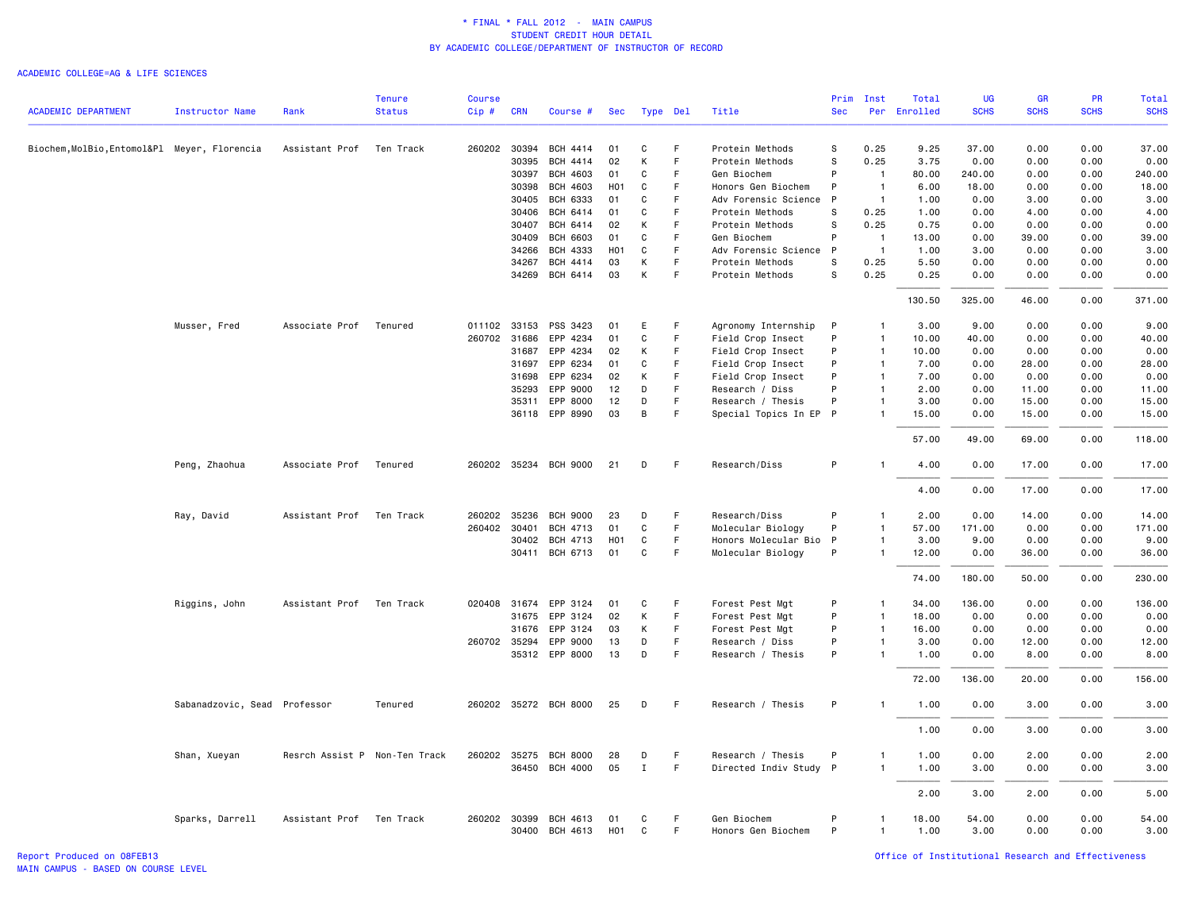#### ACADEMIC COLLEGE=AG & LIFE SCIENCES

|                                              |                              |                 | <b>Tenure</b> | <b>Course</b> |              |                            |                  |              |          |                                             |              | Prim Inst                    | Total         | <b>UG</b>    | <b>GR</b>      | PR           | Total          |
|----------------------------------------------|------------------------------|-----------------|---------------|---------------|--------------|----------------------------|------------------|--------------|----------|---------------------------------------------|--------------|------------------------------|---------------|--------------|----------------|--------------|----------------|
| <b>ACADEMIC DEPARTMENT</b>                   | <b>Instructor Name</b>       | Rank            | <b>Status</b> | Cip#          | <b>CRN</b>   | Course #                   | <b>Sec</b>       |              | Type Del | Title                                       | <b>Sec</b>   | Per                          | Enrolled      | <b>SCHS</b>  | <b>SCHS</b>    | <b>SCHS</b>  | <b>SCHS</b>    |
| Biochem, MolBio, Entomol&Pl Meyer, Florencia |                              | Assistant Prof  | Ten Track     | 260202 30394  |              | BCH 4414                   | 01               | C            | F        | Protein Methods                             | s            | 0.25                         | 9.25          | 37.00        | 0.00           | 0.00         | 37.00          |
|                                              |                              |                 |               |               | 30395        | BCH 4414                   | 02               | К            | F        | Protein Methods                             | S            | 0.25                         | 3.75          | 0.00         | 0.00           | 0.00         | 0.00           |
|                                              |                              |                 |               |               | 30397        | <b>BCH 4603</b>            | 01               | $\mathbf c$  | F        | Gen Biochem                                 | P            | $\overline{1}$               | 80.00         | 240.00       | 0.00           | 0.00         | 240.00         |
|                                              |                              |                 |               |               | 30398        | BCH 4603                   | H <sub>0</sub> 1 | C            | F.       | Honors Gen Biochem                          | P            | $\overline{1}$               | 6.00          | 18.00        | 0.00           | 0.00         | 18.00          |
|                                              |                              |                 |               |               | 30405        | BCH 6333                   | 01               | C            | F        | Adv Forensic Science                        | P            | $\overline{1}$               | 1.00          | 0.00         | 3.00           | 0.00         | 3.00           |
|                                              |                              |                 |               |               | 30406        | BCH 6414                   | 01               | C            | F        | Protein Methods                             | S            | 0.25                         | 1.00          | 0.00         | 4.00           | 0.00         | 4.00           |
|                                              |                              |                 |               |               | 30407        | BCH 6414                   | 02               | К            | F        | Protein Methods                             | S            | 0.25                         | 0.75          | 0.00         | 0.00           | 0.00         | 0.00           |
|                                              |                              |                 |               |               | 30409        | <b>BCH 6603</b>            | 01               | C            | F.       | Gen Biochem                                 | P            | $\overline{1}$               | 13.00         | 0.00         | 39.00          | 0.00         | 39.00          |
|                                              |                              |                 |               |               | 34266        | BCH 4333                   | H <sub>0</sub> 1 | C            | F        | Adv Forensic Science                        | P            | $\overline{1}$               | 1.00          | 3.00         | 0.00           | 0.00         | 3.00           |
|                                              |                              |                 |               |               | 34267        | BCH 4414                   | 03               | К            | F.       | Protein Methods                             | S            | 0.25                         | 5.50          | 0.00         | 0.00           | 0.00         | 0.00           |
|                                              |                              |                 |               |               | 34269        | BCH 6414                   | 03               | К            | F        | Protein Methods                             | S            | 0.25                         | 0.25          | 0.00         | 0.00           | 0.00         | 0.00           |
|                                              |                              |                 |               |               |              |                            |                  |              |          |                                             |              |                              | 130.50        | 325.00       | 46.00          | 0.00         | 371.00         |
|                                              | Musser, Fred                 | Associate Prof  | Tenured       | 011102 33153  |              | PSS 3423                   | 01               | E            | F        | Agronomy Internship                         | $\mathsf{P}$ | -1                           | 3.00          | 9.00         | 0.00           | 0.00         | 9.00           |
|                                              |                              |                 |               | 260702 31686  |              | EPP 4234                   | 01               | C            | F.       | Field Crop Insect                           | P            | $\mathbf{1}$                 | 10.00         | 40.00        | 0.00           | 0.00         | 40.00          |
|                                              |                              |                 |               |               | 31687        | EPP 4234                   | 02               | К            | F        | Field Crop Insect                           | P            | $\mathbf{1}$                 | 10.00         | 0.00         | 0.00           | 0.00         | 0.00           |
|                                              |                              |                 |               |               | 31697        | EPP 6234                   | 01               | C            | F        | Field Crop Insect                           | P            | $\mathbf{1}$                 | 7.00          | 0.00         | 28.00          | 0.00         | 28.00          |
|                                              |                              |                 |               |               | 31698        | EPP 6234                   | 02               | К            | F        | Field Crop Insect                           | P            | $\mathbf{1}$                 | 7.00          | 0.00         | 0.00           | 0.00         | 0.00           |
|                                              |                              |                 |               |               | 35293        | EPP 9000                   | 12               | D            | F.       | Research / Diss                             | P            | $\mathbf{1}$                 | 2.00          | 0.00         | 11.00          | 0.00         | 11.00          |
|                                              |                              |                 |               |               | 35311        | EPP 8000<br>36118 EPP 8990 | 12<br>03         | D<br>B       | F.<br>F  | Research / Thesis<br>Special Topics In EP P | P            | $\mathbf{1}$<br>$\mathbf{1}$ | 3.00<br>15.00 | 0.00<br>0.00 | 15.00<br>15.00 | 0.00<br>0.00 | 15.00<br>15.00 |
|                                              |                              |                 |               |               |              |                            |                  |              |          |                                             |              |                              | 57.00         | 49.00        | 69.00          | 0.00         | 118.00         |
|                                              | Peng, Zhaohua                | Associate Prof  | Tenured       |               |              | 260202 35234 BCH 9000      | 21               | D            | F        | Research/Diss                               | P            | $\mathbf{1}$                 | 4.00          | 0.00         | 17.00          | 0.00         | 17.00          |
|                                              |                              |                 |               |               |              |                            |                  |              |          |                                             |              |                              | 4.00          | 0.00         | 17.00          | 0.00         | 17.00          |
|                                              |                              |                 |               |               |              |                            |                  |              |          |                                             |              |                              |               |              |                |              |                |
|                                              | Ray, David                   | Assistant Prof  | Ten Track     | 260202 35236  |              | <b>BCH 9000</b>            | 23               | D            | F        | Research/Diss                               | P            | $\mathbf{1}$                 | 2.00          | 0.00         | 14.00          | 0.00         | 14.00          |
|                                              |                              |                 |               |               | 260402 30401 | <b>BCH 4713</b>            | 01               | $\mathtt{C}$ | F        | Molecular Biology                           | P            | $\mathbf{1}$                 | 57.00         | 171.00       | 0.00           | 0.00         | 171.00         |
|                                              |                              |                 |               |               | 30402        | BCH 4713                   | H01              | C            | F.       | Honors Molecular Bio P                      |              | $\mathbf{1}$                 | 3.00          | 9.00         | 0.00           | 0.00         | 9.00           |
|                                              |                              |                 |               |               | 30411        | BCH 6713                   | 01               | C            | F.       | Molecular Biology                           | P            | $\mathbf{1}$                 | 12.00         | 0.00         | 36.00          | 0.00         | 36.00          |
|                                              |                              |                 |               |               |              |                            |                  |              |          |                                             |              |                              | 74.00         | 180.00       | 50.00          | 0.00         | 230.00         |
|                                              | Riggins, John                | Assistant Prof  | Ten Track     | 020408        | 31674        | EPP 3124                   | 01               | C            | F.       | Forest Pest Mgt                             | P            | $\mathbf{1}$                 | 34.00         | 136.00       | 0.00           | 0.00         | 136.00         |
|                                              |                              |                 |               |               | 31675        | EPP 3124                   | 02               | К            | F        | Forest Pest Mgt                             | P            | $\mathbf{1}$                 | 18.00         | 0.00         | 0.00           | 0.00         | 0.00           |
|                                              |                              |                 |               |               | 31676        | EPP 3124                   | 03               | K            | F.       | Forest Pest Mgt                             | P            | $\mathbf{1}$                 | 16.00         | 0.00         | 0.00           | 0.00         | 0.00           |
|                                              |                              |                 |               | 260702 35294  |              | EPP 9000                   | 13               | D            | F        | Research / Diss                             | P            | $\mathbf{1}$                 | 3.00          | 0.00         | 12.00          | 0.00         | 12.00          |
|                                              |                              |                 |               |               |              | 35312 EPP 8000             | 13               | D            | F.       | Research / Thesis                           | P            | $\mathbf{1}$                 | 1.00          | 0.00         | 8.00           | 0.00         | 8.00           |
|                                              |                              |                 |               |               |              |                            |                  |              |          |                                             |              |                              | 72.00         | 136.00       | 20.00          | 0.00         | 156.00         |
|                                              | Sabanadzovic, Sead Professor |                 | Tenured       |               |              | 260202 35272 BCH 8000      | 25               | D            | F.       | Research / Thesis                           | P            | $\mathbf{1}$                 | 1.00          | 0.00         | 3.00           | 0.00         | 3.00           |
|                                              |                              |                 |               |               |              |                            |                  |              |          |                                             |              |                              | 1.00          | 0.00         | 3.00           | 0.00         | 3.00           |
|                                              | Shan, Xueyan                 | Resrch Assist P | Non-Ten Track | 260202 35275  |              | <b>BCH 8000</b>            | 28               | D            | F        | Research / Thesis                           | P            | $\mathbf{1}$                 | 1.00          | 0.00         | 2.00           | 0.00         | 2.00           |
|                                              |                              |                 |               |               | 36450        | <b>BCH 4000</b>            | 05               | $\mathbf{I}$ | F        | Directed Indiv Study P                      |              | $\mathbf{1}$                 | 1.00          | 3.00         | 0.00           | 0.00         | 3.00           |
|                                              |                              |                 |               |               |              |                            |                  |              |          |                                             |              |                              | 2.00          | 3.00         | 2.00           | 0.00         | 5.00           |
|                                              | Sparks, Darrell              | Assistant Prof  | Ten Track     |               | 260202 30399 | BCH 4613                   | 01               | C            | F        | Gen Biochem                                 | P            | 1                            | 18.00         | 54.00        | 0.00           | 0.00         | 54.00          |
|                                              |                              |                 |               |               |              | 30400 BCH 4613             | H <sub>0</sub> 1 | C            | F.       | Honors Gen Biochem                          | P            | $\mathbf{1}$                 | 1.00          | 3.00         | 0.00           | 0.00         | 3.00           |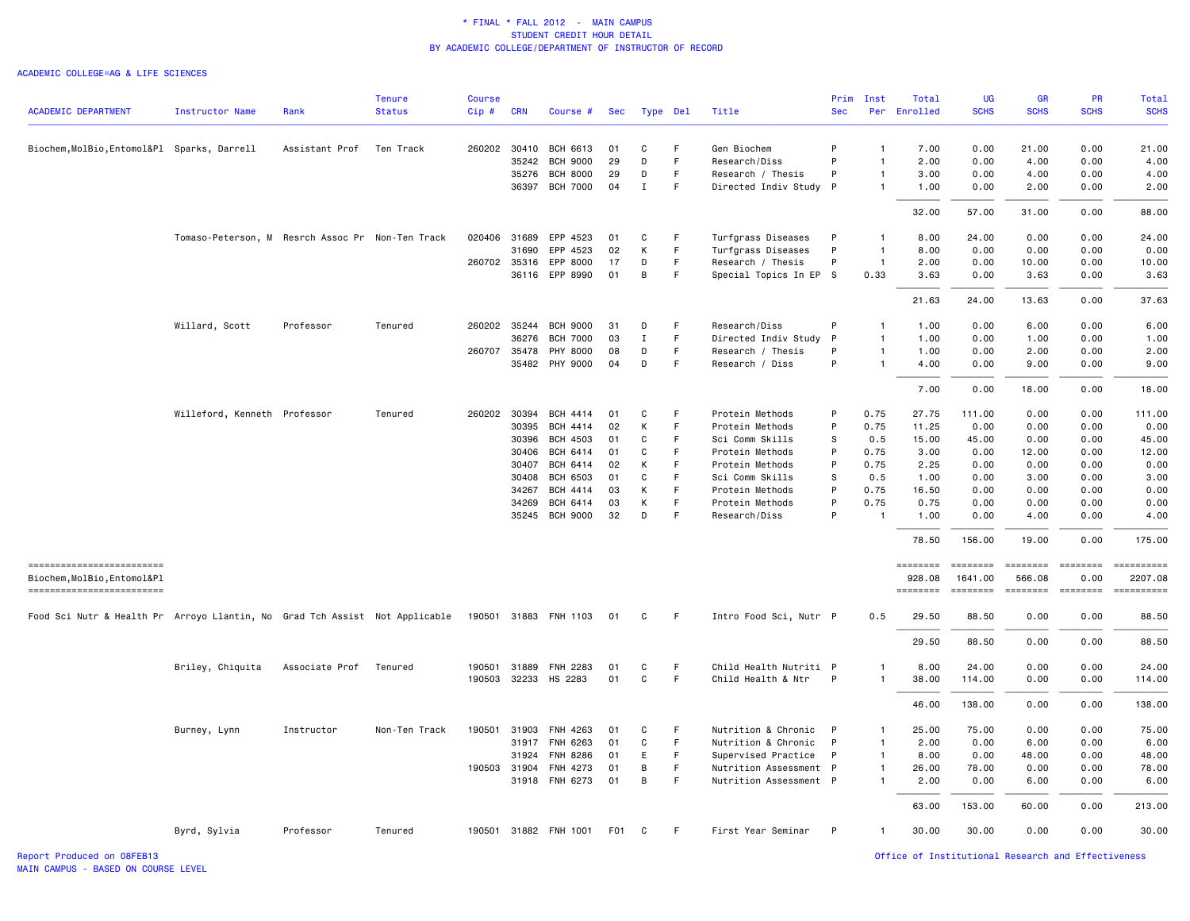|                                                                             |                                                  |                | <b>Tenure</b> | <b>Course</b> |              |                       |            |             |             |                        | Prim         | Inst           | Total              | UG                  | <b>GR</b>                                                                                                                                                                                                                                                                                                                                                                                                                                                                              | <b>PR</b>                                                                                                                                                                                                                                                                                                                                                                                                                                                                              | Total                 |
|-----------------------------------------------------------------------------|--------------------------------------------------|----------------|---------------|---------------|--------------|-----------------------|------------|-------------|-------------|------------------------|--------------|----------------|--------------------|---------------------|----------------------------------------------------------------------------------------------------------------------------------------------------------------------------------------------------------------------------------------------------------------------------------------------------------------------------------------------------------------------------------------------------------------------------------------------------------------------------------------|----------------------------------------------------------------------------------------------------------------------------------------------------------------------------------------------------------------------------------------------------------------------------------------------------------------------------------------------------------------------------------------------------------------------------------------------------------------------------------------|-----------------------|
| <b>ACADEMIC DEPARTMENT</b>                                                  | <b>Instructor Name</b>                           | Rank           | <b>Status</b> | Cip#          | <b>CRN</b>   | Course #              | <b>Sec</b> |             | Type Del    | Title                  | <b>Sec</b>   |                | Per Enrolled       | <b>SCHS</b>         | <b>SCHS</b>                                                                                                                                                                                                                                                                                                                                                                                                                                                                            | <b>SCHS</b>                                                                                                                                                                                                                                                                                                                                                                                                                                                                            | <b>SCHS</b>           |
| Biochem, MolBio, Entomol&Pl Sparks, Darrell                                 |                                                  | Assistant Prof | Ten Track     |               | 260202 30410 | BCH 6613              | 01         | C           | F           | Gen Biochem            | P            | $\overline{1}$ | 7.00               | 0.00                | 21.00                                                                                                                                                                                                                                                                                                                                                                                                                                                                                  | 0.00                                                                                                                                                                                                                                                                                                                                                                                                                                                                                   | 21.00                 |
|                                                                             |                                                  |                |               |               | 35242        | <b>BCH 9000</b>       | 29         | D           | $\mathsf F$ | Research/Diss          | P            | $\mathbf{1}$   | 2.00               | 0.00                | 4.00                                                                                                                                                                                                                                                                                                                                                                                                                                                                                   | 0.00                                                                                                                                                                                                                                                                                                                                                                                                                                                                                   | 4.00                  |
|                                                                             |                                                  |                |               |               | 35276        | <b>BCH 8000</b>       | 29         | D           | F.          | Research / Thesis      | P            | $\mathbf{1}$   | 3.00               | 0.00                | 4.00                                                                                                                                                                                                                                                                                                                                                                                                                                                                                   | 0.00                                                                                                                                                                                                                                                                                                                                                                                                                                                                                   | 4.00                  |
|                                                                             |                                                  |                |               |               | 36397        | <b>BCH 7000</b>       | 04         | $\mathbf I$ | F           | Directed Indiv Study   | $\mathsf{P}$ | $\overline{1}$ | 1.00               | 0.00                | 2.00                                                                                                                                                                                                                                                                                                                                                                                                                                                                                   | 0.00                                                                                                                                                                                                                                                                                                                                                                                                                                                                                   | 2.00                  |
|                                                                             |                                                  |                |               |               |              |                       |            |             |             |                        |              |                | 32.00              | 57.00               | 31.00                                                                                                                                                                                                                                                                                                                                                                                                                                                                                  | 0.00                                                                                                                                                                                                                                                                                                                                                                                                                                                                                   | 88.00                 |
|                                                                             | Tomaso-Peterson, M Resrch Assoc Pr Non-Ten Track |                |               |               | 020406 31689 | EPP 4523              | 01         | C           | F           | Turfgrass Diseases     | P            | $\mathbf{1}$   | 8.00               | 24.00               | 0.00                                                                                                                                                                                                                                                                                                                                                                                                                                                                                   | 0.00                                                                                                                                                                                                                                                                                                                                                                                                                                                                                   | 24.00                 |
|                                                                             |                                                  |                |               |               | 31690        | EPP 4523              | 02         | К           | F           | Turfgrass Diseases     | P            | $\overline{1}$ | 8.00               | 0.00                | 0.00                                                                                                                                                                                                                                                                                                                                                                                                                                                                                   | 0.00                                                                                                                                                                                                                                                                                                                                                                                                                                                                                   | 0.00                  |
|                                                                             |                                                  |                |               |               | 260702 35316 | EPP 8000              | 17         | D           | F.          | Research / Thesis      | P            | $\overline{1}$ | 2.00               | 0.00                | 10.00                                                                                                                                                                                                                                                                                                                                                                                                                                                                                  | 0.00                                                                                                                                                                                                                                                                                                                                                                                                                                                                                   | 10.00                 |
|                                                                             |                                                  |                |               |               |              | 36116 EPP 8990        | 01         | B           | F           | Special Topics In EP S |              | 0.33           | 3.63               | 0.00                | 3.63                                                                                                                                                                                                                                                                                                                                                                                                                                                                                   | 0.00                                                                                                                                                                                                                                                                                                                                                                                                                                                                                   | 3.63                  |
|                                                                             |                                                  |                |               |               |              |                       |            |             |             |                        |              |                | 21.63              | 24,00               | 13.63                                                                                                                                                                                                                                                                                                                                                                                                                                                                                  | 0.00                                                                                                                                                                                                                                                                                                                                                                                                                                                                                   | 37.63                 |
|                                                                             | Willard, Scott                                   | Professor      | Tenured       |               | 260202 35244 | <b>BCH 9000</b>       | 31         | D           | F           | Research/Diss          | P            | $\mathbf{1}$   | 1.00               | 0.00                | 6.00                                                                                                                                                                                                                                                                                                                                                                                                                                                                                   | 0.00                                                                                                                                                                                                                                                                                                                                                                                                                                                                                   | 6.00                  |
|                                                                             |                                                  |                |               |               | 36276        | <b>BCH 7000</b>       | 03         | $\mathbf I$ | F.          | Directed Indiv Study   | P            | $\overline{1}$ | 1.00               | 0.00                | 1.00                                                                                                                                                                                                                                                                                                                                                                                                                                                                                   | 0.00                                                                                                                                                                                                                                                                                                                                                                                                                                                                                   | 1.00                  |
|                                                                             |                                                  |                |               |               | 260707 35478 | PHY 8000              | 08         | D           | F           | Research / Thesis      | P            | $\mathbf{1}$   | 1.00               | 0.00                | 2.00                                                                                                                                                                                                                                                                                                                                                                                                                                                                                   | 0.00                                                                                                                                                                                                                                                                                                                                                                                                                                                                                   | 2.00                  |
|                                                                             |                                                  |                |               |               |              | 35482 PHY 9000        | 04         | D           | F.          | Research / Diss        | P            | $\overline{1}$ | 4.00               | 0.00                | 9.00                                                                                                                                                                                                                                                                                                                                                                                                                                                                                   | 0.00                                                                                                                                                                                                                                                                                                                                                                                                                                                                                   | 9.00                  |
|                                                                             |                                                  |                |               |               |              |                       |            |             |             |                        |              |                | 7.00               | 0.00                | 18.00                                                                                                                                                                                                                                                                                                                                                                                                                                                                                  | 0.00                                                                                                                                                                                                                                                                                                                                                                                                                                                                                   | 18.00                 |
|                                                                             | Willeford, Kenneth Professor                     |                | Tenured       |               | 260202 30394 | BCH 4414              | 01         | C           | F           | Protein Methods        | P            | 0.75           | 27.75              | 111.00              | 0.00                                                                                                                                                                                                                                                                                                                                                                                                                                                                                   | 0.00                                                                                                                                                                                                                                                                                                                                                                                                                                                                                   | 111.00                |
|                                                                             |                                                  |                |               |               | 30395        | <b>BCH 4414</b>       | 02         | К           | F           | Protein Methods        | P            | 0.75           | 11.25              | 0.00                | 0.00                                                                                                                                                                                                                                                                                                                                                                                                                                                                                   | 0.00                                                                                                                                                                                                                                                                                                                                                                                                                                                                                   | 0.00                  |
|                                                                             |                                                  |                |               |               | 30396        | BCH 4503              | 01         | C           | F.          | Sci Comm Skills        | s            | 0.5            | 15.00              | 45.00               | 0.00                                                                                                                                                                                                                                                                                                                                                                                                                                                                                   | 0.00                                                                                                                                                                                                                                                                                                                                                                                                                                                                                   | 45.00                 |
|                                                                             |                                                  |                |               |               | 30406        | BCH 6414              | 01         | C           | F           | Protein Methods        | P            | 0.75           | 3.00               | 0.00                | 12.00                                                                                                                                                                                                                                                                                                                                                                                                                                                                                  | 0.00                                                                                                                                                                                                                                                                                                                                                                                                                                                                                   | 12.00                 |
|                                                                             |                                                  |                |               |               | 30407        | BCH 6414              | 02         | К           | F.          | Protein Methods        | P            | 0.75           | 2.25               | 0.00                | 0.00                                                                                                                                                                                                                                                                                                                                                                                                                                                                                   | 0.00                                                                                                                                                                                                                                                                                                                                                                                                                                                                                   | 0.00                  |
|                                                                             |                                                  |                |               |               | 30408        | <b>BCH 6503</b>       | 01         | C           | E           | Sci Comm Skills        | s            | 0.5            | 1.00               | 0.00                | 3.00                                                                                                                                                                                                                                                                                                                                                                                                                                                                                   | 0.00                                                                                                                                                                                                                                                                                                                                                                                                                                                                                   | 3.00                  |
|                                                                             |                                                  |                |               |               | 34267        | BCH 4414              | 03         | К           | F.          | Protein Methods        | P            | 0.75           | 16.50              | 0.00                | 0.00                                                                                                                                                                                                                                                                                                                                                                                                                                                                                   | 0.00                                                                                                                                                                                                                                                                                                                                                                                                                                                                                   | 0.00                  |
|                                                                             |                                                  |                |               |               | 34269        | BCH 6414              | 03         | Κ           | F           | Protein Methods        | P            | 0.75           | 0.75               | 0.00                | 0.00                                                                                                                                                                                                                                                                                                                                                                                                                                                                                   | 0.00                                                                                                                                                                                                                                                                                                                                                                                                                                                                                   | 0.00                  |
|                                                                             |                                                  |                |               |               | 35245        | <b>BCH 9000</b>       | 32         | D           | F           | Research/Diss          | P            | -1             | 1.00               | 0.00                | 4.00                                                                                                                                                                                                                                                                                                                                                                                                                                                                                   | 0.00                                                                                                                                                                                                                                                                                                                                                                                                                                                                                   | 4.00                  |
|                                                                             |                                                  |                |               |               |              |                       |            |             |             |                        |              |                | 78.50              | 156.00              | 19.00                                                                                                                                                                                                                                                                                                                                                                                                                                                                                  | 0.00                                                                                                                                                                                                                                                                                                                                                                                                                                                                                   | 175.00                |
| -------------------------<br>Biochem, MolBio, Entomol&Pl                    |                                                  |                |               |               |              |                       |            |             |             |                        |              |                | ========<br>928.08 | ========<br>1641.00 | ========<br>566.08                                                                                                                                                                                                                                                                                                                                                                                                                                                                     | $=$ ========<br>0.00                                                                                                                                                                                                                                                                                                                                                                                                                                                                   | ==========<br>2207.08 |
| -------------------------                                                   |                                                  |                |               |               |              |                       |            |             |             |                        |              |                | ========           | $= 222222222$       | $\begin{array}{cccccccccc} \multicolumn{2}{c}{} & \multicolumn{2}{c}{} & \multicolumn{2}{c}{} & \multicolumn{2}{c}{} & \multicolumn{2}{c}{} & \multicolumn{2}{c}{} & \multicolumn{2}{c}{} & \multicolumn{2}{c}{} & \multicolumn{2}{c}{} & \multicolumn{2}{c}{} & \multicolumn{2}{c}{} & \multicolumn{2}{c}{} & \multicolumn{2}{c}{} & \multicolumn{2}{c}{} & \multicolumn{2}{c}{} & \multicolumn{2}{c}{} & \multicolumn{2}{c}{} & \multicolumn{2}{c}{} & \multicolumn{2}{c}{} & \mult$ | $\begin{array}{cccccccccc} \multicolumn{2}{c}{} & \multicolumn{2}{c}{} & \multicolumn{2}{c}{} & \multicolumn{2}{c}{} & \multicolumn{2}{c}{} & \multicolumn{2}{c}{} & \multicolumn{2}{c}{} & \multicolumn{2}{c}{} & \multicolumn{2}{c}{} & \multicolumn{2}{c}{} & \multicolumn{2}{c}{} & \multicolumn{2}{c}{} & \multicolumn{2}{c}{} & \multicolumn{2}{c}{} & \multicolumn{2}{c}{} & \multicolumn{2}{c}{} & \multicolumn{2}{c}{} & \multicolumn{2}{c}{} & \multicolumn{2}{c}{} & \mult$ | ==========            |
| Food Sci Nutr & Health Pr Arroyo Llantin, No Grad Tch Assist Not Applicable |                                                  |                |               |               |              | 190501 31883 FNH 1103 | 01         | C           | F.          | Intro Food Sci, Nutr P |              | 0.5            | 29.50              | 88.50               | 0.00                                                                                                                                                                                                                                                                                                                                                                                                                                                                                   | 0.00                                                                                                                                                                                                                                                                                                                                                                                                                                                                                   | 88.50                 |
|                                                                             |                                                  |                |               |               |              |                       |            |             |             |                        |              |                | 29.50              | 88.50               | 0.00                                                                                                                                                                                                                                                                                                                                                                                                                                                                                   | 0.00                                                                                                                                                                                                                                                                                                                                                                                                                                                                                   | 88.50                 |
|                                                                             | Briley, Chiquita                                 | Associate Prof | Tenured       |               | 190501 31889 | <b>FNH 2283</b>       | 01         | C           | F           | Child Health Nutriti P |              |                | 8.00               | 24.00               | 0.00                                                                                                                                                                                                                                                                                                                                                                                                                                                                                   | 0.00                                                                                                                                                                                                                                                                                                                                                                                                                                                                                   | 24.00                 |
|                                                                             |                                                  |                |               |               | 190503 32233 | HS 2283               | 01         | C           | F           | Child Health & Ntr     | P            | $\overline{1}$ | 38.00              | 114.00              | 0.00                                                                                                                                                                                                                                                                                                                                                                                                                                                                                   | 0.00                                                                                                                                                                                                                                                                                                                                                                                                                                                                                   | 114.00                |
|                                                                             |                                                  |                |               |               |              |                       |            |             |             |                        |              |                | 46.00              | 138.00              | 0.00                                                                                                                                                                                                                                                                                                                                                                                                                                                                                   | 0.00                                                                                                                                                                                                                                                                                                                                                                                                                                                                                   | 138.00                |
|                                                                             | Burney, Lynn                                     | Instructor     | Non-Ten Track | 190501        | 31903        | FNH 4263              | 01         | C           | F           | Nutrition & Chronic    | -P           | $\mathbf{1}$   | 25.00              | 75.00               | 0.00                                                                                                                                                                                                                                                                                                                                                                                                                                                                                   | 0.00                                                                                                                                                                                                                                                                                                                                                                                                                                                                                   | 75.00                 |
|                                                                             |                                                  |                |               |               | 31917        | FNH 6263              | 01         | C           | F           | Nutrition & Chronic    | P            | $\overline{1}$ | 2.00               | 0.00                | 6.00                                                                                                                                                                                                                                                                                                                                                                                                                                                                                   | 0.00                                                                                                                                                                                                                                                                                                                                                                                                                                                                                   | 6.00                  |
|                                                                             |                                                  |                |               |               | 31924        | FNH 8286              | 01         | E           | F           | Supervised Practice    | P            | $\mathbf{1}$   | 8.00               | 0.00                | 48.00                                                                                                                                                                                                                                                                                                                                                                                                                                                                                  | 0.00                                                                                                                                                                                                                                                                                                                                                                                                                                                                                   | 48.00                 |
|                                                                             |                                                  |                |               |               | 190503 31904 | FNH 4273              | 01         | B           | E           | Nutrition Assessment P |              | $\mathbf{1}$   | 26.00              | 78.00               | 0.00                                                                                                                                                                                                                                                                                                                                                                                                                                                                                   | 0.00                                                                                                                                                                                                                                                                                                                                                                                                                                                                                   | 78.00                 |
|                                                                             |                                                  |                |               |               |              | 31918 FNH 6273        | 01         | В           | F.          | Nutrition Assessment P |              | $\mathbf{1}$   | 2.00               | 0.00                | 6.00                                                                                                                                                                                                                                                                                                                                                                                                                                                                                   | 0.00                                                                                                                                                                                                                                                                                                                                                                                                                                                                                   | 6.00                  |
|                                                                             |                                                  |                |               |               |              |                       |            |             |             |                        |              |                | 63.00              | 153.00              | 60.00                                                                                                                                                                                                                                                                                                                                                                                                                                                                                  | 0.00                                                                                                                                                                                                                                                                                                                                                                                                                                                                                   | 213.00                |
|                                                                             | Byrd, Sylvia                                     | Professor      | Tenured       |               |              | 190501 31882 FNH 1001 | F01        | C           | -F          | First Year Seminar     | P            | $\overline{1}$ | 30.00              | 30.00               | 0.00                                                                                                                                                                                                                                                                                                                                                                                                                                                                                   | 0.00                                                                                                                                                                                                                                                                                                                                                                                                                                                                                   | 30.00                 |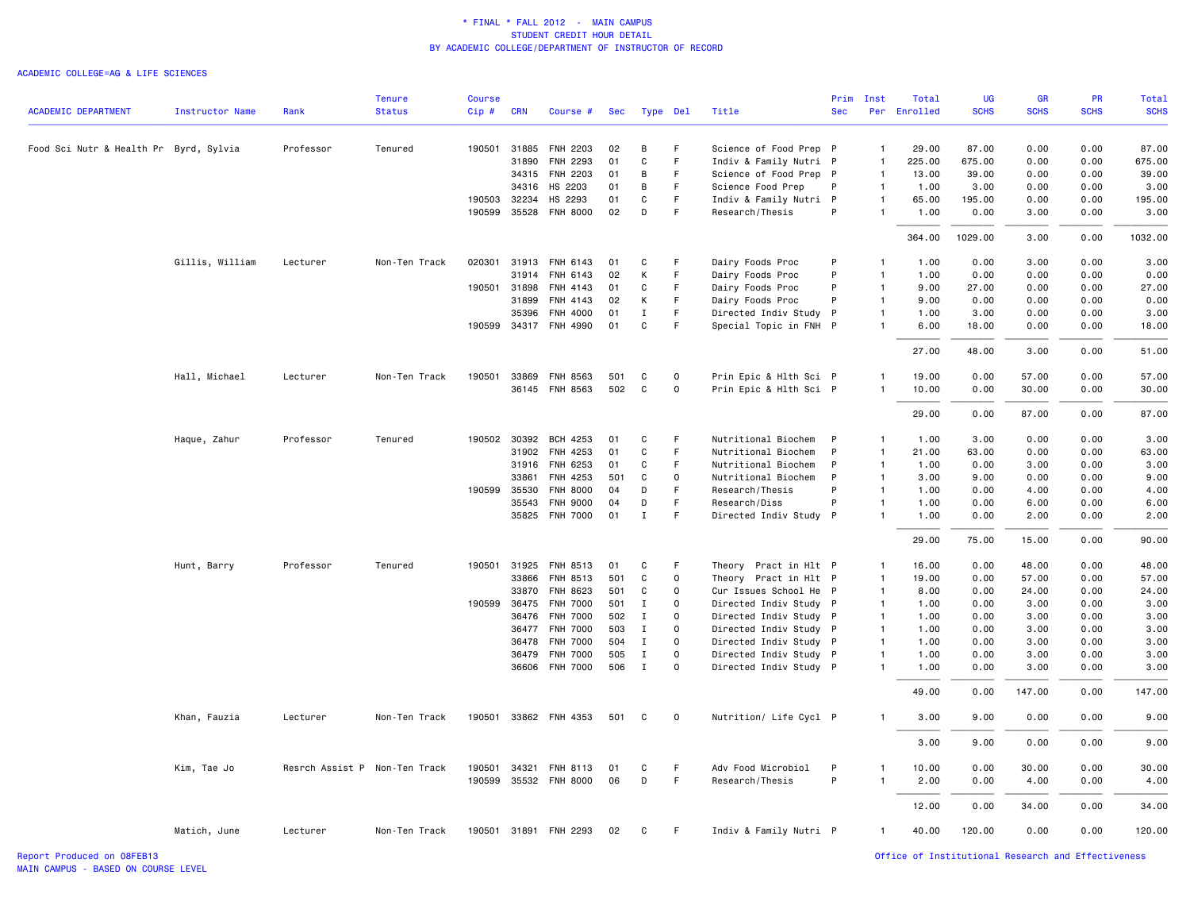#### ACADEMIC COLLEGE=AG & LIFE SCIENCES

|                                        |                        |                               | Tenure        | <b>Course</b> |              |                       |     |              |              |                        | Prim         | Inst           | Total           | UG          | <b>GR</b>   | PR          | Total       |
|----------------------------------------|------------------------|-------------------------------|---------------|---------------|--------------|-----------------------|-----|--------------|--------------|------------------------|--------------|----------------|-----------------|-------------|-------------|-------------|-------------|
| <b>ACADEMIC DEPARTMENT</b>             | <b>Instructor Name</b> | Rank                          | <b>Status</b> | Cip#          | <b>CRN</b>   | Course #              | Sec |              | Type Del     | Title                  | <b>Sec</b>   |                | Per Enrolled    | <b>SCHS</b> | <b>SCHS</b> | <b>SCHS</b> | <b>SCHS</b> |
|                                        |                        | Professor                     |               |               | 190501 31885 | FNH 2203              | 02  | В            | F            | Science of Food Prep P |              | $\mathbf{1}$   |                 | 87.00       | 0.00        | 0.00        | 87.00       |
| Food Sci Nutr & Health Pr Byrd, Sylvia |                        |                               | Tenured       |               | 31890        | FNH 2293              | 01  | $\mathbf C$  | $\mathsf F$  | Indiv & Family Nutri P |              | $\mathbf{1}$   | 29.00<br>225.00 | 675.00      | 0.00        | 0.00        | 675.00      |
|                                        |                        |                               |               |               | 34315        | FNH 2203              | 01  | В            | F.           | Science of Food Prep P |              | $\mathbf{1}$   | 13.00           | 39.00       | 0.00        | 0.00        | 39.00       |
|                                        |                        |                               |               |               | 34316        | HS 2203               | 01  | В            | F            | Science Food Prep      | P            | $\mathbf{1}$   | 1.00            | 3.00        | 0.00        | 0.00        | 3.00        |
|                                        |                        |                               |               |               | 190503 32234 | HS 2293               | 01  | $\mathbf C$  | F.           | Indiv & Family Nutri P |              | $\mathbf{1}$   | 65.00           | 195.00      | 0.00        | 0.00        | 195.00      |
|                                        |                        |                               |               |               | 190599 35528 | <b>FNH 8000</b>       | 02  | D            | F.           | Research/Thesis        | P            | $\mathbf{1}$   | 1.00            | 0.00        | 3.00        | 0.00        | 3.00        |
|                                        |                        |                               |               |               |              |                       |     |              |              |                        |              |                | 364.00          | 1029.00     | 3.00        | 0.00        | 1032.00     |
|                                        | Gillis, William        | Lecturer                      | Non-Ten Track | 020301        | 31913        | FNH 6143              | 01  | C            | F            | Dairy Foods Proc       | P            | $\mathbf{1}$   | 1.00            | 0.00        | 3.00        | 0.00        | 3.00        |
|                                        |                        |                               |               |               | 31914        | FNH 6143              | 02  | К            | F            | Dairy Foods Proc       | P            | $\mathbf{1}$   | 1.00            | 0.00        | 0.00        | 0.00        | 0.00        |
|                                        |                        |                               |               | 190501        | 31898        | FNH 4143              | 01  | C            | F            | Dairy Foods Proc       | P            | $\overline{1}$ | 9.00            | 27.00       | 0.00        | 0.00        | 27.00       |
|                                        |                        |                               |               |               | 31899        | FNH 4143              | 02  | К            | F            | Dairy Foods Proc       | P            | $\mathbf{1}$   | 9.00            | 0.00        | 0.00        | 0.00        | 0.00        |
|                                        |                        |                               |               |               | 35396        | FNH 4000              | 01  | $\mathbf I$  | $\mathsf F$  | Directed Indiv Study P |              | $\mathbf{1}$   | 1.00            | 3.00        | 0.00        | 0.00        | 3.00        |
|                                        |                        |                               |               |               |              | 190599 34317 FNH 4990 | 01  | C            | F            | Special Topic in FNH P |              | 1              | 6.00            | 18.00       | 0.00        | 0.00        | 18.00       |
|                                        |                        |                               |               |               |              |                       |     |              |              |                        |              |                | 27.00           | 48.00       | 3.00        | 0.00        | 51.00       |
|                                        | Hall, Michael          | Lecturer                      | Non-Ten Track |               | 190501 33869 | FNH 8563              | 501 | C            | $\mathbf 0$  | Prin Epic & Hlth Sci P |              | $\mathbf{1}$   | 19.00           | 0.00        | 57.00       | 0.00        | 57.00       |
|                                        |                        |                               |               |               |              | 36145 FNH 8563        | 502 | $\mathbf C$  | 0            | Prin Epic & Hlth Sci P |              | $\mathbf{1}$   | 10.00           | 0.00        | 30.00       | 0.00        | 30.00       |
|                                        |                        |                               |               |               |              |                       |     |              |              |                        |              |                | 29.00           | 0.00        | 87.00       | 0.00        | 87.00       |
|                                        | Haque, Zahur           | Professor                     | Tenured       |               | 190502 30392 | BCH 4253              | 01  | C            | F            | Nutritional Biochem    | P            | $\mathbf{1}$   | 1.00            | 3.00        | 0.00        | 0.00        | 3.00        |
|                                        |                        |                               |               |               | 31902        | FNH 4253              | 01  | C            | F.           | Nutritional Biochem    | P            | $\mathbf{1}$   | 21.00           | 63.00       | 0.00        | 0.00        | 63.00       |
|                                        |                        |                               |               |               | 31916        | FNH 6253              | 01  | C            | F            | Nutritional Biochem    | P            | $\mathbf{1}$   | 1.00            | 0.00        | 3.00        | 0.00        | 3.00        |
|                                        |                        |                               |               |               | 33861        | FNH 4253              | 501 | C            | 0            | Nutritional Biochem    | P            | $\mathbf{1}$   | 3.00            | 9.00        | 0.00        | 0.00        | 9.00        |
|                                        |                        |                               |               |               | 190599 35530 | <b>FNH 8000</b>       | 04  | D            | F.           | Research/Thesis        | P            | $\mathbf{1}$   | 1.00            | 0.00        | 4.00        | 0.00        | 4.00        |
|                                        |                        |                               |               |               | 35543        | <b>FNH 9000</b>       | 04  | D            | F            | Research/Diss          | P            | $\mathbf{1}$   | 1.00            | 0.00        | 6.00        | 0.00        | 6.00        |
|                                        |                        |                               |               |               |              | 35825 FNH 7000        | 01  | $\mathbf I$  | F            | Directed Indiv Study P |              | $\mathbf{1}$   | 1.00            | 0.00        | 2.00        | 0.00        | 2.00        |
|                                        |                        |                               |               |               |              |                       |     |              |              |                        |              |                | 29.00           | 75.00       | 15.00       | 0.00        | 90.00       |
|                                        | Hunt, Barry            | Professor                     | Tenured       | 190501        | 31925        | FNH 8513              | 01  | C            | F.           | Theory Pract in Hlt P  |              | $\mathbf{1}$   | 16.00           | 0.00        | 48.00       | 0.00        | 48.00       |
|                                        |                        |                               |               |               | 33866        | FNH 8513              | 501 | C            | $\mathbf 0$  | Theory Pract in Hlt P  |              | $\overline{1}$ | 19.00           | 0.00        | 57.00       | 0.00        | 57.00       |
|                                        |                        |                               |               |               | 33870        | FNH 8623              | 501 | C            | $\mathbf 0$  | Cur Issues School He P |              | $\overline{1}$ | 8.00            | 0.00        | 24.00       | 0.00        | 24.00       |
|                                        |                        |                               |               |               | 190599 36475 | <b>FNH 7000</b>       | 501 | $\mathbf I$  | $\Omega$     | Directed Indiv Study P |              | $\mathbf{1}$   | 1.00            | 0.00        | 3.00        | 0.00        | 3.00        |
|                                        |                        |                               |               |               | 36476        | FNH 7000              | 502 | $\mathbf{I}$ | 0            | Directed Indiv Study P |              | $\overline{1}$ | 1.00            | 0.00        | 3.00        | 0.00        | 3.00        |
|                                        |                        |                               |               |               |              | 36477 FNH 7000        | 503 | Ι.           | 0            | Directed Indiv Study P |              | $\overline{1}$ | 1.00            | 0.00        | 3.00        | 0.00        | 3.00        |
|                                        |                        |                               |               |               | 36478        | <b>FNH 7000</b>       | 504 | $\mathbf I$  | $\mathsf{o}$ | Directed Indiv Study P |              | $\mathbf{1}$   | 1.00            | 0.00        | 3.00        | 0.00        | 3.00        |
|                                        |                        |                               |               |               | 36479        | <b>FNH 7000</b>       | 505 | $\mathbf I$  | $\mathbf 0$  | Directed Indiv Study P |              | $\overline{1}$ | 1.00            | 0.00        | 3.00        | 0.00        | 3.00        |
|                                        |                        |                               |               |               |              | 36606 FNH 7000        | 506 | $\mathbf{I}$ | $\Omega$     | Directed Indiv Study P |              | $\mathbf{1}$   | 1.00            | 0.00        | 3.00        | 0.00        | 3.00        |
|                                        |                        |                               |               |               |              |                       |     |              |              |                        |              |                | 49.00           | 0.00        | 147.00      | 0.00        | 147.00      |
|                                        | Khan, Fauzia           | Lecturer                      | Non-Ten Track |               |              | 190501 33862 FNH 4353 | 501 | C            | $\mathbf 0$  | Nutrition/ Life Cycl P |              | $\mathbf{1}$   | 3.00            | 9.00        | 0.00        | 0.00        | 9.00        |
|                                        |                        |                               |               |               |              |                       |     |              |              |                        |              |                | 3.00            | 9.00        | 0.00        | 0.00        | 9.00        |
|                                        | Kim, Tae Jo            | Resrch Assist P Non-Ten Track |               | 190501        | 34321        | FNH 8113              | 01  | C            | F            | Adv Food Microbiol     | $\mathsf{P}$ | 1              | 10.00           | 0.00        | 30.00       | 0.00        | 30.00       |
|                                        |                        |                               |               |               |              | 190599 35532 FNH 8000 | 06  | D            | $\mathsf F$  | Research/Thesis        | P            | $\overline{1}$ | 2.00            | 0.00        | 4.00        | 0.00        | 4.00        |
|                                        |                        |                               |               |               |              |                       |     |              |              |                        |              |                | 12.00           | 0.00        | 34.00       | 0.00        | 34.00       |
|                                        | Matich, June           | Lecturer                      | Non-Ten Track |               |              | 190501 31891 FNH 2293 | 02  | C            | F.           | Indiv & Family Nutri P |              | $\mathbf{1}$   | 40.00           | 120.00      | 0.00        | 0.00        | 120.00      |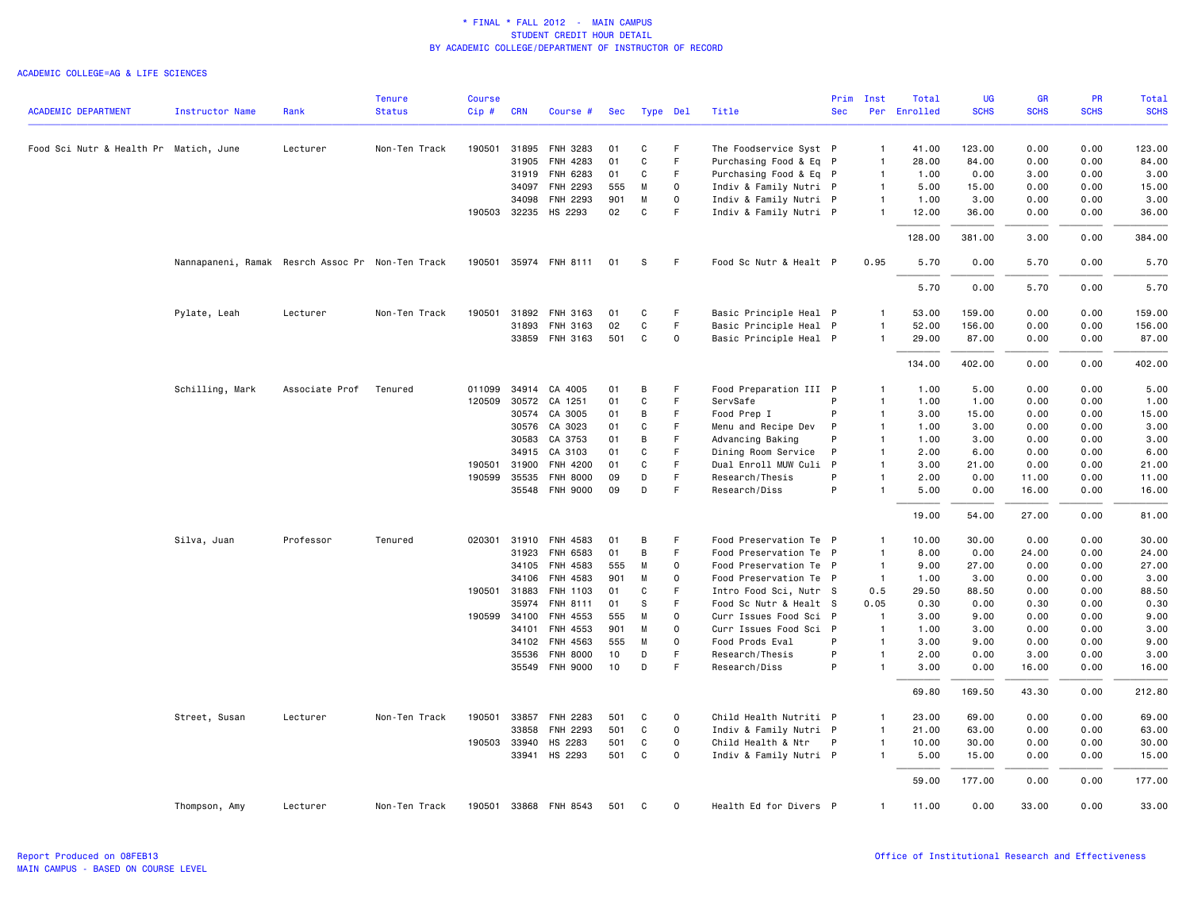|                                        |                                                  |                | Tenure        | <b>Course</b> |              |                       |     |             |             |                        |              | Prim Inst      | Total    | UG          | <b>GR</b>   | <b>PR</b>   | Total       |
|----------------------------------------|--------------------------------------------------|----------------|---------------|---------------|--------------|-----------------------|-----|-------------|-------------|------------------------|--------------|----------------|----------|-------------|-------------|-------------|-------------|
| <b>ACADEMIC DEPARTMENT</b>             | <b>Instructor Name</b>                           | Rank           | <b>Status</b> | Cip#          | <b>CRN</b>   | Course #              | Sec |             | Type Del    | Title                  | <b>Sec</b>   | Per            | Enrolled | <b>SCHS</b> | <b>SCHS</b> | <b>SCHS</b> | <b>SCHS</b> |
| Food Sci Nutr & Health Pr Matich, June |                                                  | Lecturer       | Non-Ten Track | 190501        |              | 31895 FNH 3283        | 01  | C           | F           | The Foodservice Syst P |              | $\overline{1}$ | 41.00    | 123.00      | 0.00        | 0.00        | 123.00      |
|                                        |                                                  |                |               |               | 31905        | FNH 4283              | 01  | C           | F           | Purchasing Food & Eq P |              | $\overline{1}$ | 28.00    | 84.00       | 0.00        | 0.00        | 84.00       |
|                                        |                                                  |                |               |               | 31919        | FNH 6283              | 01  | C           | F           | Purchasing Food & Eq P |              | $\overline{1}$ | 1.00     | 0.00        | 3.00        | 0.00        | 3.00        |
|                                        |                                                  |                |               |               | 34097        | <b>FNH 2293</b>       | 555 | M           | $\Omega$    | Indiv & Family Nutri P |              | $\overline{1}$ | 5.00     | 15.00       | 0.00        | 0.00        | 15.00       |
|                                        |                                                  |                |               |               | 34098        | FNH 2293              | 901 | M           | $\mathbf 0$ | Indiv & Family Nutri P |              | $\overline{1}$ | 1.00     | 3.00        | 0.00        | 0.00        | 3.00        |
|                                        |                                                  |                |               |               |              | 190503 32235 HS 2293  | 02  | $\mathbf C$ | F           | Indiv & Family Nutri P |              | $\overline{1}$ | 12.00    | 36.00       | 0.00        | 0.00        | 36.00       |
|                                        |                                                  |                |               |               |              |                       |     |             |             |                        |              |                | 128.00   | 381.00      | 3.00        | 0.00        | 384.00      |
|                                        | Nannapaneni, Ramak Resrch Assoc Pr Non-Ten Track |                |               |               |              | 190501 35974 FNH 8111 | 01  | S           | F.          | Food Sc Nutr & Healt P |              | 0.95           | 5.70     | 0.00        | 5.70        | 0.00        | 5.70        |
|                                        |                                                  |                |               |               |              |                       |     |             |             |                        |              |                | 5.70     | 0.00        | 5.70        | 0.00        | 5.70        |
|                                        | Pylate, Leah                                     | Lecturer       | Non-Ten Track | 190501        | 31892        | FNH 3163              | 01  | C           | F           | Basic Principle Heal P |              | $\overline{1}$ | 53.00    | 159.00      | 0.00        | 0.00        | 159.00      |
|                                        |                                                  |                |               |               | 31893        | FNH 3163              | 02  | $\mathbf C$ | F           | Basic Principle Heal P |              | $\overline{1}$ | 52.00    | 156.00      | 0.00        | 0.00        | 156.00      |
|                                        |                                                  |                |               |               |              | 33859 FNH 3163        | 501 | C           | 0           | Basic Principle Heal P |              | $\overline{1}$ | 29.00    | 87.00       | 0.00        | 0.00        | 87.00       |
|                                        |                                                  |                |               |               |              |                       |     |             |             |                        |              |                | 134.00   | 402.00      | 0.00        | 0.00        | 402.00      |
|                                        | Schilling, Mark                                  | Associate Prof | Tenured       | 011099        | 34914        | CA 4005               | 01  | B           | F           | Food Preparation III P |              | $\overline{1}$ | 1.00     | 5.00        | 0.00        | 0.00        | 5.00        |
|                                        |                                                  |                |               | 120509        | 30572        | CA 1251               | 01  | C           | F           | ServSafe               | P            | $\mathbf{1}$   | 1.00     | 1.00        | 0.00        | 0.00        | 1.00        |
|                                        |                                                  |                |               |               | 30574        | CA 3005               | 01  | B           | F           | Food Prep I            | P            | $\overline{1}$ | 3.00     | 15.00       | 0.00        | 0.00        | 15.00       |
|                                        |                                                  |                |               |               | 30576        | CA 3023               | 01  | $\mathbf C$ | E           | Menu and Recipe Dev    | P            | $\overline{1}$ | 1.00     | 3,00        | 0.00        | 0.00        | 3.00        |
|                                        |                                                  |                |               |               | 30583        | CA 3753               | 01  | B           | F           | Advancing Baking       | P            | $\overline{1}$ | 1.00     | 3.00        | 0.00        | 0.00        | 3.00        |
|                                        |                                                  |                |               |               | 34915        | CA 3103               | 01  | C           | F           | Dining Room Service    | P            | $\overline{1}$ | 2.00     | 6.00        | 0.00        | 0.00        | 6.00        |
|                                        |                                                  |                |               | 190501 31900  |              | FNH 4200              | 01  | C           | F           | Dual Enroll MUW Culi   | $\mathsf{P}$ | $\overline{1}$ | 3.00     | 21.00       | 0.00        | 0.00        | 21.00       |
|                                        |                                                  |                |               | 190599        | 35535        | <b>FNH 8000</b>       | 09  | D           | F           | Research/Thesis        | P            | $\overline{1}$ | 2.00     | 0.00        | 11.00       | 0.00        | 11.00       |
|                                        |                                                  |                |               |               |              | 35548 FNH 9000        | 09  | D           | F           | Research/Diss          | P            | $\overline{1}$ | 5.00     | 0.00        | 16.00       | 0.00        | 16.00       |
|                                        |                                                  |                |               |               |              |                       |     |             |             |                        |              |                | 19.00    | 54.00       | 27.00       | 0.00        | 81.00       |
|                                        | Silva, Juan                                      | Professor      | Tenured       | 020301 31910  |              | FNH 4583              | 01  | В           | F           | Food Preservation Te P |              | $\overline{1}$ | 10.00    | 30.00       | 0.00        | 0.00        | 30.00       |
|                                        |                                                  |                |               |               | 31923        | FNH 6583              | 01  | B           | F           | Food Preservation Te   | $\mathsf{P}$ | $\overline{1}$ | 8.00     | 0.00        | 24.00       | 0.00        | 24.00       |
|                                        |                                                  |                |               |               |              | 34105 FNH 4583        | 555 | M           | 0           | Food Preservation Te P |              | $\overline{1}$ | 9.00     | 27.00       | 0.00        | 0.00        | 27.00       |
|                                        |                                                  |                |               |               | 34106        | FNH 4583              | 901 | M           | 0           | Food Preservation Te P |              | $\overline{1}$ | 1.00     | 3,00        | 0.00        | 0.00        | 3.00        |
|                                        |                                                  |                |               | 190501 31883  |              | FNH 1103              | 01  | C           | F           | Intro Food Sci, Nutr S |              | 0.5            | 29.50    | 88.50       | 0.00        | 0.00        | 88.50       |
|                                        |                                                  |                |               |               | 35974        | FNH 8111              | 01  | S           | F           | Food Sc Nutr & Healt S |              | 0.05           | 0.30     | 0.00        | 0.30        | 0.00        | 0.30        |
|                                        |                                                  |                |               | 190599 34100  |              | FNH 4553              | 555 | M           | 0           | Curr Issues Food Sci P |              | $\overline{1}$ | 3.00     | 9.00        | 0.00        | 0.00        | 9.00        |
|                                        |                                                  |                |               |               | 34101        | FNH 4553              | 901 | M           | $\mathbf 0$ | Curr Issues Food Sci P |              | $\overline{1}$ | 1.00     | 3.00        | 0.00        | 0.00        | 3.00        |
|                                        |                                                  |                |               |               | 34102        | FNH 4563              | 555 | M           | $\Omega$    | Food Prods Eval        | P            | $\overline{1}$ | 3.00     | 9.00        | 0.00        | 0.00        | 9.00        |
|                                        |                                                  |                |               |               | 35536        | <b>FNH 8000</b>       | 10  | D           | F           | Research/Thesis        | P            | $\overline{1}$ | 2.00     | 0.00        | 3.00        | 0.00        | 3.00        |
|                                        |                                                  |                |               |               |              | 35549 FNH 9000        | 10  | D           | F           | Research/Diss          | P            | $\overline{1}$ | 3.00     | 0.00        | 16.00       | 0.00        | 16.00       |
|                                        |                                                  |                |               |               |              |                       |     |             |             |                        |              |                | 69.80    | 169.50      | 43.30       | 0.00        | 212.80      |
|                                        | Street, Susan                                    | Lecturer       | Non-Ten Track | 190501        | 33857        | <b>FNH 2283</b>       | 501 | C           | $\mathbf 0$ | Child Health Nutriti P |              | $\overline{1}$ | 23.00    | 69.00       | 0.00        | 0.00        | 69.00       |
|                                        |                                                  |                |               |               | 33858        | FNH 2293              | 501 | C           | 0           | Indiv & Family Nutri P |              | $\overline{1}$ | 21.00    | 63.00       | 0.00        | 0.00        | 63.00       |
|                                        |                                                  |                |               |               | 190503 33940 | HS 2283               | 501 | C           | 0           | Child Health & Ntr     | P            | $\overline{1}$ | 10.00    | 30.00       | 0.00        | 0.00        | 30.00       |
|                                        |                                                  |                |               |               | 33941        | HS 2293               | 501 | C           | $\mathbf 0$ | Indiv & Family Nutri P |              | $\overline{1}$ | 5.00     | 15.00       | 0.00        | 0.00        | 15.00       |
|                                        |                                                  |                |               |               |              |                       |     |             |             |                        |              |                | 59.00    | 177.00      | 0.00        | 0.00        | 177.00      |
|                                        | Thompson, Amy                                    | Lecturer       | Non-Ten Track |               |              | 190501 33868 FNH 8543 | 501 | C           | $\mathbf 0$ | Health Ed for Divers P |              | $\overline{1}$ | 11.00    | 0.00        | 33.00       | 0.00        | 33.00       |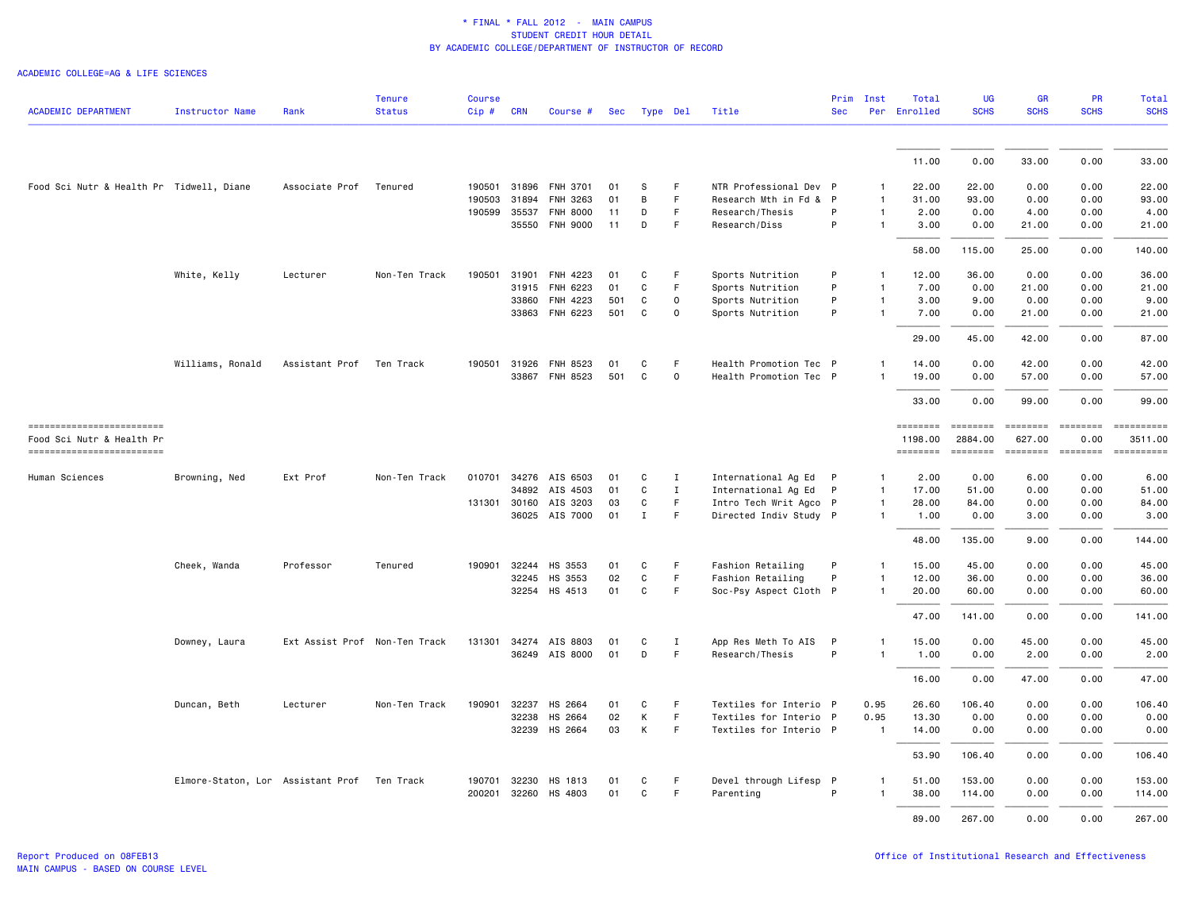|                                                         |                                             |                               | <b>Tenure</b> | <b>Course</b> |            |                       |     |              |             |                        | Prim       | Inst           | Total               | <b>UG</b>           | <b>GR</b>          | <b>PR</b>        | Total                 |
|---------------------------------------------------------|---------------------------------------------|-------------------------------|---------------|---------------|------------|-----------------------|-----|--------------|-------------|------------------------|------------|----------------|---------------------|---------------------|--------------------|------------------|-----------------------|
| <b>ACADEMIC DEPARTMENT</b>                              | Instructor Name                             | Rank                          | <b>Status</b> | $Cip$ #       | <b>CRN</b> | Course #              |     | Sec Type Del |             | Title                  | <b>Sec</b> |                | Per Enrolled        | <b>SCHS</b>         | <b>SCHS</b>        | <b>SCHS</b>      | <b>SCHS</b>           |
|                                                         |                                             |                               |               |               |            |                       |     |              |             |                        |            |                |                     |                     |                    |                  |                       |
|                                                         |                                             |                               |               |               |            |                       |     |              |             |                        |            |                | 11.00               | 0.00                | 33.00              | 0.00             | 33.00                 |
| Food Sci Nutr & Health Pr Tidwell, Diane                |                                             | Associate Prof                | Tenured       | 190501        |            | 31896 FNH 3701        | 01  | S            | F           | NTR Professional Dev P |            | 1              | 22.00               | 22.00               | 0.00               | 0.00             | 22.00                 |
|                                                         |                                             |                               |               | 190503        | 31894      | FNH 3263              | 01  | B            | F           | Research Mth in Fd & P |            |                | 31.00               | 93.00               | 0.00               | 0.00             | 93.00                 |
|                                                         |                                             |                               |               | 190599        | 35537      | <b>FNH 8000</b>       | 11  | D            | F           | Research/Thesis        | P          | 1              | 2.00                | 0.00                | 4.00               | 0.00             | 4.00                  |
|                                                         |                                             |                               |               |               | 35550      | <b>FNH 9000</b>       | 11  | D            | F           | Research/Diss          | P          | 1              | 3.00                | 0.00                | 21.00              | 0.00             | 21.00                 |
|                                                         |                                             |                               |               |               |            |                       |     |              |             |                        |            |                | 58.00               | 115.00              | 25.00              | 0.00             | 140.00                |
|                                                         | White, Kelly                                | Lecturer                      | Non-Ten Track | 190501        | 31901      | FNH 4223              | 01  | C            | $\mathsf F$ | Sports Nutrition       | P          | -1             | 12.00               | 36.00               | 0.00               | 0.00             | 36.00                 |
|                                                         |                                             |                               |               |               | 31915      | FNH 6223              | 01  | C            | F           | Sports Nutrition       | P          | 1              | 7.00                | 0.00                | 21.00              | 0.00             | 21.00                 |
|                                                         |                                             |                               |               |               | 33860      | FNH 4223              | 501 | C            | $\mathsf 0$ | Sports Nutrition       | P          | 1              | 3.00                | 9.00                | 0.00               | 0.00             | 9.00                  |
|                                                         |                                             |                               |               |               |            | 33863 FNH 6223        | 501 | C            | $\Omega$    | Sports Nutrition       | P          | 1              | 7.00                | 0.00                | 21.00              | 0.00             | 21.00                 |
|                                                         |                                             |                               |               |               |            |                       |     |              |             |                        |            |                | 29.00               | 45.00               | 42.00              | 0.00             | 87.00                 |
|                                                         | Williams, Ronald                            | Assistant Prof                | Ten Track     | 190501        | 31926      | FNH 8523              | 01  | C            | F           | Health Promotion Tec P |            |                | 14.00               | 0.00                | 42.00              | 0.00             | 42.00                 |
|                                                         |                                             |                               |               |               |            | 33867 FNH 8523        | 501 | $\mathsf{C}$ | $\mathbf 0$ | Health Promotion Tec P |            |                | 19.00               | 0.00                | 57.00              | 0.00             | 57.00                 |
|                                                         |                                             |                               |               |               |            |                       |     |              |             |                        |            |                | 33.00               | 0.00                | 99.00              | 0.00             | 99.00                 |
| ==========================<br>Food Sci Nutr & Health Pr |                                             |                               |               |               |            |                       |     |              |             |                        |            |                | ========<br>1198.00 | ========<br>2884.00 | ========<br>627.00 | ========<br>0.00 | ==========<br>3511.00 |
| ------------------------                                |                                             |                               |               |               |            |                       |     |              |             |                        |            |                | ========            | ========            | ========           | ========         | ==========            |
| Human Sciences                                          | Browning, Ned                               | Ext Prof                      | Non-Ten Track |               |            | 010701 34276 AIS 6503 | 01  | C            | $\mathbf I$ | International Ag Ed P  |            | 1              | 2.00                | 0.00                | 6.00               | 0.00             | 6.00                  |
|                                                         |                                             |                               |               |               |            | 34892 AIS 4503        | 01  | $\mathtt{C}$ | $\;$ I      | International Ag Ed    | P          | $\mathbf{1}$   | 17.00               | 51.00               | 0.00               | 0.00             | 51.00                 |
|                                                         |                                             |                               |               | 131301        |            | 30160 AIS 3203        | 03  | C            | $\mathsf F$ | Intro Tech Writ Agco P |            | 1              | 28.00               | 84.00               | 0.00               | 0.00             | 84.00                 |
|                                                         |                                             |                               |               |               |            | 36025 AIS 7000        | 01  | $\mathbf{I}$ | $\mathsf F$ | Directed Indiv Study P |            | 1              | 1.00                | 0.00                | 3.00               | 0.00             | 3.00                  |
|                                                         |                                             |                               |               |               |            |                       |     |              |             |                        |            |                | 48.00               | 135.00              | 9.00               | 0.00             | 144.00                |
|                                                         | Cheek, Wanda                                | Professor                     | Tenured       | 190901        | 32244      | HS 3553               | 01  | C            | F           | Fashion Retailing      | P          |                | 15.00               | 45.00               | 0.00               | 0.00             | 45.00                 |
|                                                         |                                             |                               |               |               | 32245      | HS 3553               | 02  | $\mathtt{C}$ | $\mathsf F$ | Fashion Retailing      | P          | 1              | 12.00               | 36.00               | 0.00               | 0.00             | 36.00                 |
|                                                         |                                             |                               |               |               |            | 32254 HS 4513         | 01  | $\mathbf{C}$ | F           | Soc-Psy Aspect Cloth P |            | 1              | 20.00               | 60.00               | 0.00               | 0.00             | 60.00                 |
|                                                         |                                             |                               |               |               |            |                       |     |              |             |                        |            |                | 47.00               | 141.00              | 0.00               | 0.00             | 141.00                |
|                                                         | Downey, Laura                               | Ext Assist Prof Non-Ten Track |               | 131301        |            | 34274 AIS 8803        | 01  | C            | Ι.          | App Res Meth To AIS    | P          |                | 15.00               | 0.00                | 45.00              | 0.00             | 45.00                 |
|                                                         |                                             |                               |               |               |            | 36249 AIS 8000        | 01  | D            | $\mathsf F$ | Research/Thesis        | P          | $\mathbf{1}$   | 1.00                | 0.00                | 2.00               | 0.00             | 2.00                  |
|                                                         |                                             |                               |               |               |            |                       |     |              |             |                        |            |                | 16.00               | 0.00                | 47.00              | 0.00             | 47.00                 |
|                                                         | Duncan, Beth                                | Lecturer                      | Non-Ten Track | 190901        | 32237      | HS 2664               | 01  | C            | F           | Textiles for Interio P |            | 0.95           | 26.60               | 106.40              | 0.00               | 0.00             | 106.40                |
|                                                         |                                             |                               |               |               | 32238      | HS 2664               | 02  | Κ            | $\mathsf F$ | Textiles for Interio P |            | 0.95           | 13.30               | 0.00                | 0.00               | 0.00             | 0.00                  |
|                                                         |                                             |                               |               |               | 32239      | HS 2664               | 03  | Κ            | $\mathsf F$ | Textiles for Interio P |            | $\overline{1}$ | 14.00               | 0.00                | 0.00               | 0.00             | 0.00                  |
|                                                         |                                             |                               |               |               |            |                       |     |              |             |                        |            |                | 53.90               | 106.40              | 0.00               | 0.00             | 106.40                |
|                                                         | Elmore-Staton, Lor Assistant Prof Ten Track |                               |               | 190701        | 32230      | HS 1813               | 01  | C            | F           | Devel through Lifesp P |            |                | 51.00               | 153.00              | 0.00               | 0.00             | 153.00                |
|                                                         |                                             |                               |               | 200201        | 32260      | HS 4803               | 01  | C            | F           | Parenting              | P          |                | 38.00               | 114.00              | 0.00               | 0.00             | 114.00                |
|                                                         |                                             |                               |               |               |            |                       |     |              |             |                        |            |                | 89.00               | 267.00              | 0.00               | 0.00             | 267.00                |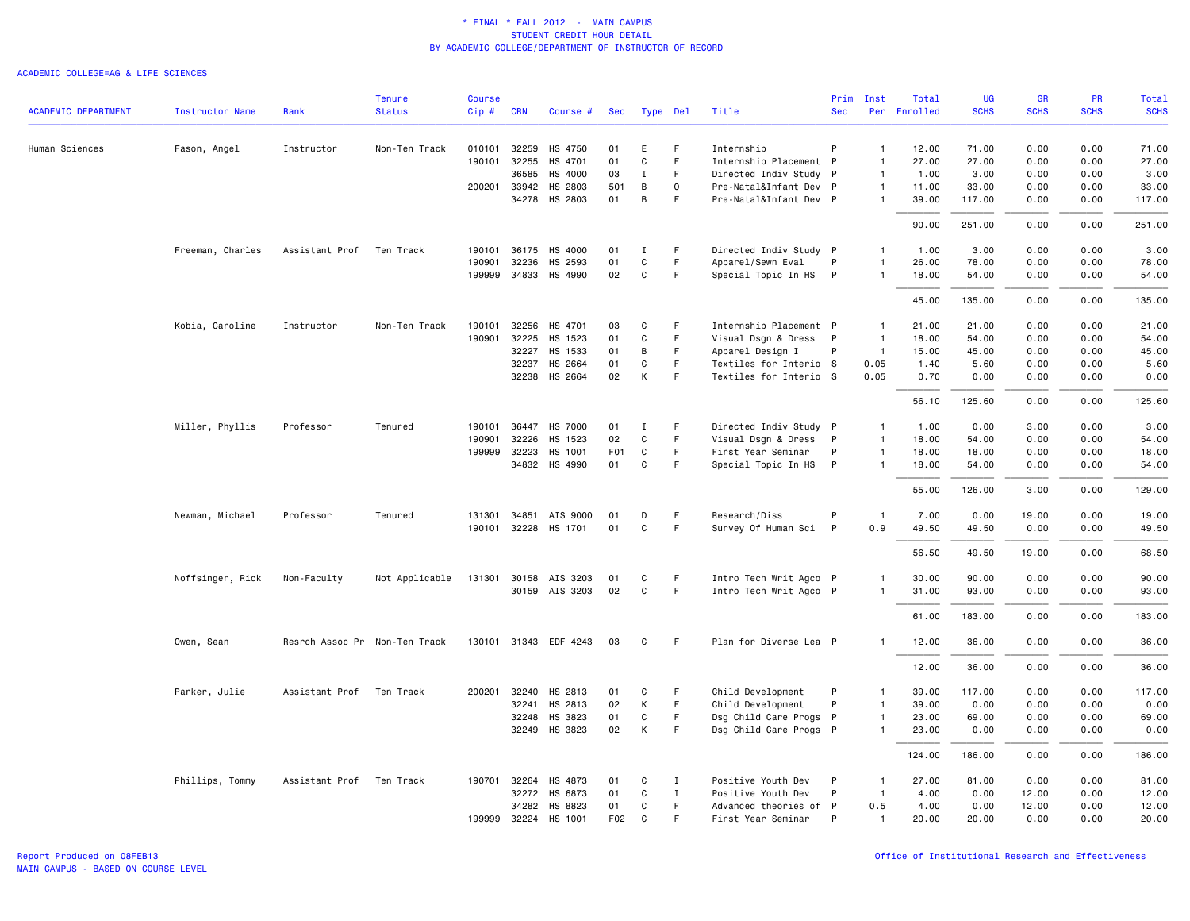|                            |                  |                | <b>Tenure</b>                 | <b>Course</b> |              |                       |                  |             |              |                        | Prim         | Inst           | Total        | UG          | <b>GR</b>   | <b>PR</b>   | Total       |
|----------------------------|------------------|----------------|-------------------------------|---------------|--------------|-----------------------|------------------|-------------|--------------|------------------------|--------------|----------------|--------------|-------------|-------------|-------------|-------------|
| <b>ACADEMIC DEPARTMENT</b> | Instructor Name  | Rank           | <b>Status</b>                 | Cip#          | <b>CRN</b>   | Course #              | Sec              | Type Del    |              | Title                  | <b>Sec</b>   |                | Per Enrolled | <b>SCHS</b> | <b>SCHS</b> | <b>SCHS</b> | <b>SCHS</b> |
| Human Sciences             | Fason, Angel     | Instructor     | Non-Ten Track                 | 010101        | 32259        | HS 4750               | 01               | E           | F            | Internship             | P            | $\overline{1}$ | 12.00        | 71.00       | 0.00        | 0.00        | 71.00       |
|                            |                  |                |                               | 190101        | 32255        | HS 4701               | 01               | $\mathbf C$ | $\mathsf F$  | Internship Placement P |              | $\mathbf{1}$   | 27.00        | 27.00       | 0.00        | 0.00        | 27.00       |
|                            |                  |                |                               |               | 36585        | HS 4000               | 03               | $\mathbf I$ | $\mathsf F$  | Directed Indiv Study P |              | $\overline{1}$ | 1.00         | 3.00        | 0.00        | 0.00        | 3.00        |
|                            |                  |                |                               |               | 200201 33942 | HS 2803               | 501              | B           | 0            | Pre-Natal&Infant Dev P |              | $\mathbf{1}$   | 11.00        | 33.00       | 0.00        | 0.00        | 33.00       |
|                            |                  |                |                               |               | 34278        | HS 2803               | 01               | В           | F            | Pre-Natal&Infant Dev P |              | $\mathbf{1}$   | 39.00        | 117.00      | 0.00        | 0.00        | 117.00      |
|                            |                  |                |                               |               |              |                       |                  |             |              |                        |              |                | 90.00        | 251.00      | 0.00        | 0.00        | 251.00      |
|                            | Freeman, Charles | Assistant Prof | Ten Track                     |               | 190101 36175 | HS 4000               | 01               | Ι.          | F            | Directed Indiv Study P |              | $\mathbf{1}$   | 1.00         | 3.00        | 0.00        | 0.00        | 3.00        |
|                            |                  |                |                               | 190901        | 32236        | HS 2593               | 01               | $\mathbf C$ | $\mathsf F$  | Apparel/Sewn Eval      | P            | $\overline{1}$ | 26.00        | 78.00       | 0.00        | 0.00        | 78.00       |
|                            |                  |                |                               |               | 199999 34833 | HS 4990               | 02               | C           | F.           | Special Topic In HS    | $\mathsf{P}$ | $\mathbf{1}$   | 18.00        | 54.00       | 0.00        | 0.00        | 54.00       |
|                            |                  |                |                               |               |              |                       |                  |             |              |                        |              |                | 45.00        | 135.00      | 0.00        | 0.00        | 135.00      |
|                            | Kobia, Caroline  | Instructor     | Non-Ten Track                 | 190101        | 32256        | HS 4701               | 03               | C           | F            | Internship Placement P |              | $\overline{1}$ | 21.00        | 21.00       | 0.00        | 0.00        | 21.00       |
|                            |                  |                |                               | 190901        | 32225        | HS 1523               | 01               | C           | $\mathsf F$  | Visual Dsgn & Dress P  |              | $\overline{1}$ | 18.00        | 54.00       | 0.00        | 0.00        | 54.00       |
|                            |                  |                |                               |               | 32227        | HS 1533               | 01               | В           | F            | Apparel Design I       | P            | $\overline{1}$ | 15.00        | 45.00       | 0.00        | 0.00        | 45.00       |
|                            |                  |                |                               |               | 32237        | HS 2664               | 01               | $\mathbf C$ | $\mathsf F$  | Textiles for Interio S |              | 0.05           | 1.40         | 5.60        | 0.00        | 0.00        | 5.60        |
|                            |                  |                |                               |               | 32238        | HS 2664               | 02               | К           | F            | Textiles for Interio S |              | 0.05           | 0.70         | 0.00        | 0.00        | 0.00        | 0.00        |
|                            |                  |                |                               |               |              |                       |                  |             |              |                        |              |                | 56.10        | 125.60      | 0.00        | 0.00        | 125.60      |
|                            | Miller, Phyllis  | Professor      | Tenured                       |               | 190101 36447 | <b>HS 7000</b>        | 01               | Ι.          | F            | Directed Indiv Study P |              | $\mathbf{1}$   | 1.00         | 0.00        | 3.00        | 0.00        | 3.00        |
|                            |                  |                |                               | 190901        | 32226        | HS 1523               | 02               | $\mathbf C$ | $\mathsf F$  | Visual Dsgn & Dress    | $\mathsf{P}$ | $\mathbf{1}$   | 18.00        | 54.00       | 0.00        | 0.00        | 54.00       |
|                            |                  |                |                               |               | 199999 32223 | HS 1001               | F <sub>0</sub> 1 | $\mathbf C$ | F.           | First Year Seminar     | P            | $\mathbf{1}$   | 18.00        | 18.00       | 0.00        | 0.00        | 18.00       |
|                            |                  |                |                               |               | 34832        | HS 4990               | 01               | C           | F            | Special Topic In HS    | $\mathsf{P}$ | $\mathbf{1}$   | 18.00        | 54.00       | 0.00        | 0.00        | 54.00       |
|                            |                  |                |                               |               |              |                       |                  |             |              |                        |              |                | 55.00        | 126.00      | 3.00        | 0.00        | 129.00      |
|                            | Newman, Michael  | Professor      | Tenured                       | 131301        | 34851        | AIS 9000              | 01               | D           | $\mathsf F$  | Research/Diss          | P            | $\mathbf{1}$   | 7.00         | 0.00        | 19.00       | 0.00        | 19.00       |
|                            |                  |                |                               | 190101        | 32228        | HS 1701               | 01               | $\mathbf C$ | $\mathsf F$  | Survey Of Human Sci    | P            | 0.9            | 49.50        | 49.50       | 0.00        | 0.00        | 49.50       |
|                            |                  |                |                               |               |              |                       |                  |             |              |                        |              |                | 56.50        | 49.50       | 19.00       | 0.00        | 68.50       |
|                            | Noffsinger, Rick | Non-Faculty    | Not Applicable                |               |              | 131301 30158 AIS 3203 | 01               | C           | F.           | Intro Tech Writ Agco P |              | $\mathbf{1}$   | 30.00        | 90.00       | 0.00        | 0.00        | 90.00       |
|                            |                  |                |                               |               |              | 30159 AIS 3203        | 02               | $\mathbf C$ | F            | Intro Tech Writ Agco P |              | -1             | 31.00        | 93.00       | 0.00        | 0.00        | 93.00       |
|                            |                  |                |                               |               |              |                       |                  |             |              |                        |              |                | 61.00        | 183.00      | 0.00        | 0.00        | 183.00      |
|                            | Owen, Sean       |                | Resrch Assoc Pr Non-Ten Track |               |              | 130101 31343 EDF 4243 | 03               | C           | -F           | Plan for Diverse Lea P |              |                | 12.00        | 36.00       | 0.00        | 0.00        | 36.00       |
|                            |                  |                |                               |               |              |                       |                  |             |              |                        |              |                | 12.00        | 36.00       | 0.00        | 0.00        | 36.00       |
|                            | Parker, Julie    | Assistant Prof | Ten Track                     |               | 200201 32240 | HS 2813               | 01               | C           | F            | Child Development      | P            | $\mathbf{1}$   | 39.00        | 117.00      | 0.00        | 0.00        | 117.00      |
|                            |                  |                |                               |               | 32241        | HS 2813               | 02               | К           | F            | Child Development      | P            | $\overline{1}$ | 39.00        | 0.00        | 0.00        | 0.00        | 0.00        |
|                            |                  |                |                               |               | 32248        | HS 3823               | 01               | C           | $\mathsf F$  | Dsg Child Care Progs P |              | $\mathbf{1}$   | 23.00        | 69.00       | 0.00        | 0.00        | 69.00       |
|                            |                  |                |                               |               | 32249        | HS 3823               | 02               | К           | F.           | Dsg Child Care Progs P |              | $\mathbf{1}$   | 23.00        | 0.00        | 0.00        | 0.00        | 0.00        |
|                            |                  |                |                               |               |              |                       |                  |             |              |                        |              |                | 124.00       | 186.00      | 0.00        | 0.00        | 186.00      |
|                            | Phillips, Tommy  | Assistant Prof | Ten Track                     |               | 190701 32264 | HS 4873               | 01               | C           | Ι.           | Positive Youth Dev     | P            | $\mathbf{1}$   | 27.00        | 81.00       | 0.00        | 0.00        | 81.00       |
|                            |                  |                |                               |               | 32272        | HS 6873               | 01               | C           | $\mathbf{I}$ | Positive Youth Dev     | P            | $\overline{1}$ | 4.00         | 0.00        | 12.00       | 0.00        | 12.00       |
|                            |                  |                |                               |               | 34282        | HS 8823               | 01               | C           | F.           | Advanced theories of P |              | 0.5            | 4.00         | 0.00        | 12.00       | 0.00        | 12.00       |
|                            |                  |                |                               |               | 199999 32224 | HS 1001               | F02              | C           | F            | First Year Seminar     | P            | $\overline{1}$ | 20.00        | 20.00       | 0.00        | 0.00        | 20.00       |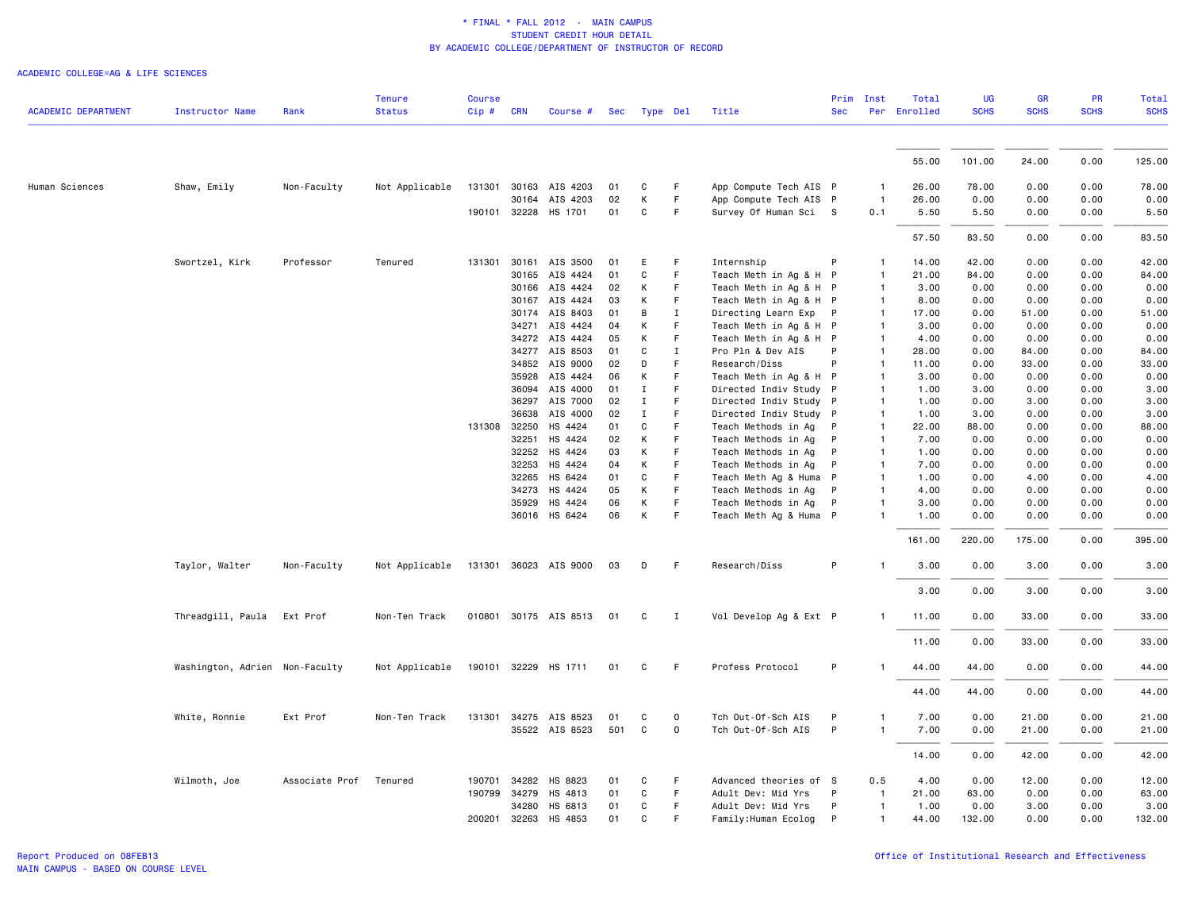| <b>ACADEMIC DEPARTMENT</b> | <b>Instructor Name</b>         | Rank           | Tenure<br><b>Status</b> | <b>Course</b><br>Cip# | <b>CRN</b>     | Course #              |          | Sec Type Del      |             | Title                                         | Prim<br><b>Sec</b> | Inst<br>Per    | Total<br>Enrolled | UG<br><b>SCHS</b> | <b>GR</b><br><b>SCHS</b> | <b>PR</b><br><b>SCHS</b> | Total<br><b>SCHS</b> |
|----------------------------|--------------------------------|----------------|-------------------------|-----------------------|----------------|-----------------------|----------|-------------------|-------------|-----------------------------------------------|--------------------|----------------|-------------------|-------------------|--------------------------|--------------------------|----------------------|
|                            |                                |                |                         |                       |                |                       |          |                   |             |                                               |                    |                |                   |                   |                          |                          |                      |
|                            |                                |                |                         |                       |                |                       |          |                   |             |                                               |                    |                | 55.00             | 101.00            | 24.00                    | 0.00                     | 125.00               |
|                            |                                |                |                         |                       |                |                       |          |                   |             |                                               |                    |                |                   |                   |                          |                          |                      |
| Human Sciences             | Shaw, Emily                    | Non-Faculty    | Not Applicable          |                       |                | 131301 30163 AIS 4203 | 01       | C                 | F           | App Compute Tech AIS P                        |                    |                | 26.00             | 78.00             | 0.00                     | 0.00                     | 78.00                |
|                            |                                |                |                         |                       | 30164          | AIS 4203              | 02       | К                 | F           | App Compute Tech AIS P                        |                    | $\overline{1}$ | 26.00             | 0.00              | 0.00                     | 0.00                     | 0.00                 |
|                            |                                |                |                         |                       |                | 190101 32228 HS 1701  | 01       | C                 | F           | Survey Of Human Sci S                         |                    | 0.1            | 5.50              | 5.50              | 0.00                     | 0.00                     | 5.50                 |
|                            |                                |                |                         |                       |                |                       |          |                   |             |                                               |                    |                | 57.50             | 83.50             | 0.00                     | 0.00                     | 83.50                |
|                            | Swortzel, Kirk                 | Professor      | Tenured                 | 131301                | 30161          | AIS 3500              | 01       | Ε                 | F           | Internship                                    | P                  |                | 14.00             | 42.00             | 0.00                     | 0.00                     | 42.00                |
|                            |                                |                |                         |                       | 30165          | AIS 4424              | 01       | C                 | F           | Teach Meth in Ag & H P                        |                    |                | 21.00             | 84.00             | 0.00                     | 0.00                     | 84.00                |
|                            |                                |                |                         |                       | 30166          | AIS 4424              | 02       | K                 | F           | Teach Meth in Ag & H P                        |                    | -1             | 3.00              | 0.00              | 0.00                     | 0.00                     | 0.00                 |
|                            |                                |                |                         |                       | 30167          | AIS 4424              | 03       | K                 | F           | Teach Meth in Ag & H P                        |                    |                | 8.00              | 0.00              | 0.00                     | 0.00                     | 0.00                 |
|                            |                                |                |                         |                       |                | 30174 AIS 8403        | 01       | В                 | $\mathbf I$ | Directing Learn Exp P                         |                    |                | 17.00             | 0.00              | 51.00                    | 0.00                     | 51.00                |
|                            |                                |                |                         |                       | 34271          | AIS 4424              | 04       | K                 | F           | Teach Meth in Ag & H P                        |                    |                | 3,00              | 0.00              | 0.00                     | 0.00                     | 0.00                 |
|                            |                                |                |                         |                       | 34272          | AIS 4424              | 05       | К                 | F.          | Teach Meth in Ag & H P                        |                    |                | 4.00              | 0.00              | 0.00                     | 0.00                     | 0.00                 |
|                            |                                |                |                         |                       |                | 34277 AIS 8503        | 01       | C                 | Ι.          | Pro Pln & Dev AIS                             | P                  |                | 28.00             | 0.00              | 84.00                    | 0.00                     | 84.00                |
|                            |                                |                |                         |                       |                | 34852 AIS 9000        | 02       | D                 | F           | Research/Diss                                 | P                  | -1             | 11.00             | 0.00              | 33.00                    | 0.00                     | 33.00                |
|                            |                                |                |                         |                       | 35928          | AIS 4424              | 06       | К                 | F           | Teach Meth in Ag & H P                        |                    |                | 3.00              | 0.00              | 0.00                     | 0.00                     | 0.00                 |
|                            |                                |                |                         |                       | 36094          | AIS 4000              | 01       | Ι.<br>$\mathbf I$ | F<br>F      | Directed Indiv Study P                        |                    |                | 1.00              | 3.00              | 0.00                     | 0.00<br>0.00             | 3.00                 |
|                            |                                |                |                         |                       | 36297<br>36638 | AIS 7000<br>AIS 4000  | 02<br>02 | Ι.                | F           | Directed Indiv Study P                        |                    |                | 1.00<br>1.00      | 0.00<br>3.00      | 3.00<br>0.00             | 0.00                     | 3.00<br>3.00         |
|                            |                                |                |                         | 131308                | 32250          | HS 4424               | 01       | C                 | F           | Directed Indiv Study P<br>Teach Methods in Ag | P                  |                | 22.00             | 88.00             | 0.00                     | 0.00                     | 88.00                |
|                            |                                |                |                         |                       | 32251          | HS 4424               | 02       | K                 | F           | Teach Methods in Ag                           | P                  |                | 7.00              | 0.00              | 0.00                     | 0.00                     | 0.00                 |
|                            |                                |                |                         |                       | 32252          | HS 4424               | 03       | К                 | F           | Teach Methods in Ag                           | P                  | $\mathbf{1}$   | 1.00              | 0.00              | 0.00                     | 0.00                     | 0.00                 |
|                            |                                |                |                         |                       | 32253          | HS 4424               | 04       | К                 | F           | Teach Methods in Ag                           | P                  | -1             | 7.00              | 0.00              | 0.00                     | 0.00                     | 0.00                 |
|                            |                                |                |                         |                       | 32265          | HS 6424               | 01       | C                 | F           | Teach Meth Ag & Huma                          | $\mathsf{P}$       |                | 1.00              | 0.00              | 4.00                     | 0.00                     | 4.00                 |
|                            |                                |                |                         |                       | 34273          | HS 4424               | 05       | K                 | F.          | Teach Methods in Ag                           | P                  |                | 4.00              | 0.00              | 0.00                     | 0.00                     | 0.00                 |
|                            |                                |                |                         |                       | 35929          | HS 4424               | 06       | К                 | F.          | Teach Methods in Ag                           | P                  |                | 3.00              | 0.00              | 0.00                     | 0.00                     | 0.00                 |
|                            |                                |                |                         |                       |                | 36016 HS 6424         | 06       | к                 | F.          | Teach Meth Ag & Huma P                        |                    |                | 1.00              | 0.00              | 0.00                     | 0.00                     | 0.00                 |
|                            |                                |                |                         |                       |                |                       |          |                   |             |                                               |                    |                | 161.00            | 220.00            | 175.00                   | 0.00                     | 395.00               |
|                            |                                |                |                         |                       |                |                       |          |                   |             |                                               |                    |                |                   |                   |                          |                          |                      |
|                            | Taylor, Walter                 | Non-Faculty    | Not Applicable          |                       |                | 131301 36023 AIS 9000 | 03       | D                 | F           | Research/Diss                                 | P                  |                | 3.00              | 0.00              | 3.00                     | 0.00                     | 3.00                 |
|                            |                                |                |                         |                       |                |                       |          |                   |             |                                               |                    |                | 3.00              | 0.00              | 3.00                     | 0.00                     | 3.00                 |
|                            | Threadgill, Paula              | Ext Prof       | Non-Ten Track           |                       |                | 010801 30175 AIS 8513 | 01       | C                 | I           | Vol Develop Ag & Ext P                        |                    |                | 11.00             | 0.00              | 33.00                    | 0.00                     | 33.00                |
|                            |                                |                |                         |                       |                |                       |          |                   |             |                                               |                    |                | 11.00             | 0.00              | 33.00                    | 0.00                     | 33.00                |
|                            | Washington, Adrien Non-Faculty |                | Not Applicable          |                       |                | 190101 32229 HS 1711  | 01       | C                 | F           | Profess Protocol                              | P                  |                | 44.00             | 44.00             | 0.00                     | 0.00                     | 44.00                |
|                            |                                |                |                         |                       |                |                       |          |                   |             |                                               |                    |                | 44.00             | 44.00             | 0.00                     | 0.00                     | 44.00                |
|                            | White, Ronnie                  | Ext Prof       | Non-Ten Track           |                       |                | 131301 34275 AIS 8523 | 01       | C                 | 0           | Tch Out-Of-Sch AIS                            | P                  |                | 7.00              | 0.00              | 21.00                    | 0.00                     | 21.00                |
|                            |                                |                |                         |                       |                | 35522 AIS 8523        | 501      | C                 | 0           | Tch Out-Of-Sch AIS                            | P                  |                | 7.00              | 0.00              | 21.00                    | 0.00                     | 21.00                |
|                            |                                |                |                         |                       |                |                       |          |                   |             |                                               |                    |                | 14.00             | 0.00              | 42.00                    | 0.00                     | 42.00                |
|                            | Wilmoth, Joe                   | Associate Prof | Tenured                 | 190701                | 34282          | HS 8823               | 01       | C                 | F           | Advanced theories of S                        |                    | 0.5            | 4.00              | 0.00              | 12.00                    | 0.00                     | 12.00                |
|                            |                                |                |                         | 190799                | 34279          | HS 4813               | 01       | $\mathsf{C}$      | F.          | Adult Dev: Mid Yrs                            | P                  | $\mathbf{1}$   | 21.00             | 63.00             | 0.00                     | 0.00                     | 63.00                |
|                            |                                |                |                         |                       | 34280          | HS 6813               | 01       | C                 | F           | Adult Dev: Mid Yrs                            | P                  | $\mathbf{1}$   | 1.00              | 0.00              | 3.00                     | 0.00                     | 3.00                 |
|                            |                                |                |                         | 200201 32263          |                | HS 4853               | 01       | C                 | F           | Family: Human Ecolog                          | P                  |                | 44.00             | 132.00            | 0.00                     | 0.00                     | 132.00               |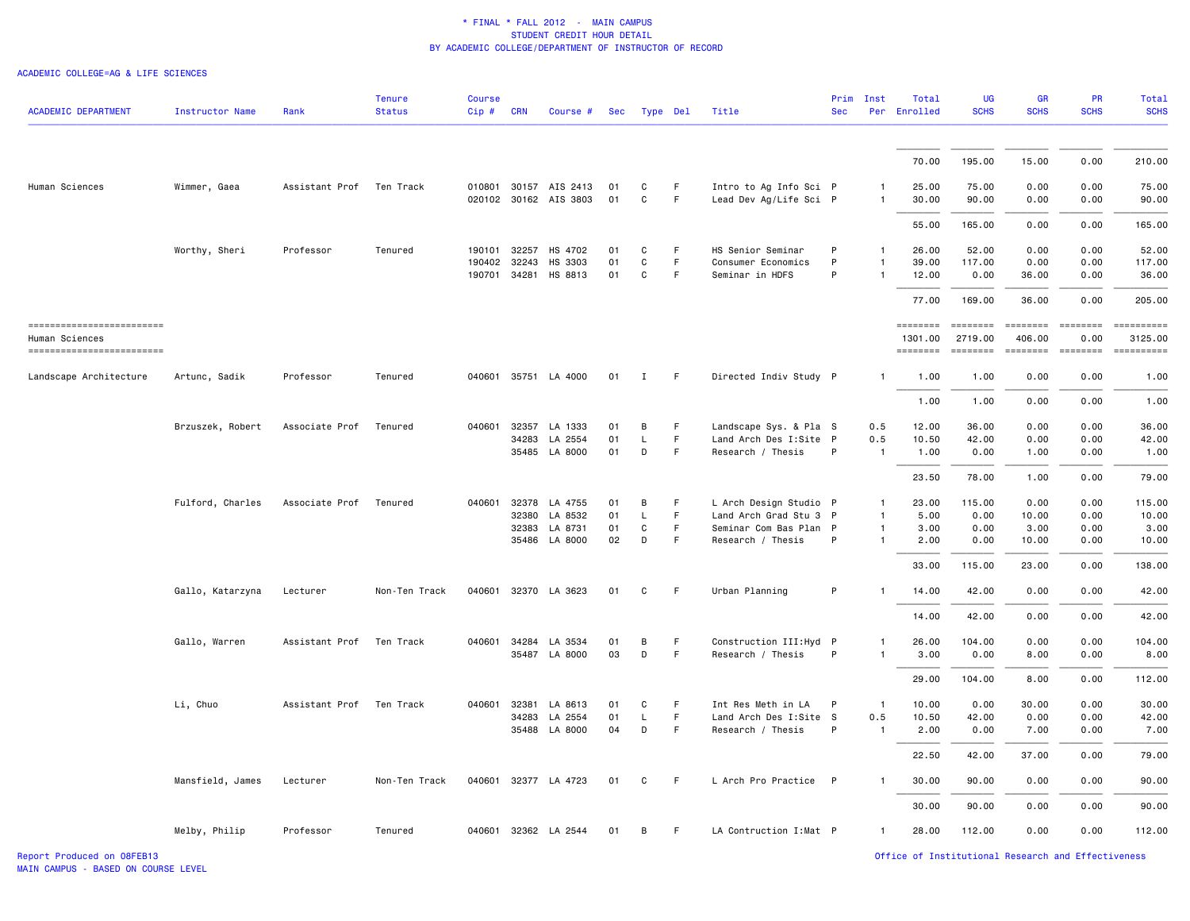| <b>ACADEMIC DEPARTMENT</b>                  | <b>Instructor Name</b> | Rank                     | <b>Tenure</b><br><b>Status</b> | <b>Course</b><br>$Cip$ # | <b>CRN</b>   | Course #                                       | Sec      | Type Del     |         | Title                                            | <b>Sec</b> | Prim Inst                    | Total<br>Per Enrolled | <b>UG</b><br><b>SCHS</b>                                                                                                                                                                                                                                                                                                                                                                                                                                                                                 | <b>GR</b><br><b>SCHS</b>                                                                                                                                                                                                                                                                                                                                                                                                                                                                             | <b>PR</b><br><b>SCHS</b>                                                         | <b>Total</b><br><b>SCHS</b>                                                                                                                                                                                                                                                                                                                                                                                                                                                               |
|---------------------------------------------|------------------------|--------------------------|--------------------------------|--------------------------|--------------|------------------------------------------------|----------|--------------|---------|--------------------------------------------------|------------|------------------------------|-----------------------|----------------------------------------------------------------------------------------------------------------------------------------------------------------------------------------------------------------------------------------------------------------------------------------------------------------------------------------------------------------------------------------------------------------------------------------------------------------------------------------------------------|------------------------------------------------------------------------------------------------------------------------------------------------------------------------------------------------------------------------------------------------------------------------------------------------------------------------------------------------------------------------------------------------------------------------------------------------------------------------------------------------------|----------------------------------------------------------------------------------|-------------------------------------------------------------------------------------------------------------------------------------------------------------------------------------------------------------------------------------------------------------------------------------------------------------------------------------------------------------------------------------------------------------------------------------------------------------------------------------------|
|                                             |                        |                          |                                |                          |              |                                                |          |              |         |                                                  |            |                              | 70.00                 | 195.00                                                                                                                                                                                                                                                                                                                                                                                                                                                                                                   | 15.00                                                                                                                                                                                                                                                                                                                                                                                                                                                                                                | 0.00                                                                             | 210.00                                                                                                                                                                                                                                                                                                                                                                                                                                                                                    |
|                                             |                        |                          |                                |                          |              |                                                |          |              |         |                                                  |            |                              |                       |                                                                                                                                                                                                                                                                                                                                                                                                                                                                                                          |                                                                                                                                                                                                                                                                                                                                                                                                                                                                                                      |                                                                                  |                                                                                                                                                                                                                                                                                                                                                                                                                                                                                           |
| Human Sciences                              | Wimmer, Gaea           | Assistant Prof Ten Track |                                |                          |              | 010801 30157 AIS 2413<br>020102 30162 AIS 3803 | 01<br>01 | C<br>C       | F.<br>F | Intro to Ag Info Sci P<br>Lead Dev Ag/Life Sci P |            | $\mathbf{1}$<br>$\mathbf{1}$ | 25.00<br>30.00        | 75.00<br>90.00                                                                                                                                                                                                                                                                                                                                                                                                                                                                                           | 0.00<br>0.00                                                                                                                                                                                                                                                                                                                                                                                                                                                                                         | 0.00<br>0.00                                                                     | 75.00<br>90.00                                                                                                                                                                                                                                                                                                                                                                                                                                                                            |
|                                             |                        |                          |                                |                          |              |                                                |          |              |         |                                                  |            |                              |                       |                                                                                                                                                                                                                                                                                                                                                                                                                                                                                                          |                                                                                                                                                                                                                                                                                                                                                                                                                                                                                                      |                                                                                  |                                                                                                                                                                                                                                                                                                                                                                                                                                                                                           |
|                                             |                        |                          |                                |                          |              |                                                |          |              |         |                                                  |            |                              | 55.00                 | 165.00                                                                                                                                                                                                                                                                                                                                                                                                                                                                                                   | 0.00                                                                                                                                                                                                                                                                                                                                                                                                                                                                                                 | 0.00                                                                             | 165.00                                                                                                                                                                                                                                                                                                                                                                                                                                                                                    |
|                                             | Worthy, Sheri          | Professor                | Tenured                        |                          | 190101 32257 | HS 4702                                        | 01       | C            | F.      | HS Senior Seminar                                | P          | $\mathbf{1}$                 | 26.00                 | 52.00                                                                                                                                                                                                                                                                                                                                                                                                                                                                                                    | 0.00                                                                                                                                                                                                                                                                                                                                                                                                                                                                                                 | 0.00                                                                             | 52.00                                                                                                                                                                                                                                                                                                                                                                                                                                                                                     |
|                                             |                        |                          |                                |                          | 190402 32243 | HS 3303                                        | 01       | $\mathtt{C}$ | F.      | Consumer Economics                               | P          | -1                           | 39.00                 | 117.00                                                                                                                                                                                                                                                                                                                                                                                                                                                                                                   | 0.00                                                                                                                                                                                                                                                                                                                                                                                                                                                                                                 | 0.00                                                                             | 117.00                                                                                                                                                                                                                                                                                                                                                                                                                                                                                    |
|                                             |                        |                          |                                |                          | 190701 34281 | HS 8813                                        | 01       | C            | F.      | Seminar in HDFS                                  | P          | $\mathbf{1}$                 | 12.00                 | 0.00                                                                                                                                                                                                                                                                                                                                                                                                                                                                                                     | 36.00                                                                                                                                                                                                                                                                                                                                                                                                                                                                                                | 0.00                                                                             | 36.00                                                                                                                                                                                                                                                                                                                                                                                                                                                                                     |
|                                             |                        |                          |                                |                          |              |                                                |          |              |         |                                                  |            |                              | 77.00                 | 169.00                                                                                                                                                                                                                                                                                                                                                                                                                                                                                                   | 36.00                                                                                                                                                                                                                                                                                                                                                                                                                                                                                                | 0.00                                                                             | 205.00                                                                                                                                                                                                                                                                                                                                                                                                                                                                                    |
| =========================<br>Human Sciences |                        |                          |                                |                          |              |                                                |          |              |         |                                                  |            |                              | ========<br>1301.00   | $\begin{minipage}{.4\linewidth} \begin{tabular}{l} \multicolumn{2}{l}{} & \multicolumn{2}{l}{} & \multicolumn{2}{l}{} \\ \multicolumn{2}{l}{} & \multicolumn{2}{l}{} & \multicolumn{2}{l}{} \\ \multicolumn{2}{l}{} & \multicolumn{2}{l}{} & \multicolumn{2}{l}{} \\ \multicolumn{2}{l}{} & \multicolumn{2}{l}{} & \multicolumn{2}{l}{} \\ \multicolumn{2}{l}{} & \multicolumn{2}{l}{} & \multicolumn{2}{l}{} \\ \multicolumn{2}{l}{} & \multicolumn{2}{l}{} & \multicolumn{2}{l}{} \\ \mult$<br>2719.00 | $\begin{minipage}{0.9\linewidth} \begin{tabular}{l} \multicolumn{2}{l}{} & \multicolumn{2}{l}{} & \multicolumn{2}{l}{} \\ \multicolumn{2}{l}{} & \multicolumn{2}{l}{} & \multicolumn{2}{l}{} \\ \multicolumn{2}{l}{} & \multicolumn{2}{l}{} & \multicolumn{2}{l}{} \\ \multicolumn{2}{l}{} & \multicolumn{2}{l}{} & \multicolumn{2}{l}{} \\ \multicolumn{2}{l}{} & \multicolumn{2}{l}{} & \multicolumn{2}{l}{} \\ \multicolumn{2}{l}{} & \multicolumn{2}{l}{} & \multicolumn{2}{l}{} \\ \$<br>406.00 | $=$ ========<br>0.00                                                             | $\begin{minipage}{0.9\linewidth} \hspace*{-0.2cm} \textbf{1} & \textbf{2} & \textbf{3} & \textbf{5} & \textbf{6} & \textbf{7} & \textbf{8} \\ \textbf{1} & \textbf{2} & \textbf{3} & \textbf{5} & \textbf{5} & \textbf{7} & \textbf{8} & \textbf{8} \\ \textbf{3} & \textbf{4} & \textbf{5} & \textbf{5} & \textbf{6} & \textbf{7} & \textbf{8} & \textbf{8} \\ \textbf{5} & \textbf{5} & \textbf{6} & \textbf{7} & \textbf{8} & \$<br>3125.00                                            |
| ------------------------                    |                        |                          |                                |                          |              |                                                |          |              |         |                                                  |            |                              | ========              |                                                                                                                                                                                                                                                                                                                                                                                                                                                                                                          |                                                                                                                                                                                                                                                                                                                                                                                                                                                                                                      | $\begin{array}{c} \texttt{m} = \texttt{m} = \texttt{m} = \texttt{m} \end{array}$ | $\begin{minipage}{0.03\linewidth} \begin{tabular}{l} \multicolumn{2}{l}{} & \multicolumn{2}{l}{} & \multicolumn{2}{l}{} \\ \multicolumn{2}{l}{} & \multicolumn{2}{l}{} & \multicolumn{2}{l}{} \\ \multicolumn{2}{l}{} & \multicolumn{2}{l}{} & \multicolumn{2}{l}{} \\ \multicolumn{2}{l}{} & \multicolumn{2}{l}{} & \multicolumn{2}{l}{} \\ \multicolumn{2}{l}{} & \multicolumn{2}{l}{} & \multicolumn{2}{l}{} \\ \multicolumn{2}{l}{} & \multicolumn{2}{l}{} & \multicolumn{2}{l}{} \\$ |
| Landscape Architecture                      | Artunc, Sadik          | Professor                | Tenured                        |                          |              | 040601 35751 LA 4000                           | 01       | $\mathbf{I}$ | F.      | Directed Indiv Study P                           |            | $\mathbf{1}$                 | 1.00                  | 1.00                                                                                                                                                                                                                                                                                                                                                                                                                                                                                                     | 0.00                                                                                                                                                                                                                                                                                                                                                                                                                                                                                                 | 0.00                                                                             | 1.00                                                                                                                                                                                                                                                                                                                                                                                                                                                                                      |
|                                             |                        |                          |                                |                          |              |                                                |          |              |         |                                                  |            |                              | 1.00                  | 1.00                                                                                                                                                                                                                                                                                                                                                                                                                                                                                                     | 0.00                                                                                                                                                                                                                                                                                                                                                                                                                                                                                                 | 0.00                                                                             | 1.00                                                                                                                                                                                                                                                                                                                                                                                                                                                                                      |
|                                             | Brzuszek, Robert       | Associate Prof           | Tenured                        |                          | 040601 32357 | LA 1333                                        | 01       | B            | F       | Landscape Sys. & Pla S                           |            | 0.5                          | 12.00                 | 36.00                                                                                                                                                                                                                                                                                                                                                                                                                                                                                                    | 0.00                                                                                                                                                                                                                                                                                                                                                                                                                                                                                                 | 0.00                                                                             | 36.00                                                                                                                                                                                                                                                                                                                                                                                                                                                                                     |
|                                             |                        |                          |                                |                          | 34283        | LA 2554                                        | 01       | L.           | F.      | Land Arch Des I:Site P                           |            | 0.5                          | 10.50                 | 42.00                                                                                                                                                                                                                                                                                                                                                                                                                                                                                                    | 0.00                                                                                                                                                                                                                                                                                                                                                                                                                                                                                                 | 0.00                                                                             | 42.00                                                                                                                                                                                                                                                                                                                                                                                                                                                                                     |
|                                             |                        |                          |                                |                          | 35485        | LA 8000                                        | 01       | D            | F.      | Research / Thesis                                | P          | $\overline{1}$               | 1.00                  | 0.00                                                                                                                                                                                                                                                                                                                                                                                                                                                                                                     | 1.00                                                                                                                                                                                                                                                                                                                                                                                                                                                                                                 | 0.00                                                                             | 1.00                                                                                                                                                                                                                                                                                                                                                                                                                                                                                      |
|                                             |                        |                          |                                |                          |              |                                                |          |              |         |                                                  |            |                              | 23.50                 | 78.00                                                                                                                                                                                                                                                                                                                                                                                                                                                                                                    | 1.00                                                                                                                                                                                                                                                                                                                                                                                                                                                                                                 | 0.00                                                                             | 79.00                                                                                                                                                                                                                                                                                                                                                                                                                                                                                     |
|                                             | Fulford, Charles       | Associate Prof           | Tenured                        | 040601                   | 32378        | LA 4755                                        | 01       | B            | F.      | L Arch Design Studio P                           |            | $\overline{1}$               | 23.00                 | 115.00                                                                                                                                                                                                                                                                                                                                                                                                                                                                                                   | 0.00                                                                                                                                                                                                                                                                                                                                                                                                                                                                                                 | 0.00                                                                             | 115.00                                                                                                                                                                                                                                                                                                                                                                                                                                                                                    |
|                                             |                        |                          |                                |                          | 32380        | LA 8532                                        | 01       | $\mathsf{L}$ | F.      | Land Arch Grad Stu 3 P                           |            | $\mathbf{1}$                 | 5.00                  | 0.00                                                                                                                                                                                                                                                                                                                                                                                                                                                                                                     | 10.00                                                                                                                                                                                                                                                                                                                                                                                                                                                                                                | 0.00                                                                             | 10.00                                                                                                                                                                                                                                                                                                                                                                                                                                                                                     |
|                                             |                        |                          |                                |                          | 32383        | LA 8731                                        | 01       | C            | F.      | Seminar Com Bas Plan P                           |            | $\mathbf{1}$                 | 3.00                  | 0.00                                                                                                                                                                                                                                                                                                                                                                                                                                                                                                     | 3.00                                                                                                                                                                                                                                                                                                                                                                                                                                                                                                 | 0.00                                                                             | 3.00                                                                                                                                                                                                                                                                                                                                                                                                                                                                                      |
|                                             |                        |                          |                                |                          |              | 35486 LA 8000                                  | 02       | D            | F.      | Research / Thesis                                | P          | $\mathbf{1}$                 | 2.00                  | 0.00                                                                                                                                                                                                                                                                                                                                                                                                                                                                                                     | 10.00                                                                                                                                                                                                                                                                                                                                                                                                                                                                                                | 0.00                                                                             | 10.00                                                                                                                                                                                                                                                                                                                                                                                                                                                                                     |
|                                             |                        |                          |                                |                          |              |                                                |          |              |         |                                                  |            |                              | 33.00                 | 115.00                                                                                                                                                                                                                                                                                                                                                                                                                                                                                                   | 23.00                                                                                                                                                                                                                                                                                                                                                                                                                                                                                                | 0.00                                                                             | 138.00                                                                                                                                                                                                                                                                                                                                                                                                                                                                                    |
|                                             | Gallo, Katarzyna       | Lecturer                 | Non-Ten Track                  |                          |              | 040601 32370 LA 3623                           | 01       | C            | F       | Urban Planning                                   | P          | $\mathbf{1}$                 | 14.00                 | 42.00                                                                                                                                                                                                                                                                                                                                                                                                                                                                                                    | 0.00                                                                                                                                                                                                                                                                                                                                                                                                                                                                                                 | 0.00                                                                             | 42.00                                                                                                                                                                                                                                                                                                                                                                                                                                                                                     |
|                                             |                        |                          |                                |                          |              |                                                |          |              |         |                                                  |            |                              | 14.00                 | 42.00                                                                                                                                                                                                                                                                                                                                                                                                                                                                                                    | 0.00                                                                                                                                                                                                                                                                                                                                                                                                                                                                                                 | 0.00                                                                             | 42.00                                                                                                                                                                                                                                                                                                                                                                                                                                                                                     |
|                                             | Gallo, Warren          | Assistant Prof Ten Track |                                |                          | 040601 34284 | LA 3534                                        | 01       | B            | F.      | Construction III: Hyd P                          |            | $\mathbf{1}$                 | 26.00                 | 104.00                                                                                                                                                                                                                                                                                                                                                                                                                                                                                                   | 0.00                                                                                                                                                                                                                                                                                                                                                                                                                                                                                                 | 0.00                                                                             | 104.00                                                                                                                                                                                                                                                                                                                                                                                                                                                                                    |
|                                             |                        |                          |                                |                          | 35487        | LA 8000                                        | 03       | D            | F       | Research / Thesis                                | P          | $\mathbf{1}$                 | 3.00                  | 0.00                                                                                                                                                                                                                                                                                                                                                                                                                                                                                                     | 8.00                                                                                                                                                                                                                                                                                                                                                                                                                                                                                                 | 0.00                                                                             | 8.00                                                                                                                                                                                                                                                                                                                                                                                                                                                                                      |
|                                             |                        |                          |                                |                          |              |                                                |          |              |         |                                                  |            |                              | 29.00                 | 104.00                                                                                                                                                                                                                                                                                                                                                                                                                                                                                                   | 8.00                                                                                                                                                                                                                                                                                                                                                                                                                                                                                                 | 0.00                                                                             | 112.00                                                                                                                                                                                                                                                                                                                                                                                                                                                                                    |
|                                             | Li, Chuo               | Assistant Prof           | Ten Track                      | 040601                   | 32381        | LA 8613                                        | 01       | C            | F.      | Int Res Meth in LA                               | P          | $\overline{1}$               | 10.00                 | 0.00                                                                                                                                                                                                                                                                                                                                                                                                                                                                                                     | 30.00                                                                                                                                                                                                                                                                                                                                                                                                                                                                                                | 0.00                                                                             | 30.00                                                                                                                                                                                                                                                                                                                                                                                                                                                                                     |
|                                             |                        |                          |                                |                          | 34283        | LA 2554                                        | 01       | L            | F.      | Land Arch Des I:Site S                           |            | 0.5                          | 10.50                 | 42.00                                                                                                                                                                                                                                                                                                                                                                                                                                                                                                    | 0.00                                                                                                                                                                                                                                                                                                                                                                                                                                                                                                 | 0.00                                                                             | 42.00                                                                                                                                                                                                                                                                                                                                                                                                                                                                                     |
|                                             |                        |                          |                                |                          |              | 35488 LA 8000                                  | 04       | D            | F.      | Research / Thesis                                | P          | $\overline{1}$               | 2.00                  | 0.00                                                                                                                                                                                                                                                                                                                                                                                                                                                                                                     | 7.00                                                                                                                                                                                                                                                                                                                                                                                                                                                                                                 | 0.00                                                                             | 7.00                                                                                                                                                                                                                                                                                                                                                                                                                                                                                      |
|                                             |                        |                          |                                |                          |              |                                                |          |              |         |                                                  |            |                              | 22.50                 | 42.00                                                                                                                                                                                                                                                                                                                                                                                                                                                                                                    | 37.00                                                                                                                                                                                                                                                                                                                                                                                                                                                                                                | 0.00                                                                             | 79.00                                                                                                                                                                                                                                                                                                                                                                                                                                                                                     |
|                                             | Mansfield, James       | Lecturer                 | Non-Ten Track                  |                          |              | 040601 32377 LA 4723                           | 01       | C            | F.      | L Arch Pro Practice P                            |            | $\mathbf{1}$                 | 30.00                 | 90.00                                                                                                                                                                                                                                                                                                                                                                                                                                                                                                    | 0.00                                                                                                                                                                                                                                                                                                                                                                                                                                                                                                 | 0.00                                                                             | 90.00                                                                                                                                                                                                                                                                                                                                                                                                                                                                                     |
|                                             |                        |                          |                                |                          |              |                                                |          |              |         |                                                  |            |                              | 30.00                 | 90.00                                                                                                                                                                                                                                                                                                                                                                                                                                                                                                    | 0.00                                                                                                                                                                                                                                                                                                                                                                                                                                                                                                 | 0.00                                                                             | 90.00                                                                                                                                                                                                                                                                                                                                                                                                                                                                                     |
|                                             | Melby, Philip          | Professor                | Tenured                        |                          |              | 040601 32362 LA 2544                           | 01       | B            | F       | LA Contruction I: Mat P                          |            | $\mathbf{1}$                 | 28.00                 | 112.00                                                                                                                                                                                                                                                                                                                                                                                                                                                                                                   | 0.00                                                                                                                                                                                                                                                                                                                                                                                                                                                                                                 | 0.00                                                                             | 112.00                                                                                                                                                                                                                                                                                                                                                                                                                                                                                    |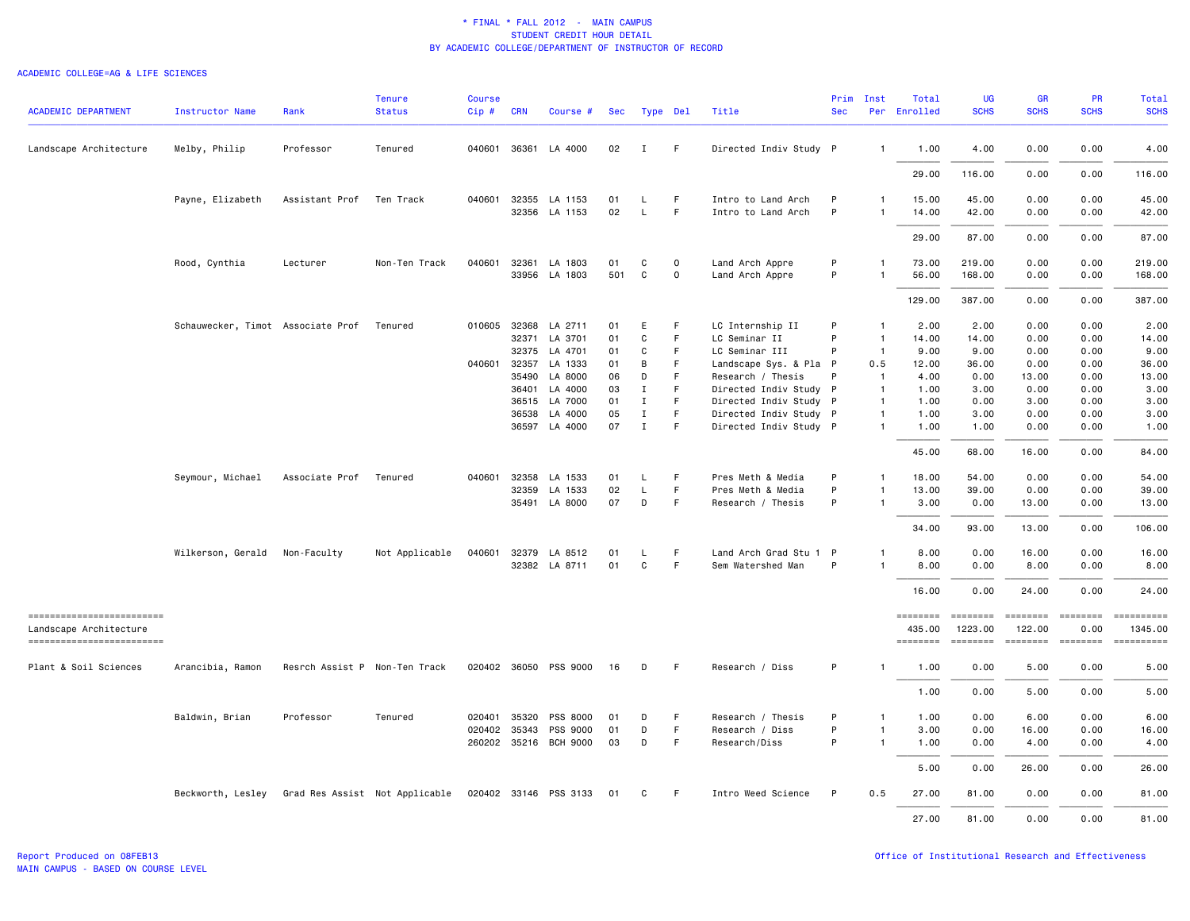| <b>ACADEMIC DEPARTMENT</b>                         | Instructor Name                   | Rank                          | <b>Tenure</b><br><b>Status</b> | <b>Course</b><br>Cip# | <b>CRN</b>   | Course #              | Sec      | Type Del                    |             | Title                                            | Prim<br><b>Sec</b> | Inst                         | Total<br>Per Enrolled | <b>UG</b><br><b>SCHS</b>  | <b>GR</b><br><b>SCHS</b> | <b>PR</b><br><b>SCHS</b> | <b>Total</b><br><b>SCHS</b>                                                                                                                                                                                                                                                                                                                                                                                                                                                            |
|----------------------------------------------------|-----------------------------------|-------------------------------|--------------------------------|-----------------------|--------------|-----------------------|----------|-----------------------------|-------------|--------------------------------------------------|--------------------|------------------------------|-----------------------|---------------------------|--------------------------|--------------------------|----------------------------------------------------------------------------------------------------------------------------------------------------------------------------------------------------------------------------------------------------------------------------------------------------------------------------------------------------------------------------------------------------------------------------------------------------------------------------------------|
| Landscape Architecture                             | Melby, Philip                     | Professor                     | Tenured                        |                       | 040601 36361 | LA 4000               | 02       | $\mathbf{I}$                | F.          | Directed Indiv Study P                           |                    | 1                            | 1.00                  | 4.00                      | 0.00                     | 0.00                     | 4.00                                                                                                                                                                                                                                                                                                                                                                                                                                                                                   |
|                                                    |                                   |                               |                                |                       |              |                       |          |                             |             |                                                  |                    |                              | 29.00                 | 116.00                    | 0.00                     | 0.00                     | 116.00                                                                                                                                                                                                                                                                                                                                                                                                                                                                                 |
|                                                    | Payne, Elizabeth                  | Assistant Prof                | Ten Track                      | 040601 32355          |              | LA 1153               | 01       | L                           | F           | Intro to Land Arch                               | P                  | 1                            | 15.00                 | 45.00                     | 0.00                     | 0.00                     | 45.00                                                                                                                                                                                                                                                                                                                                                                                                                                                                                  |
|                                                    |                                   |                               |                                |                       |              | 32356 LA 1153         | 02       | L                           | F.          | Intro to Land Arch                               | P                  | $\mathbf{1}$                 | 14.00                 | 42.00                     | 0.00                     | 0.00                     | 42.00                                                                                                                                                                                                                                                                                                                                                                                                                                                                                  |
|                                                    |                                   |                               |                                |                       |              |                       |          |                             |             |                                                  |                    |                              | 29.00                 | 87.00                     | 0.00                     | 0.00                     | 87.00                                                                                                                                                                                                                                                                                                                                                                                                                                                                                  |
|                                                    | Rood, Cynthia                     | Lecturer                      | Non-Ten Track                  |                       |              | 040601 32361 LA 1803  | 01       | C                           | $\mathbf 0$ | Land Arch Appre                                  | P                  | $\mathbf{1}$                 | 73.00                 | 219.00                    | 0.00                     | 0.00                     | 219.00                                                                                                                                                                                                                                                                                                                                                                                                                                                                                 |
|                                                    |                                   |                               |                                |                       | 33956        | LA 1803               | 501      | C                           | 0           | Land Arch Appre                                  | P                  |                              | 56.00                 | 168.00                    | 0.00                     | 0.00                     | 168.00                                                                                                                                                                                                                                                                                                                                                                                                                                                                                 |
|                                                    |                                   |                               |                                |                       |              |                       |          |                             |             |                                                  |                    |                              | 129.00                | 387.00                    | 0.00                     | 0.00                     | 387.00                                                                                                                                                                                                                                                                                                                                                                                                                                                                                 |
|                                                    | Schauwecker, Timot Associate Prof |                               | Tenured                        | 010605 32368          |              | LA 2711               | 01       | E                           | F.          | LC Internship II                                 | P                  | -1                           | 2.00                  | 2.00                      | 0.00                     | 0.00                     | 2.00                                                                                                                                                                                                                                                                                                                                                                                                                                                                                   |
|                                                    |                                   |                               |                                |                       | 32371        | LA 3701               | 01       | C                           | F           | LC Seminar II                                    | P                  | $\mathbf{1}$                 | 14.00                 | 14.00                     | 0.00                     | 0.00                     | 14.00                                                                                                                                                                                                                                                                                                                                                                                                                                                                                  |
|                                                    |                                   |                               |                                |                       |              | 32375 LA 4701         | 01       | C                           | F           | LC Seminar III                                   | P                  | $\overline{1}$               | 9.00                  | 9.00                      | 0.00                     | 0.00                     | 9.00                                                                                                                                                                                                                                                                                                                                                                                                                                                                                   |
|                                                    |                                   |                               |                                | 040601                | 32357        | LA 1333               | 01       | B                           | F           | Landscape Sys. & Pla P                           |                    | 0.5                          | 12.00                 | 36.00                     | 0.00                     | 0.00                     | 36.00                                                                                                                                                                                                                                                                                                                                                                                                                                                                                  |
|                                                    |                                   |                               |                                |                       | 35490        | LA 8000               | 06       | D                           | F           | Research / Thesis                                | P                  | $\overline{1}$               | 4.00                  | 0.00                      | 13.00                    | 0.00                     | 13.00                                                                                                                                                                                                                                                                                                                                                                                                                                                                                  |
|                                                    |                                   |                               |                                |                       | 36401        | LA 4000               | 03       | $\mathbf I$                 | F.          | Directed Indiv Study P                           |                    | $\overline{1}$               | 1.00                  | 3.00                      | 0.00                     | 0.00                     | 3.00                                                                                                                                                                                                                                                                                                                                                                                                                                                                                   |
|                                                    |                                   |                               |                                |                       | 36515        | LA 7000<br>LA 4000    | 01<br>05 | $\mathbf{I}$<br>$\mathbf I$ | F<br>F      | Directed Indiv Study P                           |                    | $\overline{1}$               | 1.00                  | 0.00                      | 3.00<br>0.00             | 0.00<br>0.00             | 3.00<br>3.00                                                                                                                                                                                                                                                                                                                                                                                                                                                                           |
|                                                    |                                   |                               |                                |                       | 36538        | 36597 LA 4000         | 07       | $\;$ I                      | F.          | Directed Indiv Study P<br>Directed Indiv Study P |                    | $\mathbf{1}$<br>$\mathbf{1}$ | 1.00<br>1.00          | 3.00<br>1.00              | 0.00                     | 0.00                     | 1.00                                                                                                                                                                                                                                                                                                                                                                                                                                                                                   |
|                                                    |                                   |                               |                                |                       |              |                       |          |                             |             |                                                  |                    |                              | 45.00                 | 68.00                     | 16.00                    | 0.00                     | 84.00                                                                                                                                                                                                                                                                                                                                                                                                                                                                                  |
|                                                    | Seymour, Michael                  | Associate Prof Tenured        |                                |                       |              | 040601 32358 LA 1533  | 01       | L                           | F           | Pres Meth & Media                                | P                  | 1                            | 18.00                 | 54.00                     | 0.00                     | 0.00                     | 54.00                                                                                                                                                                                                                                                                                                                                                                                                                                                                                  |
|                                                    |                                   |                               |                                |                       | 32359        | LA 1533               | 02       | L                           | F           | Pres Meth & Media                                | P                  | $\mathbf{1}$                 | 13.00                 | 39.00                     | 0.00                     | 0.00                     | 39.00                                                                                                                                                                                                                                                                                                                                                                                                                                                                                  |
|                                                    |                                   |                               |                                |                       | 35491        | LA 8000               | 07       | D                           | F           | Research / Thesis                                | P                  | 1                            | 3.00                  | 0.00                      | 13.00                    | 0.00                     | 13.00                                                                                                                                                                                                                                                                                                                                                                                                                                                                                  |
|                                                    |                                   |                               |                                |                       |              |                       |          |                             |             |                                                  |                    |                              | 34.00                 | 93.00                     | 13.00                    | 0.00                     | 106.00                                                                                                                                                                                                                                                                                                                                                                                                                                                                                 |
|                                                    | Wilkerson, Gerald                 | Non-Faculty                   | Not Applicable                 |                       |              | 040601 32379 LA 8512  | 01       | L.                          | F           | Land Arch Grad Stu 1 P                           |                    | $\mathbf{1}$                 | 8.00                  | 0.00                      | 16.00                    | 0.00                     | 16.00                                                                                                                                                                                                                                                                                                                                                                                                                                                                                  |
|                                                    |                                   |                               |                                |                       |              | 32382 LA 8711         | 01       | $\mathtt{C}$                | F.          | Sem Watershed Man                                | P                  | $\mathbf{1}$                 | 8.00                  | 0.00                      | 8.00                     | 0.00                     | 8.00                                                                                                                                                                                                                                                                                                                                                                                                                                                                                   |
|                                                    |                                   |                               |                                |                       |              |                       |          |                             |             |                                                  |                    |                              | 16.00                 | 0.00                      | 24.00                    | 0.00                     | 24.00                                                                                                                                                                                                                                                                                                                                                                                                                                                                                  |
| ------------------------<br>Landscape Architecture |                                   |                               |                                |                       |              |                       |          |                             |             |                                                  |                    |                              | ========<br>435.00    | <b>ESSESSE</b><br>1223.00 | 122.00                   | 0.00                     | $\begin{minipage}{0.9\linewidth} \hspace*{-0.2cm} \textbf{if the number of } \textit{if} \textit{if} \textit{if} \textit{if} \textit{if} \textit{if} \textit{if} \textit{if} \textit{if} \textit{if} \textit{if} \textit{if} \textit{if} \textit{if} \textit{if} \textit{if} \textit{if} \textit{if} \textit{if} \textit{if} \textit{if} \textit{if} \textit{if} \textit{if} \textit{if} \textit{if} \textit{if} \textit{if} \textit{if} \textit{if} \textit{if} \text$<br>1345.00     |
| -------------------------                          |                                   |                               |                                |                       |              |                       |          |                             |             |                                                  |                    |                              | <b>EDESSERS</b>       | ========                  |                          |                          | $\begin{array}{cccccccccc} \multicolumn{2}{c}{} & \multicolumn{2}{c}{} & \multicolumn{2}{c}{} & \multicolumn{2}{c}{} & \multicolumn{2}{c}{} & \multicolumn{2}{c}{} & \multicolumn{2}{c}{} & \multicolumn{2}{c}{} & \multicolumn{2}{c}{} & \multicolumn{2}{c}{} & \multicolumn{2}{c}{} & \multicolumn{2}{c}{} & \multicolumn{2}{c}{} & \multicolumn{2}{c}{} & \multicolumn{2}{c}{} & \multicolumn{2}{c}{} & \multicolumn{2}{c}{} & \multicolumn{2}{c}{} & \multicolumn{2}{c}{} & \mult$ |
| Plant & Soil Sciences                              | Arancibia, Ramon                  | Resrch Assist P Non-Ten Track |                                |                       |              | 020402 36050 PSS 9000 | 16       | D                           | F.          | Research / Diss                                  | P                  |                              | 1.00                  | 0.00                      | 5.00                     | 0.00                     | 5.00                                                                                                                                                                                                                                                                                                                                                                                                                                                                                   |
|                                                    |                                   |                               |                                |                       |              |                       |          |                             |             |                                                  |                    |                              | 1.00                  | 0.00                      | 5.00                     | 0.00                     | 5.00                                                                                                                                                                                                                                                                                                                                                                                                                                                                                   |
|                                                    | Baldwin, Brian                    | Professor                     | Tenured                        | 020401                | 35320        | PSS 8000              | 01       | D                           | F.          | Research / Thesis                                | P                  | 1                            | 1.00                  | 0.00                      | 6.00                     | 0.00                     | 6.00                                                                                                                                                                                                                                                                                                                                                                                                                                                                                   |
|                                                    |                                   |                               |                                | 020402 35343          |              | PSS 9000              | 01       | D                           | F.          | Research / Diss                                  | P                  | $\mathbf{1}$                 | 3.00                  | 0.00                      | 16.00                    | 0.00                     | 16.00                                                                                                                                                                                                                                                                                                                                                                                                                                                                                  |
|                                                    |                                   |                               |                                |                       |              | 260202 35216 BCH 9000 | 03       | D                           | F.          | Research/Diss                                    | P                  | $\mathbf{1}$                 | 1.00                  | 0.00                      | 4.00                     | 0.00                     | 4.00                                                                                                                                                                                                                                                                                                                                                                                                                                                                                   |
|                                                    |                                   |                               |                                |                       |              |                       |          |                             |             |                                                  |                    |                              | 5.00                  | 0.00                      | 26.00                    | 0.00                     | 26.00                                                                                                                                                                                                                                                                                                                                                                                                                                                                                  |
|                                                    | Beckworth, Lesley                 |                               | Grad Res Assist Not Applicable |                       |              | 020402 33146 PSS 3133 | 01       | C                           | F.          | Intro Weed Science                               | P                  | 0.5                          | 27.00                 | 81.00                     | 0.00                     | 0.00                     | 81.00                                                                                                                                                                                                                                                                                                                                                                                                                                                                                  |
|                                                    |                                   |                               |                                |                       |              |                       |          |                             |             |                                                  |                    |                              | 27,00                 | 81.00                     | 0.00                     | 0.00                     | 81.00                                                                                                                                                                                                                                                                                                                                                                                                                                                                                  |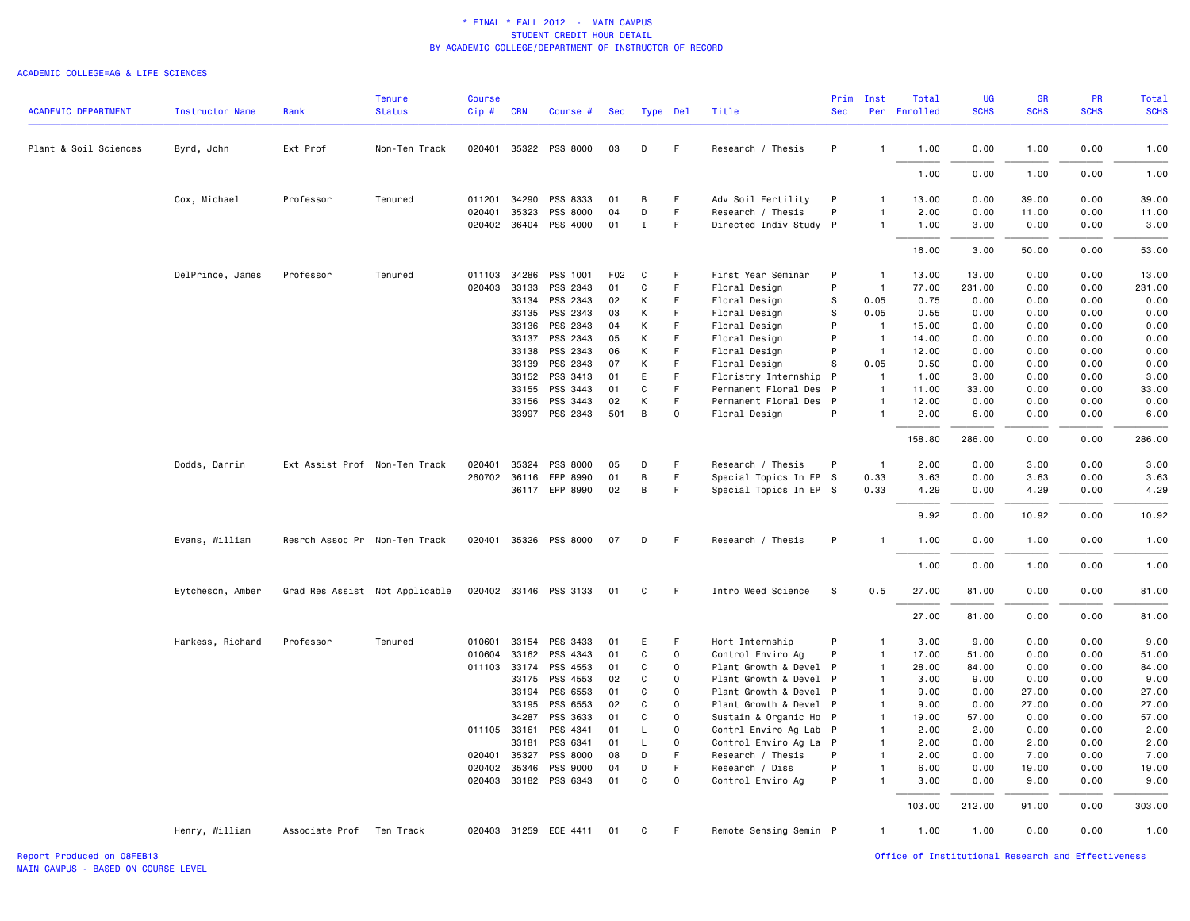### ACADEMIC COLLEGE=AG & LIFE SCIENCES

|                            |                        |                               | <b>Tenure</b>                  | <b>Course</b> |                |                                   |          |              |               |                                      | Prim         | Inst                             | Total          | UG           | <b>GR</b>     | <b>PR</b>    | Total         |
|----------------------------|------------------------|-------------------------------|--------------------------------|---------------|----------------|-----------------------------------|----------|--------------|---------------|--------------------------------------|--------------|----------------------------------|----------------|--------------|---------------|--------------|---------------|
| <b>ACADEMIC DEPARTMENT</b> | <b>Instructor Name</b> | Rank                          | <b>Status</b>                  | $Cip$ #       | <b>CRN</b>     | Course #                          | Sec      | Type Del     |               | Title                                | <b>Sec</b>   |                                  | Per Enrolled   | <b>SCHS</b>  | <b>SCHS</b>   | <b>SCHS</b>  | <b>SCHS</b>   |
| Plant & Soil Sciences      | Byrd, John             | Ext Prof                      | Non-Ten Track                  |               |                | 020401 35322 PSS 8000             | 03       | D            | -F            | Research / Thesis                    | P            | $\mathbf{1}$                     | 1.00           | 0.00         | 1.00          | 0.00         | 1.00          |
|                            |                        |                               |                                |               |                |                                   |          |              |               |                                      |              |                                  | 1.00           | 0.00         | 1.00          | 0.00         | 1.00          |
|                            | Cox, Michael           | Professor                     | Tenured                        | 011201        | 34290          | PSS 8333                          | 01       | В            | F             | Adv Soil Fertility                   | P            | $\mathbf{1}$                     | 13.00          | 0.00         | 39.00         | 0.00         | 39.00         |
|                            |                        |                               |                                | 020401        | 35323          | PSS 8000                          | 04       | D            | $\mathsf F$   | Research / Thesis                    | P            | $\overline{1}$                   | 2.00           | 0.00         | 11.00         | 0.00         | 11.00         |
|                            |                        |                               |                                |               |                | 020402 36404 PSS 4000             | 01       | $\mathbf I$  | $\mathsf F$   | Directed Indiv Study P               |              | $\mathbf{1}$                     | 1.00           | 3.00         | 0.00          | 0.00         | 3.00          |
|                            |                        |                               |                                |               |                |                                   |          |              |               |                                      |              |                                  | 16.00          | 3.00         | 50.00         | 0.00         | 53.00         |
|                            | DelPrince, James       | Professor                     | Tenured                        | 011103 34286  |                | PSS 1001                          | F02      | C            | F             | First Year Seminar                   | P            | $\overline{1}$                   | 13.00          | 13.00        | 0.00          | 0.00         | 13.00         |
|                            |                        |                               |                                | 020403 33133  |                | PSS 2343                          | 01       | C            | F.            | Floral Design                        | P            | $\overline{1}$                   | 77.00          | 231.00       | 0.00          | 0.00         | 231.00        |
|                            |                        |                               |                                |               | 33134          | PSS 2343                          | 02       | К            | F             | Floral Design                        | s            | 0.05                             | 0.75           | 0.00         | 0.00          | 0.00         | 0.00          |
|                            |                        |                               |                                |               | 33135          | PSS 2343                          | 03       | К            | F             | Floral Design                        | s            | 0.05                             | 0.55           | 0.00         | 0.00          | 0.00         | 0.00          |
|                            |                        |                               |                                |               | 33136          | PSS 2343                          | 04       | К            | $\mathsf F$   | Floral Design                        | P<br>P       | $\overline{1}$                   | 15.00          | 0.00         | 0.00          | 0.00         | 0.00          |
|                            |                        |                               |                                |               | 33137<br>33138 | PSS 2343<br>PSS 2343              | 05<br>06 | К<br>К       | F<br>F        | Floral Design                        | P            | $\overline{1}$<br>$\overline{1}$ | 14.00<br>12.00 | 0.00<br>0.00 | 0.00<br>0.00  | 0.00         | 0.00<br>0.00  |
|                            |                        |                               |                                |               | 33139          | PSS 2343                          | 07       | К            | F             | Floral Design<br>Floral Design       | S            | 0.05                             | 0.50           | 0.00         | 0.00          | 0.00<br>0.00 | 0.00          |
|                            |                        |                               |                                |               | 33152          | PSS 3413                          | 01       | E            | F             | Floristry Internship                 | P            | $\overline{1}$                   | 1.00           | 3.00         | 0.00          | 0.00         | 3.00          |
|                            |                        |                               |                                |               | 33155          | PSS 3443                          | 01       | C            | F             | Permanent Floral Des                 | $\mathsf{P}$ | $\overline{1}$                   | 11.00          | 33.00        | 0.00          | 0.00         | 33.00         |
|                            |                        |                               |                                |               | 33156          | PSS 3443                          | 02       | К            | F             | Permanent Floral Des                 | $\mathsf{P}$ | $\mathbf{1}$                     | 12.00          | 0.00         | 0.00          | 0.00         | 0.00          |
|                            |                        |                               |                                |               |                | 33997 PSS 2343                    | 501      | B            | 0             | Floral Design                        | P            | $\overline{1}$                   | 2.00           | 6.00         | 0.00          | 0.00         | 6.00          |
|                            |                        |                               |                                |               |                |                                   |          |              |               |                                      |              |                                  | 158.80         | 286.00       | 0.00          | 0.00         | 286.00        |
|                            | Dodds, Darrin          | Ext Assist Prof Non-Ten Track |                                | 020401        | 35324          | PSS 8000                          | 05       | D            | F             | Research / Thesis                    | P            | $\overline{1}$                   | 2.00           | 0.00         | 3.00          | 0.00         | 3.00          |
|                            |                        |                               |                                | 260702 36116  |                | EPP 8990                          | 01       | В            | F.            | Special Topics In EP S               |              | 0.33                             | 3.63           | 0.00         | 3.63          | 0.00         | 3.63          |
|                            |                        |                               |                                |               |                | 36117 EPP 8990                    | 02       | $\, {\bf B}$ | $\mathsf F$   | Special Topics In EP S               |              | 0.33                             | 4.29           | 0.00         | 4.29          | 0.00         | 4.29          |
|                            |                        |                               |                                |               |                |                                   |          |              |               |                                      |              |                                  | 9.92           | 0.00         | 10.92         | 0.00         | 10.92         |
|                            | Evans, William         | Resrch Assoc Pr Non-Ten Track |                                |               |                | 020401 35326 PSS 8000             | 07       | D            | F             | Research / Thesis                    | P            | $\mathbf{1}$                     | 1.00           | 0.00         | 1.00          | 0.00         | 1.00          |
|                            |                        |                               |                                |               |                |                                   |          |              |               |                                      |              |                                  | 1.00           | 0.00         | 1.00          | 0.00         | 1.00          |
|                            | Eytcheson, Amber       |                               | Grad Res Assist Not Applicable |               |                | 020402 33146 PSS 3133             | 01       | C            | F             | Intro Weed Science                   | S            | 0.5                              | 27.00          | 81.00        | 0.00          | 0.00         | 81.00         |
|                            |                        |                               |                                |               |                |                                   |          |              |               |                                      |              |                                  | 27.00          | 81.00        | 0.00          | 0.00         | 81.00         |
|                            | Harkess, Richard       | Professor                     | Tenured                        | 010601        | 33154          | PSS 3433                          | 01       | E            | F             | Hort Internship                      | P            | $\mathbf{1}$                     | 3.00           | 9.00         | 0.00          | 0.00         | 9.00          |
|                            |                        |                               |                                | 010604        | 33162          | PSS 4343                          | 01       | C            | $\mathbf 0$   | Control Enviro Ag                    | P            | $\mathbf{1}$                     | 17.00          | 51.00        | 0.00          | 0.00         | 51.00         |
|                            |                        |                               |                                | 011103 33174  |                | PSS 4553                          | 01       | C            | 0             | Plant Growth & Devel P               |              | $\mathbf{1}$                     | 28.00          | 84.00        | 0.00          | 0.00         | 84.00         |
|                            |                        |                               |                                |               | 33175          | PSS 4553                          | 02       | C            | $\Omega$      | Plant Growth & Devel P               |              | $\mathbf{1}$                     | 3.00           | 9.00         | 0.00          | 0.00         | 9.00          |
|                            |                        |                               |                                |               | 33194          | PSS 6553                          | 01       | C            | $\mathbf 0$   | Plant Growth & Devel P               |              | $\mathbf{1}$                     | 9.00           | 0.00         | 27.00         | 0.00         | 27.00         |
|                            |                        |                               |                                |               | 33195          | PSS 6553                          | 02       | C            | $\mathbf 0$   | Plant Growth & Devel P               |              | $\mathbf{1}$                     | 9.00           | 0.00         | 27.00         | 0.00         | 27.00         |
|                            |                        |                               |                                |               | 34287          | PSS 3633                          | 01       | C            | 0             | Sustain & Organic Ho P               |              | $\overline{1}$                   | 19.00          | 57.00        | 0.00          | 0.00         | 57.00         |
|                            |                        |                               |                                | 011105 33161  |                | PSS 4341                          | 01       | L            | $\Omega$      | Contrl Enviro Ag Lab P               |              | $\mathbf{1}$                     | 2.00           | 2.00         | 0.00          | 0.00         | 2.00          |
|                            |                        |                               |                                |               | 33181          | PSS 6341                          | 01       | $\mathsf{L}$ | $\mathbf 0$   | Control Enviro Ag La P               |              | $\overline{1}$                   | 2.00           | 0.00         | 2.00          | 0.00         | 2.00          |
|                            |                        |                               |                                | 020401        | 35327          | PSS 8000                          | 08       | D            | F             | Research / Thesis                    | P            | $\mathbf{1}$                     | 2.00           | 0.00         | 7.00          | 0.00         | 7.00          |
|                            |                        |                               |                                | 020402 35346  |                | PSS 9000<br>020403 33182 PSS 6343 | 04<br>01 | D<br>C       | F<br>$\Omega$ | Research / Diss<br>Control Enviro Ag | P<br>P       | $\mathbf{1}$<br>$\mathbf{1}$     | 6.00<br>3.00   | 0.00<br>0.00 | 19.00<br>9.00 | 0.00<br>0.00 | 19.00<br>9.00 |
|                            |                        |                               |                                |               |                |                                   |          |              |               |                                      |              |                                  | 103.00         | 212.00       | 91.00         | 0.00         | 303.00        |
|                            | Henry, William         | Associate Prof                | Ten Track                      |               |                | 020403 31259 ECE 4411             | 01       | C            | F.            | Remote Sensing Semin P               |              | $\mathbf{1}$                     | 1.00           | 1.00         | 0.00          | 0.00         | 1.00          |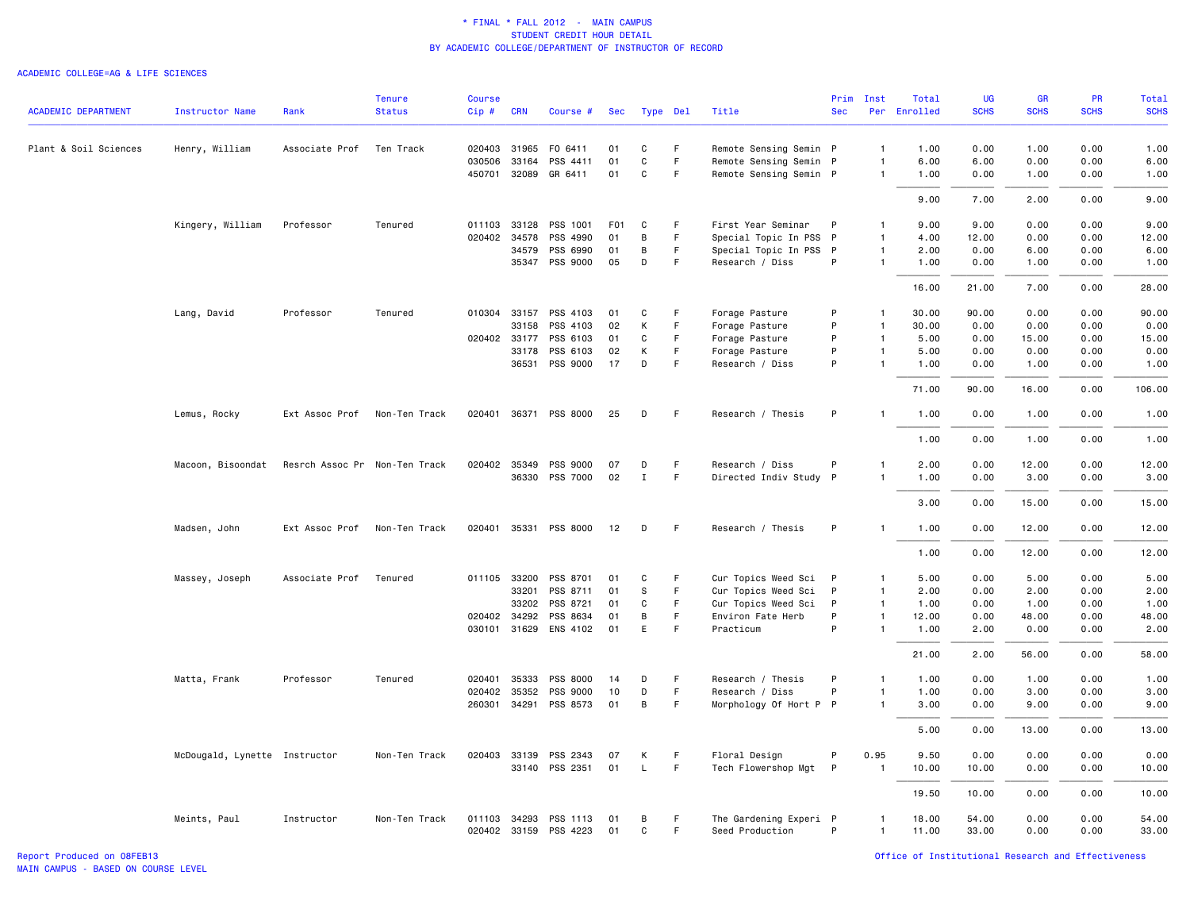#### ACADEMIC COLLEGE=AG & LIFE SCIENCES

|                            |                               |                               | <b>Tenure</b> | <b>Course</b> |              |                       |     |                  |    |                        |              | Prim Inst      | Total        | UG          | <b>GR</b>   | PR          | Total       |
|----------------------------|-------------------------------|-------------------------------|---------------|---------------|--------------|-----------------------|-----|------------------|----|------------------------|--------------|----------------|--------------|-------------|-------------|-------------|-------------|
| <b>ACADEMIC DEPARTMENT</b> | <b>Instructor Name</b>        | Rank                          | <b>Status</b> | Cip#          | <b>CRN</b>   | Course #              | Sec | Type Del         |    | Title                  | <b>Sec</b>   |                | Per Enrolled | <b>SCHS</b> | <b>SCHS</b> | <b>SCHS</b> | <b>SCHS</b> |
| Plant & Soil Sciences      | Henry, William                | Associate Prof                | Ten Track     | 020403 31965  |              | FO 6411               | 01  | C                | F. | Remote Sensing Semin P |              | $\overline{1}$ | 1.00         | 0.00        | 1.00        | 0.00        | 1.00        |
|                            |                               |                               |               | 030506        | 33164        | PSS 4411              | 01  | C                | F. | Remote Sensing Semin P |              | $\overline{1}$ | 6.00         | 6.00        | 0.00        | 0.00        | 6.00        |
|                            |                               |                               |               |               | 450701 32089 | GR 6411               | 01  | $\mathbf C$      | F  | Remote Sensing Semin P |              | $\overline{1}$ | 1.00         | 0.00        | 1.00        | 0.00        | 1.00        |
|                            |                               |                               |               |               |              |                       |     |                  |    |                        |              |                | 9.00         | 7.00        | 2.00        | 0.00        | 9.00        |
|                            | Kingery, William              | Professor                     | Tenured       |               | 011103 33128 | PSS 1001              | F01 | C                | F  | First Year Seminar     | P            | $\mathbf{1}$   | 9.00         | 9.00        | 0.00        | 0.00        | 9.00        |
|                            |                               |                               |               |               | 020402 34578 | PSS 4990              | 01  | $\, {\bf B}$     | F  | Special Topic In PSS   | P            | $\overline{1}$ | 4.00         | 12.00       | 0.00        | 0.00        | 12.00       |
|                            |                               |                               |               |               | 34579        | PSS 6990              | 01  | B                | F  | Special Topic In PSS   | $\mathsf{P}$ | $\overline{1}$ | 2.00         | 0.00        | 6.00        | 0.00        | 6.00        |
|                            |                               |                               |               |               |              | 35347 PSS 9000        | 05  | D                | F  | Research / Diss        | P            | $\overline{1}$ | 1.00         | 0.00        | 1.00        | 0.00        | 1.00        |
|                            |                               |                               |               |               |              |                       |     |                  |    |                        |              |                | 16.00        | 21.00       | 7.00        | 0.00        | 28.00       |
|                            | Lang, David                   | Professor                     | Tenured       |               | 010304 33157 | PSS 4103              | 01  | C                | F  | Forage Pasture         | P            | $\overline{1}$ | 30.00        | 90.00       | 0.00        | 0.00        | 90.00       |
|                            |                               |                               |               |               | 33158        | PSS 4103              | 02  | К                | F  | Forage Pasture         | P            | $\overline{1}$ | 30.00        | 0.00        | 0.00        | 0.00        | 0.00        |
|                            |                               |                               |               |               | 020402 33177 | PSS 6103              | 01  | C                | F  | Forage Pasture         | P            | $\overline{1}$ | 5.00         | 0.00        | 15.00       | 0.00        | 15.00       |
|                            |                               |                               |               |               | 33178        | PSS 6103              | 02  | К                | F  | Forage Pasture         | P            | $\overline{1}$ | 5.00         | 0.00        | 0.00        | 0.00        | 0.00        |
|                            |                               |                               |               |               | 36531        | PSS 9000              | 17  | D                | F  | Research / Diss        | P            | $\overline{1}$ | 1.00         | 0.00        | 1.00        | 0.00        | 1.00        |
|                            |                               |                               |               |               |              |                       |     |                  |    |                        |              |                | 71.00        | 90.00       | 16.00       | 0.00        | 106.00      |
|                            | Lemus, Rocky                  | Ext Assoc Prof                | Non-Ten Track |               |              | 020401 36371 PSS 8000 | 25  | D                | F  | Research / Thesis      | P            | $\overline{1}$ | 1.00         | 0.00        | 1.00        | 0.00        | 1.00        |
|                            |                               |                               |               |               |              |                       |     |                  |    |                        |              |                | 1.00         | 0.00        | 1.00        | 0.00        | 1.00        |
|                            |                               |                               |               |               |              | 020402 35349 PSS 9000 | 07  |                  | F  | Research / Diss        | P            | $\mathbf{1}$   | 2.00         | 0.00        | 12.00       | 0.00        | 12.00       |
|                            | Macoon, Bisoondat             | Resrch Assoc Pr Non-Ten Track |               |               |              | 36330 PSS 7000        | 02  | D<br>$\mathbf I$ | F. | Directed Indiv Study   | P            | $\overline{1}$ | 1.00         | 0.00        | 3.00        | 0.00        | 3.00        |
|                            |                               |                               |               |               |              |                       |     |                  |    |                        |              |                |              |             |             |             |             |
|                            |                               |                               |               |               |              |                       |     |                  |    |                        |              |                | 3.00         | 0.00        | 15.00       | 0.00        | 15.00       |
|                            | Madsen, John                  | Ext Assoc Prof                | Non-Ten Track |               |              | 020401 35331 PSS 8000 | 12  | D                | F  | Research / Thesis      | P            | $\mathbf{1}$   | 1.00         | 0.00        | 12.00       | 0.00        | 12.00       |
|                            |                               |                               |               |               |              |                       |     |                  |    |                        |              |                | 1.00         | 0.00        | 12.00       | 0.00        | 12.00       |
|                            | Massey, Joseph                | Associate Prof                | Tenured       |               | 011105 33200 | PSS 8701              | 01  | C                | F  | Cur Topics Weed Sci    | P            | $\overline{1}$ | 5.00         | 0.00        | 5.00        | 0.00        | 5.00        |
|                            |                               |                               |               |               | 33201        | PSS 8711              | 01  | S                | F. | Cur Topics Weed Sci    | P            | $\overline{1}$ | 2.00         | 0.00        | 2.00        | 0.00        | 2.00        |
|                            |                               |                               |               |               | 33202        | PSS 8721              | 01  | C                | F  | Cur Topics Weed Sci    | P            | $\overline{1}$ | 1.00         | 0.00        | 1.00        | 0.00        | 1.00        |
|                            |                               |                               |               |               | 020402 34292 | PSS 8634              | 01  | B                | F. | Environ Fate Herb      | P            | $\overline{1}$ | 12.00        | 0.00        | 48.00       | 0.00        | 48.00       |
|                            |                               |                               |               |               | 030101 31629 | ENS 4102              | 01  | E                | F  | Practicum              | P            | $\overline{1}$ | 1.00         | 2.00        | 0.00        | 0.00        | 2.00        |
|                            |                               |                               |               |               |              |                       |     |                  |    |                        |              |                | 21.00        | 2.00        | 56.00       | 0.00        | 58.00       |
|                            | Matta, Frank                  | Professor                     | Tenured       | 020401        | 35333        | PSS 8000              | 14  | D                | F  | Research / Thesis      | P            | $\overline{1}$ | 1.00         | 0.00        | 1.00        | 0.00        | 1.00        |
|                            |                               |                               |               |               | 020402 35352 | PSS 9000              | 10  | D                | F  | Research / Diss        | P            | $\overline{1}$ | 1.00         | 0.00        | 3.00        | 0.00        | 3.00        |
|                            |                               |                               |               |               |              | 260301 34291 PSS 8573 | 01  | $\, {\bf B}$     | F. | Morphology Of Hort P P |              | $\overline{1}$ | 3.00         | 0.00        | 9.00        | 0.00        | 9.00        |
|                            |                               |                               |               |               |              |                       |     |                  |    |                        |              |                | 5.00         | 0.00        | 13.00       | 0.00        | 13.00       |
|                            | McDougald, Lynette Instructor |                               | Non-Ten Track |               | 020403 33139 | PSS 2343              | 07  | К                | F  | Floral Design          | P            | 0.95           | 9.50         | 0.00        | 0.00        | 0.00        | 0.00        |
|                            |                               |                               |               |               |              | 33140 PSS 2351        | 01  | $\mathsf L$      | F. | Tech Flowershop Mgt    | P            | $\overline{1}$ | 10.00        | 10.00       | 0.00        | 0.00        | 10.00       |
|                            |                               |                               |               |               |              |                       |     |                  |    |                        |              |                | 19.50        | 10.00       | 0.00        | 0.00        | 10.00       |
|                            | Meints, Paul                  | Instructor                    | Non-Ten Track |               | 011103 34293 | PSS 1113              | 01  | B                | F  | The Gardening Experi P |              | $\mathbf{1}$   | 18.00        | 54.00       | 0.00        | 0.00        | 54.00       |
|                            |                               |                               |               |               |              | 020402 33159 PSS 4223 | 01  | C                | F. | Seed Production        | P            | $\overline{1}$ | 11.00        | 33,00       | 0.00        | 0.00        | 33.00       |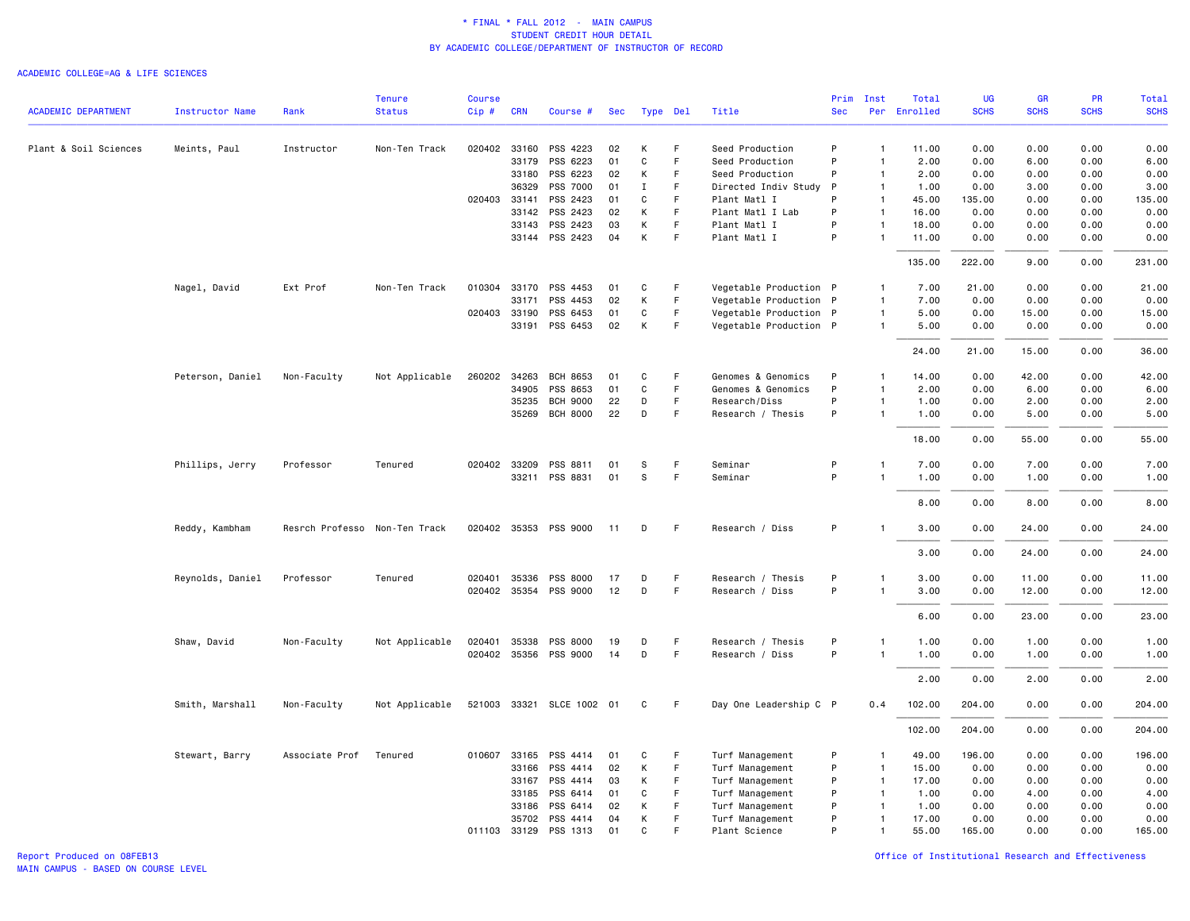#### ACADEMIC COLLEGE=AG & LIFE SCIENCES

|                            |                        |                               | <b>Tenure</b>  | <b>Course</b> |                       |                           |          |        |             |                                    | Prim         | Inst                         | Total         | UG           | <b>GR</b>    | PR           | Total        |
|----------------------------|------------------------|-------------------------------|----------------|---------------|-----------------------|---------------------------|----------|--------|-------------|------------------------------------|--------------|------------------------------|---------------|--------------|--------------|--------------|--------------|
| <b>ACADEMIC DEPARTMENT</b> | <b>Instructor Name</b> | Rank                          | <b>Status</b>  | Cip#          | <b>CRN</b>            | Course #                  | Sec      |        | Type Del    | Title                              | <b>Sec</b>   | Per                          | Enrolled      | <b>SCHS</b>  | <b>SCHS</b>  | <b>SCHS</b>  | <b>SCHS</b>  |
|                            |                        |                               |                |               |                       |                           |          |        | F           |                                    |              |                              |               |              |              |              |              |
| Plant & Soil Sciences      | Meints, Paul           | Instructor                    | Non-Ten Track  |               | 020402 33160<br>33179 | PSS 4223<br>PSS 6223      | 02<br>01 | К<br>C | F           | Seed Production<br>Seed Production | P<br>P       | $\mathbf{1}$<br>$\mathbf{1}$ | 11.00<br>2.00 | 0.00<br>0.00 | 0.00<br>6.00 | 0.00<br>0.00 | 0.00<br>6.00 |
|                            |                        |                               |                |               | 33180                 | PSS 6223                  | 02       | К      | F           | Seed Production                    | P            | $\overline{1}$               | 2.00          | 0.00         | 0.00         | 0.00         | 0.00         |
|                            |                        |                               |                |               | 36329                 | PSS 7000                  | 01       | Ι.     | F.          | Directed Indiv Study               | $\mathsf{P}$ | $\mathbf{1}$                 | 1.00          | 0.00         | 3.00         | 0.00         | 3.00         |
|                            |                        |                               |                |               | 020403 33141          | PSS 2423                  | 01       | C      | E           | Plant Matl I                       | P            | $\overline{1}$               | 45.00         | 135.00       | 0.00         | 0.00         | 135.00       |
|                            |                        |                               |                |               | 33142                 | PSS 2423                  | 02       | К      | F           | Plant Matl I Lab                   | P            | $\overline{1}$               | 16.00         | 0.00         | 0.00         | 0.00         | 0.00         |
|                            |                        |                               |                |               | 33143                 | PSS 2423                  | 03       | К      | F           | Plant Matl I                       | P            | $\mathbf{1}$                 | 18.00         | 0.00         | 0.00         | 0.00         | 0.00         |
|                            |                        |                               |                |               |                       | 33144 PSS 2423            | 04       | К      | F           | Plant Matl I                       | P            | 1                            | 11.00         | 0.00         | 0.00         | 0.00         | 0.00         |
|                            |                        |                               |                |               |                       |                           |          |        |             |                                    |              |                              | 135.00        | 222.00       | 9.00         | 0.00         | 231.00       |
|                            | Nagel, David           | Ext Prof                      | Non-Ten Track  |               |                       | 010304 33170 PSS 4453     | 01       | C      | F.          | Vegetable Production P             |              | $\mathbf{1}$                 | 7.00          | 21.00        | 0.00         | 0.00         | 21.00        |
|                            |                        |                               |                |               | 33171                 | PSS 4453                  | 02       | К      | F           | Vegetable Production P             |              | $\mathbf{1}$                 | 7.00          | 0.00         | 0.00         | 0.00         | 0.00         |
|                            |                        |                               |                |               | 020403 33190          | PSS 6453                  | 01       | C      | F.          | Vegetable Production P             |              | $\mathbf{1}$                 | 5.00          | 0.00         | 15.00        | 0.00         | 15.00        |
|                            |                        |                               |                |               | 33191                 | PSS 6453                  | 02       | К      | F           | Vegetable Production P             |              | $\mathbf{1}$                 | 5.00          | 0.00         | 0.00         | 0.00         | 0.00         |
|                            |                        |                               |                |               |                       |                           |          |        |             |                                    |              |                              | 24.00         | 21.00        | 15.00        | 0.00         | 36.00        |
|                            | Peterson, Daniel       | Non-Faculty                   | Not Applicable |               | 260202 34263          | BCH 8653                  | 01       | C      | F           | Genomes & Genomics                 | P            | $\mathbf{1}$                 | 14.00         | 0.00         | 42.00        | 0.00         | 42.00        |
|                            |                        |                               |                |               | 34905                 | PSS 8653                  | 01       | C      | F           | Genomes & Genomics                 | P            | $\mathbf{1}$                 | 2.00          | 0.00         | 6.00         | 0.00         | 6.00         |
|                            |                        |                               |                |               | 35235                 | <b>BCH 9000</b>           | 22       | D      | F           | Research/Diss                      | P            | $\mathbf{1}$                 | 1.00          | 0.00         | 2.00         | 0.00         | 2.00         |
|                            |                        |                               |                |               | 35269                 | <b>BCH 8000</b>           | 22       | D      | $\mathsf F$ | Research / Thesis                  | P            | $\overline{1}$               | 1.00          | 0.00         | 5.00         | 0.00         | 5.00         |
|                            |                        |                               |                |               |                       |                           |          |        |             |                                    |              |                              | 18.00         | 0.00         | 55.00        | 0.00         | 55.00        |
|                            | Phillips, Jerry        | Professor                     | Tenured        |               | 020402 33209          | PSS 8811                  | 01       | S      | F           | Seminar                            | P            | $\overline{1}$               | 7.00          | 0.00         | 7.00         | 0.00         | 7.00         |
|                            |                        |                               |                |               |                       | 33211 PSS 8831            | 01       | s      | F.          | Seminar                            | P            | $\overline{1}$               | 1.00          | 0.00         | 1.00         | 0.00         | 1.00         |
|                            |                        |                               |                |               |                       |                           |          |        |             |                                    |              |                              |               | 0.00         |              |              |              |
|                            |                        |                               |                |               |                       |                           |          |        |             |                                    |              |                              | 8.00          |              | 8.00         | 0.00         | 8.00         |
|                            | Reddy, Kambham         | Resrch Professo Non-Ten Track |                |               |                       | 020402 35353 PSS 9000     | 11       | D      | -F          | Research / Diss                    | P            | -1                           | 3.00          | 0.00         | 24.00        | 0.00         | 24.00        |
|                            |                        |                               |                |               |                       |                           |          |        |             |                                    |              |                              | 3.00          | 0.00         | 24.00        | 0.00         | 24.00        |
|                            | Reynolds, Daniel       | Professor                     | Tenured        | 020401        | 35336                 | PSS 8000                  | 17       | D      | F           | Research / Thesis                  | P            | $\mathbf{1}$                 | 3.00          | 0.00         | 11.00        | 0.00         | 11.00        |
|                            |                        |                               |                |               | 020402 35354          | PSS 9000                  | 12       | D      | F           | Research / Diss                    | P            | $\mathbf{1}$                 | 3.00          | 0.00         | 12.00        | 0.00         | 12.00        |
|                            |                        |                               |                |               |                       |                           |          |        |             |                                    |              |                              |               | 0.00         | 23.00        | 0.00         | 23.00        |
|                            |                        |                               |                |               |                       |                           |          |        |             |                                    |              |                              | 6.00          |              |              |              |              |
|                            | Shaw, David            | Non-Faculty                   | Not Applicable | 020401        | 35338                 | PSS 8000                  | 19       | D      | F           | Research / Thesis                  | P            | -1                           | 1.00          | 0.00         | 1.00         | 0.00         | 1.00         |
|                            |                        |                               |                |               |                       | 020402 35356 PSS 9000     | 14       | D      | $\mathsf F$ | Research / Diss                    | P            | 1                            | 1.00          | 0.00         | 1.00         | 0.00         | 1.00         |
|                            |                        |                               |                |               |                       |                           |          |        |             |                                    |              |                              | 2.00          | 0.00         | 2.00         | 0.00         | 2.00         |
|                            | Smith, Marshall        | Non-Faculty                   | Not Applicable |               |                       | 521003 33321 SLCE 1002 01 |          | C      | F           | Day One Leadership C P             |              | 0.4                          | 102.00        | 204.00       | 0.00         | 0.00         | 204.00       |
|                            |                        |                               |                |               |                       |                           |          |        |             |                                    |              |                              | 102.00        | 204.00       | 0.00         | 0.00         | 204.00       |
|                            | Stewart, Barry         | Associate Prof                | Tenured        |               | 010607 33165          | PSS 4414                  | 01       | C      | F           | Turf Management                    | P            | $\mathbf{1}$                 | 49.00         | 196.00       | 0.00         | 0.00         | 196.00       |
|                            |                        |                               |                |               | 33166                 | PSS 4414                  | 02       | К      | F.          | Turf Management                    | P            | $\overline{1}$               | 15.00         | 0.00         | 0.00         | 0.00         | 0.00         |
|                            |                        |                               |                |               | 33167                 | PSS 4414                  | 03       | К      | F           | Turf Management                    | P            | $\overline{1}$               | 17.00         | 0.00         | 0.00         | 0.00         | 0.00         |
|                            |                        |                               |                |               | 33185                 | PSS 6414                  | 01       | C      | $\mathsf F$ | Turf Management                    | P            | $\overline{1}$               | 1.00          | 0.00         | 4.00         | 0.00         | 4.00         |
|                            |                        |                               |                |               | 33186                 | PSS 6414                  | 02       | К      | F           | Turf Management                    | P            | $\overline{1}$               | 1.00          | 0.00         | 0.00         | 0.00         | 0.00         |
|                            |                        |                               |                |               | 35702                 | PSS 4414                  | 04       | К      | F           | Turf Management                    | P            | $\mathbf{1}$                 | 17.00         | 0.00         | 0.00         | 0.00         | 0.00         |
|                            |                        |                               |                |               | 011103 33129          | PSS 1313                  | 01       | C      | F           | Plant Science                      | P            | $\mathbf{1}$                 | 55.00         | 165.00       | 0.00         | 0.00         | 165.00       |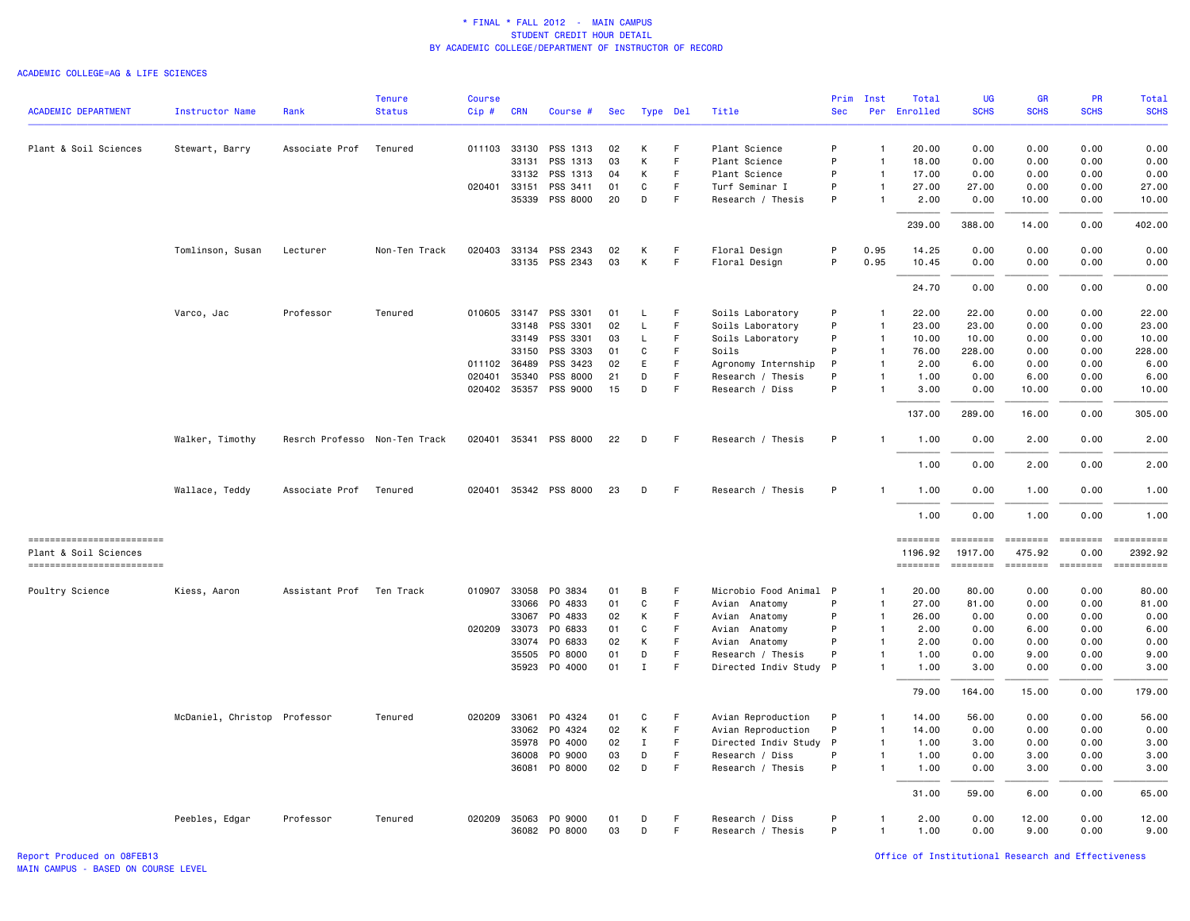#### ACADEMIC COLLEGE=AG & LIFE SCIENCES

|                                                   |                              |                               | <b>Tenure</b> | <b>Course</b> |              |                          |            |             |          |                                           |        | Prim Inst                      | Total               | UG                       | <b>GR</b>                                                                                                                                                                                                                                                                                                                                                                                                                                                                              | PR                                                                                                                                                                                                                                                                                                                                                                                                                                                                                                                        | Total        |
|---------------------------------------------------|------------------------------|-------------------------------|---------------|---------------|--------------|--------------------------|------------|-------------|----------|-------------------------------------------|--------|--------------------------------|---------------------|--------------------------|----------------------------------------------------------------------------------------------------------------------------------------------------------------------------------------------------------------------------------------------------------------------------------------------------------------------------------------------------------------------------------------------------------------------------------------------------------------------------------------|---------------------------------------------------------------------------------------------------------------------------------------------------------------------------------------------------------------------------------------------------------------------------------------------------------------------------------------------------------------------------------------------------------------------------------------------------------------------------------------------------------------------------|--------------|
| <b>ACADEMIC DEPARTMENT</b>                        | <b>Instructor Name</b>       | Rank                          | <b>Status</b> | Cip#          | <b>CRN</b>   | Course #                 | <b>Sec</b> |             | Type Del | Title                                     | Sec    | Per                            | Enrolled            | <b>SCHS</b>              | <b>SCHS</b>                                                                                                                                                                                                                                                                                                                                                                                                                                                                            | <b>SCHS</b>                                                                                                                                                                                                                                                                                                                                                                                                                                                                                                               | <b>SCHS</b>  |
| Plant & Soil Sciences                             | Stewart, Barry               | Associate Prof                | Tenured       |               | 011103 33130 | PSS 1313                 | 02         | К           | F        | Plant Science                             | P      | $\overline{1}$                 | 20.00               | 0.00                     | 0.00                                                                                                                                                                                                                                                                                                                                                                                                                                                                                   | 0.00                                                                                                                                                                                                                                                                                                                                                                                                                                                                                                                      | 0.00         |
|                                                   |                              |                               |               |               | 33131        | PSS 1313                 | 03         | К           | F        | Plant Science                             | P      | $\overline{1}$                 | 18.00               | 0.00                     | 0.00                                                                                                                                                                                                                                                                                                                                                                                                                                                                                   | 0.00                                                                                                                                                                                                                                                                                                                                                                                                                                                                                                                      | 0.00         |
|                                                   |                              |                               |               |               | 33132        | PSS 1313                 | 04         | K           | F        | Plant Science                             | P      | $\overline{1}$                 | 17.00               | 0.00                     | 0.00                                                                                                                                                                                                                                                                                                                                                                                                                                                                                   | 0.00                                                                                                                                                                                                                                                                                                                                                                                                                                                                                                                      | 0.00         |
|                                                   |                              |                               |               |               | 020401 33151 | PSS 3411                 | 01         | C           | F        | Turf Seminar I                            | P      | $\overline{1}$                 | 27.00               | 27.00                    | 0.00                                                                                                                                                                                                                                                                                                                                                                                                                                                                                   | 0.00                                                                                                                                                                                                                                                                                                                                                                                                                                                                                                                      | 27.00        |
|                                                   |                              |                               |               |               | 35339        | PSS 8000                 | 20         | D           | F        | Research / Thesis                         | P      | -1                             | 2.00                | 0.00                     | 10.00                                                                                                                                                                                                                                                                                                                                                                                                                                                                                  | 0.00                                                                                                                                                                                                                                                                                                                                                                                                                                                                                                                      | 10.00        |
|                                                   |                              |                               |               |               |              |                          |            |             |          |                                           |        |                                | 239.00              | 388.00                   | 14.00                                                                                                                                                                                                                                                                                                                                                                                                                                                                                  | 0.00                                                                                                                                                                                                                                                                                                                                                                                                                                                                                                                      | 402.00       |
|                                                   | Tomlinson, Susan             | Lecturer                      | Non-Ten Track | 020403        |              | 33134 PSS 2343           | 02         | К           | F        | Floral Design                             | P      | 0.95                           | 14.25               | 0.00                     | 0.00                                                                                                                                                                                                                                                                                                                                                                                                                                                                                   | 0.00                                                                                                                                                                                                                                                                                                                                                                                                                                                                                                                      | 0.00         |
|                                                   |                              |                               |               |               |              | 33135 PSS 2343           | 03         | К           | F        | Floral Design                             | P      | 0.95                           | 10.45               | 0.00                     | 0.00                                                                                                                                                                                                                                                                                                                                                                                                                                                                                   | 0.00                                                                                                                                                                                                                                                                                                                                                                                                                                                                                                                      | 0.00         |
|                                                   |                              |                               |               |               |              |                          |            |             |          |                                           |        |                                | 24.70               | 0.00                     | 0.00                                                                                                                                                                                                                                                                                                                                                                                                                                                                                   | 0.00                                                                                                                                                                                                                                                                                                                                                                                                                                                                                                                      | 0.00         |
|                                                   | Varco, Jac                   | Professor                     | Tenured       |               | 010605 33147 | PSS 3301                 | 01         | L           | F        | Soils Laboratory                          | P      | -1                             | 22.00               | 22.00                    | 0.00                                                                                                                                                                                                                                                                                                                                                                                                                                                                                   | 0.00                                                                                                                                                                                                                                                                                                                                                                                                                                                                                                                      | 22.00        |
|                                                   |                              |                               |               |               | 33148        | PSS 3301                 | 02         | L           | F        | Soils Laboratory                          | P      | $\overline{1}$                 | 23.00               | 23.00                    | 0.00                                                                                                                                                                                                                                                                                                                                                                                                                                                                                   | 0.00                                                                                                                                                                                                                                                                                                                                                                                                                                                                                                                      | 23.00        |
|                                                   |                              |                               |               |               | 33149        | PSS 3301                 | 03         | L           | F        | Soils Laboratory                          | P      | $\overline{1}$                 | 10.00               | 10.00                    | 0.00                                                                                                                                                                                                                                                                                                                                                                                                                                                                                   | 0.00                                                                                                                                                                                                                                                                                                                                                                                                                                                                                                                      | 10.00        |
|                                                   |                              |                               |               |               | 33150        | PSS 3303                 | 01         | C           | F.       | Soils                                     | P      | $\overline{1}$                 | 76.00               | 228.00                   | 0.00                                                                                                                                                                                                                                                                                                                                                                                                                                                                                   | 0.00                                                                                                                                                                                                                                                                                                                                                                                                                                                                                                                      | 228.00       |
|                                                   |                              |                               |               |               | 011102 36489 | PSS 3423                 | 02         | E           |          | Agronomy Internship                       | P      | $\overline{1}$                 | 2.00                | 6.00                     | 0.00                                                                                                                                                                                                                                                                                                                                                                                                                                                                                   | 0.00                                                                                                                                                                                                                                                                                                                                                                                                                                                                                                                      | 6.00         |
|                                                   |                              |                               |               | 020401        | 35340        | PSS 8000                 | 21         | D           | F        | Research / Thesis                         | P      | $\overline{1}$                 | 1.00                | 0.00                     | 6.00                                                                                                                                                                                                                                                                                                                                                                                                                                                                                   | 0.00                                                                                                                                                                                                                                                                                                                                                                                                                                                                                                                      | 6.00         |
|                                                   |                              |                               |               |               | 020402 35357 | PSS 9000                 | 15         | D           | F        | Research / Diss                           | P      | $\overline{1}$                 | 3.00                | 0.00                     | 10.00                                                                                                                                                                                                                                                                                                                                                                                                                                                                                  | 0.00                                                                                                                                                                                                                                                                                                                                                                                                                                                                                                                      | 10.00        |
|                                                   |                              |                               |               |               |              |                          |            |             |          |                                           |        |                                | 137.00              | 289.00                   | 16.00                                                                                                                                                                                                                                                                                                                                                                                                                                                                                  | 0.00                                                                                                                                                                                                                                                                                                                                                                                                                                                                                                                      | 305.00       |
|                                                   | Walker, Timothy              | Resrch Professo Non-Ten Track |               |               | 020401 35341 | PSS 8000                 | 22         | D           | F        | Research / Thesis                         | P      | $\overline{1}$                 | 1.00                | 0.00                     | 2.00                                                                                                                                                                                                                                                                                                                                                                                                                                                                                   | 0.00                                                                                                                                                                                                                                                                                                                                                                                                                                                                                                                      | 2.00         |
|                                                   |                              |                               |               |               |              |                          |            |             |          |                                           |        |                                | 1.00                | 0.00                     | 2.00                                                                                                                                                                                                                                                                                                                                                                                                                                                                                   | 0.00                                                                                                                                                                                                                                                                                                                                                                                                                                                                                                                      | 2.00         |
|                                                   | Wallace, Teddy               | Associate Prof                | Tenured       |               |              | 020401 35342 PSS 8000    | 23         | D           | F        | Research / Thesis                         | P      | -1                             | 1.00                | 0.00                     | 1.00                                                                                                                                                                                                                                                                                                                                                                                                                                                                                   | 0.00                                                                                                                                                                                                                                                                                                                                                                                                                                                                                                                      | 1.00         |
|                                                   |                              |                               |               |               |              |                          |            |             |          |                                           |        |                                | 1.00                | 0.00                     | 1.00                                                                                                                                                                                                                                                                                                                                                                                                                                                                                   | 0.00                                                                                                                                                                                                                                                                                                                                                                                                                                                                                                                      | 1.00         |
| ------------------------<br>Plant & Soil Sciences |                              |                               |               |               |              |                          |            |             |          |                                           |        |                                | ========<br>1196.92 | $= 222222222$<br>1917.00 | <b>EEEEEEEE</b><br>475.92                                                                                                                                                                                                                                                                                                                                                                                                                                                              | $= 222222222$<br>0.00                                                                                                                                                                                                                                                                                                                                                                                                                                                                                                     | 2392.92      |
| -------------------------                         |                              |                               |               |               |              |                          |            |             |          |                                           |        |                                | <b>EDESSERS</b>     | $= 1000000000$           | $\begin{array}{cccccccccc} \multicolumn{2}{c}{} & \multicolumn{2}{c}{} & \multicolumn{2}{c}{} & \multicolumn{2}{c}{} & \multicolumn{2}{c}{} & \multicolumn{2}{c}{} & \multicolumn{2}{c}{} & \multicolumn{2}{c}{} & \multicolumn{2}{c}{} & \multicolumn{2}{c}{} & \multicolumn{2}{c}{} & \multicolumn{2}{c}{} & \multicolumn{2}{c}{} & \multicolumn{2}{c}{} & \multicolumn{2}{c}{} & \multicolumn{2}{c}{} & \multicolumn{2}{c}{} & \multicolumn{2}{c}{} & \multicolumn{2}{c}{} & \mult$ | $\begin{array}{c} \multicolumn{3}{c} {\small \texttt{m}} = \multicolumn{3}{c} {\small \texttt{m}} = \multicolumn{3}{c} {\small \texttt{m}} = \multicolumn{3}{c} {\small \texttt{m}} = \multicolumn{3}{c} {\small \texttt{m}} = \multicolumn{3}{c} {\small \texttt{m}} = \multicolumn{3}{c} {\small \texttt{m}} = \multicolumn{3}{c} {\small \texttt{m}} = \multicolumn{3}{c} {\small \texttt{m}} = \multicolumn{3}{c} {\small \texttt{m}} = \multicolumn{3}{c} {\small \texttt{m}} = \multicolumn{3}{c} {\small \texttt{$ | ==========   |
| Poultry Science                                   | Kiess, Aaron                 | Assistant Prof                | Ten Track     | 010907        | 33058        | PO 3834                  | 01         | в           | F        | Microbio Food Animal                      | -P     |                                | 20.00               | 80.00                    | 0.00                                                                                                                                                                                                                                                                                                                                                                                                                                                                                   | 0.00                                                                                                                                                                                                                                                                                                                                                                                                                                                                                                                      | 80.00        |
|                                                   |                              |                               |               |               | 33066        | PO 4833                  | 01         | $\mathbf C$ | F        | Avian Anatomy                             | P      | $\mathbf{1}$                   | 27.00               | 81.00                    | 0.00                                                                                                                                                                                                                                                                                                                                                                                                                                                                                   | 0.00                                                                                                                                                                                                                                                                                                                                                                                                                                                                                                                      | 81.00        |
|                                                   |                              |                               |               |               | 33067        | PO 4833                  | 02         | К           | F        | Avian<br>Anatomy                          | P      | $\overline{1}$                 | 26.00               | 0.00                     | 0.00                                                                                                                                                                                                                                                                                                                                                                                                                                                                                   | 0.00                                                                                                                                                                                                                                                                                                                                                                                                                                                                                                                      | 0.00         |
|                                                   |                              |                               |               |               | 020209 33073 | PO 6833                  | 01         | C           | F        | Avian<br>Anatomy                          | P      | $\overline{1}$                 | 2.00                | 0.00                     | 6.00                                                                                                                                                                                                                                                                                                                                                                                                                                                                                   | 0.00                                                                                                                                                                                                                                                                                                                                                                                                                                                                                                                      | 6.00         |
|                                                   |                              |                               |               |               | 33074        | PO 6833                  | 02         | К           | F        | Avian Anatomy                             | P      | $\overline{1}$                 | 2.00                | 0.00                     | 0.00                                                                                                                                                                                                                                                                                                                                                                                                                                                                                   | 0.00                                                                                                                                                                                                                                                                                                                                                                                                                                                                                                                      | 0.00         |
|                                                   |                              |                               |               |               | 35505        | P0 8000<br>35923 PO 4000 | 01<br>01   | D<br>Ι.     | F<br>F   | Research / Thesis<br>Directed Indiv Study | P<br>P | $\overline{1}$<br>$\mathbf{1}$ | 1.00<br>1.00        | 0.00<br>3.00             | 9.00<br>0.00                                                                                                                                                                                                                                                                                                                                                                                                                                                                           | 0.00<br>0.00                                                                                                                                                                                                                                                                                                                                                                                                                                                                                                              | 9.00<br>3.00 |
|                                                   |                              |                               |               |               |              |                          |            |             |          |                                           |        |                                | 79.00               | 164.00                   | 15.00                                                                                                                                                                                                                                                                                                                                                                                                                                                                                  | 0.00                                                                                                                                                                                                                                                                                                                                                                                                                                                                                                                      | 179.00       |
|                                                   |                              |                               |               |               |              |                          |            |             |          |                                           |        |                                |                     |                          |                                                                                                                                                                                                                                                                                                                                                                                                                                                                                        |                                                                                                                                                                                                                                                                                                                                                                                                                                                                                                                           |              |
|                                                   | McDaniel, Christop Professor |                               | Tenured       |               | 020209 33061 | PO 4324                  | 01         | C           | F        | Avian Reproduction                        | P      | $\overline{1}$                 | 14.00               | 56.00                    | 0.00                                                                                                                                                                                                                                                                                                                                                                                                                                                                                   | 0.00                                                                                                                                                                                                                                                                                                                                                                                                                                                                                                                      | 56.00        |
|                                                   |                              |                               |               |               | 33062        | P0 4324                  | 02         | К           | F.       | Avian Reproduction                        | P      | $\overline{1}$                 | 14.00               | 0.00                     | 0.00                                                                                                                                                                                                                                                                                                                                                                                                                                                                                   | 0.00                                                                                                                                                                                                                                                                                                                                                                                                                                                                                                                      | 0.00         |
|                                                   |                              |                               |               |               | 35978        | P0 4000                  | 02         | $\mathbf I$ | F        | Directed Indiv Study                      | P      | $\mathbf{1}$                   | 1.00                | 3.00                     | 0.00                                                                                                                                                                                                                                                                                                                                                                                                                                                                                   | 0.00                                                                                                                                                                                                                                                                                                                                                                                                                                                                                                                      | 3.00         |
|                                                   |                              |                               |               |               | 36008        | PO 9000                  | 03         | D           | F        | Research / Diss                           | P      | $\overline{1}$                 | 1.00                | 0.00                     | 3.00                                                                                                                                                                                                                                                                                                                                                                                                                                                                                   | 0.00                                                                                                                                                                                                                                                                                                                                                                                                                                                                                                                      | 3.00         |
|                                                   |                              |                               |               |               | 36081        | P0 8000                  | 02         | D           | F        | Research / Thesis                         | P      | $\overline{1}$                 | 1.00                | 0.00                     | 3.00                                                                                                                                                                                                                                                                                                                                                                                                                                                                                   | 0.00                                                                                                                                                                                                                                                                                                                                                                                                                                                                                                                      | 3.00         |
|                                                   |                              |                               |               |               |              |                          |            |             |          |                                           |        |                                | 31.00               | 59.00                    | 6.00                                                                                                                                                                                                                                                                                                                                                                                                                                                                                   | 0.00                                                                                                                                                                                                                                                                                                                                                                                                                                                                                                                      | 65.00        |
|                                                   | Peebles, Edgar               | Professor                     | Tenured       |               | 020209 35063 | PO 9000                  | 01         | D           | F        | Research / Diss                           | P      | $\mathbf{1}$                   | 2.00                | 0.00                     | 12.00                                                                                                                                                                                                                                                                                                                                                                                                                                                                                  | 0.00                                                                                                                                                                                                                                                                                                                                                                                                                                                                                                                      | 12.00        |
|                                                   |                              |                               |               |               |              | 36082 PO 8000            | 03         | D           | F        | Research / Thesis                         | P      | $\mathbf{1}$                   | 1.00                | 0.00                     | 9.00                                                                                                                                                                                                                                                                                                                                                                                                                                                                                   | 0.00                                                                                                                                                                                                                                                                                                                                                                                                                                                                                                                      | 9.00         |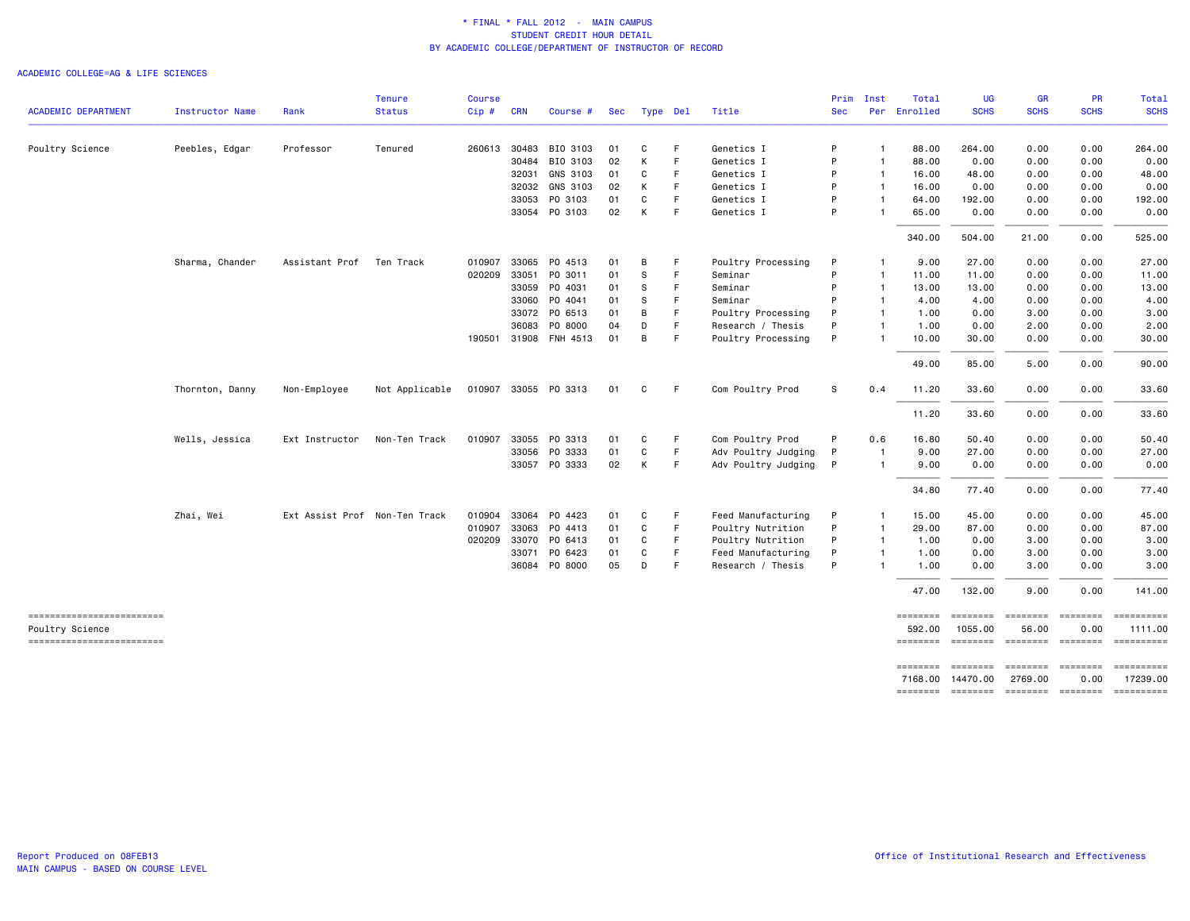|                                             |                        |                               | <b>Tenure</b>  | <b>Course</b> |            |                                  |          |          |          |                                         | Prim       | Inst                           | Total                        | UG                   | <b>GR</b>                | <b>PR</b>                                                                                                                                                                                                                                                                                                                                                                                                                                                                                                                         | Total                                                                                         |
|---------------------------------------------|------------------------|-------------------------------|----------------|---------------|------------|----------------------------------|----------|----------|----------|-----------------------------------------|------------|--------------------------------|------------------------------|----------------------|--------------------------|-----------------------------------------------------------------------------------------------------------------------------------------------------------------------------------------------------------------------------------------------------------------------------------------------------------------------------------------------------------------------------------------------------------------------------------------------------------------------------------------------------------------------------------|-----------------------------------------------------------------------------------------------|
| <b>ACADEMIC DEPARTMENT</b>                  | <b>Instructor Name</b> | Rank                          | <b>Status</b>  | Cip#          | <b>CRN</b> | Course #                         | Sec      | Type Del |          | Title                                   | <b>Sec</b> |                                | Per Enrolled                 | <b>SCHS</b>          | <b>SCHS</b>              | <b>SCHS</b>                                                                                                                                                                                                                                                                                                                                                                                                                                                                                                                       | <b>SCHS</b>                                                                                   |
| Poultry Science                             | Peebles, Edgar         | Professor                     | Tenured        | 260613        | 30483      | BIO 3103                         | 01       | C        | F.       | Genetics I                              | P          | $\mathbf{1}$                   | 88,00                        | 264.00               | 0.00                     | 0.00                                                                                                                                                                                                                                                                                                                                                                                                                                                                                                                              | 264.00                                                                                        |
|                                             |                        |                               |                |               | 30484      | BIO 3103                         | 02       | К        | F        | Genetics I                              | P          | $\mathbf{1}$                   | 88.00                        | 0.00                 | 0.00                     | 0.00                                                                                                                                                                                                                                                                                                                                                                                                                                                                                                                              | 0.00                                                                                          |
|                                             |                        |                               |                |               | 32031      | GNS 3103                         | 01       | C        | F.       | Genetics I                              | P          | $\mathbf{1}$                   | 16.00                        | 48.00                | 0.00                     | 0.00                                                                                                                                                                                                                                                                                                                                                                                                                                                                                                                              | 48.00                                                                                         |
|                                             |                        |                               |                |               | 32032      | GNS 3103                         | 02       | К        | -F       | Genetics I                              | P          | $\mathbf{1}$                   | 16.00                        | 0.00                 | 0.00                     | 0.00                                                                                                                                                                                                                                                                                                                                                                                                                                                                                                                              | 0.00                                                                                          |
|                                             |                        |                               |                |               | 33053      | PO 3103                          | 01       | C        | F        | Genetics I                              | P          | $\mathbf{1}$                   | 64.00                        | 192.00               | 0.00                     | 0.00                                                                                                                                                                                                                                                                                                                                                                                                                                                                                                                              | 192.00                                                                                        |
|                                             |                        |                               |                |               |            | 33054 PO 3103                    | 02       | К        | F        | Genetics I                              | P          | -1                             | 65.00                        | 0.00                 | 0.00                     | 0.00                                                                                                                                                                                                                                                                                                                                                                                                                                                                                                                              | 0.00                                                                                          |
|                                             |                        |                               |                |               |            |                                  |          |          |          |                                         |            |                                | 340.00                       | 504.00               | 21.00                    | 0.00                                                                                                                                                                                                                                                                                                                                                                                                                                                                                                                              | 525.00                                                                                        |
|                                             | Sharma, Chander        | Assistant Prof                | Ten Track      | 010907        | 33065      | PO 4513                          | 01       | В        | F        | Poultry Processing                      | P          | -1                             | 9.00                         | 27.00                | 0.00                     | 0.00                                                                                                                                                                                                                                                                                                                                                                                                                                                                                                                              | 27.00                                                                                         |
|                                             |                        |                               |                | 020209        | 33051      | PO 3011                          | 01       | S        | F        | Seminar                                 | P          | $\mathbf{1}$                   | 11.00                        | 11.00                | 0.00                     | 0.00                                                                                                                                                                                                                                                                                                                                                                                                                                                                                                                              | 11.00                                                                                         |
|                                             |                        |                               |                |               | 33059      | PO 4031                          | 01       | S        | F        | Seminar                                 | P          | $\overline{1}$                 | 13.00                        | 13.00                | 0.00                     | 0.00                                                                                                                                                                                                                                                                                                                                                                                                                                                                                                                              | 13.00                                                                                         |
|                                             |                        |                               |                |               | 33060      | PO 4041                          | 01       | -S       | F        | Seminar                                 | P          | $\mathbf{1}$                   | 4.00                         | 4.00                 | 0.00                     | 0.00                                                                                                                                                                                                                                                                                                                                                                                                                                                                                                                              | 4.00                                                                                          |
|                                             |                        |                               |                |               |            | 33072 PO 6513                    | 01       | В        | F.       | Poultry Processing                      | P          | $\mathbf{1}$                   | 1.00                         | 0.00                 | 3.00                     | 0.00                                                                                                                                                                                                                                                                                                                                                                                                                                                                                                                              | 3.00                                                                                          |
|                                             |                        |                               |                |               | 36083      | P0 8000<br>190501 31908 FNH 4513 | 04<br>01 | D<br>В   | F.<br>F. | Research / Thesis<br>Poultry Processing | P<br>P     | $\overline{1}$<br>$\mathbf{1}$ | 1.00<br>10.00                | 0.00<br>30.00        | 2.00<br>0.00             | 0.00<br>0.00                                                                                                                                                                                                                                                                                                                                                                                                                                                                                                                      | 2.00<br>30.00                                                                                 |
|                                             |                        |                               |                |               |            |                                  |          |          |          |                                         |            |                                | 49.00                        | 85.00                | 5.00                     | 0.00                                                                                                                                                                                                                                                                                                                                                                                                                                                                                                                              | 90.00                                                                                         |
|                                             | Thornton, Danny        | Non-Employee                  | Not Applicable |               |            | 010907 33055 PO 3313             | 01       | C        | -F       | Com Poultry Prod                        | s          | 0.4                            | 11.20                        | 33.60                | 0.00                     | 0.00                                                                                                                                                                                                                                                                                                                                                                                                                                                                                                                              | 33.60                                                                                         |
|                                             |                        |                               |                |               |            |                                  |          |          |          |                                         |            |                                | 11.20                        | 33.60                | 0.00                     | 0.00                                                                                                                                                                                                                                                                                                                                                                                                                                                                                                                              | 33.60                                                                                         |
|                                             | Wells, Jessica         | Ext Instructor                | Non-Ten Track  | 010907        | 33055      | PO 3313                          | 01       | C        | F        | Com Poultry Prod                        | P          | 0.6                            | 16.80                        | 50.40                | 0.00                     | 0.00                                                                                                                                                                                                                                                                                                                                                                                                                                                                                                                              | 50.40                                                                                         |
|                                             |                        |                               |                |               | 33056      | PO 3333                          | 01       | C        | F.       | Adv Poultry Judging                     | P          | -1                             | 9.00                         | 27.00                | 0.00                     | 0.00                                                                                                                                                                                                                                                                                                                                                                                                                                                                                                                              | 27.00                                                                                         |
|                                             |                        |                               |                |               |            | 33057 PO 3333                    | 02       | К        | -F       | Adv Poultry Judging                     | P          | $\overline{1}$                 | 9.00                         | 0.00                 | 0.00                     | 0.00                                                                                                                                                                                                                                                                                                                                                                                                                                                                                                                              | 0.00                                                                                          |
|                                             |                        |                               |                |               |            |                                  |          |          |          |                                         |            |                                | 34.80                        | 77.40                | 0.00                     | 0.00                                                                                                                                                                                                                                                                                                                                                                                                                                                                                                                              | 77.40                                                                                         |
|                                             | Zhai, Wei              | Ext Assist Prof Non-Ten Track |                | 010904        |            | 33064 PO 4423                    | 01       | C        | F        | Feed Manufacturing                      | P          | $\mathbf{1}$                   | 15.00                        | 45.00                | 0.00                     | 0.00                                                                                                                                                                                                                                                                                                                                                                                                                                                                                                                              | 45.00                                                                                         |
|                                             |                        |                               |                | 010907        | 33063      | PO 4413                          | 01       | C        | F        | Poultry Nutrition                       | P          | $\overline{1}$                 | 29.00                        | 87.00                | 0.00                     | 0.00                                                                                                                                                                                                                                                                                                                                                                                                                                                                                                                              | 87.00                                                                                         |
|                                             |                        |                               |                | 020209        | 33070      | PO 6413                          | 01       | C        | F        | Poultry Nutrition                       | P          | $\overline{1}$                 | 1.00                         | 0.00                 | 3.00                     | 0.00                                                                                                                                                                                                                                                                                                                                                                                                                                                                                                                              | 3.00                                                                                          |
|                                             |                        |                               |                |               | 33071      | PO 6423                          | 01       | C        | F        | Feed Manufacturing                      | P          | $\mathbf{1}$                   | 1.00                         | 0.00                 | 3.00                     | 0.00                                                                                                                                                                                                                                                                                                                                                                                                                                                                                                                              | 3.00                                                                                          |
|                                             |                        |                               |                |               | 36084      | P0 8000                          | 05       | D        | F        | Research / Thesis                       | P          | -1                             | 1.00                         | 0.00                 | 3.00                     | 0.00                                                                                                                                                                                                                                                                                                                                                                                                                                                                                                                              | 3.00                                                                                          |
|                                             |                        |                               |                |               |            |                                  |          |          |          |                                         |            |                                | 47.00                        | 132.00               | 9.00                     | 0.00                                                                                                                                                                                                                                                                                                                                                                                                                                                                                                                              | 141.00                                                                                        |
| ------------------------<br>Poultry Science |                        |                               |                |               |            |                                  |          |          |          |                                         |            |                                | $=$ = = = = = = =<br>592.00  | 1055.00              | 56.00                    | $\begin{array}{c} \multicolumn{3}{c} {\small \texttt{m}} = \multicolumn{3}{c} {\small \texttt{m}} = \multicolumn{3}{c} {\small \texttt{m}} = \multicolumn{3}{c} {\small \texttt{m}} = \multicolumn{3}{c} {\small \texttt{m}} = \multicolumn{3}{c} {\small \texttt{m}} = \multicolumn{3}{c} {\small \texttt{m}} = \multicolumn{3}{c} {\small \texttt{m}} = \multicolumn{3}{c} {\small \texttt{m}} = \multicolumn{3}{c} {\small \texttt{m}} = \multicolumn{3}{c} {\small \texttt{m}} = \multicolumn{3}{c} {\small \texttt{$<br>0.00 | 1111.00                                                                                       |
| =========================                   |                        |                               |                |               |            |                                  |          |          |          |                                         |            |                                | ========                     | ========             |                          | ======== =======                                                                                                                                                                                                                                                                                                                                                                                                                                                                                                                  | $\begin{array}{c} \texttt{m} = \texttt{m} = \texttt{m} = \texttt{m} = \texttt{m} \end{array}$ |
|                                             |                        |                               |                |               |            |                                  |          |          |          |                                         |            |                                | $=$ = = = = = = =<br>7168.00 | ========<br>14470.00 | ========<br>2769.00      | $= 222222222$<br>0.00                                                                                                                                                                                                                                                                                                                                                                                                                                                                                                             | 17239.00                                                                                      |
|                                             |                        |                               |                |               |            |                                  |          |          |          |                                         |            |                                | ========                     |                      | -------- ------- ------- |                                                                                                                                                                                                                                                                                                                                                                                                                                                                                                                                   |                                                                                               |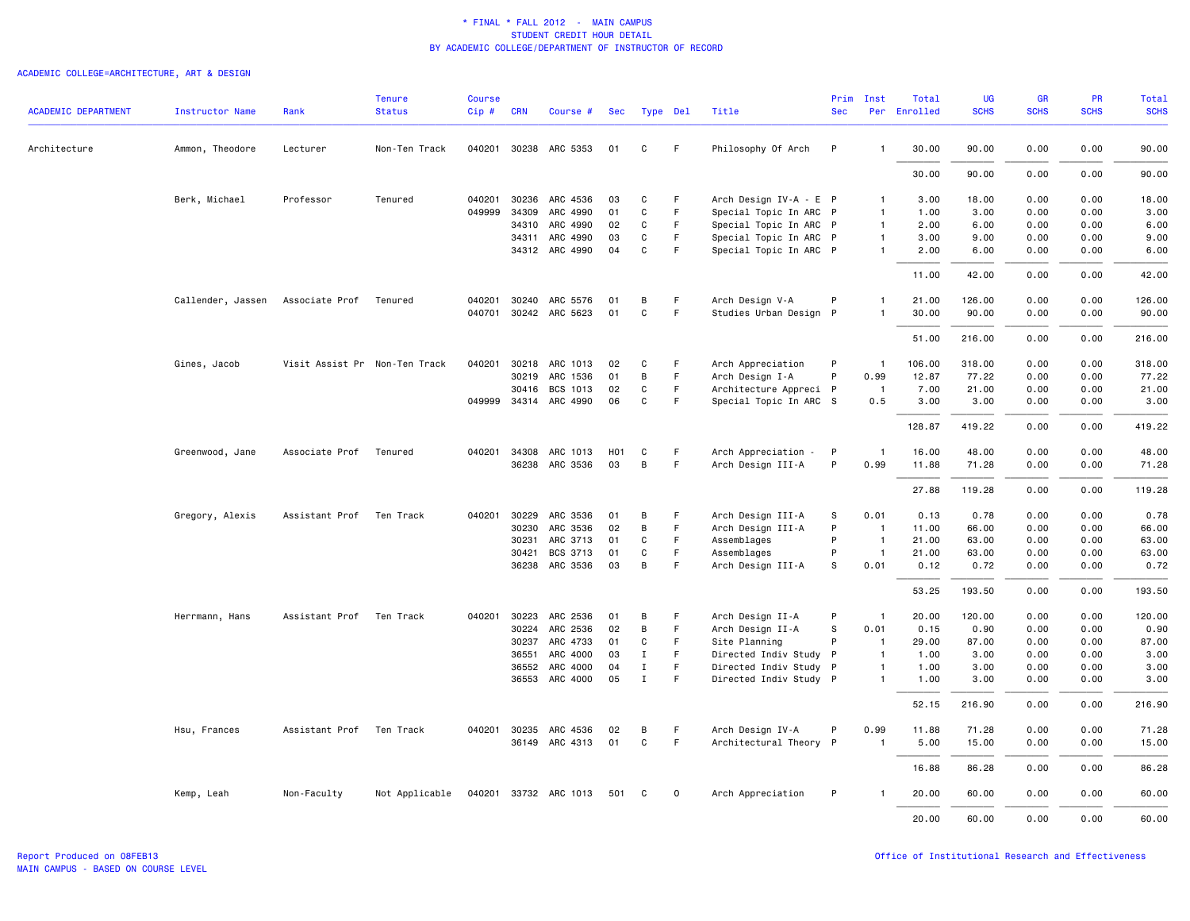# ACADEMIC COLLEGE=ARCHITECTURE, ART & DESIGN

|                            |                   |                               | <b>Tenure</b>  | <b>Course</b> |              |                       |                  |              |             |                             | Prim         | Inst           | Total    | UG          | <b>GR</b>   | <b>PR</b>   | Total       |
|----------------------------|-------------------|-------------------------------|----------------|---------------|--------------|-----------------------|------------------|--------------|-------------|-----------------------------|--------------|----------------|----------|-------------|-------------|-------------|-------------|
| <b>ACADEMIC DEPARTMENT</b> | Instructor Name   | Rank                          | <b>Status</b>  | Cip#          | <b>CRN</b>   | Course #              | Sec              | Type Del     |             | Title                       | <b>Sec</b>   | Per            | Enrolled | <b>SCHS</b> | <b>SCHS</b> | <b>SCHS</b> | <b>SCHS</b> |
| Architecture               | Ammon, Theodore   | Lecturer                      | Non-Ten Track  |               |              | 040201 30238 ARC 5353 | 01               | C            | F.          | Philosophy Of Arch          | P            | $\mathbf{1}$   | 30.00    | 90.00       | 0.00        | 0.00        | 90.00       |
|                            |                   |                               |                |               |              |                       |                  |              |             |                             |              |                | 30.00    | 90.00       | 0.00        | 0.00        | 90.00       |
|                            | Berk, Michael     | Professor                     | Tenured        | 040201        | 30236        | ARC 4536              | 03               | C            | F           | Arch Design IV-A - E P      |              | $\mathbf{1}$   | 3.00     | 18.00       | 0.00        | 0.00        | 18.00       |
|                            |                   |                               |                | 049999        | 34309        | ARC 4990              | 01               | C            | F           | Special Topic In ARC P      |              | $\overline{1}$ | 1.00     | 3.00        | 0.00        | 0.00        | 3.00        |
|                            |                   |                               |                |               | 34310        | ARC 4990              | 02               | C            | F           | Special Topic In ARC P      |              | $\mathbf{1}$   | 2.00     | 6.00        | 0.00        | 0.00        | 6.00        |
|                            |                   |                               |                |               | 34311        | ARC 4990              | 03               | C            | F           | Special Topic In ARC P      |              | $\mathbf{1}$   | 3.00     | 9.00        | 0.00        | 0.00        | 9.00        |
|                            |                   |                               |                |               |              | 34312 ARC 4990        | 04               | C            | F.          | Special Topic In ARC P      |              | $\mathbf{1}$   | 2.00     | 6.00        | 0.00        | 0.00        | 6.00        |
|                            |                   |                               |                |               |              |                       |                  |              |             |                             |              |                | 11.00    | 42.00       | 0.00        | 0.00        | 42.00       |
|                            | Callender, Jassen | Associate Prof                | Tenured        |               | 040201 30240 | ARC 5576              | 01               | B            | F           | Arch Design V-A             | P            | $\overline{1}$ | 21.00    | 126.00      | 0.00        | 0.00        | 126.00      |
|                            |                   |                               |                |               |              | 040701 30242 ARC 5623 | 01               | C            | F.          | Studies Urban Design P      |              | $\mathbf{1}$   | 30.00    | 90.00       | 0.00        | 0.00        | 90.00       |
|                            |                   |                               |                |               |              |                       |                  |              |             |                             |              |                | 51.00    | 216.00      | 0.00        | 0.00        | 216.00      |
|                            | Gines, Jacob      | Visit Assist Pr Non-Ten Track |                |               |              | 040201 30218 ARC 1013 | 02               | C            | F.          | Arch Appreciation           | P            | $\overline{1}$ | 106.00   | 318.00      | 0.00        | 0.00        | 318.00      |
|                            |                   |                               |                |               | 30219        | ARC 1536              | 01               | В            | F.          | Arch Design I-A             | P            | 0.99           | 12.87    | 77.22       | 0.00        | 0.00        | 77.22       |
|                            |                   |                               |                |               | 30416        | BCS 1013              | 02               | С            | F           | Architecture Appreci P      |              | $\overline{1}$ | 7.00     | 21.00       | 0.00        | 0.00        | 21.00       |
|                            |                   |                               |                |               |              | 049999 34314 ARC 4990 | 06               | С            | F.          | Special Topic In ARC S      |              | 0.5            | 3.00     | 3.00        | 0.00        | 0.00        | 3.00        |
|                            |                   |                               |                |               |              |                       |                  |              |             |                             |              |                | 128.87   | 419.22      | 0.00        | 0.00        | 419.22      |
|                            | Greenwood, Jane   | Associate Prof                | Tenured        | 040201        | 34308        | ARC 1013              | H <sub>0</sub> 1 | C            | F           | Arch Appreciation<br>$\sim$ | $\mathsf{P}$ | $\overline{1}$ | 16.00    | 48.00       | 0.00        | 0.00        | 48.00       |
|                            |                   |                               |                |               |              | 36238 ARC 3536        | 03               | В            | F.          | Arch Design III-A           | P            | 0.99           | 11.88    | 71.28       | 0.00        | 0.00        | 71.28       |
|                            |                   |                               |                |               |              |                       |                  |              |             |                             |              |                | 27.88    | 119.28      | 0.00        | 0.00        | 119.28      |
|                            | Gregory, Alexis   | Assistant Prof                | Ten Track      |               | 040201 30229 | ARC 3536              | 01               | в            | F           | Arch Design III-A           | s            | 0.01           | 0.13     | 0.78        | 0.00        | 0.00        | 0.78        |
|                            |                   |                               |                |               | 30230        | ARC 3536              | 02               | В            | F.          | Arch Design III-A           | P            | $\overline{1}$ | 11.00    | 66.00       | 0.00        | 0.00        | 66.00       |
|                            |                   |                               |                |               | 30231        | ARC 3713              | 01               | С            | F.          | Assemblages                 | P            | $\overline{1}$ | 21.00    | 63.00       | 0.00        | 0.00        | 63.00       |
|                            |                   |                               |                |               | 30421        | BCS 3713              | 01               | $\mathbf{C}$ | F           | Assemblages                 | P            | $\overline{1}$ | 21.00    | 63.00       | 0.00        | 0.00        | 63.00       |
|                            |                   |                               |                |               |              | 36238 ARC 3536        | 03               | B            | F           | Arch Design III-A           | s            | 0.01           | 0.12     | 0.72        | 0.00        | 0.00        | 0.72        |
|                            |                   |                               |                |               |              |                       |                  |              |             |                             |              |                | 53.25    | 193.50      | 0.00        | 0.00        | 193.50      |
|                            | Herrmann, Hans    | Assistant Prof                | Ten Track      | 040201        | 30223        | ARC 2536              | 01               | B            | F           | Arch Design II-A            | P            | $\mathbf{1}$   | 20.00    | 120.00      | 0.00        | 0.00        | 120.00      |
|                            |                   |                               |                |               | 30224        | ARC 2536              | 02               | B            | F.          | Arch Design II-A            | S            | 0.01           | 0.15     | 0.90        | 0.00        | 0.00        | 0.90        |
|                            |                   |                               |                |               |              | 30237 ARC 4733        | 01               | С            | F           | Site Planning               | P            | $\overline{1}$ | 29.00    | 87.00       | 0.00        | 0.00        | 87.00       |
|                            |                   |                               |                |               | 36551        | ARC 4000              | 03               | $\mathbf I$  | F.          | Directed Indiv Study P      |              | $\overline{1}$ | 1.00     | 3.00        | 0.00        | 0.00        | 3.00        |
|                            |                   |                               |                |               | 36552        | ARC 4000              | 04               | $\mathbf I$  | F           | Directed Indiv Study P      |              | $\overline{1}$ | 1.00     | 3.00        | 0.00        | 0.00        | 3.00        |
|                            |                   |                               |                |               |              | 36553 ARC 4000        | 05               | $\mathbf I$  | F           | Directed Indiv Study P      |              | $\overline{1}$ | 1.00     | 3.00        | 0.00        | 0.00        | 3.00        |
|                            |                   |                               |                |               |              |                       |                  |              |             |                             |              |                | 52.15    | 216.90      | 0.00        | 0.00        | 216.90      |
|                            | Hsu, Frances      | Assistant Prof                | Ten Track      |               |              | 040201 30235 ARC 4536 | 02               | в            | F           | Arch Design IV-A            | P            | 0.99           | 11.88    | 71.28       | 0.00        | 0.00        | 71.28       |
|                            |                   |                               |                |               |              | 36149 ARC 4313        | 01               | C            | F           | Architectural Theory P      |              | $\overline{1}$ | 5.00     | 15.00       | 0.00        | 0.00        | 15.00       |
|                            |                   |                               |                |               |              |                       |                  |              |             |                             |              |                | 16.88    | 86.28       | 0.00        | 0.00        | 86.28       |
|                            | Kemp, Leah        | Non-Faculty                   | Not Applicable |               |              | 040201 33732 ARC 1013 | 501              | C            | $\mathbf 0$ | Arch Appreciation           | P            | $\mathbf{1}$   | 20.00    | 60.00       | 0.00        | 0.00        | 60.00       |
|                            |                   |                               |                |               |              |                       |                  |              |             |                             |              |                | 20,00    | 60.00       | 0.00        | 0.00        | 60.00       |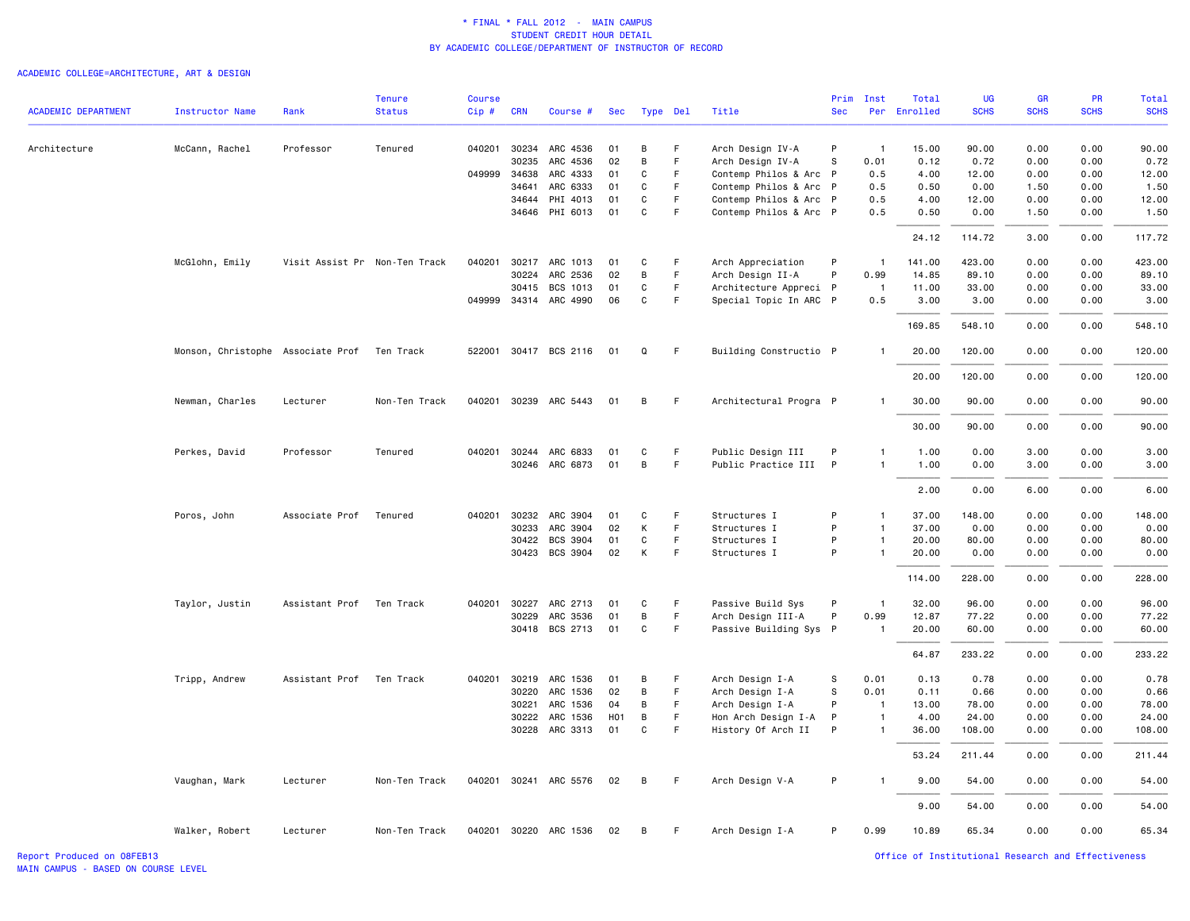# ACADEMIC COLLEGE=ARCHITECTURE, ART & DESIGN

|                            |                                   |                               | <b>Tenure</b> | <b>Course</b> |                |                       |          |        |                  |                                                | Prim       | Inst           | Total        | <b>UG</b>     | <b>GR</b>    | <b>PR</b>    | Total         |
|----------------------------|-----------------------------------|-------------------------------|---------------|---------------|----------------|-----------------------|----------|--------|------------------|------------------------------------------------|------------|----------------|--------------|---------------|--------------|--------------|---------------|
| <b>ACADEMIC DEPARTMENT</b> | <b>Instructor Name</b>            | Rank                          | <b>Status</b> | $Cip$ #       | <b>CRN</b>     | Course #              | Sec      |        | Type Del         | Title                                          | <b>Sec</b> | Per            | Enrolled     | <b>SCHS</b>   | <b>SCHS</b>  | <b>SCHS</b>  | <b>SCHS</b>   |
|                            |                                   |                               |               |               |                |                       |          |        |                  |                                                |            |                |              |               |              |              |               |
| Architecture               | McCann, Rachel                    | Professor                     | Tenured       |               |                | 040201 30234 ARC 4536 | 01       | В      | F                | Arch Design IV-A                               | P          | $\mathbf{1}$   | 15.00        | 90.00         | 0.00         | 0.00         | 90.00         |
|                            |                                   |                               |               |               | 30235          | ARC 4536              | 02       | В      | F                | Arch Design IV-A                               | s<br>P     | 0.01           | 0.12         | 0.72          | 0.00         | 0.00         | 0.72          |
|                            |                                   |                               |               | 049999        | 34638          | ARC 4333<br>ARC 6333  | 01<br>01 | C      | $\mathsf F$<br>F | Contemp Philos & Arc<br>Contemp Philos & Arc P |            | 0.5            | 4.00<br>0.50 | 12.00<br>0.00 | 0.00<br>1.50 | 0.00<br>0.00 | 12.00         |
|                            |                                   |                               |               |               | 34641<br>34644 | PHI 4013              | 01       | C<br>C | F                | Contemp Philos & Arc P                         |            | 0.5<br>0.5     | 4.00         | 12.00         | 0.00         | 0.00         | 1.50<br>12.00 |
|                            |                                   |                               |               |               |                | 34646 PHI 6013        | 01       | C      | F                | Contemp Philos & Arc P                         |            | 0.5            | 0.50         | 0.00          | 1.50         | 0.00         | 1.50          |
|                            |                                   |                               |               |               |                |                       |          |        |                  |                                                |            |                |              |               |              |              |               |
|                            |                                   |                               |               |               |                |                       |          |        |                  |                                                |            |                | 24.12        | 114.72        | 3.00         | 0.00         | 117.72        |
|                            | McGlohn, Emily                    | Visit Assist Pr Non-Ten Track |               | 040201        | 30217          | ARC 1013              | 01       | C      | F                | Arch Appreciation                              | P          | $\mathbf{1}$   | 141.00       | 423.00        | 0.00         | 0.00         | 423.00        |
|                            |                                   |                               |               |               | 30224          | ARC 2536              | 02       | B      | F                | Arch Design II-A                               | P          | 0.99           | 14.85        | 89.10         | 0.00         | 0.00         | 89.10         |
|                            |                                   |                               |               |               | 30415          | BCS 1013              | 01       | C      | $\mathsf F$      | Architecture Appreci P                         |            | -1             | 11.00        | 33.00         | 0.00         | 0.00         | 33.00         |
|                            |                                   |                               |               |               |                | 049999 34314 ARC 4990 | 06       | C      | F                | Special Topic In ARC P                         |            | 0.5            | 3.00         | 3.00          | 0.00         | 0.00         | 3.00          |
|                            |                                   |                               |               |               |                |                       |          |        |                  |                                                |            |                | 169.85       | 548.10        | 0.00         | 0.00         | 548.10        |
|                            | Monson, Christophe Associate Prof |                               | Ten Track     |               |                | 522001 30417 BCS 2116 | 01       | Q      | F                | Building Constructio P                         |            |                | 20.00        | 120.00        | 0.00         | 0.00         | 120.00        |
|                            |                                   |                               |               |               |                |                       |          |        |                  |                                                |            |                | 20.00        | 120.00        | 0.00         | 0.00         | 120.00        |
|                            | Newman, Charles                   | Lecturer                      | Non-Ten Track |               |                | 040201 30239 ARC 5443 | 01       | В      | F                | Architectural Progra P                         |            | $\mathbf{1}$   | 30.00        | 90.00         | 0.00         | 0.00         | 90.00         |
|                            |                                   |                               |               |               |                |                       |          |        |                  |                                                |            |                | 30.00        | 90.00         | 0.00         | 0.00         | 90.00         |
|                            | Perkes, David                     | Professor                     | Tenured       | 040201        |                | 30244 ARC 6833        | 01       | C      | F                | Public Design III                              | P          | $\mathbf{1}$   | 1.00         | 0.00          | 3.00         | 0.00         | 3.00          |
|                            |                                   |                               |               |               |                | 30246 ARC 6873        | 01       | B      | F                | Public Practice III                            | P          | $\mathbf{1}$   | 1.00         | 0.00          | 3.00         | 0.00         | 3.00          |
|                            |                                   |                               |               |               |                |                       |          |        |                  |                                                |            |                |              |               |              |              |               |
|                            |                                   |                               |               |               |                |                       |          |        |                  |                                                |            |                | 2.00         | 0.00          | 6.00         | 0.00         | 6.00          |
|                            | Poros, John                       | Associate Prof                | Tenured       | 040201        | 30232          | ARC 3904              | 01       | C      | F                | Structures I                                   | P          | $\mathbf{1}$   | 37.00        | 148.00        | 0.00         | 0.00         | 148.00        |
|                            |                                   |                               |               |               | 30233          | ARC 3904              | 02       | К      | $\mathsf F$      | Structures I                                   | P          | $\mathbf{1}$   | 37.00        | 0.00          | 0.00         | 0.00         | 0.00          |
|                            |                                   |                               |               |               | 30422          | BCS 3904              | 01       | C      | $\mathsf F$      | Structures I                                   | P          | $\mathbf{1}$   | 20.00        | 80.00         | 0.00         | 0.00         | 80.00         |
|                            |                                   |                               |               |               | 30423          | BCS 3904              | 02       | К      | F                | Structures I                                   | P          | $\mathbf{1}$   | 20.00        | 0.00          | 0.00         | 0.00         | 0.00          |
|                            |                                   |                               |               |               |                |                       |          |        |                  |                                                |            |                | 114.00       | 228.00        | 0.00         | 0.00         | 228.00        |
|                            | Taylor, Justin                    | Assistant Prof                | Ten Track     | 040201        | 30227          | ARC 2713              | 01       | C      | F                | Passive Build Sys                              | P          | $\overline{1}$ | 32.00        | 96.00         | 0.00         | 0.00         | 96.00         |
|                            |                                   |                               |               |               | 30229          | ARC 3536              | 01       | В      | F                | Arch Design III-A                              | P          | 0.99           | 12.87        | 77.22         | 0.00         | 0.00         | 77.22         |
|                            |                                   |                               |               |               |                | 30418 BCS 2713        | 01       | C      | $\mathsf F$      | Passive Building Sys P                         |            | $\mathbf{1}$   | 20.00        | 60.00         | 0.00         | 0.00         | 60.00         |
|                            |                                   |                               |               |               |                |                       |          |        |                  |                                                |            |                | 64.87        | 233.22        | 0.00         | 0.00         | 233.22        |
|                            | Tripp, Andrew                     | Assistant Prof                | Ten Track     | 040201        | 30219          | ARC 1536              | 01       | В      | F                | Arch Design I-A                                | s          | 0.01           | 0.13         | 0.78          | 0.00         | 0.00         | 0.78          |
|                            |                                   |                               |               |               | 30220          | ARC 1536              | 02       | В      | $\mathsf F$      | Arch Design I-A                                | s          | 0.01           | 0.11         | 0.66          | 0.00         | 0.00         | 0.66          |
|                            |                                   |                               |               |               | 30221          | ARC 1536              | 04       | В      | F                | Arch Design I-A                                | P          | $\overline{1}$ | 13.00        | 78.00         | 0.00         | 0.00         | 78.00         |
|                            |                                   |                               |               |               | 30222          | ARC 1536              | H01      | В      | F                | Hon Arch Design I-A                            | P          | $\mathbf{1}$   | 4.00         | 24.00         | 0.00         | 0.00         | 24.00         |
|                            |                                   |                               |               |               |                | 30228 ARC 3313        | 01       | C      | F                | History Of Arch II                             | P          | $\mathbf{1}$   | 36.00        | 108.00        | 0.00         | 0.00         | 108.00        |
|                            |                                   |                               |               |               |                |                       |          |        |                  |                                                |            |                | 53.24        | 211.44        | 0.00         | 0.00         | 211.44        |
|                            | Vaughan, Mark                     | Lecturer                      | Non-Ten Track |               |                | 040201 30241 ARC 5576 | 02       | В      | $\mathsf F$      | Arch Design V-A                                | P          | -1             | 9.00         | 54.00         | 0.00         | 0.00         | 54.00         |
|                            |                                   |                               |               |               |                |                       |          |        |                  |                                                |            |                | 9.00         | 54.00         | 0.00         | 0.00         | 54.00         |
|                            | Walker, Robert                    | Lecturer                      | Non-Ten Track |               |                | 040201 30220 ARC 1536 | 02       | В      | F                | Arch Design I-A                                | P          | 0.99           | 10.89        | 65.34         | 0.00         | 0.00         | 65.34         |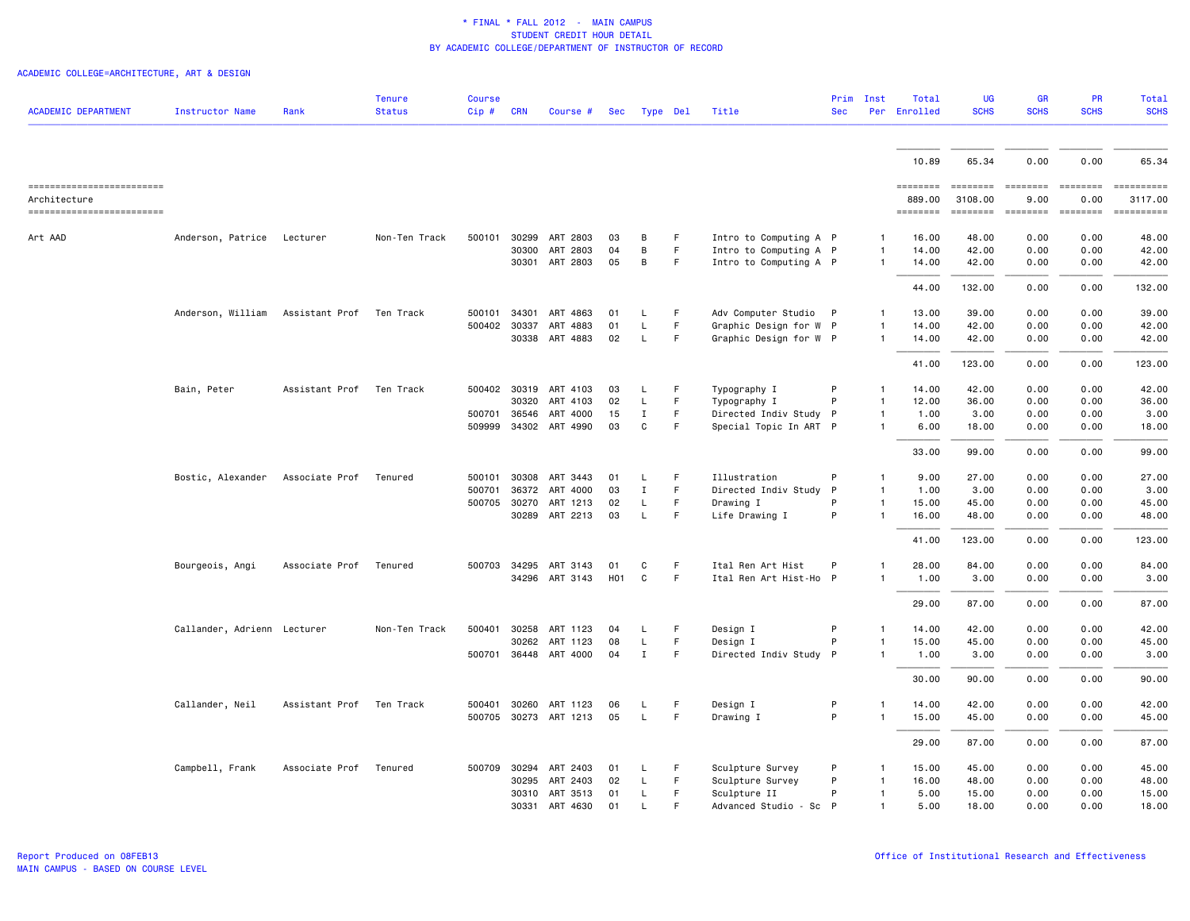# ACADEMIC COLLEGE=ARCHITECTURE, ART & DESIGN

| <b>ACADEMIC DEPARTMENT</b>               | <b>Instructor Name</b>      | Rank           | Tenure<br><b>Status</b> | <b>Course</b><br>Cip# | <b>CRN</b> | Course #              | Sec        |              | Type Del | Title                  | <b>Sec</b>   | Prim Inst      | Total<br>Per Enrolled | UG<br><b>SCHS</b>   | GR<br><b>SCHS</b> | <b>PR</b><br><b>SCHS</b> | Total<br><b>SCHS</b>                                                                                                                                                                                                                                                                                                                                                                                                                                                            |
|------------------------------------------|-----------------------------|----------------|-------------------------|-----------------------|------------|-----------------------|------------|--------------|----------|------------------------|--------------|----------------|-----------------------|---------------------|-------------------|--------------------------|---------------------------------------------------------------------------------------------------------------------------------------------------------------------------------------------------------------------------------------------------------------------------------------------------------------------------------------------------------------------------------------------------------------------------------------------------------------------------------|
|                                          |                             |                |                         |                       |            |                       |            |              |          |                        |              |                |                       |                     |                   |                          |                                                                                                                                                                                                                                                                                                                                                                                                                                                                                 |
|                                          |                             |                |                         |                       |            |                       |            |              |          |                        |              |                | 10.89                 | 65.34               | 0.00              | 0.00                     | 65.34                                                                                                                                                                                                                                                                                                                                                                                                                                                                           |
| ==========================               |                             |                |                         |                       |            |                       |            |              |          |                        |              |                | ========              | <b>EEEEEEE</b>      | <b>EEEEEEE</b>    | ========                 | ==========                                                                                                                                                                                                                                                                                                                                                                                                                                                                      |
| Architecture<br>------------------------ |                             |                |                         |                       |            |                       |            |              |          |                        |              |                | 889.00<br>========    | 3108.00<br>======== | 9.00              | 0.00                     | 3117.00<br>$\begin{minipage}{0.03\linewidth} \hspace*{-0.2cm} \textbf{if the number of } \textit{if} \textit{if} \textit{if} \textit{if} \textit{if} \textit{if} \textit{if} \textit{if} \textit{if} \textit{if} \textit{if} \textit{if} \textit{if} \textit{if} \textit{if} \textit{if} \textit{if} \textit{if} \textit{if} \textit{if} \textit{if} \textit{if} \textit{if} \textit{if} \textit{if} \textit{if} \textit{if} \textit{if} \textit{if} \textit{if} \textit{if} \$ |
| Art AAD                                  | Anderson, Patrice           | Lecturer       | Non-Ten Track           | 500101                | 30299      | ART 2803              | 03         | B            | F.       | Intro to Computing A P |              | 1              | 16.00                 | 48.00               | 0.00              | 0.00                     | 48,00                                                                                                                                                                                                                                                                                                                                                                                                                                                                           |
|                                          |                             |                |                         |                       | 30300      | ART 2803              | 04         | B            | F        | Intro to Computing A P |              | $\mathbf{1}$   | 14.00                 | 42.00               | 0.00              | 0.00                     | 42.00                                                                                                                                                                                                                                                                                                                                                                                                                                                                           |
|                                          |                             |                |                         |                       |            | 30301 ART 2803        | 05         | B            | F.       | Intro to Computing A P |              | $\mathbf{1}$   | 14.00                 | 42.00               | 0.00              | 0.00                     | 42.00                                                                                                                                                                                                                                                                                                                                                                                                                                                                           |
|                                          |                             |                |                         |                       |            |                       |            |              |          |                        |              |                | 44.00                 | 132.00              | 0.00              | 0.00                     | 132.00                                                                                                                                                                                                                                                                                                                                                                                                                                                                          |
|                                          | Anderson, William           | Assistant Prof | Ten Track               | 500101                | 34301      | ART 4863              | 01         | L.           | F.       | Adv Computer Studio    | $\mathsf{P}$ | 1              | 13.00                 | 39.00               | 0.00              | 0.00                     | 39.00                                                                                                                                                                                                                                                                                                                                                                                                                                                                           |
|                                          |                             |                |                         | 500402 30337          |            | ART 4883              | 01         | <b>L</b>     | F.       | Graphic Design for W P |              | $\mathbf{1}$   | 14.00                 | 42.00               | 0.00              | 0.00                     | 42.00                                                                                                                                                                                                                                                                                                                                                                                                                                                                           |
|                                          |                             |                |                         |                       |            | 30338 ART 4883        | 02         | L.           | F.       | Graphic Design for W P |              | 1              | 14.00                 | 42.00               | 0.00              | 0.00                     | 42.00                                                                                                                                                                                                                                                                                                                                                                                                                                                                           |
|                                          |                             |                |                         |                       |            |                       |            |              |          |                        |              |                | 41.00                 | 123.00              | 0.00              | 0.00                     | 123.00                                                                                                                                                                                                                                                                                                                                                                                                                                                                          |
|                                          | Bain, Peter                 | Assistant Prof | Ten Track               |                       |            | 500402 30319 ART 4103 | 03         | L            | F        | Typography I           | P            | $\mathbf{1}$   | 14.00                 | 42.00               | 0.00              | 0.00                     | 42.00                                                                                                                                                                                                                                                                                                                                                                                                                                                                           |
|                                          |                             |                |                         |                       | 30320      | ART 4103              | 02         | L            | F.       | Typography I           | P            | $\mathbf{1}$   | 12.00                 | 36.00               | 0.00              | 0.00                     | 36.00                                                                                                                                                                                                                                                                                                                                                                                                                                                                           |
|                                          |                             |                |                         | 500701                | 36546      | ART 4000              | 15         | Ι.           | F.       | Directed Indiv Study P |              | $\mathbf{1}$   | 1.00                  | 3.00                | 0.00              | 0.00                     | 3.00                                                                                                                                                                                                                                                                                                                                                                                                                                                                            |
|                                          |                             |                |                         | 509999                |            | 34302 ART 4990        | 03         | C            | F.       | Special Topic In ART P |              | $\mathbf{1}$   | 6.00                  | 18.00               | 0.00              | 0.00                     | 18.00                                                                                                                                                                                                                                                                                                                                                                                                                                                                           |
|                                          |                             |                |                         |                       |            |                       |            |              |          |                        |              |                | 33.00                 | 99.00               | 0.00              | 0.00                     | 99.00                                                                                                                                                                                                                                                                                                                                                                                                                                                                           |
|                                          | Bostic, Alexander           | Associate Prof | Tenured                 | 500101                |            | 30308 ART 3443        | 01         | L.           | F        | Illustration           | P            | $\mathbf{1}$   | 9.00                  | 27.00               | 0.00              | 0.00                     | 27.00                                                                                                                                                                                                                                                                                                                                                                                                                                                                           |
|                                          |                             |                |                         | 500701                | 36372      | ART 4000              | 03         | $\mathbf I$  | F        | Directed Indiv Study   | $\mathsf{P}$ | 1              | 1.00                  | 3.00                | 0.00              | 0.00                     | 3.00                                                                                                                                                                                                                                                                                                                                                                                                                                                                            |
|                                          |                             |                |                         |                       |            | 500705 30270 ART 1213 | 02         | L.           | F.       | Drawing I              | P            | $\mathbf{1}$   | 15.00                 | 45.00               | 0.00              | 0.00                     | 45.00                                                                                                                                                                                                                                                                                                                                                                                                                                                                           |
|                                          |                             |                |                         |                       |            | 30289 ART 2213        | 03         | $\mathsf{L}$ | F        | Life Drawing I         | P            | $\mathbf{1}$   | 16.00                 | 48.00               | 0.00              | 0.00                     | 48.00                                                                                                                                                                                                                                                                                                                                                                                                                                                                           |
|                                          |                             |                |                         |                       |            |                       |            |              |          |                        |              |                | 41.00                 | 123.00              | 0.00              | 0.00                     | 123.00                                                                                                                                                                                                                                                                                                                                                                                                                                                                          |
|                                          | Bourgeois, Angi             | Associate Prof | Tenured                 |                       |            | 500703 34295 ART 3143 | 01         | C            | F.       | Ital Ren Art Hist      | P            | $\mathbf{1}$   | 28.00                 | 84.00               | 0.00              | 0.00                     | 84.00                                                                                                                                                                                                                                                                                                                                                                                                                                                                           |
|                                          |                             |                |                         |                       |            | 34296 ART 3143        | <b>H01</b> | $\mathtt{C}$ | F        | Ital Ren Art Hist-Ho P |              | $\mathbf{1}$   | 1.00                  | 3.00                | 0.00              | 0.00                     | 3.00                                                                                                                                                                                                                                                                                                                                                                                                                                                                            |
|                                          |                             |                |                         |                       |            |                       |            |              |          |                        |              |                | 29.00                 | 87.00               | 0.00              | 0.00                     | 87.00                                                                                                                                                                                                                                                                                                                                                                                                                                                                           |
|                                          | Callander, Adrienn Lecturer |                | Non-Ten Track           | 500401                | 30258      | ART 1123              | 04         | L.           | F.       | Design I               | P            | -1             | 14.00                 | 42.00               | 0.00              | 0.00                     | 42.00                                                                                                                                                                                                                                                                                                                                                                                                                                                                           |
|                                          |                             |                |                         |                       | 30262      | ART 1123              | 08         | L            | F        | Design I               | P            | $\mathbf{1}$   | 15.00                 | 45.00               | 0.00              | 0.00                     | 45.00                                                                                                                                                                                                                                                                                                                                                                                                                                                                           |
|                                          |                             |                |                         |                       |            | 500701 36448 ART 4000 | 04         | $\mathbf{I}$ | F.       | Directed Indiv Study P |              | $\mathbf{1}$   | 1.00                  | 3.00                | 0.00              | 0.00                     | 3.00                                                                                                                                                                                                                                                                                                                                                                                                                                                                            |
|                                          |                             |                |                         |                       |            |                       |            |              |          |                        |              |                | 30.00                 | 90.00               | 0.00              | 0.00                     | 90.00                                                                                                                                                                                                                                                                                                                                                                                                                                                                           |
|                                          | Callander, Neil             | Assistant Prof | Ten Track               | 500401                | 30260      | ART 1123              | 06         | L.           | F        | Design I               | P            | $\overline{1}$ | 14.00                 | 42.00               | 0.00              | 0.00                     | 42.00                                                                                                                                                                                                                                                                                                                                                                                                                                                                           |
|                                          |                             |                |                         |                       |            | 500705 30273 ART 1213 | 05         | $\mathsf{L}$ | F.       | Drawing I              | P            | $\mathbf{1}$   | 15.00                 | 45.00               | 0.00              | 0.00                     | 45.00                                                                                                                                                                                                                                                                                                                                                                                                                                                                           |
|                                          |                             |                |                         |                       |            |                       |            |              |          |                        |              |                | 29.00                 | 87.00               | 0.00              | 0.00                     | 87.00                                                                                                                                                                                                                                                                                                                                                                                                                                                                           |
|                                          | Campbell, Frank             | Associate Prof | Tenured                 | 500709                | 30294      | ART 2403              | 01         | L.           | F        | Sculpture Survey       | P            | $\mathbf{1}$   | 15.00                 | 45.00               | 0.00              | 0.00                     | 45.00                                                                                                                                                                                                                                                                                                                                                                                                                                                                           |
|                                          |                             |                |                         |                       | 30295      | ART 2403              | 02         | L            | F.       | Sculpture Survey       | P            | $\mathbf{1}$   | 16.00                 | 48.00               | 0.00              | 0.00                     | 48.00                                                                                                                                                                                                                                                                                                                                                                                                                                                                           |
|                                          |                             |                |                         |                       |            | 30310 ART 3513        | 01         | L.           | F.       | Sculpture II           | P            | $\mathbf{1}$   | 5.00                  | 15.00               | 0.00              | 0.00                     | 15.00                                                                                                                                                                                                                                                                                                                                                                                                                                                                           |
|                                          |                             |                |                         |                       |            | 30331 ART 4630        | 01         | -L.          | E        | Advanced Studio - Sc   | P            | $\mathbf{1}$   | 5.00                  | 18.00               | 0.00              | 0.00                     | 18.00                                                                                                                                                                                                                                                                                                                                                                                                                                                                           |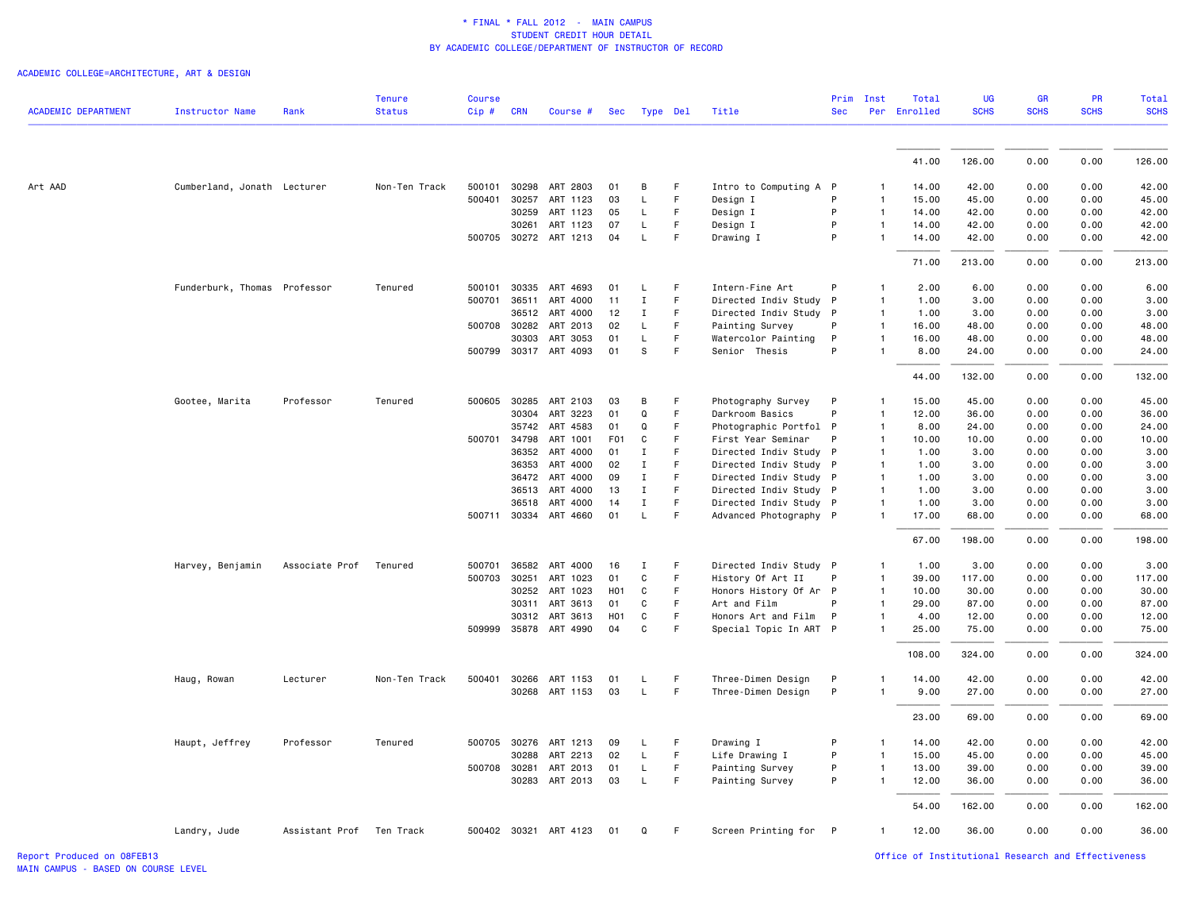ACADEMIC COLLEGE=ARCHITECTURE, ART & DESIGN

| <b>ACADEMIC DEPARTMENT</b> | <b>Instructor Name</b>       | Rank                     | <b>Tenure</b><br><b>Status</b> | <b>Course</b><br>$Cip$ # | <b>CRN</b>   | Course #              | Sec              |              | Type Del | Title                  | Prim<br><b>Sec</b> | Inst         | Total<br>Per Enrolled | <b>UG</b><br><b>SCHS</b> | <b>GR</b><br><b>SCHS</b> | PR<br><b>SCHS</b> | <b>Total</b><br><b>SCHS</b> |
|----------------------------|------------------------------|--------------------------|--------------------------------|--------------------------|--------------|-----------------------|------------------|--------------|----------|------------------------|--------------------|--------------|-----------------------|--------------------------|--------------------------|-------------------|-----------------------------|
|                            |                              |                          |                                |                          |              |                       |                  |              |          |                        |                    |              |                       |                          |                          |                   |                             |
|                            |                              |                          |                                |                          |              |                       |                  |              |          |                        |                    |              | 41.00                 | 126.00                   | 0.00                     | 0.00              | 126.00                      |
| Art AAD                    | Cumberland, Jonath Lecturer  |                          | Non-Ten Track                  |                          |              | 500101 30298 ART 2803 | 01               | B            | F        | Intro to Computing A P |                    | -1           | 14.00                 | 42.00                    | 0.00                     | 0.00              | 42.00                       |
|                            |                              |                          |                                | 500401                   | 30257        | ART 1123              | 03               | L.           | F.       | Design I               | P                  | -1           | 15.00                 | 45.00                    | 0.00                     | 0.00              | 45.00                       |
|                            |                              |                          |                                |                          | 30259        | ART 1123              | 05               | L            | F.       | Design I               | P                  | $\mathbf{1}$ | 14.00                 | 42.00                    | 0.00                     | 0.00              | 42.00                       |
|                            |                              |                          |                                |                          | 30261        | ART 1123              | 07               | L            | F        | Design I               | P                  | $\mathbf{1}$ | 14.00                 | 42.00                    | 0.00                     | 0.00              | 42.00                       |
|                            |                              |                          |                                |                          |              | 500705 30272 ART 1213 | 04               | L            | F        | Drawing I              | P                  | $\mathbf{1}$ | 14.00                 | 42.00                    | 0.00                     | 0.00              | 42.00                       |
|                            |                              |                          |                                |                          |              |                       |                  |              |          |                        |                    |              | 71.00                 | 213.00                   | 0.00                     | 0.00              | 213.00                      |
|                            | Funderburk, Thomas Professor |                          | Tenured                        |                          |              | 500101 30335 ART 4693 | 01               | L            | E        | Intern-Fine Art        | P                  | $\mathbf{1}$ | 2.00                  | 6.00                     | 0.00                     | 0.00              | 6.00                        |
|                            |                              |                          |                                | 500701                   | 36511        | ART 4000              | 11               | $\;$ I       | F        | Directed Indiv Study   | P                  | $\mathbf{1}$ | 1.00                  | 3.00                     | 0.00                     | 0.00              | 3.00                        |
|                            |                              |                          |                                |                          |              | 36512 ART 4000        | 12               | $\mathbf{I}$ | F        | Directed Indiv Study P |                    | $\mathbf{1}$ | 1.00                  | 3.00                     | 0.00                     | 0.00              | 3.00                        |
|                            |                              |                          |                                |                          | 500708 30282 | ART 2013              | 02               | L            | F        | Painting Survey        | P                  | $\mathbf{1}$ | 16.00                 | 48.00                    | 0.00                     | 0.00              | 48.00                       |
|                            |                              |                          |                                |                          | 30303        | ART 3053              | 01               | L            | F.       | Watercolor Painting    | P                  | $\mathbf{1}$ | 16.00                 | 48.00                    | 0.00                     | 0.00              | 48.00                       |
|                            |                              |                          |                                |                          |              | 500799 30317 ART 4093 | 01               | s            | F        | Senior Thesis          | P                  | $\mathbf{1}$ | 8.00                  | 24.00                    | 0.00                     | 0.00              | 24.00                       |
|                            |                              |                          |                                |                          |              |                       |                  |              |          |                        |                    |              | 44.00                 | 132.00                   | 0.00                     | 0.00              | 132.00                      |
|                            | Gootee, Marita               | Professor                | Tenured                        | 500605                   | 30285        | ART 2103              | 03               | B            | F.       | Photography Survey     | P                  | $\mathbf{1}$ | 15.00                 | 45.00                    | 0.00                     | 0.00              | 45.00                       |
|                            |                              |                          |                                |                          | 30304        | ART 3223              | 01               | Q            | F.       | Darkroom Basics        | P                  | $\mathbf{1}$ | 12.00                 | 36.00                    | 0.00                     | 0.00              | 36.00                       |
|                            |                              |                          |                                |                          | 35742        | ART 4583              | 01               | Q            | F        | Photographic Portfol P |                    | 1            | 8.00                  | 24.00                    | 0.00                     | 0.00              | 24.00                       |
|                            |                              |                          |                                |                          | 500701 34798 | ART 1001              | F <sub>0</sub> 1 | C            | F.       | First Year Seminar     | P                  | $\mathbf{1}$ | 10.00                 | 10.00                    | 0.00                     | 0.00              | 10.00                       |
|                            |                              |                          |                                |                          | 36352        | ART 4000              | 01               | $\mathbf I$  | F        | Directed Indiv Study P |                    | $\mathbf{1}$ | 1.00                  | 3.00                     | 0.00                     | 0.00              | 3.00                        |
|                            |                              |                          |                                |                          | 36353        | ART 4000              | 02               | $\mathbf{I}$ | F        | Directed Indiv Study P |                    | $\mathbf{1}$ | 1.00                  | 3.00                     | 0.00                     | 0.00              | 3.00                        |
|                            |                              |                          |                                |                          | 36472        | ART 4000              | 09               | Ι.           | F        | Directed Indiv Study P |                    | $\mathbf{1}$ | 1.00                  | 3.00                     | 0.00                     | 0.00              | 3.00                        |
|                            |                              |                          |                                |                          | 36513        | ART 4000              | 13               | $\mathbf{I}$ | F        | Directed Indiv Study P |                    | $\mathbf{1}$ | 1.00                  | 3.00                     | 0.00                     | 0.00              | 3.00                        |
|                            |                              |                          |                                |                          | 36518        | ART 4000              | 14               | $\mathbf{I}$ | F.       | Directed Indiv Study P |                    | $\mathbf{1}$ | 1.00                  | 3.00                     | 0.00                     | 0.00              | 3.00                        |
|                            |                              |                          |                                |                          |              | 500711 30334 ART 4660 | 01               | $\mathsf L$  | F        | Advanced Photography P |                    | $\mathbf{1}$ | 17.00                 | 68.00                    | 0.00                     | 0.00              | 68.00                       |
|                            |                              |                          |                                |                          |              |                       |                  |              |          |                        |                    |              | 67.00                 | 198.00                   | 0.00                     | 0.00              | 198.00                      |
|                            | Harvey, Benjamin             | Associate Prof           | Tenured                        |                          |              | 500701 36582 ART 4000 | 16               | I            | F        | Directed Indiv Study P |                    | 1            | 1.00                  | 3.00                     | 0.00                     | 0.00              | 3.00                        |
|                            |                              |                          |                                | 500703                   | 30251        | ART 1023              | 01               | C            | F        | History Of Art II      | P                  | $\mathbf{1}$ | 39.00                 | 117.00                   | 0.00                     | 0.00              | 117.00                      |
|                            |                              |                          |                                |                          |              | 30252 ART 1023        | H <sub>0</sub> 1 | C            | F        | Honors History Of Ar P |                    | $\mathbf{1}$ | 10.00                 | 30.00                    | 0.00                     | 0.00              | 30.00                       |
|                            |                              |                          |                                |                          | 30311        | ART 3613              | 01               | C            | F.       | Art and Film           | P                  | $\mathbf{1}$ | 29.00                 | 87.00                    | 0.00                     | 0.00              | 87.00                       |
|                            |                              |                          |                                |                          | 30312        | ART 3613              | H <sub>0</sub> 1 | C            | F        | Honors Art and Film    | P                  | $\mathbf{1}$ | 4.00                  | 12.00                    | 0.00                     | 0.00              | 12.00                       |
|                            |                              |                          |                                |                          |              | 509999 35878 ART 4990 | 04               | C            | F        | Special Topic In ART P |                    | $\mathbf{1}$ | 25.00                 | 75.00                    | 0.00                     | 0.00              | 75.00                       |
|                            |                              |                          |                                |                          |              |                       |                  |              |          |                        |                    |              | 108.00                | 324.00                   | 0.00                     | 0.00              | 324.00                      |
|                            | Haug, Rowan                  | Lecturer                 | Non-Ten Track                  | 500401                   | 30266        | ART 1153              | 01               | L            | F        | Three-Dimen Design     | P                  | 1            | 14.00                 | 42.00                    | 0.00                     | 0.00              | 42.00                       |
|                            |                              |                          |                                |                          |              | 30268 ART 1153        | 03               | $\mathsf L$  | F        | Three-Dimen Design     | P                  | $\mathbf{1}$ | 9.00                  | 27.00                    | 0.00                     | 0.00              | 27.00                       |
|                            |                              |                          |                                |                          |              |                       |                  |              |          |                        |                    |              | 23.00                 | 69.00                    | 0.00                     | 0.00              | 69.00                       |
|                            | Haupt, Jeffrey               | Professor                | Tenured                        |                          | 500705 30276 | ART 1213              | 09               | L            | F        | Drawing I              | P                  | $\mathbf{1}$ | 14.00                 | 42.00                    | 0.00                     | 0.00              | 42.00                       |
|                            |                              |                          |                                |                          | 30288        | ART 2213              | 02               | L            | F        | Life Drawing I         | P                  | $\mathbf{1}$ | 15.00                 | 45.00                    | 0.00                     | 0.00              | 45.00                       |
|                            |                              |                          |                                |                          | 500708 30281 | ART 2013              | 01               | L.           | F.       | Painting Survey        | P                  | $\mathbf{1}$ | 13.00                 | 39.00                    | 0.00                     | 0.00              | 39.00                       |
|                            |                              |                          |                                |                          |              | 30283 ART 2013        | 03               | L            | F        | Painting Survey        | P                  | $\mathbf{1}$ | 12.00                 | 36.00                    | 0.00                     | 0.00              | 36.00                       |
|                            |                              |                          |                                |                          |              |                       |                  |              |          |                        |                    |              | 54.00                 | 162.00                   | 0.00                     | 0.00              | 162.00                      |
|                            | Landry, Jude                 | Assistant Prof Ten Track |                                |                          |              | 500402 30321 ART 4123 | 01               | Q            | F        | Screen Printing for P  |                    | $\mathbf{1}$ | 12.00                 | 36.00                    | 0.00                     | 0.00              | 36.00                       |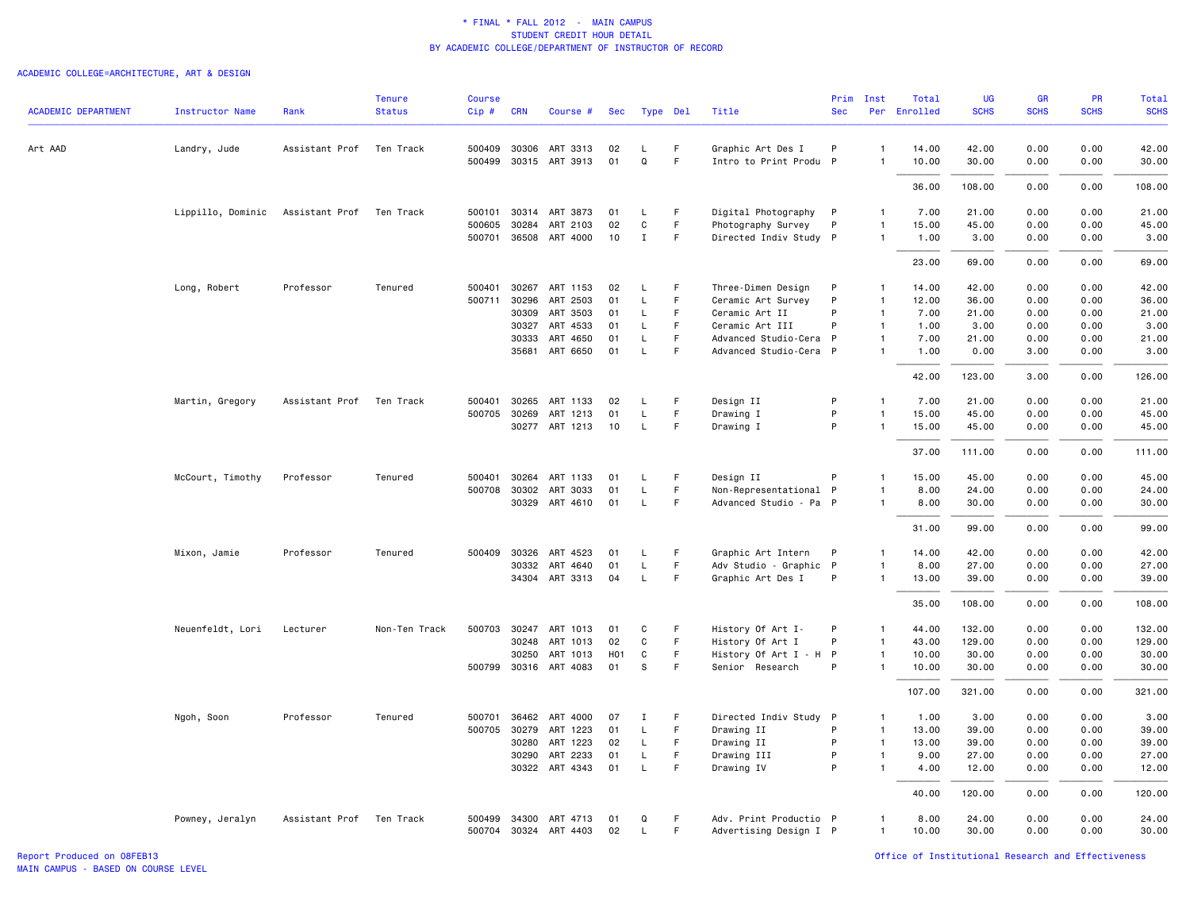# ACADEMIC COLLEGE=ARCHITECTURE, ART & DESIGN

| <b>ACADEMIC DEPARTMENT</b> | <b>Instructor Name</b>           | Rank           | <b>Tenure</b><br><b>Status</b> | <b>Course</b><br>Cip# | <b>CRN</b>   | Course #              | Sec |              | Type Del    | Title                  | Prim<br><b>Sec</b> | Inst           | Total<br>Per Enrolled | UG<br><b>SCHS</b> | <b>GR</b><br><b>SCHS</b> | <b>PR</b><br><b>SCHS</b> | Total<br><b>SCHS</b> |
|----------------------------|----------------------------------|----------------|--------------------------------|-----------------------|--------------|-----------------------|-----|--------------|-------------|------------------------|--------------------|----------------|-----------------------|-------------------|--------------------------|--------------------------|----------------------|
| Art AAD                    | Landry, Jude                     | Assistant Prof | Ten Track                      |                       | 500409 30306 | ART 3313              | 02  | L            | -F          | Graphic Art Des I      | P                  | $\mathbf{1}$   | 14.00                 | 42.00             | 0.00                     | 0.00                     | 42.00                |
|                            |                                  |                |                                |                       |              | 500499 30315 ART 3913 | 01  | Q            | F.          | Intro to Print Produ P |                    |                | 10.00                 | 30.00             | 0.00                     | 0.00                     | 30.00                |
|                            |                                  |                |                                |                       |              |                       |     |              |             |                        |                    |                | 36.00                 | 108,00            | 0.00                     | 0.00                     | 108,00               |
|                            | Lippillo, Dominic Assistant Prof |                | Ten Track                      |                       |              | 500101 30314 ART 3873 | 01  | L.           | -F          | Digital Photography P  |                    | $\mathbf{1}$   | 7.00                  | 21.00             | 0.00                     | 0.00                     | 21.00                |
|                            |                                  |                |                                | 500605                | 30284        | ART 2103              | 02  | C            | F.          | Photography Survey     | P                  | $\mathbf{1}$   | 15.00                 | 45.00             | 0.00                     | 0.00                     | 45.00                |
|                            |                                  |                |                                |                       |              | 500701 36508 ART 4000 | 10  | $\mathbf I$  | F           | Directed Indiv Study P |                    | $\mathbf{1}$   | 1.00                  | 3.00              | 0.00                     | 0.00                     | 3.00                 |
|                            |                                  |                |                                |                       |              |                       |     |              |             |                        |                    |                | 23.00                 | 69.00             | 0.00                     | 0.00                     | 69.00                |
|                            | Long, Robert                     | Professor      | Tenured                        | 500401                |              | 30267 ART 1153        | 02  | L.           | $\vdash$    | Three-Dimen Design     | P                  | $\mathbf{1}$   | 14.00                 | 42.00             | 0.00                     | 0.00                     | 42.00                |
|                            |                                  |                |                                | 500711                | 30296        | ART 2503              | 01  | L.           | F           | Ceramic Art Survey     | P                  | $\mathbf{1}$   | 12.00                 | 36.00             | 0.00                     | 0.00                     | 36.00                |
|                            |                                  |                |                                |                       | 30309        | ART 3503              | 01  | L.           | F           | Ceramic Art II         | P                  | $\mathbf{1}$   | 7.00                  | 21.00             | 0.00                     | 0.00                     | 21.00                |
|                            |                                  |                |                                |                       | 30327        | ART 4533              | 01  | $\mathsf{L}$ | F           | Ceramic Art III        | P                  | $\mathbf{1}$   | 1.00                  | 3.00              | 0.00                     | 0.00                     | 3.00                 |
|                            |                                  |                |                                |                       | 30333        | ART 4650              | 01  | L            | $\mathsf F$ | Advanced Studio-Cera   | - P                | $\mathbf{1}$   | 7.00                  | 21.00             | 0.00                     | 0.00                     | 21.00                |
|                            |                                  |                |                                |                       | 35681        | ART 6650              | 01  | L            | $\mathsf F$ | Advanced Studio-Cera   | P                  | $\mathbf{1}$   | 1.00                  | 0.00              | 3.00                     | 0.00                     | 3.00                 |
|                            |                                  |                |                                |                       |              |                       |     |              |             |                        |                    |                | 42.00                 | 123.00            | 3.00                     | 0.00                     | 126.00               |
|                            | Martin, Gregory                  | Assistant Prof | Ten Track                      | 500401                | 30265        | ART 1133              | 02  | L.           | F.          | Design II              | P                  | $\overline{1}$ | 7.00                  | 21.00             | 0.00                     | 0.00                     | 21.00                |
|                            |                                  |                |                                |                       | 500705 30269 | ART 1213              | 01  | L            | F           | Drawing I              | P                  | $\overline{1}$ | 15.00                 | 45.00             | 0.00                     | 0.00                     | 45.00                |
|                            |                                  |                |                                |                       |              | 30277 ART 1213        | 10  | L.           | F           | Drawing I              | P                  | $\mathbf{1}$   | 15.00                 | 45.00             | 0.00                     | 0.00                     | 45.00                |
|                            |                                  |                |                                |                       |              |                       |     |              |             |                        |                    |                | 37.00                 | 111.00            | 0.00                     | 0.00                     | 111.00               |
|                            | McCourt, Timothy                 | Professor      | Tenured                        | 500401                | 30264        | ART 1133              | 01  | L.           | F.          | Design II              | P                  | $\mathbf{1}$   | 15.00                 | 45.00             | 0.00                     | 0.00                     | 45.00                |
|                            |                                  |                |                                |                       | 500708 30302 | ART 3033              | 01  | L            | $\mathsf F$ | Non-Representational P |                    | $\mathbf{1}$   | 8.00                  | 24.00             | 0.00                     | 0.00                     | 24.00                |
|                            |                                  |                |                                |                       |              | 30329 ART 4610        | 01  | $\mathsf L$  | $\mathsf F$ | Advanced Studio - Pa P |                    | $\mathbf{1}$   | 8.00                  | 30.00             | 0.00                     | 0.00                     | 30.00                |
|                            |                                  |                |                                |                       |              |                       |     |              |             |                        |                    |                | 31.00                 | 99.00             | 0.00                     | 0.00                     | 99.00                |
|                            | Mixon, Jamie                     | Professor      | Tenured                        |                       | 500409 30326 | ART 4523              | 01  | L            | F           | Graphic Art Intern     | P                  | $\mathbf{1}$   | 14.00                 | 42.00             | 0.00                     | 0.00                     | 42.00                |
|                            |                                  |                |                                |                       | 30332        | ART 4640              | 01  | L            | F           | Adv Studio - Graphic P |                    | $\mathbf{1}$   | 8.00                  | 27.00             | 0.00                     | 0.00                     | 27.00                |
|                            |                                  |                |                                |                       |              | 34304 ART 3313        | 04  | L.           | F           | Graphic Art Des I      | P                  | $\mathbf{1}$   | 13.00                 | 39.00             | 0.00                     | 0.00                     | 39.00                |
|                            |                                  |                |                                |                       |              |                       |     |              |             |                        |                    |                | 35.00                 | 108.00            | 0.00                     | 0.00                     | 108.00               |
|                            | Neuenfeldt, Lori                 | Lecturer       | Non-Ten Track                  |                       |              | 500703 30247 ART 1013 | 01  | C            | F           | History Of Art I-      | P                  | $\mathbf{1}$   | 44.00                 | 132.00            | 0.00                     | 0.00                     | 132.00               |
|                            |                                  |                |                                |                       | 30248        | ART 1013              | 02  | C            | F.          | History Of Art I       | P                  | $\mathbf{1}$   | 43.00                 | 129.00            | 0.00                     | 0.00                     | 129.00               |
|                            |                                  |                |                                |                       | 30250        | ART 1013              | H01 | C            | F.          | History Of Art I - H P |                    | $\mathbf{1}$   | 10.00                 | 30.00             | 0.00                     | 0.00                     | 30.00                |
|                            |                                  |                |                                |                       |              | 500799 30316 ART 4083 | 01  | <b>S</b>     | F           | Senior Research        | P                  | $\mathbf{1}$   | 10.00                 | 30.00             | 0.00                     | 0.00                     | 30.00                |
|                            |                                  |                |                                |                       |              |                       |     |              |             |                        |                    |                | 107.00                | 321.00            | 0.00                     | 0.00                     | 321.00               |
|                            | Ngoh, Soon                       | Professor      | Tenured                        | 500701                |              | 36462 ART 4000        | 07  | I            | F           | Directed Indiv Study P |                    | $\mathbf{1}$   | 1.00                  | 3.00              | 0.00                     | 0.00                     | 3.00                 |
|                            |                                  |                |                                | 500705                | 30279        | ART 1223              | 01  | L.           | F           | Drawing II             | P                  | $\overline{1}$ | 13.00                 | 39.00             | 0.00                     | 0.00                     | 39.00                |
|                            |                                  |                |                                |                       | 30280        | ART 1223              | 02  | L            | F           | Drawing II             | P                  | $\overline{1}$ | 13.00                 | 39.00             | 0.00                     | 0.00                     | 39.00                |
|                            |                                  |                |                                |                       | 30290        | ART 2233              | 01  | L            | F           | Drawing III            | P                  | $\mathbf{1}$   | 9.00                  | 27.00             | 0.00                     | 0.00                     | 27.00                |
|                            |                                  |                |                                |                       |              | 30322 ART 4343        | 01  | $\mathsf L$  | F           | Drawing IV             | P                  | $\overline{1}$ | 4.00                  | 12.00             | 0.00                     | 0.00                     | 12.00                |
|                            |                                  |                |                                |                       |              |                       |     |              |             |                        |                    |                | 40.00                 | 120.00            | 0.00                     | 0.00                     | 120.00               |
|                            | Powney, Jeralyn                  | Assistant Prof | Ten Track                      |                       | 500499 34300 | ART 4713              | 01  | Q            | F           | Adv. Print Productio P |                    | $\mathbf{1}$   | 8.00                  | 24.00             | 0.00                     | 0.00                     | 24.00                |
|                            |                                  |                |                                |                       |              | 500704 30324 ART 4403 | 02  | L            | F.          | Advertising Design I P |                    | $\mathbf{1}$   | 10.00                 | 30.00             | 0.00                     | 0.00                     | 30.00                |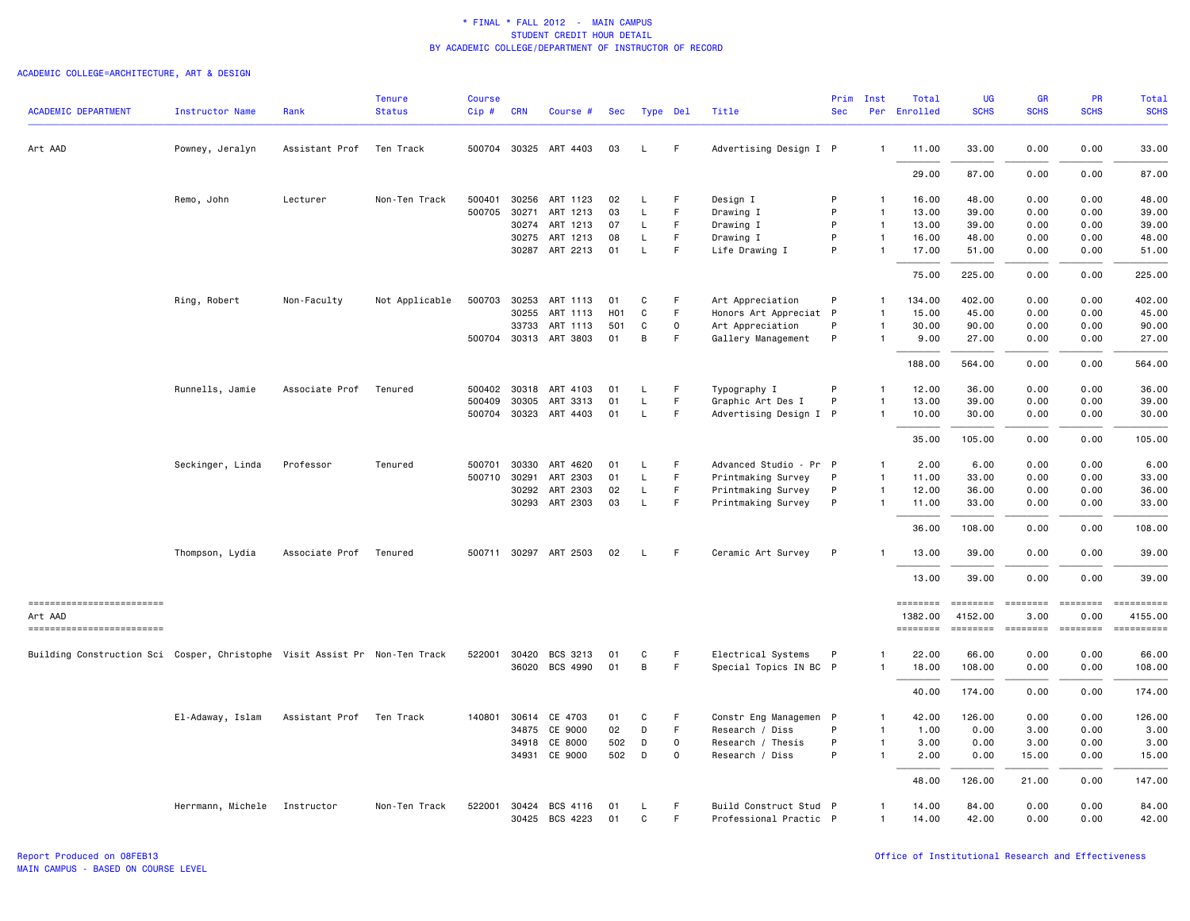# ACADEMIC COLLEGE=ARCHITECTURE, ART & DESIGN

|                                                                            |                        |                | <b>Tenure</b>  | <b>Course</b> |            |                       |                  |              |             |                        |            | Prim Inst      | Total               | UG                        | <b>GR</b>                                                                                                                                                                                                                                                                                                                                                                                                                                                                              | <b>PR</b>     | Total                                                                                                                                                                                                                                                                                                                                                                                                                               |
|----------------------------------------------------------------------------|------------------------|----------------|----------------|---------------|------------|-----------------------|------------------|--------------|-------------|------------------------|------------|----------------|---------------------|---------------------------|----------------------------------------------------------------------------------------------------------------------------------------------------------------------------------------------------------------------------------------------------------------------------------------------------------------------------------------------------------------------------------------------------------------------------------------------------------------------------------------|---------------|-------------------------------------------------------------------------------------------------------------------------------------------------------------------------------------------------------------------------------------------------------------------------------------------------------------------------------------------------------------------------------------------------------------------------------------|
| <b>ACADEMIC DEPARTMENT</b>                                                 | <b>Instructor Name</b> | Rank           | <b>Status</b>  | Cip#          | <b>CRN</b> | Course #              | Sec              | Type Del     |             | Title                  | <b>Sec</b> |                | Per Enrolled        | <b>SCHS</b>               | <b>SCHS</b>                                                                                                                                                                                                                                                                                                                                                                                                                                                                            | <b>SCHS</b>   | <b>SCHS</b>                                                                                                                                                                                                                                                                                                                                                                                                                         |
| Art AAD                                                                    | Powney, Jeralyn        | Assistant Prof | Ten Track      |               |            | 500704 30325 ART 4403 | 03               | L.           | F           | Advertising Design I P |            | -1             | 11.00               | 33.00                     | 0.00                                                                                                                                                                                                                                                                                                                                                                                                                                                                                   | 0.00          | 33.00                                                                                                                                                                                                                                                                                                                                                                                                                               |
|                                                                            |                        |                |                |               |            |                       |                  |              |             |                        |            |                | 29.00               | 87.00                     | 0.00                                                                                                                                                                                                                                                                                                                                                                                                                                                                                   | 0.00          | 87.00                                                                                                                                                                                                                                                                                                                                                                                                                               |
|                                                                            | Remo, John             | Lecturer       | Non-Ten Track  | 500401        | 30256      | ART 1123              | 02               | L            | F.          | Design I               | P          | -1             | 16.00               | 48.00                     | 0.00                                                                                                                                                                                                                                                                                                                                                                                                                                                                                   | 0.00          | 48.00                                                                                                                                                                                                                                                                                                                                                                                                                               |
|                                                                            |                        |                |                | 500705        | 30271      | ART 1213              | 03               | L            | F           | Drawing I              | P          | $\overline{1}$ | 13.00               | 39.00                     | 0.00                                                                                                                                                                                                                                                                                                                                                                                                                                                                                   | 0.00          | 39.00                                                                                                                                                                                                                                                                                                                                                                                                                               |
|                                                                            |                        |                |                |               |            | 30274 ART 1213        | 07               | L            | F.          | Drawing I              | P          | $\overline{1}$ | 13.00               | 39.00                     | 0.00                                                                                                                                                                                                                                                                                                                                                                                                                                                                                   | 0.00          | 39.00                                                                                                                                                                                                                                                                                                                                                                                                                               |
|                                                                            |                        |                |                |               |            | 30275 ART 1213        | 08               | L            | F.          | Drawing I              | P          | $\overline{1}$ | 16.00               | 48.00                     | 0.00                                                                                                                                                                                                                                                                                                                                                                                                                                                                                   | 0.00          | 48.00                                                                                                                                                                                                                                                                                                                                                                                                                               |
|                                                                            |                        |                |                |               |            | 30287 ART 2213        | 01               | L            | F           | Life Drawing I         | P          |                | 17.00               | 51.00                     | 0.00                                                                                                                                                                                                                                                                                                                                                                                                                                                                                   | 0.00          | 51.00                                                                                                                                                                                                                                                                                                                                                                                                                               |
|                                                                            |                        |                |                |               |            |                       |                  |              |             |                        |            |                | 75.00               | 225.00                    | 0.00                                                                                                                                                                                                                                                                                                                                                                                                                                                                                   | 0.00          | 225.00                                                                                                                                                                                                                                                                                                                                                                                                                              |
|                                                                            | Ring, Robert           | Non-Faculty    | Not Applicable |               |            | 500703 30253 ART 1113 | 01               | C            | F           | Art Appreciation       | P          | $\mathbf{1}$   | 134.00              | 402.00                    | 0.00                                                                                                                                                                                                                                                                                                                                                                                                                                                                                   | 0.00          | 402.00                                                                                                                                                                                                                                                                                                                                                                                                                              |
|                                                                            |                        |                |                |               | 30255      | ART 1113              | H <sub>0</sub> 1 | C            | F           | Honors Art Appreciat P |            | $\mathbf{1}$   | 15.00               | 45.00                     | 0.00                                                                                                                                                                                                                                                                                                                                                                                                                                                                                   | 0.00          | 45.00                                                                                                                                                                                                                                                                                                                                                                                                                               |
|                                                                            |                        |                |                |               | 33733      | ART 1113              | 501              | C            | 0           | Art Appreciation       | P          | $\overline{1}$ | 30.00               | 90.00                     | 0.00                                                                                                                                                                                                                                                                                                                                                                                                                                                                                   | 0.00          | 90.00                                                                                                                                                                                                                                                                                                                                                                                                                               |
|                                                                            |                        |                |                |               |            | 500704 30313 ART 3803 | 01               | B            | F           | Gallery Management     | P          | -1             | 9.00                | 27.00                     | 0.00                                                                                                                                                                                                                                                                                                                                                                                                                                                                                   | 0.00          | 27.00                                                                                                                                                                                                                                                                                                                                                                                                                               |
|                                                                            |                        |                |                |               |            |                       |                  |              |             |                        |            |                | 188,00              | 564.00                    | 0.00                                                                                                                                                                                                                                                                                                                                                                                                                                                                                   | 0.00          | 564.00                                                                                                                                                                                                                                                                                                                                                                                                                              |
|                                                                            | Runnells, Jamie        | Associate Prof | Tenured        |               |            | 500402 30318 ART 4103 | 01               | L            | F           | Typography I           | P          | 1              | 12.00               | 36.00                     | 0.00                                                                                                                                                                                                                                                                                                                                                                                                                                                                                   | 0.00          | 36.00                                                                                                                                                                                                                                                                                                                                                                                                                               |
|                                                                            |                        |                |                | 500409        | 30305      | ART 3313              | 01               | $\mathsf L$  | F.          | Graphic Art Des I      | P          | $\overline{1}$ | 13.00               | 39.00                     | 0.00                                                                                                                                                                                                                                                                                                                                                                                                                                                                                   | 0.00          | 39.00                                                                                                                                                                                                                                                                                                                                                                                                                               |
|                                                                            |                        |                |                |               |            | 500704 30323 ART 4403 | 01               | L            | F           | Advertising Design I P |            | -1             | 10.00               | 30.00                     | 0.00                                                                                                                                                                                                                                                                                                                                                                                                                                                                                   | 0.00          | 30.00                                                                                                                                                                                                                                                                                                                                                                                                                               |
|                                                                            |                        |                |                |               |            |                       |                  |              |             |                        |            |                | 35.00               | 105.00                    | 0.00                                                                                                                                                                                                                                                                                                                                                                                                                                                                                   | 0.00          | 105.00                                                                                                                                                                                                                                                                                                                                                                                                                              |
|                                                                            | Seckinger, Linda       | Professor      | Tenured        | 500701        |            | 30330 ART 4620        | 01               | L            | F           | Advanced Studio - Pr P |            | 1              | 2.00                | 6.00                      | 0.00                                                                                                                                                                                                                                                                                                                                                                                                                                                                                   | 0.00          | 6.00                                                                                                                                                                                                                                                                                                                                                                                                                                |
|                                                                            |                        |                |                | 500710 30291  |            | ART 2303              | 01               | L            | F           | Printmaking Survey     | P          | $\overline{1}$ | 11.00               | 33.00                     | 0.00                                                                                                                                                                                                                                                                                                                                                                                                                                                                                   | 0.00          | 33.00                                                                                                                                                                                                                                                                                                                                                                                                                               |
|                                                                            |                        |                |                |               | 30292      | ART 2303              | 02               | L            | F           | Printmaking Survey     | P          | $\overline{1}$ | 12.00               | 36.00                     | 0.00                                                                                                                                                                                                                                                                                                                                                                                                                                                                                   | 0.00          | 36.00                                                                                                                                                                                                                                                                                                                                                                                                                               |
|                                                                            |                        |                |                |               | 30293      | ART 2303              | 03               | L            | F           | Printmaking Survey     | P          | $\mathbf{1}$   | 11.00               | 33.00                     | 0.00                                                                                                                                                                                                                                                                                                                                                                                                                                                                                   | 0.00          | 33.00                                                                                                                                                                                                                                                                                                                                                                                                                               |
|                                                                            |                        |                |                |               |            |                       |                  |              |             |                        |            |                | 36.00               | 108.00                    | 0.00                                                                                                                                                                                                                                                                                                                                                                                                                                                                                   | 0.00          | 108.00                                                                                                                                                                                                                                                                                                                                                                                                                              |
|                                                                            | Thompson, Lydia        | Associate Prof | Tenured        |               |            | 500711 30297 ART 2503 | 02               | L.           | F.          | Ceramic Art Survey     | P          |                | 13.00               | 39.00                     | 0.00                                                                                                                                                                                                                                                                                                                                                                                                                                                                                   | 0.00          | 39.00                                                                                                                                                                                                                                                                                                                                                                                                                               |
|                                                                            |                        |                |                |               |            |                       |                  |              |             |                        |            |                | 13.00               | 39.00                     | 0.00                                                                                                                                                                                                                                                                                                                                                                                                                                                                                   | 0.00          | 39.00                                                                                                                                                                                                                                                                                                                                                                                                                               |
| ------------------------                                                   |                        |                |                |               |            |                       |                  |              |             |                        |            |                | ========            | ========                  | $\begin{array}{cccccccccc} \multicolumn{2}{c}{} & \multicolumn{2}{c}{} & \multicolumn{2}{c}{} & \multicolumn{2}{c}{} & \multicolumn{2}{c}{} & \multicolumn{2}{c}{} & \multicolumn{2}{c}{} & \multicolumn{2}{c}{} & \multicolumn{2}{c}{} & \multicolumn{2}{c}{} & \multicolumn{2}{c}{} & \multicolumn{2}{c}{} & \multicolumn{2}{c}{} & \multicolumn{2}{c}{} & \multicolumn{2}{c}{} & \multicolumn{2}{c}{} & \multicolumn{2}{c}{} & \multicolumn{2}{c}{} & \multicolumn{2}{c}{} & \mult$ | $= 222222222$ | ==========                                                                                                                                                                                                                                                                                                                                                                                                                          |
| Art AAD<br>------------------------                                        |                        |                |                |               |            |                       |                  |              |             |                        |            |                | 1382.00<br>======== | 4152.00<br><b>SEEEEEE</b> | 3.00<br>$=$                                                                                                                                                                                                                                                                                                                                                                                                                                                                            | 0.00<br>$=$   | 4155.00<br>$\begin{minipage}{0.03\linewidth} \hspace*{-0.2cm} \textbf{if} \hspace*{-0.3cm} \textbf{if} \hspace*{-0.3cm} \textbf{if} \hspace*{-0.3cm} \textbf{if} \hspace*{-0.3cm} \textbf{if} \hspace*{-0.3cm} \textbf{if} \hspace*{-0.3cm} \textbf{if} \hspace*{-0.3cm} \textbf{if} \hspace*{-0.3cm} \textbf{if} \hspace*{-0.3cm} \textbf{if} \hspace*{-0.3cm} \textbf{if} \hspace*{-0.3cm} \textbf{if} \hspace*{-0.3cm} \textbf{$ |
|                                                                            |                        |                |                |               |            |                       |                  |              |             |                        |            |                |                     |                           |                                                                                                                                                                                                                                                                                                                                                                                                                                                                                        |               |                                                                                                                                                                                                                                                                                                                                                                                                                                     |
| Building Construction Sci Cosper, Christophe Visit Assist Pr Non-Ten Track |                        |                |                | 522001 30420  |            | BCS 3213              | 01               | C            | F           | Electrical Systems     | P          | 1              | 22.00               | 66.00                     | 0.00                                                                                                                                                                                                                                                                                                                                                                                                                                                                                   | 0.00          | 66.00                                                                                                                                                                                                                                                                                                                                                                                                                               |
|                                                                            |                        |                |                |               |            | 36020 BCS 4990        | 01               | B            | F           | Special Topics IN BC P |            | -1             | 18.00               | 108.00                    | 0.00                                                                                                                                                                                                                                                                                                                                                                                                                                                                                   | 0.00          | 108.00                                                                                                                                                                                                                                                                                                                                                                                                                              |
|                                                                            |                        |                |                |               |            |                       |                  |              |             |                        |            |                | 40.00               | 174.00                    | 0.00                                                                                                                                                                                                                                                                                                                                                                                                                                                                                   | 0.00          | 174.00                                                                                                                                                                                                                                                                                                                                                                                                                              |
|                                                                            | El-Adaway, Islam       | Assistant Prof | Ten Track      | 140801        | 30614      | CE 4703               | 01               | C            | F           | Constr Eng Managemen P |            | -1             | 42.00               | 126.00                    | 0.00                                                                                                                                                                                                                                                                                                                                                                                                                                                                                   | 0.00          | 126.00                                                                                                                                                                                                                                                                                                                                                                                                                              |
|                                                                            |                        |                |                |               | 34875      | CE 9000               | 02               | D            | F.          | Research / Diss        | P          | -1             | 1.00                | 0.00                      | 3.00                                                                                                                                                                                                                                                                                                                                                                                                                                                                                   | 0.00          | 3.00                                                                                                                                                                                                                                                                                                                                                                                                                                |
|                                                                            |                        |                |                |               | 34918      | CE 8000               | 502              | D            | $\mathbf 0$ | Research / Thesis      | P          | $\mathbf{1}$   | 3.00                | 0.00                      | 3.00                                                                                                                                                                                                                                                                                                                                                                                                                                                                                   | 0.00          | 3.00                                                                                                                                                                                                                                                                                                                                                                                                                                |
|                                                                            |                        |                |                |               | 34931      | CE 9000               | 502              | D            | $\circ$     | Research / Diss        | P          | $\mathbf{1}$   | 2.00                | 0.00                      | 15.00                                                                                                                                                                                                                                                                                                                                                                                                                                                                                  | 0.00          | 15.00                                                                                                                                                                                                                                                                                                                                                                                                                               |
|                                                                            |                        |                |                |               |            |                       |                  |              |             |                        |            |                | 48.00               | 126.00                    | 21.00                                                                                                                                                                                                                                                                                                                                                                                                                                                                                  | 0.00          | 147.00                                                                                                                                                                                                                                                                                                                                                                                                                              |
|                                                                            | Herrmann, Michele      | Instructor     | Non-Ten Track  | 522001        | 30424      | BCS 4116              | 01               | L            | F           | Build Construct Stud P |            | $\mathbf{1}$   | 14.00               | 84.00                     | 0.00                                                                                                                                                                                                                                                                                                                                                                                                                                                                                   | 0.00          | 84.00                                                                                                                                                                                                                                                                                                                                                                                                                               |
|                                                                            |                        |                |                |               |            | 30425 BCS 4223        | 01               | $\mathsf{C}$ | F           | Professional Practic P |            | $\overline{1}$ | 14.00               | 42.00                     | 0.00                                                                                                                                                                                                                                                                                                                                                                                                                                                                                   | 0.00          | 42.00                                                                                                                                                                                                                                                                                                                                                                                                                               |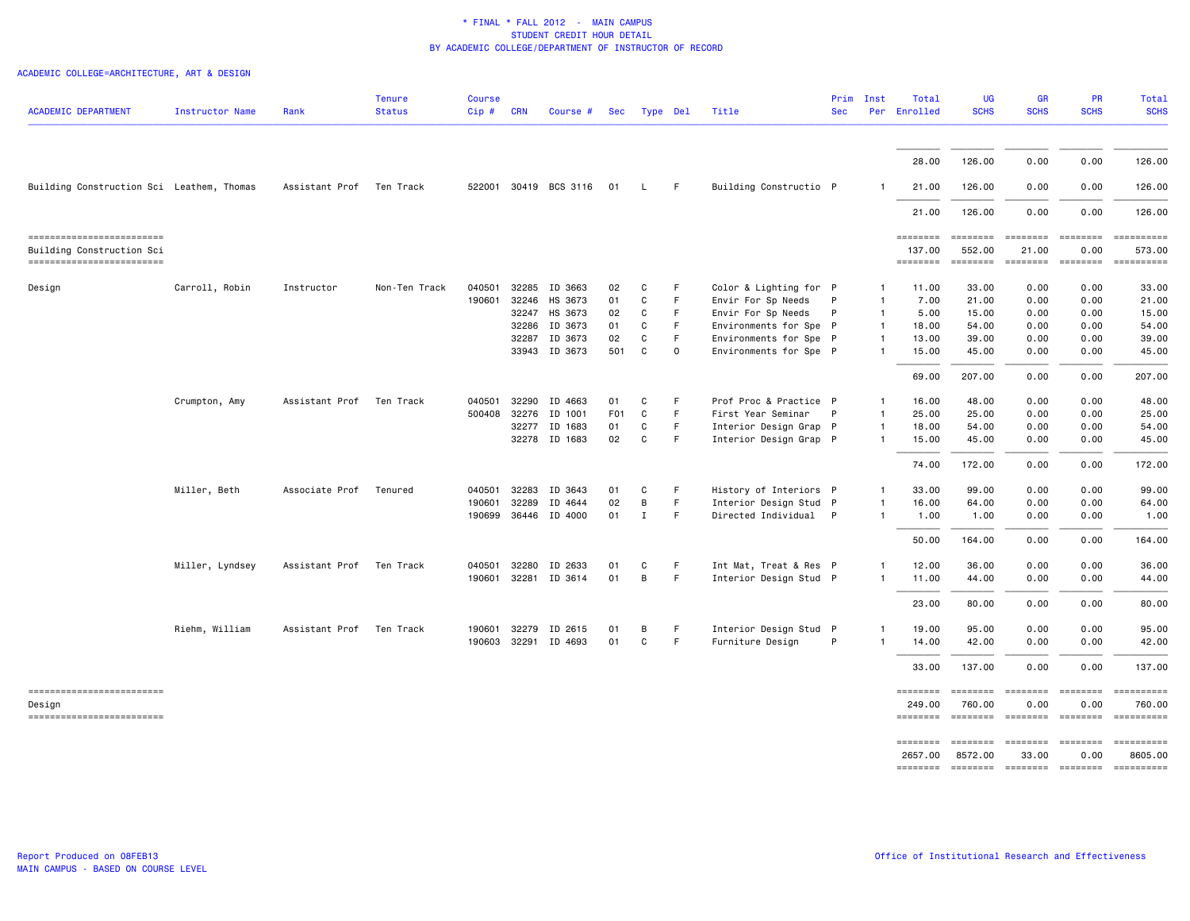# ACADEMIC COLLEGE=ARCHITECTURE, ART & DESIGN

| <b>ACADEMIC DEPARTMENT</b>                            | Instructor Name | Rank           | <b>Tenure</b><br><b>Status</b> | Course<br>Cip# | <b>CRN</b>   | Course #              | Sec | Type Del     |          | Title                  | Prim<br><b>Sec</b> | Inst           | Total<br>Per Enrolled | UG<br><b>SCHS</b>         | <b>GR</b><br><b>SCHS</b> | <b>PR</b><br><b>SCHS</b> | Total<br><b>SCHS</b>                                                                                                                                                                                                                                                                                                                                                                                                                                                                             |
|-------------------------------------------------------|-----------------|----------------|--------------------------------|----------------|--------------|-----------------------|-----|--------------|----------|------------------------|--------------------|----------------|-----------------------|---------------------------|--------------------------|--------------------------|--------------------------------------------------------------------------------------------------------------------------------------------------------------------------------------------------------------------------------------------------------------------------------------------------------------------------------------------------------------------------------------------------------------------------------------------------------------------------------------------------|
|                                                       |                 |                |                                |                |              |                       |     |              |          |                        |                    |                | 28.00                 | 126.00                    | 0.00                     | 0.00                     | 126.00                                                                                                                                                                                                                                                                                                                                                                                                                                                                                           |
| Building Construction Sci Leathem, Thomas             |                 | Assistant Prof | Ten Track                      |                |              | 522001 30419 BCS 3116 | 01  | L.           | F.       | Building Constructio P |                    | -1             | 21.00                 | 126.00                    | 0.00                     | 0.00                     | 126.00                                                                                                                                                                                                                                                                                                                                                                                                                                                                                           |
|                                                       |                 |                |                                |                |              |                       |     |              |          |                        |                    |                | 21.00                 | 126.00                    | 0.00                     | 0.00                     | 126.00                                                                                                                                                                                                                                                                                                                                                                                                                                                                                           |
| ------------------------                              |                 |                |                                |                |              |                       |     |              |          |                        |                    |                | <b>EDESSEDE</b>       | ========                  | ========                 | ========                 | ==========                                                                                                                                                                                                                                                                                                                                                                                                                                                                                       |
| Building Construction Sci<br>------------------------ |                 |                |                                |                |              |                       |     |              |          |                        |                    |                | 137.00<br>========    | 552.00<br><b>ESSESSES</b> | 21.00<br><b>ESSESSES</b> | 0.00<br><b>EDEDEDED</b>  | 573.00                                                                                                                                                                                                                                                                                                                                                                                                                                                                                           |
| Design                                                | Carroll, Robin  | Instructor     | Non-Ten Track                  | 040501         |              | 32285 ID 3663         | 02  | C            | F        | Color & Lighting for P |                    | $\mathbf{1}$   | 11.00                 | 33.00                     | 0.00                     | 0.00                     | 33.00                                                                                                                                                                                                                                                                                                                                                                                                                                                                                            |
|                                                       |                 |                |                                | 190601         | 32246        | HS 3673               | 01  | C            | F.       | Envir For Sp Needs     | P                  | $\mathbf{1}$   | 7.00                  | 21.00                     | 0.00                     | 0.00                     | 21.00                                                                                                                                                                                                                                                                                                                                                                                                                                                                                            |
|                                                       |                 |                |                                |                | 32247        | HS 3673               | 02  | C            | F        | Envir For Sp Needs     | $\mathsf{P}$       | $\mathbf{1}$   | 5.00                  | 15.00                     | 0.00                     | 0.00                     | 15.00                                                                                                                                                                                                                                                                                                                                                                                                                                                                                            |
|                                                       |                 |                |                                |                | 32286        | ID 3673               | 01  | C            | F        | Environments for Spe P |                    | $\mathbf{1}$   | 18.00                 | 54.00                     | 0.00                     | 0.00                     | 54.00                                                                                                                                                                                                                                                                                                                                                                                                                                                                                            |
|                                                       |                 |                |                                |                | 32287        | ID 3673               | 02  | C            | F.       | Environments for Spe P |                    | $\overline{1}$ | 13.00                 | 39.00                     | 0.00                     | 0.00                     | 39.00                                                                                                                                                                                                                                                                                                                                                                                                                                                                                            |
|                                                       |                 |                |                                |                |              | 33943 ID 3673         | 501 | $\mathsf{C}$ | $\Omega$ | Environments for Spe P |                    | $\mathbf{1}$   | 15.00                 | 45.00                     | 0.00                     | 0.00                     | 45.00                                                                                                                                                                                                                                                                                                                                                                                                                                                                                            |
|                                                       |                 |                |                                |                |              |                       |     |              |          |                        |                    |                | 69.00                 | 207.00                    | 0.00                     | 0.00                     | 207.00                                                                                                                                                                                                                                                                                                                                                                                                                                                                                           |
|                                                       | Crumpton, Amy   | Assistant Prof | Ten Track                      | 040501         | 32290        | ID 4663               | 01  | C            | F        | Prof Proc & Practice P |                    | $\mathbf{1}$   | 16.00                 | 48.00                     | 0.00                     | 0.00                     | 48.00                                                                                                                                                                                                                                                                                                                                                                                                                                                                                            |
|                                                       |                 |                |                                | 500408         | 32276        | ID 1001               | F01 | $\mathsf{C}$ | F.       | First Year Seminar     | P                  | $\mathbf{1}$   | 25.00                 | 25.00                     | 0.00                     | 0.00                     | 25.00                                                                                                                                                                                                                                                                                                                                                                                                                                                                                            |
|                                                       |                 |                |                                |                |              | 32277 ID 1683         | 01  | С            | F        | Interior Design Grap P |                    | $\overline{1}$ | 18.00                 | 54.00                     | 0.00                     | 0.00                     | 54.00                                                                                                                                                                                                                                                                                                                                                                                                                                                                                            |
|                                                       |                 |                |                                |                |              | 32278 ID 1683         | 02  | C            | F.       | Interior Design Grap P |                    | $\mathbf{1}$   | 15.00                 | 45.00                     | 0.00                     | 0.00                     | 45.00                                                                                                                                                                                                                                                                                                                                                                                                                                                                                            |
|                                                       |                 |                |                                |                |              |                       |     |              |          |                        |                    |                | 74.00                 | 172.00                    | 0.00                     | 0.00                     | 172.00                                                                                                                                                                                                                                                                                                                                                                                                                                                                                           |
|                                                       | Miller, Beth    | Associate Prof | Tenured                        | 040501         | 32283        | ID 3643               | 01  | C            | F        | History of Interiors P |                    | -1             | 33.00                 | 99.00                     | 0.00                     | 0.00                     | 99.00                                                                                                                                                                                                                                                                                                                                                                                                                                                                                            |
|                                                       |                 |                |                                | 190601         | 32289        | ID 4644               | 02  | В            | F.       | Interior Design Stud P |                    | $\overline{1}$ | 16.00                 | 64.00                     | 0.00                     | 0.00                     | 64.00                                                                                                                                                                                                                                                                                                                                                                                                                                                                                            |
|                                                       |                 |                |                                | 190699         |              | 36446 ID 4000         | 01  | $\mathbf I$  | F        | Directed Individual P  |                    | $\mathbf{1}$   | 1.00                  | 1.00                      | 0.00                     | 0.00                     | 1.00                                                                                                                                                                                                                                                                                                                                                                                                                                                                                             |
|                                                       |                 |                |                                |                |              |                       |     |              |          |                        |                    |                | 50.00                 | 164.00                    | 0.00                     | 0.00                     | 164.00                                                                                                                                                                                                                                                                                                                                                                                                                                                                                           |
|                                                       | Miller, Lyndsey | Assistant Prof | Ten Track                      | 040501         | 32280        | ID 2633               | 01  | С            | F        | Int Mat, Treat & Res P |                    | $\mathbf{1}$   | 12.00                 | 36.00                     | 0.00                     | 0.00                     | 36.00                                                                                                                                                                                                                                                                                                                                                                                                                                                                                            |
|                                                       |                 |                |                                |                | 190601 32281 | ID 3614               | 01  | В            | F        | Interior Design Stud P |                    | $\mathbf{1}$   | 11.00                 | 44.00                     | 0.00                     | 0.00                     | 44.00                                                                                                                                                                                                                                                                                                                                                                                                                                                                                            |
|                                                       |                 |                |                                |                |              |                       |     |              |          |                        |                    |                | 23.00                 | 80.00                     | 0.00                     | 0.00                     | 80.00                                                                                                                                                                                                                                                                                                                                                                                                                                                                                            |
|                                                       | Riehm, William  | Assistant Prof | Ten Track                      |                | 190601 32279 | ID 2615               | 01  | B            | F        | Interior Design Stud P |                    | $\mathbf{1}$   | 19.00                 | 95.00                     | 0.00                     | 0.00                     | 95.00                                                                                                                                                                                                                                                                                                                                                                                                                                                                                            |
|                                                       |                 |                |                                |                | 190603 32291 | ID 4693               | 01  | С            | F        | Furniture Design       | P                  | $\mathbf{1}$   | 14.00                 | 42.00                     | 0.00                     | 0.00                     | 42.00                                                                                                                                                                                                                                                                                                                                                                                                                                                                                            |
|                                                       |                 |                |                                |                |              |                       |     |              |          |                        |                    |                | 33.00                 | 137.00                    | 0.00                     | 0.00                     | 137.00                                                                                                                                                                                                                                                                                                                                                                                                                                                                                           |
| -------------------------                             |                 |                |                                |                |              |                       |     |              |          |                        |                    |                | ========              | ========                  |                          |                          |                                                                                                                                                                                                                                                                                                                                                                                                                                                                                                  |
| Design<br>------------------------                    |                 |                |                                |                |              |                       |     |              |          |                        |                    |                | 249.00<br>========    | 760.00<br><b>ESSESSE</b>  | 0.00<br>$=$ ========     | 0.00<br>========         | 760.00<br>$\begin{array}{cccccccccc} \multicolumn{2}{c}{} & \multicolumn{2}{c}{} & \multicolumn{2}{c}{} & \multicolumn{2}{c}{} & \multicolumn{2}{c}{} & \multicolumn{2}{c}{} & \multicolumn{2}{c}{} & \multicolumn{2}{c}{} & \multicolumn{2}{c}{} & \multicolumn{2}{c}{} & \multicolumn{2}{c}{} & \multicolumn{2}{c}{} & \multicolumn{2}{c}{} & \multicolumn{2}{c}{} & \multicolumn{2}{c}{} & \multicolumn{2}{c}{} & \multicolumn{2}{c}{} & \multicolumn{2}{c}{} & \multicolumn{2}{c}{} & \mult$ |
|                                                       |                 |                |                                |                |              |                       |     |              |          |                        |                    |                | ========              | $=$ = = = = = = =         | <b>EBBBBBBB</b>          | ========                 |                                                                                                                                                                                                                                                                                                                                                                                                                                                                                                  |
|                                                       |                 |                |                                |                |              |                       |     |              |          |                        |                    |                | 2657.00               | 8572.00                   | 33.00                    | 0.00                     | 8605.00                                                                                                                                                                                                                                                                                                                                                                                                                                                                                          |
|                                                       |                 |                |                                |                |              |                       |     |              |          |                        |                    |                |                       |                           |                          |                          |                                                                                                                                                                                                                                                                                                                                                                                                                                                                                                  |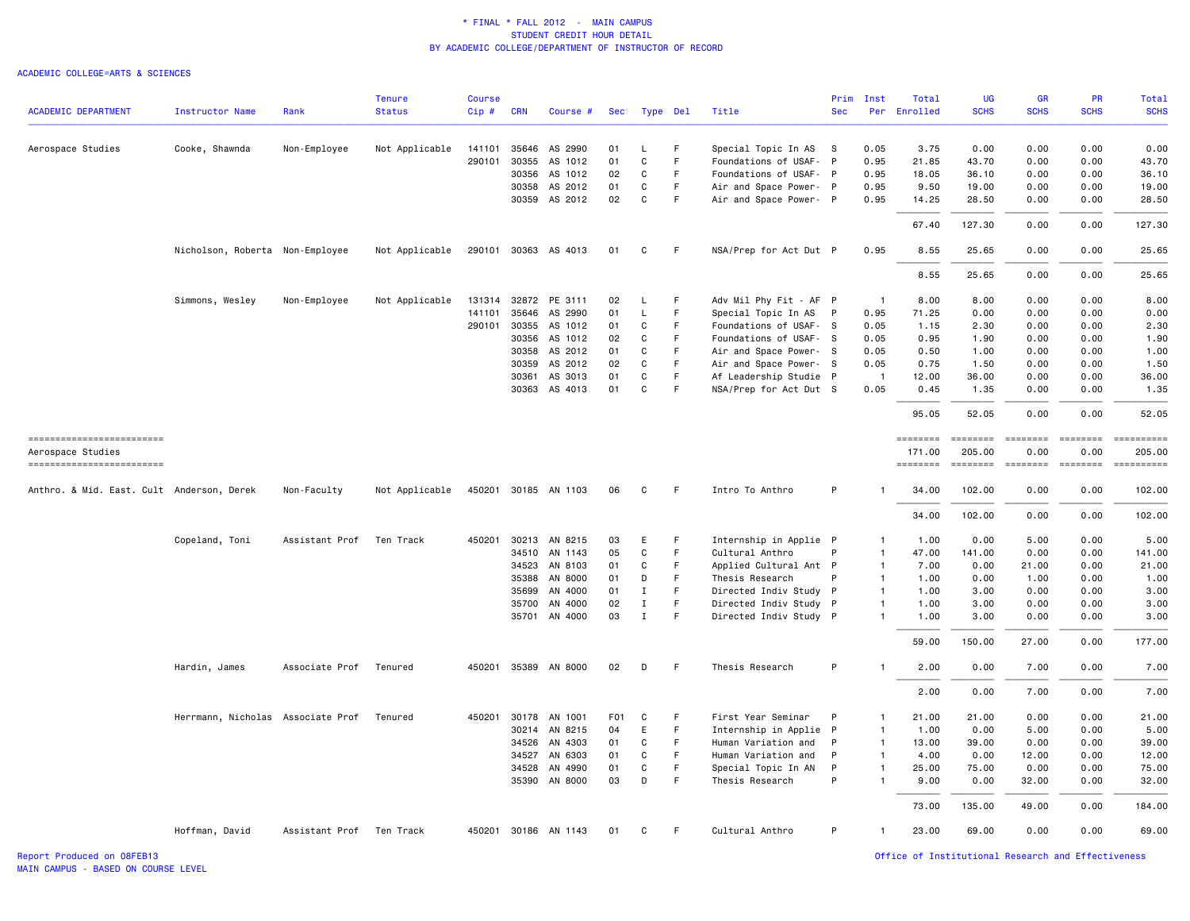### ACADEMIC COLLEGE=ARTS & SCIENCES

|                                           |                                   |                          | <b>Tenure</b>  | <b>Course</b> |                |                      |                  |              |          |                                                  | Prim         | Inst           | Total           | <b>UG</b>     | <b>GR</b>                                                                                                                                                                                                                                                                                                                                                                                                                                                                              | PR                | Total                                                                                                                                                                                                                                                                                                                                                                                                                                                                   |
|-------------------------------------------|-----------------------------------|--------------------------|----------------|---------------|----------------|----------------------|------------------|--------------|----------|--------------------------------------------------|--------------|----------------|-----------------|---------------|----------------------------------------------------------------------------------------------------------------------------------------------------------------------------------------------------------------------------------------------------------------------------------------------------------------------------------------------------------------------------------------------------------------------------------------------------------------------------------------|-------------------|-------------------------------------------------------------------------------------------------------------------------------------------------------------------------------------------------------------------------------------------------------------------------------------------------------------------------------------------------------------------------------------------------------------------------------------------------------------------------|
| <b>ACADEMIC DEPARTMENT</b>                | <b>Instructor Name</b>            | Rank                     | <b>Status</b>  | Cip#          | <b>CRN</b>     | Course #             | <b>Sec</b>       |              | Type Del | Title                                            | <b>Sec</b>   | Per            | Enrolled        | <b>SCHS</b>   | <b>SCHS</b>                                                                                                                                                                                                                                                                                                                                                                                                                                                                            | <b>SCHS</b>       | <b>SCHS</b>                                                                                                                                                                                                                                                                                                                                                                                                                                                             |
| Aerospace Studies                         | Cooke, Shawnda                    | Non-Employee             | Not Applicable | 141101        |                | 35646 AS 2990        | 01               | L            | F        | Special Topic In AS                              | - S          | 0.05           | 3.75            | 0.00          | 0.00                                                                                                                                                                                                                                                                                                                                                                                                                                                                                   | 0.00              | 0.00                                                                                                                                                                                                                                                                                                                                                                                                                                                                    |
|                                           |                                   |                          |                | 290101        | 30355          | AS 1012              | 01               | $\mathtt{C}$ | F        | Foundations of USAF-                             | P            | 0.95           | 21.85           | 43.70         | 0.00                                                                                                                                                                                                                                                                                                                                                                                                                                                                                   | 0.00              | 43.70                                                                                                                                                                                                                                                                                                                                                                                                                                                                   |
|                                           |                                   |                          |                |               | 30356          | AS 1012              | 02               | C            | F        | Foundations of USAF- P                           |              | 0.95           | 18.05           | 36.10         | 0.00                                                                                                                                                                                                                                                                                                                                                                                                                                                                                   | 0.00              | 36.10                                                                                                                                                                                                                                                                                                                                                                                                                                                                   |
|                                           |                                   |                          |                |               | 30358          | AS 2012              | 01               | C            | F.       | Air and Space Power- P                           |              | 0.95           | 9.50            | 19.00         | 0.00                                                                                                                                                                                                                                                                                                                                                                                                                                                                                   | 0.00              | 19.00                                                                                                                                                                                                                                                                                                                                                                                                                                                                   |
|                                           |                                   |                          |                |               |                | 30359 AS 2012        | 02               | $\mathbf c$  | F        | Air and Space Power- P                           |              | 0.95           | 14.25           | 28.50         | 0.00                                                                                                                                                                                                                                                                                                                                                                                                                                                                                   | 0.00              | 28.50                                                                                                                                                                                                                                                                                                                                                                                                                                                                   |
|                                           |                                   |                          |                |               |                |                      |                  |              |          |                                                  |              |                | 67.40           | 127.30        | 0.00                                                                                                                                                                                                                                                                                                                                                                                                                                                                                   | 0.00              | 127.30                                                                                                                                                                                                                                                                                                                                                                                                                                                                  |
|                                           | Nicholson, Roberta Non-Employee   |                          | Not Applicable |               |                | 290101 30363 AS 4013 | 01               | C            | F.       | NSA/Prep for Act Dut P                           |              | 0.95           | 8.55            | 25.65         | 0.00                                                                                                                                                                                                                                                                                                                                                                                                                                                                                   | 0.00              | 25.65                                                                                                                                                                                                                                                                                                                                                                                                                                                                   |
|                                           |                                   |                          |                |               |                |                      |                  |              |          |                                                  |              |                | 8.55            | 25.65         | 0.00                                                                                                                                                                                                                                                                                                                                                                                                                                                                                   | 0.00              | 25.65                                                                                                                                                                                                                                                                                                                                                                                                                                                                   |
|                                           |                                   |                          |                |               |                |                      |                  |              |          |                                                  |              |                |                 |               |                                                                                                                                                                                                                                                                                                                                                                                                                                                                                        |                   |                                                                                                                                                                                                                                                                                                                                                                                                                                                                         |
|                                           | Simmons, Wesley                   | Non-Employee             | Not Applicable | 131314        |                | 32872 PE 3111        | 02<br>01         | L<br>L       | F.<br>F. | Adv Mil Phy Fit - AF P                           |              | $\overline{1}$ | 8.00            | 8.00          | 0.00                                                                                                                                                                                                                                                                                                                                                                                                                                                                                   | 0.00              | 8.00                                                                                                                                                                                                                                                                                                                                                                                                                                                                    |
|                                           |                                   |                          |                | 141101        | 35646          | AS 2990              |                  |              | F        | Special Topic In AS                              | $\mathsf{P}$ | 0.95           | 71.25           | 0.00          | 0.00                                                                                                                                                                                                                                                                                                                                                                                                                                                                                   | 0.00              | 0.00                                                                                                                                                                                                                                                                                                                                                                                                                                                                    |
|                                           |                                   |                          |                |               | 290101 30355   | AS 1012<br>AS 1012   | 01<br>02         | C<br>C       | F.       | Foundations of USAF- S<br>Foundations of USAF- S |              | 0.05<br>0.05   | 1.15<br>0.95    | 2.30<br>1.90  | 0.00<br>0.00                                                                                                                                                                                                                                                                                                                                                                                                                                                                           | 0.00<br>0.00      | 2.30<br>1.90                                                                                                                                                                                                                                                                                                                                                                                                                                                            |
|                                           |                                   |                          |                |               | 30356<br>30358 | AS 2012              | 01               | C            | F.       | Air and Space Power- S                           |              | 0.05           | 0.50            | 1.00          | 0.00                                                                                                                                                                                                                                                                                                                                                                                                                                                                                   | 0.00              | 1.00                                                                                                                                                                                                                                                                                                                                                                                                                                                                    |
|                                           |                                   |                          |                |               | 30359          | AS 2012              | 02               | C            | F.       |                                                  |              | 0.05           | 0.75            | 1.50          | 0.00                                                                                                                                                                                                                                                                                                                                                                                                                                                                                   | 0.00              | 1.50                                                                                                                                                                                                                                                                                                                                                                                                                                                                    |
|                                           |                                   |                          |                |               | 30361          | AS 3013              | 01               | C            | F.       | Air and Space Power- S<br>Af Leadership Studie P |              | $\overline{1}$ | 12.00           | 36.00         | 0.00                                                                                                                                                                                                                                                                                                                                                                                                                                                                                   | 0.00              | 36.00                                                                                                                                                                                                                                                                                                                                                                                                                                                                   |
|                                           |                                   |                          |                |               |                | 30363 AS 4013        | 01               | C            | F.       | NSA/Prep for Act Dut S                           |              | 0.05           | 0.45            | 1.35          | 0.00                                                                                                                                                                                                                                                                                                                                                                                                                                                                                   | 0.00              | 1.35                                                                                                                                                                                                                                                                                                                                                                                                                                                                    |
|                                           |                                   |                          |                |               |                |                      |                  |              |          |                                                  |              |                | 95.05           | 52.05         | 0.00                                                                                                                                                                                                                                                                                                                                                                                                                                                                                   | 0.00              | 52.05                                                                                                                                                                                                                                                                                                                                                                                                                                                                   |
| ==========================                |                                   |                          |                |               |                |                      |                  |              |          |                                                  |              |                | <b>EDESSERS</b> | $= 222222222$ | $\begin{array}{cccccccccc} \multicolumn{2}{c}{} & \multicolumn{2}{c}{} & \multicolumn{2}{c}{} & \multicolumn{2}{c}{} & \multicolumn{2}{c}{} & \multicolumn{2}{c}{} & \multicolumn{2}{c}{} & \multicolumn{2}{c}{} & \multicolumn{2}{c}{} & \multicolumn{2}{c}{} & \multicolumn{2}{c}{} & \multicolumn{2}{c}{} & \multicolumn{2}{c}{} & \multicolumn{2}{c}{} & \multicolumn{2}{c}{} & \multicolumn{2}{c}{} & \multicolumn{2}{c}{} & \multicolumn{2}{c}{} & \multicolumn{2}{c}{} & \mult$ | $= = = = = = = =$ | $\begin{minipage}{0.9\linewidth} \hspace*{-0.2cm} \textbf{if the number of } \textit{if} \textit{if} \textit{if} \textit{if} \textit{if} \textit{if} \textit{if} \textit{if} \textit{if} \textit{if} \textit{if} \textit{if} \textit{if} \textit{if} \textit{if} \textit{if} \textit{if} \textit{if} \textit{if} \textit{if} \textit{if} \textit{if} \textit{if} \textit{if} \textit{if} \textit{if} \textit{if} \textit{if} \textit{if} \textit{if} \textit{if} \text$ |
| Aerospace Studies                         |                                   |                          |                |               |                |                      |                  |              |          |                                                  |              |                | 171.00          | 205.00        | 0.00                                                                                                                                                                                                                                                                                                                                                                                                                                                                                   | 0.00              | 205.00                                                                                                                                                                                                                                                                                                                                                                                                                                                                  |
| ------------------------                  |                                   |                          |                |               |                |                      |                  |              |          |                                                  |              |                | ========        | ========      |                                                                                                                                                                                                                                                                                                                                                                                                                                                                                        |                   | $\begin{minipage}{0.9\linewidth} \hspace*{-0.2cm} \textbf{if the number of } \textit{if} \textit{if} \textit{if} \textit{if} \textit{if} \textit{if} \textit{if} \textit{if} \textit{if} \textit{if} \textit{if} \textit{if} \textit{if} \textit{if} \textit{if} \textit{if} \textit{if} \textit{if} \textit{if} \textit{if} \textit{if} \textit{if} \textit{if} \textit{if} \textit{if} \textit{if} \textit{if} \textit{if} \textit{if} \textit{if} \textit{if} \text$ |
| Anthro. & Mid. East. Cult Anderson, Derek |                                   | Non-Faculty              | Not Applicable |               |                | 450201 30185 AN 1103 | 06               | C            | F        | Intro To Anthro                                  | P            | $\mathbf{1}$   | 34.00           | 102.00        | 0.00                                                                                                                                                                                                                                                                                                                                                                                                                                                                                   | 0.00              | 102.00                                                                                                                                                                                                                                                                                                                                                                                                                                                                  |
|                                           |                                   |                          |                |               |                |                      |                  |              |          |                                                  |              |                | 34.00           | 102.00        | 0.00                                                                                                                                                                                                                                                                                                                                                                                                                                                                                   | 0.00              | 102.00                                                                                                                                                                                                                                                                                                                                                                                                                                                                  |
|                                           | Copeland, Toni                    | Assistant Prof           | Ten Track      |               |                | 450201 30213 AN 8215 | 03               | E            | F        | Internship in Applie P                           |              | $\mathbf{1}$   | 1.00            | 0.00          | 5.00                                                                                                                                                                                                                                                                                                                                                                                                                                                                                   | 0.00              | 5.00                                                                                                                                                                                                                                                                                                                                                                                                                                                                    |
|                                           |                                   |                          |                |               | 34510          | AN 1143              | 05               | C            | F.       | Cultural Anthro                                  | P            | $\mathbf{1}$   | 47.00           | 141.00        | 0.00                                                                                                                                                                                                                                                                                                                                                                                                                                                                                   | 0.00              | 141.00                                                                                                                                                                                                                                                                                                                                                                                                                                                                  |
|                                           |                                   |                          |                |               | 34523          | AN 8103              | 01               | C            | F        | Applied Cultural Ant P                           |              | $\mathbf{1}$   | 7.00            | 0.00          | 21.00                                                                                                                                                                                                                                                                                                                                                                                                                                                                                  | 0.00              | 21.00                                                                                                                                                                                                                                                                                                                                                                                                                                                                   |
|                                           |                                   |                          |                |               | 35388          | AN 8000              | 01               | D            | F        | Thesis Research                                  | P            | $\mathbf{1}$   | 1.00            | 0.00          | 1.00                                                                                                                                                                                                                                                                                                                                                                                                                                                                                   | 0.00              | 1.00                                                                                                                                                                                                                                                                                                                                                                                                                                                                    |
|                                           |                                   |                          |                |               | 35699          | AN 4000              | 01               | $\;$ I       | F        | Directed Indiv Study P                           |              | $\mathbf{1}$   | 1.00            | 3.00          | 0.00                                                                                                                                                                                                                                                                                                                                                                                                                                                                                   | 0.00              | 3.00                                                                                                                                                                                                                                                                                                                                                                                                                                                                    |
|                                           |                                   |                          |                |               | 35700          | AN 4000              | 02               | $\mathbf I$  | F.       | Directed Indiv Study P                           |              | $\mathbf{1}$   | 1.00            | 3.00          | 0.00                                                                                                                                                                                                                                                                                                                                                                                                                                                                                   | 0.00              | 3.00                                                                                                                                                                                                                                                                                                                                                                                                                                                                    |
|                                           |                                   |                          |                |               | 35701          | AN 4000              | 03               | $\;$ I       | F        | Directed Indiv Study P                           |              | $\mathbf{1}$   | 1.00            | 3.00          | 0.00                                                                                                                                                                                                                                                                                                                                                                                                                                                                                   | 0.00              | 3.00                                                                                                                                                                                                                                                                                                                                                                                                                                                                    |
|                                           |                                   |                          |                |               |                |                      |                  |              |          |                                                  |              |                | 59.00           | 150.00        | 27.00                                                                                                                                                                                                                                                                                                                                                                                                                                                                                  | 0.00              | 177.00                                                                                                                                                                                                                                                                                                                                                                                                                                                                  |
|                                           | Hardin, James                     | Associate Prof           | Tenured        |               |                | 450201 35389 AN 8000 | 02               | D            | F        | Thesis Research                                  | P            | $\mathbf{1}$   | 2.00            | 0.00          | 7.00                                                                                                                                                                                                                                                                                                                                                                                                                                                                                   | 0.00              | 7.00                                                                                                                                                                                                                                                                                                                                                                                                                                                                    |
|                                           |                                   |                          |                |               |                |                      |                  |              |          |                                                  |              |                | 2.00            | 0.00          | 7.00                                                                                                                                                                                                                                                                                                                                                                                                                                                                                   | 0.00              | 7.00                                                                                                                                                                                                                                                                                                                                                                                                                                                                    |
|                                           | Herrmann, Nicholas Associate Prof |                          | Tenured        | 450201        | 30178          | AN 1001              | F <sub>0</sub> 1 | C            | F        | First Year Seminar                               | P            | $\mathbf{1}$   | 21.00           | 21.00         | 0.00                                                                                                                                                                                                                                                                                                                                                                                                                                                                                   | 0.00              | 21.00                                                                                                                                                                                                                                                                                                                                                                                                                                                                   |
|                                           |                                   |                          |                |               | 30214          | AN 8215              | 04               | E            | F.       | Internship in Applie P                           |              | $\mathbf{1}$   | 1.00            | 0.00          | 5.00                                                                                                                                                                                                                                                                                                                                                                                                                                                                                   | 0.00              | 5.00                                                                                                                                                                                                                                                                                                                                                                                                                                                                    |
|                                           |                                   |                          |                |               | 34526          | AN 4303              | 01               | C            | F.       | Human Variation and                              | P            | $\mathbf{1}$   | 13.00           | 39.00         | 0.00                                                                                                                                                                                                                                                                                                                                                                                                                                                                                   | 0.00              | 39.00                                                                                                                                                                                                                                                                                                                                                                                                                                                                   |
|                                           |                                   |                          |                |               | 34527          | AN 6303              | 01               | C            | F        | Human Variation and                              | P            | $\mathbf{1}$   | 4.00            | 0.00          | 12.00                                                                                                                                                                                                                                                                                                                                                                                                                                                                                  | 0.00              | 12.00                                                                                                                                                                                                                                                                                                                                                                                                                                                                   |
|                                           |                                   |                          |                |               | 34528          | AN 4990              | 01               | C            | F        | Special Topic In AN                              | P            | $\mathbf{1}$   | 25.00           | 75.00         | 0.00                                                                                                                                                                                                                                                                                                                                                                                                                                                                                   | 0.00              | 75.00                                                                                                                                                                                                                                                                                                                                                                                                                                                                   |
|                                           |                                   |                          |                |               |                | 35390 AN 8000        | 03               | D            | F        | Thesis Research                                  | P            | $\mathbf{1}$   | 9.00            | 0.00          | 32.00                                                                                                                                                                                                                                                                                                                                                                                                                                                                                  | 0.00              | 32.00                                                                                                                                                                                                                                                                                                                                                                                                                                                                   |
|                                           |                                   |                          |                |               |                |                      |                  |              |          |                                                  |              |                | 73.00           | 135.00        | 49.00                                                                                                                                                                                                                                                                                                                                                                                                                                                                                  | 0.00              | 184.00                                                                                                                                                                                                                                                                                                                                                                                                                                                                  |
|                                           | Hoffman, David                    | Assistant Prof Ten Track |                |               |                | 450201 30186 AN 1143 | 01               | C            | E        | Cultural Anthro                                  | P            | $\mathbf{1}$   | 23.00           | 69.00         | 0.00                                                                                                                                                                                                                                                                                                                                                                                                                                                                                   | 0.00              | 69.00                                                                                                                                                                                                                                                                                                                                                                                                                                                                   |
|                                           |                                   |                          |                |               |                |                      |                  |              |          |                                                  |              |                |                 |               |                                                                                                                                                                                                                                                                                                                                                                                                                                                                                        |                   |                                                                                                                                                                                                                                                                                                                                                                                                                                                                         |

Report Produced on 08FEB13 Office of Institutional Research and Effectiveness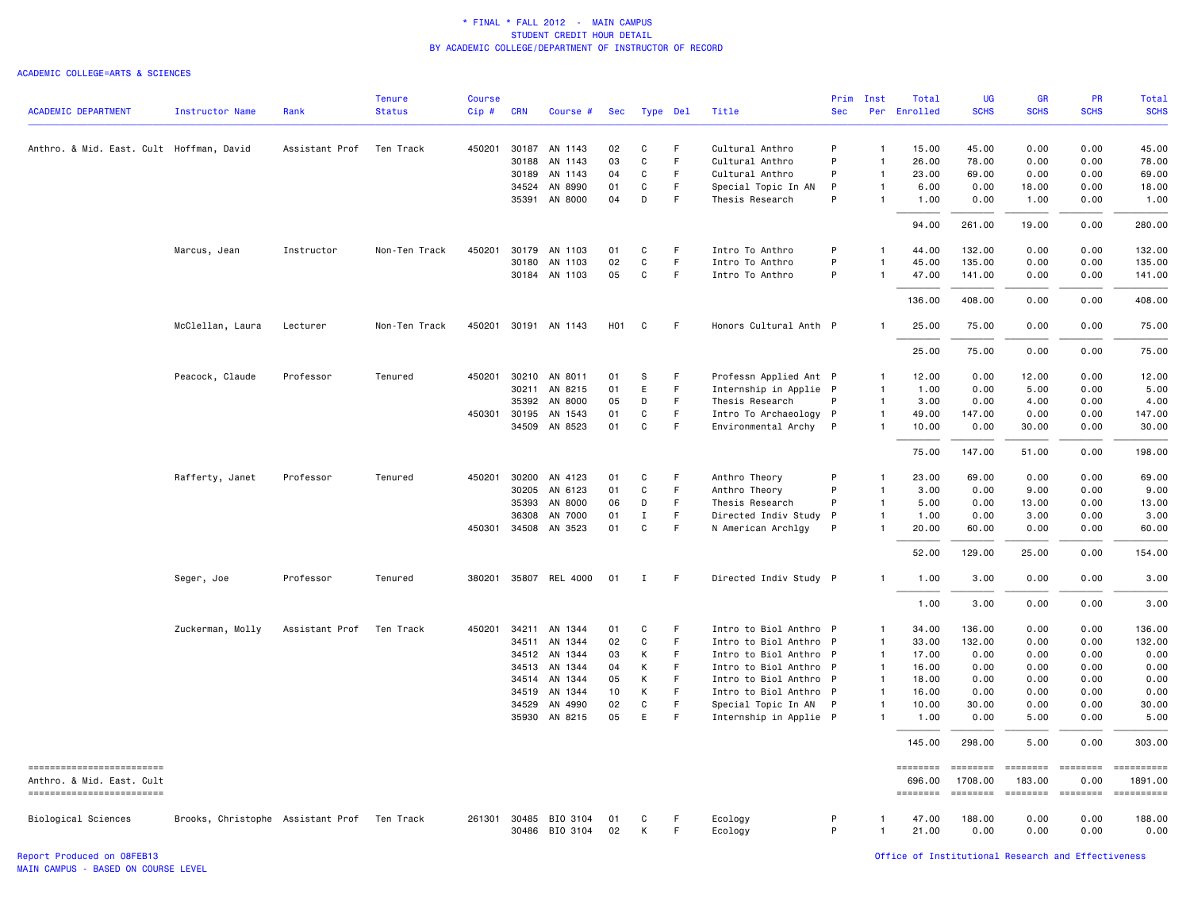#### ACADEMIC COLLEGE=ARTS & SCIENCES

| <b>ACADEMIC DEPARTMENT</b>                              | <b>Instructor Name</b>                      | Rank           | <b>Tenure</b><br><b>Status</b> | <b>Course</b><br>Cip# | <b>CRN</b>   | Course #              | Sec |              | Type Del | Title                  | Prim<br><b>Sec</b> | Inst           | Total<br>Per Enrolled                                                                                                                                                                                                                                                                                                                                                                                                                                                                  | <b>UG</b><br><b>SCHS</b>                                                                                                                                                                                                                                                                                                                                                                                                                                                               | <b>GR</b><br><b>SCHS</b>                                                                                                                                                                                                                                                                                                                                                                                                                                                                         | PR<br><b>SCHS</b>                                                                                                                                                                                                                                                                                                                                                                                                                                                                      | <b>Total</b><br><b>SCHS</b> |
|---------------------------------------------------------|---------------------------------------------|----------------|--------------------------------|-----------------------|--------------|-----------------------|-----|--------------|----------|------------------------|--------------------|----------------|----------------------------------------------------------------------------------------------------------------------------------------------------------------------------------------------------------------------------------------------------------------------------------------------------------------------------------------------------------------------------------------------------------------------------------------------------------------------------------------|----------------------------------------------------------------------------------------------------------------------------------------------------------------------------------------------------------------------------------------------------------------------------------------------------------------------------------------------------------------------------------------------------------------------------------------------------------------------------------------|--------------------------------------------------------------------------------------------------------------------------------------------------------------------------------------------------------------------------------------------------------------------------------------------------------------------------------------------------------------------------------------------------------------------------------------------------------------------------------------------------|----------------------------------------------------------------------------------------------------------------------------------------------------------------------------------------------------------------------------------------------------------------------------------------------------------------------------------------------------------------------------------------------------------------------------------------------------------------------------------------|-----------------------------|
|                                                         |                                             |                |                                |                       |              |                       |     |              |          |                        |                    |                |                                                                                                                                                                                                                                                                                                                                                                                                                                                                                        |                                                                                                                                                                                                                                                                                                                                                                                                                                                                                        |                                                                                                                                                                                                                                                                                                                                                                                                                                                                                                  |                                                                                                                                                                                                                                                                                                                                                                                                                                                                                        |                             |
| Anthro. & Mid. East. Cult Hoffman, David                |                                             | Assistant Prof | Ten Track                      | 450201                |              | 30187 AN 1143         | 02  | C            | F.       | Cultural Anthro        | P                  | $\mathbf{1}$   | 15.00                                                                                                                                                                                                                                                                                                                                                                                                                                                                                  | 45.00                                                                                                                                                                                                                                                                                                                                                                                                                                                                                  | 0.00                                                                                                                                                                                                                                                                                                                                                                                                                                                                                             | 0.00                                                                                                                                                                                                                                                                                                                                                                                                                                                                                   | 45.00                       |
|                                                         |                                             |                |                                |                       | 30188        | AN 1143               | 03  | C            | F        | Cultural Anthro        | P                  | $\mathbf{1}$   | 26.00                                                                                                                                                                                                                                                                                                                                                                                                                                                                                  | 78.00                                                                                                                                                                                                                                                                                                                                                                                                                                                                                  | 0.00                                                                                                                                                                                                                                                                                                                                                                                                                                                                                             | 0.00                                                                                                                                                                                                                                                                                                                                                                                                                                                                                   | 78.00                       |
|                                                         |                                             |                |                                |                       | 30189        | AN 1143               | 04  | C            | F        | Cultural Anthro        | P                  | 1              | 23.00                                                                                                                                                                                                                                                                                                                                                                                                                                                                                  | 69.00                                                                                                                                                                                                                                                                                                                                                                                                                                                                                  | 0.00                                                                                                                                                                                                                                                                                                                                                                                                                                                                                             | 0.00                                                                                                                                                                                                                                                                                                                                                                                                                                                                                   | 69.00                       |
|                                                         |                                             |                |                                |                       | 34524        | AN 8990               | 01  | C            | F        | Special Topic In AN    | P                  | $\mathbf{1}$   | 6.00                                                                                                                                                                                                                                                                                                                                                                                                                                                                                   | 0.00                                                                                                                                                                                                                                                                                                                                                                                                                                                                                   | 18.00                                                                                                                                                                                                                                                                                                                                                                                                                                                                                            | 0.00                                                                                                                                                                                                                                                                                                                                                                                                                                                                                   | 18.00                       |
|                                                         |                                             |                |                                |                       | 35391        | AN 8000               | 04  | D            | F        | Thesis Research        | P                  | $\mathbf{1}$   | 1.00                                                                                                                                                                                                                                                                                                                                                                                                                                                                                   | 0.00                                                                                                                                                                                                                                                                                                                                                                                                                                                                                   | 1.00                                                                                                                                                                                                                                                                                                                                                                                                                                                                                             | 0.00                                                                                                                                                                                                                                                                                                                                                                                                                                                                                   | 1.00                        |
|                                                         |                                             |                |                                |                       |              |                       |     |              |          |                        |                    |                | 94.00                                                                                                                                                                                                                                                                                                                                                                                                                                                                                  | 261.00                                                                                                                                                                                                                                                                                                                                                                                                                                                                                 | 19.00                                                                                                                                                                                                                                                                                                                                                                                                                                                                                            | 0.00                                                                                                                                                                                                                                                                                                                                                                                                                                                                                   | 280.00                      |
|                                                         | Marcus, Jean                                | Instructor     | Non-Ten Track                  | 450201                | 30179        | AN 1103               | 01  | C            | F        | Intro To Anthro        | P                  | $\mathbf{1}$   | 44.00                                                                                                                                                                                                                                                                                                                                                                                                                                                                                  | 132.00                                                                                                                                                                                                                                                                                                                                                                                                                                                                                 | 0.00                                                                                                                                                                                                                                                                                                                                                                                                                                                                                             | 0.00                                                                                                                                                                                                                                                                                                                                                                                                                                                                                   | 132.00                      |
|                                                         |                                             |                |                                |                       | 30180        | AN 1103               | 02  | C            | F.       | Intro To Anthro        | P                  |                | 45.00                                                                                                                                                                                                                                                                                                                                                                                                                                                                                  | 135.00                                                                                                                                                                                                                                                                                                                                                                                                                                                                                 | 0.00                                                                                                                                                                                                                                                                                                                                                                                                                                                                                             | 0.00                                                                                                                                                                                                                                                                                                                                                                                                                                                                                   | 135.00                      |
|                                                         |                                             |                |                                |                       |              | 30184 AN 1103         | 05  | C            | F        | Intro To Anthro        | P                  | $\mathbf{1}$   | 47.00                                                                                                                                                                                                                                                                                                                                                                                                                                                                                  | 141.00                                                                                                                                                                                                                                                                                                                                                                                                                                                                                 | 0.00                                                                                                                                                                                                                                                                                                                                                                                                                                                                                             | 0.00                                                                                                                                                                                                                                                                                                                                                                                                                                                                                   | 141.00                      |
|                                                         |                                             |                |                                |                       |              |                       |     |              |          |                        |                    |                | 136.00                                                                                                                                                                                                                                                                                                                                                                                                                                                                                 | 408.00                                                                                                                                                                                                                                                                                                                                                                                                                                                                                 | 0.00                                                                                                                                                                                                                                                                                                                                                                                                                                                                                             | 0.00                                                                                                                                                                                                                                                                                                                                                                                                                                                                                   | 408.00                      |
|                                                         | McClellan, Laura                            | Lecturer       | Non-Ten Track                  |                       |              | 450201 30191 AN 1143  | H01 | C            | F        | Honors Cultural Anth P |                    | 1              | 25.00                                                                                                                                                                                                                                                                                                                                                                                                                                                                                  | 75.00                                                                                                                                                                                                                                                                                                                                                                                                                                                                                  | 0.00                                                                                                                                                                                                                                                                                                                                                                                                                                                                                             | 0.00                                                                                                                                                                                                                                                                                                                                                                                                                                                                                   | 75.00                       |
|                                                         |                                             |                |                                |                       |              |                       |     |              |          |                        |                    |                | 25.00                                                                                                                                                                                                                                                                                                                                                                                                                                                                                  | 75.00                                                                                                                                                                                                                                                                                                                                                                                                                                                                                  | 0.00                                                                                                                                                                                                                                                                                                                                                                                                                                                                                             | 0.00                                                                                                                                                                                                                                                                                                                                                                                                                                                                                   | 75.00                       |
|                                                         | Peacock, Claude                             | Professor      | Tenured                        | 450201                |              | 30210 AN 8011         | 01  | S            | F        | Professn Applied Ant P |                    | 1              | 12.00                                                                                                                                                                                                                                                                                                                                                                                                                                                                                  | 0.00                                                                                                                                                                                                                                                                                                                                                                                                                                                                                   | 12.00                                                                                                                                                                                                                                                                                                                                                                                                                                                                                            | 0.00                                                                                                                                                                                                                                                                                                                                                                                                                                                                                   | 12.00                       |
|                                                         |                                             |                |                                |                       | 30211        | AN 8215               | 01  | E            | F        | Internship in Applie P |                    | $\mathbf{1}$   | 1.00                                                                                                                                                                                                                                                                                                                                                                                                                                                                                   | 0.00                                                                                                                                                                                                                                                                                                                                                                                                                                                                                   | 5.00                                                                                                                                                                                                                                                                                                                                                                                                                                                                                             | 0.00                                                                                                                                                                                                                                                                                                                                                                                                                                                                                   | 5.00                        |
|                                                         |                                             |                |                                |                       | 35392        | AN 8000               | 05  | D            | F.       | Thesis Research        | P                  | $\mathbf{1}$   | 3.00                                                                                                                                                                                                                                                                                                                                                                                                                                                                                   | 0.00                                                                                                                                                                                                                                                                                                                                                                                                                                                                                   | 4.00                                                                                                                                                                                                                                                                                                                                                                                                                                                                                             | 0.00                                                                                                                                                                                                                                                                                                                                                                                                                                                                                   | 4.00                        |
|                                                         |                                             |                |                                |                       | 450301 30195 | AN 1543               | 01  | C            | F        | Intro To Archaeology P |                    | $\mathbf{1}$   | 49.00                                                                                                                                                                                                                                                                                                                                                                                                                                                                                  | 147.00                                                                                                                                                                                                                                                                                                                                                                                                                                                                                 | 0.00                                                                                                                                                                                                                                                                                                                                                                                                                                                                                             | 0.00                                                                                                                                                                                                                                                                                                                                                                                                                                                                                   | 147.00                      |
|                                                         |                                             |                |                                |                       |              | 34509 AN 8523         | 01  | $\mathtt{C}$ | F.       | Environmental Archy P  |                    | $\mathbf{1}$   | 10.00                                                                                                                                                                                                                                                                                                                                                                                                                                                                                  | 0.00                                                                                                                                                                                                                                                                                                                                                                                                                                                                                   | 30.00                                                                                                                                                                                                                                                                                                                                                                                                                                                                                            | 0.00                                                                                                                                                                                                                                                                                                                                                                                                                                                                                   | 30.00                       |
|                                                         |                                             |                |                                |                       |              |                       |     |              |          |                        |                    |                | 75.00                                                                                                                                                                                                                                                                                                                                                                                                                                                                                  | 147.00                                                                                                                                                                                                                                                                                                                                                                                                                                                                                 | 51.00                                                                                                                                                                                                                                                                                                                                                                                                                                                                                            | 0.00                                                                                                                                                                                                                                                                                                                                                                                                                                                                                   | 198.00                      |
|                                                         | Rafferty, Janet                             | Professor      | Tenured                        |                       | 450201 30200 | AN 4123               | 01  | C            | F        | Anthro Theory          | P                  | $\mathbf{1}$   | 23.00                                                                                                                                                                                                                                                                                                                                                                                                                                                                                  | 69.00                                                                                                                                                                                                                                                                                                                                                                                                                                                                                  | 0.00                                                                                                                                                                                                                                                                                                                                                                                                                                                                                             | 0.00                                                                                                                                                                                                                                                                                                                                                                                                                                                                                   | 69.00                       |
|                                                         |                                             |                |                                |                       | 30205        | AN 6123               | 01  | $\mathtt{C}$ | F        | Anthro Theory          | P                  | $\mathbf{1}$   | 3.00                                                                                                                                                                                                                                                                                                                                                                                                                                                                                   | 0.00                                                                                                                                                                                                                                                                                                                                                                                                                                                                                   | 9.00                                                                                                                                                                                                                                                                                                                                                                                                                                                                                             | 0.00                                                                                                                                                                                                                                                                                                                                                                                                                                                                                   | 9.00                        |
|                                                         |                                             |                |                                |                       | 35393        | AN 8000               | 06  | D            | F        | Thesis Research        | P                  | $\mathbf{1}$   | 5.00                                                                                                                                                                                                                                                                                                                                                                                                                                                                                   | 0.00                                                                                                                                                                                                                                                                                                                                                                                                                                                                                   | 13.00                                                                                                                                                                                                                                                                                                                                                                                                                                                                                            | 0.00                                                                                                                                                                                                                                                                                                                                                                                                                                                                                   | 13.00                       |
|                                                         |                                             |                |                                |                       | 36308        | AN 7000               | 01  | $\;$ I       | F        | Directed Indiv Study   | P                  | 1              | 1.00                                                                                                                                                                                                                                                                                                                                                                                                                                                                                   | 0.00                                                                                                                                                                                                                                                                                                                                                                                                                                                                                   | 3.00                                                                                                                                                                                                                                                                                                                                                                                                                                                                                             | 0.00                                                                                                                                                                                                                                                                                                                                                                                                                                                                                   | 3.00                        |
|                                                         |                                             |                |                                | 450301 34508          |              | AN 3523               | 01  | $\mathbf c$  | F        | N American Archlgy     | P                  | $\mathbf{1}$   | 20.00                                                                                                                                                                                                                                                                                                                                                                                                                                                                                  | 60.00                                                                                                                                                                                                                                                                                                                                                                                                                                                                                  | 0.00                                                                                                                                                                                                                                                                                                                                                                                                                                                                                             | 0.00                                                                                                                                                                                                                                                                                                                                                                                                                                                                                   | 60.00                       |
|                                                         |                                             |                |                                |                       |              |                       |     |              |          |                        |                    |                | 52.00                                                                                                                                                                                                                                                                                                                                                                                                                                                                                  | 129.00                                                                                                                                                                                                                                                                                                                                                                                                                                                                                 | 25.00                                                                                                                                                                                                                                                                                                                                                                                                                                                                                            | 0.00                                                                                                                                                                                                                                                                                                                                                                                                                                                                                   | 154.00                      |
|                                                         | Seger, Joe                                  | Professor      | Tenured                        |                       |              | 380201 35807 REL 4000 | 01  | Ι.           | F.       | Directed Indiv Study P |                    | $\mathbf{1}$   | 1.00                                                                                                                                                                                                                                                                                                                                                                                                                                                                                   | 3.00                                                                                                                                                                                                                                                                                                                                                                                                                                                                                   | 0.00                                                                                                                                                                                                                                                                                                                                                                                                                                                                                             | 0.00                                                                                                                                                                                                                                                                                                                                                                                                                                                                                   | 3.00                        |
|                                                         |                                             |                |                                |                       |              |                       |     |              |          |                        |                    |                | 1.00                                                                                                                                                                                                                                                                                                                                                                                                                                                                                   | 3.00                                                                                                                                                                                                                                                                                                                                                                                                                                                                                   | 0.00                                                                                                                                                                                                                                                                                                                                                                                                                                                                                             | 0.00                                                                                                                                                                                                                                                                                                                                                                                                                                                                                   | 3.00                        |
|                                                         | Zuckerman, Molly                            | Assistant Prof | Ten Track                      | 450201                | 34211        | AN 1344               | 01  | C            | F        | Intro to Biol Anthro P |                    | $\mathbf{1}$   | 34.00                                                                                                                                                                                                                                                                                                                                                                                                                                                                                  | 136.00                                                                                                                                                                                                                                                                                                                                                                                                                                                                                 | 0.00                                                                                                                                                                                                                                                                                                                                                                                                                                                                                             | 0.00                                                                                                                                                                                                                                                                                                                                                                                                                                                                                   | 136.00                      |
|                                                         |                                             |                |                                |                       | 34511        | AN 1344               | 02  | C            | F.       | Intro to Biol Anthro P |                    | $\mathbf{1}$   | 33.00                                                                                                                                                                                                                                                                                                                                                                                                                                                                                  | 132.00                                                                                                                                                                                                                                                                                                                                                                                                                                                                                 | 0.00                                                                                                                                                                                                                                                                                                                                                                                                                                                                                             | 0.00                                                                                                                                                                                                                                                                                                                                                                                                                                                                                   | 132.00                      |
|                                                         |                                             |                |                                |                       |              | 34512 AN 1344         | 03  | К            | F        | Intro to Biol Anthro P |                    | $\mathbf{1}$   | 17.00                                                                                                                                                                                                                                                                                                                                                                                                                                                                                  | 0.00                                                                                                                                                                                                                                                                                                                                                                                                                                                                                   | 0.00                                                                                                                                                                                                                                                                                                                                                                                                                                                                                             | 0.00                                                                                                                                                                                                                                                                                                                                                                                                                                                                                   | 0.00                        |
|                                                         |                                             |                |                                |                       | 34513        | AN 1344               | 04  | К            | F.       | Intro to Biol Anthro P |                    | $\overline{1}$ | 16.00                                                                                                                                                                                                                                                                                                                                                                                                                                                                                  | 0.00                                                                                                                                                                                                                                                                                                                                                                                                                                                                                   | 0.00                                                                                                                                                                                                                                                                                                                                                                                                                                                                                             | 0.00                                                                                                                                                                                                                                                                                                                                                                                                                                                                                   | 0.00                        |
|                                                         |                                             |                |                                |                       | 34514        | AN 1344               | 05  | К            | F        | Intro to Biol Anthro P |                    | $\mathbf{1}$   | 18.00                                                                                                                                                                                                                                                                                                                                                                                                                                                                                  | 0.00                                                                                                                                                                                                                                                                                                                                                                                                                                                                                   | 0.00                                                                                                                                                                                                                                                                                                                                                                                                                                                                                             | 0.00                                                                                                                                                                                                                                                                                                                                                                                                                                                                                   | 0.00                        |
|                                                         |                                             |                |                                |                       | 34519        | AN 1344               | 10  | К            | F.       | Intro to Biol Anthro P |                    | $\mathbf{1}$   | 16.00                                                                                                                                                                                                                                                                                                                                                                                                                                                                                  | 0.00                                                                                                                                                                                                                                                                                                                                                                                                                                                                                   | 0.00                                                                                                                                                                                                                                                                                                                                                                                                                                                                                             | 0.00                                                                                                                                                                                                                                                                                                                                                                                                                                                                                   | 0.00                        |
|                                                         |                                             |                |                                |                       | 34529        | AN 4990               | 02  | C            | F        | Special Topic In AN P  |                    | $\mathbf{1}$   | 10.00                                                                                                                                                                                                                                                                                                                                                                                                                                                                                  | 30.00                                                                                                                                                                                                                                                                                                                                                                                                                                                                                  | 0.00                                                                                                                                                                                                                                                                                                                                                                                                                                                                                             | 0.00                                                                                                                                                                                                                                                                                                                                                                                                                                                                                   | 30.00                       |
|                                                         |                                             |                |                                |                       |              | 35930 AN 8215         | 05  | E            | F.       | Internship in Applie P |                    | $\mathbf{1}$   | 1.00                                                                                                                                                                                                                                                                                                                                                                                                                                                                                   | 0.00                                                                                                                                                                                                                                                                                                                                                                                                                                                                                   | 5.00                                                                                                                                                                                                                                                                                                                                                                                                                                                                                             | 0.00                                                                                                                                                                                                                                                                                                                                                                                                                                                                                   | 5.00                        |
|                                                         |                                             |                |                                |                       |              |                       |     |              |          |                        |                    |                | 145.00                                                                                                                                                                                                                                                                                                                                                                                                                                                                                 | 298.00                                                                                                                                                                                                                                                                                                                                                                                                                                                                                 | 5.00                                                                                                                                                                                                                                                                                                                                                                                                                                                                                             | 0.00                                                                                                                                                                                                                                                                                                                                                                                                                                                                                   | 303.00                      |
| ==========================<br>Anthro. & Mid. East. Cult |                                             |                |                                |                       |              |                       |     |              |          |                        |                    |                | ========<br>696.00                                                                                                                                                                                                                                                                                                                                                                                                                                                                     | $= 222222222$<br>1708.00                                                                                                                                                                                                                                                                                                                                                                                                                                                               | $\begin{array}{cccccccccc} \multicolumn{2}{c}{} & \multicolumn{2}{c}{} & \multicolumn{2}{c}{} & \multicolumn{2}{c}{} & \multicolumn{2}{c}{} & \multicolumn{2}{c}{} & \multicolumn{2}{c}{} & \multicolumn{2}{c}{} & \multicolumn{2}{c}{} & \multicolumn{2}{c}{} & \multicolumn{2}{c}{} & \multicolumn{2}{c}{} & \multicolumn{2}{c}{} & \multicolumn{2}{c}{} & \multicolumn{2}{c}{} & \multicolumn{2}{c}{} & \multicolumn{2}{c}{} & \multicolumn{2}{c}{} & \multicolumn{2}{c}{} & \mult$<br>183.00 | $= 222222222$<br>0.00                                                                                                                                                                                                                                                                                                                                                                                                                                                                  | ==========<br>1891.00       |
| -------------------------                               |                                             |                |                                |                       |              |                       |     |              |          |                        |                    |                | $\begin{array}{cccccccccc} \multicolumn{2}{c}{} & \multicolumn{2}{c}{} & \multicolumn{2}{c}{} & \multicolumn{2}{c}{} & \multicolumn{2}{c}{} & \multicolumn{2}{c}{} & \multicolumn{2}{c}{} & \multicolumn{2}{c}{} & \multicolumn{2}{c}{} & \multicolumn{2}{c}{} & \multicolumn{2}{c}{} & \multicolumn{2}{c}{} & \multicolumn{2}{c}{} & \multicolumn{2}{c}{} & \multicolumn{2}{c}{} & \multicolumn{2}{c}{} & \multicolumn{2}{c}{} & \multicolumn{2}{c}{} & \multicolumn{2}{c}{} & \mult$ | $\begin{array}{cccccccccc} \multicolumn{2}{c}{} & \multicolumn{2}{c}{} & \multicolumn{2}{c}{} & \multicolumn{2}{c}{} & \multicolumn{2}{c}{} & \multicolumn{2}{c}{} & \multicolumn{2}{c}{} & \multicolumn{2}{c}{} & \multicolumn{2}{c}{} & \multicolumn{2}{c}{} & \multicolumn{2}{c}{} & \multicolumn{2}{c}{} & \multicolumn{2}{c}{} & \multicolumn{2}{c}{} & \multicolumn{2}{c}{} & \multicolumn{2}{c}{} & \multicolumn{2}{c}{} & \multicolumn{2}{c}{} & \multicolumn{2}{c}{} & \mult$ | $\begin{array}{cccccccccc} \multicolumn{2}{c}{} & \multicolumn{2}{c}{} & \multicolumn{2}{c}{} & \multicolumn{2}{c}{} & \multicolumn{2}{c}{} & \multicolumn{2}{c}{} & \multicolumn{2}{c}{} & \multicolumn{2}{c}{} & \multicolumn{2}{c}{} & \multicolumn{2}{c}{} & \multicolumn{2}{c}{} & \multicolumn{2}{c}{} & \multicolumn{2}{c}{} & \multicolumn{2}{c}{} & \multicolumn{2}{c}{} & \multicolumn{2}{c}{} & \multicolumn{2}{c}{} & \multicolumn{2}{c}{} & \multicolumn{2}{c}{} & \mult$           | $\begin{array}{cccccccccc} \multicolumn{2}{c}{} & \multicolumn{2}{c}{} & \multicolumn{2}{c}{} & \multicolumn{2}{c}{} & \multicolumn{2}{c}{} & \multicolumn{2}{c}{} & \multicolumn{2}{c}{} & \multicolumn{2}{c}{} & \multicolumn{2}{c}{} & \multicolumn{2}{c}{} & \multicolumn{2}{c}{} & \multicolumn{2}{c}{} & \multicolumn{2}{c}{} & \multicolumn{2}{c}{} & \multicolumn{2}{c}{} & \multicolumn{2}{c}{} & \multicolumn{2}{c}{} & \multicolumn{2}{c}{} & \multicolumn{2}{c}{} & \mult$ | ==========                  |
| Biological Sciences                                     | Brooks, Christophe Assistant Prof Ten Track |                |                                |                       |              | 261301 30485 BIO 3104 | 01  | C            | F        | Ecology                | P                  | 1              | 47.00                                                                                                                                                                                                                                                                                                                                                                                                                                                                                  | 188.00                                                                                                                                                                                                                                                                                                                                                                                                                                                                                 | 0.00                                                                                                                                                                                                                                                                                                                                                                                                                                                                                             | 0.00                                                                                                                                                                                                                                                                                                                                                                                                                                                                                   | 188.00                      |
|                                                         |                                             |                |                                |                       |              | 30486 BIO 3104        | 02  | K            | F.       | Ecology                | P                  | $\mathbf{1}$   | 21.00                                                                                                                                                                                                                                                                                                                                                                                                                                                                                  | 0.00                                                                                                                                                                                                                                                                                                                                                                                                                                                                                   | 0.00                                                                                                                                                                                                                                                                                                                                                                                                                                                                                             | 0.00                                                                                                                                                                                                                                                                                                                                                                                                                                                                                   | 0.00                        |

MAIN CAMPUS - BASED ON COURSE LEVEL

Report Produced on 08FEB13 Office of Institutional Research and Effectiveness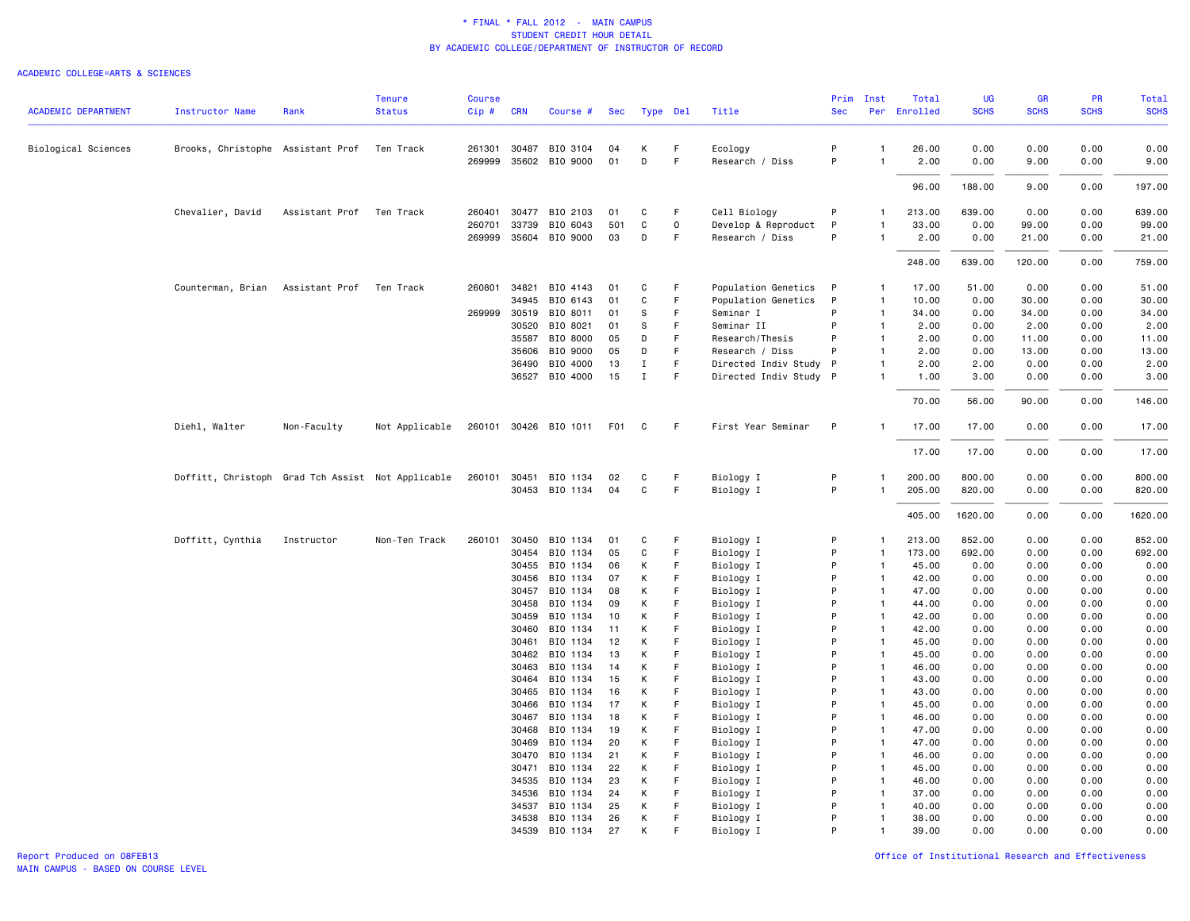|                            |                                                   |                | <b>Tenure</b>  | <b>Course</b> |            |                       |                  |          |              |                        | Prim       | Inst           | Total        | <b>UG</b>   | <b>GR</b>   | PR          | Total       |
|----------------------------|---------------------------------------------------|----------------|----------------|---------------|------------|-----------------------|------------------|----------|--------------|------------------------|------------|----------------|--------------|-------------|-------------|-------------|-------------|
| <b>ACADEMIC DEPARTMENT</b> | <b>Instructor Name</b>                            | Rank           | <b>Status</b>  | Cip#          | <b>CRN</b> | Course #              | Sec              | Type Del |              | Title                  | <b>Sec</b> |                | Per Enrolled | <b>SCHS</b> | <b>SCHS</b> | <b>SCHS</b> | <b>SCHS</b> |
| Biological Sciences        | Brooks, Christophe Assistant Prof                 |                | Ten Track      |               |            | 261301 30487 BIO 3104 | 04               | К        | F            | Ecology                | P          | $\mathbf{1}$   | 26.00        | 0.00        | 0.00        | 0.00        | 0.00        |
|                            |                                                   |                |                |               |            | 269999 35602 BIO 9000 | 01               | D        | F            | Research / Diss        | P          | $\overline{1}$ | 2.00         | 0.00        | 9.00        | 0.00        | 9.00        |
|                            |                                                   |                |                |               |            |                       |                  |          |              |                        |            |                | 96.00        | 188.00      | 9.00        | 0.00        | 197.00      |
|                            | Chevalier, David                                  | Assistant Prof | Ten Track      | 260401        |            | 30477 BIO 2103        | 01               | C        | F            | Cell Biology           | P          | $\mathbf{1}$   | 213.00       | 639.00      | 0.00        | 0.00        | 639.00      |
|                            |                                                   |                |                | 260701        | 33739      | BIO 6043              | 501              | C        | $\mathsf{o}$ | Develop & Reproduct    | P          | $\mathbf{1}$   | 33.00        | 0.00        | 99.00       | 0.00        | 99.00       |
|                            |                                                   |                |                |               |            | 269999 35604 BIO 9000 | 03               | D        | F            | Research / Diss        | P          | $\mathbf{1}$   | 2.00         | 0.00        | 21.00       | 0.00        | 21.00       |
|                            |                                                   |                |                |               |            |                       |                  |          |              |                        |            |                | 248.00       | 639.00      | 120.00      | 0.00        | 759.00      |
|                            | Counterman, Brian                                 | Assistant Prof | Ten Track      | 260801        | 34821      | BIO 4143              | 01               | C        | F            | Population Genetics    | P          | $\mathbf{1}$   | 17.00        | 51.00       | 0.00        | 0.00        | 51.00       |
|                            |                                                   |                |                |               | 34945      | BIO 6143              | 01               | C        | F.           | Population Genetics    | P          | $\mathbf{1}$   | 10.00        | 0.00        | 30.00       | 0.00        | 30.00       |
|                            |                                                   |                |                | 269999        | 30519      | BIO 8011              | 01               | S        | F            | Seminar I              | P          | $\mathbf{1}$   | 34.00        | 0.00        | 34.00       | 0.00        | 34.00       |
|                            |                                                   |                |                |               | 30520      | BIO 8021              | 01               | S        | F.           | Seminar II             | P          | $\mathbf{1}$   | 2.00         | 0.00        | 2.00        | 0.00        | 2.00        |
|                            |                                                   |                |                |               | 35587      | BIO 8000              | 05               | D        | F            | Research/Thesis        | P          | $\mathbf{1}$   | 2.00         | 0.00        | 11.00       | 0.00        | 11.00       |
|                            |                                                   |                |                |               | 35606      | BIO 9000              | 05               | D        | F            | Research / Diss        | P          | $\mathbf{1}$   | 2.00         | 0.00        | 13.00       | 0.00        | 13.00       |
|                            |                                                   |                |                |               | 36490      | BIO 4000              | 13               | Ι.       | $\mathsf F$  | Directed Indiv Study P |            | $\mathbf{1}$   | 2.00         | 2.00        | 0.00        | 0.00        | 2.00        |
|                            |                                                   |                |                |               |            | 36527 BIO 4000        | 15               | Ι.       | F            | Directed Indiv Study P |            | -1             | 1.00         | 3.00        | 0.00        | 0.00        | 3.00        |
|                            |                                                   |                |                |               |            |                       |                  |          |              |                        |            |                | 70.00        | 56.00       | 90.00       | 0.00        | 146.00      |
|                            | Diehl, Walter                                     | Non-Faculty    | Not Applicable |               |            | 260101 30426 BIO 1011 | F <sub>0</sub> 1 | C        | F.           | First Year Seminar     | P          | $\mathbf{1}$   | 17.00        | 17.00       | 0.00        | 0.00        | 17.00       |
|                            |                                                   |                |                |               |            |                       |                  |          |              |                        |            |                | 17.00        | 17.00       | 0.00        | 0.00        | 17.00       |
|                            | Doffitt, Christoph Grad Tch Assist Not Applicable |                |                | 260101        |            | 30451 BIO 1134        | 02               | C        | F            | Biology I              | P          | $\mathbf{1}$   | 200.00       | 800.00      | 0.00        | 0.00        | 800.00      |
|                            |                                                   |                |                |               |            | 30453 BIO 1134        | 04               | C        | F            | Biology I              | P          | $\overline{1}$ | 205.00       | 820.00      | 0.00        | 0.00        | 820.00      |
|                            |                                                   |                |                |               |            |                       |                  |          |              |                        |            |                | 405.00       | 1620.00     | 0.00        | 0.00        | 1620.00     |
|                            | Doffitt, Cynthia                                  | Instructor     | Non-Ten Track  | 260101        | 30450      | BIO 1134              | 01               | C        | F            | Biology I              | P          | $\mathbf{1}$   | 213.00       | 852.00      | 0.00        | 0.00        | 852.00      |
|                            |                                                   |                |                |               | 30454      | BIO 1134              | 05               | C        | E            | Biology I              | P          | $\mathbf{1}$   | 173.00       | 692.00      | 0.00        | 0.00        | 692.00      |
|                            |                                                   |                |                |               | 30455      | BIO 1134              | 06               | К        | F            | Biology I              | P          | $\overline{1}$ | 45.00        | 0.00        | 0.00        | 0.00        | 0.00        |
|                            |                                                   |                |                |               | 30456      | BIO 1134              | 07               | К        | F            | Biology I              | P          | $\overline{1}$ | 42.00        | 0.00        | 0.00        | 0.00        | 0.00        |
|                            |                                                   |                |                |               | 30457      | BIO 1134              | 08               | К        | F            | Biology I              | P          | $\overline{1}$ | 47.00        | 0.00        | 0.00        | 0.00        | 0.00        |
|                            |                                                   |                |                |               | 30458      | BIO 1134              | 09               | К        | F            | Biology I              | P          | $\overline{1}$ | 44.00        | 0.00        | 0.00        | 0.00        | 0.00        |
|                            |                                                   |                |                |               | 30459      | BIO 1134              | 10               | К        | F            | Biology I              | P          | $\mathbf{1}$   | 42.00        | 0.00        | 0.00        | 0.00        | 0.00        |
|                            |                                                   |                |                |               | 30460      | BIO 1134              | 11               | К        | F            | Biology I              | P          | $\overline{1}$ | 42.00        | 0.00        | 0.00        | 0.00        | 0.00        |
|                            |                                                   |                |                |               | 30461      | BIO 1134              | 12               | К        | F            | Biology I              | P          | $\mathbf{1}$   | 45.00        | 0.00        | 0.00        | 0.00        | 0.00        |
|                            |                                                   |                |                |               | 30462      | BIO 1134              | 13               | К        | F            | Biology I              | P          | $\overline{1}$ | 45.00        | 0.00        | 0.00        | 0.00        | 0.00        |
|                            |                                                   |                |                |               | 30463      | BIO 1134              | 14               | К        | E            | Biology I              | P          | $\mathbf{1}$   | 46.00        | 0.00        | 0.00        | 0.00        | 0.00        |
|                            |                                                   |                |                |               | 30464      | BIO 1134              | 15               | К        | F            | Biology I              | P          | $\overline{1}$ | 43.00        | 0.00        | 0.00        | 0.00        | 0.00        |
|                            |                                                   |                |                |               | 30465      | BIO 1134              | 16               | К        | F            | Biology I              | P          | $\mathbf{1}$   | 43.00        | 0.00        | 0.00        | 0.00        | 0.00        |
|                            |                                                   |                |                |               | 30466      | BIO 1134              | 17               | К        | F            | Biology I              | P          | $\overline{1}$ | 45.00        | 0.00        | 0.00        | 0.00        | 0.00        |
|                            |                                                   |                |                |               | 30467      | BIO 1134              | 18               | К        | F            | Biology I              | P          | $\overline{1}$ | 46.00        | 0.00        | 0.00        | 0.00        | 0.00        |
|                            |                                                   |                |                |               | 30468      | BIO 1134              | 19               | К        | F            | Biology I              | P          | $\overline{1}$ | 47.00        | 0.00        | 0.00        | 0.00        | 0.00        |
|                            |                                                   |                |                |               | 30469      | BIO 1134              | 20               | К        | F            | Biology I              | P          | $\overline{1}$ | 47.00        | 0.00        | 0.00        | 0.00        | 0.00        |
|                            |                                                   |                |                |               | 30470      | BIO 1134              | 21               | К        | F            | Biology I              | P          | $\overline{1}$ | 46.00        | 0.00        | 0.00        | 0.00        | 0.00        |
|                            |                                                   |                |                |               | 30471      | BIO 1134              | 22               | К        | F            | Biology I              | P          | $\overline{1}$ | 45.00        | 0.00        | 0.00        | 0.00        | 0.00        |
|                            |                                                   |                |                |               | 34535      | BIO 1134              | 23               | К        | F            | Biology I              | P          | $\overline{1}$ | 46.00        | 0.00        | 0.00        | 0.00        | 0.00        |
|                            |                                                   |                |                |               | 34536      | BIO 1134              | 24               | К        | F            | Biology I              | P          | $\overline{1}$ | 37.00        | 0.00        | 0.00        | 0.00        | 0.00        |
|                            |                                                   |                |                |               | 34537      | BIO 1134              | 25               | К        | F            | Biology I              | P          | $\mathbf{1}$   | 40.00        | 0.00        | 0.00        | 0.00        | 0.00        |
|                            |                                                   |                |                |               | 34538      | BIO 1134              | 26               | К        | F            | Biology I              | P          | $\mathbf{1}$   | 38.00        | 0.00        | 0.00        | 0.00        | 0.00        |
|                            |                                                   |                |                |               |            | 34539 BIO 1134        | 27               | K        | F            | Biology I              | P          | $\mathbf{1}$   | 39.00        | 0.00        | 0.00        | 0.00        | 0.00        |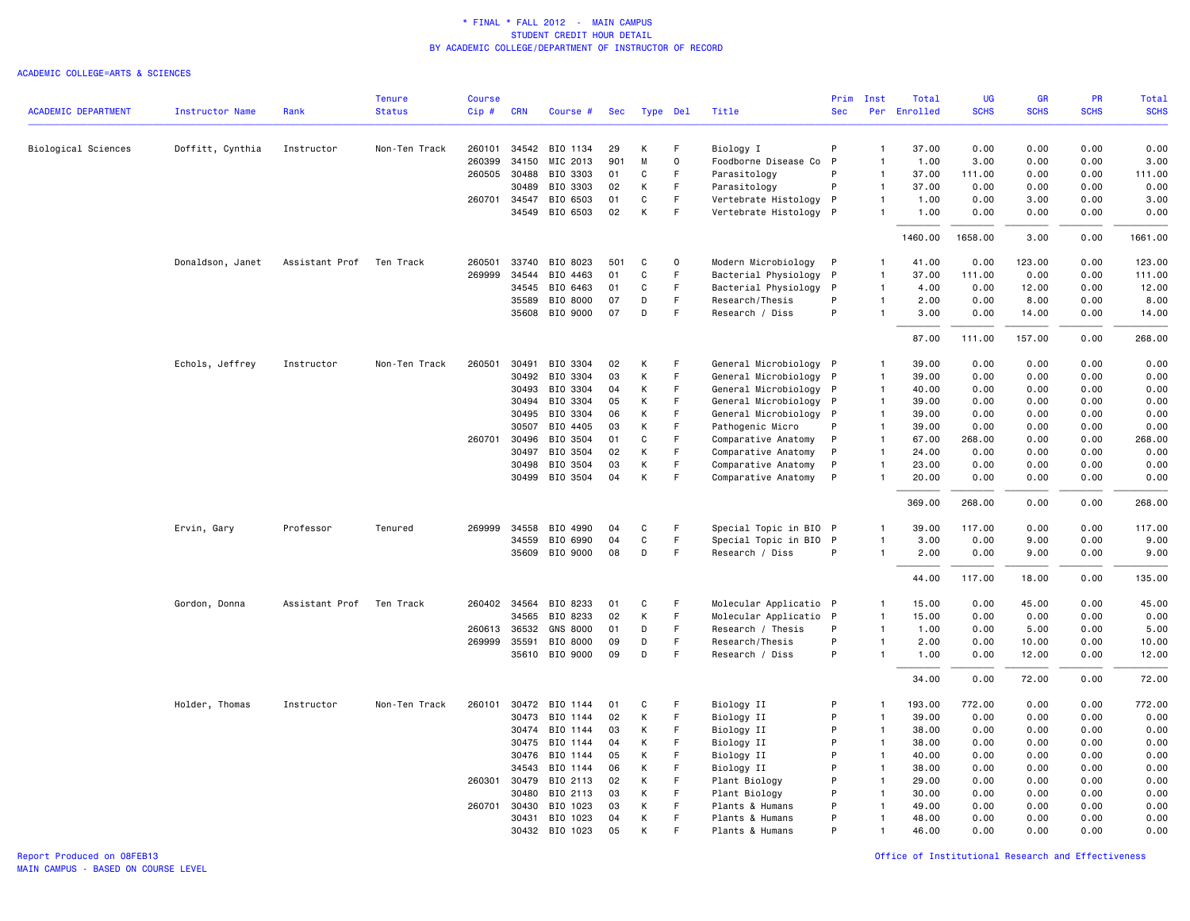|                            |                        |                | <b>Tenure</b> | <b>Course</b> |              |                 |     |          |             |                                   | Prim         | Inst           | Total        | <b>UG</b>   | <b>GR</b>   | <b>PR</b>   | Total       |
|----------------------------|------------------------|----------------|---------------|---------------|--------------|-----------------|-----|----------|-------------|-----------------------------------|--------------|----------------|--------------|-------------|-------------|-------------|-------------|
| <b>ACADEMIC DEPARTMENT</b> | <b>Instructor Name</b> | Rank           | <b>Status</b> | Cip#          | <b>CRN</b>   | Course #        | Sec | Type Del |             | Title                             | <b>Sec</b>   |                | Per Enrolled | <b>SCHS</b> | <b>SCHS</b> | <b>SCHS</b> | <b>SCHS</b> |
|                            |                        | Instructor     | Non-Ten Track | 260101        | 34542        | BIO 1134        | 29  | К        | F           |                                   | P            | $\overline{1}$ | 37.00        | 0.00        | 0.00        | 0.00        | 0.00        |
| Biological Sciences        | Doffitt, Cynthia       |                |               | 260399        | 34150        | MIC 2013        | 901 | M        | 0           | Biology I<br>Foodborne Disease Co | $\mathsf{P}$ | $\mathbf{1}$   | 1.00         | 3.00        | 0.00        | 0.00        | 3.00        |
|                            |                        |                |               |               | 260505 30488 | BIO 3303        | 01  | C        | F           | Parasitology                      | P            | $\overline{1}$ | 37.00        | 111.00      | 0.00        | 0.00        | 111.00      |
|                            |                        |                |               |               | 30489        | BIO 3303        | 02  | К        | F           | Parasitology                      | P            | $\mathbf{1}$   | 37.00        | 0.00        | 0.00        | 0.00        | 0.00        |
|                            |                        |                |               |               | 260701 34547 | BIO 6503        | 01  | C        | $\mathsf F$ | Vertebrate Histology              | $\mathsf{P}$ | $\mathbf{1}$   | 1.00         | 0.00        | 3.00        | 0.00        | 3.00        |
|                            |                        |                |               |               | 34549        | BIO 6503        | 02  | К        | F           | Vertebrate Histology P            |              | -1             | 1.00         | 0.00        | 0.00        | 0.00        | 0.00        |
|                            |                        |                |               |               |              |                 |     |          |             |                                   |              |                | 1460.00      | 1658.00     | 3.00        | 0.00        | 1661.00     |
|                            | Donaldson, Janet       | Assistant Prof | Ten Track     | 260501        | 33740        | BIO 8023        | 501 | C        | $\Omega$    | Modern Microbiology               | - P          | $\mathbf{1}$   | 41.00        | 0.00        | 123.00      | 0.00        | 123.00      |
|                            |                        |                |               | 269999        | 34544        | BIO 4463        | 01  | C        | F           | Bacterial Physiology P            |              | $\mathbf{1}$   | 37.00        | 111.00      | 0.00        | 0.00        | 111.00      |
|                            |                        |                |               |               | 34545        | BIO 6463        | 01  | C        | F           | Bacterial Physiology              | - P          | $\mathbf{1}$   | 4.00         | 0.00        | 12.00       | 0.00        | 12.00       |
|                            |                        |                |               |               | 35589        | BIO 8000        | 07  | D        | $\mathsf F$ | Research/Thesis                   | P            | $\mathbf{1}$   | 2.00         | 0.00        | 8.00        | 0.00        | 8.00        |
|                            |                        |                |               |               |              | 35608 BIO 9000  | 07  | D        | F           | Research / Diss                   | P            | $\mathbf{1}$   | 3.00         | 0.00        | 14.00       | 0.00        | 14.00       |
|                            |                        |                |               |               |              |                 |     |          |             |                                   |              |                | 87.00        | 111.00      | 157.00      | 0.00        | 268.00      |
|                            | Echols, Jeffrey        | Instructor     | Non-Ten Track | 260501        | 30491        | BIO 3304        | 02  | К        | F           | General Microbiology P            |              | $\mathbf{1}$   | 39.00        | 0.00        | 0.00        | 0.00        | 0.00        |
|                            |                        |                |               |               | 30492        | BIO 3304        | 03  | К        | F.          | General Microbiology P            |              | $\overline{1}$ | 39.00        | 0.00        | 0.00        | 0.00        | 0.00        |
|                            |                        |                |               |               | 30493        | BIO 3304        | 04  | К        | F           | General Microbiology P            |              | $\overline{1}$ | 40.00        | 0.00        | 0.00        | 0.00        | 0.00        |
|                            |                        |                |               |               | 30494        | BIO 3304        | 05  | К        | F           | General Microbiology P            |              | $\overline{1}$ | 39.00        | 0.00        | 0.00        | 0.00        | 0.00        |
|                            |                        |                |               |               | 30495        | BIO 3304        | 06  | К        | F           | General Microbiology P            |              | $\overline{1}$ | 39.00        | 0.00        | 0.00        | 0.00        | 0.00        |
|                            |                        |                |               |               | 30507        | BIO 4405        | 03  | К        | $\mathsf F$ | Pathogenic Micro                  | P            | $\overline{1}$ | 39.00        | 0.00        | 0.00        | 0.00        | 0.00        |
|                            |                        |                |               | 260701        | 30496        | BIO 3504        | 01  | C        | F           | Comparative Anatomy               | $\mathsf{P}$ | $\overline{1}$ | 67.00        | 268.00      | 0.00        | 0.00        | 268.00      |
|                            |                        |                |               |               | 30497        | BIO 3504        | 02  | К        | F           | Comparative Anatomy               | P            | $\mathbf{1}$   | 24.00        | 0.00        | 0.00        | 0.00        | 0.00        |
|                            |                        |                |               |               | 30498        | BIO 3504        | 03  | К        | F           | Comparative Anatomy               | P            | $\mathbf{1}$   | 23.00        | 0.00        | 0.00        | 0.00        | 0.00        |
|                            |                        |                |               |               | 30499        | BIO 3504        | 04  | К        | F           | Comparative Anatomy               | P            | $\overline{1}$ | 20.00        | 0.00        | 0.00        | 0.00        | 0.00        |
|                            |                        |                |               |               |              |                 |     |          |             |                                   |              |                | 369.00       | 268.00      | 0.00        | 0.00        | 268.00      |
|                            | Ervin, Gary            | Professor      | Tenured       |               | 269999 34558 | BIO 4990        | 04  | C        | F           | Special Topic in BIO P            |              | $\mathbf{1}$   | 39.00        | 117.00      | 0.00        | 0.00        | 117.00      |
|                            |                        |                |               |               | 34559        | BIO 6990        | 04  | C        | F           | Special Topic in BIO              | $\mathsf{P}$ | $\overline{1}$ | 3.00         | 0.00        | 9.00        | 0.00        | 9.00        |
|                            |                        |                |               |               |              | 35609 BIO 9000  | 08  | D        | F           | Research / Diss                   | P            | $\mathbf{1}$   | 2.00         | 0.00        | 9.00        | 0.00        | 9.00        |
|                            |                        |                |               |               |              |                 |     |          |             |                                   |              |                | 44.00        | 117.00      | 18.00       | 0.00        | 135.00      |
|                            | Gordon, Donna          | Assistant Prof | Ten Track     |               | 260402 34564 | BIO 8233        | 01  | C        | F           | Molecular Applicatio P            |              | $\mathbf{1}$   | 15.00        | 0.00        | 45.00       | 0.00        | 45.00       |
|                            |                        |                |               |               | 34565        | BIO 8233        | 02  | К        | F.          | Molecular Applicatio P            |              | $\overline{1}$ | 15.00        | 0.00        | 0.00        | 0.00        | 0.00        |
|                            |                        |                |               |               | 260613 36532 | <b>GNS 8000</b> | 01  | D        | F.          | Research / Thesis                 | P            | $\overline{1}$ | 1.00         | 0.00        | 5.00        | 0.00        | 5.00        |
|                            |                        |                |               |               | 269999 35591 | BIO 8000        | 09  | D        | F           | Research/Thesis                   | P            | $\mathbf{1}$   | 2.00         | 0.00        | 10.00       | 0.00        | 10.00       |
|                            |                        |                |               |               |              | 35610 BIO 9000  | 09  | D        | $\mathsf F$ | Research / Diss                   | P            | $\mathbf{1}$   | 1.00         | 0.00        | 12.00       | 0.00        | 12.00       |
|                            |                        |                |               |               |              |                 |     |          |             |                                   |              |                | 34.00        | 0.00        | 72.00       | 0.00        | 72.00       |
|                            | Holder, Thomas         | Instructor     | Non-Ten Track | 260101        | 30472        | BIO 1144        | 01  | C        | F           | Biology II                        | P            | $\overline{1}$ | 193.00       | 772.00      | 0.00        | 0.00        | 772.00      |
|                            |                        |                |               |               | 30473        | BIO 1144        | 02  | К        | $\mathsf F$ | Biology II                        | P            | $\overline{1}$ | 39.00        | 0.00        | 0.00        | 0.00        | 0.00        |
|                            |                        |                |               |               | 30474        | BIO 1144        | 03  | К        | F           | Biology II                        | P            | $\overline{1}$ | 38.00        | 0.00        | 0.00        | 0.00        | 0.00        |
|                            |                        |                |               |               | 30475        | BIO 1144        | 04  | К        | F           | Biology II                        | P            | $\overline{1}$ | 38.00        | 0.00        | 0.00        | 0.00        | 0.00        |
|                            |                        |                |               |               | 30476        | BIO 1144        | 05  | К        | F           | Biology II                        | P            | $\overline{1}$ | 40.00        | 0.00        | 0.00        | 0.00        | 0.00        |
|                            |                        |                |               |               | 34543        | BIO 1144        | 06  | К        | E           | Biology II                        | P            | $\overline{1}$ | 38.00        | 0.00        | 0.00        | 0.00        | 0.00        |
|                            |                        |                |               | 260301        | 30479        | BIO 2113        | 02  | К        | F           | Plant Biology                     | P            | $\overline{1}$ | 29.00        | 0.00        | 0.00        | 0.00        | 0.00        |
|                            |                        |                |               |               | 30480        | BIO 2113        | 03  | К        | F           | Plant Biology                     | P            | $\overline{1}$ | 30.00        | 0.00        | 0.00        | 0.00        | 0.00        |
|                            |                        |                |               | 260701        | 30430        | BIO 1023        | 03  | К        | F           | Plants & Humans                   | P            | $\mathbf{1}$   | 49.00        | 0.00        | 0.00        | 0.00        | 0.00        |
|                            |                        |                |               |               | 30431        | BIO 1023        | 04  | К        | F           | Plants & Humans                   | P            | $\mathbf{1}$   | 48.00        | 0.00        | 0.00        | 0.00        | 0.00        |
|                            |                        |                |               |               |              | 30432 BIO 1023  | 05  | К        | F           | Plants & Humans                   | P            | $\overline{1}$ | 46.00        | 0.00        | 0.00        | 0.00        | 0.00        |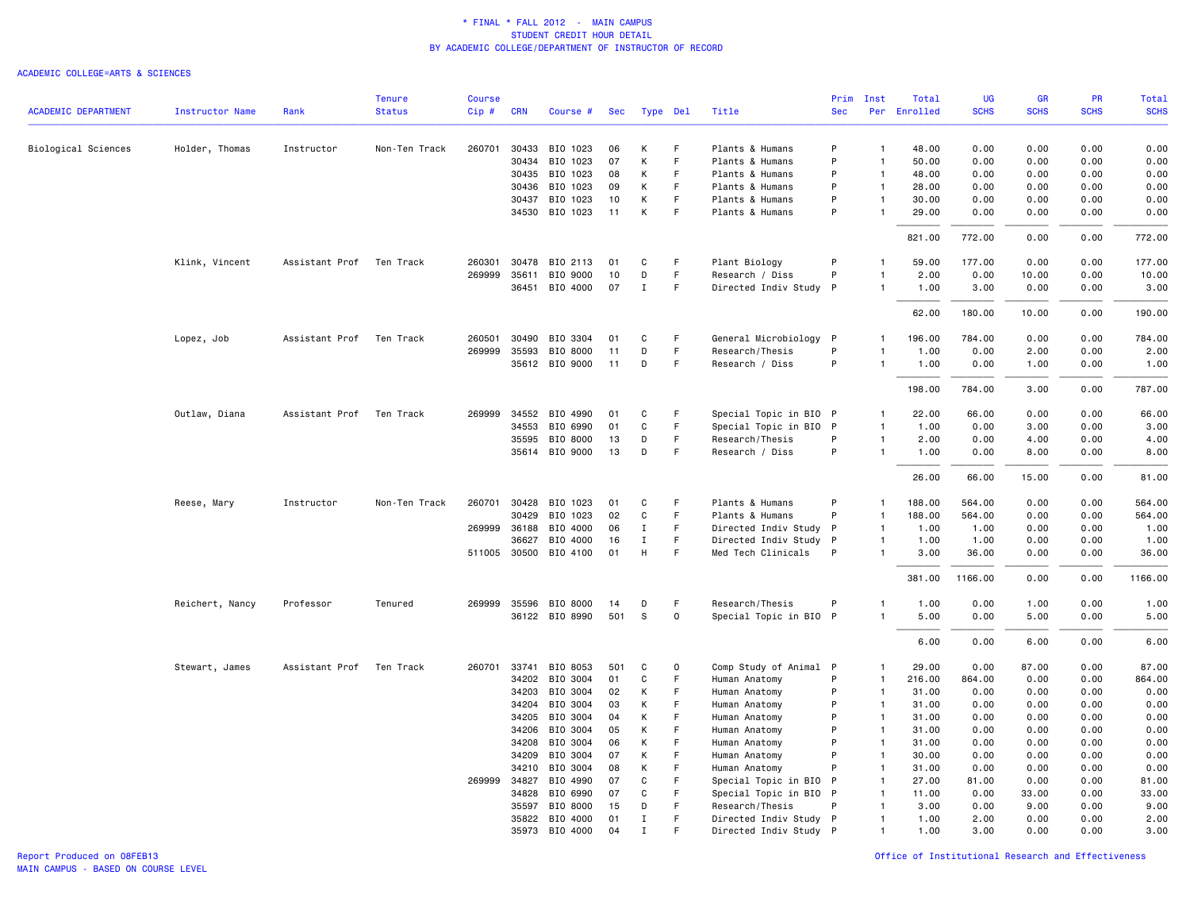|                            |                 |                | <b>Tenure</b> | <b>Course</b> |                |                       |     |                  |             |                        | Prim       | Inst                         | Total        | UG           | <b>GR</b>    | <b>PR</b>   | Total        |
|----------------------------|-----------------|----------------|---------------|---------------|----------------|-----------------------|-----|------------------|-------------|------------------------|------------|------------------------------|--------------|--------------|--------------|-------------|--------------|
| <b>ACADEMIC DEPARTMENT</b> | Instructor Name | Rank           | <b>Status</b> | Cip#          | <b>CRN</b>     | Course #              | Sec |                  | Type Del    | Title                  | <b>Sec</b> |                              | Per Enrolled | <b>SCHS</b>  | <b>SCHS</b>  | <b>SCHS</b> | <b>SCHS</b>  |
| Biological Sciences        | Holder, Thomas  | Instructor     | Non-Ten Track | 260701        | 30433          | BIO 1023              | 06  | К                | F           | Plants & Humans        | P          | $\overline{1}$               | 48.00        | 0.00         | 0.00         | 0.00        | 0.00         |
|                            |                 |                |               |               | 30434          | BIO 1023              | 07  | К                | F           | Plants & Humans        | P          | $\mathbf{1}$                 | 50.00        | 0.00         | 0.00         | 0.00        | 0.00         |
|                            |                 |                |               |               | 30435          | BIO 1023              | 08  | К                | E           | Plants & Humans        | P          | $\overline{1}$               | 48.00        | 0.00         | 0.00         | 0.00        | 0.00         |
|                            |                 |                |               |               | 30436          | BIO 1023              | 09  | К                | F.          | Plants & Humans        | P          | $\mathbf{1}$                 | 28.00        | 0.00         | 0.00         | 0.00        | 0.00         |
|                            |                 |                |               |               | 30437          | BIO 1023              | 10  | К                | $\mathsf F$ | Plants & Humans        | P          | $\mathbf{1}$                 | 30.00        | 0.00         | 0.00         | 0.00        | 0.00         |
|                            |                 |                |               |               |                | 34530 BIO 1023        | 11  | К                | F           | Plants & Humans        | P          |                              | 29.00        | 0.00         | 0.00         | 0.00        | 0.00         |
|                            |                 |                |               |               |                |                       |     |                  |             |                        |            |                              | 821.00       | 772.00       | 0.00         | 0.00        | 772.00       |
|                            | Klink, Vincent  | Assistant Prof | Ten Track     | 260301        | 30478          | BIO 2113              | 01  | C                | F           | Plant Biology          | P          |                              | 59.00        | 177.00       | 0.00         | 0.00        | 177.00       |
|                            |                 |                |               |               | 269999 35611   | BIO 9000              | 10  | D                | F           | Research / Diss        | P          | $\mathbf{1}$                 | 2.00         | 0.00         | 10.00        | 0.00        | 10.00        |
|                            |                 |                |               |               | 36451          | BIO 4000              | 07  | $\mathbf I$      | F           | Directed Indiv Study P |            |                              | 1.00         | 3.00         | 0.00         | 0.00        | 3.00         |
|                            |                 |                |               |               |                |                       |     |                  |             |                        |            |                              | 62.00        | 180.00       | 10.00        | 0.00        | 190.00       |
|                            | Lopez, Job      | Assistant Prof | Ten Track     | 260501        | 30490          | BIO 3304              | 01  | C                | F.          | General Microbiology P |            | $\mathbf{1}$                 | 196.00       | 784.00       | 0.00         | 0.00        | 784.00       |
|                            |                 |                |               |               | 269999 35593   | BIO 8000              | 11  | D                | F           | Research/Thesis        | P          | $\overline{1}$               | 1.00         | 0.00         | 2.00         | 0.00        | 2.00         |
|                            |                 |                |               |               |                | 35612 BIO 9000        | 11  | D                | $\mathsf F$ | Research / Diss        | P          | $\overline{1}$               | 1.00         | 0.00         | 1.00         | 0.00        | 1.00         |
|                            |                 |                |               |               |                |                       |     |                  |             |                        |            |                              | 198.00       | 784.00       | 3.00         | 0.00        | 787.00       |
|                            | Outlaw, Diana   | Assistant Prof | Ten Track     | 269999        | 34552          | BIO 4990              | 01  | C                | F           | Special Topic in BIO P |            | 1                            | 22.00        | 66.00        | 0.00         | 0.00        | 66.00        |
|                            |                 |                |               |               | 34553          | BIO 6990              | 01  | C                | F           | Special Topic in BIO P |            | $\mathbf{1}$                 | 1.00         | 0.00         | 3.00         | 0.00        | 3.00         |
|                            |                 |                |               |               | 35595          | BIO 8000              | 13  | D                | F           | Research/Thesis        | P          | $\mathbf{1}$                 | 2.00         | 0.00         | 4.00         | 0.00        | 4.00         |
|                            |                 |                |               |               |                | 35614 BIO 9000        | 13  | D                | F           | Research / Diss        | P          | $\mathbf{1}$                 | 1.00         | 0.00         | 8.00         | 0.00        | 8.00         |
|                            |                 |                |               |               |                |                       |     |                  |             |                        |            |                              | 26.00        | 66.00        | 15.00        | 0.00        | 81.00        |
|                            | Reese, Mary     | Instructor     | Non-Ten Track |               | 260701 30428   | BIO 1023              | 01  | C                | F           | Plants & Humans        | P          | $\mathbf{1}$                 | 188.00       | 564.00       | 0.00         | 0.00        | 564.00       |
|                            |                 |                |               |               | 30429          | BIO 1023              | 02  | $\mathsf{C}$     | F           | Plants & Humans        | P          | $\mathbf{1}$                 | 188.00       | 564.00       | 0.00         | 0.00        | 564.00       |
|                            |                 |                |               | 269999        | 36188          | BIO 4000              | 06  | $\mathbf I$      | F           | Directed Indiv Study   | P          | $\mathbf{1}$                 | 1.00         | 1.00         | 0.00         | 0.00        | 1.00         |
|                            |                 |                |               |               | 36627          | BIO 4000              | 16  | $\mathbf I$      | $\mathsf F$ | Directed Indiv Study P |            | $\mathbf{1}$                 | 1.00         | 1.00         | 0.00         | 0.00        | 1.00         |
|                            |                 |                |               |               |                | 511005 30500 BIO 4100 | 01  | H                | $\mathsf F$ | Med Tech Clinicals     | P          | $\mathbf{1}$                 | 3.00         | 36.00        | 0.00         | 0.00        | 36.00        |
|                            |                 |                |               |               |                |                       |     |                  |             |                        |            |                              | 381.00       | 1166.00      | 0.00         | 0.00        | 1166.00      |
|                            | Reichert, Nancy | Professor      | Tenured       |               |                | 269999 35596 BIO 8000 | 14  | D                | F           | Research/Thesis        | P          | 1                            | 1.00         | 0.00         | 1.00         | 0.00        | 1.00         |
|                            |                 |                |               |               |                | 36122 BIO 8990        | 501 | S                | 0           | Special Topic in BIO P |            | -1                           | 5.00         | 0.00         | 5.00         | 0.00        | 5.00         |
|                            |                 |                |               |               |                |                       |     |                  |             |                        |            |                              | 6.00         | 0.00         | 6.00         | 0.00        | 6.00         |
|                            | Stewart, James  | Assistant Prof | Ten Track     | 260701        | 33741          | BIO 8053              | 501 | C                | 0           | Comp Study of Animal P |            | $\mathbf{1}$                 | 29.00        | 0.00         | 87.00        | 0.00        | 87.00        |
|                            |                 |                |               |               | 34202          | BIO 3004              | 01  | C                | E           | Human Anatomy          | P          | $\mathbf{1}$                 | 216.00       | 864.00       | 0.00         | 0.00        | 864.00       |
|                            |                 |                |               |               | 34203          | BIO 3004              | 02  | К                | F           | Human Anatomy          | P          | $\mathbf{1}$                 | 31.00        | 0.00         | 0.00         | 0.00        | 0.00         |
|                            |                 |                |               |               | 34204          | BIO 3004              | 03  | К                | E           | Human Anatomy          | P          | $\mathbf{1}$                 | 31.00        | 0.00         | 0.00         | 0.00        | 0.00         |
|                            |                 |                |               |               | 34205          | BIO 3004              | 04  | К                | F           | Human Anatomy          | P          | $\mathbf{1}$                 | 31.00        | 0.00         | 0.00         | 0.00        | 0.00         |
|                            |                 |                |               |               | 34206          | BIO 3004              | 05  | К                | E           | Human Anatomy          | P          | $\mathbf{1}$                 | 31.00        | 0.00         | 0.00         | 0.00        | 0.00         |
|                            |                 |                |               |               | 34208          | BIO 3004              | 06  | К                | F           | Human Anatomy          | P          | $\overline{1}$               | 31.00        | 0.00         | 0.00         | 0.00        | 0.00         |
|                            |                 |                |               |               | 34209          | BIO 3004              | 07  | К                | F           | Human Anatomy          | P          | $\mathbf{1}$                 | 30.00        | 0.00         | 0.00         | 0.00        | 0.00         |
|                            |                 |                |               |               | 34210          | BIO 3004              | 08  | К                | F           | Human Anatomy          | P          | $\mathbf{1}$                 | 31.00        | 0.00         | 0.00         | 0.00        | 0.00         |
|                            |                 |                |               |               | 269999 34827   | BIO 4990              | 07  | C                | F           | Special Topic in BIO   | - P        | $\mathbf{1}$                 | 27.00        | 81.00        | 0.00         | 0.00        | 81.00        |
|                            |                 |                |               |               | 34828          | BIO 6990              | 07  | C                | F<br>F      | Special Topic in BIO P |            | $\mathbf{1}$                 | 11.00        | 0.00         | 33.00        | 0.00        | 33.00        |
|                            |                 |                |               |               | 35597          | BIO 8000              | 15  | D<br>$\mathbf I$ | F           | Research/Thesis        | P          | $\mathbf{1}$<br>$\mathbf{1}$ | 3.00<br>1.00 | 0.00<br>2.00 | 9.00         | 0.00        | 9.00         |
|                            |                 |                |               |               | 35822<br>35973 | BIO 4000<br>BIO 4000  | 01  | $\mathbf{r}$     | E           | Directed Indiv Study P |            | $\mathbf{1}$                 |              |              | 0.00<br>0.00 | 0.00        | 2.00<br>3.00 |
|                            |                 |                |               |               |                |                       | 04  |                  |             | Directed Indiv Study P |            |                              | 1.00         | 3.00         |              | 0.00        |              |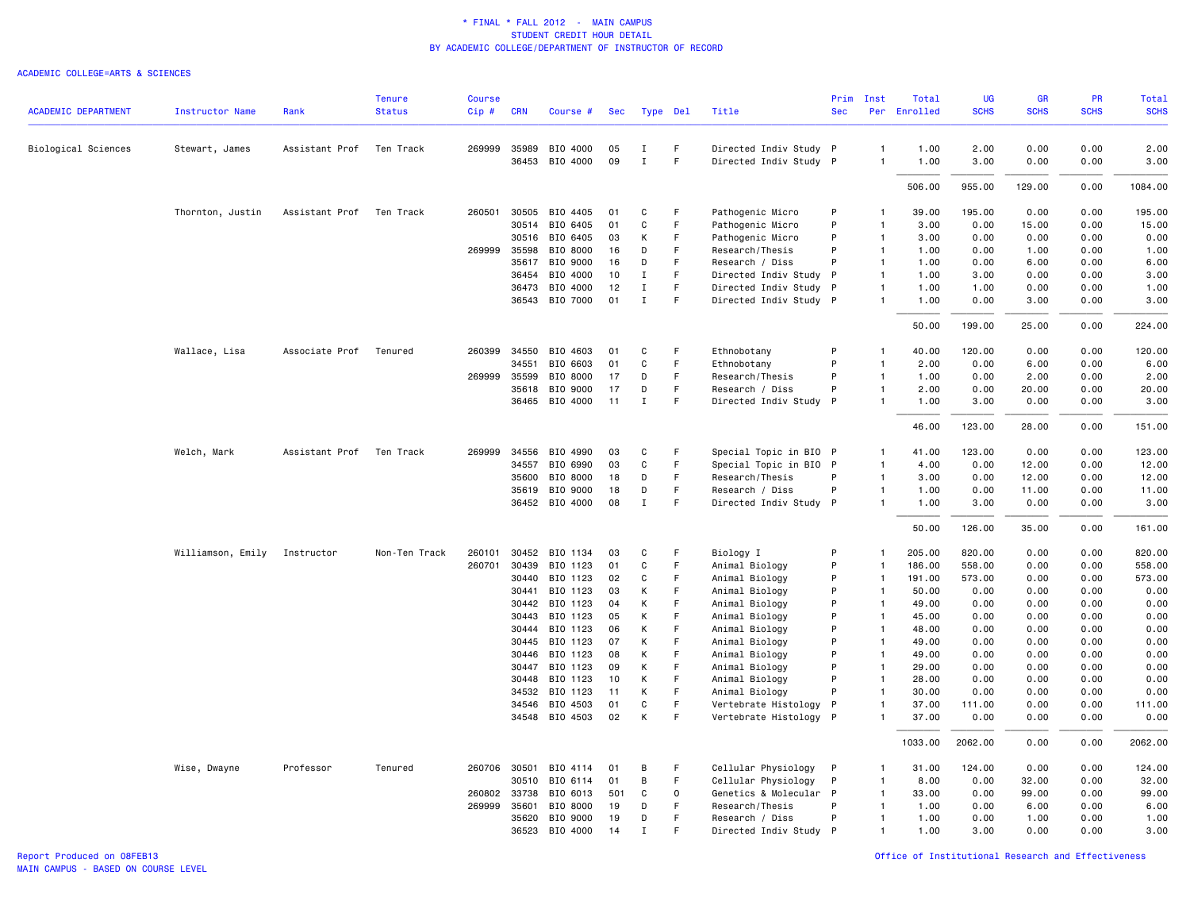| <b>ACADEMIC DEPARTMENT</b> | <b>Instructor Name</b> | Rank           | <b>Tenure</b><br><b>Status</b> | Course<br>Cip# | <b>CRN</b>     | Course #             | Sec      | Type Del     |          | Title                            | Prim<br><b>Sec</b> | Inst                         | Total<br>Per Enrolled | <b>UG</b><br><b>SCHS</b> | <b>GR</b><br><b>SCHS</b> | PR<br><b>SCHS</b> | <b>Total</b><br><b>SCHS</b> |
|----------------------------|------------------------|----------------|--------------------------------|----------------|----------------|----------------------|----------|--------------|----------|----------------------------------|--------------------|------------------------------|-----------------------|--------------------------|--------------------------|-------------------|-----------------------------|
|                            |                        |                |                                |                |                |                      |          |              |          |                                  |                    |                              |                       |                          |                          |                   |                             |
| Biological Sciences        | Stewart, James         | Assistant Prof | Ten Track                      | 269999         | 35989          | BIO 4000             | 05       | $\bf{I}$     | F        | Directed Indiv Study P           |                    | $\mathbf{1}$                 | 1.00                  | 2.00                     | 0.00                     | 0.00              | 2.00                        |
|                            |                        |                |                                |                |                | 36453 BIO 4000       | 09       | $\mathbf{I}$ | F        | Directed Indiv Study P           |                    | $\mathbf{1}$                 | 1.00                  | 3.00                     | 0.00                     | 0.00              | 3.00                        |
|                            |                        |                |                                |                |                |                      |          |              |          |                                  |                    |                              | 506.00                | 955.00                   | 129.00                   | 0.00              | 1084.00                     |
|                            | Thornton, Justin       | Assistant Prof | Ten Track                      | 260501         | 30505          | BIO 4405             | 01       | C            | F        | Pathogenic Micro                 | P                  | $\mathbf{1}$                 | 39.00                 | 195.00                   | 0.00                     | 0.00              | 195.00                      |
|                            |                        |                |                                |                | 30514          | BIO 6405             | 01       | C            | F        | Pathogenic Micro                 | P                  | $\mathbf{1}$                 | 3.00                  | 0.00                     | 15.00                    | 0.00              | 15.00                       |
|                            |                        |                |                                |                | 30516          | BIO 6405             | 03       | К            | F        | Pathogenic Micro                 | P                  | $\mathbf{1}$                 | 3.00                  | 0.00                     | 0.00                     | 0.00              | 0.00                        |
|                            |                        |                |                                | 269999         | 35598          | BIO 8000             | 16       | D            | F        | Research/Thesis                  | P                  | $\mathbf{1}$                 | 1.00                  | 0.00                     | 1.00                     | 0.00              | 1.00                        |
|                            |                        |                |                                |                | 35617          | BIO 9000             | 16       | D            | F        | Research / Diss                  | P                  | $\mathbf{1}$                 | 1.00                  | 0.00                     | 6.00                     | 0.00              | 6.00                        |
|                            |                        |                |                                |                | 36454          | BIO 4000             | 10       | $\mathbf I$  | F        | Directed Indiv Study             | $\mathsf{P}$       | $\mathbf{1}$                 | 1.00                  | 3.00                     | 0.00                     | 0.00              | 3.00                        |
|                            |                        |                |                                |                | 36473          | BIO 4000             | 12       | $\mathbf I$  | F        | Directed Indiv Study P           |                    | $\overline{1}$               | 1.00                  | 1.00                     | 0.00                     | 0.00              | 1.00                        |
|                            |                        |                |                                |                |                | 36543 BIO 7000       | 01       | $\mathbf I$  | F        | Directed Indiv Study P           |                    | $\mathbf{1}$                 | 1.00                  | 0.00                     | 3.00                     | 0.00              | 3.00                        |
|                            |                        |                |                                |                |                |                      |          |              |          |                                  |                    |                              | 50.00                 | 199.00                   | 25.00                    | 0.00              | 224.00                      |
|                            | Wallace, Lisa          | Associate Prof | Tenured                        | 260399         | 34550          | BIO 4603             | 01       | C            | F        | Ethnobotany                      | P                  | -1                           | 40.00                 | 120.00                   | 0.00                     | 0.00              | 120.00                      |
|                            |                        |                |                                |                | 34551          | BIO 6603             | 01       | C            | F        | Ethnobotany                      | P                  | $\mathbf{1}$                 | 2.00                  | 0.00                     | 6.00                     | 0.00              | 6.00                        |
|                            |                        |                |                                | 269999 35599   |                | BIO 8000             | 17       | D            | F.       | Research/Thesis                  | P                  | $\mathbf{1}$                 | 1.00                  | 0.00                     | 2.00                     | 0.00              | 2.00                        |
|                            |                        |                |                                |                | 35618          | BIO 9000             | 17       | D            | F        | Research / Diss                  | P                  | $\mathbf{1}$                 | 2.00                  | 0.00                     | 20.00                    | 0.00              | 20.00                       |
|                            |                        |                |                                |                |                | 36465 BIO 4000       | 11       | Ι.           | F.       | Directed Indiv Study P           |                    | $\mathbf{1}$                 | 1.00                  | 3.00                     | 0.00                     | 0.00              | 3.00                        |
|                            |                        |                |                                |                |                |                      |          |              |          |                                  |                    |                              | 46.00                 | 123.00                   | 28.00                    | 0.00              | 151.00                      |
|                            | Welch, Mark            | Assistant Prof | Ten Track                      | 269999         | 34556          | BIO 4990             | 03       | C            | F        | Special Topic in BIO P           |                    | -1                           | 41.00                 | 123.00                   | 0.00                     | 0.00              | 123.00                      |
|                            |                        |                |                                |                | 34557          | BIO 6990             | 03       | C            | F        | Special Topic in BIO             | $\mathsf{P}$       | $\mathbf{1}$                 | 4.00                  | 0.00                     | 12.00                    | 0.00              | 12.00                       |
|                            |                        |                |                                |                | 35600          | BIO 8000             | 18       | D            | F        | Research/Thesis                  | P                  | $\mathbf{1}$                 | 3.00                  | 0.00                     | 12.00                    | 0.00              | 12.00                       |
|                            |                        |                |                                |                | 35619          | BIO 9000             | 18       | D            | F        | Research / Diss                  | P                  | $\mathbf{1}$                 | 1.00                  | 0.00                     | 11.00                    | 0.00              | 11.00                       |
|                            |                        |                |                                |                |                | 36452 BIO 4000       | 08       | $\mathbf{I}$ | F        | Directed Indiv Study P           |                    | $\mathbf{1}$                 | 1.00                  | 3.00                     | 0.00                     | 0.00              | 3.00                        |
|                            |                        |                |                                |                |                |                      |          |              |          |                                  |                    |                              | 50.00                 | 126.00                   | 35.00                    | 0.00              | 161.00                      |
|                            | Williamson, Emily      | Instructor     | Non-Ten Track                  | 260101         | 30452          | BIO 1134             | 03       | C            | F        | Biology I                        | P                  | 1                            | 205.00                | 820.00                   | 0.00                     | 0.00              | 820.00                      |
|                            |                        |                |                                | 260701         | 30439          | BIO 1123             | 01       | C            | F        | Animal Biology                   | P                  | $\mathbf{1}$                 | 186.00                | 558.00                   | 0.00                     | 0.00              | 558.00                      |
|                            |                        |                |                                |                | 30440          | BIO 1123             | 02       | C            | F        | Animal Biology                   | P                  | $\mathbf{1}$                 | 191.00                | 573.00                   | 0.00                     | 0.00              | 573.00                      |
|                            |                        |                |                                |                | 30441          | BIO 1123             | 03       | К            | F        | Animal Biology                   | P                  | $\mathbf{1}$                 | 50.00                 | 0.00                     | 0.00                     | 0.00              | 0.00                        |
|                            |                        |                |                                |                | 30442          | BIO 1123             | 04       | К            | F        | Animal Biology                   | P                  | $\overline{1}$               | 49.00                 | 0.00                     | 0.00                     | 0.00              | 0.00                        |
|                            |                        |                |                                |                | 30443          | BIO 1123             | 05       | К            | F        | Animal Biology                   | P                  | $\mathbf{1}$                 | 45.00                 | 0.00                     | 0.00                     | 0.00              | 0.00                        |
|                            |                        |                |                                |                | 30444          | BIO 1123             | 06       | К            | F        | Animal Biology                   | P                  | $\overline{1}$               | 48.00                 | 0.00                     | 0.00                     | 0.00              | 0.00                        |
|                            |                        |                |                                |                | 30445          | BIO 1123             | 07       | К            | F<br>F   | Animal Biology                   | P<br>P             | $\mathbf{1}$                 | 49.00                 | 0.00                     | 0.00                     | 0.00              | 0.00                        |
|                            |                        |                |                                |                | 30446<br>30447 | BIO 1123<br>BIO 1123 | 08<br>09 | К<br>К       | F.       | Animal Biology                   | P                  | $\mathbf{1}$<br>$\mathbf{1}$ | 49.00<br>29.00        | 0.00<br>0.00             | 0.00<br>0.00             | 0.00<br>0.00      | 0.00<br>0.00                |
|                            |                        |                |                                |                | 30448          | BIO 1123             | 10       | К            | F        | Animal Biology<br>Animal Biology | P                  | $\mathbf{1}$                 | 28.00                 | 0.00                     | 0.00                     | 0.00              | 0.00                        |
|                            |                        |                |                                |                | 34532          | BIO 1123             | 11       | К            | F.       | Animal Biology                   | P                  | $\mathbf{1}$                 | 30.00                 | 0.00                     | 0.00                     | 0.00              | 0.00                        |
|                            |                        |                |                                |                |                | 34546 BIO 4503       | 01       | C            | F        | Vertebrate Histology             | P                  | $\mathbf{1}$                 | 37.00                 | 111.00                   | 0.00                     | 0.00              | 111.00                      |
|                            |                        |                |                                |                |                | 34548 BIO 4503       | 02       | К            | F.       | Vertebrate Histology P           |                    | 1                            | 37.00                 | 0.00                     | 0.00                     | 0.00              | 0.00                        |
|                            |                        |                |                                |                |                |                      |          |              |          |                                  |                    |                              | 1033.00               | 2062.00                  | 0.00                     | 0.00              | 2062.00                     |
|                            | Wise, Dwayne           | Professor      | Tenured                        | 260706 30501   |                | BIO 4114             | 01       | B            | F        | Cellular Physiology              | $\mathsf{P}$       | 1                            | 31.00                 | 124.00                   | 0.00                     | 0.00              | 124.00                      |
|                            |                        |                |                                |                | 30510          | BIO 6114             | 01       | B            | F        | Cellular Physiology              | P                  | $\mathbf{1}$                 | 8.00                  | 0.00                     | 32.00                    | 0.00              | 32.00                       |
|                            |                        |                |                                | 260802         | 33738          | BIO 6013             | 501      | C            | $\Omega$ | Genetics & Molecular P           |                    | $\mathbf{1}$                 | 33.00                 | 0.00                     | 99.00                    | 0.00              | 99.00                       |
|                            |                        |                |                                | 269999         | 35601          | BIO 8000             | 19       | D            | F        | Research/Thesis                  | P                  | $\mathbf{1}$                 | 1.00                  | 0.00                     | 6.00                     | 0.00              | 6.00                        |
|                            |                        |                |                                |                | 35620          | BIO 9000             | 19       | D            | F        | Research / Diss                  | P                  | $\mathbf{1}$                 | 1.00                  | 0.00                     | 1.00                     | 0.00              | 1.00                        |
|                            |                        |                |                                |                | 36523          | BIO 4000             | 14       | $\mathbf I$  | F        | Directed Indiv Study P           |                    | $\mathbf{1}$                 | 1.00                  | 3.00                     | 0.00                     | 0.00              | 3.00                        |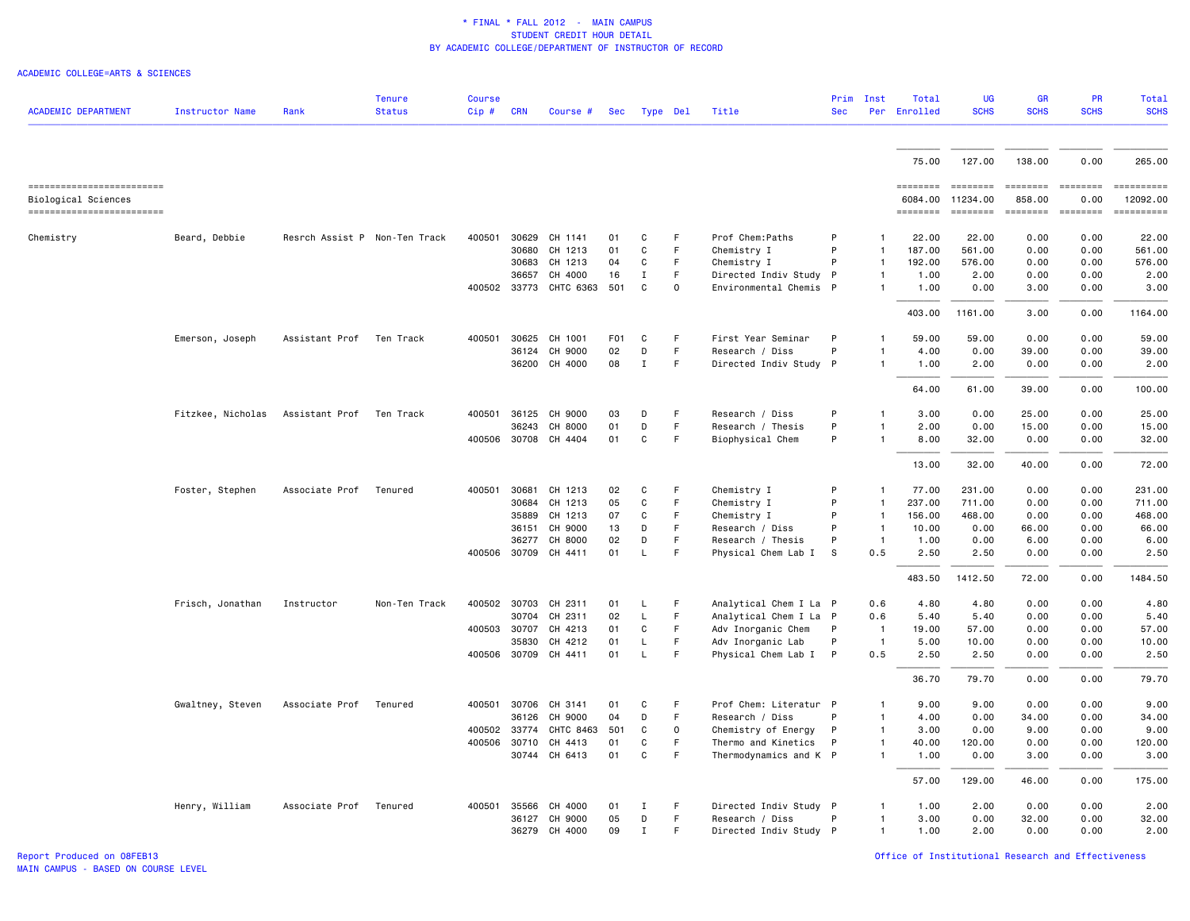### ACADEMIC COLLEGE=ARTS & SCIENCES

| <b>ACADEMIC DEPARTMENT</b>                       | <b>Instructor Name</b> | Rank                          | <b>Tenure</b><br><b>Status</b> | <b>Course</b><br>Cip#        | <b>CRN</b> | Course #                              | Sec              |                  | Type Del         | Title                                            | <b>Sec</b> | Prim Inst                    | Total<br>Per Enrolled | <b>UG</b><br><b>SCHS</b>    | <b>GR</b><br><b>SCHS</b>                                                                                                                                                                                                                                                                                                                                                                                                                                                                         | PR<br><b>SCHS</b> | Total<br><b>SCHS</b>                                                                                                                                                                                                                                                                                                                                                                                                                                                                      |
|--------------------------------------------------|------------------------|-------------------------------|--------------------------------|------------------------------|------------|---------------------------------------|------------------|------------------|------------------|--------------------------------------------------|------------|------------------------------|-----------------------|-----------------------------|--------------------------------------------------------------------------------------------------------------------------------------------------------------------------------------------------------------------------------------------------------------------------------------------------------------------------------------------------------------------------------------------------------------------------------------------------------------------------------------------------|-------------------|-------------------------------------------------------------------------------------------------------------------------------------------------------------------------------------------------------------------------------------------------------------------------------------------------------------------------------------------------------------------------------------------------------------------------------------------------------------------------------------------|
|                                                  |                        |                               |                                |                              |            |                                       |                  |                  |                  |                                                  |            |                              | 75.00                 | 127.00                      | 138.00                                                                                                                                                                                                                                                                                                                                                                                                                                                                                           | 0.00              | 265.00                                                                                                                                                                                                                                                                                                                                                                                                                                                                                    |
| ------------------------                         |                        |                               |                                |                              |            |                                       |                  |                  |                  |                                                  |            |                              | ========              |                             | $\qquad \qquad \blacksquare \blacksquare \blacksquare \blacksquare \blacksquare \blacksquare \blacksquare \blacksquare \blacksquare$                                                                                                                                                                                                                                                                                                                                                             | <b>ESSESSE</b>    | $\begin{minipage}{0.03\linewidth} \begin{tabular}{l} \multicolumn{2}{l}{} & \multicolumn{2}{l}{} & \multicolumn{2}{l}{} \\ \multicolumn{2}{l}{} & \multicolumn{2}{l}{} & \multicolumn{2}{l}{} \\ \multicolumn{2}{l}{} & \multicolumn{2}{l}{} & \multicolumn{2}{l}{} \\ \multicolumn{2}{l}{} & \multicolumn{2}{l}{} & \multicolumn{2}{l}{} \\ \multicolumn{2}{l}{} & \multicolumn{2}{l}{} & \multicolumn{2}{l}{} \\ \multicolumn{2}{l}{} & \multicolumn{2}{l}{} & \multicolumn{2}{l}{} \\$ |
| Biological Sciences<br>------------------------- |                        |                               |                                |                              |            |                                       |                  |                  |                  |                                                  |            |                              | 6084.00<br>========   | 11234.00<br><b>EEEEEEEE</b> | 858.00<br>$\begin{array}{cccccccccc} \multicolumn{2}{c}{} & \multicolumn{2}{c}{} & \multicolumn{2}{c}{} & \multicolumn{2}{c}{} & \multicolumn{2}{c}{} & \multicolumn{2}{c}{} & \multicolumn{2}{c}{} & \multicolumn{2}{c}{} & \multicolumn{2}{c}{} & \multicolumn{2}{c}{} & \multicolumn{2}{c}{} & \multicolumn{2}{c}{} & \multicolumn{2}{c}{} & \multicolumn{2}{c}{} & \multicolumn{2}{c}{} & \multicolumn{2}{c}{} & \multicolumn{2}{c}{} & \multicolumn{2}{c}{} & \multicolumn{2}{c}{} & \mult$ | 0.00<br>ESSESSEE  | 12092.00                                                                                                                                                                                                                                                                                                                                                                                                                                                                                  |
| Chemistry                                        | Beard, Debbie          | Resrch Assist P Non-Ten Track |                                |                              |            | 400501 30629 CH 1141                  | 01               | C                | F                | Prof Chem: Paths                                 | P          | $\mathbf{1}$                 | 22.00                 | 22.00                       | 0.00                                                                                                                                                                                                                                                                                                                                                                                                                                                                                             | 0.00              | 22.00                                                                                                                                                                                                                                                                                                                                                                                                                                                                                     |
|                                                  |                        |                               |                                |                              | 30680      | CH 1213                               | 01               | C                | F.               | Chemistry I                                      | P          | $\mathbf{1}$                 | 187.00                | 561.00                      | 0.00                                                                                                                                                                                                                                                                                                                                                                                                                                                                                             | 0.00              | 561.00                                                                                                                                                                                                                                                                                                                                                                                                                                                                                    |
|                                                  |                        |                               |                                |                              | 30683      | CH 1213                               | 04               | C                | F                | Chemistry I                                      | P          | $\mathbf{1}$                 | 192.00                | 576.00                      | 0.00                                                                                                                                                                                                                                                                                                                                                                                                                                                                                             | 0.00              | 576.00                                                                                                                                                                                                                                                                                                                                                                                                                                                                                    |
|                                                  |                        |                               |                                |                              | 36657      | CH 4000<br>400502 33773 CHTC 6363 501 | 16               | $\mathbf I$<br>C | F<br>$\mathbf 0$ | Directed Indiv Study P<br>Environmental Chemis P |            | 1<br>$\mathbf{1}$            | 1.00<br>1.00          | 2.00<br>0.00                | 0.00<br>3.00                                                                                                                                                                                                                                                                                                                                                                                                                                                                                     | 0.00<br>0.00      | 2.00<br>3.00                                                                                                                                                                                                                                                                                                                                                                                                                                                                              |
|                                                  |                        |                               |                                |                              |            |                                       |                  |                  |                  |                                                  |            |                              |                       |                             |                                                                                                                                                                                                                                                                                                                                                                                                                                                                                                  |                   |                                                                                                                                                                                                                                                                                                                                                                                                                                                                                           |
|                                                  |                        |                               |                                |                              |            |                                       |                  |                  |                  |                                                  |            |                              | 403.00                | 1161.00                     | 3.00                                                                                                                                                                                                                                                                                                                                                                                                                                                                                             | 0.00              | 1164.00                                                                                                                                                                                                                                                                                                                                                                                                                                                                                   |
|                                                  | Emerson, Joseph        | Assistant Prof                | Ten Track                      | 400501                       | 30625      | CH 1001                               | F <sub>0</sub> 1 | C                | F                | First Year Seminar                               | P          | $\mathbf{1}$                 | 59.00                 | 59.00                       | 0.00                                                                                                                                                                                                                                                                                                                                                                                                                                                                                             | 0.00              | 59.00                                                                                                                                                                                                                                                                                                                                                                                                                                                                                     |
|                                                  |                        |                               |                                |                              | 36124      | CH 9000                               | 02               | D                | F                | Research / Diss                                  | P          | $\mathbf{1}$                 | 4.00                  | 0.00                        | 39.00                                                                                                                                                                                                                                                                                                                                                                                                                                                                                            | 0.00              | 39.00                                                                                                                                                                                                                                                                                                                                                                                                                                                                                     |
|                                                  |                        |                               |                                |                              |            | 36200 CH 4000                         | 08               | $\mathbf{I}$     | F.               | Directed Indiv Study P                           |            | $\mathbf{1}$                 | 1.00                  | 2.00                        | 0.00                                                                                                                                                                                                                                                                                                                                                                                                                                                                                             | 0.00              | 2.00                                                                                                                                                                                                                                                                                                                                                                                                                                                                                      |
|                                                  |                        |                               |                                |                              |            |                                       |                  |                  |                  |                                                  |            |                              | 64.00                 | 61.00                       | 39.00                                                                                                                                                                                                                                                                                                                                                                                                                                                                                            | 0.00              | 100.00                                                                                                                                                                                                                                                                                                                                                                                                                                                                                    |
|                                                  | Fitzkee, Nicholas      | Assistant Prof                | Ten Track                      | 400501 36125                 |            | CH 9000                               | 03               | D                | F                | Research / Diss                                  | P          | $\mathbf{1}$                 | 3.00                  | 0.00                        | 25.00                                                                                                                                                                                                                                                                                                                                                                                                                                                                                            | 0.00              | 25.00                                                                                                                                                                                                                                                                                                                                                                                                                                                                                     |
|                                                  |                        |                               |                                |                              | 36243      | CH 8000                               | 01               | D                | F                | Research / Thesis                                | P          | $\mathbf{1}$                 | 2.00                  | 0.00                        | 15.00                                                                                                                                                                                                                                                                                                                                                                                                                                                                                            | 0.00              | 15.00                                                                                                                                                                                                                                                                                                                                                                                                                                                                                     |
|                                                  |                        |                               |                                | 400506 30708                 |            | CH 4404                               | 01               | C                | F                | Biophysical Chem                                 | P          | $\mathbf{1}$                 | 8.00                  | 32.00                       | 0.00                                                                                                                                                                                                                                                                                                                                                                                                                                                                                             | 0.00              | 32.00                                                                                                                                                                                                                                                                                                                                                                                                                                                                                     |
|                                                  |                        |                               |                                |                              |            |                                       |                  |                  |                  |                                                  |            |                              | 13.00                 | 32.00                       | 40.00                                                                                                                                                                                                                                                                                                                                                                                                                                                                                            | 0.00              | 72.00                                                                                                                                                                                                                                                                                                                                                                                                                                                                                     |
|                                                  | Foster, Stephen        | Associate Prof                | Tenured                        | 400501                       | 30681      | CH 1213                               | 02               | C                | F                | Chemistry I                                      | P          | -1                           | 77.00                 | 231.00                      | 0.00                                                                                                                                                                                                                                                                                                                                                                                                                                                                                             | 0.00              | 231.00                                                                                                                                                                                                                                                                                                                                                                                                                                                                                    |
|                                                  |                        |                               |                                |                              | 30684      | CH 1213                               | 05               | $\mathtt{C}$     | F                | Chemistry I                                      | P          | $\mathbf{1}$                 | 237.00                | 711.00                      | 0.00                                                                                                                                                                                                                                                                                                                                                                                                                                                                                             | 0.00              | 711.00                                                                                                                                                                                                                                                                                                                                                                                                                                                                                    |
|                                                  |                        |                               |                                |                              | 35889      | CH 1213                               | 07               | C                | F                | Chemistry I                                      | P          | $\overline{1}$               | 156.00                | 468.00                      | 0.00                                                                                                                                                                                                                                                                                                                                                                                                                                                                                             | 0.00              | 468.00                                                                                                                                                                                                                                                                                                                                                                                                                                                                                    |
|                                                  |                        |                               |                                |                              | 36151      | CH 9000                               | 13               | D                | F.               | Research / Diss                                  | P          | $\overline{1}$               | 10.00                 | 0.00                        | 66.00                                                                                                                                                                                                                                                                                                                                                                                                                                                                                            | 0.00              | 66.00                                                                                                                                                                                                                                                                                                                                                                                                                                                                                     |
|                                                  |                        |                               |                                |                              | 36277      | CH 8000                               | 02               | D                | F<br>F           | Research / Thesis                                | P          | $\overline{1}$               | 1.00                  | 0.00                        | 6.00                                                                                                                                                                                                                                                                                                                                                                                                                                                                                             | 0.00              | 6.00                                                                                                                                                                                                                                                                                                                                                                                                                                                                                      |
|                                                  |                        |                               |                                | 400506 30709                 |            | CH 4411                               | 01               | $\mathsf L$      |                  | Physical Chem Lab I                              | S          | 0.5                          | 2.50                  | 2.50                        | 0.00                                                                                                                                                                                                                                                                                                                                                                                                                                                                                             | 0.00              | 2.50                                                                                                                                                                                                                                                                                                                                                                                                                                                                                      |
|                                                  |                        |                               |                                |                              |            |                                       |                  |                  |                  |                                                  |            |                              | 483.50                | 1412.50                     | 72.00                                                                                                                                                                                                                                                                                                                                                                                                                                                                                            | 0.00              | 1484.50                                                                                                                                                                                                                                                                                                                                                                                                                                                                                   |
|                                                  | Frisch, Jonathan       | Instructor                    | Non-Ten Track                  | 400502 30703                 |            | CH 2311                               | 01               | L                | F                | Analytical Chem I La P                           |            | 0.6                          | 4.80                  | 4.80                        | 0.00                                                                                                                                                                                                                                                                                                                                                                                                                                                                                             | 0.00              | 4.80                                                                                                                                                                                                                                                                                                                                                                                                                                                                                      |
|                                                  |                        |                               |                                |                              | 30704      | CH 2311                               | 02               | $\mathsf{L}$     | F.               | Analytical Chem I La P                           |            | 0.6                          | 5.40                  | 5.40                        | 0.00                                                                                                                                                                                                                                                                                                                                                                                                                                                                                             | 0.00              | 5.40                                                                                                                                                                                                                                                                                                                                                                                                                                                                                      |
|                                                  |                        |                               |                                | 400503 30707                 |            | CH 4213                               | 01               | C                | F                | Adv Inorganic Chem                               | P          | $\overline{1}$               | 19.00                 | 57.00                       | 0.00                                                                                                                                                                                                                                                                                                                                                                                                                                                                                             | 0.00              | 57.00                                                                                                                                                                                                                                                                                                                                                                                                                                                                                     |
|                                                  |                        |                               |                                |                              | 35830      | CH 4212                               | 01               | L.               | F.               | Adv Inorganic Lab                                | P          | $\overline{1}$               | 5.00                  | 10.00                       | 0.00                                                                                                                                                                                                                                                                                                                                                                                                                                                                                             | 0.00              | 10.00                                                                                                                                                                                                                                                                                                                                                                                                                                                                                     |
|                                                  |                        |                               |                                |                              |            | 400506 30709 CH 4411                  | 01               | L                | F                | Physical Chem Lab I P                            |            | 0.5                          | 2.50                  | 2.50                        | 0.00                                                                                                                                                                                                                                                                                                                                                                                                                                                                                             | 0.00              | 2.50                                                                                                                                                                                                                                                                                                                                                                                                                                                                                      |
|                                                  |                        |                               |                                |                              |            |                                       |                  |                  |                  |                                                  |            |                              | 36.70                 | 79.70                       | 0.00                                                                                                                                                                                                                                                                                                                                                                                                                                                                                             | 0.00              | 79.70                                                                                                                                                                                                                                                                                                                                                                                                                                                                                     |
|                                                  | Gwaltney, Steven       | Associate Prof                | Tenured                        | 400501 30706                 |            | CH 3141                               | 01               | C                | F                | Prof Chem: Literatur P                           |            | -1                           | 9.00                  | 9.00                        | 0.00                                                                                                                                                                                                                                                                                                                                                                                                                                                                                             | 0.00              | 9.00                                                                                                                                                                                                                                                                                                                                                                                                                                                                                      |
|                                                  |                        |                               |                                |                              | 36126      | CH 9000                               | 04               | D                | F                | Research / Diss                                  | P          | $\mathbf{1}$                 | 4.00                  | 0.00                        | 34.00                                                                                                                                                                                                                                                                                                                                                                                                                                                                                            | 0.00              | 34.00                                                                                                                                                                                                                                                                                                                                                                                                                                                                                     |
|                                                  |                        |                               |                                | 400502 33774<br>400506 30710 |            | CHTC 8463<br>CH 4413                  | 501<br>01        | C<br>C           | 0<br>F.          | Chemistry of Energy<br>Thermo and Kinetics       | P<br>P     | $\mathbf{1}$<br>$\mathbf{1}$ | 3.00<br>40.00         | 0.00<br>120.00              | 9.00<br>0.00                                                                                                                                                                                                                                                                                                                                                                                                                                                                                     | 0.00<br>0.00      | 9.00<br>120.00                                                                                                                                                                                                                                                                                                                                                                                                                                                                            |
|                                                  |                        |                               |                                |                              |            | 30744 CH 6413                         | 01               | C                | F                | Thermodynamics and K P                           |            | $\mathbf{1}$                 | 1.00                  | 0.00                        | 3.00                                                                                                                                                                                                                                                                                                                                                                                                                                                                                             | 0.00              | 3.00                                                                                                                                                                                                                                                                                                                                                                                                                                                                                      |
|                                                  |                        |                               |                                |                              |            |                                       |                  |                  |                  |                                                  |            |                              | 57.00                 | 129.00                      | 46.00                                                                                                                                                                                                                                                                                                                                                                                                                                                                                            | 0.00              | 175.00                                                                                                                                                                                                                                                                                                                                                                                                                                                                                    |
|                                                  | Henry, William         | Associate Prof                | Tenured                        | 400501 35566                 |            | CH 4000                               | 01               | Ι.               | F                | Directed Indiv Study P                           |            | $\mathbf{1}$                 | 1.00                  | 2.00                        | 0.00                                                                                                                                                                                                                                                                                                                                                                                                                                                                                             | 0.00              | 2.00                                                                                                                                                                                                                                                                                                                                                                                                                                                                                      |
|                                                  |                        |                               |                                |                              | 36127      | CH 9000                               | 05               | D                | F.               | Research / Diss                                  | P          | $\mathbf{1}$                 | 3.00                  | 0.00                        | 32.00                                                                                                                                                                                                                                                                                                                                                                                                                                                                                            | 0.00              | 32.00                                                                                                                                                                                                                                                                                                                                                                                                                                                                                     |
|                                                  |                        |                               |                                |                              |            | 36279 CH 4000                         | 09               | $\mathbf{I}$     | F.               | Directed Indiv Study P                           |            | $\mathbf{1}$                 | 1.00                  | 2.00                        | 0.00                                                                                                                                                                                                                                                                                                                                                                                                                                                                                             | 0.00              | 2.00                                                                                                                                                                                                                                                                                                                                                                                                                                                                                      |

Report Produced on 08FEB13 Office of Institutional Research and Effectiveness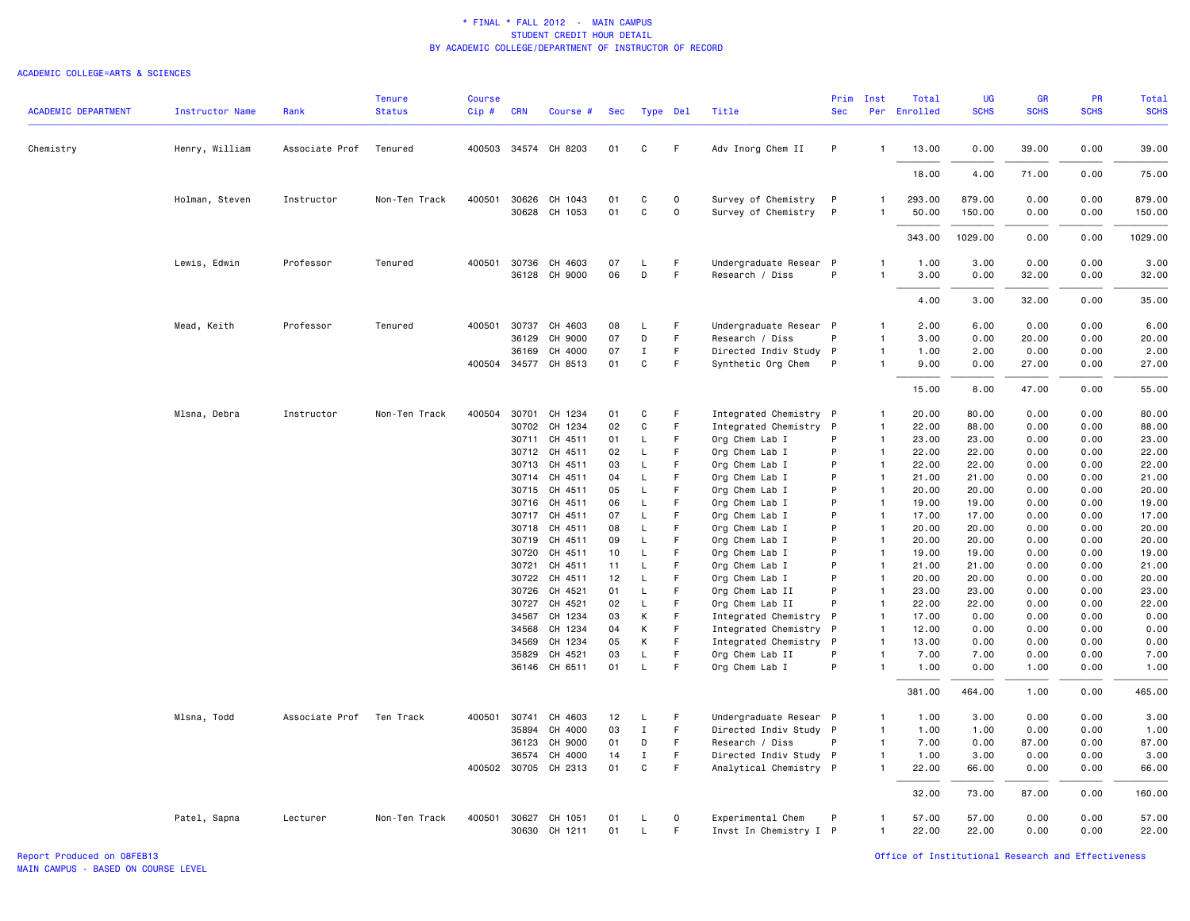#### ACADEMIC COLLEGE=ARTS & SCIENCES

|                            |                        |                | <b>Tenure</b> | Course |                |                      |            |              |             |                                           | Prim         | Inst                         | Total          | <b>UG</b>      | <b>GR</b>     | PR           | <b>Total</b>   |
|----------------------------|------------------------|----------------|---------------|--------|----------------|----------------------|------------|--------------|-------------|-------------------------------------------|--------------|------------------------------|----------------|----------------|---------------|--------------|----------------|
| <b>ACADEMIC DEPARTMENT</b> | <b>Instructor Name</b> | Rank           | <b>Status</b> | Cip#   | <b>CRN</b>     | Course #             | <b>Sec</b> |              | Type Del    | Title                                     | <b>Sec</b>   |                              | Per Enrolled   | <b>SCHS</b>    | <b>SCHS</b>   | <b>SCHS</b>  | <b>SCHS</b>    |
| Chemistry                  | Henry, William         | Associate Prof | Tenured       |        |                | 400503 34574 CH 8203 | 01         | C            | F           | Adv Inorg Chem II                         | P            | $\mathbf{1}$                 | 13.00          | 0.00           | 39.00         | 0.00         | 39.00          |
|                            |                        |                |               |        |                |                      |            |              |             |                                           |              |                              | 18.00          | 4.00           | 71.00         | 0.00         | 75.00          |
|                            | Holman, Steven         | Instructor     | Non-Ten Track | 400501 | 30626          | CH 1043              | 01         | C            | $\circ$     | Survey of Chemistry                       | P            | $\mathbf{1}$                 | 293.00         | 879.00         | 0.00          | 0.00         | 879.00         |
|                            |                        |                |               |        |                | 30628 CH 1053        | 01         | C            | $\mathbf 0$ | Survey of Chemistry                       | $\mathsf{P}$ |                              | 50.00          | 150.00         | 0.00          | 0.00         | 150.00         |
|                            |                        |                |               |        |                |                      |            |              |             |                                           |              |                              | 343.00         | 1029.00        | 0.00          | 0.00         | 1029.00        |
|                            | Lewis, Edwin           | Professor      | Tenured       |        | 400501 30736   | CH 4603              | 07         | L            | F.          | Undergraduate Resear P                    |              | 1                            | 1.00           | 3.00           | 0.00          | 0.00         | 3.00           |
|                            |                        |                |               |        |                | 36128 CH 9000        | 06         | D            | F           | Research / Diss                           | P            | $\mathbf{1}$                 | 3.00           | 0.00           | 32.00         | 0.00         | 32.00          |
|                            |                        |                |               |        |                |                      |            |              |             |                                           |              |                              | 4.00           | 3.00           | 32.00         | 0.00         | 35.00          |
|                            |                        |                |               |        |                |                      |            |              |             |                                           |              |                              |                |                |               |              |                |
|                            | Mead, Keith            | Professor      | Tenured       | 400501 | 30737<br>36129 | CH 4603<br>CH 9000   | 08<br>07   | L.<br>D      | F<br>F      | Undergraduate Resear P<br>Research / Diss | P            | 1<br>$\mathbf{1}$            | 2.00<br>3.00   | 6.00<br>0.00   | 0.00<br>20.00 | 0.00<br>0.00 | 6.00<br>20.00  |
|                            |                        |                |               |        | 36169          | CH 4000              | 07         | $\;$ I       | F           | Directed Indiv Study P                    |              | $\mathbf{1}$                 | 1.00           | 2.00           | 0.00          | 0.00         | 2.00           |
|                            |                        |                |               |        |                | 400504 34577 CH 8513 | 01         | $\mathtt{C}$ | F           | Synthetic Org Chem                        | P            | $\mathbf{1}$                 | 9.00           | 0.00           | 27.00         | 0.00         | 27.00          |
|                            |                        |                |               |        |                |                      |            |              |             |                                           |              |                              | 15.00          | 8.00           | 47.00         | 0.00         | 55.00          |
|                            | Mlsna, Debra           | Instructor     | Non-Ten Track |        | 400504 30701   | CH 1234              | 01         | C            | F           | Integrated Chemistry P                    |              | 1                            | 20.00          | 80.00          | 0.00          | 0.00         | 80.00          |
|                            |                        |                |               |        | 30702          | CH 1234              | 02         | C            | F           | Integrated Chemistry                      | - P          | $\mathbf{1}$                 | 22.00          | 88.00          | 0.00          | 0.00         | 88.00          |
|                            |                        |                |               |        | 30711          | CH 4511              | 01         | L            | F           | Org Chem Lab I                            | P            | $\mathbf{1}$                 | 23.00          | 23.00          | 0.00          | 0.00         | 23.00          |
|                            |                        |                |               |        | 30712          | CH 4511              | 02         | L            | F           | Org Chem Lab I                            | P            | $\mathbf{1}$                 | 22.00          | 22.00          | 0.00          | 0.00         | 22.00          |
|                            |                        |                |               |        | 30713          | CH 4511              | 03         | L            | F           | Org Chem Lab I                            | P            | $\mathbf{1}$                 | 22.00          | 22.00          | 0.00          | 0.00         | 22.00          |
|                            |                        |                |               |        | 30714          | CH 4511              | 04         | L            | F           | Org Chem Lab I                            | P            | $\mathbf{1}$                 | 21.00          | 21.00          | 0.00          | 0.00         | 21.00          |
|                            |                        |                |               |        | 30715          | CH 4511              | 05         | L            | F           | Org Chem Lab I                            | P            | $\overline{1}$               | 20.00          | 20,00          | 0.00          | 0.00         | 20.00          |
|                            |                        |                |               |        | 30716          | CH 4511              | 06         | L            | F           | Org Chem Lab I                            | P            | $\mathbf{1}$                 | 19.00          | 19.00          | 0.00          | 0.00         | 19.00          |
|                            |                        |                |               |        | 30717          | CH 4511              | 07         | L            | E           | Org Chem Lab I                            | P            | $\mathbf{1}$                 | 17.00          | 17.00          | 0.00          | 0.00         | 17.00          |
|                            |                        |                |               |        | 30718          | CH 4511              | 08         | L            | F.          | Org Chem Lab I                            | P            | $\overline{1}$               | 20.00          | 20.00          | 0.00          | 0.00         | 20.00          |
|                            |                        |                |               |        | 30719          | CH 4511              | 09         | L            | F           | Org Chem Lab I                            | P            | $\overline{1}$               | 20.00          | 20,00          | 0.00          | 0.00         | 20.00          |
|                            |                        |                |               |        | 30720          | CH 4511              | 10         | L            | F           | Org Chem Lab I                            | P            | $\mathbf{1}$                 | 19.00          | 19,00          | 0.00          | 0.00         | 19.00          |
|                            |                        |                |               |        | 30721          | CH 4511              | 11         | L            | F           | Org Chem Lab I                            | P            | $\mathbf{1}$                 | 21.00          | 21.00          | 0.00          | 0.00         | 21.00          |
|                            |                        |                |               |        |                | 30722 CH 4511        | 12         | $\mathsf L$  | F           | Org Chem Lab I                            | P            | $\overline{1}$               | 20.00          | 20.00          | 0.00          | 0.00         | 20.00          |
|                            |                        |                |               |        | 30726          | CH 4521<br>CH 4521   | 01<br>02   | L<br>L       | F<br>F      | Org Chem Lab II                           | P<br>P       | $\mathbf{1}$<br>$\mathbf{1}$ | 23.00<br>22.00 | 23.00<br>22.00 | 0.00<br>0.00  | 0.00<br>0.00 | 23.00<br>22.00 |
|                            |                        |                |               |        | 30727<br>34567 | CH 1234              | 03         | K            | F           | Org Chem Lab II<br>Integrated Chemistry P |              | $\mathbf{1}$                 | 17.00          | 0.00           | 0.00          | 0.00         | 0.00           |
|                            |                        |                |               |        | 34568          | CH 1234              | 04         | К            | F           | Integrated Chemistry P                    |              | $\mathbf{1}$                 | 12.00          | 0.00           | 0.00          | 0.00         | 0.00           |
|                            |                        |                |               |        | 34569          | CH 1234              | 05         | К            | F.          | Integrated Chemistry                      | $\mathsf{P}$ | $\mathbf{1}$                 | 13.00          | 0.00           | 0.00          | 0.00         | 0.00           |
|                            |                        |                |               |        | 35829          | CH 4521              | 03         | L            | F           | Org Chem Lab II                           | P            | $\mathbf{1}$                 | 7.00           | 7.00           | 0.00          | 0.00         | 7.00           |
|                            |                        |                |               |        |                | 36146 CH 6511        | 01         | L            | F           | Org Chem Lab I                            | P            | $\mathbf{1}$                 | 1.00           | 0.00           | 1.00          | 0.00         | 1.00           |
|                            |                        |                |               |        |                |                      |            |              |             |                                           |              |                              | 381.00         | 464.00         | 1.00          | 0.00         | 465.00         |
|                            | Mlsna, Todd            | Associate Prof | Ten Track     | 400501 | 30741          | CH 4603              | 12         | L            | F           | Undergraduate Resear P                    |              | $\mathbf{1}$                 | 1.00           | 3.00           | 0.00          | 0.00         | 3.00           |
|                            |                        |                |               |        | 35894          | CH 4000              | 03         | $\mathbf I$  | F.          | Directed Indiv Study P                    |              | $\overline{1}$               | 1.00           | 1.00           | 0.00          | 0.00         | 1.00           |
|                            |                        |                |               |        | 36123          | CH 9000              | 01         | D            | F           | Research / Diss                           | P            | $\mathbf{1}$                 | 7.00           | 0.00           | 87.00         | 0.00         | 87.00          |
|                            |                        |                |               |        | 36574          | CH 4000              | 14         | $\mathbf{I}$ | F           | Directed Indiv Study P                    |              | $\mathbf{1}$                 | 1.00           | 3.00           | 0.00          | 0.00         | 3.00           |
|                            |                        |                |               |        |                | 400502 30705 CH 2313 | 01         | C            | F           | Analytical Chemistry P                    |              | $\mathbf{1}$                 | 22.00          | 66.00          | 0.00          | 0.00         | 66.00          |
|                            |                        |                |               |        |                |                      |            |              |             |                                           |              |                              | 32.00          | 73.00          | 87.00         | 0.00         | 160.00         |
|                            | Patel, Sapna           | Lecturer       | Non-Ten Track |        | 400501 30627   | CH 1051              | 01         | L.           | $\circ$     | Experimental Chem                         | P            | $\mathbf{1}$                 | 57.00          | 57.00          | 0.00          | 0.00         | 57.00          |
|                            |                        |                |               |        |                | 30630 CH 1211        | 01         | $\mathsf{L}$ | F           | Invst In Chemistry I P                    |              | $\mathbf{1}$                 | 22.00          | 22.00          | 0.00          | 0.00         | 22.00          |
|                            |                        |                |               |        |                |                      |            |              |             |                                           |              |                              |                |                |               |              |                |

Report Produced on 08FEB13 Office of Institutional Research and Effectiveness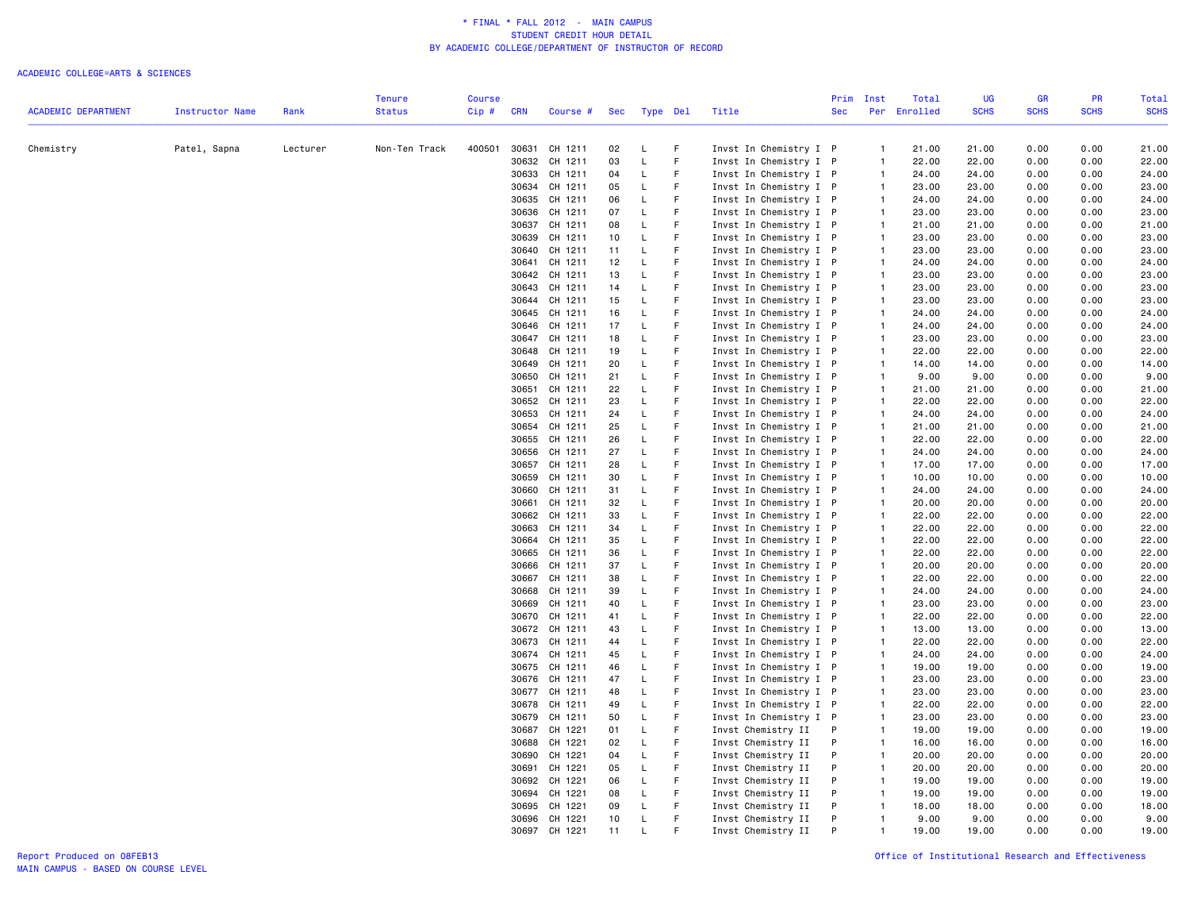| <b>SCHS</b><br><b>Status</b><br>Cip#<br>Per Enrolled<br><b>SCHS</b><br><b>SCHS</b><br><b>ACADEMIC DEPARTMENT</b><br>Instructor Name<br>Rank<br><b>CRN</b><br>Course #<br>Sec<br>Type Del<br>Title<br><b>Sec</b><br>Patel, Sapna<br>Lecturer<br>Non-Ten Track<br>400501<br>30631 CH 1211<br>F<br>Invst In Chemistry I P<br>21.00<br>21.00<br>0.00<br>0.00<br>21.00<br>Chemistry<br>02<br>L<br>$\mathbf{1}$<br>30632 CH 1211<br>03<br>L<br>F.<br>Invst In Chemistry I P<br>22.00<br>22.00<br>0.00<br>0.00<br>22.00<br>$\mathbf{1}$<br>F<br>30633 CH 1211<br>04<br>L<br>Invst In Chemistry I P<br>$\mathbf{1}$<br>24.00<br>24.00<br>0.00<br>0.00<br>24.00<br>30634 CH 1211<br>F<br>05<br>L<br>Invst In Chemistry I P<br>$\mathbf{1}$<br>23.00<br>23.00<br>0.00<br>0.00<br>23.00<br>CH 1211<br>F<br>Invst In Chemistry I P<br>24.00<br>30635<br>06<br>L<br>24.00<br>24.00<br>0.00<br>0.00<br>$\mathbf{1}$<br>$\mathsf L$<br>E<br>0.00<br>30636 CH 1211<br>07<br>Invst In Chemistry I P<br>23.00<br>23.00<br>0.00<br>23.00<br>$\mathbf{1}$<br>F<br>30637<br>CH 1211<br>08<br>L<br>Invst In Chemistry I P<br>$\mathbf{1}$<br>21.00<br>21.00<br>0.00<br>0.00<br>21.00<br>E<br>$\mathsf L$<br>23.00<br>0.00<br>0.00<br>30639<br>CH 1211<br>10<br>Invst In Chemistry I P<br>$\mathbf{1}$<br>23.00<br>23.00<br>F.<br>30640<br>CH 1211<br>L<br>Invst In Chemistry I P<br>23.00<br>23.00<br>0.00<br>0.00<br>23.00<br>11<br>$\mathbf{1}$<br>F<br>12<br>30641<br>CH 1211<br>L<br>Invst In Chemistry I P<br>$\mathbf{1}$<br>24.00<br>24.00<br>0.00<br>0.00<br>F<br>30642 CH 1211<br>13<br>L<br>Invst In Chemistry I P<br>$\mathbf{1}$<br>23.00<br>23.00<br>0.00<br>0.00<br>F<br>30643<br>CH 1211<br>14<br>L<br>Invst In Chemistry I P<br>$\mathbf{1}$<br>23.00<br>23.00<br>0.00<br>0.00<br>30644 CH 1211<br>15<br>F.<br>Invst In Chemistry I P<br>23.00<br>0.00<br>0.00<br>L<br>$\mathbf{1}$<br>23.00<br>30645 CH 1211<br>F<br>Invst In Chemistry I P<br>0.00<br>16<br>L<br>$\mathbf{1}$<br>24.00<br>24.00<br>0.00<br>F.<br>30646 CH 1211<br>17<br>L<br>Invst In Chemistry I P<br>$\mathbf{1}$<br>24.00<br>24.00<br>0.00<br>0.00<br>30647 CH 1211<br>18<br>L<br>F<br>Invst In Chemistry I P<br>23.00<br>23.00<br>0.00<br>0.00<br>$\mathbf{1}$<br>30648 CH 1211<br>19<br>L<br>F<br>Invst In Chemistry I P<br>22.00<br>22.00<br>0.00<br>0.00<br>$\mathbf{1}$<br>F<br>30649<br>CH 1211<br>20<br>L<br>Invst In Chemistry I P<br>$\mathbf{1}$<br>14.00<br>14.00<br>0.00<br>0.00<br>E<br>30650 CH 1211<br>21<br>L<br>9.00<br>9.00<br>0.00<br>0.00<br>Invst In Chemistry I P<br>$\mathbf{1}$<br>F<br>30651<br>CH 1211<br>22<br>L<br>Invst In Chemistry I P<br>21.00<br>0.00<br>0.00<br>$\mathbf{1}$<br>21.00<br>E<br>30652 CH 1211<br>23<br>L<br>Invst In Chemistry I P<br>22.00<br>0.00<br>0.00<br>$\mathbf{1}$<br>22.00<br>F.<br>30653<br>CH 1211<br>L<br>Invst In Chemistry I P<br>24<br>$\mathbf{1}$<br>24.00<br>24.00<br>0.00<br>0.00<br>F<br>30654<br>CH 1211<br>25<br>L<br>Invst In Chemistry I P<br>21.00<br>21.00<br>0.00<br>0.00<br>$\mathbf{1}$<br>F<br>30655<br>CH 1211<br>26<br>L<br>Invst In Chemistry I P<br>22.00<br>22.00<br>0.00<br>0.00<br>$\mathbf{1}$<br>E<br>Invst In Chemistry I P<br>30656<br>CH 1211<br>27<br>L<br>$\mathbf{1}$<br>24.00<br>24.00<br>0.00<br>0.00<br>30657 CH 1211<br>$\mathsf L$<br>F.<br>Invst In Chemistry I P<br>28<br>$\mathbf{1}$<br>17.00<br>17.00<br>0.00<br>0.00<br>F<br>30659<br>CH 1211<br>30<br>L<br>Invst In Chemistry I P<br>10.00<br>10.00<br>0.00<br>0.00<br>$\mathbf{1}$<br>30660<br>CH 1211<br>31<br>F<br>Invst In Chemistry I P<br>24.00<br>0.00<br>0.00<br>L<br>$\mathbf{1}$<br>24.00<br>CH 1211<br>32<br>L<br>F<br>Invst In Chemistry I P<br>20.00<br>0.00<br>30661<br>$\mathbf{1}$<br>20.00<br>0.00<br>F.<br>CH 1211<br>33<br>L<br>$\mathbf{1}$<br>22.00<br>22.00<br>0.00<br>0.00<br>30662<br>Invst In Chemistry I P<br>F<br>30663<br>CH 1211<br>L<br>22.00<br>22.00<br>22.00<br>34<br>Invst In Chemistry I P<br>0.00<br>0.00<br>$\mathbf{1}$<br>E<br>30664 CH 1211<br>35<br>L<br>22.00<br>0.00<br>22.00<br>Invst In Chemistry I P<br>$\mathbf{1}$<br>22.00<br>0.00<br>CH 1211<br>F<br>Invst In Chemistry I P<br>22.00<br>22.00<br>30665<br>36<br>L<br>$\mathbf{1}$<br>0.00<br>0.00<br>L<br>F<br>30666<br>CH 1211<br>37<br>Invst In Chemistry I P<br>$\mathbf{1}$<br>20.00<br>20.00<br>0.00<br>0.00<br>20.00<br>F.<br>30667<br>CH 1211<br>38<br>L<br>Invst In Chemistry I P<br>22.00<br>22.00<br>0.00<br>0.00<br>22.00<br>$\mathbf{1}$<br>F<br>30668<br>CH 1211<br>39<br>L<br>Invst In Chemistry I P<br>24.00<br>24.00<br>0.00<br>0.00<br>24.00<br>$\mathbf{1}$<br>30669 CH 1211<br>L<br>F<br>Invst In Chemistry I P<br>23.00<br>23.00<br>0.00<br>0.00<br>23.00<br>40<br>$\mathbf{1}$<br>F<br>30670<br>CH 1211<br>41<br>L<br>Invst In Chemistry I P<br>22.00<br>22.00<br>0.00<br>0.00<br>22.00<br>$\mathbf{1}$<br>F<br>30672 CH 1211<br>43<br>L<br>Invst In Chemistry I P<br>13.00<br>13.00<br>0.00<br>0.00<br>13.00<br>$\mathbf{1}$<br>F<br>22.00<br>30673 CH 1211<br>L<br>Invst In Chemistry I P<br>$\mathbf{1}$<br>22.00<br>0.00<br>0.00<br>22.00<br>44<br>$\mathsf L$<br>E<br>30674 CH 1211<br>45<br>Invst In Chemistry I P<br>$\mathbf{1}$<br>24.00<br>24.00<br>0.00<br>0.00<br>24.00<br>30675 CH 1211<br>L<br>F<br>Invst In Chemistry I P<br>19.00<br>19.00<br>0.00<br>0.00<br>19.00<br>46<br>$\mathbf{1}$<br>$\mathsf L$<br>E<br>30676 CH 1211<br>47<br>Invst In Chemistry I P<br>$\overline{1}$<br>23.00<br>23.00<br>0.00<br>0.00<br>23.00<br>F<br>30677<br>CH 1211<br>L<br>Invst In Chemistry I P<br>$\mathbf{1}$<br>23.00<br>23.00<br>0.00<br>0.00<br>23.00<br>48<br>F<br>30678<br>CH 1211<br>49<br>L<br>Invst In Chemistry I P<br>$\mathbf{1}$<br>22.00<br>22.00<br>0.00<br>0.00<br>22.00<br>F<br>30679<br>CH 1211<br>50<br>L<br>Invst In Chemistry I P<br>23.00<br>23.00<br>0.00<br>0.00<br>23.00<br>$\mathbf{1}$<br>F<br>30687 CH 1221<br>01<br>L<br>Invst Chemistry II<br>P<br>$\mathbf{1}$<br>19.00<br>19.00<br>0.00<br>0.00<br>19.00<br>CH 1221<br>L<br>F<br>16.00<br>0.00<br>0.00<br>30688<br>02<br>Invst Chemistry II<br>P<br>$\mathbf{1}$<br>16.00<br>16.00<br>CH 1221<br>F.<br>20.00<br>30690<br>04<br>L<br>Invst Chemistry II<br>P<br>$\mathbf{1}$<br>20.00<br>20.00<br>0.00<br>0.00<br>F<br>30691<br>CH 1221<br>05<br>L.<br>Invst Chemistry II<br>P<br>20.00<br>20.00<br>0.00<br>0.00<br>20.00<br>$\mathbf{1}$<br>30692 CH 1221<br>L<br>F<br>Invst Chemistry II<br>19.00<br>19.00<br>0.00<br>0.00<br>19.00<br>06<br>P<br>$\mathbf{1}$<br>30694 CH 1221<br>08<br>L<br>F.<br>P<br>19.00<br>19.00<br>0.00<br>0.00<br>19.00<br>Invst Chemistry II<br>$\mathbf{1}$<br>CH 1221<br>09<br>L<br>F<br>P<br>18.00<br>18.00<br>0.00<br>0.00<br>18.00<br>30695<br>Invst Chemistry II<br>$\overline{1}$<br>E<br>30696 CH 1221<br>10<br>L<br>Invst Chemistry II<br>P<br>9.00<br>9.00<br>0.00<br>0.00<br>$\overline{1}$<br>30697 CH 1221<br>19.00<br>0.00<br>11<br>Invst Chemistry II<br>P<br>$\mathbf{1}$<br>19.00<br>0.00<br>19.00 |  |  | <b>Tenure</b> | <b>Course</b> |  |  |  | Prim | Inst | Total | UG | <b>GR</b> | <b>PR</b> | Total       |
|-------------------------------------------------------------------------------------------------------------------------------------------------------------------------------------------------------------------------------------------------------------------------------------------------------------------------------------------------------------------------------------------------------------------------------------------------------------------------------------------------------------------------------------------------------------------------------------------------------------------------------------------------------------------------------------------------------------------------------------------------------------------------------------------------------------------------------------------------------------------------------------------------------------------------------------------------------------------------------------------------------------------------------------------------------------------------------------------------------------------------------------------------------------------------------------------------------------------------------------------------------------------------------------------------------------------------------------------------------------------------------------------------------------------------------------------------------------------------------------------------------------------------------------------------------------------------------------------------------------------------------------------------------------------------------------------------------------------------------------------------------------------------------------------------------------------------------------------------------------------------------------------------------------------------------------------------------------------------------------------------------------------------------------------------------------------------------------------------------------------------------------------------------------------------------------------------------------------------------------------------------------------------------------------------------------------------------------------------------------------------------------------------------------------------------------------------------------------------------------------------------------------------------------------------------------------------------------------------------------------------------------------------------------------------------------------------------------------------------------------------------------------------------------------------------------------------------------------------------------------------------------------------------------------------------------------------------------------------------------------------------------------------------------------------------------------------------------------------------------------------------------------------------------------------------------------------------------------------------------------------------------------------------------------------------------------------------------------------------------------------------------------------------------------------------------------------------------------------------------------------------------------------------------------------------------------------------------------------------------------------------------------------------------------------------------------------------------------------------------------------------------------------------------------------------------------------------------------------------------------------------------------------------------------------------------------------------------------------------------------------------------------------------------------------------------------------------------------------------------------------------------------------------------------------------------------------------------------------------------------------------------------------------------------------------------------------------------------------------------------------------------------------------------------------------------------------------------------------------------------------------------------------------------------------------------------------------------------------------------------------------------------------------------------------------------------------------------------------------------------------------------------------------------------------------------------------------------------------------------------------------------------------------------------------------------------------------------------------------------------------------------------------------------------------------------------------------------------------------------------------------------------------------------------------------------------------------------------------------------------------------------------------------------------------------------------------------------------------------------------------------------------------------------------------------------------------------------------------------------------------------------------------------------------------------------------------------------------------------------------------------------------------------------------------------------------------------------------------------------------------------------------------------------------------------------------------------------------------------------------------------------------------------------------------------------------------------------------------------------------------------------------------------------------------------------------------------------------------------------------------------------------------------------------------------------------------------------------------------------------------------------------------------------------------------------------------------------------------------------------------------------------------------------------------------------------------------------------------------------------------------------------------------------------------------------------------------------------------------------------------------------------------------------------------------------------------------------------------------------------------------------------------------------------------------------------------------------------------------------------------------------------------------------------------------------------------------------------------------------|--|--|---------------|---------------|--|--|--|------|------|-------|----|-----------|-----------|-------------|
|                                                                                                                                                                                                                                                                                                                                                                                                                                                                                                                                                                                                                                                                                                                                                                                                                                                                                                                                                                                                                                                                                                                                                                                                                                                                                                                                                                                                                                                                                                                                                                                                                                                                                                                                                                                                                                                                                                                                                                                                                                                                                                                                                                                                                                                                                                                                                                                                                                                                                                                                                                                                                                                                                                                                                                                                                                                                                                                                                                                                                                                                                                                                                                                                                                                                                                                                                                                                                                                                                                                                                                                                                                                                                                                                                                                                                                                                                                                                                                                                                                                                                                                                                                                                                                                                                                                                                                                                                                                                                                                                                                                                                                                                                                                                                                                                                                                                                                                                                                                                                                                                                                                                                                                                                                                                                                                                                                                                                                                                                                                                                                                                                                                                                                                                                                                                                                                                                                                                                                                                                                                                                                                                                                                                                                                                                                                                                                                                                                                                                                                                                                                                                                                                                                                                                                                                                                                                                                                                                                                     |  |  |               |               |  |  |  |      |      |       |    |           |           | <b>SCHS</b> |
|                                                                                                                                                                                                                                                                                                                                                                                                                                                                                                                                                                                                                                                                                                                                                                                                                                                                                                                                                                                                                                                                                                                                                                                                                                                                                                                                                                                                                                                                                                                                                                                                                                                                                                                                                                                                                                                                                                                                                                                                                                                                                                                                                                                                                                                                                                                                                                                                                                                                                                                                                                                                                                                                                                                                                                                                                                                                                                                                                                                                                                                                                                                                                                                                                                                                                                                                                                                                                                                                                                                                                                                                                                                                                                                                                                                                                                                                                                                                                                                                                                                                                                                                                                                                                                                                                                                                                                                                                                                                                                                                                                                                                                                                                                                                                                                                                                                                                                                                                                                                                                                                                                                                                                                                                                                                                                                                                                                                                                                                                                                                                                                                                                                                                                                                                                                                                                                                                                                                                                                                                                                                                                                                                                                                                                                                                                                                                                                                                                                                                                                                                                                                                                                                                                                                                                                                                                                                                                                                                                                     |  |  |               |               |  |  |  |      |      |       |    |           |           |             |
|                                                                                                                                                                                                                                                                                                                                                                                                                                                                                                                                                                                                                                                                                                                                                                                                                                                                                                                                                                                                                                                                                                                                                                                                                                                                                                                                                                                                                                                                                                                                                                                                                                                                                                                                                                                                                                                                                                                                                                                                                                                                                                                                                                                                                                                                                                                                                                                                                                                                                                                                                                                                                                                                                                                                                                                                                                                                                                                                                                                                                                                                                                                                                                                                                                                                                                                                                                                                                                                                                                                                                                                                                                                                                                                                                                                                                                                                                                                                                                                                                                                                                                                                                                                                                                                                                                                                                                                                                                                                                                                                                                                                                                                                                                                                                                                                                                                                                                                                                                                                                                                                                                                                                                                                                                                                                                                                                                                                                                                                                                                                                                                                                                                                                                                                                                                                                                                                                                                                                                                                                                                                                                                                                                                                                                                                                                                                                                                                                                                                                                                                                                                                                                                                                                                                                                                                                                                                                                                                                                                     |  |  |               |               |  |  |  |      |      |       |    |           |           |             |
|                                                                                                                                                                                                                                                                                                                                                                                                                                                                                                                                                                                                                                                                                                                                                                                                                                                                                                                                                                                                                                                                                                                                                                                                                                                                                                                                                                                                                                                                                                                                                                                                                                                                                                                                                                                                                                                                                                                                                                                                                                                                                                                                                                                                                                                                                                                                                                                                                                                                                                                                                                                                                                                                                                                                                                                                                                                                                                                                                                                                                                                                                                                                                                                                                                                                                                                                                                                                                                                                                                                                                                                                                                                                                                                                                                                                                                                                                                                                                                                                                                                                                                                                                                                                                                                                                                                                                                                                                                                                                                                                                                                                                                                                                                                                                                                                                                                                                                                                                                                                                                                                                                                                                                                                                                                                                                                                                                                                                                                                                                                                                                                                                                                                                                                                                                                                                                                                                                                                                                                                                                                                                                                                                                                                                                                                                                                                                                                                                                                                                                                                                                                                                                                                                                                                                                                                                                                                                                                                                                                     |  |  |               |               |  |  |  |      |      |       |    |           |           |             |
|                                                                                                                                                                                                                                                                                                                                                                                                                                                                                                                                                                                                                                                                                                                                                                                                                                                                                                                                                                                                                                                                                                                                                                                                                                                                                                                                                                                                                                                                                                                                                                                                                                                                                                                                                                                                                                                                                                                                                                                                                                                                                                                                                                                                                                                                                                                                                                                                                                                                                                                                                                                                                                                                                                                                                                                                                                                                                                                                                                                                                                                                                                                                                                                                                                                                                                                                                                                                                                                                                                                                                                                                                                                                                                                                                                                                                                                                                                                                                                                                                                                                                                                                                                                                                                                                                                                                                                                                                                                                                                                                                                                                                                                                                                                                                                                                                                                                                                                                                                                                                                                                                                                                                                                                                                                                                                                                                                                                                                                                                                                                                                                                                                                                                                                                                                                                                                                                                                                                                                                                                                                                                                                                                                                                                                                                                                                                                                                                                                                                                                                                                                                                                                                                                                                                                                                                                                                                                                                                                                                     |  |  |               |               |  |  |  |      |      |       |    |           |           |             |
|                                                                                                                                                                                                                                                                                                                                                                                                                                                                                                                                                                                                                                                                                                                                                                                                                                                                                                                                                                                                                                                                                                                                                                                                                                                                                                                                                                                                                                                                                                                                                                                                                                                                                                                                                                                                                                                                                                                                                                                                                                                                                                                                                                                                                                                                                                                                                                                                                                                                                                                                                                                                                                                                                                                                                                                                                                                                                                                                                                                                                                                                                                                                                                                                                                                                                                                                                                                                                                                                                                                                                                                                                                                                                                                                                                                                                                                                                                                                                                                                                                                                                                                                                                                                                                                                                                                                                                                                                                                                                                                                                                                                                                                                                                                                                                                                                                                                                                                                                                                                                                                                                                                                                                                                                                                                                                                                                                                                                                                                                                                                                                                                                                                                                                                                                                                                                                                                                                                                                                                                                                                                                                                                                                                                                                                                                                                                                                                                                                                                                                                                                                                                                                                                                                                                                                                                                                                                                                                                                                                     |  |  |               |               |  |  |  |      |      |       |    |           |           |             |
|                                                                                                                                                                                                                                                                                                                                                                                                                                                                                                                                                                                                                                                                                                                                                                                                                                                                                                                                                                                                                                                                                                                                                                                                                                                                                                                                                                                                                                                                                                                                                                                                                                                                                                                                                                                                                                                                                                                                                                                                                                                                                                                                                                                                                                                                                                                                                                                                                                                                                                                                                                                                                                                                                                                                                                                                                                                                                                                                                                                                                                                                                                                                                                                                                                                                                                                                                                                                                                                                                                                                                                                                                                                                                                                                                                                                                                                                                                                                                                                                                                                                                                                                                                                                                                                                                                                                                                                                                                                                                                                                                                                                                                                                                                                                                                                                                                                                                                                                                                                                                                                                                                                                                                                                                                                                                                                                                                                                                                                                                                                                                                                                                                                                                                                                                                                                                                                                                                                                                                                                                                                                                                                                                                                                                                                                                                                                                                                                                                                                                                                                                                                                                                                                                                                                                                                                                                                                                                                                                                                     |  |  |               |               |  |  |  |      |      |       |    |           |           |             |
|                                                                                                                                                                                                                                                                                                                                                                                                                                                                                                                                                                                                                                                                                                                                                                                                                                                                                                                                                                                                                                                                                                                                                                                                                                                                                                                                                                                                                                                                                                                                                                                                                                                                                                                                                                                                                                                                                                                                                                                                                                                                                                                                                                                                                                                                                                                                                                                                                                                                                                                                                                                                                                                                                                                                                                                                                                                                                                                                                                                                                                                                                                                                                                                                                                                                                                                                                                                                                                                                                                                                                                                                                                                                                                                                                                                                                                                                                                                                                                                                                                                                                                                                                                                                                                                                                                                                                                                                                                                                                                                                                                                                                                                                                                                                                                                                                                                                                                                                                                                                                                                                                                                                                                                                                                                                                                                                                                                                                                                                                                                                                                                                                                                                                                                                                                                                                                                                                                                                                                                                                                                                                                                                                                                                                                                                                                                                                                                                                                                                                                                                                                                                                                                                                                                                                                                                                                                                                                                                                                                     |  |  |               |               |  |  |  |      |      |       |    |           |           |             |
|                                                                                                                                                                                                                                                                                                                                                                                                                                                                                                                                                                                                                                                                                                                                                                                                                                                                                                                                                                                                                                                                                                                                                                                                                                                                                                                                                                                                                                                                                                                                                                                                                                                                                                                                                                                                                                                                                                                                                                                                                                                                                                                                                                                                                                                                                                                                                                                                                                                                                                                                                                                                                                                                                                                                                                                                                                                                                                                                                                                                                                                                                                                                                                                                                                                                                                                                                                                                                                                                                                                                                                                                                                                                                                                                                                                                                                                                                                                                                                                                                                                                                                                                                                                                                                                                                                                                                                                                                                                                                                                                                                                                                                                                                                                                                                                                                                                                                                                                                                                                                                                                                                                                                                                                                                                                                                                                                                                                                                                                                                                                                                                                                                                                                                                                                                                                                                                                                                                                                                                                                                                                                                                                                                                                                                                                                                                                                                                                                                                                                                                                                                                                                                                                                                                                                                                                                                                                                                                                                                                     |  |  |               |               |  |  |  |      |      |       |    |           |           |             |
|                                                                                                                                                                                                                                                                                                                                                                                                                                                                                                                                                                                                                                                                                                                                                                                                                                                                                                                                                                                                                                                                                                                                                                                                                                                                                                                                                                                                                                                                                                                                                                                                                                                                                                                                                                                                                                                                                                                                                                                                                                                                                                                                                                                                                                                                                                                                                                                                                                                                                                                                                                                                                                                                                                                                                                                                                                                                                                                                                                                                                                                                                                                                                                                                                                                                                                                                                                                                                                                                                                                                                                                                                                                                                                                                                                                                                                                                                                                                                                                                                                                                                                                                                                                                                                                                                                                                                                                                                                                                                                                                                                                                                                                                                                                                                                                                                                                                                                                                                                                                                                                                                                                                                                                                                                                                                                                                                                                                                                                                                                                                                                                                                                                                                                                                                                                                                                                                                                                                                                                                                                                                                                                                                                                                                                                                                                                                                                                                                                                                                                                                                                                                                                                                                                                                                                                                                                                                                                                                                                                     |  |  |               |               |  |  |  |      |      |       |    |           |           |             |
|                                                                                                                                                                                                                                                                                                                                                                                                                                                                                                                                                                                                                                                                                                                                                                                                                                                                                                                                                                                                                                                                                                                                                                                                                                                                                                                                                                                                                                                                                                                                                                                                                                                                                                                                                                                                                                                                                                                                                                                                                                                                                                                                                                                                                                                                                                                                                                                                                                                                                                                                                                                                                                                                                                                                                                                                                                                                                                                                                                                                                                                                                                                                                                                                                                                                                                                                                                                                                                                                                                                                                                                                                                                                                                                                                                                                                                                                                                                                                                                                                                                                                                                                                                                                                                                                                                                                                                                                                                                                                                                                                                                                                                                                                                                                                                                                                                                                                                                                                                                                                                                                                                                                                                                                                                                                                                                                                                                                                                                                                                                                                                                                                                                                                                                                                                                                                                                                                                                                                                                                                                                                                                                                                                                                                                                                                                                                                                                                                                                                                                                                                                                                                                                                                                                                                                                                                                                                                                                                                                                     |  |  |               |               |  |  |  |      |      |       |    |           |           | 24.00       |
|                                                                                                                                                                                                                                                                                                                                                                                                                                                                                                                                                                                                                                                                                                                                                                                                                                                                                                                                                                                                                                                                                                                                                                                                                                                                                                                                                                                                                                                                                                                                                                                                                                                                                                                                                                                                                                                                                                                                                                                                                                                                                                                                                                                                                                                                                                                                                                                                                                                                                                                                                                                                                                                                                                                                                                                                                                                                                                                                                                                                                                                                                                                                                                                                                                                                                                                                                                                                                                                                                                                                                                                                                                                                                                                                                                                                                                                                                                                                                                                                                                                                                                                                                                                                                                                                                                                                                                                                                                                                                                                                                                                                                                                                                                                                                                                                                                                                                                                                                                                                                                                                                                                                                                                                                                                                                                                                                                                                                                                                                                                                                                                                                                                                                                                                                                                                                                                                                                                                                                                                                                                                                                                                                                                                                                                                                                                                                                                                                                                                                                                                                                                                                                                                                                                                                                                                                                                                                                                                                                                     |  |  |               |               |  |  |  |      |      |       |    |           |           | 23.00       |
|                                                                                                                                                                                                                                                                                                                                                                                                                                                                                                                                                                                                                                                                                                                                                                                                                                                                                                                                                                                                                                                                                                                                                                                                                                                                                                                                                                                                                                                                                                                                                                                                                                                                                                                                                                                                                                                                                                                                                                                                                                                                                                                                                                                                                                                                                                                                                                                                                                                                                                                                                                                                                                                                                                                                                                                                                                                                                                                                                                                                                                                                                                                                                                                                                                                                                                                                                                                                                                                                                                                                                                                                                                                                                                                                                                                                                                                                                                                                                                                                                                                                                                                                                                                                                                                                                                                                                                                                                                                                                                                                                                                                                                                                                                                                                                                                                                                                                                                                                                                                                                                                                                                                                                                                                                                                                                                                                                                                                                                                                                                                                                                                                                                                                                                                                                                                                                                                                                                                                                                                                                                                                                                                                                                                                                                                                                                                                                                                                                                                                                                                                                                                                                                                                                                                                                                                                                                                                                                                                                                     |  |  |               |               |  |  |  |      |      |       |    |           |           | 23.00       |
|                                                                                                                                                                                                                                                                                                                                                                                                                                                                                                                                                                                                                                                                                                                                                                                                                                                                                                                                                                                                                                                                                                                                                                                                                                                                                                                                                                                                                                                                                                                                                                                                                                                                                                                                                                                                                                                                                                                                                                                                                                                                                                                                                                                                                                                                                                                                                                                                                                                                                                                                                                                                                                                                                                                                                                                                                                                                                                                                                                                                                                                                                                                                                                                                                                                                                                                                                                                                                                                                                                                                                                                                                                                                                                                                                                                                                                                                                                                                                                                                                                                                                                                                                                                                                                                                                                                                                                                                                                                                                                                                                                                                                                                                                                                                                                                                                                                                                                                                                                                                                                                                                                                                                                                                                                                                                                                                                                                                                                                                                                                                                                                                                                                                                                                                                                                                                                                                                                                                                                                                                                                                                                                                                                                                                                                                                                                                                                                                                                                                                                                                                                                                                                                                                                                                                                                                                                                                                                                                                                                     |  |  |               |               |  |  |  |      |      |       |    |           |           | 23.00       |
|                                                                                                                                                                                                                                                                                                                                                                                                                                                                                                                                                                                                                                                                                                                                                                                                                                                                                                                                                                                                                                                                                                                                                                                                                                                                                                                                                                                                                                                                                                                                                                                                                                                                                                                                                                                                                                                                                                                                                                                                                                                                                                                                                                                                                                                                                                                                                                                                                                                                                                                                                                                                                                                                                                                                                                                                                                                                                                                                                                                                                                                                                                                                                                                                                                                                                                                                                                                                                                                                                                                                                                                                                                                                                                                                                                                                                                                                                                                                                                                                                                                                                                                                                                                                                                                                                                                                                                                                                                                                                                                                                                                                                                                                                                                                                                                                                                                                                                                                                                                                                                                                                                                                                                                                                                                                                                                                                                                                                                                                                                                                                                                                                                                                                                                                                                                                                                                                                                                                                                                                                                                                                                                                                                                                                                                                                                                                                                                                                                                                                                                                                                                                                                                                                                                                                                                                                                                                                                                                                                                     |  |  |               |               |  |  |  |      |      |       |    |           |           | 24.00       |
|                                                                                                                                                                                                                                                                                                                                                                                                                                                                                                                                                                                                                                                                                                                                                                                                                                                                                                                                                                                                                                                                                                                                                                                                                                                                                                                                                                                                                                                                                                                                                                                                                                                                                                                                                                                                                                                                                                                                                                                                                                                                                                                                                                                                                                                                                                                                                                                                                                                                                                                                                                                                                                                                                                                                                                                                                                                                                                                                                                                                                                                                                                                                                                                                                                                                                                                                                                                                                                                                                                                                                                                                                                                                                                                                                                                                                                                                                                                                                                                                                                                                                                                                                                                                                                                                                                                                                                                                                                                                                                                                                                                                                                                                                                                                                                                                                                                                                                                                                                                                                                                                                                                                                                                                                                                                                                                                                                                                                                                                                                                                                                                                                                                                                                                                                                                                                                                                                                                                                                                                                                                                                                                                                                                                                                                                                                                                                                                                                                                                                                                                                                                                                                                                                                                                                                                                                                                                                                                                                                                     |  |  |               |               |  |  |  |      |      |       |    |           |           | 24.00       |
|                                                                                                                                                                                                                                                                                                                                                                                                                                                                                                                                                                                                                                                                                                                                                                                                                                                                                                                                                                                                                                                                                                                                                                                                                                                                                                                                                                                                                                                                                                                                                                                                                                                                                                                                                                                                                                                                                                                                                                                                                                                                                                                                                                                                                                                                                                                                                                                                                                                                                                                                                                                                                                                                                                                                                                                                                                                                                                                                                                                                                                                                                                                                                                                                                                                                                                                                                                                                                                                                                                                                                                                                                                                                                                                                                                                                                                                                                                                                                                                                                                                                                                                                                                                                                                                                                                                                                                                                                                                                                                                                                                                                                                                                                                                                                                                                                                                                                                                                                                                                                                                                                                                                                                                                                                                                                                                                                                                                                                                                                                                                                                                                                                                                                                                                                                                                                                                                                                                                                                                                                                                                                                                                                                                                                                                                                                                                                                                                                                                                                                                                                                                                                                                                                                                                                                                                                                                                                                                                                                                     |  |  |               |               |  |  |  |      |      |       |    |           |           | 23.00       |
|                                                                                                                                                                                                                                                                                                                                                                                                                                                                                                                                                                                                                                                                                                                                                                                                                                                                                                                                                                                                                                                                                                                                                                                                                                                                                                                                                                                                                                                                                                                                                                                                                                                                                                                                                                                                                                                                                                                                                                                                                                                                                                                                                                                                                                                                                                                                                                                                                                                                                                                                                                                                                                                                                                                                                                                                                                                                                                                                                                                                                                                                                                                                                                                                                                                                                                                                                                                                                                                                                                                                                                                                                                                                                                                                                                                                                                                                                                                                                                                                                                                                                                                                                                                                                                                                                                                                                                                                                                                                                                                                                                                                                                                                                                                                                                                                                                                                                                                                                                                                                                                                                                                                                                                                                                                                                                                                                                                                                                                                                                                                                                                                                                                                                                                                                                                                                                                                                                                                                                                                                                                                                                                                                                                                                                                                                                                                                                                                                                                                                                                                                                                                                                                                                                                                                                                                                                                                                                                                                                                     |  |  |               |               |  |  |  |      |      |       |    |           |           | 22.00       |
|                                                                                                                                                                                                                                                                                                                                                                                                                                                                                                                                                                                                                                                                                                                                                                                                                                                                                                                                                                                                                                                                                                                                                                                                                                                                                                                                                                                                                                                                                                                                                                                                                                                                                                                                                                                                                                                                                                                                                                                                                                                                                                                                                                                                                                                                                                                                                                                                                                                                                                                                                                                                                                                                                                                                                                                                                                                                                                                                                                                                                                                                                                                                                                                                                                                                                                                                                                                                                                                                                                                                                                                                                                                                                                                                                                                                                                                                                                                                                                                                                                                                                                                                                                                                                                                                                                                                                                                                                                                                                                                                                                                                                                                                                                                                                                                                                                                                                                                                                                                                                                                                                                                                                                                                                                                                                                                                                                                                                                                                                                                                                                                                                                                                                                                                                                                                                                                                                                                                                                                                                                                                                                                                                                                                                                                                                                                                                                                                                                                                                                                                                                                                                                                                                                                                                                                                                                                                                                                                                                                     |  |  |               |               |  |  |  |      |      |       |    |           |           | 14.00       |
|                                                                                                                                                                                                                                                                                                                                                                                                                                                                                                                                                                                                                                                                                                                                                                                                                                                                                                                                                                                                                                                                                                                                                                                                                                                                                                                                                                                                                                                                                                                                                                                                                                                                                                                                                                                                                                                                                                                                                                                                                                                                                                                                                                                                                                                                                                                                                                                                                                                                                                                                                                                                                                                                                                                                                                                                                                                                                                                                                                                                                                                                                                                                                                                                                                                                                                                                                                                                                                                                                                                                                                                                                                                                                                                                                                                                                                                                                                                                                                                                                                                                                                                                                                                                                                                                                                                                                                                                                                                                                                                                                                                                                                                                                                                                                                                                                                                                                                                                                                                                                                                                                                                                                                                                                                                                                                                                                                                                                                                                                                                                                                                                                                                                                                                                                                                                                                                                                                                                                                                                                                                                                                                                                                                                                                                                                                                                                                                                                                                                                                                                                                                                                                                                                                                                                                                                                                                                                                                                                                                     |  |  |               |               |  |  |  |      |      |       |    |           |           | 9.00        |
|                                                                                                                                                                                                                                                                                                                                                                                                                                                                                                                                                                                                                                                                                                                                                                                                                                                                                                                                                                                                                                                                                                                                                                                                                                                                                                                                                                                                                                                                                                                                                                                                                                                                                                                                                                                                                                                                                                                                                                                                                                                                                                                                                                                                                                                                                                                                                                                                                                                                                                                                                                                                                                                                                                                                                                                                                                                                                                                                                                                                                                                                                                                                                                                                                                                                                                                                                                                                                                                                                                                                                                                                                                                                                                                                                                                                                                                                                                                                                                                                                                                                                                                                                                                                                                                                                                                                                                                                                                                                                                                                                                                                                                                                                                                                                                                                                                                                                                                                                                                                                                                                                                                                                                                                                                                                                                                                                                                                                                                                                                                                                                                                                                                                                                                                                                                                                                                                                                                                                                                                                                                                                                                                                                                                                                                                                                                                                                                                                                                                                                                                                                                                                                                                                                                                                                                                                                                                                                                                                                                     |  |  |               |               |  |  |  |      |      |       |    |           |           | 21.00       |
|                                                                                                                                                                                                                                                                                                                                                                                                                                                                                                                                                                                                                                                                                                                                                                                                                                                                                                                                                                                                                                                                                                                                                                                                                                                                                                                                                                                                                                                                                                                                                                                                                                                                                                                                                                                                                                                                                                                                                                                                                                                                                                                                                                                                                                                                                                                                                                                                                                                                                                                                                                                                                                                                                                                                                                                                                                                                                                                                                                                                                                                                                                                                                                                                                                                                                                                                                                                                                                                                                                                                                                                                                                                                                                                                                                                                                                                                                                                                                                                                                                                                                                                                                                                                                                                                                                                                                                                                                                                                                                                                                                                                                                                                                                                                                                                                                                                                                                                                                                                                                                                                                                                                                                                                                                                                                                                                                                                                                                                                                                                                                                                                                                                                                                                                                                                                                                                                                                                                                                                                                                                                                                                                                                                                                                                                                                                                                                                                                                                                                                                                                                                                                                                                                                                                                                                                                                                                                                                                                                                     |  |  |               |               |  |  |  |      |      |       |    |           |           | 22.00       |
|                                                                                                                                                                                                                                                                                                                                                                                                                                                                                                                                                                                                                                                                                                                                                                                                                                                                                                                                                                                                                                                                                                                                                                                                                                                                                                                                                                                                                                                                                                                                                                                                                                                                                                                                                                                                                                                                                                                                                                                                                                                                                                                                                                                                                                                                                                                                                                                                                                                                                                                                                                                                                                                                                                                                                                                                                                                                                                                                                                                                                                                                                                                                                                                                                                                                                                                                                                                                                                                                                                                                                                                                                                                                                                                                                                                                                                                                                                                                                                                                                                                                                                                                                                                                                                                                                                                                                                                                                                                                                                                                                                                                                                                                                                                                                                                                                                                                                                                                                                                                                                                                                                                                                                                                                                                                                                                                                                                                                                                                                                                                                                                                                                                                                                                                                                                                                                                                                                                                                                                                                                                                                                                                                                                                                                                                                                                                                                                                                                                                                                                                                                                                                                                                                                                                                                                                                                                                                                                                                                                     |  |  |               |               |  |  |  |      |      |       |    |           |           | 24.00       |
|                                                                                                                                                                                                                                                                                                                                                                                                                                                                                                                                                                                                                                                                                                                                                                                                                                                                                                                                                                                                                                                                                                                                                                                                                                                                                                                                                                                                                                                                                                                                                                                                                                                                                                                                                                                                                                                                                                                                                                                                                                                                                                                                                                                                                                                                                                                                                                                                                                                                                                                                                                                                                                                                                                                                                                                                                                                                                                                                                                                                                                                                                                                                                                                                                                                                                                                                                                                                                                                                                                                                                                                                                                                                                                                                                                                                                                                                                                                                                                                                                                                                                                                                                                                                                                                                                                                                                                                                                                                                                                                                                                                                                                                                                                                                                                                                                                                                                                                                                                                                                                                                                                                                                                                                                                                                                                                                                                                                                                                                                                                                                                                                                                                                                                                                                                                                                                                                                                                                                                                                                                                                                                                                                                                                                                                                                                                                                                                                                                                                                                                                                                                                                                                                                                                                                                                                                                                                                                                                                                                     |  |  |               |               |  |  |  |      |      |       |    |           |           | 21.00       |
|                                                                                                                                                                                                                                                                                                                                                                                                                                                                                                                                                                                                                                                                                                                                                                                                                                                                                                                                                                                                                                                                                                                                                                                                                                                                                                                                                                                                                                                                                                                                                                                                                                                                                                                                                                                                                                                                                                                                                                                                                                                                                                                                                                                                                                                                                                                                                                                                                                                                                                                                                                                                                                                                                                                                                                                                                                                                                                                                                                                                                                                                                                                                                                                                                                                                                                                                                                                                                                                                                                                                                                                                                                                                                                                                                                                                                                                                                                                                                                                                                                                                                                                                                                                                                                                                                                                                                                                                                                                                                                                                                                                                                                                                                                                                                                                                                                                                                                                                                                                                                                                                                                                                                                                                                                                                                                                                                                                                                                                                                                                                                                                                                                                                                                                                                                                                                                                                                                                                                                                                                                                                                                                                                                                                                                                                                                                                                                                                                                                                                                                                                                                                                                                                                                                                                                                                                                                                                                                                                                                     |  |  |               |               |  |  |  |      |      |       |    |           |           | 22.00       |
|                                                                                                                                                                                                                                                                                                                                                                                                                                                                                                                                                                                                                                                                                                                                                                                                                                                                                                                                                                                                                                                                                                                                                                                                                                                                                                                                                                                                                                                                                                                                                                                                                                                                                                                                                                                                                                                                                                                                                                                                                                                                                                                                                                                                                                                                                                                                                                                                                                                                                                                                                                                                                                                                                                                                                                                                                                                                                                                                                                                                                                                                                                                                                                                                                                                                                                                                                                                                                                                                                                                                                                                                                                                                                                                                                                                                                                                                                                                                                                                                                                                                                                                                                                                                                                                                                                                                                                                                                                                                                                                                                                                                                                                                                                                                                                                                                                                                                                                                                                                                                                                                                                                                                                                                                                                                                                                                                                                                                                                                                                                                                                                                                                                                                                                                                                                                                                                                                                                                                                                                                                                                                                                                                                                                                                                                                                                                                                                                                                                                                                                                                                                                                                                                                                                                                                                                                                                                                                                                                                                     |  |  |               |               |  |  |  |      |      |       |    |           |           | 24.00       |
|                                                                                                                                                                                                                                                                                                                                                                                                                                                                                                                                                                                                                                                                                                                                                                                                                                                                                                                                                                                                                                                                                                                                                                                                                                                                                                                                                                                                                                                                                                                                                                                                                                                                                                                                                                                                                                                                                                                                                                                                                                                                                                                                                                                                                                                                                                                                                                                                                                                                                                                                                                                                                                                                                                                                                                                                                                                                                                                                                                                                                                                                                                                                                                                                                                                                                                                                                                                                                                                                                                                                                                                                                                                                                                                                                                                                                                                                                                                                                                                                                                                                                                                                                                                                                                                                                                                                                                                                                                                                                                                                                                                                                                                                                                                                                                                                                                                                                                                                                                                                                                                                                                                                                                                                                                                                                                                                                                                                                                                                                                                                                                                                                                                                                                                                                                                                                                                                                                                                                                                                                                                                                                                                                                                                                                                                                                                                                                                                                                                                                                                                                                                                                                                                                                                                                                                                                                                                                                                                                                                     |  |  |               |               |  |  |  |      |      |       |    |           |           | 17.00       |
|                                                                                                                                                                                                                                                                                                                                                                                                                                                                                                                                                                                                                                                                                                                                                                                                                                                                                                                                                                                                                                                                                                                                                                                                                                                                                                                                                                                                                                                                                                                                                                                                                                                                                                                                                                                                                                                                                                                                                                                                                                                                                                                                                                                                                                                                                                                                                                                                                                                                                                                                                                                                                                                                                                                                                                                                                                                                                                                                                                                                                                                                                                                                                                                                                                                                                                                                                                                                                                                                                                                                                                                                                                                                                                                                                                                                                                                                                                                                                                                                                                                                                                                                                                                                                                                                                                                                                                                                                                                                                                                                                                                                                                                                                                                                                                                                                                                                                                                                                                                                                                                                                                                                                                                                                                                                                                                                                                                                                                                                                                                                                                                                                                                                                                                                                                                                                                                                                                                                                                                                                                                                                                                                                                                                                                                                                                                                                                                                                                                                                                                                                                                                                                                                                                                                                                                                                                                                                                                                                                                     |  |  |               |               |  |  |  |      |      |       |    |           |           | 10.00       |
|                                                                                                                                                                                                                                                                                                                                                                                                                                                                                                                                                                                                                                                                                                                                                                                                                                                                                                                                                                                                                                                                                                                                                                                                                                                                                                                                                                                                                                                                                                                                                                                                                                                                                                                                                                                                                                                                                                                                                                                                                                                                                                                                                                                                                                                                                                                                                                                                                                                                                                                                                                                                                                                                                                                                                                                                                                                                                                                                                                                                                                                                                                                                                                                                                                                                                                                                                                                                                                                                                                                                                                                                                                                                                                                                                                                                                                                                                                                                                                                                                                                                                                                                                                                                                                                                                                                                                                                                                                                                                                                                                                                                                                                                                                                                                                                                                                                                                                                                                                                                                                                                                                                                                                                                                                                                                                                                                                                                                                                                                                                                                                                                                                                                                                                                                                                                                                                                                                                                                                                                                                                                                                                                                                                                                                                                                                                                                                                                                                                                                                                                                                                                                                                                                                                                                                                                                                                                                                                                                                                     |  |  |               |               |  |  |  |      |      |       |    |           |           | 24.00       |
|                                                                                                                                                                                                                                                                                                                                                                                                                                                                                                                                                                                                                                                                                                                                                                                                                                                                                                                                                                                                                                                                                                                                                                                                                                                                                                                                                                                                                                                                                                                                                                                                                                                                                                                                                                                                                                                                                                                                                                                                                                                                                                                                                                                                                                                                                                                                                                                                                                                                                                                                                                                                                                                                                                                                                                                                                                                                                                                                                                                                                                                                                                                                                                                                                                                                                                                                                                                                                                                                                                                                                                                                                                                                                                                                                                                                                                                                                                                                                                                                                                                                                                                                                                                                                                                                                                                                                                                                                                                                                                                                                                                                                                                                                                                                                                                                                                                                                                                                                                                                                                                                                                                                                                                                                                                                                                                                                                                                                                                                                                                                                                                                                                                                                                                                                                                                                                                                                                                                                                                                                                                                                                                                                                                                                                                                                                                                                                                                                                                                                                                                                                                                                                                                                                                                                                                                                                                                                                                                                                                     |  |  |               |               |  |  |  |      |      |       |    |           |           | 20.00       |
|                                                                                                                                                                                                                                                                                                                                                                                                                                                                                                                                                                                                                                                                                                                                                                                                                                                                                                                                                                                                                                                                                                                                                                                                                                                                                                                                                                                                                                                                                                                                                                                                                                                                                                                                                                                                                                                                                                                                                                                                                                                                                                                                                                                                                                                                                                                                                                                                                                                                                                                                                                                                                                                                                                                                                                                                                                                                                                                                                                                                                                                                                                                                                                                                                                                                                                                                                                                                                                                                                                                                                                                                                                                                                                                                                                                                                                                                                                                                                                                                                                                                                                                                                                                                                                                                                                                                                                                                                                                                                                                                                                                                                                                                                                                                                                                                                                                                                                                                                                                                                                                                                                                                                                                                                                                                                                                                                                                                                                                                                                                                                                                                                                                                                                                                                                                                                                                                                                                                                                                                                                                                                                                                                                                                                                                                                                                                                                                                                                                                                                                                                                                                                                                                                                                                                                                                                                                                                                                                                                                     |  |  |               |               |  |  |  |      |      |       |    |           |           | 22.00       |
|                                                                                                                                                                                                                                                                                                                                                                                                                                                                                                                                                                                                                                                                                                                                                                                                                                                                                                                                                                                                                                                                                                                                                                                                                                                                                                                                                                                                                                                                                                                                                                                                                                                                                                                                                                                                                                                                                                                                                                                                                                                                                                                                                                                                                                                                                                                                                                                                                                                                                                                                                                                                                                                                                                                                                                                                                                                                                                                                                                                                                                                                                                                                                                                                                                                                                                                                                                                                                                                                                                                                                                                                                                                                                                                                                                                                                                                                                                                                                                                                                                                                                                                                                                                                                                                                                                                                                                                                                                                                                                                                                                                                                                                                                                                                                                                                                                                                                                                                                                                                                                                                                                                                                                                                                                                                                                                                                                                                                                                                                                                                                                                                                                                                                                                                                                                                                                                                                                                                                                                                                                                                                                                                                                                                                                                                                                                                                                                                                                                                                                                                                                                                                                                                                                                                                                                                                                                                                                                                                                                     |  |  |               |               |  |  |  |      |      |       |    |           |           |             |
|                                                                                                                                                                                                                                                                                                                                                                                                                                                                                                                                                                                                                                                                                                                                                                                                                                                                                                                                                                                                                                                                                                                                                                                                                                                                                                                                                                                                                                                                                                                                                                                                                                                                                                                                                                                                                                                                                                                                                                                                                                                                                                                                                                                                                                                                                                                                                                                                                                                                                                                                                                                                                                                                                                                                                                                                                                                                                                                                                                                                                                                                                                                                                                                                                                                                                                                                                                                                                                                                                                                                                                                                                                                                                                                                                                                                                                                                                                                                                                                                                                                                                                                                                                                                                                                                                                                                                                                                                                                                                                                                                                                                                                                                                                                                                                                                                                                                                                                                                                                                                                                                                                                                                                                                                                                                                                                                                                                                                                                                                                                                                                                                                                                                                                                                                                                                                                                                                                                                                                                                                                                                                                                                                                                                                                                                                                                                                                                                                                                                                                                                                                                                                                                                                                                                                                                                                                                                                                                                                                                     |  |  |               |               |  |  |  |      |      |       |    |           |           |             |
|                                                                                                                                                                                                                                                                                                                                                                                                                                                                                                                                                                                                                                                                                                                                                                                                                                                                                                                                                                                                                                                                                                                                                                                                                                                                                                                                                                                                                                                                                                                                                                                                                                                                                                                                                                                                                                                                                                                                                                                                                                                                                                                                                                                                                                                                                                                                                                                                                                                                                                                                                                                                                                                                                                                                                                                                                                                                                                                                                                                                                                                                                                                                                                                                                                                                                                                                                                                                                                                                                                                                                                                                                                                                                                                                                                                                                                                                                                                                                                                                                                                                                                                                                                                                                                                                                                                                                                                                                                                                                                                                                                                                                                                                                                                                                                                                                                                                                                                                                                                                                                                                                                                                                                                                                                                                                                                                                                                                                                                                                                                                                                                                                                                                                                                                                                                                                                                                                                                                                                                                                                                                                                                                                                                                                                                                                                                                                                                                                                                                                                                                                                                                                                                                                                                                                                                                                                                                                                                                                                                     |  |  |               |               |  |  |  |      |      |       |    |           |           | 22.00       |
|                                                                                                                                                                                                                                                                                                                                                                                                                                                                                                                                                                                                                                                                                                                                                                                                                                                                                                                                                                                                                                                                                                                                                                                                                                                                                                                                                                                                                                                                                                                                                                                                                                                                                                                                                                                                                                                                                                                                                                                                                                                                                                                                                                                                                                                                                                                                                                                                                                                                                                                                                                                                                                                                                                                                                                                                                                                                                                                                                                                                                                                                                                                                                                                                                                                                                                                                                                                                                                                                                                                                                                                                                                                                                                                                                                                                                                                                                                                                                                                                                                                                                                                                                                                                                                                                                                                                                                                                                                                                                                                                                                                                                                                                                                                                                                                                                                                                                                                                                                                                                                                                                                                                                                                                                                                                                                                                                                                                                                                                                                                                                                                                                                                                                                                                                                                                                                                                                                                                                                                                                                                                                                                                                                                                                                                                                                                                                                                                                                                                                                                                                                                                                                                                                                                                                                                                                                                                                                                                                                                     |  |  |               |               |  |  |  |      |      |       |    |           |           |             |
|                                                                                                                                                                                                                                                                                                                                                                                                                                                                                                                                                                                                                                                                                                                                                                                                                                                                                                                                                                                                                                                                                                                                                                                                                                                                                                                                                                                                                                                                                                                                                                                                                                                                                                                                                                                                                                                                                                                                                                                                                                                                                                                                                                                                                                                                                                                                                                                                                                                                                                                                                                                                                                                                                                                                                                                                                                                                                                                                                                                                                                                                                                                                                                                                                                                                                                                                                                                                                                                                                                                                                                                                                                                                                                                                                                                                                                                                                                                                                                                                                                                                                                                                                                                                                                                                                                                                                                                                                                                                                                                                                                                                                                                                                                                                                                                                                                                                                                                                                                                                                                                                                                                                                                                                                                                                                                                                                                                                                                                                                                                                                                                                                                                                                                                                                                                                                                                                                                                                                                                                                                                                                                                                                                                                                                                                                                                                                                                                                                                                                                                                                                                                                                                                                                                                                                                                                                                                                                                                                                                     |  |  |               |               |  |  |  |      |      |       |    |           |           |             |
|                                                                                                                                                                                                                                                                                                                                                                                                                                                                                                                                                                                                                                                                                                                                                                                                                                                                                                                                                                                                                                                                                                                                                                                                                                                                                                                                                                                                                                                                                                                                                                                                                                                                                                                                                                                                                                                                                                                                                                                                                                                                                                                                                                                                                                                                                                                                                                                                                                                                                                                                                                                                                                                                                                                                                                                                                                                                                                                                                                                                                                                                                                                                                                                                                                                                                                                                                                                                                                                                                                                                                                                                                                                                                                                                                                                                                                                                                                                                                                                                                                                                                                                                                                                                                                                                                                                                                                                                                                                                                                                                                                                                                                                                                                                                                                                                                                                                                                                                                                                                                                                                                                                                                                                                                                                                                                                                                                                                                                                                                                                                                                                                                                                                                                                                                                                                                                                                                                                                                                                                                                                                                                                                                                                                                                                                                                                                                                                                                                                                                                                                                                                                                                                                                                                                                                                                                                                                                                                                                                                     |  |  |               |               |  |  |  |      |      |       |    |           |           |             |
|                                                                                                                                                                                                                                                                                                                                                                                                                                                                                                                                                                                                                                                                                                                                                                                                                                                                                                                                                                                                                                                                                                                                                                                                                                                                                                                                                                                                                                                                                                                                                                                                                                                                                                                                                                                                                                                                                                                                                                                                                                                                                                                                                                                                                                                                                                                                                                                                                                                                                                                                                                                                                                                                                                                                                                                                                                                                                                                                                                                                                                                                                                                                                                                                                                                                                                                                                                                                                                                                                                                                                                                                                                                                                                                                                                                                                                                                                                                                                                                                                                                                                                                                                                                                                                                                                                                                                                                                                                                                                                                                                                                                                                                                                                                                                                                                                                                                                                                                                                                                                                                                                                                                                                                                                                                                                                                                                                                                                                                                                                                                                                                                                                                                                                                                                                                                                                                                                                                                                                                                                                                                                                                                                                                                                                                                                                                                                                                                                                                                                                                                                                                                                                                                                                                                                                                                                                                                                                                                                                                     |  |  |               |               |  |  |  |      |      |       |    |           |           |             |
|                                                                                                                                                                                                                                                                                                                                                                                                                                                                                                                                                                                                                                                                                                                                                                                                                                                                                                                                                                                                                                                                                                                                                                                                                                                                                                                                                                                                                                                                                                                                                                                                                                                                                                                                                                                                                                                                                                                                                                                                                                                                                                                                                                                                                                                                                                                                                                                                                                                                                                                                                                                                                                                                                                                                                                                                                                                                                                                                                                                                                                                                                                                                                                                                                                                                                                                                                                                                                                                                                                                                                                                                                                                                                                                                                                                                                                                                                                                                                                                                                                                                                                                                                                                                                                                                                                                                                                                                                                                                                                                                                                                                                                                                                                                                                                                                                                                                                                                                                                                                                                                                                                                                                                                                                                                                                                                                                                                                                                                                                                                                                                                                                                                                                                                                                                                                                                                                                                                                                                                                                                                                                                                                                                                                                                                                                                                                                                                                                                                                                                                                                                                                                                                                                                                                                                                                                                                                                                                                                                                     |  |  |               |               |  |  |  |      |      |       |    |           |           |             |
|                                                                                                                                                                                                                                                                                                                                                                                                                                                                                                                                                                                                                                                                                                                                                                                                                                                                                                                                                                                                                                                                                                                                                                                                                                                                                                                                                                                                                                                                                                                                                                                                                                                                                                                                                                                                                                                                                                                                                                                                                                                                                                                                                                                                                                                                                                                                                                                                                                                                                                                                                                                                                                                                                                                                                                                                                                                                                                                                                                                                                                                                                                                                                                                                                                                                                                                                                                                                                                                                                                                                                                                                                                                                                                                                                                                                                                                                                                                                                                                                                                                                                                                                                                                                                                                                                                                                                                                                                                                                                                                                                                                                                                                                                                                                                                                                                                                                                                                                                                                                                                                                                                                                                                                                                                                                                                                                                                                                                                                                                                                                                                                                                                                                                                                                                                                                                                                                                                                                                                                                                                                                                                                                                                                                                                                                                                                                                                                                                                                                                                                                                                                                                                                                                                                                                                                                                                                                                                                                                                                     |  |  |               |               |  |  |  |      |      |       |    |           |           |             |
|                                                                                                                                                                                                                                                                                                                                                                                                                                                                                                                                                                                                                                                                                                                                                                                                                                                                                                                                                                                                                                                                                                                                                                                                                                                                                                                                                                                                                                                                                                                                                                                                                                                                                                                                                                                                                                                                                                                                                                                                                                                                                                                                                                                                                                                                                                                                                                                                                                                                                                                                                                                                                                                                                                                                                                                                                                                                                                                                                                                                                                                                                                                                                                                                                                                                                                                                                                                                                                                                                                                                                                                                                                                                                                                                                                                                                                                                                                                                                                                                                                                                                                                                                                                                                                                                                                                                                                                                                                                                                                                                                                                                                                                                                                                                                                                                                                                                                                                                                                                                                                                                                                                                                                                                                                                                                                                                                                                                                                                                                                                                                                                                                                                                                                                                                                                                                                                                                                                                                                                                                                                                                                                                                                                                                                                                                                                                                                                                                                                                                                                                                                                                                                                                                                                                                                                                                                                                                                                                                                                     |  |  |               |               |  |  |  |      |      |       |    |           |           |             |
|                                                                                                                                                                                                                                                                                                                                                                                                                                                                                                                                                                                                                                                                                                                                                                                                                                                                                                                                                                                                                                                                                                                                                                                                                                                                                                                                                                                                                                                                                                                                                                                                                                                                                                                                                                                                                                                                                                                                                                                                                                                                                                                                                                                                                                                                                                                                                                                                                                                                                                                                                                                                                                                                                                                                                                                                                                                                                                                                                                                                                                                                                                                                                                                                                                                                                                                                                                                                                                                                                                                                                                                                                                                                                                                                                                                                                                                                                                                                                                                                                                                                                                                                                                                                                                                                                                                                                                                                                                                                                                                                                                                                                                                                                                                                                                                                                                                                                                                                                                                                                                                                                                                                                                                                                                                                                                                                                                                                                                                                                                                                                                                                                                                                                                                                                                                                                                                                                                                                                                                                                                                                                                                                                                                                                                                                                                                                                                                                                                                                                                                                                                                                                                                                                                                                                                                                                                                                                                                                                                                     |  |  |               |               |  |  |  |      |      |       |    |           |           |             |
|                                                                                                                                                                                                                                                                                                                                                                                                                                                                                                                                                                                                                                                                                                                                                                                                                                                                                                                                                                                                                                                                                                                                                                                                                                                                                                                                                                                                                                                                                                                                                                                                                                                                                                                                                                                                                                                                                                                                                                                                                                                                                                                                                                                                                                                                                                                                                                                                                                                                                                                                                                                                                                                                                                                                                                                                                                                                                                                                                                                                                                                                                                                                                                                                                                                                                                                                                                                                                                                                                                                                                                                                                                                                                                                                                                                                                                                                                                                                                                                                                                                                                                                                                                                                                                                                                                                                                                                                                                                                                                                                                                                                                                                                                                                                                                                                                                                                                                                                                                                                                                                                                                                                                                                                                                                                                                                                                                                                                                                                                                                                                                                                                                                                                                                                                                                                                                                                                                                                                                                                                                                                                                                                                                                                                                                                                                                                                                                                                                                                                                                                                                                                                                                                                                                                                                                                                                                                                                                                                                                     |  |  |               |               |  |  |  |      |      |       |    |           |           |             |
|                                                                                                                                                                                                                                                                                                                                                                                                                                                                                                                                                                                                                                                                                                                                                                                                                                                                                                                                                                                                                                                                                                                                                                                                                                                                                                                                                                                                                                                                                                                                                                                                                                                                                                                                                                                                                                                                                                                                                                                                                                                                                                                                                                                                                                                                                                                                                                                                                                                                                                                                                                                                                                                                                                                                                                                                                                                                                                                                                                                                                                                                                                                                                                                                                                                                                                                                                                                                                                                                                                                                                                                                                                                                                                                                                                                                                                                                                                                                                                                                                                                                                                                                                                                                                                                                                                                                                                                                                                                                                                                                                                                                                                                                                                                                                                                                                                                                                                                                                                                                                                                                                                                                                                                                                                                                                                                                                                                                                                                                                                                                                                                                                                                                                                                                                                                                                                                                                                                                                                                                                                                                                                                                                                                                                                                                                                                                                                                                                                                                                                                                                                                                                                                                                                                                                                                                                                                                                                                                                                                     |  |  |               |               |  |  |  |      |      |       |    |           |           |             |
|                                                                                                                                                                                                                                                                                                                                                                                                                                                                                                                                                                                                                                                                                                                                                                                                                                                                                                                                                                                                                                                                                                                                                                                                                                                                                                                                                                                                                                                                                                                                                                                                                                                                                                                                                                                                                                                                                                                                                                                                                                                                                                                                                                                                                                                                                                                                                                                                                                                                                                                                                                                                                                                                                                                                                                                                                                                                                                                                                                                                                                                                                                                                                                                                                                                                                                                                                                                                                                                                                                                                                                                                                                                                                                                                                                                                                                                                                                                                                                                                                                                                                                                                                                                                                                                                                                                                                                                                                                                                                                                                                                                                                                                                                                                                                                                                                                                                                                                                                                                                                                                                                                                                                                                                                                                                                                                                                                                                                                                                                                                                                                                                                                                                                                                                                                                                                                                                                                                                                                                                                                                                                                                                                                                                                                                                                                                                                                                                                                                                                                                                                                                                                                                                                                                                                                                                                                                                                                                                                                                     |  |  |               |               |  |  |  |      |      |       |    |           |           |             |
|                                                                                                                                                                                                                                                                                                                                                                                                                                                                                                                                                                                                                                                                                                                                                                                                                                                                                                                                                                                                                                                                                                                                                                                                                                                                                                                                                                                                                                                                                                                                                                                                                                                                                                                                                                                                                                                                                                                                                                                                                                                                                                                                                                                                                                                                                                                                                                                                                                                                                                                                                                                                                                                                                                                                                                                                                                                                                                                                                                                                                                                                                                                                                                                                                                                                                                                                                                                                                                                                                                                                                                                                                                                                                                                                                                                                                                                                                                                                                                                                                                                                                                                                                                                                                                                                                                                                                                                                                                                                                                                                                                                                                                                                                                                                                                                                                                                                                                                                                                                                                                                                                                                                                                                                                                                                                                                                                                                                                                                                                                                                                                                                                                                                                                                                                                                                                                                                                                                                                                                                                                                                                                                                                                                                                                                                                                                                                                                                                                                                                                                                                                                                                                                                                                                                                                                                                                                                                                                                                                                     |  |  |               |               |  |  |  |      |      |       |    |           |           |             |
|                                                                                                                                                                                                                                                                                                                                                                                                                                                                                                                                                                                                                                                                                                                                                                                                                                                                                                                                                                                                                                                                                                                                                                                                                                                                                                                                                                                                                                                                                                                                                                                                                                                                                                                                                                                                                                                                                                                                                                                                                                                                                                                                                                                                                                                                                                                                                                                                                                                                                                                                                                                                                                                                                                                                                                                                                                                                                                                                                                                                                                                                                                                                                                                                                                                                                                                                                                                                                                                                                                                                                                                                                                                                                                                                                                                                                                                                                                                                                                                                                                                                                                                                                                                                                                                                                                                                                                                                                                                                                                                                                                                                                                                                                                                                                                                                                                                                                                                                                                                                                                                                                                                                                                                                                                                                                                                                                                                                                                                                                                                                                                                                                                                                                                                                                                                                                                                                                                                                                                                                                                                                                                                                                                                                                                                                                                                                                                                                                                                                                                                                                                                                                                                                                                                                                                                                                                                                                                                                                                                     |  |  |               |               |  |  |  |      |      |       |    |           |           |             |
|                                                                                                                                                                                                                                                                                                                                                                                                                                                                                                                                                                                                                                                                                                                                                                                                                                                                                                                                                                                                                                                                                                                                                                                                                                                                                                                                                                                                                                                                                                                                                                                                                                                                                                                                                                                                                                                                                                                                                                                                                                                                                                                                                                                                                                                                                                                                                                                                                                                                                                                                                                                                                                                                                                                                                                                                                                                                                                                                                                                                                                                                                                                                                                                                                                                                                                                                                                                                                                                                                                                                                                                                                                                                                                                                                                                                                                                                                                                                                                                                                                                                                                                                                                                                                                                                                                                                                                                                                                                                                                                                                                                                                                                                                                                                                                                                                                                                                                                                                                                                                                                                                                                                                                                                                                                                                                                                                                                                                                                                                                                                                                                                                                                                                                                                                                                                                                                                                                                                                                                                                                                                                                                                                                                                                                                                                                                                                                                                                                                                                                                                                                                                                                                                                                                                                                                                                                                                                                                                                                                     |  |  |               |               |  |  |  |      |      |       |    |           |           |             |
|                                                                                                                                                                                                                                                                                                                                                                                                                                                                                                                                                                                                                                                                                                                                                                                                                                                                                                                                                                                                                                                                                                                                                                                                                                                                                                                                                                                                                                                                                                                                                                                                                                                                                                                                                                                                                                                                                                                                                                                                                                                                                                                                                                                                                                                                                                                                                                                                                                                                                                                                                                                                                                                                                                                                                                                                                                                                                                                                                                                                                                                                                                                                                                                                                                                                                                                                                                                                                                                                                                                                                                                                                                                                                                                                                                                                                                                                                                                                                                                                                                                                                                                                                                                                                                                                                                                                                                                                                                                                                                                                                                                                                                                                                                                                                                                                                                                                                                                                                                                                                                                                                                                                                                                                                                                                                                                                                                                                                                                                                                                                                                                                                                                                                                                                                                                                                                                                                                                                                                                                                                                                                                                                                                                                                                                                                                                                                                                                                                                                                                                                                                                                                                                                                                                                                                                                                                                                                                                                                                                     |  |  |               |               |  |  |  |      |      |       |    |           |           |             |
|                                                                                                                                                                                                                                                                                                                                                                                                                                                                                                                                                                                                                                                                                                                                                                                                                                                                                                                                                                                                                                                                                                                                                                                                                                                                                                                                                                                                                                                                                                                                                                                                                                                                                                                                                                                                                                                                                                                                                                                                                                                                                                                                                                                                                                                                                                                                                                                                                                                                                                                                                                                                                                                                                                                                                                                                                                                                                                                                                                                                                                                                                                                                                                                                                                                                                                                                                                                                                                                                                                                                                                                                                                                                                                                                                                                                                                                                                                                                                                                                                                                                                                                                                                                                                                                                                                                                                                                                                                                                                                                                                                                                                                                                                                                                                                                                                                                                                                                                                                                                                                                                                                                                                                                                                                                                                                                                                                                                                                                                                                                                                                                                                                                                                                                                                                                                                                                                                                                                                                                                                                                                                                                                                                                                                                                                                                                                                                                                                                                                                                                                                                                                                                                                                                                                                                                                                                                                                                                                                                                     |  |  |               |               |  |  |  |      |      |       |    |           |           |             |
|                                                                                                                                                                                                                                                                                                                                                                                                                                                                                                                                                                                                                                                                                                                                                                                                                                                                                                                                                                                                                                                                                                                                                                                                                                                                                                                                                                                                                                                                                                                                                                                                                                                                                                                                                                                                                                                                                                                                                                                                                                                                                                                                                                                                                                                                                                                                                                                                                                                                                                                                                                                                                                                                                                                                                                                                                                                                                                                                                                                                                                                                                                                                                                                                                                                                                                                                                                                                                                                                                                                                                                                                                                                                                                                                                                                                                                                                                                                                                                                                                                                                                                                                                                                                                                                                                                                                                                                                                                                                                                                                                                                                                                                                                                                                                                                                                                                                                                                                                                                                                                                                                                                                                                                                                                                                                                                                                                                                                                                                                                                                                                                                                                                                                                                                                                                                                                                                                                                                                                                                                                                                                                                                                                                                                                                                                                                                                                                                                                                                                                                                                                                                                                                                                                                                                                                                                                                                                                                                                                                     |  |  |               |               |  |  |  |      |      |       |    |           |           |             |
|                                                                                                                                                                                                                                                                                                                                                                                                                                                                                                                                                                                                                                                                                                                                                                                                                                                                                                                                                                                                                                                                                                                                                                                                                                                                                                                                                                                                                                                                                                                                                                                                                                                                                                                                                                                                                                                                                                                                                                                                                                                                                                                                                                                                                                                                                                                                                                                                                                                                                                                                                                                                                                                                                                                                                                                                                                                                                                                                                                                                                                                                                                                                                                                                                                                                                                                                                                                                                                                                                                                                                                                                                                                                                                                                                                                                                                                                                                                                                                                                                                                                                                                                                                                                                                                                                                                                                                                                                                                                                                                                                                                                                                                                                                                                                                                                                                                                                                                                                                                                                                                                                                                                                                                                                                                                                                                                                                                                                                                                                                                                                                                                                                                                                                                                                                                                                                                                                                                                                                                                                                                                                                                                                                                                                                                                                                                                                                                                                                                                                                                                                                                                                                                                                                                                                                                                                                                                                                                                                                                     |  |  |               |               |  |  |  |      |      |       |    |           |           |             |
|                                                                                                                                                                                                                                                                                                                                                                                                                                                                                                                                                                                                                                                                                                                                                                                                                                                                                                                                                                                                                                                                                                                                                                                                                                                                                                                                                                                                                                                                                                                                                                                                                                                                                                                                                                                                                                                                                                                                                                                                                                                                                                                                                                                                                                                                                                                                                                                                                                                                                                                                                                                                                                                                                                                                                                                                                                                                                                                                                                                                                                                                                                                                                                                                                                                                                                                                                                                                                                                                                                                                                                                                                                                                                                                                                                                                                                                                                                                                                                                                                                                                                                                                                                                                                                                                                                                                                                                                                                                                                                                                                                                                                                                                                                                                                                                                                                                                                                                                                                                                                                                                                                                                                                                                                                                                                                                                                                                                                                                                                                                                                                                                                                                                                                                                                                                                                                                                                                                                                                                                                                                                                                                                                                                                                                                                                                                                                                                                                                                                                                                                                                                                                                                                                                                                                                                                                                                                                                                                                                                     |  |  |               |               |  |  |  |      |      |       |    |           |           |             |
|                                                                                                                                                                                                                                                                                                                                                                                                                                                                                                                                                                                                                                                                                                                                                                                                                                                                                                                                                                                                                                                                                                                                                                                                                                                                                                                                                                                                                                                                                                                                                                                                                                                                                                                                                                                                                                                                                                                                                                                                                                                                                                                                                                                                                                                                                                                                                                                                                                                                                                                                                                                                                                                                                                                                                                                                                                                                                                                                                                                                                                                                                                                                                                                                                                                                                                                                                                                                                                                                                                                                                                                                                                                                                                                                                                                                                                                                                                                                                                                                                                                                                                                                                                                                                                                                                                                                                                                                                                                                                                                                                                                                                                                                                                                                                                                                                                                                                                                                                                                                                                                                                                                                                                                                                                                                                                                                                                                                                                                                                                                                                                                                                                                                                                                                                                                                                                                                                                                                                                                                                                                                                                                                                                                                                                                                                                                                                                                                                                                                                                                                                                                                                                                                                                                                                                                                                                                                                                                                                                                     |  |  |               |               |  |  |  |      |      |       |    |           |           | 9.00        |
|                                                                                                                                                                                                                                                                                                                                                                                                                                                                                                                                                                                                                                                                                                                                                                                                                                                                                                                                                                                                                                                                                                                                                                                                                                                                                                                                                                                                                                                                                                                                                                                                                                                                                                                                                                                                                                                                                                                                                                                                                                                                                                                                                                                                                                                                                                                                                                                                                                                                                                                                                                                                                                                                                                                                                                                                                                                                                                                                                                                                                                                                                                                                                                                                                                                                                                                                                                                                                                                                                                                                                                                                                                                                                                                                                                                                                                                                                                                                                                                                                                                                                                                                                                                                                                                                                                                                                                                                                                                                                                                                                                                                                                                                                                                                                                                                                                                                                                                                                                                                                                                                                                                                                                                                                                                                                                                                                                                                                                                                                                                                                                                                                                                                                                                                                                                                                                                                                                                                                                                                                                                                                                                                                                                                                                                                                                                                                                                                                                                                                                                                                                                                                                                                                                                                                                                                                                                                                                                                                                                     |  |  |               |               |  |  |  |      |      |       |    |           |           |             |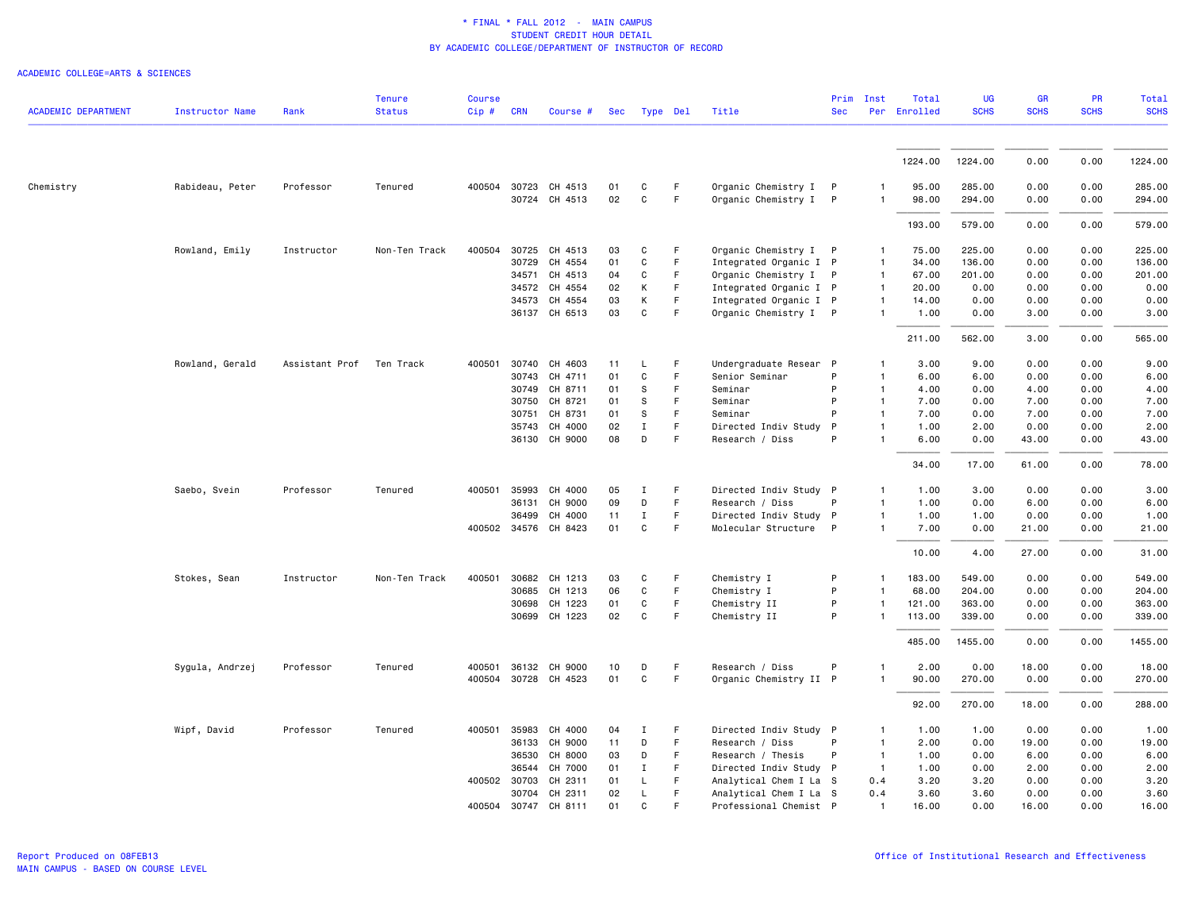| <b>ACADEMIC DEPARTMENT</b> | <b>Instructor Name</b> | Rank           | <b>Tenure</b><br><b>Status</b> | <b>Course</b><br>Cip# | <b>CRN</b>   | Course #             | Sec |              | Type Del | Title                  | Prim<br><b>Sec</b> | Inst           | Total<br>Per Enrolled | <b>UG</b><br><b>SCHS</b> | GR<br><b>SCHS</b> | PR<br><b>SCHS</b> | <b>Total</b><br><b>SCHS</b> |
|----------------------------|------------------------|----------------|--------------------------------|-----------------------|--------------|----------------------|-----|--------------|----------|------------------------|--------------------|----------------|-----------------------|--------------------------|-------------------|-------------------|-----------------------------|
|                            |                        |                |                                |                       |              |                      |     |              |          |                        |                    |                |                       |                          |                   |                   |                             |
|                            |                        |                |                                |                       |              |                      |     |              |          |                        |                    |                | 1224.00               | 1224.00                  | 0.00              | 0.00              | 1224.00                     |
| Chemistry                  | Rabideau, Peter        | Professor      | Tenured                        |                       |              | 400504 30723 CH 4513 | 01  | C            | F        | Organic Chemistry I P  |                    |                | 95.00                 | 285.00                   | 0.00              | 0.00              | 285.00                      |
|                            |                        |                |                                |                       |              | 30724 CH 4513        | 02  | $\mathtt{C}$ | F        | Organic Chemistry I P  |                    | $\mathbf{1}$   | 98.00                 | 294.00                   | 0.00              | 0.00              | 294.00                      |
|                            |                        |                |                                |                       |              |                      |     |              |          |                        |                    |                | 193.00                | 579.00                   | 0.00              | 0.00              | 579.00                      |
|                            | Rowland, Emily         | Instructor     | Non-Ten Track                  | 400504 30725          |              | CH 4513              | 03  | $\mathtt{C}$ | F        | Organic Chemistry I P  |                    | $\mathbf{1}$   | 75.00                 | 225.00                   | 0.00              | 0.00              | 225.00                      |
|                            |                        |                |                                |                       | 30729        | CH 4554              | 01  | C            | F        | Integrated Organic I P |                    | $\mathbf{1}$   | 34.00                 | 136.00                   | 0.00              | 0.00              | 136.00                      |
|                            |                        |                |                                |                       | 34571        | CH 4513              | 04  | C            | F        | Organic Chemistry I P  |                    | $\overline{1}$ | 67.00                 | 201.00                   | 0.00              | 0.00              | 201.00                      |
|                            |                        |                |                                |                       | 34572        | CH 4554              | 02  | К            | F        | Integrated Organic I P |                    | $\mathbf{1}$   | 20.00                 | 0.00                     | 0.00              | 0.00              | 0.00                        |
|                            |                        |                |                                |                       | 34573        | CH 4554              | 03  | К            | F        | Integrated Organic I P |                    | $\mathbf{1}$   | 14.00                 | 0.00                     | 0.00              | 0.00              | 0.00                        |
|                            |                        |                |                                |                       |              | 36137 CH 6513        | 03  | $\mathtt{C}$ | F        | Organic Chemistry I P  |                    | $\mathbf{1}$   | 1.00                  | 0.00                     | 3.00              | 0.00              | 3.00                        |
|                            |                        |                |                                |                       |              |                      |     |              |          |                        |                    |                | 211.00                | 562.00                   | 3.00              | 0.00              | 565.00                      |
|                            | Rowland, Gerald        | Assistant Prof | Ten Track                      | 400501                | 30740        | CH 4603              | 11  | L.           | F        | Undergraduate Resear P |                    | $\mathbf{1}$   | 3.00                  | 9.00                     | 0.00              | 0.00              | 9.00                        |
|                            |                        |                |                                |                       | 30743        | CH 4711              | 01  | C            | F        | Senior Seminar         | P                  | $\overline{1}$ | 6.00                  | 6.00                     | 0.00              | 0.00              | 6.00                        |
|                            |                        |                |                                |                       |              | 30749 CH 8711        | 01  | S            | F        | Seminar                | P                  | $\mathbf{1}$   | 4.00                  | 0.00                     | 4.00              | 0.00              | 4.00                        |
|                            |                        |                |                                |                       | 30750        | CH 8721              | 01  | s            | F        | Seminar                | P                  | $\mathbf{1}$   | 7.00                  | 0.00                     | 7.00              | 0.00              | 7.00                        |
|                            |                        |                |                                |                       | 30751        | CH 8731              | 01  | s            | F        | Seminar                | P                  | $\overline{1}$ | 7.00                  | 0.00                     | 7.00              | 0.00              | 7.00                        |
|                            |                        |                |                                |                       | 35743        | CH 4000              | 02  | $\mathbf{I}$ | F        | Directed Indiv Study   | P                  | $\mathbf{1}$   | 1.00                  | 2.00                     | 0.00              | 0.00              | 2.00                        |
|                            |                        |                |                                |                       |              | 36130 CH 9000        | 08  | D            | F        | Research / Diss        | P                  | $\mathbf{1}$   | 6.00                  | 0.00                     | 43.00             | 0.00              | 43.00                       |
|                            |                        |                |                                |                       |              |                      |     |              |          |                        |                    |                | 34.00                 | 17.00                    | 61.00             | 0.00              | 78.00                       |
|                            | Saebo, Svein           | Professor      | Tenured                        |                       | 400501 35993 | CH 4000              | 05  | Ι.           | F        | Directed Indiv Study P |                    | 1              | 1.00                  | 3.00                     | 0.00              | 0.00              | 3.00                        |
|                            |                        |                |                                |                       | 36131        | CH 9000              | 09  | D            | F        | Research / Diss        | P                  | $\overline{1}$ | 1.00                  | 0.00                     | 6.00              | 0.00              | 6.00                        |
|                            |                        |                |                                |                       | 36499        | CH 4000              | 11  | $\mathbf I$  | F        | Directed Indiv Study P |                    | $\mathbf{1}$   | 1.00                  | 1.00                     | 0.00              | 0.00              | 1.00                        |
|                            |                        |                |                                |                       |              | 400502 34576 CH 8423 | 01  | C            | F        | Molecular Structure P  |                    | $\mathbf{1}$   | 7.00                  | 0.00                     | 21.00             | 0.00              | 21.00                       |
|                            |                        |                |                                |                       |              |                      |     |              |          |                        |                    |                | 10.00                 | 4.00                     | 27.00             | 0.00              | 31.00                       |
|                            | Stokes, Sean           | Instructor     | Non-Ten Track                  | 400501                | 30682        | CH 1213              | 03  | C            | F        | Chemistry I            | P                  | $\mathbf{1}$   | 183.00                | 549.00                   | 0.00              | 0.00              | 549.00                      |
|                            |                        |                |                                |                       | 30685        | CH 1213              | 06  | C            | F.       | Chemistry I            | P                  |                | 68,00                 | 204.00                   | 0.00              | 0.00              | 204.00                      |
|                            |                        |                |                                |                       | 30698        | CH 1223              | 01  | C            | F        | Chemistry II           | P                  | $\mathbf{1}$   | 121.00                | 363.00                   | 0.00              | 0.00              | 363.00                      |
|                            |                        |                |                                |                       |              | 30699 CH 1223        | 02  | $\mathtt{C}$ | F        | Chemistry II           | P                  | $\mathbf{1}$   | 113.00                | 339.00                   | 0.00              | 0.00              | 339.00                      |
|                            |                        |                |                                |                       |              |                      |     |              |          |                        |                    |                | 485.00                | 1455.00                  | 0.00              | 0.00              | 1455.00                     |
|                            | Sygula, Andrzej        | Professor      | Tenured                        | 400501                | 36132        | CH 9000              | 10  | D            | F        | Research / Diss        | P                  | $\mathbf{1}$   | 2.00                  | 0.00                     | 18.00             | 0.00              | 18.00                       |
|                            |                        |                |                                |                       |              | 400504 30728 CH 4523 | 01  | $\mathtt{C}$ | F        | Organic Chemistry II P |                    | $\mathbf{1}$   | 90.00                 | 270.00                   | 0.00              | 0.00              | 270.00                      |
|                            |                        |                |                                |                       |              |                      |     |              |          |                        |                    |                | 92.00                 | 270.00                   | 18.00             | 0.00              | 288.00                      |
|                            | Wipf, David            | Professor      | Tenured                        | 400501                | 35983        | CH 4000              | 04  | Ι            | F        | Directed Indiv Study P |                    | 1              | 1.00                  | 1.00                     | 0.00              | 0.00              | 1.00                        |
|                            |                        |                |                                |                       | 36133        | CH 9000              | 11  | D            | F        | Research / Diss        | P                  | $\overline{1}$ | 2.00                  | 0.00                     | 19.00             | 0.00              | 19.00                       |
|                            |                        |                |                                |                       | 36530        | CH 8000              | 03  | D            | F.       | Research / Thesis      | P                  | $\overline{1}$ | 1.00                  | 0.00                     | 6.00              | 0.00              | 6.00                        |
|                            |                        |                |                                |                       | 36544        | CH 7000              | 01  | Ι            | F        | Directed Indiv Study P |                    | $\mathbf{1}$   | 1.00                  | 0.00                     | 2.00              | 0.00              | 2.00                        |
|                            |                        |                |                                | 400502 30703          |              | CH 2311              | 01  | L            | F.       | Analytical Chem I La S |                    | 0.4            | 3.20                  | 3.20                     | 0.00              | 0.00              | 3.20                        |
|                            |                        |                |                                |                       | 30704        | CH 2311              | 02  | L            | F        | Analytical Chem I La S |                    | 0.4            | 3.60                  | 3.60                     | 0.00              | 0.00              | 3.60                        |
|                            |                        |                |                                | 400504 30747          |              | CH 8111              | 01  | $\mathbf{C}$ | F        | Professional Chemist P |                    | $\mathbf{1}$   | 16.00                 | 0.00                     | 16.00             | 0.00              | 16.00                       |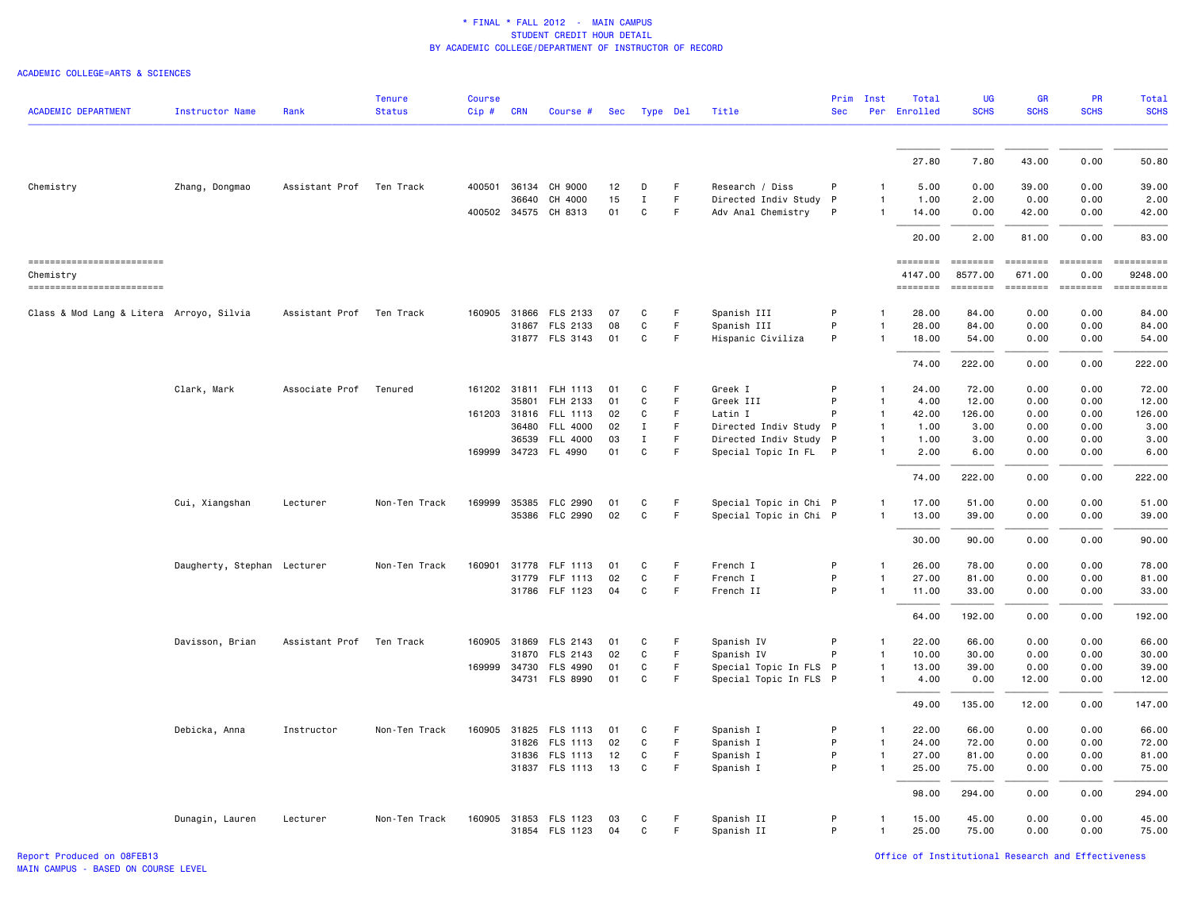| <b>ACADEMIC DEPARTMENT</b>                                          | <b>Instructor Name</b>      | Rank                     | <b>Tenure</b><br><b>Status</b> | <b>Course</b><br>Cip# | <b>CRN</b>   | Course #              | Sec |              | Type Del | Title                  | <b>Sec</b> | Prim Inst    | Total<br>Per Enrolled                  | <b>UG</b><br><b>SCHS</b>                                                                                                                                                                                                                                                                                                                                                                                                                                                                                                                        | <b>GR</b><br><b>SCHS</b>                                                                                                                                                                                                                                                                                                                                                                                                                                                                                                                                                                                                                 | PR<br><b>SCHS</b> | Total<br><b>SCHS</b>                                                                                                                                                                                                                                                                                                                                                                                                                                                                             |
|---------------------------------------------------------------------|-----------------------------|--------------------------|--------------------------------|-----------------------|--------------|-----------------------|-----|--------------|----------|------------------------|------------|--------------|----------------------------------------|-------------------------------------------------------------------------------------------------------------------------------------------------------------------------------------------------------------------------------------------------------------------------------------------------------------------------------------------------------------------------------------------------------------------------------------------------------------------------------------------------------------------------------------------------|------------------------------------------------------------------------------------------------------------------------------------------------------------------------------------------------------------------------------------------------------------------------------------------------------------------------------------------------------------------------------------------------------------------------------------------------------------------------------------------------------------------------------------------------------------------------------------------------------------------------------------------|-------------------|--------------------------------------------------------------------------------------------------------------------------------------------------------------------------------------------------------------------------------------------------------------------------------------------------------------------------------------------------------------------------------------------------------------------------------------------------------------------------------------------------|
|                                                                     |                             |                          |                                |                       |              |                       |     |              |          |                        |            |              |                                        |                                                                                                                                                                                                                                                                                                                                                                                                                                                                                                                                                 |                                                                                                                                                                                                                                                                                                                                                                                                                                                                                                                                                                                                                                          |                   |                                                                                                                                                                                                                                                                                                                                                                                                                                                                                                  |
|                                                                     |                             |                          |                                |                       |              |                       |     |              |          |                        |            |              | 27.80                                  | 7.80                                                                                                                                                                                                                                                                                                                                                                                                                                                                                                                                            | 43.00                                                                                                                                                                                                                                                                                                                                                                                                                                                                                                                                                                                                                                    | 0.00              | 50.80                                                                                                                                                                                                                                                                                                                                                                                                                                                                                            |
| Chemistry                                                           | Zhang, Dongmao              | Assistant Prof Ten Track |                                |                       | 400501 36134 | CH 9000               | 12  | D            | F.       | Research / Diss        | P          | 1            | 5.00                                   | 0.00                                                                                                                                                                                                                                                                                                                                                                                                                                                                                                                                            | 39.00                                                                                                                                                                                                                                                                                                                                                                                                                                                                                                                                                                                                                                    | 0.00              | 39,00                                                                                                                                                                                                                                                                                                                                                                                                                                                                                            |
|                                                                     |                             |                          |                                |                       | 36640        | CH 4000               | 15  | $\mathbf{I}$ | F        | Directed Indiv Study   | $\,$ P     | $\mathbf{1}$ | 1.00                                   | 2.00                                                                                                                                                                                                                                                                                                                                                                                                                                                                                                                                            | 0.00                                                                                                                                                                                                                                                                                                                                                                                                                                                                                                                                                                                                                                     | 0.00              | 2.00                                                                                                                                                                                                                                                                                                                                                                                                                                                                                             |
|                                                                     |                             |                          |                                |                       |              | 400502 34575 CH 8313  | 01  | $\mathsf{C}$ | F        | Adv Anal Chemistry     | P          | $\mathbf{1}$ | 14.00                                  | 0.00                                                                                                                                                                                                                                                                                                                                                                                                                                                                                                                                            | 42.00                                                                                                                                                                                                                                                                                                                                                                                                                                                                                                                                                                                                                                    | 0.00              | 42.00                                                                                                                                                                                                                                                                                                                                                                                                                                                                                            |
|                                                                     |                             |                          |                                |                       |              |                       |     |              |          |                        |            |              | 20.00                                  | 2.00                                                                                                                                                                                                                                                                                                                                                                                                                                                                                                                                            | 81.00                                                                                                                                                                                                                                                                                                                                                                                                                                                                                                                                                                                                                                    | 0.00              | 83.00                                                                                                                                                                                                                                                                                                                                                                                                                                                                                            |
| ==========================<br>Chemistry<br>------------------------ |                             |                          |                                |                       |              |                       |     |              |          |                        |            |              | <b>EDESSERS</b><br>4147.00<br>======== | $\begin{array}{c} \multicolumn{3}{c} {\color{blue} \textbf{2}} & \multicolumn{3}{c} {\color{blue} \textbf{3}} & \multicolumn{3}{c} {\color{blue} \textbf{4}} \\ \multicolumn{3}{c} {\color{blue} \textbf{4}} & \multicolumn{3}{c} {\color{blue} \textbf{5}} & \multicolumn{3}{c} {\color{blue} \textbf{6}} & \multicolumn{3}{c} {\color{blue} \textbf{6}} \\ \multicolumn{3}{c} {\color{blue} \textbf{5}} & \multicolumn{3}{c} {\color{blue} \textbf{6}} & \multicolumn{3}{c} {\color{blue} \textbf{6}} & \multic$<br>8577.00<br><b>ESSESSE</b> | $\begin{array}{cccccccccc} \multicolumn{2}{c}{} & \multicolumn{2}{c}{} & \multicolumn{2}{c}{} & \multicolumn{2}{c}{} & \multicolumn{2}{c}{} & \multicolumn{2}{c}{} & \multicolumn{2}{c}{} & \multicolumn{2}{c}{} & \multicolumn{2}{c}{} & \multicolumn{2}{c}{} & \multicolumn{2}{c}{} & \multicolumn{2}{c}{} & \multicolumn{2}{c}{} & \multicolumn{2}{c}{} & \multicolumn{2}{c}{} & \multicolumn{2}{c}{} & \multicolumn{2}{c}{} & \multicolumn{2}{c}{} & \multicolumn{2}{c}{} & \mult$<br>671.00<br>$\qquad \qquad \blacksquare \blacksquare \blacksquare \blacksquare \blacksquare \blacksquare \blacksquare \blacksquare \blacksquare$ | 0.00<br>$=$       | ==========<br>9248.00<br>$\begin{minipage}{0.9\linewidth} \hspace*{-0.2cm} \textbf{if the number of } \textit{if} \textit{if} \textit{if} \textit{if} \textit{if} \textit{if} \textit{if} \textit{if} \textit{if} \textit{if} \textit{if} \textit{if} \textit{if} \textit{if} \textit{if} \textit{if} \textit{if} \textit{if} \textit{if} \textit{if} \textit{if} \textit{if} \textit{if} \textit{if} \textit{if} \textit{if} \textit{if} \textit{if} \textit{if} \textit{if} \textit{if} \text$ |
|                                                                     |                             |                          |                                |                       |              |                       |     |              |          |                        |            |              |                                        |                                                                                                                                                                                                                                                                                                                                                                                                                                                                                                                                                 |                                                                                                                                                                                                                                                                                                                                                                                                                                                                                                                                                                                                                                          |                   |                                                                                                                                                                                                                                                                                                                                                                                                                                                                                                  |
| Class & Mod Lang & Litera Arroyo, Silvia                            |                             | Assistant Prof           | Ten Track                      |                       |              | 160905 31866 FLS 2133 | 07  | C            | F        | Spanish III            | P          | 1            | 28.00                                  | 84.00                                                                                                                                                                                                                                                                                                                                                                                                                                                                                                                                           | 0.00                                                                                                                                                                                                                                                                                                                                                                                                                                                                                                                                                                                                                                     | 0.00              | 84.00                                                                                                                                                                                                                                                                                                                                                                                                                                                                                            |
|                                                                     |                             |                          |                                |                       | 31867        | FLS 2133              | 08  | C            | F.       | Spanish III            | P          | $\mathbf{1}$ | 28.00                                  | 84.00                                                                                                                                                                                                                                                                                                                                                                                                                                                                                                                                           | 0.00                                                                                                                                                                                                                                                                                                                                                                                                                                                                                                                                                                                                                                     | 0.00              | 84.00                                                                                                                                                                                                                                                                                                                                                                                                                                                                                            |
|                                                                     |                             |                          |                                |                       |              | 31877 FLS 3143        | 01  | C            | F        | Hispanic Civiliza      | P          | $\mathbf{1}$ | 18.00                                  | 54.00                                                                                                                                                                                                                                                                                                                                                                                                                                                                                                                                           | 0.00                                                                                                                                                                                                                                                                                                                                                                                                                                                                                                                                                                                                                                     | 0.00              | 54.00                                                                                                                                                                                                                                                                                                                                                                                                                                                                                            |
|                                                                     |                             |                          |                                |                       |              |                       |     |              |          |                        |            |              | 74.00                                  | 222.00                                                                                                                                                                                                                                                                                                                                                                                                                                                                                                                                          | 0.00                                                                                                                                                                                                                                                                                                                                                                                                                                                                                                                                                                                                                                     | 0.00              | 222.00                                                                                                                                                                                                                                                                                                                                                                                                                                                                                           |
|                                                                     | Clark, Mark                 | Associate Prof           | Tenured                        | 161202 31811          |              | FLH 1113              | 01  | C            | F        | Greek I                | P          | $\mathbf{1}$ | 24,00                                  | 72.00                                                                                                                                                                                                                                                                                                                                                                                                                                                                                                                                           | 0.00                                                                                                                                                                                                                                                                                                                                                                                                                                                                                                                                                                                                                                     | 0.00              | 72.00                                                                                                                                                                                                                                                                                                                                                                                                                                                                                            |
|                                                                     |                             |                          |                                |                       | 35801        | FLH 2133              | 01  | C            | F.       | Greek III              | P          | $\mathbf{1}$ | 4.00                                   | 12.00                                                                                                                                                                                                                                                                                                                                                                                                                                                                                                                                           | 0.00                                                                                                                                                                                                                                                                                                                                                                                                                                                                                                                                                                                                                                     | 0.00              | 12,00                                                                                                                                                                                                                                                                                                                                                                                                                                                                                            |
|                                                                     |                             |                          |                                |                       | 161203 31816 | FLL 1113              | 02  | C            | F        | Latin I                | P          | $\mathbf{1}$ | 42.00                                  | 126.00                                                                                                                                                                                                                                                                                                                                                                                                                                                                                                                                          | 0.00                                                                                                                                                                                                                                                                                                                                                                                                                                                                                                                                                                                                                                     | 0.00              | 126.00                                                                                                                                                                                                                                                                                                                                                                                                                                                                                           |
|                                                                     |                             |                          |                                |                       | 36480        | <b>FLL 4000</b>       | 02  | Ι.           | F.       | Directed Indiv Study P |            | $\mathbf{1}$ | 1.00                                   | 3.00                                                                                                                                                                                                                                                                                                                                                                                                                                                                                                                                            | 0.00                                                                                                                                                                                                                                                                                                                                                                                                                                                                                                                                                                                                                                     | 0.00              | 3.00                                                                                                                                                                                                                                                                                                                                                                                                                                                                                             |
|                                                                     |                             |                          |                                |                       | 36539        | <b>FLL 4000</b>       | 03  | Ι.           | F.       | Directed Indiv Study P |            | $\mathbf{1}$ | 1.00                                   | 3.00                                                                                                                                                                                                                                                                                                                                                                                                                                                                                                                                            | 0.00                                                                                                                                                                                                                                                                                                                                                                                                                                                                                                                                                                                                                                     | 0.00              | 3.00                                                                                                                                                                                                                                                                                                                                                                                                                                                                                             |
|                                                                     |                             |                          |                                |                       |              | 169999 34723 FL 4990  | 01  | C            | F.       | Special Topic In FL P  |            | $\mathbf{1}$ | 2.00                                   | 6.00                                                                                                                                                                                                                                                                                                                                                                                                                                                                                                                                            | 0.00                                                                                                                                                                                                                                                                                                                                                                                                                                                                                                                                                                                                                                     | 0.00              | 6.00                                                                                                                                                                                                                                                                                                                                                                                                                                                                                             |
|                                                                     |                             |                          |                                |                       |              |                       |     |              |          |                        |            |              | 74.00                                  | 222.00                                                                                                                                                                                                                                                                                                                                                                                                                                                                                                                                          | 0.00                                                                                                                                                                                                                                                                                                                                                                                                                                                                                                                                                                                                                                     | 0.00              | 222.00                                                                                                                                                                                                                                                                                                                                                                                                                                                                                           |
|                                                                     | Cui, Xiangshan              | Lecturer                 | Non-Ten Track                  |                       |              | 169999 35385 FLC 2990 | 01  | $\mathtt{C}$ | F.       | Special Topic in Chi P |            | -1           | 17.00                                  | 51.00                                                                                                                                                                                                                                                                                                                                                                                                                                                                                                                                           | 0.00                                                                                                                                                                                                                                                                                                                                                                                                                                                                                                                                                                                                                                     | 0.00              | 51.00                                                                                                                                                                                                                                                                                                                                                                                                                                                                                            |
|                                                                     |                             |                          |                                |                       |              | 35386 FLC 2990        | 02  | $\mathtt{C}$ | F        | Special Topic in Chi P |            | $\mathbf{1}$ | 13.00                                  | 39.00                                                                                                                                                                                                                                                                                                                                                                                                                                                                                                                                           | 0.00                                                                                                                                                                                                                                                                                                                                                                                                                                                                                                                                                                                                                                     | 0.00              | 39.00                                                                                                                                                                                                                                                                                                                                                                                                                                                                                            |
|                                                                     |                             |                          |                                |                       |              |                       |     |              |          |                        |            |              | 30.00                                  | 90.00                                                                                                                                                                                                                                                                                                                                                                                                                                                                                                                                           | 0.00                                                                                                                                                                                                                                                                                                                                                                                                                                                                                                                                                                                                                                     | 0.00              | 90.00                                                                                                                                                                                                                                                                                                                                                                                                                                                                                            |
|                                                                     | Daugherty, Stephan Lecturer |                          | Non-Ten Track                  |                       |              | 160901 31778 FLF 1113 | 01  | C            | F        | French I               | P          | 1            | 26.00                                  | 78.00                                                                                                                                                                                                                                                                                                                                                                                                                                                                                                                                           | 0.00                                                                                                                                                                                                                                                                                                                                                                                                                                                                                                                                                                                                                                     | 0.00              | 78.00                                                                                                                                                                                                                                                                                                                                                                                                                                                                                            |
|                                                                     |                             |                          |                                |                       | 31779        | FLF 1113              | 02  | C            | F        | French I               | P          | $\mathbf{1}$ | 27.00                                  | 81.00                                                                                                                                                                                                                                                                                                                                                                                                                                                                                                                                           | 0.00                                                                                                                                                                                                                                                                                                                                                                                                                                                                                                                                                                                                                                     | 0.00              | 81.00                                                                                                                                                                                                                                                                                                                                                                                                                                                                                            |
|                                                                     |                             |                          |                                |                       |              | 31786 FLF 1123        | 04  | C            | F.       | French II              | P          |              | 11.00                                  | 33.00                                                                                                                                                                                                                                                                                                                                                                                                                                                                                                                                           | 0.00                                                                                                                                                                                                                                                                                                                                                                                                                                                                                                                                                                                                                                     | 0.00              | 33.00                                                                                                                                                                                                                                                                                                                                                                                                                                                                                            |
|                                                                     |                             |                          |                                |                       |              |                       |     |              |          |                        |            |              | 64.00                                  | 192.00                                                                                                                                                                                                                                                                                                                                                                                                                                                                                                                                          | 0.00                                                                                                                                                                                                                                                                                                                                                                                                                                                                                                                                                                                                                                     | 0.00              | 192.00                                                                                                                                                                                                                                                                                                                                                                                                                                                                                           |
|                                                                     | Davisson, Brian             | Assistant Prof           | Ten Track                      |                       |              | 160905 31869 FLS 2143 | 01  | C            | F.       | Spanish IV             | P          | $\mathbf{1}$ | 22.00                                  | 66.00                                                                                                                                                                                                                                                                                                                                                                                                                                                                                                                                           | 0.00                                                                                                                                                                                                                                                                                                                                                                                                                                                                                                                                                                                                                                     | 0.00              | 66.00                                                                                                                                                                                                                                                                                                                                                                                                                                                                                            |
|                                                                     |                             |                          |                                |                       | 31870        | FLS 2143              | 02  | C            | F.       | Spanish IV             | P          | $\mathbf{1}$ | 10.00                                  | 30.00                                                                                                                                                                                                                                                                                                                                                                                                                                                                                                                                           | 0.00                                                                                                                                                                                                                                                                                                                                                                                                                                                                                                                                                                                                                                     | 0.00              | 30.00                                                                                                                                                                                                                                                                                                                                                                                                                                                                                            |
|                                                                     |                             |                          |                                |                       |              | 169999 34730 FLS 4990 | 01  | C            | F.       | Special Topic In FLS P |            | $\mathbf{1}$ | 13.00                                  | 39.00                                                                                                                                                                                                                                                                                                                                                                                                                                                                                                                                           | 0.00                                                                                                                                                                                                                                                                                                                                                                                                                                                                                                                                                                                                                                     | 0.00              | 39.00                                                                                                                                                                                                                                                                                                                                                                                                                                                                                            |
|                                                                     |                             |                          |                                |                       |              | 34731 FLS 8990        | 01  | C            | F        | Special Topic In FLS P |            | $\mathbf{1}$ | 4.00                                   | 0.00                                                                                                                                                                                                                                                                                                                                                                                                                                                                                                                                            | 12.00                                                                                                                                                                                                                                                                                                                                                                                                                                                                                                                                                                                                                                    | 0.00              | 12.00                                                                                                                                                                                                                                                                                                                                                                                                                                                                                            |
|                                                                     |                             |                          |                                |                       |              |                       |     |              |          |                        |            |              | 49.00                                  | 135.00                                                                                                                                                                                                                                                                                                                                                                                                                                                                                                                                          | 12.00                                                                                                                                                                                                                                                                                                                                                                                                                                                                                                                                                                                                                                    | 0.00              | 147.00                                                                                                                                                                                                                                                                                                                                                                                                                                                                                           |
|                                                                     | Debicka, Anna               | Instructor               | Non-Ten Track                  |                       |              | 160905 31825 FLS 1113 | 01  | C            | F        | Spanish I              | P          | $\mathbf{1}$ | 22.00                                  | 66.00                                                                                                                                                                                                                                                                                                                                                                                                                                                                                                                                           | 0.00                                                                                                                                                                                                                                                                                                                                                                                                                                                                                                                                                                                                                                     | 0.00              | 66.00                                                                                                                                                                                                                                                                                                                                                                                                                                                                                            |
|                                                                     |                             |                          |                                |                       |              | 31826 FLS 1113        | 02  | C            | F.       | Spanish I              | P          | $\mathbf{1}$ | 24.00                                  | 72.00                                                                                                                                                                                                                                                                                                                                                                                                                                                                                                                                           | 0.00                                                                                                                                                                                                                                                                                                                                                                                                                                                                                                                                                                                                                                     | 0.00              | 72.00                                                                                                                                                                                                                                                                                                                                                                                                                                                                                            |
|                                                                     |                             |                          |                                |                       |              | 31836 FLS 1113        | 12  | C            | F        | Spanish I              | P          | $\mathbf{1}$ | 27.00                                  | 81.00                                                                                                                                                                                                                                                                                                                                                                                                                                                                                                                                           | 0.00                                                                                                                                                                                                                                                                                                                                                                                                                                                                                                                                                                                                                                     | 0.00              | 81.00                                                                                                                                                                                                                                                                                                                                                                                                                                                                                            |
|                                                                     |                             |                          |                                |                       |              | 31837 FLS 1113        | 13  | $\mathbf{C}$ | F        | Spanish I              | P          | $\mathbf{1}$ | 25.00                                  | 75.00                                                                                                                                                                                                                                                                                                                                                                                                                                                                                                                                           | 0.00                                                                                                                                                                                                                                                                                                                                                                                                                                                                                                                                                                                                                                     | 0.00              | 75.00                                                                                                                                                                                                                                                                                                                                                                                                                                                                                            |
|                                                                     |                             |                          |                                |                       |              |                       |     |              |          |                        |            |              | 98.00                                  | 294.00                                                                                                                                                                                                                                                                                                                                                                                                                                                                                                                                          | 0.00                                                                                                                                                                                                                                                                                                                                                                                                                                                                                                                                                                                                                                     | 0.00              | 294.00                                                                                                                                                                                                                                                                                                                                                                                                                                                                                           |
|                                                                     | Dunagin, Lauren             | Lecturer                 | Non-Ten Track                  |                       |              | 160905 31853 FLS 1123 | 03  | C            | F        | Spanish II             | P          | $\mathbf{1}$ | 15.00                                  | 45.00                                                                                                                                                                                                                                                                                                                                                                                                                                                                                                                                           | 0.00                                                                                                                                                                                                                                                                                                                                                                                                                                                                                                                                                                                                                                     | 0.00              | 45.00                                                                                                                                                                                                                                                                                                                                                                                                                                                                                            |
|                                                                     |                             |                          |                                |                       |              | 31854 FLS 1123        | 04  | C            | F.       | Spanish II             | P          | 1            | 25.00                                  | 75.00                                                                                                                                                                                                                                                                                                                                                                                                                                                                                                                                           | 0.00                                                                                                                                                                                                                                                                                                                                                                                                                                                                                                                                                                                                                                     | 0.00              | 75.00                                                                                                                                                                                                                                                                                                                                                                                                                                                                                            |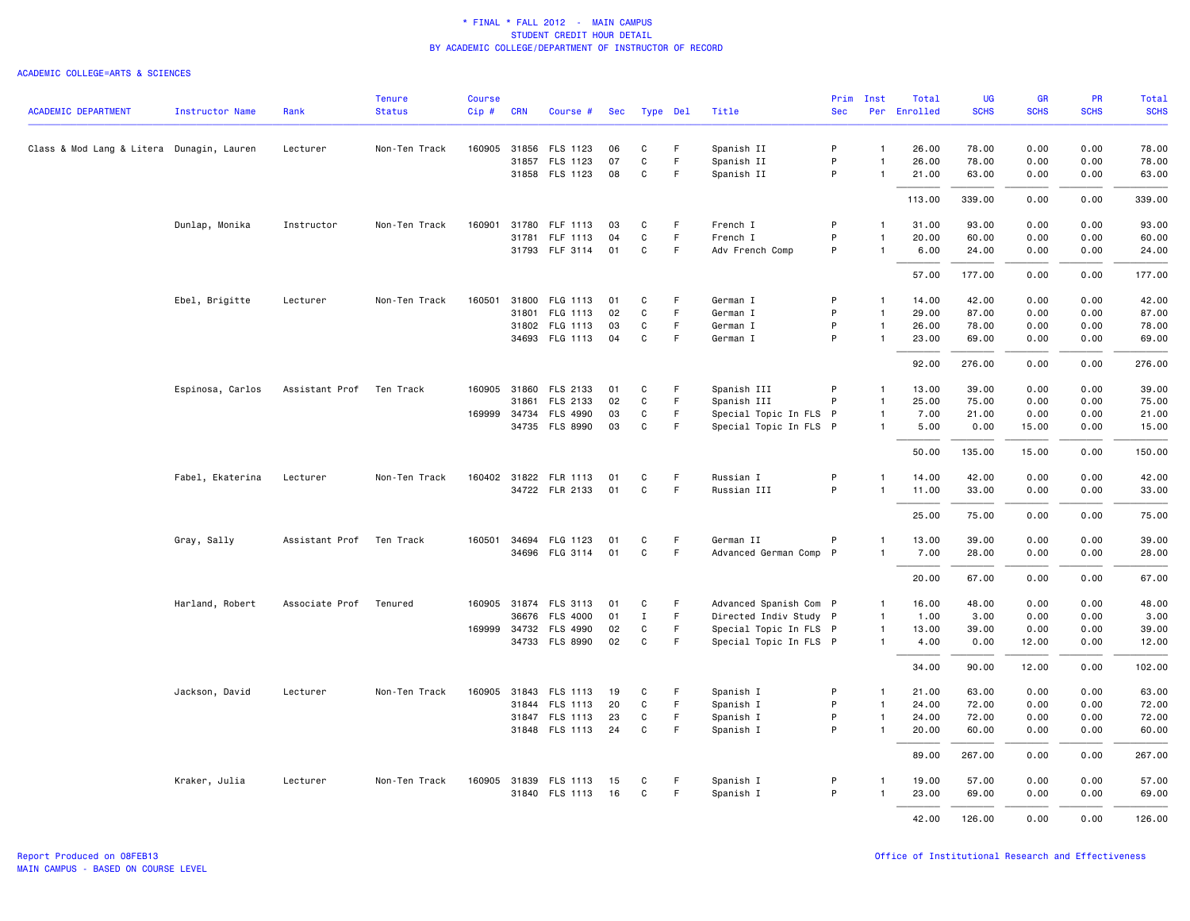|                                           |                        |                | <b>Tenure</b> | <b>Course</b> |            |                       |    |              |             |                        |            | Prim Inst      | Total        | UG          | <b>GR</b>   | <b>PR</b>   | Total       |
|-------------------------------------------|------------------------|----------------|---------------|---------------|------------|-----------------------|----|--------------|-------------|------------------------|------------|----------------|--------------|-------------|-------------|-------------|-------------|
| <b>ACADEMIC DEPARTMENT</b>                | <b>Instructor Name</b> | Rank           | <b>Status</b> | $Cip \#$      | <b>CRN</b> | Course #              |    | Sec Type Del |             | Title                  | <b>Sec</b> |                | Per Enrolled | <b>SCHS</b> | <b>SCHS</b> | <b>SCHS</b> | <b>SCHS</b> |
| Class & Mod Lang & Litera Dunagin, Lauren |                        | Lecturer       | Non-Ten Track |               |            | 160905 31856 FLS 1123 | 06 | C            | F           | Spanish II             | P          | $\mathbf{1}$   | 26.00        | 78.00       | 0.00        | 0.00        | 78.00       |
|                                           |                        |                |               |               |            | 31857 FLS 1123        | 07 | C            | F           | Spanish II             | P          | $\mathbf{1}$   | 26.00        | 78.00       | 0.00        | 0.00        | 78.00       |
|                                           |                        |                |               |               |            | 31858 FLS 1123        | 08 | C            | F           | Spanish II             | P          | $\overline{1}$ | 21.00        | 63.00       | 0.00        | 0.00        | 63.00       |
|                                           |                        |                |               |               |            |                       |    |              |             |                        |            |                | 113.00       | 339.00      | 0.00        | 0.00        | 339.00      |
|                                           | Dunlap, Monika         | Instructor     | Non-Ten Track |               |            | 160901 31780 FLF 1113 | 03 | C            | -F          | French I               | P          | $\mathbf{1}$   | 31.00        | 93.00       | 0.00        | 0.00        | 93.00       |
|                                           |                        |                |               |               |            | 31781 FLF 1113        | 04 | C            | F           | French I               | P          | $\overline{1}$ | 20.00        | 60.00       | 0.00        | 0.00        | 60.00       |
|                                           |                        |                |               |               |            | 31793 FLF 3114        | 01 | $\mathbf C$  | F.          | Adv French Comp        | P          | $\overline{1}$ | 6.00         | 24.00       | 0.00        | 0.00        | 24.00       |
|                                           |                        |                |               |               |            |                       |    |              |             |                        |            |                | 57.00        | 177.00      | 0.00        | 0.00        | 177.00      |
|                                           | Ebel, Brigitte         | Lecturer       | Non-Ten Track | 160501        |            | 31800 FLG 1113        | 01 | C            | F           | German I               | P          | $\mathbf{1}$   | 14.00        | 42.00       | 0.00        | 0.00        | 42.00       |
|                                           |                        |                |               |               |            | 31801 FLG 1113        | 02 | C            | F           | German I               | P          | $\overline{1}$ | 29.00        | 87.00       | 0.00        | 0.00        | 87.00       |
|                                           |                        |                |               |               |            | 31802 FLG 1113        | 03 | C            | F           | German I               | P          | $\mathbf{1}$   | 26.00        | 78.00       | 0.00        | 0.00        | 78.00       |
|                                           |                        |                |               |               |            | 34693 FLG 1113        | 04 | C            | F           | German I               | P          | $\mathbf{1}$   | 23.00        | 69.00       | 0.00        | 0.00        | 69.00       |
|                                           |                        |                |               |               |            |                       |    |              |             |                        |            |                | 92.00        | 276.00      | 0.00        | 0.00        | 276.00      |
|                                           | Espinosa, Carlos       | Assistant Prof | Ten Track     |               |            | 160905 31860 FLS 2133 | 01 | C            | F           | Spanish III            | P          | $\mathbf{1}$   | 13.00        | 39.00       | 0.00        | 0.00        | 39.00       |
|                                           |                        |                |               |               | 31861      | FLS 2133              | 02 | C            | F           | Spanish III            | P          | $\mathbf{1}$   | 25.00        | 75.00       | 0.00        | 0.00        | 75.00       |
|                                           |                        |                |               |               |            | 169999 34734 FLS 4990 | 03 | C            | F.          | Special Topic In FLS P |            | $\mathbf{1}$   | 7.00         | 21.00       | 0.00        | 0.00        | 21.00       |
|                                           |                        |                |               |               |            | 34735 FLS 8990        | 03 | C            | F.          | Special Topic In FLS P |            | $\mathbf{1}$   | 5.00         | 0.00        | 15.00       | 0.00        | 15.00       |
|                                           |                        |                |               |               |            |                       |    |              |             |                        |            |                | 50.00        | 135.00      | 15.00       | 0.00        | 150.00      |
|                                           | Fabel, Ekaterina       | Lecturer       | Non-Ten Track |               |            | 160402 31822 FLR 1113 | 01 | C            | F.          | Russian I              | P          | $\mathbf{1}$   | 14.00        | 42.00       | 0.00        | 0.00        | 42.00       |
|                                           |                        |                |               |               |            | 34722 FLR 2133        | 01 | C            | F.          | Russian III            | P          | $\mathbf{1}$   | 11.00        | 33.00       | 0.00        | 0.00        | 33.00       |
|                                           |                        |                |               |               |            |                       |    |              |             |                        |            |                | 25.00        | 75.00       | 0.00        | 0.00        | 75.00       |
|                                           | Gray, Sally            | Assistant Prof | Ten Track     | 160501        |            | 34694 FLG 1123        | 01 | C            | F.          | German II              | P          | -1             | 13.00        | 39.00       | 0.00        | 0.00        | 39.00       |
|                                           |                        |                |               |               |            | 34696 FLG 3114        | 01 | $\mathsf{C}$ | F           | Advanced German Comp P |            | $\mathbf{1}$   | 7.00         | 28.00       | 0.00        | 0.00        | 28.00       |
|                                           |                        |                |               |               |            |                       |    |              |             |                        |            |                | 20.00        | 67.00       | 0.00        | 0.00        | 67.00       |
|                                           | Harland, Robert        | Associate Prof | Tenured       |               |            | 160905 31874 FLS 3113 | 01 | C            | F           | Advanced Spanish Com P |            | $\mathbf{1}$   | 16.00        | 48.00       | 0.00        | 0.00        | 48.00       |
|                                           |                        |                |               |               |            | 36676 FLS 4000        | 01 | $\mathbf I$  | F           | Directed Indiv Study P |            | $\overline{1}$ | 1.00         | 3.00        | 0.00        | 0.00        | 3.00        |
|                                           |                        |                |               |               |            | 169999 34732 FLS 4990 | 02 | C            | F.          | Special Topic In FLS P |            | $\overline{1}$ | 13.00        | 39.00       | 0.00        | 0.00        | 39.00       |
|                                           |                        |                |               |               |            | 34733 FLS 8990        | 02 | C            | F           | Special Topic In FLS P |            | $\overline{1}$ | 4.00         | 0.00        | 12.00       | 0.00        | 12.00       |
|                                           |                        |                |               |               |            |                       |    |              |             |                        |            |                | 34.00        | 90.00       | 12.00       | 0.00        | 102.00      |
|                                           | Jackson, David         | Lecturer       | Non-Ten Track |               |            | 160905 31843 FLS 1113 | 19 | C            | F.          | Spanish I              | P          | $\mathbf{1}$   | 21.00        | 63.00       | 0.00        | 0.00        | 63.00       |
|                                           |                        |                |               |               |            | 31844 FLS 1113        | 20 | C            | -F          | Spanish I              | P          | $\mathbf{1}$   | 24.00        | 72.00       | 0.00        | 0.00        | 72.00       |
|                                           |                        |                |               |               |            | 31847 FLS 1113        | 23 | C            | F           | Spanish I              | P          | $\overline{1}$ | 24.00        | 72.00       | 0.00        | 0.00        | 72.00       |
|                                           |                        |                |               |               |            | 31848 FLS 1113        | 24 | C            | $\mathsf F$ | Spanish I              | P          | $\overline{1}$ | 20.00        | 60.00       | 0.00        | 0.00        | 60.00       |
|                                           |                        |                |               |               |            |                       |    |              |             |                        |            |                | 89.00        | 267.00      | 0.00        | 0.00        | 267.00      |
|                                           | Kraker, Julia          | Lecturer       | Non-Ten Track |               |            | 160905 31839 FLS 1113 | 15 | C            | -F          | Spanish I              | P          | $\mathbf{1}$   | 19.00        | 57.00       | 0.00        | 0.00        | 57.00       |
|                                           |                        |                |               |               |            | 31840 FLS 1113        | 16 | C            | F.          | Spanish I              | P          | -1             | 23.00        | 69.00       | 0.00        | 0.00        | 69.00       |
|                                           |                        |                |               |               |            |                       |    |              |             |                        |            |                | 42.00        | 126.00      | 0.00        | 0.00        | 126.00      |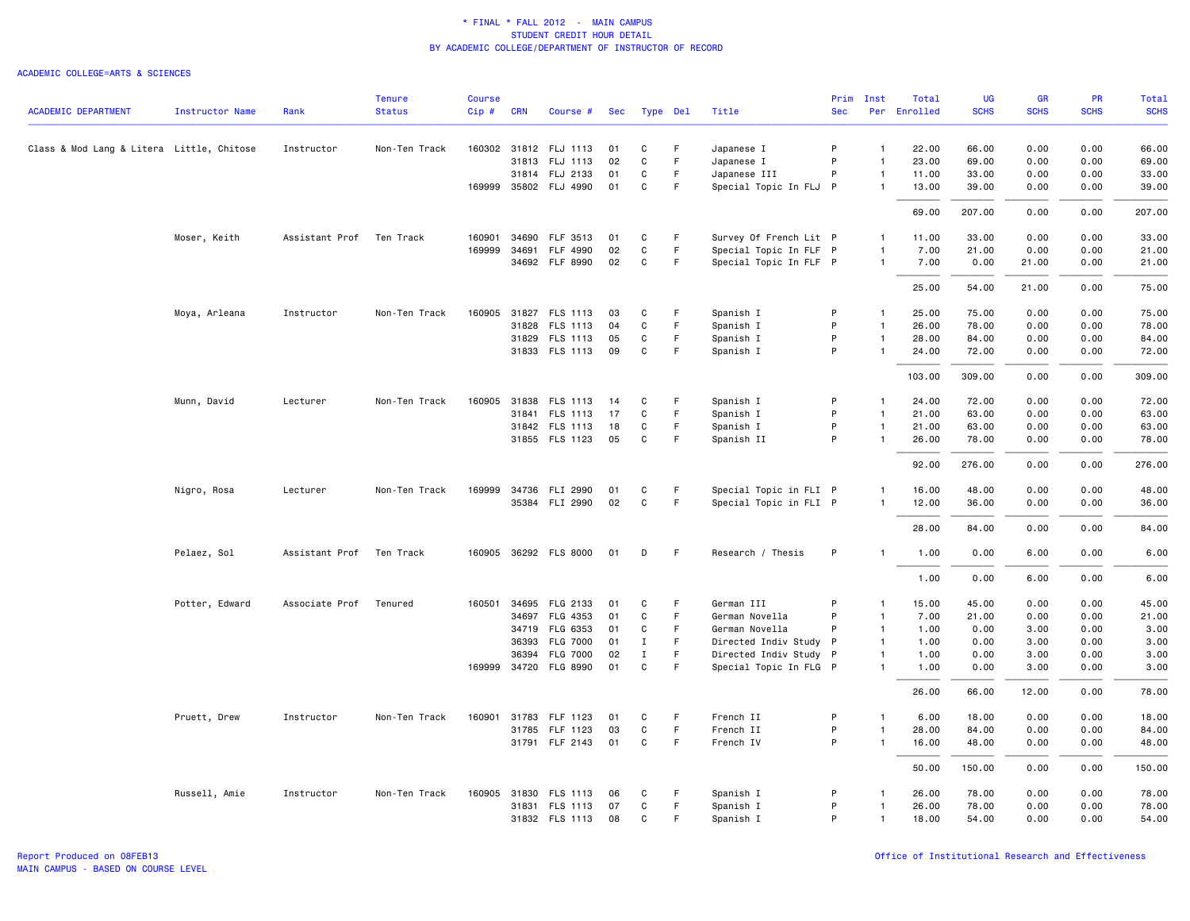|                                           |                        |                | <b>Tenure</b> | <b>Course</b> |            |                       |     |              |    |                        | Prim         | Inst           | Total        | <b>UG</b>   | <b>GR</b>   | <b>PR</b>   | <b>Total</b> |
|-------------------------------------------|------------------------|----------------|---------------|---------------|------------|-----------------------|-----|--------------|----|------------------------|--------------|----------------|--------------|-------------|-------------|-------------|--------------|
| <b>ACADEMIC DEPARTMENT</b>                | <b>Instructor Name</b> | Rank           | <b>Status</b> | Cip#          | <b>CRN</b> | Course #              | Sec | Type Del     |    | Title                  | <b>Sec</b>   |                | Per Enrolled | <b>SCHS</b> | <b>SCHS</b> | <b>SCHS</b> | <b>SCHS</b>  |
| Class & Mod Lang & Litera Little, Chitose |                        | Instructor     | Non-Ten Track |               |            | 160302 31812 FLJ 1113 | 01  | C            | F  | Japanese I             | P            | $\mathbf{1}$   | 22.00        | 66.00       | 0.00        | 0.00        | 66.00        |
|                                           |                        |                |               |               |            | 31813 FLJ 1113        | 02  | $\mathtt{C}$ | F. | Japanese I             | P            | $\mathbf{1}$   | 23.00        | 69.00       | 0.00        | 0.00        | 69.00        |
|                                           |                        |                |               |               |            | 31814 FLJ 2133        | 01  | C            | F. | Japanese III           | P            | $\mathbf{1}$   | 11.00        | 33.00       | 0.00        | 0.00        | 33.00        |
|                                           |                        |                |               |               |            | 169999 35802 FLJ 4990 | 01  | C            | F  | Special Topic In FLJ P |              | $\mathbf{1}$   | 13.00        | 39.00       | 0.00        | 0.00        | 39.00        |
|                                           |                        |                |               |               |            |                       |     |              |    |                        |              |                | 69.00        | 207.00      | 0.00        | 0.00        | 207.00       |
|                                           | Moser, Keith           | Assistant Prof | Ten Track     | 160901        | 34690      | FLF 3513              | 01  | C            | F  | Survey Of French Lit P |              | $\mathbf{1}$   | 11.00        | 33.00       | 0.00        | 0.00        | 33.00        |
|                                           |                        |                |               | 169999        | 34691      | FLF 4990              | 02  | $\mathtt{C}$ | F. | Special Topic In FLF P |              | $\overline{1}$ | 7.00         | 21.00       | 0.00        | 0.00        | 21.00        |
|                                           |                        |                |               |               |            | 34692 FLF 8990        | 02  | C            | F. | Special Topic In FLF P |              | $\mathbf{1}$   | 7.00         | 0.00        | 21.00       | 0.00        | 21.00        |
|                                           |                        |                |               |               |            |                       |     |              |    |                        |              |                | 25.00        | 54.00       | 21.00       | 0.00        | 75.00        |
|                                           | Moya, Arleana          | Instructor     | Non-Ten Track |               |            | 160905 31827 FLS 1113 | 03  | C            | F  | Spanish I              | P            | $\mathbf{1}$   | 25.00        | 75.00       | 0.00        | 0.00        | 75.00        |
|                                           |                        |                |               |               | 31828      | FLS 1113              | 04  | C            | F  | Spanish I              | P            | $\mathbf{1}$   | 26.00        | 78.00       | 0.00        | 0.00        | 78.00        |
|                                           |                        |                |               |               |            | 31829 FLS 1113        | 05  | C            | F  | Spanish I              | P            | $\mathbf{1}$   | 28.00        | 84.00       | 0.00        | 0.00        | 84.00        |
|                                           |                        |                |               |               |            | 31833 FLS 1113        | 09  | C            | F  | Spanish I              | P            |                | 24.00        | 72.00       | 0.00        | 0.00        | 72.00        |
|                                           |                        |                |               |               |            |                       |     |              |    |                        |              |                | 103.00       | 309.00      | 0.00        | 0.00        | 309.00       |
|                                           | Munn, David            | Lecturer       | Non-Ten Track |               |            | 160905 31838 FLS 1113 | 14  | C            | F. | Spanish I              | P            | $\mathbf{1}$   | 24.00        | 72.00       | 0.00        | 0.00        | 72.00        |
|                                           |                        |                |               |               | 31841      | FLS 1113              | 17  | $\mathtt{C}$ | F  | Spanish I              | P            | $\mathbf{1}$   | 21.00        | 63.00       | 0.00        | 0.00        | 63.00        |
|                                           |                        |                |               |               |            | 31842 FLS 1113        | 18  | C            | F  | Spanish I              | P            | $\mathbf{1}$   | 21.00        | 63.00       | 0.00        | 0.00        | 63.00        |
|                                           |                        |                |               |               |            | 31855 FLS 1123        | 05  | C            | F  | Spanish II             | P            | $\mathbf{1}$   | 26.00        | 78.00       | 0.00        | 0.00        | 78.00        |
|                                           |                        |                |               |               |            |                       |     |              |    |                        |              |                | 92.00        | 276.00      | 0.00        | 0.00        | 276.00       |
|                                           | Nigro, Rosa            | Lecturer       | Non-Ten Track |               |            | 169999 34736 FLI 2990 | 01  | C            | F  | Special Topic in FLI P |              | $\mathbf{1}$   | 16.00        | 48.00       | 0.00        | 0.00        | 48.00        |
|                                           |                        |                |               |               | 35384      | FLI 2990              | 02  | $\mathsf{C}$ | F  | Special Topic in FLI P |              | $\mathbf{1}$   | 12.00        | 36.00       | 0.00        | 0.00        | 36.00        |
|                                           |                        |                |               |               |            |                       |     |              |    |                        |              |                | 28.00        | 84.00       | 0.00        | 0.00        | 84.00        |
|                                           | Pelaez, Sol            | Assistant Prof | Ten Track     |               |            | 160905 36292 FLS 8000 | 01  | D            | -F | Research / Thesis      | P            | $\mathbf{1}$   | 1.00         | 0.00        | 6.00        | 0.00        | 6.00         |
|                                           |                        |                |               |               |            |                       |     |              |    |                        |              |                | 1.00         | 0.00        | 6.00        | 0.00        | 6.00         |
|                                           | Potter, Edward         | Associate Prof | Tenured       |               |            | 160501 34695 FLG 2133 | 01  | C            | F  | German III             | P            | $\mathbf{1}$   | 15.00        | 45.00       | 0.00        | 0.00        | 45.00        |
|                                           |                        |                |               |               | 34697      | FLG 4353              | 01  | C            | F  | German Novella         | P            | $\overline{1}$ | 7.00         | 21.00       | 0.00        | 0.00        | 21.00        |
|                                           |                        |                |               |               | 34719      | FLG 6353              | 01  | C            | F. | German Novella         | P            | $\overline{1}$ | 1.00         | 0.00        | 3.00        | 0.00        | 3.00         |
|                                           |                        |                |               |               | 36393      | <b>FLG 7000</b>       | 01  | $\mathbf{I}$ | F. | Directed Indiv Study   | $\mathsf{P}$ | $\mathbf{1}$   | 1.00         | 0.00        | 3.00        | 0.00        | 3.00         |
|                                           |                        |                |               |               | 36394      | <b>FLG 7000</b>       | 02  | $\;$ I       | F  | Directed Indiv Study P |              | $\blacksquare$ | 1.00         | 0.00        | 3.00        | 0.00        | 3.00         |
|                                           |                        |                |               |               |            | 169999 34720 FLG 8990 | 01  | $\mathbf{C}$ | F. | Special Topic In FLG P |              | $\mathbf{1}$   | 1.00         | 0.00        | 3.00        | 0.00        | 3.00         |
|                                           |                        |                |               |               |            |                       |     |              |    |                        |              |                | 26.00        | 66.00       | 12.00       | 0.00        | 78.00        |
|                                           | Pruett, Drew           | Instructor     | Non-Ten Track | 160901        |            | 31783 FLF 1123        | 01  | C            | F. | French II              | P            | $\mathbf{1}$   | 6.00         | 18.00       | 0.00        | 0.00        | 18.00        |
|                                           |                        |                |               |               |            | 31785 FLF 1123        | 03  | C            | F  | French II              | P            | 1              | 28.00        | 84.00       | 0.00        | 0.00        | 84.00        |
|                                           |                        |                |               |               |            | 31791 FLF 2143        | 01  | C            | F  | French IV              | P            | $\mathbf{1}$   | 16.00        | 48.00       | 0.00        | 0.00        | 48.00        |
|                                           |                        |                |               |               |            |                       |     |              |    |                        |              |                | 50.00        | 150.00      | 0.00        | 0.00        | 150.00       |
|                                           | Russell, Amie          | Instructor     | Non-Ten Track |               |            | 160905 31830 FLS 1113 | 06  | C            | F  | Spanish I              | P            | 1              | 26.00        | 78.00       | 0.00        | 0.00        | 78.00        |
|                                           |                        |                |               |               | 31831      | FLS 1113              | 07  | C            | F  | Spanish I              | P            | $\mathbf{1}$   | 26.00        | 78.00       | 0.00        | 0.00        | 78.00        |
|                                           |                        |                |               |               |            | 31832 FLS 1113        | 08  | C            | F. | Spanish I              | P            | $\mathbf{1}$   | 18.00        | 54.00       | 0.00        | 0.00        | 54.00        |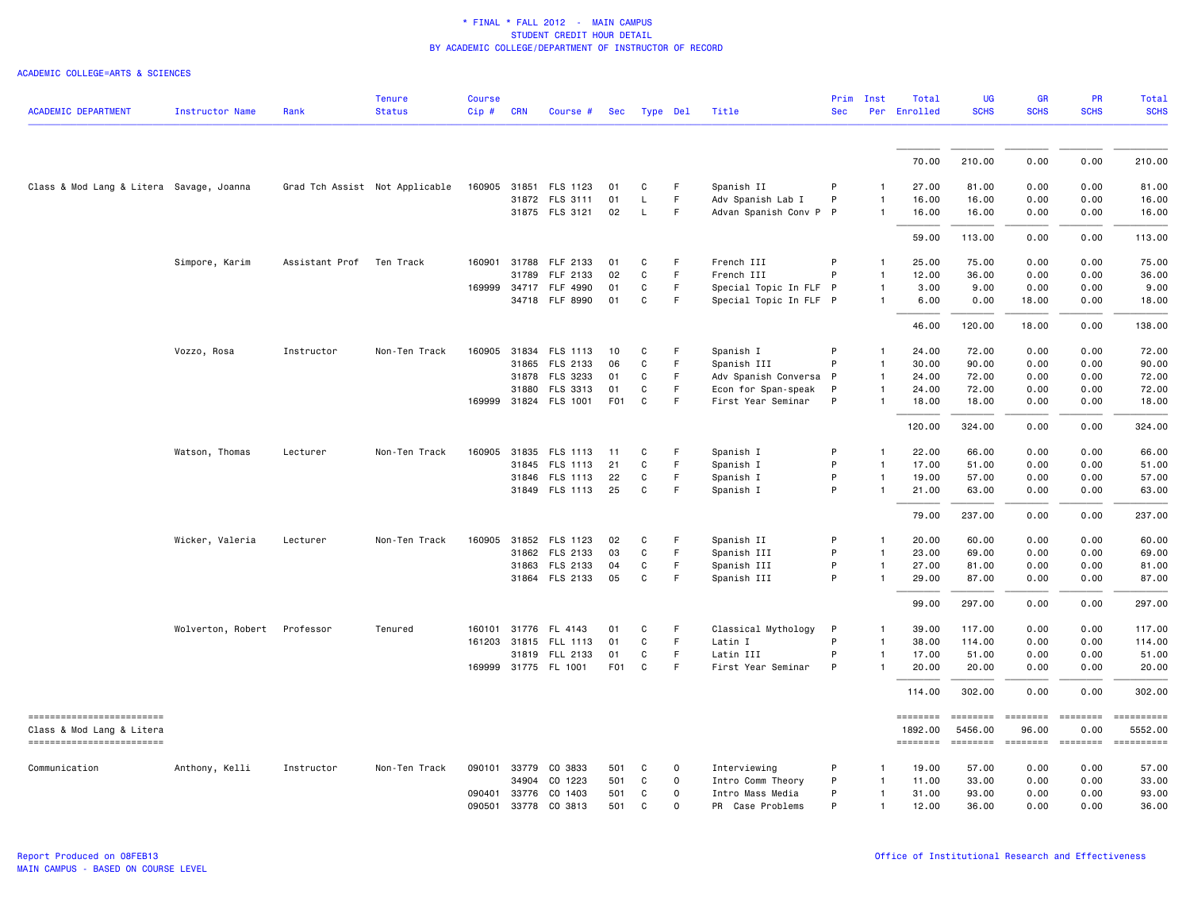| <b>ACADEMIC DEPARTMENT</b>                             | <b>Instructor Name</b> | Rank           | <b>Tenure</b><br><b>Status</b> | <b>Course</b><br>Cip# | <b>CRN</b>   | Course #              | Sec              |              | Type Del    | Title                  | <b>Sec</b> | Prim Inst      | Total<br>Per Enrolled      | <b>UG</b><br><b>SCHS</b>                                                                                                                                                                                                                                                                                                                                                                                                                                                                          | <b>GR</b><br><b>SCHS</b> | PR<br><b>SCHS</b> | <b>Total</b><br><b>SCHS</b> |
|--------------------------------------------------------|------------------------|----------------|--------------------------------|-----------------------|--------------|-----------------------|------------------|--------------|-------------|------------------------|------------|----------------|----------------------------|---------------------------------------------------------------------------------------------------------------------------------------------------------------------------------------------------------------------------------------------------------------------------------------------------------------------------------------------------------------------------------------------------------------------------------------------------------------------------------------------------|--------------------------|-------------------|-----------------------------|
|                                                        |                        |                |                                |                       |              |                       |                  |              |             |                        |            |                |                            |                                                                                                                                                                                                                                                                                                                                                                                                                                                                                                   |                          |                   |                             |
|                                                        |                        |                |                                |                       |              |                       |                  |              |             |                        |            |                | 70.00                      | 210.00                                                                                                                                                                                                                                                                                                                                                                                                                                                                                            | 0.00                     | 0.00              | 210.00                      |
| Class & Mod Lang & Litera Savage, Joanna               |                        |                | Grad Tch Assist Not Applicable |                       |              | 160905 31851 FLS 1123 | 01               | C            | F.          | Spanish II             | P          |                | 27.00                      | 81.00                                                                                                                                                                                                                                                                                                                                                                                                                                                                                             | 0.00                     | 0.00              | 81.00                       |
|                                                        |                        |                |                                |                       |              | 31872 FLS 3111        | 01               | $\mathsf{L}$ | F           | Adv Spanish Lab I      | P          | $\mathbf{1}$   | 16.00                      | 16.00                                                                                                                                                                                                                                                                                                                                                                                                                                                                                             | 0.00                     | 0.00              | 16.00                       |
|                                                        |                        |                |                                |                       |              | 31875 FLS 3121        | 02               | L            | F.          | Advan Spanish Conv P P |            | $\mathbf{1}$   | 16.00                      | 16.00                                                                                                                                                                                                                                                                                                                                                                                                                                                                                             | 0.00                     | 0.00              | 16.00                       |
|                                                        |                        |                |                                |                       |              |                       |                  |              |             |                        |            |                | 59.00                      | 113.00                                                                                                                                                                                                                                                                                                                                                                                                                                                                                            | 0.00                     | 0.00              | 113.00                      |
|                                                        | Simpore, Karim         | Assistant Prof | Ten Track                      | 160901                |              | 31788 FLF 2133        | 01               | C            | F.          | French III             | P          | $\mathbf{1}$   | 25.00                      | 75.00                                                                                                                                                                                                                                                                                                                                                                                                                                                                                             | 0.00                     | 0.00              | 75.00                       |
|                                                        |                        |                |                                |                       | 31789        | FLF 2133              | 02               | C            | F           | French III             | P          | $\mathbf{1}$   | 12.00                      | 36.00                                                                                                                                                                                                                                                                                                                                                                                                                                                                                             | 0.00                     | 0.00              | 36.00                       |
|                                                        |                        |                |                                |                       |              | 169999 34717 FLF 4990 | 01               | C            | F.          | Special Topic In FLF P |            | $\mathbf{1}$   | 3.00                       | 9.00                                                                                                                                                                                                                                                                                                                                                                                                                                                                                              | 0.00                     | 0.00              | 9.00                        |
|                                                        |                        |                |                                |                       |              | 34718 FLF 8990        | 01               | C            | F           | Special Topic In FLF P |            | $\mathbf{1}$   | 6.00                       | 0.00                                                                                                                                                                                                                                                                                                                                                                                                                                                                                              | 18.00                    | 0.00              | 18.00                       |
|                                                        |                        |                |                                |                       |              |                       |                  |              |             |                        |            |                | 46.00                      | 120.00                                                                                                                                                                                                                                                                                                                                                                                                                                                                                            | 18.00                    | 0.00              | 138.00                      |
|                                                        | Vozzo, Rosa            | Instructor     | Non-Ten Track                  |                       |              | 160905 31834 FLS 1113 | 10               | C            | F           | Spanish I              | P          | $\mathbf{1}$   | 24.00                      | 72.00                                                                                                                                                                                                                                                                                                                                                                                                                                                                                             | 0.00                     | 0.00              | 72.00                       |
|                                                        |                        |                |                                |                       | 31865        | FLS 2133              | 06               | C            | F.          | Spanish III            | P          | $\mathbf{1}$   | 30.00                      | 90.00                                                                                                                                                                                                                                                                                                                                                                                                                                                                                             | 0.00                     | 0.00              | 90.00                       |
|                                                        |                        |                |                                |                       |              | 31878 FLS 3233        | 01               | C            | F           | Adv Spanish Conversa P |            | $\overline{1}$ | 24.00                      | 72.00                                                                                                                                                                                                                                                                                                                                                                                                                                                                                             | 0.00                     | 0.00              | 72.00                       |
|                                                        |                        |                |                                |                       |              | 31880 FLS 3313        | 01               | C            | F.          | Econ for Span-speak    | P          | -1             | 24.00                      | 72.00                                                                                                                                                                                                                                                                                                                                                                                                                                                                                             | 0.00                     | 0.00              | 72.00                       |
|                                                        |                        |                |                                |                       |              | 169999 31824 FLS 1001 | F <sub>0</sub> 1 | C            | F           | First Year Seminar     | P          | $\mathbf{1}$   | 18.00                      | 18.00                                                                                                                                                                                                                                                                                                                                                                                                                                                                                             | 0.00                     | 0.00              | 18.00                       |
|                                                        |                        |                |                                |                       |              |                       |                  |              |             |                        |            |                | 120.00                     | 324,00                                                                                                                                                                                                                                                                                                                                                                                                                                                                                            | 0.00                     | 0.00              | 324.00                      |
|                                                        | Watson, Thomas         | Lecturer       | Non-Ten Track                  |                       |              | 160905 31835 FLS 1113 | 11               | C            | F           | Spanish I              | P          | $\mathbf{1}$   | 22.00                      | 66.00                                                                                                                                                                                                                                                                                                                                                                                                                                                                                             | 0.00                     | 0.00              | 66.00                       |
|                                                        |                        |                |                                |                       | 31845        | <b>FLS 1113</b>       | 21               | C            | F.          | Spanish I              | P          | $\mathbf{1}$   | 17.00                      | 51.00                                                                                                                                                                                                                                                                                                                                                                                                                                                                                             | 0.00                     | 0.00              | 51.00                       |
|                                                        |                        |                |                                |                       |              | 31846 FLS 1113        | 22               | C            | F           | Spanish I              | P          | $\mathbf{1}$   | 19.00                      | 57.00                                                                                                                                                                                                                                                                                                                                                                                                                                                                                             | 0.00                     | 0.00              | 57.00                       |
|                                                        |                        |                |                                |                       |              | 31849 FLS 1113        | 25               | C            | F.          | Spanish I              | P          | $\mathbf{1}$   | 21.00                      | 63.00                                                                                                                                                                                                                                                                                                                                                                                                                                                                                             | 0.00                     | 0.00              | 63.00                       |
|                                                        |                        |                |                                |                       |              |                       |                  |              |             |                        |            |                | 79.00                      | 237.00                                                                                                                                                                                                                                                                                                                                                                                                                                                                                            | 0.00                     | 0.00              | 237.00                      |
|                                                        | Wicker, Valeria        | Lecturer       | Non-Ten Track                  | 160905                |              | 31852 FLS 1123        | 02               | C            | F.          | Spanish II             | P          | $\mathbf{1}$   | 20.00                      | 60.00                                                                                                                                                                                                                                                                                                                                                                                                                                                                                             | 0.00                     | 0.00              | 60.00                       |
|                                                        |                        |                |                                |                       |              | 31862 FLS 2133        | 03               | C            | F           | Spanish III            | P          | $\mathbf{1}$   | 23.00                      | 69.00                                                                                                                                                                                                                                                                                                                                                                                                                                                                                             | 0.00                     | 0.00              | 69.00                       |
|                                                        |                        |                |                                |                       |              | 31863 FLS 2133        | 04               | C            | F.          | Spanish III            | P          | $\mathbf{1}$   | 27.00                      | 81.00                                                                                                                                                                                                                                                                                                                                                                                                                                                                                             | 0.00                     | 0.00              | 81.00                       |
|                                                        |                        |                |                                |                       |              | 31864 FLS 2133        | 05               | C            | F           | Spanish III            | P          | $\mathbf{1}$   | 29.00                      | 87.00                                                                                                                                                                                                                                                                                                                                                                                                                                                                                             | 0.00                     | 0.00              | 87.00                       |
|                                                        |                        |                |                                |                       |              |                       |                  |              |             |                        |            |                | 99.00                      | 297.00                                                                                                                                                                                                                                                                                                                                                                                                                                                                                            | 0.00                     | 0.00              | 297.00                      |
|                                                        | Wolverton, Robert      | Professor      | Tenured                        |                       | 160101 31776 | FL 4143               | 01               | C            | F.          | Classical Mythology    | P          | $\mathbf{1}$   | 39.00                      | 117.00                                                                                                                                                                                                                                                                                                                                                                                                                                                                                            | 0.00                     | 0.00              | 117.00                      |
|                                                        |                        |                |                                |                       |              | 161203 31815 FLL 1113 | 01               | C            | F           | Latin I                | P          | $\mathbf{1}$   | 38.00                      | 114.00                                                                                                                                                                                                                                                                                                                                                                                                                                                                                            | 0.00                     | 0.00              | 114.00                      |
|                                                        |                        |                |                                |                       |              | 31819 FLL 2133        | 01               | $\mathtt{C}$ | F.          | Latin III              | P          | $\mathbf{1}$   | 17.00                      | 51.00                                                                                                                                                                                                                                                                                                                                                                                                                                                                                             | 0.00                     | 0.00              | 51.00                       |
|                                                        |                        |                |                                |                       |              | 169999 31775 FL 1001  | F <sub>0</sub> 1 | C            | F.          | First Year Seminar     | P          |                | 20.00                      | 20.00                                                                                                                                                                                                                                                                                                                                                                                                                                                                                             | 0.00                     | 0.00              | 20.00                       |
|                                                        |                        |                |                                |                       |              |                       |                  |              |             |                        |            |                | 114.00                     | 302.00                                                                                                                                                                                                                                                                                                                                                                                                                                                                                            | 0.00                     | 0.00              | 302.00                      |
| =========================                              |                        |                |                                |                       |              |                       |                  |              |             |                        |            |                | ========                   | ========                                                                                                                                                                                                                                                                                                                                                                                                                                                                                          | ========                 | ========          | -==========                 |
| Class & Mod Lang & Litera<br>------------------------- |                        |                |                                |                       |              |                       |                  |              |             |                        |            |                | 1892.00<br><b>EDESSERS</b> | 5456.00<br>$\begin{array}{cccccccccc} \multicolumn{2}{c}{} & \multicolumn{2}{c}{} & \multicolumn{2}{c}{} & \multicolumn{2}{c}{} & \multicolumn{2}{c}{} & \multicolumn{2}{c}{} & \multicolumn{2}{c}{} & \multicolumn{2}{c}{} & \multicolumn{2}{c}{} & \multicolumn{2}{c}{} & \multicolumn{2}{c}{} & \multicolumn{2}{c}{} & \multicolumn{2}{c}{} & \multicolumn{2}{c}{} & \multicolumn{2}{c}{} & \multicolumn{2}{c}{} & \multicolumn{2}{c}{} & \multicolumn{2}{c}{} & \multicolumn{2}{c}{} & \mult$ | 96.00<br>$= 10000000000$ | 0.00<br>========  | 5552.00<br>==========       |
| Communication                                          | Anthony, Kelli         | Instructor     | Non-Ten Track                  | 090101 33779          |              | CO 3833               | 501              | C            | $\mathbf 0$ | Interviewing           | P          | $\mathbf{1}$   | 19.00                      | 57.00                                                                                                                                                                                                                                                                                                                                                                                                                                                                                             | 0.00                     | 0.00              | 57.00                       |
|                                                        |                        |                |                                |                       | 34904        | CO 1223               | 501              | C            | $\circ$     | Intro Comm Theory      | P          | $\mathbf{1}$   | 11.00                      | 33.00                                                                                                                                                                                                                                                                                                                                                                                                                                                                                             | 0.00                     | 0.00              | 33.00                       |
|                                                        |                        |                |                                |                       |              | 090401 33776 CO 1403  | 501              | C            | $\Omega$    | Intro Mass Media       | P          | $\mathbf{1}$   | 31.00                      | 93.00                                                                                                                                                                                                                                                                                                                                                                                                                                                                                             | 0.00                     | 0.00              | 93.00                       |
|                                                        |                        |                |                                | 090501                | 33778        | CO 3813               | 501              | $\mathbf{C}$ | $\Omega$    | PR Case Problems       | P          | 1              | 12.00                      | 36,00                                                                                                                                                                                                                                                                                                                                                                                                                                                                                             | 0.00                     | 0.00              | 36.00                       |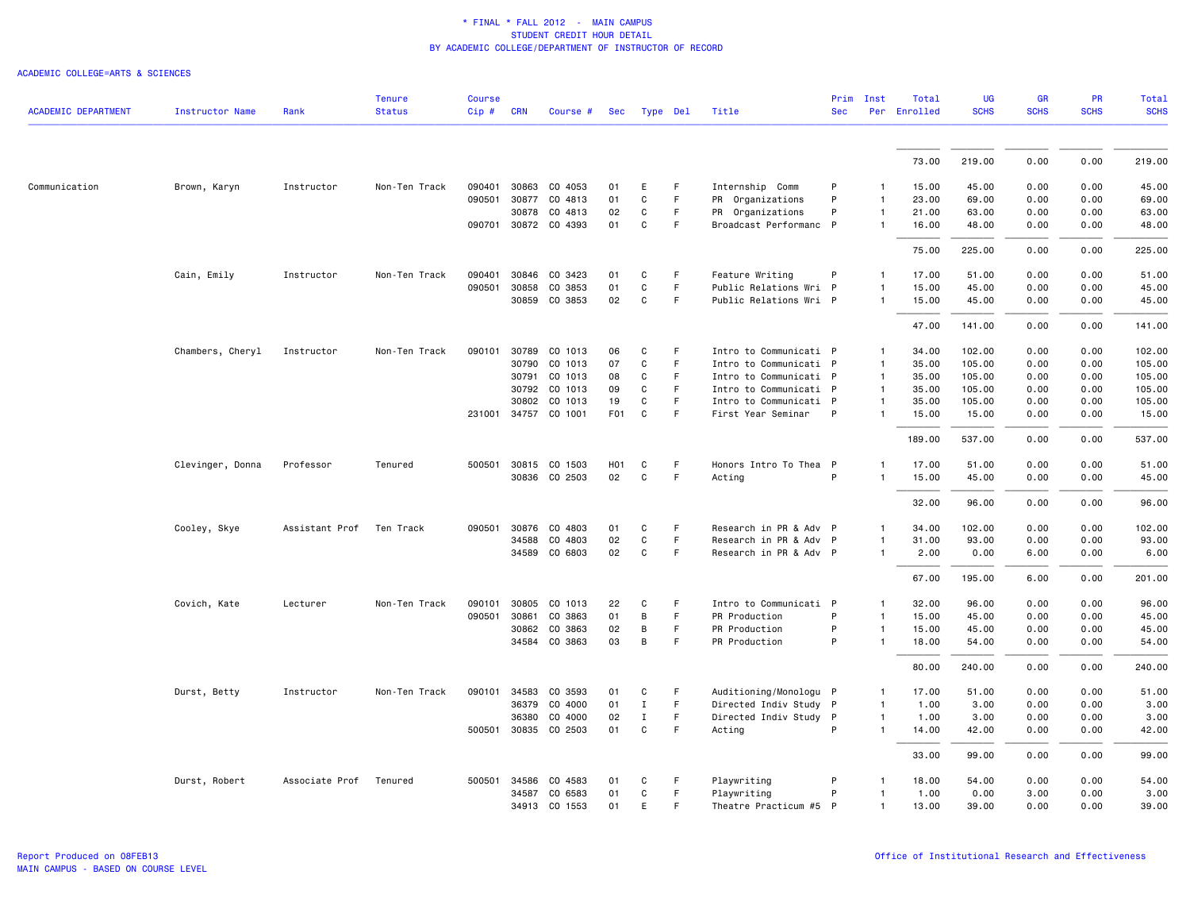| <b>ACADEMIC DEPARTMENT</b> | Instructor Name  | Rank           | <b>Tenure</b><br><b>Status</b> | <b>Course</b><br>Cip# | <b>CRN</b> | Course #             | Sec              | Type Del     |    | Title                  | Prim<br><b>Sec</b> | Inst           | Total<br>Per Enrolled | UG<br><b>SCHS</b> | <b>GR</b><br><b>SCHS</b> | PR<br><b>SCHS</b> | <b>Total</b><br><b>SCHS</b> |
|----------------------------|------------------|----------------|--------------------------------|-----------------------|------------|----------------------|------------------|--------------|----|------------------------|--------------------|----------------|-----------------------|-------------------|--------------------------|-------------------|-----------------------------|
|                            |                  |                |                                |                       |            |                      |                  |              |    |                        |                    |                |                       |                   |                          |                   |                             |
|                            |                  |                |                                |                       |            |                      |                  |              |    |                        |                    |                | 73.00                 | 219.00            | 0.00                     | 0.00              | 219.00                      |
| Communication              | Brown, Karyn     | Instructor     | Non-Ten Track                  | 090401                | 30863      | CO 4053              | 01               | E            | F. | Internship Comm        | P                  |                | 15.00                 | 45.00             | 0.00                     | 0.00              | 45.00                       |
|                            |                  |                |                                | 090501 30877          |            | CO 4813              | 01               | C            | F  | PR Organizations       | P                  | $\mathbf{1}$   | 23.00                 | 69.00             | 0.00                     | 0.00              | 69.00                       |
|                            |                  |                |                                |                       |            | 30878 CO 4813        | 02               | C            | F  | PR Organizations       | P                  | $\mathbf{1}$   | 21.00                 | 63.00             | 0.00                     | 0.00              | 63.00                       |
|                            |                  |                |                                |                       |            | 090701 30872 CO 4393 | 01               | $\mathtt{C}$ | F  | Broadcast Performanc P |                    | -1             | 16.00                 | 48.00             | 0.00                     | 0.00              | 48.00                       |
|                            |                  |                |                                |                       |            |                      |                  |              |    |                        |                    |                | 75.00                 | 225.00            | 0.00                     | 0.00              | 225.00                      |
|                            | Cain, Emily      | Instructor     | Non-Ten Track                  | 090401                | 30846      | CO 3423              | 01               | C            | F  | Feature Writing        | P                  | $\mathbf{1}$   | 17.00                 | 51.00             | 0.00                     | 0.00              | 51.00                       |
|                            |                  |                |                                | 090501                | 30858      | CO 3853              | 01               | C            | F  | Public Relations Wri P |                    | $\mathbf{1}$   | 15.00                 | 45.00             | 0.00                     | 0.00              | 45.00                       |
|                            |                  |                |                                |                       | 30859      | CO 3853              | 02               | $\mathbf c$  | F. | Public Relations Wri P |                    | $\mathbf{1}$   | 15.00                 | 45.00             | 0.00                     | 0.00              | 45.00                       |
|                            |                  |                |                                |                       |            |                      |                  |              |    |                        |                    |                | 47.00                 | 141.00            | 0.00                     | 0.00              | 141.00                      |
|                            | Chambers, Cheryl | Instructor     | Non-Ten Track                  | 090101                | 30789      | CO 1013              | 06               | C            | F. | Intro to Communicati P |                    | 1              | 34.00                 | 102.00            | 0.00                     | 0.00              | 102.00                      |
|                            |                  |                |                                |                       | 30790      | CO 1013              | 07               | C            | F  | Intro to Communicati P |                    | $\mathbf{1}$   | 35.00                 | 105.00            | 0.00                     | 0.00              | 105.00                      |
|                            |                  |                |                                |                       | 30791      | CO 1013              | 08               | C            | F  | Intro to Communicati P |                    | $\mathbf{1}$   | 35.00                 | 105.00            | 0.00                     | 0.00              | 105.00                      |
|                            |                  |                |                                |                       | 30792      | CO 1013              | 09               | C            | F. | Intro to Communicati P |                    | $\mathbf{1}$   | 35.00                 | 105.00            | 0.00                     | 0.00              | 105.00                      |
|                            |                  |                |                                |                       | 30802      | CO 1013              | 19               | C            | F  | Intro to Communicati P |                    | $\mathbf{1}$   | 35.00                 | 105.00            | 0.00                     | 0.00              | 105.00                      |
|                            |                  |                |                                |                       |            | 231001 34757 CO 1001 | F <sub>0</sub> 1 | C            | F. | First Year Seminar     | P                  | 1              | 15.00                 | 15.00             | 0.00                     | 0.00              | 15.00                       |
|                            |                  |                |                                |                       |            |                      |                  |              |    |                        |                    |                | 189.00                | 537.00            | 0.00                     | 0.00              | 537.00                      |
|                            | Clevinger, Donna | Professor      | Tenured                        | 500501                | 30815      | CO 1503              | H <sub>0</sub> 1 | C            | F  | Honors Intro To Thea P |                    | $\mathbf{1}$   | 17.00                 | 51.00             | 0.00                     | 0.00              | 51.00                       |
|                            |                  |                |                                |                       |            | 30836 CO 2503        | 02               | $\mathsf{C}$ | F  | Acting                 | P                  | 1              | 15.00                 | 45.00             | 0.00                     | 0.00              | 45.00                       |
|                            |                  |                |                                |                       |            |                      |                  |              |    |                        |                    |                | 32.00                 | 96.00             | 0.00                     | 0.00              | 96.00                       |
|                            | Cooley, Skye     | Assistant Prof | Ten Track                      | 090501 30876          |            | CO 4803              | 01               | C            | F  | Research in PR & Adv P |                    | $\mathbf{1}$   | 34.00                 | 102.00            | 0.00                     | 0.00              | 102.00                      |
|                            |                  |                |                                |                       | 34588      | CO 4803              | 02               | C            | F  | Research in PR & Adv P |                    | $\mathbf{1}$   | 31.00                 | 93.00             | 0.00                     | 0.00              | 93.00                       |
|                            |                  |                |                                |                       | 34589      | CO 6803              | 02               | C            | F  | Research in PR & Adv P |                    | 1              | 2.00                  | 0.00              | 6.00                     | 0.00              | 6.00                        |
|                            |                  |                |                                |                       |            |                      |                  |              |    |                        |                    |                | 67.00                 | 195.00            | 6.00                     | 0.00              | 201.00                      |
|                            | Covich, Kate     | Lecturer       | Non-Ten Track                  | 090101                | 30805      | CO 1013              | 22               | C            | F. | Intro to Communicati P |                    | 1              | 32.00                 | 96.00             | 0.00                     | 0.00              | 96.00                       |
|                            |                  |                |                                | 090501                | 30861      | CO 3863              | 01               | B            | F. | PR Production          | P                  | $\mathbf{1}$   | 15.00                 | 45.00             | 0.00                     | 0.00              | 45.00                       |
|                            |                  |                |                                |                       | 30862      | CO 3863              | 02               | B            | F  | PR Production          | P                  | $\mathbf{1}$   | 15.00                 | 45.00             | 0.00                     | 0.00              | 45.00                       |
|                            |                  |                |                                |                       | 34584      | CO 3863              | 03               | B            | F. | PR Production          | P                  | $\overline{1}$ | 18.00                 | 54.00             | 0.00                     | 0.00              | 54.00                       |
|                            |                  |                |                                |                       |            |                      |                  |              |    |                        |                    |                | 80.00                 | 240.00            | 0.00                     | 0.00              | 240.00                      |
|                            | Durst, Betty     | Instructor     | Non-Ten Track                  | 090101 34583          |            | CO 3593              | 01               | C            | F  | Auditioning/Monologu P |                    | $\mathbf{1}$   | 17.00                 | 51.00             | 0.00                     | 0.00              | 51.00                       |
|                            |                  |                |                                |                       | 36379      | CO 4000              | 01               | $\mathbf{I}$ | F. | Directed Indiv Study P |                    | $\overline{1}$ | 1.00                  | 3.00              | 0.00                     | 0.00              | 3.00                        |
|                            |                  |                |                                |                       | 36380      | CO 4000              | 02               | Ι.           | F  | Directed Indiv Study   | $\mathsf{P}$       | $\mathbf{1}$   | 1.00                  | 3.00              | 0.00                     | 0.00              | 3.00                        |
|                            |                  |                |                                |                       |            | 500501 30835 CO 2503 | 01               | $\mathtt{C}$ | F  | Acting                 | P                  | $\mathbf{1}$   | 14.00                 | 42.00             | 0.00                     | 0.00              | 42.00                       |
|                            |                  |                |                                |                       |            |                      |                  |              |    |                        |                    |                | 33.00                 | 99.00             | 0.00                     | 0.00              | 99.00                       |
|                            | Durst, Robert    | Associate Prof | Tenured                        | 500501 34586          |            | CO 4583              | 01               | C            | F  | Playwriting            | P                  | $\mathbf{1}$   | 18.00                 | 54.00             | 0.00                     | 0.00              | 54.00                       |
|                            |                  |                |                                |                       | 34587      | CO 6583              | 01               | C            | F. | Playwriting            | P                  | -1             | 1.00                  | 0.00              | 3.00                     | 0.00              | 3.00                        |
|                            |                  |                |                                |                       |            | 34913 CO 1553        | 01               | E            | F  | Theatre Practicum #5 P |                    | $\mathbf{1}$   | 13.00                 | 39.00             | 0.00                     | 0.00              | 39.00                       |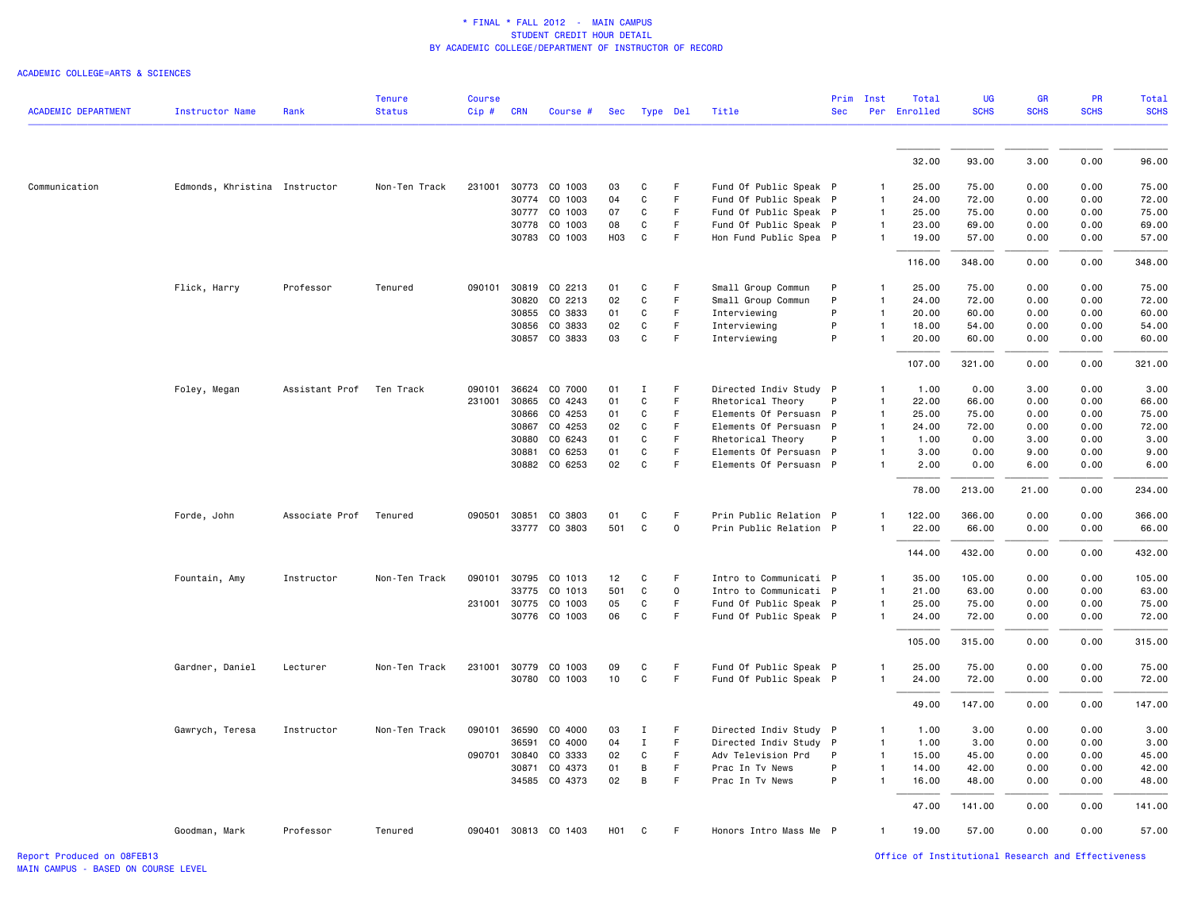#### ACADEMIC COLLEGE=ARTS & SCIENCES

|                            |                               |                          | <b>Tenure</b> | <b>Course</b> |            |                      |                  |              |                     |                        |            | Prim Inst      | Total        | <b>UG</b>   | <b>GR</b>   | <b>PR</b>   | <b>Total</b> |
|----------------------------|-------------------------------|--------------------------|---------------|---------------|------------|----------------------|------------------|--------------|---------------------|------------------------|------------|----------------|--------------|-------------|-------------|-------------|--------------|
| <b>ACADEMIC DEPARTMENT</b> | <b>Instructor Name</b>        | Rank                     | <b>Status</b> | Cip#          | <b>CRN</b> | Course #             | Sec              |              | Type Del            | Title                  | <b>Sec</b> |                | Per Enrolled | <b>SCHS</b> | <b>SCHS</b> | <b>SCHS</b> | <b>SCHS</b>  |
|                            |                               |                          |               |               |            |                      |                  |              |                     |                        |            |                |              |             |             |             |              |
|                            |                               |                          |               |               |            |                      |                  |              |                     |                        |            |                | 32.00        | 93.00       | 3.00        | 0.00        | 96.00        |
| Communication              | Edmonds, Khristina Instructor |                          | Non-Ten Track | 231001        |            | 30773 CO 1003        | 03               | C            | F                   | Fund Of Public Speak P |            | 1              | 25.00        | 75.00       | 0.00        | 0.00        | 75.00        |
|                            |                               |                          |               |               | 30774      | CO 1003              | 04               | C            | F                   | Fund Of Public Speak P |            | $\overline{1}$ | 24.00        | 72.00       | 0.00        | 0.00        | 72.00        |
|                            |                               |                          |               |               | 30777      | CO 1003              | 07               | $\mathtt{C}$ | F                   | Fund Of Public Speak P |            | $\mathbf{1}$   | 25.00        | 75.00       | 0.00        | 0.00        | 75.00        |
|                            |                               |                          |               |               |            | 30778 CO 1003        | 08               | C            | F                   | Fund Of Public Speak P |            | $\mathbf{1}$   | 23.00        | 69.00       | 0.00        | 0.00        | 69.00        |
|                            |                               |                          |               |               |            | 30783 CO 1003        | ноз              | C            | F                   | Hon Fund Public Spea P |            | 1              | 19.00        | 57.00       | 0.00        | 0.00        | 57.00        |
|                            |                               |                          |               |               |            |                      |                  |              |                     |                        |            |                | 116.00       | 348.00      | 0.00        | 0.00        | 348.00       |
|                            | Flick, Harry                  | Professor                | Tenured       | 090101        | 30819      | CO 2213              | 01               | C            | F                   | Small Group Commun     | P          | $\mathbf{1}$   | 25.00        | 75.00       | 0.00        | 0.00        | 75.00        |
|                            |                               |                          |               |               | 30820      | CO 2213              | 02               | C            | F                   | Small Group Commun     | P          | $\mathbf{1}$   | 24.00        | 72.00       | 0.00        | 0.00        | 72.00        |
|                            |                               |                          |               |               | 30855      | CO 3833              | 01               | C            | F.                  | Interviewing           | P          | $\mathbf{1}$   | 20.00        | 60.00       | 0.00        | 0.00        | 60.00        |
|                            |                               |                          |               |               | 30856      | CO 3833              | 02               | C            | F                   | Interviewing           | P          | $\mathbf{1}$   | 18.00        | 54.00       | 0.00        | 0.00        | 54.00        |
|                            |                               |                          |               |               |            | 30857 CO 3833        | 03               | C            | F                   | Interviewing           | P          |                | 20.00        | 60.00       | 0.00        | 0.00        | 60.00        |
|                            |                               |                          |               |               |            |                      |                  |              |                     |                        |            |                | 107.00       | 321.00      | 0.00        | 0.00        | 321.00       |
|                            | Foley, Megan                  | Assistant Prof Ten Track |               |               |            | 090101 36624 CO 7000 | 01               | $\mathbf{I}$ | F                   | Directed Indiv Study P |            | $\mathbf{1}$   | 1.00         | 0.00        | 3.00        | 0.00        | 3.00         |
|                            |                               |                          |               | 231001        | 30865      | CO 4243              | 01               | C            | F                   | Rhetorical Theory      | P          | $\mathbf{1}$   | 22.00        | 66.00       | 0.00        | 0.00        | 66.00        |
|                            |                               |                          |               |               | 30866      | CO 4253              | 01               | C            | F.                  | Elements Of Persuasn P |            | $\mathbf{1}$   | 25.00        | 75.00       | 0.00        | 0.00        | 75.00        |
|                            |                               |                          |               |               | 30867      | CO 4253              | 02               | C            | F                   | Elements Of Persuasn P |            | $\mathbf{1}$   | 24.00        | 72.00       | 0.00        | 0.00        | 72.00        |
|                            |                               |                          |               |               | 30880      | CO 6243              | 01               | $\mathtt{C}$ | F                   | Rhetorical Theory      | P          | $\mathbf{1}$   | 1.00         | 0.00        | 3.00        | 0.00        | 3.00         |
|                            |                               |                          |               |               | 30881      | CO 6253              | 01               | C            | F                   | Elements Of Persuasn P |            | 1              | 3.00         | 0.00        | 9.00        | 0.00        | 9.00         |
|                            |                               |                          |               |               |            | 30882 CO 6253        | 02               | $\mathbf{C}$ | F                   | Elements Of Persuasn P |            | $\mathbf{1}$   | 2.00         | 0.00        | 6.00        | 0.00        | 6.00         |
|                            |                               |                          |               |               |            |                      |                  |              |                     |                        |            |                | 78.00        | 213.00      | 21.00       | 0.00        | 234.00       |
|                            | Forde, John                   | Associate Prof           | Tenured       | 090501 30851  |            | CO 3803              | 01               | C            | F                   | Prin Public Relation P |            | $\mathbf{1}$   | 122.00       | 366.00      | 0.00        | 0.00        | 366.00       |
|                            |                               |                          |               |               |            | 33777 CO 3803        | 501              | $\mathtt{C}$ | $\mathsf{O}\xspace$ | Prin Public Relation P |            | $\mathbf{1}$   | 22.00        | 66.00       | 0.00        | 0.00        | 66.00        |
|                            |                               |                          |               |               |            |                      |                  |              |                     |                        |            |                | 144.00       | 432.00      | 0.00        | 0.00        | 432.00       |
|                            |                               |                          | Non-Ten Track | 090101 30795  |            | CO 1013              | 12               | C            | F                   | Intro to Communicati P |            | 1              | 35.00        | 105.00      | 0.00        | 0.00        | 105.00       |
|                            | Fountain, Amy                 | Instructor               |               |               | 33775      | CO 1013              | 501              | $\mathtt{C}$ | $\mathbf 0$         | Intro to Communicati P |            | $\mathbf{1}$   | 21.00        | 63.00       | 0.00        | 0.00        | 63.00        |
|                            |                               |                          |               | 231001 30775  |            | CO 1003              | 05               | C            | F                   | Fund Of Public Speak P |            | $\mathbf{1}$   | 25.00        | 75.00       | 0.00        | 0.00        | 75.00        |
|                            |                               |                          |               |               |            | 30776 CO 1003        | 06               | C            | F                   | Fund Of Public Speak P |            | $\mathbf{1}$   | 24.00        | 72.00       | 0.00        | 0.00        | 72.00        |
|                            |                               |                          |               |               |            |                      |                  |              |                     |                        |            |                | 105.00       | 315.00      | 0.00        | 0.00        | 315.00       |
|                            | Gardner, Daniel               | Lecturer                 | Non-Ten Track |               |            | 231001 30779 CO 1003 | 09               | C            | F.                  | Fund Of Public Speak P |            | 1              | 25.00        | 75.00       | 0.00        | 0.00        | 75.00        |
|                            |                               |                          |               |               |            | 30780 CO 1003        | 10               | C            | F                   | Fund Of Public Speak P |            | $\mathbf{1}$   | 24.00        | 72.00       | 0.00        | 0.00        | 72.00        |
|                            |                               |                          |               |               |            |                      |                  |              |                     |                        |            |                | 49.00        | 147.00      | 0.00        | 0.00        | 147.00       |
|                            | Gawrych, Teresa               | Instructor               | Non-Ten Track | 090101        | 36590      | CO 4000              | 03               | Ι.           | F                   | Directed Indiv Study P |            | $\mathbf{1}$   | 1.00         | 3.00        | 0.00        | 0.00        | 3.00         |
|                            |                               |                          |               |               | 36591      | CO 4000              | 04               | $\mathbf{I}$ | F                   | Directed Indiv Study P |            | $\mathbf{1}$   | 1.00         | 3.00        | 0.00        | 0.00        | 3.00         |
|                            |                               |                          |               | 090701        | 30840      | CO 3333              | 02               | C            | F.                  | Adv Television Prd     | P          | $\mathbf{1}$   | 15.00        | 45.00       | 0.00        | 0.00        | 45.00        |
|                            |                               |                          |               |               | 30871      | CO 4373              | 01               | B            | F                   | Prac In Tv News        | P          | $\mathbf{1}$   | 14.00        | 42.00       | 0.00        | 0.00        | 42.00        |
|                            |                               |                          |               |               |            | 34585 CO 4373        | 02               | B            | F.                  | Prac In Tv News        | P          | $\mathbf{1}$   | 16.00        | 48.00       | 0.00        | 0.00        | 48.00        |
|                            |                               |                          |               |               |            |                      |                  |              |                     |                        |            |                | 47.00        | 141.00      | 0.00        | 0.00        | 141.00       |
|                            | Goodman, Mark                 | Professor                | Tenured       |               |            | 090401 30813 CO 1403 | H <sub>0</sub> 1 | C            | F                   | Honors Intro Mass Me P |            | $\mathbf{1}$   | 19.00        | 57.00       | 0.00        | 0.00        | 57.00        |

Report Produced on 08FEB13 Office of Institutional Research and Effectiveness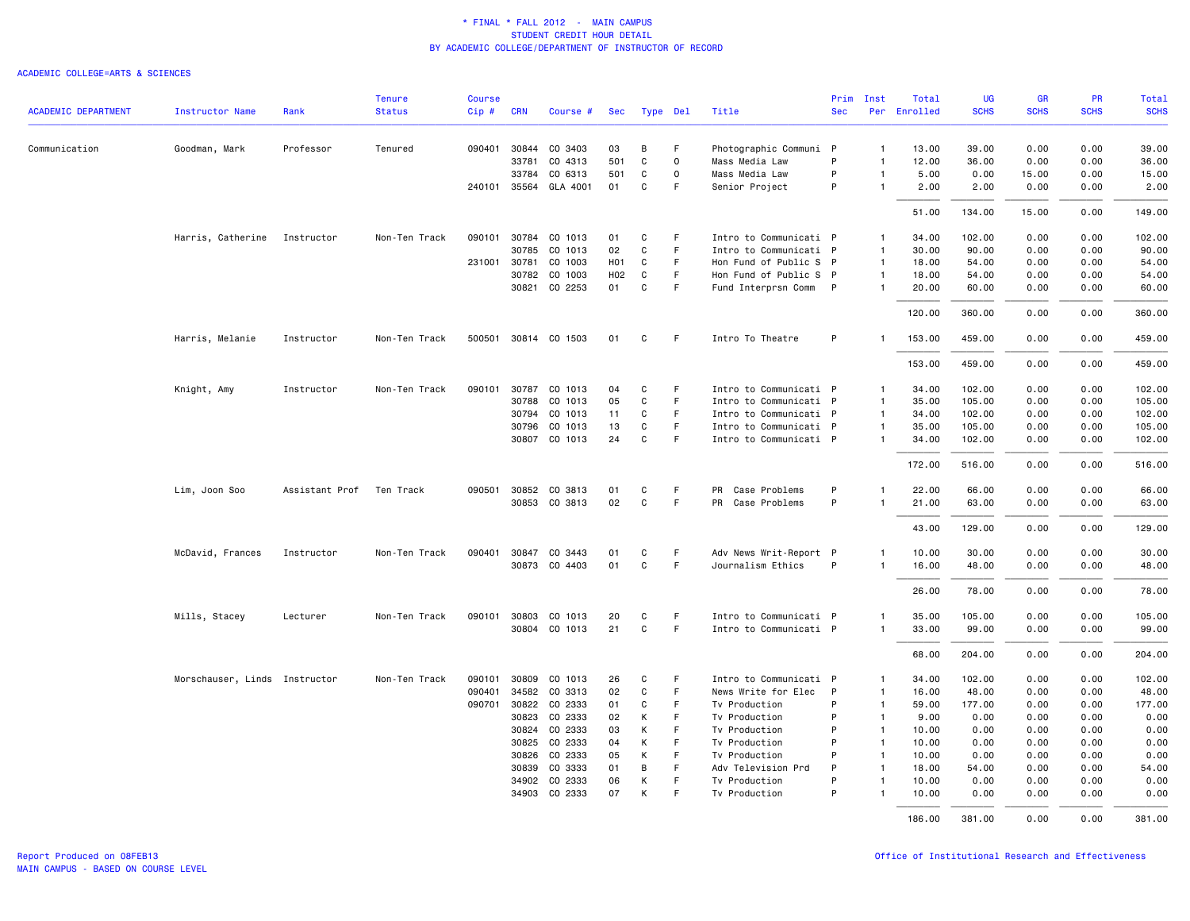|                            |                               |                | <b>Tenure</b> | <b>Course</b> |              |                      |     |              |                     |                        | Prim       | Inst           | Total        | UG          | <b>GR</b>   | <b>PR</b>   | Total       |
|----------------------------|-------------------------------|----------------|---------------|---------------|--------------|----------------------|-----|--------------|---------------------|------------------------|------------|----------------|--------------|-------------|-------------|-------------|-------------|
| <b>ACADEMIC DEPARTMENT</b> | <b>Instructor Name</b>        | Rank           | <b>Status</b> | $Cip \#$      | <b>CRN</b>   | Course #             | Sec | Type Del     |                     | Title                  | <b>Sec</b> |                | Per Enrolled | <b>SCHS</b> | <b>SCHS</b> | <b>SCHS</b> | <b>SCHS</b> |
| Communication              | Goodman, Mark                 | Professor      | Tenured       | 090401        | 30844        | CO 3403              | 03  | В            | F                   | Photographic Communi   | P          | $\mathbf{1}$   | 13.00        | 39.00       | 0.00        | 0.00        | 39.00       |
|                            |                               |                |               |               | 33781        | CO 4313              | 501 | $\mathtt{C}$ | $\mathsf{O}\xspace$ | Mass Media Law         | P          | $\mathbf{1}$   | 12.00        | 36.00       | 0.00        | 0.00        | 36.00       |
|                            |                               |                |               |               | 33784        | CO 6313              | 501 | C            | $\mathsf{o}$        | Mass Media Law         | P          | $\mathbf{1}$   | 5.00         | 0.00        | 15.00       | 0.00        | 15.00       |
|                            |                               |                |               |               | 240101 35564 | GLA 4001             | 01  | C            | F                   | Senior Project         | P          | $\mathbf{1}$   | 2.00         | 2.00        | 0.00        | 0.00        | 2.00        |
|                            |                               |                |               |               |              |                      |     |              |                     |                        |            |                | 51.00        | 134.00      | 15.00       | 0.00        | 149.00      |
|                            | Harris, Catherine             | Instructor     | Non-Ten Track | 090101        | 30784        | CO 1013              | 01  | C            | F.                  | Intro to Communicati P |            | $\mathbf{1}$   | 34.00        | 102.00      | 0.00        | 0.00        | 102.00      |
|                            |                               |                |               |               | 30785        | CO 1013              | 02  | C            | F                   | Intro to Communicati P |            | $\mathbf{1}$   | 30.00        | 90.00       | 0.00        | 0.00        | 90.00       |
|                            |                               |                |               |               | 231001 30781 | CO 1003              | H01 | C            | F.                  | Hon Fund of Public S P |            | $\overline{1}$ | 18.00        | 54.00       | 0.00        | 0.00        | 54.00       |
|                            |                               |                |               |               | 30782        | CO 1003              | H02 | C            | F                   | Hon Fund of Public S P |            | $\overline{1}$ | 18.00        | 54.00       | 0.00        | 0.00        | 54.00       |
|                            |                               |                |               |               | 30821        | CO 2253              | 01  | C            | F                   | Fund Interprsn Comm P  |            | $\mathbf{1}$   | 20.00        | 60.00       | 0.00        | 0.00        | 60.00       |
|                            |                               |                |               |               |              |                      |     |              |                     |                        |            |                | 120.00       | 360.00      | 0.00        | 0.00        | 360.00      |
|                            | Harris, Melanie               | Instructor     | Non-Ten Track |               |              | 500501 30814 CO 1503 | 01  | C            | -F                  | Intro To Theatre       | P          | $\mathbf{1}$   | 153.00       | 459.00      | 0.00        | 0.00        | 459.00      |
|                            |                               |                |               |               |              |                      |     |              |                     |                        |            |                | 153.00       | 459.00      | 0.00        | 0.00        | 459.00      |
|                            | Knight, Amy                   | Instructor     | Non-Ten Track | 090101        | 30787        | CO 1013              | 04  | C            | F.                  | Intro to Communicati P |            | $\mathbf{1}$   | 34.00        | 102.00      | 0.00        | 0.00        | 102.00      |
|                            |                               |                |               |               | 30788        | CO 1013              | 05  | $\mathbf C$  | F                   | Intro to Communicati P |            | $\overline{1}$ | 35.00        | 105.00      | 0.00        | 0.00        | 105.00      |
|                            |                               |                |               |               |              | 30794 CO 1013        | 11  | C            | F.                  | Intro to Communicati P |            | $\overline{1}$ | 34.00        | 102.00      | 0.00        | 0.00        | 102.00      |
|                            |                               |                |               |               | 30796        | CO 1013              | 13  | C            | F                   | Intro to Communicati P |            | $\mathbf{1}$   | 35.00        | 105.00      | 0.00        | 0.00        | 105.00      |
|                            |                               |                |               |               |              | 30807 CO 1013        | 24  | $\mathbf C$  | F                   | Intro to Communicati P |            | -1             | 34.00        | 102.00      | 0.00        | 0.00        | 102.00      |
|                            |                               |                |               |               |              |                      |     |              |                     |                        |            |                | 172.00       | 516.00      | 0.00        | 0.00        | 516.00      |
|                            | Lim, Joon Soo                 | Assistant Prof | Ten Track     | 090501        | 30852        | CO 3813              | 01  | C            | F                   | PR<br>Case Problems    | P          | $\mathbf{1}$   | 22.00        | 66.00       | 0.00        | 0.00        | 66.00       |
|                            |                               |                |               |               |              | 30853 CO 3813        | 02  | C            | F.                  | PR Case Problems       | P          | 1              | 21.00        | 63.00       | 0.00        | 0.00        | 63.00       |
|                            |                               |                |               |               |              |                      |     |              |                     |                        |            |                | 43.00        | 129.00      | 0.00        | 0.00        | 129.00      |
|                            | McDavid, Frances              | Instructor     | Non-Ten Track |               |              | 090401 30847 CO 3443 | 01  | C            | F.                  | Adv News Writ-Report P |            | 1              | 10.00        | 30.00       | 0.00        | 0.00        | 30.00       |
|                            |                               |                |               |               |              | 30873 CO 4403        | 01  | C            | F.                  | Journalism Ethics      | P          | $\mathbf{1}$   | 16.00        | 48.00       | 0.00        | 0.00        | 48.00       |
|                            |                               |                |               |               |              |                      |     |              |                     |                        |            |                | 26.00        | 78.00       | 0.00        | 0.00        | 78.00       |
|                            | Mills, Stacey                 | Lecturer       | Non-Ten Track |               |              | 090101 30803 CO 1013 | 20  | C            | F                   | Intro to Communicati P |            | $\mathbf{1}$   | 35.00        | 105.00      | 0.00        | 0.00        | 105.00      |
|                            |                               |                |               |               |              | 30804 CO 1013        | 21  | $\mathsf{C}$ | F.                  | Intro to Communicati P |            | $\mathbf{1}$   | 33.00        | 99.00       | 0.00        | 0.00        | 99.00       |
|                            |                               |                |               |               |              |                      |     |              |                     |                        |            |                | 68.00        | 204.00      | 0.00        | 0.00        | 204.00      |
|                            | Morschauser, Linds Instructor |                | Non-Ten Track | 090101        | 30809        | CO 1013              | 26  | C            | F                   | Intro to Communicati P |            | $\mathbf{1}$   | 34.00        | 102.00      | 0.00        | 0.00        | 102.00      |
|                            |                               |                |               | 090401        | 34582        | CO 3313              | 02  | C            | F                   | News Write for Elec    | P          | $\mathbf{1}$   | 16.00        | 48.00       | 0.00        | 0.00        | 48.00       |
|                            |                               |                |               | 090701        | 30822        | CO 2333              | 01  | C            | F                   | Tv Production          | P          | $\overline{1}$ | 59.00        | 177.00      | 0.00        | 0.00        | 177.00      |
|                            |                               |                |               |               | 30823        | CO 2333              | 02  | К            | F                   | Tv Production          | P          | $\overline{1}$ | 9.00         | 0.00        | 0.00        | 0.00        | 0.00        |
|                            |                               |                |               |               | 30824        | CO 2333              | 03  | К            | F                   | Tv Production          | P          | $\overline{1}$ | 10.00        | 0.00        | 0.00        | 0.00        | 0.00        |
|                            |                               |                |               |               | 30825        | CO 2333              | 04  | К            | F.                  | Tv Production          | P          | $\overline{1}$ | 10.00        | 0.00        | 0.00        | 0.00        | 0.00        |
|                            |                               |                |               |               | 30826        | CO 2333              | 05  | К            | F                   | Tv Production          | P          | $\overline{1}$ | 10.00        | 0.00        | 0.00        | 0.00        | 0.00        |
|                            |                               |                |               |               | 30839        | CO 3333              | 01  | В            | F                   | Adv Television Prd     | P          | $\mathbf{1}$   | 18,00        | 54.00       | 0.00        | 0.00        | 54.00       |
|                            |                               |                |               |               | 34902        | CO 2333              | 06  | К            | F.                  | Tv Production          | P          | $\mathbf{1}$   | 10.00        | 0.00        | 0.00        | 0.00        | 0.00        |
|                            |                               |                |               |               | 34903        | CO 2333              | 07  | К            | F                   | Tv Production          | P          | -1             | 10.00        | 0.00        | 0.00        | 0.00        | 0.00        |
|                            |                               |                |               |               |              |                      |     |              |                     |                        |            |                | 186.00       | 381.00      | 0.00        | 0.00        | 381.00      |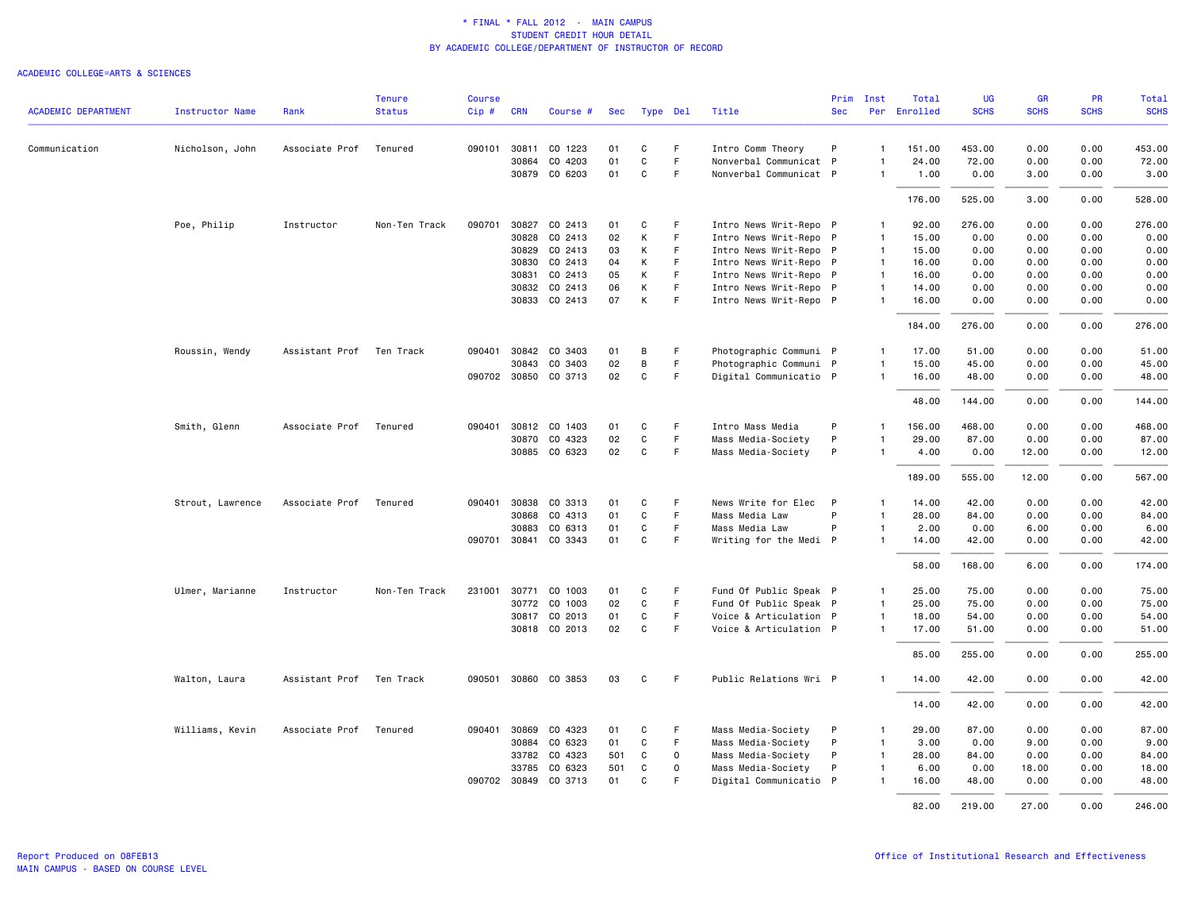|                            |                        |                | <b>Tenure</b> | <b>Course</b> |            |                      |     |             |             |                        |            | Prim Inst      | Total        | UG          | GR          | PR          | Total       |
|----------------------------|------------------------|----------------|---------------|---------------|------------|----------------------|-----|-------------|-------------|------------------------|------------|----------------|--------------|-------------|-------------|-------------|-------------|
| <b>ACADEMIC DEPARTMENT</b> | <b>Instructor Name</b> | Rank           | <b>Status</b> | Cip#          | <b>CRN</b> | Course #             | Sec | Type Del    |             | Title                  | <b>Sec</b> |                | Per Enrolled | <b>SCHS</b> | <b>SCHS</b> | <b>SCHS</b> | <b>SCHS</b> |
| Communication              | Nicholson, John        | Associate Prof | Tenured       | 090101        | 30811      | CO 1223              | 01  | C           | F.          | Intro Comm Theory      | P          | $\overline{1}$ | 151.00       | 453.00      | 0.00        | 0.00        | 453.00      |
|                            |                        |                |               |               | 30864      | CO 4203              | 01  | $\mathbf C$ | F           | Nonverbal Communicat P |            | $\overline{1}$ | 24.00        | 72.00       | 0.00        | 0.00        | 72.00       |
|                            |                        |                |               |               |            | 30879 CO 6203        | 01  | C           | F.          | Nonverbal Communicat P |            | $\overline{1}$ | 1.00         | 0.00        | 3.00        | 0.00        | 3.00        |
|                            |                        |                |               |               |            |                      |     |             |             |                        |            |                | 176.00       | 525.00      | 3.00        | 0.00        | 528.00      |
|                            | Poe, Philip            | Instructor     | Non-Ten Track | 090701        |            | 30827 CO 2413        | 01  | C           | F           | Intro News Writ-Repo P |            | $\overline{1}$ | 92.00        | 276.00      | 0.00        | 0.00        | 276.00      |
|                            |                        |                |               |               | 30828      | CO 2413              | 02  | К           | F           | Intro News Writ-Repo P |            | -1             | 15.00        | 0.00        | 0.00        | 0.00        | 0.00        |
|                            |                        |                |               |               | 30829      | CO 2413              | 03  | К           | F           | Intro News Writ-Repo P |            | $\overline{1}$ | 15.00        | 0.00        | 0.00        | 0.00        | 0.00        |
|                            |                        |                |               |               | 30830      | CO 2413              | 04  | К           | F           | Intro News Writ-Repo P |            | $\overline{1}$ | 16.00        | 0.00        | 0.00        | 0.00        | 0.00        |
|                            |                        |                |               |               | 30831      | CO 2413              | 05  | К           | F           | Intro News Writ-Repo P |            | $\overline{1}$ | 16.00        | 0.00        | 0.00        | 0.00        | 0.00        |
|                            |                        |                |               |               | 30832      | CO 2413              | 06  | К           | F           | Intro News Writ-Repo P |            | $\overline{1}$ | 14.00        | 0.00        | 0.00        | 0.00        | 0.00        |
|                            |                        |                |               |               |            | 30833 CO 2413        | 07  | К           | F           | Intro News Writ-Repo P |            | $\overline{1}$ | 16.00        | 0.00        | 0.00        | 0.00        | 0.00        |
|                            |                        |                |               |               |            |                      |     |             |             |                        |            |                | 184.00       | 276.00      | 0.00        | 0.00        | 276.00      |
|                            | Roussin, Wendy         | Assistant Prof | Ten Track     | 090401        | 30842      | CO 3403              | 01  | В           | F           | Photographic Communi P |            | $\overline{1}$ | 17.00        | 51.00       | 0.00        | 0.00        | 51.00       |
|                            |                        |                |               |               | 30843      | CO 3403              | 02  | B           | F           | Photographic Communi P |            | $\overline{1}$ | 15.00        | 45.00       | 0.00        | 0.00        | 45.00       |
|                            |                        |                |               |               |            | 090702 30850 CO 3713 | 02  | C           | F.          | Digital Communicatio P |            | $\overline{1}$ | 16.00        | 48.00       | 0.00        | 0.00        | 48.00       |
|                            |                        |                |               |               |            |                      |     |             |             |                        |            |                | 48.00        | 144.00      | 0.00        | 0.00        | 144.00      |
|                            | Smith, Glenn           | Associate Prof | Tenured       | 090401        | 30812      | CO 1403              | 01  | C           | F           | Intro Mass Media       | P          | $\overline{1}$ | 156.00       | 468.00      | 0.00        | 0.00        | 468.00      |
|                            |                        |                |               |               |            | 30870 CO 4323        | 02  | C           | F.          | Mass Media-Society     | P          | $\overline{1}$ | 29.00        | 87.00       | 0.00        | 0.00        | 87.00       |
|                            |                        |                |               |               |            | 30885 CO 6323        | 02  | C           | F           | Mass Media-Society     | P          | $\overline{1}$ | 4.00         | 0.00        | 12.00       | 0.00        | 12.00       |
|                            |                        |                |               |               |            |                      |     |             |             |                        |            |                | 189.00       | 555.00      | 12.00       | 0.00        | 567.00      |
|                            | Strout, Lawrence       | Associate Prof | Tenured       | 090401        | 30838      | CO 3313              | 01  | C           | F           | News Write for Elec    | P          | $\mathbf{1}$   | 14.00        | 42.00       | 0.00        | 0.00        | 42.00       |
|                            |                        |                |               |               | 30868      | CO 4313              | 01  | C           | F.          | Mass Media Law         | P          | $\overline{1}$ | 28.00        | 84.00       | 0.00        | 0.00        | 84.00       |
|                            |                        |                |               |               | 30883      | CO 6313              | 01  | C           | F           | Mass Media Law         | P          | $\overline{1}$ | 2.00         | 0.00        | 6.00        | 0.00        | 6.00        |
|                            |                        |                |               |               |            | 090701 30841 CO 3343 | 01  | C           | F           | Writing for the Medi P |            | $\mathbf{1}$   | 14.00        | 42.00       | 0.00        | 0.00        | 42.00       |
|                            |                        |                |               |               |            |                      |     |             |             |                        |            |                | 58.00        | 168.00      | 6.00        | 0.00        | 174.00      |
|                            | Ulmer, Marianne        | Instructor     | Non-Ten Track | 231001        | 30771      | CO 1003              | 01  | C           | F           | Fund Of Public Speak P |            | $\overline{1}$ | 25.00        | 75.00       | 0.00        | 0.00        | 75.00       |
|                            |                        |                |               |               | 30772      | CO 1003              | 02  | $\mathbf C$ | F           | Fund Of Public Speak P |            | $\overline{1}$ | 25.00        | 75.00       | 0.00        | 0.00        | 75.00       |
|                            |                        |                |               |               |            | 30817 CO 2013        | 01  | C           | F.          | Voice & Articulation P |            | $\overline{1}$ | 18.00        | 54.00       | 0.00        | 0.00        | 54.00       |
|                            |                        |                |               |               |            | 30818 CO 2013        | 02  | C           | F           | Voice & Articulation P |            | $\overline{1}$ | 17.00        | 51.00       | 0.00        | 0.00        | 51.00       |
|                            |                        |                |               |               |            |                      |     |             |             |                        |            |                | 85.00        | 255.00      | 0.00        | 0.00        | 255.00      |
|                            | Walton, Laura          | Assistant Prof | Ten Track     |               |            | 090501 30860 CO 3853 | 03  | C           | F.          | Public Relations Wri P |            | $\mathbf{1}$   | 14.00        | 42.00       | 0.00        | 0.00        | 42.00       |
|                            |                        |                |               |               |            |                      |     |             |             |                        |            |                | 14.00        | 42.00       | 0.00        | 0.00        | 42.00       |
|                            | Williams, Kevin        | Associate Prof | Tenured       | 090401        | 30869      | CO 4323              | 01  | C           | F           | Mass Media-Society     | P          | $\overline{1}$ | 29.00        | 87.00       | 0.00        | 0.00        | 87.00       |
|                            |                        |                |               |               | 30884      | CO 6323              | 01  | $\mathbf C$ | F           | Mass Media-Society     | P          | $\overline{1}$ | 3.00         | 0.00        | 9.00        | 0.00        | 9.00        |
|                            |                        |                |               |               | 33782      | CO 4323              | 501 | C           | 0           | Mass Media-Society     | P          | $\overline{1}$ | 28.00        | 84.00       | 0.00        | 0.00        | 84.00       |
|                            |                        |                |               |               | 33785      | CO 6323              | 501 | C           | $\mathbf 0$ | Mass Media-Society     | P          | $\overline{1}$ | 6.00         | 0.00        | 18.00       | 0.00        | 18.00       |
|                            |                        |                |               |               |            | 090702 30849 CO 3713 | 01  | C           | F.          | Digital Communicatio P |            | $\overline{1}$ | 16.00        | 48.00       | 0.00        | 0.00        | 48.00       |
|                            |                        |                |               |               |            |                      |     |             |             |                        |            |                | 82.00        | 219.00      | 27.00       | 0.00        | 246.00      |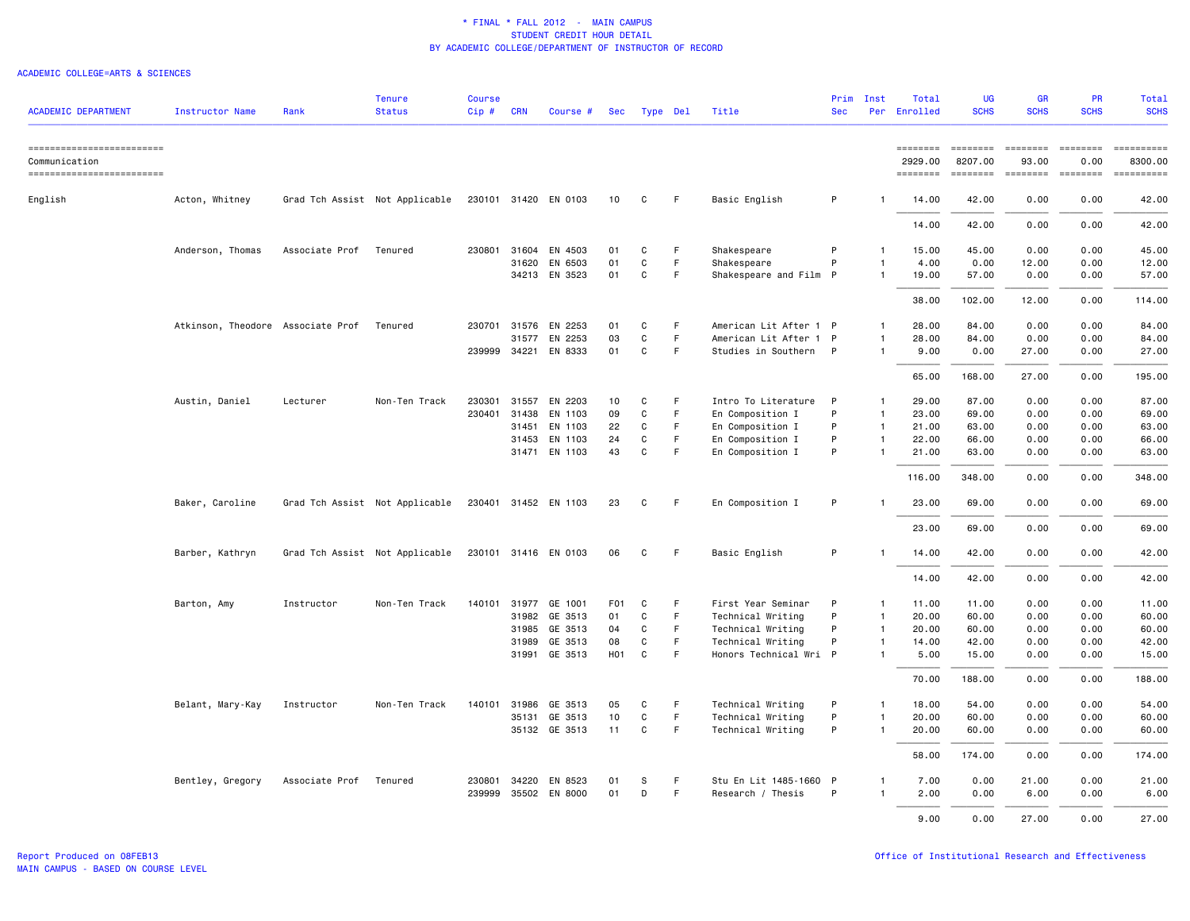| <b>ACADEMIC DEPARTMENT</b>                  | <b>Instructor Name</b>            | Rank           | <b>Tenure</b><br><b>Status</b> | <b>Course</b><br>$Cip$ # | <b>CRN</b> | Course #             | Sec              | Type Del     |    | Title                  | <b>Sec</b> | Prim Inst    | Total<br>Per Enrolled | <b>UG</b><br><b>SCHS</b> | <b>GR</b><br><b>SCHS</b> | <b>PR</b><br><b>SCHS</b> | Total<br><b>SCHS</b>  |
|---------------------------------------------|-----------------------------------|----------------|--------------------------------|--------------------------|------------|----------------------|------------------|--------------|----|------------------------|------------|--------------|-----------------------|--------------------------|--------------------------|--------------------------|-----------------------|
| ==========================<br>Communication |                                   |                |                                |                          |            |                      |                  |              |    |                        |            |              | ========<br>2929.00   | ========<br>8207.00      | <b>ESSESSE</b><br>93.00  | <b>ESSESSE</b><br>0.00   | ==========<br>8300.00 |
| ------------------------                    |                                   |                |                                |                          |            |                      |                  |              |    |                        |            |              | ========              | ========                 |                          |                          |                       |
| English                                     | Acton, Whitney                    |                | Grad Tch Assist Not Applicable |                          |            | 230101 31420 EN 0103 | 10               | C            | F. | Basic English          | P          | $\mathbf{1}$ | 14.00                 | 42.00                    | 0.00                     | 0.00                     | 42.00                 |
|                                             |                                   |                |                                |                          |            |                      |                  |              |    |                        |            |              | 14.00                 | 42.00                    | 0.00                     | 0.00                     | 42.00                 |
|                                             | Anderson, Thomas                  | Associate Prof | Tenured                        | 230801 31604             |            | EN 4503              | 01               | C            | F. | Shakespeare            | P          | $\mathbf{1}$ | 15.00                 | 45.00                    | 0.00                     | 0.00                     | 45.00                 |
|                                             |                                   |                |                                |                          | 31620      | EN 6503              | 01               | C            | F  | Shakespeare            | P          | $\mathbf{1}$ | 4.00                  | 0.00                     | 12.00                    | 0.00                     | 12.00                 |
|                                             |                                   |                |                                |                          |            | 34213 EN 3523        | 01               | C            | F  | Shakespeare and Film P |            | $\mathbf{1}$ | 19.00                 | 57.00                    | 0.00                     | 0.00                     | 57.00                 |
|                                             |                                   |                |                                |                          |            |                      |                  |              |    |                        |            |              | 38.00                 | 102.00                   | 12.00                    | 0.00                     | 114.00                |
|                                             | Atkinson, Theodore Associate Prof |                | Tenured                        |                          |            | 230701 31576 EN 2253 | 01               | C            | F  | American Lit After 1 P |            | $\mathbf{1}$ | 28.00                 | 84.00                    | 0.00                     | 0.00                     | 84.00                 |
|                                             |                                   |                |                                |                          | 31577      | EN 2253              | 03               | C            | F. | American Lit After 1 P |            | $\mathbf{1}$ | 28.00                 | 84.00                    | 0.00                     | 0.00                     | 84.00                 |
|                                             |                                   |                |                                |                          |            | 239999 34221 EN 8333 | 01               | $\mathtt{C}$ | F. | Studies in Southern P  |            | $\mathbf{1}$ | 9.00                  | 0.00                     | 27.00                    | 0.00                     | 27.00                 |
|                                             |                                   |                |                                |                          |            |                      |                  |              |    |                        |            |              | 65.00                 | 168,00                   | 27.00                    | 0.00                     | 195.00                |
|                                             | Austin, Daniel                    | Lecturer       | Non-Ten Track                  | 230301                   | 31557      | EN 2203              | 10               | C            | F  | Intro To Literature    | P          | $\mathbf{1}$ | 29.00                 | 87.00                    | 0.00                     | 0.00                     | 87.00                 |
|                                             |                                   |                |                                | 230401                   | 31438      | EN 1103              | 09               | $\mathtt{C}$ | F  | En Composition I       | P          | $\mathbf{1}$ | 23.00                 | 69.00                    | 0.00                     | 0.00                     | 69.00                 |
|                                             |                                   |                |                                |                          | 31451      | EN 1103              | 22               | C            | F. | En Composition I       | P          | $\mathbf{1}$ | 21.00                 | 63.00                    | 0.00                     | 0.00                     | 63.00                 |
|                                             |                                   |                |                                |                          | 31453      | EN 1103              | 24               | C            | F  | En Composition I       | P          | $\mathbf{1}$ | 22.00                 | 66.00                    | 0.00                     | 0.00                     | 66.00                 |
|                                             |                                   |                |                                |                          |            | 31471 EN 1103        | 43               | $\mathbf{C}$ | F. | En Composition I       | P          | $\mathbf{1}$ | 21.00                 | 63.00                    | 0.00                     | 0.00                     | 63.00                 |
|                                             |                                   |                |                                |                          |            |                      |                  |              |    |                        |            |              | 116.00                | 348.00                   | 0.00                     | 0.00                     | 348.00                |
|                                             | Baker, Caroline                   |                | Grad Tch Assist Not Applicable |                          |            | 230401 31452 EN 1103 | 23               | C            | F  | En Composition I       | P          |              | 23.00                 | 69.00                    | 0.00                     | 0.00                     | 69.00                 |
|                                             |                                   |                |                                |                          |            |                      |                  |              |    |                        |            |              | 23.00                 | 69.00                    | 0.00                     | 0.00                     | 69.00                 |
|                                             | Barber, Kathryn                   |                | Grad Tch Assist Not Applicable |                          |            | 230101 31416 EN 0103 | 06               | C            | F. | Basic English          | P          | $\mathbf{1}$ | 14.00                 | 42.00                    | 0.00                     | 0.00                     | 42.00                 |
|                                             |                                   |                |                                |                          |            |                      |                  |              |    |                        |            |              | 14.00                 | 42.00                    | 0.00                     | 0.00                     | 42.00                 |
|                                             | Barton, Amy                       | Instructor     | Non-Ten Track                  |                          |            | 140101 31977 GE 1001 | F <sub>0</sub> 1 | C            | F  | First Year Seminar     | P          | 1            | 11.00                 | 11.00                    | 0.00                     | 0.00                     | 11.00                 |
|                                             |                                   |                |                                |                          | 31982      | GE 3513              | 01               | C            | F  | Technical Writing      | P          | $\mathbf{1}$ | 20.00                 | 60.00                    | 0.00                     | 0.00                     | 60.00                 |
|                                             |                                   |                |                                |                          |            | 31985 GE 3513        | 04               | C            | F  | Technical Writing      | P          | $\mathbf{1}$ | 20.00                 | 60.00                    | 0.00                     | 0.00                     | 60.00                 |
|                                             |                                   |                |                                |                          | 31989      | GE 3513              | 08               | C            | F. | Technical Writing      | P          | $\mathbf{1}$ | 14.00                 | 42.00                    | 0.00                     | 0.00                     | 42.00                 |
|                                             |                                   |                |                                |                          | 31991      | GE 3513              | H <sub>0</sub> 1 | C            | F  | Honors Technical Wri P |            | $\mathbf{1}$ | 5.00                  | 15.00                    | 0.00                     | 0.00                     | 15.00                 |
|                                             |                                   |                |                                |                          |            |                      |                  |              |    |                        |            |              | 70.00                 | 188.00                   | 0.00                     | 0.00                     | 188.00                |
|                                             | Belant, Mary-Kay                  | Instructor     | Non-Ten Track                  | 140101                   | 31986      | GE 3513              | 05               | C            | F. | Technical Writing      | P          | $\mathbf{1}$ | 18.00                 | 54.00                    | 0.00                     | 0.00                     | 54.00                 |
|                                             |                                   |                |                                |                          | 35131      | GE 3513              | 10               | C            | F. | Technical Writing      | P          | $\mathbf{1}$ | 20,00                 | 60.00                    | 0.00                     | 0.00                     | 60.00                 |
|                                             |                                   |                |                                |                          |            | 35132 GE 3513        | 11               | C            | F. | Technical Writing      | P          | $\mathbf{1}$ | 20.00                 | 60.00                    | 0.00                     | 0.00                     | 60.00                 |
|                                             |                                   |                |                                |                          |            |                      |                  |              |    |                        |            |              | 58.00                 | 174.00                   | 0.00                     | 0.00                     | 174.00                |
|                                             | Bentley, Gregory                  | Associate Prof | Tenured                        | 230801                   | 34220      | EN 8523              | 01               | S            | F  | Stu En Lit 1485-1660 P |            | $\mathbf{1}$ | 7.00                  | 0.00                     | 21.00                    | 0.00                     | 21.00                 |
|                                             |                                   |                |                                | 239999                   |            | 35502 EN 8000        | 01               | D            | F. | Research / Thesis      | P          | $\mathbf{1}$ | 2.00                  | 0.00                     | 6.00                     | 0.00                     | 6.00                  |
|                                             |                                   |                |                                |                          |            |                      |                  |              |    |                        |            |              | 9.00                  | 0.00                     | 27.00                    | 0.00                     | 27.00                 |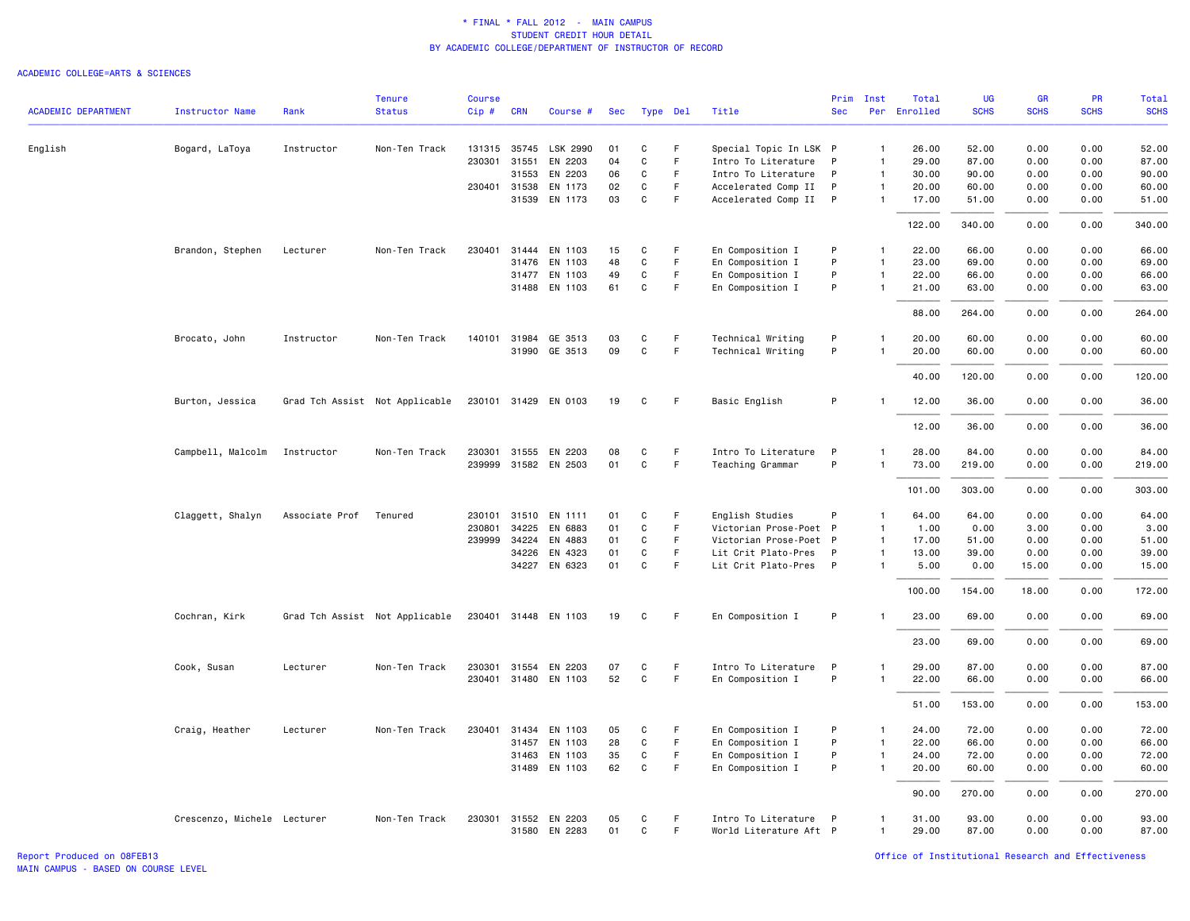|                            |                             |                | <b>Tenure</b>                  | <b>Course</b> |              |                      |     |             |             |                        | Prim         | Inst           | Total    | UG          | <b>GR</b>   | PR          | Total       |
|----------------------------|-----------------------------|----------------|--------------------------------|---------------|--------------|----------------------|-----|-------------|-------------|------------------------|--------------|----------------|----------|-------------|-------------|-------------|-------------|
| <b>ACADEMIC DEPARTMENT</b> | Instructor Name             | Rank           | <b>Status</b>                  | Cip#          | <b>CRN</b>   | Course #             | Sec |             | Type Del    | Title                  | <b>Sec</b>   | Per            | Enrolled | <b>SCHS</b> | <b>SCHS</b> | <b>SCHS</b> | <b>SCHS</b> |
| English                    | Bogard, LaToya              | Instructor     | Non-Ten Track                  |               | 131315 35745 | LSK 2990             | 01  | C           | F           | Special Topic In LSK P |              | $\mathbf{1}$   | 26.00    | 52.00       | 0.00        | 0.00        | 52.00       |
|                            |                             |                |                                | 230301        | 31551        | EN 2203              | 04  | C           | F           | Intro To Literature    | P            | $\mathbf{1}$   | 29.00    | 87.00       | 0.00        | 0.00        | 87.00       |
|                            |                             |                |                                |               | 31553        | EN 2203              | 06  | C           | F           | Intro To Literature    | $\mathsf{P}$ | $\mathbf{1}$   | 30.00    | 90.00       | 0.00        | 0.00        | 90.00       |
|                            |                             |                |                                |               | 230401 31538 | EN 1173              | 02  | C           | F           | Accelerated Comp II    | P            | $\mathbf{1}$   | 20.00    | 60.00       | 0.00        | 0.00        | 60.00       |
|                            |                             |                |                                |               | 31539        | EN 1173              | 03  | $\mathbf C$ | F           | Accelerated Comp II    | $\mathsf{P}$ | $\mathbf{1}$   | 17.00    | 51.00       | 0.00        | 0.00        | 51.00       |
|                            |                             |                |                                |               |              |                      |     |             |             |                        |              |                | 122.00   | 340.00      | 0.00        | 0.00        | 340.00      |
|                            | Brandon, Stephen            | Lecturer       | Non-Ten Track                  | 230401        |              | 31444 EN 1103        | 15  | C           | -F          | En Composition I       | P            | $\mathbf{1}$   | 22.00    | 66.00       | 0.00        | 0.00        | 66.00       |
|                            |                             |                |                                |               | 31476        | EN 1103              | 48  | $\mathbf C$ | F           | En Composition I       | P            | $\overline{1}$ | 23.00    | 69.00       | 0.00        | 0.00        | 69.00       |
|                            |                             |                |                                |               |              | 31477 EN 1103        | 49  | C           | F           | En Composition I       | P            | $\mathbf{1}$   | 22.00    | 66.00       | 0.00        | 0.00        | 66.00       |
|                            |                             |                |                                |               |              | 31488 EN 1103        | 61  | C           | F           | En Composition I       | P            | $\mathbf{1}$   | 21.00    | 63.00       | 0.00        | 0.00        | 63.00       |
|                            |                             |                |                                |               |              |                      |     |             |             |                        |              |                | 88.00    | 264.00      | 0.00        | 0.00        | 264.00      |
|                            | Brocato, John               | Instructor     | Non-Ten Track                  |               | 140101 31984 | GE 3513              | 03  | C           | F           | Technical Writing      | P            | $\mathbf{1}$   | 20.00    | 60.00       | 0.00        | 0.00        | 60.00       |
|                            |                             |                |                                |               | 31990        | GE 3513              | 09  | $\mathbf C$ | F.          | Technical Writing      | P            | -1             | 20.00    | 60.00       | 0.00        | 0.00        | 60.00       |
|                            |                             |                |                                |               |              |                      |     |             |             |                        |              |                | 40.00    | 120.00      | 0.00        | 0.00        | 120.00      |
|                            | Burton, Jessica             |                | Grad Tch Assist Not Applicable |               | 230101 31429 | EN 0103              | 19  | C           | -F          | Basic English          | P            |                | 12.00    | 36.00       | 0.00        | 0.00        | 36.00       |
|                            |                             |                |                                |               |              |                      |     |             |             |                        |              |                | 12.00    | 36.00       | 0.00        | 0.00        | 36.00       |
|                            | Campbell, Malcolm           | Instructor     | Non-Ten Track                  |               |              | 230301 31555 EN 2203 | 08  | C           | F.          | Intro To Literature    | $\mathsf{P}$ | 1              | 28.00    | 84.00       | 0.00        | 0.00        | 84.00       |
|                            |                             |                |                                |               |              | 239999 31582 EN 2503 | 01  | $\mathbf C$ | $\mathsf F$ | Teaching Grammar       | P            | $\mathbf{1}$   | 73.00    | 219.00      | 0.00        | 0.00        | 219.00      |
|                            |                             |                |                                |               |              |                      |     |             |             |                        |              |                |          |             |             |             |             |
|                            |                             |                |                                |               |              |                      |     |             |             |                        |              |                | 101.00   | 303.00      | 0.00        | 0.00        | 303.00      |
|                            | Claggett, Shalyn            | Associate Prof | Tenured                        | 230101        | 31510        | EN 1111              | 01  | C           | F           | English Studies        | P            | -1             | 64.00    | 64.00       | 0.00        | 0.00        | 64.00       |
|                            |                             |                |                                | 230801        | 34225        | EN 6883              | 01  | $\mathbf C$ | F           | Victorian Prose-Poet P |              | $\mathbf{1}$   | 1.00     | 0.00        | 3.00        | 0.00        | 3.00        |
|                            |                             |                |                                | 239999        | 34224        | EN 4883              | 01  | C           | $\mathsf F$ | Victorian Prose-Poet P |              | $\mathbf{1}$   | 17.00    | 51.00       | 0.00        | 0.00        | 51.00       |
|                            |                             |                |                                |               | 34226        | EN 4323              | 01  | C           | F           | Lit Crit Plato-Pres    | P            | $\mathbf{1}$   | 13.00    | 39.00       | 0.00        | 0.00        | 39.00       |
|                            |                             |                |                                |               |              | 34227 EN 6323        | 01  | $\mathbf C$ | F.          | Lit Crit Plato-Pres P  |              | $\mathbf{1}$   | 5.00     | 0.00        | 15.00       | 0.00        | 15.00       |
|                            |                             |                |                                |               |              |                      |     |             |             |                        |              |                | 100.00   | 154.00      | 18.00       | 0.00        | 172.00      |
|                            | Cochran, Kirk               |                | Grad Tch Assist Not Applicable |               |              | 230401 31448 EN 1103 | 19  | C           | F           | En Composition I       | P            |                | 23.00    | 69.00       | 0.00        | 0.00        | 69.00       |
|                            |                             |                |                                |               |              |                      |     |             |             |                        |              |                | 23.00    | 69.00       | 0.00        | 0.00        | 69.00       |
|                            | Cook, Susan                 | Lecturer       | Non-Ten Track                  |               |              | 230301 31554 EN 2203 | 07  | C           | F.          | Intro To Literature    | $\mathsf{P}$ | 1              | 29.00    | 87.00       | 0.00        | 0.00        | 87.00       |
|                            |                             |                |                                |               |              | 230401 31480 EN 1103 | 52  | $\mathbf C$ | $\mathsf F$ | En Composition I       | P            | $\mathbf{1}$   | 22.00    | 66.00       | 0.00        | 0.00        | 66.00       |
|                            |                             |                |                                |               |              |                      |     |             |             |                        |              |                | 51.00    | 153.00      | 0.00        | 0.00        | 153.00      |
|                            | Craig, Heather              | Lecturer       | Non-Ten Track                  | 230401        | 31434        | EN 1103              | 05  | C           | F           | En Composition I       | P            | $\mathbf{1}$   | 24.00    | 72.00       | 0.00        | 0.00        | 72.00       |
|                            |                             |                |                                |               | 31457        | EN 1103              | 28  | $\mathbf C$ | F.          | En Composition I       | P            | $\mathbf{1}$   | 22.00    | 66.00       | 0.00        | 0.00        | 66.00       |
|                            |                             |                |                                |               | 31463        | EN 1103              | 35  | C           | F           | En Composition I       | P            | $\mathbf{1}$   | 24.00    | 72.00       | 0.00        | 0.00        | 72.00       |
|                            |                             |                |                                |               | 31489        | EN 1103              | 62  | $\mathbf C$ | F           | En Composition I       | P            | $\overline{1}$ | 20.00    | 60.00       | 0.00        | 0.00        | 60.00       |
|                            |                             |                |                                |               |              |                      |     |             |             |                        |              |                | 90.00    | 270.00      | 0.00        | 0.00        | 270.00      |
|                            | Crescenzo, Michele Lecturer |                | Non-Ten Track                  | 230301        | 31552        | EN 2203              | 05  | C           | F           | Intro To Literature    | $\mathsf{P}$ | $\mathbf{1}$   | 31.00    | 93.00       | 0.00        | 0.00        | 93.00       |
|                            |                             |                |                                |               |              | 31580 EN 2283        | 01  | C           | F.          | World Literature Aft P |              | $\mathbf{1}$   | 29,00    | 87.00       | 0.00        | 0.00        | 87.00       |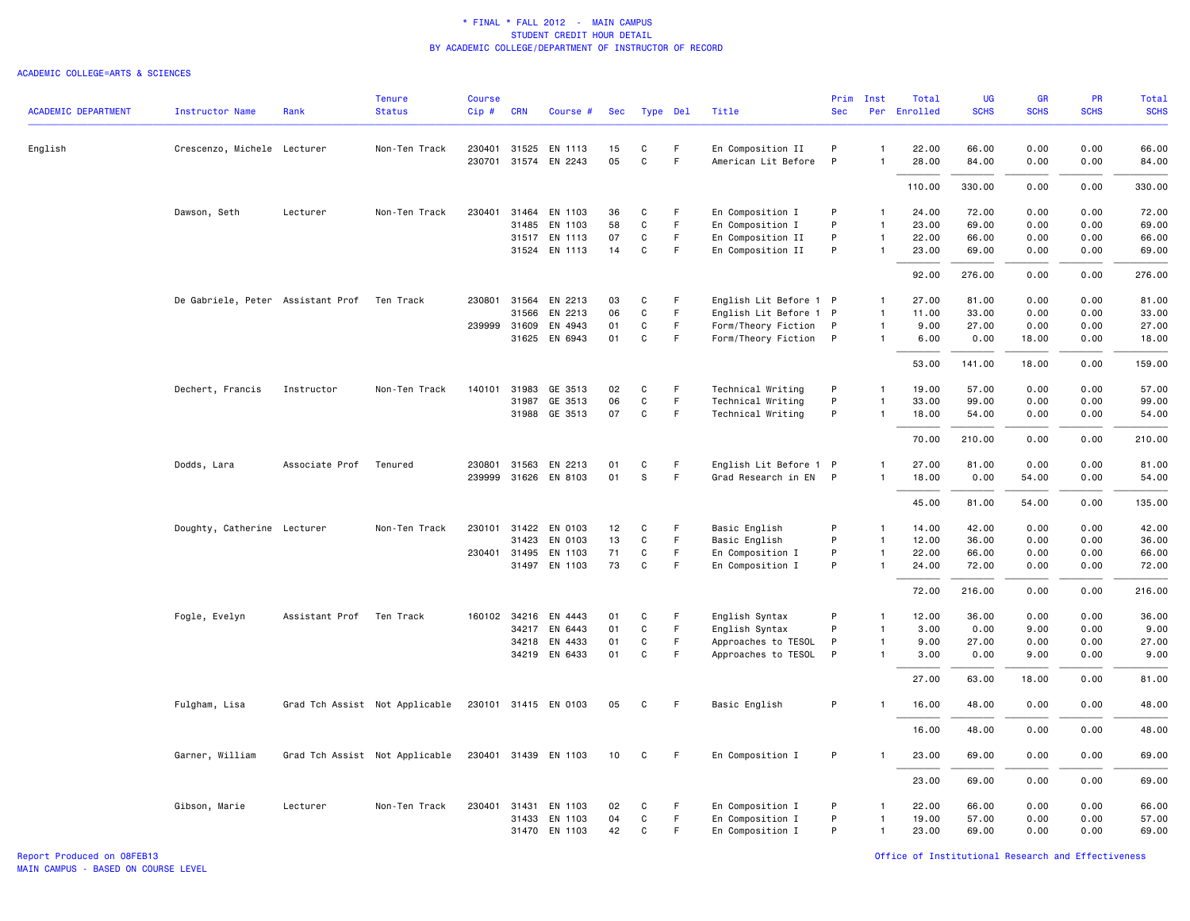#### ACADEMIC COLLEGE=ARTS & SCIENCES

|                            |                                   |                | <b>Tenure</b>                  | <b>Course</b> |              |                      |     |              |             |                        | Prim         | Inst           | Total        | UG          | <b>GR</b>   | <b>PR</b>   | Total       |
|----------------------------|-----------------------------------|----------------|--------------------------------|---------------|--------------|----------------------|-----|--------------|-------------|------------------------|--------------|----------------|--------------|-------------|-------------|-------------|-------------|
| <b>ACADEMIC DEPARTMENT</b> | <b>Instructor Name</b>            | Rank           | <b>Status</b>                  | $Cip \#$      | <b>CRN</b>   | Course #             | Sec | Type Del     |             | Title                  | <b>Sec</b>   |                | Per Enrolled | <b>SCHS</b> | <b>SCHS</b> | <b>SCHS</b> | <b>SCHS</b> |
| English                    | Crescenzo, Michele Lecturer       |                | Non-Ten Track                  |               |              | 230401 31525 EN 1113 | 15  | C            | -F          | En Composition II      | P            | $\mathbf{1}$   | 22.00        | 66.00       | 0.00        | 0.00        | 66.00       |
|                            |                                   |                |                                |               |              | 230701 31574 EN 2243 | 05  | C            | F.          | American Lit Before    | $\mathsf{P}$ | $\overline{1}$ | 28.00        | 84.00       | 0.00        | 0.00        | 84.00       |
|                            |                                   |                |                                |               |              |                      |     |              |             |                        |              |                | 110.00       | 330.00      | 0.00        | 0.00        | 330.00      |
|                            | Dawson, Seth                      | Lecturer       | Non-Ten Track                  |               |              | 230401 31464 EN 1103 | 36  | C            | F           | En Composition I       | P            | $\mathbf{1}$   | 24.00        | 72.00       | 0.00        | 0.00        | 72.00       |
|                            |                                   |                |                                |               | 31485        | EN 1103              | 58  | C            | $\mathsf F$ | En Composition I       | P            | $\mathbf{1}$   | 23.00        | 69.00       | 0.00        | 0.00        | 69.00       |
|                            |                                   |                |                                |               |              | 31517 EN 1113        | 07  | $\mathbf C$  | F           | En Composition II      | P            | $\mathbf{1}$   | 22.00        | 66.00       | 0.00        | 0.00        | 66.00       |
|                            |                                   |                |                                |               | 31524        | EN 1113              | 14  | C            | F           | En Composition II      | P            | $\mathbf{1}$   | 23.00        | 69.00       | 0.00        | 0.00        | 69.00       |
|                            |                                   |                |                                |               |              |                      |     |              |             |                        |              |                | 92.00        | 276.00      | 0.00        | 0.00        | 276.00      |
|                            | De Gabriele, Peter Assistant Prof |                | Ten Track                      | 230801        | 31564        | EN 2213              | 03  | C            | F           | English Lit Before 1 P |              | $\mathbf{1}$   | 27.00        | 81.00       | 0.00        | 0.00        | 81.00       |
|                            |                                   |                |                                |               | 31566        | EN 2213              | 06  | C            | F.          | English Lit Before 1 P |              | $\mathbf{1}$   | 11.00        | 33.00       | 0.00        | 0.00        | 33.00       |
|                            |                                   |                |                                |               | 239999 31609 | EN 4943              | 01  | C            | F.          | Form/Theory Fiction    | P            | $\mathbf{1}$   | 9.00         | 27.00       | 0.00        | 0.00        | 27.00       |
|                            |                                   |                |                                |               | 31625        | EN 6943              | 01  | $\mathbf C$  | F           | Form/Theory Fiction P  |              | $\mathbf{1}$   | 6.00         | 0.00        | 18.00       | 0.00        | 18.00       |
|                            |                                   |                |                                |               |              |                      |     |              |             |                        |              |                | 53.00        | 141.00      | 18.00       | 0.00        | 159.00      |
|                            | Dechert, Francis                  | Instructor     | Non-Ten Track                  | 140101        | 31983        | GE 3513              | 02  | C            | F           | Technical Writing      | P            | $\mathbf{1}$   | 19.00        | 57.00       | 0.00        | 0.00        | 57.00       |
|                            |                                   |                |                                |               | 31987        | GE 3513              | 06  | C            | F           | Technical Writing      | P            | $\overline{1}$ | 33.00        | 99.00       | 0.00        | 0.00        | 99.00       |
|                            |                                   |                |                                |               |              | 31988 GE 3513        | 07  | C            | $\mathsf F$ | Technical Writing      | P            | $\mathbf{1}$   | 18.00        | 54.00       | 0.00        | 0.00        | 54.00       |
|                            |                                   |                |                                |               |              |                      |     |              |             |                        |              |                | 70.00        | 210.00      | 0.00        | 0.00        | 210.00      |
|                            |                                   |                |                                |               |              |                      |     |              |             |                        |              |                |              |             |             |             |             |
|                            | Dodds, Lara                       | Associate Prof | Tenured                        | 230801        | 31563        | EN 2213              | 01  | C            | F           | English Lit Before 1 P |              | $\mathbf{1}$   | 27.00        | 81.00       | 0.00        | 0.00        | 81.00       |
|                            |                                   |                |                                |               |              | 239999 31626 EN 8103 | 01  | S            | F           | Grad Research in EN P  |              | $\mathbf{1}$   | 18.00        | 0.00        | 54.00       | 0.00        | 54.00       |
|                            |                                   |                |                                |               |              |                      |     |              |             |                        |              |                | 45.00        | 81.00       | 54.00       | 0.00        | 135.00      |
|                            | Doughty, Catherine Lecturer       |                | Non-Ten Track                  |               |              | 230101 31422 EN 0103 | 12  | C            | F           | Basic English          | P            | $\mathbf{1}$   | 14.00        | 42.00       | 0.00        | 0.00        | 42.00       |
|                            |                                   |                |                                |               | 31423        | EN 0103              | 13  | C            | F           | Basic English          | P            | $\mathbf{1}$   | 12.00        | 36.00       | 0.00        | 0.00        | 36.00       |
|                            |                                   |                |                                |               | 230401 31495 | EN 1103              | 71  | $\mathbf C$  | F           | En Composition I       | P            | $\overline{1}$ | 22.00        | 66.00       | 0.00        | 0.00        | 66.00       |
|                            |                                   |                |                                |               |              | 31497 EN 1103        | 73  | $\mathbf C$  | F           | En Composition I       | P            | $\mathbf{1}$   | 24.00        | 72.00       | 0.00        | 0.00        | 72.00       |
|                            |                                   |                |                                |               |              |                      |     |              |             |                        |              |                | 72.00        | 216.00      | 0.00        | 0.00        | 216.00      |
|                            | Fogle, Evelyn                     | Assistant Prof | Ten Track                      |               |              | 160102 34216 EN 4443 | 01  | C            | F           | English Syntax         | P            | $\mathbf{1}$   | 12.00        | 36.00       | 0.00        | 0.00        | 36.00       |
|                            |                                   |                |                                |               |              | 34217 EN 6443        | 01  | $\mathtt{C}$ | F           | English Syntax         | P            | $\overline{1}$ | 3.00         | 0.00        | 9.00        | 0.00        | 9.00        |
|                            |                                   |                |                                |               |              | 34218 EN 4433        | 01  | C            | F.          | Approaches to TESOL    | $\,$ P $\,$  | $\mathbf{1}$   | 9.00         | 27.00       | 0.00        | 0.00        | 27.00       |
|                            |                                   |                |                                |               |              | 34219 EN 6433        | 01  | C            | F           | Approaches to TESOL    | P            | $\mathbf{1}$   | 3.00         | 0.00        | 9.00        | 0.00        | 9.00        |
|                            |                                   |                |                                |               |              |                      |     |              |             |                        |              |                | 27.00        | 63.00       | 18.00       | 0.00        | 81.00       |
|                            | Fulgham, Lisa                     |                | Grad Tch Assist Not Applicable |               |              | 230101 31415 EN 0103 | 05  | C            | F.          | Basic English          | P            | -1             | 16.00        | 48.00       | 0.00        | 0.00        | 48.00       |
|                            |                                   |                |                                |               |              |                      |     |              |             |                        |              |                | 16.00        | 48.00       | 0.00        | 0.00        | 48.00       |
|                            | Garner, William                   |                | Grad Tch Assist Not Applicable |               |              | 230401 31439 EN 1103 | 10  | C            | -F          | En Composition I       | P            |                | 23.00        | 69.00       | 0.00        | 0.00        | 69.00       |
|                            |                                   |                |                                |               |              |                      |     |              |             |                        |              |                | 23.00        | 69.00       | 0.00        | 0.00        | 69.00       |
|                            | Gibson, Marie                     | Lecturer       | Non-Ten Track                  |               |              | 230401 31431 EN 1103 | 02  | C            | -F          | En Composition I       | P            | $\mathbf{1}$   | 22.00        | 66.00       | 0.00        | 0.00        | 66.00       |
|                            |                                   |                |                                |               | 31433        | EN 1103              | 04  | C            | F.          | En Composition I       | P            | $\mathbf{1}$   | 19.00        | 57.00       | 0.00        | 0.00        | 57.00       |
|                            |                                   |                |                                |               |              | 31470 EN 1103        | 42  | C            | F.          | En Composition I       | P            | $\mathbf{1}$   | 23.00        | 69.00       | 0.00        | 0.00        | 69.00       |
|                            |                                   |                |                                |               |              |                      |     |              |             |                        |              |                |              |             |             |             |             |

Report Produced on 08FEB13 Office of Institutional Research and Effectiveness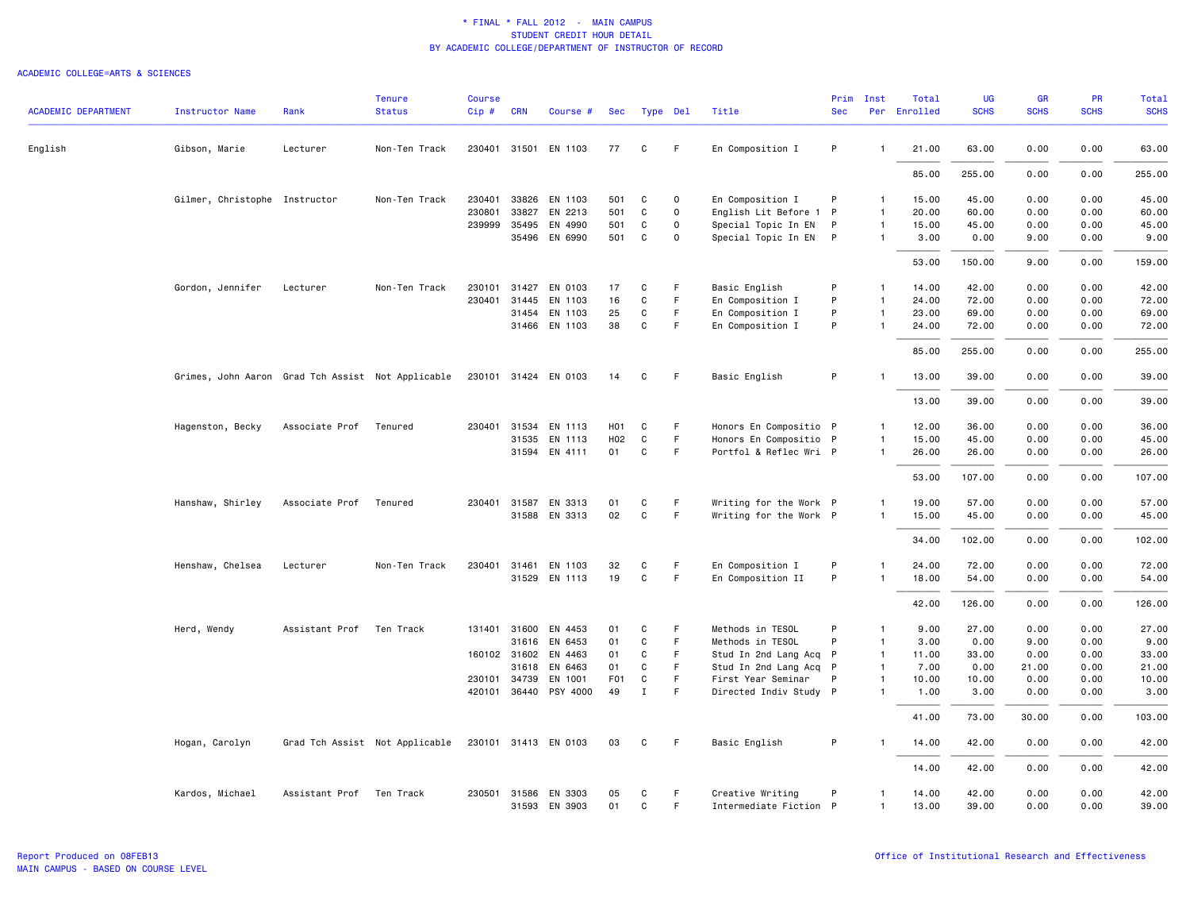| <b>ACADEMIC DEPARTMENT</b> | <b>Instructor Name</b>                            | Rank                     | <b>Tenure</b><br><b>Status</b> | <b>Course</b><br>Cip# | <b>CRN</b> | Course #              | Sec              |              | Type Del    | Title                  | Prim<br><b>Sec</b> | Inst           | Total<br>Per Enrolled | <b>UG</b><br><b>SCHS</b> | <b>GR</b><br><b>SCHS</b> | PR<br><b>SCHS</b> | <b>Total</b><br><b>SCHS</b> |
|----------------------------|---------------------------------------------------|--------------------------|--------------------------------|-----------------------|------------|-----------------------|------------------|--------------|-------------|------------------------|--------------------|----------------|-----------------------|--------------------------|--------------------------|-------------------|-----------------------------|
|                            |                                                   |                          |                                |                       |            |                       |                  |              |             |                        |                    |                |                       |                          |                          |                   |                             |
| English                    | Gibson, Marie                                     | Lecturer                 | Non-Ten Track                  |                       |            | 230401 31501 EN 1103  | 77               | C            | F.          | En Composition I       | P                  | $\mathbf{1}$   | 21.00                 | 63.00                    | 0.00                     | 0.00              | 63.00                       |
|                            |                                                   |                          |                                |                       |            |                       |                  |              |             |                        |                    |                | 85.00                 | 255.00                   | 0.00                     | 0.00              | 255.00                      |
|                            | Gilmer, Christophe Instructor                     |                          | Non-Ten Track                  | 230401                | 33826      | EN 1103               | 501              | C            | $\Omega$    | En Composition I       | P                  | $\mathbf{1}$   | 15.00                 | 45.00                    | 0.00                     | 0.00              | 45.00                       |
|                            |                                                   |                          |                                | 230801                | 33827      | EN 2213               | 501              | C            | $\mathbf 0$ | English Lit Before 1 P |                    | $\mathbf{1}$   | 20.00                 | 60.00                    | 0.00                     | 0.00              | 60.00                       |
|                            |                                                   |                          |                                | 239999                | 35495      | EN 4990               | 501              | C            | 0           | Special Topic In EN    | P                  | $\mathbf{1}$   | 15.00                 | 45.00                    | 0.00                     | 0.00              | 45.00                       |
|                            |                                                   |                          |                                |                       |            | 35496 EN 6990         | 501              | C            | $\Omega$    | Special Topic In EN P  |                    | $\mathbf{1}$   | 3.00                  | 0.00                     | 9.00                     | 0.00              | 9.00                        |
|                            |                                                   |                          |                                |                       |            |                       |                  |              |             |                        |                    |                | 53.00                 | 150.00                   | 9.00                     | 0.00              | 159.00                      |
|                            | Gordon, Jennifer                                  | Lecturer                 | Non-Ten Track                  | 230101                | 31427      | EN 0103               | 17               | C            | F           | Basic English          | P                  | $\mathbf{1}$   | 14.00                 | 42.00                    | 0.00                     | 0.00              | 42.00                       |
|                            |                                                   |                          |                                | 230401 31445          |            | EN 1103               | 16               | $\mathtt{C}$ | F           | En Composition I       | P                  | $\mathbf{1}$   | 24.00                 | 72.00                    | 0.00                     | 0.00              | 72.00                       |
|                            |                                                   |                          |                                |                       | 31454      | EN 1103               | 25               | C            | F           | En Composition I       | P                  | $\mathbf{1}$   | 23.00                 | 69.00                    | 0.00                     | 0.00              | 69.00                       |
|                            |                                                   |                          |                                |                       |            | 31466 EN 1103         | 38               | C            | F           | En Composition I       | P                  | $\mathbf{1}$   | 24.00                 | 72.00                    | 0.00                     | 0.00              | 72.00                       |
|                            |                                                   |                          |                                |                       |            |                       |                  |              |             |                        |                    |                | 85.00                 | 255.00                   | 0.00                     | 0.00              | 255.00                      |
|                            | Grimes, John Aaron Grad Tch Assist Not Applicable |                          |                                |                       |            | 230101 31424 EN 0103  | 14               | C            | F.          | Basic English          | P                  | $\mathbf{1}$   | 13.00                 | 39.00                    | 0.00                     | 0.00              | 39.00                       |
|                            |                                                   |                          |                                |                       |            |                       |                  |              |             |                        |                    |                | 13.00                 | 39,00                    | 0.00                     | 0.00              | 39.00                       |
|                            | Hagenston, Becky                                  | Associate Prof           | Tenured                        | 230401                | 31534      | EN 1113               | H <sub>0</sub> 1 | C            | F           | Honors En Compositio P |                    | $\mathbf{1}$   | 12.00                 | 36.00                    | 0.00                     | 0.00              | 36.00                       |
|                            |                                                   |                          |                                |                       | 31535      | EN 1113               | H02              | C            | F           | Honors En Compositio P |                    | $\mathbf{1}$   | 15.00                 | 45.00                    | 0.00                     | 0.00              | 45.00                       |
|                            |                                                   |                          |                                |                       |            | 31594 EN 4111         | 01               | C            | F.          | Portfol & Reflec Wri P |                    | $\mathbf{1}$   | 26.00                 | 26.00                    | 0.00                     | 0.00              | 26.00                       |
|                            |                                                   |                          |                                |                       |            |                       |                  |              |             |                        |                    |                | 53.00                 | 107.00                   | 0.00                     | 0.00              | 107.00                      |
|                            | Hanshaw, Shirley                                  | Associate Prof           | Tenured                        | 230401 31587          |            | EN 3313               | 01               | C            | F.          | Writing for the Work P |                    | $\mathbf{1}$   | 19.00                 | 57.00                    | 0.00                     | 0.00              | 57.00                       |
|                            |                                                   |                          |                                |                       |            | 31588 EN 3313         | 02               | $\mathsf{C}$ | F           | Writing for the Work P |                    | $\mathbf{1}$   | 15.00                 | 45.00                    | 0.00                     | 0.00              | 45.00                       |
|                            |                                                   |                          |                                |                       |            |                       |                  |              |             |                        |                    |                |                       |                          |                          |                   |                             |
|                            |                                                   |                          |                                |                       |            |                       |                  |              |             |                        |                    |                | 34.00                 | 102.00                   | 0.00                     | 0.00              | 102.00                      |
|                            | Henshaw, Chelsea                                  | Lecturer                 | Non-Ten Track                  | 230401 31461          |            | EN 1103               | 32               | C            | F.          | En Composition I       | P                  | 1              | 24.00                 | 72.00                    | 0.00                     | 0.00              | 72.00                       |
|                            |                                                   |                          |                                |                       |            | 31529 EN 1113         | 19               | C            | F.          | En Composition II      | P                  | $\mathbf{1}$   | 18.00                 | 54.00                    | 0.00                     | 0.00              | 54.00                       |
|                            |                                                   |                          |                                |                       |            |                       |                  |              |             |                        |                    |                | 42.00                 | 126.00                   | 0.00                     | 0.00              | 126.00                      |
|                            | Herd, Wendy                                       | Assistant Prof           | Ten Track                      | 131401 31600          |            | EN 4453               | 01               | C            | F.          | Methods in TESOL       | P                  | $\mathbf{1}$   | 9.00                  | 27.00                    | 0.00                     | 0.00              | 27.00                       |
|                            |                                                   |                          |                                |                       | 31616      | EN 6453               | 01               | C            | F           | Methods in TESOL       | P                  | $\mathbf{1}$   | 3.00                  | 0.00                     | 9.00                     | 0.00              | 9.00                        |
|                            |                                                   |                          |                                | 160102 31602          |            | EN 4463               | 01               | C            | F.          | Stud In 2nd Lang Acq P |                    | $\overline{1}$ | 11.00                 | 33.00                    | 0.00                     | 0.00              | 33.00                       |
|                            |                                                   |                          |                                |                       | 31618      | EN 6463               | 01               | C            | F.          | Stud In 2nd Lang Acq P |                    | $\mathbf{1}$   | 7.00                  | 0.00                     | 21.00                    | 0.00              | 21.00                       |
|                            |                                                   |                          |                                | 230101 34739          |            | EN 1001               | F01              | C            | F           | First Year Seminar     | P                  | $\mathbf{1}$   | 10.00                 | 10.00                    | 0.00                     | 0.00              | 10.00                       |
|                            |                                                   |                          |                                |                       |            | 420101 36440 PSY 4000 | 49               | Ι.           | F           | Directed Indiv Study P |                    | $\mathbf{1}$   | 1.00                  | 3.00                     | 0.00                     | 0.00              | 3.00                        |
|                            |                                                   |                          |                                |                       |            |                       |                  |              |             |                        |                    |                | 41.00                 | 73.00                    | 30.00                    | 0.00              | 103.00                      |
|                            | Hogan, Carolyn                                    |                          | Grad Tch Assist Not Applicable |                       |            | 230101 31413 EN 0103  | 03               | C            | F           | Basic English          | P                  | $\mathbf{1}$   | 14.00                 | 42.00                    | 0.00                     | 0.00              | 42.00                       |
|                            |                                                   |                          |                                |                       |            |                       |                  |              |             |                        |                    |                | 14.00                 | 42.00                    | 0.00                     | 0.00              | 42.00                       |
|                            | Kardos, Michael                                   | Assistant Prof Ten Track |                                |                       |            | 230501 31586 EN 3303  | 05               | C            | F.          | Creative Writing       | P                  | $\mathbf{1}$   | 14.00                 | 42.00                    | 0.00                     | 0.00              | 42.00                       |
|                            |                                                   |                          |                                |                       |            | 31593 EN 3903         | 01               | C            | F           | Intermediate Fiction P |                    | $\mathbf{1}$   | 13.00                 | 39,00                    | 0.00                     | 0.00              | 39.00                       |
|                            |                                                   |                          |                                |                       |            |                       |                  |              |             |                        |                    |                |                       |                          |                          |                   |                             |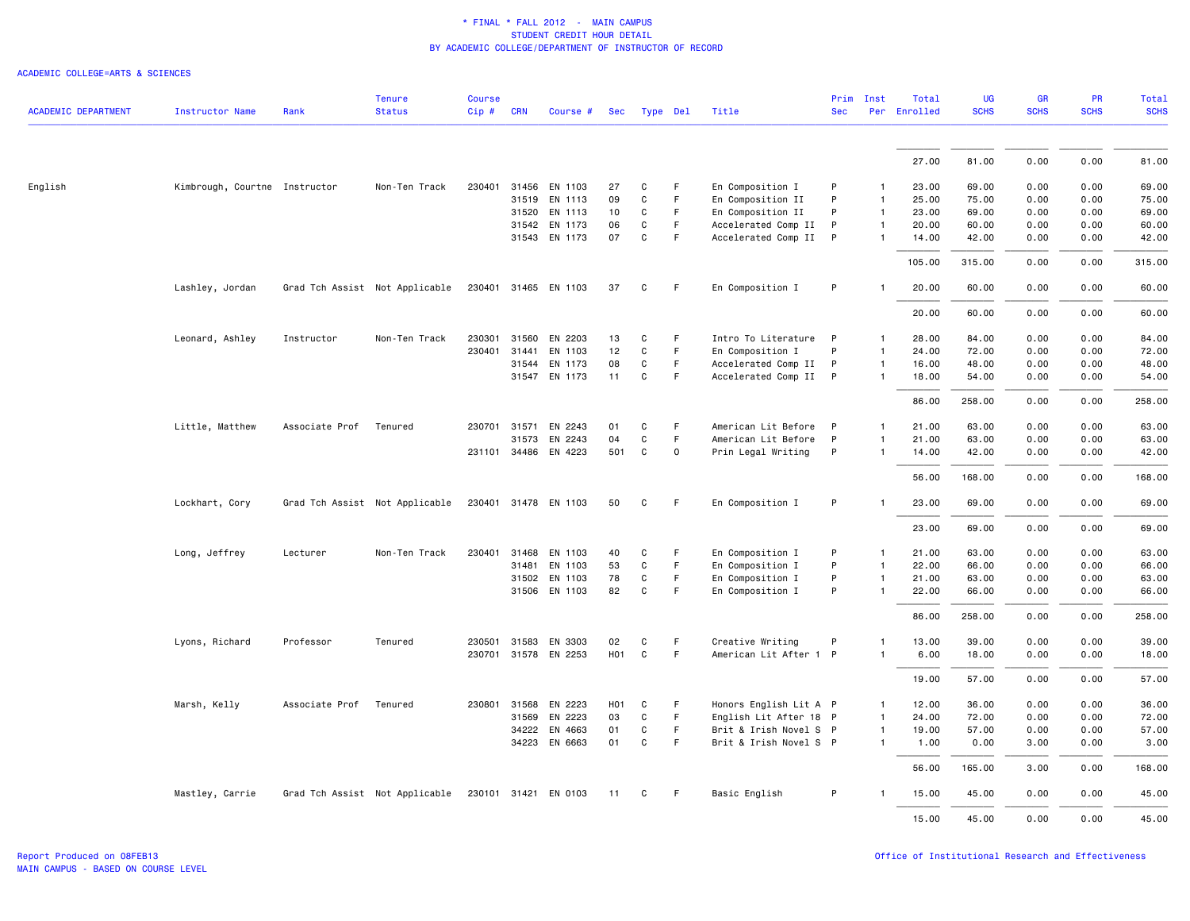|                            |                               |                | <b>Tenure</b>                  | <b>Course</b> |              |                      |                  |              |    |                        |              | Prim Inst      | Total        | <b>UG</b>   | <b>GR</b>   | PR          | <b>Total</b> |
|----------------------------|-------------------------------|----------------|--------------------------------|---------------|--------------|----------------------|------------------|--------------|----|------------------------|--------------|----------------|--------------|-------------|-------------|-------------|--------------|
| <b>ACADEMIC DEPARTMENT</b> | <b>Instructor Name</b>        | Rank           | <b>Status</b>                  | $Cip \#$      | <b>CRN</b>   | Course #             |                  | Sec Type Del |    | Title                  | <b>Sec</b>   |                | Per Enrolled | <b>SCHS</b> | <b>SCHS</b> | <b>SCHS</b> | <b>SCHS</b>  |
|                            |                               |                |                                |               |              |                      |                  |              |    |                        |              |                |              |             |             |             |              |
|                            |                               |                |                                |               |              |                      |                  |              |    |                        |              |                | 27.00        | 81.00       | 0.00        | 0.00        | 81.00        |
| English                    | Kimbrough, Courtne Instructor |                | Non-Ten Track                  |               |              | 230401 31456 EN 1103 | 27               | C            | F. | En Composition I       | P            | $\mathbf{1}$   | 23.00        | 69.00       | 0.00        | 0.00        | 69.00        |
|                            |                               |                |                                |               |              | 31519 EN 1113        | 09               | $\mathtt{C}$ | F. | En Composition II      | P            | $\mathbf{1}$   | 25.00        | 75.00       | 0.00        | 0.00        | 75.00        |
|                            |                               |                |                                |               | 31520        | EN 1113              | 10               | C            | F  | En Composition II      | P            | $\mathbf{1}$   | 23.00        | 69.00       | 0.00        | 0.00        | 69.00        |
|                            |                               |                |                                |               |              | 31542 EN 1173        | 06               | C            | F  | Accelerated Comp II    | P            | $\mathbf{1}$   | 20.00        | 60.00       | 0.00        | 0.00        | 60.00        |
|                            |                               |                |                                |               |              | 31543 EN 1173        | 07               | $\mathtt{C}$ | F. | Accelerated Comp II    | P            | $\mathbf{1}$   | 14.00        | 42.00       | 0.00        | 0.00        | 42.00        |
|                            |                               |                |                                |               |              |                      |                  |              |    |                        |              |                | 105.00       | 315.00      | 0.00        | 0.00        | 315.00       |
|                            | Lashley, Jordan               |                | Grad Tch Assist Not Applicable |               |              | 230401 31465 EN 1103 | 37               | C            | F. | En Composition I       | P            |                | 20.00        | 60.00       | 0.00        | 0.00        | 60.00        |
|                            |                               |                |                                |               |              |                      |                  |              |    |                        |              |                | 20.00        | 60.00       | 0.00        | 0.00        | 60.00        |
|                            | Leonard, Ashley               | Instructor     | Non-Ten Track                  | 230301        | 31560        | EN 2203              | 13               | C            | F  | Intro To Literature P  |              | $\mathbf{1}$   | 28.00        | 84.00       | 0.00        | 0.00        | 84.00        |
|                            |                               |                |                                |               | 230401 31441 | EN 1103              | 12               | $\mathsf{C}$ | F. | En Composition I       | P            | $\mathbf{1}$   | 24.00        | 72.00       | 0.00        | 0.00        | 72.00        |
|                            |                               |                |                                |               | 31544        | EN 1173              | 08               | C            | F  | Accelerated Comp II    | P            | $\mathbf{1}$   | 16.00        | 48.00       | 0.00        | 0.00        | 48.00        |
|                            |                               |                |                                |               |              | 31547 EN 1173        | 11               | C            | F  | Accelerated Comp II P  |              | $\mathbf{1}$   | 18.00        | 54.00       | 0.00        | 0.00        | 54.00        |
|                            |                               |                |                                |               |              |                      |                  |              |    |                        |              |                | 86.00        | 258.00      | 0.00        | 0.00        | 258.00       |
|                            | Little, Matthew               | Associate Prof | Tenured                        |               | 230701 31571 | EN 2243              | 01               | C            | F  | American Lit Before    | $\mathsf{P}$ | $\mathbf{1}$   | 21.00        | 63.00       | 0.00        | 0.00        | 63.00        |
|                            |                               |                |                                |               | 31573        | EN 2243              | 04               | $\mathtt{C}$ | F. | American Lit Before    | P            | $\mathbf{1}$   | 21.00        | 63.00       | 0.00        | 0.00        | 63.00        |
|                            |                               |                |                                |               |              | 231101 34486 EN 4223 | 501              | C            | 0  | Prin Legal Writing     | P            | $\mathbf{1}$   | 14.00        | 42.00       | 0.00        | 0.00        | 42.00        |
|                            |                               |                |                                |               |              |                      |                  |              |    |                        |              |                | 56.00        | 168.00      | 0.00        | 0.00        | 168.00       |
|                            | Lockhart, Cory                |                | Grad Tch Assist Not Applicable |               |              | 230401 31478 EN 1103 | 50               | C            | F. | En Composition I       | P            | -1             | 23.00        | 69.00       | 0.00        | 0.00        | 69.00        |
|                            |                               |                |                                |               |              |                      |                  |              |    |                        |              |                | 23.00        | 69.00       | 0.00        | 0.00        | 69.00        |
|                            | Long, Jeffrey                 | Lecturer       | Non-Ten Track                  |               | 230401 31468 | EN 1103              | 40               | C            | F  | En Composition I       | P            | $\mathbf{1}$   | 21.00        | 63.00       | 0.00        | 0.00        | 63.00        |
|                            |                               |                |                                |               | 31481        | EN 1103              | 53               | C            | F  | En Composition I       | P            | $\mathbf{1}$   | 22.00        | 66.00       | 0.00        | 0.00        | 66.00        |
|                            |                               |                |                                |               | 31502        | EN 1103              | 78               | C            | F. | En Composition I       | $\mathsf P$  | $\mathbf{1}$   | 21.00        | 63.00       | 0.00        | 0.00        | 63.00        |
|                            |                               |                |                                |               |              | 31506 EN 1103        | 82               | $\mathtt{C}$ | F. | En Composition I       | P            | $\mathbf{1}$   | 22.00        | 66.00       | 0.00        | 0.00        | 66.00        |
|                            |                               |                |                                |               |              |                      |                  |              |    |                        |              |                | 86.00        | 258.00      | 0.00        | 0.00        | 258.00       |
|                            | Lyons, Richard                | Professor      | Tenured                        | 230501        | 31583        | EN 3303              | 02               | C            | F. | Creative Writing       | P            | $\mathbf{1}$   | 13.00        | 39.00       | 0.00        | 0.00        | 39.00        |
|                            |                               |                |                                |               |              | 230701 31578 EN 2253 | H01              | $\mathtt{C}$ | F  | American Lit After 1 P |              | $\mathbf{1}$   | 6.00         | 18.00       | 0.00        | 0.00        | 18.00        |
|                            |                               |                |                                |               |              |                      |                  |              |    |                        |              |                | 19.00        | 57.00       | 0.00        | 0.00        | 57.00        |
|                            | Marsh, Kelly                  | Associate Prof | Tenured                        | 230801        | 31568        | EN 2223              | H <sub>0</sub> 1 | $\mathbf c$  | F  | Honors English Lit A P |              | $\mathbf{1}$   | 12.00        | 36.00       | 0.00        | 0.00        | 36.00        |
|                            |                               |                |                                |               | 31569        | EN 2223              | 03               | $\mathtt{C}$ | F  | English Lit After 18 P |              | $\overline{1}$ | 24.00        | 72.00       | 0.00        | 0.00        | 72.00        |
|                            |                               |                |                                |               | 34222        | EN 4663              | 01               | C            | F. | Brit & Irish Novel S P |              | $\mathbf{1}$   | 19.00        | 57.00       | 0.00        | 0.00        | 57.00        |
|                            |                               |                |                                |               |              | 34223 EN 6663        | 01               | $\mathtt{C}$ | F. | Brit & Irish Novel S P |              | $\mathbf{1}$   | 1.00         | 0.00        | 3.00        | 0.00        | 3.00         |
|                            |                               |                |                                |               |              |                      |                  |              |    |                        |              |                | 56.00        | 165.00      | 3.00        | 0.00        | 168.00       |
|                            | Mastley, Carrie               |                | Grad Tch Assist Not Applicable |               | 230101 31421 | EN 0103              | 11               | C            | F. | Basic English          | P            |                | 15.00        | 45.00       | 0.00        | 0.00        | 45.00        |
|                            |                               |                |                                |               |              |                      |                  |              |    |                        |              |                | 15.00        | 45.00       | 0.00        | 0.00        | 45.00        |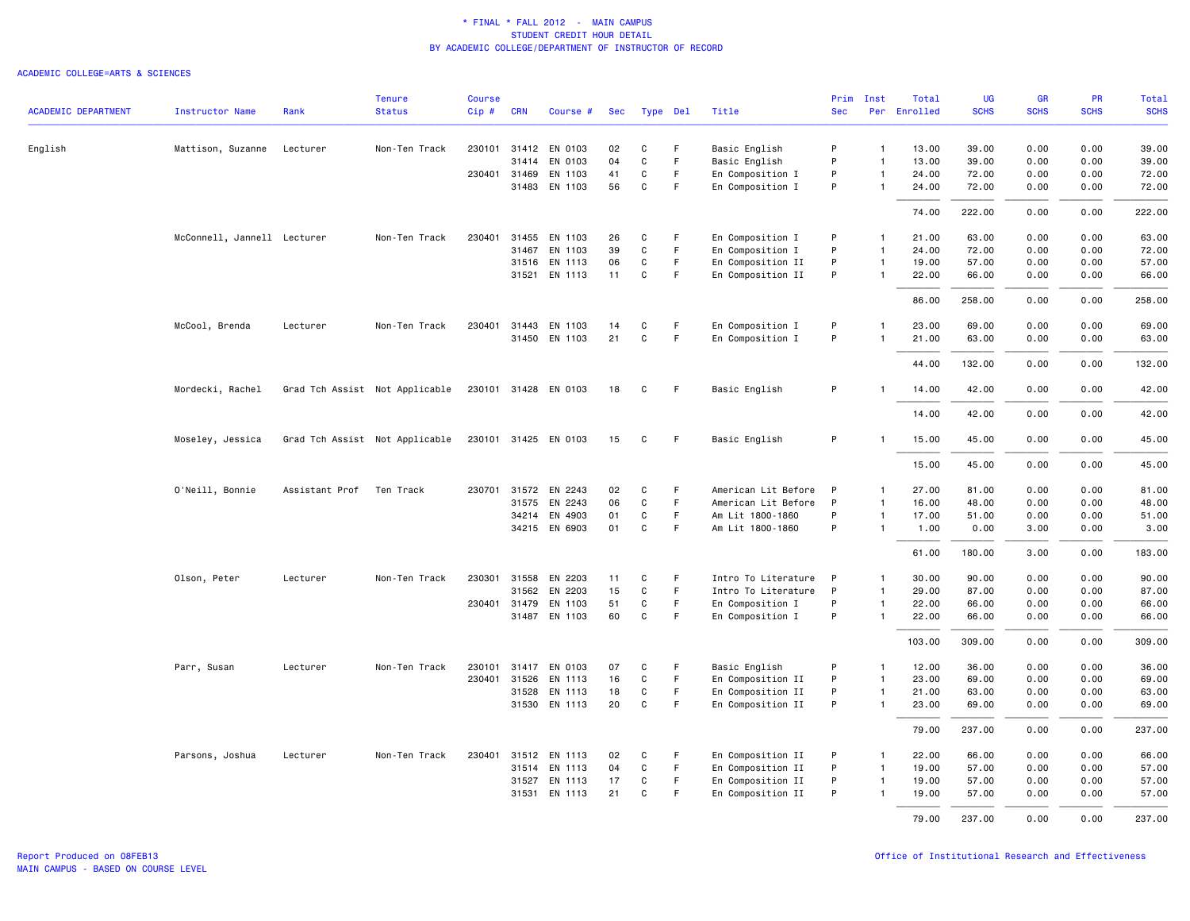|                            |                             |                | <b>Tenure</b>                  | <b>Course</b> |              |                      |     |             |             |                     | Prim       | Inst           | Total        | <b>UG</b>   | <b>GR</b>   | <b>PR</b>   | Total       |
|----------------------------|-----------------------------|----------------|--------------------------------|---------------|--------------|----------------------|-----|-------------|-------------|---------------------|------------|----------------|--------------|-------------|-------------|-------------|-------------|
| <b>ACADEMIC DEPARTMENT</b> | <b>Instructor Name</b>      | Rank           | <b>Status</b>                  | Cip#          | <b>CRN</b>   | Course #             | Sec | Type Del    |             | Title               | <b>Sec</b> |                | Per Enrolled | <b>SCHS</b> | <b>SCHS</b> | <b>SCHS</b> | <b>SCHS</b> |
| English                    | Mattison, Suzanne           | Lecturer       | Non-Ten Track                  | 230101        |              | 31412 EN 0103        | 02  | C           | $\mathsf F$ | Basic English       | P          | $\mathbf{1}$   | 13.00        | 39.00       | 0.00        | 0.00        | 39.00       |
|                            |                             |                |                                |               | 31414        | EN 0103              | 04  | $\mathbf C$ | F.          | Basic English       | P          | $\overline{1}$ | 13.00        | 39.00       | 0.00        | 0.00        | 39.00       |
|                            |                             |                |                                |               | 230401 31469 | EN 1103              | 41  | C           | F           | En Composition I    | P          | $\mathbf{1}$   | 24.00        | 72.00       | 0.00        | 0.00        | 72.00       |
|                            |                             |                |                                |               | 31483        | EN 1103              | 56  | $\mathbf C$ | F           | En Composition I    | P          | $\overline{1}$ | 24.00        | 72.00       | 0.00        | 0.00        | 72.00       |
|                            |                             |                |                                |               |              |                      |     |             |             |                     |            |                | 74.00        | 222.00      | 0.00        | 0.00        | 222.00      |
|                            | McConnell, Jannell Lecturer |                | Non-Ten Track                  | 230401        | 31455        | EN 1103              | 26  | C           | F           | En Composition I    | P          | $\mathbf{1}$   | 21.00        | 63.00       | 0.00        | 0.00        | 63.00       |
|                            |                             |                |                                |               | 31467        | EN 1103              | 39  | C           | F           | En Composition I    | P          | $\mathbf{1}$   | 24.00        | 72.00       | 0.00        | 0.00        | 72.00       |
|                            |                             |                |                                |               |              | 31516 EN 1113        | 06  | $\mathbf C$ | F           | En Composition II   | P          | $\mathbf{1}$   | 19.00        | 57.00       | 0.00        | 0.00        | 57.00       |
|                            |                             |                |                                |               | 31521        | EN 1113              | 11  | C           | F           | En Composition II   | P          | $\mathbf{1}$   | 22.00        | 66.00       | 0.00        | 0.00        | 66.00       |
|                            |                             |                |                                |               |              |                      |     |             |             |                     |            |                | 86.00        | 258.00      | 0.00        | 0.00        | 258.00      |
|                            | McCool, Brenda              | Lecturer       | Non-Ten Track                  |               | 230401 31443 | EN 1103              | 14  | C           | F           | En Composition I    | P          | -1             | 23,00        | 69.00       | 0.00        | 0.00        | 69.00       |
|                            |                             |                |                                |               |              | 31450 EN 1103        | 21  | $\mathbf C$ | $\mathsf F$ | En Composition I    | P          | $\mathbf{1}$   | 21.00        | 63.00       | 0.00        | 0.00        | 63.00       |
|                            |                             |                |                                |               |              |                      |     |             |             |                     |            |                | 44.00        | 132.00      | 0.00        | 0.00        | 132.00      |
|                            | Mordecki, Rachel            |                | Grad Tch Assist Not Applicable |               |              | 230101 31428 EN 0103 | 18  | C           | F           | Basic English       | P          |                | 14.00        | 42.00       | 0.00        | 0.00        | 42.00       |
|                            |                             |                |                                |               |              |                      |     |             |             |                     |            |                | 14.00        | 42.00       | 0.00        | 0.00        | 42.00       |
|                            | Moseley, Jessica            |                | Grad Tch Assist Not Applicable |               |              | 230101 31425 EN 0103 | 15  | C           | F           | Basic English       | P          |                | 15.00        | 45.00       | 0.00        | 0.00        | 45.00       |
|                            |                             |                |                                |               |              |                      |     |             |             |                     |            |                | 15.00        | 45.00       | 0.00        | 0.00        | 45.00       |
|                            | O'Neill, Bonnie             | Assistant Prof | Ten Track                      | 230701        | 31572        | EN 2243              | 02  | C           | F           | American Lit Before | P          | $\mathbf{1}$   | 27.00        | 81.00       | 0.00        | 0.00        | 81.00       |
|                            |                             |                |                                |               | 31575        | EN 2243              | 06  | $\mathbf C$ | F           | American Lit Before | P          | $\mathbf{1}$   | 16.00        | 48.00       | 0.00        | 0.00        | 48.00       |
|                            |                             |                |                                |               |              | 34214 EN 4903        | 01  | $\mathbf C$ | F.          | Am Lit 1800-1860    | P          | $\mathbf{1}$   | 17.00        | 51.00       | 0.00        | 0.00        | 51.00       |
|                            |                             |                |                                |               |              | 34215 EN 6903        | 01  | C           | F           | Am Lit 1800-1860    | P          | $\mathbf{1}$   | 1.00         | 0.00        | 3.00        | 0.00        | 3.00        |
|                            |                             |                |                                |               |              |                      |     |             |             |                     |            |                | 61.00        | 180.00      | 3.00        | 0.00        | 183.00      |
|                            | Olson, Peter                | Lecturer       | Non-Ten Track                  | 230301        | 31558        | EN 2203              | 11  | C           | F.          | Intro To Literature | P          | $\mathbf{1}$   | 30.00        | 90.00       | 0.00        | 0.00        | 90.00       |
|                            |                             |                |                                |               | 31562        | EN 2203              | 15  | C           | F           | Intro To Literature | P          | $\mathbf{1}$   | 29.00        | 87.00       | 0.00        | 0.00        | 87.00       |
|                            |                             |                |                                |               | 230401 31479 | EN 1103              | 51  | C           | F.          | En Composition I    | P          | $\mathbf{1}$   | 22.00        | 66.00       | 0.00        | 0.00        | 66.00       |
|                            |                             |                |                                |               | 31487        | EN 1103              | 60  | $\mathbf C$ | $\mathsf F$ | En Composition I    | P          | $\mathbf{1}$   | 22.00        | 66.00       | 0.00        | 0.00        | 66.00       |
|                            |                             |                |                                |               |              |                      |     |             |             |                     |            |                | 103.00       | 309.00      | 0.00        | 0.00        | 309.00      |
|                            | Parr, Susan                 | Lecturer       | Non-Ten Track                  | 230101        | 31417        | EN 0103              | 07  | C           | F.          | Basic English       | P          | $\mathbf{1}$   | 12.00        | 36.00       | 0.00        | 0.00        | 36.00       |
|                            |                             |                |                                | 230401        | 31526        | EN 1113              | 16  | $\mathbf C$ | F           | En Composition II   | P          | $\mathbf{1}$   | 23.00        | 69.00       | 0.00        | 0.00        | 69.00       |
|                            |                             |                |                                |               |              | 31528 EN 1113        | 18  | $\mathbf C$ | F           | En Composition II   | P          | $\overline{1}$ | 21.00        | 63.00       | 0.00        | 0.00        | 63.00       |
|                            |                             |                |                                |               |              | 31530 EN 1113        | 20  | C           | F           | En Composition II   | P          | $\mathbf{1}$   | 23.00        | 69.00       | 0.00        | 0.00        | 69.00       |
|                            |                             |                |                                |               |              |                      |     |             |             |                     |            |                | 79.00        | 237.00      | 0.00        | 0.00        | 237.00      |
|                            | Parsons, Joshua             | Lecturer       | Non-Ten Track                  | 230401        |              | 31512 EN 1113        | 02  | C           | F           | En Composition II   | P          | $\mathbf{1}$   | 22.00        | 66.00       | 0.00        | 0.00        | 66.00       |
|                            |                             |                |                                |               |              | 31514 EN 1113        | 04  | $\mathbf C$ | F           | En Composition II   | P          | $\overline{1}$ | 19.00        | 57.00       | 0.00        | 0.00        | 57.00       |
|                            |                             |                |                                |               |              | 31527 EN 1113        | 17  | C           | F           | En Composition II   | P          | $\mathbf{1}$   | 19.00        | 57.00       | 0.00        | 0.00        | 57.00       |
|                            |                             |                |                                |               | 31531        | EN 1113              | 21  | C           | F           | En Composition II   | P          |                | 19.00        | 57.00       | 0.00        | 0.00        | 57.00       |
|                            |                             |                |                                |               |              |                      |     |             |             |                     |            |                | 79.00        | 237.00      | 0.00        | 0.00        | 237.00      |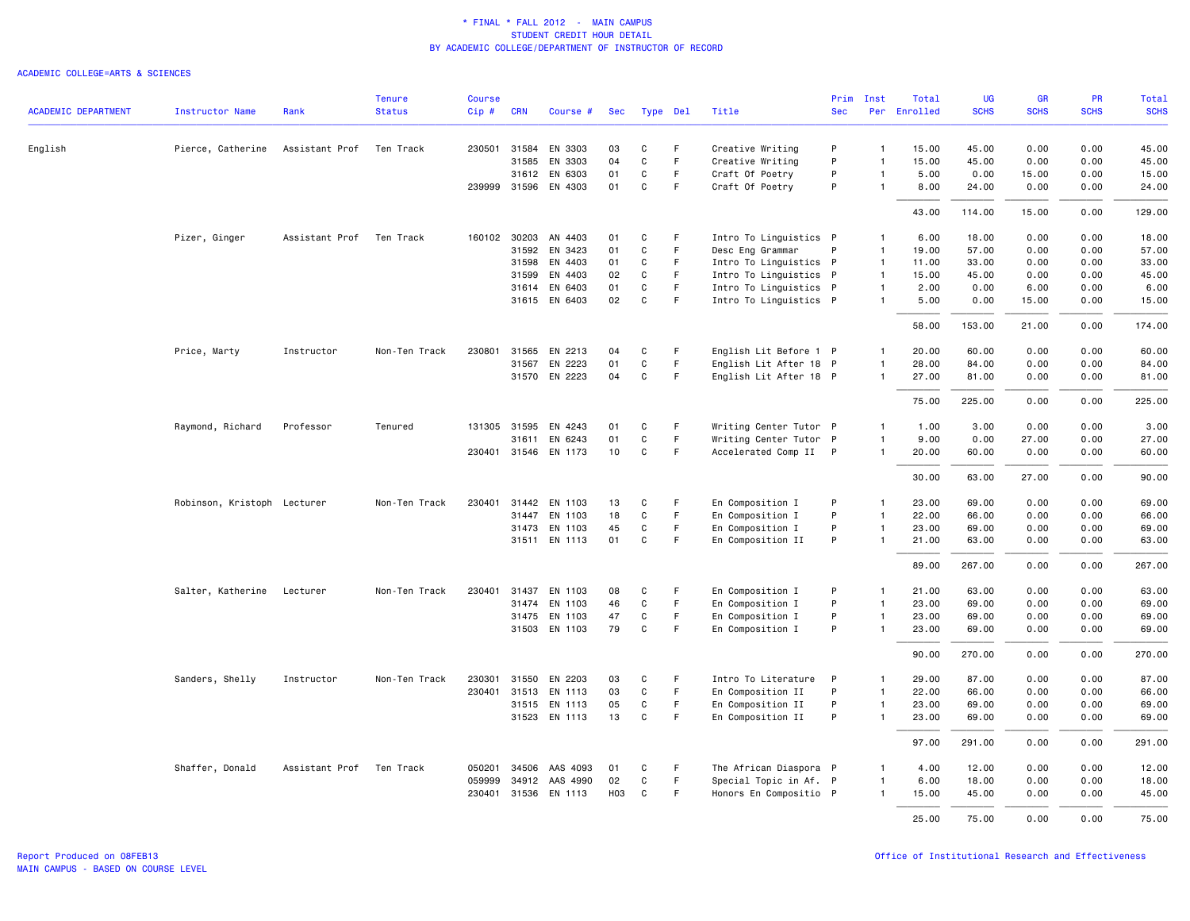|                            |                             |                | <b>Tenure</b> | <b>Course</b> |              |                      |                  |              |             |                        | Prim       | Inst           | Total        | UG          | <b>GR</b>   | PR          | Total       |
|----------------------------|-----------------------------|----------------|---------------|---------------|--------------|----------------------|------------------|--------------|-------------|------------------------|------------|----------------|--------------|-------------|-------------|-------------|-------------|
| <b>ACADEMIC DEPARTMENT</b> | Instructor Name             | Rank           | <b>Status</b> | Cip#          | <b>CRN</b>   | Course #             | Sec              |              | Type Del    | Title                  | <b>Sec</b> |                | Per Enrolled | <b>SCHS</b> | <b>SCHS</b> | <b>SCHS</b> | <b>SCHS</b> |
| English                    | Pierce, Catherine           | Assistant Prof | Ten Track     |               | 230501 31584 | EN 3303              | 03               | C            | F           | Creative Writing       | P          | $\mathbf{1}$   | 15.00        | 45.00       | 0.00        | 0.00        | 45.00       |
|                            |                             |                |               |               | 31585        | EN 3303              | 04               | C            | $\mathsf F$ | Creative Writing       | P          | $\mathbf{1}$   | 15.00        | 45.00       | 0.00        | 0.00        | 45.00       |
|                            |                             |                |               |               | 31612        | EN 6303              | 01               | C            | F.          | Craft Of Poetry        | P          | $\mathbf{1}$   | 5.00         | 0.00        | 15.00       | 0.00        | 15.00       |
|                            |                             |                |               |               | 239999 31596 | EN 4303              | 01               | C            | F           | Craft Of Poetry        | P          | $\overline{1}$ | 8.00         | 24.00       | 0.00        | 0.00        | 24.00       |
|                            |                             |                |               |               |              |                      |                  |              |             |                        |            |                | 43.00        | 114.00      | 15.00       | 0.00        | 129.00      |
|                            | Pizer, Ginger               | Assistant Prof | Ten Track     | 160102        | 30203        | AN 4403              | 01               | C            | F.          | Intro To Linguistics P |            | $\mathbf{1}$   | 6.00         | 18.00       | 0.00        | 0.00        | 18.00       |
|                            |                             |                |               |               | 31592        | EN 3423              | 01               | $\mathbf C$  | F           | Desc Eng Grammar       | P          | $\mathbf{1}$   | 19.00        | 57.00       | 0.00        | 0.00        | 57.00       |
|                            |                             |                |               |               | 31598        | EN 4403              | 01               | C            | F.          | Intro To Linguistics P |            | $\overline{1}$ | 11.00        | 33.00       | 0.00        | 0.00        | 33.00       |
|                            |                             |                |               |               | 31599        | EN 4403              | 02               | C            | F           | Intro To Linguistics P |            | $\overline{1}$ | 15.00        | 45.00       | 0.00        | 0.00        | 45.00       |
|                            |                             |                |               |               |              | 31614 EN 6403        | 01               | C            | F           | Intro To Linguistics P |            | $\overline{1}$ | 2.00         | 0.00        | 6.00        | 0.00        | 6.00        |
|                            |                             |                |               |               |              | 31615 EN 6403        | 02               | $\mathtt{C}$ | $\mathsf F$ | Intro To Linguistics P |            | $\mathbf{1}$   | 5.00         | 0.00        | 15.00       | 0.00        | 15.00       |
|                            |                             |                |               |               |              |                      |                  |              |             |                        |            |                | 58.00        | 153.00      | 21.00       | 0.00        | 174.00      |
|                            | Price, Marty                | Instructor     | Non-Ten Track | 230801        | 31565        | EN 2213              | 04               | C            | F.          | English Lit Before 1 P |            | $\mathbf{1}$   | 20.00        | 60.00       | 0.00        | 0.00        | 60.00       |
|                            |                             |                |               |               | 31567        | EN 2223              | 01               | $\mathbf C$  | F           | English Lit After 18 P |            | $\mathbf{1}$   | 28.00        | 84.00       | 0.00        | 0.00        | 84.00       |
|                            |                             |                |               |               |              | 31570 EN 2223        | 04               | C            | $\mathsf F$ | English Lit After 18 P |            | $\mathbf{1}$   | 27.00        | 81.00       | 0.00        | 0.00        | 81.00       |
|                            |                             |                |               |               |              |                      |                  |              |             |                        |            |                | 75.00        | 225.00      | 0.00        | 0.00        | 225.00      |
|                            | Raymond, Richard            | Professor      | Tenured       |               | 131305 31595 | EN 4243              | 01               | C            | F           | Writing Center Tutor P |            | $\mathbf{1}$   | 1.00         | 3.00        | 0.00        | 0.00        | 3.00        |
|                            |                             |                |               |               | 31611        | EN 6243              | 01               | C            | F           | Writing Center Tutor P |            | $\overline{1}$ | 9.00         | 0.00        | 27.00       | 0.00        | 27.00       |
|                            |                             |                |               |               |              | 230401 31546 EN 1173 | 10               | C            | F           | Accelerated Comp II P  |            | $\mathbf{1}$   | 20,00        | 60.00       | 0.00        | 0.00        | 60.00       |
|                            |                             |                |               |               |              |                      |                  |              |             |                        |            |                | 30.00        | 63.00       | 27.00       | 0.00        | 90.00       |
|                            | Robinson, Kristoph Lecturer |                | Non-Ten Track | 230401        |              | 31442 EN 1103        | 13               | C            | F           | En Composition I       | P          | $\mathbf{1}$   | 23.00        | 69.00       | 0.00        | 0.00        | 69.00       |
|                            |                             |                |               |               | 31447        | EN 1103              | 18               | $\mathsf{C}$ | F           | En Composition I       | P          | $\mathbf{1}$   | 22.00        | 66.00       | 0.00        | 0.00        | 66.00       |
|                            |                             |                |               |               |              | 31473 EN 1103        | 45               | C            | F           | En Composition I       | P          | $\mathbf{1}$   | 23.00        | 69.00       | 0.00        | 0.00        | 69.00       |
|                            |                             |                |               |               |              | 31511 EN 1113        | 01               | C            | F.          | En Composition II      | P          |                | 21.00        | 63.00       | 0.00        | 0.00        | 63.00       |
|                            |                             |                |               |               |              |                      |                  |              |             |                        |            |                | 89.00        | 267.00      | 0.00        | 0.00        | 267.00      |
|                            | Salter, Katherine           | Lecturer       | Non-Ten Track | 230401        |              | 31437 EN 1103        | 08               | C            | F           | En Composition I       | P          | $\mathbf{1}$   | 21.00        | 63.00       | 0.00        | 0.00        | 63.00       |
|                            |                             |                |               |               |              | 31474 EN 1103        | 46               | C            | F.          | En Composition I       | P          | $\mathbf{1}$   | 23.00        | 69.00       | 0.00        | 0.00        | 69.00       |
|                            |                             |                |               |               |              | 31475 EN 1103        | 47               | $\mathbf C$  | F           | En Composition I       | P          | $\mathbf{1}$   | 23.00        | 69.00       | 0.00        | 0.00        | 69.00       |
|                            |                             |                |               |               |              | 31503 EN 1103        | 79               | C            | F           | En Composition I       | P          | $\mathbf{1}$   | 23.00        | 69.00       | 0.00        | 0.00        | 69.00       |
|                            |                             |                |               |               |              |                      |                  |              |             |                        |            |                | 90.00        | 270.00      | 0.00        | 0.00        | 270.00      |
|                            | Sanders, Shelly             | Instructor     | Non-Ten Track | 230301        | 31550        | EN 2203              | 03               | C            | F           | Intro To Literature    | P          | $\mathbf{1}$   | 29.00        | 87.00       | 0.00        | 0.00        | 87.00       |
|                            |                             |                |               |               |              | 230401 31513 EN 1113 | 03               | C            | F           | En Composition II      | P          | $\mathbf{1}$   | 22.00        | 66.00       | 0.00        | 0.00        | 66.00       |
|                            |                             |                |               |               |              | 31515 EN 1113        | 05               | C            | F           | En Composition II      | P          | $\mathbf{1}$   | 23.00        | 69.00       | 0.00        | 0.00        | 69.00       |
|                            |                             |                |               |               |              | 31523 EN 1113        | 13               | $\mathbf C$  | F           | En Composition II      | P          | -1             | 23.00        | 69.00       | 0.00        | 0.00        | 69.00       |
|                            |                             |                |               |               |              |                      |                  |              |             |                        |            |                | 97.00        | 291.00      | 0.00        | 0.00        | 291.00      |
|                            | Shaffer, Donald             | Assistant Prof | Ten Track     | 050201        | 34506        | AAS 4093             | 01               | C            | -F          | The African Diaspora P |            | 1              | 4.00         | 12.00       | 0.00        | 0.00        | 12.00       |
|                            |                             |                |               | 059999        | 34912        | AAS 4990             | 02               | C            | F           | Special Topic in Af. P |            | $\mathbf{1}$   | 6.00         | 18.00       | 0.00        | 0.00        | 18.00       |
|                            |                             |                |               |               |              | 230401 31536 EN 1113 | H <sub>0</sub> 3 | C            | F           | Honors En Compositio P |            | $\mathbf{1}$   | 15.00        | 45.00       | 0.00        | 0.00        | 45.00       |
|                            |                             |                |               |               |              |                      |                  |              |             |                        |            |                | 25.00        | 75.00       | 0.00        | 0.00        | 75.00       |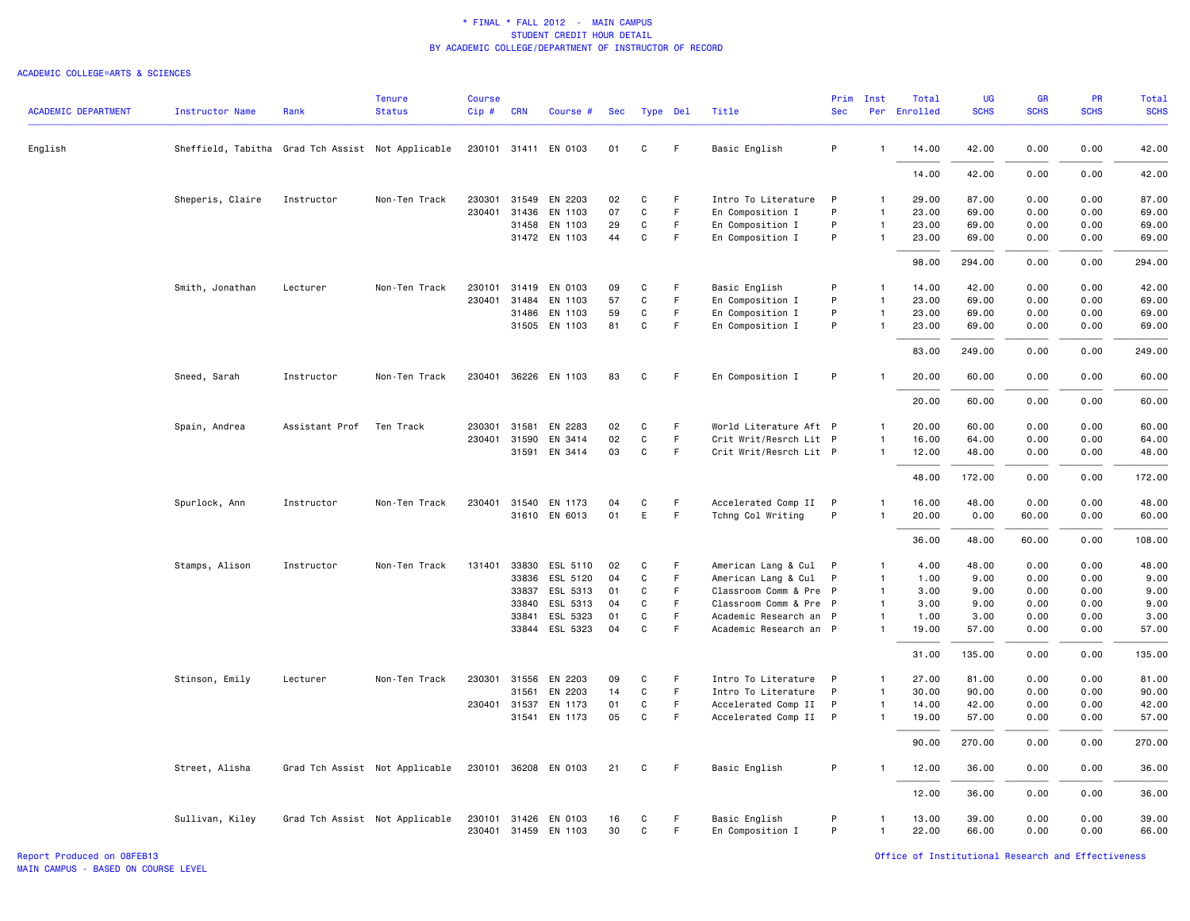|                            |                                                   |                | <b>Tenure</b>                  | <b>Course</b> |            |                      |     |              |    |                        | Prim       | Inst         | Total        | <b>UG</b>   | <b>GR</b>   | PR          | <b>Total</b> |
|----------------------------|---------------------------------------------------|----------------|--------------------------------|---------------|------------|----------------------|-----|--------------|----|------------------------|------------|--------------|--------------|-------------|-------------|-------------|--------------|
| <b>ACADEMIC DEPARTMENT</b> | <b>Instructor Name</b>                            | Rank           | <b>Status</b>                  | Cip#          | <b>CRN</b> | Course #             | Sec | Type Del     |    | Title                  | <b>Sec</b> |              | Per Enrolled | <b>SCHS</b> | <b>SCHS</b> | <b>SCHS</b> | <b>SCHS</b>  |
| English                    | Sheffield, Tabitha Grad Tch Assist Not Applicable |                |                                |               |            | 230101 31411 EN 0103 | 01  | C            | F  | Basic English          | P          | $\mathbf{1}$ | 14.00        | 42.00       | 0.00        | 0.00        | 42.00        |
|                            |                                                   |                |                                |               |            |                      |     |              |    |                        |            |              | 14.00        | 42.00       | 0.00        | 0.00        | 42.00        |
|                            | Sheperis, Claire                                  | Instructor     | Non-Ten Track                  | 230301        | 31549      | EN 2203              | 02  | C            | F  | Intro To Literature    | P          | 1            | 29.00        | 87.00       | 0.00        | 0.00        | 87.00        |
|                            |                                                   |                |                                | 230401        | 31436      | EN 1103              | 07  | $\mathtt{C}$ | F. | En Composition I       | P          | $\mathbf{1}$ | 23.00        | 69.00       | 0.00        | 0.00        | 69.00        |
|                            |                                                   |                |                                |               | 31458      | EN 1103              | 29  | C            | F  | En Composition I       | P          | $\mathbf{1}$ | 23.00        | 69.00       | 0.00        | 0.00        | 69.00        |
|                            |                                                   |                |                                |               |            | 31472 EN 1103        | 44  | $\mathtt{C}$ | F. | En Composition I       | P          | $\mathbf{1}$ | 23.00        | 69.00       | 0.00        | 0.00        | 69.00        |
|                            |                                                   |                |                                |               |            |                      |     |              |    |                        |            |              | 98.00        | 294.00      | 0.00        | 0.00        | 294.00       |
|                            | Smith, Jonathan                                   | Lecturer       | Non-Ten Track                  | 230101        | 31419      | EN 0103              | 09  | C            | F  | Basic English          | P          | $\mathbf{1}$ | 14.00        | 42.00       | 0.00        | 0.00        | 42.00        |
|                            |                                                   |                |                                | 230401        | 31484      | EN 1103              | 57  | C            | F. | En Composition I       | P          | $\mathbf{1}$ | 23.00        | 69.00       | 0.00        | 0.00        | 69.00        |
|                            |                                                   |                |                                |               | 31486      | EN 1103              | 59  | C            | F. | En Composition I       | P          | $\mathbf{1}$ | 23.00        | 69.00       | 0.00        | 0.00        | 69.00        |
|                            |                                                   |                |                                |               |            | 31505 EN 1103        | 81  | C            | F  | En Composition I       | P          | $\mathbf{1}$ | 23.00        | 69.00       | 0.00        | 0.00        | 69.00        |
|                            |                                                   |                |                                |               |            |                      |     |              |    |                        |            |              | 83.00        | 249.00      | 0.00        | 0.00        | 249.00       |
|                            | Sneed, Sarah                                      | Instructor     | Non-Ten Track                  |               |            | 230401 36226 EN 1103 | 83  | C            | F  | En Composition I       | P          | 1            | 20.00        | 60.00       | 0.00        | 0.00        | 60.00        |
|                            |                                                   |                |                                |               |            |                      |     |              |    |                        |            |              | 20.00        | 60.00       | 0.00        | 0.00        | 60.00        |
|                            | Spain, Andrea                                     | Assistant Prof | Ten Track                      | 230301        | 31581      | EN 2283              | 02  | C            | F. | World Literature Aft P |            | $\mathbf{1}$ | 20.00        | 60.00       | 0.00        | 0.00        | 60.00        |
|                            |                                                   |                |                                | 230401        | 31590      | EN 3414              | 02  | C            | F  | Crit Writ/Resrch Lit P |            | $\mathbf{1}$ | 16.00        | 64.00       | 0.00        | 0.00        | 64.00        |
|                            |                                                   |                |                                |               | 31591      | EN 3414              | 03  | $\mathtt{C}$ | F. | Crit Writ/Resrch Lit P |            | $\mathbf{1}$ | 12.00        | 48.00       | 0.00        | 0.00        | 48.00        |
|                            |                                                   |                |                                |               |            |                      |     |              |    |                        |            |              | 48.00        | 172.00      | 0.00        | 0.00        | 172.00       |
|                            | Spurlock, Ann                                     | Instructor     | Non-Ten Track                  |               |            | 230401 31540 EN 1173 | 04  | C            | F  | Accelerated Comp II P  |            | $\mathbf{1}$ | 16.00        | 48.00       | 0.00        | 0.00        | 48.00        |
|                            |                                                   |                |                                |               |            | 31610 EN 6013        | 01  | E            | F. | Tchng Col Writing      | P          | $\mathbf{1}$ | 20.00        | 0.00        | 60.00       | 0.00        | 60.00        |
|                            |                                                   |                |                                |               |            |                      |     |              |    |                        |            |              | 36.00        | 48.00       | 60.00       | 0.00        | 108.00       |
|                            | Stamps, Alison                                    | Instructor     | Non-Ten Track                  | 131401        |            | 33830 ESL 5110       | 02  | C            | F. | American Lang & Cul P  |            | $\mathbf{1}$ | 4.00         | 48.00       | 0.00        | 0.00        | 48.00        |
|                            |                                                   |                |                                |               | 33836      | ESL 5120             | 04  | C            | F  | American Lang & Cul    | P          | $\mathbf{1}$ | 1.00         | 9.00        | 0.00        | 0.00        | 9.00         |
|                            |                                                   |                |                                |               | 33837      | ESL 5313             | 01  | C            | F. | Classroom Comm & Pre P |            | $\mathbf{1}$ | 3.00         | 9.00        | 0.00        | 0.00        | 9.00         |
|                            |                                                   |                |                                |               | 33840      | ESL 5313             | 04  | C            | F. | Classroom Comm & Pre P |            | $\mathbf{1}$ | 3.00         | 9.00        | 0.00        | 0.00        | 9.00         |
|                            |                                                   |                |                                |               | 33841      | ESL 5323             | 01  | C            | F  | Academic Research an P |            | $\mathbf{1}$ | 1.00         | 3.00        | 0.00        | 0.00        | 3.00         |
|                            |                                                   |                |                                |               | 33844      | ESL 5323             | 04  | C            | F  | Academic Research an P |            | $\mathbf{1}$ | 19.00        | 57.00       | 0.00        | 0.00        | 57.00        |
|                            |                                                   |                |                                |               |            |                      |     |              |    |                        |            |              | 31.00        | 135.00      | 0.00        | 0.00        | 135.00       |
|                            | Stinson, Emily                                    | Lecturer       | Non-Ten Track                  | 230301        | 31556      | EN 2203              | 09  | C            | F  | Intro To Literature    | P          | $\mathbf{1}$ | 27.00        | 81.00       | 0.00        | 0.00        | 81.00        |
|                            |                                                   |                |                                |               | 31561      | EN 2203              | 14  | C            | F  | Intro To Literature    | P          | $\mathbf{1}$ | 30.00        | 90.00       | 0.00        | 0.00        | 90.00        |
|                            |                                                   |                |                                | 230401 31537  |            | EN 1173              | 01  | C            | F  | Accelerated Comp II    | P          | $\mathbf{1}$ | 14.00        | 42.00       | 0.00        | 0.00        | 42.00        |
|                            |                                                   |                |                                |               | 31541      | EN 1173              | 05  | C            | F  | Accelerated Comp II    | P          | $\mathbf{1}$ | 19.00        | 57.00       | 0.00        | 0.00        | 57.00        |
|                            |                                                   |                |                                |               |            |                      |     |              |    |                        |            |              | 90.00        | 270.00      | 0.00        | 0.00        | 270.00       |
|                            | Street, Alisha                                    |                | Grad Tch Assist Not Applicable | 230101 36208  |            | EN 0103              | 21  | C            | F  | Basic English          | P          | $\mathbf{1}$ | 12.00        | 36.00       | 0.00        | 0.00        | 36.00        |
|                            |                                                   |                |                                |               |            |                      |     |              |    |                        |            |              | 12.00        | 36.00       | 0.00        | 0.00        | 36.00        |
|                            | Sullivan, Kiley                                   |                | Grad Tch Assist Not Applicable |               |            | 230101 31426 EN 0103 | 16  | C            | F  | Basic English          | P          | $\mathbf{1}$ | 13.00        | 39.00       | 0.00        | 0.00        | 39.00        |
|                            |                                                   |                |                                |               |            | 230401 31459 EN 1103 | 30  | $\mathsf{C}$ | F  | En Composition I       | P          | $\mathbf{1}$ | 22.00        | 66.00       | 0.00        | 0.00        | 66.00        |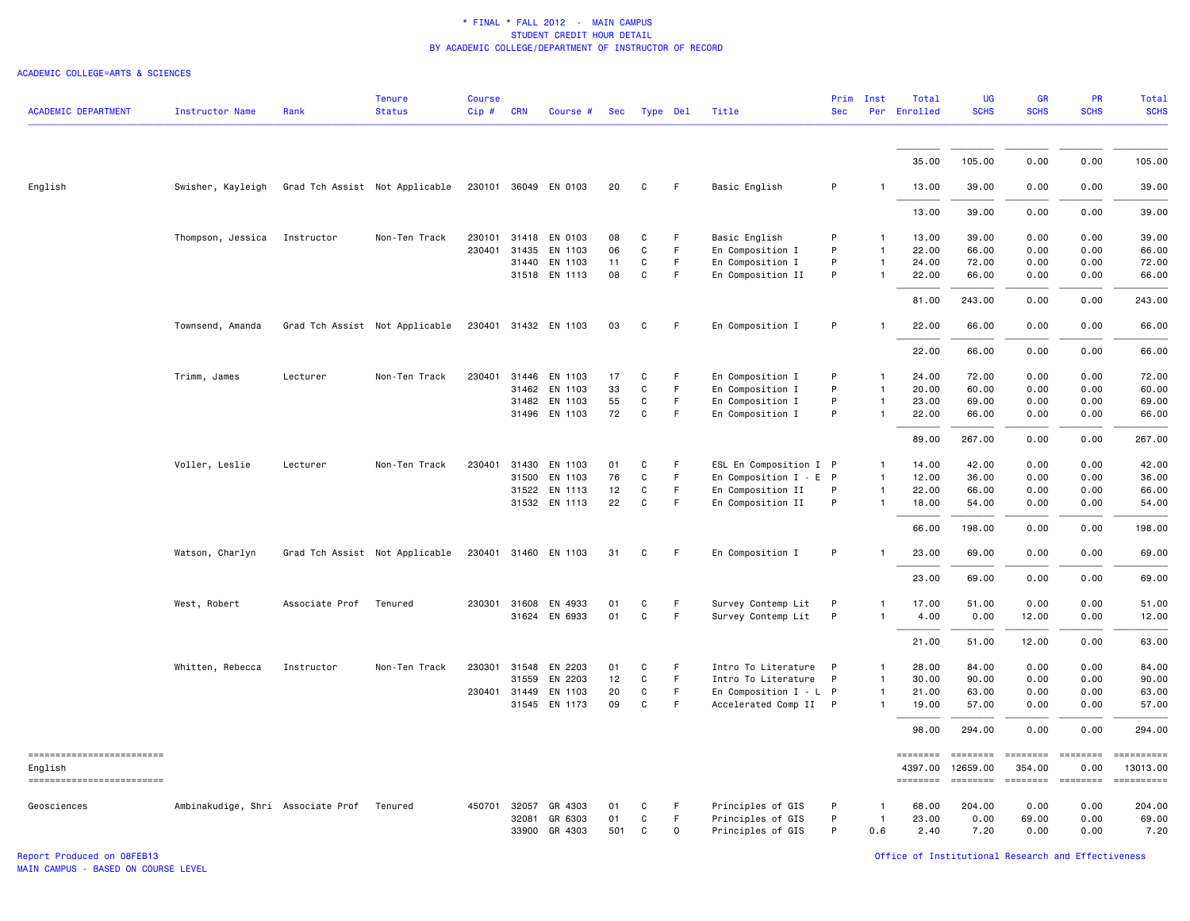#### ACADEMIC COLLEGE=ARTS & SCIENCES

| <b>ACADEMIC DEPARTMENT</b>            | <b>Instructor Name</b>            | Rank           | <b>Tenure</b><br><b>Status</b> | <b>Course</b><br>Cip# | <b>CRN</b>   | Course #             | Sec |              | Type Del | Title                    | Prim<br><b>Sec</b> | Inst         | Total<br>Per Enrolled | UG<br><b>SCHS</b>             | GR<br><b>SCHS</b>                                                                                                                                                                                                                                                                                                                                                                                                                                                                      | PR<br><b>SCHS</b>      | Total<br><b>SCHS</b>   |
|---------------------------------------|-----------------------------------|----------------|--------------------------------|-----------------------|--------------|----------------------|-----|--------------|----------|--------------------------|--------------------|--------------|-----------------------|-------------------------------|----------------------------------------------------------------------------------------------------------------------------------------------------------------------------------------------------------------------------------------------------------------------------------------------------------------------------------------------------------------------------------------------------------------------------------------------------------------------------------------|------------------------|------------------------|
|                                       |                                   |                |                                |                       |              |                      |     |              |          |                          |                    |              |                       |                               |                                                                                                                                                                                                                                                                                                                                                                                                                                                                                        |                        |                        |
|                                       |                                   |                |                                |                       |              |                      |     |              |          |                          |                    |              | 35.00                 | 105.00                        | 0.00                                                                                                                                                                                                                                                                                                                                                                                                                                                                                   | 0.00                   | 105.00                 |
| English                               | Swisher, Kayleigh                 |                | Grad Tch Assist Not Applicable |                       |              | 230101 36049 EN 0103 | 20  | C            | F        | Basic English            | P                  | -1           | 13.00                 | 39.00                         | 0.00                                                                                                                                                                                                                                                                                                                                                                                                                                                                                   | 0.00                   | 39.00                  |
|                                       |                                   |                |                                |                       |              |                      |     |              |          |                          |                    |              | 13.00                 | 39.00                         | 0.00                                                                                                                                                                                                                                                                                                                                                                                                                                                                                   | 0.00                   | 39.00                  |
|                                       | Thompson, Jessica                 | Instructor     | Non-Ten Track                  | 230101                | 31418        | EN 0103              | 08  | C            | F.       | Basic English            | P                  | 1            | 13.00                 | 39.00                         | 0.00                                                                                                                                                                                                                                                                                                                                                                                                                                                                                   | 0.00                   | 39.00                  |
|                                       |                                   |                |                                | 230401                | 31435        | EN 1103              | 06  | C            | F        | En Composition I         | P                  | $\mathbf{1}$ | 22.00                 | 66.00                         | 0.00                                                                                                                                                                                                                                                                                                                                                                                                                                                                                   | 0.00                   | 66.00                  |
|                                       |                                   |                |                                |                       | 31440        | EN 1103              | 11  | C            | F.       | En Composition I         | P                  | $\mathbf{1}$ | 24.00                 | 72.00                         | 0.00                                                                                                                                                                                                                                                                                                                                                                                                                                                                                   | 0.00                   | 72.00                  |
|                                       |                                   |                |                                |                       |              | 31518 EN 1113        | 08  | $\mathtt{C}$ | F        | En Composition II        | P                  | $\mathbf{1}$ | 22.00                 | 66.00                         | 0.00                                                                                                                                                                                                                                                                                                                                                                                                                                                                                   | 0.00                   | 66.00                  |
|                                       |                                   |                |                                |                       |              |                      |     |              |          |                          |                    |              | 81.00                 | 243.00                        | 0.00                                                                                                                                                                                                                                                                                                                                                                                                                                                                                   | 0.00                   | 243.00                 |
|                                       | Townsend, Amanda                  |                | Grad Tch Assist Not Applicable |                       |              | 230401 31432 EN 1103 | 03  | C            | F.       | En Composition I         | P                  | $\mathbf{1}$ | 22,00                 | 66.00                         | 0.00                                                                                                                                                                                                                                                                                                                                                                                                                                                                                   | 0.00                   | 66.00                  |
|                                       |                                   |                |                                |                       |              |                      |     |              |          |                          |                    |              | 22.00                 | 66.00                         | 0.00                                                                                                                                                                                                                                                                                                                                                                                                                                                                                   | 0.00                   | 66.00                  |
|                                       | Trimm, James                      | Lecturer       | Non-Ten Track                  | 230401                | 31446        | EN 1103              | 17  | C            | F.       | En Composition I         | P                  | $\mathbf{1}$ | 24.00                 | 72.00                         | 0.00                                                                                                                                                                                                                                                                                                                                                                                                                                                                                   | 0.00                   | 72.00                  |
|                                       |                                   |                |                                |                       | 31462        | EN 1103              | 33  | $\mathtt{C}$ | F.       | En Composition I         | P                  | $\mathbf{1}$ | 20.00                 | 60.00                         | 0.00                                                                                                                                                                                                                                                                                                                                                                                                                                                                                   | 0.00                   | 60.00                  |
|                                       |                                   |                |                                |                       | 31482        | EN 1103              | 55  | C            | F.       | En Composition I         | P                  | $\mathbf{1}$ | 23.00                 | 69.00                         | 0.00                                                                                                                                                                                                                                                                                                                                                                                                                                                                                   | 0.00                   | 69.00                  |
|                                       |                                   |                |                                |                       |              | 31496 EN 1103        | 72  | $\mathtt{C}$ | F        | En Composition I         | P                  | $\mathbf{1}$ | 22.00                 | 66.00                         | 0.00                                                                                                                                                                                                                                                                                                                                                                                                                                                                                   | 0.00                   | 66.00                  |
|                                       |                                   |                |                                |                       |              |                      |     |              |          |                          |                    |              | 89.00                 | 267.00                        | 0.00                                                                                                                                                                                                                                                                                                                                                                                                                                                                                   | 0.00                   | 267.00                 |
|                                       | Voller, Leslie                    | Lecturer       | Non-Ten Track                  |                       |              | 230401 31430 EN 1103 | 01  | C            | F.       | ESL En Composition I P   |                    | $\mathbf{1}$ | 14.00                 | 42.00                         | 0.00                                                                                                                                                                                                                                                                                                                                                                                                                                                                                   | 0.00                   | 42.00                  |
|                                       |                                   |                |                                |                       | 31500        | EN 1103              | 76  | C            | F        | En Composition $I - E P$ |                    | $\mathbf{1}$ | 12.00                 | 36.00                         | 0.00                                                                                                                                                                                                                                                                                                                                                                                                                                                                                   | 0.00                   | 36.00                  |
|                                       |                                   |                |                                |                       |              | 31522 EN 1113        | 12  | $\mathtt{C}$ | F        | En Composition II        | P                  | $\mathbf{1}$ | 22.00                 | 66.00                         | 0.00                                                                                                                                                                                                                                                                                                                                                                                                                                                                                   | 0.00                   | 66.00                  |
|                                       |                                   |                |                                |                       |              | 31532 EN 1113        | 22  | C            | F        | En Composition II        | P                  | $\mathbf{1}$ | 18.00                 | 54.00                         | 0.00                                                                                                                                                                                                                                                                                                                                                                                                                                                                                   | 0.00                   | 54.00                  |
|                                       |                                   |                |                                |                       |              |                      |     |              |          |                          |                    |              | 66.00                 | 198.00                        | 0.00                                                                                                                                                                                                                                                                                                                                                                                                                                                                                   | 0.00                   | 198.00                 |
|                                       | Watson, Charlyn                   |                | Grad Tch Assist Not Applicable |                       |              | 230401 31460 EN 1103 | 31  | C            | F        | En Composition I         | P                  |              | 23.00                 | 69.00                         | 0.00                                                                                                                                                                                                                                                                                                                                                                                                                                                                                   | 0.00                   | 69.00                  |
|                                       |                                   |                |                                |                       |              |                      |     |              |          |                          |                    |              | 23.00                 | 69.00                         | 0.00                                                                                                                                                                                                                                                                                                                                                                                                                                                                                   | 0.00                   | 69.00                  |
|                                       | West, Robert                      | Associate Prof | Tenured                        |                       |              | 230301 31608 EN 4933 | 01  | C            | F.       | Survey Contemp Lit       | P                  | 1            | 17.00                 | 51.00                         | 0.00                                                                                                                                                                                                                                                                                                                                                                                                                                                                                   | 0.00                   | 51.00                  |
|                                       |                                   |                |                                |                       | 31624        | EN 6933              | 01  | $\mathtt{C}$ | F        | Survey Contemp Lit       | P                  | $\mathbf{1}$ | 4.00                  | 0.00                          | 12.00                                                                                                                                                                                                                                                                                                                                                                                                                                                                                  | 0.00                   | 12.00                  |
|                                       |                                   |                |                                |                       |              |                      |     |              |          |                          |                    |              |                       |                               |                                                                                                                                                                                                                                                                                                                                                                                                                                                                                        |                        |                        |
|                                       |                                   |                |                                |                       |              |                      |     |              |          |                          |                    |              | 21.00                 | 51.00                         | 12.00                                                                                                                                                                                                                                                                                                                                                                                                                                                                                  | 0.00                   | 63.00                  |
|                                       | Whitten, Rebecca                  | Instructor     | Non-Ten Track                  |                       | 230301 31548 | EN 2203              | 01  | C            | F        | Intro To Literature      | P                  | $\mathbf{1}$ | 28.00                 | 84.00                         | 0.00                                                                                                                                                                                                                                                                                                                                                                                                                                                                                   | 0.00                   | 84.00                  |
|                                       |                                   |                |                                |                       | 31559        | EN 2203              | 12  | C            | F        | Intro To Literature      | $\mathsf{P}$       | $\mathbf{1}$ | 30.00                 | 90.00                         | 0.00                                                                                                                                                                                                                                                                                                                                                                                                                                                                                   | 0.00                   | 90.00                  |
|                                       |                                   |                |                                |                       | 230401 31449 | EN 1103              | 20  | C            | F        | En Composition $I - L P$ |                    | 1            | 21.00                 | 63.00                         | 0.00                                                                                                                                                                                                                                                                                                                                                                                                                                                                                   | 0.00                   | 63.00                  |
|                                       |                                   |                |                                |                       | 31545        | EN 1173              | 09  | $\mathtt{C}$ | F.       | Accelerated Comp II P    |                    | $\mathbf{1}$ | 19.00                 | 57.00                         | 0.00                                                                                                                                                                                                                                                                                                                                                                                                                                                                                   | 0.00                   | 57.00                  |
|                                       |                                   |                |                                |                       |              |                      |     |              |          |                          |                    |              | 98.00                 | 294.00                        | 0.00                                                                                                                                                                                                                                                                                                                                                                                                                                                                                   | 0.00                   | 294.00                 |
| ==========================<br>English |                                   |                |                                |                       |              |                      |     |              |          |                          |                    |              | ========<br>4397.00   | $=$ = = = = = = =<br>12659.00 | ========<br>354.00                                                                                                                                                                                                                                                                                                                                                                                                                                                                     | <b>ESSESSE</b><br>0.00 | ==========<br>13013.00 |
| ==========================            |                                   |                |                                |                       |              |                      |     |              |          |                          |                    |              | ========              | <b>ESSESSE</b>                | $\begin{array}{cccccccccc} \multicolumn{2}{c}{} & \multicolumn{2}{c}{} & \multicolumn{2}{c}{} & \multicolumn{2}{c}{} & \multicolumn{2}{c}{} & \multicolumn{2}{c}{} & \multicolumn{2}{c}{} & \multicolumn{2}{c}{} & \multicolumn{2}{c}{} & \multicolumn{2}{c}{} & \multicolumn{2}{c}{} & \multicolumn{2}{c}{} & \multicolumn{2}{c}{} & \multicolumn{2}{c}{} & \multicolumn{2}{c}{} & \multicolumn{2}{c}{} & \multicolumn{2}{c}{} & \multicolumn{2}{c}{} & \multicolumn{2}{c}{} & \mult$ | ESSESSEE               |                        |
| Geosciences                           | Ambinakudige, Shri Associate Prof |                | Tenured                        | 450701                | 32057        | GR 4303              | 01  | C            | F        | Principles of GIS        | P                  | $\mathbf{1}$ | 68.00                 | 204.00                        | 0.00                                                                                                                                                                                                                                                                                                                                                                                                                                                                                   | 0.00                   | 204.00                 |
|                                       |                                   |                |                                |                       | 32081        | GR 6303              | 01  | C            | F        | Principles of GIS        | P                  | $\mathbf{1}$ | 23.00                 | 0.00                          | 69.00                                                                                                                                                                                                                                                                                                                                                                                                                                                                                  | 0.00                   | 69.00                  |
|                                       |                                   |                |                                |                       |              | 33900 GR 4303        | 501 | C            | $\Omega$ | Principles of GIS        | P                  | 0.6          | 2.40                  | 7.20                          | 0.00                                                                                                                                                                                                                                                                                                                                                                                                                                                                                   | 0.00                   | 7.20                   |

Report Produced on 08FEB13 Office of Institutional Research and Effectiveness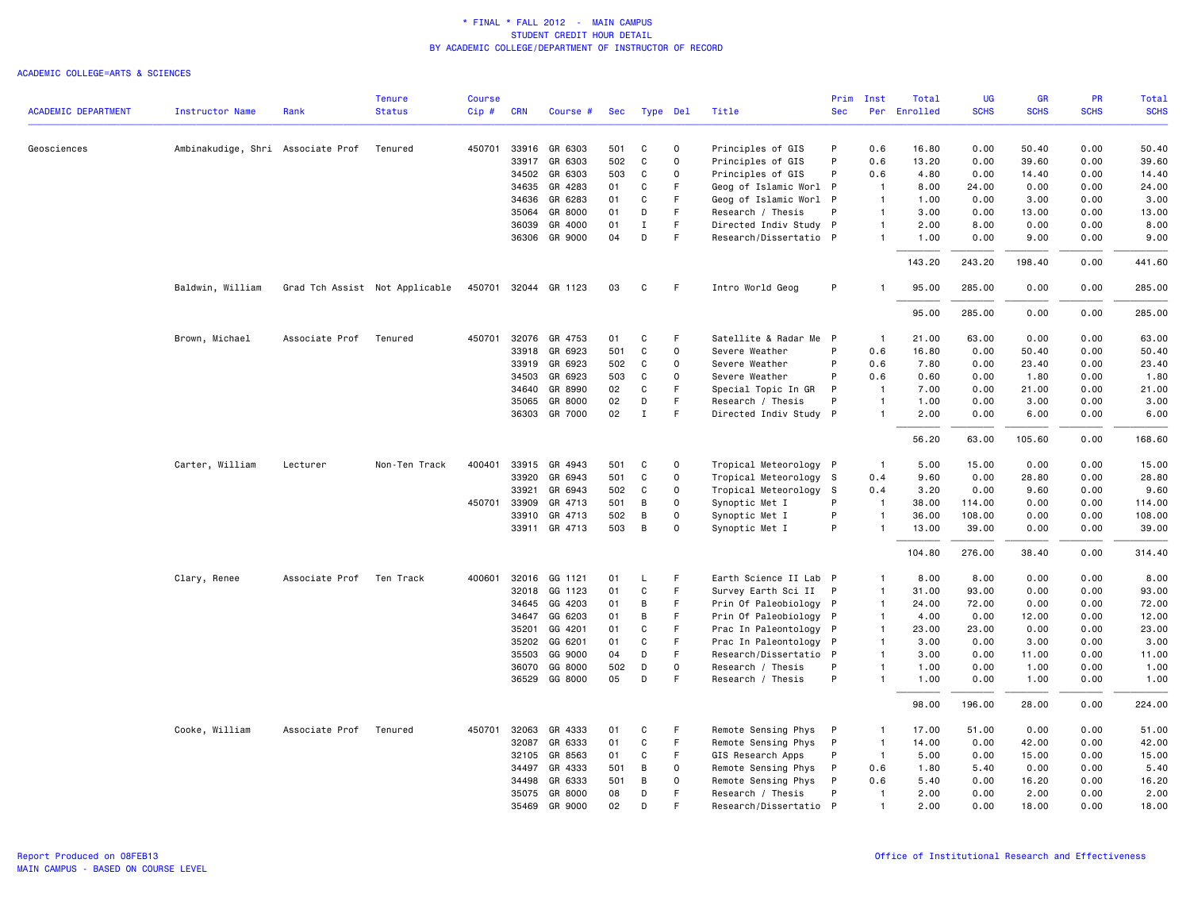|                            |                                   |                | <b>Tenure</b>                  | <b>Course</b> |                |                          |           |             |                   |                                             | Prim              | Inst                             | Total        | UG           | <b>GR</b>     | <b>PR</b>    | Total         |
|----------------------------|-----------------------------------|----------------|--------------------------------|---------------|----------------|--------------------------|-----------|-------------|-------------------|---------------------------------------------|-------------------|----------------------------------|--------------|--------------|---------------|--------------|---------------|
| <b>ACADEMIC DEPARTMENT</b> | <b>Instructor Name</b>            | Rank           | <b>Status</b>                  | Cip#          | <b>CRN</b>     | Course #                 | Sec       | Type Del    |                   | Title                                       | <b>Sec</b>        |                                  | Per Enrolled | <b>SCHS</b>  | <b>SCHS</b>   | <b>SCHS</b>  | <b>SCHS</b>   |
| Geosciences                | Ambinakudige, Shri Associate Prof |                | Tenured                        | 450701        | 33916          | GR 6303                  | 501       | C           | 0                 | Principles of GIS                           | P                 | 0.6                              | 16.80        | 0.00         | 50.40         | 0.00         | 50.40         |
|                            |                                   |                |                                |               | 33917          | GR 6303                  | 502       | C           | $\Omega$          | Principles of GIS                           | P                 | 0.6                              | 13.20        | 0.00         | 39.60         | 0.00         | 39.60         |
|                            |                                   |                |                                |               | 34502          | GR 6303                  | 503       | $\mathbf C$ | $\mathbf{0}$      | Principles of GIS                           | P                 | 0.6                              | 4.80         | 0.00         | 14.40         | 0.00         | 14.40         |
|                            |                                   |                |                                |               | 34635          | GR 4283                  | 01        | C           | F                 | Geog of Islamic Worl                        | P                 | -1                               | 8.00         | 24.00        | 0.00          | 0.00         | 24.00         |
|                            |                                   |                |                                |               | 34636          | GR 6283                  | 01        | C           | F                 | Geog of Islamic Worl                        | P                 | $\overline{1}$                   | 1.00         | 0.00         | 3.00          | 0.00         | 3.00          |
|                            |                                   |                |                                |               | 35064          | GR 8000                  | 01        | D           | F                 | Research / Thesis                           | P                 | $\overline{1}$                   | 3.00         | 0.00         | 13.00         | 0.00         | 13.00         |
|                            |                                   |                |                                |               | 36039          | GR 4000                  | 01        | $\mathbf I$ | F                 | Directed Indiv Study P                      |                   | $\overline{1}$                   | 2.00         | 8.00         | 0.00          | 0.00         | 8.00          |
|                            |                                   |                |                                |               |                | 36306 GR 9000            | 04        | D           | F                 | Research/Dissertatio P                      |                   | $\mathbf{1}$                     | 1.00         | 0.00         | 9.00          | 0.00         | 9.00          |
|                            |                                   |                |                                |               |                |                          |           |             |                   |                                             |                   |                                  | 143.20       | 243.20       | 198.40        | 0.00         | 441.60        |
|                            | Baldwin, William                  |                | Grad Tch Assist Not Applicable |               |                | 450701 32044 GR 1123     | 03        | C           | F                 | Intro World Geog                            | P                 | -1                               | 95.00        | 285.00       | 0.00          | 0.00         | 285.00        |
|                            |                                   |                |                                |               |                |                          |           |             |                   |                                             |                   |                                  | 95.00        | 285.00       | 0.00          | 0.00         | 285.00        |
|                            | Brown, Michael                    | Associate Prof | Tenured                        |               |                | 450701 32076 GR 4753     | 01        | C           | F                 | Satellite & Radar Me P                      |                   | $\overline{1}$                   | 21.00        | 63.00        | 0.00          | 0.00         | 63.00         |
|                            |                                   |                |                                |               | 33918          | GR 6923                  | 501       | C           | 0                 | Severe Weather                              | P                 | 0.6                              | 16.80        | 0.00         | 50.40         | 0.00         | 50.40         |
|                            |                                   |                |                                |               | 33919          | GR 6923                  | 502       | C           | $\Omega$          | Severe Weather                              | P                 | 0.6                              | 7.80         | 0.00         | 23.40         | 0.00         | 23.40         |
|                            |                                   |                |                                |               | 34503          | GR 6923                  | 503       | C           | $\mathbf 0$       | Severe Weather                              | P                 | 0.6                              | 0.60         | 0.00         | 1.80          | 0.00         | 1.80          |
|                            |                                   |                |                                |               | 34640          | GR 8990                  | 02        | C           | F                 | Special Topic In GR                         | P                 | $\overline{1}$                   | 7.00         | 0.00         | 21.00         | 0.00         | 21.00         |
|                            |                                   |                |                                |               | 35065          | GR 8000<br>36303 GR 7000 | 02<br>02  | D<br>I      | F<br>F            | Research / Thesis<br>Directed Indiv Study P | P                 | $\overline{1}$<br>$\overline{1}$ | 1.00<br>2.00 | 0.00<br>0.00 | 3.00<br>6.00  | 0.00<br>0.00 | 3.00<br>6.00  |
|                            |                                   |                |                                |               |                |                          |           |             |                   |                                             |                   |                                  | 56.20        | 63.00        | 105.60        | 0.00         | 168.60        |
|                            | Carter, William                   | Lecturer       | Non-Ten Track                  | 400401        | 33915          | GR 4943                  | 501       | C           | $\circ$           | Tropical Meteorology P                      |                   | $\overline{1}$                   | 5.00         | 15.00        | 0.00          | 0.00         | 15.00         |
|                            |                                   |                |                                |               | 33920          | GR 6943                  | 501       | C           | 0                 | Tropical Meteorology S                      |                   | 0.4                              | 9.60         | 0.00         | 28.80         | 0.00         | 28.80         |
|                            |                                   |                |                                |               | 33921          | GR 6943                  | 502       | C           | $\mathbf 0$       | Tropical Meteorology S                      |                   | 0.4                              | 3.20         | 0.00         | 9.60          | 0.00         | 9.60          |
|                            |                                   |                |                                |               | 450701 33909   | GR 4713                  | 501       | В           | 0                 | Synoptic Met I                              | P                 | $\overline{1}$                   | 38.00        | 114.00       | 0.00          | 0.00         | 114.00        |
|                            |                                   |                |                                |               | 33910          | GR 4713                  | 502       | B           | $\Omega$          | Synoptic Met I                              | P                 | $\overline{1}$                   | 36.00        | 108.00       | 0.00          | 0.00         | 108.00        |
|                            |                                   |                |                                |               |                | 33911 GR 4713            | 503       | B           | $\Omega$          | Synoptic Met I                              | P                 | $\overline{1}$                   | 13.00        | 39.00        | 0.00          | 0.00         | 39.00         |
|                            |                                   |                |                                |               |                |                          |           |             |                   |                                             |                   |                                  | 104.80       | 276.00       | 38.40         | 0.00         | 314.40        |
|                            | Clary, Renee                      | Associate Prof | Ten Track                      |               |                | 400601 32016 GG 1121     | 01        | L           | F                 | Earth Science II Lab P                      |                   | $\overline{1}$                   | 8.00         | 8.00         | 0.00          | 0.00         | 8.00          |
|                            |                                   |                |                                |               | 32018          | GG 1123                  | 01        | C           | F                 | Survey Earth Sci II                         | P                 | $\overline{1}$                   | 31.00        | 93.00        | 0.00          | 0.00         | 93.00         |
|                            |                                   |                |                                |               | 34645          | GG 4203                  | 01        | B           | F                 | Prin Of Paleobiology P                      |                   | $\overline{1}$                   | 24.00        | 72.00        | 0.00          | 0.00         | 72.00         |
|                            |                                   |                |                                |               | 34647          | GG 6203                  | 01        | В           | F.                | Prin Of Paleobiology P                      |                   | $\overline{1}$                   | 4.00         | 0.00         | 12.00         | 0.00         | 12.00         |
|                            |                                   |                |                                |               | 35201          | GG 4201                  | 01        | C           | F                 | Prac In Paleontology                        | P                 | $\overline{1}$                   | 23.00        | 23.00        | 0.00          | 0.00         | 23.00         |
|                            |                                   |                |                                |               | 35202          | GG 6201                  | 01        | $\mathbf C$ | F                 | Prac In Paleontology                        | P                 | $\overline{1}$                   | 3.00         | 0.00         | 3.00          | 0.00         | 3.00          |
|                            |                                   |                |                                |               | 35503<br>36070 | GG 9000<br>GG 8000       | 04<br>502 | D<br>D      | F.<br>$\mathbf 0$ | Research/Dissertatio                        | $\mathsf{P}$<br>P | $\overline{1}$<br>$\overline{1}$ | 3.00<br>1.00 | 0.00<br>0.00 | 11.00<br>1.00 | 0.00<br>0.00 | 11.00<br>1.00 |
|                            |                                   |                |                                |               |                | 36529 GG 8000            | 05        | D           | F                 | Research / Thesis<br>Research / Thesis      | P                 | $\overline{1}$                   | 1.00         | 0.00         | 1.00          | 0.00         | 1.00          |
|                            |                                   |                |                                |               |                |                          |           |             |                   |                                             |                   |                                  | 98.00        | 196.00       | 28.00         | 0.00         | 224.00        |
|                            | Cooke, William                    | Associate Prof | Tenured                        | 450701        | 32063          | GR 4333                  | 01        | C           | F                 | Remote Sensing Phys                         | P                 | $\overline{1}$                   | 17.00        | 51.00        | 0.00          | 0.00         | 51.00         |
|                            |                                   |                |                                |               | 32087          | GR 6333                  | 01        | C           | F.                | Remote Sensing Phys                         | P                 | $\overline{1}$                   | 14.00        | 0.00         | 42.00         | 0.00         | 42.00         |
|                            |                                   |                |                                |               | 32105          | GR 8563                  | 01        | C           | F.                | GIS Research Apps                           | P                 | $\overline{1}$                   | 5.00         | 0.00         | 15.00         | 0.00         | 15.00         |
|                            |                                   |                |                                |               | 34497          | GR 4333                  | 501       | В           | $\mathbf 0$       | Remote Sensing Phys                         | P                 | 0.6                              | 1.80         | 5.40         | 0.00          | 0.00         | 5.40          |
|                            |                                   |                |                                |               | 34498          | GR 6333                  | 501       | B           | $\mathbf 0$       | Remote Sensing Phys                         | P                 | 0.6                              | 5.40         | 0.00         | 16.20         | 0.00         | 16.20         |
|                            |                                   |                |                                |               | 35075          | GR 8000                  | 08        | D           | F                 | Research / Thesis                           | P                 | $\overline{1}$                   | 2.00         | 0.00         | 2.00          | 0.00         | 2.00          |
|                            |                                   |                |                                |               | 35469          | GR 9000                  | 02        | D           | E                 | Research/Dissertatio P                      |                   | $\overline{1}$                   | 2.00         | 0.00         | 18.00         | 0.00         | 18.00         |
|                            |                                   |                |                                |               |                |                          |           |             |                   |                                             |                   |                                  |              |              |               |              |               |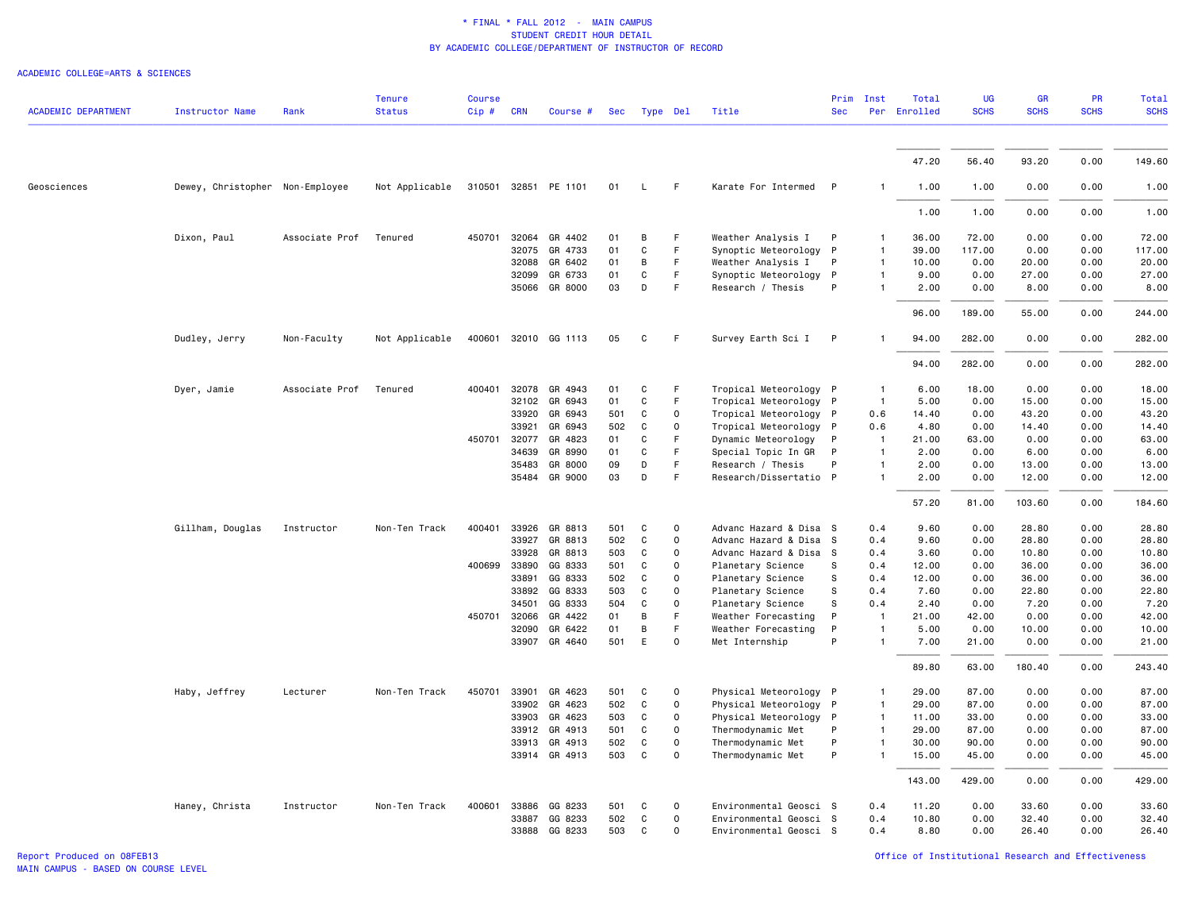| <b>ACADEMIC DEPARTMENT</b> | <b>Instructor Name</b>          | Rank           | <b>Tenure</b><br><b>Status</b> | <b>Course</b><br>Cip # | <b>CRN</b> | Course #             | Sec | Type Del     |                     | Title                  | Prim<br><b>Sec</b> | Inst         | Total<br>Per Enrolled | <b>UG</b><br><b>SCHS</b> | GR<br><b>SCHS</b> | <b>PR</b><br><b>SCHS</b> | Total<br><b>SCHS</b> |
|----------------------------|---------------------------------|----------------|--------------------------------|------------------------|------------|----------------------|-----|--------------|---------------------|------------------------|--------------------|--------------|-----------------------|--------------------------|-------------------|--------------------------|----------------------|
|                            |                                 |                |                                |                        |            |                      |     |              |                     |                        |                    |              |                       |                          |                   |                          |                      |
|                            |                                 |                |                                |                        |            |                      |     |              |                     |                        |                    |              | 47.20                 | 56.40                    | 93.20             | 0.00                     | 149.60               |
| Geosciences                | Dewey, Christopher Non-Employee |                | Not Applicable                 |                        |            | 310501 32851 PE 1101 | 01  | L            | F                   | Karate For Intermed    | $\mathsf{P}$       | -1           | 1.00                  | 1.00                     | 0.00              | 0.00                     | 1.00                 |
|                            |                                 |                |                                |                        |            |                      |     |              |                     |                        |                    |              | 1.00                  | 1.00                     | 0.00              | 0.00                     | 1.00                 |
|                            | Dixon, Paul                     | Associate Prof | Tenured                        | 450701                 | 32064      | GR 4402              | 01  | B            | F                   | Weather Analysis I     | P                  |              | 36.00                 | 72.00                    | 0.00              | 0.00                     | 72.00                |
|                            |                                 |                |                                |                        | 32075      | GR 4733              | 01  | C            | F.                  | Synoptic Meteorology   | $\mathsf{P}$       | $\mathbf{1}$ | 39.00                 | 117.00                   | 0.00              | 0.00                     | 117.00               |
|                            |                                 |                |                                |                        | 32088      | GR 6402              | 01  | в            | F                   | Weather Analysis I     | P                  |              | 10.00                 | 0.00                     | 20.00             | 0.00                     | 20.00                |
|                            |                                 |                |                                |                        | 32099      | GR 6733              | 01  | C            | F.                  | Synoptic Meteorology   | $\mathsf{P}$       |              | 9.00                  | 0.00                     | 27.00             | 0.00                     | 27.00                |
|                            |                                 |                |                                |                        | 35066      | GR 8000              | 03  | D            | F                   | Research / Thesis      | P                  |              | 2.00                  | 0.00                     | 8.00              | 0.00                     | 8.00                 |
|                            |                                 |                |                                |                        |            |                      |     |              |                     |                        |                    |              | 96.00                 | 189.00                   | 55.00             | 0.00                     | 244.00               |
|                            | Dudley, Jerry                   | Non-Faculty    | Not Applicable                 | 400601                 |            | 32010 GG 1113        | 05  | C            | F                   | Survey Earth Sci I     | P                  |              | 94.00                 | 282.00                   | 0.00              | 0.00                     | 282.00               |
|                            |                                 |                |                                |                        |            |                      |     |              |                     |                        |                    |              | 94.00                 | 282.00                   | 0.00              | 0.00                     | 282.00               |
|                            | Dyer, Jamie                     | Associate Prof | Tenured                        | 400401                 | 32078      | GR 4943              | 01  | C            | F                   | Tropical Meteorology P |                    | $\mathbf{1}$ | 6.00                  | 18.00                    | 0.00              | 0.00                     | 18.00                |
|                            |                                 |                |                                |                        | 32102      | GR 6943              | 01  | C            | F                   | Tropical Meteorology P |                    | $\mathbf{1}$ | 5.00                  | 0.00                     | 15.00             | 0.00                     | 15.00                |
|                            |                                 |                |                                |                        | 33920      | GR 6943              | 501 | C            | 0                   | Tropical Meteorology P |                    | 0.6          | 14.40                 | 0.00                     | 43.20             | 0.00                     | 43.20                |
|                            |                                 |                |                                |                        | 33921      | GR 6943              | 502 | C            | $\mathsf{O}\xspace$ | Tropical Meteorology P |                    | 0.6          | 4.80                  | 0.00                     | 14.40             | 0.00                     | 14.40                |
|                            |                                 |                |                                | 450701                 | 32077      | GR 4823              | 01  | C            | F                   | Dynamic Meteorology    | $\mathsf{P}$       | $\mathbf{1}$ | 21.00                 | 63.00                    | 0.00              | 0.00                     | 63.00                |
|                            |                                 |                |                                |                        | 34639      | GR 8990              | 01  | $\mathsf{C}$ | F                   | Special Topic In GR    | P                  | $\mathbf{1}$ | 2.00                  | 0.00                     | 6.00              | 0.00                     | 6.00                 |
|                            |                                 |                |                                |                        | 35483      | GR 8000              | 09  | D            | F                   | Research / Thesis      | P                  |              | 2.00                  | 0.00                     | 13.00             | 0.00                     | 13.00                |
|                            |                                 |                |                                |                        | 35484      | GR 9000              | 03  | D            | F                   | Research/Dissertatio P |                    |              | 2.00                  | 0.00                     | 12.00             | 0.00                     | 12.00                |
|                            |                                 |                |                                |                        |            |                      |     |              |                     |                        |                    |              | 57.20                 | 81.00                    | 103.60            | 0.00                     | 184.60               |
|                            | Gillham, Douglas                | Instructor     | Non-Ten Track                  | 400401                 | 33926      | GR 8813              | 501 | C            | $\mathbf 0$         | Advanc Hazard & Disa S |                    | 0.4          | 9.60                  | 0.00                     | 28.80             | 0.00                     | 28.80                |
|                            |                                 |                |                                |                        | 33927      | GR 8813              | 502 | C            | 0                   | Advanc Hazard & Disa   | - S                | 0.4          | 9.60                  | 0.00                     | 28.80             | 0.00                     | 28.80                |
|                            |                                 |                |                                |                        | 33928      | GR 8813              | 503 | C            | 0                   | Advanc Hazard & Disa S |                    | 0.4          | 3.60                  | 0.00                     | 10.80             | 0.00                     | 10.80                |
|                            |                                 |                |                                | 400699                 | 33890      | GG 8333              | 501 | C            | 0                   | Planetary Science      | s                  | 0.4          | 12.00                 | 0.00                     | 36.00             | 0.00                     | 36.00                |
|                            |                                 |                |                                |                        | 33891      | GG 8333              | 502 | C            | $\mathbf 0$         | Planetary Science      | s                  | 0.4          | 12.00                 | 0.00                     | 36.00             | 0.00                     | 36.00                |
|                            |                                 |                |                                |                        | 33892      | GG 8333              | 503 | C            | $\mathbf 0$         | Planetary Science      | s                  | 0.4          | 7.60                  | 0.00                     | 22.80             | 0.00                     | 22.80                |
|                            |                                 |                |                                |                        | 34501      | GG 8333              | 504 | C            | 0                   | Planetary Science      | S                  | 0.4          | 2.40                  | 0.00                     | 7.20              | 0.00                     | 7.20                 |
|                            |                                 |                |                                | 450701                 | 32066      | GR 4422              | 01  | B            | F.                  | Weather Forecasting    | P                  | $\mathbf{1}$ | 21.00                 | 42.00                    | 0.00              | 0.00                     | 42.00                |
|                            |                                 |                |                                |                        | 32090      | GR 6422              | 01  | В            | F                   | Weather Forecasting    | P                  | $\mathbf{1}$ | 5.00                  | 0.00                     | 10.00             | 0.00                     | 10.00                |
|                            |                                 |                |                                |                        | 33907      | GR 4640              | 501 | E            | $\mathbf 0$         | Met Internship         | P                  |              | 7.00                  | 21.00                    | 0.00              | 0.00                     | 21.00                |
|                            |                                 |                |                                |                        |            |                      |     |              |                     |                        |                    |              | 89.80                 | 63.00                    | 180.40            | 0.00                     | 243.40               |
|                            | Haby, Jeffrey                   | Lecturer       | Non-Ten Track                  | 450701                 | 33901      | GR 4623              | 501 | C            | 0                   | Physical Meteorology P |                    | -1           | 29.00                 | 87.00                    | 0.00              | 0.00                     | 87.00                |
|                            |                                 |                |                                |                        | 33902      | GR 4623              | 502 | C            | $\mathsf{O}\xspace$ | Physical Meteorology P |                    | $\mathbf{1}$ | 29.00                 | 87.00                    | 0.00              | 0.00                     | 87.00                |
|                            |                                 |                |                                |                        | 33903      | GR 4623              | 503 | C            | $\mathsf{O}\xspace$ | Physical Meteorology P |                    | $\mathbf{1}$ | 11.00                 | 33.00                    | 0.00              | 0.00                     | 33.00                |
|                            |                                 |                |                                |                        | 33912      | GR 4913              | 501 | C            | $\mathsf{o}\,$      | Thermodynamic Met      | P                  | -1           | 29.00                 | 87.00                    | 0.00              | 0.00                     | 87.00                |
|                            |                                 |                |                                |                        | 33913      | GR 4913              | 502 | C            | 0                   | Thermodynamic Met      | P                  |              | 30.00                 | 90.00                    | 0.00              | 0.00                     | 90.00                |
|                            |                                 |                |                                |                        | 33914      | GR 4913              | 503 | C            | 0                   | Thermodynamic Met      | P                  | $\mathbf{1}$ | 15.00                 | 45.00                    | 0.00              | 0.00                     | 45.00                |
|                            |                                 |                |                                |                        |            |                      |     |              |                     |                        |                    |              | 143.00                | 429.00                   | 0.00              | 0.00                     | 429.00               |
|                            | Haney, Christa                  | Instructor     | Non-Ten Track                  | 400601                 | 33886      | GG 8233              | 501 | C            | 0                   | Environmental Geosci S |                    | 0.4          | 11.20                 | 0.00                     | 33.60             | 0.00                     | 33.60                |
|                            |                                 |                |                                |                        | 33887      | GG 8233              | 502 | C            | 0                   | Environmental Geosci S |                    | 0.4          | 10.80                 | 0.00                     | 32.40             | 0.00                     | 32.40                |
|                            |                                 |                |                                |                        | 33888      | GG 8233              | 503 | C            | $\mathbf 0$         | Environmental Geosci S |                    | 0.4          | 8.80                  | 0.00                     | 26.40             | 0.00                     | 26.40                |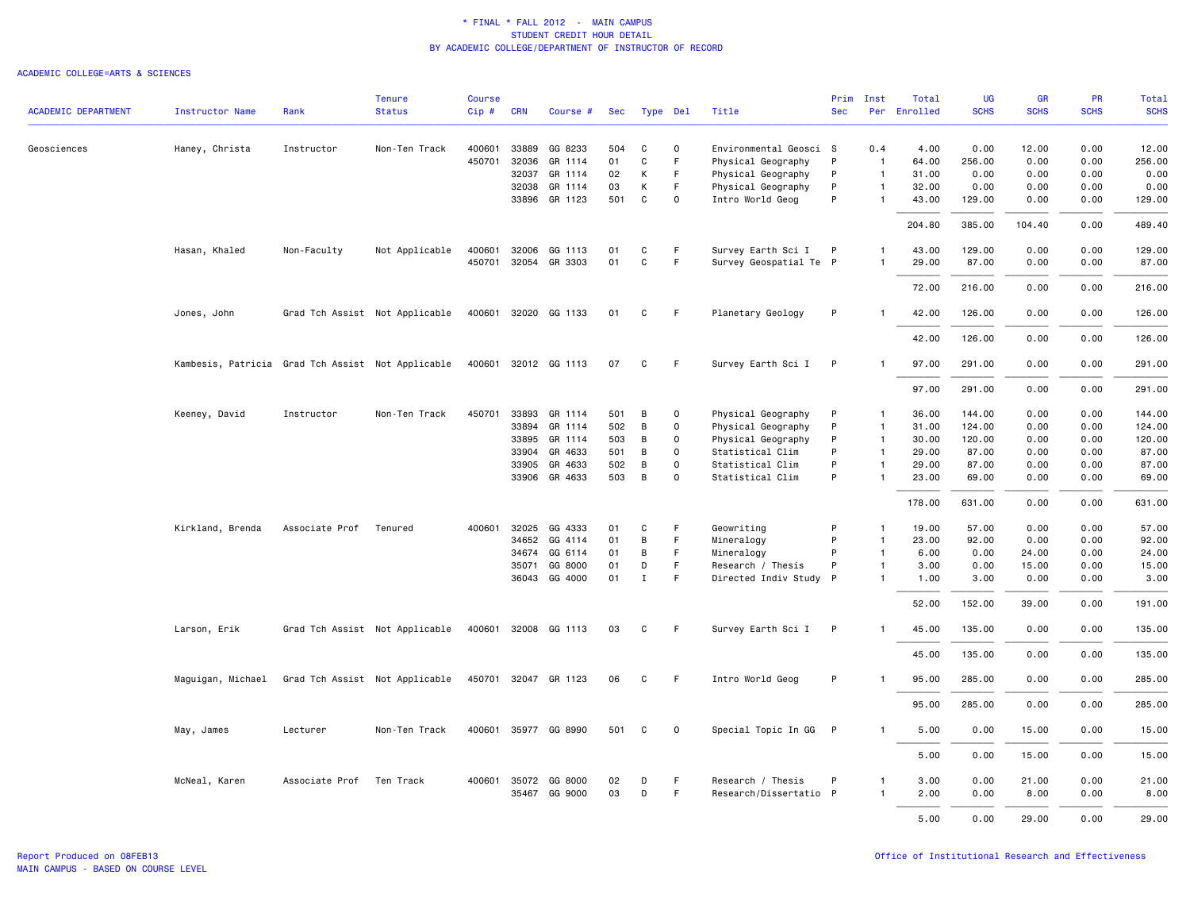|                            |                                                   |                          | <b>Tenure</b>                  | <b>Course</b> |              |                      |     |             |              |                        | Prim         | Inst           | Total        | UG          | <b>GR</b>   | <b>PR</b>   | Total       |
|----------------------------|---------------------------------------------------|--------------------------|--------------------------------|---------------|--------------|----------------------|-----|-------------|--------------|------------------------|--------------|----------------|--------------|-------------|-------------|-------------|-------------|
| <b>ACADEMIC DEPARTMENT</b> | <b>Instructor Name</b>                            | Rank                     | <b>Status</b>                  | $Cip$ #       | <b>CRN</b>   | Course #             | Sec | Type Del    |              | Title                  | <b>Sec</b>   |                | Per Enrolled | <b>SCHS</b> | <b>SCHS</b> | <b>SCHS</b> | <b>SCHS</b> |
| Geosciences                | Haney, Christa                                    | Instructor               | Non-Ten Track                  | 400601        | 33889        | GG 8233              | 504 | C           | $\mathbf 0$  | Environmental Geosci S |              | 0.4            | 4.00         | 0.00        | 12.00       | 0.00        | 12.00       |
|                            |                                                   |                          |                                | 450701        | 32036        | GR 1114              | 01  | $\mathbf C$ | F            | Physical Geography     | P            | $\overline{1}$ | 64.00        | 256.00      | 0.00        | 0.00        | 256.00      |
|                            |                                                   |                          |                                |               | 32037        | GR 1114              | 02  | К           | F            | Physical Geography     | P            | $\mathbf{1}$   | 31.00        | 0.00        | 0.00        | 0.00        | 0.00        |
|                            |                                                   |                          |                                |               | 32038        | GR 1114              | 03  | К           | F            | Physical Geography     | P            | $\mathbf{1}$   | 32.00        | 0.00        | 0.00        | 0.00        | 0.00        |
|                            |                                                   |                          |                                |               |              | 33896 GR 1123        | 501 | C           | $\mathbf 0$  | Intro World Geog       | P            | $\mathbf{1}$   | 43.00        | 129.00      | 0.00        | 0.00        | 129.00      |
|                            |                                                   |                          |                                |               |              |                      |     |             |              |                        |              |                | 204.80       | 385.00      | 104.40      | 0.00        | 489.40      |
|                            | Hasan, Khaled                                     | Non-Faculty              | Not Applicable                 |               | 400601 32006 | GG 1113              | 01  | C           | F            | Survey Earth Sci I     | $\mathsf{P}$ | -1             | 43.00        | 129.00      | 0.00        | 0.00        | 129.00      |
|                            |                                                   |                          |                                |               |              | 450701 32054 GR 3303 | 01  | C           | F.           | Survey Geospatial Te P |              | $\mathbf{1}$   | 29.00        | 87.00       | 0.00        | 0.00        | 87.00       |
|                            |                                                   |                          |                                |               |              |                      |     |             |              |                        |              |                | 72.00        | 216.00      | 0.00        | 0.00        | 216.00      |
|                            | Jones, John                                       |                          | Grad Tch Assist Not Applicable |               |              | 400601 32020 GG 1133 | 01  | C           | -F           | Planetary Geology      | P            | $\mathbf{1}$   | 42.00        | 126.00      | 0.00        | 0.00        | 126.00      |
|                            |                                                   |                          |                                |               |              |                      |     |             |              |                        |              |                | 42.00        | 126.00      | 0.00        | 0.00        | 126.00      |
|                            | Kambesis, Patricia Grad Tch Assist Not Applicable |                          |                                |               |              | 400601 32012 GG 1113 | 07  | C           | F.           | Survey Earth Sci I     | P            | $\mathbf{1}$   | 97.00        | 291.00      | 0.00        | 0.00        | 291.00      |
|                            |                                                   |                          |                                |               |              |                      |     |             |              |                        |              |                | 97.00        | 291.00      | 0.00        | 0.00        | 291.00      |
|                            | Keeney, David                                     | Instructor               | Non-Ten Track                  | 450701        | 33893        | GR 1114              | 501 | B           | $\mathsf{o}$ | Physical Geography     | P            | $\mathbf{1}$   | 36.00        | 144.00      | 0.00        | 0.00        | 144.00      |
|                            |                                                   |                          |                                |               | 33894        | GR 1114              | 502 | B           | 0            | Physical Geography     | P            | $\mathbf{1}$   | 31.00        | 124.00      | 0.00        | 0.00        | 124.00      |
|                            |                                                   |                          |                                |               | 33895        | GR 1114              | 503 | $\,$ B      | $\mathbf 0$  | Physical Geography     | P            | $\overline{1}$ | 30.00        | 120.00      | 0.00        | 0.00        | 120.00      |
|                            |                                                   |                          |                                |               | 33904        | GR 4633              | 501 | B           | $\mathsf{o}$ | Statistical Clim       | P            | $\mathbf{1}$   | 29.00        | 87.00       | 0.00        | 0.00        | 87.00       |
|                            |                                                   |                          |                                |               | 33905        | GR 4633              | 502 | B           | $\mathbf 0$  | Statistical Clim       | P            | $\mathbf{1}$   | 29.00        | 87.00       | 0.00        | 0.00        | 87.00       |
|                            |                                                   |                          |                                |               |              | 33906 GR 4633        | 503 | B           | 0            | Statistical Clim       | P            | $\mathbf{1}$   | 23.00        | 69.00       | 0.00        | 0.00        | 69.00       |
|                            |                                                   |                          |                                |               |              |                      |     |             |              |                        |              |                | 178.00       | 631.00      | 0.00        | 0.00        | 631.00      |
|                            | Kirkland, Brenda                                  | Associate Prof           | Tenured                        |               | 400601 32025 | GG 4333              | 01  | C           | F            | Geowriting             | P            | $\mathbf{1}$   | 19.00        | 57.00       | 0.00        | 0.00        | 57.00       |
|                            |                                                   |                          |                                |               | 34652        | GG 4114              | 01  | В           | F            | Mineralogy             | P            | $\mathbf{1}$   | 23.00        | 92.00       | 0.00        | 0.00        | 92.00       |
|                            |                                                   |                          |                                |               | 34674        | GG 6114              | 01  | В           | F            | Mineralogy             | P            | $\mathbf{1}$   | 6.00         | 0.00        | 24.00       | 0.00        | 24.00       |
|                            |                                                   |                          |                                |               | 35071        | GG 8000              | 01  | D           | F.           | Research / Thesis      | P            | $\mathbf{1}$   | 3.00         | 0.00        | 15.00       | 0.00        | 15.00       |
|                            |                                                   |                          |                                |               | 36043        | GG 4000              | 01  | $\mathbf I$ | $\mathsf F$  | Directed Indiv Study P |              | $\mathbf{1}$   | 1.00         | 3.00        | 0.00        | 0.00        | 3.00        |
|                            |                                                   |                          |                                |               |              |                      |     |             |              |                        |              |                | 52.00        | 152.00      | 39.00       | 0.00        | 191.00      |
|                            | Larson, Erik                                      |                          | Grad Tch Assist Not Applicable |               |              | 400601 32008 GG 1113 | 03  | C           | - F          | Survey Earth Sci I P   |              | $\mathbf{1}$   | 45.00        | 135.00      | 0.00        | 0.00        | 135.00      |
|                            |                                                   |                          |                                |               |              |                      |     |             |              |                        |              |                | 45.00        | 135.00      | 0.00        | 0.00        | 135.00      |
|                            | Maguigan, Michael                                 |                          | Grad Tch Assist Not Applicable |               |              | 450701 32047 GR 1123 | 06  | C           | -F           | Intro World Geog       | P            |                | 95.00        | 285.00      | 0.00        | 0.00        | 285.00      |
|                            |                                                   |                          |                                |               |              |                      |     |             |              |                        |              |                | 95.00        | 285.00      | 0.00        | 0.00        | 285.00      |
|                            | May, James                                        | Lecturer                 | Non-Ten Track                  |               |              | 400601 35977 GG 8990 | 501 | C           | $\mathbf 0$  | Special Topic In GG P  |              | $\mathbf{1}$   | 5.00         | 0.00        | 15.00       | 0.00        | 15.00       |
|                            |                                                   |                          |                                |               |              |                      |     |             |              |                        |              |                | 5.00         | 0.00        | 15.00       | 0.00        | 15.00       |
|                            | McNeal, Karen                                     | Associate Prof Ten Track |                                |               | 400601 35072 | GG 8000              | 02  | D           | F.           | Research / Thesis      | P            | $\mathbf{1}$   | 3.00         | 0.00        | 21.00       | 0.00        | 21.00       |
|                            |                                                   |                          |                                |               | 35467        | GG 9000              | 03  | D           | F            | Research/Dissertatio P |              | $\mathbf{1}$   | 2.00         | 0.00        | 8.00        | 0.00        | 8.00        |
|                            |                                                   |                          |                                |               |              |                      |     |             |              |                        |              |                |              |             |             |             |             |
|                            |                                                   |                          |                                |               |              |                      |     |             |              |                        |              |                | 5.00         | 0.00        | 29.00       | 0.00        | 29.00       |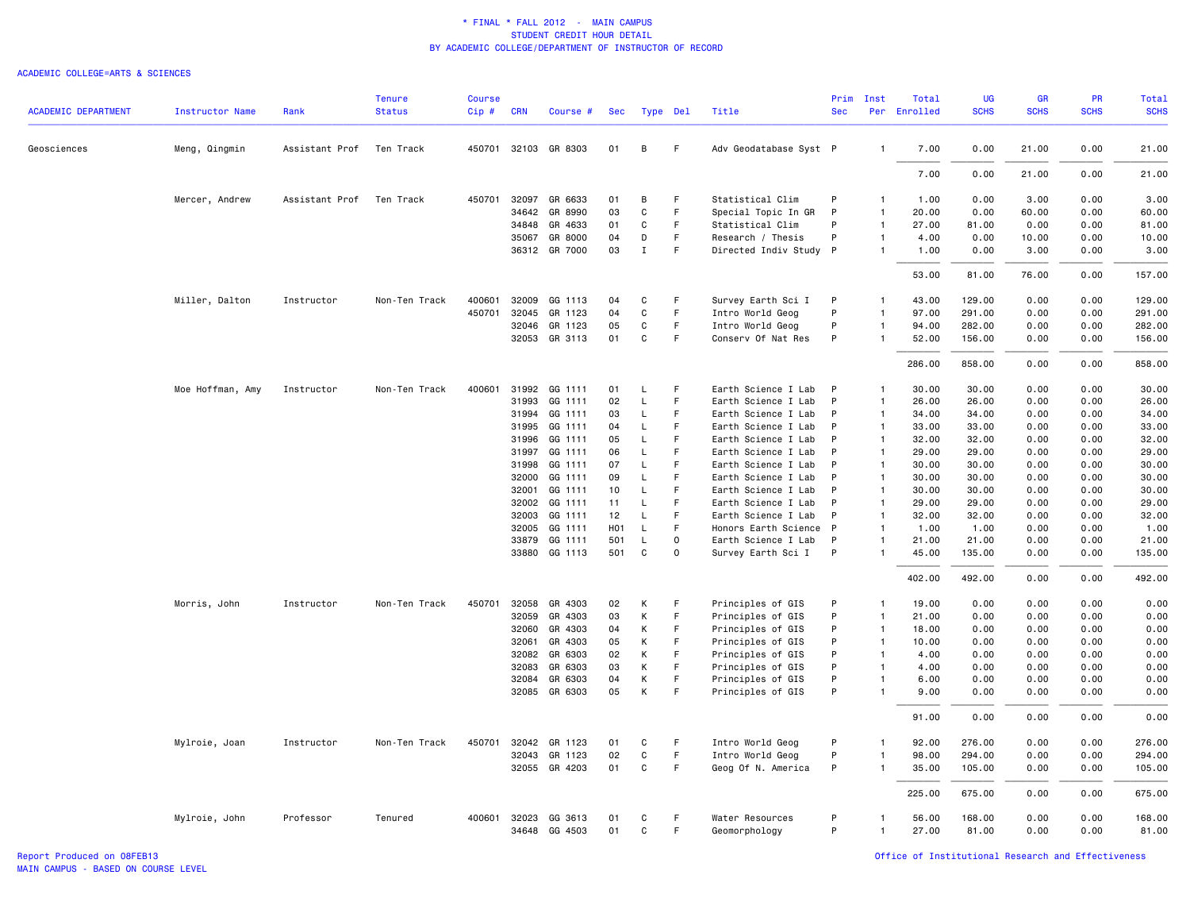|                            |                        |                | <b>Tenure</b> | Course |                |                      |                  |              |          |                                            | Prim         | Inst                         | Total          | <b>UG</b>      | <b>GR</b>    | PR           | Total          |
|----------------------------|------------------------|----------------|---------------|--------|----------------|----------------------|------------------|--------------|----------|--------------------------------------------|--------------|------------------------------|----------------|----------------|--------------|--------------|----------------|
| <b>ACADEMIC DEPARTMENT</b> | <b>Instructor Name</b> | Rank           | <b>Status</b> | Cip#   | <b>CRN</b>     | Course #             | <b>Sec</b>       |              | Type Del | Title                                      | <b>Sec</b>   |                              | Per Enrolled   | <b>SCHS</b>    | <b>SCHS</b>  | <b>SCHS</b>  | <b>SCHS</b>    |
| Geosciences                | Meng, Qingmin          | Assistant Prof | Ten Track     |        |                | 450701 32103 GR 8303 | 01               | B            | F.       | Adv Geodatabase Syst P                     |              | $\mathbf{1}$                 | 7.00           | 0.00           | 21.00        | 0.00         | 21.00          |
|                            |                        |                |               |        |                |                      |                  |              |          |                                            |              |                              | 7.00           | 0.00           | 21.00        | 0.00         | 21.00          |
|                            | Mercer, Andrew         | Assistant Prof | Ten Track     | 450701 | 32097          | GR 6633              | 01               | B            | F.       | Statistical Clim                           | P            | $\mathbf{1}$                 | 1.00           | 0.00           | 3.00         | 0.00         | 3.00           |
|                            |                        |                |               |        | 34642          | GR 8990              | 03               | C            | F.       | Special Topic In GR                        | P            | $\mathbf{1}$                 | 20.00          | 0.00           | 60.00        | 0.00         | 60.00          |
|                            |                        |                |               |        | 34848          | GR 4633              | 01               | C            | F        | Statistical Clim                           | P            | 1                            | 27.00          | 81.00          | 0.00         | 0.00         | 81.00          |
|                            |                        |                |               |        | 35067          | GR 8000              | 04               | D            | F.       | Research / Thesis                          | P            | $\mathbf{1}$                 | 4.00           | 0.00           | 10.00        | 0.00         | 10.00          |
|                            |                        |                |               |        | 36312          | GR 7000              | 03               | $\mathbf{I}$ | F        | Directed Indiv Study P                     |              | $\mathbf{1}$                 | 1.00           | 0.00           | 3.00         | 0.00         | 3.00           |
|                            |                        |                |               |        |                |                      |                  |              |          |                                            |              |                              | 53.00          | 81.00          | 76.00        | 0.00         | 157.00         |
|                            | Miller, Dalton         | Instructor     | Non-Ten Track | 400601 | 32009          | GG 1113              | 04               | C            | F        | Survey Earth Sci I                         | P            | $\mathbf{1}$                 | 43.00          | 129.00         | 0.00         | 0.00         | 129.00         |
|                            |                        |                |               | 450701 | 32045          | GR 1123              | 04               | C            | F        | Intro World Geog                           | P            | $\mathbf{1}$                 | 97.00          | 291.00         | 0.00         | 0.00         | 291.00         |
|                            |                        |                |               |        | 32046          | GR 1123              | 05<br>01         | C<br>C       | F<br>F   | Intro World Geog                           | P<br>P       | $\mathbf{1}$<br>1            | 94.00          | 282.00         | 0.00         | 0.00         | 282.00         |
|                            |                        |                |               |        |                | 32053 GR 3113        |                  |              |          | Conserv Of Nat Res                         |              |                              | 52.00          | 156.00         | 0.00         | 0.00         | 156.00         |
|                            |                        |                |               |        |                |                      |                  |              |          |                                            |              |                              | 286.00         | 858.00         | 0.00         | 0.00         | 858.00         |
|                            | Moe Hoffman, Amy       | Instructor     | Non-Ten Track | 400601 | 31992          | GG 1111              | 01               | L            | F        | Earth Science I Lab                        | $\mathsf{P}$ | $\mathbf{1}$                 | 30.00          | 30.00          | 0.00         | 0.00         | 30.00          |
|                            |                        |                |               |        | 31993          | GG 1111              | 02               | L            | F        | Earth Science I Lab                        | P            | $\mathbf{1}$                 | 26.00          | 26.00          | 0.00         | 0.00         | 26.00          |
|                            |                        |                |               |        | 31994          | GG 1111              | 03               | L            | F        | Earth Science I Lab                        | P            | $\mathbf{1}$                 | 34.00          | 34.00          | 0.00         | 0.00         | 34.00          |
|                            |                        |                |               |        | 31995          | GG 1111              | 04               | L            | F.       | Earth Science I Lab                        | P            | $\mathbf{1}$                 | 33.00          | 33.00          | 0.00         | 0.00         | 33.00          |
|                            |                        |                |               |        | 31996          | GG 1111              | 05               | L            | F        | Earth Science I Lab                        | P            | $\mathbf{1}$                 | 32.00          | 32.00          | 0.00         | 0.00         | 32.00          |
|                            |                        |                |               |        | 31997          | GG 1111              | 06               | L            | F        | Earth Science I Lab                        | P            | $\mathbf{1}$                 | 29.00          | 29.00          | 0.00         | 0.00         | 29.00          |
|                            |                        |                |               |        | 31998          | GG 1111              | 07               | L            | F<br>F.  | Earth Science I Lab                        | P<br>P       | $\mathbf{1}$<br>$\mathbf{1}$ | 30.00          | 30.00          | 0.00         | 0.00<br>0.00 | 30.00          |
|                            |                        |                |               |        | 32000<br>32001 | GG 1111<br>GG 1111   | 09<br>10         | L<br>L       | F        | Earth Science I Lab<br>Earth Science I Lab | P            | $\mathbf{1}$                 | 30.00<br>30.00 | 30.00<br>30.00 | 0.00<br>0.00 | 0.00         | 30.00<br>30.00 |
|                            |                        |                |               |        | 32002          | GG 1111              | 11               | L            | F        | Earth Science I Lab                        | P            | $\mathbf{1}$                 | 29.00          | 29.00          | 0.00         | 0.00         | 29.00          |
|                            |                        |                |               |        | 32003          | GG 1111              | 12               | L            | F        | Earth Science I Lab                        | P            | 1                            | 32.00          | 32.00          | 0.00         | 0.00         | 32.00          |
|                            |                        |                |               |        | 32005          | GG 1111              | H <sub>0</sub> 1 | $\mathsf L$  | F.       | Honors Earth Science P                     |              | $\mathbf{1}$                 | 1.00           | 1.00           | 0.00         | 0.00         | 1.00           |
|                            |                        |                |               |        | 33879          | GG 1111              | 501              | L            | 0        | Earth Science I Lab                        | $\mathsf{P}$ | $\mathbf{1}$                 | 21.00          | 21.00          | 0.00         | 0.00         | 21.00          |
|                            |                        |                |               |        |                | 33880 GG 1113        | 501              | $\mathtt{C}$ | $\Omega$ | Survey Earth Sci I                         | P            | $\mathbf{1}$                 | 45.00          | 135.00         | 0.00         | 0.00         | 135.00         |
|                            |                        |                |               |        |                |                      |                  |              |          |                                            |              |                              | 402.00         | 492.00         | 0.00         | 0.00         | 492.00         |
|                            | Morris, John           | Instructor     | Non-Ten Track | 450701 | 32058          | GR 4303              | 02               | К            | F        | Principles of GIS                          | P            | 1                            | 19.00          | 0.00           | 0.00         | 0.00         | 0.00           |
|                            |                        |                |               |        | 32059          | GR 4303              | 03               | K            | F        | Principles of GIS                          | P            | $\mathbf{1}$                 | 21.00          | 0.00           | 0.00         | 0.00         | 0.00           |
|                            |                        |                |               |        | 32060          | GR 4303              | 04               | K            | F        | Principles of GIS                          | P            | $\overline{1}$               | 18.00          | 0.00           | 0.00         | 0.00         | 0.00           |
|                            |                        |                |               |        | 32061          | GR 4303              | 05               | К            | F.       | Principles of GIS                          | P            | $\mathbf{1}$                 | 10.00          | 0.00           | 0.00         | 0.00         | 0.00           |
|                            |                        |                |               |        | 32082          | GR 6303              | 02               | К            | F        | Principles of GIS                          | P            | $\mathbf{1}$                 | 4.00           | 0.00           | 0.00         | 0.00         | 0.00           |
|                            |                        |                |               |        | 32083          | GR 6303              | 03               | К            | F.       | Principles of GIS                          | P            | 1                            | 4.00           | 0.00           | 0.00         | 0.00         | 0.00           |
|                            |                        |                |               |        | 32084          | GR 6303              | 04               | К            | F        | Principles of GIS                          | P            | 1                            | 6.00           | 0.00           | 0.00         | 0.00         | 0.00           |
|                            |                        |                |               |        | 32085          | GR 6303              | 05               | K            | F        | Principles of GIS                          | P            | $\mathbf{1}$                 | 9.00           | 0.00           | 0.00         | 0.00         | 0.00           |
|                            |                        |                |               |        |                |                      |                  |              |          |                                            |              |                              | 91.00          | 0.00           | 0.00         | 0.00         | 0.00           |
|                            | Mylroie, Joan          | Instructor     | Non-Ten Track | 450701 | 32042          | GR 1123              | 01               | C            | F.       | Intro World Geog                           | P            | 1                            | 92.00          | 276.00         | 0.00         | 0.00         | 276.00         |
|                            |                        |                |               |        | 32043          | GR 1123              | 02               | C            | F        | Intro World Geog                           | P            | $\mathbf{1}$                 | 98.00          | 294.00         | 0.00         | 0.00         | 294.00         |
|                            |                        |                |               |        |                | 32055 GR 4203        | 01               | $\mathtt{C}$ | F        | Geog Of N. America                         | P            | $\mathbf{1}$                 | 35.00          | 105.00         | 0.00         | 0.00         | 105.00         |
|                            |                        |                |               |        |                |                      |                  |              |          |                                            |              |                              | 225.00         | 675.00         | 0.00         | 0.00         | 675.00         |
|                            | Mylroie, John          | Professor      | Tenured       |        | 400601 32023   | GG 3613              | 01               | C            | F        | Water Resources                            | P            | $\mathbf{1}$                 | 56.00          | 168.00         | 0.00         | 0.00         | 168.00         |
|                            |                        |                |               |        |                | 34648 GG 4503        | 01               | C            | F        | Geomorphology                              | P            | $\mathbf{1}$                 | 27.00          | 81.00          | 0.00         | 0.00         | 81.00          |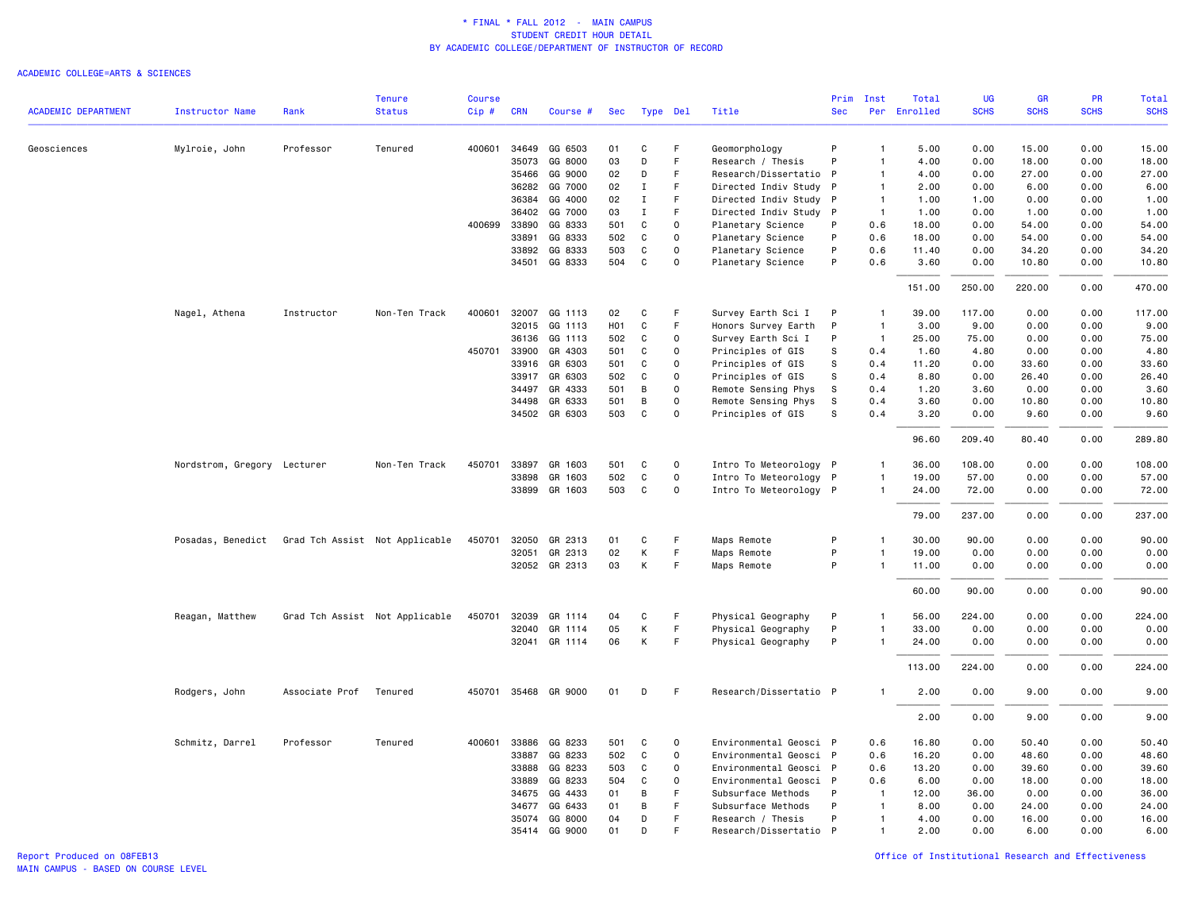|                            |                             |                | <b>Tenure</b>                  | Course |            |                      |                  |              |             |                        | Prim         | Inst           | Total    | <b>UG</b>   | <b>GR</b>   | <b>PR</b>   | Total       |
|----------------------------|-----------------------------|----------------|--------------------------------|--------|------------|----------------------|------------------|--------------|-------------|------------------------|--------------|----------------|----------|-------------|-------------|-------------|-------------|
| <b>ACADEMIC DEPARTMENT</b> | <b>Instructor Name</b>      | Rank           | <b>Status</b>                  | Cip#   | <b>CRN</b> | Course #             | Sec              | Type Del     |             | Title                  | Sec          | Per            | Enrolled | <b>SCHS</b> | <b>SCHS</b> | <b>SCHS</b> | <b>SCHS</b> |
| Geosciences                | Mylroie, John               | Professor      | Tenured                        | 400601 | 34649      | GG 6503              | 01               | C            | F           | Geomorphology          | P            | $\overline{1}$ | 5.00     | 0.00        | 15.00       | 0.00        | 15.00       |
|                            |                             |                |                                |        | 35073      | GG 8000              | 03               | D            | F           | Research / Thesis      | P            | $\overline{1}$ | 4.00     | 0.00        | 18.00       | 0.00        | 18.00       |
|                            |                             |                |                                |        | 35466      | GG 9000              | 02               | D            | F           | Research/Dissertatio   | P            | $\mathbf{1}$   | 4.00     | 0.00        | 27.00       | 0.00        | 27.00       |
|                            |                             |                |                                |        | 36282      | GG 7000              | 02               | Ι.           | F           | Directed Indiv Study   | P            | $\overline{1}$ | 2.00     | 0.00        | 6.00        | 0.00        | 6.00        |
|                            |                             |                |                                |        | 36384      | GG 4000              | 02               | $\mathbf I$  | F           | Directed Indiv Study   | P            | $\overline{1}$ | 1.00     | 1.00        | 0.00        | 0.00        | 1.00        |
|                            |                             |                |                                |        | 36402      | GG 7000              | 03               | $\mathbf I$  | F           | Directed Indiv Study   | P            | $\overline{1}$ | 1.00     | 0.00        | 1.00        | 0.00        | 1.00        |
|                            |                             |                |                                | 400699 | 33890      | GG 8333              | 501              | $\mathbf C$  | 0           | Planetary Science      | P            | 0.6            | 18.00    | 0.00        | 54.00       | 0.00        | 54.00       |
|                            |                             |                |                                |        | 33891      | GG 8333              | 502              | C            | $\mathbf 0$ | Planetary Science      | P            | 0.6            | 18.00    | 0.00        | 54.00       | 0.00        | 54.00       |
|                            |                             |                |                                |        | 33892      | GG 8333              | 503              | C            | 0           | Planetary Science      | P            | 0.6            | 11.40    | 0.00        | 34.20       | 0.00        | 34.20       |
|                            |                             |                |                                |        | 34501      | GG 8333              | 504              | C            | $\mathbf 0$ | Planetary Science      | P            | 0.6            | 3.60     | 0.00        | 10.80       | 0.00        | 10.80       |
|                            |                             |                |                                |        |            |                      |                  |              |             |                        |              |                | 151.00   | 250.00      | 220.00      | 0.00        | 470.00      |
|                            | Nagel, Athena               | Instructor     | Non-Ten Track                  | 400601 | 32007      | GG 1113              | 02               | C            | F           | Survey Earth Sci I     | P            | -1             | 39.00    | 117.00      | 0.00        | 0.00        | 117.00      |
|                            |                             |                |                                |        | 32015      | GG 1113              | H <sub>0</sub> 1 | C            | F.          | Honors Survey Earth    | P            | $\overline{1}$ | 3.00     | 9.00        | 0.00        | 0.00        | 9.00        |
|                            |                             |                |                                |        | 36136      | GG 1113              | 502              | C            | $\Omega$    | Survey Earth Sci I     | P            | $\overline{1}$ | 25.00    | 75.00       | 0.00        | 0.00        | 75.00       |
|                            |                             |                |                                | 450701 | 33900      | GR 4303              | 501              | C            | 0           | Principles of GIS      | s            | 0.4            | 1.60     | 4.80        | 0.00        | 0.00        | 4.80        |
|                            |                             |                |                                |        | 33916      | GR 6303              | 501              | C            | $\Omega$    | Principles of GIS      | s            | 0.4            | 11.20    | 0.00        | 33.60       | 0.00        | 33.60       |
|                            |                             |                |                                |        | 33917      | GR 6303              | 502              | C            | 0           | Principles of GIS      | s            | 0.4            | 8.80     | 0.00        | 26.40       | 0.00        | 26.40       |
|                            |                             |                |                                |        | 34497      | GR 4333              | 501              | B            | $\Omega$    | Remote Sensing Phys    | s            | 0.4            | 1.20     | 3.60        | 0.00        | 0.00        | 3.60        |
|                            |                             |                |                                |        | 34498      | GR 6333              | 501              | B            | $\mathbf 0$ | Remote Sensing Phys    | S            | 0.4            | 3.60     | 0.00        | 10.80       | 0.00        | 10.80       |
|                            |                             |                |                                |        |            | 34502 GR 6303        | 503              | C            | $\Omega$    | Principles of GIS      | s            | 0.4            | 3.20     | 0.00        | 9.60        | 0.00        | 9.60        |
|                            |                             |                |                                |        |            |                      |                  |              |             |                        |              |                | 96.60    | 209.40      | 80.40       | 0.00        | 289.80      |
|                            | Nordstrom, Gregory Lecturer |                | Non-Ten Track                  | 450701 | 33897      | GR 1603              | 501              | C            | $\mathbf 0$ | Intro To Meteorology P |              | $\mathbf{1}$   | 36.00    | 108.00      | 0.00        | 0.00        | 108.00      |
|                            |                             |                |                                |        | 33898      | GR 1603              | 502              | $\mathtt{C}$ | $\mathsf 0$ | Intro To Meteorology P |              | $\overline{1}$ | 19.00    | 57.00       | 0.00        | 0.00        | 57.00       |
|                            |                             |                |                                |        | 33899      | GR 1603              | 503              | $\mathbf C$  | 0           | Intro To Meteorology P |              | $\mathbf{1}$   | 24.00    | 72.00       | 0.00        | 0.00        | 72.00       |
|                            |                             |                |                                |        |            |                      |                  |              |             |                        |              |                | 79.00    | 237.00      | 0.00        | 0.00        | 237.00      |
|                            | Posadas, Benedict           |                | Grad Tch Assist Not Applicable | 450701 | 32050      | GR 2313              | 01               | C            | F           | Maps Remote            | P            | $\overline{1}$ | 30.00    | 90.00       | 0.00        | 0.00        | 90.00       |
|                            |                             |                |                                |        | 32051      | GR 2313              | 02               | К            | F           | Maps Remote            | P            | $\overline{1}$ | 19.00    | 0.00        | 0.00        | 0.00        | 0.00        |
|                            |                             |                |                                |        |            | 32052 GR 2313        | 03               | К            | F           | Maps Remote            | P            | $\overline{1}$ | 11.00    | 0.00        | 0.00        | 0.00        | 0.00        |
|                            |                             |                |                                |        |            |                      |                  |              |             |                        |              |                | 60.00    | 90.00       | 0.00        | 0.00        | 90.00       |
|                            | Reagan, Matthew             |                | Grad Tch Assist Not Applicable | 450701 | 32039      | GR 1114              | 04               | C            | F           | Physical Geography     | P            | $\overline{1}$ | 56.00    | 224.00      | 0.00        | 0.00        | 224.00      |
|                            |                             |                |                                |        | 32040      | GR 1114              | 05               | К            | F.          | Physical Geography     | P            | $\overline{1}$ | 33.00    | 0.00        | 0.00        | 0.00        | 0.00        |
|                            |                             |                |                                |        |            | 32041 GR 1114        | 06               | К            | F           | Physical Geography     | P            | $\overline{1}$ | 24.00    | 0.00        | 0.00        | 0.00        | 0.00        |
|                            |                             |                |                                |        |            |                      |                  |              |             |                        |              |                | 113.00   | 224.00      | 0.00        | 0.00        | 224.00      |
|                            | Rodgers, John               | Associate Prof | Tenured                        |        |            | 450701 35468 GR 9000 | 01               | D            | F           | Research/Dissertatio P |              | $\mathbf 1$    | 2.00     | 0.00        | 9.00        | 0.00        | 9.00        |
|                            |                             |                |                                |        |            |                      |                  |              |             |                        |              |                | 2.00     | 0.00        | 9.00        | 0.00        | 9.00        |
|                            | Schmitz, Darrel             | Professor      | Tenured                        | 400601 | 33886      | GG 8233              | 501              | C            | 0           | Environmental Geosci P |              | 0.6            | 16.80    | 0.00        | 50.40       | 0.00        | 50.40       |
|                            |                             |                |                                |        | 33887      | GG 8233              | 502              | C            | 0           | Environmental Geosci   | $\mathsf{P}$ | 0.6            | 16.20    | 0.00        | 48.60       | 0.00        | 48.60       |
|                            |                             |                |                                |        | 33888      | GG 8233              | 503              | C            | $\mathbf 0$ | Environmental Geosci   | P            | 0.6            | 13.20    | 0.00        | 39.60       | 0.00        | 39.60       |
|                            |                             |                |                                |        | 33889      | GG 8233              | 504              | C            | 0           | Environmental Geosci   | P            | 0.6            | 6.00     | 0.00        | 18.00       | 0.00        | 18.00       |
|                            |                             |                |                                |        | 34675      | GG 4433              | 01               | B            | F           | Subsurface Methods     | P            | $\overline{1}$ | 12.00    | 36.00       | 0.00        | 0.00        | 36.00       |
|                            |                             |                |                                |        | 34677      | GG 6433              | 01               | В            | F           | Subsurface Methods     | P            | $\overline{1}$ | 8.00     | 0.00        | 24.00       | 0.00        | 24.00       |
|                            |                             |                |                                |        | 35074      | GG 8000              | 04               | D            | F           | Research / Thesis      | P            | $\overline{1}$ | 4.00     | 0.00        | 16.00       | 0.00        | 16.00       |
|                            |                             |                |                                |        |            | 35414 GG 9000        | 01               | D            | F           | Research/Dissertatio   | P            | $\overline{1}$ | 2.00     | 0.00        | 6.00        | 0.00        | 6.00        |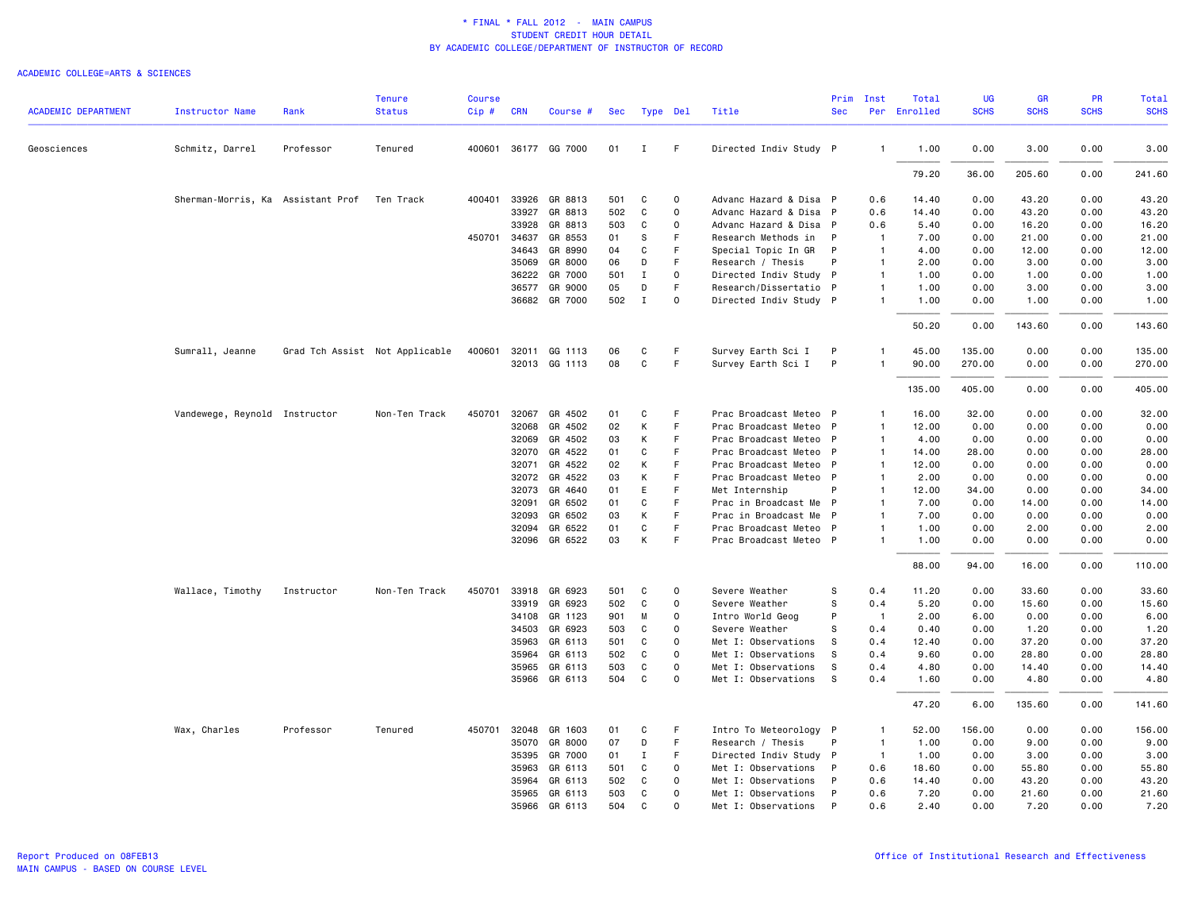| <b>ACADEMIC DEPARTMENT</b> | Instructor Name                   | Rank       | <b>Tenure</b><br><b>Status</b> | <b>Course</b><br>Cip# | <b>CRN</b>     | Course #             | Sec       |                  | Type Del    | Title                                       | Prim<br><b>Sec</b> | Inst                           | Total<br>Per Enrolled | <b>UG</b><br><b>SCHS</b> | <b>GR</b><br><b>SCHS</b> | PR<br><b>SCHS</b> | <b>Total</b><br><b>SCHS</b> |
|----------------------------|-----------------------------------|------------|--------------------------------|-----------------------|----------------|----------------------|-----------|------------------|-------------|---------------------------------------------|--------------------|--------------------------------|-----------------------|--------------------------|--------------------------|-------------------|-----------------------------|
|                            |                                   |            |                                |                       |                |                      |           |                  |             |                                             |                    |                                |                       |                          |                          |                   |                             |
| Geosciences                | Schmitz, Darrel                   | Professor  | Tenured                        |                       |                | 400601 36177 GG 7000 | 01        | $\mathbf{I}$     | F.          | Directed Indiv Study P                      |                    | $\mathbf{1}$                   | 1.00                  | 0.00                     | 3.00                     | 0.00              | 3.00                        |
|                            |                                   |            |                                |                       |                |                      |           |                  |             |                                             |                    |                                | 79.20                 | 36.00                    | 205.60                   | 0.00              | 241.60                      |
|                            | Sherman-Morris, Ka Assistant Prof |            | Ten Track                      | 400401                | 33926          | GR 8813              | 501       | C                | $\Omega$    | Advanc Hazard & Disa P                      |                    | 0.6                            | 14.40                 | 0.00                     | 43.20                    | 0.00              | 43.20                       |
|                            |                                   |            |                                |                       | 33927          | GR 8813              | 502       | C                | $\mathbf 0$ | Advanc Hazard & Disa P                      |                    | 0.6                            | 14.40                 | 0.00                     | 43.20                    | 0.00              | 43.20                       |
|                            |                                   |            |                                |                       | 33928          | GR 8813              | 503       | C                | $\Omega$    | Advanc Hazard & Disa P                      |                    | 0.6                            | 5.40                  | 0.00                     | 16.20                    | 0.00              | 16.20                       |
|                            |                                   |            |                                |                       | 450701 34637   | GR 8553              | 01<br>04  | S                | F<br>F      | Research Methods in                         | $\mathsf{P}$       | $\overline{1}$                 | 7.00                  | 0.00                     | 21.00                    | 0.00              | 21.00                       |
|                            |                                   |            |                                |                       | 34643          | GR 8990              |           | C                | F           | Special Topic In GR                         | $\mathsf{P}$<br>P  | $\overline{1}$                 | 4.00                  | 0.00                     | 12.00                    | 0.00              | 12.00                       |
|                            |                                   |            |                                |                       | 35069<br>36222 | GR 8000<br>GR 7000   | 06<br>501 | D<br>$\mathbf I$ | $\Omega$    | Research / Thesis<br>Directed Indiv Study P |                    | $\mathbf{1}$<br>$\mathbf{1}$   | 2.00<br>1.00          | 0.00<br>0.00             | 3.00<br>1.00             | 0.00<br>0.00      | 3.00<br>1.00                |
|                            |                                   |            |                                |                       | 36577          | GR 9000              | 05        | D                | F           | Research/Dissertatio P                      |                    | $\mathbf{1}$                   | 1.00                  | 0.00                     | 3.00                     | 0.00              | 3.00                        |
|                            |                                   |            |                                |                       | 36682          | GR 7000              | 502       | $\mathbf{I}$     | $\Omega$    | Directed Indiv Study P                      |                    | $\mathbf{1}$                   | 1.00                  | 0.00                     | 1.00                     | 0.00              | 1.00                        |
|                            |                                   |            |                                |                       |                |                      |           |                  |             |                                             |                    |                                | 50.20                 | 0.00                     | 143.60                   | 0.00              | 143.60                      |
|                            | Sumrall, Jeanne                   |            | Grad Tch Assist Not Applicable | 400601                | 32011          | GG 1113              | 06        | C                | F.          | Survey Earth Sci I                          | P                  | $\mathbf{1}$                   | 45.00                 | 135.00                   | 0.00                     | 0.00              | 135.00                      |
|                            |                                   |            |                                |                       |                | 32013 GG 1113        | 08        | C                | F.          | Survey Earth Sci I                          | P                  | $\mathbf{1}$                   | 90.00                 | 270.00                   | 0.00                     | 0.00              | 270.00                      |
|                            |                                   |            |                                |                       |                |                      |           |                  |             |                                             |                    |                                | 135.00                | 405.00                   | 0.00                     | 0.00              | 405.00                      |
|                            | Vandewege, Reynold Instructor     |            | Non-Ten Track                  | 450701                |                | 32067 GR 4502        | 01        | C                | F           | Prac Broadcast Meteo P                      |                    | $\mathbf{1}$                   | 16.00                 | 32.00                    | 0.00                     | 0.00              | 32.00                       |
|                            |                                   |            |                                |                       | 32068          | GR 4502              | 02        | К                | F           | Prac Broadcast Meteo                        | - P                | $\mathbf{1}$                   | 12.00                 | 0.00                     | 0.00                     | 0.00              | 0.00                        |
|                            |                                   |            |                                |                       | 32069          | GR 4502              | 03        | К                | F           | Prac Broadcast Meteo P                      |                    | $\overline{1}$                 | 4.00                  | 0.00                     | 0.00                     | 0.00              | 0.00                        |
|                            |                                   |            |                                |                       | 32070          | GR 4522              | 01        | C                | F.          | Prac Broadcast Meteo P                      |                    | $\overline{1}$                 | 14.00                 | 28.00                    | 0.00                     | 0.00              | 28.00                       |
|                            |                                   |            |                                |                       | 32071          | GR 4522              | 02        | К                | F           | Prac Broadcast Meteo                        | $\mathsf{P}$       | $\mathbf{1}$                   | 12.00                 | 0.00                     | 0.00                     | 0.00              | 0.00                        |
|                            |                                   |            |                                |                       |                | 32072 GR 4522        | 03        | K                | F           | Prac Broadcast Meteo P                      |                    | $\mathbf{1}$                   | 2.00                  | 0.00                     | 0.00                     | 0.00              | 0.00                        |
|                            |                                   |            |                                |                       | 32073<br>32091 | GR 4640<br>GR 6502   | 01<br>01  | E<br>C           | F<br>F      | Met Internship<br>Prac in Broadcast Me P    | P                  | $\mathbf{1}$<br>$\overline{1}$ | 12.00<br>7.00         | 34.00<br>0.00            | 0.00<br>14.00            | 0.00<br>0.00      | 34.00<br>14.00              |
|                            |                                   |            |                                |                       | 32093          | GR 6502              | 03        | K                | F           | Prac in Broadcast Me                        | $\mathsf{P}$       | $\mathbf{1}$                   | 7.00                  | 0.00                     | 0.00                     | 0.00              | 0.00                        |
|                            |                                   |            |                                |                       | 32094          | GR 6522              | 01        | C                | F           | Prac Broadcast Meteo                        | $\mathsf{P}$       | 1                              | 1.00                  | 0.00                     | 2.00                     | 0.00              | 2.00                        |
|                            |                                   |            |                                |                       |                | 32096 GR 6522        | 03        | К                | F           | Prac Broadcast Meteo P                      |                    | $\mathbf{1}$                   | 1.00                  | 0.00                     | 0.00                     | 0.00              | 0.00                        |
|                            |                                   |            |                                |                       |                |                      |           |                  |             |                                             |                    |                                | 88.00                 | 94.00                    | 16.00                    | 0.00              | 110.00                      |
|                            | Wallace, Timothy                  | Instructor | Non-Ten Track                  | 450701                | 33918          | GR 6923              | 501       | C                | $\mathbf 0$ | Severe Weather                              | S                  | 0.4                            | 11.20                 | 0.00                     | 33.60                    | 0.00              | 33.60                       |
|                            |                                   |            |                                |                       | 33919          | GR 6923              | 502       | C                | $\Omega$    | Severe Weather                              | s                  | 0.4                            | 5.20                  | 0.00                     | 15.60                    | 0.00              | 15.60                       |
|                            |                                   |            |                                |                       | 34108          | GR 1123              | 901       | M                | $\Omega$    | Intro World Geog                            | P                  | $\overline{1}$                 | 2.00                  | 6.00                     | 0.00                     | 0.00              | 6.00                        |
|                            |                                   |            |                                |                       | 34503          | GR 6923              | 503       | C                | $\Omega$    | Severe Weather                              | s                  | 0.4                            | 0.40                  | 0.00                     | 1.20                     | 0.00              | 1.20                        |
|                            |                                   |            |                                |                       | 35963          | GR 6113              | 501       | C                | $\Omega$    | Met I: Observations                         | s                  | 0.4                            | 12.40                 | 0.00                     | 37.20                    | 0.00              | 37.20                       |
|                            |                                   |            |                                |                       | 35964          | GR 6113              | 502       | C                | 0           | Met I: Observations                         | S                  | 0.4                            | 9.60                  | 0.00                     | 28.80                    | 0.00              | 28.80                       |
|                            |                                   |            |                                |                       | 35965          | GR 6113              | 503       | C                | $\Omega$    | Met I: Observations                         | S                  | 0.4                            | 4.80                  | 0.00                     | 14.40                    | 0.00              | 14.40                       |
|                            |                                   |            |                                |                       |                | 35966 GR 6113        | 504       | C                | $\Omega$    | Met I: Observations                         | - S                | 0.4                            | 1.60                  | 0.00                     | 4.80                     | 0.00              | 4.80                        |
|                            |                                   |            |                                |                       |                |                      |           |                  |             |                                             |                    |                                | 47.20                 | 6.00                     | 135.60                   | 0.00              | 141.60                      |
|                            | Wax, Charles                      | Professor  | Tenured                        | 450701                | 32048          | GR 1603              | 01        | C                | F           | Intro To Meteorology P                      |                    | $\overline{1}$                 | 52.00                 | 156.00                   | 0.00                     | 0.00              | 156.00                      |
|                            |                                   |            |                                |                       |                | 35070 GR 8000        | 07        | D                | F           | Research / Thesis                           | P                  | $\overline{1}$                 | 1.00                  | 0.00                     | 9.00                     | 0.00              | 9.00                        |
|                            |                                   |            |                                |                       | 35395          | GR 7000              | 01        | $\mathbf I$      | F           | Directed Indiv Study P                      |                    | $\overline{1}$                 | 1.00                  | 0.00                     | 3.00                     | 0.00              | 3.00                        |
|                            |                                   |            |                                |                       | 35963          | GR 6113              | 501       | C                | $\mathbf 0$ | Met I: Observations                         | $\mathsf{P}$       | 0.6                            | 18.60                 | 0.00                     | 55.80                    | 0.00              | 55.80                       |
|                            |                                   |            |                                |                       | 35964          | GR 6113              | 502       | C                | $\mathbf 0$ | Met I: Observations                         | P                  | 0.6                            | 14.40                 | 0.00                     | 43.20                    | 0.00              | 43.20                       |
|                            |                                   |            |                                |                       | 35965          | GR 6113              | 503       | C                | $\Omega$    | Met I: Observations                         | P                  | 0.6                            | 7.20                  | 0.00                     | 21.60                    | 0.00              | 21.60                       |
|                            |                                   |            |                                |                       |                | 35966 GR 6113        | 504       | C                | $\Omega$    | Met I: Observations                         | P                  | 0.6                            | 2.40                  | 0.00                     | 7.20                     | 0.00              | 7.20                        |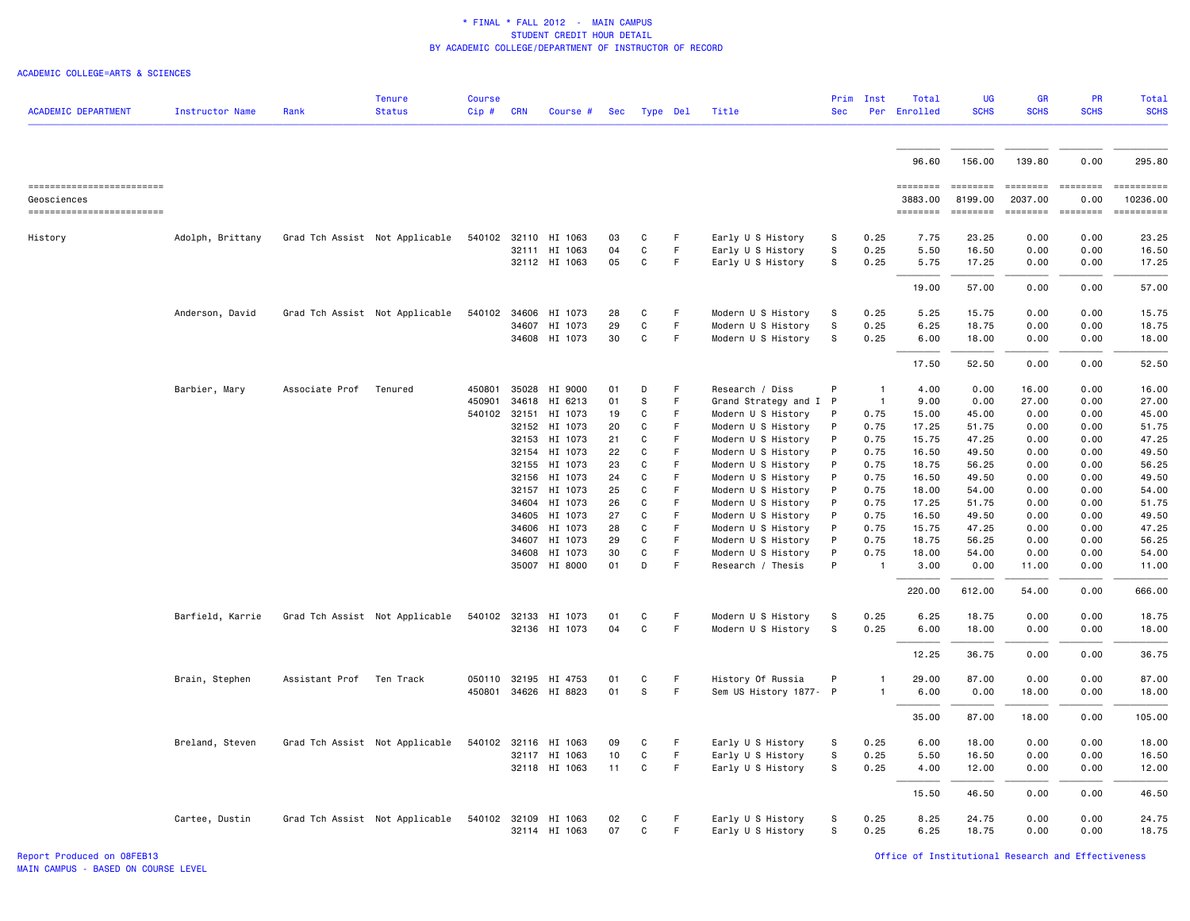#### ACADEMIC COLLEGE=ARTS & SCIENCES

| <b>ACADEMIC DEPARTMENT</b>               | <b>Instructor Name</b> | Rank                     | <b>Tenure</b><br><b>Status</b> | <b>Course</b><br>Cip# | <b>CRN</b> | Course #                              | Sec      |        | Type Del | Title                                    | Prim<br><b>Sec</b> | Inst           | Total<br>Per Enrolled | UG<br><b>SCHS</b>                                                                                                                                                                                                                                                                                                                                                                                                                                                                      | <b>GR</b><br><b>SCHS</b>                                                                                                                                                                                                                                                                                                                                                                                                                                                                          | <b>PR</b><br><b>SCHS</b> | Total<br><b>SCHS</b>                                                                                                                                                                                                                                                                                                                                                                                                                 |
|------------------------------------------|------------------------|--------------------------|--------------------------------|-----------------------|------------|---------------------------------------|----------|--------|----------|------------------------------------------|--------------------|----------------|-----------------------|----------------------------------------------------------------------------------------------------------------------------------------------------------------------------------------------------------------------------------------------------------------------------------------------------------------------------------------------------------------------------------------------------------------------------------------------------------------------------------------|---------------------------------------------------------------------------------------------------------------------------------------------------------------------------------------------------------------------------------------------------------------------------------------------------------------------------------------------------------------------------------------------------------------------------------------------------------------------------------------------------|--------------------------|--------------------------------------------------------------------------------------------------------------------------------------------------------------------------------------------------------------------------------------------------------------------------------------------------------------------------------------------------------------------------------------------------------------------------------------|
|                                          |                        |                          |                                |                       |            |                                       |          |        |          |                                          |                    |                |                       |                                                                                                                                                                                                                                                                                                                                                                                                                                                                                        |                                                                                                                                                                                                                                                                                                                                                                                                                                                                                                   |                          |                                                                                                                                                                                                                                                                                                                                                                                                                                      |
|                                          |                        |                          |                                |                       |            |                                       |          |        |          |                                          |                    |                | 96.60                 | 156.00                                                                                                                                                                                                                                                                                                                                                                                                                                                                                 | 139.80                                                                                                                                                                                                                                                                                                                                                                                                                                                                                            | 0.00                     | 295.80                                                                                                                                                                                                                                                                                                                                                                                                                               |
| ------------------------                 |                        |                          |                                |                       |            |                                       |          |        |          |                                          |                    |                | ========<br>3883.00   | <b>ESSESSE</b><br>8199.00                                                                                                                                                                                                                                                                                                                                                                                                                                                              | $\begin{array}{cccccccccc} \multicolumn{2}{c}{} & \multicolumn{2}{c}{} & \multicolumn{2}{c}{} & \multicolumn{2}{c}{} & \multicolumn{2}{c}{} & \multicolumn{2}{c}{} & \multicolumn{2}{c}{} & \multicolumn{2}{c}{} & \multicolumn{2}{c}{} & \multicolumn{2}{c}{} & \multicolumn{2}{c}{} & \multicolumn{2}{c}{} & \multicolumn{2}{c}{} & \multicolumn{2}{c}{} & \multicolumn{2}{c}{} & \multicolumn{2}{c}{} & \multicolumn{2}{c}{} & \multicolumn{2}{c}{} & \multicolumn{2}{c}{} & \mult$<br>2037.00 | $= 222222222$<br>0.00    | $\begin{minipage}{0.03\linewidth} \hspace*{-0.2cm} \textbf{if} \hspace*{-0.1cm} \textbf{if} \hspace*{-0.1cm} \textbf{if} \hspace*{-0.1cm} \textbf{if} \hspace*{-0.1cm} \textbf{if} \hspace*{-0.1cm} \textbf{if} \hspace*{-0.1cm} \textbf{if} \hspace*{-0.1cm} \textbf{if} \hspace*{-0.1cm} \textbf{if} \hspace*{-0.1cm} \textbf{if} \hspace*{-0.1cm} \textbf{if} \hspace*{-0.1cm} \textbf{if} \hspace*{-0.1cm} \textbf{$<br>10236.00 |
| Geosciences<br>------------------------- |                        |                          |                                |                       |            |                                       |          |        |          |                                          |                    |                | ========              | $\begin{array}{cccccccccc} \multicolumn{2}{c}{} & \multicolumn{2}{c}{} & \multicolumn{2}{c}{} & \multicolumn{2}{c}{} & \multicolumn{2}{c}{} & \multicolumn{2}{c}{} & \multicolumn{2}{c}{} & \multicolumn{2}{c}{} & \multicolumn{2}{c}{} & \multicolumn{2}{c}{} & \multicolumn{2}{c}{} & \multicolumn{2}{c}{} & \multicolumn{2}{c}{} & \multicolumn{2}{c}{} & \multicolumn{2}{c}{} & \multicolumn{2}{c}{} & \multicolumn{2}{c}{} & \multicolumn{2}{c}{} & \multicolumn{2}{c}{} & \mult$ | $= 222222222$                                                                                                                                                                                                                                                                                                                                                                                                                                                                                     | $-$ = = = = = = = =      | ==========                                                                                                                                                                                                                                                                                                                                                                                                                           |
| History                                  | Adolph, Brittany       |                          | Grad Tch Assist Not Applicable |                       |            | 540102 32110 HI 1063<br>32111 HI 1063 | 03<br>04 | C<br>C | F.<br>F  | Early U S History<br>Early U S History   | s<br>S             | 0.25<br>0.25   | 7.75<br>5.50          | 23.25<br>16.50                                                                                                                                                                                                                                                                                                                                                                                                                                                                         | 0.00<br>0.00                                                                                                                                                                                                                                                                                                                                                                                                                                                                                      | 0.00<br>0.00             | 23.25<br>16.50                                                                                                                                                                                                                                                                                                                                                                                                                       |
|                                          |                        |                          |                                |                       |            | 32112 HI 1063                         | 05       | C      | F.       | Early U S History                        | S                  | 0.25           | 5.75                  | 17.25                                                                                                                                                                                                                                                                                                                                                                                                                                                                                  | 0.00                                                                                                                                                                                                                                                                                                                                                                                                                                                                                              | 0.00                     | 17.25                                                                                                                                                                                                                                                                                                                                                                                                                                |
|                                          |                        |                          |                                |                       |            |                                       |          |        |          |                                          |                    |                | 19.00                 | 57.00                                                                                                                                                                                                                                                                                                                                                                                                                                                                                  | 0.00                                                                                                                                                                                                                                                                                                                                                                                                                                                                                              | 0.00                     | 57.00                                                                                                                                                                                                                                                                                                                                                                                                                                |
|                                          | Anderson, David        |                          | Grad Tch Assist Not Applicable | 540102                | 34606      | HI 1073                               | 28       | C      | F.       | Modern U S History                       | s                  | 0.25           | 5.25                  | 15.75                                                                                                                                                                                                                                                                                                                                                                                                                                                                                  | 0.00                                                                                                                                                                                                                                                                                                                                                                                                                                                                                              | 0.00                     | 15.75                                                                                                                                                                                                                                                                                                                                                                                                                                |
|                                          |                        |                          |                                |                       |            | 34607 HI 1073<br>34608 HI 1073        | 29<br>30 | C<br>C | F.<br>F. | Modern U S History<br>Modern U S History | S<br>S             | 0.25<br>0.25   | 6.25<br>6.00          | 18.75<br>18.00                                                                                                                                                                                                                                                                                                                                                                                                                                                                         | 0.00<br>0.00                                                                                                                                                                                                                                                                                                                                                                                                                                                                                      | 0.00<br>0.00             | 18.75<br>18.00                                                                                                                                                                                                                                                                                                                                                                                                                       |
|                                          |                        |                          |                                |                       |            |                                       |          |        |          |                                          |                    |                | 17.50                 | 52.50                                                                                                                                                                                                                                                                                                                                                                                                                                                                                  | 0.00                                                                                                                                                                                                                                                                                                                                                                                                                                                                                              | 0.00                     | 52.50                                                                                                                                                                                                                                                                                                                                                                                                                                |
|                                          | Barbier, Mary          | Associate Prof Tenured   |                                | 450801                |            | 35028 HI 9000                         | 01       | D      | F        | Research / Diss                          | P                  | $\mathbf{1}$   | 4.00                  | 0.00                                                                                                                                                                                                                                                                                                                                                                                                                                                                                   | 16.00                                                                                                                                                                                                                                                                                                                                                                                                                                                                                             | 0.00                     | 16.00                                                                                                                                                                                                                                                                                                                                                                                                                                |
|                                          |                        |                          |                                | 450901                | 34618      | HI 6213                               | 01       | S      | F        | Grand Strategy and I P                   |                    | $\overline{1}$ | 9.00                  | 0.00                                                                                                                                                                                                                                                                                                                                                                                                                                                                                   | 27.00                                                                                                                                                                                                                                                                                                                                                                                                                                                                                             | 0.00                     | 27.00                                                                                                                                                                                                                                                                                                                                                                                                                                |
|                                          |                        |                          |                                | 540102 32151          |            | HI 1073                               | 19       | C      | F        | Modern U S History                       | P                  | 0.75           | 15.00                 | 45.00                                                                                                                                                                                                                                                                                                                                                                                                                                                                                  | 0.00                                                                                                                                                                                                                                                                                                                                                                                                                                                                                              | 0.00                     | 45.00                                                                                                                                                                                                                                                                                                                                                                                                                                |
|                                          |                        |                          |                                |                       | 32152      | HI 1073                               | 20       | C      | F        | Modern U S History                       | P                  | 0.75           | 17.25                 | 51.75                                                                                                                                                                                                                                                                                                                                                                                                                                                                                  | 0.00                                                                                                                                                                                                                                                                                                                                                                                                                                                                                              | 0.00                     | 51.75                                                                                                                                                                                                                                                                                                                                                                                                                                |
|                                          |                        |                          |                                |                       | 32153      | HI 1073                               | 21       | C      | F        | Modern U S History                       | P                  | 0.75           | 15.75                 | 47.25                                                                                                                                                                                                                                                                                                                                                                                                                                                                                  | 0.00                                                                                                                                                                                                                                                                                                                                                                                                                                                                                              | 0.00                     | 47.25                                                                                                                                                                                                                                                                                                                                                                                                                                |
|                                          |                        |                          |                                |                       | 32154      | HI 1073                               | 22       | C      | F        | Modern U S History                       | P                  | 0.75           | 16.50                 | 49.50                                                                                                                                                                                                                                                                                                                                                                                                                                                                                  | 0.00                                                                                                                                                                                                                                                                                                                                                                                                                                                                                              | 0.00                     | 49.50                                                                                                                                                                                                                                                                                                                                                                                                                                |
|                                          |                        |                          |                                |                       | 32155      | HI 1073                               | 23       | C      | F        | Modern U S History                       | P                  | 0.75           | 18.75                 | 56.25                                                                                                                                                                                                                                                                                                                                                                                                                                                                                  | 0.00                                                                                                                                                                                                                                                                                                                                                                                                                                                                                              | 0.00                     | 56.25                                                                                                                                                                                                                                                                                                                                                                                                                                |
|                                          |                        |                          |                                |                       | 32156      | HI 1073                               | 24       | C      | F        | Modern U S History                       | P                  | 0.75           | 16.50                 | 49.50                                                                                                                                                                                                                                                                                                                                                                                                                                                                                  | 0.00                                                                                                                                                                                                                                                                                                                                                                                                                                                                                              | 0.00                     | 49.50                                                                                                                                                                                                                                                                                                                                                                                                                                |
|                                          |                        |                          |                                |                       | 32157      | HI 1073                               | 25       | C      | F        | Modern U S History                       | P                  | 0.75           | 18.00                 | 54.00                                                                                                                                                                                                                                                                                                                                                                                                                                                                                  | 0.00                                                                                                                                                                                                                                                                                                                                                                                                                                                                                              | 0.00                     | 54.00                                                                                                                                                                                                                                                                                                                                                                                                                                |
|                                          |                        |                          |                                |                       | 34604      | HI 1073                               | 26       | C      | F        | Modern U S History                       | P                  | 0.75           | 17.25                 | 51.75                                                                                                                                                                                                                                                                                                                                                                                                                                                                                  | 0.00                                                                                                                                                                                                                                                                                                                                                                                                                                                                                              | 0.00                     | 51.75                                                                                                                                                                                                                                                                                                                                                                                                                                |
|                                          |                        |                          |                                |                       | 34605      | HI 1073                               | 27       | C      | F        | Modern U S History                       | P                  | 0.75           | 16.50                 | 49.50                                                                                                                                                                                                                                                                                                                                                                                                                                                                                  | 0.00                                                                                                                                                                                                                                                                                                                                                                                                                                                                                              | 0.00                     | 49.50                                                                                                                                                                                                                                                                                                                                                                                                                                |
|                                          |                        |                          |                                |                       | 34606      | HI 1073                               | 28       | C      | F.       | Modern U S History                       | P                  | 0.75           | 15.75                 | 47.25                                                                                                                                                                                                                                                                                                                                                                                                                                                                                  | 0.00                                                                                                                                                                                                                                                                                                                                                                                                                                                                                              | 0.00                     | 47.25                                                                                                                                                                                                                                                                                                                                                                                                                                |
|                                          |                        |                          |                                |                       | 34607      | HI 1073                               | 29       | C      | F        | Modern U S History                       | P                  | 0.75           | 18.75                 | 56.25                                                                                                                                                                                                                                                                                                                                                                                                                                                                                  | 0.00                                                                                                                                                                                                                                                                                                                                                                                                                                                                                              | 0.00                     | 56.25                                                                                                                                                                                                                                                                                                                                                                                                                                |
|                                          |                        |                          |                                |                       | 34608      | HI 1073                               | 30       | C      | F.       | Modern U S History                       | P                  | 0.75           | 18.00                 | 54.00                                                                                                                                                                                                                                                                                                                                                                                                                                                                                  | 0.00                                                                                                                                                                                                                                                                                                                                                                                                                                                                                              | 0.00                     | 54.00                                                                                                                                                                                                                                                                                                                                                                                                                                |
|                                          |                        |                          |                                |                       |            | 35007 HI 8000                         | 01       | D      | F        | Research / Thesis                        | P                  | $\overline{1}$ | 3.00                  | 0.00                                                                                                                                                                                                                                                                                                                                                                                                                                                                                   | 11.00                                                                                                                                                                                                                                                                                                                                                                                                                                                                                             | 0.00                     | 11.00                                                                                                                                                                                                                                                                                                                                                                                                                                |
|                                          |                        |                          |                                |                       |            |                                       |          |        |          |                                          |                    |                | 220.00                | 612.00                                                                                                                                                                                                                                                                                                                                                                                                                                                                                 | 54.00                                                                                                                                                                                                                                                                                                                                                                                                                                                                                             | 0.00                     | 666.00                                                                                                                                                                                                                                                                                                                                                                                                                               |
|                                          | Barfield, Karrie       |                          | Grad Tch Assist Not Applicable |                       |            | 540102 32133 HI 1073                  | 01       | C      | F        | Modern U S History                       | s                  | 0.25           | 6.25                  | 18.75                                                                                                                                                                                                                                                                                                                                                                                                                                                                                  | 0.00                                                                                                                                                                                                                                                                                                                                                                                                                                                                                              | 0.00                     | 18.75                                                                                                                                                                                                                                                                                                                                                                                                                                |
|                                          |                        |                          |                                |                       |            | 32136 HI 1073                         | 04       | C      | F.       | Modern U S History                       | S                  | 0.25           | 6.00                  | 18.00                                                                                                                                                                                                                                                                                                                                                                                                                                                                                  | 0.00                                                                                                                                                                                                                                                                                                                                                                                                                                                                                              | 0.00                     | 18.00                                                                                                                                                                                                                                                                                                                                                                                                                                |
|                                          |                        |                          |                                |                       |            |                                       |          |        |          |                                          |                    |                | 12.25                 | 36.75                                                                                                                                                                                                                                                                                                                                                                                                                                                                                  | 0.00                                                                                                                                                                                                                                                                                                                                                                                                                                                                                              | 0.00                     | 36.75                                                                                                                                                                                                                                                                                                                                                                                                                                |
|                                          | Brain, Stephen         | Assistant Prof Ten Track |                                |                       |            | 050110 32195 HI 4753                  | 01       | C      | F.       | History Of Russia                        | P                  | $\mathbf{1}$   | 29.00                 | 87.00                                                                                                                                                                                                                                                                                                                                                                                                                                                                                  | 0.00                                                                                                                                                                                                                                                                                                                                                                                                                                                                                              | 0.00                     | 87.00                                                                                                                                                                                                                                                                                                                                                                                                                                |
|                                          |                        |                          |                                | 450801                |            | 34626 HI 8823                         | 01       | S      | F        | Sem US History 1877- P                   |                    | $\mathbf{1}$   | 6.00                  | 0.00                                                                                                                                                                                                                                                                                                                                                                                                                                                                                   | 18.00                                                                                                                                                                                                                                                                                                                                                                                                                                                                                             | 0.00                     | 18.00                                                                                                                                                                                                                                                                                                                                                                                                                                |
|                                          |                        |                          |                                |                       |            |                                       |          |        |          |                                          |                    |                | 35.00                 | 87.00                                                                                                                                                                                                                                                                                                                                                                                                                                                                                  | 18.00                                                                                                                                                                                                                                                                                                                                                                                                                                                                                             | 0.00                     | 105.00                                                                                                                                                                                                                                                                                                                                                                                                                               |
|                                          | Breland, Steven        |                          | Grad Tch Assist Not Applicable | 540102 32116          |            | HI 1063                               | 09       | C      | F.       | Early U S History                        | S                  | 0.25           | 6.00                  | 18.00                                                                                                                                                                                                                                                                                                                                                                                                                                                                                  | 0.00                                                                                                                                                                                                                                                                                                                                                                                                                                                                                              | 0.00                     | 18.00                                                                                                                                                                                                                                                                                                                                                                                                                                |
|                                          |                        |                          |                                |                       |            | 32117 HI 1063                         | 10       | C      | F        | Early U S History                        | S                  | 0.25           | 5.50                  | 16.50                                                                                                                                                                                                                                                                                                                                                                                                                                                                                  | 0.00                                                                                                                                                                                                                                                                                                                                                                                                                                                                                              | 0.00                     | 16.50                                                                                                                                                                                                                                                                                                                                                                                                                                |
|                                          |                        |                          |                                |                       |            | 32118 HI 1063                         | 11       | C      | F.       | Early U S History                        | S                  | 0.25           | 4.00                  | 12.00                                                                                                                                                                                                                                                                                                                                                                                                                                                                                  | 0.00                                                                                                                                                                                                                                                                                                                                                                                                                                                                                              | 0.00                     | 12.00                                                                                                                                                                                                                                                                                                                                                                                                                                |
|                                          |                        |                          |                                |                       |            |                                       |          |        |          |                                          |                    |                | 15.50                 | 46.50                                                                                                                                                                                                                                                                                                                                                                                                                                                                                  | 0.00                                                                                                                                                                                                                                                                                                                                                                                                                                                                                              | 0.00                     | 46.50                                                                                                                                                                                                                                                                                                                                                                                                                                |
|                                          | Cartee, Dustin         |                          | Grad Tch Assist Not Applicable |                       |            | 540102 32109 HI 1063                  | 02       | C      | F        | Early U S History                        | S                  | 0.25           | 8.25                  | 24.75                                                                                                                                                                                                                                                                                                                                                                                                                                                                                  | 0.00                                                                                                                                                                                                                                                                                                                                                                                                                                                                                              | 0.00                     | 24.75                                                                                                                                                                                                                                                                                                                                                                                                                                |
|                                          |                        |                          |                                |                       |            | 32114 HI 1063                         | 07       | C      | F        | Early U S History                        | S                  | 0.25           | 6.25                  | 18.75                                                                                                                                                                                                                                                                                                                                                                                                                                                                                  | 0.00                                                                                                                                                                                                                                                                                                                                                                                                                                                                                              | 0.00                     | 18.75                                                                                                                                                                                                                                                                                                                                                                                                                                |
|                                          |                        |                          |                                |                       |            |                                       |          |        |          |                                          |                    |                |                       |                                                                                                                                                                                                                                                                                                                                                                                                                                                                                        |                                                                                                                                                                                                                                                                                                                                                                                                                                                                                                   |                          |                                                                                                                                                                                                                                                                                                                                                                                                                                      |

Report Produced on 08FEB13 Office of Institutional Research and Effectiveness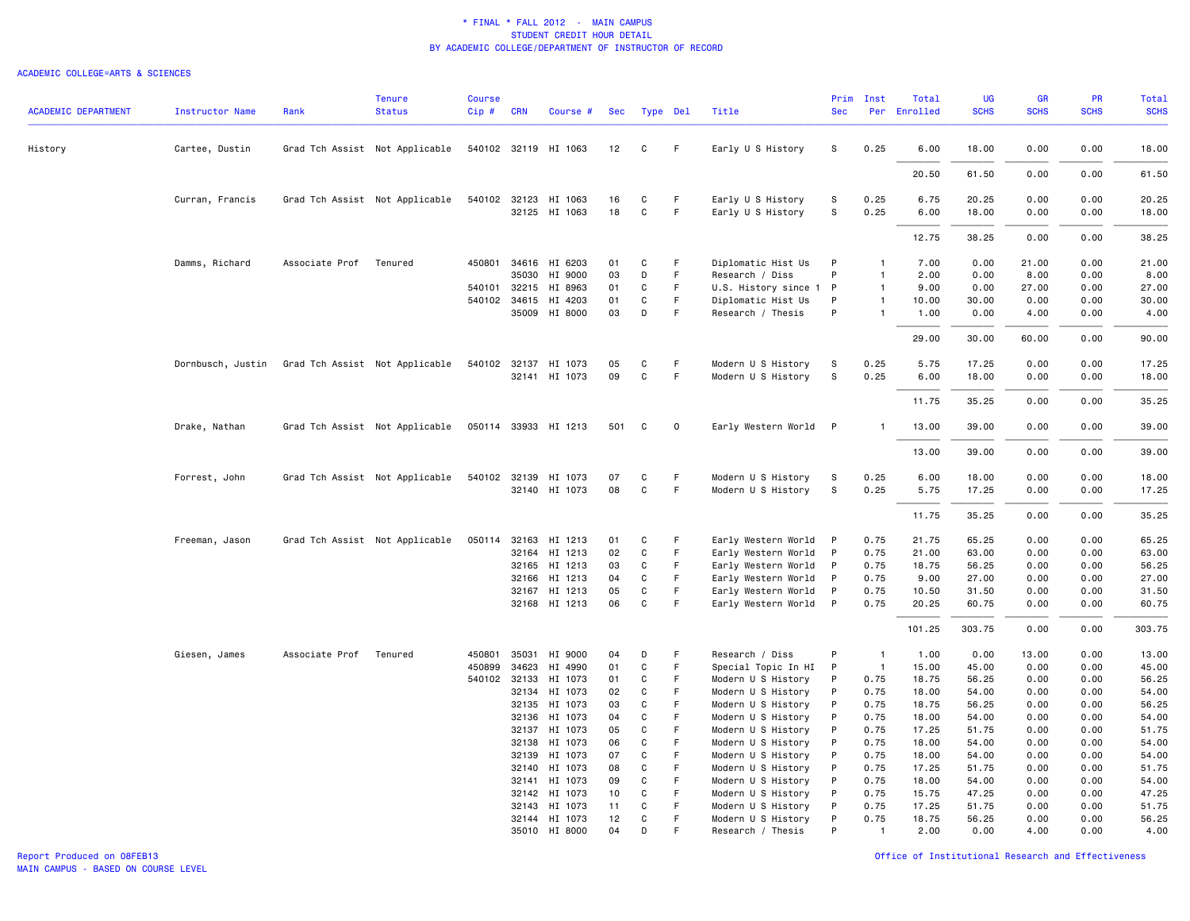|                            |                        |                        | <b>Tenure</b>                  | <b>Course</b> |            |                      |     |              |    |                        |             | Prim Inst      | Total        | UG          | <b>GR</b>   | <b>PR</b>   | Total       |
|----------------------------|------------------------|------------------------|--------------------------------|---------------|------------|----------------------|-----|--------------|----|------------------------|-------------|----------------|--------------|-------------|-------------|-------------|-------------|
| <b>ACADEMIC DEPARTMENT</b> | <b>Instructor Name</b> | Rank                   | <b>Status</b>                  | $Cip$ #       | <b>CRN</b> | Course #             | Sec | Type Del     |    | Title                  | <b>Sec</b>  |                | Per Enrolled | <b>SCHS</b> | <b>SCHS</b> | <b>SCHS</b> | <b>SCHS</b> |
| History                    | Cartee, Dustin         |                        | Grad Tch Assist Not Applicable |               |            | 540102 32119 HI 1063 | 12  | C            | F  | Early U S History      | S           | 0.25           | 6.00         | 18.00       | 0.00        | 0.00        | 18.00       |
|                            |                        |                        |                                |               |            |                      |     |              |    |                        |             |                | 20.50        | 61.50       | 0.00        | 0.00        | 61.50       |
|                            | Curran, Francis        |                        | Grad Tch Assist Not Applicable | 540102 32123  |            | HI 1063              | 16  | C            | F. | Early U S History      | S           | 0.25           | 6.75         | 20.25       | 0.00        | 0.00        | 20.25       |
|                            |                        |                        |                                |               |            | 32125 HI 1063        | 18  | $\mathsf{C}$ | F. | Early U S History      | S           | 0.25           | 6.00         | 18.00       | 0.00        | 0.00        | 18.00       |
|                            |                        |                        |                                |               |            |                      |     |              |    |                        |             |                | 12.75        | 38.25       | 0.00        | 0.00        | 38.25       |
|                            | Damms, Richard         | Associate Prof         | Tenured                        | 450801        |            | 34616 HI 6203        | 01  | C            | F  | Diplomatic Hist Us     | P           | 1              | 7.00         | 0.00        | 21.00       | 0.00        | 21.00       |
|                            |                        |                        |                                |               |            | 35030 HI 9000        | 03  | D            | F  | Research / Diss        | P           | $\mathbf{1}$   | 2.00         | 0.00        | 8.00        | 0.00        | 8.00        |
|                            |                        |                        |                                |               |            | 540101 32215 HI 8963 | 01  | C            | F  | U.S. History since 1 P |             | $\mathbf{1}$   | 9.00         | 0.00        | 27.00       | 0.00        | 27.00       |
|                            |                        |                        |                                |               |            | 540102 34615 HI 4203 | 01  | C            | F. | Diplomatic Hist Us     | P           | $\mathbf{1}$   | 10.00        | 30.00       | 0.00        | 0.00        | 30.00       |
|                            |                        |                        |                                |               |            | 35009 HI 8000        | 03  | D            | F  | Research / Thesis      | P           | $\mathbf{1}$   | 1.00         | 0.00        | 4.00        | 0.00        | 4.00        |
|                            |                        |                        |                                |               |            |                      |     |              |    |                        |             |                | 29.00        | 30.00       | 60.00       | 0.00        | 90.00       |
|                            | Dornbusch, Justin      |                        | Grad Tch Assist Not Applicable |               |            | 540102 32137 HI 1073 | 05  | C            | F  | Modern U S History     | S           | 0.25           | 5.75         | 17.25       | 0.00        | 0.00        | 17.25       |
|                            |                        |                        |                                |               |            | 32141 HI 1073        | 09  | $\mathtt{C}$ | F. | Modern U S History     | $\mathbb S$ | 0.25           | 6.00         | 18.00       | 0.00        | 0.00        | 18.00       |
|                            |                        |                        |                                |               |            |                      |     |              |    |                        |             |                | 11.75        | 35.25       | 0.00        | 0.00        | 35.25       |
|                            | Drake, Nathan          |                        | Grad Tch Assist Not Applicable |               |            | 050114 33933 HI 1213 | 501 | C            | 0  | Early Western World P  |             | $\mathbf{1}$   | 13.00        | 39.00       | 0.00        | 0.00        | 39.00       |
|                            |                        |                        |                                |               |            |                      |     |              |    |                        |             |                | 13.00        | 39.00       | 0.00        | 0.00        | 39.00       |
|                            | Forrest, John          |                        | Grad Tch Assist Not Applicable |               |            | 540102 32139 HI 1073 | 07  | C            | F  | Modern U S History     | s           | 0.25           | 6.00         | 18.00       | 0.00        | 0.00        | 18.00       |
|                            |                        |                        |                                |               |            | 32140 HI 1073        | 08  | $\mathsf{C}$ | F  | Modern U S History     | S           | 0.25           | 5.75         | 17.25       | 0.00        | 0.00        | 17.25       |
|                            |                        |                        |                                |               |            |                      |     |              |    |                        |             |                | 11.75        | 35.25       | 0.00        | 0.00        | 35.25       |
|                            | Freeman, Jason         |                        | Grad Tch Assist Not Applicable |               |            | 050114 32163 HI 1213 | 01  | C            | F  | Early Western World P  |             | 0.75           | 21.75        | 65.25       | 0.00        | 0.00        | 65.25       |
|                            |                        |                        |                                |               | 32164      | HI 1213              | 02  | C            | F  | Early Western World    | P           | 0.75           | 21.00        | 63.00       | 0.00        | 0.00        | 63.00       |
|                            |                        |                        |                                |               |            | 32165 HI 1213        | 03  | C            | F  | Early Western World    | P           | 0.75           | 18.75        | 56.25       | 0.00        | 0.00        | 56.25       |
|                            |                        |                        |                                |               |            | 32166 HI 1213        | 04  | C            | F  | Early Western World    | P           | 0.75           | 9.00         | 27.00       | 0.00        | 0.00        | 27.00       |
|                            |                        |                        |                                |               |            | 32167 HI 1213        | 05  | C            | F  | Early Western World    | P           | 0.75           | 10.50        | 31.50       | 0.00        | 0.00        | 31.50       |
|                            |                        |                        |                                |               |            | 32168 HI 1213        | 06  | C            | F  | Early Western World P  |             | 0.75           | 20.25        | 60.75       | 0.00        | 0.00        | 60.75       |
|                            |                        |                        |                                |               |            |                      |     |              |    |                        |             |                | 101.25       | 303.75      | 0.00        | 0.00        | 303.75      |
|                            | Giesen, James          | Associate Prof Tenured |                                | 450801        | 35031      | HI 9000              | 04  | D            | F  | Research / Diss        | P           | $\overline{1}$ | 1.00         | 0.00        | 13.00       | 0.00        | 13.00       |
|                            |                        |                        |                                | 450899        | 34623      | HI 4990              | 01  | C            | F  | Special Topic In HI    | P           | $\overline{1}$ | 15.00        | 45.00       | 0.00        | 0.00        | 45.00       |
|                            |                        |                        |                                | 540102 32133  |            | HI 1073              | 01  | C            | F  | Modern U S History     | P           | 0.75           | 18.75        | 56.25       | 0.00        | 0.00        | 56.25       |
|                            |                        |                        |                                |               | 32134      | HI 1073              | 02  | C            | F  | Modern U S History     | P           | 0.75           | 18.00        | 54.00       | 0.00        | 0.00        | 54.00       |
|                            |                        |                        |                                |               | 32135      | HI 1073              | 03  | C            | F. | Modern U S History     | P           | 0.75           | 18.75        | 56.25       | 0.00        | 0.00        | 56.25       |
|                            |                        |                        |                                |               | 32136      | HI 1073              | 04  | C            | F  | Modern U S History     | P           | 0.75           | 18.00        | 54.00       | 0.00        | 0.00        | 54.00       |
|                            |                        |                        |                                |               |            | 32137 HI 1073        | 05  | C            | F  | Modern U S History     | P           | 0.75           | 17.25        | 51.75       | 0.00        | 0.00        | 51.75       |
|                            |                        |                        |                                |               | 32138      | HI 1073              | 06  | C            | F  | Modern U S History     | P           | 0.75           | 18.00        | 54.00       | 0.00        | 0.00        | 54.00       |
|                            |                        |                        |                                |               | 32139      | HI 1073              | 07  | C            | F  | Modern U S History     | P           | 0.75           | 18.00        | 54.00       | 0.00        | 0.00        | 54.00       |
|                            |                        |                        |                                |               |            | 32140 HI 1073        | 08  | C            | F  | Modern U S History     | P           | 0.75           | 17.25        | 51.75       | 0.00        | 0.00        | 51.75       |
|                            |                        |                        |                                |               | 32141      | HI 1073              | 09  | C            | F  | Modern U S History     | P           | 0.75           | 18.00        | 54.00       | 0.00        | 0.00        | 54.00       |
|                            |                        |                        |                                |               | 32142      | HI 1073              | 10  | C            | F  | Modern U S History     | P           | 0.75           | 15.75        | 47.25       | 0.00        | 0.00        | 47.25       |
|                            |                        |                        |                                |               | 32143      | HI 1073              | 11  | C            | F  | Modern U S History     | P           | 0.75           | 17.25        | 51.75       | 0.00        | 0.00        | 51.75       |
|                            |                        |                        |                                |               |            | 32144 HI 1073        | 12  | C            | F  | Modern U S History     | P           | 0.75           | 18.75        | 56.25       | 0.00        | 0.00        | 56.25       |
|                            |                        |                        |                                |               |            | 35010 HI 8000        | 04  | D            | F  | Research / Thesis      | P           | $\mathbf{1}$   | 2.00         | 0.00        | 4.00        | 0.00        | 4.00        |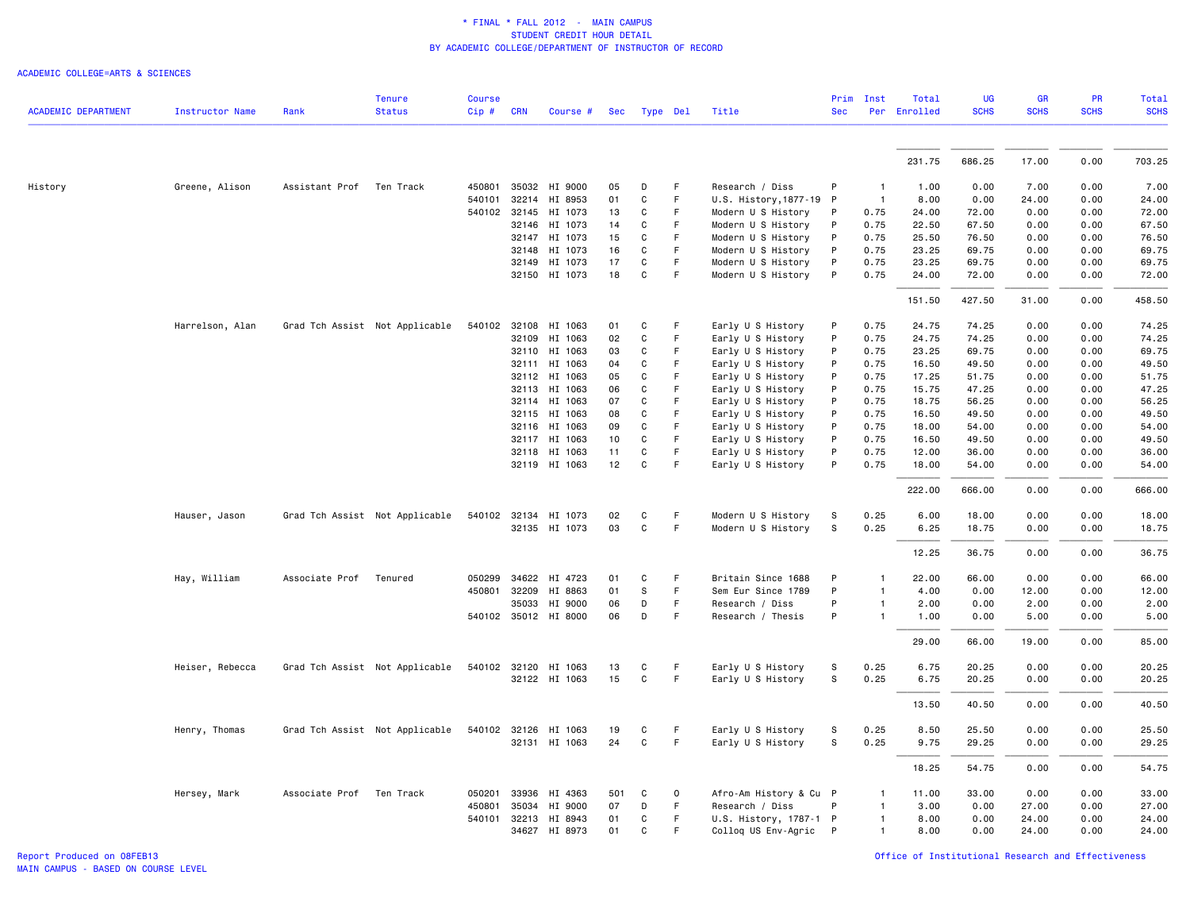|                            |                        |                          | <b>Tenure</b>                  | <b>Course</b> |                |                          |          |              |                            |                                        | Prim       | Inst           | Total          | <b>UG</b>      | <b>GR</b>    | <b>PR</b>    | Total          |
|----------------------------|------------------------|--------------------------|--------------------------------|---------------|----------------|--------------------------|----------|--------------|----------------------------|----------------------------------------|------------|----------------|----------------|----------------|--------------|--------------|----------------|
| <b>ACADEMIC DEPARTMENT</b> | <b>Instructor Name</b> | Rank                     | <b>Status</b>                  | Cip #         | <b>CRN</b>     | Course #                 |          | Sec Type Del |                            | Title                                  | <b>Sec</b> |                | Per Enrolled   | <b>SCHS</b>    | <b>SCHS</b>  | <b>SCHS</b>  | <b>SCHS</b>    |
|                            |                        |                          |                                |               |                |                          |          |              |                            |                                        |            |                |                |                |              |              |                |
|                            |                        |                          |                                |               |                |                          |          |              |                            |                                        |            |                | 231.75         | 686.25         | 17.00        | 0.00         | 703.25         |
| History                    | Greene, Alison         | Assistant Prof Ten Track |                                | 450801        |                | 35032 HI 9000            | 05       | D            | F                          | Research / Diss                        | P          | -1             | 1.00           | 0.00           | 7.00         | 0.00         | 7.00           |
|                            |                        |                          |                                | 540101        |                | 32214 HI 8953            | 01       | $\mathsf{C}$ | F                          | U.S. History, 1877-19 P                |            | $\overline{1}$ | 8.00           | 0.00           | 24.00        | 0.00         | 24.00          |
|                            |                        |                          |                                | 540102        |                | 32145 HI 1073            | 13       | C            | F                          | Modern U S History                     | P          | 0.75           | 24.00          | 72.00          | 0.00         | 0.00         | 72.00          |
|                            |                        |                          |                                |               |                | 32146 HI 1073            | 14       | C            | F                          | Modern U S History                     | P          | 0.75           | 22.50          | 67.50          | 0.00         | 0.00         | 67.50          |
|                            |                        |                          |                                |               |                | 32147 HI 1073            | 15       | C            | F                          | Modern U S History                     | P          | 0.75           | 25.50          | 76.50          | 0.00         | 0.00         | 76.50          |
|                            |                        |                          |                                |               | 32148          | HI 1073                  | 16       | C            | F                          | Modern U S History                     | P          | 0.75           | 23.25          | 69.75          | 0.00         | 0.00         | 69.75          |
|                            |                        |                          |                                |               | 32149          | HI 1073                  | 17       | C            | F                          | Modern U S History                     | P          | 0.75           | 23.25          | 69.75          | 0.00         | 0.00         | 69.75          |
|                            |                        |                          |                                |               |                | 32150 HI 1073            | 18       | $\mathtt{C}$ | F                          | Modern U S History                     | P          | 0.75           | 24.00          | 72.00          | 0.00         | 0.00         | 72.00          |
|                            |                        |                          |                                |               |                |                          |          |              |                            |                                        |            |                | 151.50         | 427.50         | 31.00        | 0.00         | 458.50         |
|                            | Harrelson, Alan        |                          | Grad Tch Assist Not Applicable | 540102        |                | 32108 HI 1063            | 01       | C            | F                          | Early U S History                      | P          | 0.75           | 24.75          | 74.25          | 0.00         | 0.00         | 74.25          |
|                            |                        |                          |                                |               | 32109          | HI 1063                  | 02       | C            | F                          | Early U S History                      | P          | 0.75           | 24.75          | 74.25          | 0.00         | 0.00         | 74.25          |
|                            |                        |                          |                                |               | 32110          | HI 1063                  | 03       | C            | $\mathsf F$                | Early U S History                      | P          | 0.75           | 23.25          | 69.75          | 0.00         | 0.00         | 69.75          |
|                            |                        |                          |                                |               |                | 32111 HI 1063            | 04       | C            | F                          | Early U S History                      | P          | 0.75           | 16.50          | 49.50          | 0.00         | 0.00         | 49.50          |
|                            |                        |                          |                                |               |                | 32112 HI 1063            | 05       | C            | F                          | Early U S History                      | P          | 0.75           | 17.25          | 51.75          | 0.00         | 0.00         | 51.75          |
|                            |                        |                          |                                |               | 32113<br>32114 | HI 1063                  | 06<br>07 | C<br>C       | $\mathsf F$<br>$\mathsf F$ | Early U S History<br>Early U S History | P<br>P     | 0.75           | 15.75          | 47.25<br>56.25 | 0.00         | 0.00         | 47.25<br>56.25 |
|                            |                        |                          |                                |               |                | HI 1063<br>32115 HI 1063 | 08       | C            | F                          | Early U S History                      | P          | 0.75<br>0.75   | 18.75<br>16.50 | 49.50          | 0.00<br>0.00 | 0.00<br>0.00 | 49.50          |
|                            |                        |                          |                                |               |                | 32116 HI 1063            | 09       | C            | F                          | Early U S History                      | P          | 0.75           | 18.00          | 54.00          | 0.00         | 0.00         | 54.00          |
|                            |                        |                          |                                |               | 32117          | HI 1063                  | 10       | C            | F                          | Early U S History                      | P          | 0.75           | 16.50          | 49.50          | 0.00         | 0.00         | 49.50          |
|                            |                        |                          |                                |               | 32118          | HI 1063                  | 11       | $\mathtt{C}$ | $\mathsf F$                | Early U S History                      | P          | 0.75           | 12.00          | 36.00          | 0.00         | 0.00         | 36.00          |
|                            |                        |                          |                                |               |                | 32119 HI 1063            | 12       | C            | F                          | Early U S History                      | P          | 0.75           | 18.00          | 54.00          | 0.00         | 0.00         | 54.00          |
|                            |                        |                          |                                |               |                |                          |          |              |                            |                                        |            |                | 222.00         | 666.00         | 0.00         | 0.00         | 666.00         |
|                            | Hauser, Jason          |                          | Grad Tch Assist Not Applicable |               |                | 540102 32134 HI 1073     | 02       | C            | F                          | Modern U S History                     | s          | 0.25           | 6.00           | 18.00          | 0.00         | 0.00         | 18.00          |
|                            |                        |                          |                                |               |                | 32135 HI 1073            | 03       | C            | $\mathsf F$                | Modern U S History                     | S          | 0.25           | 6.25           | 18.75          | 0.00         | 0.00         | 18.75          |
|                            |                        |                          |                                |               |                |                          |          |              |                            |                                        |            |                |                |                |              |              |                |
|                            |                        |                          |                                |               |                |                          |          |              |                            |                                        |            |                | 12.25          | 36.75          | 0.00         | 0.00         | 36.75          |
|                            | Hay, William           | Associate Prof           | Tenured                        | 050299        |                | 34622 HI 4723            | 01       | C            | F                          | Britain Since 1688                     | P          | 1              | 22.00          | 66.00          | 0.00         | 0.00         | 66.00          |
|                            |                        |                          |                                | 450801        | 32209          | HI 8863                  | 01       | s            | F                          | Sem Eur Since 1789                     | P          | 1              | 4.00           | 0.00           | 12.00        | 0.00         | 12.00          |
|                            |                        |                          |                                |               |                | 35033 HI 9000            | 06       | D            | F                          | Research / Diss                        | P          |                | 2.00           | 0.00           | 2.00         | 0.00         | 2.00           |
|                            |                        |                          |                                |               |                | 540102 35012 HI 8000     | 06       | D            | $\mathsf F$                | Research / Thesis                      | P          | 1              | 1.00           | 0.00           | 5.00         | 0.00         | 5.00           |
|                            |                        |                          |                                |               |                |                          |          |              |                            |                                        |            |                | 29.00          | 66.00          | 19.00        | 0.00         | 85.00          |
|                            | Heiser, Rebecca        |                          | Grad Tch Assist Not Applicable |               |                | 540102 32120 HI 1063     | 13       | C            | F                          | Early U S History                      | s          | 0.25           | 6.75           | 20.25          | 0.00         | 0.00         | 20.25          |
|                            |                        |                          |                                |               |                | 32122 HI 1063            | 15       | $\mathsf{C}$ | $\mathsf F$                | Early U S History                      | s          | 0.25           | 6.75           | 20.25          | 0.00         | 0.00         | 20.25          |
|                            |                        |                          |                                |               |                |                          |          |              |                            |                                        |            |                | 13.50          | 40.50          | 0.00         | 0.00         | 40.50          |
|                            | Henry, Thomas          |                          | Grad Tch Assist Not Applicable |               |                | 540102 32126 HI 1063     | 19       | C            | F                          | Early U S History                      | S          | 0.25           | 8.50           | 25.50          | 0.00         | 0.00         | 25.50          |
|                            |                        |                          |                                |               |                | 32131 HI 1063            | 24       | C            | $\mathsf F$                | Early U S History                      | s          | 0.25           | 9.75           | 29.25          | 0.00         | 0.00         | 29.25          |
|                            |                        |                          |                                |               |                |                          |          |              |                            |                                        |            |                | 18.25          | 54.75          | 0.00         | 0.00         | 54.75          |
|                            | Hersey, Mark           | Associate Prof           | Ten Track                      | 050201        | 33936          | HI 4363                  | 501      | C            | $\mathsf 0$                | Afro-Am History & Cu P                 |            |                | 11.00          | 33.00          | 0.00         | 0.00         | 33.00          |
|                            |                        |                          |                                | 450801        | 35034          | HI 9000                  | 07       | D            | $\mathsf F$                | Research / Diss                        | P          | 1              | 3.00           | 0.00           | 27.00        | 0.00         | 27.00          |
|                            |                        |                          |                                | 540101        |                | 32213 HI 8943            | 01       | C            | F                          | U.S. History, 1787-1 P                 |            | 1              | 8.00           | 0.00           | 24.00        | 0.00         | 24.00          |
|                            |                        |                          |                                |               |                | 34627 HI 8973            | 01       | C            | F                          | Colloq US Env-Agric P                  |            | 1              | 8.00           | 0.00           | 24.00        | 0.00         | 24.00          |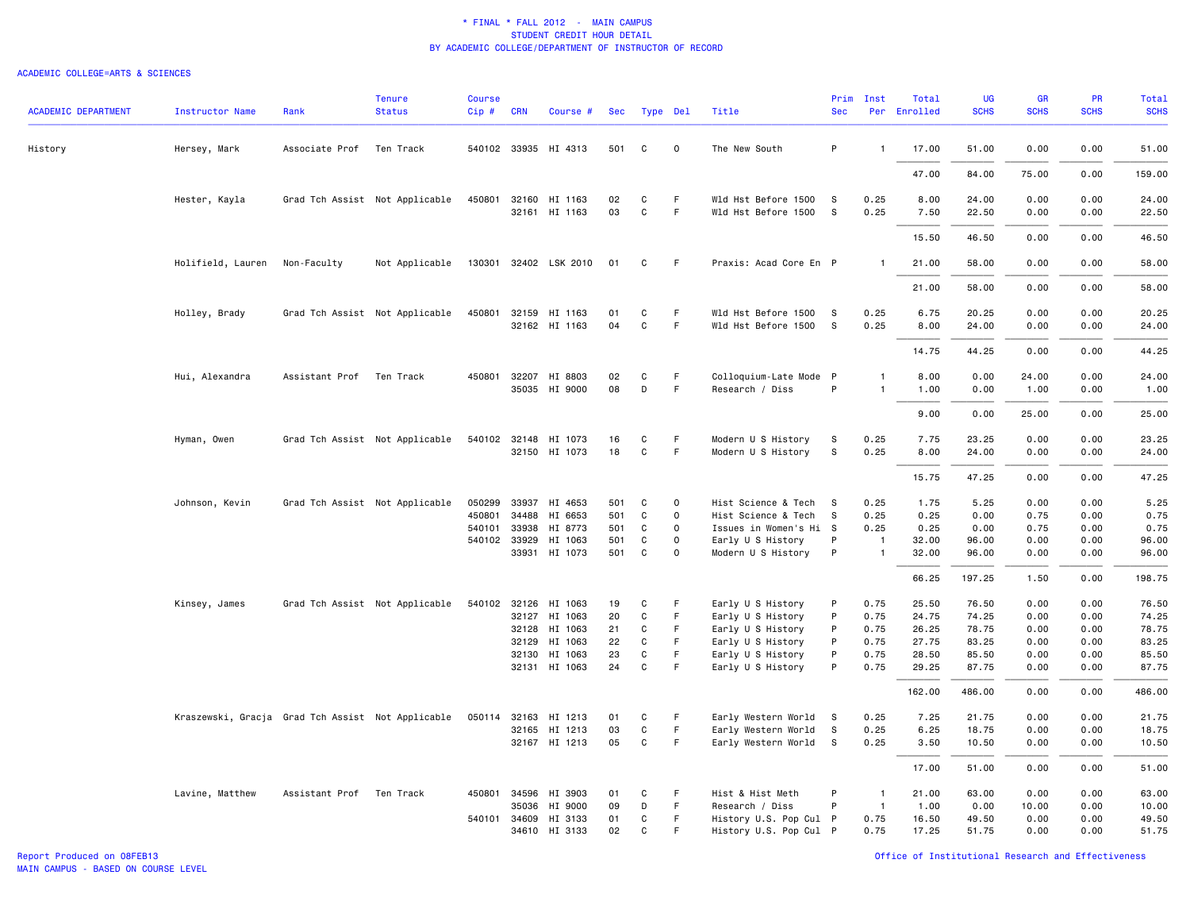| <b>ACADEMIC DEPARTMENT</b> | <b>Instructor Name</b>                            | Rank                     | <b>Tenure</b><br><b>Status</b> | Course<br>Cip# | <b>CRN</b>   | Course #                 | Sec      | Type Del     |             | Title                                  | <b>Sec</b> | Prim Inst      | Total<br>Per Enrolled | <b>UG</b><br><b>SCHS</b> | <b>GR</b><br><b>SCHS</b> | <b>PR</b><br><b>SCHS</b> | <b>Total</b><br><b>SCHS</b> |
|----------------------------|---------------------------------------------------|--------------------------|--------------------------------|----------------|--------------|--------------------------|----------|--------------|-------------|----------------------------------------|------------|----------------|-----------------------|--------------------------|--------------------------|--------------------------|-----------------------------|
|                            |                                                   |                          |                                |                |              |                          |          |              |             |                                        |            |                |                       |                          |                          |                          |                             |
| History                    | Hersey, Mark                                      | Associate Prof           | Ten Track                      |                |              | 540102 33935 HI 4313     | 501      | C            | $\mathbf 0$ | The New South                          | P          | $\mathbf{1}$   | 17.00                 | 51.00                    | 0.00                     | 0.00                     | 51.00                       |
|                            |                                                   |                          |                                |                |              |                          |          |              |             |                                        |            |                | 47.00                 | 84.00                    | 75.00                    | 0.00                     | 159.00                      |
|                            | Hester, Kayla                                     |                          | Grad Tch Assist Not Applicable | 450801         | 32160        | HI 1163                  | 02       | C            | F           | Wld Hst Before 1500                    | s          | 0.25           | 8.00                  | 24.00                    | 0.00                     | 0.00                     | 24.00                       |
|                            |                                                   |                          |                                |                |              | 32161 HI 1163            | 03       | $\mathsf{C}$ | F.          | Wld Hst Before 1500                    | S.         | 0.25           | 7.50                  | 22.50                    | 0.00                     | 0.00                     | 22.50                       |
|                            |                                                   |                          |                                |                |              |                          |          |              |             |                                        |            |                | 15.50                 | 46.50                    | 0.00                     | 0.00                     | 46.50                       |
|                            | Holifield, Lauren                                 | Non-Faculty              | Not Applicable                 |                |              | 130301 32402 LSK 2010    | 01       | C            | F.          | Praxis: Acad Core En P                 |            | $\mathbf{1}$   | 21.00                 | 58.00                    | 0.00                     | 0.00                     | 58.00                       |
|                            |                                                   |                          |                                |                |              |                          |          |              |             |                                        |            |                | 21.00                 | 58.00                    | 0.00                     | 0.00                     | 58.00                       |
|                            | Holley, Brady                                     |                          | Grad Tch Assist Not Applicable |                |              | 450801 32159 HI 1163     | 01       | C            | F           | Wld Hst Before 1500                    | - S        | 0.25           | 6.75                  | 20.25                    | 0.00                     | 0.00                     | 20.25                       |
|                            |                                                   |                          |                                |                |              | 32162 HI 1163            | 04       | C            | F.          | Wld Hst Before 1500 S                  |            | 0.25           | 8.00                  | 24.00                    | 0.00                     | 0.00                     | 24.00                       |
|                            |                                                   |                          |                                |                |              |                          |          |              |             |                                        |            |                | 14.75                 | 44.25                    | 0.00                     | 0.00                     | 44.25                       |
|                            | Hui, Alexandra                                    | Assistant Prof Ten Track |                                |                | 450801 32207 | HI 8803                  | 02       | C            | F.          | Colloquium-Late Mode P                 |            | $\mathbf{1}$   | 8.00                  | 0.00                     | 24.00                    | 0.00                     | 24.00                       |
|                            |                                                   |                          |                                |                |              | 35035 HI 9000            | 08       | D            | F           | Research / Diss                        | P          | $\mathbf{1}$   | 1.00                  | 0.00                     | 1.00                     | 0.00                     | 1.00                        |
|                            |                                                   |                          |                                |                |              |                          |          |              |             |                                        |            |                | 9.00                  | 0.00                     | 25.00                    | 0.00                     | 25.00                       |
|                            | Hyman, Owen                                       |                          | Grad Tch Assist Not Applicable | 540102 32148   |              | HI 1073                  | 16       | C            | F           | Modern U S History                     | s          | 0.25           | 7.75                  | 23.25                    | 0.00                     | 0.00                     | 23.25                       |
|                            |                                                   |                          |                                |                |              | 32150 HI 1073            | 18       | $\mathsf{C}$ | F.          | Modern U S History                     | S          | 0.25           | 8.00                  | 24.00                    | 0.00                     | 0.00                     | 24.00                       |
|                            |                                                   |                          |                                |                |              |                          |          |              |             |                                        |            |                | 15.75                 | 47.25                    | 0.00                     | 0.00                     | 47.25                       |
|                            | Johnson, Kevin                                    |                          | Grad Tch Assist Not Applicable | 050299         |              | 33937 HI 4653            | 501      | C            | 0           | Hist Science & Tech                    | <b>S</b>   | 0.25           | 1.75                  | 5.25                     | 0.00                     | 0.00                     | 5.25                        |
|                            |                                                   |                          |                                | 450801         | 34488        | HI 6653                  | 501      | C            | $\mathbf 0$ | Hist Science & Tech                    | s          | 0.25           | 0.25                  | 0.00                     | 0.75                     | 0.00                     | 0.75                        |
|                            |                                                   |                          |                                | 540101         | 33938        | HI 8773                  | 501      | C            | $\mathbf 0$ | Issues in Women's Hi S                 |            | 0.25           | 0.25                  | 0.00                     | 0.75                     | 0.00                     | 0.75                        |
|                            |                                                   |                          |                                | 540102 33929   |              | HI 1063                  | 501      | C            | 0           | Early U S History                      | P          | $\overline{1}$ | 32.00                 | 96.00                    | 0.00                     | 0.00                     | 96.00                       |
|                            |                                                   |                          |                                |                |              | 33931 HI 1073            | 501      | C            | $\Omega$    | Modern U S History                     | P          | $\mathbf{1}$   | 32.00                 | 96.00                    | 0.00                     | 0.00                     | 96.00                       |
|                            |                                                   |                          |                                |                |              |                          |          |              |             |                                        |            |                | 66.25                 | 197.25                   | 1.50                     | 0.00                     | 198.75                      |
|                            | Kinsey, James                                     |                          | Grad Tch Assist Not Applicable |                |              | 540102 32126 HI 1063     | 19       | C            | F           | Early U S History                      | P          | 0.75           | 25.50                 | 76.50                    | 0.00                     | 0.00                     | 76.50                       |
|                            |                                                   |                          |                                |                |              | 32127 HI 1063            | 20       | C            | F.          | Early U S History                      | P          | 0.75           | 24.75                 | 74.25                    | 0.00                     | 0.00                     | 74.25                       |
|                            |                                                   |                          |                                |                |              | 32128 HI 1063            | 21       | C            | F           | Early U S History                      | P          | 0.75           | 26.25                 | 78.75                    | 0.00                     | 0.00                     | 78.75                       |
|                            |                                                   |                          |                                |                |              | 32129 HI 1063            | 22       | C            | F.<br>F     | Early U S History                      | P          | 0.75           | 27.75                 | 83.25                    | 0.00                     | 0.00                     | 83.25                       |
|                            |                                                   |                          |                                |                | 32130        | HI 1063<br>32131 HI 1063 | 23<br>24 | C<br>C       | F           | Early U S History<br>Early U S History | P<br>P     | 0.75<br>0.75   | 28.50<br>29.25        | 85.50<br>87.75           | 0.00<br>0.00             | 0.00<br>0.00             | 85.50<br>87.75              |
|                            |                                                   |                          |                                |                |              |                          |          |              |             |                                        |            |                | 162.00                | 486.00                   | 0.00                     | 0.00                     | 486.00                      |
|                            | Kraszewski, Gracja Grad Tch Assist Not Applicable |                          |                                |                |              | 050114 32163 HI 1213     | 01       | C            | F           | Early Western World                    | <b>S</b>   | 0.25           | 7.25                  | 21.75                    | 0.00                     | 0.00                     | 21.75                       |
|                            |                                                   |                          |                                |                |              | 32165 HI 1213            | 03       | $\mathtt{C}$ | F           | Early Western World                    | S          | 0.25           | 6.25                  | 18.75                    | 0.00                     | 0.00                     | 18.75                       |
|                            |                                                   |                          |                                |                |              | 32167 HI 1213            | 05       | C            | F.          | Early Western World S                  |            | 0.25           | 3.50                  | 10.50                    | 0.00                     | 0.00                     | 10.50                       |
|                            |                                                   |                          |                                |                |              |                          |          |              |             |                                        |            |                | 17.00                 | 51.00                    | 0.00                     | 0.00                     | 51.00                       |
|                            | Lavine, Matthew                                   | Assistant Prof           | Ten Track                      | 450801 34596   |              | HI 3903                  | 01       | C            | F           | Hist & Hist Meth                       | P          | $\mathbf{1}$   | 21.00                 | 63.00                    | 0.00                     | 0.00                     | 63.00                       |
|                            |                                                   |                          |                                |                | 35036        | HI 9000                  | 09       | D            | F           | Research / Diss                        | P          | $\overline{1}$ | 1.00                  | 0.00                     | 10.00                    | 0.00                     | 10.00                       |
|                            |                                                   |                          |                                |                |              | 540101 34609 HI 3133     | 01       | C            | F           | History U.S. Pop Cul P                 |            | 0.75           | 16.50                 | 49.50                    | 0.00                     | 0.00                     | 49.50                       |
|                            |                                                   |                          |                                |                |              | 34610 HI 3133            | 02       | C            | F           | History U.S. Pop Cul P                 |            | 0.75           | 17.25                 | 51.75                    | 0.00                     | 0.00                     | 51.75                       |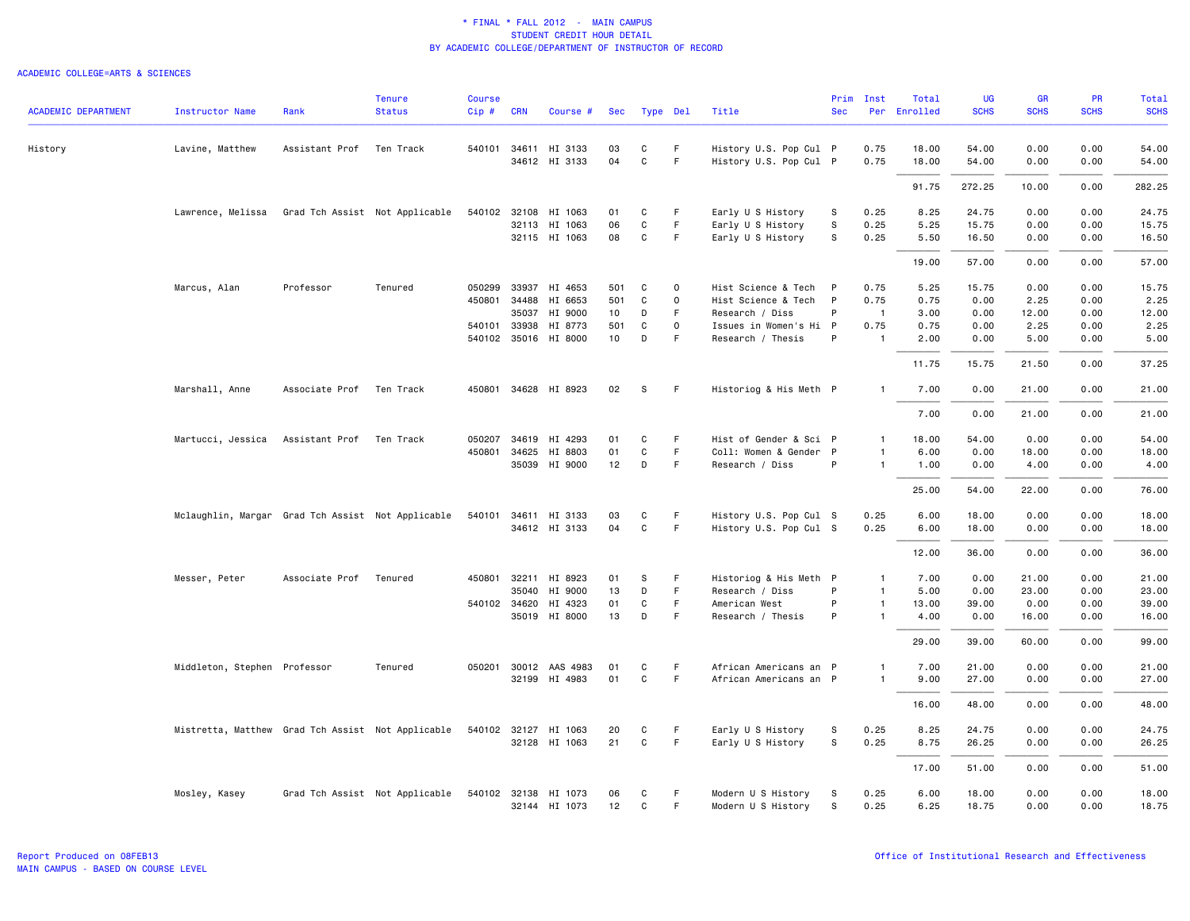| <b>ACADEMIC DEPARTMENT</b> | <b>Instructor Name</b>                            | Rank                     | <b>Tenure</b><br><b>Status</b> | <b>Course</b><br>$Cip \#$ | <b>CRN</b>   | Course #                              | Sec      | Type Del          |          | Title                                            | <b>Sec</b>   | Prim Inst      | Total<br>Per Enrolled | UG<br><b>SCHS</b> | <b>GR</b><br><b>SCHS</b> | <b>PR</b><br><b>SCHS</b> | Total<br><b>SCHS</b> |
|----------------------------|---------------------------------------------------|--------------------------|--------------------------------|---------------------------|--------------|---------------------------------------|----------|-------------------|----------|--------------------------------------------------|--------------|----------------|-----------------------|-------------------|--------------------------|--------------------------|----------------------|
| History                    | Lavine, Matthew                                   | Assistant Prof Ten Track |                                |                           |              | 540101 34611 HI 3133<br>34612 HI 3133 | 03<br>04 | C<br>$\mathsf{C}$ | F.<br>F  | History U.S. Pop Cul P<br>History U.S. Pop Cul P |              | 0.75<br>0.75   | 18.00<br>18.00        | 54.00<br>54.00    | 0.00<br>0.00             | 0.00<br>0.00             | 54.00<br>54.00       |
|                            |                                                   |                          |                                |                           |              |                                       |          |                   |          |                                                  |              |                | 91.75                 | 272.25            | 10.00                    | 0.00                     | 282.25               |
|                            |                                                   |                          |                                |                           |              |                                       |          |                   |          |                                                  |              |                |                       |                   |                          |                          |                      |
|                            | Lawrence, Melissa                                 |                          | Grad Tch Assist Not Applicable |                           |              | 540102 32108 HI 1063                  | 01       | C                 | F.       | Early U S History                                | S            | 0.25           | 8.25                  | 24.75             | 0.00                     | 0.00                     | 24.75                |
|                            |                                                   |                          |                                |                           |              | 32113 HI 1063                         | 06       | C                 | F        | Early U S History                                | $\mathbb S$  | 0.25           | 5.25                  | 15.75             | 0.00                     | 0.00                     | 15.75                |
|                            |                                                   |                          |                                |                           |              | 32115 HI 1063                         | 08       | $\mathsf{C}$      | F.       | Early U S History                                | s            | 0.25           | 5.50                  | 16.50             | 0.00                     | 0.00                     | 16.50                |
|                            |                                                   |                          |                                |                           |              |                                       |          |                   |          |                                                  |              |                | 19.00                 | 57.00             | 0.00                     | 0.00                     | 57.00                |
|                            | Marcus, Alan                                      | Professor                | Tenured                        | 050299                    | 33937        | HI 4653                               | 501      | C                 | $\Omega$ | Hist Science & Tech                              | $\mathsf{P}$ | 0.75           | 5.25                  | 15.75             | 0.00                     | 0.00                     | 15.75                |
|                            |                                                   |                          |                                |                           |              | 450801 34488 HI 6653                  | 501      | C                 | $\Omega$ | Hist Science & Tech P                            |              | 0.75           | 0.75                  | 0.00              | 2.25                     | 0.00                     | 2.25                 |
|                            |                                                   |                          |                                |                           | 35037        | HI 9000                               | 10       | D                 | F        | Research / Diss                                  | P            | $\overline{1}$ | 3.00                  | 0.00              | 12.00                    | 0.00                     | 12.00                |
|                            |                                                   |                          |                                |                           | 540101 33938 | HI 8773                               | 501      | C                 | $\Omega$ | Issues in Women's Hi P                           |              | 0.75           | 0.75                  | 0.00              | 2.25                     | 0.00                     | 2.25                 |
|                            |                                                   |                          |                                |                           |              | 540102 35016 HI 8000                  | 10       | D                 | F        | Research / Thesis                                | P            | $\overline{1}$ | 2.00                  | 0.00              | 5.00                     | 0.00                     | 5.00                 |
|                            |                                                   |                          |                                |                           |              |                                       |          |                   |          |                                                  |              |                | 11.75                 | 15.75             | 21.50                    | 0.00                     | 37.25                |
|                            | Marshall, Anne                                    | Associate Prof           | Ten Track                      |                           |              | 450801 34628 HI 8923                  | 02       | s                 | F.       | Historiog & His Meth P                           |              | $\mathbf{1}$   | 7.00                  | 0.00              | 21.00                    | 0.00                     | 21.00                |
|                            |                                                   |                          |                                |                           |              |                                       |          |                   |          |                                                  |              |                | 7.00                  | 0.00              | 21.00                    | 0.00                     | 21.00                |
|                            | Martucci, Jessica                                 | Assistant Prof Ten Track |                                | 050207                    | 34619        | HI 4293                               | 01       | C                 | F.       | Hist of Gender & Sci P                           |              | $\mathbf{1}$   | 18.00                 | 54.00             | 0.00                     | 0.00                     | 54.00                |
|                            |                                                   |                          |                                |                           | 450801 34625 | HI 8803                               | 01       | C                 | F        | Coll: Women & Gender P                           |              | 1              | 6.00                  | 0.00              | 18.00                    | 0.00                     | 18.00                |
|                            |                                                   |                          |                                |                           |              | 35039 HI 9000                         | 12       | D                 | F.       | Research / Diss                                  | P            | $\mathbf{1}$   | 1.00                  | 0.00              | 4.00                     | 0.00                     | 4.00                 |
|                            |                                                   |                          |                                |                           |              |                                       |          |                   |          |                                                  |              |                | 25.00                 | 54.00             | 22.00                    | 0.00                     | 76.00                |
|                            |                                                   |                          |                                |                           |              |                                       |          |                   |          |                                                  |              |                |                       |                   |                          |                          |                      |
|                            | Mclaughlin, Margar Grad Tch Assist Not Applicable |                          |                                | 540101                    |              | 34611 HI 3133                         | 03       | C                 | F        | History U.S. Pop Cul S                           |              | 0.25           | 6.00                  | 18.00             | 0.00                     | 0.00                     | 18.00                |
|                            |                                                   |                          |                                |                           |              | 34612 HI 3133                         | 04       | $\mathtt{C}$      | F.       | History U.S. Pop Cul S                           |              | 0.25           | 6.00                  | 18.00             | 0.00                     | 0.00                     | 18.00                |
|                            |                                                   |                          |                                |                           |              |                                       |          |                   |          |                                                  |              |                | 12.00                 | 36.00             | 0.00                     | 0.00                     | 36.00                |
|                            | Messer, Peter                                     | Associate Prof           | Tenured                        |                           | 450801 32211 | HI 8923                               | 01       | S                 | F.       | Historiog & His Meth P                           |              | $\mathbf{1}$   | 7.00                  | 0.00              | 21.00                    | 0.00                     | 21.00                |
|                            |                                                   |                          |                                |                           |              | 35040 HI 9000                         | 13       | D                 | F.       | Research / Diss                                  | P            | $\mathbf{1}$   | 5.00                  | 0.00              | 23.00                    | 0.00                     | 23.00                |
|                            |                                                   |                          |                                |                           |              | 540102 34620 HI 4323                  | 01       | C                 | F.       | American West                                    | P            | 1              | 13.00                 | 39.00             | 0.00                     | 0.00                     | 39.00                |
|                            |                                                   |                          |                                |                           |              | 35019 HI 8000                         | 13       | D                 | F        | Research / Thesis                                | P            | $\mathbf{1}$   | 4.00                  | 0.00              | 16.00                    | 0.00                     | 16.00                |
|                            |                                                   |                          |                                |                           |              |                                       |          |                   |          |                                                  |              |                | 29.00                 | 39.00             | 60.00                    | 0.00                     | 99.00                |
|                            | Middleton, Stephen Professor                      |                          | Tenured                        |                           |              | 050201 30012 AAS 4983                 | 01       | C                 | F        | African Americans an P                           |              | 1              | 7.00                  | 21.00             | 0.00                     | 0.00                     | 21.00                |
|                            |                                                   |                          |                                |                           |              | 32199 HI 4983                         | 01       | C                 | F        | African Americans an P                           |              | $\mathbf{1}$   | 9.00                  | 27.00             | 0.00                     | 0.00                     | 27.00                |
|                            |                                                   |                          |                                |                           |              |                                       |          |                   |          |                                                  |              |                | 16.00                 | 48.00             | 0.00                     | 0.00                     | 48.00                |
|                            | Mistretta, Matthew Grad Tch Assist Not Applicable |                          |                                |                           |              | 540102 32127 HI 1063                  | 20       | C                 | F        | Early U S History                                | S            | 0.25           | 8.25                  | 24.75             | 0.00                     | 0.00                     | 24.75                |
|                            |                                                   |                          |                                |                           |              | 32128 HI 1063                         | 21       | C                 | F        | Early U S History                                | S            | 0.25           | 8.75                  | 26.25             | 0.00                     | 0.00                     | 26.25                |
|                            |                                                   |                          |                                |                           |              |                                       |          |                   |          |                                                  |              |                | 17.00                 | 51.00             | 0.00                     | 0.00                     | 51.00                |
|                            | Mosley, Kasey                                     |                          | Grad Tch Assist Not Applicable |                           |              | 540102 32138 HI 1073                  | 06       | C                 | F.       | Modern U S History                               | S            | 0.25           | 6.00                  | 18.00             | 0.00                     | 0.00                     | 18.00                |
|                            |                                                   |                          |                                |                           |              | 32144 HI 1073                         | 12       | C                 | F        | Modern U S History                               | S            | 0.25           | 6.25                  | 18.75             | 0.00                     | 0.00                     | 18.75                |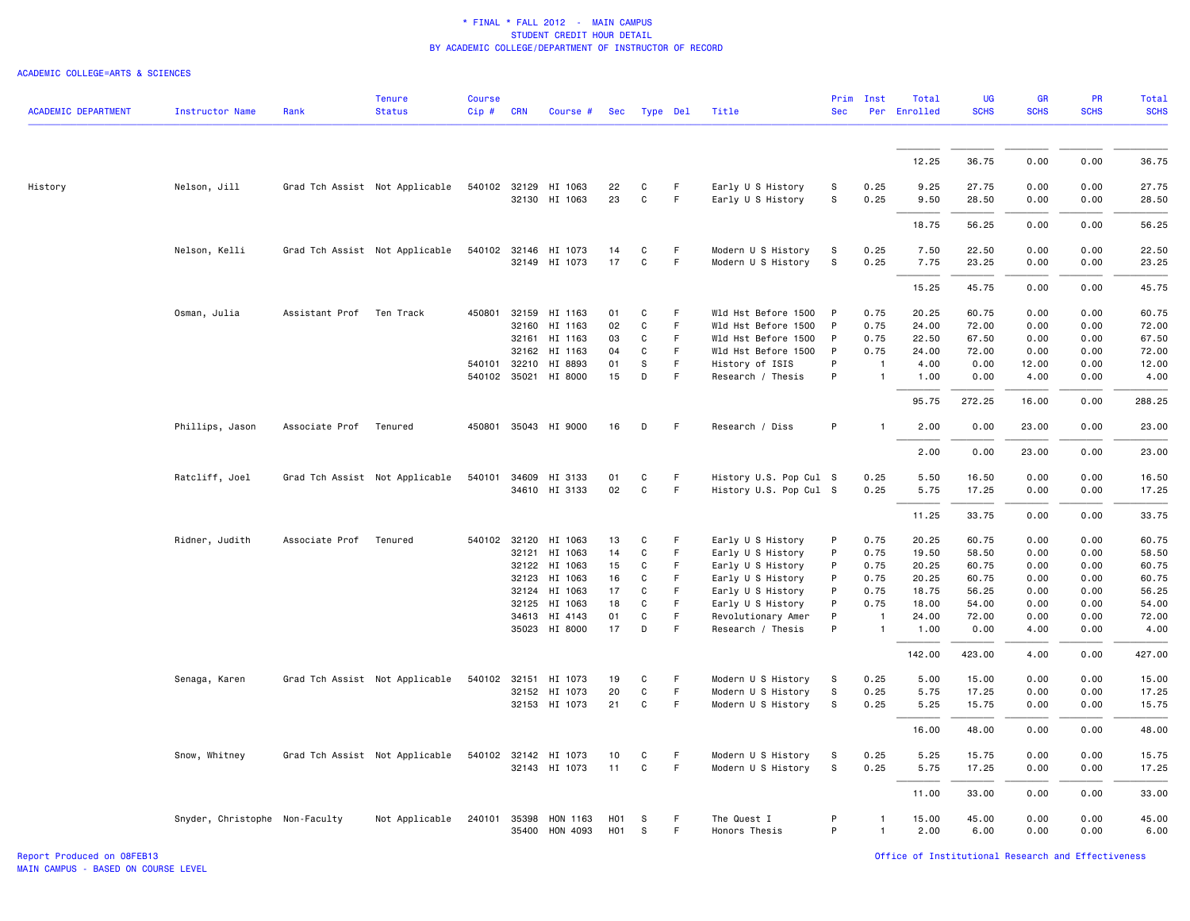#### ACADEMIC COLLEGE=ARTS & SCIENCES

|                            |                                |                          | <b>Tenure</b>                  | <b>Course</b> |            |                      |                  |              |             |                        | Prim         | Inst           | Total        | <b>UG</b>   | <b>GR</b>   | <b>PR</b>   | Total       |
|----------------------------|--------------------------------|--------------------------|--------------------------------|---------------|------------|----------------------|------------------|--------------|-------------|------------------------|--------------|----------------|--------------|-------------|-------------|-------------|-------------|
| <b>ACADEMIC DEPARTMENT</b> | <b>Instructor Name</b>         | Rank                     | <b>Status</b>                  | Cip#          | <b>CRN</b> | Course #             | <b>Sec</b>       |              | Type Del    | Title                  | <b>Sec</b>   |                | Per Enrolled | <b>SCHS</b> | <b>SCHS</b> | <b>SCHS</b> | <b>SCHS</b> |
|                            |                                |                          |                                |               |            |                      |                  |              |             |                        |              |                |              |             |             |             |             |
|                            |                                |                          |                                |               |            |                      |                  |              |             |                        |              |                | 12.25        | 36.75       | 0.00        | 0.00        | 36.75       |
| History                    | Nelson, Jill                   |                          | Grad Tch Assist Not Applicable |               |            | 540102 32129 HI 1063 | 22               | C            | F           | Early U S History      | s            | 0.25           | 9.25         | 27.75       | 0.00        | 0.00        | 27.75       |
|                            |                                |                          |                                |               |            | 32130 HI 1063        | 23               | C            | F           | Early U S History      | s            | 0.25           | 9.50         | 28.50       | 0.00        | 0.00        | 28.50       |
|                            |                                |                          |                                |               |            |                      |                  |              |             |                        |              |                | 18.75        | 56.25       | 0.00        | 0.00        | 56.25       |
|                            | Nelson, Kelli                  |                          | Grad Tch Assist Not Applicable |               |            | 540102 32146 HI 1073 | 14               | C            | F           | Modern U S History     | S            | 0.25           | 7.50         | 22.50       | 0.00        | 0.00        | 22.50       |
|                            |                                |                          |                                |               |            | 32149 HI 1073        | 17               | $\mathtt{C}$ | F           | Modern U S History     | S            | 0.25           | 7.75         | 23.25       | 0.00        | 0.00        | 23.25       |
|                            |                                |                          |                                |               |            |                      |                  |              |             |                        |              |                | 15.25        | 45.75       | 0.00        | 0.00        | 45.75       |
|                            | Osman, Julia                   | Assistant Prof Ten Track |                                | 450801        |            | 32159 HI 1163        | 01               | C            | F.          | Wld Hst Before 1500    | $\mathsf{P}$ | 0.75           | 20.25        | 60.75       | 0.00        | 0.00        | 60.75       |
|                            |                                |                          |                                |               | 32160      | HI 1163              | 02               | C            | F           | Wld Hst Before 1500    | P            | 0.75           | 24.00        | 72.00       | 0.00        | 0.00        | 72.00       |
|                            |                                |                          |                                |               |            | 32161 HI 1163        | 03               | $\mathsf{C}$ | $\mathsf F$ | Wld Hst Before 1500    | $\mathsf{P}$ | 0.75           | 22.50        | 67.50       | 0.00        | 0.00        | 67.50       |
|                            |                                |                          |                                |               |            | 32162 HI 1163        | 04               | C            | F           | Wld Hst Before 1500    | P            | 0.75           | 24.00        | 72.00       | 0.00        | 0.00        | 72.00       |
|                            |                                |                          |                                | 540101        |            | 32210 HI 8893        | 01               | S            | $\mathsf F$ | History of ISIS        | P            | $\overline{1}$ | 4.00         | 0.00        | 12.00       | 0.00        | 12.00       |
|                            |                                |                          |                                |               |            | 540102 35021 HI 8000 | 15               | D            | F           | Research / Thesis      | P            | $\mathbf{1}$   | 1.00         | 0.00        | 4.00        | 0.00        | 4.00        |
|                            |                                |                          |                                |               |            |                      |                  |              |             |                        |              |                | 95.75        | 272.25      | 16.00       | 0.00        | 288.25      |
|                            | Phillips, Jason                | Associate Prof Tenured   |                                |               |            | 450801 35043 HI 9000 | 16               | D            | F           | Research / Diss        | P            |                | 2.00         | 0.00        | 23.00       | 0.00        | 23.00       |
|                            |                                |                          |                                |               |            |                      |                  |              |             |                        |              |                | 2.00         | 0.00        | 23.00       | 0.00        | 23.00       |
|                            | Ratcliff, Joel                 |                          | Grad Tch Assist Not Applicable | 540101        | 34609      | HI 3133              | 01               | C            | F           | History U.S. Pop Cul S |              | 0.25           | 5.50         | 16.50       | 0.00        | 0.00        | 16.50       |
|                            |                                |                          |                                |               |            | 34610 HI 3133        | 02               | C            | $\mathsf F$ | History U.S. Pop Cul S |              | 0.25           | 5.75         | 17.25       | 0.00        | 0.00        | 17.25       |
|                            |                                |                          |                                |               |            |                      |                  |              |             |                        |              |                | 11.25        | 33.75       | 0.00        | 0.00        | 33.75       |
|                            | Ridner, Judith                 | Associate Prof           | Tenured                        |               |            | 540102 32120 HI 1063 | 13               | C            | F           | Early U S History      | P            | 0.75           | 20.25        | 60.75       | 0.00        | 0.00        | 60.75       |
|                            |                                |                          |                                |               | 32121      | HI 1063              | 14               | C            | $\mathsf F$ | Early U S History      | P            | 0.75           | 19.50        | 58.50       | 0.00        | 0.00        | 58.50       |
|                            |                                |                          |                                |               |            | 32122 HI 1063        | 15               | C            | F           | Early U S History      | P            | 0.75           | 20.25        | 60.75       | 0.00        | 0.00        | 60.75       |
|                            |                                |                          |                                |               | 32123      | HI 1063              | 16               | $\mathbf C$  | F           | Early U S History      | P            | 0.75           | 20.25        | 60.75       | 0.00        | 0.00        | 60.75       |
|                            |                                |                          |                                |               | 32124      | HI 1063              | 17               | C            | F           | Early U S History      | P            | 0.75           | 18.75        | 56.25       | 0.00        | 0.00        | 56.25       |
|                            |                                |                          |                                |               | 32125      | HI 1063              | 18               | C            | F           | Early U S History      | P            | 0.75           | 18.00        | 54.00       | 0.00        | 0.00        | 54.00       |
|                            |                                |                          |                                |               |            | 34613 HI 4143        | 01               | C            | F           | Revolutionary Amer     | P            | -1             | 24.00        | 72.00       | 0.00        | 0.00        | 72.00       |
|                            |                                |                          |                                |               |            | 35023 HI 8000        | 17               | D            | F           | Research / Thesis      | P            | $\mathbf{1}$   | 1.00         | 0.00        | 4.00        | 0.00        | 4.00        |
|                            |                                |                          |                                |               |            |                      |                  |              |             |                        |              |                | 142.00       | 423.00      | 4.00        | 0.00        | 427.00      |
|                            | Senaga, Karen                  |                          | Grad Tch Assist Not Applicable | 540102        | 32151      | HI 1073              | 19               | C            | F           | Modern U S History     | S            | 0.25           | 5.00         | 15.00       | 0.00        | 0.00        | 15.00       |
|                            |                                |                          |                                |               |            | 32152 HI 1073        | 20               | C            | $\mathsf F$ | Modern U S History     | s            | 0.25           | 5.75         | 17.25       | 0.00        | 0.00        | 17.25       |
|                            |                                |                          |                                |               |            | 32153 HI 1073        | 21               | $\mathsf{C}$ | $\mathsf F$ | Modern U S History     | ${\tt S}$    | 0.25           | 5.25         | 15.75       | 0.00        | 0.00        | 15.75       |
|                            |                                |                          |                                |               |            |                      |                  |              |             |                        |              |                | 16.00        | 48.00       | 0.00        | 0.00        | 48.00       |
|                            | Snow, Whitney                  |                          | Grad Tch Assist Not Applicable |               |            | 540102 32142 HI 1073 | 10               | C            | F           | Modern U S History     | S.           | 0.25           | 5.25         | 15.75       | 0.00        | 0.00        | 15.75       |
|                            |                                |                          |                                |               |            | 32143 HI 1073        | 11               | $\mathsf{C}$ | $\mathsf F$ | Modern U S History     | s            | 0.25           | 5.75         | 17.25       | 0.00        | 0.00        | 17.25       |
|                            |                                |                          |                                |               |            |                      |                  |              |             |                        |              |                | 11.00        | 33.00       | 0.00        | 0.00        | 33.00       |
|                            | Snyder, Christophe Non-Faculty |                          | Not Applicable                 | 240101        | 35398      | HON 1163             | H <sub>0</sub> 1 | -S           | F           | The Quest I            | P            |                | 15.00        | 45.00       | 0.00        | 0.00        | 45.00       |
|                            |                                |                          |                                |               |            | 35400 HON 4093       | H <sub>0</sub> 1 | s            | F           | Honors Thesis          | P            | 1              | 2.00         | 6.00        | 0.00        | 0.00        | 6.00        |

Report Produced on 08FEB13 Office of Institutional Research and Effectiveness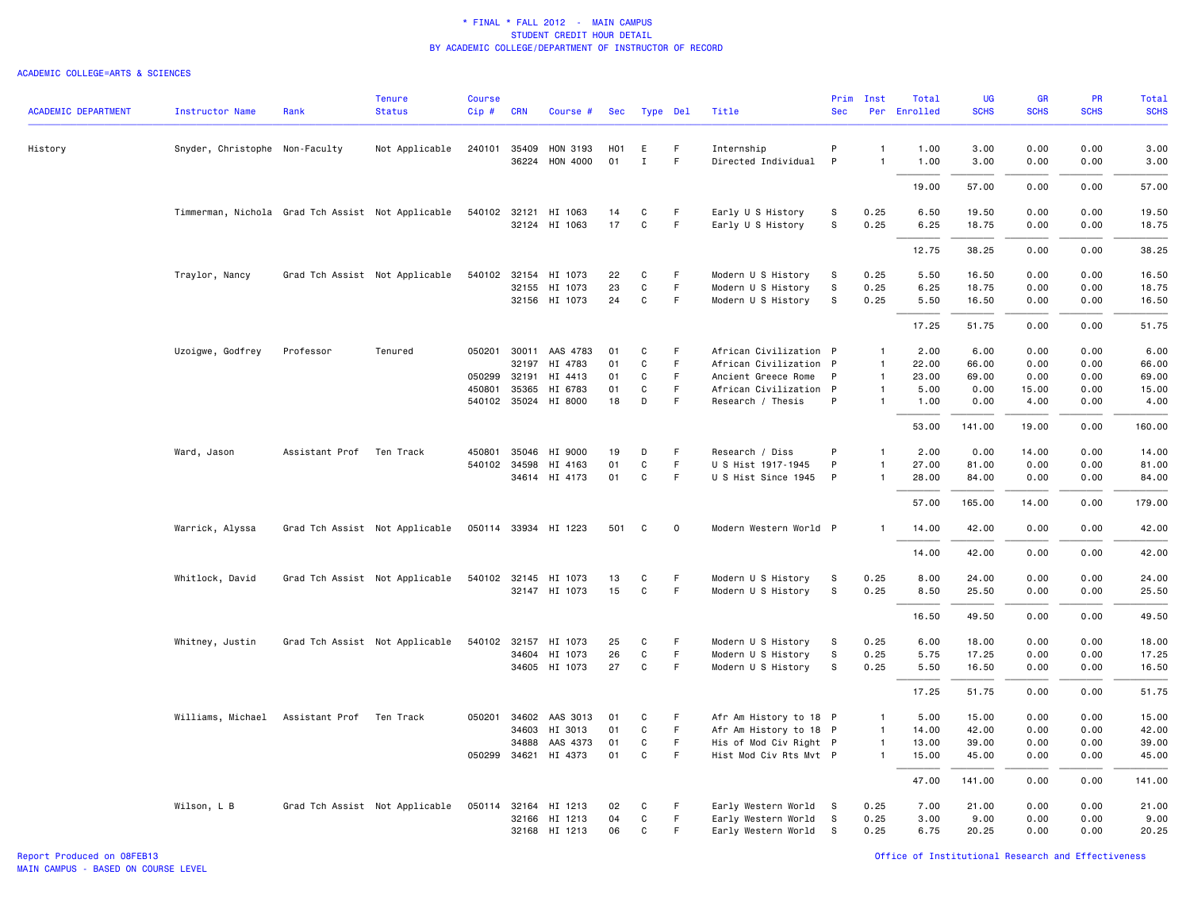| <b>ACADEMIC DEPARTMENT</b> | <b>Instructor Name</b>                            | Rank           | <b>Tenure</b><br><b>Status</b> | <b>Course</b><br>Cip# | <b>CRN</b>   | Course #                                |           | Sec Type Del     |             | Title                             | <b>Sec</b> | Prim Inst                        | Total<br>Per Enrolled | UG<br><b>SCHS</b> | <b>GR</b><br><b>SCHS</b> | PR<br><b>SCHS</b> | Total<br><b>SCHS</b> |
|----------------------------|---------------------------------------------------|----------------|--------------------------------|-----------------------|--------------|-----------------------------------------|-----------|------------------|-------------|-----------------------------------|------------|----------------------------------|-----------------------|-------------------|--------------------------|-------------------|----------------------|
| History                    | Snyder, Christophe Non-Faculty                    |                | Not Applicable                 |                       |              | 240101 35409 HON 3193<br>36224 HON 4000 | H01<br>01 | E<br>$\mathbf I$ | F.<br>F.    | Internship<br>Directed Individual | P<br>P     | $\overline{1}$<br>$\overline{1}$ | 1.00<br>1.00          | 3.00<br>3.00      | 0.00<br>0.00             | 0.00<br>0.00      | 3.00<br>3.00         |
|                            |                                                   |                |                                |                       |              |                                         |           |                  |             |                                   |            |                                  | 19.00                 | 57.00             | 0.00                     | 0.00              | 57.00                |
|                            | Timmerman, Nichola Grad Tch Assist Not Applicable |                |                                |                       |              | 540102 32121 HI 1063                    | 14        | C                | F           | Early U S History                 | s          | 0.25                             | 6.50                  | 19.50             | 0.00                     | 0.00              | 19.50                |
|                            |                                                   |                |                                |                       |              | 32124 HI 1063                           | 17        | $\mathsf{C}$     | F           | Early U S History                 | s          | 0.25                             | 6.25                  | 18.75             | 0.00                     | 0.00              | 18.75                |
|                            |                                                   |                |                                |                       |              |                                         |           |                  |             |                                   |            |                                  | 12.75                 | 38.25             | 0.00                     | 0.00              | 38.25                |
|                            | Traylor, Nancy                                    |                | Grad Tch Assist Not Applicable |                       |              | 540102 32154 HI 1073                    | 22        | C                | F           | Modern U S History                | s          | 0.25                             | 5.50                  | 16.50             | 0.00                     | 0.00              | 16.50                |
|                            |                                                   |                |                                |                       |              | 32155 HI 1073                           | 23        | $\mathtt{C}$     | F.          | Modern U S History                | s          | 0.25                             | 6.25                  | 18.75             | 0.00                     | 0.00              | 18.75                |
|                            |                                                   |                |                                |                       |              | 32156 HI 1073                           | 24        | C                | F.          | Modern U S History                | s          | 0.25                             | 5.50                  | 16.50             | 0.00                     | 0.00              | 16.50                |
|                            |                                                   |                |                                |                       |              |                                         |           |                  |             |                                   |            |                                  | 17.25                 | 51.75             | 0.00                     | 0.00              | 51.75                |
|                            | Uzoigwe, Godfrey                                  | Professor      | Tenured                        | 050201                |              | 30011 AAS 4783                          | 01        | C                | F           | African Civilization P            |            | $\mathbf{1}$                     | 2.00                  | 6.00              | 0.00                     | 0.00              | 6.00                 |
|                            |                                                   |                |                                |                       | 32197        | HI 4783                                 | 01        | $\mathbf C$      | F           | African Civilization P            |            | $\overline{1}$                   | 22.00                 | 66.00             | 0.00                     | 0.00              | 66.00                |
|                            |                                                   |                |                                |                       | 050299 32191 | HI 4413                                 | 01        | C                | F.          | Ancient Greece Rome               | P          | $\overline{1}$                   | 23.00                 | 69.00             | 0.00                     | 0.00              | 69.00                |
|                            |                                                   |                |                                | 450801                | 35365        | HI 6783                                 | 01        | $\mathbf C$      | F           | African Civilization P            |            | $\overline{1}$                   | 5.00                  | 0.00              | 15.00                    | 0.00              | 15.00                |
|                            |                                                   |                |                                |                       |              | 540102 35024 HI 8000                    | 18        | D                | F           | Research / Thesis                 | P          | $\mathbf{1}$                     | 1.00                  | 0.00              | 4.00                     | 0.00              | 4.00                 |
|                            |                                                   |                |                                |                       |              |                                         |           |                  |             |                                   |            |                                  | 53.00                 | 141.00            | 19.00                    | 0.00              | 160.00               |
|                            | Ward, Jason                                       | Assistant Prof | Ten Track                      | 450801                |              | 35046 HI 9000                           | 19        | D                | F           | Research / Diss                   | P          | $\overline{1}$                   | 2.00                  | 0.00              | 14.00                    | 0.00              | 14.00                |
|                            |                                                   |                |                                |                       | 540102 34598 | HI 4163                                 | 01        | $\mathtt{C}$     | F.          | U S Hist 1917-1945                | P          | $\mathbf{1}$                     | 27.00                 | 81.00             | 0.00                     | 0.00              | 81.00                |
|                            |                                                   |                |                                |                       |              | 34614 HI 4173                           | 01        | C                | F.          | U S Hist Since 1945               | P          | $\overline{1}$                   | 28.00                 | 84.00             | 0.00                     | 0.00              | 84.00                |
|                            |                                                   |                |                                |                       |              |                                         |           |                  |             |                                   |            |                                  | 57.00                 | 165.00            | 14.00                    | 0.00              | 179.00               |
|                            | Warrick, Alyssa                                   |                | Grad Tch Assist Not Applicable |                       |              | 050114 33934 HI 1223                    | 501       | C                | $\mathbf 0$ | Modern Western World P            |            | $\overline{1}$                   | 14.00                 | 42.00             | 0.00                     | 0.00              | 42.00                |
|                            |                                                   |                |                                |                       |              |                                         |           |                  |             |                                   |            |                                  | 14.00                 | 42.00             | 0.00                     | 0.00              | 42.00                |
|                            | Whitlock, David                                   |                | Grad Tch Assist Not Applicable |                       |              | 540102 32145 HI 1073                    | 13        | C                | F           | Modern U S History                | S          | 0.25                             | 8.00                  | 24.00             | 0.00                     | 0.00              | 24.00                |
|                            |                                                   |                |                                |                       |              | 32147 HI 1073                           | 15        | C                | F.          | Modern U S History                | S          | 0.25                             | 8.50                  | 25.50             | 0.00                     | 0.00              | 25.50                |
|                            |                                                   |                |                                |                       |              |                                         |           |                  |             |                                   |            |                                  | 16.50                 | 49.50             | 0.00                     | 0.00              | 49.50                |
|                            | Whitney, Justin                                   |                | Grad Tch Assist Not Applicable |                       |              | 540102 32157 HI 1073                    | 25        | C                | F           | Modern U S History                | S          | 0.25                             | 6.00                  | 18.00             | 0.00                     | 0.00              | 18.00                |
|                            |                                                   |                |                                |                       |              | 34604 HI 1073                           | 26        | C                | F.          | Modern U S History                | s          | 0.25                             | 5.75                  | 17.25             | 0.00                     | 0.00              | 17.25                |
|                            |                                                   |                |                                |                       |              | 34605 HI 1073                           | 27        | $\mathsf{C}$     | F           | Modern U S History                | s          | 0.25                             | 5.50                  | 16.50             | 0.00                     | 0.00              | 16.50                |
|                            |                                                   |                |                                |                       |              |                                         |           |                  |             |                                   |            |                                  | 17.25                 | 51.75             | 0.00                     | 0.00              | 51.75                |
|                            | Williams, Michael                                 | Assistant Prof | Ten Track                      | 050201                |              | 34602 AAS 3013                          | 01        | C                | F           | Afr Am History to 18 P            |            | $\overline{1}$                   | 5.00                  | 15.00             | 0.00                     | 0.00              | 15.00                |
|                            |                                                   |                |                                |                       | 34603        | HI 3013                                 | 01        | C                | F.          | Afr Am History to 18 P            |            | $\overline{1}$                   | 14.00                 | 42.00             | 0.00                     | 0.00              | 42.00                |
|                            |                                                   |                |                                |                       | 34888        | AAS 4373                                | 01        | C                | F.          | His of Mod Civ Right P            |            | $\overline{1}$                   | 13.00                 | 39.00             | 0.00                     | 0.00              | 39.00                |
|                            |                                                   |                |                                |                       |              | 050299 34621 HI 4373                    | 01        | $\mathsf{C}$     | F.          | Hist Mod Civ Rts Mvt P            |            | $\overline{1}$                   | 15.00                 | 45.00             | 0.00                     | 0.00              | 45.00                |
|                            |                                                   |                |                                |                       |              |                                         |           |                  |             |                                   |            |                                  | 47.00                 | 141.00            | 0.00                     | 0.00              | 141.00               |
|                            | Wilson, L B                                       |                | Grad Tch Assist Not Applicable |                       |              | 050114 32164 HI 1213                    | 02        | C                | F           | Early Western World               | S.         | 0.25                             | 7.00                  | 21.00             | 0.00                     | 0.00              | 21.00                |
|                            |                                                   |                |                                |                       | 32166        | HI 1213                                 | 04        | $\mathtt{C}$     | F.          | Early Western World               | S          | 0.25                             | 3.00                  | 9.00              | 0.00                     | 0.00              | 9.00                 |
|                            |                                                   |                |                                |                       |              | 32168 HI 1213                           | 06        | $\mathbf C$      | F           | Early Western World               | S          | 0.25                             | 6.75                  | 20.25             | 0.00                     | 0.00              | 20.25                |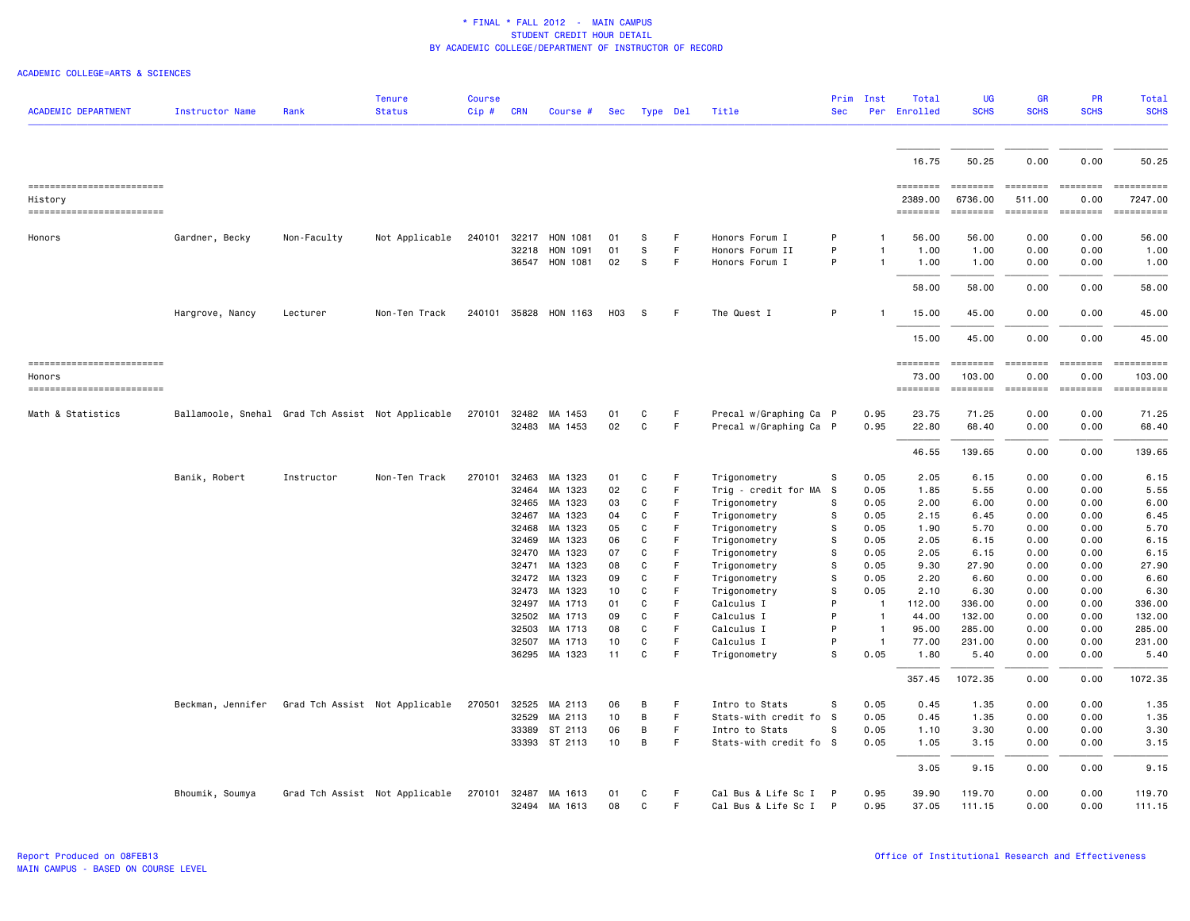| <b>ACADEMIC DEPARTMENT</b> | Instructor Name                                   | Rank                           | <b>Tenure</b><br><b>Status</b> | <b>Course</b><br>$Cip$ # | <b>CRN</b>     | Course #              | Sec      | Type Del     |         | Title                        | Prim<br><b>Sec</b> | Inst<br>Per  | Total<br>Enrolled | <b>UG</b><br><b>SCHS</b>                                                                                                                                                                                                                                                                                                                                                                                                                                                               | <b>GR</b><br><b>SCHS</b>                                                                                                                                                                                                                                                                                                                                                                                                                                                               | <b>PR</b><br><b>SCHS</b>                                                                                                                                                                                                                                                                                                                                                                                                                                                               | Total<br><b>SCHS</b> |
|----------------------------|---------------------------------------------------|--------------------------------|--------------------------------|--------------------------|----------------|-----------------------|----------|--------------|---------|------------------------------|--------------------|--------------|-------------------|----------------------------------------------------------------------------------------------------------------------------------------------------------------------------------------------------------------------------------------------------------------------------------------------------------------------------------------------------------------------------------------------------------------------------------------------------------------------------------------|----------------------------------------------------------------------------------------------------------------------------------------------------------------------------------------------------------------------------------------------------------------------------------------------------------------------------------------------------------------------------------------------------------------------------------------------------------------------------------------|----------------------------------------------------------------------------------------------------------------------------------------------------------------------------------------------------------------------------------------------------------------------------------------------------------------------------------------------------------------------------------------------------------------------------------------------------------------------------------------|----------------------|
|                            |                                                   |                                |                                |                          |                |                       |          |              |         |                              |                    |              |                   |                                                                                                                                                                                                                                                                                                                                                                                                                                                                                        |                                                                                                                                                                                                                                                                                                                                                                                                                                                                                        |                                                                                                                                                                                                                                                                                                                                                                                                                                                                                        |                      |
|                            |                                                   |                                |                                |                          |                |                       |          |              |         |                              |                    |              | 16.75             | 50.25                                                                                                                                                                                                                                                                                                                                                                                                                                                                                  | 0.00                                                                                                                                                                                                                                                                                                                                                                                                                                                                                   | 0.00                                                                                                                                                                                                                                                                                                                                                                                                                                                                                   | 50.25                |
| -------------------------  |                                                   |                                |                                |                          |                |                       |          |              |         |                              |                    |              | ========          | $\begin{array}{cccccccccc} \multicolumn{3}{c}{} & \multicolumn{3}{c}{} & \multicolumn{3}{c}{} & \multicolumn{3}{c}{} & \multicolumn{3}{c}{} & \multicolumn{3}{c}{} & \multicolumn{3}{c}{} & \multicolumn{3}{c}{} & \multicolumn{3}{c}{} & \multicolumn{3}{c}{} & \multicolumn{3}{c}{} & \multicolumn{3}{c}{} & \multicolumn{3}{c}{} & \multicolumn{3}{c}{} & \multicolumn{3}{c}{} & \multicolumn{3}{c}{} & \multicolumn{3}{c}{} & \multicolumn{3}{c}{} & \multicolumn{3}{c}{} & \mult$ | <b>EDEDEED</b>                                                                                                                                                                                                                                                                                                                                                                                                                                                                         | $= 10000000000$                                                                                                                                                                                                                                                                                                                                                                                                                                                                        | ==========           |
| History                    |                                                   |                                |                                |                          |                |                       |          |              |         |                              |                    |              | 2389.00           | 6736.00                                                                                                                                                                                                                                                                                                                                                                                                                                                                                | 511.00                                                                                                                                                                                                                                                                                                                                                                                                                                                                                 | 0.00                                                                                                                                                                                                                                                                                                                                                                                                                                                                                   | 7247.00              |
| ------------------------   |                                                   |                                |                                |                          |                |                       |          |              |         |                              |                    |              | ========          | ========                                                                                                                                                                                                                                                                                                                                                                                                                                                                               | <b>COOPERDE</b>                                                                                                                                                                                                                                                                                                                                                                                                                                                                        | <b>EBBEREE</b>                                                                                                                                                                                                                                                                                                                                                                                                                                                                         |                      |
| Honors                     | Gardner, Becky                                    | Non-Faculty                    | Not Applicable                 | 240101                   | 32217          | HON 1081              | 01       | s            | F       | Honors Forum I               | P                  |              | 56.00             | 56.00                                                                                                                                                                                                                                                                                                                                                                                                                                                                                  | 0.00                                                                                                                                                                                                                                                                                                                                                                                                                                                                                   | 0.00                                                                                                                                                                                                                                                                                                                                                                                                                                                                                   | 56.00                |
|                            |                                                   |                                |                                |                          | 32218          | HON 1091              | 01       | s            | F.      | Honors Forum II              | P                  | $\mathbf{1}$ | 1.00              | 1.00                                                                                                                                                                                                                                                                                                                                                                                                                                                                                   | 0.00                                                                                                                                                                                                                                                                                                                                                                                                                                                                                   | 0.00                                                                                                                                                                                                                                                                                                                                                                                                                                                                                   | 1.00                 |
|                            |                                                   |                                |                                |                          | 36547          | HON 1081              | 02       | S            | F       | Honors Forum I               | P                  | -1           | 1.00              | 1.00                                                                                                                                                                                                                                                                                                                                                                                                                                                                                   | 0.00                                                                                                                                                                                                                                                                                                                                                                                                                                                                                   | 0.00                                                                                                                                                                                                                                                                                                                                                                                                                                                                                   | 1.00                 |
|                            |                                                   |                                |                                |                          |                |                       |          |              |         |                              |                    |              | 58.00             | 58.00                                                                                                                                                                                                                                                                                                                                                                                                                                                                                  | 0.00                                                                                                                                                                                                                                                                                                                                                                                                                                                                                   | 0.00                                                                                                                                                                                                                                                                                                                                                                                                                                                                                   | 58.00                |
|                            | Hargrove, Nancy                                   | Lecturer                       | Non-Ten Track                  |                          |                | 240101 35828 HON 1163 | HO3      | -S           | F       | The Quest I                  | P                  |              | 15.00             | 45.00                                                                                                                                                                                                                                                                                                                                                                                                                                                                                  | 0.00                                                                                                                                                                                                                                                                                                                                                                                                                                                                                   | 0.00                                                                                                                                                                                                                                                                                                                                                                                                                                                                                   | 45.00                |
|                            |                                                   |                                |                                |                          |                |                       |          |              |         |                              |                    |              | 15.00             | 45.00                                                                                                                                                                                                                                                                                                                                                                                                                                                                                  | 0.00                                                                                                                                                                                                                                                                                                                                                                                                                                                                                   | 0.00                                                                                                                                                                                                                                                                                                                                                                                                                                                                                   | 45.00                |
| ------------------------   |                                                   |                                |                                |                          |                |                       |          |              |         |                              |                    |              | ========          | $\begin{array}{cccccccccc} \multicolumn{2}{c}{} & \multicolumn{2}{c}{} & \multicolumn{2}{c}{} & \multicolumn{2}{c}{} & \multicolumn{2}{c}{} & \multicolumn{2}{c}{} & \multicolumn{2}{c}{} & \multicolumn{2}{c}{} & \multicolumn{2}{c}{} & \multicolumn{2}{c}{} & \multicolumn{2}{c}{} & \multicolumn{2}{c}{} & \multicolumn{2}{c}{} & \multicolumn{2}{c}{} & \multicolumn{2}{c}{} & \multicolumn{2}{c}{} & \multicolumn{2}{c}{} & \multicolumn{2}{c}{} & \multicolumn{2}{c}{} & \mult$ | $\begin{array}{cccccccccc} \multicolumn{2}{c}{} & \multicolumn{2}{c}{} & \multicolumn{2}{c}{} & \multicolumn{2}{c}{} & \multicolumn{2}{c}{} & \multicolumn{2}{c}{} & \multicolumn{2}{c}{} & \multicolumn{2}{c}{} & \multicolumn{2}{c}{} & \multicolumn{2}{c}{} & \multicolumn{2}{c}{} & \multicolumn{2}{c}{} & \multicolumn{2}{c}{} & \multicolumn{2}{c}{} & \multicolumn{2}{c}{} & \multicolumn{2}{c}{} & \multicolumn{2}{c}{} & \multicolumn{2}{c}{} & \multicolumn{2}{c}{} & \mult$ | $\begin{array}{cccccccccc} \multicolumn{2}{c}{} & \multicolumn{2}{c}{} & \multicolumn{2}{c}{} & \multicolumn{2}{c}{} & \multicolumn{2}{c}{} & \multicolumn{2}{c}{} & \multicolumn{2}{c}{} & \multicolumn{2}{c}{} & \multicolumn{2}{c}{} & \multicolumn{2}{c}{} & \multicolumn{2}{c}{} & \multicolumn{2}{c}{} & \multicolumn{2}{c}{} & \multicolumn{2}{c}{} & \multicolumn{2}{c}{} & \multicolumn{2}{c}{} & \multicolumn{2}{c}{} & \multicolumn{2}{c}{} & \multicolumn{2}{c}{} & \mult$ | ==========           |
| Honors                     |                                                   |                                |                                |                          |                |                       |          |              |         |                              |                    |              | 73.00             | 103.00                                                                                                                                                                                                                                                                                                                                                                                                                                                                                 | 0.00                                                                                                                                                                                                                                                                                                                                                                                                                                                                                   | 0.00                                                                                                                                                                                                                                                                                                                                                                                                                                                                                   | 103.00               |
| -------------------------  |                                                   |                                |                                |                          |                |                       |          |              |         |                              |                    |              | ========          | <b>EEEEEEEE</b>                                                                                                                                                                                                                                                                                                                                                                                                                                                                        | $\begin{array}{cccccccccc} \multicolumn{3}{c}{} & \multicolumn{3}{c}{} & \multicolumn{3}{c}{} & \multicolumn{3}{c}{} & \multicolumn{3}{c}{} & \multicolumn{3}{c}{} & \multicolumn{3}{c}{} & \multicolumn{3}{c}{} & \multicolumn{3}{c}{} & \multicolumn{3}{c}{} & \multicolumn{3}{c}{} & \multicolumn{3}{c}{} & \multicolumn{3}{c}{} & \multicolumn{3}{c}{} & \multicolumn{3}{c}{} & \multicolumn{3}{c}{} & \multicolumn{3}{c}{} & \multicolumn{3}{c}{} & \multicolumn{3}{c}{} & \mult$ |                                                                                                                                                                                                                                                                                                                                                                                                                                                                                        |                      |
| Math & Statistics          | Ballamoole, Snehal Grad Tch Assist Not Applicable |                                |                                | 270101                   |                | 32482 MA 1453         | 01       | C            | F       | Precal w/Graphing Ca P       |                    | 0.95         | 23.75             | 71.25                                                                                                                                                                                                                                                                                                                                                                                                                                                                                  | 0.00                                                                                                                                                                                                                                                                                                                                                                                                                                                                                   | 0.00                                                                                                                                                                                                                                                                                                                                                                                                                                                                                   | 71.25                |
|                            |                                                   |                                |                                |                          |                | 32483 MA 1453         | 02       | C            | F       | Precal w/Graphing Ca P       |                    | 0.95         | 22.80             | 68.40                                                                                                                                                                                                                                                                                                                                                                                                                                                                                  | 0.00                                                                                                                                                                                                                                                                                                                                                                                                                                                                                   | 0.00                                                                                                                                                                                                                                                                                                                                                                                                                                                                                   | 68.40                |
|                            |                                                   |                                |                                |                          |                |                       |          |              |         |                              |                    |              | 46.55             | 139.65                                                                                                                                                                                                                                                                                                                                                                                                                                                                                 | 0.00                                                                                                                                                                                                                                                                                                                                                                                                                                                                                   | 0.00                                                                                                                                                                                                                                                                                                                                                                                                                                                                                   | 139.65               |
|                            | Banik, Robert                                     | Instructor                     | Non-Ten Track                  | 270101                   | 32463          | MA 1323               | 01       | C            | F       | Trigonometry                 | s                  | 0.05         | 2.05              | 6.15                                                                                                                                                                                                                                                                                                                                                                                                                                                                                   | 0.00                                                                                                                                                                                                                                                                                                                                                                                                                                                                                   | 0.00                                                                                                                                                                                                                                                                                                                                                                                                                                                                                   | 6.15                 |
|                            |                                                   |                                |                                |                          | 32464          | MA 1323               | 02       | C            | F       | Trig - credit for MA         | s                  | 0.05         | 1.85              | 5.55                                                                                                                                                                                                                                                                                                                                                                                                                                                                                   | 0.00                                                                                                                                                                                                                                                                                                                                                                                                                                                                                   | 0.00                                                                                                                                                                                                                                                                                                                                                                                                                                                                                   | 5.55                 |
|                            |                                                   |                                |                                |                          | 32465          | MA 1323               | 03       | C            | F       | Trigonometry                 | S                  | 0.05         | 2.00              | 6.00                                                                                                                                                                                                                                                                                                                                                                                                                                                                                   | 0.00                                                                                                                                                                                                                                                                                                                                                                                                                                                                                   | 0.00                                                                                                                                                                                                                                                                                                                                                                                                                                                                                   | 6.00                 |
|                            |                                                   |                                |                                |                          | 32467          | MA 1323               | 04       | C            | F.      | Trigonometry                 | s                  | 0.05         | 2.15              | 6.45                                                                                                                                                                                                                                                                                                                                                                                                                                                                                   | 0.00                                                                                                                                                                                                                                                                                                                                                                                                                                                                                   | 0.00                                                                                                                                                                                                                                                                                                                                                                                                                                                                                   | 6.45                 |
|                            |                                                   |                                |                                |                          | 32468<br>32469 | MA 1323<br>MA 1323    | 05<br>06 | C<br>C       | F<br>F. | Trigonometry                 | s<br>S             | 0.05<br>0.05 | 1.90<br>2.05      | 5.70<br>6.15                                                                                                                                                                                                                                                                                                                                                                                                                                                                           | 0.00<br>0.00                                                                                                                                                                                                                                                                                                                                                                                                                                                                           | 0.00<br>0.00                                                                                                                                                                                                                                                                                                                                                                                                                                                                           | 5.70<br>6.15         |
|                            |                                                   |                                |                                |                          | 32470          | MA 1323               | 07       | C            | F       | Trigonometry<br>Trigonometry | S                  | 0.05         | 2.05              | 6.15                                                                                                                                                                                                                                                                                                                                                                                                                                                                                   | 0.00                                                                                                                                                                                                                                                                                                                                                                                                                                                                                   | 0.00                                                                                                                                                                                                                                                                                                                                                                                                                                                                                   | 6.15                 |
|                            |                                                   |                                |                                |                          | 32471          | MA 1323               | 08       | C            | F       | Trigonometry                 | S                  | 0.05         | 9.30              | 27.90                                                                                                                                                                                                                                                                                                                                                                                                                                                                                  | 0.00                                                                                                                                                                                                                                                                                                                                                                                                                                                                                   | 0.00                                                                                                                                                                                                                                                                                                                                                                                                                                                                                   | 27.90                |
|                            |                                                   |                                |                                |                          | 32472          | MA 1323               | 09       | C            | F       | Trigonometry                 | s                  | 0.05         | 2.20              | 6.60                                                                                                                                                                                                                                                                                                                                                                                                                                                                                   | 0.00                                                                                                                                                                                                                                                                                                                                                                                                                                                                                   | 0.00                                                                                                                                                                                                                                                                                                                                                                                                                                                                                   | 6.60                 |
|                            |                                                   |                                |                                |                          | 32473          | MA 1323               | 10       | C            | F       | Trigonometry                 | s                  | 0.05         | 2.10              | 6.30                                                                                                                                                                                                                                                                                                                                                                                                                                                                                   | 0.00                                                                                                                                                                                                                                                                                                                                                                                                                                                                                   | 0.00                                                                                                                                                                                                                                                                                                                                                                                                                                                                                   | 6.30                 |
|                            |                                                   |                                |                                |                          | 32497          | MA 1713               | 01       | C            | F       | Calculus I                   | P                  | $\mathbf{1}$ | 112.00            | 336.00                                                                                                                                                                                                                                                                                                                                                                                                                                                                                 | 0.00                                                                                                                                                                                                                                                                                                                                                                                                                                                                                   | 0.00                                                                                                                                                                                                                                                                                                                                                                                                                                                                                   | 336.00               |
|                            |                                                   |                                |                                |                          | 32502          | MA 1713               | 09       | C            | F       | Calculus I                   | P                  |              | 44.00             | 132.00                                                                                                                                                                                                                                                                                                                                                                                                                                                                                 | 0.00                                                                                                                                                                                                                                                                                                                                                                                                                                                                                   | 0.00                                                                                                                                                                                                                                                                                                                                                                                                                                                                                   | 132.00               |
|                            |                                                   |                                |                                |                          | 32503          | MA 1713               | 08       | C            | F       | Calculus I                   | P                  | $\mathbf{1}$ | 95.00             | 285.00                                                                                                                                                                                                                                                                                                                                                                                                                                                                                 | 0.00                                                                                                                                                                                                                                                                                                                                                                                                                                                                                   | 0.00                                                                                                                                                                                                                                                                                                                                                                                                                                                                                   | 285.00               |
|                            |                                                   |                                |                                |                          | 32507          | MA 1713               | 10       | $\mathsf{C}$ | F       | Calculus I                   | P                  | $\mathbf{1}$ | 77.00             | 231.00                                                                                                                                                                                                                                                                                                                                                                                                                                                                                 | 0.00                                                                                                                                                                                                                                                                                                                                                                                                                                                                                   | 0.00                                                                                                                                                                                                                                                                                                                                                                                                                                                                                   | 231.00               |
|                            |                                                   |                                |                                |                          | 36295          | MA 1323               | 11       | C            | F       | Trigonometry                 | s                  | 0.05         | 1.80              | 5.40                                                                                                                                                                                                                                                                                                                                                                                                                                                                                   | 0.00                                                                                                                                                                                                                                                                                                                                                                                                                                                                                   | 0.00                                                                                                                                                                                                                                                                                                                                                                                                                                                                                   | 5.40                 |
|                            |                                                   |                                |                                |                          |                |                       |          |              |         |                              |                    |              | 357.45            | 1072.35                                                                                                                                                                                                                                                                                                                                                                                                                                                                                | 0.00                                                                                                                                                                                                                                                                                                                                                                                                                                                                                   | 0.00                                                                                                                                                                                                                                                                                                                                                                                                                                                                                   | 1072.35              |
|                            | Beckman, Jennifer                                 | Grad Tch Assist Not Applicable |                                | 270501                   | 32525          | MA 2113               | 06       | B            | F       | Intro to Stats               | S                  | 0.05         | 0.45              | 1.35                                                                                                                                                                                                                                                                                                                                                                                                                                                                                   | 0.00                                                                                                                                                                                                                                                                                                                                                                                                                                                                                   | 0.00                                                                                                                                                                                                                                                                                                                                                                                                                                                                                   | 1.35                 |
|                            |                                                   |                                |                                |                          | 32529          | MA 2113               | 10       | B            | F       | Stats-with credit fo         | - S                | 0.05         | 0.45              | 1.35                                                                                                                                                                                                                                                                                                                                                                                                                                                                                   | 0.00                                                                                                                                                                                                                                                                                                                                                                                                                                                                                   | 0.00                                                                                                                                                                                                                                                                                                                                                                                                                                                                                   | 1.35                 |
|                            |                                                   |                                |                                |                          | 33389          | ST 2113               | 06       | B            | F.      | Intro to Stats               | S                  | 0.05         | 1.10              | 3.30                                                                                                                                                                                                                                                                                                                                                                                                                                                                                   | 0.00                                                                                                                                                                                                                                                                                                                                                                                                                                                                                   | 0.00                                                                                                                                                                                                                                                                                                                                                                                                                                                                                   | 3.30                 |
|                            |                                                   |                                |                                |                          |                | 33393 ST 2113         | 10       | В            | F       | Stats-with credit fo S       |                    | 0.05         | 1.05              | 3.15                                                                                                                                                                                                                                                                                                                                                                                                                                                                                   | 0.00                                                                                                                                                                                                                                                                                                                                                                                                                                                                                   | 0.00                                                                                                                                                                                                                                                                                                                                                                                                                                                                                   | 3.15                 |
|                            |                                                   |                                |                                |                          |                |                       |          |              |         |                              |                    |              | 3.05              | 9.15                                                                                                                                                                                                                                                                                                                                                                                                                                                                                   | 0.00                                                                                                                                                                                                                                                                                                                                                                                                                                                                                   | 0.00                                                                                                                                                                                                                                                                                                                                                                                                                                                                                   | 9.15                 |
|                            | Bhoumik, Soumya                                   |                                | Grad Tch Assist Not Applicable | 270101                   | 32487          | MA 1613               | 01       | C            | F       | Cal Bus & Life Sc I          | $\mathsf{P}$       | 0.95         | 39.90             | 119.70                                                                                                                                                                                                                                                                                                                                                                                                                                                                                 | 0.00                                                                                                                                                                                                                                                                                                                                                                                                                                                                                   | 0.00                                                                                                                                                                                                                                                                                                                                                                                                                                                                                   | 119.70               |
|                            |                                                   |                                |                                |                          | 32494          | MA 1613               | 08       | C            | F.      | Cal Bus & Life Sc I          | P                  | 0.95         | 37.05             | 111.15                                                                                                                                                                                                                                                                                                                                                                                                                                                                                 | 0.00                                                                                                                                                                                                                                                                                                                                                                                                                                                                                   | 0.00                                                                                                                                                                                                                                                                                                                                                                                                                                                                                   | 111.15               |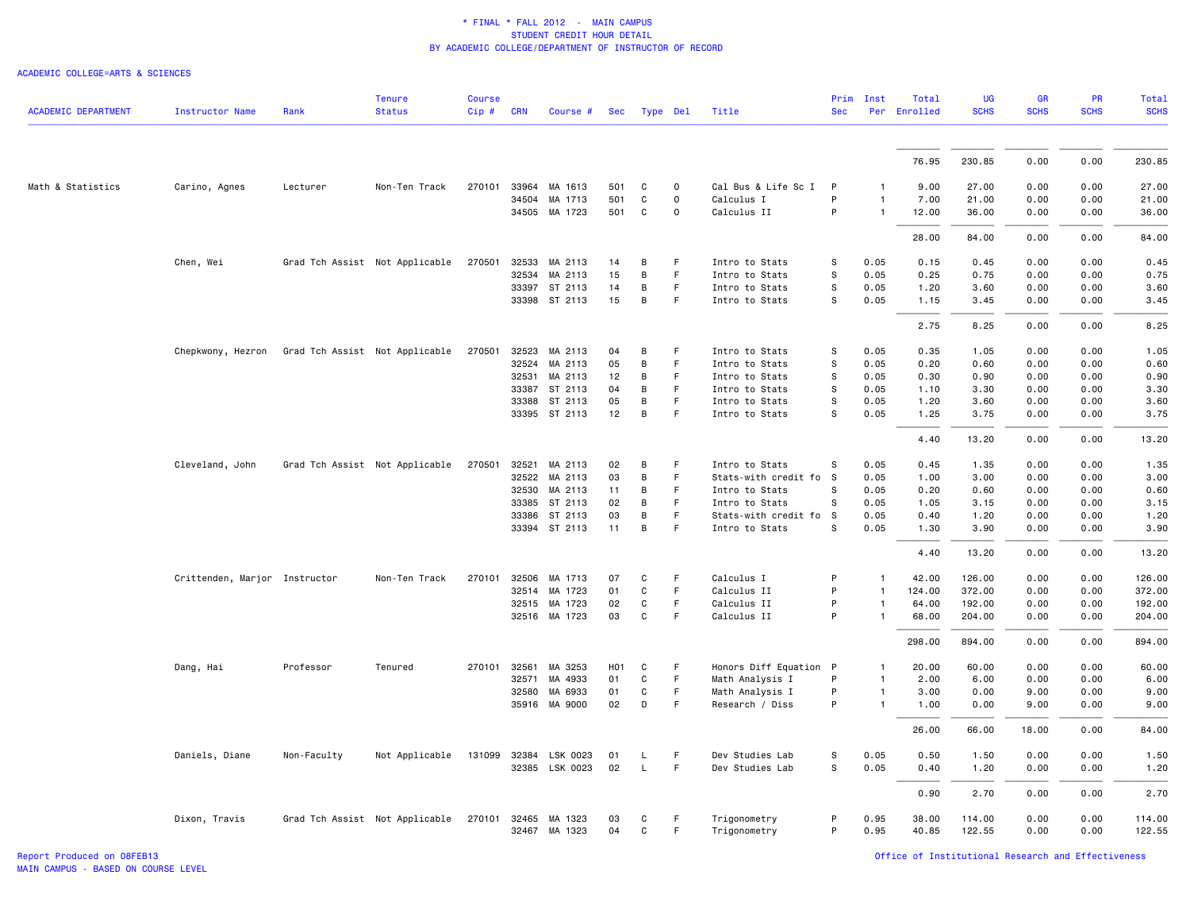|                            |                               |                                | <b>Tenure</b>                  | Course |            |                |                  |              |             |                        | Prim       | Inst         | Total        | <b>UG</b>   | <b>GR</b>   | <b>PR</b>   | Total       |
|----------------------------|-------------------------------|--------------------------------|--------------------------------|--------|------------|----------------|------------------|--------------|-------------|------------------------|------------|--------------|--------------|-------------|-------------|-------------|-------------|
| <b>ACADEMIC DEPARTMENT</b> | <b>Instructor Name</b>        | Rank                           | <b>Status</b>                  | Cip#   | <b>CRN</b> | Course #       | <b>Sec</b>       |              | Type Del    | Title                  | <b>Sec</b> |              | Per Enrolled | <b>SCHS</b> | <b>SCHS</b> | <b>SCHS</b> | <b>SCHS</b> |
|                            |                               |                                |                                |        |            |                |                  |              |             |                        |            |              |              |             |             |             |             |
|                            |                               |                                |                                |        |            |                |                  |              |             |                        |            |              | 76.95        | 230.85      | 0.00        | 0.00        | 230.85      |
| Math & Statistics          | Carino, Agnes                 | Lecturer                       | Non-Ten Track                  | 270101 |            | 33964 MA 1613  | 501              | C            | 0           | Cal Bus & Life Sc I    | P          |              | 9.00         | 27.00       | 0.00        | 0.00        | 27.00       |
|                            |                               |                                |                                |        | 34504      | MA 1713        | 501              | C            | $\mathbf 0$ | Calculus I             | P          | 1            | 7.00         | 21.00       | 0.00        | 0.00        | 21,00       |
|                            |                               |                                |                                |        |            | 34505 MA 1723  | 501              | C            | $\mathsf 0$ | Calculus II            | P          | 1            | 12.00        | 36.00       | 0.00        | 0.00        | 36.00       |
|                            |                               |                                |                                |        |            |                |                  |              |             |                        |            |              | 28.00        | 84.00       | 0.00        | 0.00        | 84.00       |
|                            | Chen, Wei                     |                                | Grad Tch Assist Not Applicable | 270501 | 32533      | MA 2113        | 14               | B            | F           | Intro to Stats         | s          | 0.05         | 0.15         | 0.45        | 0.00        | 0.00        | 0.45        |
|                            |                               |                                |                                |        | 32534      | MA 2113        | 15               | В            | F           | Intro to Stats         | s          | 0.05         | 0.25         | 0.75        | 0.00        | 0.00        | 0.75        |
|                            |                               |                                |                                |        |            | 33397 ST 2113  | 14               | B            | F           | Intro to Stats         | s          | 0.05         | 1.20         | 3.60        | 0.00        | 0.00        | 3.60        |
|                            |                               |                                |                                |        |            | 33398 ST 2113  | 15               | B            | F           | Intro to Stats         | s          | 0.05         | 1.15         | 3.45        | 0.00        | 0.00        | 3.45        |
|                            |                               |                                |                                |        |            |                |                  |              |             |                        |            |              | 2.75         | 8.25        | 0.00        | 0.00        | 8.25        |
|                            | Chepkwony, Hezron             | Grad Tch Assist Not Applicable |                                | 270501 |            | 32523 MA 2113  | 04               | B            | F           | Intro to Stats         | s          | 0.05         | 0.35         | 1.05        | 0.00        | 0.00        | 1.05        |
|                            |                               |                                |                                |        | 32524      | MA 2113        | 05               | $\, {\bf B}$ | F           | Intro to Stats         | s          | 0.05         | 0.20         | 0.60        | 0.00        | 0.00        | 0.60        |
|                            |                               |                                |                                |        | 32531      | MA 2113        | 12               | В            | F           | Intro to Stats         | s          | 0.05         | 0.30         | 0.90        | 0.00        | 0.00        | 0.90        |
|                            |                               |                                |                                |        |            | 33387 ST 2113  | 04               | B            | F           | Intro to Stats         | s          | 0.05         | 1.10         | 3.30        | 0.00        | 0.00        | 3.30        |
|                            |                               |                                |                                |        | 33388      | ST 2113        | 05               | В            | F           | Intro to Stats         | S          | 0.05         | 1.20         | 3.60        | 0.00        | 0.00        | 3.60        |
|                            |                               |                                |                                |        |            | 33395 ST 2113  | 12               | $\, {\bf B}$ | F           | Intro to Stats         | s          | 0.05         | 1.25         | 3.75        | 0.00        | 0.00        | 3.75        |
|                            |                               |                                |                                |        |            |                |                  |              |             |                        |            |              | 4.40         | 13.20       | 0.00        | 0.00        | 13.20       |
|                            | Cleveland, John               |                                | Grad Tch Assist Not Applicable | 270501 | 32521      | MA 2113        | 02               | B            | F           | Intro to Stats         | s          | 0.05         | 0.45         | 1.35        | 0.00        | 0.00        | 1.35        |
|                            |                               |                                |                                |        |            | 32522 MA 2113  | 03               | В            | $\mathsf F$ | Stats-with credit fo S |            | 0.05         | 1.00         | 3.00        | 0.00        | 0.00        | 3.00        |
|                            |                               |                                |                                |        | 32530      | MA 2113        | 11               | В            | F           | Intro to Stats         | s          | 0.05         | 0.20         | 0.60        | 0.00        | 0.00        | 0.60        |
|                            |                               |                                |                                |        | 33385      | ST 2113        | 02               | B            | F           | Intro to Stats         | S          | 0.05         | 1.05         | 3.15        | 0.00        | 0.00        | 3.15        |
|                            |                               |                                |                                |        | 33386      | ST 2113        | 03               | B            | $\mathsf F$ | Stats-with credit fo S |            | 0.05         | 0.40         | 1.20        | 0.00        | 0.00        | 1.20        |
|                            |                               |                                |                                |        |            | 33394 ST 2113  | 11               | В            | $\mathsf F$ | Intro to Stats         | S          | 0.05         | 1.30         | 3.90        | 0.00        | 0.00        | 3.90        |
|                            |                               |                                |                                |        |            |                |                  |              |             |                        |            |              | 4.40         | 13.20       | 0.00        | 0.00        | 13.20       |
|                            | Crittenden, Marjor Instructor |                                | Non-Ten Track                  | 270101 | 32506      | MA 1713        | 07               | C            | F           | Calculus I             | P          | 1            | 42.00        | 126.00      | 0.00        | 0.00        | 126.00      |
|                            |                               |                                |                                |        | 32514      | MA 1723        | 01               | C            | F           | Calculus II            | P          | 1            | 124.00       | 372.00      | 0.00        | 0.00        | 372.00      |
|                            |                               |                                |                                |        |            | 32515 MA 1723  | 02               | C            | F           | Calculus II            | P          | $\mathbf{1}$ | 64.00        | 192.00      | 0.00        | 0.00        | 192.00      |
|                            |                               |                                |                                |        |            | 32516 MA 1723  | 03               | $\mathtt{C}$ | $\mathsf F$ | Calculus II            | P          | 1            | 68.00        | 204.00      | 0.00        | 0.00        | 204.00      |
|                            |                               |                                |                                |        |            |                |                  |              |             |                        |            |              | 298.00       | 894.00      | 0.00        | 0.00        | 894.00      |
|                            | Dang, Hai                     | Professor                      | Tenured                        | 270101 | 32561      | MA 3253        | H <sub>0</sub> 1 | C            | F           | Honors Diff Equation P |            | 1            | 20.00        | 60.00       | 0.00        | 0.00        | 60.00       |
|                            |                               |                                |                                |        | 32571      | MA 4933        | 01               | $\mathtt{C}$ | $\mathsf F$ | Math Analysis I        | P          | 1            | 2.00         | 6.00        | 0.00        | 0.00        | 6.00        |
|                            |                               |                                |                                |        | 32580      | MA 6933        | 01               | C            | F           | Math Analysis I        | P          | $\mathbf{1}$ | 3.00         | 0.00        | 9.00        | 0.00        | 9.00        |
|                            |                               |                                |                                |        |            | 35916 MA 9000  | 02               | D            | $\mathsf F$ | Research / Diss        | P          | $\mathbf{1}$ | 1.00         | 0.00        | 9.00        | 0.00        | 9.00        |
|                            |                               |                                |                                |        |            |                |                  |              |             |                        |            |              | 26.00        | 66.00       | 18.00       | 0.00        | 84.00       |
|                            | Daniels, Diane                | Non-Faculty                    | Not Applicable                 | 131099 | 32384      | LSK 0023       | 01               | L            | F           | Dev Studies Lab        | s          | 0.05         | 0.50         | 1.50        | 0.00        | 0.00        | 1.50        |
|                            |                               |                                |                                |        |            | 32385 LSK 0023 | 02               | L.           | F           | Dev Studies Lab        | s          | 0.05         | 0.40         | 1.20        | 0.00        | 0.00        | 1.20        |
|                            |                               |                                |                                |        |            |                |                  |              |             |                        |            |              | 0.90         | 2.70        | 0.00        | 0.00        | 2.70        |
|                            | Dixon, Travis                 |                                | Grad Tch Assist Not Applicable | 270101 | 32465      | MA 1323        | 03               | C            | F           | Trigonometry           | P          | 0.95         | 38.00        | 114.00      | 0.00        | 0.00        | 114.00      |
|                            |                               |                                |                                |        |            | 32467 MA 1323  | 04               | C            | $\mathsf F$ | Trigonometry           | P          | 0.95         | 40.85        | 122.55      | 0.00        | 0.00        | 122.55      |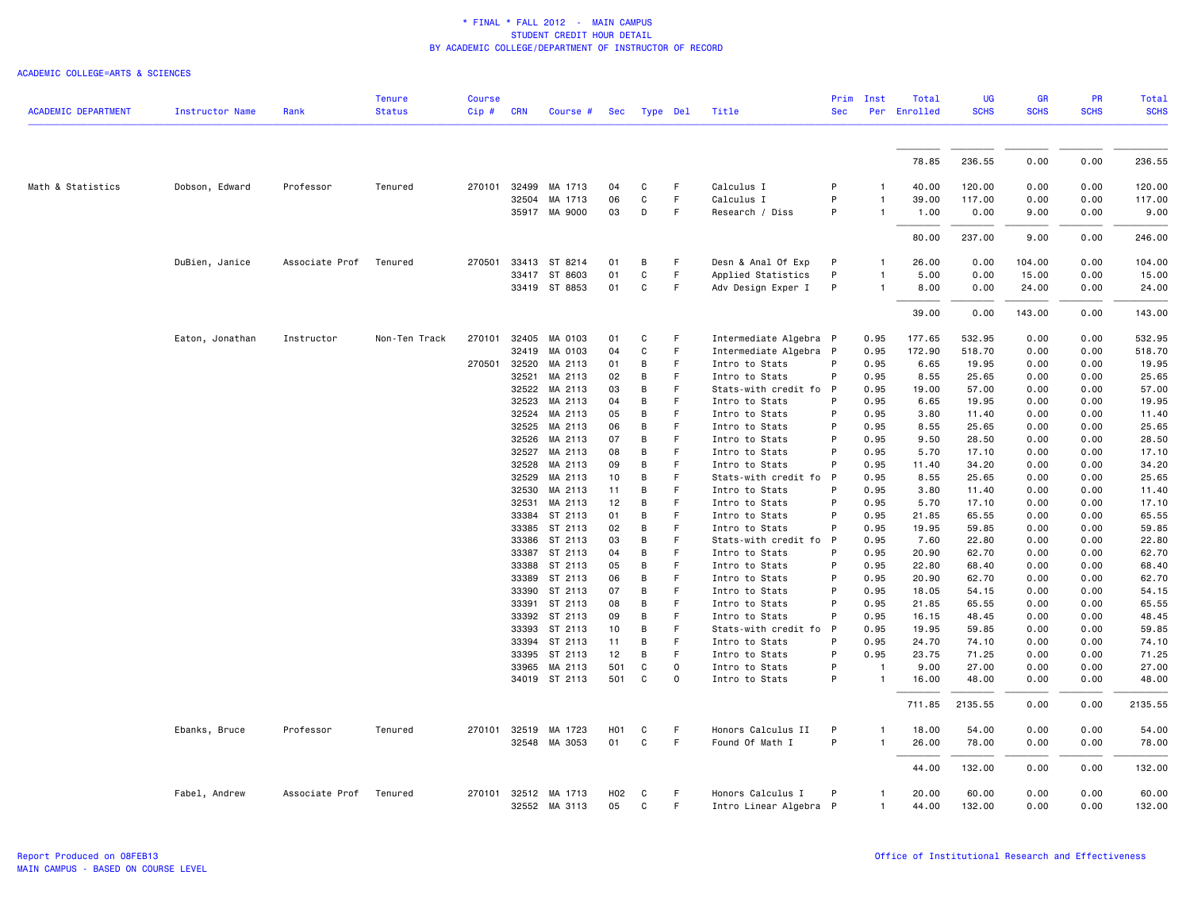|                            |                        |                | <b>Tenure</b> | <b>Course</b> |                       |                    |                  |              |         |                                             | Prim         | Inst           | Total          | UG              | <b>GR</b>    | <b>PR</b>    | Total           |
|----------------------------|------------------------|----------------|---------------|---------------|-----------------------|--------------------|------------------|--------------|---------|---------------------------------------------|--------------|----------------|----------------|-----------------|--------------|--------------|-----------------|
| <b>ACADEMIC DEPARTMENT</b> | <b>Instructor Name</b> | Rank           | <b>Status</b> | Cip#          | <b>CRN</b>            | Course #           |                  | Sec Type Del |         | Title                                       | <b>Sec</b>   | Per            | Enrolled       | <b>SCHS</b>     | <b>SCHS</b>  | <b>SCHS</b>  | <b>SCHS</b>     |
|                            |                        |                |               |               |                       |                    |                  |              |         |                                             |              |                |                |                 |              |              |                 |
|                            |                        |                |               |               |                       |                    |                  |              |         |                                             |              |                | 78.85          | 236.55          | 0.00         | 0.00         | 236.55          |
|                            |                        |                |               |               | 32499                 | MA 1713            |                  |              | F       |                                             | P            |                |                |                 |              |              |                 |
| Math & Statistics          | Dobson, Edward         | Professor      | Tenured       | 270101        |                       |                    | 04               | C            | F       | Calculus I                                  | P            |                | 40.00          | 120.00          | 0.00         | 0.00         | 120.00          |
|                            |                        |                |               |               | 32504                 | MA 1713            | 06               | C            |         | Calculus I                                  |              |                | 39.00          | 117.00          | 0.00         | 0.00         | 117.00          |
|                            |                        |                |               |               |                       | 35917 MA 9000      | 03               | D            | F       | Research / Diss                             | P            |                | 1.00           | 0.00            | 9.00         | 0.00         | 9.00            |
|                            |                        |                |               |               |                       |                    |                  |              |         |                                             |              |                | 80.00          | 237.00          | 9.00         | 0.00         | 246.00          |
|                            | DuBien, Janice         | Associate Prof | Tenured       | 270501        |                       | 33413 ST 8214      | 01               | B            | F       | Desn & Anal Of Exp                          | P            |                | 26.00          | 0.00            | 104.00       | 0.00         | 104.00          |
|                            |                        |                |               |               | 33417                 | ST 8603            | 01               | C            | F.      | Applied Statistics                          | P            |                | 5.00           | 0.00            | 15.00        | 0.00         | 15.00           |
|                            |                        |                |               |               |                       | 33419 ST 8853      | 01               | C            | F       | Adv Design Exper I                          | P            |                | 8.00           | 0.00            | 24.00        | 0.00         | 24.00           |
|                            |                        |                |               |               |                       |                    |                  |              |         |                                             |              |                | 39.00          | 0.00            | 143.00       | 0.00         | 143.00          |
|                            | Eaton, Jonathan        | Instructor     | Non-Ten Track | 270101        | 32405                 | MA 0103            | 01               | C            | F       | Intermediate Algebra P                      |              | 0.95           | 177.65         | 532.95          | 0.00         | 0.00         | 532.95          |
|                            |                        |                |               |               | 32419                 | MA 0103            | 04               | C            | F       | Intermediate Algebra                        | $\mathsf{P}$ | 0.95           | 172.90         | 518.70          | 0.00         | 0.00         | 518.70          |
|                            |                        |                |               | 270501        | 32520                 | MA 2113            | 01               | B            | F       | Intro to Stats                              | P            | 0.95           | 6.65           | 19.95           | 0.00         | 0.00         | 19.95           |
|                            |                        |                |               |               | 32521                 | MA 2113            | 02               | B            | F       | Intro to Stats                              | P            | 0.95           | 8.55           | 25.65           | 0.00         | 0.00         | 25.65           |
|                            |                        |                |               |               | 32522                 | MA 2113            | 03               | B            | F       | Stats-with credit fo P                      |              | 0.95           | 19.00          | 57.00           | 0.00         | 0.00         | 57.00           |
|                            |                        |                |               |               | 32523                 | MA 2113            | 04               | B            | F       | Intro to Stats                              | P            | 0.95           | 6.65           | 19.95           | 0.00         | 0.00         | 19.95           |
|                            |                        |                |               |               | 32524                 | MA 2113            | 05               | В            | F       | Intro to Stats                              | P            | 0.95           | 3.80           | 11.40           | 0.00         | 0.00         | 11.40           |
|                            |                        |                |               |               | 32525                 | MA 2113            | 06               | B            | F       | Intro to Stats                              | P            | 0.95           | 8.55           | 25.65           | 0.00         | 0.00         | 25.65           |
|                            |                        |                |               |               | 32526                 | MA 2113            | 07               | В            | F       | Intro to Stats                              | P            | 0.95           | 9.50           | 28.50           | 0.00         | 0.00         | 28.50           |
|                            |                        |                |               |               | 32527                 | MA 2113            | 08               | B            | F       | Intro to Stats                              | P            | 0.95           | 5.70           | 17.10           | 0.00         | 0.00         | 17.10           |
|                            |                        |                |               |               | 32528                 | MA 2113            | 09               | B            | F.      | Intro to Stats                              | P            | 0.95           | 11.40          | 34.20           | 0.00         | 0.00         | 34.20           |
|                            |                        |                |               |               | 32529                 | MA 2113            | 10               | В            | F       | Stats-with credit fo                        | P            | 0.95           | 8.55           | 25.65           | 0.00         | 0.00         | 25.65           |
|                            |                        |                |               |               | 32530                 | MA 2113            | 11               | В            | F       | Intro to Stats                              | P            | 0.95           | 3.80           | 11.40           | 0.00         | 0.00         | 11.40           |
|                            |                        |                |               |               | 32531                 | MA 2113            | 12               | B            | F       | Intro to Stats                              | P            | 0.95           | 5.70           | 17.10           | 0.00         | 0.00         | 17.10           |
|                            |                        |                |               |               | 33384                 | ST 2113            | 01               | В            | F       | Intro to Stats                              | P            | 0.95           | 21.85          | 65.55           | 0.00         | 0.00         | 65.55           |
|                            |                        |                |               |               | 33385                 | ST 2113            | 02               | в            | F       | Intro to Stats                              | P            | 0.95           | 19.95          | 59.85           | 0.00         | 0.00         | 59.85           |
|                            |                        |                |               |               | 33386                 | ST 2113            | 03               | B            | F       | Stats-with credit fo P                      |              | 0.95           | 7.60           | 22.80           | 0.00         | 0.00         | 22.80           |
|                            |                        |                |               |               | 33387                 | ST 2113            | 04               | B            | F       | Intro to Stats                              | P            | 0.95           | 20.90          | 62.70           | 0.00         | 0.00         | 62.70           |
|                            |                        |                |               |               | 33388                 | ST 2113            | 05               | B            | F       | Intro to Stats                              | P            | 0.95           | 22.80          | 68.40           | 0.00         | 0.00         | 68.40           |
|                            |                        |                |               |               | 33389                 | ST 2113            | 06               | В            | F       | Intro to Stats                              | P            | 0.95           | 20.90          | 62.70           | 0.00         | 0.00         | 62.70           |
|                            |                        |                |               |               | 33390                 | ST 2113            | 07               | B            | F       | Intro to Stats                              | P            | 0.95           | 18.05          | 54.15           | 0.00         | 0.00         | 54.15           |
|                            |                        |                |               |               | 33391                 | ST 2113            | 08               | В            | F       | Intro to Stats                              | P            | 0.95           | 21.85          | 65.55           | 0.00         | 0.00         | 65.55           |
|                            |                        |                |               |               | 33392                 | ST 2113            | 09               | B            | F       | Intro to Stats                              | P            | 0.95           | 16.15          | 48.45           | 0.00         | 0.00         | 48.45           |
|                            |                        |                |               |               | 33393                 | ST 2113            | 10               | B            | F       | Stats-with credit fo                        | - P          | 0.95           | 19.95          | 59.85           | 0.00         | 0.00         | 59.85           |
|                            |                        |                |               |               | 33394                 | ST 2113            | 11               | B            | F       | Intro to Stats                              | P            | 0.95           | 24.70          | 74.10           | 0.00         | 0.00         | 74.10           |
|                            |                        |                |               |               | 33395                 | ST 2113            | 12               | В            | F       | Intro to Stats                              | P            | 0.95           | 23.75          | 71.25           | 0.00         | 0.00         | 71.25           |
|                            |                        |                |               |               | 33965                 | MA 2113            | 501              | C            | 0       | Intro to Stats                              | P            | $\mathbf{1}$   | 9.00           | 27.00           | 0.00         | 0.00         | 27.00           |
|                            |                        |                |               |               |                       | 34019 ST 2113      | 501              | C            | 0       | Intro to Stats                              | P            |                | 16.00          | 48.00           | 0.00         | 0.00         | 48.00           |
|                            |                        |                |               |               |                       |                    |                  |              |         |                                             |              |                | 711.85         | 2135.55         | 0.00         | 0.00         | 2135.55         |
|                            | Ebanks, Bruce          | Professor      | Tenured       | 270101        | 32519                 | MA 1723            | H <sub>0</sub> 1 | C            | F       | Honors Calculus II                          | P            |                | 18.00          | 54.00           | 0.00         | 0.00         | 54.00           |
|                            |                        |                |               |               |                       | 32548 MA 3053      | 01               | C            | F       | Found Of Math I                             | P            | $\mathbf{1}$   | 26.00          | 78.00           | 0.00         | 0.00         | 78.00           |
|                            |                        |                |               |               |                       |                    |                  |              |         |                                             |              |                | 44.00          | 132.00          | 0.00         | 0.00         | 132.00          |
|                            | Fabel, Andrew          | Associate Prof | Tenured       |               | 270101 32512<br>32552 | MA 1713<br>MA 3113 | H02<br>05        | C<br>C       | F<br>F. | Honors Calculus I<br>Intro Linear Algebra P | P            | $\overline{1}$ | 20,00<br>44.00 | 60.00<br>132.00 | 0.00<br>0.00 | 0.00<br>0.00 | 60.00<br>132.00 |
|                            |                        |                |               |               |                       |                    |                  |              |         |                                             |              |                |                |                 |              |              |                 |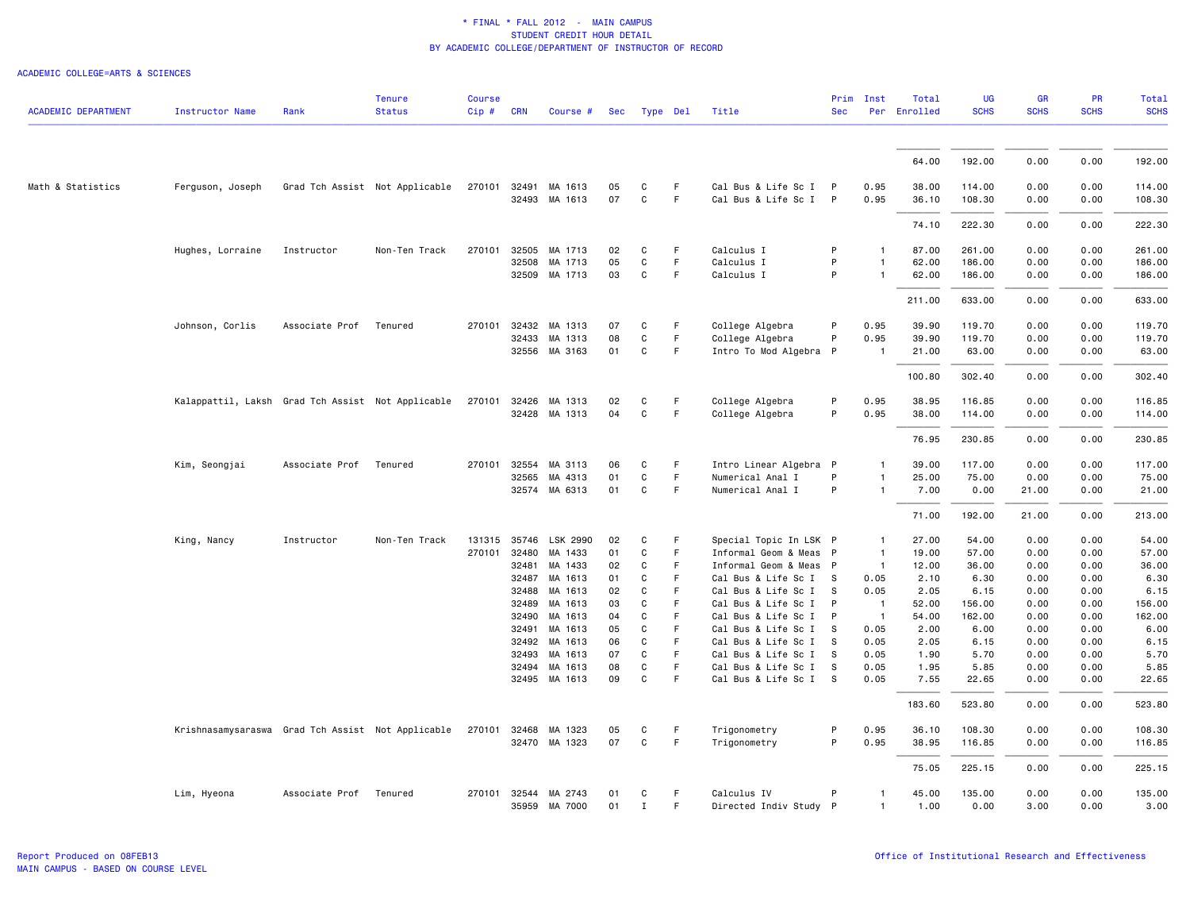| <b>ACADEMIC DEPARTMENT</b> | <b>Instructor Name</b>                            | Rank           | <b>Tenure</b><br><b>Status</b> | <b>Course</b><br>Cip# | <b>CRN</b>     | Course #                 | Sec      | Type Del          |         | Title                                          | <b>Sec</b>        | Prim Inst                        | Total<br>Per Enrolled | <b>UG</b><br><b>SCHS</b> | <b>GR</b><br><b>SCHS</b> | <b>PR</b><br><b>SCHS</b> | Total<br><b>SCHS</b> |
|----------------------------|---------------------------------------------------|----------------|--------------------------------|-----------------------|----------------|--------------------------|----------|-------------------|---------|------------------------------------------------|-------------------|----------------------------------|-----------------------|--------------------------|--------------------------|--------------------------|----------------------|
|                            |                                                   |                |                                |                       |                |                          |          |                   |         |                                                |                   |                                  |                       |                          |                          |                          |                      |
|                            |                                                   |                |                                |                       |                |                          |          |                   |         |                                                |                   |                                  | 64.00                 | 192.00                   | 0.00                     | 0.00                     | 192.00               |
| Math & Statistics          | Ferguson, Joseph                                  |                | Grad Tch Assist Not Applicable | 270101                | 32491          | MA 1613<br>32493 MA 1613 | 05<br>07 | C<br>$\mathbf{C}$ | F<br>F. | Cal Bus & Life Sc I P<br>Cal Bus & Life Sc I P |                   | 0.95<br>0.95                     | 38.00<br>36.10        | 114.00<br>108.30         | 0.00<br>0.00             | 0.00<br>0.00             | 114.00<br>108.30     |
|                            |                                                   |                |                                |                       |                |                          |          |                   |         |                                                |                   |                                  | 74.10                 | 222.30                   | 0.00                     | 0.00                     | 222.30               |
|                            | Hughes, Lorraine                                  | Instructor     | Non-Ten Track                  | 270101                | 32505          | MA 1713                  | 02       | C                 | F       | Calculus I                                     | P                 | $\mathbf{1}$                     | 87.00                 | 261.00                   | 0.00                     | 0.00                     | 261.00               |
|                            |                                                   |                |                                |                       | 32508          | MA 1713                  | 05       | $\mathtt{C}$      | F       | Calculus I                                     | P                 | $\mathbf{1}$                     | 62.00                 | 186.00                   | 0.00                     | 0.00                     | 186.00               |
|                            |                                                   |                |                                |                       |                | 32509 MA 1713            | 03       | C                 | F       | Calculus I                                     | P                 | $\mathbf{1}$                     | 62.00                 | 186.00                   | 0.00                     | 0.00                     | 186.00               |
|                            |                                                   |                |                                |                       |                |                          |          |                   |         |                                                |                   |                                  | 211.00                | 633.00                   | 0.00                     | 0.00                     | 633.00               |
|                            | Johnson, Corlis                                   | Associate Prof | Tenured                        | 270101 32432          |                | MA 1313                  | 07       | C                 | F       | College Algebra                                | P                 | 0.95                             | 39.90                 | 119.70                   | 0.00                     | 0.00                     | 119.70               |
|                            |                                                   |                |                                |                       | 32433          | MA 1313                  | 08       | $\mathtt{C}$      | F       | College Algebra                                | P                 | 0.95                             | 39.90                 | 119.70                   | 0.00                     | 0.00                     | 119.70               |
|                            |                                                   |                |                                |                       |                | 32556 MA 3163            | 01       | C                 | F       | Intro To Mod Algebra                           | P                 |                                  | 21.00                 | 63.00                    | 0.00                     | 0.00                     | 63.00                |
|                            |                                                   |                |                                |                       |                |                          |          |                   |         |                                                |                   |                                  | 100.80                | 302.40                   | 0.00                     | 0.00                     | 302.40               |
|                            | Kalappattil, Laksh Grad Tch Assist Not Applicable |                |                                | 270101                | 32426          | MA 1313                  | 02       | C                 | F       | College Algebra                                | P                 | 0.95                             | 38.95                 | 116.85                   | 0.00                     | 0.00                     | 116.85               |
|                            |                                                   |                |                                |                       |                | 32428 MA 1313            | 04       | C                 | F       | College Algebra                                | P                 | 0.95                             | 38.00                 | 114.00                   | 0.00                     | 0.00                     | 114.00               |
|                            |                                                   |                |                                |                       |                |                          |          |                   |         |                                                |                   |                                  | 76.95                 | 230.85                   | 0.00                     | 0.00                     | 230.85               |
|                            | Kim, Seongjai                                     | Associate Prof | Tenured                        | 270101                | 32554          | MA 3113                  | 06       | C                 | F.      | Intro Linear Algebra P                         |                   | $\mathbf{1}$                     | 39.00                 | 117.00                   | 0.00                     | 0.00                     | 117.00               |
|                            |                                                   |                |                                |                       | 32565          | MA 4313                  | 01       | C                 | F.      | Numerical Anal I                               | P                 | $\mathbf{1}$                     | 25.00                 | 75.00                    | 0.00                     | 0.00                     | 75.00                |
|                            |                                                   |                |                                |                       |                | 32574 MA 6313            | 01       | $\mathtt{C}$      | F.      | Numerical Anal I                               | P                 | $\mathbf{1}$                     | 7.00                  | 0.00                     | 21.00                    | 0.00                     | 21.00                |
|                            |                                                   |                |                                |                       |                |                          |          |                   |         |                                                |                   |                                  | 71.00                 | 192.00                   | 21.00                    | 0.00                     | 213.00               |
|                            | King, Nancy                                       | Instructor     | Non-Ten Track                  | 131315                |                | 35746 LSK 2990           | 02       | C                 | F       | Special Topic In LSK P                         |                   | $\mathbf{1}$                     | 27.00                 | 54.00                    | 0.00                     | 0.00                     | 54.00                |
|                            |                                                   |                |                                | 270101                | 32480          | MA 1433                  | 01       | C                 | F.      | Informal Geom & Meas P                         |                   | $\overline{1}$                   | 19.00                 | 57.00                    | 0.00                     | 0.00                     | 57.00                |
|                            |                                                   |                |                                |                       | 32481          | MA 1433                  | 02       | C                 | F       | Informal Geom & Meas P                         |                   | $\overline{1}$                   | 12.00                 | 36.00                    | 0.00                     | 0.00                     | 36.00                |
|                            |                                                   |                |                                |                       | 32487          | MA 1613                  | 01       | $\mathtt{C}$      | F.      | Cal Bus & Life Sc I S                          |                   | 0.05                             | 2.10                  | 6.30                     | 0.00                     | 0.00                     | 6.30                 |
|                            |                                                   |                |                                |                       | 32488          | MA 1613                  | 02       | C<br>C            | F<br>F  | Cal Bus & Life Sc I                            | s<br>$\mathsf{P}$ | 0.05                             | 2.05                  | 6.15                     | 0.00<br>0.00             | 0.00                     | 6.15                 |
|                            |                                                   |                |                                |                       | 32489<br>32490 | MA 1613<br>MA 1613       | 03<br>04 | C                 | F       | Cal Bus & Life Sc I<br>Cal Bus & Life Sc I     | $\mathsf{P}$      | $\overline{1}$<br>$\overline{1}$ | 52.00<br>54.00        | 156.00<br>162.00         | 0.00                     | 0.00<br>0.00             | 156.00<br>162.00     |
|                            |                                                   |                |                                |                       | 32491          | MA 1613                  | 05       | C                 | F       | Cal Bus & Life Sc I                            | s                 | 0.05                             | 2.00                  | 6.00                     | 0.00                     | 0.00                     | 6.00                 |
|                            |                                                   |                |                                |                       | 32492          | MA 1613                  | 06       | C                 | F       | Cal Bus & Life Sc I                            | - S               | 0.05                             | 2.05                  | 6.15                     | 0.00                     | 0.00                     | 6.15                 |
|                            |                                                   |                |                                |                       | 32493          | MA 1613                  | 07       | C                 | F       | Cal Bus & Life Sc I                            | s                 | 0.05                             | 1.90                  | 5.70                     | 0.00                     | 0.00                     | 5.70                 |
|                            |                                                   |                |                                |                       | 32494          | MA 1613                  | 08       | $\mathbf c$       | F       | Cal Bus & Life Sc I                            | S                 | 0.05                             | 1.95                  | 5.85                     | 0.00                     | 0.00                     | 5.85                 |
|                            |                                                   |                |                                |                       |                | 32495 MA 1613            | 09       | C                 | F       | Cal Bus & Life Sc I S                          |                   | 0.05                             | 7.55                  | 22.65                    | 0.00                     | 0.00                     | 22.65                |
|                            |                                                   |                |                                |                       |                |                          |          |                   |         |                                                |                   |                                  | 183.60                | 523.80                   | 0.00                     | 0.00                     | 523.80               |
|                            | Krishnasamysaraswa Grad Tch Assist Not Applicable |                |                                | 270101                | 32468          | MA 1323                  | 05       | C                 | F.      | Trigonometry                                   | P                 | 0.95                             | 36.10                 | 108.30                   | 0.00                     | 0.00                     | 108.30               |
|                            |                                                   |                |                                |                       |                | 32470 MA 1323            | 07       | $\mathsf{C}$      | F       | Trigonometry                                   | P                 | 0.95                             | 38.95                 | 116.85                   | 0.00                     | 0.00                     | 116.85               |
|                            |                                                   |                |                                |                       |                |                          |          |                   |         |                                                |                   |                                  | 75.05                 | 225.15                   | 0.00                     | 0.00                     | 225.15               |
|                            | Lim, Hyeona                                       | Associate Prof | Tenured                        |                       |                | 270101 32544 MA 2743     | 01       | C                 | F       | Calculus IV                                    | P                 | $\mathbf{1}$                     | 45.00                 | 135.00                   | 0.00                     | 0.00                     | 135.00               |
|                            |                                                   |                |                                |                       |                | 35959 MA 7000            | 01       | $\;$ I            | F       | Directed Indiv Study P                         |                   | $\mathbf{1}$                     | 1.00                  | 0.00                     | 3.00                     | 0.00                     | 3.00                 |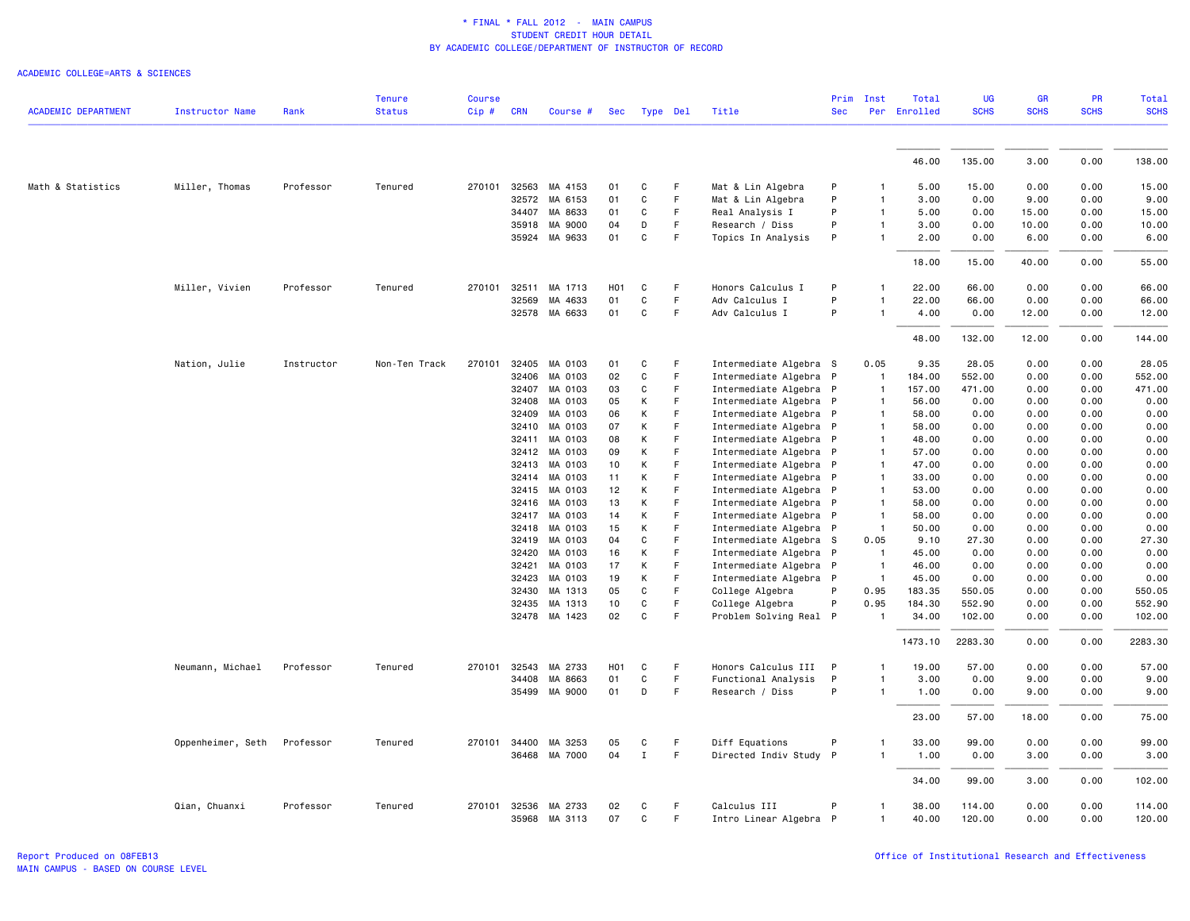|                            |                        |            | <b>Tenure</b> | <b>Course</b> |              |               |                  |              |             |                        | Prim         | Inst           | Total        | <b>UG</b>   | <b>GR</b>   | <b>PR</b>   | Total       |
|----------------------------|------------------------|------------|---------------|---------------|--------------|---------------|------------------|--------------|-------------|------------------------|--------------|----------------|--------------|-------------|-------------|-------------|-------------|
| <b>ACADEMIC DEPARTMENT</b> | <b>Instructor Name</b> | Rank       | <b>Status</b> | Cip#          | <b>CRN</b>   | Course #      | Sec              | Type Del     |             | Title                  | <b>Sec</b>   |                | Per Enrolled | <b>SCHS</b> | <b>SCHS</b> | <b>SCHS</b> | <b>SCHS</b> |
|                            |                        |            |               |               |              |               |                  |              |             |                        |              |                |              |             |             |             |             |
|                            |                        |            |               |               |              |               |                  |              |             |                        |              |                | 46.00        | 135.00      | 3.00        | 0.00        | 138.00      |
| Math & Statistics          | Miller, Thomas         | Professor  | Tenured       | 270101        | 32563        | MA 4153       | 01               | C            | F           | Mat & Lin Algebra      | P            |                | 5.00         | 15.00       | 0.00        | 0.00        | 15.00       |
|                            |                        |            |               |               | 32572        | MA 6153       | 01               | C            | F           | Mat & Lin Algebra      | P            | $\mathbf{1}$   | 3.00         | 0.00        | 9.00        | 0.00        | 9.00        |
|                            |                        |            |               |               | 34407        | MA 8633       | 01               | C            | F           | Real Analysis I        | P            | 1              | 5.00         | 0.00        | 15.00       | 0.00        | 15.00       |
|                            |                        |            |               |               | 35918        | MA 9000       | 04               | D            | $\mathsf F$ | Research / Diss        | P            | 1              | 3.00         | 0.00        | 10.00       | 0.00        | 10.00       |
|                            |                        |            |               |               | 35924        | MA 9633       | 01               | C            | F           | Topics In Analysis     | P            | 1              | 2.00         | 0.00        | 6.00        | 0.00        | 6.00        |
|                            |                        |            |               |               |              |               |                  |              |             |                        |              |                | 18,00        | 15.00       | 40.00       | 0.00        | 55.00       |
|                            | Miller, Vivien         | Professor  | Tenured       | 270101        | 32511        | MA 1713       | H <sub>0</sub> 1 | C            | F.          | Honors Calculus I      | P            | 1              | 22.00        | 66.00       | 0.00        | 0.00        | 66.00       |
|                            |                        |            |               |               | 32569        | MA 4633       | 01               | C            | F           | Adv Calculus I         | P            | 1              | 22.00        | 66.00       | 0.00        | 0.00        | 66.00       |
|                            |                        |            |               |               |              | 32578 MA 6633 | 01               | C            | F           | Adv Calculus I         | P            | 1              | 4.00         | 0.00        | 12.00       | 0.00        | 12.00       |
|                            |                        |            |               |               |              |               |                  |              |             |                        |              |                | 48.00        | 132.00      | 12.00       | 0.00        | 144.00      |
|                            | Nation, Julie          | Instructor | Non-Ten Track | 270101        |              | 32405 MA 0103 | 01               | C            | F           | Intermediate Algebra S |              | 0.05           | 9.35         | 28.05       | 0.00        | 0.00        | 28.05       |
|                            |                        |            |               |               | 32406        | MA 0103       | 02               | C            | F           | Intermediate Algebra P |              | $\overline{1}$ | 184.00       | 552.00      | 0.00        | 0.00        | 552.00      |
|                            |                        |            |               |               | 32407        | MA 0103       | 03               | C            | F           | Intermediate Algebra P |              | $\mathbf{1}$   | 157.00       | 471.00      | 0.00        | 0.00        | 471.00      |
|                            |                        |            |               |               | 32408        | MA 0103       | 05               | Κ            | F           | Intermediate Algebra P |              | $\mathbf{1}$   | 56.00        | 0.00        | 0.00        | 0.00        | 0.00        |
|                            |                        |            |               |               | 32409        | MA 0103       | 06               | K            | F           | Intermediate Algebra P |              | 1              | 58.00        | 0.00        | 0.00        | 0.00        | 0.00        |
|                            |                        |            |               |               | 32410        | MA 0103       | 07               | Κ            | F           | Intermediate Algebra P |              | 1              | 58.00        | 0.00        | 0.00        | 0.00        | 0.00        |
|                            |                        |            |               |               | 32411        | MA 0103       | 08               | Κ            | F           | Intermediate Algebra P |              | $\mathbf{1}$   | 48.00        | 0.00        | 0.00        | 0.00        | 0.00        |
|                            |                        |            |               |               | 32412        | MA 0103       | 09               | Κ            | $\mathsf F$ | Intermediate Algebra P |              | $\mathbf{1}$   | 57.00        | 0.00        | 0.00        | 0.00        | 0.00        |
|                            |                        |            |               |               | 32413        | MA 0103       | 10               | Κ            | F           | Intermediate Algebra P |              | 1              | 47.00        | 0.00        | 0.00        | 0.00        | 0.00        |
|                            |                        |            |               |               | 32414        | MA 0103       | 11               | Κ            | F           | Intermediate Algebra P |              | $\mathbf{1}$   | 33.00        | 0.00        | 0.00        | 0.00        | 0.00        |
|                            |                        |            |               |               | 32415        | MA 0103       | 12               | K            | F           | Intermediate Algebra P |              | $\mathbf{1}$   | 53.00        | 0.00        | 0.00        | 0.00        | 0.00        |
|                            |                        |            |               |               | 32416        | MA 0103       | 13               | Κ            | F           | Intermediate Algebra P |              | $\mathbf{1}$   | 58,00        | 0.00        | 0.00        | 0.00        | 0.00        |
|                            |                        |            |               |               | 32417        | MA 0103       | 14               | Κ            | F           | Intermediate Algebra P |              | -1             | 58.00        | 0.00        | 0.00        | 0.00        | 0.00        |
|                            |                        |            |               |               | 32418        | MA 0103       | 15               | Κ            | $\mathsf F$ | Intermediate Algebra P |              | $\mathbf{1}$   | 50.00        | 0.00        | 0.00        | 0.00        | 0.00        |
|                            |                        |            |               |               | 32419        | MA 0103       | 04               | C            | F           | Intermediate Algebra S |              | 0.05           | 9.10         | 27.30       | 0.00        | 0.00        | 27.30       |
|                            |                        |            |               |               | 32420        | MA 0103       | 16               | K            | F           | Intermediate Algebra P |              | $\mathbf{1}$   | 45.00        | 0.00        | 0.00        | 0.00        | 0.00        |
|                            |                        |            |               |               | 32421        | MA 0103       | 17               | Κ            | F           | Intermediate Algebra P |              | $\overline{1}$ | 46.00        | 0.00        | 0.00        | 0.00        | 0.00        |
|                            |                        |            |               |               | 32423        | MA 0103       | 19               | Κ            | F           | Intermediate Algebra P |              | $\overline{1}$ | 45.00        | 0.00        | 0.00        | 0.00        | 0.00        |
|                            |                        |            |               |               | 32430        | MA 1313       | 05               | C            | F           | College Algebra        | P            | 0.95           | 183.35       | 550.05      | 0.00        | 0.00        | 550.05      |
|                            |                        |            |               |               | 32435        | MA 1313       | 10               | C            | F           | College Algebra        | P            | 0.95           | 184.30       | 552.90      | 0.00        | 0.00        | 552.90      |
|                            |                        |            |               |               | 32478        | MA 1423       | 02               | C            | F           | Problem Solving Real P |              | $\overline{1}$ | 34.00        | 102.00      | 0.00        | 0.00        | 102.00      |
|                            |                        |            |               |               |              |               |                  |              |             |                        |              |                | 1473.10      | 2283.30     | 0.00        | 0.00        | 2283.30     |
|                            | Neumann, Michael       | Professor  | Tenured       | 270101        | 32543        | MA 2733       | <b>HO1</b>       | C            | F           | Honors Calculus III    | $\mathsf{P}$ | $\mathbf{1}$   | 19.00        | 57.00       | 0.00        | 0.00        | 57.00       |
|                            |                        |            |               |               | 34408        | MA 8663       | 01               | C            | $\mathsf F$ | Functional Analysis    | P            |                | 3.00         | 0.00        | 9.00        | 0.00        | 9.00        |
|                            |                        |            |               |               |              | 35499 MA 9000 | 01               | D            | F           | Research / Diss        | P            | $\mathbf{1}$   | 1.00         | 0.00        | 9.00        | 0.00        | 9.00        |
|                            |                        |            |               |               |              |               |                  |              |             |                        |              |                | 23.00        | 57.00       | 18,00       | 0.00        | 75.00       |
|                            | Oppenheimer, Seth      | Professor  | Tenured       |               | 270101 34400 | MA 3253       | 05               | C            | F           | Diff Equations         | P            | 1              | 33.00        | 99.00       | 0.00        | 0.00        | 99.00       |
|                            |                        |            |               |               | 36468        | MA 7000       | 04               | $\mathbf{I}$ | F           | Directed Indiv Study P |              | 1              | 1.00         | 0.00        | 3.00        | 0.00        | 3.00        |
|                            |                        |            |               |               |              |               |                  |              |             |                        |              |                | 34.00        | 99.00       | 3.00        | 0.00        | 102.00      |
|                            | Qian, Chuanxi          | Professor  | Tenured       | 270101        | 32536        | MA 2733       | 02               | C            | F           | Calculus III           | P            | 1              | 38.00        | 114.00      | 0.00        | 0.00        | 114.00      |
|                            |                        |            |               |               | 35968        | MA 3113       | 07               | $\mathbf{C}$ | F           | Intro Linear Algebra P |              | 1              | 40.00        | 120.00      | 0.00        | 0.00        | 120.00      |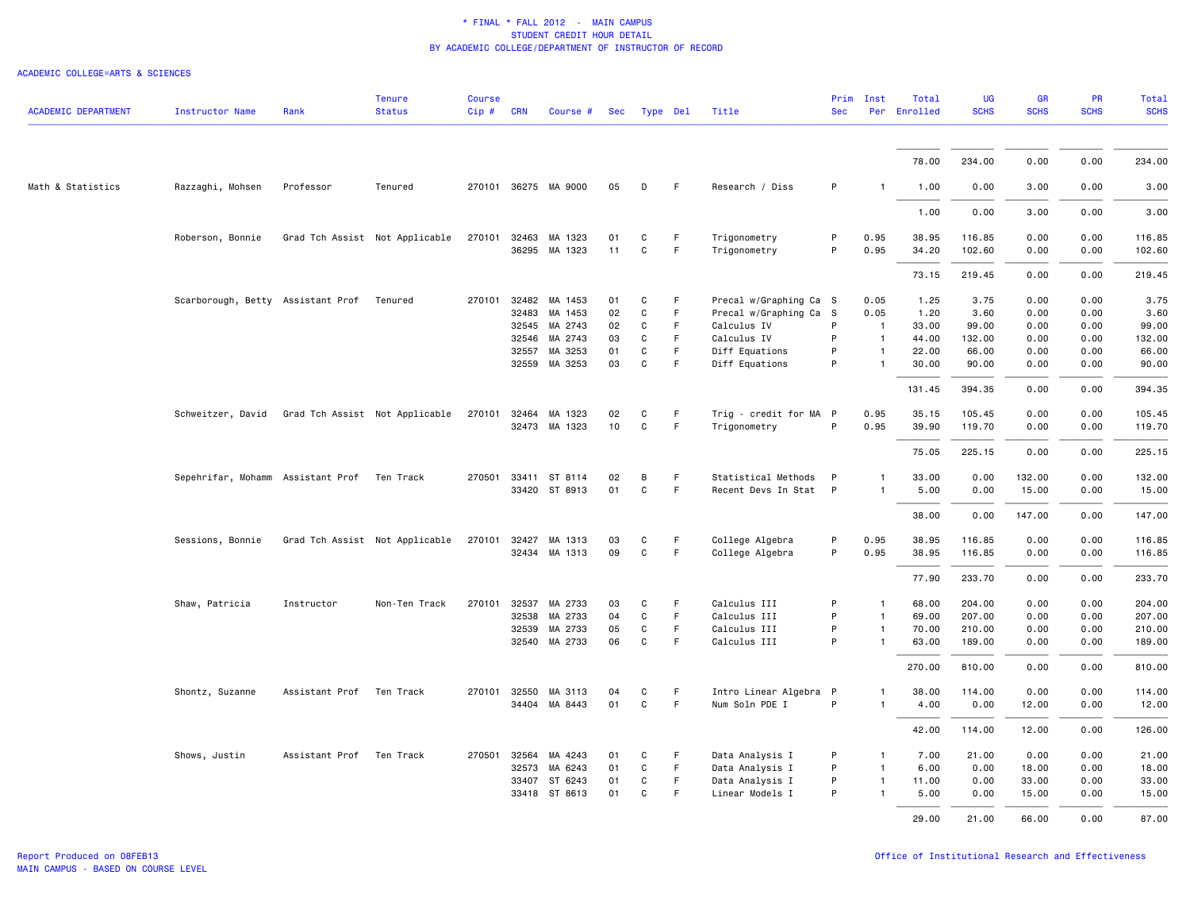| <b>ACADEMIC DEPARTMENT</b> | <b>Instructor Name</b>                           | Rank                     | <b>Tenure</b><br><b>Status</b> | <b>Course</b><br>Cip# | <b>CRN</b>   | Course #             | Sec | Type Del     |    | Title                  | <b>Sec</b> | Prim Inst      | Total<br>Per Enrolled | <b>UG</b><br><b>SCHS</b> | GR<br><b>SCHS</b> | PR<br><b>SCHS</b> | <b>Total</b><br><b>SCHS</b> |
|----------------------------|--------------------------------------------------|--------------------------|--------------------------------|-----------------------|--------------|----------------------|-----|--------------|----|------------------------|------------|----------------|-----------------------|--------------------------|-------------------|-------------------|-----------------------------|
|                            |                                                  |                          |                                |                       |              |                      |     |              |    |                        |            |                |                       |                          |                   |                   |                             |
|                            |                                                  |                          |                                |                       |              |                      |     |              |    |                        |            |                | 78.00                 | 234.00                   | 0.00              | 0.00              | 234.00                      |
| Math & Statistics          | Razzaghi, Mohsen                                 | Professor                | Tenured                        |                       |              | 270101 36275 MA 9000 | 05  | D            | F. | Research / Diss        | P          |                | 1.00                  | 0.00                     | 3.00              | 0.00              | 3.00                        |
|                            |                                                  |                          |                                |                       |              |                      |     |              |    |                        |            |                | 1.00                  | 0.00                     | 3.00              | 0.00              | 3.00                        |
|                            | Roberson, Bonnie                                 |                          | Grad Tch Assist Not Applicable |                       | 270101 32463 | MA 1323              | 01  | C            | F. | Trigonometry           | P          | 0.95           | 38.95                 | 116.85                   | 0.00              | 0.00              | 116.85                      |
|                            |                                                  |                          |                                |                       |              | 36295 MA 1323        | 11  | C            | F  | Trigonometry           | P          | 0.95           | 34.20                 | 102.60                   | 0.00              | 0.00              | 102.60                      |
|                            |                                                  |                          |                                |                       |              |                      |     |              |    |                        |            |                | 73.15                 | 219.45                   | 0.00              | 0.00              | 219.45                      |
|                            | Scarborough, Betty Assistant Prof Tenured        |                          |                                |                       |              | 270101 32482 MA 1453 | 01  | C            | F  | Precal w/Graphing Ca S |            | 0.05           | 1.25                  | 3.75                     | 0.00              | 0.00              | 3.75                        |
|                            |                                                  |                          |                                |                       | 32483        | MA 1453              | 02  | C            | F  | Precal w/Graphing Ca S |            | 0.05           | 1.20                  | 3.60                     | 0.00              | 0.00              | 3.60                        |
|                            |                                                  |                          |                                |                       | 32545        | MA 2743              | 02  | C            | F  | Calculus IV            | P          | $\overline{1}$ | 33,00                 | 99.00                    | 0.00              | 0.00              | 99.00                       |
|                            |                                                  |                          |                                |                       |              | 32546 MA 2743        | 03  | C            | F. | Calculus IV            | P          | $\overline{1}$ | 44.00                 | 132.00                   | 0.00              | 0.00              | 132.00                      |
|                            |                                                  |                          |                                |                       | 32557        | MA 3253              | 01  | C            | F  | Diff Equations         | P          | $\overline{1}$ | 22.00                 | 66.00                    | 0.00              | 0.00              | 66.00                       |
|                            |                                                  |                          |                                |                       |              | 32559 MA 3253        | 03  | C            | F. | Diff Equations         | P          |                | 30.00                 | 90.00                    | 0.00              | 0.00              | 90.00                       |
|                            |                                                  |                          |                                |                       |              |                      |     |              |    |                        |            |                | 131.45                | 394.35                   | 0.00              | 0.00              | 394.35                      |
|                            | Schweitzer, David Grad Tch Assist Not Applicable |                          |                                |                       |              | 270101 32464 MA 1323 | 02  | C            | F  | Trig - credit for MA P |            | 0.95           | 35.15                 | 105.45                   | 0.00              | 0.00              | 105.45                      |
|                            |                                                  |                          |                                |                       |              | 32473 MA 1323        | 10  | C            | F  | Trigonometry           | P          | 0.95           | 39.90                 | 119.70                   | 0.00              | 0.00              | 119.70                      |
|                            |                                                  |                          |                                |                       |              |                      |     |              |    |                        |            |                | 75.05                 | 225.15                   | 0.00              | 0.00              | 225.15                      |
|                            | Sepehrifar, Mohamm Assistant Prof Ten Track      |                          |                                |                       |              | 270501 33411 ST 8114 | 02  | B            | F  | Statistical Methods    | P          | $\mathbf{1}$   | 33.00                 | 0.00                     | 132.00            | 0.00              | 132.00                      |
|                            |                                                  |                          |                                |                       |              | 33420 ST 8913        | 01  | C            | F  | Recent Devs In Stat P  |            | $\mathbf{1}$   | 5.00                  | 0.00                     | 15.00             | 0.00              | 15.00                       |
|                            |                                                  |                          |                                |                       |              |                      |     |              |    |                        |            |                | 38.00                 | 0.00                     | 147.00            | 0.00              | 147.00                      |
|                            | Sessions, Bonnie                                 |                          | Grad Tch Assist Not Applicable |                       | 270101 32427 | MA 1313              | 03  | C            | F. | College Algebra        | P          | 0.95           | 38.95                 | 116.85                   | 0.00              | 0.00              | 116.85                      |
|                            |                                                  |                          |                                |                       |              | 32434 MA 1313        | 09  | $\mathbf{C}$ | F. | College Algebra        | P          | 0.95           | 38.95                 | 116.85                   | 0.00              | 0.00              | 116.85                      |
|                            |                                                  |                          |                                |                       |              |                      |     |              |    |                        |            |                | 77.90                 | 233.70                   | 0.00              | 0.00              | 233.70                      |
|                            | Shaw, Patricia                                   | Instructor               | Non-Ten Track                  |                       | 270101 32537 | MA 2733              | 03  | C            | F. | Calculus III           | P          | $\mathbf{1}$   | 68.00                 | 204.00                   | 0.00              | 0.00              | 204.00                      |
|                            |                                                  |                          |                                |                       | 32538        | MA 2733              | 04  | C            | F. | Calculus III           | P          | $\mathbf{1}$   | 69.00                 | 207.00                   | 0.00              | 0.00              | 207.00                      |
|                            |                                                  |                          |                                |                       |              | 32539 MA 2733        | 05  | C            | F  | Calculus III           | P          | $\mathbf{1}$   | 70.00                 | 210.00                   | 0.00              | 0.00              | 210.00                      |
|                            |                                                  |                          |                                |                       |              | 32540 MA 2733        | 06  | $\mathtt{C}$ | F. | Calculus III           | P          | $\mathbf{1}$   | 63.00                 | 189.00                   | 0.00              | 0.00              | 189.00                      |
|                            |                                                  |                          |                                |                       |              |                      |     |              |    |                        |            |                | 270.00                | 810.00                   | 0.00              | 0.00              | 810.00                      |
|                            | Shontz, Suzanne                                  | Assistant Prof Ten Track |                                |                       |              | 270101 32550 MA 3113 | 04  | C            | F. | Intro Linear Algebra P |            | $\mathbf{1}$   | 38.00                 | 114.00                   | 0.00              | 0.00              | 114.00                      |
|                            |                                                  |                          |                                |                       |              | 34404 MA 8443        | 01  | C            | F. | Num Soln PDE I         | P          | $\mathbf{1}$   | 4.00                  | 0.00                     | 12.00             | 0.00              | 12.00                       |
|                            |                                                  |                          |                                |                       |              |                      |     |              |    |                        |            |                | 42.00                 | 114.00                   | 12.00             | 0.00              | 126.00                      |
|                            | Shows, Justin                                    | Assistant Prof           | Ten Track                      |                       | 270501 32564 | MA 4243              | 01  | C            | F. | Data Analysis I        | P          | 1              | 7.00                  | 21.00                    | 0.00              | 0.00              | 21.00                       |
|                            |                                                  |                          |                                |                       | 32573        | MA 6243              | 01  | C            | F. | Data Analysis I        | P          | $\mathbf{1}$   | 6.00                  | 0.00                     | 18.00             | 0.00              | 18.00                       |
|                            |                                                  |                          |                                |                       | 33407        | ST 6243              | 01  | C            | F. | Data Analysis I        | P          | $\mathbf{1}$   | 11.00                 | 0.00                     | 33.00             | 0.00              | 33.00                       |
|                            |                                                  |                          |                                |                       | 33418        | ST 8613              | 01  | C            | F  | Linear Models I        | P          | $\mathbf{1}$   | 5.00                  | 0.00                     | 15.00             | 0.00              | 15.00                       |
|                            |                                                  |                          |                                |                       |              |                      |     |              |    |                        |            |                | 29.00                 | 21.00                    | 66.00             | 0.00              | 87.00                       |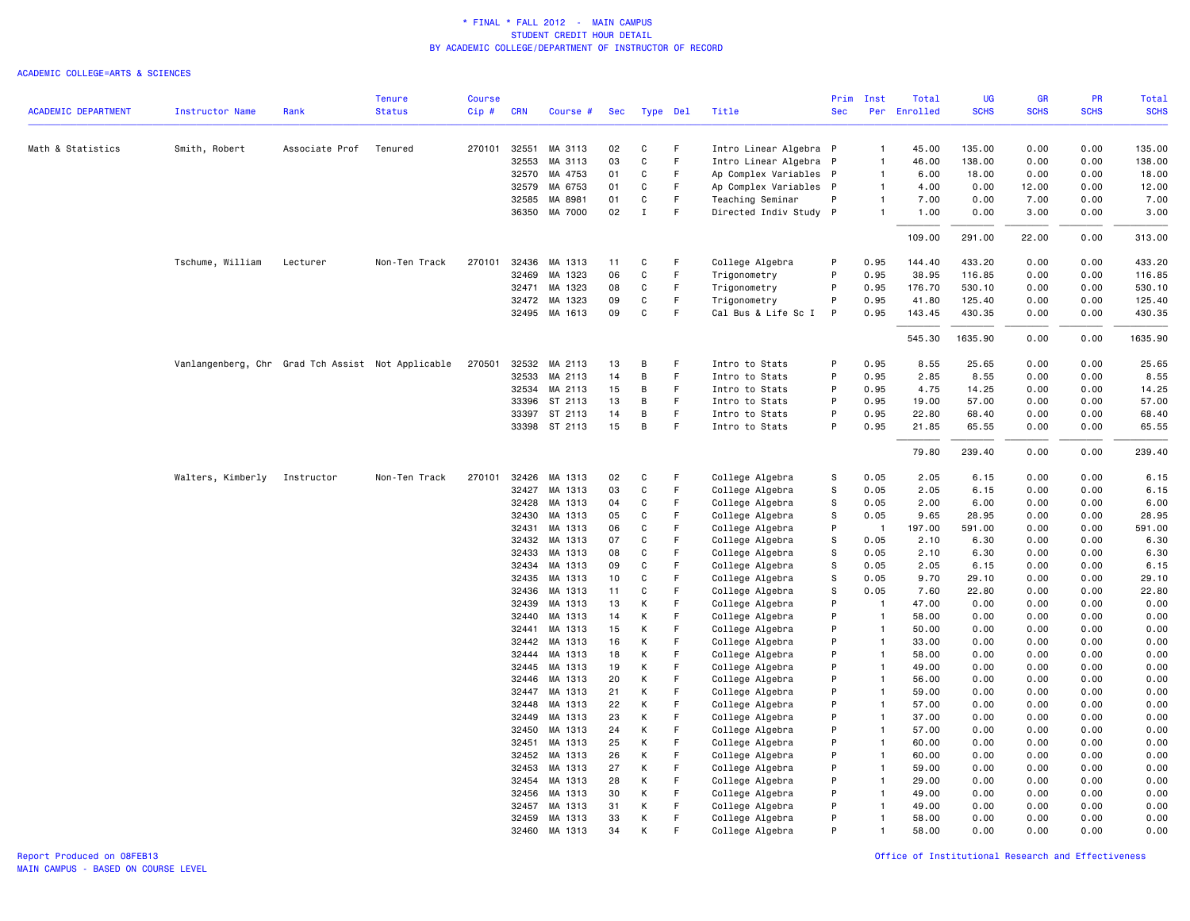|                            |                                                   |                | <b>Tenure</b> | <b>Course</b> |                |                    |            |              |          |                                    | Prim       | Inst                   | Total         | UG            | <b>GR</b>    | PR           | Total         |
|----------------------------|---------------------------------------------------|----------------|---------------|---------------|----------------|--------------------|------------|--------------|----------|------------------------------------|------------|------------------------|---------------|---------------|--------------|--------------|---------------|
| <b>ACADEMIC DEPARTMENT</b> | <b>Instructor Name</b>                            | Rank           | <b>Status</b> | Cip#          | <b>CRN</b>     | Course #           | <b>Sec</b> |              | Type Del | Title                              | <b>Sec</b> | Per                    | Enrolled      | <b>SCHS</b>   | <b>SCHS</b>  | <b>SCHS</b>  | <b>SCHS</b>   |
| Math & Statistics          | Smith, Robert                                     | Associate Prof | Tenured       | 270101        | 32551          | MA 3113            | 02         | C            | F        | Intro Linear Algebra P             |            | $\overline{1}$         | 45.00         | 135.00        | 0.00         | 0.00         | 135.00        |
|                            |                                                   |                |               |               | 32553          | MA 3113            | 03         | C            | F        | Intro Linear Algebra P             |            | 1                      | 46.00         | 138.00        | 0.00         | 0.00         | 138.00        |
|                            |                                                   |                |               |               | 32570          | MA 4753            | 01         | C            | F        | Ap Complex Variables P             |            | $\mathbf{1}$           | 6.00          | 18.00         | 0.00         | 0.00         | 18.00         |
|                            |                                                   |                |               |               | 32579          | MA 6753            | 01         | C            | F.       | Ap Complex Variables P             |            | $\mathbf{1}$           | 4.00          | 0.00          | 12.00        | 0.00         | 12.00         |
|                            |                                                   |                |               |               | 32585          | MA 8981            | 01         | C            | F        | Teaching Seminar                   | P          | $\mathbf{1}$           | 7.00          | 0.00          | 7.00         | 0.00         | 7.00          |
|                            |                                                   |                |               |               |                | 36350 MA 7000      | 02         | $\mathbf I$  | F        | Directed Indiv Study P             |            | $\mathbf{1}$           | 1.00          | 0.00          | 3.00         | 0.00         | 3.00          |
|                            |                                                   |                |               |               |                |                    |            |              |          |                                    |            |                        | 109.00        | 291.00        | 22.00        | 0.00         | 313.00        |
|                            | Tschume, William                                  | Lecturer       | Non-Ten Track | 270101        | 32436          | MA 1313            | 11         | C            | F        | College Algebra                    | P          | 0.95                   | 144.40        | 433.20        | 0.00         | 0.00         | 433.20        |
|                            |                                                   |                |               |               | 32469          | MA 1323            | 06         | C            | F        | Trigonometry                       | P          | 0.95                   | 38.95         | 116.85        | 0.00         | 0.00         | 116.85        |
|                            |                                                   |                |               |               | 32471          | MA 1323            | 08         | $\mathtt{C}$ | F        | Trigonometry                       | P          | 0.95                   | 176.70        | 530.10        | 0.00         | 0.00         | 530.10        |
|                            |                                                   |                |               |               | 32472          | MA 1323            | 09         | C            | F        | Trigonometry                       | P          | 0.95                   | 41.80         | 125.40        | 0.00         | 0.00         | 125.40        |
|                            |                                                   |                |               |               |                | 32495 MA 1613      | 09         | C            | F        | Cal Bus & Life Sc I                | P          | 0.95                   | 143.45        | 430.35        | 0.00         | 0.00         | 430.35        |
|                            |                                                   |                |               |               |                |                    |            |              |          |                                    |            |                        | 545.30        | 1635.90       | 0.00         | 0.00         | 1635.90       |
|                            | Vanlangenberg, Chr Grad Tch Assist Not Applicable |                |               | 270501        | 32532          | MA 2113            | 13         | B            | F        | Intro to Stats                     | P          | 0.95                   | 8.55          | 25.65         | 0.00         | 0.00         | 25.65         |
|                            |                                                   |                |               |               | 32533          | MA 2113            | 14         | B            | F.       | Intro to Stats                     | P          | 0.95                   | 2.85          | 8.55          | 0.00         | 0.00         | 8.55          |
|                            |                                                   |                |               |               | 32534          | MA 2113            | 15         | B            | F        | Intro to Stats                     | P          | 0.95                   | 4.75          | 14.25         | 0.00         | 0.00         | 14.25         |
|                            |                                                   |                |               |               | 33396          | ST 2113            | 13         | B            | F        | Intro to Stats                     | P          | 0.95                   | 19.00         | 57.00         | 0.00         | 0.00         | 57.00         |
|                            |                                                   |                |               |               | 33397          | ST 2113            | 14         | В            | F        | Intro to Stats                     | P          | 0.95                   | 22.80         | 68.40         | 0.00         | 0.00         | 68.40         |
|                            |                                                   |                |               |               |                | 33398 ST 2113      | 15         | B            | F        | Intro to Stats                     | P          | 0.95                   | 21.85         | 65.55         | 0.00         | 0.00         | 65.55         |
|                            |                                                   |                |               |               |                |                    |            |              |          |                                    |            |                        | 79.80         | 239.40        | 0.00         | 0.00         | 239.40        |
|                            | Walters, Kimberly                                 | Instructor     | Non-Ten Track | 270101        | 32426          | MA 1313            | 02         | C            | F        | College Algebra                    | S          | 0.05                   | 2.05          | 6.15          | 0.00         | 0.00         | 6.15          |
|                            |                                                   |                |               |               | 32427          | MA 1313            | 03         | C            | F        | College Algebra                    | S          | 0.05                   | 2.05          | 6.15          | 0.00         | 0.00         | 6.15          |
|                            |                                                   |                |               |               | 32428          | MA 1313            | 04         | C            | F        | College Algebra                    | s          | 0.05                   | 2.00          | 6.00          | 0.00         | 0.00         | 6.00          |
|                            |                                                   |                |               |               | 32430          | MA 1313            | 05         | C            | F        | College Algebra                    | s          | 0.05                   | 9.65          | 28.95         | 0.00         | 0.00         | 28.95         |
|                            |                                                   |                |               |               | 32431          | MA 1313            | 06         | C            | F        | College Algebra                    | P          | -1                     | 197.00        | 591.00        | 0.00         | 0.00         | 591.00        |
|                            |                                                   |                |               |               | 32432          | MA 1313            | 07         | C            | F        | College Algebra                    | s          | 0.05                   | 2.10          | 6.30          | 0.00         | 0.00         | 6.30          |
|                            |                                                   |                |               |               | 32433          | MA 1313            | 08         | C            | F        | College Algebra                    | S          | 0.05                   | 2.10          | 6.30          | 0.00         | 0.00         | 6.30          |
|                            |                                                   |                |               |               | 32434          | MA 1313            | 09         | C            | F        | College Algebra                    | S          | 0.05                   | 2.05          | 6.15          | 0.00         | 0.00         | 6.15          |
|                            |                                                   |                |               |               | 32435          | MA 1313            | 10         | C            | F<br>F   | College Algebra                    | s          | 0.05                   | 9.70          | 29.10         | 0.00         | 0.00         | 29.10         |
|                            |                                                   |                |               |               | 32436<br>32439 | MA 1313<br>MA 1313 | 11<br>13   | C<br>К       | F        | College Algebra                    | S<br>P     | 0.05<br>$\overline{1}$ | 7.60<br>47.00 | 22.80<br>0.00 | 0.00<br>0.00 | 0.00<br>0.00 | 22.80<br>0.00 |
|                            |                                                   |                |               |               | 32440          | MA 1313            | 14         | K            | F        | College Algebra<br>College Algebra | P          | $\overline{1}$         | 58.00         | 0.00          | 0.00         | 0.00         | 0.00          |
|                            |                                                   |                |               |               | 32441          | MA 1313            | 15         | К            | F        | College Algebra                    | P          | $\overline{1}$         | 50.00         | 0.00          | 0.00         | 0.00         | 0.00          |
|                            |                                                   |                |               |               | 32442          | MA 1313            | 16         | К            | F        | College Algebra                    | P          | $\mathbf{1}$           | 33.00         | 0.00          | 0.00         | 0.00         | 0.00          |
|                            |                                                   |                |               |               | 32444          | MA 1313            | 18         | К            | F        | College Algebra                    | P          | $\mathbf{1}$           | 58.00         | 0.00          | 0.00         | 0.00         | 0.00          |
|                            |                                                   |                |               |               | 32445          | MA 1313            | 19         | К            | F        | College Algebra                    | P          | $\mathbf{1}$           | 49.00         | 0.00          | 0.00         | 0.00         | 0.00          |
|                            |                                                   |                |               |               | 32446          | MA 1313            | 20         | К            | F        | College Algebra                    | P          | $\overline{1}$         | 56.00         | 0.00          | 0.00         | 0.00         | 0.00          |
|                            |                                                   |                |               |               | 32447          | MA 1313            | 21         | K            | F        | College Algebra                    | P          | $\mathbf{1}$           | 59.00         | 0.00          | 0.00         | 0.00         | 0.00          |
|                            |                                                   |                |               |               | 32448          | MA 1313            | 22         | K            | F        | College Algebra                    | P          | $\mathbf{1}$           | 57.00         | 0.00          | 0.00         | 0.00         | 0.00          |
|                            |                                                   |                |               |               | 32449          | MA 1313            | 23         | K            | F        | College Algebra                    | P          | $\overline{1}$         | 37.00         | 0.00          | 0.00         | 0.00         | 0.00          |
|                            |                                                   |                |               |               | 32450          | MA 1313            | 24         | К            | F        | College Algebra                    | P          | $\overline{1}$         | 57.00         | 0.00          | 0.00         | 0.00         | 0.00          |
|                            |                                                   |                |               |               | 32451          | MA 1313            | 25         | К            | F        | College Algebra                    | P          | $\overline{1}$         | 60.00         | 0.00          | 0.00         | 0.00         | 0.00          |
|                            |                                                   |                |               |               | 32452          | MA 1313            | 26         | K            | F        | College Algebra                    | P          | $\overline{1}$         | 60.00         | 0.00          | 0.00         | 0.00         | 0.00          |
|                            |                                                   |                |               |               | 32453          | MA 1313            | 27         | K            | F        | College Algebra                    | P          | $\overline{1}$         | 59.00         | 0.00          | 0.00         | 0.00         | 0.00          |
|                            |                                                   |                |               |               | 32454          | MA 1313            | 28         | K            | F        | College Algebra                    | P          | $\mathbf{1}$           | 29.00         | 0.00          | 0.00         | 0.00         | 0.00          |
|                            |                                                   |                |               |               | 32456          | MA 1313            | 30         | K            | F        | College Algebra                    | P          | $\mathbf{1}$           | 49.00         | 0.00          | 0.00         | 0.00         | 0.00          |
|                            |                                                   |                |               |               | 32457          | MA 1313            | 31         | K            | F.       | College Algebra                    | P          | $\mathbf{1}$           | 49.00         | 0.00          | 0.00         | 0.00         | 0.00          |
|                            |                                                   |                |               |               | 32459          | MA 1313            | 33         | К            | F        | College Algebra                    | P          | $\mathbf{1}$           | 58.00         | 0.00          | 0.00         | 0.00         | 0.00          |
|                            |                                                   |                |               |               | 32460          | MA 1313            | 34         | K            | F        | College Algebra                    | P          | $\mathbf{1}$           | 58.00         | 0.00          | 0.00         | 0.00         | 0.00          |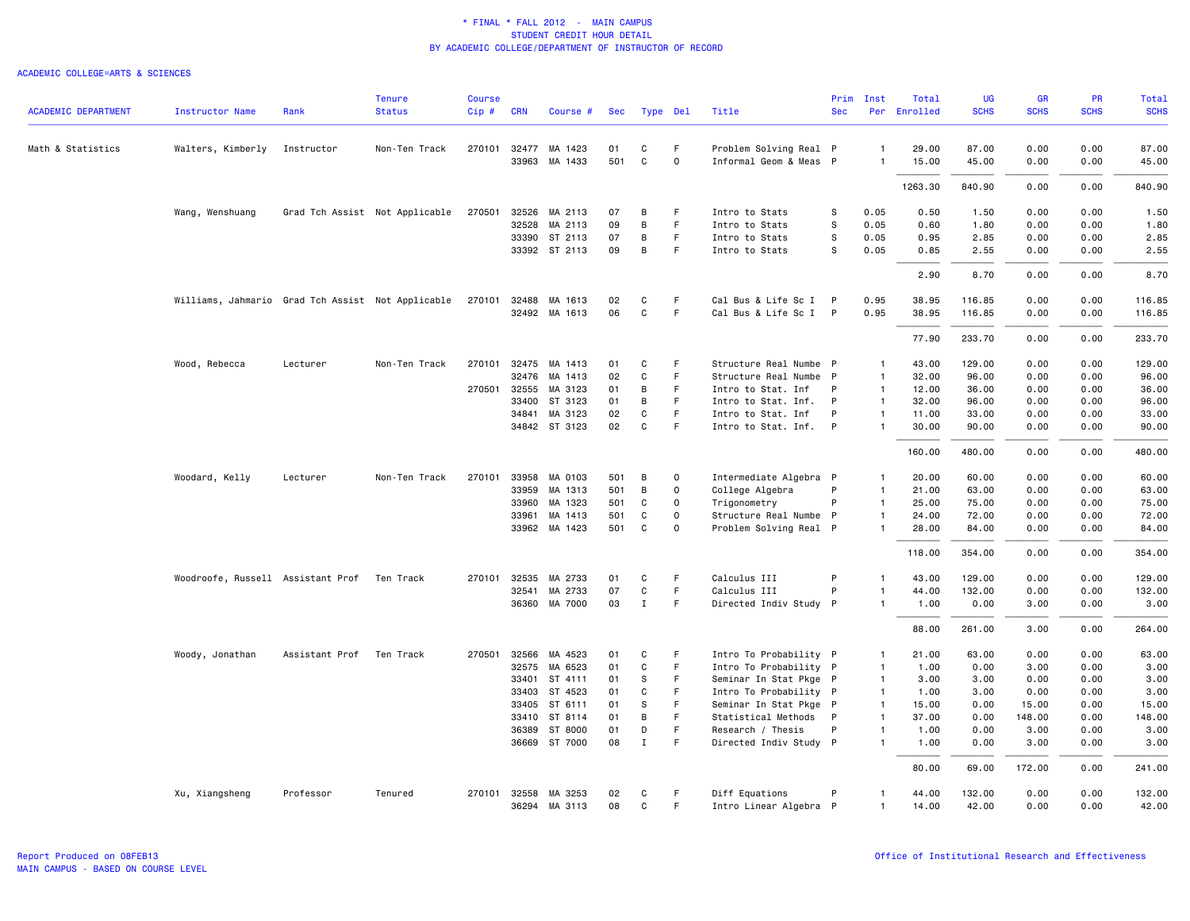| <b>ACADEMIC DEPARTMENT</b> | <b>Instructor Name</b>                            | Rank                     | <b>Tenure</b><br><b>Status</b> | <b>Course</b><br>$Cip$ # | <b>CRN</b> | Course #                 | Sec       |                  | Type Del         | Title                                            | <b>Sec</b>   | Prim Inst                      | Total<br>Per Enrolled | UG<br><b>SCHS</b> | GR<br><b>SCHS</b> | <b>PR</b><br><b>SCHS</b> | Total<br><b>SCHS</b> |
|----------------------------|---------------------------------------------------|--------------------------|--------------------------------|--------------------------|------------|--------------------------|-----------|------------------|------------------|--------------------------------------------------|--------------|--------------------------------|-----------------------|-------------------|-------------------|--------------------------|----------------------|
| Math & Statistics          | Walters, Kimberly                                 | Instructor               | Non-Ten Track                  | 270101                   | 32477      | MA 1423<br>33963 MA 1433 | 01<br>501 | C<br>$\mathbf c$ | F<br>$\mathbf 0$ | Problem Solving Real P<br>Informal Geom & Meas P |              | $\mathbf{1}$<br>$\mathbf{1}$   | 29.00<br>15.00        | 87.00<br>45.00    | 0.00<br>0.00      | 0.00<br>0.00             | 87.00<br>45.00       |
|                            |                                                   |                          |                                |                          |            |                          |           |                  |                  |                                                  |              |                                |                       |                   |                   |                          |                      |
|                            |                                                   |                          |                                |                          |            |                          |           |                  |                  |                                                  |              |                                | 1263.30               | 840.90            | 0.00              | 0.00                     | 840.90               |
|                            | Wang, Wenshuang                                   |                          | Grad Tch Assist Not Applicable | 270501                   |            | 32526 MA 2113            | 07        | B                | F                | Intro to Stats                                   | S            | 0.05                           | 0.50                  | 1.50              | 0.00              | 0.00                     | 1.50                 |
|                            |                                                   |                          |                                |                          | 32528      | MA 2113                  | 09        | B                | F.               | Intro to Stats                                   | S            | 0.05                           | 0.60                  | 1.80              | 0.00              | 0.00                     | 1.80                 |
|                            |                                                   |                          |                                |                          |            | 33390 ST 2113            | 07        | B                | F.               | Intro to Stats                                   | S            | 0.05                           | 0.95                  | 2.85              | 0.00              | 0.00                     | 2.85                 |
|                            |                                                   |                          |                                |                          |            | 33392 ST 2113            | 09        | B                | F                | Intro to Stats                                   | s            | 0.05                           | 0.85                  | 2.55              | 0.00              | 0.00                     | 2.55                 |
|                            |                                                   |                          |                                |                          |            |                          |           |                  |                  |                                                  |              |                                | 2.90                  | 8.70              | 0.00              | 0.00                     | 8.70                 |
|                            | Williams, Jahmario Grad Tch Assist Not Applicable |                          |                                | 270101                   |            | 32488 MA 1613            | 02        | C                | F                | Cal Bus & Life Sc I                              | P            | 0.95                           | 38.95                 | 116.85            | 0.00              | 0.00                     | 116.85               |
|                            |                                                   |                          |                                |                          |            | 32492 MA 1613            | 06        | C                | F.               | Cal Bus & Life Sc I P                            |              | 0.95                           | 38.95                 | 116.85            | 0.00              | 0.00                     | 116.85               |
|                            |                                                   |                          |                                |                          |            |                          |           |                  |                  |                                                  |              |                                | 77.90                 | 233.70            | 0.00              | 0.00                     | 233.70               |
|                            | Wood, Rebecca                                     | Lecturer                 | Non-Ten Track                  |                          |            | 270101 32475 MA 1413     | 01        | C                | F                | Structure Real Numbe P                           |              | $\mathbf{1}$                   | 43.00                 | 129.00            | 0.00              | 0.00                     | 129.00               |
|                            |                                                   |                          |                                |                          |            | 32476 MA 1413            | 02        | $\mathtt{C}$     | F.               | Structure Real Numbe P                           |              | $\mathbf{1}$                   | 32.00                 | 96.00             | 0.00              | 0.00                     | 96.00                |
|                            |                                                   |                          |                                | 270501                   | 32555      | MA 3123                  | 01        | B                | F                | Intro to Stat. Inf                               | P            | $\mathbf{1}$                   | 12.00                 | 36.00             | 0.00              | 0.00                     | 36.00                |
|                            |                                                   |                          |                                |                          | 33400      | ST 3123                  | 01        | B                | F                | Intro to Stat. Inf.                              | P            | $\mathbf{1}$                   | 32.00                 | 96.00             | 0.00              | 0.00                     | 96.00                |
|                            |                                                   |                          |                                |                          | 34841      | MA 3123                  | 02        | C                | F.               | Intro to Stat. Inf                               | P            | $\mathbf{1}$                   | 11.00                 | 33.00             | 0.00              | 0.00                     | 33.00                |
|                            |                                                   |                          |                                |                          |            | 34842 ST 3123            | 02        | C                | F                | Intro to Stat. Inf.                              | $\mathsf{P}$ | $\mathbf{1}$                   | 30.00                 | 90.00             | 0.00              | 0.00                     | 90.00                |
|                            |                                                   |                          |                                |                          |            |                          |           |                  |                  |                                                  |              |                                | 160.00                | 480.00            | 0.00              | 0.00                     | 480.00               |
|                            | Woodard, Kelly                                    | Lecturer                 | Non-Ten Track                  |                          |            | 270101 33958 MA 0103     | 501       | B                | $\Omega$         | Intermediate Algebra P                           |              | $\mathbf{1}$                   | 20.00                 | 60.00             | 0.00              | 0.00                     | 60.00                |
|                            |                                                   |                          |                                |                          | 33959      | MA 1313                  | 501       | B                | $\mathbf 0$      | College Algebra                                  | P            | $\mathbf{1}$                   | 21.00                 | 63.00             | 0.00              | 0.00                     | 63.00                |
|                            |                                                   |                          |                                |                          | 33960      | MA 1323                  | 501       | C                | $\mathbf 0$      | Trigonometry                                     | P            | $\mathbf{1}$                   | 25.00                 | 75.00             | 0.00              | 0.00                     | 75.00                |
|                            |                                                   |                          |                                |                          | 33961      | MA 1413                  | 501       | C                | $\Omega$         | Structure Real Numbe P                           |              | $\mathbf{1}$                   | 24.00                 | 72.00             | 0.00              | 0.00                     | 72.00                |
|                            |                                                   |                          |                                |                          |            | 33962 MA 1423            | 501       | C                | $\Omega$         | Problem Solving Real P                           |              | $\mathbf{1}$                   | 28.00                 | 84.00             | 0.00              | 0.00                     | 84.00                |
|                            |                                                   |                          |                                |                          |            |                          |           |                  |                  |                                                  |              |                                | 118.00                | 354.00            | 0.00              | 0.00                     | 354.00               |
|                            | Woodroofe, Russell Assistant Prof Ten Track       |                          |                                | 270101 32535             |            | MA 2733                  | 01        | C                | F                | Calculus III                                     | P            | $\mathbf{1}$                   | 43.00                 | 129.00            | 0.00              | 0.00                     | 129.00               |
|                            |                                                   |                          |                                |                          | 32541      | MA 2733                  | 07        | $\mathtt{C}$     | F.               | Calculus III                                     | P            |                                | 44.00                 | 132.00            | 0.00              | 0.00                     | 132.00               |
|                            |                                                   |                          |                                |                          |            | 36360 MA 7000            | 03        | $\mathbf{I}$     | F                | Directed Indiv Study P                           |              | $\mathbf{1}$                   | 1.00                  | 0.00              | 3.00              | 0.00                     | 3.00                 |
|                            |                                                   |                          |                                |                          |            |                          |           |                  |                  |                                                  |              |                                | 88.00                 | 261.00            | 3.00              | 0.00                     | 264.00               |
|                            | Woody, Jonathan                                   | Assistant Prof Ten Track |                                | 270501                   | 32566      | MA 4523                  | 01        | C                | F.               | Intro To Probability P                           |              | $\mathbf{1}$                   | 21.00                 | 63.00             | 0.00              | 0.00                     | 63.00                |
|                            |                                                   |                          |                                |                          | 32575      | MA 6523                  | 01        | C                | F.               | Intro To Probability P                           |              | $\overline{1}$                 | 1.00                  | 0.00              | 3.00              | 0.00                     | 3.00                 |
|                            |                                                   |                          |                                |                          | 33401      | ST 4111                  | 01        | S                | F                | Seminar In Stat Pkge P                           |              | $\mathbf{1}$                   | 3.00                  | 3.00              | 0.00              | 0.00                     | 3.00                 |
|                            |                                                   |                          |                                |                          | 33403      | ST 4523                  | 01        | C                | F                | Intro To Probability P                           |              | $\overline{1}$                 | 1.00                  | 3.00              | 0.00              | 0.00                     | 3.00                 |
|                            |                                                   |                          |                                |                          | 33405      | ST 6111                  | 01        | S                | F<br>F           | Seminar In Stat Pkge P                           |              | $\overline{1}$<br>$\mathbf{1}$ | 15.00                 | 0.00              | 15.00             | 0.00                     | 15.00                |
|                            |                                                   |                          |                                |                          | 36389      | 33410 ST 8114<br>ST 8000 | 01<br>01  | B<br>D           | F                | Statistical Methods P<br>Research / Thesis       | P            | 1                              | 37.00<br>1.00         | 0.00<br>0.00      | 148.00<br>3.00    | 0.00<br>0.00             | 148.00<br>3.00       |
|                            |                                                   |                          |                                |                          | 36669      | ST 7000                  | 08        | $\mathbf{I}$     | F                | Directed Indiv Study P                           |              | $\mathbf{1}$                   | 1.00                  | 0.00              | 3.00              | 0.00                     | 3.00                 |
|                            |                                                   |                          |                                |                          |            |                          |           |                  |                  |                                                  |              |                                | 80.00                 | 69.00             | 172.00            | 0.00                     | 241.00               |
|                            | Xu, Xiangsheng                                    | Professor                | Tenured                        | 270101 32558             |            | MA 3253                  | 02        | C                | F.               | Diff Equations                                   | P            | $\mathbf{1}$                   | 44.00                 | 132.00            | 0.00              | 0.00                     | 132.00               |
|                            |                                                   |                          |                                |                          |            | 36294 MA 3113            | 08        | C                | F                | Intro Linear Algebra P                           |              | $\mathbf{1}$                   | 14.00                 | 42.00             | 0.00              | 0.00                     | 42.00                |
|                            |                                                   |                          |                                |                          |            |                          |           |                  |                  |                                                  |              |                                |                       |                   |                   |                          |                      |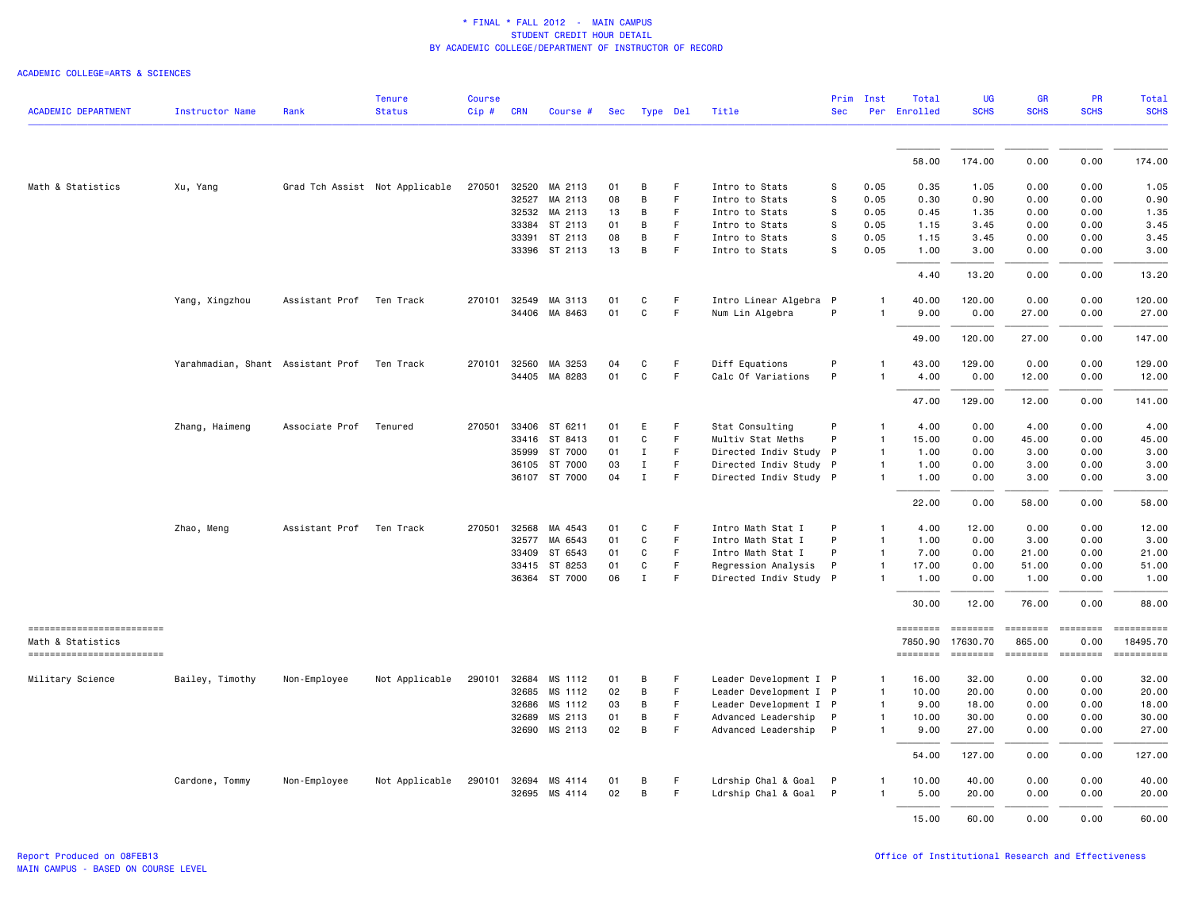| <b>ACADEMIC DEPARTMENT</b>                     | <b>Instructor Name</b>                      | Rank                     | <b>Tenure</b><br><b>Status</b> | <b>Course</b><br>$Cip$ # | <b>CRN</b> | Course #             | Sec | Type Del     |    | Title                  | <b>Sec</b> | Prim Inst      | Total<br>Per Enrolled      | <b>UG</b><br><b>SCHS</b>   | <b>GR</b><br><b>SCHS</b> | <b>PR</b><br><b>SCHS</b>                                                | <b>Total</b><br><b>SCHS</b> |
|------------------------------------------------|---------------------------------------------|--------------------------|--------------------------------|--------------------------|------------|----------------------|-----|--------------|----|------------------------|------------|----------------|----------------------------|----------------------------|--------------------------|-------------------------------------------------------------------------|-----------------------------|
|                                                |                                             |                          |                                |                          |            |                      |     |              |    |                        |            |                | 58.00                      | 174.00                     |                          | 0.00                                                                    |                             |
|                                                |                                             |                          |                                |                          |            |                      |     |              |    |                        |            |                |                            |                            | 0.00                     |                                                                         | 174.00                      |
| Math & Statistics                              | Xu, Yang                                    |                          | Grad Tch Assist Not Applicable | 270501                   |            | 32520 MA 2113        | 01  | B            | F  | Intro to Stats         | s          | 0.05           | 0.35                       | 1.05                       | 0.00                     | 0.00                                                                    | 1.05                        |
|                                                |                                             |                          |                                |                          | 32527      | MA 2113              | 08  | B            | F  | Intro to Stats         | S          | 0.05           | 0.30                       | 0.90                       | 0.00                     | 0.00                                                                    | 0.90                        |
|                                                |                                             |                          |                                |                          | 32532      | MA 2113              | 13  | B            | F  | Intro to Stats         | S          | 0.05           | 0.45                       | 1.35                       | 0.00                     | 0.00                                                                    | 1.35                        |
|                                                |                                             |                          |                                |                          | 33384      | ST 2113              | 01  | B            | F. | Intro to Stats         | s          | 0.05           | 1.15                       | 3.45                       | 0.00                     | 0.00                                                                    | 3.45                        |
|                                                |                                             |                          |                                |                          | 33391      | ST 2113              | 08  | B            | F. | Intro to Stats         | s          | 0.05           | 1.15                       | 3.45                       | 0.00                     | 0.00                                                                    | 3.45                        |
|                                                |                                             |                          |                                |                          |            | 33396 ST 2113        | 13  | B            | F  | Intro to Stats         | s          | 0.05           | 1.00                       | 3.00                       | 0.00                     | 0.00                                                                    | 3.00                        |
|                                                |                                             |                          |                                |                          |            |                      |     |              |    |                        |            |                | 4.40                       | 13.20                      | 0.00                     | 0.00                                                                    | 13.20                       |
|                                                | Yang, Xingzhou                              | Assistant Prof Ten Track |                                |                          |            | 270101 32549 MA 3113 | 01  | C            | F  | Intro Linear Algebra P |            |                | 40.00                      | 120.00                     | 0.00                     | 0.00                                                                    | 120.00                      |
|                                                |                                             |                          |                                |                          |            | 34406 MA 8463        | 01  | $\mathbf{C}$ | F. | Num Lin Algebra        | P          | $\mathbf{1}$   | 9.00                       | 0.00                       | 27.00                    | 0.00                                                                    | 27.00                       |
|                                                |                                             |                          |                                |                          |            |                      |     |              |    |                        |            |                | 49.00                      | 120.00                     | 27.00                    | 0.00                                                                    | 147.00                      |
|                                                | Yarahmadian, Shant Assistant Prof Ten Track |                          |                                | 270101                   | 32560      | MA 3253              | 04  | C            | F  | Diff Equations         | P          |                | 43.00                      | 129.00                     | 0.00                     | 0.00                                                                    | 129.00                      |
|                                                |                                             |                          |                                |                          |            | 34405 MA 8283        | 01  | $\mathtt{C}$ | F. | Calc Of Variations     | P          | 1              | 4.00                       | 0.00                       | 12.00                    | 0.00                                                                    | 12.00                       |
|                                                |                                             |                          |                                |                          |            |                      |     |              |    |                        |            |                | 47.00                      | 129.00                     | 12.00                    | 0.00                                                                    | 141.00                      |
|                                                | Zhang, Haimeng                              | Associate Prof           | Tenured                        | 270501                   | 33406      | ST 6211              | 01  | E            | F  | Stat Consulting        | P          | $\mathbf{1}$   | 4.00                       | 0.00                       | 4.00                     | 0.00                                                                    | 4.00                        |
|                                                |                                             |                          |                                |                          |            | 33416 ST 8413        | 01  | C            | F  | Multiv Stat Meths      | P          | $\overline{1}$ | 15.00                      | 0.00                       | 45.00                    | 0.00                                                                    | 45.00                       |
|                                                |                                             |                          |                                |                          | 35999      | ST 7000              | 01  | $\mathbf{I}$ | F. | Directed Indiv Study   | P          | $\mathbf{1}$   | 1.00                       | 0.00                       | 3.00                     | 0.00                                                                    | 3.00                        |
|                                                |                                             |                          |                                |                          | 36105      | ST 7000              | 03  | $\mathbf{I}$ | F. | Directed Indiv Study P |            | $\mathbf{1}$   | 1.00                       | 0.00                       | 3.00                     | 0.00                                                                    | 3.00                        |
|                                                |                                             |                          |                                |                          |            | 36107 ST 7000        | 04  | $\mathbf{I}$ | F. | Directed Indiv Study P |            | $\mathbf{1}$   | 1.00                       | 0.00                       | 3.00                     | 0.00                                                                    | 3.00                        |
|                                                |                                             |                          |                                |                          |            |                      |     |              |    |                        |            |                | 22.00                      | 0.00                       | 58.00                    | 0.00                                                                    | 58.00                       |
|                                                | Zhao, Meng                                  | Assistant Prof           | Ten Track                      | 270501                   | 32568      | MA 4543              | 01  | C            | F  | Intro Math Stat I      | P          | $\mathbf{1}$   | 4.00                       | 12.00                      | 0.00                     | 0.00                                                                    | 12.00                       |
|                                                |                                             |                          |                                |                          | 32577      | MA 6543              | 01  | C            | F. | Intro Math Stat I      | P          | $\mathbf{1}$   | 1.00                       | 0.00                       | 3.00                     | 0.00                                                                    | 3.00                        |
|                                                |                                             |                          |                                |                          | 33409      | ST 6543              | 01  | C            | F. | Intro Math Stat I      | P          | $\mathbf{1}$   | 7.00                       | 0.00                       | 21.00                    | 0.00                                                                    | 21.00                       |
|                                                |                                             |                          |                                |                          | 33415      | ST 8253              | 01  | C            | F  | Regression Analysis    | P          | 1              | 17.00                      | 0.00                       | 51.00                    | 0.00                                                                    | 51.00                       |
|                                                |                                             |                          |                                |                          | 36364      | ST 7000              | 06  | $\mathbf{I}$ | F. | Directed Indiv Study P |            | $\mathbf{1}$   | 1.00                       | 0.00                       | 1.00                     | 0.00                                                                    | 1.00                        |
|                                                |                                             |                          |                                |                          |            |                      |     |              |    |                        |            |                | 30.00                      | 12.00                      | 76.00                    | 0.00                                                                    | 88.00                       |
| -------------------------                      |                                             |                          |                                |                          |            |                      |     |              |    |                        |            |                | ========                   |                            | <b>EDEDEED</b>           | $\qquad \qquad \equiv \equiv \equiv \equiv \equiv \equiv \equiv \equiv$ | ==========                  |
| Math & Statistics<br>------------------------- |                                             |                          |                                |                          |            |                      |     |              |    |                        |            |                | 7850.90<br><b>ESSESSEE</b> | 17630.70<br><b>ESSESSE</b> | 865.00                   | 0.00<br>ESSESSEE                                                        | 18495.70<br>==========      |
| Military Science                               | Bailey, Timothy                             | Non-Employee             | Not Applicable                 | 290101                   | 32684      | MS 1112              | 01  | B            | F  | Leader Development I P |            | $\mathbf{1}$   | 16.00                      | 32.00                      | 0.00                     | 0.00                                                                    | 32.00                       |
|                                                |                                             |                          |                                |                          | 32685      | MS 1112              | 02  | B            | F. | Leader Development I P |            | $\mathbf{1}$   | 10.00                      | 20.00                      | 0.00                     | 0.00                                                                    | 20.00                       |
|                                                |                                             |                          |                                |                          | 32686      | MS 1112              | 03  | B            | F  | Leader Development I P |            | $\mathbf{1}$   | 9.00                       | 18.00                      | 0.00                     | 0.00                                                                    | 18.00                       |
|                                                |                                             |                          |                                |                          | 32689      | MS 2113              | 01  | B            | F  | Advanced Leadership    | P          | $\mathbf{1}$   | 10.00                      | 30.00                      | 0.00                     | 0.00                                                                    | 30.00                       |
|                                                |                                             |                          |                                |                          | 32690      | MS 2113              | 02  | B            | F  | Advanced Leadership P  |            | 1              | 9.00                       | 27.00                      | 0.00                     | 0.00                                                                    | 27.00                       |
|                                                |                                             |                          |                                |                          |            |                      |     |              |    |                        |            |                | 54.00                      | 127.00                     | 0.00                     | 0.00                                                                    | 127.00                      |
|                                                | Cardone, Tommy                              | Non-Employee             | Not Applicable                 |                          |            | 290101 32694 MS 4114 | 01  | B            | F  | Ldrship Chal & Goal P  |            | $\mathbf{1}$   | 10.00                      | 40.00                      | 0.00                     | 0.00                                                                    | 40.00                       |
|                                                |                                             |                          |                                |                          | 32695      | MS 4114              | 02  | B            | F. | Ldrship Chal & Goal P  |            | $\mathbf{1}$   | 5.00                       | 20.00                      | 0.00                     | 0.00                                                                    | 20.00                       |
|                                                |                                             |                          |                                |                          |            |                      |     |              |    |                        |            |                | 15.00                      | 60.00                      | 0.00                     | 0.00                                                                    | 60.00                       |
|                                                |                                             |                          |                                |                          |            |                      |     |              |    |                        |            |                |                            |                            |                          |                                                                         |                             |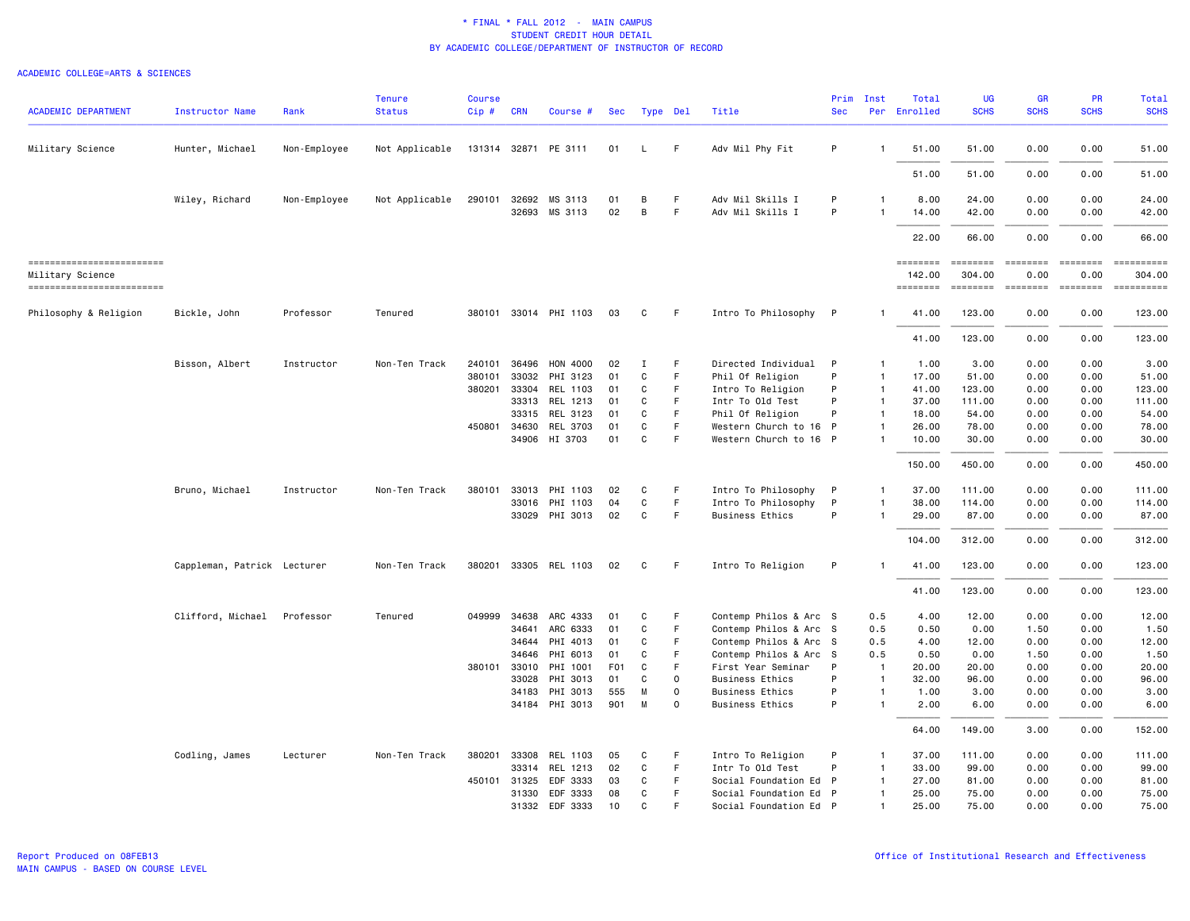| <b>ACADEMIC DEPARTMENT</b>                   | <b>Instructor Name</b>      | Rank         | <b>Tenure</b><br><b>Status</b> | <b>Course</b><br>Cip# | <b>CRN</b> | Course #                              | Sec        |              | Type Del | Title                                | Prim<br><b>Sec</b> | Inst                           | Total<br>Per Enrolled | <b>UG</b><br><b>SCHS</b> | <b>GR</b><br><b>SCHS</b> | PR<br><b>SCHS</b> | <b>Total</b><br><b>SCHS</b> |
|----------------------------------------------|-----------------------------|--------------|--------------------------------|-----------------------|------------|---------------------------------------|------------|--------------|----------|--------------------------------------|--------------------|--------------------------------|-----------------------|--------------------------|--------------------------|-------------------|-----------------------------|
|                                              |                             | Non-Employee | Not Applicable                 |                       |            | 131314 32871 PE 3111                  | 01         | $\mathsf{L}$ | F.       | Adv Mil Phy Fit                      | P                  | -1                             | 51.00                 | 51.00                    | 0.00                     | 0.00              | 51.00                       |
| Military Science                             | Hunter, Michael             |              |                                |                       |            |                                       |            |              |          |                                      |                    |                                |                       |                          |                          |                   |                             |
|                                              |                             |              |                                |                       |            |                                       |            |              |          |                                      |                    |                                | 51.00                 | 51.00                    | 0.00                     | 0.00              | 51.00                       |
|                                              | Wiley, Richard              | Non-Employee | Not Applicable                 |                       |            | 290101 32692 MS 3113<br>32693 MS 3113 | 01<br>02   | B<br>B       | F<br>F   | Adv Mil Skills I<br>Adv Mil Skills I | P<br>P             | $\mathbf{1}$<br>$\overline{1}$ | 8.00<br>14.00         | 24.00<br>42.00           | 0.00<br>0.00             | 0.00<br>0.00      | 24.00<br>42.00              |
|                                              |                             |              |                                |                       |            |                                       |            |              |          |                                      |                    |                                | 22.00                 | 66.00                    | 0.00                     | 0.00              | 66.00                       |
| ==========================                   |                             |              |                                |                       |            |                                       |            |              |          |                                      |                    |                                | <b>EDEDEDER</b>       | $=$ = = = = = = =        | ========                 | ========          | ==========                  |
| Military Science<br>------------------------ |                             |              |                                |                       |            |                                       |            |              |          |                                      |                    |                                | 142.00<br>========    | 304.00                   | 0.00                     | 0.00<br>========  | 304.00<br>-==========       |
| Philosophy & Religion                        | Bickle, John                | Professor    | Tenured                        |                       |            | 380101 33014 PHI 1103                 | 03         | C            | F        | Intro To Philosophy P                |                    | 1                              | 41.00                 | 123.00                   | 0.00                     | 0.00              | 123.00                      |
|                                              |                             |              |                                |                       |            |                                       |            |              |          |                                      |                    |                                | 41.00                 | 123.00                   | 0.00                     | 0.00              | 123.00                      |
|                                              | Bisson, Albert              | Instructor   | Non-Ten Track                  | 240101                | 36496      | HON 4000                              | 02         | Ι            | F        | Directed Individual                  | P                  | $\mathbf{1}$                   | 1.00                  | 3.00                     | 0.00                     | 0.00              | 3.00                        |
|                                              |                             |              |                                | 380101                | 33032      | PHI 3123                              | 01         | $\mathtt{C}$ | F        | Phil Of Religion                     | P                  | $\mathbf{1}$                   | 17.00                 | 51.00                    | 0.00                     | 0.00              | 51.00                       |
|                                              |                             |              |                                | 380201                | 33304      | REL 1103                              | 01         | C            | F.       | Intro To Religion                    | P                  | $\mathbf{1}$                   | 41.00                 | 123,00                   | 0.00                     | 0.00              | 123.00                      |
|                                              |                             |              |                                |                       | 33313      | REL 1213                              | 01         | C            | F        | Intr To Old Test                     | P                  | $\overline{1}$                 | 37.00                 | 111.00                   | 0.00                     | 0.00              | 111.00                      |
|                                              |                             |              |                                |                       | 33315      | REL 3123                              | 01         | C            | F.       | Phil Of Religion                     | P                  | $\mathbf{1}$                   | 18.00                 | 54.00                    | 0.00                     | 0.00              | 54.00                       |
|                                              |                             |              |                                | 450801 34630          |            | REL 3703                              | 01         | C            | F        | Western Church to 16                 | $\mathsf{P}$       | $\mathbf{1}$                   | 26.00                 | 78.00                    | 0.00                     | 0.00              | 78.00                       |
|                                              |                             |              |                                |                       |            | 34906 HI 3703                         | 01         | C            | F        | Western Church to 16 P               |                    | $\mathbf{1}$                   | 10.00                 | 30.00                    | 0.00                     | 0.00              | 30.00                       |
|                                              |                             |              |                                |                       |            |                                       |            |              |          |                                      |                    |                                | 150.00                | 450.00                   | 0.00                     | 0.00              | 450.00                      |
|                                              | Bruno, Michael              | Instructor   | Non-Ten Track                  | 380101                |            | 33013 PHI 1103                        | 02         | C            | F.       | Intro To Philosophy                  | -P                 | $\mathbf{1}$                   | 37.00                 | 111.00                   | 0.00                     | 0.00              | 111.00                      |
|                                              |                             |              |                                |                       | 33016      | PHI 1103                              | 04         | C            | F        | Intro To Philosophy                  | P                  | $\mathbf{1}$                   | 38.00                 | 114.00                   | 0.00                     | 0.00              | 114.00                      |
|                                              |                             |              |                                |                       |            | 33029 PHI 3013                        | 02         | C            | F        | <b>Business Ethics</b>               | P                  | -1                             | 29.00                 | 87.00                    | 0.00                     | 0.00              | 87.00                       |
|                                              |                             |              |                                |                       |            |                                       |            |              |          |                                      |                    |                                | 104.00                | 312.00                   | 0.00                     | 0.00              | 312.00                      |
|                                              | Cappleman, Patrick Lecturer |              | Non-Ten Track                  |                       |            | 380201 33305 REL 1103                 | 02         | C            | F        | Intro To Religion                    | P                  | $\mathbf{1}$                   | 41.00                 | 123.00                   | 0.00                     | 0.00              | 123.00                      |
|                                              |                             |              |                                |                       |            |                                       |            |              |          |                                      |                    |                                | 41.00                 | 123.00                   | 0.00                     | 0.00              | 123.00                      |
|                                              | Clifford, Michael           | Professor    | Tenured                        | 049999 34638          |            | ARC 4333                              | 01         | C            | F        | Contemp Philos & Arc S               |                    | 0.5                            | 4.00                  | 12.00                    | 0.00                     | 0.00              | 12.00                       |
|                                              |                             |              |                                |                       | 34641      | ARC 6333                              | 01         | C            | F        | Contemp Philos & Arc S               |                    | 0.5                            | 0.50                  | 0.00                     | 1.50                     | 0.00              | 1.50                        |
|                                              |                             |              |                                |                       | 34644      | PHI 4013                              | 01         | C            | F        | Contemp Philos & Arc S               |                    | 0.5                            | 4.00                  | 12.00                    | 0.00                     | 0.00              | 12.00                       |
|                                              |                             |              |                                |                       | 34646      | PHI 6013                              | 01         | C            | F.       | Contemp Philos & Arc S               |                    | 0.5                            | 0.50                  | 0.00                     | 1.50                     | 0.00              | 1.50                        |
|                                              |                             |              |                                | 380101 33010          |            | PHI 1001                              | <b>F01</b> | C            | F        | First Year Seminar                   | P                  | $\overline{1}$                 | 20.00                 | 20.00                    | 0.00                     | 0.00              | 20.00                       |
|                                              |                             |              |                                |                       | 33028      | PHI 3013                              | 01         | C            | $\Omega$ | <b>Business Ethics</b>               | P                  | $\overline{1}$                 | 32.00                 | 96.00                    | 0.00                     | 0.00              | 96.00                       |
|                                              |                             |              |                                |                       | 34183      | PHI 3013                              | 555        | M            | $\circ$  | <b>Business Ethics</b>               | P                  | $\mathbf{1}$                   | 1.00                  | 3.00                     | 0.00                     | 0.00              | 3.00                        |
|                                              |                             |              |                                |                       | 34184      | PHI 3013                              | 901        | M            | $\Omega$ | <b>Business Ethics</b>               | P                  | $\mathbf{1}$                   | 2.00                  | 6.00                     | 0.00                     | 0.00              | 6.00                        |
|                                              |                             |              |                                |                       |            |                                       |            |              |          |                                      |                    |                                | 64.00                 | 149.00                   | 3.00                     | 0.00              | 152.00                      |
|                                              | Codling, James              | Lecturer     | Non-Ten Track                  | 380201                | 33308      | REL 1103                              | 05         | C            | F.       | Intro To Religion                    | P                  | -1                             | 37.00                 | 111.00                   | 0.00                     | 0.00              | 111.00                      |
|                                              |                             |              |                                |                       | 33314      | REL 1213                              | 02         | C            | F        | Intr To Old Test                     | P                  | $\mathbf{1}$                   | 33.00                 | 99.00                    | 0.00                     | 0.00              | 99.00                       |
|                                              |                             |              |                                | 450101 31325          |            | EDF 3333                              | 03         | C            | F.       | Social Foundation Ed P               |                    | $\mathbf{1}$                   | 27.00                 | 81.00                    | 0.00                     | 0.00              | 81.00                       |
|                                              |                             |              |                                |                       | 31330      | EDF 3333                              | 08         | C            | F        | Social Foundation Ed P               |                    | 1                              | 25.00                 | 75.00                    | 0.00                     | 0.00              | 75.00                       |
|                                              |                             |              |                                |                       |            | 31332 EDF 3333                        | 10         | $\mathbf{C}$ | F        | Social Foundation Ed P               |                    | $\mathbf{1}$                   | 25.00                 | 75.00                    | 0.00                     | 0.00              | 75.00                       |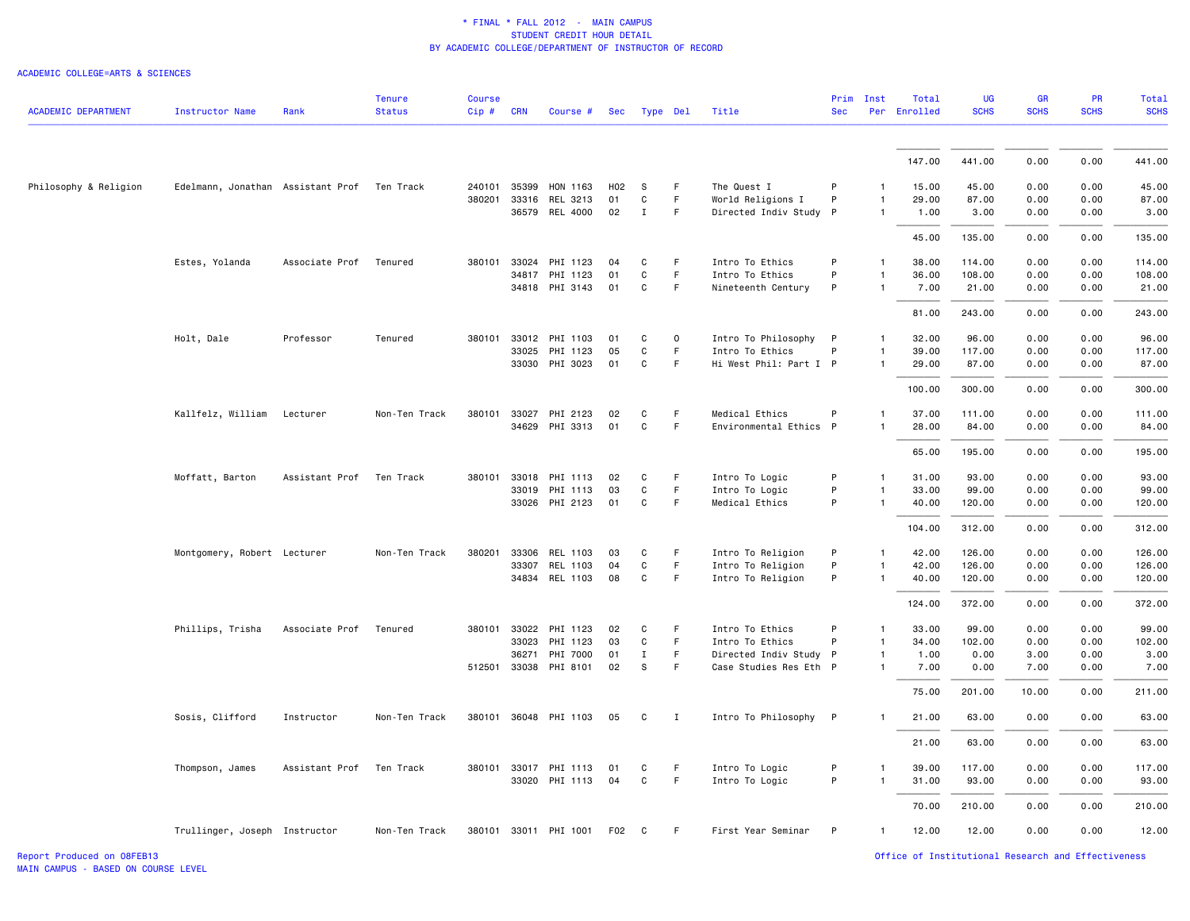| 147.00<br>441.00<br>0.00<br>0.00<br>441.00<br>Philosophy & Religion<br>Edelmann, Jonathan Assistant Prof Ten Track<br>240101 35399 HON 1163<br><b>S</b><br>The Quest I<br>15.00<br>45.00<br>0.00<br>0.00<br>45.00<br>H02<br>F.<br>P<br>$\mathbf{1}$<br>$\mathtt{C}$<br>F<br>World Religions I<br>P<br>29.00<br>87.00<br>0.00<br>87.00<br>380201 33316<br>REL 3213<br>01<br>0.00<br>$\mathbf{1}$<br>36579 REL 4000<br>02<br>$\mathbf{I}$<br>F<br>Directed Indiv Study P<br>0.00<br>0.00<br>3.00<br>1.00<br>3.00<br>$\mathbf{1}$<br>45.00<br>135.00<br>0.00<br>0.00<br>135.00<br>Intro To Ethics<br>P<br>38.00<br>0.00<br>114.00<br>Estes, Yolanda<br>Associate Prof<br>Tenured<br>380101<br>33024<br>PHI 1123<br>04<br>C<br>F<br>114.00<br>0.00<br>$\mathbf{1}$<br>34817 PHI 1123<br>C<br>F.<br>P<br>36.00<br>108.00<br>108.00<br>01<br>Intro To Ethics<br>0.00<br>0.00<br>$\mathbf{1}$<br>34818 PHI 3143<br>01<br>C<br>F.<br>Nineteenth Century<br>P<br>7.00<br>21.00<br>0.00<br>0.00<br>21.00<br>1<br>81.00<br>243.00<br>0.00<br>0.00<br>243.00<br>Holt, Dale<br>Professor<br>Intro To Philosophy P<br>32.00<br>96.00<br>0.00<br>0.00<br>96.00<br>Tenured<br>380101 33012 PHI 1103<br>01<br>C<br>0<br>$\mathbf{1}$<br>33025<br>PHI 1123<br>05<br>C<br>F.<br>Intro To Ethics<br>P<br>39.00<br>117.00<br>0.00<br>0.00<br>117.00<br>$\mathbf{1}$<br>33030 PHI 3023<br>F<br>Hi West Phil: Part I P<br>87.00<br>01<br>C<br>29.00<br>87.00<br>0.00<br>0.00<br>$\mathbf{1}$<br>0.00<br>100.00<br>300.00<br>0.00<br>300.00<br>Kallfelz, William<br>Non-Ten Track<br>380101 33027 PHI 2123<br>C<br>F.<br>Medical Ethics<br>P<br>37.00<br>111.00<br>0.00<br>0.00<br>111.00<br>Lecturer<br>02<br>$\mathbf{1}$<br>34629 PHI 3313<br>01<br>C<br>F<br>Environmental Ethics P<br>28.00<br>84.00<br>0.00<br>0.00<br>84.00<br>$\mathbf{1}$<br>0.00<br>65.00<br>195.00<br>0.00<br>195.00<br>Moffatt, Barton<br>Assistant Prof<br>Ten Track<br>380101 33018<br>PHI 1113<br>C<br>F.<br>Intro To Logic<br>P<br>31.00<br>93.00<br>0.00<br>0.00<br>93.00<br>02<br>$\mathbf{1}$<br>$\mathtt{C}$<br>$\mathsf F$<br>P<br>33.00<br>33019 PHI 1113<br>03<br>Intro To Logic<br>99.00<br>0.00<br>0.00<br>99.00<br>$\mathbf{1}$<br>33026 PHI 2123<br>Medical Ethics<br>P<br>120.00<br>01<br>C<br>F.<br>40.00<br>0.00<br>0.00<br>120.00<br>$\mathbf{1}$<br>312.00<br>0.00<br>0.00<br>312.00<br>104.00<br>Montgomery, Robert Lecturer<br>Non-Ten Track<br>380201<br>33306<br>REL 1103<br>03<br>C<br>F<br>Intro To Religion<br>P<br>42.00<br>126.00<br>0.00<br>0.00<br>126.00<br>$\mathbf{1}$<br>REL 1103<br>$\mathsf{C}$<br>F.<br>Intro To Religion<br>P<br>126.00<br>0.00<br>126.00<br>33307<br>04<br>42.00<br>0.00<br>-1<br>34834 REL 1103<br>08<br>C<br>F<br>Intro To Religion<br>P<br>40.00<br>120.00<br>0.00<br>0.00<br>120.00<br>$\mathbf{1}$<br>372.00<br>0.00<br>0.00<br>372.00<br>124.00<br>Phillips, Trisha<br>380101 33022 PHI 1123<br>Intro To Ethics<br>33.00<br>99.00<br>0.00<br>0.00<br>99.00<br>Associate Prof<br>Tenured<br>02<br>C<br>F.<br>P<br>$\mathbf{1}$<br>33023<br>PHI 1123<br>03<br>C<br>F<br>Intro To Ethics<br>P<br>34.00<br>102.00<br>0.00<br>0.00<br>102.00<br>$\mathbf{1}$<br>36271<br>PHI 7000<br>01<br>$\mathbf{I}$<br>F<br>Directed Indiv Study P<br>1.00<br>0.00<br>3.00<br>0.00<br>3.00<br>$\mathbf{1}$<br>512501 33038 PHI 8101<br>02<br>S<br>Case Studies Res Eth P<br>F.<br>7.00<br>0.00<br>7.00<br>0.00<br>7.00<br>$\mathbf{1}$<br>201.00<br>10.00<br>0.00<br>211.00<br>75.00<br>Intro To Philosophy P<br>Sosis, Clifford<br>Instructor<br>Non-Ten Track<br>380101 36048 PHI 1103<br>05<br>C<br>$\mathbf{I}$<br>21.00<br>63.00<br>0.00<br>0.00<br>63.00<br>$\mathbf{1}$<br>21.00<br>63.00<br>0.00<br>0.00<br>63.00<br>Assistant Prof Ten Track<br>380101 33017 PHI 1113<br>F<br>Intro To Logic<br>P<br>39.00<br>117.00<br>0.00<br>0.00<br>117.00<br>Thompson, James<br>01<br>C<br>1<br>P<br>33020 PHI 1113<br>04<br>C<br>F<br>Intro To Logic<br>31.00<br>93.00<br>0.00<br>0.00<br>93.00<br>$\mathbf{1}$<br>70.00<br>210.00<br>0.00<br>0.00<br>210.00<br>380101 33011 PHI 1001<br>F02<br>First Year Seminar<br>P<br>12.00<br>12.00<br>0.00<br>0.00<br>12.00<br>Trullinger, Joseph Instructor<br>Non-Ten Track<br>$\mathbf{C}$<br>F.<br>1 | <b>ACADEMIC DEPARTMENT</b> | <b>Instructor Name</b> | Rank | <b>Tenure</b><br><b>Status</b> | <b>Course</b><br>$Cip$ # | <b>CRN</b> | Course # | Sec Type Del | Title | <b>Sec</b> | Prim Inst | Total<br>Per Enrolled | <b>UG</b><br><b>SCHS</b> | <b>GR</b><br><b>SCHS</b> | <b>PR</b><br><b>SCHS</b> | <b>Total</b><br><b>SCHS</b> |
|-------------------------------------------------------------------------------------------------------------------------------------------------------------------------------------------------------------------------------------------------------------------------------------------------------------------------------------------------------------------------------------------------------------------------------------------------------------------------------------------------------------------------------------------------------------------------------------------------------------------------------------------------------------------------------------------------------------------------------------------------------------------------------------------------------------------------------------------------------------------------------------------------------------------------------------------------------------------------------------------------------------------------------------------------------------------------------------------------------------------------------------------------------------------------------------------------------------------------------------------------------------------------------------------------------------------------------------------------------------------------------------------------------------------------------------------------------------------------------------------------------------------------------------------------------------------------------------------------------------------------------------------------------------------------------------------------------------------------------------------------------------------------------------------------------------------------------------------------------------------------------------------------------------------------------------------------------------------------------------------------------------------------------------------------------------------------------------------------------------------------------------------------------------------------------------------------------------------------------------------------------------------------------------------------------------------------------------------------------------------------------------------------------------------------------------------------------------------------------------------------------------------------------------------------------------------------------------------------------------------------------------------------------------------------------------------------------------------------------------------------------------------------------------------------------------------------------------------------------------------------------------------------------------------------------------------------------------------------------------------------------------------------------------------------------------------------------------------------------------------------------------------------------------------------------------------------------------------------------------------------------------------------------------------------------------------------------------------------------------------------------------------------------------------------------------------------------------------------------------------------------------------------------------------------------------------------------------------------------------------------------------------------------------------------------------------------------------------------------------------------------------------------------------------------------------------------------------------------------------------------------------------------------------------------------------------------------------------------------------------------------------------------------------------------------------------------------------------------------------------------------------------------------------------------------------------------------------------------------------------------|----------------------------|------------------------|------|--------------------------------|--------------------------|------------|----------|--------------|-------|------------|-----------|-----------------------|--------------------------|--------------------------|--------------------------|-----------------------------|
|                                                                                                                                                                                                                                                                                                                                                                                                                                                                                                                                                                                                                                                                                                                                                                                                                                                                                                                                                                                                                                                                                                                                                                                                                                                                                                                                                                                                                                                                                                                                                                                                                                                                                                                                                                                                                                                                                                                                                                                                                                                                                                                                                                                                                                                                                                                                                                                                                                                                                                                                                                                                                                                                                                                                                                                                                                                                                                                                                                                                                                                                                                                                                                                                                                                                                                                                                                                                                                                                                                                                                                                                                                                                                                                                                                                                                                                                                                                                                                                                                                                                                                                                                                                                                                                 |                            |                        |      |                                |                          |            |          |              |       |            |           |                       |                          |                          |                          |                             |
|                                                                                                                                                                                                                                                                                                                                                                                                                                                                                                                                                                                                                                                                                                                                                                                                                                                                                                                                                                                                                                                                                                                                                                                                                                                                                                                                                                                                                                                                                                                                                                                                                                                                                                                                                                                                                                                                                                                                                                                                                                                                                                                                                                                                                                                                                                                                                                                                                                                                                                                                                                                                                                                                                                                                                                                                                                                                                                                                                                                                                                                                                                                                                                                                                                                                                                                                                                                                                                                                                                                                                                                                                                                                                                                                                                                                                                                                                                                                                                                                                                                                                                                                                                                                                                                 |                            |                        |      |                                |                          |            |          |              |       |            |           |                       |                          |                          |                          |                             |
|                                                                                                                                                                                                                                                                                                                                                                                                                                                                                                                                                                                                                                                                                                                                                                                                                                                                                                                                                                                                                                                                                                                                                                                                                                                                                                                                                                                                                                                                                                                                                                                                                                                                                                                                                                                                                                                                                                                                                                                                                                                                                                                                                                                                                                                                                                                                                                                                                                                                                                                                                                                                                                                                                                                                                                                                                                                                                                                                                                                                                                                                                                                                                                                                                                                                                                                                                                                                                                                                                                                                                                                                                                                                                                                                                                                                                                                                                                                                                                                                                                                                                                                                                                                                                                                 |                            |                        |      |                                |                          |            |          |              |       |            |           |                       |                          |                          |                          |                             |
|                                                                                                                                                                                                                                                                                                                                                                                                                                                                                                                                                                                                                                                                                                                                                                                                                                                                                                                                                                                                                                                                                                                                                                                                                                                                                                                                                                                                                                                                                                                                                                                                                                                                                                                                                                                                                                                                                                                                                                                                                                                                                                                                                                                                                                                                                                                                                                                                                                                                                                                                                                                                                                                                                                                                                                                                                                                                                                                                                                                                                                                                                                                                                                                                                                                                                                                                                                                                                                                                                                                                                                                                                                                                                                                                                                                                                                                                                                                                                                                                                                                                                                                                                                                                                                                 |                            |                        |      |                                |                          |            |          |              |       |            |           |                       |                          |                          |                          |                             |
|                                                                                                                                                                                                                                                                                                                                                                                                                                                                                                                                                                                                                                                                                                                                                                                                                                                                                                                                                                                                                                                                                                                                                                                                                                                                                                                                                                                                                                                                                                                                                                                                                                                                                                                                                                                                                                                                                                                                                                                                                                                                                                                                                                                                                                                                                                                                                                                                                                                                                                                                                                                                                                                                                                                                                                                                                                                                                                                                                                                                                                                                                                                                                                                                                                                                                                                                                                                                                                                                                                                                                                                                                                                                                                                                                                                                                                                                                                                                                                                                                                                                                                                                                                                                                                                 |                            |                        |      |                                |                          |            |          |              |       |            |           |                       |                          |                          |                          |                             |
|                                                                                                                                                                                                                                                                                                                                                                                                                                                                                                                                                                                                                                                                                                                                                                                                                                                                                                                                                                                                                                                                                                                                                                                                                                                                                                                                                                                                                                                                                                                                                                                                                                                                                                                                                                                                                                                                                                                                                                                                                                                                                                                                                                                                                                                                                                                                                                                                                                                                                                                                                                                                                                                                                                                                                                                                                                                                                                                                                                                                                                                                                                                                                                                                                                                                                                                                                                                                                                                                                                                                                                                                                                                                                                                                                                                                                                                                                                                                                                                                                                                                                                                                                                                                                                                 |                            |                        |      |                                |                          |            |          |              |       |            |           |                       |                          |                          |                          |                             |
|                                                                                                                                                                                                                                                                                                                                                                                                                                                                                                                                                                                                                                                                                                                                                                                                                                                                                                                                                                                                                                                                                                                                                                                                                                                                                                                                                                                                                                                                                                                                                                                                                                                                                                                                                                                                                                                                                                                                                                                                                                                                                                                                                                                                                                                                                                                                                                                                                                                                                                                                                                                                                                                                                                                                                                                                                                                                                                                                                                                                                                                                                                                                                                                                                                                                                                                                                                                                                                                                                                                                                                                                                                                                                                                                                                                                                                                                                                                                                                                                                                                                                                                                                                                                                                                 |                            |                        |      |                                |                          |            |          |              |       |            |           |                       |                          |                          |                          |                             |
|                                                                                                                                                                                                                                                                                                                                                                                                                                                                                                                                                                                                                                                                                                                                                                                                                                                                                                                                                                                                                                                                                                                                                                                                                                                                                                                                                                                                                                                                                                                                                                                                                                                                                                                                                                                                                                                                                                                                                                                                                                                                                                                                                                                                                                                                                                                                                                                                                                                                                                                                                                                                                                                                                                                                                                                                                                                                                                                                                                                                                                                                                                                                                                                                                                                                                                                                                                                                                                                                                                                                                                                                                                                                                                                                                                                                                                                                                                                                                                                                                                                                                                                                                                                                                                                 |                            |                        |      |                                |                          |            |          |              |       |            |           |                       |                          |                          |                          |                             |
|                                                                                                                                                                                                                                                                                                                                                                                                                                                                                                                                                                                                                                                                                                                                                                                                                                                                                                                                                                                                                                                                                                                                                                                                                                                                                                                                                                                                                                                                                                                                                                                                                                                                                                                                                                                                                                                                                                                                                                                                                                                                                                                                                                                                                                                                                                                                                                                                                                                                                                                                                                                                                                                                                                                                                                                                                                                                                                                                                                                                                                                                                                                                                                                                                                                                                                                                                                                                                                                                                                                                                                                                                                                                                                                                                                                                                                                                                                                                                                                                                                                                                                                                                                                                                                                 |                            |                        |      |                                |                          |            |          |              |       |            |           |                       |                          |                          |                          |                             |
|                                                                                                                                                                                                                                                                                                                                                                                                                                                                                                                                                                                                                                                                                                                                                                                                                                                                                                                                                                                                                                                                                                                                                                                                                                                                                                                                                                                                                                                                                                                                                                                                                                                                                                                                                                                                                                                                                                                                                                                                                                                                                                                                                                                                                                                                                                                                                                                                                                                                                                                                                                                                                                                                                                                                                                                                                                                                                                                                                                                                                                                                                                                                                                                                                                                                                                                                                                                                                                                                                                                                                                                                                                                                                                                                                                                                                                                                                                                                                                                                                                                                                                                                                                                                                                                 |                            |                        |      |                                |                          |            |          |              |       |            |           |                       |                          |                          |                          |                             |
|                                                                                                                                                                                                                                                                                                                                                                                                                                                                                                                                                                                                                                                                                                                                                                                                                                                                                                                                                                                                                                                                                                                                                                                                                                                                                                                                                                                                                                                                                                                                                                                                                                                                                                                                                                                                                                                                                                                                                                                                                                                                                                                                                                                                                                                                                                                                                                                                                                                                                                                                                                                                                                                                                                                                                                                                                                                                                                                                                                                                                                                                                                                                                                                                                                                                                                                                                                                                                                                                                                                                                                                                                                                                                                                                                                                                                                                                                                                                                                                                                                                                                                                                                                                                                                                 |                            |                        |      |                                |                          |            |          |              |       |            |           |                       |                          |                          |                          |                             |
|                                                                                                                                                                                                                                                                                                                                                                                                                                                                                                                                                                                                                                                                                                                                                                                                                                                                                                                                                                                                                                                                                                                                                                                                                                                                                                                                                                                                                                                                                                                                                                                                                                                                                                                                                                                                                                                                                                                                                                                                                                                                                                                                                                                                                                                                                                                                                                                                                                                                                                                                                                                                                                                                                                                                                                                                                                                                                                                                                                                                                                                                                                                                                                                                                                                                                                                                                                                                                                                                                                                                                                                                                                                                                                                                                                                                                                                                                                                                                                                                                                                                                                                                                                                                                                                 |                            |                        |      |                                |                          |            |          |              |       |            |           |                       |                          |                          |                          |                             |
|                                                                                                                                                                                                                                                                                                                                                                                                                                                                                                                                                                                                                                                                                                                                                                                                                                                                                                                                                                                                                                                                                                                                                                                                                                                                                                                                                                                                                                                                                                                                                                                                                                                                                                                                                                                                                                                                                                                                                                                                                                                                                                                                                                                                                                                                                                                                                                                                                                                                                                                                                                                                                                                                                                                                                                                                                                                                                                                                                                                                                                                                                                                                                                                                                                                                                                                                                                                                                                                                                                                                                                                                                                                                                                                                                                                                                                                                                                                                                                                                                                                                                                                                                                                                                                                 |                            |                        |      |                                |                          |            |          |              |       |            |           |                       |                          |                          |                          |                             |
|                                                                                                                                                                                                                                                                                                                                                                                                                                                                                                                                                                                                                                                                                                                                                                                                                                                                                                                                                                                                                                                                                                                                                                                                                                                                                                                                                                                                                                                                                                                                                                                                                                                                                                                                                                                                                                                                                                                                                                                                                                                                                                                                                                                                                                                                                                                                                                                                                                                                                                                                                                                                                                                                                                                                                                                                                                                                                                                                                                                                                                                                                                                                                                                                                                                                                                                                                                                                                                                                                                                                                                                                                                                                                                                                                                                                                                                                                                                                                                                                                                                                                                                                                                                                                                                 |                            |                        |      |                                |                          |            |          |              |       |            |           |                       |                          |                          |                          |                             |
|                                                                                                                                                                                                                                                                                                                                                                                                                                                                                                                                                                                                                                                                                                                                                                                                                                                                                                                                                                                                                                                                                                                                                                                                                                                                                                                                                                                                                                                                                                                                                                                                                                                                                                                                                                                                                                                                                                                                                                                                                                                                                                                                                                                                                                                                                                                                                                                                                                                                                                                                                                                                                                                                                                                                                                                                                                                                                                                                                                                                                                                                                                                                                                                                                                                                                                                                                                                                                                                                                                                                                                                                                                                                                                                                                                                                                                                                                                                                                                                                                                                                                                                                                                                                                                                 |                            |                        |      |                                |                          |            |          |              |       |            |           |                       |                          |                          |                          |                             |
|                                                                                                                                                                                                                                                                                                                                                                                                                                                                                                                                                                                                                                                                                                                                                                                                                                                                                                                                                                                                                                                                                                                                                                                                                                                                                                                                                                                                                                                                                                                                                                                                                                                                                                                                                                                                                                                                                                                                                                                                                                                                                                                                                                                                                                                                                                                                                                                                                                                                                                                                                                                                                                                                                                                                                                                                                                                                                                                                                                                                                                                                                                                                                                                                                                                                                                                                                                                                                                                                                                                                                                                                                                                                                                                                                                                                                                                                                                                                                                                                                                                                                                                                                                                                                                                 |                            |                        |      |                                |                          |            |          |              |       |            |           |                       |                          |                          |                          |                             |
|                                                                                                                                                                                                                                                                                                                                                                                                                                                                                                                                                                                                                                                                                                                                                                                                                                                                                                                                                                                                                                                                                                                                                                                                                                                                                                                                                                                                                                                                                                                                                                                                                                                                                                                                                                                                                                                                                                                                                                                                                                                                                                                                                                                                                                                                                                                                                                                                                                                                                                                                                                                                                                                                                                                                                                                                                                                                                                                                                                                                                                                                                                                                                                                                                                                                                                                                                                                                                                                                                                                                                                                                                                                                                                                                                                                                                                                                                                                                                                                                                                                                                                                                                                                                                                                 |                            |                        |      |                                |                          |            |          |              |       |            |           |                       |                          |                          |                          |                             |
|                                                                                                                                                                                                                                                                                                                                                                                                                                                                                                                                                                                                                                                                                                                                                                                                                                                                                                                                                                                                                                                                                                                                                                                                                                                                                                                                                                                                                                                                                                                                                                                                                                                                                                                                                                                                                                                                                                                                                                                                                                                                                                                                                                                                                                                                                                                                                                                                                                                                                                                                                                                                                                                                                                                                                                                                                                                                                                                                                                                                                                                                                                                                                                                                                                                                                                                                                                                                                                                                                                                                                                                                                                                                                                                                                                                                                                                                                                                                                                                                                                                                                                                                                                                                                                                 |                            |                        |      |                                |                          |            |          |              |       |            |           |                       |                          |                          |                          |                             |
|                                                                                                                                                                                                                                                                                                                                                                                                                                                                                                                                                                                                                                                                                                                                                                                                                                                                                                                                                                                                                                                                                                                                                                                                                                                                                                                                                                                                                                                                                                                                                                                                                                                                                                                                                                                                                                                                                                                                                                                                                                                                                                                                                                                                                                                                                                                                                                                                                                                                                                                                                                                                                                                                                                                                                                                                                                                                                                                                                                                                                                                                                                                                                                                                                                                                                                                                                                                                                                                                                                                                                                                                                                                                                                                                                                                                                                                                                                                                                                                                                                                                                                                                                                                                                                                 |                            |                        |      |                                |                          |            |          |              |       |            |           |                       |                          |                          |                          |                             |
|                                                                                                                                                                                                                                                                                                                                                                                                                                                                                                                                                                                                                                                                                                                                                                                                                                                                                                                                                                                                                                                                                                                                                                                                                                                                                                                                                                                                                                                                                                                                                                                                                                                                                                                                                                                                                                                                                                                                                                                                                                                                                                                                                                                                                                                                                                                                                                                                                                                                                                                                                                                                                                                                                                                                                                                                                                                                                                                                                                                                                                                                                                                                                                                                                                                                                                                                                                                                                                                                                                                                                                                                                                                                                                                                                                                                                                                                                                                                                                                                                                                                                                                                                                                                                                                 |                            |                        |      |                                |                          |            |          |              |       |            |           |                       |                          |                          |                          |                             |
|                                                                                                                                                                                                                                                                                                                                                                                                                                                                                                                                                                                                                                                                                                                                                                                                                                                                                                                                                                                                                                                                                                                                                                                                                                                                                                                                                                                                                                                                                                                                                                                                                                                                                                                                                                                                                                                                                                                                                                                                                                                                                                                                                                                                                                                                                                                                                                                                                                                                                                                                                                                                                                                                                                                                                                                                                                                                                                                                                                                                                                                                                                                                                                                                                                                                                                                                                                                                                                                                                                                                                                                                                                                                                                                                                                                                                                                                                                                                                                                                                                                                                                                                                                                                                                                 |                            |                        |      |                                |                          |            |          |              |       |            |           |                       |                          |                          |                          |                             |
|                                                                                                                                                                                                                                                                                                                                                                                                                                                                                                                                                                                                                                                                                                                                                                                                                                                                                                                                                                                                                                                                                                                                                                                                                                                                                                                                                                                                                                                                                                                                                                                                                                                                                                                                                                                                                                                                                                                                                                                                                                                                                                                                                                                                                                                                                                                                                                                                                                                                                                                                                                                                                                                                                                                                                                                                                                                                                                                                                                                                                                                                                                                                                                                                                                                                                                                                                                                                                                                                                                                                                                                                                                                                                                                                                                                                                                                                                                                                                                                                                                                                                                                                                                                                                                                 |                            |                        |      |                                |                          |            |          |              |       |            |           |                       |                          |                          |                          |                             |
|                                                                                                                                                                                                                                                                                                                                                                                                                                                                                                                                                                                                                                                                                                                                                                                                                                                                                                                                                                                                                                                                                                                                                                                                                                                                                                                                                                                                                                                                                                                                                                                                                                                                                                                                                                                                                                                                                                                                                                                                                                                                                                                                                                                                                                                                                                                                                                                                                                                                                                                                                                                                                                                                                                                                                                                                                                                                                                                                                                                                                                                                                                                                                                                                                                                                                                                                                                                                                                                                                                                                                                                                                                                                                                                                                                                                                                                                                                                                                                                                                                                                                                                                                                                                                                                 |                            |                        |      |                                |                          |            |          |              |       |            |           |                       |                          |                          |                          |                             |
|                                                                                                                                                                                                                                                                                                                                                                                                                                                                                                                                                                                                                                                                                                                                                                                                                                                                                                                                                                                                                                                                                                                                                                                                                                                                                                                                                                                                                                                                                                                                                                                                                                                                                                                                                                                                                                                                                                                                                                                                                                                                                                                                                                                                                                                                                                                                                                                                                                                                                                                                                                                                                                                                                                                                                                                                                                                                                                                                                                                                                                                                                                                                                                                                                                                                                                                                                                                                                                                                                                                                                                                                                                                                                                                                                                                                                                                                                                                                                                                                                                                                                                                                                                                                                                                 |                            |                        |      |                                |                          |            |          |              |       |            |           |                       |                          |                          |                          |                             |
|                                                                                                                                                                                                                                                                                                                                                                                                                                                                                                                                                                                                                                                                                                                                                                                                                                                                                                                                                                                                                                                                                                                                                                                                                                                                                                                                                                                                                                                                                                                                                                                                                                                                                                                                                                                                                                                                                                                                                                                                                                                                                                                                                                                                                                                                                                                                                                                                                                                                                                                                                                                                                                                                                                                                                                                                                                                                                                                                                                                                                                                                                                                                                                                                                                                                                                                                                                                                                                                                                                                                                                                                                                                                                                                                                                                                                                                                                                                                                                                                                                                                                                                                                                                                                                                 |                            |                        |      |                                |                          |            |          |              |       |            |           |                       |                          |                          |                          |                             |
|                                                                                                                                                                                                                                                                                                                                                                                                                                                                                                                                                                                                                                                                                                                                                                                                                                                                                                                                                                                                                                                                                                                                                                                                                                                                                                                                                                                                                                                                                                                                                                                                                                                                                                                                                                                                                                                                                                                                                                                                                                                                                                                                                                                                                                                                                                                                                                                                                                                                                                                                                                                                                                                                                                                                                                                                                                                                                                                                                                                                                                                                                                                                                                                                                                                                                                                                                                                                                                                                                                                                                                                                                                                                                                                                                                                                                                                                                                                                                                                                                                                                                                                                                                                                                                                 |                            |                        |      |                                |                          |            |          |              |       |            |           |                       |                          |                          |                          |                             |
|                                                                                                                                                                                                                                                                                                                                                                                                                                                                                                                                                                                                                                                                                                                                                                                                                                                                                                                                                                                                                                                                                                                                                                                                                                                                                                                                                                                                                                                                                                                                                                                                                                                                                                                                                                                                                                                                                                                                                                                                                                                                                                                                                                                                                                                                                                                                                                                                                                                                                                                                                                                                                                                                                                                                                                                                                                                                                                                                                                                                                                                                                                                                                                                                                                                                                                                                                                                                                                                                                                                                                                                                                                                                                                                                                                                                                                                                                                                                                                                                                                                                                                                                                                                                                                                 |                            |                        |      |                                |                          |            |          |              |       |            |           |                       |                          |                          |                          |                             |
|                                                                                                                                                                                                                                                                                                                                                                                                                                                                                                                                                                                                                                                                                                                                                                                                                                                                                                                                                                                                                                                                                                                                                                                                                                                                                                                                                                                                                                                                                                                                                                                                                                                                                                                                                                                                                                                                                                                                                                                                                                                                                                                                                                                                                                                                                                                                                                                                                                                                                                                                                                                                                                                                                                                                                                                                                                                                                                                                                                                                                                                                                                                                                                                                                                                                                                                                                                                                                                                                                                                                                                                                                                                                                                                                                                                                                                                                                                                                                                                                                                                                                                                                                                                                                                                 |                            |                        |      |                                |                          |            |          |              |       |            |           |                       |                          |                          |                          |                             |
|                                                                                                                                                                                                                                                                                                                                                                                                                                                                                                                                                                                                                                                                                                                                                                                                                                                                                                                                                                                                                                                                                                                                                                                                                                                                                                                                                                                                                                                                                                                                                                                                                                                                                                                                                                                                                                                                                                                                                                                                                                                                                                                                                                                                                                                                                                                                                                                                                                                                                                                                                                                                                                                                                                                                                                                                                                                                                                                                                                                                                                                                                                                                                                                                                                                                                                                                                                                                                                                                                                                                                                                                                                                                                                                                                                                                                                                                                                                                                                                                                                                                                                                                                                                                                                                 |                            |                        |      |                                |                          |            |          |              |       |            |           |                       |                          |                          |                          |                             |
|                                                                                                                                                                                                                                                                                                                                                                                                                                                                                                                                                                                                                                                                                                                                                                                                                                                                                                                                                                                                                                                                                                                                                                                                                                                                                                                                                                                                                                                                                                                                                                                                                                                                                                                                                                                                                                                                                                                                                                                                                                                                                                                                                                                                                                                                                                                                                                                                                                                                                                                                                                                                                                                                                                                                                                                                                                                                                                                                                                                                                                                                                                                                                                                                                                                                                                                                                                                                                                                                                                                                                                                                                                                                                                                                                                                                                                                                                                                                                                                                                                                                                                                                                                                                                                                 |                            |                        |      |                                |                          |            |          |              |       |            |           |                       |                          |                          |                          |                             |
|                                                                                                                                                                                                                                                                                                                                                                                                                                                                                                                                                                                                                                                                                                                                                                                                                                                                                                                                                                                                                                                                                                                                                                                                                                                                                                                                                                                                                                                                                                                                                                                                                                                                                                                                                                                                                                                                                                                                                                                                                                                                                                                                                                                                                                                                                                                                                                                                                                                                                                                                                                                                                                                                                                                                                                                                                                                                                                                                                                                                                                                                                                                                                                                                                                                                                                                                                                                                                                                                                                                                                                                                                                                                                                                                                                                                                                                                                                                                                                                                                                                                                                                                                                                                                                                 |                            |                        |      |                                |                          |            |          |              |       |            |           |                       |                          |                          |                          |                             |
|                                                                                                                                                                                                                                                                                                                                                                                                                                                                                                                                                                                                                                                                                                                                                                                                                                                                                                                                                                                                                                                                                                                                                                                                                                                                                                                                                                                                                                                                                                                                                                                                                                                                                                                                                                                                                                                                                                                                                                                                                                                                                                                                                                                                                                                                                                                                                                                                                                                                                                                                                                                                                                                                                                                                                                                                                                                                                                                                                                                                                                                                                                                                                                                                                                                                                                                                                                                                                                                                                                                                                                                                                                                                                                                                                                                                                                                                                                                                                                                                                                                                                                                                                                                                                                                 |                            |                        |      |                                |                          |            |          |              |       |            |           |                       |                          |                          |                          |                             |
|                                                                                                                                                                                                                                                                                                                                                                                                                                                                                                                                                                                                                                                                                                                                                                                                                                                                                                                                                                                                                                                                                                                                                                                                                                                                                                                                                                                                                                                                                                                                                                                                                                                                                                                                                                                                                                                                                                                                                                                                                                                                                                                                                                                                                                                                                                                                                                                                                                                                                                                                                                                                                                                                                                                                                                                                                                                                                                                                                                                                                                                                                                                                                                                                                                                                                                                                                                                                                                                                                                                                                                                                                                                                                                                                                                                                                                                                                                                                                                                                                                                                                                                                                                                                                                                 |                            |                        |      |                                |                          |            |          |              |       |            |           |                       |                          |                          |                          |                             |
|                                                                                                                                                                                                                                                                                                                                                                                                                                                                                                                                                                                                                                                                                                                                                                                                                                                                                                                                                                                                                                                                                                                                                                                                                                                                                                                                                                                                                                                                                                                                                                                                                                                                                                                                                                                                                                                                                                                                                                                                                                                                                                                                                                                                                                                                                                                                                                                                                                                                                                                                                                                                                                                                                                                                                                                                                                                                                                                                                                                                                                                                                                                                                                                                                                                                                                                                                                                                                                                                                                                                                                                                                                                                                                                                                                                                                                                                                                                                                                                                                                                                                                                                                                                                                                                 |                            |                        |      |                                |                          |            |          |              |       |            |           |                       |                          |                          |                          |                             |
|                                                                                                                                                                                                                                                                                                                                                                                                                                                                                                                                                                                                                                                                                                                                                                                                                                                                                                                                                                                                                                                                                                                                                                                                                                                                                                                                                                                                                                                                                                                                                                                                                                                                                                                                                                                                                                                                                                                                                                                                                                                                                                                                                                                                                                                                                                                                                                                                                                                                                                                                                                                                                                                                                                                                                                                                                                                                                                                                                                                                                                                                                                                                                                                                                                                                                                                                                                                                                                                                                                                                                                                                                                                                                                                                                                                                                                                                                                                                                                                                                                                                                                                                                                                                                                                 |                            |                        |      |                                |                          |            |          |              |       |            |           |                       |                          |                          |                          |                             |
|                                                                                                                                                                                                                                                                                                                                                                                                                                                                                                                                                                                                                                                                                                                                                                                                                                                                                                                                                                                                                                                                                                                                                                                                                                                                                                                                                                                                                                                                                                                                                                                                                                                                                                                                                                                                                                                                                                                                                                                                                                                                                                                                                                                                                                                                                                                                                                                                                                                                                                                                                                                                                                                                                                                                                                                                                                                                                                                                                                                                                                                                                                                                                                                                                                                                                                                                                                                                                                                                                                                                                                                                                                                                                                                                                                                                                                                                                                                                                                                                                                                                                                                                                                                                                                                 |                            |                        |      |                                |                          |            |          |              |       |            |           |                       |                          |                          |                          |                             |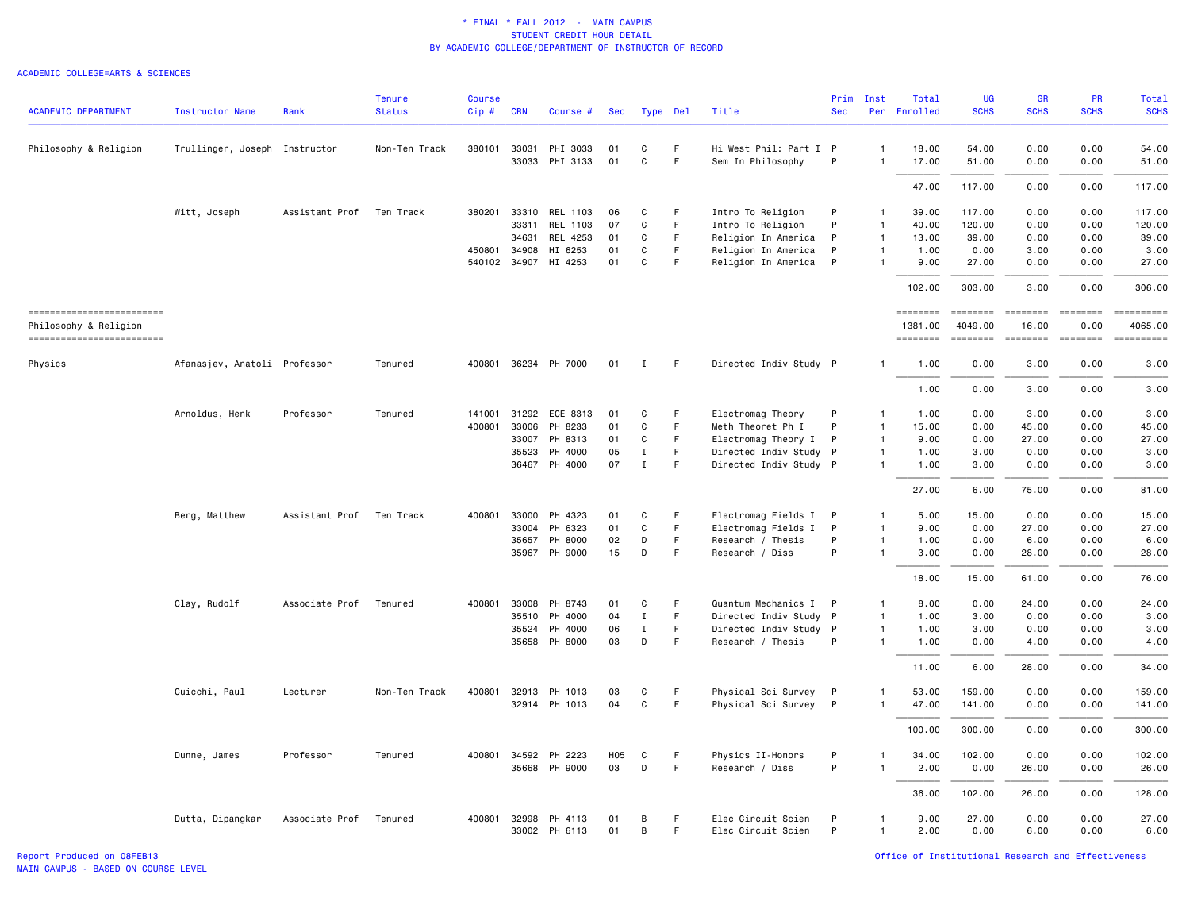| <b>ACADEMIC DEPARTMENT</b>                        | Instructor Name               | Rank           | <b>Tenure</b><br><b>Status</b> | Course<br>Cip# | <b>CRN</b> | Course #                 | Sec        | Type Del     |                   | Title                                    | Prim<br><b>Sec</b> | Inst              | Total<br>Per Enrolled | <b>UG</b><br><b>SCHS</b> | GR<br><b>SCHS</b> | PR<br><b>SCHS</b> | Total<br><b>SCHS</b> |
|---------------------------------------------------|-------------------------------|----------------|--------------------------------|----------------|------------|--------------------------|------------|--------------|-------------------|------------------------------------------|--------------------|-------------------|-----------------------|--------------------------|-------------------|-------------------|----------------------|
| Philosophy & Religion                             | Trullinger, Joseph Instructor |                | Non-Ten Track                  | 380101         | 33031      | PHI 3033                 | 01         | С            | F                 | Hi West Phil: Part I P                   |                    | $\mathbf{1}$      | 18.00                 | 54.00                    | 0.00              | 0.00              | 54.00                |
|                                                   |                               |                |                                |                | 33033      | PHI 3133                 | 01         | $\mathsf{C}$ | $\mathsf F$       | Sem In Philosophy                        | P                  | 1                 | 17.00                 | 51.00                    | 0.00              | 0.00              | 51.00                |
|                                                   |                               |                |                                |                |            |                          |            |              |                   |                                          |                    |                   | 47.00                 | 117.00                   | 0.00              | 0.00              | 117.00               |
|                                                   | Witt, Joseph                  | Assistant Prof | Ten Track                      | 380201         | 33310      | REL 1103                 | 06         | C            | F                 | Intro To Religion                        | P                  |                   | 39.00                 | 117.00                   | 0.00              | 0.00              | 117.00               |
|                                                   |                               |                |                                |                | 33311      | REL 1103                 | 07         | C            | $\mathsf F$       | Intro To Religion                        | P                  | 1                 | 40.00                 | 120.00                   | 0.00              | 0.00              | 120.00               |
|                                                   |                               |                |                                |                | 34631      | REL 4253                 | 01         | C            | F                 | Religion In America                      | P                  | 1                 | 13.00                 | 39.00                    | 0.00              | 0.00              | 39.00                |
|                                                   |                               |                |                                | 450801         | 34908      | HI 6253                  | 01         | C            | $\mathsf F$       | Religion In America                      | P                  | 1                 | 1.00                  | 0.00                     | 3.00              | 0.00              | 3.00                 |
|                                                   |                               |                |                                |                |            | 540102 34907 HI 4253     | 01         | C            | F                 | Religion In America                      | $\mathsf{P}$       |                   | 9.00                  | 27.00                    | 0.00              | 0.00              | 27.00                |
|                                                   |                               |                |                                |                |            |                          |            |              |                   |                                          |                    |                   | 102.00                | 303.00                   | 3.00              | 0.00              | 306.00               |
| ------------------------<br>Philosophy & Religion |                               |                |                                |                |            |                          |            |              |                   |                                          |                    |                   | ========<br>1381.00   | ========<br>4049.00      | ========<br>16.00 | ========<br>0.00  | 4065.00              |
| ------------------------                          |                               |                |                                |                |            |                          |            |              |                   |                                          |                    |                   | ========              | ========                 | ========          | <b>EDEDEDER</b>   |                      |
| Physics                                           | Afanasjev, Anatoli Professor  |                | Tenured                        |                |            | 400801 36234 PH 7000     | 01         | Ι.           | F                 | Directed Indiv Study P                   |                    |                   | 1.00                  | 0.00                     | 3.00              | 0.00              | 3.00                 |
|                                                   |                               |                |                                |                |            |                          |            |              |                   |                                          |                    |                   | 1.00                  | 0.00                     | 3.00              | 0.00              | 3.00                 |
|                                                   | Arnoldus, Henk                | Professor      | Tenured                        | 141001         | 31292      | ECE 8313                 | 01         | C            | F                 | Electromag Theory                        | P                  | 1                 | 1.00                  | 0.00                     | 3.00              | 0.00              | 3.00                 |
|                                                   |                               |                |                                | 400801         | 33006      | PH 8233                  | 01         | C            | F                 | Meth Theoret Ph I                        | P                  | 1                 | 15.00                 | 0.00                     | 45.00             | 0.00              | 45.00                |
|                                                   |                               |                |                                |                | 33007      | PH 8313                  | 01         | C            | F                 | Electromag Theory I                      | $\mathsf{P}$       | $\mathbf{1}$      | 9.00                  | 0.00                     | 27.00             | 0.00              | 27.00                |
|                                                   |                               |                |                                |                | 35523      | PH 4000                  | 05         | $\;$ I       | $\mathsf F$       | Directed Indiv Study P                   |                    | 1                 | 1.00                  | 3.00                     | 0.00              | 0.00              | 3.00                 |
|                                                   |                               |                |                                |                |            | 36467 PH 4000            | 07         | $\mathbf{I}$ | $\mathsf F$       | Directed Indiv Study P                   |                    | $\mathbf{1}$      | 1.00                  | 3.00                     | 0.00              | 0.00              | 3.00                 |
|                                                   |                               |                |                                |                |            |                          |            |              |                   |                                          |                    |                   | 27.00                 | 6.00                     | 75.00             | 0.00              | 81.00                |
|                                                   | Berg, Matthew                 | Assistant Prof | Ten Track                      | 400801         | 33000      | PH 4323                  | 01         | C            | F                 | Electromag Fields I                      | P.                 |                   | 5.00                  | 15.00                    | 0.00              | 0.00              | 15.00                |
|                                                   |                               |                |                                |                | 33004      | PH 6323                  | 01         | $\mathtt{C}$ | $\mathsf F$       | Electromag Fields I                      | P                  | 1                 | 9.00                  | 0.00                     | 27.00             | 0.00              | 27.00                |
|                                                   |                               |                |                                |                | 35657      | PH 8000                  | 02         | D            | $\mathsf F$       | Research / Thesis                        | P                  | $\mathbf{1}$      | 1.00                  | 0.00                     | 6.00              | 0.00              | 6.00                 |
|                                                   |                               |                |                                |                | 35967      | PH 9000                  | 15         | D            | $\mathsf F$       | Research / Diss                          | P                  |                   | 3.00                  | 0.00                     | 28.00             | 0.00              | 28.00                |
|                                                   |                               |                |                                |                |            |                          |            |              |                   |                                          |                    |                   | 18.00                 | 15.00                    | 61.00             | 0.00              | 76.00                |
|                                                   | Clay, Rudolf                  | Associate Prof | Tenured                        | 400801         | 33008      | PH 8743                  | 01         | C            | F                 | Quantum Mechanics I                      | $\mathsf{P}$       |                   | 8.00                  | 0.00                     | 24.00             | 0.00              | 24.00                |
|                                                   |                               |                |                                |                | 35510      | PH 4000                  | 04         | $\mathbf I$  | $\mathsf F$       | Directed Indiv Study P                   |                    | 1                 | 1.00                  | 3.00                     | 0.00              | 0.00              | 3.00                 |
|                                                   |                               |                |                                |                | 35524      | PH 4000                  | 06         | Ι.           | F                 | Directed Indiv Study P                   |                    | $\mathbf{1}$      | 1.00                  | 3.00                     | 0.00              | 0.00              | 3.00                 |
|                                                   |                               |                |                                |                |            | 35658 PH 8000            | 03         | D            | F                 | Research / Thesis                        | P                  | $\mathbf{1}$      | 1.00                  | 0.00                     | 4.00              | 0.00              | 4.00                 |
|                                                   |                               |                |                                |                |            |                          |            |              |                   |                                          |                    |                   | 11.00                 | 6.00                     | 28.00             | 0.00              | 34.00                |
|                                                   | Cuicchi, Paul                 | Lecturer       | Non-Ten Track                  | 400801         | 32913      | PH 1013                  | 03         | C            | F                 | Physical Sci Survey                      | $\mathsf{P}$       | 1                 | 53.00                 | 159.00                   | 0.00              | 0.00              | 159.00               |
|                                                   |                               |                |                                |                |            | 32914 PH 1013            | 04         | $\mathtt{C}$ | $\mathsf F$       | Physical Sci Survey P                    |                    | 1                 | 47.00                 | 141.00                   | 0.00              | 0.00              | 141.00               |
|                                                   |                               |                |                                |                |            |                          |            |              |                   |                                          |                    |                   | 100.00                | 300.00                   | 0.00              | 0.00              | 300.00               |
|                                                   | Dunne, James                  | Professor      | Tenured                        | 400801         | 34592      | PH 2223                  | <b>H05</b> | C            | F                 | Physics II-Honors                        | P                  |                   | 34.00                 | 102.00                   | 0.00              | 0.00              | 102.00               |
|                                                   |                               |                |                                |                | 35668      | PH 9000                  | 03         | $\mathsf D$  | F                 | Research / Diss                          | P                  | 1                 | 2.00                  | 0.00                     | 26.00             | 0.00              | 26.00                |
|                                                   |                               |                |                                |                |            |                          |            |              |                   |                                          |                    |                   | 36.00                 | 102.00                   | 26.00             | 0.00              | 128.00               |
|                                                   | Dutta, Dipangkar              | Associate Prof | Tenured                        | 400801         | 32998      | PH 4113<br>33002 PH 6113 | 01<br>01   | B<br>B       | F.<br>$\mathsf F$ | Elec Circuit Scien<br>Elec Circuit Scien | P<br>P             | 1<br>$\mathbf{1}$ | 9.00<br>2.00          | 27.00<br>0.00            | 0.00<br>6.00      | 0.00<br>0.00      | 27.00<br>6.00        |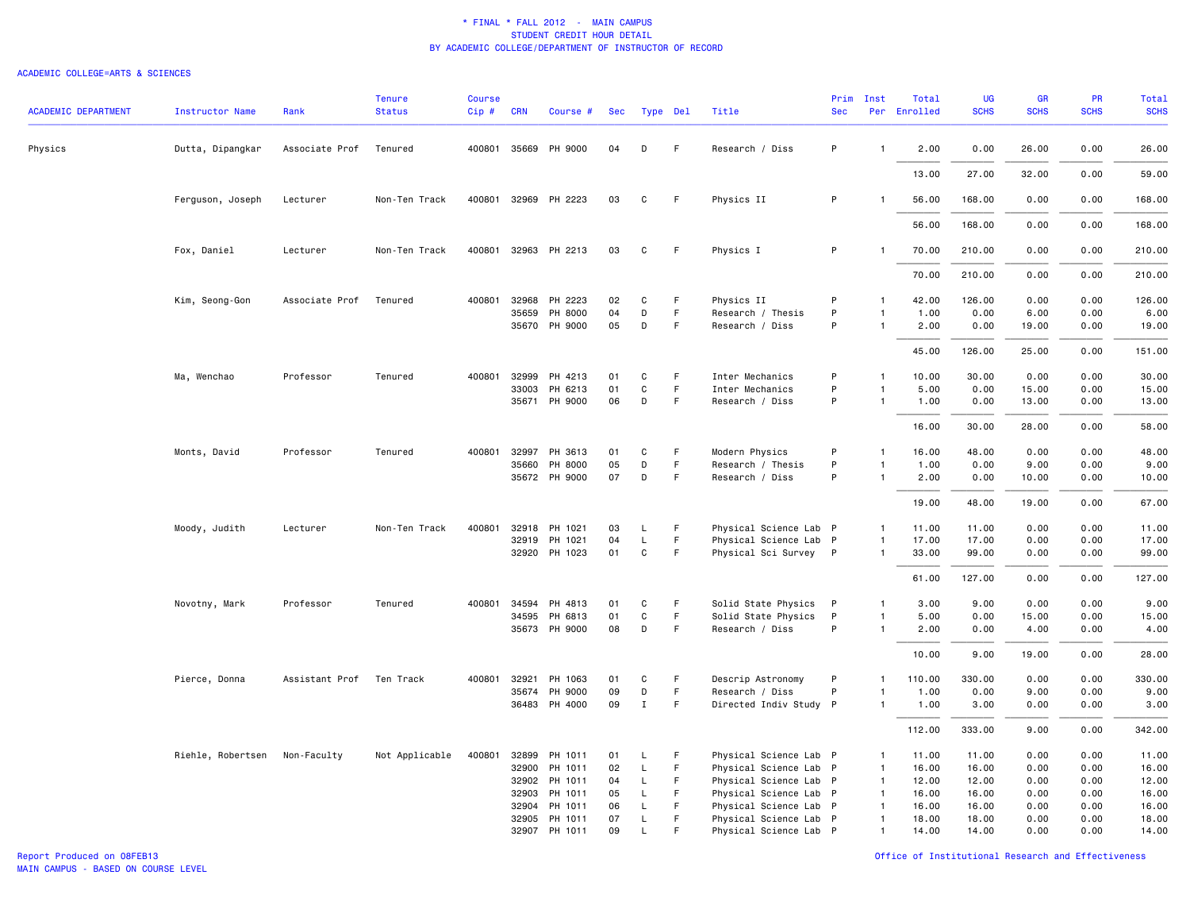#### ACADEMIC COLLEGE=ARTS & SCIENCES

| <b>ACADEMIC DEPARTMENT</b> | Instructor Name   | Rank           | <b>Tenure</b><br><b>Status</b> | Course<br>Cip# | <b>CRN</b>   | Course #             | Sec | Type Del     |             | Title                  | Prim<br><b>Sec</b> | Inst           | Total<br>Per Enrolled | UG<br><b>SCHS</b> | GR<br><b>SCHS</b> | PR<br><b>SCHS</b> | Total<br><b>SCHS</b> |
|----------------------------|-------------------|----------------|--------------------------------|----------------|--------------|----------------------|-----|--------------|-------------|------------------------|--------------------|----------------|-----------------------|-------------------|-------------------|-------------------|----------------------|
| Physics                    | Dutta, Dipangkar  | Associate Prof | Tenured                        |                | 400801 35669 | PH 9000              | 04  | D            | F           | Research / Diss        | P                  | $\mathbf{1}$   | 2.00                  | 0.00              | 26.00             | 0.00              | 26.00                |
|                            |                   |                |                                |                |              |                      |     |              |             |                        |                    |                | 13.00                 | 27.00             | 32.00             | 0.00              | 59.00                |
|                            | Ferguson, Joseph  | Lecturer       | Non-Ten Track                  |                |              | 400801 32969 PH 2223 | 03  | C            | F.          | Physics II             | P                  |                | 56.00                 | 168.00            | 0.00              | 0.00              | 168.00               |
|                            |                   |                |                                |                |              |                      |     |              |             |                        |                    |                | 56.00                 | 168.00            | 0.00              | 0.00              | 168.00               |
|                            | Fox, Daniel       | Lecturer       | Non-Ten Track                  |                |              | 400801 32963 PH 2213 | 03  | C            | F.          | Physics I              | P                  |                | 70.00                 | 210.00            | 0.00              | 0.00              | 210.00               |
|                            |                   |                |                                |                |              |                      |     |              |             |                        |                    |                | 70.00                 | 210.00            | 0.00              | 0.00              | 210.00               |
|                            | Kim, Seong-Gon    | Associate Prof | Tenured                        |                | 400801 32968 | PH 2223              | 02  | C            | F           | Physics II             | P                  | $\mathbf{1}$   | 42.00                 | 126.00            | 0.00              | 0.00              | 126.00               |
|                            |                   |                |                                |                | 35659        | PH 8000              | 04  | D            | F           | Research / Thesis      | P                  | $\mathbf{1}$   | 1.00                  | 0.00              | 6.00              | 0.00              | 6.00                 |
|                            |                   |                |                                |                |              | 35670 PH 9000        | 05  | D            | F           | Research / Diss        | P                  | $\overline{1}$ | 2.00                  | 0.00              | 19.00             | 0.00              | 19.00                |
|                            |                   |                |                                |                |              |                      |     |              |             |                        |                    |                | 45.00                 | 126.00            | 25.00             | 0.00              | 151.00               |
|                            | Ma, Wenchao       | Professor      | Tenured                        | 400801         | 32999        | PH 4213              | 01  | C            | $\mathsf F$ | Inter Mechanics        | P                  | $\mathbf{1}$   | 10.00                 | 30.00             | 0.00              | 0.00              | 30.00                |
|                            |                   |                |                                |                | 33003        | PH 6213              | 01  | C            | F           | Inter Mechanics        | P                  | $\overline{1}$ | 5.00                  | 0.00              | 15.00             | 0.00              | 15.00                |
|                            |                   |                |                                |                |              | 35671 PH 9000        | 06  | D            | F.          | Research / Diss        | P                  | $\overline{1}$ | 1.00                  | 0.00              | 13.00             | 0.00              | 13.00                |
|                            |                   |                |                                |                |              |                      |     |              |             |                        |                    |                | 16.00                 | 30.00             | 28.00             | 0.00              | 58.00                |
|                            | Monts, David      | Professor      | Tenured                        | 400801         | 32997        | PH 3613              | 01  | C            | F           | Modern Physics         | P                  | $\mathbf{1}$   | 16.00                 | 48.00             | 0.00              | 0.00              | 48.00                |
|                            |                   |                |                                |                | 35660        | PH 8000              | 05  | D            | F           | Research / Thesis      | P                  | $\overline{1}$ | 1.00                  | 0.00              | 9.00              | 0.00              | 9.00                 |
|                            |                   |                |                                |                |              | 35672 PH 9000        | 07  | D            | F           | Research / Diss        | P                  | $\overline{1}$ | 2.00                  | 0.00              | 10.00             | 0.00              | 10.00                |
|                            |                   |                |                                |                |              |                      |     |              |             |                        |                    |                | 19.00                 | 48.00             | 19.00             | 0.00              | 67.00                |
|                            | Moody, Judith     | Lecturer       | Non-Ten Track                  | 400801         |              | 32918 PH 1021        | 03  | L            | F           | Physical Science Lab P |                    | $\mathbf{1}$   | 11.00                 | 11.00             | 0.00              | 0.00              | 11.00                |
|                            |                   |                |                                |                | 32919        | PH 1021              | 04  | L            | F           | Physical Science Lab P |                    | $\mathbf{1}$   | 17.00                 | 17.00             | 0.00              | 0.00              | 17.00                |
|                            |                   |                |                                |                |              | 32920 PH 1023        | 01  | C            | F.          | Physical Sci Survey P  |                    | $\overline{1}$ | 33.00                 | 99.00             | 0.00              | 0.00              | 99.00                |
|                            |                   |                |                                |                |              |                      |     |              |             |                        |                    |                | 61.00                 | 127.00            | 0.00              | 0.00              | 127.00               |
|                            | Novotny, Mark     | Professor      | Tenured                        |                | 400801 34594 | PH 4813              | 01  | C            | F           | Solid State Physics    | $\mathsf{P}$       | $\overline{1}$ | 3.00                  | 9.00              | 0.00              | 0.00              | 9.00                 |
|                            |                   |                |                                |                | 34595        | PH 6813              | 01  | $\mathsf{C}$ | F.          | Solid State Physics    | P                  | $\overline{1}$ | 5.00                  | 0.00              | 15.00             | 0.00              | 15.00                |
|                            |                   |                |                                |                | 35673        | PH 9000              | 08  | D            | F           | Research / Diss        | P                  | $\overline{1}$ | 2.00                  | 0.00              | 4.00              | 0.00              | 4.00                 |
|                            |                   |                |                                |                |              |                      |     |              |             |                        |                    |                | 10.00                 | 9.00              | 19.00             | 0.00              | 28.00                |
|                            | Pierce, Donna     | Assistant Prof | Ten Track                      | 400801         | 32921        | PH 1063              | 01  | С            | F           | Descrip Astronomy      | $\mathsf{P}$       | $\overline{1}$ | 110.00                | 330.00            | 0.00              | 0.00              | 330.00               |
|                            |                   |                |                                |                | 35674        | PH 9000              | 09  | D            | F           | Research / Diss        | P                  |                | 1.00                  | 0.00              | 9.00              | 0.00              | 9.00                 |
|                            |                   |                |                                |                |              | 36483 PH 4000        | 09  | $\mathbf{I}$ | F           | Directed Indiv Study P |                    | $\overline{1}$ | 1.00                  | 3.00              | 0.00              | 0.00              | 3.00                 |
|                            |                   |                |                                |                |              |                      |     |              |             |                        |                    |                | 112.00                | 333.00            | 9.00              | 0.00              | 342.00               |
|                            | Riehle, Robertsen | Non-Faculty    | Not Applicable                 | 400801         | 32899        | PH 1011              | 01  | L            | F           | Physical Science Lab P |                    | $\mathbf{1}$   | 11.00                 | 11.00             | 0.00              | 0.00              | 11.00                |
|                            |                   |                |                                |                | 32900        | PH 1011              | 02  | L            | F.          | Physical Science Lab P |                    | $\mathbf{1}$   | 16.00                 | 16.00             | 0.00              | 0.00              | 16.00                |
|                            |                   |                |                                |                | 32902        | PH 1011              | 04  | L            | F.          | Physical Science Lab P |                    | $\mathbf{1}$   | 12.00                 | 12.00             | 0.00              | 0.00              | 12.00                |
|                            |                   |                |                                |                | 32903        | PH 1011              | 05  | L            | F           | Physical Science Lab P |                    | $\mathbf{1}$   | 16.00                 | 16.00             | 0.00              | 0.00              | 16.00                |
|                            |                   |                |                                |                | 32904        | PH 1011              | 06  | L            | F           | Physical Science Lab P |                    | $\mathbf{1}$   | 16.00                 | 16.00             | 0.00              | 0.00              | 16.00                |
|                            |                   |                |                                |                | 32905        | PH 1011              | 07  | L            | F           | Physical Science Lab P |                    | $\mathbf{1}$   | 18.00                 | 18.00             | 0.00              | 0.00              | 18.00                |
|                            |                   |                |                                |                |              | 32907 PH 1011        | 09  | $\mathsf{L}$ | F           | Physical Science Lab P |                    | $\mathbf{1}$   | 14.00                 | 14.00             | 0.00              | 0.00              | 14.00                |

Report Produced on 08FEB13 Office of Institutional Research and Effectiveness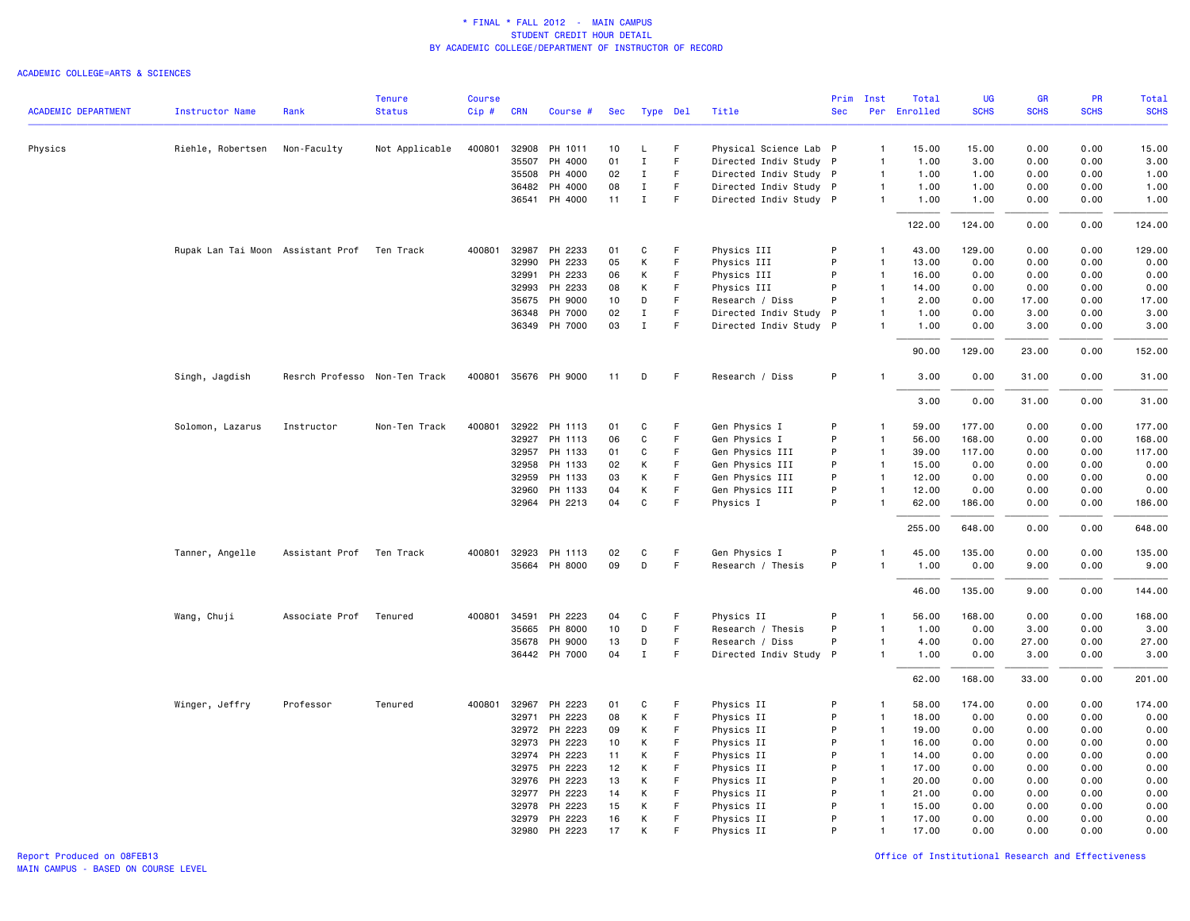| Physical Science Lab P<br>0.00<br>15.00<br>Physics<br>Riehle, Robertsen<br>Non-Faculty<br>Not Applicable<br>400801<br>32908<br>PH 1011<br>10<br>L<br>F<br>$\overline{1}$<br>15.00<br>15.00<br>0.00<br>35507<br>PH 4000<br>01<br>$\mathbf I$<br>F<br>Directed Indiv Study P<br>3.00<br>$\mathbf{1}$<br>1.00<br>3.00<br>0.00<br>0.00<br>35508<br>PH 4000<br>02<br>$\mathbf I$<br>F<br>Directed Indiv Study P<br>1.00<br>1.00<br>0.00<br>0.00<br>1.00<br>$\overline{1}$<br>36482<br>PH 4000<br>08<br>$\mathbf I$<br>F.<br>Directed Indiv Study P<br>1.00<br>1.00<br>0.00<br>0.00<br>1.00<br>$\overline{1}$<br>PH 4000<br>11<br>$\mathsf F$<br>Directed Indiv Study P<br>1.00<br>36541<br>$\mathbf I$<br>1.00<br>1.00<br>0.00<br>0.00<br>$\mathbf{1}$<br>122.00<br>124.00<br>0.00<br>0.00<br>124.00<br>32987 PH 2233<br>129.00<br>Rupak Lan Tai Moon Assistant Prof<br>Ten Track<br>400801<br>01<br>C<br>F<br>Physics III<br>P<br>43.00<br>129.00<br>0.00<br>0.00<br>$\mathbf{1}$<br>32990<br>PH 2233<br>05<br>К<br>$\mathsf F$<br>Physics III<br>P<br>0.00<br>0.00<br>0.00<br>$\overline{1}$<br>13.00<br>0.00<br>PH 2233<br>К<br>F<br>P<br>0.00<br>0.00<br>32991<br>06<br>Physics III<br>$\overline{1}$<br>16.00<br>0.00<br>0.00<br>32993<br>PH 2233<br>08<br>К<br>F<br>P<br>14.00<br>0.00<br>0.00<br>0.00<br>0.00<br>Physics III<br>$\overline{1}$<br>17.00<br>PH 9000<br>10<br>D<br>F.<br>P<br>0.00<br>17.00<br>0.00<br>35675<br>Research / Diss<br>$\overline{1}$<br>2.00<br>PH 7000<br>02<br>$\mathbf I$<br>F<br>0.00<br>3.00<br>0.00<br>3.00<br>36348<br>Directed Indiv Study<br>$\mathsf{P}$<br>$\mathbf{1}$<br>1.00<br>$\mathbf{I}$<br>F<br>3.00<br>36349 PH 7000<br>03<br>Directed Indiv Study P<br>$\mathbf{1}$<br>1.00<br>0.00<br>3.00<br>0.00<br>129.00<br>0.00<br>152.00<br>90.00<br>23.00<br>400801 35676 PH 9000<br>P<br>31.00<br>Singh, Jagdish<br>Resrch Professo Non-Ten Track<br>11<br>D<br>F<br>Research / Diss<br>3.00<br>0.00<br>31.00<br>0.00<br>3.00<br>0.00<br>31.00<br>0.00<br>31.00<br>Solomon, Lazarus<br>400801 32922 PH 1113<br>Gen Physics I<br>59.00<br>177.00<br>0.00<br>0.00<br>177.00<br>Instructor<br>Non-Ten Track<br>01<br>C<br>-F<br>P<br>$\mathbf{1}$<br>32927<br>PH 1113<br>06<br>C<br>F.<br>Gen Physics I<br>P<br>56.00<br>168.00<br>0.00<br>0.00<br>168.00<br>$\mathbf{1}$<br>32957 PH 1133<br>01<br>C<br>F<br>Gen Physics III<br>P<br>39.00<br>117.00<br>0.00<br>0.00<br>117.00<br>$\overline{1}$<br>0.00<br>32958<br>PH 1133<br>02<br>К<br>F<br>Gen Physics III<br>P<br>$\overline{1}$<br>15.00<br>0.00<br>0.00<br>0.00<br>P<br>32959<br>PH 1133<br>03<br>К<br>F.<br>Gen Physics III<br>$\overline{1}$<br>12.00<br>0.00<br>0.00<br>0.00<br>0.00<br>PH 1133<br>К<br>$\mathsf F$<br>Gen Physics III<br>P<br>0.00<br>0.00<br>0.00<br>0.00<br>32960<br>04<br>$\overline{1}$<br>12.00<br>32964 PH 2213<br>04<br>$\mathbf C$<br>$\mathsf F$<br>P<br>62.00<br>186.00<br>0.00<br>0.00<br>186.00<br>Physics I<br>$\overline{1}$<br>648.00<br>255.00<br>0.00<br>0.00<br>648.00<br>Tanner, Angelle<br>Assistant Prof<br>400801 32923<br>PH 1113<br>Gen Physics I<br>P<br>45.00<br>135.00<br>0.00<br>0.00<br>135.00<br>Ten Track<br>02<br>C<br>F<br>1<br>P<br>35664 PH 8000<br>09<br>D<br>F<br>Research / Thesis<br>1.00<br>0.00<br>9.00<br>0.00<br>9.00<br>$\mathbf{1}$<br>135.00<br>0.00<br>144.00<br>46.00<br>9.00<br>Wang, Chuji<br>Associate Prof<br>Tenured<br>400801<br>34591<br>PH 2223<br>04<br>C<br>F<br>Physics II<br>P<br>56.00<br>168.00<br>0.00<br>0.00<br>168.00<br>$\mathbf{1}$<br>35665<br>PH 8000<br>10<br>D<br>F<br>Research / Thesis<br>P<br>1.00<br>0.00<br>3.00<br>0.00<br>3.00<br>$\mathbf{1}$<br>PH 9000<br>13<br>D<br>F.<br>P<br>27.00<br>0.00<br>27.00<br>35678<br>Research / Diss<br>4.00<br>0.00<br>$\mathbf{1}$<br>36442 PH 7000<br>04<br>$\mathbf I$<br>F<br>3.00<br>0.00<br>3.00<br>Directed Indiv Study P<br>$\mathbf{1}$<br>1.00<br>0.00<br>168.00<br>62.00<br>33.00<br>0.00<br>201.00<br>32967<br>PH 2223<br>174.00<br>0.00<br>0.00<br>174.00<br>Winger, Jeffry<br>Professor<br>Tenured<br>400801<br>01<br>C<br>F<br>Physics II<br>P<br>58.00<br>$\overline{1}$<br>32971<br>PH 2223<br>08<br>К<br>$\mathsf F$<br>Physics II<br>P<br>18.00<br>0.00<br>0.00<br>0.00<br>0.00<br>$\mathbf{1}$<br>32972<br>PH 2223<br>К<br>F<br>Physics II<br>P<br>19.00<br>0.00<br>0.00<br>0.00<br>09<br>$\overline{1}$<br>0.00<br>32973<br>PH 2223<br>10<br>К<br>F<br>P<br>$\overline{1}$<br>16.00<br>0.00<br>0.00<br>0.00<br>0.00<br>Physics II<br>0.00<br>32974<br>PH 2223<br>К<br>F<br>P<br>$\overline{1}$<br>14.00<br>0.00<br>0.00<br>0.00<br>11<br>Physics II<br>К<br>F<br>P<br>32975<br>PH 2223<br>12<br>Physics II<br>$\mathbf{1}$<br>17.00<br>0.00<br>0.00<br>0.00<br>0.00<br>F.<br>P<br>0.00<br>32976<br>PH 2223<br>13<br>К<br>Physics II<br>$\overline{1}$<br>20.00<br>0.00<br>0.00<br>0.00<br>F<br>0.00<br>0.00<br>0.00<br>32977<br>PH 2223<br>14<br>К<br>Physics II<br>P<br>$\mathbf{1}$<br>21.00<br>0.00<br>F<br>$\mathbf{1}$<br>0.00<br>32978<br>PH 2223<br>15<br>К<br>Physics II<br>P<br>15.00<br>0.00<br>0.00<br>0.00<br>К<br>P<br>0.00<br>0.00<br>0.00<br>32979<br>PH 2223<br>16<br>F<br>Physics II<br>$\mathbf{1}$<br>17.00<br>0.00<br>32980<br>PH 2223<br>17<br>К<br>F<br>Physics II<br>P<br>$\mathbf{1}$<br>17.00<br>0.00<br>0.00<br>0.00<br>0.00 | <b>ACADEMIC DEPARTMENT</b> | <b>Instructor Name</b> | Rank | <b>Tenure</b><br><b>Status</b> | <b>Course</b><br>Cip# | <b>CRN</b> | Course # | Sec | Type Del | Title | Prim<br><b>Sec</b> | Inst | Total<br>Per Enrolled | <b>UG</b><br><b>SCHS</b> | <b>GR</b><br><b>SCHS</b> | <b>PR</b><br><b>SCHS</b> | Total<br><b>SCHS</b> |
|-------------------------------------------------------------------------------------------------------------------------------------------------------------------------------------------------------------------------------------------------------------------------------------------------------------------------------------------------------------------------------------------------------------------------------------------------------------------------------------------------------------------------------------------------------------------------------------------------------------------------------------------------------------------------------------------------------------------------------------------------------------------------------------------------------------------------------------------------------------------------------------------------------------------------------------------------------------------------------------------------------------------------------------------------------------------------------------------------------------------------------------------------------------------------------------------------------------------------------------------------------------------------------------------------------------------------------------------------------------------------------------------------------------------------------------------------------------------------------------------------------------------------------------------------------------------------------------------------------------------------------------------------------------------------------------------------------------------------------------------------------------------------------------------------------------------------------------------------------------------------------------------------------------------------------------------------------------------------------------------------------------------------------------------------------------------------------------------------------------------------------------------------------------------------------------------------------------------------------------------------------------------------------------------------------------------------------------------------------------------------------------------------------------------------------------------------------------------------------------------------------------------------------------------------------------------------------------------------------------------------------------------------------------------------------------------------------------------------------------------------------------------------------------------------------------------------------------------------------------------------------------------------------------------------------------------------------------------------------------------------------------------------------------------------------------------------------------------------------------------------------------------------------------------------------------------------------------------------------------------------------------------------------------------------------------------------------------------------------------------------------------------------------------------------------------------------------------------------------------------------------------------------------------------------------------------------------------------------------------------------------------------------------------------------------------------------------------------------------------------------------------------------------------------------------------------------------------------------------------------------------------------------------------------------------------------------------------------------------------------------------------------------------------------------------------------------------------------------------------------------------------------------------------------------------------------------------------------------------------------------------------------------------------------------------------------------------------------------------------------------------------------------------------------------------------------------------------------------------------------------------------------------------------------------------------------------------------------------------------------------------------------------------------------------------------------------------------------------------------------------------------------------------------------------------------------------------------------------------------------------------------------------------------------------------------------------------------------------------------------------------------------------------------------------------------------------------------------------------------------------------------------------------------------------------------------------------------------------------------------------------------------------------------------------------------------|----------------------------|------------------------|------|--------------------------------|-----------------------|------------|----------|-----|----------|-------|--------------------|------|-----------------------|--------------------------|--------------------------|--------------------------|----------------------|
|                                                                                                                                                                                                                                                                                                                                                                                                                                                                                                                                                                                                                                                                                                                                                                                                                                                                                                                                                                                                                                                                                                                                                                                                                                                                                                                                                                                                                                                                                                                                                                                                                                                                                                                                                                                                                                                                                                                                                                                                                                                                                                                                                                                                                                                                                                                                                                                                                                                                                                                                                                                                                                                                                                                                                                                                                                                                                                                                                                                                                                                                                                                                                                                                                                                                                                                                                                                                                                                                                                                                                                                                                                                                                                                                                                                                                                                                                                                                                                                                                                                                                                                                                                                                                                                                                                                                                                                                                                                                                                                                                                                                                                                                                                                                                                                                                                                                                                                                                                                                                                                                                                                                                                                                                                                                                                                   |                            |                        |      |                                |                       |            |          |     |          |       |                    |      |                       |                          |                          |                          |                      |
|                                                                                                                                                                                                                                                                                                                                                                                                                                                                                                                                                                                                                                                                                                                                                                                                                                                                                                                                                                                                                                                                                                                                                                                                                                                                                                                                                                                                                                                                                                                                                                                                                                                                                                                                                                                                                                                                                                                                                                                                                                                                                                                                                                                                                                                                                                                                                                                                                                                                                                                                                                                                                                                                                                                                                                                                                                                                                                                                                                                                                                                                                                                                                                                                                                                                                                                                                                                                                                                                                                                                                                                                                                                                                                                                                                                                                                                                                                                                                                                                                                                                                                                                                                                                                                                                                                                                                                                                                                                                                                                                                                                                                                                                                                                                                                                                                                                                                                                                                                                                                                                                                                                                                                                                                                                                                                                   |                            |                        |      |                                |                       |            |          |     |          |       |                    |      |                       |                          |                          |                          |                      |
|                                                                                                                                                                                                                                                                                                                                                                                                                                                                                                                                                                                                                                                                                                                                                                                                                                                                                                                                                                                                                                                                                                                                                                                                                                                                                                                                                                                                                                                                                                                                                                                                                                                                                                                                                                                                                                                                                                                                                                                                                                                                                                                                                                                                                                                                                                                                                                                                                                                                                                                                                                                                                                                                                                                                                                                                                                                                                                                                                                                                                                                                                                                                                                                                                                                                                                                                                                                                                                                                                                                                                                                                                                                                                                                                                                                                                                                                                                                                                                                                                                                                                                                                                                                                                                                                                                                                                                                                                                                                                                                                                                                                                                                                                                                                                                                                                                                                                                                                                                                                                                                                                                                                                                                                                                                                                                                   |                            |                        |      |                                |                       |            |          |     |          |       |                    |      |                       |                          |                          |                          |                      |
|                                                                                                                                                                                                                                                                                                                                                                                                                                                                                                                                                                                                                                                                                                                                                                                                                                                                                                                                                                                                                                                                                                                                                                                                                                                                                                                                                                                                                                                                                                                                                                                                                                                                                                                                                                                                                                                                                                                                                                                                                                                                                                                                                                                                                                                                                                                                                                                                                                                                                                                                                                                                                                                                                                                                                                                                                                                                                                                                                                                                                                                                                                                                                                                                                                                                                                                                                                                                                                                                                                                                                                                                                                                                                                                                                                                                                                                                                                                                                                                                                                                                                                                                                                                                                                                                                                                                                                                                                                                                                                                                                                                                                                                                                                                                                                                                                                                                                                                                                                                                                                                                                                                                                                                                                                                                                                                   |                            |                        |      |                                |                       |            |          |     |          |       |                    |      |                       |                          |                          |                          |                      |
|                                                                                                                                                                                                                                                                                                                                                                                                                                                                                                                                                                                                                                                                                                                                                                                                                                                                                                                                                                                                                                                                                                                                                                                                                                                                                                                                                                                                                                                                                                                                                                                                                                                                                                                                                                                                                                                                                                                                                                                                                                                                                                                                                                                                                                                                                                                                                                                                                                                                                                                                                                                                                                                                                                                                                                                                                                                                                                                                                                                                                                                                                                                                                                                                                                                                                                                                                                                                                                                                                                                                                                                                                                                                                                                                                                                                                                                                                                                                                                                                                                                                                                                                                                                                                                                                                                                                                                                                                                                                                                                                                                                                                                                                                                                                                                                                                                                                                                                                                                                                                                                                                                                                                                                                                                                                                                                   |                            |                        |      |                                |                       |            |          |     |          |       |                    |      |                       |                          |                          |                          |                      |
|                                                                                                                                                                                                                                                                                                                                                                                                                                                                                                                                                                                                                                                                                                                                                                                                                                                                                                                                                                                                                                                                                                                                                                                                                                                                                                                                                                                                                                                                                                                                                                                                                                                                                                                                                                                                                                                                                                                                                                                                                                                                                                                                                                                                                                                                                                                                                                                                                                                                                                                                                                                                                                                                                                                                                                                                                                                                                                                                                                                                                                                                                                                                                                                                                                                                                                                                                                                                                                                                                                                                                                                                                                                                                                                                                                                                                                                                                                                                                                                                                                                                                                                                                                                                                                                                                                                                                                                                                                                                                                                                                                                                                                                                                                                                                                                                                                                                                                                                                                                                                                                                                                                                                                                                                                                                                                                   |                            |                        |      |                                |                       |            |          |     |          |       |                    |      |                       |                          |                          |                          |                      |
|                                                                                                                                                                                                                                                                                                                                                                                                                                                                                                                                                                                                                                                                                                                                                                                                                                                                                                                                                                                                                                                                                                                                                                                                                                                                                                                                                                                                                                                                                                                                                                                                                                                                                                                                                                                                                                                                                                                                                                                                                                                                                                                                                                                                                                                                                                                                                                                                                                                                                                                                                                                                                                                                                                                                                                                                                                                                                                                                                                                                                                                                                                                                                                                                                                                                                                                                                                                                                                                                                                                                                                                                                                                                                                                                                                                                                                                                                                                                                                                                                                                                                                                                                                                                                                                                                                                                                                                                                                                                                                                                                                                                                                                                                                                                                                                                                                                                                                                                                                                                                                                                                                                                                                                                                                                                                                                   |                            |                        |      |                                |                       |            |          |     |          |       |                    |      |                       |                          |                          |                          |                      |
|                                                                                                                                                                                                                                                                                                                                                                                                                                                                                                                                                                                                                                                                                                                                                                                                                                                                                                                                                                                                                                                                                                                                                                                                                                                                                                                                                                                                                                                                                                                                                                                                                                                                                                                                                                                                                                                                                                                                                                                                                                                                                                                                                                                                                                                                                                                                                                                                                                                                                                                                                                                                                                                                                                                                                                                                                                                                                                                                                                                                                                                                                                                                                                                                                                                                                                                                                                                                                                                                                                                                                                                                                                                                                                                                                                                                                                                                                                                                                                                                                                                                                                                                                                                                                                                                                                                                                                                                                                                                                                                                                                                                                                                                                                                                                                                                                                                                                                                                                                                                                                                                                                                                                                                                                                                                                                                   |                            |                        |      |                                |                       |            |          |     |          |       |                    |      |                       |                          |                          |                          |                      |
|                                                                                                                                                                                                                                                                                                                                                                                                                                                                                                                                                                                                                                                                                                                                                                                                                                                                                                                                                                                                                                                                                                                                                                                                                                                                                                                                                                                                                                                                                                                                                                                                                                                                                                                                                                                                                                                                                                                                                                                                                                                                                                                                                                                                                                                                                                                                                                                                                                                                                                                                                                                                                                                                                                                                                                                                                                                                                                                                                                                                                                                                                                                                                                                                                                                                                                                                                                                                                                                                                                                                                                                                                                                                                                                                                                                                                                                                                                                                                                                                                                                                                                                                                                                                                                                                                                                                                                                                                                                                                                                                                                                                                                                                                                                                                                                                                                                                                                                                                                                                                                                                                                                                                                                                                                                                                                                   |                            |                        |      |                                |                       |            |          |     |          |       |                    |      |                       |                          |                          |                          |                      |
|                                                                                                                                                                                                                                                                                                                                                                                                                                                                                                                                                                                                                                                                                                                                                                                                                                                                                                                                                                                                                                                                                                                                                                                                                                                                                                                                                                                                                                                                                                                                                                                                                                                                                                                                                                                                                                                                                                                                                                                                                                                                                                                                                                                                                                                                                                                                                                                                                                                                                                                                                                                                                                                                                                                                                                                                                                                                                                                                                                                                                                                                                                                                                                                                                                                                                                                                                                                                                                                                                                                                                                                                                                                                                                                                                                                                                                                                                                                                                                                                                                                                                                                                                                                                                                                                                                                                                                                                                                                                                                                                                                                                                                                                                                                                                                                                                                                                                                                                                                                                                                                                                                                                                                                                                                                                                                                   |                            |                        |      |                                |                       |            |          |     |          |       |                    |      |                       |                          |                          |                          |                      |
|                                                                                                                                                                                                                                                                                                                                                                                                                                                                                                                                                                                                                                                                                                                                                                                                                                                                                                                                                                                                                                                                                                                                                                                                                                                                                                                                                                                                                                                                                                                                                                                                                                                                                                                                                                                                                                                                                                                                                                                                                                                                                                                                                                                                                                                                                                                                                                                                                                                                                                                                                                                                                                                                                                                                                                                                                                                                                                                                                                                                                                                                                                                                                                                                                                                                                                                                                                                                                                                                                                                                                                                                                                                                                                                                                                                                                                                                                                                                                                                                                                                                                                                                                                                                                                                                                                                                                                                                                                                                                                                                                                                                                                                                                                                                                                                                                                                                                                                                                                                                                                                                                                                                                                                                                                                                                                                   |                            |                        |      |                                |                       |            |          |     |          |       |                    |      |                       |                          |                          |                          |                      |
|                                                                                                                                                                                                                                                                                                                                                                                                                                                                                                                                                                                                                                                                                                                                                                                                                                                                                                                                                                                                                                                                                                                                                                                                                                                                                                                                                                                                                                                                                                                                                                                                                                                                                                                                                                                                                                                                                                                                                                                                                                                                                                                                                                                                                                                                                                                                                                                                                                                                                                                                                                                                                                                                                                                                                                                                                                                                                                                                                                                                                                                                                                                                                                                                                                                                                                                                                                                                                                                                                                                                                                                                                                                                                                                                                                                                                                                                                                                                                                                                                                                                                                                                                                                                                                                                                                                                                                                                                                                                                                                                                                                                                                                                                                                                                                                                                                                                                                                                                                                                                                                                                                                                                                                                                                                                                                                   |                            |                        |      |                                |                       |            |          |     |          |       |                    |      |                       |                          |                          |                          |                      |
|                                                                                                                                                                                                                                                                                                                                                                                                                                                                                                                                                                                                                                                                                                                                                                                                                                                                                                                                                                                                                                                                                                                                                                                                                                                                                                                                                                                                                                                                                                                                                                                                                                                                                                                                                                                                                                                                                                                                                                                                                                                                                                                                                                                                                                                                                                                                                                                                                                                                                                                                                                                                                                                                                                                                                                                                                                                                                                                                                                                                                                                                                                                                                                                                                                                                                                                                                                                                                                                                                                                                                                                                                                                                                                                                                                                                                                                                                                                                                                                                                                                                                                                                                                                                                                                                                                                                                                                                                                                                                                                                                                                                                                                                                                                                                                                                                                                                                                                                                                                                                                                                                                                                                                                                                                                                                                                   |                            |                        |      |                                |                       |            |          |     |          |       |                    |      |                       |                          |                          |                          |                      |
|                                                                                                                                                                                                                                                                                                                                                                                                                                                                                                                                                                                                                                                                                                                                                                                                                                                                                                                                                                                                                                                                                                                                                                                                                                                                                                                                                                                                                                                                                                                                                                                                                                                                                                                                                                                                                                                                                                                                                                                                                                                                                                                                                                                                                                                                                                                                                                                                                                                                                                                                                                                                                                                                                                                                                                                                                                                                                                                                                                                                                                                                                                                                                                                                                                                                                                                                                                                                                                                                                                                                                                                                                                                                                                                                                                                                                                                                                                                                                                                                                                                                                                                                                                                                                                                                                                                                                                                                                                                                                                                                                                                                                                                                                                                                                                                                                                                                                                                                                                                                                                                                                                                                                                                                                                                                                                                   |                            |                        |      |                                |                       |            |          |     |          |       |                    |      |                       |                          |                          |                          |                      |
|                                                                                                                                                                                                                                                                                                                                                                                                                                                                                                                                                                                                                                                                                                                                                                                                                                                                                                                                                                                                                                                                                                                                                                                                                                                                                                                                                                                                                                                                                                                                                                                                                                                                                                                                                                                                                                                                                                                                                                                                                                                                                                                                                                                                                                                                                                                                                                                                                                                                                                                                                                                                                                                                                                                                                                                                                                                                                                                                                                                                                                                                                                                                                                                                                                                                                                                                                                                                                                                                                                                                                                                                                                                                                                                                                                                                                                                                                                                                                                                                                                                                                                                                                                                                                                                                                                                                                                                                                                                                                                                                                                                                                                                                                                                                                                                                                                                                                                                                                                                                                                                                                                                                                                                                                                                                                                                   |                            |                        |      |                                |                       |            |          |     |          |       |                    |      |                       |                          |                          |                          |                      |
|                                                                                                                                                                                                                                                                                                                                                                                                                                                                                                                                                                                                                                                                                                                                                                                                                                                                                                                                                                                                                                                                                                                                                                                                                                                                                                                                                                                                                                                                                                                                                                                                                                                                                                                                                                                                                                                                                                                                                                                                                                                                                                                                                                                                                                                                                                                                                                                                                                                                                                                                                                                                                                                                                                                                                                                                                                                                                                                                                                                                                                                                                                                                                                                                                                                                                                                                                                                                                                                                                                                                                                                                                                                                                                                                                                                                                                                                                                                                                                                                                                                                                                                                                                                                                                                                                                                                                                                                                                                                                                                                                                                                                                                                                                                                                                                                                                                                                                                                                                                                                                                                                                                                                                                                                                                                                                                   |                            |                        |      |                                |                       |            |          |     |          |       |                    |      |                       |                          |                          |                          |                      |
|                                                                                                                                                                                                                                                                                                                                                                                                                                                                                                                                                                                                                                                                                                                                                                                                                                                                                                                                                                                                                                                                                                                                                                                                                                                                                                                                                                                                                                                                                                                                                                                                                                                                                                                                                                                                                                                                                                                                                                                                                                                                                                                                                                                                                                                                                                                                                                                                                                                                                                                                                                                                                                                                                                                                                                                                                                                                                                                                                                                                                                                                                                                                                                                                                                                                                                                                                                                                                                                                                                                                                                                                                                                                                                                                                                                                                                                                                                                                                                                                                                                                                                                                                                                                                                                                                                                                                                                                                                                                                                                                                                                                                                                                                                                                                                                                                                                                                                                                                                                                                                                                                                                                                                                                                                                                                                                   |                            |                        |      |                                |                       |            |          |     |          |       |                    |      |                       |                          |                          |                          |                      |
|                                                                                                                                                                                                                                                                                                                                                                                                                                                                                                                                                                                                                                                                                                                                                                                                                                                                                                                                                                                                                                                                                                                                                                                                                                                                                                                                                                                                                                                                                                                                                                                                                                                                                                                                                                                                                                                                                                                                                                                                                                                                                                                                                                                                                                                                                                                                                                                                                                                                                                                                                                                                                                                                                                                                                                                                                                                                                                                                                                                                                                                                                                                                                                                                                                                                                                                                                                                                                                                                                                                                                                                                                                                                                                                                                                                                                                                                                                                                                                                                                                                                                                                                                                                                                                                                                                                                                                                                                                                                                                                                                                                                                                                                                                                                                                                                                                                                                                                                                                                                                                                                                                                                                                                                                                                                                                                   |                            |                        |      |                                |                       |            |          |     |          |       |                    |      |                       |                          |                          |                          |                      |
|                                                                                                                                                                                                                                                                                                                                                                                                                                                                                                                                                                                                                                                                                                                                                                                                                                                                                                                                                                                                                                                                                                                                                                                                                                                                                                                                                                                                                                                                                                                                                                                                                                                                                                                                                                                                                                                                                                                                                                                                                                                                                                                                                                                                                                                                                                                                                                                                                                                                                                                                                                                                                                                                                                                                                                                                                                                                                                                                                                                                                                                                                                                                                                                                                                                                                                                                                                                                                                                                                                                                                                                                                                                                                                                                                                                                                                                                                                                                                                                                                                                                                                                                                                                                                                                                                                                                                                                                                                                                                                                                                                                                                                                                                                                                                                                                                                                                                                                                                                                                                                                                                                                                                                                                                                                                                                                   |                            |                        |      |                                |                       |            |          |     |          |       |                    |      |                       |                          |                          |                          |                      |
|                                                                                                                                                                                                                                                                                                                                                                                                                                                                                                                                                                                                                                                                                                                                                                                                                                                                                                                                                                                                                                                                                                                                                                                                                                                                                                                                                                                                                                                                                                                                                                                                                                                                                                                                                                                                                                                                                                                                                                                                                                                                                                                                                                                                                                                                                                                                                                                                                                                                                                                                                                                                                                                                                                                                                                                                                                                                                                                                                                                                                                                                                                                                                                                                                                                                                                                                                                                                                                                                                                                                                                                                                                                                                                                                                                                                                                                                                                                                                                                                                                                                                                                                                                                                                                                                                                                                                                                                                                                                                                                                                                                                                                                                                                                                                                                                                                                                                                                                                                                                                                                                                                                                                                                                                                                                                                                   |                            |                        |      |                                |                       |            |          |     |          |       |                    |      |                       |                          |                          |                          |                      |
|                                                                                                                                                                                                                                                                                                                                                                                                                                                                                                                                                                                                                                                                                                                                                                                                                                                                                                                                                                                                                                                                                                                                                                                                                                                                                                                                                                                                                                                                                                                                                                                                                                                                                                                                                                                                                                                                                                                                                                                                                                                                                                                                                                                                                                                                                                                                                                                                                                                                                                                                                                                                                                                                                                                                                                                                                                                                                                                                                                                                                                                                                                                                                                                                                                                                                                                                                                                                                                                                                                                                                                                                                                                                                                                                                                                                                                                                                                                                                                                                                                                                                                                                                                                                                                                                                                                                                                                                                                                                                                                                                                                                                                                                                                                                                                                                                                                                                                                                                                                                                                                                                                                                                                                                                                                                                                                   |                            |                        |      |                                |                       |            |          |     |          |       |                    |      |                       |                          |                          |                          |                      |
|                                                                                                                                                                                                                                                                                                                                                                                                                                                                                                                                                                                                                                                                                                                                                                                                                                                                                                                                                                                                                                                                                                                                                                                                                                                                                                                                                                                                                                                                                                                                                                                                                                                                                                                                                                                                                                                                                                                                                                                                                                                                                                                                                                                                                                                                                                                                                                                                                                                                                                                                                                                                                                                                                                                                                                                                                                                                                                                                                                                                                                                                                                                                                                                                                                                                                                                                                                                                                                                                                                                                                                                                                                                                                                                                                                                                                                                                                                                                                                                                                                                                                                                                                                                                                                                                                                                                                                                                                                                                                                                                                                                                                                                                                                                                                                                                                                                                                                                                                                                                                                                                                                                                                                                                                                                                                                                   |                            |                        |      |                                |                       |            |          |     |          |       |                    |      |                       |                          |                          |                          |                      |
|                                                                                                                                                                                                                                                                                                                                                                                                                                                                                                                                                                                                                                                                                                                                                                                                                                                                                                                                                                                                                                                                                                                                                                                                                                                                                                                                                                                                                                                                                                                                                                                                                                                                                                                                                                                                                                                                                                                                                                                                                                                                                                                                                                                                                                                                                                                                                                                                                                                                                                                                                                                                                                                                                                                                                                                                                                                                                                                                                                                                                                                                                                                                                                                                                                                                                                                                                                                                                                                                                                                                                                                                                                                                                                                                                                                                                                                                                                                                                                                                                                                                                                                                                                                                                                                                                                                                                                                                                                                                                                                                                                                                                                                                                                                                                                                                                                                                                                                                                                                                                                                                                                                                                                                                                                                                                                                   |                            |                        |      |                                |                       |            |          |     |          |       |                    |      |                       |                          |                          |                          |                      |
|                                                                                                                                                                                                                                                                                                                                                                                                                                                                                                                                                                                                                                                                                                                                                                                                                                                                                                                                                                                                                                                                                                                                                                                                                                                                                                                                                                                                                                                                                                                                                                                                                                                                                                                                                                                                                                                                                                                                                                                                                                                                                                                                                                                                                                                                                                                                                                                                                                                                                                                                                                                                                                                                                                                                                                                                                                                                                                                                                                                                                                                                                                                                                                                                                                                                                                                                                                                                                                                                                                                                                                                                                                                                                                                                                                                                                                                                                                                                                                                                                                                                                                                                                                                                                                                                                                                                                                                                                                                                                                                                                                                                                                                                                                                                                                                                                                                                                                                                                                                                                                                                                                                                                                                                                                                                                                                   |                            |                        |      |                                |                       |            |          |     |          |       |                    |      |                       |                          |                          |                          |                      |
|                                                                                                                                                                                                                                                                                                                                                                                                                                                                                                                                                                                                                                                                                                                                                                                                                                                                                                                                                                                                                                                                                                                                                                                                                                                                                                                                                                                                                                                                                                                                                                                                                                                                                                                                                                                                                                                                                                                                                                                                                                                                                                                                                                                                                                                                                                                                                                                                                                                                                                                                                                                                                                                                                                                                                                                                                                                                                                                                                                                                                                                                                                                                                                                                                                                                                                                                                                                                                                                                                                                                                                                                                                                                                                                                                                                                                                                                                                                                                                                                                                                                                                                                                                                                                                                                                                                                                                                                                                                                                                                                                                                                                                                                                                                                                                                                                                                                                                                                                                                                                                                                                                                                                                                                                                                                                                                   |                            |                        |      |                                |                       |            |          |     |          |       |                    |      |                       |                          |                          |                          |                      |
|                                                                                                                                                                                                                                                                                                                                                                                                                                                                                                                                                                                                                                                                                                                                                                                                                                                                                                                                                                                                                                                                                                                                                                                                                                                                                                                                                                                                                                                                                                                                                                                                                                                                                                                                                                                                                                                                                                                                                                                                                                                                                                                                                                                                                                                                                                                                                                                                                                                                                                                                                                                                                                                                                                                                                                                                                                                                                                                                                                                                                                                                                                                                                                                                                                                                                                                                                                                                                                                                                                                                                                                                                                                                                                                                                                                                                                                                                                                                                                                                                                                                                                                                                                                                                                                                                                                                                                                                                                                                                                                                                                                                                                                                                                                                                                                                                                                                                                                                                                                                                                                                                                                                                                                                                                                                                                                   |                            |                        |      |                                |                       |            |          |     |          |       |                    |      |                       |                          |                          |                          |                      |
|                                                                                                                                                                                                                                                                                                                                                                                                                                                                                                                                                                                                                                                                                                                                                                                                                                                                                                                                                                                                                                                                                                                                                                                                                                                                                                                                                                                                                                                                                                                                                                                                                                                                                                                                                                                                                                                                                                                                                                                                                                                                                                                                                                                                                                                                                                                                                                                                                                                                                                                                                                                                                                                                                                                                                                                                                                                                                                                                                                                                                                                                                                                                                                                                                                                                                                                                                                                                                                                                                                                                                                                                                                                                                                                                                                                                                                                                                                                                                                                                                                                                                                                                                                                                                                                                                                                                                                                                                                                                                                                                                                                                                                                                                                                                                                                                                                                                                                                                                                                                                                                                                                                                                                                                                                                                                                                   |                            |                        |      |                                |                       |            |          |     |          |       |                    |      |                       |                          |                          |                          |                      |
|                                                                                                                                                                                                                                                                                                                                                                                                                                                                                                                                                                                                                                                                                                                                                                                                                                                                                                                                                                                                                                                                                                                                                                                                                                                                                                                                                                                                                                                                                                                                                                                                                                                                                                                                                                                                                                                                                                                                                                                                                                                                                                                                                                                                                                                                                                                                                                                                                                                                                                                                                                                                                                                                                                                                                                                                                                                                                                                                                                                                                                                                                                                                                                                                                                                                                                                                                                                                                                                                                                                                                                                                                                                                                                                                                                                                                                                                                                                                                                                                                                                                                                                                                                                                                                                                                                                                                                                                                                                                                                                                                                                                                                                                                                                                                                                                                                                                                                                                                                                                                                                                                                                                                                                                                                                                                                                   |                            |                        |      |                                |                       |            |          |     |          |       |                    |      |                       |                          |                          |                          |                      |
|                                                                                                                                                                                                                                                                                                                                                                                                                                                                                                                                                                                                                                                                                                                                                                                                                                                                                                                                                                                                                                                                                                                                                                                                                                                                                                                                                                                                                                                                                                                                                                                                                                                                                                                                                                                                                                                                                                                                                                                                                                                                                                                                                                                                                                                                                                                                                                                                                                                                                                                                                                                                                                                                                                                                                                                                                                                                                                                                                                                                                                                                                                                                                                                                                                                                                                                                                                                                                                                                                                                                                                                                                                                                                                                                                                                                                                                                                                                                                                                                                                                                                                                                                                                                                                                                                                                                                                                                                                                                                                                                                                                                                                                                                                                                                                                                                                                                                                                                                                                                                                                                                                                                                                                                                                                                                                                   |                            |                        |      |                                |                       |            |          |     |          |       |                    |      |                       |                          |                          |                          |                      |
|                                                                                                                                                                                                                                                                                                                                                                                                                                                                                                                                                                                                                                                                                                                                                                                                                                                                                                                                                                                                                                                                                                                                                                                                                                                                                                                                                                                                                                                                                                                                                                                                                                                                                                                                                                                                                                                                                                                                                                                                                                                                                                                                                                                                                                                                                                                                                                                                                                                                                                                                                                                                                                                                                                                                                                                                                                                                                                                                                                                                                                                                                                                                                                                                                                                                                                                                                                                                                                                                                                                                                                                                                                                                                                                                                                                                                                                                                                                                                                                                                                                                                                                                                                                                                                                                                                                                                                                                                                                                                                                                                                                                                                                                                                                                                                                                                                                                                                                                                                                                                                                                                                                                                                                                                                                                                                                   |                            |                        |      |                                |                       |            |          |     |          |       |                    |      |                       |                          |                          |                          |                      |
|                                                                                                                                                                                                                                                                                                                                                                                                                                                                                                                                                                                                                                                                                                                                                                                                                                                                                                                                                                                                                                                                                                                                                                                                                                                                                                                                                                                                                                                                                                                                                                                                                                                                                                                                                                                                                                                                                                                                                                                                                                                                                                                                                                                                                                                                                                                                                                                                                                                                                                                                                                                                                                                                                                                                                                                                                                                                                                                                                                                                                                                                                                                                                                                                                                                                                                                                                                                                                                                                                                                                                                                                                                                                                                                                                                                                                                                                                                                                                                                                                                                                                                                                                                                                                                                                                                                                                                                                                                                                                                                                                                                                                                                                                                                                                                                                                                                                                                                                                                                                                                                                                                                                                                                                                                                                                                                   |                            |                        |      |                                |                       |            |          |     |          |       |                    |      |                       |                          |                          |                          |                      |
|                                                                                                                                                                                                                                                                                                                                                                                                                                                                                                                                                                                                                                                                                                                                                                                                                                                                                                                                                                                                                                                                                                                                                                                                                                                                                                                                                                                                                                                                                                                                                                                                                                                                                                                                                                                                                                                                                                                                                                                                                                                                                                                                                                                                                                                                                                                                                                                                                                                                                                                                                                                                                                                                                                                                                                                                                                                                                                                                                                                                                                                                                                                                                                                                                                                                                                                                                                                                                                                                                                                                                                                                                                                                                                                                                                                                                                                                                                                                                                                                                                                                                                                                                                                                                                                                                                                                                                                                                                                                                                                                                                                                                                                                                                                                                                                                                                                                                                                                                                                                                                                                                                                                                                                                                                                                                                                   |                            |                        |      |                                |                       |            |          |     |          |       |                    |      |                       |                          |                          |                          |                      |
|                                                                                                                                                                                                                                                                                                                                                                                                                                                                                                                                                                                                                                                                                                                                                                                                                                                                                                                                                                                                                                                                                                                                                                                                                                                                                                                                                                                                                                                                                                                                                                                                                                                                                                                                                                                                                                                                                                                                                                                                                                                                                                                                                                                                                                                                                                                                                                                                                                                                                                                                                                                                                                                                                                                                                                                                                                                                                                                                                                                                                                                                                                                                                                                                                                                                                                                                                                                                                                                                                                                                                                                                                                                                                                                                                                                                                                                                                                                                                                                                                                                                                                                                                                                                                                                                                                                                                                                                                                                                                                                                                                                                                                                                                                                                                                                                                                                                                                                                                                                                                                                                                                                                                                                                                                                                                                                   |                            |                        |      |                                |                       |            |          |     |          |       |                    |      |                       |                          |                          |                          |                      |
|                                                                                                                                                                                                                                                                                                                                                                                                                                                                                                                                                                                                                                                                                                                                                                                                                                                                                                                                                                                                                                                                                                                                                                                                                                                                                                                                                                                                                                                                                                                                                                                                                                                                                                                                                                                                                                                                                                                                                                                                                                                                                                                                                                                                                                                                                                                                                                                                                                                                                                                                                                                                                                                                                                                                                                                                                                                                                                                                                                                                                                                                                                                                                                                                                                                                                                                                                                                                                                                                                                                                                                                                                                                                                                                                                                                                                                                                                                                                                                                                                                                                                                                                                                                                                                                                                                                                                                                                                                                                                                                                                                                                                                                                                                                                                                                                                                                                                                                                                                                                                                                                                                                                                                                                                                                                                                                   |                            |                        |      |                                |                       |            |          |     |          |       |                    |      |                       |                          |                          |                          |                      |
|                                                                                                                                                                                                                                                                                                                                                                                                                                                                                                                                                                                                                                                                                                                                                                                                                                                                                                                                                                                                                                                                                                                                                                                                                                                                                                                                                                                                                                                                                                                                                                                                                                                                                                                                                                                                                                                                                                                                                                                                                                                                                                                                                                                                                                                                                                                                                                                                                                                                                                                                                                                                                                                                                                                                                                                                                                                                                                                                                                                                                                                                                                                                                                                                                                                                                                                                                                                                                                                                                                                                                                                                                                                                                                                                                                                                                                                                                                                                                                                                                                                                                                                                                                                                                                                                                                                                                                                                                                                                                                                                                                                                                                                                                                                                                                                                                                                                                                                                                                                                                                                                                                                                                                                                                                                                                                                   |                            |                        |      |                                |                       |            |          |     |          |       |                    |      |                       |                          |                          |                          |                      |
|                                                                                                                                                                                                                                                                                                                                                                                                                                                                                                                                                                                                                                                                                                                                                                                                                                                                                                                                                                                                                                                                                                                                                                                                                                                                                                                                                                                                                                                                                                                                                                                                                                                                                                                                                                                                                                                                                                                                                                                                                                                                                                                                                                                                                                                                                                                                                                                                                                                                                                                                                                                                                                                                                                                                                                                                                                                                                                                                                                                                                                                                                                                                                                                                                                                                                                                                                                                                                                                                                                                                                                                                                                                                                                                                                                                                                                                                                                                                                                                                                                                                                                                                                                                                                                                                                                                                                                                                                                                                                                                                                                                                                                                                                                                                                                                                                                                                                                                                                                                                                                                                                                                                                                                                                                                                                                                   |                            |                        |      |                                |                       |            |          |     |          |       |                    |      |                       |                          |                          |                          |                      |
|                                                                                                                                                                                                                                                                                                                                                                                                                                                                                                                                                                                                                                                                                                                                                                                                                                                                                                                                                                                                                                                                                                                                                                                                                                                                                                                                                                                                                                                                                                                                                                                                                                                                                                                                                                                                                                                                                                                                                                                                                                                                                                                                                                                                                                                                                                                                                                                                                                                                                                                                                                                                                                                                                                                                                                                                                                                                                                                                                                                                                                                                                                                                                                                                                                                                                                                                                                                                                                                                                                                                                                                                                                                                                                                                                                                                                                                                                                                                                                                                                                                                                                                                                                                                                                                                                                                                                                                                                                                                                                                                                                                                                                                                                                                                                                                                                                                                                                                                                                                                                                                                                                                                                                                                                                                                                                                   |                            |                        |      |                                |                       |            |          |     |          |       |                    |      |                       |                          |                          |                          |                      |
|                                                                                                                                                                                                                                                                                                                                                                                                                                                                                                                                                                                                                                                                                                                                                                                                                                                                                                                                                                                                                                                                                                                                                                                                                                                                                                                                                                                                                                                                                                                                                                                                                                                                                                                                                                                                                                                                                                                                                                                                                                                                                                                                                                                                                                                                                                                                                                                                                                                                                                                                                                                                                                                                                                                                                                                                                                                                                                                                                                                                                                                                                                                                                                                                                                                                                                                                                                                                                                                                                                                                                                                                                                                                                                                                                                                                                                                                                                                                                                                                                                                                                                                                                                                                                                                                                                                                                                                                                                                                                                                                                                                                                                                                                                                                                                                                                                                                                                                                                                                                                                                                                                                                                                                                                                                                                                                   |                            |                        |      |                                |                       |            |          |     |          |       |                    |      |                       |                          |                          |                          |                      |
|                                                                                                                                                                                                                                                                                                                                                                                                                                                                                                                                                                                                                                                                                                                                                                                                                                                                                                                                                                                                                                                                                                                                                                                                                                                                                                                                                                                                                                                                                                                                                                                                                                                                                                                                                                                                                                                                                                                                                                                                                                                                                                                                                                                                                                                                                                                                                                                                                                                                                                                                                                                                                                                                                                                                                                                                                                                                                                                                                                                                                                                                                                                                                                                                                                                                                                                                                                                                                                                                                                                                                                                                                                                                                                                                                                                                                                                                                                                                                                                                                                                                                                                                                                                                                                                                                                                                                                                                                                                                                                                                                                                                                                                                                                                                                                                                                                                                                                                                                                                                                                                                                                                                                                                                                                                                                                                   |                            |                        |      |                                |                       |            |          |     |          |       |                    |      |                       |                          |                          |                          |                      |
|                                                                                                                                                                                                                                                                                                                                                                                                                                                                                                                                                                                                                                                                                                                                                                                                                                                                                                                                                                                                                                                                                                                                                                                                                                                                                                                                                                                                                                                                                                                                                                                                                                                                                                                                                                                                                                                                                                                                                                                                                                                                                                                                                                                                                                                                                                                                                                                                                                                                                                                                                                                                                                                                                                                                                                                                                                                                                                                                                                                                                                                                                                                                                                                                                                                                                                                                                                                                                                                                                                                                                                                                                                                                                                                                                                                                                                                                                                                                                                                                                                                                                                                                                                                                                                                                                                                                                                                                                                                                                                                                                                                                                                                                                                                                                                                                                                                                                                                                                                                                                                                                                                                                                                                                                                                                                                                   |                            |                        |      |                                |                       |            |          |     |          |       |                    |      |                       |                          |                          |                          |                      |
|                                                                                                                                                                                                                                                                                                                                                                                                                                                                                                                                                                                                                                                                                                                                                                                                                                                                                                                                                                                                                                                                                                                                                                                                                                                                                                                                                                                                                                                                                                                                                                                                                                                                                                                                                                                                                                                                                                                                                                                                                                                                                                                                                                                                                                                                                                                                                                                                                                                                                                                                                                                                                                                                                                                                                                                                                                                                                                                                                                                                                                                                                                                                                                                                                                                                                                                                                                                                                                                                                                                                                                                                                                                                                                                                                                                                                                                                                                                                                                                                                                                                                                                                                                                                                                                                                                                                                                                                                                                                                                                                                                                                                                                                                                                                                                                                                                                                                                                                                                                                                                                                                                                                                                                                                                                                                                                   |                            |                        |      |                                |                       |            |          |     |          |       |                    |      |                       |                          |                          |                          |                      |
|                                                                                                                                                                                                                                                                                                                                                                                                                                                                                                                                                                                                                                                                                                                                                                                                                                                                                                                                                                                                                                                                                                                                                                                                                                                                                                                                                                                                                                                                                                                                                                                                                                                                                                                                                                                                                                                                                                                                                                                                                                                                                                                                                                                                                                                                                                                                                                                                                                                                                                                                                                                                                                                                                                                                                                                                                                                                                                                                                                                                                                                                                                                                                                                                                                                                                                                                                                                                                                                                                                                                                                                                                                                                                                                                                                                                                                                                                                                                                                                                                                                                                                                                                                                                                                                                                                                                                                                                                                                                                                                                                                                                                                                                                                                                                                                                                                                                                                                                                                                                                                                                                                                                                                                                                                                                                                                   |                            |                        |      |                                |                       |            |          |     |          |       |                    |      |                       |                          |                          |                          |                      |
|                                                                                                                                                                                                                                                                                                                                                                                                                                                                                                                                                                                                                                                                                                                                                                                                                                                                                                                                                                                                                                                                                                                                                                                                                                                                                                                                                                                                                                                                                                                                                                                                                                                                                                                                                                                                                                                                                                                                                                                                                                                                                                                                                                                                                                                                                                                                                                                                                                                                                                                                                                                                                                                                                                                                                                                                                                                                                                                                                                                                                                                                                                                                                                                                                                                                                                                                                                                                                                                                                                                                                                                                                                                                                                                                                                                                                                                                                                                                                                                                                                                                                                                                                                                                                                                                                                                                                                                                                                                                                                                                                                                                                                                                                                                                                                                                                                                                                                                                                                                                                                                                                                                                                                                                                                                                                                                   |                            |                        |      |                                |                       |            |          |     |          |       |                    |      |                       |                          |                          |                          |                      |
|                                                                                                                                                                                                                                                                                                                                                                                                                                                                                                                                                                                                                                                                                                                                                                                                                                                                                                                                                                                                                                                                                                                                                                                                                                                                                                                                                                                                                                                                                                                                                                                                                                                                                                                                                                                                                                                                                                                                                                                                                                                                                                                                                                                                                                                                                                                                                                                                                                                                                                                                                                                                                                                                                                                                                                                                                                                                                                                                                                                                                                                                                                                                                                                                                                                                                                                                                                                                                                                                                                                                                                                                                                                                                                                                                                                                                                                                                                                                                                                                                                                                                                                                                                                                                                                                                                                                                                                                                                                                                                                                                                                                                                                                                                                                                                                                                                                                                                                                                                                                                                                                                                                                                                                                                                                                                                                   |                            |                        |      |                                |                       |            |          |     |          |       |                    |      |                       |                          |                          |                          |                      |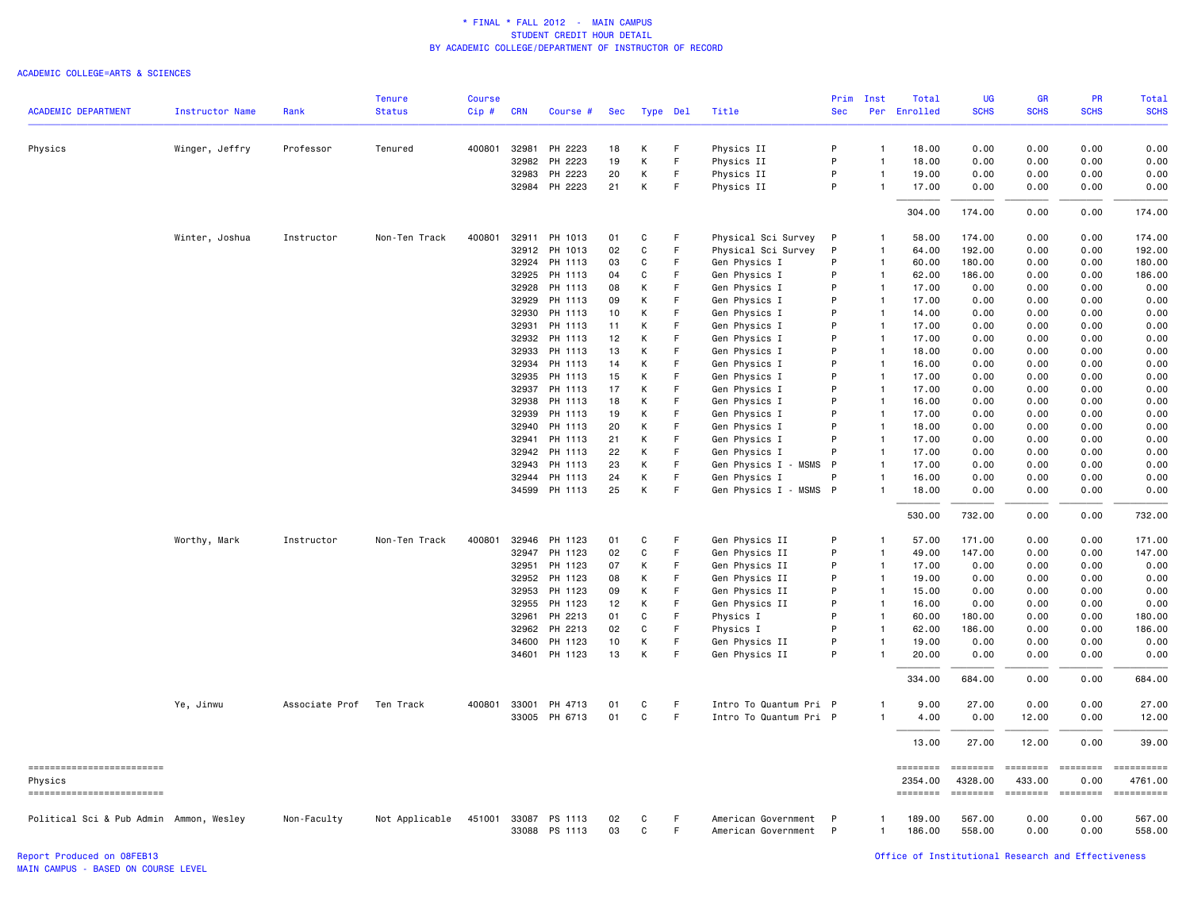|                                         |                        |                | <b>Tenure</b>  | <b>Course</b> |                |                      |            |        |                  |                                | Prim       | Inst                             | Total               | UG                  | <b>GR</b>          | <b>PR</b>        | Total                 |
|-----------------------------------------|------------------------|----------------|----------------|---------------|----------------|----------------------|------------|--------|------------------|--------------------------------|------------|----------------------------------|---------------------|---------------------|--------------------|------------------|-----------------------|
| <b>ACADEMIC DEPARTMENT</b>              | <b>Instructor Name</b> | Rank           | <b>Status</b>  | Cip#          | <b>CRN</b>     | Course #             | <b>Sec</b> |        | Type Del         | Title                          | <b>Sec</b> | Per                              | Enrolled            | <b>SCHS</b>         | <b>SCHS</b>        | <b>SCHS</b>      | <b>SCHS</b>           |
| Physics                                 | Winger, Jeffry         | Professor      | Tenured        | 400801 32981  |                | PH 2223              | 18         | к      | F                | Physics II                     | P          | $\overline{1}$                   | 18.00               | 0.00                | 0.00               | 0.00             | 0.00                  |
|                                         |                        |                |                |               | 32982          | PH 2223              | 19         | К      | F                | Physics II                     | P          | $\mathbf{1}$                     | 18.00               | 0.00                | 0.00               | 0.00             | 0.00                  |
|                                         |                        |                |                |               | 32983          | PH 2223              | 20         | К      | F                | Physics II                     | P          | -1                               | 19.00               | 0.00                | 0.00               | 0.00             | 0.00                  |
|                                         |                        |                |                |               |                | 32984 PH 2223        | 21         | K      | F                | Physics II                     | P          | $\overline{1}$                   | 17.00               | 0.00                | 0.00               | 0.00             | 0.00                  |
|                                         |                        |                |                |               |                |                      |            |        |                  |                                |            |                                  | 304.00              | 174.00              | 0.00               | 0.00             | 174.00                |
|                                         | Winter, Joshua         | Instructor     | Non-Ten Track  | 400801        | 32911          | PH 1013              | 01         | C      | F                | Physical Sci Survey            | P          | $\mathbf{1}$                     | 58.00               | 174.00              | 0.00               | 0.00             | 174.00                |
|                                         |                        |                |                |               | 32912          | PH 1013              | 02         | C      | F                | Physical Sci Survey            | P          | $\overline{1}$                   | 64.00               | 192.00              | 0.00               | 0.00             | 192.00                |
|                                         |                        |                |                |               | 32924          | PH 1113              | 03         | C      | E                | Gen Physics I                  | P          | $\overline{1}$                   | 60.00               | 180.00              | 0.00               | 0.00             | 180.00                |
|                                         |                        |                |                |               | 32925          | PH 1113              | 04         | C      | F                | Gen Physics I                  | P          | $\overline{1}$                   | 62.00               | 186.00              | 0.00               | 0.00             | 186.00                |
|                                         |                        |                |                |               | 32928          | PH 1113              | 08         | К      | F.               | Gen Physics I                  | P          | $\overline{1}$                   | 17.00               | 0.00                | 0.00               | 0.00             | 0.00                  |
|                                         |                        |                |                |               | 32929          | PH 1113              | 09<br>10   | К      | F.<br>F          | Gen Physics I                  | P<br>P     | $\overline{1}$<br>$\overline{1}$ | 17.00               | 0.00                | 0.00               | 0.00             | 0.00                  |
|                                         |                        |                |                |               | 32930          | PH 1113              |            | К<br>К | F                | Gen Physics I                  | P          |                                  | 14.00               | 0.00                | 0.00               | 0.00             | 0.00<br>0.00          |
|                                         |                        |                |                |               | 32931<br>32932 | PH 1113<br>PH 1113   | 11<br>12   | К      | F                | Gen Physics I<br>Gen Physics I | P          | $\overline{1}$<br>$\overline{1}$ | 17.00<br>17.00      | 0.00<br>0.00        | 0.00<br>0.00       | 0.00<br>0.00     | 0.00                  |
|                                         |                        |                |                |               | 32933          | PH 1113              | 13         | К      | F                | Gen Physics I                  | P          | $\overline{1}$                   | 18.00               | 0.00                | 0.00               | 0.00             | 0.00                  |
|                                         |                        |                |                |               | 32934          | PH 1113              | 14         | К      | F                | Gen Physics I                  | P          | $\overline{1}$                   | 16.00               | 0.00                | 0.00               | 0.00             | 0.00                  |
|                                         |                        |                |                |               | 32935          | PH 1113              | 15         | К      | F                | Gen Physics I                  | P          | $\overline{1}$                   | 17.00               | 0.00                | 0.00               | 0.00             | 0.00                  |
|                                         |                        |                |                |               | 32937          | PH 1113              | 17         | К      | F                | Gen Physics I                  | P          | $\overline{1}$                   | 17.00               | 0.00                | 0.00               | 0.00             | 0.00                  |
|                                         |                        |                |                |               | 32938          | PH 1113              | 18         | К      | F                | Gen Physics I                  | P          | $\overline{1}$                   | 16.00               | 0.00                | 0.00               | 0.00             | 0.00                  |
|                                         |                        |                |                |               | 32939          | PH 1113              | 19         | K      | F                | Gen Physics I                  | P          | $\overline{1}$                   | 17.00               | 0.00                | 0.00               | 0.00             | 0.00                  |
|                                         |                        |                |                |               | 32940          | PH 1113              | 20         | К      | F                | Gen Physics I                  | P          | $\overline{1}$                   | 18.00               | 0.00                | 0.00               | 0.00             | 0.00                  |
|                                         |                        |                |                |               | 32941          | PH 1113              | 21         | К      | F                | Gen Physics I                  | P          | $\overline{1}$                   | 17.00               | 0.00                | 0.00               | 0.00             | 0.00                  |
|                                         |                        |                |                |               | 32942          | PH 1113              | 22         | К      | F                | Gen Physics I                  | P          | $\mathbf{1}$                     | 17.00               | 0.00                | 0.00               | 0.00             | 0.00                  |
|                                         |                        |                |                |               | 32943          | PH 1113              | 23         | К      | F                | Gen Physics I - MSMS           | P          | $\overline{1}$                   | 17.00               | 0.00                | 0.00               | 0.00             | 0.00                  |
|                                         |                        |                |                |               | 32944          | PH 1113              | 24         | К      | F.               | Gen Physics I                  | P          | $\overline{1}$                   | 16.00               | 0.00                | 0.00               | 0.00             | 0.00                  |
|                                         |                        |                |                |               | 34599          | PH 1113              | 25         | К      | F                | Gen Physics I - MSMS P         |            | $\overline{\mathbf{1}}$          | 18.00               | 0.00                | 0.00               | 0.00             | 0.00                  |
|                                         |                        |                |                |               |                |                      |            |        |                  |                                |            |                                  | 530.00              | 732.00              | 0.00               | 0.00             | 732.00                |
|                                         | Worthy, Mark           | Instructor     | Non-Ten Track  | 400801        | 32946          | PH 1123              | 01         | C      | F                | Gen Physics II                 | P          | $\overline{1}$                   | 57.00               | 171.00              | 0.00               | 0.00             | 171.00                |
|                                         |                        |                |                |               | 32947          | PH 1123              | 02         | C      | F                | Gen Physics II                 | P          | $\mathbf{1}$                     | 49.00               | 147.00              | 0.00               | 0.00             | 147.00                |
|                                         |                        |                |                |               | 32951          | PH 1123              | 07         | К      | F.               | Gen Physics II                 | P          | $\overline{1}$                   | 17.00               | 0.00                | 0.00               | 0.00             | 0.00                  |
|                                         |                        |                |                |               | 32952          | PH 1123              | 08         | K      | E                | Gen Physics II                 | P          | $\overline{1}$                   | 19.00               | 0.00                | 0.00               | 0.00             | 0.00                  |
|                                         |                        |                |                |               | 32953          | PH 1123              | 09         | К      | F                | Gen Physics II                 | P          | $\overline{1}$                   | 15.00               | 0.00                | 0.00               | 0.00             | 0.00                  |
|                                         |                        |                |                |               | 32955          | PH 1123              | 12         | К      | F                | Gen Physics II                 | P          | $\overline{1}$                   | 16.00               | 0.00                | 0.00               | 0.00             | 0.00                  |
|                                         |                        |                |                |               | 32961          | PH 2213              | 01         | C      | F                | Physics I                      | P          | $\overline{1}$                   | 60.00               | 180.00              | 0.00               | 0.00             | 180.00                |
|                                         |                        |                |                |               | 32962          | PH 2213              | 02         | C      | F                | Physics I                      | P          | $\overline{1}$                   | 62.00               | 186.00              | 0.00               | 0.00             | 186.00                |
|                                         |                        |                |                |               | 34600          | PH 1123<br>PH 1123   | 10<br>13   | К<br>К | F<br>$\mathsf F$ | Gen Physics II                 | P<br>P     | $\overline{1}$                   | 19.00               | 0.00                | 0.00               | 0.00<br>0.00     | 0.00                  |
|                                         |                        |                |                |               | 34601          |                      |            |        |                  | Gen Physics II                 |            |                                  | 20.00               | 0.00                | 0.00               |                  | 0.00                  |
|                                         |                        |                |                |               |                |                      |            |        |                  |                                |            |                                  | 334.00              | 684.00              | 0.00               | 0.00             | 684.00                |
|                                         | Ye, Jinwu              | Associate Prof | Ten Track      | 400801        | 33001          | PH 4713              | 01         | C      | F                | Intro To Quantum Pri P         |            | 1                                | 9.00                | 27.00               | 0.00               | 0.00             | 27.00                 |
|                                         |                        |                |                |               |                | 33005 PH 6713        | 01         | C      | $\mathsf F$      | Intro To Quantum Pri P         |            | $\mathbf{1}$                     | 4.00                | 0.00                | 12.00              | 0.00             | 12.00                 |
|                                         |                        |                |                |               |                |                      |            |        |                  |                                |            |                                  | 13.00               | 27.00               | 12.00              | 0.00             | 39.00                 |
| ==========================<br>Physics   |                        |                |                |               |                |                      |            |        |                  |                                |            |                                  | ========<br>2354.00 | ========<br>4328.00 | ========<br>433.00 | ========<br>0.00 | ==========<br>4761.00 |
| ------------------------                |                        |                |                |               |                |                      |            |        |                  |                                |            |                                  | ========            | $= 222222222$       | <b>ESSESSE</b>     | ========         |                       |
| Political Sci & Pub Admin Ammon, Wesley |                        | Non-Faculty    | Not Applicable |               |                | 451001 33087 PS 1113 | 02         | C      | F                | American Government            | -P         | -1                               | 189.00              | 567.00              | 0.00               | 0.00             | 567.00                |
|                                         |                        |                |                |               |                | 33088 PS 1113        | 03         | C      | F.               | American Government            | P          | $\overline{1}$                   | 186.00              | 558.00              | 0.00               | 0.00             | 558.00                |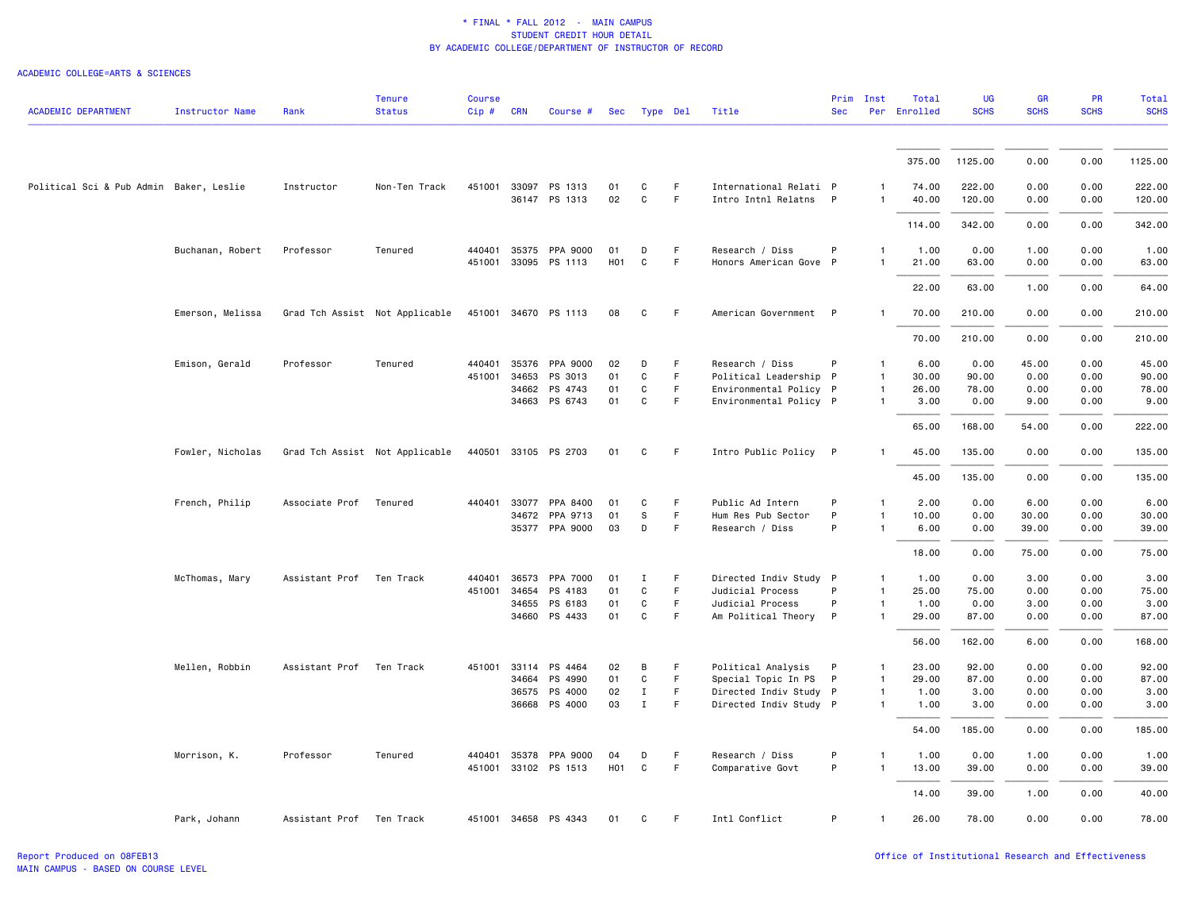| <b>ACADEMIC DEPARTMENT</b>              | <b>Instructor Name</b> | Rank                     | <b>Tenure</b><br><b>Status</b> | <b>Course</b><br>Cip# | <b>CRN</b>   | Course #                         | Sec        |                   | Type Del | Title                                           | Prim<br><b>Sec</b> | Inst                         | Total<br>Per Enrolled | <b>UG</b><br><b>SCHS</b> | GR<br><b>SCHS</b> | PR<br><b>SCHS</b> | <b>Total</b><br><b>SCHS</b> |
|-----------------------------------------|------------------------|--------------------------|--------------------------------|-----------------------|--------------|----------------------------------|------------|-------------------|----------|-------------------------------------------------|--------------------|------------------------------|-----------------------|--------------------------|-------------------|-------------------|-----------------------------|
|                                         |                        |                          |                                |                       |              |                                  |            |                   |          |                                                 |                    |                              |                       |                          |                   |                   |                             |
|                                         |                        |                          |                                |                       |              |                                  |            |                   |          |                                                 |                    |                              | 375.00                | 1125.00                  | 0.00              | 0.00              | 1125.00                     |
| Political Sci & Pub Admin Baker, Leslie |                        | Instructor               | Non-Ten Track                  | 451001                | 33097        | PS 1313                          | 01<br>02   | C<br>$\mathsf{C}$ | F<br>F   | International Relati P<br>Intro Intnl Relatns P |                    | -1<br>$\mathbf{1}$           | 74.00                 | 222.00                   | 0.00              | 0.00              | 222.00                      |
|                                         |                        |                          |                                |                       |              | 36147 PS 1313                    |            |                   |          |                                                 |                    |                              | 40.00                 | 120.00                   | 0.00              | 0.00              | 120.00                      |
|                                         |                        |                          |                                |                       |              |                                  |            |                   |          |                                                 |                    |                              | 114.00                | 342.00                   | 0.00              | 0.00              | 342.00                      |
|                                         | Buchanan, Robert       | Professor                | Tenured                        |                       | 440401 35375 | PPA 9000<br>451001 33095 PS 1113 | 01<br>H01  | D<br>C            | F.<br>F  | Research / Diss<br>Honors American Gove P       | P                  | $\mathbf{1}$<br>$\mathbf{1}$ | 1.00<br>21.00         | 0.00<br>63.00            | 1.00<br>0.00      | 0.00<br>0.00      | 1.00<br>63.00               |
|                                         |                        |                          |                                |                       |              |                                  |            |                   |          |                                                 |                    |                              | 22.00                 | 63.00                    | 1.00              | 0.00              | 64.00                       |
|                                         | Emerson, Melissa       |                          | Grad Tch Assist Not Applicable |                       |              | 451001 34670 PS 1113             | 08         | C                 | F        | American Government P                           |                    | $\mathbf{1}$                 | 70.00                 | 210.00                   | 0.00              | 0.00              | 210.00                      |
|                                         |                        |                          |                                |                       |              |                                  |            |                   |          |                                                 |                    |                              | 70.00                 | 210.00                   | 0.00              | 0.00              | 210.00                      |
|                                         | Emison, Gerald         | Professor                | Tenured                        | 440401                | 35376        | PPA 9000                         | 02         | D                 | F.       | Research / Diss                                 | P                  | $\mathbf{1}$                 | 6.00                  | 0.00                     | 45.00             | 0.00              | 45.00                       |
|                                         |                        |                          |                                |                       | 451001 34653 | PS 3013                          | 01         | C                 | F        | Political Leadership P                          |                    | $\mathbf{1}$                 | 30.00                 | 90.00                    | 0.00              | 0.00              | 90.00                       |
|                                         |                        |                          |                                |                       | 34662        | PS 4743                          | 01         | C                 | F        | Environmental Policy P                          |                    | $\mathbf{1}$                 | 26.00                 | 78.00                    | 0.00              | 0.00              | 78.00                       |
|                                         |                        |                          |                                |                       | 34663        | PS 6743                          | 01         | C                 | F        | Environmental Policy P                          |                    | $\mathbf{1}$                 | 3.00                  | 0.00                     | 9.00              | 0.00              | 9.00                        |
|                                         |                        |                          |                                |                       |              |                                  |            |                   |          |                                                 |                    |                              | 65.00                 | 168.00                   | 54.00             | 0.00              | 222.00                      |
|                                         | Fowler, Nicholas       |                          | Grad Tch Assist Not Applicable |                       |              | 440501 33105 PS 2703             | 01         | C                 | F.       | Intro Public Policy P                           |                    | $\mathbf{1}$                 | 45.00                 | 135.00                   | 0.00              | 0.00              | 135.00                      |
|                                         |                        |                          |                                |                       |              |                                  |            |                   |          |                                                 |                    |                              | 45.00                 | 135.00                   | 0.00              | 0.00              | 135.00                      |
|                                         | French, Philip         | Associate Prof           | Tenured                        | 440401                | 33077        | PPA 8400                         | 01         | C                 | F        | Public Ad Intern                                | P                  | $\mathbf{1}$                 | 2.00                  | 0.00                     | 6.00              | 0.00              | 6.00                        |
|                                         |                        |                          |                                |                       | 34672        | PPA 9713                         | 01         | S                 | F.       | Hum Res Pub Sector                              | P                  | $\mathbf{1}$                 | 10.00                 | 0.00                     | 30.00             | 0.00              | 30.00                       |
|                                         |                        |                          |                                |                       |              | 35377 PPA 9000                   | 03         | D                 | F.       | Research / Diss                                 | P                  | $\mathbf{1}$                 | 6.00                  | 0.00                     | 39.00             | 0.00              | 39.00                       |
|                                         |                        |                          |                                |                       |              |                                  |            |                   |          |                                                 |                    |                              | 18.00                 | 0.00                     | 75.00             | 0.00              | 75.00                       |
|                                         | McThomas, Mary         | Assistant Prof Ten Track |                                |                       | 440401 36573 | PPA 7000                         | 01         | Ι                 | F.       | Directed Indiv Study P                          |                    | 1                            | 1.00                  | 0.00                     | 3.00              | 0.00              | 3.00                        |
|                                         |                        |                          |                                | 451001                | 34654        | PS 4183                          | 01         | C                 | F        | Judicial Process                                | P                  | $\mathbf{1}$                 | 25.00                 | 75.00                    | 0.00              | 0.00              | 75.00                       |
|                                         |                        |                          |                                |                       | 34655        | PS 6183                          | 01         | C                 | F        | Judicial Process                                | P                  | $\mathbf{1}$                 | 1.00                  | 0.00                     | 3.00              | 0.00              | 3.00                        |
|                                         |                        |                          |                                |                       |              | 34660 PS 4433                    | 01         | $\mathtt{C}$      | F        | Am Political Theory                             | $\mathsf{P}$       | 1                            | 29.00                 | 87.00                    | 0.00              | 0.00              | 87.00                       |
|                                         |                        |                          |                                |                       |              |                                  |            |                   |          |                                                 |                    |                              | 56.00                 | 162.00                   | 6.00              | 0.00              | 168.00                      |
|                                         | Mellen, Robbin         | Assistant Prof Ten Track |                                |                       |              | 451001 33114 PS 4464             | 02         | B                 | F.       | Political Analysis                              | P                  | $\mathbf{1}$                 | 23.00                 | 92.00                    | 0.00              | 0.00              | 92.00                       |
|                                         |                        |                          |                                |                       | 34664        | PS 4990                          | 01         | C                 | F        | Special Topic In PS                             | $\mathsf{P}$       | 1                            | 29.00                 | 87.00                    | 0.00              | 0.00              | 87.00                       |
|                                         |                        |                          |                                |                       |              | 36575 PS 4000                    | 02         | $\mathbf I$       | F        | Directed Indiv Study P                          |                    | 1                            | 1.00                  | 3.00                     | 0.00              | 0.00              | 3.00                        |
|                                         |                        |                          |                                |                       |              | 36668 PS 4000                    | 03         | $\mathbf{I}$      | F.       | Directed Indiv Study P                          |                    | $\mathbf{1}$                 | 1.00                  | 3.00                     | 0.00              | 0.00              | 3.00                        |
|                                         |                        |                          |                                |                       |              |                                  |            |                   |          |                                                 |                    |                              | 54.00                 | 185.00                   | 0.00              | 0.00              | 185.00                      |
|                                         | Morrison, K.           | Professor                | Tenured                        |                       |              | 440401 35378 PPA 9000            | 04         | D                 | F        | Research / Diss                                 | P                  | 1                            | 1.00                  | 0.00                     | 1.00              | 0.00              | 1.00                        |
|                                         |                        |                          |                                |                       |              | 451001 33102 PS 1513             | <b>H01</b> | C                 | F        | Comparative Govt                                | P                  | $\mathbf{1}$                 | 13.00                 | 39.00                    | 0.00              | 0.00              | 39.00                       |
|                                         |                        |                          |                                |                       |              |                                  |            |                   |          |                                                 |                    |                              | 14.00                 | 39.00                    | 1.00              | 0.00              | 40.00                       |
|                                         | Park, Johann           | Assistant Prof           | Ten Track                      |                       |              | 451001 34658 PS 4343             | 01         | C                 | F        | Intl Conflict                                   | P                  | $\mathbf{1}$                 | 26.00                 | 78.00                    | 0.00              | 0.00              | 78.00                       |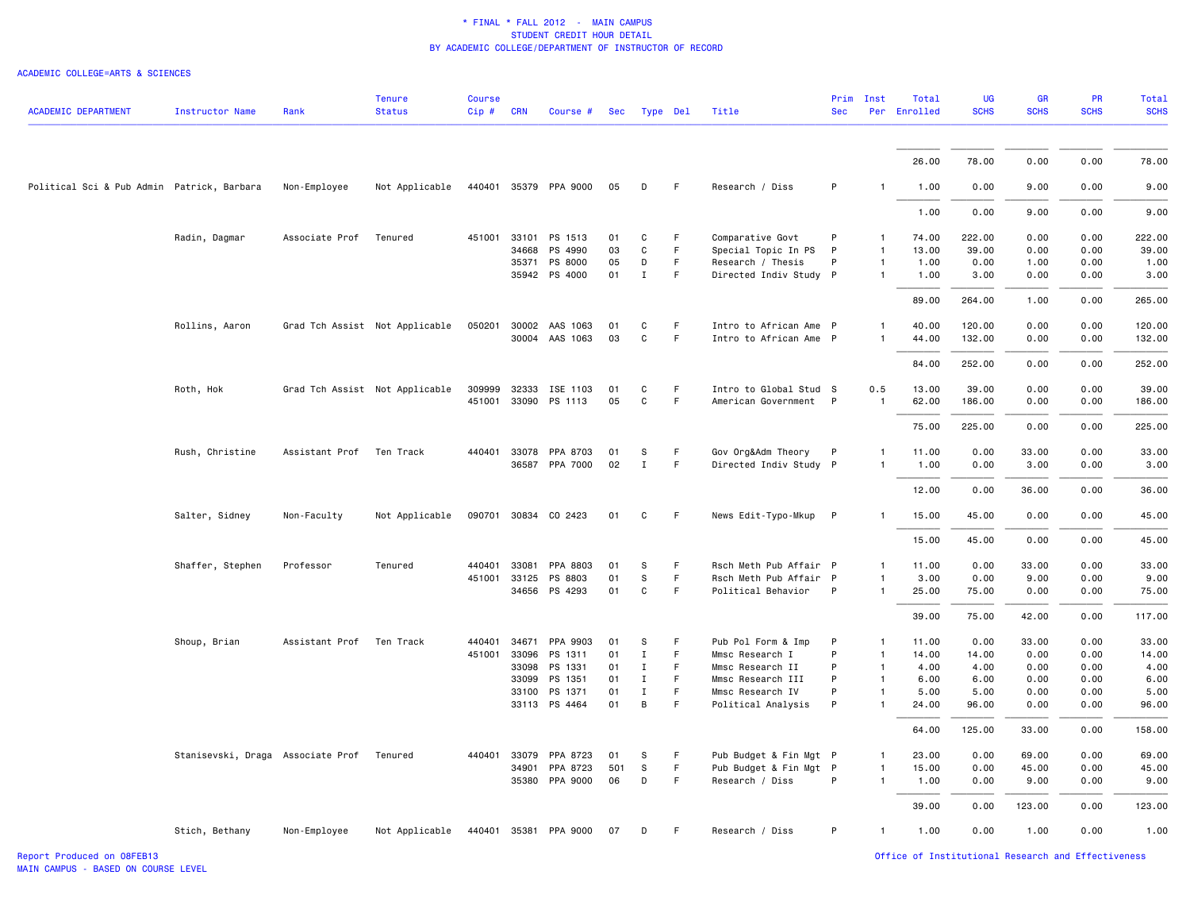| <b>ACADEMIC DEPARTMENT</b>                 | <b>Instructor Name</b>            | Rank                     | <b>Tenure</b><br><b>Status</b> | <b>Course</b><br>$Cip \#$ | <b>CRN</b>   | Course #                               | Sec      | Type Del     |         | Title                                           | Prim<br><b>Sec</b> | Inst                           | Total<br>Per Enrolled | <b>UG</b><br><b>SCHS</b> | GR<br><b>SCHS</b> | PR<br><b>SCHS</b> | <b>Total</b><br><b>SCHS</b> |
|--------------------------------------------|-----------------------------------|--------------------------|--------------------------------|---------------------------|--------------|----------------------------------------|----------|--------------|---------|-------------------------------------------------|--------------------|--------------------------------|-----------------------|--------------------------|-------------------|-------------------|-----------------------------|
|                                            |                                   |                          |                                |                           |              |                                        |          |              |         |                                                 |                    |                                |                       |                          |                   |                   |                             |
|                                            |                                   |                          |                                |                           |              |                                        |          |              |         |                                                 |                    |                                | 26.00                 | 78.00                    | 0.00              | 0.00              | 78.00                       |
| Political Sci & Pub Admin Patrick, Barbara |                                   | Non-Employee             | Not Applicable                 |                           |              | 440401 35379 PPA 9000                  | 05       | D            | F       | Research / Diss                                 | P                  | $\mathbf{1}$                   | 1.00                  | 0.00                     | 9.00              | 0.00              | 9.00                        |
|                                            |                                   |                          |                                |                           |              |                                        |          |              |         |                                                 |                    |                                | 1.00                  | 0.00                     | 9.00              | 0.00              | 9.00                        |
|                                            | Radin, Dagmar                     | Associate Prof           | Tenured                        | 451001                    | 33101        | PS 1513                                | 01       | C            | F.      | Comparative Govt                                | P                  | $\mathbf{1}$                   | 74.00                 | 222.00                   | 0.00              | 0.00              | 222.00                      |
|                                            |                                   |                          |                                |                           | 34668        | PS 4990                                | 03       | C            | F.      | Special Topic In PS                             | P                  | $\mathbf{1}$                   | 13.00                 | 39.00                    | 0.00              | 0.00              | 39.00                       |
|                                            |                                   |                          |                                |                           | 35371        | PS 8000                                | 05       | D            | F.      | Research / Thesis                               | P                  | $\mathbf{1}$                   | 1.00                  | 0.00                     | 1.00              | 0.00              | 1.00                        |
|                                            |                                   |                          |                                |                           |              | 35942 PS 4000                          | 01       | $\mathbf{I}$ | F       | Directed Indiv Study P                          |                    | $\mathbf{1}$                   | 1.00                  | 3.00                     | 0.00              | 0.00              | 3.00                        |
|                                            |                                   |                          |                                |                           |              |                                        |          |              |         |                                                 |                    |                                | 89.00                 | 264.00                   | 1.00              | 0.00              | 265.00                      |
|                                            | Rollins, Aaron                    |                          | Grad Tch Assist Not Applicable |                           |              | 050201 30002 AAS 1063                  | 01       | C            | F.      | Intro to African Ame P                          |                    | $\mathbf{1}$                   | 40.00                 | 120.00                   | 0.00              | 0.00              | 120.00                      |
|                                            |                                   |                          |                                |                           |              | 30004 AAS 1063                         | 03       | C            | F       | Intro to African Ame P                          |                    | $\mathbf{1}$                   | 44.00                 | 132.00                   | 0.00              | 0.00              | 132.00                      |
|                                            |                                   |                          |                                |                           |              |                                        |          |              |         |                                                 |                    |                                | 84.00                 | 252.00                   | 0.00              | 0.00              | 252.00                      |
|                                            |                                   |                          |                                |                           |              |                                        |          |              |         |                                                 |                    |                                |                       |                          |                   |                   |                             |
|                                            | Roth, Hok                         |                          | Grad Tch Assist Not Applicable | 309999                    |              | 32333 ISE 1103<br>451001 33090 PS 1113 | 01<br>05 | C<br>C       | F.<br>F | Intro to Global Stud S<br>American Government P |                    | 0.5<br>$\overline{\mathbf{1}}$ | 13.00<br>62.00        | 39.00<br>186.00          | 0.00<br>0.00      | 0.00<br>0.00      | 39.00<br>186.00             |
|                                            |                                   |                          |                                |                           |              |                                        |          |              |         |                                                 |                    |                                |                       |                          |                   |                   |                             |
|                                            |                                   |                          |                                |                           |              |                                        |          |              |         |                                                 |                    |                                | 75.00                 | 225.00                   | 0.00              | 0.00              | 225.00                      |
|                                            | Rush, Christine                   | Assistant Prof Ten Track |                                |                           |              | 440401 33078 PPA 8703                  | 01       | s            | F       | Gov Org&Adm Theory                              | P                  | -1                             | 11.00                 | 0.00                     | 33.00             | 0.00              | 33.00                       |
|                                            |                                   |                          |                                |                           |              | 36587 PPA 7000                         | 02       | $\mathbf{I}$ | F       | Directed Indiv Study P                          |                    | $\mathbf{1}$                   | 1.00                  | 0.00                     | 3.00              | 0.00              | 3.00                        |
|                                            |                                   |                          |                                |                           |              |                                        |          |              |         |                                                 |                    |                                | 12.00                 | 0.00                     | 36.00             | 0.00              | 36.00                       |
|                                            | Salter, Sidney                    | Non-Faculty              | Not Applicable                 |                           |              | 090701 30834 CO 2423                   | 01       | C            | F.      | News Edit-Typo-Mkup P                           |                    | $\mathbf{1}$                   | 15.00                 | 45.00                    | 0.00              | 0.00              | 45.00                       |
|                                            |                                   |                          |                                |                           |              |                                        |          |              |         |                                                 |                    |                                | 15.00                 | 45.00                    | 0.00              | 0.00              | 45.00                       |
|                                            | Shaffer, Stephen                  | Professor                | Tenured                        | 440401                    | 33081        | PPA 8803                               | 01       | S            | F.      | Rsch Meth Pub Affair P                          |                    | $\mathbf{1}$                   | 11.00                 | 0.00                     | 33.00             | 0.00              | 33.00                       |
|                                            |                                   |                          |                                | 451001 33125              |              | PS 8803                                | 01       | $\mathsf S$  | F       | Rsch Meth Pub Affair P                          |                    | $\mathbf{1}$                   | 3.00                  | 0.00                     | 9.00              | 0.00              | 9.00                        |
|                                            |                                   |                          |                                |                           |              | 34656 PS 4293                          | 01       | C            | F       | Political Behavior                              | P                  | $\mathbf{1}$                   | 25.00                 | 75.00                    | 0.00              | 0.00              | 75.00                       |
|                                            |                                   |                          |                                |                           |              |                                        |          |              |         |                                                 |                    |                                | 39.00                 | 75.00                    | 42.00             | 0.00              | 117.00                      |
|                                            | Shoup, Brian                      | Assistant Prof           | Ten Track                      | 440401                    | 34671        | PPA 9903                               | 01       | S            | F.      | Pub Pol Form & Imp                              | P                  | 1                              | 11.00                 | 0.00                     | 33.00             | 0.00              | 33.00                       |
|                                            |                                   |                          |                                |                           | 451001 33096 | PS 1311                                | 01       | Ι            | F       | Mmsc Research I                                 | P                  | $\mathbf{1}$                   | 14.00                 | 14.00                    | 0.00              | 0.00              | 14.00                       |
|                                            |                                   |                          |                                |                           | 33098        | PS 1331                                | 01       | Ι.           | F.      | Mmsc Research II                                | P                  | $\mathbf{1}$                   | 4.00                  | 4.00                     | 0.00              | 0.00              | 4.00                        |
|                                            |                                   |                          |                                |                           | 33099        | PS 1351                                | 01       | $\mathbf{I}$ | F       | Mmsc Research III                               | P                  | $\mathbf{1}$                   | 6.00                  | 6.00                     | 0.00              | 0.00              | 6.00                        |
|                                            |                                   |                          |                                |                           | 33100        | PS 1371                                | 01       | Ι.           | F.<br>F | Mmsc Research IV                                | P                  | $\mathbf{1}$<br>$\mathbf{1}$   | 5.00                  | 5.00                     | 0.00              | 0.00              | 5.00                        |
|                                            |                                   |                          |                                |                           |              | 33113 PS 4464                          | 01       | B            |         | Political Analysis                              | P                  |                                | 24.00                 | 96.00                    | 0.00              | 0.00              | 96.00                       |
|                                            |                                   |                          |                                |                           |              |                                        |          |              |         |                                                 |                    |                                | 64.00                 | 125.00                   | 33.00             | 0.00              | 158.00                      |
|                                            | Stanisevski, Draga Associate Prof |                          | Tenured                        | 440401 33079              |              | PPA 8723                               | 01       | S            | F       | Pub Budget & Fin Mgt P                          |                    | $\mathbf{1}$                   | 23.00                 | 0.00                     | 69.00             | 0.00              | 69.00                       |
|                                            |                                   |                          |                                |                           | 34901        | PPA 8723                               | 501      | S            | F       | Pub Budget & Fin Mgt P                          |                    | $\mathbf{1}$                   | 15.00                 | 0.00                     | 45.00             | 0.00              | 45.00                       |
|                                            |                                   |                          |                                |                           |              | 35380 PPA 9000                         | 06       | D            | F       | Research / Diss                                 | P                  | $\mathbf{1}$                   | 1.00                  | 0.00                     | 9.00              | 0.00              | 9.00                        |
|                                            |                                   |                          |                                |                           |              |                                        |          |              |         |                                                 |                    |                                | 39.00                 | 0.00                     | 123.00            | 0.00              | 123.00                      |
|                                            | Stich, Bethany                    | Non-Employee             | Not Applicable                 |                           |              | 440401 35381 PPA 9000                  | 07       | D            | F.      | Research / Diss                                 | P                  | $\mathbf{1}$                   | 1.00                  | 0.00                     | 1.00              | 0.00              | 1.00                        |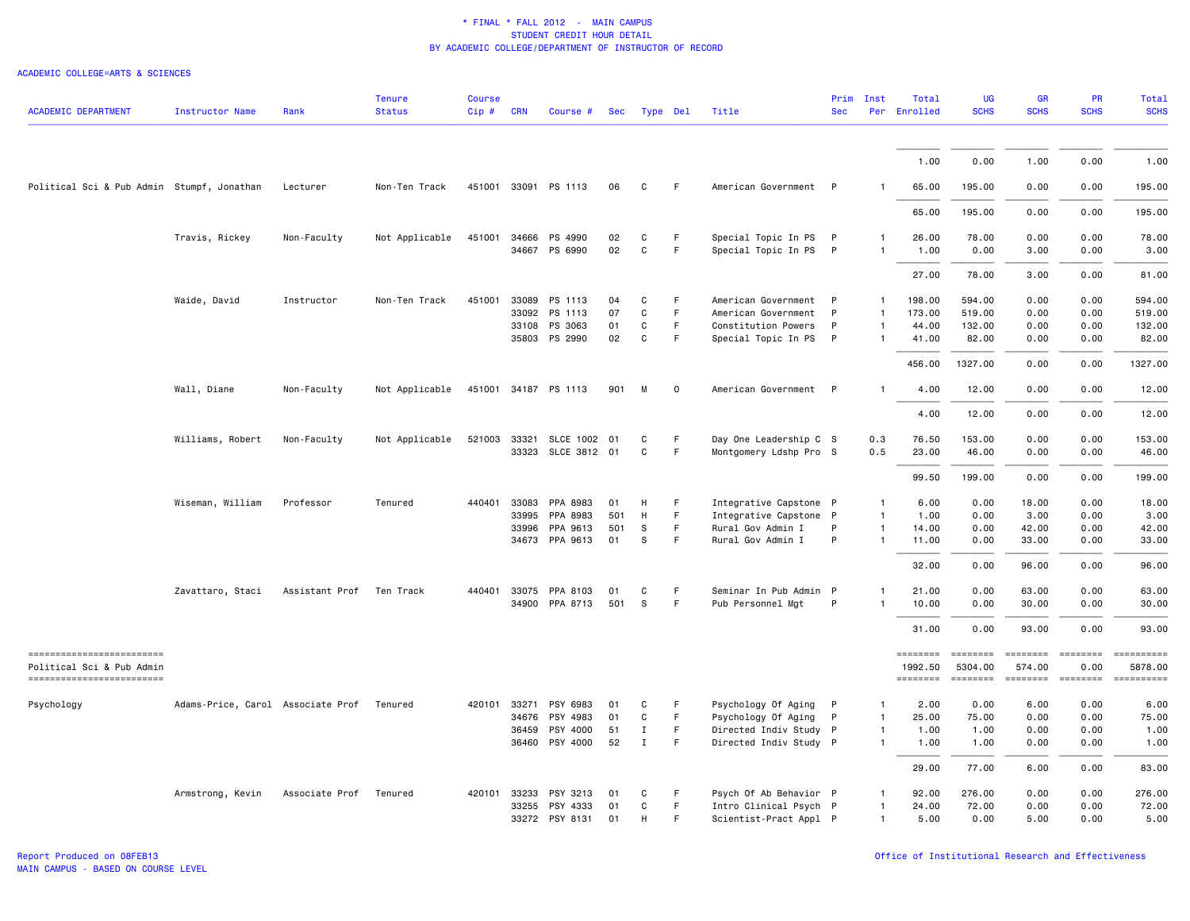| <b>ACADEMIC DEPARTMENT</b>                                                          | <b>Instructor Name</b>            | Rank                   | <b>Tenure</b><br><b>Status</b> | <b>Course</b><br>Cip# | <b>CRN</b>   | Course #                   | Sec      |                              | Type Del | Title                                            | Prim<br><b>Sec</b> | Inst                         | Total<br>Per Enrolled | <b>UG</b><br><b>SCHS</b>  | GR<br><b>SCHS</b>         | PR<br><b>SCHS</b>                                                                                                                                                                                                                                                                                                                                                                                                                                                                                                                                                   | <b>Total</b><br><b>SCHS</b>                                                                                                                                                                                                                                                                                                                                                                                                         |
|-------------------------------------------------------------------------------------|-----------------------------------|------------------------|--------------------------------|-----------------------|--------------|----------------------------|----------|------------------------------|----------|--------------------------------------------------|--------------------|------------------------------|-----------------------|---------------------------|---------------------------|---------------------------------------------------------------------------------------------------------------------------------------------------------------------------------------------------------------------------------------------------------------------------------------------------------------------------------------------------------------------------------------------------------------------------------------------------------------------------------------------------------------------------------------------------------------------|-------------------------------------------------------------------------------------------------------------------------------------------------------------------------------------------------------------------------------------------------------------------------------------------------------------------------------------------------------------------------------------------------------------------------------------|
|                                                                                     |                                   |                        |                                |                       |              |                            |          |                              |          |                                                  |                    |                              |                       |                           |                           |                                                                                                                                                                                                                                                                                                                                                                                                                                                                                                                                                                     |                                                                                                                                                                                                                                                                                                                                                                                                                                     |
|                                                                                     |                                   |                        |                                |                       |              |                            |          |                              |          |                                                  |                    |                              | 1.00                  | 0.00                      | 1.00                      | 0.00                                                                                                                                                                                                                                                                                                                                                                                                                                                                                                                                                                | 1.00                                                                                                                                                                                                                                                                                                                                                                                                                                |
| Political Sci & Pub Admin Stumpf, Jonathan                                          |                                   | Lecturer               | Non-Ten Track                  |                       |              | 451001 33091 PS 1113       | 06       | C                            | F.       | American Government P                            |                    |                              | 65.00                 | 195.00                    | 0.00                      | 0.00                                                                                                                                                                                                                                                                                                                                                                                                                                                                                                                                                                | 195.00                                                                                                                                                                                                                                                                                                                                                                                                                              |
|                                                                                     |                                   |                        |                                |                       |              |                            |          |                              |          |                                                  |                    |                              | 65.00                 | 195.00                    | 0.00                      | 0.00                                                                                                                                                                                                                                                                                                                                                                                                                                                                                                                                                                | 195.00                                                                                                                                                                                                                                                                                                                                                                                                                              |
|                                                                                     | Travis, Rickey                    | Non-Faculty            | Not Applicable                 |                       | 451001 34666 | PS 4990<br>34667 PS 6990   | 02<br>02 | C<br>$\mathtt{C}$            | F.<br>F  | Special Topic In PS<br>Special Topic In PS P     | $\mathsf{P}$       | 1<br>$\mathbf{1}$            | 26.00<br>1.00         | 78.00<br>0.00             | 0.00<br>3.00              | 0.00<br>0.00                                                                                                                                                                                                                                                                                                                                                                                                                                                                                                                                                        | 78.00<br>3.00                                                                                                                                                                                                                                                                                                                                                                                                                       |
|                                                                                     |                                   |                        |                                |                       |              |                            |          |                              |          |                                                  |                    |                              | 27.00                 | 78.00                     | 3.00                      | 0.00                                                                                                                                                                                                                                                                                                                                                                                                                                                                                                                                                                | 81.00                                                                                                                                                                                                                                                                                                                                                                                                                               |
|                                                                                     | Waide, David                      | Instructor             | Non-Ten Track                  | 451001                | 33089        | PS 1113                    | 04       | C                            | F        | American Government                              | $\mathsf{P}$       | $\mathbf{1}$                 | 198.00                | 594.00                    | 0.00                      | 0.00                                                                                                                                                                                                                                                                                                                                                                                                                                                                                                                                                                | 594.00                                                                                                                                                                                                                                                                                                                                                                                                                              |
|                                                                                     |                                   |                        |                                |                       | 33092        | PS 1113                    | 07       | C                            | F        | American Government                              | P                  | $\mathbf{1}$                 | 173.00                | 519.00                    | 0.00                      | 0.00                                                                                                                                                                                                                                                                                                                                                                                                                                                                                                                                                                | 519.00                                                                                                                                                                                                                                                                                                                                                                                                                              |
|                                                                                     |                                   |                        |                                |                       | 33108        | PS 3063<br>35803 PS 2990   | 01<br>02 | $\mathtt{C}$<br>C            | F.<br>F  | Constitution Powers<br>Special Topic In PS P     | P                  | $\mathbf{1}$<br>$\mathbf{1}$ | 44.00<br>41.00        | 132.00<br>82.00           | 0.00<br>0.00              | 0.00<br>0.00                                                                                                                                                                                                                                                                                                                                                                                                                                                                                                                                                        | 132.00<br>82.00                                                                                                                                                                                                                                                                                                                                                                                                                     |
|                                                                                     |                                   |                        |                                |                       |              |                            |          |                              |          |                                                  |                    |                              | 456.00                | 1327.00                   | 0.00                      | 0.00                                                                                                                                                                                                                                                                                                                                                                                                                                                                                                                                                                | 1327.00                                                                                                                                                                                                                                                                                                                                                                                                                             |
|                                                                                     | Wall, Diane                       | Non-Faculty            | Not Applicable                 |                       |              | 451001 34187 PS 1113       | 901      | M                            | $\circ$  | American Government P                            |                    | $\mathbf{1}$                 | 4.00                  | 12.00                     | 0.00                      | 0.00                                                                                                                                                                                                                                                                                                                                                                                                                                                                                                                                                                | 12.00                                                                                                                                                                                                                                                                                                                                                                                                                               |
|                                                                                     |                                   |                        |                                |                       |              |                            |          |                              |          |                                                  |                    |                              | 4.00                  | 12.00                     | 0.00                      | 0.00                                                                                                                                                                                                                                                                                                                                                                                                                                                                                                                                                                | 12.00                                                                                                                                                                                                                                                                                                                                                                                                                               |
|                                                                                     | Williams, Robert                  | Non-Faculty            | Not Applicable                 |                       |              | 521003 33321 SLCE 1002 01  |          | C                            | F.       | Day One Leadership C S                           |                    | 0.3                          | 76.50                 | 153.00                    | 0.00                      | 0.00                                                                                                                                                                                                                                                                                                                                                                                                                                                                                                                                                                | 153.00                                                                                                                                                                                                                                                                                                                                                                                                                              |
|                                                                                     |                                   |                        |                                |                       |              | 33323 SLCE 3812            | 01       | C                            | F        | Montgomery Ldshp Pro S                           |                    | 0.5                          | 23.00                 | 46.00                     | 0.00                      | 0.00                                                                                                                                                                                                                                                                                                                                                                                                                                                                                                                                                                | 46.00                                                                                                                                                                                                                                                                                                                                                                                                                               |
|                                                                                     |                                   |                        |                                |                       |              |                            |          |                              |          |                                                  |                    |                              | 99.50                 | 199.00                    | 0.00                      | 0.00                                                                                                                                                                                                                                                                                                                                                                                                                                                                                                                                                                | 199.00                                                                                                                                                                                                                                                                                                                                                                                                                              |
|                                                                                     | Wiseman, William                  | Professor              | Tenured                        | 440401                | 33083        | PPA 8983                   | 01       | H                            | F        | Integrative Capstone P                           |                    | $\mathbf{1}$                 | 6.00                  | 0.00                      | 18.00                     | 0.00                                                                                                                                                                                                                                                                                                                                                                                                                                                                                                                                                                | 18.00                                                                                                                                                                                                                                                                                                                                                                                                                               |
|                                                                                     |                                   |                        |                                |                       | 33995        | PPA 8983                   | 501      | H                            | F.       | Integrative Capstone P                           |                    | $\mathbf{1}$                 | 1.00                  | 0.00                      | 3.00                      | 0.00                                                                                                                                                                                                                                                                                                                                                                                                                                                                                                                                                                | 3.00                                                                                                                                                                                                                                                                                                                                                                                                                                |
|                                                                                     |                                   |                        |                                |                       | 33996        | PPA 9613                   | 501      | S                            | F.       | Rural Gov Admin I                                | P                  | $\mathbf{1}$                 | 14.00                 | 0.00                      | 42.00                     | 0.00                                                                                                                                                                                                                                                                                                                                                                                                                                                                                                                                                                | 42.00                                                                                                                                                                                                                                                                                                                                                                                                                               |
|                                                                                     |                                   |                        |                                |                       | 34673        | PPA 9613                   | 01       | S                            | F        | Rural Gov Admin I                                | P                  | $\mathbf{1}$                 | 11.00                 | 0.00                      | 33.00                     | 0.00                                                                                                                                                                                                                                                                                                                                                                                                                                                                                                                                                                | 33.00                                                                                                                                                                                                                                                                                                                                                                                                                               |
|                                                                                     |                                   |                        |                                |                       |              |                            |          |                              |          |                                                  |                    |                              | 32.00                 | 0.00                      | 96.00                     | 0.00                                                                                                                                                                                                                                                                                                                                                                                                                                                                                                                                                                | 96.00                                                                                                                                                                                                                                                                                                                                                                                                                               |
|                                                                                     | Zavattaro, Staci                  | Assistant Prof         | Ten Track                      | 440401                | 33075        | PPA 8103                   | 01       | C                            | F.       | Seminar In Pub Admin P                           |                    |                              | 21.00                 | 0.00                      | 63.00                     | 0.00                                                                                                                                                                                                                                                                                                                                                                                                                                                                                                                                                                | 63.00                                                                                                                                                                                                                                                                                                                                                                                                                               |
|                                                                                     |                                   |                        |                                |                       |              | 34900 PPA 8713             | 501      | s                            | F.       | Pub Personnel Mgt                                | P                  | 1                            | 10.00                 | 0.00                      | 30.00                     | 0.00                                                                                                                                                                                                                                                                                                                                                                                                                                                                                                                                                                | 30.00                                                                                                                                                                                                                                                                                                                                                                                                                               |
|                                                                                     |                                   |                        |                                |                       |              |                            |          |                              |          |                                                  |                    |                              | 31.00                 | 0.00                      | 93.00                     | 0.00                                                                                                                                                                                                                                                                                                                                                                                                                                                                                                                                                                | 93.00                                                                                                                                                                                                                                                                                                                                                                                                                               |
| ------------------------<br>Political Sci & Pub Admin<br>========================== |                                   |                        |                                |                       |              |                            |          |                              |          |                                                  |                    |                              | ========<br>1992.50   | <b>ESSESSE</b><br>5304.00 | <b>SEBBEBEB</b><br>574.00 | $\begin{array}{ccc}\n 2.555555567 & 2.555567 & 2.555567 & 2.555567 & 2.55567 & 2.55567 & 2.55567 & 2.55567 & 2.55567 & 2.55567 & 2.55567 & 2.55567 & 2.55567 & 2.55567 & 2.55567 & 2.55567 & 2.55567 & 2.55567 & 2.55567 & 2.55567 & 2.55567 & 2.55567 & 2.5556$<br>0.00                                                                                                                                                                                                                                                                                            | $\begin{minipage}{0.03\linewidth} \hspace*{-0.2cm} \textbf{if} \hspace*{-0.1cm} \textbf{if} \hspace*{-0.1cm} \textbf{if} \hspace*{-0.1cm} \textbf{if} \hspace*{-0.1cm} \textbf{if} \hspace*{-0.1cm} \textbf{if} \hspace*{-0.1cm} \textbf{if} \hspace*{-0.1cm} \textbf{if} \hspace*{-0.1cm} \textbf{if} \hspace*{-0.1cm} \textbf{if} \hspace*{-0.1cm} \textbf{if} \hspace*{-0.1cm} \textbf{if} \hspace*{-0.1cm} \textbf{$<br>5878.00 |
|                                                                                     |                                   |                        |                                |                       |              |                            |          |                              |          |                                                  |                    |                              | <b>ESSESSEE</b>       | ========                  | ========                  | $\qquad \qquad \overbrace{ \qquad \qquad } \qquad \quad \overbrace{ \qquad \qquad } \qquad \quad \overbrace{ \qquad \qquad } \qquad \qquad \overbrace{ \qquad \qquad } \qquad \qquad \overbrace{ \qquad \qquad } \qquad \qquad \overbrace{ \qquad \qquad } \qquad \qquad \overbrace{ \qquad \qquad } \qquad \qquad \overbrace{ \qquad \qquad } \qquad \qquad \overbrace{ \qquad \qquad } \qquad \qquad \overbrace{ \qquad \qquad } \qquad \qquad \overbrace{ \qquad \qquad } \qquad \qquad \overbrace{ \qquad \qquad } \qquad \qquad \overbrace{ \qquad \qquad } \$ | ==========                                                                                                                                                                                                                                                                                                                                                                                                                          |
| Psychology                                                                          | Adams-Price, Carol Associate Prof |                        | Tenured                        |                       | 420101 33271 | PSY 6983                   | 01       | C                            | F        | Psychology Of Aging P                            |                    | $\mathbf{1}$                 | 2.00                  | 0.00                      | 6.00                      | 0.00                                                                                                                                                                                                                                                                                                                                                                                                                                                                                                                                                                | 6.00                                                                                                                                                                                                                                                                                                                                                                                                                                |
|                                                                                     |                                   |                        |                                |                       | 34676        | PSY 4983                   | 01       | C                            | F.<br>F. | Psychology Of Aging                              | P                  | $\mathbf{1}$                 | 25.00                 | 75.00                     | 0.00                      | 0.00                                                                                                                                                                                                                                                                                                                                                                                                                                                                                                                                                                | 75.00                                                                                                                                                                                                                                                                                                                                                                                                                               |
|                                                                                     |                                   |                        |                                |                       | 36459        | PSY 4000<br>36460 PSY 4000 | 51<br>52 | $\mathbf{I}$<br>$\mathbf{I}$ | F.       | Directed Indiv Study P<br>Directed Indiv Study P |                    | $\mathbf{1}$<br>1            | 1.00<br>1.00          | 1.00<br>1.00              | 0.00<br>0.00              | 0.00<br>0.00                                                                                                                                                                                                                                                                                                                                                                                                                                                                                                                                                        | 1.00<br>1.00                                                                                                                                                                                                                                                                                                                                                                                                                        |
|                                                                                     |                                   |                        |                                |                       |              |                            |          |                              |          |                                                  |                    |                              | 29.00                 | 77.00                     | 6.00                      | 0.00                                                                                                                                                                                                                                                                                                                                                                                                                                                                                                                                                                | 83.00                                                                                                                                                                                                                                                                                                                                                                                                                               |
|                                                                                     | Armstrong, Kevin                  | Associate Prof Tenured |                                |                       | 420101 33233 | PSY 3213                   | 01       | C                            | F        | Psych Of Ab Behavior P                           |                    | 1                            | 92.00                 | 276.00                    | 0.00                      | 0.00                                                                                                                                                                                                                                                                                                                                                                                                                                                                                                                                                                | 276.00                                                                                                                                                                                                                                                                                                                                                                                                                              |
|                                                                                     |                                   |                        |                                |                       | 33255        | PSY 4333                   | 01       | C                            | F        | Intro Clinical Psych P                           |                    | $\mathbf{1}$                 | 24.00                 | 72.00                     | 0.00                      | 0.00                                                                                                                                                                                                                                                                                                                                                                                                                                                                                                                                                                | 72.00                                                                                                                                                                                                                                                                                                                                                                                                                               |
|                                                                                     |                                   |                        |                                |                       |              | 33272 PSY 8131             | 01       | H                            | F        | Scientist-Pract Appl P                           |                    | 1                            | 5.00                  | 0.00                      | 5.00                      | 0.00                                                                                                                                                                                                                                                                                                                                                                                                                                                                                                                                                                | 5.00                                                                                                                                                                                                                                                                                                                                                                                                                                |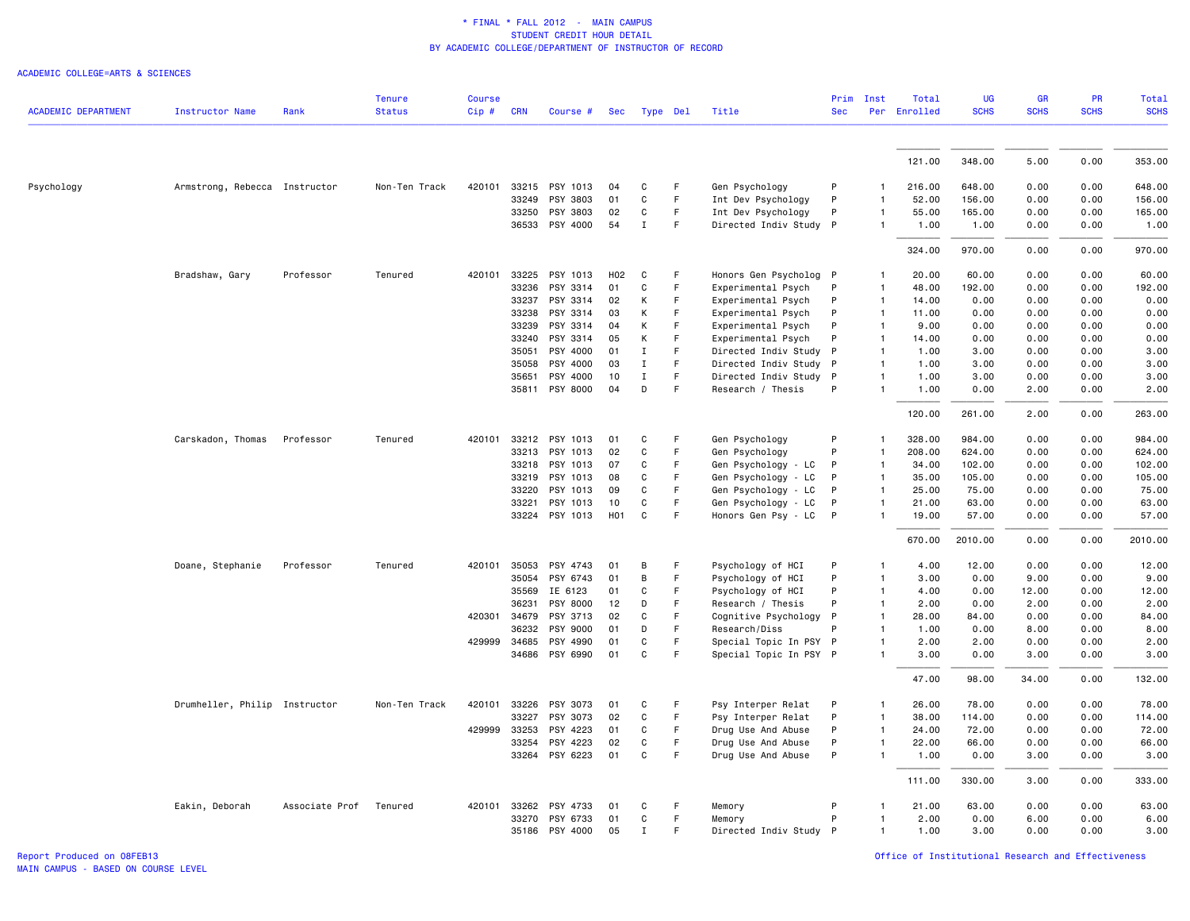ACADEMIC COLLEGE=ARTS & SCIENCES

| <b>ACADEMIC DEPARTMENT</b><br><b>Status</b><br>Per Enrolled<br><b>Instructor Name</b><br>Rank<br>$Cip \#$<br><b>CRN</b><br>Type Del<br>Title<br><b>Sec</b><br>Course #<br>Sec<br>121.00<br>33215 PSY 1013<br>Psychology<br>Armstrong, Rebecca Instructor<br>Non-Ten Track<br>420101<br>C<br>F<br>Gen Psychology<br>P<br>216.00<br>04<br>33249<br>PSY 3803<br>$\mathtt{C}$<br>$\mathsf F$<br>Int Dev Psychology<br>P<br>52.00<br>01<br>1<br>33250<br>PSY 3803<br>02<br>$\mathtt{C}$<br>F<br>Int Dev Psychology<br>P<br>55.00<br>1<br>36533 PSY 4000<br>54<br>$\mathbf{I}$<br>F<br>Directed Indiv Study P<br>1.00<br>1<br>324.00<br>33225<br>20.00<br>Professor<br>420101<br>PSY 1013<br>H <sub>02</sub><br>C<br>F<br>Honors Gen Psycholog P<br>Bradshaw, Gary<br>Tenured<br>1<br>33236<br>PSY 3314<br>C<br>$\mathsf F$<br>48.00<br>192.00<br>01<br>Experimental Psych<br>P<br>$\mathbf{1}$<br>33237<br>PSY 3314<br>K<br>F<br>P<br>02<br>Experimental Psych<br>$\mathbf{1}$<br>14.00 | <b>SCHS</b><br><b>SCHS</b><br>348.00<br>5.00<br>648.00<br>0.00<br>156.00<br>0.00<br>165.00<br>0.00<br>1.00<br>0.00<br>970.00<br>0.00<br>0.00<br>60.00<br>0.00 | <b>SCHS</b><br><b>SCHS</b><br>0.00<br>353.00<br>648.00<br>0.00<br>0.00<br>156.00<br>0.00<br>165.00<br>0.00<br>1.00<br>0.00<br>970.00<br>0.00<br>60.00 |
|------------------------------------------------------------------------------------------------------------------------------------------------------------------------------------------------------------------------------------------------------------------------------------------------------------------------------------------------------------------------------------------------------------------------------------------------------------------------------------------------------------------------------------------------------------------------------------------------------------------------------------------------------------------------------------------------------------------------------------------------------------------------------------------------------------------------------------------------------------------------------------------------------------------------------------------------------------------------------------|---------------------------------------------------------------------------------------------------------------------------------------------------------------|-------------------------------------------------------------------------------------------------------------------------------------------------------|
|                                                                                                                                                                                                                                                                                                                                                                                                                                                                                                                                                                                                                                                                                                                                                                                                                                                                                                                                                                                    |                                                                                                                                                               |                                                                                                                                                       |
|                                                                                                                                                                                                                                                                                                                                                                                                                                                                                                                                                                                                                                                                                                                                                                                                                                                                                                                                                                                    |                                                                                                                                                               |                                                                                                                                                       |
|                                                                                                                                                                                                                                                                                                                                                                                                                                                                                                                                                                                                                                                                                                                                                                                                                                                                                                                                                                                    |                                                                                                                                                               |                                                                                                                                                       |
|                                                                                                                                                                                                                                                                                                                                                                                                                                                                                                                                                                                                                                                                                                                                                                                                                                                                                                                                                                                    |                                                                                                                                                               |                                                                                                                                                       |
|                                                                                                                                                                                                                                                                                                                                                                                                                                                                                                                                                                                                                                                                                                                                                                                                                                                                                                                                                                                    |                                                                                                                                                               |                                                                                                                                                       |
|                                                                                                                                                                                                                                                                                                                                                                                                                                                                                                                                                                                                                                                                                                                                                                                                                                                                                                                                                                                    |                                                                                                                                                               |                                                                                                                                                       |
|                                                                                                                                                                                                                                                                                                                                                                                                                                                                                                                                                                                                                                                                                                                                                                                                                                                                                                                                                                                    |                                                                                                                                                               |                                                                                                                                                       |
|                                                                                                                                                                                                                                                                                                                                                                                                                                                                                                                                                                                                                                                                                                                                                                                                                                                                                                                                                                                    |                                                                                                                                                               |                                                                                                                                                       |
|                                                                                                                                                                                                                                                                                                                                                                                                                                                                                                                                                                                                                                                                                                                                                                                                                                                                                                                                                                                    |                                                                                                                                                               |                                                                                                                                                       |
|                                                                                                                                                                                                                                                                                                                                                                                                                                                                                                                                                                                                                                                                                                                                                                                                                                                                                                                                                                                    |                                                                                                                                                               | 0.00<br>192.00                                                                                                                                        |
|                                                                                                                                                                                                                                                                                                                                                                                                                                                                                                                                                                                                                                                                                                                                                                                                                                                                                                                                                                                    | 0.00<br>0.00                                                                                                                                                  | 0.00<br>0.00                                                                                                                                          |
| F<br>33238<br>PSY 3314<br>03<br>Κ<br>P<br>11.00<br>Experimental Psych<br>1                                                                                                                                                                                                                                                                                                                                                                                                                                                                                                                                                                                                                                                                                                                                                                                                                                                                                                         | 0.00<br>0.00                                                                                                                                                  | 0.00<br>0.00                                                                                                                                          |
| K<br>F<br>33239<br>PSY 3314<br>Experimental Psych<br>9.00<br>04<br>P<br>1                                                                                                                                                                                                                                                                                                                                                                                                                                                                                                                                                                                                                                                                                                                                                                                                                                                                                                          | 0.00<br>0.00                                                                                                                                                  | 0.00<br>0.00                                                                                                                                          |
| K<br>$\mathsf F$<br>33240<br>PSY 3314<br>05<br>Experimental Psych<br>P<br>14.00<br>1                                                                                                                                                                                                                                                                                                                                                                                                                                                                                                                                                                                                                                                                                                                                                                                                                                                                                               | 0.00<br>0.00                                                                                                                                                  | 0.00<br>0.00                                                                                                                                          |
| 35051<br>PSY 4000<br>F<br>Directed Indiv Study P<br>01<br>Ι.<br>1.00<br>$\mathbf{1}$                                                                                                                                                                                                                                                                                                                                                                                                                                                                                                                                                                                                                                                                                                                                                                                                                                                                                               | 3.00<br>0.00                                                                                                                                                  | 0.00<br>3.00                                                                                                                                          |
| 35058<br>PSY 4000<br>$\mathbf I$<br>F<br>Directed Indiv Study P<br>03<br>1.00                                                                                                                                                                                                                                                                                                                                                                                                                                                                                                                                                                                                                                                                                                                                                                                                                                                                                                      | 3.00<br>0.00                                                                                                                                                  | 0.00<br>3.00                                                                                                                                          |
| $\mathsf F$<br>35651<br>PSY 4000<br>10<br>$\mathbf I$<br>Directed Indiv Study P<br>1.00<br>1<br>PSY 8000<br>D<br>F<br>35811<br>04<br>Research / Thesis<br>P<br>1<br>1.00                                                                                                                                                                                                                                                                                                                                                                                                                                                                                                                                                                                                                                                                                                                                                                                                           | 3.00<br>0.00<br>0.00<br>2.00                                                                                                                                  | 0.00<br>3.00<br>0.00<br>2.00                                                                                                                          |
|                                                                                                                                                                                                                                                                                                                                                                                                                                                                                                                                                                                                                                                                                                                                                                                                                                                                                                                                                                                    |                                                                                                                                                               |                                                                                                                                                       |
| 120.00                                                                                                                                                                                                                                                                                                                                                                                                                                                                                                                                                                                                                                                                                                                                                                                                                                                                                                                                                                             | 261.00<br>2.00                                                                                                                                                | 263.00<br>0.00                                                                                                                                        |
| 33212<br>F<br>328.00<br>Carskadon, Thomas<br>Professor<br>Tenured<br>420101<br>PSY 1013<br>01<br>C<br>Gen Psychology<br>P<br>1                                                                                                                                                                                                                                                                                                                                                                                                                                                                                                                                                                                                                                                                                                                                                                                                                                                     | 984.00<br>0.00                                                                                                                                                | 0.00<br>984.00                                                                                                                                        |
| 33213<br>PSY 1013<br>02<br>C<br>F<br>Gen Psychology<br>P<br>208.00<br>$\mathbf{1}$                                                                                                                                                                                                                                                                                                                                                                                                                                                                                                                                                                                                                                                                                                                                                                                                                                                                                                 | 624.00<br>0.00                                                                                                                                                | 0.00<br>624.00                                                                                                                                        |
| 33218<br>PSY 1013<br>07<br>C<br>F<br>Gen Psychology - LC<br>P<br>34.00<br>1                                                                                                                                                                                                                                                                                                                                                                                                                                                                                                                                                                                                                                                                                                                                                                                                                                                                                                        | 102.00<br>0.00                                                                                                                                                | 102.00<br>0.00                                                                                                                                        |
| F<br>33219<br>PSY 1013<br>08<br>C<br>Gen Psychology - LC<br>P<br>35.00<br>1                                                                                                                                                                                                                                                                                                                                                                                                                                                                                                                                                                                                                                                                                                                                                                                                                                                                                                        | 105.00<br>0.00                                                                                                                                                | 105.00<br>0.00                                                                                                                                        |
| 33220<br>PSY 1013<br>C<br>F<br>Gen Psychology - LC<br>25.00<br>09<br>P<br>1                                                                                                                                                                                                                                                                                                                                                                                                                                                                                                                                                                                                                                                                                                                                                                                                                                                                                                        | 75.00<br>0.00                                                                                                                                                 | 0.00<br>75.00                                                                                                                                         |
| 33221<br>PSY 1013<br>10<br>C<br>F<br>Gen Psychology - LC<br>21.00<br>P<br>1                                                                                                                                                                                                                                                                                                                                                                                                                                                                                                                                                                                                                                                                                                                                                                                                                                                                                                        | 63.00<br>0.00                                                                                                                                                 | 0.00<br>63.00                                                                                                                                         |
| 33224 PSY 1013<br>H <sub>0</sub> 1<br>C<br>F<br>Honors Gen Psy - LC<br>$\mathsf{P}$<br>19.00                                                                                                                                                                                                                                                                                                                                                                                                                                                                                                                                                                                                                                                                                                                                                                                                                                                                                       | 0.00<br>57.00                                                                                                                                                 | 0.00<br>57.00                                                                                                                                         |
| 670.00<br>2010.00                                                                                                                                                                                                                                                                                                                                                                                                                                                                                                                                                                                                                                                                                                                                                                                                                                                                                                                                                                  | 0.00                                                                                                                                                          | 0.00<br>2010.00                                                                                                                                       |
| 420101<br>35053<br>PSY 4743<br>Psychology of HCI<br>4.00<br>Doane, Stephanie<br>Professor<br>Tenured<br>01<br>B<br>F<br>P<br>1                                                                                                                                                                                                                                                                                                                                                                                                                                                                                                                                                                                                                                                                                                                                                                                                                                                     | 12.00<br>0.00                                                                                                                                                 | 0.00<br>12.00                                                                                                                                         |
| F<br>3.00<br>35054<br>PSY 6743<br>01<br>B<br>Psychology of HCI<br>P<br>1                                                                                                                                                                                                                                                                                                                                                                                                                                                                                                                                                                                                                                                                                                                                                                                                                                                                                                           | 0.00<br>9.00                                                                                                                                                  | 0.00<br>9.00                                                                                                                                          |
| 35569<br>IE 6123<br>01<br>C<br>E<br>Psychology of HCI<br>P<br>4.00<br>$\mathbf{1}$                                                                                                                                                                                                                                                                                                                                                                                                                                                                                                                                                                                                                                                                                                                                                                                                                                                                                                 | 0.00<br>12.00                                                                                                                                                 | 0.00<br>12.00                                                                                                                                         |
| 36231<br>PSY 8000<br>12<br>D<br>F<br>Research / Thesis<br>P<br>2.00<br>1                                                                                                                                                                                                                                                                                                                                                                                                                                                                                                                                                                                                                                                                                                                                                                                                                                                                                                           | 0.00<br>2.00                                                                                                                                                  | 2.00<br>0.00                                                                                                                                          |
| 420301<br>34679<br>PSY 3713<br>02<br>C<br>F<br>Cognitive Psychology<br>$\mathsf{P}$<br>28.00<br>1                                                                                                                                                                                                                                                                                                                                                                                                                                                                                                                                                                                                                                                                                                                                                                                                                                                                                  | 84.00<br>0.00                                                                                                                                                 | 0.00<br>84.00                                                                                                                                         |
| 36232<br>PSY 9000<br>01<br>D<br>F<br>Research/Diss<br>1.00<br>P<br>1                                                                                                                                                                                                                                                                                                                                                                                                                                                                                                                                                                                                                                                                                                                                                                                                                                                                                                               | 0.00<br>8,00                                                                                                                                                  | 0.00<br>8.00                                                                                                                                          |
| 34685<br>PSY 4990<br>$\mathtt{C}$<br>F<br>429999<br>01<br>Special Topic In PSY P<br>2.00<br>1                                                                                                                                                                                                                                                                                                                                                                                                                                                                                                                                                                                                                                                                                                                                                                                                                                                                                      | 2.00<br>0.00                                                                                                                                                  | 0.00<br>2.00                                                                                                                                          |
| 34686<br>PSY 6990<br>01<br>C<br>F<br>Special Topic In PSY P<br>3.00                                                                                                                                                                                                                                                                                                                                                                                                                                                                                                                                                                                                                                                                                                                                                                                                                                                                                                                | 0.00<br>3.00                                                                                                                                                  | 0.00<br>3.00                                                                                                                                          |
| 47.00                                                                                                                                                                                                                                                                                                                                                                                                                                                                                                                                                                                                                                                                                                                                                                                                                                                                                                                                                                              | 98.00<br>34.00                                                                                                                                                | 132.00<br>0.00                                                                                                                                        |
| Drumheller, Philip Instructor<br>420101<br>33226<br>PSY 3073<br>C<br>F<br>Psy Interper Relat<br>26.00<br>Non-Ten Track<br>01<br>P<br>1                                                                                                                                                                                                                                                                                                                                                                                                                                                                                                                                                                                                                                                                                                                                                                                                                                             | 78.00<br>0.00                                                                                                                                                 | 0.00<br>78.00                                                                                                                                         |
| 33227<br>$\mathsf F$<br>PSY 3073<br>02<br>C<br>Psy Interper Relat<br>P<br>38.00<br>1                                                                                                                                                                                                                                                                                                                                                                                                                                                                                                                                                                                                                                                                                                                                                                                                                                                                                               | 114.00<br>0.00                                                                                                                                                | 0.00<br>114.00                                                                                                                                        |
| 429999<br>33253<br>PSY 4223<br>$\mathtt{C}$<br>F<br>P<br>24.00<br>01<br>Drug Use And Abuse<br>1                                                                                                                                                                                                                                                                                                                                                                                                                                                                                                                                                                                                                                                                                                                                                                                                                                                                                    | 72.00<br>0.00                                                                                                                                                 | 0.00<br>72.00                                                                                                                                         |
| 33254<br>PSY 4223<br>$\mathsf{C}$<br>$\mathsf F$<br>P<br>22.00<br>02<br>Drug Use And Abuse<br>1                                                                                                                                                                                                                                                                                                                                                                                                                                                                                                                                                                                                                                                                                                                                                                                                                                                                                    | 66.00<br>0.00                                                                                                                                                 | 66.00<br>0.00                                                                                                                                         |
| $\mathsf{C}$<br>F<br>33264<br>PSY 6223<br>01<br>P<br>Drug Use And Abuse<br>1.00                                                                                                                                                                                                                                                                                                                                                                                                                                                                                                                                                                                                                                                                                                                                                                                                                                                                                                    | 0.00<br>3.00                                                                                                                                                  | 0.00<br>3.00                                                                                                                                          |
| 111.00                                                                                                                                                                                                                                                                                                                                                                                                                                                                                                                                                                                                                                                                                                                                                                                                                                                                                                                                                                             | 330.00<br>3.00                                                                                                                                                | 0.00<br>333.00                                                                                                                                        |
| 33262<br>21.00<br>Eakin, Deborah<br>Associate Prof<br>Tenured<br>420101<br>PSY 4733<br>01<br>C<br>F<br>Memory<br>P                                                                                                                                                                                                                                                                                                                                                                                                                                                                                                                                                                                                                                                                                                                                                                                                                                                                 | 63.00<br>0.00                                                                                                                                                 | 0.00<br>63.00                                                                                                                                         |
| 33270<br>01<br>C<br>F<br>2.00<br>PSY 6733<br>Memory<br>1                                                                                                                                                                                                                                                                                                                                                                                                                                                                                                                                                                                                                                                                                                                                                                                                                                                                                                                           | 0.00<br>6.00                                                                                                                                                  | 0.00<br>6.00                                                                                                                                          |
| F<br>1.00<br>35186<br>PSY 4000<br>05<br>Ι.<br>Directed Indiv Study P                                                                                                                                                                                                                                                                                                                                                                                                                                                                                                                                                                                                                                                                                                                                                                                                                                                                                                               | 3.00<br>0.00                                                                                                                                                  | 0.00<br>3.00                                                                                                                                          |

Report Produced on 08FEB13 Office of Institutional Research and Effectiveness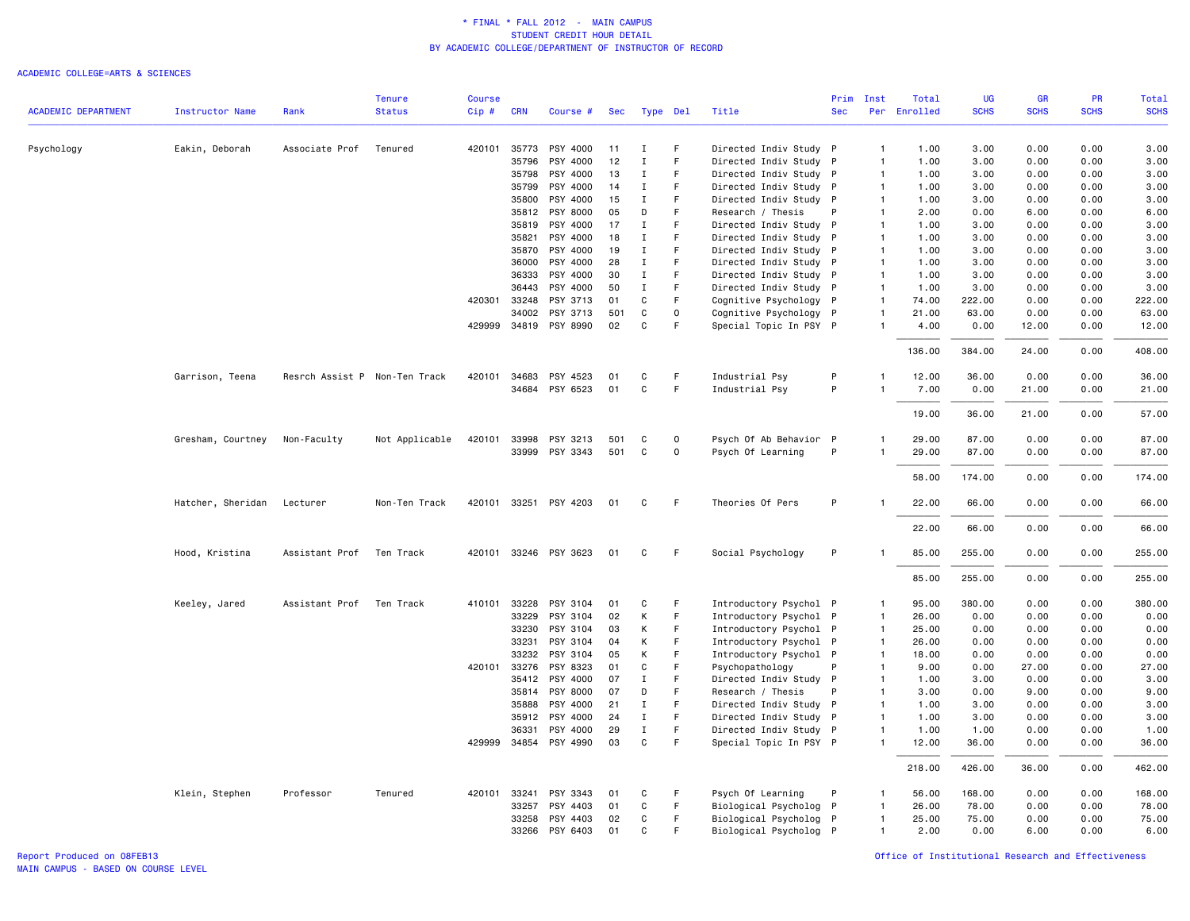|                            |                        |                | <b>Tenure</b>                 | Course |                       |                       |            |                  |             |                                                  | Prim       | Inst                         | Total         | <b>UG</b>     | <b>GR</b>    | PR           | Total         |
|----------------------------|------------------------|----------------|-------------------------------|--------|-----------------------|-----------------------|------------|------------------|-------------|--------------------------------------------------|------------|------------------------------|---------------|---------------|--------------|--------------|---------------|
| <b>ACADEMIC DEPARTMENT</b> | <b>Instructor Name</b> | Rank           | <b>Status</b>                 | Cip#   | <b>CRN</b>            | Course #              | <b>Sec</b> |                  | Type Del    | Title                                            | <b>Sec</b> |                              | Per Enrolled  | <b>SCHS</b>   | <b>SCHS</b>  | <b>SCHS</b>  | <b>SCHS</b>   |
| Psychology                 | Eakin, Deborah         | Associate Prof | Tenured                       |        | 420101 35773          | PSY 4000              | 11         | Ι.               | F.          | Directed Indiv Study P                           |            | $\overline{1}$               | 1.00          | 3.00          | 0.00         | 0.00         | 3.00          |
|                            |                        |                |                               |        | 35796                 | PSY 4000              | 12         | Ι                | F           | Directed Indiv Study P                           |            | $\mathbf{1}$                 | 1.00          | 3.00          | 0.00         | 0.00         | 3.00          |
|                            |                        |                |                               |        | 35798                 | PSY 4000              | 13         | $\mathbf I$      | F           | Directed Indiv Study P                           |            | $\mathbf{1}$                 | 1.00          | 3.00          | 0.00         | 0.00         | 3.00          |
|                            |                        |                |                               |        | 35799                 | PSY 4000              | 14         | $\mathbf I$      | F.          | Directed Indiv Study P                           |            | $\mathbf{1}$                 | 1.00          | 3.00          | 0.00         | 0.00         | 3.00          |
|                            |                        |                |                               |        | 35800                 | PSY 4000              | 15         | $\mathbf I$      | F           | Directed Indiv Study P                           |            | $\overline{1}$               | 1.00          | 3.00          | 0.00         | 0.00         | 3.00          |
|                            |                        |                |                               |        | 35812                 | PSY 8000              | 05         | D                | F           | Research / Thesis                                | P          | $\mathbf{1}$                 | 2.00          | 0.00          | 6.00         | 0.00         | 6.00          |
|                            |                        |                |                               |        | 35819                 | PSY 4000              | 17         | $\mathbf I$      | F           | Directed Indiv Study P                           |            | $\mathbf{1}$                 | 1.00          | 3.00          | 0.00         | 0.00         | 3.00          |
|                            |                        |                |                               |        | 35821                 | PSY 4000              | 18         | $\mathbf I$      | F.          | Directed Indiv Study P                           |            | $\mathbf{1}$                 | 1.00          | 3.00          | 0.00         | 0.00         | 3.00          |
|                            |                        |                |                               |        | 35870                 | PSY 4000              | 19         | $\mathbf{I}$     | F           | Directed Indiv Study P                           |            | $\mathbf{1}$                 | 1.00          | 3.00          | 0.00         | 0.00         | 3.00          |
|                            |                        |                |                               |        | 36000                 | PSY 4000              | 28         | $\mathbf I$      | F           | Directed Indiv Study P                           |            | $\mathbf{1}$                 | 1.00          | 3.00          | 0.00         | 0.00         | 3.00          |
|                            |                        |                |                               |        | 36333                 | PSY 4000              | 30         | $\mathbf I$      | F           | Directed Indiv Study P                           |            | $\mathbf{1}$                 | 1.00          | 3.00          | 0.00         | 0.00         | 3.00          |
|                            |                        |                |                               |        | 36443                 | PSY 4000              | 50         | $\mathbf I$      | F           | Directed Indiv Study P                           |            | $\mathbf{1}$                 | 1.00          | 3.00          | 0.00         | 0.00         | 3.00          |
|                            |                        |                |                               | 420301 | 33248                 | PSY 3713              | 01         | C                | F           | Cognitive Psychology P                           |            | $\mathbf{1}$                 | 74.00         | 222.00        | 0.00         | 0.00         | 222.00        |
|                            |                        |                |                               |        | 34002                 | PSY 3713              | 501        | C                | $\mathbf 0$ | Cognitive Psychology P                           |            | $\mathbf{1}$                 | 21.00         | 63.00         | 0.00         | 0.00         | 63.00         |
|                            |                        |                |                               |        |                       | 429999 34819 PSY 8990 | 02         | C                | F           | Special Topic In PSY P                           |            | $\mathbf{1}$                 | 4.00          | 0.00          | 12.00        | 0.00         | 12.00         |
|                            |                        |                |                               |        |                       |                       |            |                  |             |                                                  |            |                              | 136.00        | 384.00        | 24.00        | 0.00         | 408.00        |
|                            | Garrison, Teena        |                | Resrch Assist P Non-Ten Track | 420101 | 34683                 | PSY 4523              | 01         | C                | F           | Industrial Psy                                   | P          | $\mathbf{1}$                 | 12.00         | 36.00         | 0.00         | 0.00         | 36.00         |
|                            |                        |                |                               |        | 34684                 | PSY 6523              | 01         | C                | F           | Industrial Psy                                   | P          | $\mathbf{1}$                 | 7.00          | 0.00          | 21.00        | 0.00         | 21.00         |
|                            |                        |                |                               |        |                       |                       |            |                  |             |                                                  |            |                              |               |               |              |              |               |
|                            |                        |                |                               |        |                       |                       |            |                  |             |                                                  |            |                              | 19.00         | 36.00         | 21.00        | 0.00         | 57.00         |
|                            | Gresham, Courtney      | Non-Faculty    | Not Applicable                | 420101 | 33998                 | PSY 3213              | 501        | C                | 0           | Psych Of Ab Behavior P                           |            | $\mathbf{1}$                 | 29.00         | 87.00         | 0.00         | 0.00         | 87.00         |
|                            |                        |                |                               |        |                       | 33999 PSY 3343        | 501        | $\mathtt{C}$     | $\mathbf 0$ | Psych Of Learning                                | P          | 1                            | 29.00         | 87.00         | 0.00         | 0.00         | 87.00         |
|                            |                        |                |                               |        |                       |                       |            |                  |             |                                                  |            |                              | 58.00         | 174.00        | 0.00         | 0.00         | 174.00        |
|                            | Hatcher, Sheridan      | Lecturer       | Non-Ten Track                 |        | 420101 33251          | PSY 4203              | 01         | C                | F.          | Theories Of Pers                                 | P          | $\mathbf{1}$                 | 22.00         | 66.00         | 0.00         | 0.00         | 66.00         |
|                            |                        |                |                               |        |                       |                       |            |                  |             |                                                  |            |                              | 22.00         | 66.00         | 0.00         | 0.00         | 66.00         |
|                            | Hood, Kristina         | Assistant Prof | Ten Track                     |        |                       | 420101 33246 PSY 3623 | 01         | C                | F           | Social Psychology                                | P          |                              | 85.00         | 255.00        | 0.00         | 0.00         | 255.00        |
|                            |                        |                |                               |        |                       |                       |            |                  |             |                                                  |            |                              | 85.00         | 255.00        | 0.00         | 0.00         | 255.00        |
|                            | Keeley, Jared          | Assistant Prof | Ten Track                     | 410101 | 33228                 | PSY 3104              | 01         | C                | F           | Introductory Psychol P                           |            | $\mathbf{1}$                 | 95.00         | 380.00        | 0.00         | 0.00         | 380.00        |
|                            |                        |                |                               |        | 33229                 | PSY 3104              | 02         | К                | F.          | Introductory Psychol P                           |            | $\mathbf{1}$                 | 26.00         | 0.00          | 0.00         | 0.00         | 0.00          |
|                            |                        |                |                               |        | 33230                 | PSY 3104              | 03         | К                | F           | Introductory Psychol P                           |            | $\overline{1}$               | 25.00         | 0.00          | 0.00         | 0.00         | 0.00          |
|                            |                        |                |                               |        | 33231                 | PSY 3104              | 04         | К                | F           | Introductory Psychol P                           |            | $\mathbf{1}$                 | 26.00         | 0.00          | 0.00         | 0.00         | 0.00          |
|                            |                        |                |                               |        | 33232                 | PSY 3104              | 05         | К                | F           | Introductory Psychol P                           |            | $\mathbf{1}$                 | 18.00         | 0.00          | 0.00         | 0.00         | 0.00          |
|                            |                        |                |                               |        | 420101 33276          | PSY 8323              | 01         | $\mathtt{C}$     | F           | Psychopathology                                  | P          | 1                            | 9.00          | 0.00          | 27.00        | 0.00         | 27.00         |
|                            |                        |                |                               |        | 35412                 | PSY 4000              | 07         | $\mathbf I$      | F           | Directed Indiv Study P                           |            | $\mathbf{1}$                 | 1.00          | 3.00          | 0.00         | 0.00         | 3.00          |
|                            |                        |                |                               |        | 35814                 | PSY 8000              | 07         | D                | F           | Research / Thesis                                | P          | $\mathbf{1}$                 | 3.00          | 0.00          | 9.00         | 0.00         | 9.00          |
|                            |                        |                |                               |        | 35888                 | PSY 4000              | 21         | $\mathbf I$      | F           | Directed Indiv Study P                           |            | $\mathbf{1}$                 | 1.00          | 3.00          | 0.00         | 0.00         | 3.00          |
|                            |                        |                |                               |        | 35912                 | PSY 4000              | 24         | $\mathbf I$      | F           | Directed Indiv Study P                           |            | $\overline{1}$               | 1.00          | 3.00          | 0.00         | 0.00         | 3.00          |
|                            |                        |                |                               |        | 36331<br>429999 34854 | PSY 4000<br>PSY 4990  | 29<br>03   | $\mathbf I$<br>C | F.<br>F     | Directed Indiv Study P<br>Special Topic In PSY P |            | $\mathbf{1}$<br>$\mathbf{1}$ | 1.00<br>12.00 | 1.00<br>36.00 | 0.00<br>0.00 | 0.00<br>0.00 | 1.00<br>36.00 |
|                            |                        |                |                               |        |                       |                       |            |                  |             |                                                  |            |                              | 218.00        | 426.00        | 36.00        | 0.00         | 462.00        |
|                            |                        |                |                               |        |                       |                       |            |                  |             |                                                  |            |                              |               |               |              |              |               |
|                            | Klein, Stephen         | Professor      | Tenured                       |        | 420101 33241          | PSY 3343              | 01         | C                | F           | Psych Of Learning                                | P          | $\mathbf{1}$                 | 56.00         | 168.00        | 0.00         | 0.00         | 168.00        |
|                            |                        |                |                               |        | 33257                 | PSY 4403              | 01         | C                | F.<br>F     | Biological Psycholog P                           |            | $\mathbf{1}$<br>$\mathbf{1}$ | 26.00         | 78.00         | 0.00         | 0.00         | 78.00         |
|                            |                        |                |                               |        | 33258                 | PSY 4403              | 02         | C                | F           | Biological Psycholog P                           |            |                              | 25.00         | 75.00         | 0.00         | 0.00         | 75.00         |
|                            |                        |                |                               |        | 33266                 | PSY 6403              | 01         | $\mathbf c$      |             | Biological Psycholog P                           |            | $\mathbf{1}$                 | 2.00          | 0.00          | 6.00         | 0.00         | 6.00          |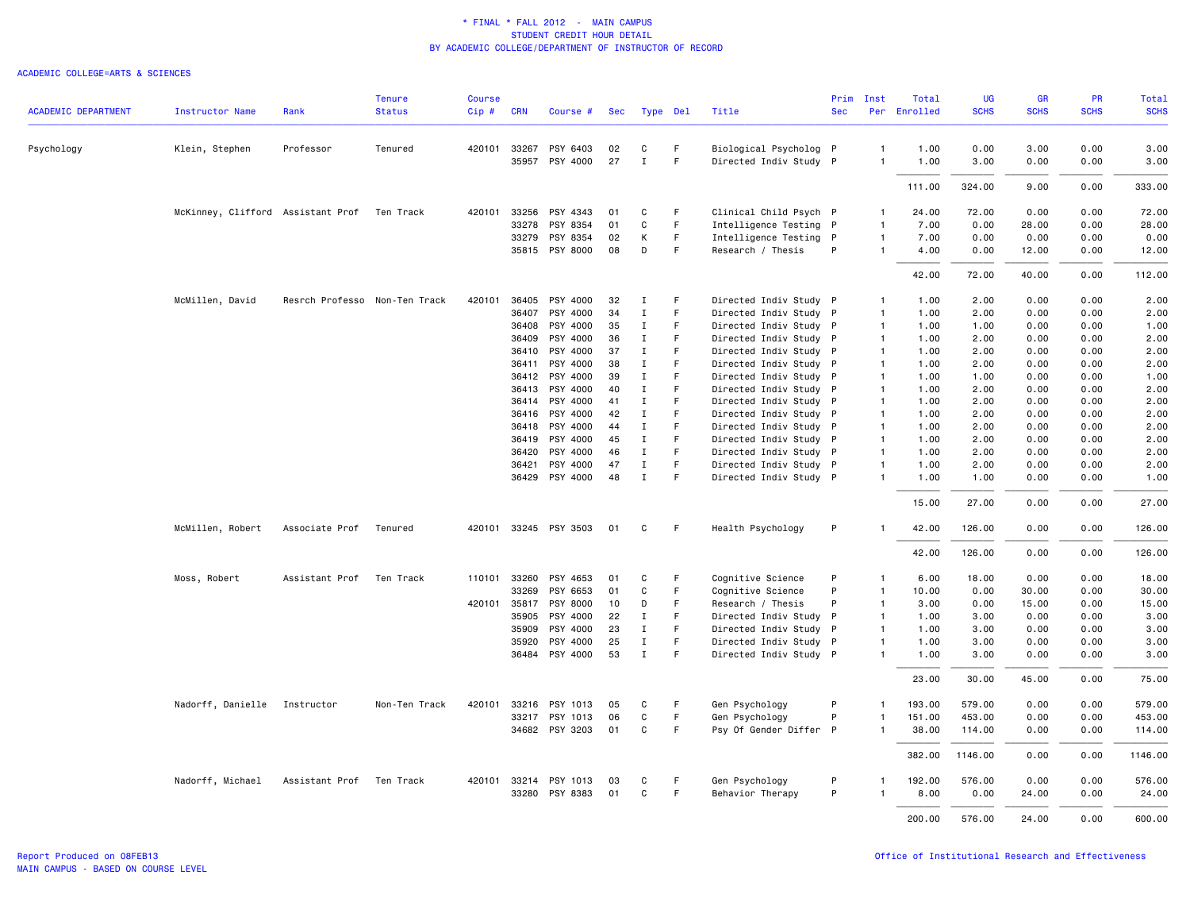|                            |                                             |                               | <b>Tenure</b> | Course  |              |                       |     |              |    |                        | Prim       | Inst           | Total        | UG          | <b>GR</b>   | <b>PR</b>   | Total       |
|----------------------------|---------------------------------------------|-------------------------------|---------------|---------|--------------|-----------------------|-----|--------------|----|------------------------|------------|----------------|--------------|-------------|-------------|-------------|-------------|
| <b>ACADEMIC DEPARTMENT</b> | <b>Instructor Name</b>                      | Rank                          | <b>Status</b> | $Cip$ # | <b>CRN</b>   | Course #              | Sec | Type Del     |    | Title                  | <b>Sec</b> |                | Per Enrolled | <b>SCHS</b> | <b>SCHS</b> | <b>SCHS</b> | <b>SCHS</b> |
| Psychology                 | Klein, Stephen                              | Professor                     | Tenured       |         | 420101 33267 | PSY 6403              | 02  | С            | F  | Biological Psycholog P |            | $\overline{1}$ | 1.00         | 0.00        | 3.00        | 0.00        | 3.00        |
|                            |                                             |                               |               |         | 35957        | PSY 4000              | 27  | $\mathbf{I}$ | F. | Directed Indiv Study P |            | $\overline{1}$ | 1.00         | 3.00        | 0.00        | 0.00        | 3.00        |
|                            |                                             |                               |               |         |              |                       |     |              |    |                        |            |                | 111.00       | 324.00      | 9.00        | 0.00        | 333.00      |
|                            | McKinney, Clifford Assistant Prof Ten Track |                               |               |         |              | 420101 33256 PSY 4343 | 01  | C            | F  | Clinical Child Psych P |            | $\mathbf{1}$   | 24.00        | 72.00       | 0.00        | 0.00        | 72.00       |
|                            |                                             |                               |               |         | 33278        | PSY 8354              | 01  | С            | F. | Intelligence Testing P |            | $\overline{1}$ | 7.00         | 0.00        | 28.00       | 0.00        | 28.00       |
|                            |                                             |                               |               |         | 33279        | PSY 8354              | 02  | К            | F  | Intelligence Testing P |            | $\mathbf{1}$   | 7.00         | 0.00        | 0.00        | 0.00        | 0.00        |
|                            |                                             |                               |               |         |              | 35815 PSY 8000        | 08  | D            | F. | Research / Thesis      | P          | $\mathbf{1}$   | 4.00         | 0.00        | 12.00       | 0.00        | 12.00       |
|                            |                                             |                               |               |         |              |                       |     |              |    |                        |            |                | 42.00        | 72.00       | 40.00       | 0.00        | 112.00      |
|                            | McMillen, David                             | Resrch Professo Non-Ten Track |               | 420101  | 36405        | PSY 4000              | 32  | п.           | F  | Directed Indiv Study P |            | $\overline{1}$ | 1.00         | 2.00        | 0.00        | 0.00        | 2.00        |
|                            |                                             |                               |               |         | 36407        | PSY 4000              | 34  | Ι.           | F. | Directed Indiv Study P |            | $\overline{1}$ | 1.00         | 2.00        | 0.00        | 0.00        | 2.00        |
|                            |                                             |                               |               |         | 36408        | PSY 4000              | 35  | $\mathbf{I}$ | F. | Directed Indiv Study P |            | $\mathbf{1}$   | 1.00         | 1.00        | 0.00        | 0.00        | 1.00        |
|                            |                                             |                               |               |         | 36409        | PSY 4000              | 36  | $\mathbf I$  | F  | Directed Indiv Study P |            | $\mathbf{1}$   | 1.00         | 2.00        | 0.00        | 0.00        | 2.00        |
|                            |                                             |                               |               |         | 36410        | PSY 4000              | 37  | Ι.           | F  | Directed Indiv Study P |            | $\mathbf{1}$   | 1.00         | 2.00        | 0.00        | 0.00        | 2.00        |
|                            |                                             |                               |               |         | 36411        | PSY 4000              | 38  | $\mathbf I$  | F  | Directed Indiv Study P |            | $\mathbf{1}$   | 1.00         | 2.00        | 0.00        | 0.00        | 2.00        |
|                            |                                             |                               |               |         |              | 36412 PSY 4000        | 39  | $\mathbf{I}$ | E  | Directed Indiv Study P |            | $\mathbf{1}$   | 1.00         | 1.00        | 0.00        | 0.00        | 1.00        |
|                            |                                             |                               |               |         | 36413        | PSY 4000              | 40  | Ι.           | F  | Directed Indiv Study P |            | $\mathbf{1}$   | 1.00         | 2.00        | 0.00        | 0.00        | 2.00        |
|                            |                                             |                               |               |         | 36414        | PSY 4000              | 41  | $\mathbf{I}$ | F  | Directed Indiv Study P |            | $\mathbf{1}$   | 1.00         | 2.00        | 0.00        | 0.00        | 2.00        |
|                            |                                             |                               |               |         | 36416        | PSY 4000              | 42  | $\mathbf{I}$ | F. | Directed Indiv Study P |            | $\mathbf{1}$   | 1.00         | 2.00        | 0.00        | 0.00        | 2.00        |
|                            |                                             |                               |               |         | 36418        | PSY 4000              | 44  | $\mathbf I$  | F  | Directed Indiv Study P |            | $\mathbf{1}$   | 1.00         | 2.00        | 0.00        | 0.00        | 2.00        |
|                            |                                             |                               |               |         | 36419        | PSY 4000              | 45  | $\mathbf I$  | F. | Directed Indiv Study P |            | $\mathbf{1}$   | 1.00         | 2.00        | 0.00        | 0.00        | 2.00        |
|                            |                                             |                               |               |         | 36420        | PSY 4000              | 46  | $\mathbf{I}$ | F  | Directed Indiv Study P |            | $\mathbf{1}$   | 1.00         | 2.00        | 0.00        | 0.00        | 2.00        |
|                            |                                             |                               |               |         | 36421        | PSY 4000              | 47  | $\mathbf I$  | F  | Directed Indiv Study P |            | $\overline{1}$ | 1.00         | 2.00        | 0.00        | 0.00        | 2.00        |
|                            |                                             |                               |               |         |              | 36429 PSY 4000        | 48  | $\mathbf I$  | F  | Directed Indiv Study P |            | $\mathbf{1}$   | 1.00         | 1.00        | 0.00        | 0.00        | 1.00        |
|                            |                                             |                               |               |         |              |                       |     |              |    |                        |            |                | 15.00        | 27.00       | 0.00        | 0.00        | 27.00       |
|                            | McMillen, Robert                            | Associate Prof                | Tenured       |         |              | 420101 33245 PSY 3503 | 01  | C            | F  | Health Psychology      | P          | $\overline{1}$ | 42.00        | 126.00      | 0.00        | 0.00        | 126.00      |
|                            |                                             |                               |               |         |              |                       |     |              |    |                        |            |                | 42.00        | 126.00      | 0.00        | 0.00        | 126.00      |
|                            | Moss, Robert                                | Assistant Prof                | Ten Track     | 110101  | 33260        | PSY 4653              | 01  | C            | F  | Cognitive Science      | P          | $\overline{1}$ | 6.00         | 18.00       | 0.00        | 0.00        | 18.00       |
|                            |                                             |                               |               |         | 33269        | PSY 6653              | 01  | C            | F  | Cognitive Science      | P          | $\overline{1}$ | 10.00        | 0.00        | 30.00       | 0.00        | 30.00       |
|                            |                                             |                               |               |         | 420101 35817 | PSY 8000              | 10  | D            | F  | Research / Thesis      | P          | $\mathbf{1}$   | 3.00         | 0.00        | 15.00       | 0.00        | 15.00       |
|                            |                                             |                               |               |         | 35905        | PSY 4000              | 22  | $\mathbf{I}$ | F  | Directed Indiv Study P |            | $\mathbf{1}$   | 1.00         | 3.00        | 0.00        | 0.00        | 3.00        |
|                            |                                             |                               |               |         | 35909        | PSY 4000              | 23  | Ι.           | F. | Directed Indiv Study P |            | $\mathbf{1}$   | 1.00         | 3.00        | 0.00        | 0.00        | 3.00        |
|                            |                                             |                               |               |         | 35920        | PSY 4000              | 25  | $\bf{I}$     | F  | Directed Indiv Study P |            | $\mathbf{1}$   | 1.00         | 3.00        | 0.00        | 0.00        | 3.00        |
|                            |                                             |                               |               |         |              | 36484 PSY 4000        | 53  | $\mathbf{I}$ | F. | Directed Indiv Study P |            | $\mathbf{1}$   | 1.00         | 3.00        | 0.00        | 0.00        | 3.00        |
|                            |                                             |                               |               |         |              |                       |     |              |    |                        |            |                | 23.00        | 30.00       | 45.00       | 0.00        | 75.00       |
|                            | Nadorff, Danielle                           | Instructor                    | Non-Ten Track | 420101  | 33216        | PSY 1013              | 05  | C            | F  | Gen Psychology         | P          | $\mathbf{1}$   | 193.00       | 579.00      | 0.00        | 0.00        | 579.00      |
|                            |                                             |                               |               |         | 33217        | PSY 1013              | 06  | C            | F. | Gen Psychology         | P          | $\overline{1}$ | 151.00       | 453.00      | 0.00        | 0.00        | 453.00      |
|                            |                                             |                               |               |         |              | 34682 PSY 3203        | 01  | C            | F. | Psy Of Gender Differ P |            | $\mathbf{1}$   | 38.00        | 114.00      | 0.00        | 0.00        | 114.00      |
|                            |                                             |                               |               |         |              |                       |     |              |    |                        |            |                | 382.00       | 1146.00     | 0.00        | 0.00        | 1146.00     |
|                            | Nadorff, Michael                            | Assistant Prof Ten Track      |               |         |              | 420101 33214 PSY 1013 | 03  | C            | F  | Gen Psychology         | P          | $\mathbf{1}$   | 192.00       | 576.00      | 0.00        | 0.00        | 576.00      |
|                            |                                             |                               |               |         | 33280        | PSY 8383              | 01  | C            | F  | Behavior Therapy       | P          |                | 8.00         | 0.00        | 24.00       | 0.00        | 24.00       |
|                            |                                             |                               |               |         |              |                       |     |              |    |                        |            |                | 200.00       | 576.00      | 24.00       | 0.00        | 600.00      |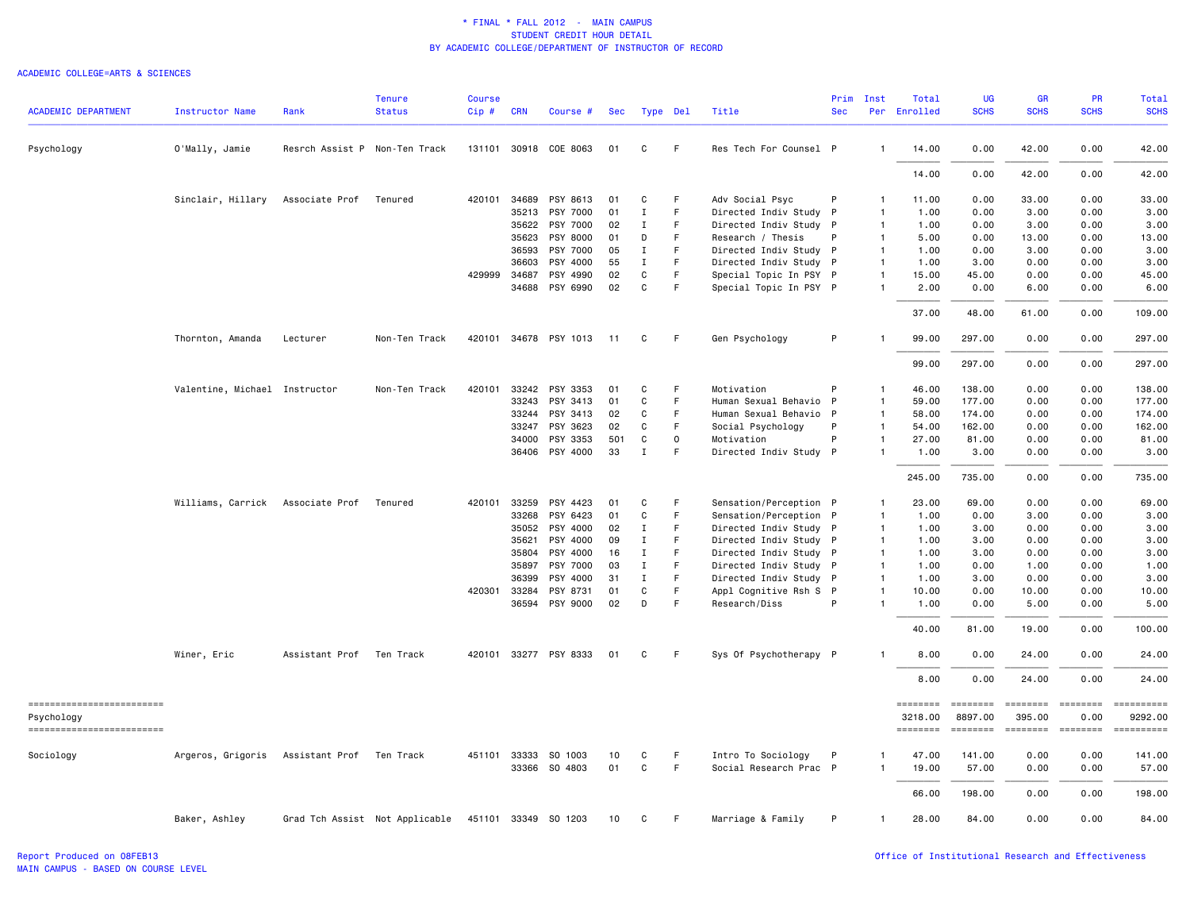|                                          |                               |                               | <b>Tenure</b>                  | <b>Course</b> |              |                       |     |              |              |                        | Prim         | Inst           | Total                      | <b>UG</b>           | <b>GR</b>              | <b>PR</b>                                                                                                                                                                                                                                                                                                                                                                                                                                                                                      | Total                      |
|------------------------------------------|-------------------------------|-------------------------------|--------------------------------|---------------|--------------|-----------------------|-----|--------------|--------------|------------------------|--------------|----------------|----------------------------|---------------------|------------------------|------------------------------------------------------------------------------------------------------------------------------------------------------------------------------------------------------------------------------------------------------------------------------------------------------------------------------------------------------------------------------------------------------------------------------------------------------------------------------------------------|----------------------------|
| <b>ACADEMIC DEPARTMENT</b>               | <b>Instructor Name</b>        | Rank                          | <b>Status</b>                  | $Cip$ #       | <b>CRN</b>   | Course #              | Sec | Type Del     |              | Title                  | <b>Sec</b>   |                | Per Enrolled               | <b>SCHS</b>         | <b>SCHS</b>            | <b>SCHS</b>                                                                                                                                                                                                                                                                                                                                                                                                                                                                                    | <b>SCHS</b>                |
| Psychology                               | O'Mally, Jamie                | Resrch Assist P Non-Ten Track |                                |               |              | 131101 30918 COE 8063 | 01  | C            | F            | Res Tech For Counsel P |              | $\overline{1}$ | 14.00                      | 0.00                | 42.00                  | 0.00                                                                                                                                                                                                                                                                                                                                                                                                                                                                                           | 42.00                      |
|                                          |                               |                               |                                |               |              |                       |     |              |              |                        |              |                | 14.00                      | 0.00                | 42.00                  | 0.00                                                                                                                                                                                                                                                                                                                                                                                                                                                                                           | 42.00                      |
|                                          | Sinclair, Hillary             | Associate Prof                | Tenured                        |               | 420101 34689 | PSY 8613              | 01  | C            | F            | Adv Social Psyc        | P            | -1             | 11.00                      | 0.00                | 33.00                  | 0.00                                                                                                                                                                                                                                                                                                                                                                                                                                                                                           | 33.00                      |
|                                          |                               |                               |                                |               | 35213        | PSY 7000              | 01  | $\;$ I       | $\mathsf F$  | Directed Indiv Study P |              | $\mathbf{1}$   | 1.00                       | 0.00                | 3.00                   | 0.00                                                                                                                                                                                                                                                                                                                                                                                                                                                                                           | 3.00                       |
|                                          |                               |                               |                                |               | 35622        | PSY 7000              | 02  | $\mathbf I$  | F            | Directed Indiv Study P |              | $\mathbf{1}$   | 1.00                       | 0.00                | 3.00                   | 0.00                                                                                                                                                                                                                                                                                                                                                                                                                                                                                           | 3.00                       |
|                                          |                               |                               |                                |               | 35623        | PSY 8000              | 01  | D            | F            | Research / Thesis      | P            | $\mathbf{1}$   | 5.00                       | 0.00                | 13.00                  | 0.00                                                                                                                                                                                                                                                                                                                                                                                                                                                                                           | 13.00                      |
|                                          |                               |                               |                                |               | 36593        | PSY 7000              | 05  | Ι.           | F            | Directed Indiv Study P |              | $\mathbf{1}$   | 1.00                       | 0.00                | 3.00                   | 0.00                                                                                                                                                                                                                                                                                                                                                                                                                                                                                           | 3.00                       |
|                                          |                               |                               |                                |               | 36603        | PSY 4000              | 55  | Ι.           | F.           | Directed Indiv Study P |              | $\overline{1}$ | 1.00                       | 3.00                | 0.00                   | 0.00                                                                                                                                                                                                                                                                                                                                                                                                                                                                                           | 3.00                       |
|                                          |                               |                               |                                |               | 429999 34687 | PSY 4990              | 02  | C            | $\mathsf F$  | Special Topic In PSY P |              | $\overline{1}$ | 15.00                      | 45.00               | 0.00                   | 0.00                                                                                                                                                                                                                                                                                                                                                                                                                                                                                           | 45.00                      |
|                                          |                               |                               |                                |               |              | 34688 PSY 6990        | 02  | $\mathtt{C}$ | F            | Special Topic In PSY P |              | $\mathbf{1}$   | 2.00                       | 0.00                | 6.00                   | 0.00                                                                                                                                                                                                                                                                                                                                                                                                                                                                                           | 6.00                       |
|                                          |                               |                               |                                |               |              |                       |     |              |              |                        |              |                | 37.00                      | 48.00               | 61.00                  | 0.00                                                                                                                                                                                                                                                                                                                                                                                                                                                                                           | 109.00                     |
|                                          | Thornton, Amanda              | Lecturer                      | Non-Ten Track                  |               |              | 420101 34678 PSY 1013 | 11  | C            | F            | Gen Psychology         | P            |                | 99.00                      | 297.00              | 0.00                   | 0.00                                                                                                                                                                                                                                                                                                                                                                                                                                                                                           | 297.00                     |
|                                          |                               |                               |                                |               |              |                       |     |              |              |                        |              |                | 99.00                      | 297.00              | 0.00                   | 0.00                                                                                                                                                                                                                                                                                                                                                                                                                                                                                           | 297.00                     |
|                                          | Valentine, Michael Instructor |                               | Non-Ten Track                  | 420101        | 33242        | PSY 3353              | 01  | C            | F            | Motivation             | P            | $\mathbf{1}$   | 46.00                      | 138.00              | 0.00                   | 0.00                                                                                                                                                                                                                                                                                                                                                                                                                                                                                           | 138.00                     |
|                                          |                               |                               |                                |               | 33243        | PSY 3413              | 01  | C            | F.           | Human Sexual Behavio P |              | $\mathbf{1}$   | 59.00                      | 177.00              | 0.00                   | 0.00                                                                                                                                                                                                                                                                                                                                                                                                                                                                                           | 177.00                     |
|                                          |                               |                               |                                |               | 33244        | PSY 3413              | 02  | C            | F            | Human Sexual Behavio P |              | $\mathbf{1}$   | 58.00                      | 174.00              | 0.00                   | 0.00                                                                                                                                                                                                                                                                                                                                                                                                                                                                                           | 174.00                     |
|                                          |                               |                               |                                |               | 33247        | PSY 3623              | 02  | C            | F            | Social Psychology      | P            | $\mathbf{1}$   | 54.00                      | 162.00              | 0.00                   | 0.00                                                                                                                                                                                                                                                                                                                                                                                                                                                                                           | 162.00                     |
|                                          |                               |                               |                                |               | 34000        | PSY 3353              | 501 | C            | $\mathbf{O}$ | Motivation             | P            | $\mathbf{1}$   | 27.00                      | 81.00               | 0.00                   | 0.00                                                                                                                                                                                                                                                                                                                                                                                                                                                                                           | 81.00                      |
|                                          |                               |                               |                                |               |              | 36406 PSY 4000        | 33  | $\mathbf I$  | F            | Directed Indiv Study P |              | $\mathbf{1}$   | 1.00                       | 3.00                | 0.00                   | 0.00                                                                                                                                                                                                                                                                                                                                                                                                                                                                                           | 3.00                       |
|                                          |                               |                               |                                |               |              |                       |     |              |              |                        |              |                | 245.00                     | 735.00              | 0.00                   | 0.00                                                                                                                                                                                                                                                                                                                                                                                                                                                                                           | 735.00                     |
|                                          | Williams, Carrick             | Associate Prof                | Tenured                        | 420101        | 33259        | PSY 4423              | 01  | C            | F            | Sensation/Perception P |              | $\mathbf{1}$   | 23.00                      | 69.00               | 0.00                   | 0.00                                                                                                                                                                                                                                                                                                                                                                                                                                                                                           | 69.00                      |
|                                          |                               |                               |                                |               | 33268        | PSY 6423              | 01  | C            | F            | Sensation/Perception P |              | $\mathbf{1}$   | 1.00                       | 0.00                | 3.00                   | 0.00                                                                                                                                                                                                                                                                                                                                                                                                                                                                                           | 3.00                       |
|                                          |                               |                               |                                |               | 35052        | PSY 4000              | 02  | Ι.           | F.           | Directed Indiv Study P |              | $\overline{1}$ | 1.00                       | 3.00                | 0.00                   | 0.00                                                                                                                                                                                                                                                                                                                                                                                                                                                                                           | 3.00                       |
|                                          |                               |                               |                                |               | 35621        | PSY 4000              | 09  | Ι.           | F            | Directed Indiv Study P |              | $\overline{1}$ | 1.00                       | 3.00                | 0.00                   | 0.00                                                                                                                                                                                                                                                                                                                                                                                                                                                                                           | 3.00                       |
|                                          |                               |                               |                                |               | 35804        | PSY 4000              | 16  | Ι.           | E            | Directed Indiv Study P |              | $\overline{1}$ | 1.00                       | 3.00                | 0.00                   | 0.00                                                                                                                                                                                                                                                                                                                                                                                                                                                                                           | 3.00                       |
|                                          |                               |                               |                                |               | 35897        | PSY 7000              | 03  | $\mathbf I$  | F            | Directed Indiv Study P |              | $\overline{1}$ | 1.00                       | 0.00                | 1.00                   | 0.00                                                                                                                                                                                                                                                                                                                                                                                                                                                                                           | 1.00                       |
|                                          |                               |                               |                                |               | 36399        | PSY 4000              | 31  | $\mathbf I$  | F            | Directed Indiv Study P |              | $\mathbf{1}$   | 1.00                       | 3.00                | 0.00                   | 0.00                                                                                                                                                                                                                                                                                                                                                                                                                                                                                           | 3.00                       |
|                                          |                               |                               |                                |               | 420301 33284 | PSY 8731              | 01  | C            | F            | Appl Cognitive Rsh S P |              | $\mathbf{1}$   | 10.00                      | 0.00                | 10.00                  | 0.00                                                                                                                                                                                                                                                                                                                                                                                                                                                                                           | 10.00                      |
|                                          |                               |                               |                                |               |              | 36594 PSY 9000        | 02  | D            | F            | Research/Diss          | P            | $\mathbf{1}$   | 1.00                       | 0.00                | 5.00                   | 0.00                                                                                                                                                                                                                                                                                                                                                                                                                                                                                           | 5.00                       |
|                                          |                               |                               |                                |               |              |                       |     |              |              |                        |              |                | 40.00                      | 81.00               | 19.00                  | 0.00                                                                                                                                                                                                                                                                                                                                                                                                                                                                                           | 100.00                     |
|                                          | Winer, Eric                   | Assistant Prof                | Ten Track                      |               |              | 420101 33277 PSY 8333 | 01  | C            | F.           | Sys Of Psychotherapy P |              |                | 8.00                       | 0.00                | 24.00                  | 0.00                                                                                                                                                                                                                                                                                                                                                                                                                                                                                           | 24.00                      |
|                                          |                               |                               |                                |               |              |                       |     |              |              |                        |              |                | 8.00                       | 0.00                | 24.00                  | 0.00                                                                                                                                                                                                                                                                                                                                                                                                                                                                                           | 24.00                      |
| ==========================<br>Psychology |                               |                               |                                |               |              |                       |     |              |              |                        |              |                | <b>EDEDEDED</b><br>3218.00 | ========<br>8897.00 | $= 22222222$<br>395.00 | $\begin{array}{cccccccccc} \multicolumn{2}{c}{} & \multicolumn{2}{c}{} & \multicolumn{2}{c}{} & \multicolumn{2}{c}{} & \multicolumn{2}{c}{} & \multicolumn{2}{c}{} & \multicolumn{2}{c}{} & \multicolumn{2}{c}{} & \multicolumn{2}{c}{} & \multicolumn{2}{c}{} & \multicolumn{2}{c}{} & \multicolumn{2}{c}{} & \multicolumn{2}{c}{} & \multicolumn{2}{c}{} & \multicolumn{2}{c}{} & \multicolumn{2}{c}{} & \multicolumn{2}{c}{} & \multicolumn{2}{c}{} & \multicolumn{2}{c}{} & \mult$<br>0.00 | $= 22222222222$<br>9292.00 |
| ------------------------                 |                               |                               |                                |               |              |                       |     |              |              |                        |              |                | ========                   | ========            | <b>SEEBEEBE</b>        | <b>ESSESSE</b>                                                                                                                                                                                                                                                                                                                                                                                                                                                                                 |                            |
| Sociology                                | Argeros, Grigoris             | Assistant Prof Ten Track      |                                |               |              | 451101 33333 SO 1003  | 10  | C            | F.           | Intro To Sociology     | $\mathsf{P}$ | -1             | 47.00                      | 141.00              | 0.00                   | 0.00                                                                                                                                                                                                                                                                                                                                                                                                                                                                                           | 141.00                     |
|                                          |                               |                               |                                |               |              | 33366 SO 4803         | 01  | $\mathbf C$  | $\mathsf F$  | Social Research Prac P |              | $\mathbf{1}$   | 19.00                      | 57.00               | 0.00                   | 0.00                                                                                                                                                                                                                                                                                                                                                                                                                                                                                           | 57.00                      |
|                                          |                               |                               |                                |               |              |                       |     |              |              |                        |              |                | 66.00                      | 198.00              | 0.00                   | 0.00                                                                                                                                                                                                                                                                                                                                                                                                                                                                                           | 198.00                     |
|                                          | Baker, Ashley                 |                               | Grad Tch Assist Not Applicable |               |              | 451101 33349 SO 1203  | 10  | C            | -F           | Marriage & Family      | P            | $\mathbf{1}$   | 28.00                      | 84.00               | 0.00                   | 0.00                                                                                                                                                                                                                                                                                                                                                                                                                                                                                           | 84.00                      |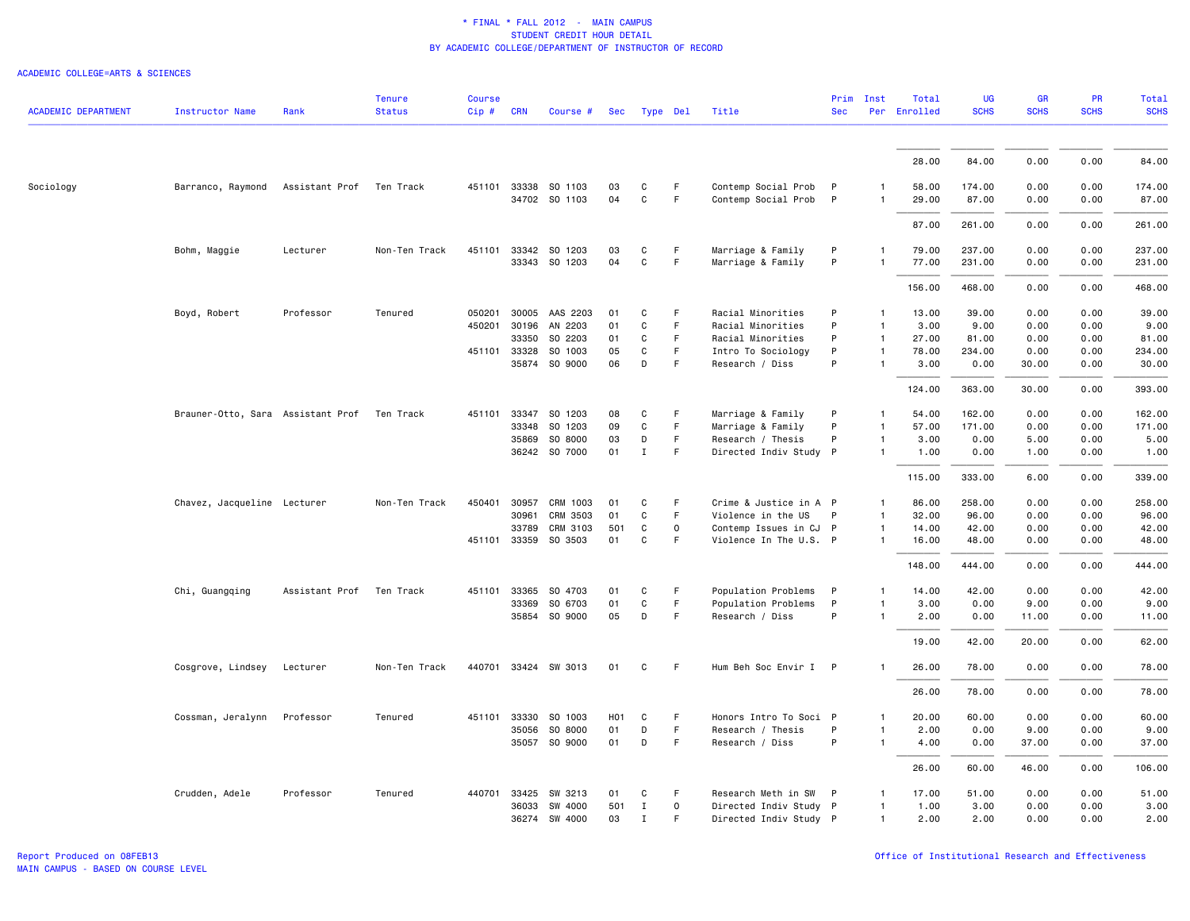| <b>ACADEMIC DEPARTMENT</b> | <b>Instructor Name</b>            | Rank           | <b>Tenure</b><br><b>Status</b> | <b>Course</b><br>$Cip$ # | <b>CRN</b>   | Course #             | Sec | Type Del     |              | Title                  | <b>Sec</b>   | Prim Inst    | Total<br>Per Enrolled | <b>UG</b><br><b>SCHS</b> | <b>GR</b><br><b>SCHS</b> | <b>PR</b><br><b>SCHS</b> | <b>Total</b><br><b>SCHS</b> |
|----------------------------|-----------------------------------|----------------|--------------------------------|--------------------------|--------------|----------------------|-----|--------------|--------------|------------------------|--------------|--------------|-----------------------|--------------------------|--------------------------|--------------------------|-----------------------------|
|                            |                                   |                |                                |                          |              |                      |     |              |              |                        |              |              |                       |                          |                          |                          |                             |
|                            |                                   |                |                                |                          |              |                      |     |              |              |                        |              |              | 28.00                 | 84.00                    | 0.00                     | 0.00                     | 84.00                       |
| Sociology                  | Barranco, Raymond                 | Assistant Prof | Ten Track                      |                          |              | 451101 33338 SO 1103 | 03  | C            | F            | Contemp Social Prob    | $\mathsf{P}$ | $\mathbf{1}$ | 58.00                 | 174.00                   | 0.00                     | 0.00                     | 174.00                      |
|                            |                                   |                |                                |                          |              | 34702 SO 1103        | 04  | $\mathsf{C}$ | F            | Contemp Social Prob    | $\mathsf{P}$ | 1            | 29.00                 | 87.00                    | 0.00                     | 0.00                     | 87.00                       |
|                            |                                   |                |                                |                          |              |                      |     |              |              |                        |              |              | 87.00                 | 261.00                   | 0.00                     | 0.00                     | 261.00                      |
|                            | Bohm, Maggie                      | Lecturer       | Non-Ten Track                  |                          |              | 451101 33342 SO 1203 | 03  | C            | F            | Marriage & Family      | P            |              | 79.00                 | 237.00                   | 0.00                     | 0.00                     | 237.00                      |
|                            |                                   |                |                                |                          |              | 33343 SO 1203        | 04  | C            | F.           | Marriage & Family      | P            | $\mathbf{1}$ | 77.00                 | 231.00                   | 0.00                     | 0.00                     | 231.00                      |
|                            |                                   |                |                                |                          |              |                      |     |              |              |                        |              |              | 156.00                | 468.00                   | 0.00                     | 0.00                     | 468.00                      |
|                            | Boyd, Robert                      | Professor      | Tenured                        | 050201                   |              | 30005 AAS 2203       | 01  | C            | F            | Racial Minorities      | P            | $\mathbf{1}$ | 13.00                 | 39.00                    | 0.00                     | 0.00                     | 39.00                       |
|                            |                                   |                |                                | 450201                   | 30196        | AN 2203              | 01  | C            | F.           | Racial Minorities      | P            |              | 3.00                  | 9.00                     | 0.00                     | 0.00                     | 9.00                        |
|                            |                                   |                |                                |                          | 33350        | SO 2203              | 01  | C            | F            | Racial Minorities      | P            | $\mathbf{1}$ | 27.00                 | 81.00                    | 0.00                     | 0.00                     | 81.00                       |
|                            |                                   |                |                                |                          | 451101 33328 | SO 1003              | 05  | C            | F.           | Intro To Sociology     | P            | $\mathbf{1}$ | 78.00                 | 234.00                   | 0.00                     | 0.00                     | 234.00                      |
|                            |                                   |                |                                |                          | 35874        | SO 9000              | 06  | D            | F            | Research / Diss        | P            | $\mathbf{1}$ | 3.00                  | 0.00                     | 30.00                    | 0.00                     | 30.00                       |
|                            |                                   |                |                                |                          |              |                      |     |              |              |                        |              |              | 124.00                | 363.00                   | 30.00                    | 0.00                     | 393.00                      |
|                            | Brauner-Otto, Sara Assistant Prof |                | Ten Track                      | 451101                   | 33347        | SO 1203              | 08  | C            | F.           | Marriage & Family      | P            | 1            | 54.00                 | 162.00                   | 0.00                     | 0.00                     | 162.00                      |
|                            |                                   |                |                                |                          | 33348        | SO 1203              | 09  | C            | F            | Marriage & Family      | P            | $\mathbf{1}$ | 57.00                 | 171.00                   | 0.00                     | 0.00                     | 171.00                      |
|                            |                                   |                |                                |                          | 35869        | SO 8000              | 03  | D            | F.           | Research / Thesis      | P            | 1            | 3.00                  | 0.00                     | 5.00                     | 0.00                     | 5.00                        |
|                            |                                   |                |                                |                          |              | 36242 SO 7000        | 01  | $\mathbf{I}$ | F            | Directed Indiv Study P |              | $\mathbf{1}$ | 1.00                  | 0.00                     | 1.00                     | 0.00                     | 1.00                        |
|                            |                                   |                |                                |                          |              |                      |     |              |              |                        |              |              | 115.00                | 333.00                   | 6.00                     | 0.00                     | 339.00                      |
|                            | Chavez, Jacqueline Lecturer       |                | Non-Ten Track                  | 450401                   | 30957        | CRM 1003             | 01  | C            | F            | Crime & Justice in A P |              | 1            | 86.00                 | 258.00                   | 0.00                     | 0.00                     | 258.00                      |
|                            |                                   |                |                                |                          | 30961        | CRM 3503             | 01  | C            | F            | Violence in the US     | P            | $\mathbf{1}$ | 32.00                 | 96.00                    | 0.00                     | 0.00                     | 96.00                       |
|                            |                                   |                |                                |                          | 33789        | CRM 3103             | 501 | C            | $\mathsf{o}$ | Contemp Issues in CJ P |              | $\mathbf{1}$ | 14.00                 | 42.00                    | 0.00                     | 0.00                     | 42.00                       |
|                            |                                   |                |                                |                          | 451101 33359 | SO 3503              | 01  | C            | F            | Violence In The U.S. P |              | $\mathbf{1}$ | 16.00                 | 48.00                    | 0.00                     | 0.00                     | 48.00                       |
|                            |                                   |                |                                |                          |              |                      |     |              |              |                        |              |              | 148.00                | 444.00                   | 0.00                     | 0.00                     | 444.00                      |
|                            | Chi, Guangqing                    | Assistant Prof | Ten Track                      | 451101                   | 33365        | SO 4703              | 01  | C            | F.           | Population Problems    | P            | 1            | 14.00                 | 42.00                    | 0.00                     | 0.00                     | 42.00                       |
|                            |                                   |                |                                |                          | 33369        | SO 6703              | 01  | C            | F.           | Population Problems    | P            | 1            | 3.00                  | 0.00                     | 9.00                     | 0.00                     | 9.00                        |
|                            |                                   |                |                                |                          |              | 35854 SO 9000        | 05  | D            | F.           | Research / Diss        | P            | $\mathbf{1}$ | 2.00                  | 0.00                     | 11.00                    | 0.00                     | 11.00                       |
|                            |                                   |                |                                |                          |              |                      |     |              |              |                        |              |              | 19.00                 | 42.00                    | 20.00                    | 0.00                     | 62.00                       |
|                            | Cosgrove, Lindsey                 | Lecturer       | Non-Ten Track                  |                          |              | 440701 33424 SW 3013 | 01  | C            | F            | Hum Beh Soc Envir I P  |              | -1           | 26.00                 | 78.00                    | 0.00                     | 0.00                     | 78.00                       |
|                            |                                   |                |                                |                          |              |                      |     |              |              |                        |              |              | 26.00                 | 78.00                    | 0.00                     | 0.00                     | 78.00                       |
|                            | Cossman, Jeralynn                 | Professor      | Tenured                        |                          | 451101 33330 | SO 1003              | H01 | C            | F.           | Honors Intro To Soci P |              | $\mathbf{1}$ | 20.00                 | 60.00                    | 0.00                     | 0.00                     | 60.00                       |
|                            |                                   |                |                                |                          | 35056        | SO 8000              | 01  | D            | F.           | Research / Thesis      | P            | -1           | 2.00                  | 0.00                     | 9.00                     | 0.00                     | 9.00                        |
|                            |                                   |                |                                |                          |              | 35057 SO 9000        | 01  | D            | F            | Research / Diss        | P            | 1            | 4.00                  | 0.00                     | 37.00                    | 0.00                     | 37.00                       |
|                            |                                   |                |                                |                          |              |                      |     |              |              |                        |              |              | 26.00                 | 60.00                    | 46.00                    | 0.00                     | 106.00                      |
|                            | Crudden, Adele                    | Professor      | Tenured                        |                          | 440701 33425 | SW 3213              | 01  | C            | F            | Research Meth in SW    | P            | $\mathbf{1}$ | 17.00                 | 51.00                    | 0.00                     | 0.00                     | 51.00                       |
|                            |                                   |                |                                |                          | 36033        | SW 4000              | 501 | $\mathbf{I}$ | $\circ$      | Directed Indiv Study P |              | $\mathbf{1}$ | 1.00                  | 3.00                     | 0.00                     | 0.00                     | 3.00                        |
|                            |                                   |                |                                |                          |              | 36274 SW 4000        | 03  | $\mathbf{I}$ | F.           | Directed Indiv Study P |              | $\mathbf{1}$ | 2.00                  | 2.00                     | 0.00                     | 0.00                     | 2.00                        |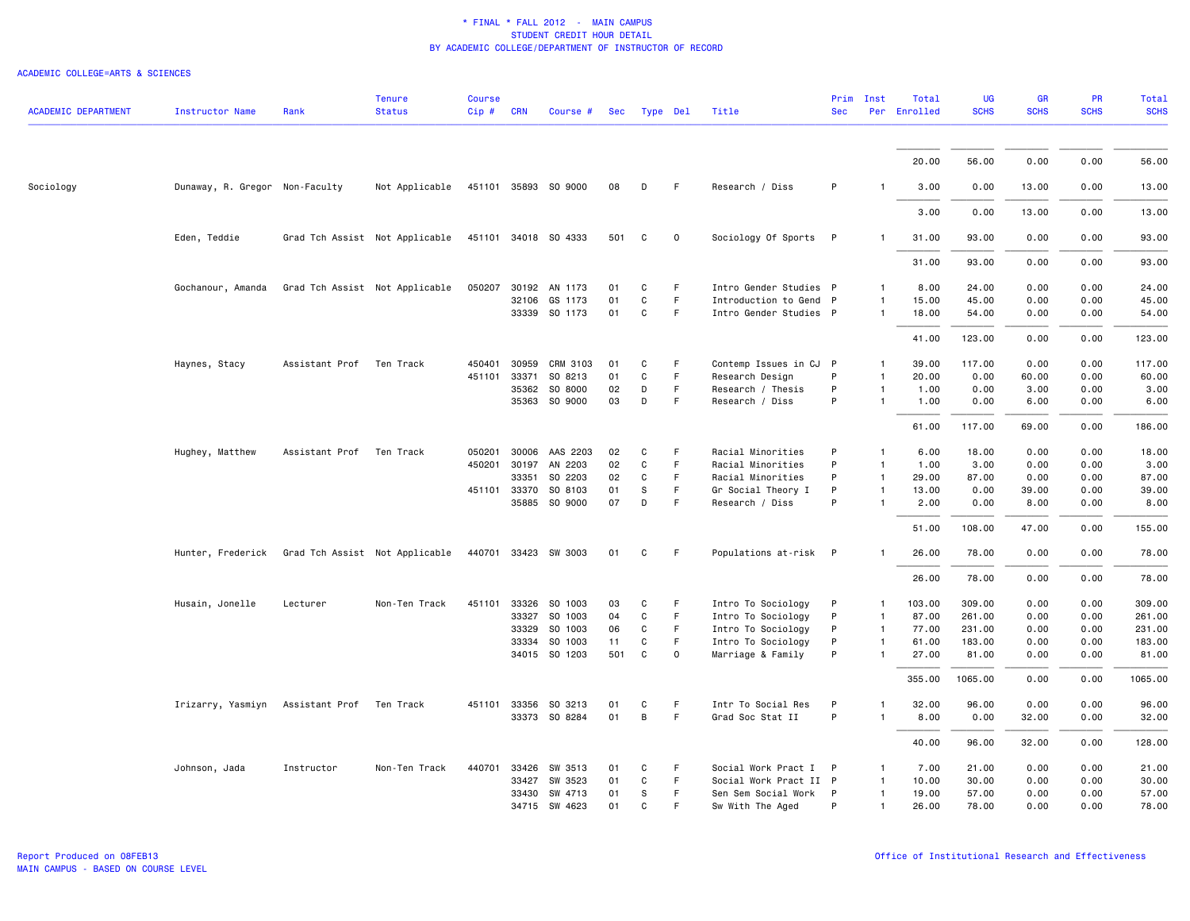| <b>ACADEMIC DEPARTMENT</b> | <b>Instructor Name</b>         | Rank                           | <b>Tenure</b><br><b>Status</b> | <b>Course</b><br>Cip # | <b>CRN</b> | Course #             |     | Sec Type Del |    | Title                  | Prim<br><b>Sec</b> | Inst         | Total<br>Per Enrolled | UG<br><b>SCHS</b> | <b>GR</b><br><b>SCHS</b> | PR<br><b>SCHS</b> | Total<br><b>SCHS</b> |
|----------------------------|--------------------------------|--------------------------------|--------------------------------|------------------------|------------|----------------------|-----|--------------|----|------------------------|--------------------|--------------|-----------------------|-------------------|--------------------------|-------------------|----------------------|
|                            |                                |                                |                                |                        |            |                      |     |              |    |                        |                    |              |                       |                   |                          |                   |                      |
|                            |                                |                                |                                |                        |            |                      |     |              |    |                        |                    |              | 20.00                 | 56.00             | 0.00                     | 0.00              | 56.00                |
| Sociology                  | Dunaway, R. Gregor Non-Faculty |                                | Not Applicable                 |                        |            | 451101 35893 SO 9000 | 08  | D            | F. | Research / Diss        | P                  |              | 3.00                  | 0.00              | 13.00                    | 0.00              | 13.00                |
|                            |                                |                                |                                |                        |            |                      |     |              |    |                        |                    |              | 3.00                  | 0.00              | 13.00                    | 0.00              | 13.00                |
|                            | Eden, Teddie                   |                                | Grad Tch Assist Not Applicable |                        |            | 451101 34018 SO 4333 | 501 | C            | 0  | Sociology Of Sports    | $\mathsf{P}$       |              | 31.00                 | 93.00             | 0.00                     | 0.00              | 93.00                |
|                            |                                |                                |                                |                        |            |                      |     |              |    |                        |                    |              | 31.00                 | 93.00             | 0.00                     | 0.00              | 93.00                |
|                            | Gochanour, Amanda              | Grad Tch Assist Not Applicable |                                | 050207                 |            | 30192 AN 1173        | 01  | C            | F  | Intro Gender Studies P |                    |              | 8.00                  | 24.00             | 0.00                     | 0.00              | 24.00                |
|                            |                                |                                |                                |                        | 32106      | GS 1173              | 01  | C            | F  | Introduction to Gend P |                    |              | 15.00                 | 45.00             | 0.00                     | 0.00              | 45.00                |
|                            |                                |                                |                                |                        |            | 33339 SO 1173        | 01  | C            | F. | Intro Gender Studies P |                    |              | 18.00                 | 54.00             | 0.00                     | 0.00              | 54.00                |
|                            |                                |                                |                                |                        |            |                      |     |              |    |                        |                    |              | 41.00                 | 123.00            | 0.00                     | 0.00              | 123.00               |
|                            | Haynes, Stacy                  | Assistant Prof                 | Ten Track                      | 450401                 | 30959      | CRM 3103             | 01  | C            | F  | Contemp Issues in CJ P |                    |              | 39.00                 | 117.00            | 0.00                     | 0.00              | 117.00               |
|                            |                                |                                |                                | 451101                 | 33371      | SO 8213              | 01  | C            | F  | Research Design        | P                  | $\mathbf{1}$ | 20.00                 | 0.00              | 60.00                    | 0.00              | 60.00                |
|                            |                                |                                |                                |                        |            | 35362 SO 8000        | 02  | D            | F  | Research / Thesis      | P                  |              | 1.00                  | 0.00              | 3.00                     | 0.00              | 3.00                 |
|                            |                                |                                |                                |                        |            | 35363 SO 9000        | 03  | D            | F  | Research / Diss        | P                  |              | 1.00                  | 0.00              | 6.00                     | 0.00              | 6.00                 |
|                            |                                |                                |                                |                        |            |                      |     |              |    |                        |                    |              | 61.00                 | 117.00            | 69.00                    | 0.00              | 186.00               |
|                            | Hughey, Matthew                | Assistant Prof                 | Ten Track                      | 050201                 | 30006      | AAS 2203             | 02  | C            | F  | Racial Minorities      | P                  |              | 6.00                  | 18.00             | 0.00                     | 0.00              | 18.00                |
|                            |                                |                                |                                | 450201                 | 30197      | AN 2203              | 02  | C            | F. | Racial Minorities      | P                  |              | 1.00                  | 3.00              | 0.00                     | 0.00              | 3.00                 |
|                            |                                |                                |                                |                        | 33351      | SO 2203              | 02  | C            | F  | Racial Minorities      | P                  | $\mathbf{1}$ | 29.00                 | 87.00             | 0.00                     | 0.00              | 87.00                |
|                            |                                |                                |                                |                        |            | 451101 33370 SO 8103 | 01  | s            | F. | Gr Social Theory I     | P                  | $\mathbf{1}$ | 13.00                 | 0.00              | 39.00                    | 0.00              | 39.00                |
|                            |                                |                                |                                |                        | 35885      | SO 9000              | 07  | D            | F  | Research / Diss        | P                  |              | 2.00                  | 0.00              | 8.00                     | 0.00              | 8.00                 |
|                            |                                |                                |                                |                        |            |                      |     |              |    |                        |                    |              | 51.00                 | 108.00            | 47.00                    | 0.00              | 155.00               |
|                            | Hunter, Frederick              | Grad Tch Assist Not Applicable |                                |                        |            | 440701 33423 SW 3003 | 01  | C            | F  | Populations at-risk P  |                    |              | 26.00                 | 78.00             | 0.00                     | 0.00              | 78.00                |
|                            |                                |                                |                                |                        |            |                      |     |              |    |                        |                    |              | 26.00                 | 78.00             | 0.00                     | 0.00              | 78.00                |
|                            | Husain, Jonelle                | Lecturer                       | Non-Ten Track                  | 451101                 |            | 33326 SO 1003        | 03  | C            | F  | Intro To Sociology     | P                  |              | 103.00                | 309.00            | 0.00                     | 0.00              | 309.00               |
|                            |                                |                                |                                |                        | 33327      | SO 1003              | 04  | C            | F. | Intro To Sociology     | P                  | $\mathbf{1}$ | 87.00                 | 261.00            | 0.00                     | 0.00              | 261.00               |
|                            |                                |                                |                                |                        | 33329      | SO 1003              | 06  | C            | F. | Intro To Sociology     | P                  | $\mathbf{1}$ | 77.00                 | 231.00            | 0.00                     | 0.00              | 231.00               |
|                            |                                |                                |                                |                        | 33334      | SO 1003              | 11  | C            | F  | Intro To Sociology     | P                  | -1           | 61.00                 | 183.00            | 0.00                     | 0.00              | 183.00               |
|                            |                                |                                |                                |                        |            | 34015 SO 1203        | 501 | C            | 0  | Marriage & Family      | P                  | $\mathbf{1}$ | 27.00                 | 81.00             | 0.00                     | 0.00              | 81.00                |
|                            |                                |                                |                                |                        |            |                      |     |              |    |                        |                    |              | 355.00                | 1065.00           | 0.00                     | 0.00              | 1065.00              |
|                            | Irizarry, Yasmiyn              | Assistant Prof                 | Ten Track                      | 451101                 |            | 33356 SO 3213        | 01  | C            | F  | Intr To Social Res     | P                  |              | 32.00                 | 96.00             | 0.00                     | 0.00              | 96.00                |
|                            |                                |                                |                                |                        |            | 33373 SO 8284        | 01  | B            | F  | Grad Soc Stat II       | P                  |              | 8.00                  | 0.00              | 32.00                    | 0.00              | 32.00                |
|                            |                                |                                |                                |                        |            |                      |     |              |    |                        |                    |              | 40.00                 | 96.00             | 32.00                    | 0.00              | 128.00               |
|                            | Johnson, Jada                  | Instructor                     | Non-Ten Track                  | 440701                 | 33426      | SW 3513              | 01  | C            | F  | Social Work Pract I    | $\mathsf{P}$       |              | 7.00                  | 21.00             | 0.00                     | 0.00              | 21.00                |
|                            |                                |                                |                                |                        | 33427      | SW 3523              | 01  | C            | F. | Social Work Pract II P |                    |              | 10.00                 | 30.00             | 0.00                     | 0.00              | 30.00                |
|                            |                                |                                |                                |                        | 33430      | SW 4713              | 01  | s            | F. | Sen Sem Social Work    | P                  | $\mathbf{1}$ | 19.00                 | 57.00             | 0.00                     | 0.00              | 57.00                |
|                            |                                |                                |                                |                        | 34715      | SW 4623              | 01  | C            | F  | Sw With The Aged       | p                  | $\mathbf{1}$ | 26.00                 | 78.00             | 0.00                     | 0.00              | 78.00                |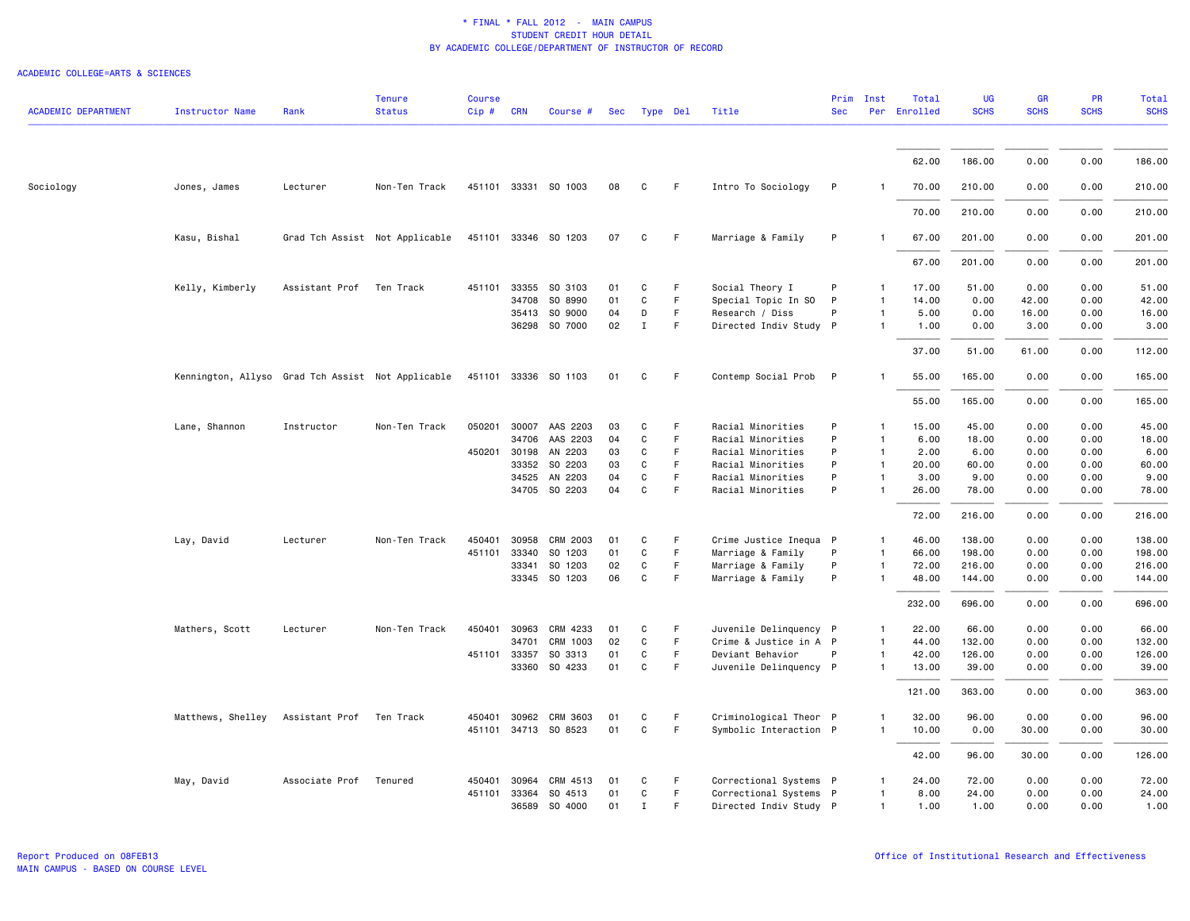| <b>ACADEMIC DEPARTMENT</b> | <b>Instructor Name</b>                            | Rank                     | <b>Tenure</b><br><b>Status</b> | <b>Course</b><br>Cip# | <b>CRN</b>   | Course #             | Sec |              | Type Del | Title                  | Prim<br><b>Sec</b> | Inst         | Total<br>Per Enrolled | <b>UG</b><br><b>SCHS</b> | GR<br><b>SCHS</b> | PR<br><b>SCHS</b> | <b>Total</b><br><b>SCHS</b> |
|----------------------------|---------------------------------------------------|--------------------------|--------------------------------|-----------------------|--------------|----------------------|-----|--------------|----------|------------------------|--------------------|--------------|-----------------------|--------------------------|-------------------|-------------------|-----------------------------|
|                            |                                                   |                          |                                |                       |              |                      |     |              |          |                        |                    |              |                       |                          |                   |                   |                             |
|                            |                                                   |                          |                                |                       |              |                      |     |              |          |                        |                    |              | 62.00                 | 186.00                   | 0.00              | 0.00              | 186.00                      |
| Sociology                  | Jones, James                                      | Lecturer                 | Non-Ten Track                  |                       |              | 451101 33331 SO 1003 | 08  | C            | F        | Intro To Sociology     | P                  |              | 70.00                 | 210.00                   | 0.00              | 0.00              | 210.00                      |
|                            |                                                   |                          |                                |                       |              |                      |     |              |          |                        |                    |              | 70.00                 | 210.00                   | 0.00              | 0.00              | 210.00                      |
|                            | Kasu, Bishal                                      |                          | Grad Tch Assist Not Applicable |                       |              | 451101 33346 SO 1203 | 07  | C            | F        | Marriage & Family      | P                  | $\mathbf{1}$ | 67.00                 | 201.00                   | 0.00              | 0.00              | 201.00                      |
|                            |                                                   |                          |                                |                       |              |                      |     |              |          |                        |                    |              | 67.00                 | 201.00                   | 0.00              | 0.00              | 201.00                      |
|                            | Kelly, Kimberly                                   | Assistant Prof Ten Track |                                |                       | 451101 33355 | SO 3103              | 01  | C            | F        | Social Theory I        | P                  | $\mathbf{1}$ | 17.00                 | 51.00                    | 0.00              | 0.00              | 51.00                       |
|                            |                                                   |                          |                                |                       | 34708        | SO 8990              | 01  | $\mathtt{C}$ | F        | Special Topic In SO    | P                  | $\mathbf{1}$ | 14.00                 | 0.00                     | 42.00             | 0.00              | 42.00                       |
|                            |                                                   |                          |                                |                       |              | 35413 SO 9000        | 04  | D            | F        | Research / Diss        | P                  | 1            | 5.00                  | 0.00                     | 16.00             | 0.00              | 16.00                       |
|                            |                                                   |                          |                                |                       |              | 36298 SO 7000        | 02  | $\mathbf{I}$ | F        | Directed Indiv Study P |                    | 1            | 1.00                  | 0.00                     | 3.00              | 0.00              | 3.00                        |
|                            |                                                   |                          |                                |                       |              |                      |     |              |          |                        |                    |              | 37.00                 | 51.00                    | 61.00             | 0.00              | 112.00                      |
|                            | Kennington, Allyso Grad Tch Assist Not Applicable |                          |                                |                       |              | 451101 33336 SO 1103 | 01  | C            | F        | Contemp Social Prob P  |                    |              | 55.00                 | 165.00                   | 0.00              | 0.00              | 165.00                      |
|                            |                                                   |                          |                                |                       |              |                      |     |              |          |                        |                    |              | 55.00                 | 165.00                   | 0.00              | 0.00              | 165.00                      |
|                            | Lane, Shannon                                     | Instructor               | Non-Ten Track                  | 050201                | 30007        | AAS 2203             | 03  | C            | F.       | Racial Minorities      | P                  | 1            | 15.00                 | 45.00                    | 0.00              | 0.00              | 45.00                       |
|                            |                                                   |                          |                                |                       | 34706        | AAS 2203             | 04  | C            | F        | Racial Minorities      | P                  | $\mathbf{1}$ | 6.00                  | 18.00                    | 0.00              | 0.00              | 18.00                       |
|                            |                                                   |                          |                                |                       | 450201 30198 | AN 2203              | 03  | C            | F        | Racial Minorities      | P                  | $\mathbf{1}$ | 2.00                  | 6.00                     | 0.00              | 0.00              | 6.00                        |
|                            |                                                   |                          |                                |                       | 33352        | SO 2203              | 03  | C            | F        | Racial Minorities      | P                  | $\mathbf{1}$ | 20.00                 | 60.00                    | 0.00              | 0.00              | 60.00                       |
|                            |                                                   |                          |                                |                       | 34525        | AN 2203              | 04  | C            | F        | Racial Minorities      | P                  | $\mathbf{1}$ | 3.00                  | 9.00                     | 0.00              | 0.00              | 9.00                        |
|                            |                                                   |                          |                                |                       |              | 34705 SO 2203        | 04  | C            | F        | Racial Minorities      | P                  | $\mathbf{1}$ | 26.00                 | 78.00                    | 0.00              | 0.00              | 78.00                       |
|                            |                                                   |                          |                                |                       |              |                      |     |              |          |                        |                    |              | 72.00                 | 216.00                   | 0.00              | 0.00              | 216.00                      |
|                            | Lay, David                                        | Lecturer                 | Non-Ten Track                  | 450401                | 30958        | CRM 2003             | 01  | C            | F        | Crime Justice Inequa P |                    | $\mathbf{1}$ | 46.00                 | 138.00                   | 0.00              | 0.00              | 138.00                      |
|                            |                                                   |                          |                                |                       | 451101 33340 | SO 1203              | 01  | C            | F.       | Marriage & Family      | P                  | $\mathbf{1}$ | 66.00                 | 198.00                   | 0.00              | 0.00              | 198.00                      |
|                            |                                                   |                          |                                |                       | 33341        | SO 1203              | 02  | C            | F.       | Marriage & Family      | P                  | 1            | 72.00                 | 216.00                   | 0.00              | 0.00              | 216.00                      |
|                            |                                                   |                          |                                |                       |              | 33345 SO 1203        | 06  | $\mathtt{C}$ | F.       | Marriage & Family      | P                  | $\mathbf{1}$ | 48.00                 | 144.00                   | 0.00              | 0.00              | 144.00                      |
|                            |                                                   |                          |                                |                       |              |                      |     |              |          |                        |                    |              | 232.00                | 696.00                   | 0.00              | 0.00              | 696.00                      |
|                            | Mathers, Scott                                    | Lecturer                 | Non-Ten Track                  | 450401                | 30963        | CRM 4233             | 01  | C            | F.       | Juvenile Delinquency P |                    | 1            | 22.00                 | 66.00                    | 0.00              | 0.00              | 66.00                       |
|                            |                                                   |                          |                                |                       | 34701        | CRM 1003             | 02  | $\mathbf c$  | F        | Crime & Justice in A P |                    | $\mathbf{1}$ | 44.00                 | 132.00                   | 0.00              | 0.00              | 132.00                      |
|                            |                                                   |                          |                                |                       | 451101 33357 | SO 3313              | 01  | C            | F        | Deviant Behavior       | P                  | $\mathbf{1}$ | 42.00                 | 126.00                   | 0.00              | 0.00              | 126.00                      |
|                            |                                                   |                          |                                |                       | 33360        | SO 4233              | 01  | C            | F        | Juvenile Delinquency P |                    | $\mathbf{1}$ | 13.00                 | 39.00                    | 0.00              | 0.00              | 39.00                       |
|                            |                                                   |                          |                                |                       |              |                      |     |              |          |                        |                    |              | 121.00                | 363.00                   | 0.00              | 0.00              | 363.00                      |
|                            | Matthews, Shelley                                 | Assistant Prof Ten Track |                                |                       | 450401 30962 | CRM 3603             | 01  | C            | F        | Criminological Theor P |                    | 1            | 32.00                 | 96.00                    | 0.00              | 0.00              | 96.00                       |
|                            |                                                   |                          |                                |                       |              | 451101 34713 SO 8523 | 01  | $\mathtt{C}$ | F        | Symbolic Interaction P |                    | $\mathbf{1}$ | 10.00                 | 0.00                     | 30.00             | 0.00              | 30.00                       |
|                            |                                                   |                          |                                |                       |              |                      |     |              |          |                        |                    |              | 42.00                 | 96.00                    | 30.00             | 0.00              | 126.00                      |
|                            | May, David                                        | Associate Prof Tenured   |                                | 450401                | 30964        | CRM 4513             | 01  | C            | F        | Correctional Systems P |                    | $\mathbf{1}$ | 24.00                 | 72.00                    | 0.00              | 0.00              | 72.00                       |
|                            |                                                   |                          |                                | 451101                | 33364        | SO 4513              | 01  | C            | F.       | Correctional Systems P |                    | 1            | 8.00                  | 24.00                    | 0.00              | 0.00              | 24.00                       |
|                            |                                                   |                          |                                |                       |              | 36589 SO 4000        | 01  | $\mathbf{I}$ | F        | Directed Indiv Study P |                    | $\mathbf{1}$ | 1.00                  | 1.00                     | 0.00              | 0.00              | 1.00                        |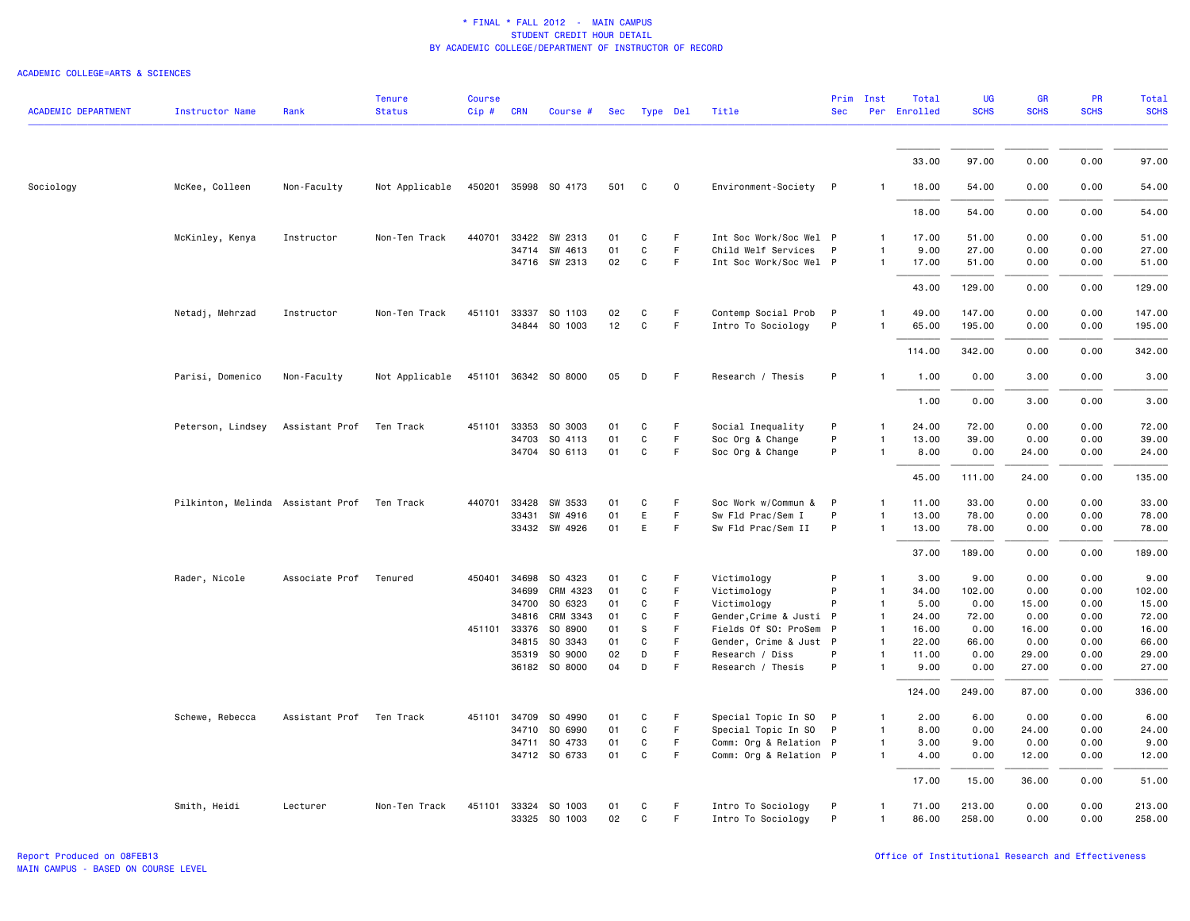| <b>ACADEMIC DEPARTMENT</b> | <b>Instructor Name</b>                      | Rank                     | <b>Tenure</b><br><b>Status</b> | <b>Course</b><br>Cip# | <b>CRN</b>   | Course #                 | Sec      | Type Del     |             | Title                                | Prim<br><b>Sec</b> | Inst                         | Total<br>Per Enrolled | <b>UG</b><br><b>SCHS</b> | GR<br><b>SCHS</b> | PR<br><b>SCHS</b> | <b>Total</b><br><b>SCHS</b> |
|----------------------------|---------------------------------------------|--------------------------|--------------------------------|-----------------------|--------------|--------------------------|----------|--------------|-------------|--------------------------------------|--------------------|------------------------------|-----------------------|--------------------------|-------------------|-------------------|-----------------------------|
|                            |                                             |                          |                                |                       |              |                          |          |              |             |                                      |                    |                              |                       |                          |                   |                   |                             |
|                            |                                             |                          |                                |                       |              |                          |          |              |             |                                      |                    |                              | 33.00                 | 97.00                    | 0.00              | 0.00              | 97.00                       |
| Sociology                  | McKee, Colleen                              | Non-Faculty              | Not Applicable                 |                       |              | 450201 35998 SO 4173     | 501      | C            | $\mathbf 0$ | Environment-Society P                |                    |                              | 18.00                 | 54.00                    | 0.00              | 0.00              | 54.00                       |
|                            |                                             |                          |                                |                       |              |                          |          |              |             |                                      |                    |                              | 18.00                 | 54.00                    | 0.00              | 0.00              | 54.00                       |
|                            | McKinley, Kenya                             | Instructor               | Non-Ten Track                  | 440701                | 33422        | SW 2313                  | 01       | C            | F.          | Int Soc Work/Soc Wel P               |                    | $\mathbf{1}$                 | 17.00                 | 51.00                    | 0.00              | 0.00              | 51.00                       |
|                            |                                             |                          |                                |                       | 34714        | SW 4613                  | 01       | C            | F           | Child Welf Services                  | $\mathsf{P}$       | $\mathbf{1}$                 | 9.00                  | 27.00                    | 0.00              | 0.00              | 27.00                       |
|                            |                                             |                          |                                |                       |              | 34716 SW 2313            | 02       | C            | F.          | Int Soc Work/Soc Wel P               |                    | $\mathbf{1}$                 | 17.00                 | 51.00                    | 0.00              | 0.00              | 51.00                       |
|                            |                                             |                          |                                |                       |              |                          |          |              |             |                                      |                    |                              | 43.00                 | 129.00                   | 0.00              | 0.00              | 129.00                      |
|                            | Netadj, Mehrzad                             | Instructor               | Non-Ten Track                  | 451101                | 33337        | SO 1103                  | 02       | C            | F.          | Contemp Social Prob                  | -P                 | $\mathbf{1}$                 | 49.00                 | 147.00                   | 0.00              | 0.00              | 147.00                      |
|                            |                                             |                          |                                |                       |              | 34844 SO 1003            | 12       | C            | F           | Intro To Sociology                   | P                  | 1                            | 65.00                 | 195.00                   | 0.00              | 0.00              | 195.00                      |
|                            |                                             |                          |                                |                       |              |                          |          |              |             |                                      |                    |                              | 114.00                | 342.00                   | 0.00              | 0.00              | 342.00                      |
|                            | Parisi, Domenico                            | Non-Faculty              | Not Applicable                 |                       |              | 451101 36342 SO 8000     | 05       | D            | F           | Research / Thesis                    | P                  | $\mathbf{1}$                 | 1.00                  | 0.00                     | 3.00              | 0.00              | 3.00                        |
|                            |                                             |                          |                                |                       |              |                          |          |              |             |                                      |                    |                              | 1.00                  | 0.00                     | 3.00              | 0.00              | 3.00                        |
|                            | Peterson, Lindsey                           | Assistant Prof           | Ten Track                      |                       | 451101 33353 | SO 3003                  | 01       | C            | F           | Social Inequality                    | P                  | $\mathbf{1}$                 | 24.00                 | 72.00                    | 0.00              | 0.00              | 72.00                       |
|                            |                                             |                          |                                |                       |              | 34703 SO 4113            | 01       | $\mathsf{C}$ | F           | Soc Org & Change                     | P                  | $\mathbf{1}$                 | 13.00                 | 39.00                    | 0.00              | 0.00              | 39.00                       |
|                            |                                             |                          |                                |                       |              | 34704 SO 6113            | 01       | C            | F.          | Soc Org & Change                     | P                  | $\mathbf{1}$                 | 8.00                  | 0.00                     | 24.00             | 0.00              | 24.00                       |
|                            |                                             |                          |                                |                       |              |                          |          |              |             |                                      |                    |                              | 45.00                 | 111.00                   | 24.00             | 0.00              | 135.00                      |
|                            | Pilkinton, Melinda Assistant Prof Ten Track |                          |                                | 440701                | 33428        | SW 3533                  | 01       | C            | F           | Soc Work w/Commun &                  | P                  | $\mathbf{1}$                 | 11.00                 | 33.00                    | 0.00              | 0.00              | 33.00                       |
|                            |                                             |                          |                                |                       | 33431        | SW 4916                  | 01       | E            | F.          | Sw Fld Prac/Sem I                    | P                  | $\mathbf{1}$                 | 13.00                 | 78.00                    | 0.00              | 0.00              | 78.00                       |
|                            |                                             |                          |                                |                       |              | 33432 SW 4926            | 01       | E            | F.          | Sw Fld Prac/Sem II                   | P                  | 1                            | 13.00                 | 78.00                    | 0.00              | 0.00              | 78.00                       |
|                            |                                             |                          |                                |                       |              |                          |          |              |             |                                      |                    |                              | 37.00                 | 189.00                   | 0.00              | 0.00              | 189.00                      |
|                            | Rader, Nicole                               | Associate Prof           | Tenured                        |                       | 450401 34698 | SO 4323                  | 01       | C            | F           | Victimology                          | P                  | $\mathbf{1}$                 | 3.00                  | 9.00                     | 0.00              | 0.00              | 9.00                        |
|                            |                                             |                          |                                |                       | 34699        | CRM 4323                 | 01       | C            | F.          | Victimology                          | P                  | $\mathbf{1}$                 | 34.00                 | 102.00                   | 0.00              | 0.00              | 102.00                      |
|                            |                                             |                          |                                |                       | 34700        | SO 6323                  | 01       | C            | F           | Victimology                          | P                  | $\mathbf{1}$                 | 5.00                  | 0.00                     | 15.00             | 0.00              | 15.00                       |
|                            |                                             |                          |                                |                       | 34816        | CRM 3343                 | 01       | C            | F.          | Gender, Crime & Justi P              |                    | $\mathbf{1}$                 | 24.00                 | 72.00                    | 0.00              | 0.00              | 72.00                       |
|                            |                                             |                          |                                |                       | 451101 33376 | SO 8900                  | 01       | s            | F           | Fields Of SO: ProSem                 | P                  | $\mathbf{1}$                 | 16.00                 | 0.00                     | 16.00             | 0.00              | 16.00                       |
|                            |                                             |                          |                                |                       | 34815        | SO 3343                  | 01<br>02 | C<br>D       | F<br>F      | Gender, Crime & Just P               | P                  | $\mathbf{1}$<br>$\mathbf{1}$ | 22.00<br>11.00        | 66.00<br>0.00            | 0.00<br>29.00     | 0.00<br>0.00      | 66.00<br>29.00              |
|                            |                                             |                          |                                |                       | 35319        | SO 9000<br>36182 SO 8000 | 04       | D            | F           | Research / Diss<br>Research / Thesis | P                  | $\mathbf{1}$                 | 9.00                  | 0.00                     | 27.00             | 0.00              | 27.00                       |
|                            |                                             |                          |                                |                       |              |                          |          |              |             |                                      |                    |                              | 124.00                | 249.00                   | 87.00             | 0.00              | 336.00                      |
|                            | Schewe, Rebecca                             | Assistant Prof Ten Track |                                |                       | 451101 34709 | SO 4990                  | 01       | C            | F.          | Special Topic In SO                  | P                  | $\mathbf{1}$                 | 2.00                  | 6.00                     | 0.00              | 0.00              | 6.00                        |
|                            |                                             |                          |                                |                       | 34710        | SO 6990                  | 01       | C            | F           | Special Topic In SO P                |                    | $\mathbf{1}$                 | 8.00                  | 0.00                     | 24.00             | 0.00              | 24.00                       |
|                            |                                             |                          |                                |                       | 34711        | SO 4733                  | 01       | C            | F           | Comm: Org & Relation P               |                    | 1                            | 3.00                  | 9.00                     | 0.00              | 0.00              | 9.00                        |
|                            |                                             |                          |                                |                       |              | 34712 SO 6733            | 01       | C            | F           | Comm: Org & Relation P               |                    | $\mathbf{1}$                 | 4.00                  | 0.00                     | 12.00             | 0.00              | 12.00                       |
|                            |                                             |                          |                                |                       |              |                          |          |              |             |                                      |                    |                              | 17.00                 | 15.00                    | 36.00             | 0.00              | 51.00                       |
|                            | Smith, Heidi                                | Lecturer                 | Non-Ten Track                  |                       | 451101 33324 | SO 1003                  | 01       | C            | F.          | Intro To Sociology                   | P                  | 1                            | 71.00                 | 213.00                   | 0.00              | 0.00              | 213.00                      |
|                            |                                             |                          |                                |                       |              | 33325 SO 1003            | 02       | C            | F           | Intro To Sociology                   | P                  | 1                            | 86.00                 | 258.00                   | 0.00              | 0.00              | 258.00                      |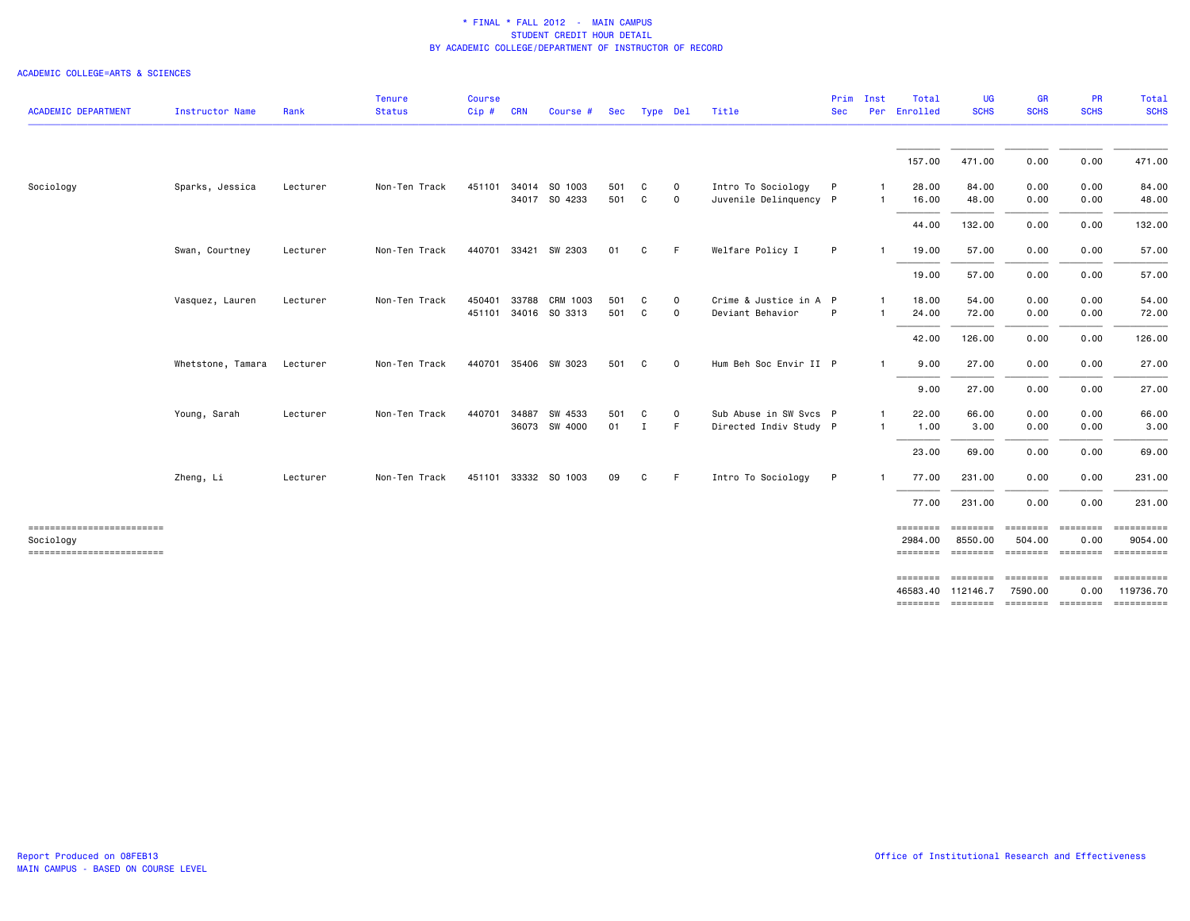|                                       |                   |          | <b>Tenure</b> | Course |            |                      |     |              |             |                        | Prim       | Inst         | Total                | <b>UG</b>            | <b>GR</b>                  | PR                                                                                                                                                                                                                                                               | Total                                          |
|---------------------------------------|-------------------|----------|---------------|--------|------------|----------------------|-----|--------------|-------------|------------------------|------------|--------------|----------------------|----------------------|----------------------------|------------------------------------------------------------------------------------------------------------------------------------------------------------------------------------------------------------------------------------------------------------------|------------------------------------------------|
| <b>ACADEMIC DEPARTMENT</b>            | Instructor Name   | Rank     | <b>Status</b> | Cip#   | <b>CRN</b> | Course #             | Sec | Type Del     |             | Title                  | <b>Sec</b> |              | Per Enrolled         | <b>SCHS</b>          | <b>SCHS</b>                | <b>SCHS</b>                                                                                                                                                                                                                                                      | <b>SCHS</b>                                    |
|                                       |                   |          |               |        |            |                      |     |              |             |                        |            |              | 157.00               | 471.00               | 0.00                       | 0.00                                                                                                                                                                                                                                                             | 471.00                                         |
| Sociology                             | Sparks, Jessica   | Lecturer | Non-Ten Track | 451101 |            | 34014 SO 1003        | 501 | C.           | $\circ$     | Intro To Sociology     | P          | -1           | 28,00                | 84.00                | 0.00                       | 0.00                                                                                                                                                                                                                                                             | 84.00                                          |
|                                       |                   |          |               |        |            | 34017 SO 4233        | 501 | C            | $\mathbf 0$ | Juvenile Delinquency P |            | -1           | 16.00                | 48.00                | 0.00                       | 0.00                                                                                                                                                                                                                                                             | 48.00                                          |
|                                       |                   |          |               |        |            |                      |     |              |             |                        |            |              | 44.00                | 132.00               | 0.00                       | 0.00                                                                                                                                                                                                                                                             | 132.00                                         |
|                                       | Swan, Courtney    | Lecturer | Non-Ten Track |        |            | 440701 33421 SW 2303 | 01  | C            | -F          | Welfare Policy I       | P          |              | 19.00                | 57.00                | 0.00                       | 0.00                                                                                                                                                                                                                                                             | 57.00                                          |
|                                       |                   |          |               |        |            |                      |     |              |             |                        |            |              | 19.00                | 57.00                | 0.00                       | 0.00                                                                                                                                                                                                                                                             | 57.00                                          |
|                                       | Vasquez, Lauren   | Lecturer | Non-Ten Track | 450401 | 33788      | CRM 1003             | 501 | C            | 0           | Crime & Justice in A P |            | $\mathbf{1}$ | 18.00                | 54.00                | 0.00                       | 0.00                                                                                                                                                                                                                                                             | 54.00                                          |
|                                       |                   |          |               |        |            | 451101 34016 SO 3313 | 501 | C            | $\mathbf 0$ | Deviant Behavior       | P          |              | 24.00                | 72.00                | 0.00                       | 0.00                                                                                                                                                                                                                                                             | 72.00                                          |
|                                       |                   |          |               |        |            |                      |     |              |             |                        |            |              | 42.00                | 126.00               | 0.00                       | 0.00                                                                                                                                                                                                                                                             | 126.00                                         |
|                                       | Whetstone, Tamara | Lecturer | Non-Ten Track |        |            | 440701 35406 SW 3023 | 501 | C            | $\Omega$    | Hum Beh Soc Envir II P |            | $\mathbf{1}$ | 9.00                 | 27.00                | 0.00                       | 0.00                                                                                                                                                                                                                                                             | 27.00                                          |
|                                       |                   |          |               |        |            |                      |     |              |             |                        |            |              | 9.00                 | 27.00                | 0.00                       | 0.00                                                                                                                                                                                                                                                             | 27.00                                          |
|                                       | Young, Sarah      | Lecturer | Non-Ten Track | 440701 | 34887      | SW 4533              | 501 | C            | $\circ$     | Sub Abuse in SW Svcs P |            | -1           | 22.00                | 66.00                | 0.00                       | 0.00                                                                                                                                                                                                                                                             | 66.00                                          |
|                                       |                   |          |               |        |            | 36073 SW 4000        | 01  | $\mathbf{I}$ | F           | Directed Indiv Study P |            | -1           | 1.00                 | 3.00                 | 0.00                       | 0.00                                                                                                                                                                                                                                                             | 3.00                                           |
|                                       |                   |          |               |        |            |                      |     |              |             |                        |            |              | 23.00                | 69.00                | 0.00                       | 0.00                                                                                                                                                                                                                                                             | 69.00                                          |
|                                       | Zheng, Li         | Lecturer | Non-Ten Track |        |            | 451101 33332 SO 1003 | 09  | C            | -F          | Intro To Sociology     | P          |              | 77.00                | 231.00               | 0.00                       | 0.00                                                                                                                                                                                                                                                             | 231.00                                         |
|                                       |                   |          |               |        |            |                      |     |              |             |                        |            |              | 77.00                | 231.00               | 0.00                       | 0.00                                                                                                                                                                                                                                                             | 231.00                                         |
| ------------------------              |                   |          |               |        |            |                      |     |              |             |                        |            |              | ========             |                      |                            |                                                                                                                                                                                                                                                                  |                                                |
| Sociology<br>------------------------ |                   |          |               |        |            |                      |     |              |             |                        |            |              | 2984.00<br>========  | 8550.00              | 504.00                     | 0.00                                                                                                                                                                                                                                                             | 9054.00<br>-------- ------- -------- --------- |
|                                       |                   |          |               |        |            |                      |     |              |             |                        |            |              | ========             | ========             | ========                   | $\begin{array}{ccc}\n 2.555555567 & 2.555567 & 2.555567 & 2.555567 & 2.55567 & 2.55567 & 2.55567 & 2.55567 & 2.55567 & 2.55567 & 2.55567 & 2.55567 & 2.55567 & 2.55567 & 2.55567 & 2.55567 & 2.55567 & 2.55567 & 2.55567 & 2.55567 & 2.55567 & 2.55567 & 2.5556$ |                                                |
|                                       |                   |          |               |        |            |                      |     |              |             |                        |            |              | 46583,40<br>======== | 112146.7<br>======== | 7590.00<br><b>ESSESSES</b> | 0.00<br>$=$ ========                                                                                                                                                                                                                                             | 119736.70                                      |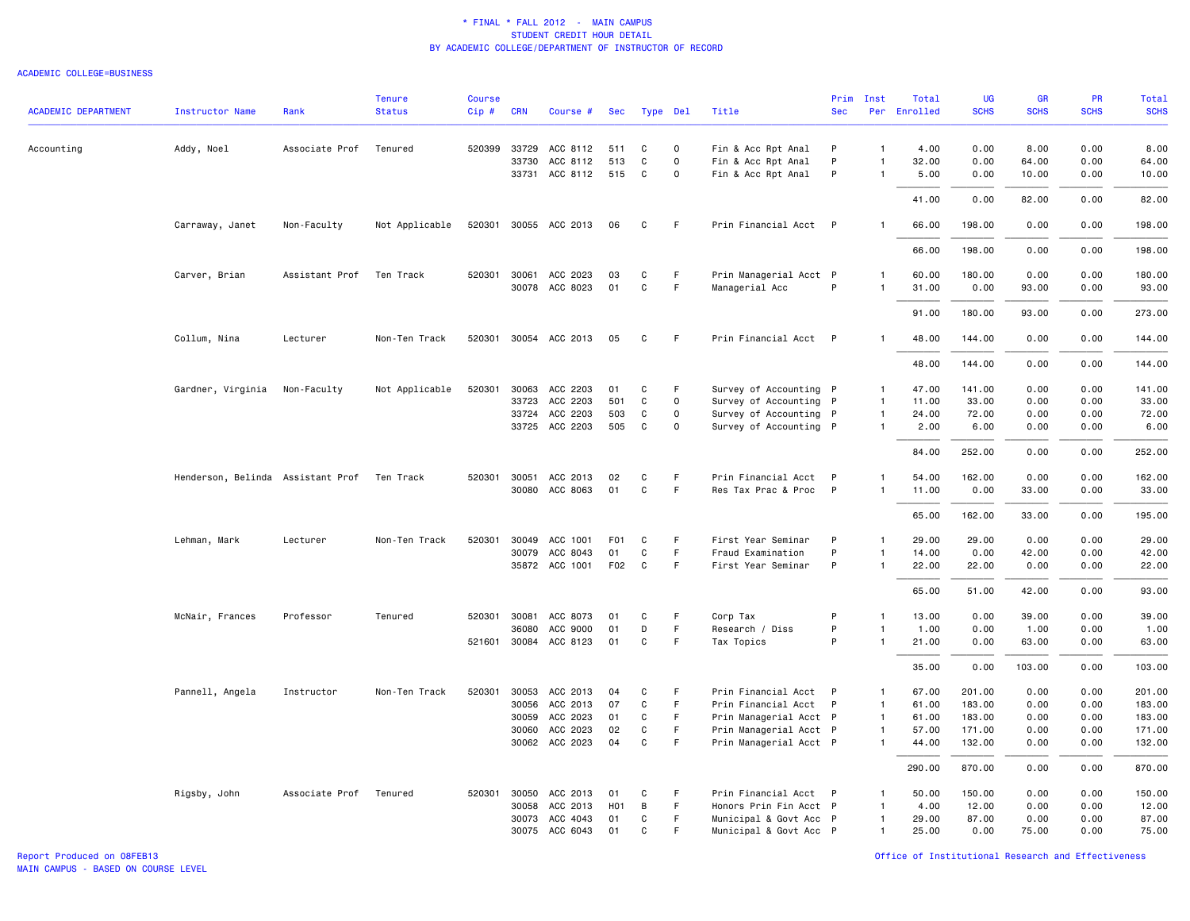#### ACADEMIC COLLEGE=BUSINESS

| <b>ACADEMIC DEPARTMENT</b> | <b>Instructor Name</b>            | Rank           | <b>Tenure</b><br><b>Status</b> | <b>Course</b><br>Cip# | <b>CRN</b>   | Course #                   | Sec              | Type Del          |                  | Title                                            | <b>Sec</b>   | Prim Inst                    | Total<br>Per Enrolled | <b>UG</b><br><b>SCHS</b> | <b>GR</b><br><b>SCHS</b> | <b>PR</b><br><b>SCHS</b> | Total<br><b>SCHS</b> |
|----------------------------|-----------------------------------|----------------|--------------------------------|-----------------------|--------------|----------------------------|------------------|-------------------|------------------|--------------------------------------------------|--------------|------------------------------|-----------------------|--------------------------|--------------------------|--------------------------|----------------------|
|                            |                                   |                |                                |                       |              |                            |                  |                   |                  |                                                  |              |                              |                       |                          |                          |                          |                      |
| Accounting                 | Addy, Noel                        | Associate Prof | Tenured                        | 520399                | 33729        | ACC 8112                   | 511              | C                 | $\circ$          | Fin & Acc Rpt Anal                               | P            | $\mathbf{1}$                 | 4.00                  | 0.00                     | 8.00                     | 0.00                     | 8.00                 |
|                            |                                   |                |                                |                       | 33730        | ACC 8112<br>33731 ACC 8112 | 513<br>515       | C<br>C            | $\mathbf 0$<br>0 | Fin & Acc Rpt Anal<br>Fin & Acc Rpt Anal         | P<br>P       | $\mathbf{1}$<br>$\mathbf{1}$ | 32.00<br>5.00         | 0.00<br>0.00             | 64.00<br>10.00           | 0.00<br>0.00             | 64.00<br>10.00       |
|                            |                                   |                |                                |                       |              |                            |                  |                   |                  |                                                  |              |                              |                       |                          |                          |                          |                      |
|                            |                                   |                |                                |                       |              |                            |                  |                   |                  |                                                  |              |                              | 41.00                 | 0.00                     | 82.00                    | 0.00                     | 82.00                |
|                            | Carraway, Janet                   | Non-Faculty    | Not Applicable                 |                       |              | 520301 30055 ACC 2013      | 06               | C                 | F                | Prin Financial Acct P                            |              | $\mathbf{1}$                 | 66.00                 | 198.00                   | 0.00                     | 0.00                     | 198.00               |
|                            |                                   |                |                                |                       |              |                            |                  |                   |                  |                                                  |              |                              | 66.00                 | 198.00                   | 0.00                     | 0.00                     | 198.00               |
|                            | Carver, Brian                     | Assistant Prof | Ten Track                      | 520301 30061          |              | ACC 2023                   | 03               | C                 | F.               | Prin Managerial Acct P                           |              | 1                            | 60.00                 | 180.00                   | 0.00                     | 0.00                     | 180.00               |
|                            |                                   |                |                                |                       |              | 30078 ACC 8023             | 01               | $\mathtt{C}$      | F                | Managerial Acc                                   | P            | $\mathbf{1}$                 | 31.00                 | 0.00                     | 93.00                    | 0.00                     | 93.00                |
|                            |                                   |                |                                |                       |              |                            |                  |                   |                  |                                                  |              |                              | 91.00                 | 180.00                   | 93.00                    | 0.00                     | 273.00               |
|                            | Collum, Nina                      | Lecturer       | Non-Ten Track                  |                       |              | 520301 30054 ACC 2013      | 05               | C                 | F                | Prin Financial Acct P                            |              | $\mathbf{1}$                 | 48.00                 | 144.00                   | 0.00                     | 0.00                     | 144.00               |
|                            |                                   |                |                                |                       |              |                            |                  |                   |                  |                                                  |              |                              | 48.00                 | 144.00                   | 0.00                     | 0.00                     | 144.00               |
|                            | Gardner, Virginia                 | Non-Faculty    | Not Applicable                 | 520301                |              | 30063 ACC 2203             | 01               | C                 | F                | Survey of Accounting P                           |              | $\mathbf{1}$                 | 47.00                 | 141.00                   | 0.00                     | 0.00                     | 141.00               |
|                            |                                   |                |                                |                       | 33723        | ACC 2203                   | 501              | C                 | 0                | Survey of Accounting P                           |              | $\mathbf{1}$                 | 11.00                 | 33.00                    | 0.00                     | 0.00                     | 33.00                |
|                            |                                   |                |                                |                       |              | 33724 ACC 2203             | 503              | C                 | 0                | Survey of Accounting P                           |              | $\mathbf{1}$                 | 24.00                 | 72.00                    | 0.00                     | 0.00                     | 72.00                |
|                            |                                   |                |                                |                       |              | 33725 ACC 2203             | 505              | C                 | $\mathbf 0$      | Survey of Accounting P                           |              | $\mathbf{1}$                 | 2.00                  | 6.00                     | 0.00                     | 0.00                     | 6.00                 |
|                            |                                   |                |                                |                       |              |                            |                  |                   |                  |                                                  |              |                              | 84.00                 | 252.00                   | 0.00                     | 0.00                     | 252.00               |
|                            | Henderson, Belinda Assistant Prof |                | Ten Track                      | 520301 30051          |              | ACC 2013                   | 02               | C                 | F                | Prin Financial Acct P                            |              | 1                            | 54.00                 | 162.00                   | 0.00                     | 0.00                     | 162.00               |
|                            |                                   |                |                                |                       | 30080        | ACC 8063                   | 01               | $\mathtt{C}$      | F                | Res Tax Prac & Proc                              | $\mathsf{P}$ | $\mathbf{1}$                 | 11.00                 | 0.00                     | 33.00                    | 0.00                     | 33.00                |
|                            |                                   |                |                                |                       |              |                            |                  |                   |                  |                                                  |              |                              | 65.00                 | 162.00                   | 33.00                    | 0.00                     | 195.00               |
|                            | Lehman, Mark                      | Lecturer       | Non-Ten Track                  | 520301                | 30049        | ACC 1001                   | F <sub>0</sub> 1 | C                 | F.               | First Year Seminar                               | P            | $\mathbf{1}$                 | 29.00                 | 29.00                    | 0.00                     | 0.00                     | 29.00                |
|                            |                                   |                |                                |                       |              | 30079 ACC 8043             | 01               | C                 | F.               | Fraud Examination                                | P            | $\mathbf{1}$                 | 14.00                 | 0.00                     | 42.00                    | 0.00                     | 42.00                |
|                            |                                   |                |                                |                       |              | 35872 ACC 1001             | F02              | C                 | F.               | First Year Seminar                               | P            | $\mathbf{1}$                 | 22.00                 | 22.00                    | 0.00                     | 0.00                     | 22.00                |
|                            |                                   |                |                                |                       |              |                            |                  |                   |                  |                                                  |              |                              | 65.00                 | 51.00                    | 42.00                    | 0.00                     | 93.00                |
|                            | McNair, Frances                   | Professor      | Tenured                        | 520301 30081          |              | ACC 8073                   | 01               | C                 | F                | Corp Tax                                         | P            | $\mathbf{1}$                 | 13.00                 | 0.00                     | 39.00                    | 0.00                     | 39.00                |
|                            |                                   |                |                                |                       | 36080        | ACC 9000                   | 01               | D                 | F                | Research / Diss                                  | P            | $\mathbf{1}$                 | 1.00                  | 0.00                     | 1.00                     | 0.00                     | 1.00                 |
|                            |                                   |                |                                |                       |              | 521601 30084 ACC 8123      | 01               | C                 | F                | Tax Topics                                       | P            | $\mathbf{1}$                 | 21.00                 | 0.00                     | 63.00                    | 0.00                     | 63.00                |
|                            |                                   |                |                                |                       |              |                            |                  |                   |                  |                                                  |              |                              | 35.00                 | 0.00                     | 103.00                   | 0.00                     | 103.00               |
|                            | Pannell, Angela                   | Instructor     | Non-Ten Track                  | 520301                | 30053        | ACC 2013                   | 04               | C                 | F                | Prin Financial Acct P                            |              | $\mathbf{1}$                 | 67.00                 | 201.00                   | 0.00                     | 0.00                     | 201.00               |
|                            |                                   |                |                                |                       | 30056        | ACC 2013                   | 07               | $\mathtt{C}$      | F                | Prin Financial Acct                              | P            | $\mathbf{1}$                 | 61.00                 | 183.00                   | 0.00                     | 0.00                     | 183.00               |
|                            |                                   |                |                                |                       | 30059        | ACC 2023                   | 01               | C                 | F                | Prin Managerial Acct P                           |              | $\mathbf{1}$                 | 61.00                 | 183.00                   | 0.00                     | 0.00                     | 183.00               |
|                            |                                   |                |                                |                       | 30060        | ACC 2023<br>30062 ACC 2023 | 02<br>04         | C<br>$\mathtt{C}$ | F.<br>F          | Prin Managerial Acct P<br>Prin Managerial Acct P |              | $\mathbf{1}$<br>$\mathbf{1}$ | 57.00<br>44.00        | 171.00<br>132.00         | 0.00<br>0.00             | 0.00<br>0.00             | 171.00<br>132.00     |
|                            |                                   |                |                                |                       |              |                            |                  |                   |                  |                                                  |              |                              |                       |                          |                          |                          |                      |
|                            |                                   |                |                                |                       |              |                            |                  |                   |                  |                                                  |              |                              | 290.00                | 870.00                   | 0.00                     | 0.00                     | 870.00               |
|                            | Rigsby, John                      | Associate Prof | Tenured                        |                       | 520301 30050 | ACC 2013                   | 01               | C                 | F                | Prin Financial Acct P                            |              | 1                            | 50.00                 | 150.00                   | 0.00                     | 0.00                     | 150.00               |
|                            |                                   |                |                                |                       | 30058        | ACC 2013                   | H <sub>0</sub> 1 | B                 | F.               | Honors Prin Fin Acct P                           |              | $\mathbf{1}$                 | 4.00                  | 12.00                    | 0.00                     | 0.00                     | 12.00                |
|                            |                                   |                |                                |                       |              | 30073 ACC 4043             | 01               | C                 | F                | Municipal & Govt Acc P                           |              | $\mathbf{1}$                 | 29.00                 | 87.00                    | 0.00                     | 0.00                     | 87.00                |
|                            |                                   |                |                                |                       |              | 30075 ACC 6043             | 01               | C                 | F                | Municipal & Govt Acc P                           |              | $\mathbf{1}$                 | 25.00                 | 0.00                     | 75.00                    | 0.00                     | 75.00                |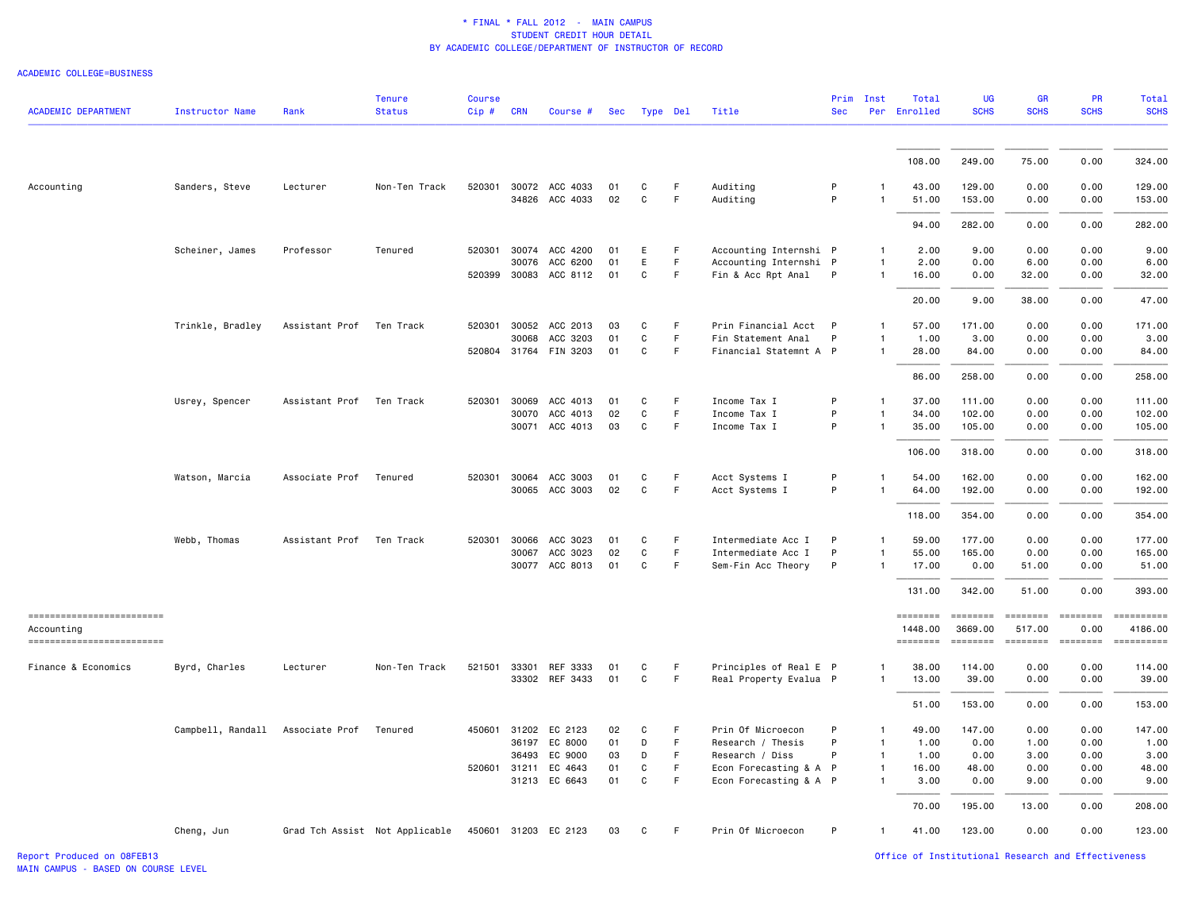ACADEMIC COLLEGE=BUSINESS

| <b>ACADEMIC DEPARTMENT</b>               | Instructor Name   | Rank           | <b>Tenure</b><br><b>Status</b> | <b>Course</b><br>Cip# | CRN          | Course #                         | Sec      | Type Del         |                   | Title                  | <b>Sec</b> | Prim Inst      | Total<br>Per Enrolled      | <b>UG</b><br><b>SCHS</b>   | <b>GR</b><br><b>SCHS</b>  | PR<br><b>SCHS</b>                                                                                                                                                                                                                                                                                                                                                                                                                                                                                                                                             | Total<br><b>SCHS</b>  |
|------------------------------------------|-------------------|----------------|--------------------------------|-----------------------|--------------|----------------------------------|----------|------------------|-------------------|------------------------|------------|----------------|----------------------------|----------------------------|---------------------------|---------------------------------------------------------------------------------------------------------------------------------------------------------------------------------------------------------------------------------------------------------------------------------------------------------------------------------------------------------------------------------------------------------------------------------------------------------------------------------------------------------------------------------------------------------------|-----------------------|
|                                          |                   |                |                                |                       |              |                                  |          |                  |                   |                        |            |                |                            |                            |                           |                                                                                                                                                                                                                                                                                                                                                                                                                                                                                                                                                               |                       |
|                                          |                   |                |                                |                       |              |                                  |          |                  |                   |                        |            |                | 108.00                     | 249.00                     | 75.00                     | 0.00                                                                                                                                                                                                                                                                                                                                                                                                                                                                                                                                                          | 324.00                |
| Accounting                               | Sanders, Steve    | Lecturer       | Non-Ten Track                  | 520301                |              | 30072 ACC 4033<br>34826 ACC 4033 | 01<br>02 | C<br>$\mathbf C$ | F.<br>$\mathsf F$ | Auditing<br>Auditing   | P<br>P     | -1<br>1        | 43.00<br>51.00             | 129.00<br>153.00           | 0.00<br>0.00              | 0.00<br>0.00                                                                                                                                                                                                                                                                                                                                                                                                                                                                                                                                                  | 129.00<br>153.00      |
|                                          |                   |                |                                |                       |              |                                  |          |                  |                   |                        |            |                | 94.00                      | 282.00                     | 0.00                      | 0.00                                                                                                                                                                                                                                                                                                                                                                                                                                                                                                                                                          | 282.00                |
|                                          | Scheiner, James   | Professor      | Tenured                        |                       |              | 520301 30074 ACC 4200            | 01       | Е                | F                 | Accounting Internshi P |            | $\mathbf{1}$   | 2.00                       | 9.00                       | 0.00                      | 0.00                                                                                                                                                                                                                                                                                                                                                                                                                                                                                                                                                          | 9.00                  |
|                                          |                   |                |                                |                       | 30076        | ACC 6200                         | 01       | Ε                | F                 | Accounting Internshi P |            | $\mathbf{1}$   | 2.00                       | 0.00                       | 6.00                      | 0.00                                                                                                                                                                                                                                                                                                                                                                                                                                                                                                                                                          | 6.00                  |
|                                          |                   |                |                                |                       | 520399 30083 | ACC 8112                         | 01       | C                | F.                | Fin & Acc Rpt Anal     | P          | $\mathbf{1}$   | 16.00                      | 0.00                       | 32.00                     | 0.00                                                                                                                                                                                                                                                                                                                                                                                                                                                                                                                                                          | 32.00                 |
|                                          |                   |                |                                |                       |              |                                  |          |                  |                   |                        |            |                | 20.00                      | 9.00                       | 38.00                     | 0.00                                                                                                                                                                                                                                                                                                                                                                                                                                                                                                                                                          | 47.00                 |
|                                          | Trinkle, Bradley  | Assistant Prof | Ten Track                      |                       | 520301 30052 | ACC 2013                         | 03       | C                | F                 | Prin Financial Acct P  |            | $\mathbf{1}$   | 57.00                      | 171.00                     | 0.00                      | 0.00                                                                                                                                                                                                                                                                                                                                                                                                                                                                                                                                                          | 171.00                |
|                                          |                   |                |                                |                       | 30068        | ACC 3203                         | 01       | C                | F.                | Fin Statement Anal     | P          | -1             | 1.00                       | 3.00                       | 0.00                      | 0.00                                                                                                                                                                                                                                                                                                                                                                                                                                                                                                                                                          | 3.00                  |
|                                          |                   |                |                                |                       |              | 520804 31764 FIN 3203            | 01       | C                | F.                | Financial Statemnt A P |            | $\overline{1}$ | 28.00                      | 84.00                      | 0.00                      | 0.00                                                                                                                                                                                                                                                                                                                                                                                                                                                                                                                                                          | 84.00                 |
|                                          |                   |                |                                |                       |              |                                  |          |                  |                   |                        |            |                | 86.00                      | 258.00                     | 0.00                      | 0.00                                                                                                                                                                                                                                                                                                                                                                                                                                                                                                                                                          | 258.00                |
|                                          | Usrey, Spencer    | Assistant Prof | Ten Track                      |                       | 520301 30069 | ACC 4013                         | 01       | C                | F                 | Income Tax I           | P          | -1             | 37.00                      | 111.00                     | 0.00                      | 0.00                                                                                                                                                                                                                                                                                                                                                                                                                                                                                                                                                          | 111.00                |
|                                          |                   |                |                                |                       | 30070        | ACC 4013                         | 02       | C                | $\mathsf F$       | Income Tax I           | P          | $\mathbf{1}$   | 34.00                      | 102.00                     | 0.00                      | 0.00                                                                                                                                                                                                                                                                                                                                                                                                                                                                                                                                                          | 102.00                |
|                                          |                   |                |                                |                       | 30071        | ACC 4013                         | 03       | C                | $\mathsf F$       | Income Tax I           | P          | $\mathbf{1}$   | 35.00                      | 105.00                     | 0.00                      | 0.00                                                                                                                                                                                                                                                                                                                                                                                                                                                                                                                                                          | 105.00                |
|                                          |                   |                |                                |                       |              |                                  |          |                  |                   |                        |            |                | 106.00                     | 318.00                     | 0.00                      | 0.00                                                                                                                                                                                                                                                                                                                                                                                                                                                                                                                                                          | 318.00                |
|                                          | Watson, Marcia    | Associate Prof | Tenured                        |                       | 520301 30064 | ACC 3003                         | 01       | C                | F.                | Acct Systems I         | P          | -1             | 54.00                      | 162.00                     | 0.00                      | 0.00                                                                                                                                                                                                                                                                                                                                                                                                                                                                                                                                                          | 162.00                |
|                                          |                   |                |                                |                       | 30065        | ACC 3003                         | 02       | $\mathbf C$      | F                 | Acct Systems I         | P          | -1             | 64.00                      | 192.00                     | 0.00                      | 0.00                                                                                                                                                                                                                                                                                                                                                                                                                                                                                                                                                          | 192.00                |
|                                          |                   |                |                                |                       |              |                                  |          |                  |                   |                        |            |                | 118.00                     | 354.00                     | 0.00                      | 0.00                                                                                                                                                                                                                                                                                                                                                                                                                                                                                                                                                          | 354.00                |
|                                          | Webb, Thomas      | Assistant Prof | Ten Track                      | 520301                | 30066        | ACC 3023                         | 01       | C                | F                 | Intermediate Acc I     | P          | $\mathbf{1}$   | 59.00                      | 177.00                     | 0.00                      | 0.00                                                                                                                                                                                                                                                                                                                                                                                                                                                                                                                                                          | 177.00                |
|                                          |                   |                |                                |                       | 30067        | ACC 3023                         | 02       | $\mathbf C$      | F                 | Intermediate Acc I     | P          | -1             | 55.00                      | 165.00                     | 0.00                      | 0.00                                                                                                                                                                                                                                                                                                                                                                                                                                                                                                                                                          | 165.00                |
|                                          |                   |                |                                |                       | 30077        | ACC 8013                         | 01       | C                | F.                | Sem-Fin Acc Theory     | P          | $\mathbf{1}$   | 17.00                      | 0.00                       | 51.00                     | 0.00                                                                                                                                                                                                                                                                                                                                                                                                                                                                                                                                                          | 51.00                 |
|                                          |                   |                |                                |                       |              |                                  |          |                  |                   |                        |            |                | 131.00                     | 342.00                     | 51.00                     | 0.00                                                                                                                                                                                                                                                                                                                                                                                                                                                                                                                                                          | 393.00                |
| -------------------------                |                   |                |                                |                       |              |                                  |          |                  |                   |                        |            |                | ========                   | ========                   | ========                  | ========                                                                                                                                                                                                                                                                                                                                                                                                                                                                                                                                                      | ==========            |
| Accounting<br>========================== |                   |                |                                |                       |              |                                  |          |                  |                   |                        |            |                | 1448.00<br><b>EDESSEDE</b> | 3669.00<br><b>SESSESSE</b> | 517.00<br>$= 1.122222222$ | 0.00<br>$\begin{array}{c} \begin{array}{c} \begin{array}{c} \begin{array}{c} \end{array}\\ \end{array} \end{array} \end{array} \end{array} \end{array} \end{array} \begin{array}{c} \begin{array}{c} \begin{array}{c} \end{array} \end{array} \end{array} \end{array} \begin{array}{c} \begin{array}{c} \begin{array}{c} \end{array} \end{array} \end{array} \end{array} \begin{array}{c} \begin{array}{c} \begin{array}{c} \end{array} \end{array} \end{array} \end{array} \begin{array}{c} \begin{array}{c} \begin{array}{c} \end{array} \end{array} \end{$ | 4186.00<br>========== |
| Finance & Economics                      | Byrd, Charles     | Lecturer       | Non-Ten Track                  |                       |              | 521501 33301 REF 3333            | 01       | C                | F                 | Principles of Real E P |            | 1              | 38.00                      | 114.00                     | 0.00                      | 0.00                                                                                                                                                                                                                                                                                                                                                                                                                                                                                                                                                          | 114.00                |
|                                          |                   |                |                                |                       |              | 33302 REF 3433                   | 01       | C                | F                 | Real Property Evalua P |            | -1             | 13.00                      | 39.00                      | 0.00                      | 0.00                                                                                                                                                                                                                                                                                                                                                                                                                                                                                                                                                          | 39.00                 |
|                                          |                   |                |                                |                       |              |                                  |          |                  |                   |                        |            |                | 51.00                      | 153.00                     | 0.00                      | 0.00                                                                                                                                                                                                                                                                                                                                                                                                                                                                                                                                                          | 153.00                |
|                                          | Campbell, Randall | Associate Prof | Tenured                        |                       |              | 450601 31202 EC 2123             | 02       | C                | F.                | Prin Of Microecon      | P          | $\mathbf{1}$   | 49.00                      | 147.00                     | 0.00                      | 0.00                                                                                                                                                                                                                                                                                                                                                                                                                                                                                                                                                          | 147.00                |
|                                          |                   |                |                                |                       | 36197        | EC 8000                          | 01       | D                | F                 | Research / Thesis      | P          | $\mathbf{1}$   | 1.00                       | 0.00                       | 1.00                      | 0.00                                                                                                                                                                                                                                                                                                                                                                                                                                                                                                                                                          | 1.00                  |
|                                          |                   |                |                                |                       | 36493        | EC 9000                          | 03       | D                | F.                | Research / Diss        | P          | $\mathbf{1}$   | 1.00                       | 0.00                       | 3.00                      | 0.00                                                                                                                                                                                                                                                                                                                                                                                                                                                                                                                                                          | 3.00                  |
|                                          |                   |                |                                |                       | 520601 31211 | EC 4643                          | 01       | C                | F                 | Econ Forecasting & A P |            | $\mathbf{1}$   | 16.00                      | 48.00                      | 0.00                      | 0.00                                                                                                                                                                                                                                                                                                                                                                                                                                                                                                                                                          | 48.00                 |
|                                          |                   |                |                                |                       |              | 31213 EC 6643                    | 01       | C                | F.                | Econ Forecasting & A P |            | $\mathbf{1}$   | 3.00                       | 0.00                       | 9.00                      | 0.00                                                                                                                                                                                                                                                                                                                                                                                                                                                                                                                                                          | 9.00                  |
|                                          |                   |                |                                |                       |              |                                  |          |                  |                   |                        |            |                | 70.00                      | 195.00                     | 13.00                     | 0.00                                                                                                                                                                                                                                                                                                                                                                                                                                                                                                                                                          | 208.00                |
|                                          | Cheng, Jun        |                | Grad Tch Assist Not Applicable |                       |              | 450601 31203 EC 2123             | 03       | C                | F.                | Prin Of Microecon      | P          | $\mathbf{1}$   | 41.00                      | 123.00                     | 0.00                      | 0.00                                                                                                                                                                                                                                                                                                                                                                                                                                                                                                                                                          | 123.00                |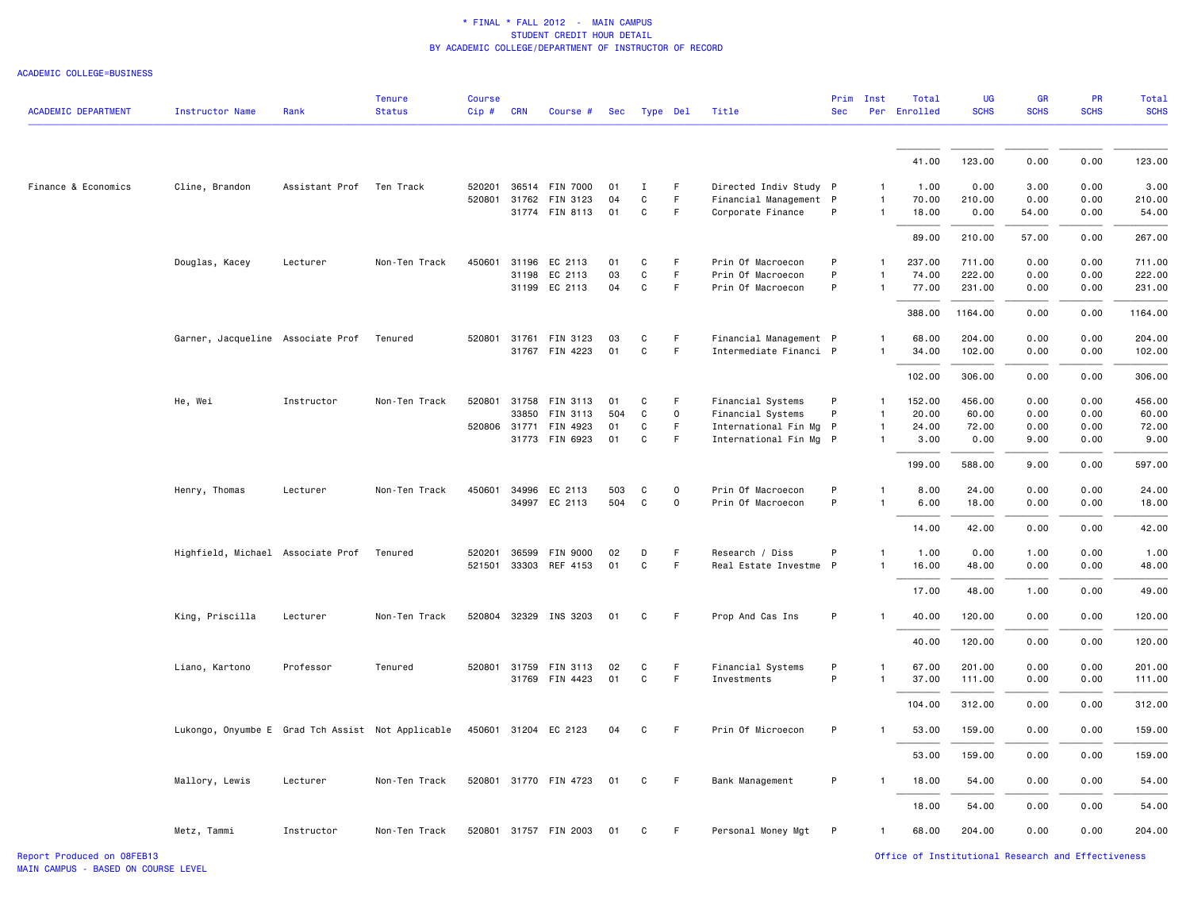| <b>ACADEMIC DEPARTMENT</b> | <b>Instructor Name</b>                            | Rank           | <b>Tenure</b><br><b>Status</b> | <b>Course</b><br>Cip# | <b>CRN</b>   | Course #              | Sec | Type Del     |             | Title                  | <b>Sec</b> | Prim Inst    | Total<br>Per Enrolled | <b>UG</b><br><b>SCHS</b> | <b>GR</b><br><b>SCHS</b> | <b>PR</b><br><b>SCHS</b> | <b>Total</b><br><b>SCHS</b> |
|----------------------------|---------------------------------------------------|----------------|--------------------------------|-----------------------|--------------|-----------------------|-----|--------------|-------------|------------------------|------------|--------------|-----------------------|--------------------------|--------------------------|--------------------------|-----------------------------|
|                            |                                                   |                |                                |                       |              |                       |     |              |             |                        |            |              |                       |                          |                          |                          |                             |
|                            |                                                   |                |                                |                       |              |                       |     |              |             |                        |            |              | 41.00                 | 123.00                   | 0.00                     | 0.00                     | 123.00                      |
| Finance & Economics        | Cline, Brandon                                    | Assistant Prof | Ten Track                      |                       |              | 520201 36514 FIN 7000 | 01  | Ι.           | F.          | Directed Indiv Study P |            | $\mathbf{1}$ | 1.00                  | 0.00                     | 3.00                     | 0.00                     | 3.00                        |
|                            |                                                   |                |                                |                       |              | 520801 31762 FIN 3123 | 04  | C            | F           | Financial Management P |            | $\mathbf{1}$ | 70.00                 | 210.00                   | 0.00                     | 0.00                     | 210.00                      |
|                            |                                                   |                |                                |                       |              | 31774 FIN 8113        | 01  | $\mathtt{C}$ | F           | Corporate Finance      | P          | $\mathbf{1}$ | 18.00                 | 0.00                     | 54.00                    | 0.00                     | 54.00                       |
|                            |                                                   |                |                                |                       |              |                       |     |              |             |                        |            |              | 89.00                 | 210.00                   | 57.00                    | 0.00                     | 267.00                      |
|                            | Douglas, Kacey                                    | Lecturer       | Non-Ten Track                  |                       |              | 450601 31196 EC 2113  | 01  | C            | F           | Prin Of Macroecon      | P          | $\mathbf{1}$ | 237.00                | 711.00                   | 0.00                     | 0.00                     | 711.00                      |
|                            |                                                   |                |                                |                       |              | 31198 EC 2113         | 03  | C            | F           | Prin Of Macroecon      | P          |              | 74.00                 | 222.00                   | 0.00                     | 0.00                     | 222.00                      |
|                            |                                                   |                |                                |                       |              | 31199 EC 2113         | 04  | C            | F           | Prin Of Macroecon      | P          | $\mathbf{1}$ | 77.00                 | 231.00                   | 0.00                     | 0.00                     | 231.00                      |
|                            |                                                   |                |                                |                       |              |                       |     |              |             |                        |            |              | 388.00                | 1164.00                  | 0.00                     | 0.00                     | 1164.00                     |
|                            | Garner, Jacqueline Associate Prof                 |                | Tenured                        |                       | 520801 31761 | FIN 3123              | 03  | C            | F           | Financial Management P |            | $\mathbf{1}$ | 68.00                 | 204.00                   | 0.00                     | 0.00                     | 204.00                      |
|                            |                                                   |                |                                |                       |              | 31767 FIN 4223        | 01  | C            | F           | Intermediate Financi P |            |              | 34.00                 | 102.00                   | 0.00                     | 0.00                     | 102.00                      |
|                            |                                                   |                |                                |                       |              |                       |     |              |             |                        |            |              | 102.00                | 306.00                   | 0.00                     | 0.00                     | 306.00                      |
|                            | He, Wei                                           | Instructor     | Non-Ten Track                  | 520801                | 31758        | FIN 3113              | 01  | C            | F           | Financial Systems      | P          | $\mathbf{1}$ | 152.00                | 456.00                   | 0.00                     | 0.00                     | 456.00                      |
|                            |                                                   |                |                                |                       | 33850        | FIN 3113              | 504 | C            | 0           | Financial Systems      | P          | 1            | 20.00                 | 60.00                    | 0.00                     | 0.00                     | 60.00                       |
|                            |                                                   |                |                                | 520806 31771          |              | FIN 4923              | 01  | C            | F.          | International Fin Mg P |            | 1            | 24.00                 | 72.00                    | 0.00                     | 0.00                     | 72.00                       |
|                            |                                                   |                |                                |                       |              | 31773 FIN 6923        | 01  | C            | F           | International Fin Mg P |            | $\mathbf{1}$ | 3.00                  | 0.00                     | 9.00                     | 0.00                     | 9.00                        |
|                            |                                                   |                |                                |                       |              |                       |     |              |             |                        |            |              | 199.00                | 588.00                   | 9.00                     | 0.00                     | 597.00                      |
|                            | Henry, Thomas                                     | Lecturer       | Non-Ten Track                  |                       |              | 450601 34996 EC 2113  | 503 | C            | $\mathbf 0$ | Prin Of Macroecon      | P          | $\mathbf{1}$ | 8.00                  | 24.00                    | 0.00                     | 0.00                     | 24.00                       |
|                            |                                                   |                |                                |                       |              | 34997 EC 2113         | 504 | C            | 0           | Prin Of Macroecon      | P          | $\mathbf{1}$ | 6.00                  | 18.00                    | 0.00                     | 0.00                     | 18.00                       |
|                            |                                                   |                |                                |                       |              |                       |     |              |             |                        |            |              | 14.00                 | 42.00                    | 0.00                     | 0.00                     | 42.00                       |
|                            | Highfield, Michael Associate Prof                 |                | Tenured                        | 520201                | 36599        | FIN 9000              | 02  | D            | F           | Research / Diss        | P          | $\mathbf{1}$ | 1.00                  | 0.00                     | 1.00                     | 0.00                     | 1.00                        |
|                            |                                                   |                |                                |                       |              | 521501 33303 REF 4153 | 01  | $\mathtt{C}$ | F           | Real Estate Investme P |            | $\mathbf{1}$ | 16.00                 | 48.00                    | 0.00                     | 0.00                     | 48.00                       |
|                            |                                                   |                |                                |                       |              |                       |     |              |             |                        |            |              | 17.00                 | 48.00                    | 1.00                     | 0.00                     | 49.00                       |
|                            | King, Priscilla                                   | Lecturer       | Non-Ten Track                  |                       |              | 520804 32329 INS 3203 | 01  | C            | F.          | Prop And Cas Ins       | P          | $\mathbf{1}$ | 40.00                 | 120.00                   | 0.00                     | 0.00                     | 120.00                      |
|                            |                                                   |                |                                |                       |              |                       |     |              |             |                        |            |              | 40.00                 | 120.00                   | 0.00                     | 0.00                     | 120.00                      |
|                            | Liano, Kartono                                    | Professor      | Tenured                        |                       |              | 520801 31759 FIN 3113 | 02  | C            | F           | Financial Systems      | P          |              | 67.00                 | 201.00                   | 0.00                     | 0.00                     | 201.00                      |
|                            |                                                   |                |                                |                       |              | 31769 FIN 4423        | 01  | $\mathtt{C}$ | F           | Investments            | P          |              | 37.00                 | 111.00                   | 0.00                     | 0.00                     | 111.00                      |
|                            |                                                   |                |                                |                       |              |                       |     |              |             |                        |            |              | 104.00                | 312.00                   | 0.00                     | 0.00                     | 312.00                      |
|                            | Lukongo, Onyumbe E Grad Tch Assist Not Applicable |                |                                |                       |              | 450601 31204 EC 2123  | 04  | C            | F           | Prin Of Microecon      | P          | $\mathbf{1}$ | 53.00                 | 159.00                   | 0.00                     | 0.00                     | 159.00                      |
|                            |                                                   |                |                                |                       |              |                       |     |              |             |                        |            |              | 53.00                 | 159.00                   | 0.00                     | 0.00                     | 159.00                      |
|                            | Mallory, Lewis                                    | Lecturer       | Non-Ten Track                  |                       |              | 520801 31770 FIN 4723 | 01  | C            | F.          | Bank Management        | P          | $\mathbf{1}$ | 18.00                 | 54.00                    | 0.00                     | 0.00                     | 54.00                       |
|                            |                                                   |                |                                |                       |              |                       |     |              |             |                        |            |              | 18.00                 | 54.00                    | 0.00                     | 0.00                     | 54.00                       |
|                            | Metz, Tammi                                       | Instructor     | Non-Ten Track                  |                       |              | 520801 31757 FIN 2003 | 01  | C            | F.          | Personal Money Mgt     | P          | $\mathbf{1}$ | 68.00                 | 204.00                   | 0.00                     | 0.00                     | 204.00                      |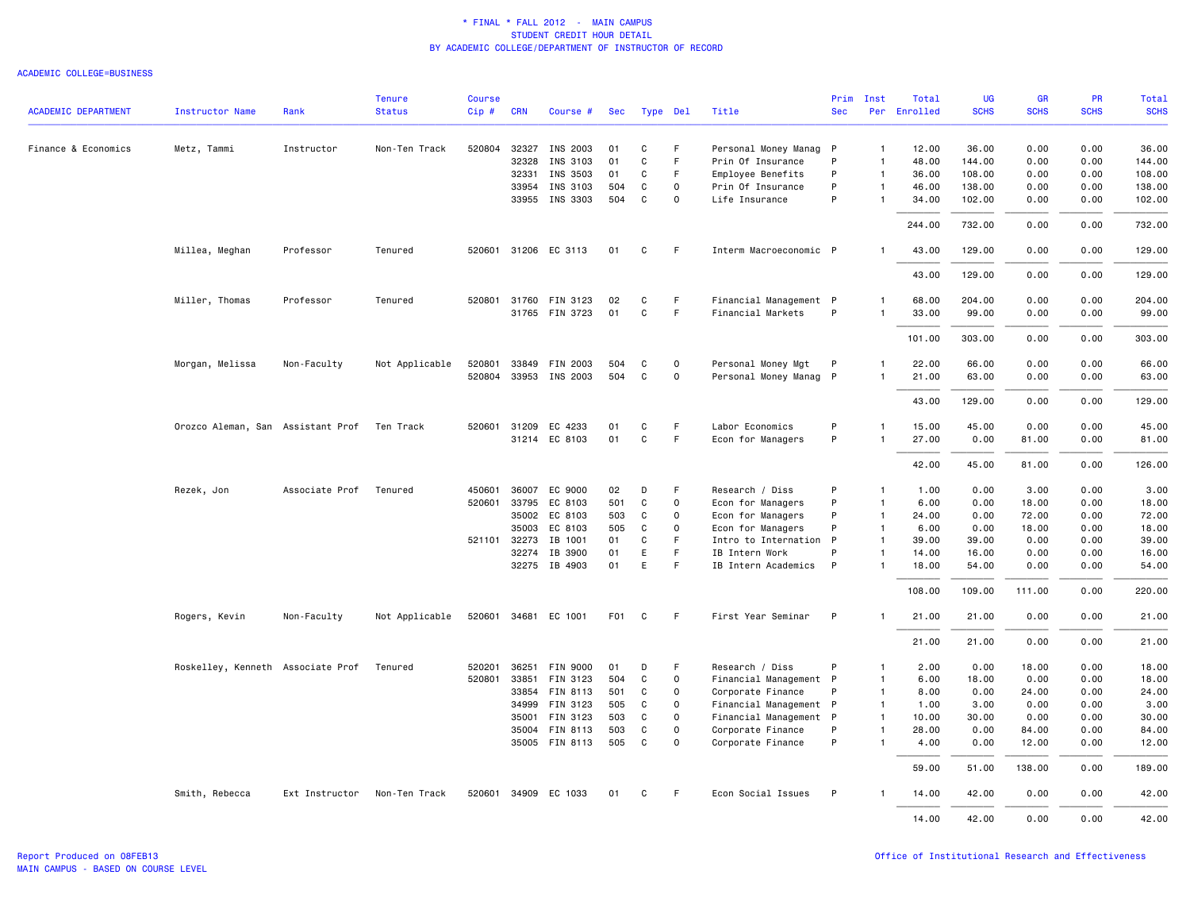|                            |                                             |                | <b>Tenure</b>  | <b>Course</b> |              |                       |                  |              |             |                        |            | Prim Inst      | Total        | <b>UG</b>   | <b>GR</b>   | <b>PR</b>   | <b>Total</b> |
|----------------------------|---------------------------------------------|----------------|----------------|---------------|--------------|-----------------------|------------------|--------------|-------------|------------------------|------------|----------------|--------------|-------------|-------------|-------------|--------------|
| <b>ACADEMIC DEPARTMENT</b> | <b>Instructor Name</b>                      | Rank           | <b>Status</b>  | Cip#          | <b>CRN</b>   | Course #              | Sec              | Type Del     |             | Title                  | <b>Sec</b> |                | Per Enrolled | <b>SCHS</b> | <b>SCHS</b> | <b>SCHS</b> | <b>SCHS</b>  |
| Finance & Economics        | Metz, Tammi                                 | Instructor     | Non-Ten Track  | 520804        | 32327        | INS 2003              | 01               | C            | F           | Personal Money Manag P |            | $\mathbf{1}$   | 12.00        | 36.00       | 0.00        | 0.00        | 36.00        |
|                            |                                             |                |                |               | 32328        | INS 3103              | 01               | $\mathtt{C}$ | F           | Prin Of Insurance      | P          | $\mathbf{1}$   | 48.00        | 144.00      | 0.00        | 0.00        | 144.00       |
|                            |                                             |                |                |               | 32331        | INS 3503              | 01               | C            | F           | Employee Benefits      | P          | $\mathbf{1}$   | 36.00        | 108.00      | 0.00        | 0.00        | 108.00       |
|                            |                                             |                |                |               | 33954        | INS 3103              | 504              | C            | $\Omega$    | Prin Of Insurance      | P          | $\mathbf{1}$   | 46.00        | 138.00      | 0.00        | 0.00        | 138.00       |
|                            |                                             |                |                |               |              | 33955 INS 3303        | 504              | C            | $\mathbf 0$ | Life Insurance         | P          |                | 34.00        | 102.00      | 0.00        | 0.00        | 102.00       |
|                            |                                             |                |                |               |              |                       |                  |              |             |                        |            |                | 244.00       | 732.00      | 0.00        | 0.00        | 732.00       |
|                            | Millea, Meghan                              | Professor      | Tenured        |               |              | 520601 31206 EC 3113  | 01               | C            | F.          | Interm Macroeconomic P |            |                | 43.00        | 129.00      | 0.00        | 0.00        | 129.00       |
|                            |                                             |                |                |               |              |                       |                  |              |             |                        |            |                | 43.00        | 129.00      | 0.00        | 0.00        | 129.00       |
|                            | Miller, Thomas                              | Professor      | Tenured        |               |              | 520801 31760 FIN 3123 | 02               | C            | F           | Financial Management P |            | 1              | 68.00        | 204.00      | 0.00        | 0.00        | 204.00       |
|                            |                                             |                |                |               |              | 31765 FIN 3723        | 01               | C            | F           | Financial Markets      | P          |                | 33.00        | 99.00       | 0.00        | 0.00        | 99.00        |
|                            |                                             |                |                |               |              |                       |                  |              |             |                        |            |                | 101.00       | 303.00      | 0.00        | 0.00        | 303.00       |
|                            | Morgan, Melissa                             | Non-Faculty    | Not Applicable | 520801        |              | 33849 FIN 2003        | 504              | C            | $\mathbf 0$ | Personal Money Mgt     | P          |                | 22.00        | 66.00       | 0.00        | 0.00        | 66.00        |
|                            |                                             |                |                |               |              | 520804 33953 INS 2003 | 504              | C            | $\mathbf 0$ | Personal Money Manag P |            | $\mathbf{1}$   | 21.00        | 63.00       | 0.00        | 0.00        | 63.00        |
|                            |                                             |                |                |               |              |                       |                  |              |             |                        |            |                | 43.00        | 129.00      | 0.00        | 0.00        | 129.00       |
|                            | Orozco Aleman, San Assistant Prof Ten Track |                |                | 520601        | 31209        | EC 4233               | 01               | C            | F.          | Labor Economics        | P          | 1              | 15.00        | 45.00       | 0.00        | 0.00        | 45.00        |
|                            |                                             |                |                |               |              | 31214 EC 8103         | 01               | $\mathtt{C}$ | F           | Econ for Managers      | P          | $\mathbf{1}$   | 27.00        | 0.00        | 81.00       | 0.00        | 81.00        |
|                            |                                             |                |                |               |              |                       |                  |              |             |                        |            |                |              |             |             |             |              |
|                            |                                             |                |                |               |              |                       |                  |              |             |                        |            |                | 42.00        | 45.00       | 81.00       | 0.00        | 126.00       |
|                            | Rezek, Jon                                  | Associate Prof | Tenured        | 450601        | 36007        | EC 9000               | 02               | D            | F.          | Research / Diss        | P          | 1              | 1.00         | 0.00        | 3.00        | 0.00        | 3.00         |
|                            |                                             |                |                | 520601        | 33795        | EC 8103               | 501              | C            | $\Omega$    | Econ for Managers      | P          | $\mathbf{1}$   | 6.00         | 0.00        | 18.00       | 0.00        | 18.00        |
|                            |                                             |                |                |               |              | 35002 EC 8103         | 503              | C            | $\mathbf 0$ | Econ for Managers      | P          | $\overline{1}$ | 24.00        | 0.00        | 72.00       | 0.00        | 72.00        |
|                            |                                             |                |                |               | 35003        | EC 8103               | 505              | C            | 0           | Econ for Managers      | P          | $\overline{1}$ | 6.00         | 0.00        | 18.00       | 0.00        | 18.00        |
|                            |                                             |                |                |               | 521101 32273 | IB 1001               | 01               | C            | F.          | Intro to Internation P |            | $\mathbf{1}$   | 39.00        | 39.00       | 0.00        | 0.00        | 39.00        |
|                            |                                             |                |                |               | 32274        | IB 3900               | 01               | E            | F           | IB Intern Work         | P          | $\mathbf{1}$   | 14.00        | 16.00       | 0.00        | 0.00        | 16.00        |
|                            |                                             |                |                |               |              | 32275 IB 4903         | 01               | E            | F           | IB Intern Academics    | P          | $\mathbf{1}$   | 18.00        | 54.00       | 0.00        | 0.00        | 54.00        |
|                            |                                             |                |                |               |              |                       |                  |              |             |                        |            |                | 108.00       | 109.00      | 111.00      | 0.00        | 220.00       |
|                            | Rogers, Kevin                               | Non-Faculty    | Not Applicable |               | 520601 34681 | EC 1001               | F <sub>0</sub> 1 | C            | F           | First Year Seminar     | P          | $\mathbf{1}$   | 21.00        | 21.00       | 0.00        | 0.00        | 21.00        |
|                            |                                             |                |                |               |              |                       |                  |              |             |                        |            |                | 21.00        | 21.00       | 0.00        | 0.00        | 21.00        |
|                            | Roskelley, Kenneth Associate Prof Tenured   |                |                | 520201        | 36251        | <b>FIN 9000</b>       | 01               | D            | F.          | Research / Diss        | P          | $\mathbf{1}$   | 2.00         | 0.00        | 18.00       | 0.00        | 18.00        |
|                            |                                             |                |                |               | 520801 33851 | FIN 3123              | 504              | $\mathsf C$  | $\circ$     | Financial Management P |            | $\mathbf{1}$   | 6.00         | 18.00       | 0.00        | 0.00        | 18.00        |
|                            |                                             |                |                |               | 33854        | FIN 8113              | 501              | C            | $\mathbf 0$ | Corporate Finance      | P          | $\overline{1}$ | 8.00         | 0.00        | 24.00       | 0.00        | 24.00        |
|                            |                                             |                |                |               | 34999        | FIN 3123              | 505              | C            | 0           | Financial Management P |            | $\overline{1}$ | 1.00         | 3.00        | 0.00        | 0.00        | 3.00         |
|                            |                                             |                |                |               | 35001        | FIN 3123              | 503              | C            | $\Omega$    | Financial Management P |            | $\mathbf{1}$   | 10.00        | 30.00       | 0.00        | 0.00        | 30.00        |
|                            |                                             |                |                |               |              | 35004 FIN 8113        | 503              | C            | $\mathbf 0$ | Corporate Finance      | P          | $\mathbf{1}$   | 28.00        | 0.00        | 84.00       | 0.00        | 84.00        |
|                            |                                             |                |                |               |              | 35005 FIN 8113        | 505              | C            | 0           | Corporate Finance      | P          | $\mathbf{1}$   | 4.00         | 0.00        | 12.00       | 0.00        | 12.00        |
|                            |                                             |                |                |               |              |                       |                  |              |             |                        |            |                | 59.00        | 51.00       | 138.00      | 0.00        | 189.00       |
|                            | Smith, Rebecca                              | Ext Instructor | Non-Ten Track  |               |              | 520601 34909 EC 1033  | 01               | C            | F.          | Econ Social Issues     | P          |                | 14.00        | 42.00       | 0.00        | 0.00        | 42.00        |
|                            |                                             |                |                |               |              |                       |                  |              |             |                        |            |                | 14.00        | 42.00       | 0.00        | 0.00        | 42.00        |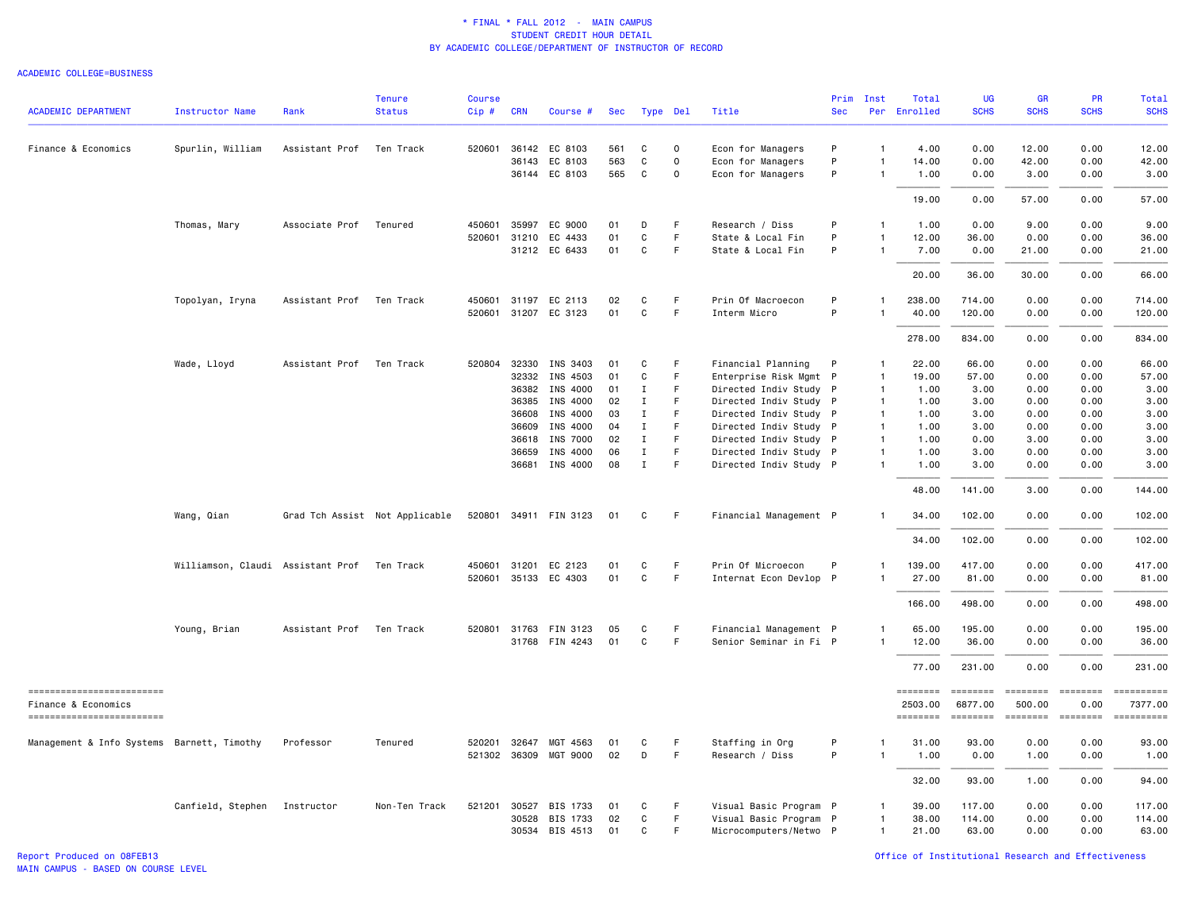|                                                   |                                             |                | <b>Tenure</b>                  | Course       |                |                       |          |                            |             |                                                  | Prim         | Inst                           | Total               | <b>UG</b>                 | GR                        | PR                      | <b>Total</b> |
|---------------------------------------------------|---------------------------------------------|----------------|--------------------------------|--------------|----------------|-----------------------|----------|----------------------------|-------------|--------------------------------------------------|--------------|--------------------------------|---------------------|---------------------------|---------------------------|-------------------------|--------------|
| <b>ACADEMIC DEPARTMENT</b>                        | <b>Instructor Name</b>                      | Rank           | <b>Status</b>                  | Cip#         | <b>CRN</b>     | Course #              | Sec      | Type Del                   |             | Title                                            | <b>Sec</b>   |                                | Per Enrolled        | <b>SCHS</b>               | <b>SCHS</b>               | <b>SCHS</b>             | <b>SCHS</b>  |
| Finance & Economics                               | Spurlin, William                            | Assistant Prof | Ten Track                      |              |                | 520601 36142 EC 8103  | 561      | C                          | $\mathbf 0$ | Econ for Managers                                | P            | $\mathbf{1}$                   | 4.00                | 0.00                      | 12.00                     | 0.00                    | 12.00        |
|                                                   |                                             |                |                                |              | 36143          | EC 8103               | 563      | C                          | $\mathbf 0$ | Econ for Managers                                | P            | $\mathbf{1}$                   | 14.00               | 0.00                      | 42.00                     | 0.00                    | 42.00        |
|                                                   |                                             |                |                                |              |                | 36144 EC 8103         | 565      | $\mathtt{C}$               | 0           | Econ for Managers                                | P            | $\overline{1}$                 | 1.00                | 0.00                      | 3.00                      | 0.00                    | 3.00         |
|                                                   |                                             |                |                                |              |                |                       |          |                            |             |                                                  |              |                                | 19.00               | 0.00                      | 57.00                     | 0.00                    | 57.00        |
|                                                   | Thomas, Mary                                | Associate Prof | Tenured                        | 450601       | 35997          | EC 9000               | 01       | D                          | F           | Research / Diss                                  | P            | -1                             | 1.00                | 0.00                      | 9.00                      | 0.00                    | 9.00         |
|                                                   |                                             |                |                                | 520601 31210 |                | EC 4433               | 01       | $\mathbf{C}$               | F.          | State & Local Fin                                | P            | $\overline{1}$                 | 12.00               | 36.00                     | 0.00                      | 0.00                    | 36.00        |
|                                                   |                                             |                |                                |              |                | 31212 EC 6433         | 01       | C                          | F           | State & Local Fin                                | P            | $\mathbf{1}$                   | 7.00                | 0.00                      | 21.00                     | 0.00                    | 21.00        |
|                                                   |                                             |                |                                |              |                |                       |          |                            |             |                                                  |              |                                | 20.00               | 36.00                     | 30.00                     | 0.00                    | 66.00        |
|                                                   | Topolyan, Iryna                             | Assistant Prof | Ten Track                      | 450601       | 31197          | EC 2113               | 02       | С                          | F           | Prin Of Macroecon                                | P            | -1                             | 238.00              | 714.00                    | 0.00                      | 0.00                    | 714.00       |
|                                                   |                                             |                |                                |              |                | 520601 31207 EC 3123  | 01       | C                          | F           | Interm Micro                                     | P            | $\mathbf{1}$                   | 40.00               | 120.00                    | 0.00                      | 0.00                    | 120.00       |
|                                                   |                                             |                |                                |              |                |                       |          |                            |             |                                                  |              |                                | 278.00              | 834.00                    | 0.00                      | 0.00                    | 834.00       |
|                                                   | Wade, Lloyd                                 | Assistant Prof | Ten Track                      | 520804 32330 |                | INS 3403              | 01       | C                          | F           | Financial Planning                               | $\mathsf{P}$ | $\mathbf{1}$                   | 22.00               | 66.00                     | 0.00                      | 0.00                    | 66.00        |
|                                                   |                                             |                |                                |              | 32332          | INS 4503              | 01       | C                          | F           | Enterprise Risk Mgmt P                           |              | $\mathbf{1}$                   | 19.00               | 57.00                     | 0.00                      | 0.00                    | 57.00        |
|                                                   |                                             |                |                                |              | 36382          | INS 4000              | 01       | $\mathbf I$                | F.          | Directed Indiv Study P                           |              | $\mathbf{1}$                   | 1.00                | 3.00                      | 0.00                      | 0.00                    | 3.00         |
|                                                   |                                             |                |                                |              | 36385          | INS 4000              | 02       | Ι.                         | F.          | Directed Indiv Study P                           |              | $\mathbf{1}$                   | 1.00                | 3.00                      | 0.00                      | 0.00                    | 3.00         |
|                                                   |                                             |                |                                |              | 36608          | INS 4000              | 03       | Ι.                         | F           | Directed Indiv Study P                           |              | $\mathbf{1}$                   | 1.00                | 3.00                      | 0.00                      | 0.00                    | 3.00         |
|                                                   |                                             |                |                                |              | 36609          | INS 4000              | 04       | $\mathbf{I}$               | F.          | Directed Indiv Study P                           |              | $\mathbf{1}$                   | 1.00                | 3.00                      | 0.00                      | 0.00                    | 3.00         |
|                                                   |                                             |                |                                |              | 36618          | INS 7000              | 02       | $\bf{I}$                   | F.<br>F     | Directed Indiv Study P                           |              | $\mathbf{1}$                   | 1.00                | 0.00                      | 3.00                      | 0.00                    | 3.00         |
|                                                   |                                             |                |                                |              | 36659<br>36681 | INS 4000<br>INS 4000  | 06<br>08 | $\mathbf I$<br>$\mathbf I$ | F           | Directed Indiv Study P<br>Directed Indiv Study P |              | $\overline{1}$<br>$\mathbf{1}$ | 1.00<br>1.00        | 3.00<br>3.00              | 0.00<br>0.00              | 0.00<br>0.00            | 3.00<br>3.00 |
|                                                   |                                             |                |                                |              |                |                       |          |                            |             |                                                  |              |                                | 48.00               | 141.00                    | 3.00                      | 0.00                    | 144.00       |
|                                                   | Wang, Qian                                  |                | Grad Tch Assist Not Applicable |              |                | 520801 34911 FIN 3123 | 01       | С                          | $\mathsf F$ | Financial Management P                           |              |                                | 34.00               | 102.00                    | 0.00                      | 0.00                    | 102.00       |
|                                                   |                                             |                |                                |              |                |                       |          |                            |             |                                                  |              |                                | 34.00               | 102.00                    | 0.00                      | 0.00                    | 102.00       |
|                                                   | Williamson, Claudi Assistant Prof Ten Track |                |                                | 450601 31201 |                | EC 2123               | 01       | C                          | F           | Prin Of Microecon                                | P            | $\mathbf{1}$                   | 139.00              | 417.00                    | 0.00                      | 0.00                    | 417.00       |
|                                                   |                                             |                |                                |              |                | 520601 35133 EC 4303  | 01       | C                          | F           | Internat Econ Devlop P                           |              |                                | 27.00               | 81.00                     | 0.00                      | 0.00                    | 81.00        |
|                                                   |                                             |                |                                |              |                |                       |          |                            |             |                                                  |              |                                | 166.00              | 498.00                    | 0.00                      | 0.00                    | 498.00       |
|                                                   | Young, Brian                                | Assistant Prof | Ten Track                      |              |                | 520801 31763 FIN 3123 | 05       | C                          | F           | Financial Management P                           |              | $\overline{1}$                 | 65.00               | 195.00                    | 0.00                      | 0.00                    | 195.00       |
|                                                   |                                             |                |                                |              |                | 31768 FIN 4243        | 01       | C                          | F           | Senior Seminar in Fi P                           |              | $\mathbf{1}$                   | 12.00               | 36.00                     | 0.00                      | 0.00                    | 36.00        |
|                                                   |                                             |                |                                |              |                |                       |          |                            |             |                                                  |              |                                | 77.00               | 231.00                    | 0.00                      | 0.00                    | 231.00       |
| ------------------------                          |                                             |                |                                |              |                |                       |          |                            |             |                                                  |              |                                | ========            | ========                  | ========                  | $= 222222222$           | ==========   |
| Finance & Economics<br>========================== |                                             |                |                                |              |                |                       |          |                            |             |                                                  |              |                                | 2503.00<br>======== | 6877.00<br><b>CODEDED</b> | 500.00<br><b>SEEBERED</b> | 0.00<br><b>EDEDEDEE</b> | 7377.00      |
| Management & Info Systems Barnett, Timothy        |                                             | Professor      | Tenured                        | 520201 32647 |                | MGT 4563              | 01       | C                          | F           | Staffing in Org                                  | P            |                                | 31.00               | 93.00                     | 0.00                      | 0.00                    | 93.00        |
|                                                   |                                             |                |                                |              |                | 521302 36309 MGT 9000 | 02       | D                          | F           | Research / Diss                                  | P            | $\mathbf{1}$                   | 1.00                | 0.00                      | 1.00                      | 0.00                    | 1.00         |
|                                                   |                                             |                |                                |              |                |                       |          |                            |             |                                                  |              |                                | 32.00               | 93.00                     | 1.00                      | 0.00                    | 94.00        |
|                                                   | Canfield, Stephen Instructor                |                | Non-Ten Track                  | 521201 30527 |                | BIS 1733              | 01       | C                          | F           | Visual Basic Program P                           |              | -1                             | 39.00               | 117.00                    | 0.00                      | 0.00                    | 117.00       |
|                                                   |                                             |                |                                |              |                | 30528 BIS 1733        | 02       | C                          | F.          | Visual Basic Program P                           |              | $\mathbf{1}$                   | 38.00               | 114.00                    | 0.00                      | 0.00                    | 114.00       |
|                                                   |                                             |                |                                |              |                | 30534 BIS 4513        | 01       | C                          | F.          | Microcomputers/Netwo P                           |              | $\mathbf{1}$                   | 21.00               | 63.00                     | 0.00                      | 0.00                    | 63.00        |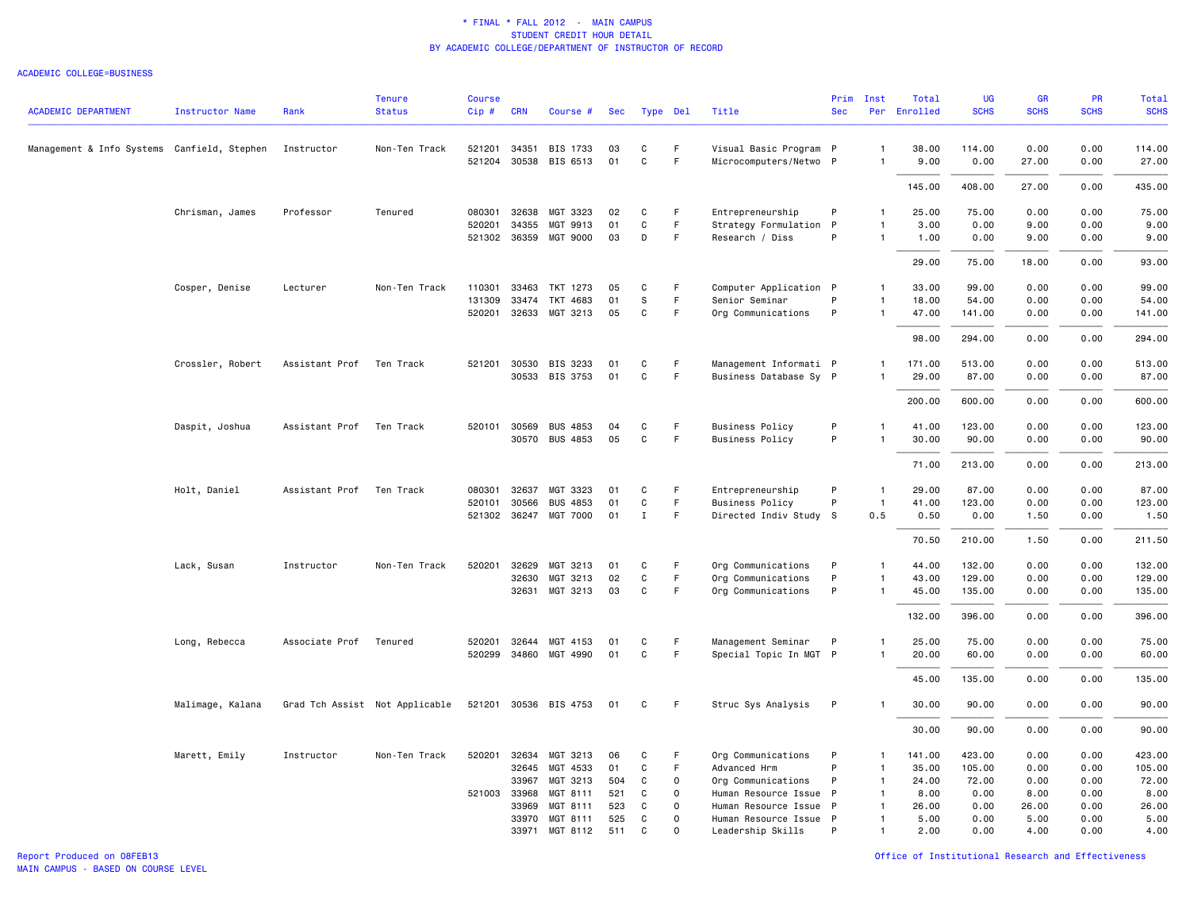#### ACADEMIC COLLEGE=BUSINESS

| <b>ACADEMIC DEPARTMENT</b>                  | Instructor Name  | Rank                     | <b>Tenure</b><br><b>Status</b> | <b>Course</b><br>$Cip$ # | <b>CRN</b>   | Course #              | Sec        |              | Type Del             | Title                  | Prim<br><b>Sec</b> | Inst                         | Total<br>Per Enrolled | UG<br><b>SCHS</b> | GR<br><b>SCHS</b> | PR<br><b>SCHS</b> | <b>Total</b><br><b>SCHS</b> |
|---------------------------------------------|------------------|--------------------------|--------------------------------|--------------------------|--------------|-----------------------|------------|--------------|----------------------|------------------------|--------------------|------------------------------|-----------------------|-------------------|-------------------|-------------------|-----------------------------|
|                                             |                  |                          |                                |                          |              |                       |            |              |                      |                        |                    |                              |                       |                   |                   |                   |                             |
| Management & Info Systems Canfield, Stephen |                  | Instructor               | Non-Ten Track                  | 521201                   | 34351        | BIS 1733              | 03         | C            | F.                   | Visual Basic Program P |                    | $\mathbf{1}$                 | 38.00                 | 114.00            | 0.00              | 0.00              | 114.00                      |
|                                             |                  |                          |                                |                          |              | 521204 30538 BIS 6513 | 01         | $\mathtt{C}$ | F                    | Microcomputers/Netwo P |                    | $\mathbf{1}$                 | 9.00                  | 0.00              | 27.00             | 0.00              | 27.00                       |
|                                             |                  |                          |                                |                          |              |                       |            |              |                      |                        |                    |                              | 145.00                | 408.00            | 27.00             | 0.00              | 435.00                      |
|                                             | Chrisman, James  | Professor                | Tenured                        | 080301                   | 32638        | MGT 3323              | 02         | C            | F                    | Entrepreneurship       | P                  | $\mathbf{1}$                 | 25.00                 | 75.00             | 0.00              | 0.00              | 75.00                       |
|                                             |                  |                          |                                | 520201                   | 34355        | MGT 9913              | 01         | C            | F                    | Strategy Formulation P |                    | 1                            | 3.00                  | 0.00              | 9.00              | 0.00              | 9.00                        |
|                                             |                  |                          |                                |                          |              | 521302 36359 MGT 9000 | 03         | D            | F.                   | Research / Diss        | P                  | $\mathbf{1}$                 | 1.00                  | 0.00              | 9.00              | 0.00              | 9.00                        |
|                                             |                  |                          |                                |                          |              |                       |            |              |                      |                        |                    |                              | 29.00                 | 75.00             | 18.00             | 0.00              | 93.00                       |
|                                             | Cosper, Denise   | Lecturer                 | Non-Ten Track                  | 110301                   |              | 33463 TKT 1273        | 05         | C            | F                    | Computer Application P |                    | $\mathbf{1}$                 | 33.00                 | 99.00             | 0.00              | 0.00              | 99.00                       |
|                                             |                  |                          |                                | 131309                   | 33474        | TKT 4683              | 01         | $\mathsf S$  | F                    | Senior Seminar         | P                  |                              | 18.00                 | 54.00             | 0.00              | 0.00              | 54.00                       |
|                                             |                  |                          |                                |                          |              | 520201 32633 MGT 3213 | 05         | C            | F                    | Org Communications     | P                  | $\mathbf{1}$                 | 47.00                 | 141.00            | 0.00              | 0.00              | 141.00                      |
|                                             |                  |                          |                                |                          |              |                       |            |              |                      |                        |                    |                              | 98.00                 | 294.00            | 0.00              | 0.00              | 294.00                      |
|                                             | Crossler, Robert | Assistant Prof Ten Track |                                |                          |              | 521201 30530 BIS 3233 | 01         | C            | F                    | Management Informati P |                    | 1                            | 171.00                | 513.00            | 0.00              | 0.00              | 513.00                      |
|                                             |                  |                          |                                |                          |              | 30533 BIS 3753        | 01         | C            | F                    | Business Database Sy P |                    | 1                            | 29.00                 | 87.00             | 0.00              | 0.00              | 87.00                       |
|                                             |                  |                          |                                |                          |              |                       |            |              |                      |                        |                    |                              | 200.00                | 600.00            | 0.00              | 0.00              | 600.00                      |
|                                             | Daspit, Joshua   | Assistant Prof           | Ten Track                      | 520101 30569             |              | <b>BUS 4853</b>       | 04         | C            | F                    | <b>Business Policy</b> | P                  | $\mathbf{1}$                 | 41.00                 | 123.00            | 0.00              | 0.00              | 123.00                      |
|                                             |                  |                          |                                |                          |              | 30570 BUS 4853        | 05         | C            | F.                   | <b>Business Policy</b> | P                  |                              | 30.00                 | 90.00             | 0.00              | 0.00              | 90.00                       |
|                                             |                  |                          |                                |                          |              |                       |            |              |                      |                        |                    |                              | 71.00                 | 213.00            | 0.00              | 0.00              | 213.00                      |
|                                             | Holt, Daniel     | Assistant Prof           | Ten Track                      | 080301                   | 32637        | MGT 3323              | 01         | C            | F                    | Entrepreneurship       | P                  | -1                           | 29.00                 | 87.00             | 0.00              | 0.00              | 87.00                       |
|                                             |                  |                          |                                | 520101 30566             |              | <b>BUS 4853</b>       | 01         | C            | F                    | <b>Business Policy</b> | P                  | $\mathbf{1}$                 | 41.00                 | 123.00            | 0.00              | 0.00              | 123.00                      |
|                                             |                  |                          |                                |                          |              | 521302 36247 MGT 7000 | 01         | $\mathbf{I}$ | F                    | Directed Indiv Study S |                    | 0.5                          | 0.50                  | 0.00              | 1.50              | 0.00              | 1.50                        |
|                                             |                  |                          |                                |                          |              |                       |            |              |                      |                        |                    |                              | 70.50                 | 210.00            | 1.50              | 0.00              | 211.50                      |
|                                             | Lack, Susan      | Instructor               | Non-Ten Track                  | 520201 32629             |              | MGT 3213              | 01         | C            | F                    | Org Communications     | P                  | 1                            | 44.00                 | 132.00            | 0.00              | 0.00              | 132.00                      |
|                                             |                  |                          |                                |                          | 32630        | MGT 3213              | 02         | C            | F                    | Org Communications     | P                  | 1                            | 43.00                 | 129.00            | 0.00              | 0.00              | 129.00                      |
|                                             |                  |                          |                                |                          | 32631        | MGT 3213              | 03         | $\mathtt{C}$ | F                    | Org Communications     | P                  | $\mathbf{1}$                 | 45.00                 | 135.00            | 0.00              | 0.00              | 135.00                      |
|                                             |                  |                          |                                |                          |              |                       |            |              |                      |                        |                    |                              | 132.00                | 396.00            | 0.00              | 0.00              | 396.00                      |
|                                             | Long, Rebecca    | Associate Prof           | Tenured                        |                          | 520201 32644 | MGT 4153              | 01         | C            | F                    | Management Seminar     | P                  |                              | 25.00                 | 75.00             | 0.00              | 0.00              | 75.00                       |
|                                             |                  |                          |                                |                          |              | 520299 34860 MGT 4990 | 01         | C            | F                    | Special Topic In MGT P |                    |                              | 20.00                 | 60.00             | 0.00              | 0.00              | 60.00                       |
|                                             |                  |                          |                                |                          |              |                       |            |              |                      |                        |                    |                              | 45.00                 | 135.00            | 0.00              | 0.00              | 135.00                      |
|                                             | Malimage, Kalana |                          | Grad Tch Assist Not Applicable |                          |              | 521201 30536 BIS 4753 | 01         | C            | F.                   | Struc Sys Analysis     | $\mathsf{P}$       | $\mathbf{1}$                 | 30.00                 | 90.00             | 0.00              | 0.00              | 90.00                       |
|                                             |                  |                          |                                |                          |              |                       |            |              |                      |                        |                    |                              | 30.00                 | 90.00             | 0.00              | 0.00              | 90.00                       |
|                                             | Marett, Emily    | Instructor               | Non-Ten Track                  | 520201 32634             |              | MGT 3213              | 06         | C            | F                    | Org Communications     | P                  | 1                            | 141.00                | 423.00            | 0.00              | 0.00              | 423.00                      |
|                                             |                  |                          |                                |                          | 32645        | MGT 4533              | 01         | C            | F.                   | Advanced Hrm           | P                  | 1                            | 35.00                 | 105.00            | 0.00              | 0.00              | 105.00                      |
|                                             |                  |                          |                                |                          | 33967        | MGT 3213              | 504        | C            | $\circ$              | Org Communications     | P                  | 1                            | 24.00                 | 72.00             | 0.00              | 0.00              | 72.00                       |
|                                             |                  |                          |                                | 521003 33968             |              | MGT 8111              | 521        | C            | 0                    | Human Resource Issue P |                    | $\mathbf{1}$                 | 8.00                  | 0.00              | 8.00              | 0.00              | 8.00                        |
|                                             |                  |                          |                                |                          | 33969        | MGT 8111              | 523        | C            | $\Omega$<br>$\Omega$ | Human Resource Issue P |                    | $\mathbf{1}$                 | 26.00                 | 0.00              | 26.00             | 0.00              | 26.00                       |
|                                             |                  |                          |                                |                          | 33970        | MGT 8111              | 525<br>511 | C<br>C       | $\Omega$             | Human Resource Issue P | P                  | $\mathbf{1}$<br>$\mathbf{1}$ | 5.00                  | 0.00              | 5.00<br>4.00      | 0.00<br>0.00      | 5.00                        |
|                                             |                  |                          |                                |                          | 33971        | MGT 8112              |            |              |                      | Leadership Skills      |                    |                              | 2.00                  | 0.00              |                   |                   | 4.00                        |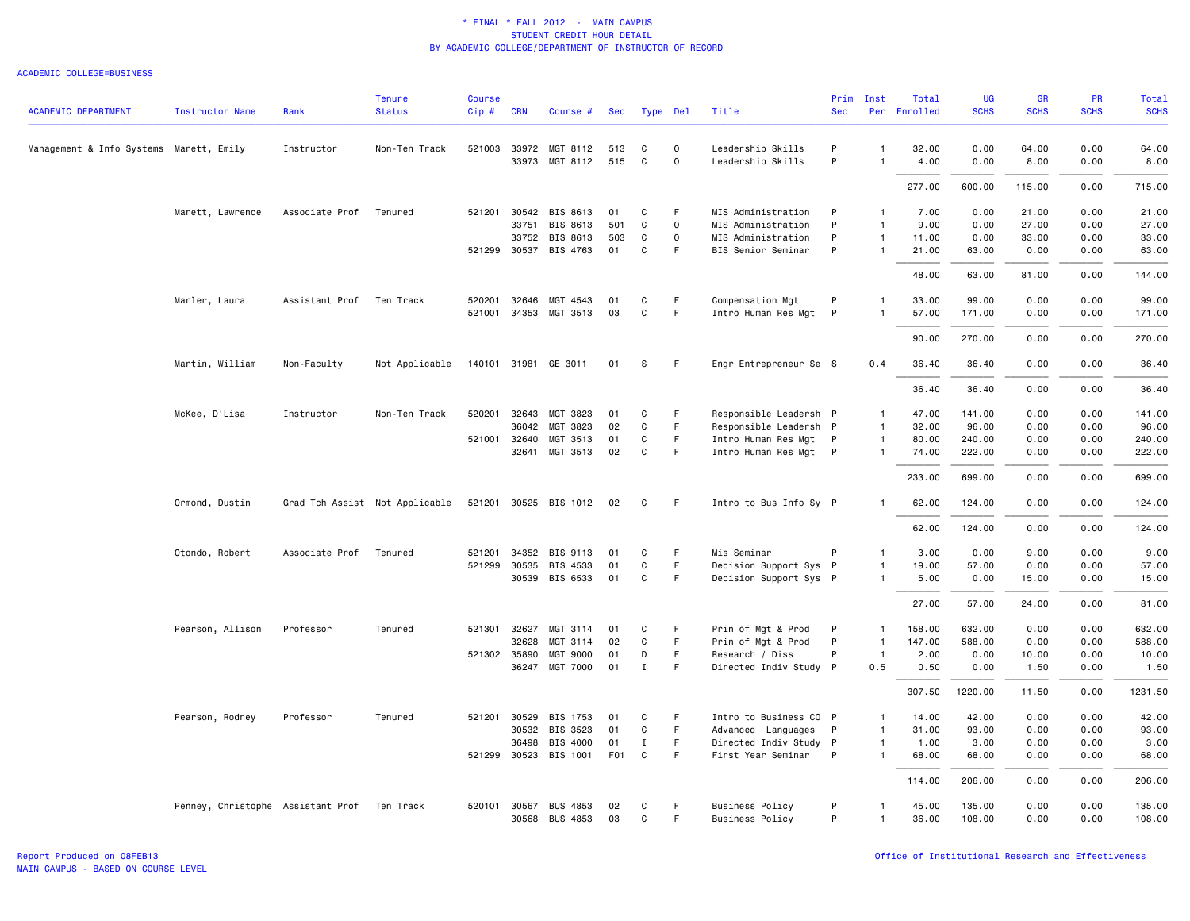| <b>ACADEMIC DEPARTMENT</b>              | <b>Instructor Name</b>                      | Rank           | <b>Tenure</b><br><b>Status</b> | <b>Course</b><br>Cip# | <b>CRN</b>   | Course #              | Sec              |              | Type Del    | Title                  | Prim<br><b>Sec</b> | Inst           | Total<br>Per Enrolled | <b>UG</b><br><b>SCHS</b> | <b>GR</b><br><b>SCHS</b> | PR<br><b>SCHS</b> | <b>Total</b><br><b>SCHS</b> |
|-----------------------------------------|---------------------------------------------|----------------|--------------------------------|-----------------------|--------------|-----------------------|------------------|--------------|-------------|------------------------|--------------------|----------------|-----------------------|--------------------------|--------------------------|-------------------|-----------------------------|
|                                         |                                             |                |                                |                       |              |                       |                  |              |             |                        |                    |                |                       |                          |                          |                   |                             |
| Management & Info Systems Marett, Emily |                                             | Instructor     | Non-Ten Track                  |                       |              | 521003 33972 MGT 8112 | 513              | C            | $\mathbf 0$ | Leadership Skills      | P                  | -1             | 32.00                 | 0.00                     | 64.00                    | 0.00              | 64.00                       |
|                                         |                                             |                |                                |                       |              | 33973 MGT 8112        | 515              | C            | $\mathbf 0$ | Leadership Skills      | P                  | $\mathbf{1}$   | 4.00                  | 0.00                     | 8.00                     | 0.00              | 8.00                        |
|                                         |                                             |                |                                |                       |              |                       |                  |              |             |                        |                    |                | 277.00                | 600.00                   | 115.00                   | 0.00              | 715.00                      |
|                                         | Marett, Lawrence                            | Associate Prof | Tenured                        | 521201 30542          |              | BIS 8613              | 01               | C            | F           | MIS Administration     | P                  | $\mathbf{1}$   | 7.00                  | 0.00                     | 21.00                    | 0.00              | 21.00                       |
|                                         |                                             |                |                                |                       | 33751        | BIS 8613              | 501              | C            | $\mathbf 0$ | MIS Administration     | P                  | $\overline{1}$ | 9.00                  | 0.00                     | 27.00                    | 0.00              | 27.00                       |
|                                         |                                             |                |                                |                       |              | 33752 BIS 8613        | 503              | C            | $\mathbf 0$ | MIS Administration     | P                  | 1              | 11.00                 | 0.00                     | 33.00                    | 0.00              | 33.00                       |
|                                         |                                             |                |                                |                       |              | 521299 30537 BIS 4763 | 01               | C            | F           | BIS Senior Seminar     | P                  | $\mathbf{1}$   | 21.00                 | 63.00                    | 0.00                     | 0.00              | 63.00                       |
|                                         |                                             |                |                                |                       |              |                       |                  |              |             |                        |                    |                | 48.00                 | 63.00                    | 81.00                    | 0.00              | 144.00                      |
|                                         | Marler, Laura                               | Assistant Prof | Ten Track                      |                       | 520201 32646 | MGT 4543              | 01               | C            | F.          | Compensation Mgt       | P                  | 1              | 33.00                 | 99.00                    | 0.00                     | 0.00              | 99.00                       |
|                                         |                                             |                |                                |                       |              | 521001 34353 MGT 3513 | 03               | C            | F           | Intro Human Res Mgt    | P                  |                | 57.00                 | 171.00                   | 0.00                     | 0.00              | 171.00                      |
|                                         |                                             |                |                                |                       |              |                       |                  |              |             |                        |                    |                | 90.00                 | 270.00                   | 0.00                     | 0.00              | 270.00                      |
|                                         | Martin, William                             | Non-Faculty    | Not Applicable                 |                       |              | 140101 31981 GE 3011  | 01               | s            | F.          | Engr Entrepreneur Se S |                    | 0.4            | 36.40                 | 36.40                    | 0.00                     | 0.00              | 36.40                       |
|                                         |                                             |                |                                |                       |              |                       |                  |              |             |                        |                    |                | 36.40                 | 36.40                    | 0.00                     | 0.00              | 36.40                       |
|                                         | McKee, D'Lisa                               | Instructor     | Non-Ten Track                  | 520201                | 32643        | MGT 3823              | 01               | C            | F.          | Responsible Leadersh P |                    | $\mathbf{1}$   | 47.00                 | 141.00                   | 0.00                     | 0.00              | 141.00                      |
|                                         |                                             |                |                                |                       | 36042        | MGT 3823              | 02               | C            | F           | Responsible Leadersh P |                    | 1              | 32.00                 | 96.00                    | 0.00                     | 0.00              | 96.00                       |
|                                         |                                             |                |                                | 521001 32640          |              | MGT 3513              | 01               | C            | F           | Intro Human Res Mgt P  |                    | $\mathbf{1}$   | 80.00                 | 240.00                   | 0.00                     | 0.00              | 240.00                      |
|                                         |                                             |                |                                |                       | 32641        | MGT 3513              | 02               | C            | F.          | Intro Human Res Mgt P  |                    | $\mathbf{1}$   | 74.00                 | 222.00                   | 0.00                     | 0.00              | 222.00                      |
|                                         |                                             |                |                                |                       |              |                       |                  |              |             |                        |                    |                | 233.00                | 699.00                   | 0.00                     | 0.00              | 699.00                      |
|                                         | Ormond, Dustin                              |                | Grad Tch Assist Not Applicable |                       |              | 521201 30525 BIS 1012 | 02               | C            | F.          | Intro to Bus Info Sy P |                    | 1              | 62.00                 | 124.00                   | 0.00                     | 0.00              | 124.00                      |
|                                         |                                             |                |                                |                       |              |                       |                  |              |             |                        |                    |                | 62.00                 | 124.00                   | 0.00                     | 0.00              | 124.00                      |
|                                         | Otondo, Robert                              | Associate Prof | Tenured                        | 521201 34352          |              | BIS 9113              | 01               | C            | F.          | Mis Seminar            | P                  | $\mathbf{1}$   | 3.00                  | 0.00                     | 9.00                     | 0.00              | 9.00                        |
|                                         |                                             |                |                                | 521299 30535          |              | BIS 4533              | 01               | C            | F           | Decision Support Sys P |                    | $\mathbf{1}$   | 19.00                 | 57.00                    | 0.00                     | 0.00              | 57.00                       |
|                                         |                                             |                |                                |                       |              | 30539 BIS 6533        | 01               | C            | F           | Decision Support Sys P |                    | $\mathbf{1}$   | 5.00                  | 0.00                     | 15.00                    | 0.00              | 15.00                       |
|                                         |                                             |                |                                |                       |              |                       |                  |              |             |                        |                    |                | 27.00                 | 57.00                    | 24.00                    | 0.00              | 81.00                       |
|                                         | Pearson, Allison                            | Professor      | Tenured                        | 521301                | 32627        | MGT 3114              | 01               | C            | F.          | Prin of Mgt & Prod     | P                  | $\mathbf{1}$   | 158.00                | 632.00                   | 0.00                     | 0.00              | 632.00                      |
|                                         |                                             |                |                                |                       | 32628        | MGT 3114              | 02               | C            | F           | Prin of Mgt & Prod     | P                  | $\overline{1}$ | 147.00                | 588.00                   | 0.00                     | 0.00              | 588.00                      |
|                                         |                                             |                |                                | 521302 35890          |              | MGT 9000              | 01               | D            | F           | Research / Diss        | P                  | $\mathbf{1}$   | 2.00                  | 0.00                     | 10.00                    | 0.00              | 10.00                       |
|                                         |                                             |                |                                |                       | 36247        | MGT 7000              | 01               | $\mathbf{I}$ | F           | Directed Indiv Study P |                    | 0.5            | 0.50                  | 0.00                     | 1.50                     | 0.00              | 1.50                        |
|                                         |                                             |                |                                |                       |              |                       |                  |              |             |                        |                    |                | 307.50                | 1220.00                  | 11.50                    | 0.00              | 1231.50                     |
|                                         | Pearson, Rodney                             | Professor      | Tenured                        | 521201                | 30529        | BIS 1753              | 01               | C            | F           | Intro to Business CO P |                    | $\mathbf{1}$   | 14.00                 | 42.00                    | 0.00                     | 0.00              | 42.00                       |
|                                         |                                             |                |                                |                       |              | 30532 BIS 3523        | 01               | C            | F.          | Advanced Languages P   |                    | $\mathbf{1}$   | 31.00                 | 93.00                    | 0.00                     | 0.00              | 93.00                       |
|                                         |                                             |                |                                |                       | 36498        | BIS 4000              | 01               | $\mathbf{I}$ | F.          | Directed Indiv Study P |                    | $\mathbf{1}$   | 1.00                  | 3.00                     | 0.00                     | 0.00              | 3.00                        |
|                                         |                                             |                |                                | 521299 30523          |              | BIS 1001              | F <sub>0</sub> 1 | C            | F           | First Year Seminar     | P                  | $\mathbf{1}$   | 68.00                 | 68.00                    | 0.00                     | 0.00              | 68.00                       |
|                                         |                                             |                |                                |                       |              |                       |                  |              |             |                        |                    |                | 114.00                | 206.00                   | 0.00                     | 0.00              | 206.00                      |
|                                         | Penney, Christophe Assistant Prof Ten Track |                |                                |                       |              | 520101 30567 BUS 4853 | 02               | C            | F.          | <b>Business Policy</b> | P                  |                | 45.00                 | 135.00                   | 0.00                     | 0.00              | 135.00                      |
|                                         |                                             |                |                                |                       |              | 30568 BUS 4853        | 03               | C            | F           | <b>Business Policy</b> | P                  | $\mathbf{1}$   | 36.00                 | 108.00                   | 0.00                     | 0.00              | 108.00                      |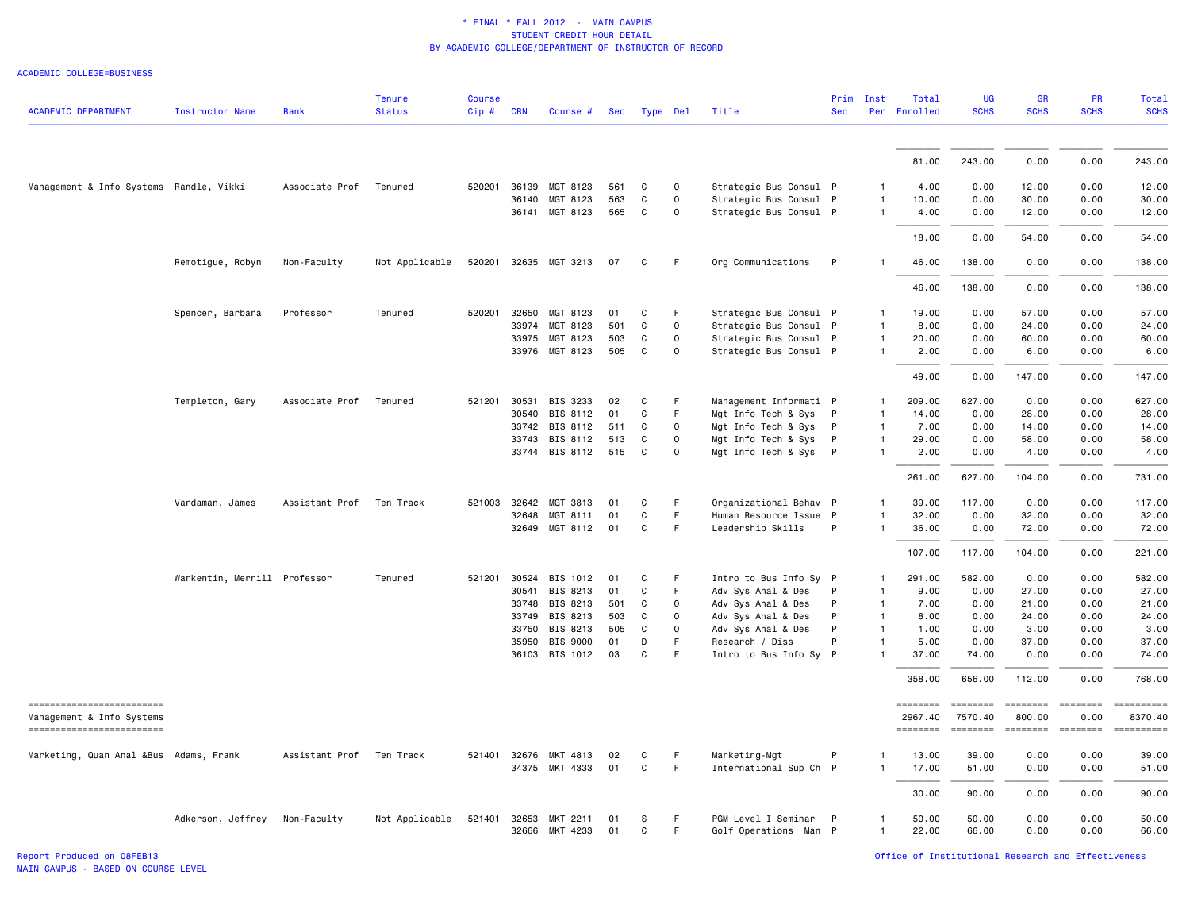| <b>ACADEMIC DEPARTMENT</b>                             | <b>Instructor Name</b>       | Rank           | <b>Tenure</b><br><b>Status</b> | <b>Course</b><br>Cip# | <b>CRN</b> | Course #       | Sec | Type Del    |             | Title                  | Prim<br><b>Sec</b> | Inst                 | Total<br>Per Enrolled      | UG<br><b>SCHS</b>                                                                                                                                                                                                                                                                                                                                                                                                                                                                                 | GR<br><b>SCHS</b>                                                                                                                                                                                                                                                                                                                                                                                                                                                                                | PR<br><b>SCHS</b>                                                                                                                                                                                                                                                                                                                                                                                                                                                                              | Total<br><b>SCHS</b>  |
|--------------------------------------------------------|------------------------------|----------------|--------------------------------|-----------------------|------------|----------------|-----|-------------|-------------|------------------------|--------------------|----------------------|----------------------------|---------------------------------------------------------------------------------------------------------------------------------------------------------------------------------------------------------------------------------------------------------------------------------------------------------------------------------------------------------------------------------------------------------------------------------------------------------------------------------------------------|--------------------------------------------------------------------------------------------------------------------------------------------------------------------------------------------------------------------------------------------------------------------------------------------------------------------------------------------------------------------------------------------------------------------------------------------------------------------------------------------------|------------------------------------------------------------------------------------------------------------------------------------------------------------------------------------------------------------------------------------------------------------------------------------------------------------------------------------------------------------------------------------------------------------------------------------------------------------------------------------------------|-----------------------|
|                                                        |                              |                |                                |                       |            |                |     |             |             |                        |                    |                      |                            |                                                                                                                                                                                                                                                                                                                                                                                                                                                                                                   |                                                                                                                                                                                                                                                                                                                                                                                                                                                                                                  |                                                                                                                                                                                                                                                                                                                                                                                                                                                                                                |                       |
|                                                        |                              |                |                                |                       |            |                |     |             |             |                        |                    |                      | 81.00                      | 243.00                                                                                                                                                                                                                                                                                                                                                                                                                                                                                            | 0.00                                                                                                                                                                                                                                                                                                                                                                                                                                                                                             | 0.00                                                                                                                                                                                                                                                                                                                                                                                                                                                                                           | 243.00                |
|                                                        |                              |                |                                |                       |            |                |     |             |             |                        |                    |                      |                            |                                                                                                                                                                                                                                                                                                                                                                                                                                                                                                   |                                                                                                                                                                                                                                                                                                                                                                                                                                                                                                  |                                                                                                                                                                                                                                                                                                                                                                                                                                                                                                |                       |
| Management & Info Systems Randle, Vikki                |                              | Associate Prof | Tenured                        | 520201 36139          |            | MGT 8123       | 561 | C           | $\mathbf 0$ | Strategic Bus Consul P |                    | -1                   | 4.00                       | 0.00                                                                                                                                                                                                                                                                                                                                                                                                                                                                                              | 12.00                                                                                                                                                                                                                                                                                                                                                                                                                                                                                            | 0.00                                                                                                                                                                                                                                                                                                                                                                                                                                                                                           | 12.00                 |
|                                                        |                              |                |                                |                       | 36140      | MGT 8123       | 563 | C           | $\mathbf 0$ | Strategic Bus Consul P |                    | -1<br>$\overline{1}$ | 10.00                      | 0.00                                                                                                                                                                                                                                                                                                                                                                                                                                                                                              | 30.00                                                                                                                                                                                                                                                                                                                                                                                                                                                                                            | 0.00                                                                                                                                                                                                                                                                                                                                                                                                                                                                                           | 30.00                 |
|                                                        |                              |                |                                |                       | 36141      | MGT 8123       | 565 | C           | 0           | Strategic Bus Consul P |                    |                      | 4.00                       | 0.00                                                                                                                                                                                                                                                                                                                                                                                                                                                                                              | 12.00                                                                                                                                                                                                                                                                                                                                                                                                                                                                                            | 0.00                                                                                                                                                                                                                                                                                                                                                                                                                                                                                           | 12.00                 |
|                                                        |                              |                |                                |                       |            |                |     |             |             |                        |                    |                      | 18.00                      | 0.00                                                                                                                                                                                                                                                                                                                                                                                                                                                                                              | 54.00                                                                                                                                                                                                                                                                                                                                                                                                                                                                                            | 0.00                                                                                                                                                                                                                                                                                                                                                                                                                                                                                           | 54.00                 |
|                                                        | Remotigue, Robyn             | Non-Faculty    | Not Applicable                 | 520201 32635          |            | MGT 3213       | 07  | C           | -F          | Org Communications     | P                  |                      | 46.00                      | 138.00                                                                                                                                                                                                                                                                                                                                                                                                                                                                                            | 0.00                                                                                                                                                                                                                                                                                                                                                                                                                                                                                             | 0.00                                                                                                                                                                                                                                                                                                                                                                                                                                                                                           | 138.00                |
|                                                        |                              |                |                                |                       |            |                |     |             |             |                        |                    |                      | 46.00                      | 138.00                                                                                                                                                                                                                                                                                                                                                                                                                                                                                            | 0.00                                                                                                                                                                                                                                                                                                                                                                                                                                                                                             | 0.00                                                                                                                                                                                                                                                                                                                                                                                                                                                                                           | 138.00                |
|                                                        | Spencer, Barbara             | Professor      | Tenured                        | 520201                | 32650      | MGT 8123       | 01  | C           | F           | Strategic Bus Consul P |                    | -1                   | 19.00                      | 0.00                                                                                                                                                                                                                                                                                                                                                                                                                                                                                              | 57.00                                                                                                                                                                                                                                                                                                                                                                                                                                                                                            | 0.00                                                                                                                                                                                                                                                                                                                                                                                                                                                                                           | 57.00                 |
|                                                        |                              |                |                                |                       | 33974      | MGT 8123       | 501 | C           | $\mathbf 0$ | Strategic Bus Consul P |                    | $\mathbf{1}$         | 8,00                       | 0.00                                                                                                                                                                                                                                                                                                                                                                                                                                                                                              | 24.00                                                                                                                                                                                                                                                                                                                                                                                                                                                                                            | 0.00                                                                                                                                                                                                                                                                                                                                                                                                                                                                                           | 24.00                 |
|                                                        |                              |                |                                |                       | 33975      | MGT 8123       | 503 | C           | $\mathbf 0$ | Strategic Bus Consul P |                    | $\mathbf{1}$         | 20.00                      | 0.00                                                                                                                                                                                                                                                                                                                                                                                                                                                                                              | 60.00                                                                                                                                                                                                                                                                                                                                                                                                                                                                                            | 0.00                                                                                                                                                                                                                                                                                                                                                                                                                                                                                           | 60.00                 |
|                                                        |                              |                |                                |                       | 33976      | MGT 8123       | 505 | C           | 0           | Strategic Bus Consul P |                    | -1                   | 2.00                       | 0.00                                                                                                                                                                                                                                                                                                                                                                                                                                                                                              | 6.00                                                                                                                                                                                                                                                                                                                                                                                                                                                                                             | 0.00                                                                                                                                                                                                                                                                                                                                                                                                                                                                                           | 6.00                  |
|                                                        |                              |                |                                |                       |            |                |     |             |             |                        |                    |                      | 49.00                      | 0.00                                                                                                                                                                                                                                                                                                                                                                                                                                                                                              | 147.00                                                                                                                                                                                                                                                                                                                                                                                                                                                                                           | 0.00                                                                                                                                                                                                                                                                                                                                                                                                                                                                                           | 147.00                |
|                                                        | Templeton, Gary              | Associate Prof | Tenured                        | 521201                | 30531      | BIS 3233       | 02  | C           | -F          | Management Informati P |                    | $\mathbf{1}$         | 209.00                     | 627.00                                                                                                                                                                                                                                                                                                                                                                                                                                                                                            | 0.00                                                                                                                                                                                                                                                                                                                                                                                                                                                                                             | 0.00                                                                                                                                                                                                                                                                                                                                                                                                                                                                                           | 627.00                |
|                                                        |                              |                |                                |                       | 30540      | BIS 8112       | 01  | C           | F           | Mgt Info Tech & Sys P  |                    | $\mathbf{1}$         | 14.00                      | 0.00                                                                                                                                                                                                                                                                                                                                                                                                                                                                                              | 28.00                                                                                                                                                                                                                                                                                                                                                                                                                                                                                            | 0.00                                                                                                                                                                                                                                                                                                                                                                                                                                                                                           | 28.00                 |
|                                                        |                              |                |                                |                       |            | 33742 BIS 8112 | 511 | C           | $\mathbf 0$ | Mgt Info Tech & Sys P  |                    | $\overline{1}$       | 7.00                       | 0.00                                                                                                                                                                                                                                                                                                                                                                                                                                                                                              | 14.00                                                                                                                                                                                                                                                                                                                                                                                                                                                                                            | 0.00                                                                                                                                                                                                                                                                                                                                                                                                                                                                                           | 14.00                 |
|                                                        |                              |                |                                |                       | 33743      | BIS 8112       | 513 | C           | $\mathbf 0$ | Mgt Info Tech & Sys P  |                    | $\overline{1}$       | 29.00                      | 0.00                                                                                                                                                                                                                                                                                                                                                                                                                                                                                              | 58.00                                                                                                                                                                                                                                                                                                                                                                                                                                                                                            | 0.00                                                                                                                                                                                                                                                                                                                                                                                                                                                                                           | 58.00                 |
|                                                        |                              |                |                                |                       |            | 33744 BIS 8112 | 515 | C           | 0           | Mgt Info Tech & Sys P  |                    | $\mathbf{1}$         | 2.00                       | 0.00                                                                                                                                                                                                                                                                                                                                                                                                                                                                                              | 4.00                                                                                                                                                                                                                                                                                                                                                                                                                                                                                             | 0.00                                                                                                                                                                                                                                                                                                                                                                                                                                                                                           | 4.00                  |
|                                                        |                              |                |                                |                       |            |                |     |             |             |                        |                    |                      | 261.00                     | 627.00                                                                                                                                                                                                                                                                                                                                                                                                                                                                                            | 104.00                                                                                                                                                                                                                                                                                                                                                                                                                                                                                           | 0.00                                                                                                                                                                                                                                                                                                                                                                                                                                                                                           | 731.00                |
|                                                        | Vardaman, James              | Assistant Prof | Ten Track                      | 521003 32642          |            | MGT 3813       | 01  | C           | F.          | Organizational Behav P |                    | $\mathbf{1}$         | 39.00                      | 117.00                                                                                                                                                                                                                                                                                                                                                                                                                                                                                            | 0.00                                                                                                                                                                                                                                                                                                                                                                                                                                                                                             | 0.00                                                                                                                                                                                                                                                                                                                                                                                                                                                                                           | 117.00                |
|                                                        |                              |                |                                |                       | 32648      | MGT 8111       | 01  | C           | F           | Human Resource Issue P |                    | $\mathbf{1}$         | 32.00                      | 0.00                                                                                                                                                                                                                                                                                                                                                                                                                                                                                              | 32.00                                                                                                                                                                                                                                                                                                                                                                                                                                                                                            | 0.00                                                                                                                                                                                                                                                                                                                                                                                                                                                                                           | 32.00                 |
|                                                        |                              |                |                                |                       |            | 32649 MGT 8112 | 01  | C           | F.          | Leadership Skills      | P                  | $\mathbf{1}$         | 36.00                      | 0.00                                                                                                                                                                                                                                                                                                                                                                                                                                                                                              | 72.00                                                                                                                                                                                                                                                                                                                                                                                                                                                                                            | 0.00                                                                                                                                                                                                                                                                                                                                                                                                                                                                                           | 72.00                 |
|                                                        |                              |                |                                |                       |            |                |     |             |             |                        |                    |                      | 107.00                     | 117.00                                                                                                                                                                                                                                                                                                                                                                                                                                                                                            | 104.00                                                                                                                                                                                                                                                                                                                                                                                                                                                                                           | 0.00                                                                                                                                                                                                                                                                                                                                                                                                                                                                                           | 221.00                |
|                                                        | Warkentin, Merrill Professor |                | Tenured                        | 521201 30524          |            | BIS 1012       | 01  | C           | F           | Intro to Bus Info Sy P |                    | -1                   | 291.00                     | 582.00                                                                                                                                                                                                                                                                                                                                                                                                                                                                                            | 0.00                                                                                                                                                                                                                                                                                                                                                                                                                                                                                             | 0.00                                                                                                                                                                                                                                                                                                                                                                                                                                                                                           | 582.00                |
|                                                        |                              |                |                                |                       | 30541      | BIS 8213       | 01  | $\mathbf C$ | $\mathsf F$ | Adv Sys Anal & Des     | P                  | $\mathbf{1}$         | 9.00                       | 0.00                                                                                                                                                                                                                                                                                                                                                                                                                                                                                              | 27.00                                                                                                                                                                                                                                                                                                                                                                                                                                                                                            | 0.00                                                                                                                                                                                                                                                                                                                                                                                                                                                                                           | 27.00                 |
|                                                        |                              |                |                                |                       | 33748      | BIS 8213       | 501 | C           | $\mathbf 0$ | Adv Sys Anal & Des     | P                  | $\mathbf{1}$         | 7.00                       | 0.00                                                                                                                                                                                                                                                                                                                                                                                                                                                                                              | 21.00                                                                                                                                                                                                                                                                                                                                                                                                                                                                                            | 0.00                                                                                                                                                                                                                                                                                                                                                                                                                                                                                           | 21.00                 |
|                                                        |                              |                |                                |                       | 33749      | BIS 8213       | 503 | C           | 0           | Adv Sys Anal & Des     | P                  | $\mathbf{1}$         | 8.00                       | 0.00                                                                                                                                                                                                                                                                                                                                                                                                                                                                                              | 24.00                                                                                                                                                                                                                                                                                                                                                                                                                                                                                            | 0.00                                                                                                                                                                                                                                                                                                                                                                                                                                                                                           | 24.00                 |
|                                                        |                              |                |                                |                       | 33750      | BIS 8213       | 505 | $\mathbf C$ | $\mathbf 0$ | Adv Sys Anal & Des     | P                  | $\overline{1}$       | 1.00                       | 0.00                                                                                                                                                                                                                                                                                                                                                                                                                                                                                              | 3.00                                                                                                                                                                                                                                                                                                                                                                                                                                                                                             | 0.00                                                                                                                                                                                                                                                                                                                                                                                                                                                                                           | 3.00                  |
|                                                        |                              |                |                                |                       | 35950      | BIS 9000       | 01  | D           | F           | Research / Diss        | P                  | $\mathbf{1}$         | 5.00                       | 0.00                                                                                                                                                                                                                                                                                                                                                                                                                                                                                              | 37.00                                                                                                                                                                                                                                                                                                                                                                                                                                                                                            | 0.00                                                                                                                                                                                                                                                                                                                                                                                                                                                                                           | 37.00                 |
|                                                        |                              |                |                                |                       |            | 36103 BIS 1012 | 03  | C           | F           | Intro to Bus Info Sy P |                    |                      | 37.00                      | 74.00                                                                                                                                                                                                                                                                                                                                                                                                                                                                                             | 0.00                                                                                                                                                                                                                                                                                                                                                                                                                                                                                             | 0.00                                                                                                                                                                                                                                                                                                                                                                                                                                                                                           | 74.00                 |
|                                                        |                              |                |                                |                       |            |                |     |             |             |                        |                    |                      | 358.00                     | 656.00                                                                                                                                                                                                                                                                                                                                                                                                                                                                                            | 112.00                                                                                                                                                                                                                                                                                                                                                                                                                                                                                           | 0.00                                                                                                                                                                                                                                                                                                                                                                                                                                                                                           | 768.00                |
| ==========================                             |                              |                |                                |                       |            |                |     |             |             |                        |                    |                      | $=$ = = = = = = =          | $=$ = = = = = = =                                                                                                                                                                                                                                                                                                                                                                                                                                                                                 | <b>EEEEEEE</b>                                                                                                                                                                                                                                                                                                                                                                                                                                                                                   | <b>EBBEBBBB</b>                                                                                                                                                                                                                                                                                                                                                                                                                                                                                |                       |
| Management & Info Systems<br>------------------------- |                              |                |                                |                       |            |                |     |             |             |                        |                    |                      | 2967.40<br><b>EDESSEDE</b> | 7570.40<br>$\begin{array}{cccccccccc} \multicolumn{2}{c}{} & \multicolumn{2}{c}{} & \multicolumn{2}{c}{} & \multicolumn{2}{c}{} & \multicolumn{2}{c}{} & \multicolumn{2}{c}{} & \multicolumn{2}{c}{} & \multicolumn{2}{c}{} & \multicolumn{2}{c}{} & \multicolumn{2}{c}{} & \multicolumn{2}{c}{} & \multicolumn{2}{c}{} & \multicolumn{2}{c}{} & \multicolumn{2}{c}{} & \multicolumn{2}{c}{} & \multicolumn{2}{c}{} & \multicolumn{2}{c}{} & \multicolumn{2}{c}{} & \multicolumn{2}{c}{} & \mult$ | 800.00<br>$\begin{array}{cccccccccc} \multicolumn{2}{c}{} & \multicolumn{2}{c}{} & \multicolumn{2}{c}{} & \multicolumn{2}{c}{} & \multicolumn{2}{c}{} & \multicolumn{2}{c}{} & \multicolumn{2}{c}{} & \multicolumn{2}{c}{} & \multicolumn{2}{c}{} & \multicolumn{2}{c}{} & \multicolumn{2}{c}{} & \multicolumn{2}{c}{} & \multicolumn{2}{c}{} & \multicolumn{2}{c}{} & \multicolumn{2}{c}{} & \multicolumn{2}{c}{} & \multicolumn{2}{c}{} & \multicolumn{2}{c}{} & \multicolumn{2}{c}{} & \mult$ | 0.00<br>$\begin{array}{cccccccccc} \multicolumn{2}{c}{} & \multicolumn{2}{c}{} & \multicolumn{2}{c}{} & \multicolumn{2}{c}{} & \multicolumn{2}{c}{} & \multicolumn{2}{c}{} & \multicolumn{2}{c}{} & \multicolumn{2}{c}{} & \multicolumn{2}{c}{} & \multicolumn{2}{c}{} & \multicolumn{2}{c}{} & \multicolumn{2}{c}{} & \multicolumn{2}{c}{} & \multicolumn{2}{c}{} & \multicolumn{2}{c}{} & \multicolumn{2}{c}{} & \multicolumn{2}{c}{} & \multicolumn{2}{c}{} & \multicolumn{2}{c}{} & \mult$ | 8370.40<br>========== |
| Marketing, Quan Anal &Bus Adams, Frank                 |                              | Assistant Prof | Ten Track                      | 521401 32676          |            | MKT 4813       | 02  | C           | -F          | Marketing-Mgt          | P                  |                      | 13.00                      | 39.00                                                                                                                                                                                                                                                                                                                                                                                                                                                                                             | 0.00                                                                                                                                                                                                                                                                                                                                                                                                                                                                                             | 0.00                                                                                                                                                                                                                                                                                                                                                                                                                                                                                           | 39.00                 |
|                                                        |                              |                |                                |                       |            | 34375 MKT 4333 | 01  | C           | F.          | International Sup Ch P |                    | $\mathbf{1}$         | 17.00                      | 51.00                                                                                                                                                                                                                                                                                                                                                                                                                                                                                             | 0.00                                                                                                                                                                                                                                                                                                                                                                                                                                                                                             | 0.00                                                                                                                                                                                                                                                                                                                                                                                                                                                                                           | 51.00                 |
|                                                        |                              |                |                                |                       |            |                |     |             |             |                        |                    |                      | 30.00                      | 90.00                                                                                                                                                                                                                                                                                                                                                                                                                                                                                             | 0.00                                                                                                                                                                                                                                                                                                                                                                                                                                                                                             | 0.00                                                                                                                                                                                                                                                                                                                                                                                                                                                                                           | 90.00                 |
|                                                        | Adkerson, Jeffrey            | Non-Faculty    | Not Applicable                 | 521401                | 32653      | MKT 2211       | 01  | s           | F           | PGM Level I Seminar P  |                    | 1                    | 50.00                      | 50.00                                                                                                                                                                                                                                                                                                                                                                                                                                                                                             | 0.00                                                                                                                                                                                                                                                                                                                                                                                                                                                                                             | 0.00                                                                                                                                                                                                                                                                                                                                                                                                                                                                                           | 50.00                 |
|                                                        |                              |                |                                |                       | 32666      | MKT 4233       | 01  | C           | F           | Golf Operations Man P  |                    | $\mathbf{1}$         | 22.00                      | 66.00                                                                                                                                                                                                                                                                                                                                                                                                                                                                                             | 0.00                                                                                                                                                                                                                                                                                                                                                                                                                                                                                             | 0.00                                                                                                                                                                                                                                                                                                                                                                                                                                                                                           | 66.00                 |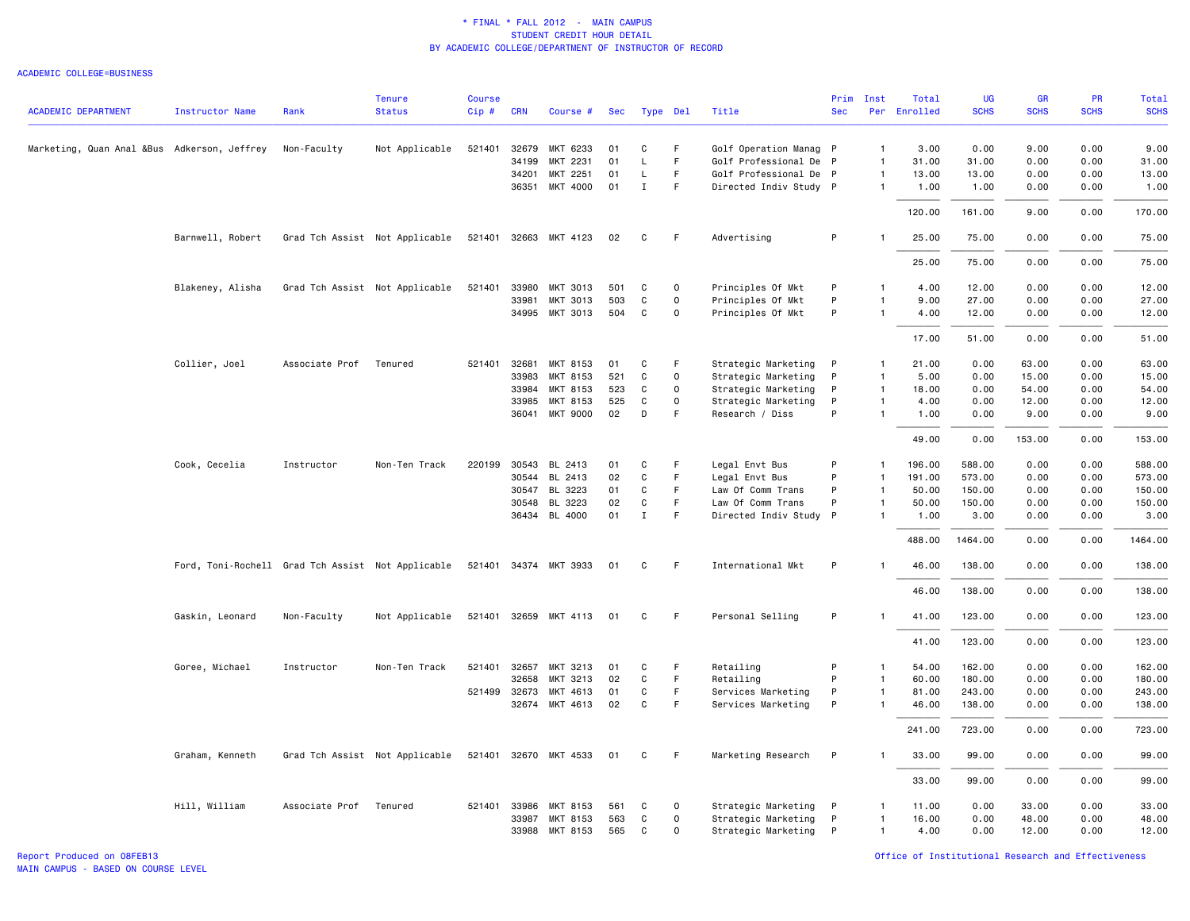|                                             |                                                   |                        | <b>Tenure</b>                  | <b>Course</b> |            |                       |     |              |             |                        |              | Prim Inst      | Total        | <b>UG</b>   | <b>GR</b>   | <b>PR</b>   | <b>Total</b> |
|---------------------------------------------|---------------------------------------------------|------------------------|--------------------------------|---------------|------------|-----------------------|-----|--------------|-------------|------------------------|--------------|----------------|--------------|-------------|-------------|-------------|--------------|
| <b>ACADEMIC DEPARTMENT</b>                  | <b>Instructor Name</b>                            | Rank                   | <b>Status</b>                  | Cip#          | <b>CRN</b> | Course #              | Sec |              | Type Del    | Title                  | <b>Sec</b>   |                | Per Enrolled | <b>SCHS</b> | <b>SCHS</b> | <b>SCHS</b> | <b>SCHS</b>  |
|                                             |                                                   |                        |                                |               |            |                       |     |              |             |                        |              |                |              |             |             |             |              |
| Marketing, Quan Anal &Bus Adkerson, Jeffrey |                                                   | Non-Faculty            | Not Applicable                 | 521401        | 32679      | MKT 6233              | 01  | C            | F           | Golf Operation Manag P |              | $\mathbf{1}$   | 3.00         | 0.00        | 9.00        | 0.00        | 9.00         |
|                                             |                                                   |                        |                                |               | 34199      | MKT 2231              | 01  | L            | F           | Golf Professional De P |              | 1              | 31.00        | 31.00       | 0.00        | 0.00        | 31.00        |
|                                             |                                                   |                        |                                |               | 34201      | MKT 2251              | 01  | L            | F.          | Golf Professional De P |              | $\mathbf{1}$   | 13.00        | 13.00       | 0.00        | 0.00        | 13.00        |
|                                             |                                                   |                        |                                |               |            | 36351 MKT 4000        | 01  | Ι.           | F.          | Directed Indiv Study P |              | $\mathbf{1}$   | 1.00         | 1.00        | 0.00        | 0.00        | 1.00         |
|                                             |                                                   |                        |                                |               |            |                       |     |              |             |                        |              |                | 120.00       | 161.00      | 9.00        | 0.00        | 170.00       |
|                                             | Barnwell, Robert                                  |                        | Grad Tch Assist Not Applicable |               |            | 521401 32663 MKT 4123 | 02  | C            | F           | Advertising            | P            | -1             | 25.00        | 75.00       | 0.00        | 0.00        | 75.00        |
|                                             |                                                   |                        |                                |               |            |                       |     |              |             |                        |              |                | 25.00        | 75.00       | 0.00        | 0.00        | 75.00        |
|                                             | Blakeney, Alisha                                  |                        | Grad Tch Assist Not Applicable |               |            | 521401 33980 MKT 3013 | 501 | C            | $\mathbf 0$ | Principles Of Mkt      | P            | $\mathbf{1}$   | 4.00         | 12.00       | 0.00        | 0.00        | 12.00        |
|                                             |                                                   |                        |                                |               | 33981      | MKT 3013              | 503 | $\mathtt{C}$ | $\mathbf 0$ | Principles Of Mkt      | P            | $\mathbf{1}$   | 9.00         | 27.00       | 0.00        | 0.00        | 27.00        |
|                                             |                                                   |                        |                                |               |            | 34995 MKT 3013        | 504 | C            | $\Omega$    | Principles Of Mkt      | P            | $\mathbf{1}$   | 4.00         | 12.00       | 0.00        | 0.00        | 12.00        |
|                                             |                                                   |                        |                                |               |            |                       |     |              |             |                        |              |                | 17.00        | 51.00       | 0.00        | 0.00        | 51.00        |
|                                             | Collier, Joel                                     | Associate Prof         | Tenured                        | 521401        | 32681      | MKT 8153              | 01  | C            | F           | Strategic Marketing    | P            | $\mathbf{1}$   | 21.00        | 0.00        | 63.00       | 0.00        | 63.00        |
|                                             |                                                   |                        |                                |               | 33983      | MKT 8153              | 521 | C            | 0           | Strategic Marketing    | P            | $\mathbf{1}$   | 5.00         | 0.00        | 15.00       | 0.00        | 15.00        |
|                                             |                                                   |                        |                                |               | 33984      | MKT 8153              | 523 | C            | $\Omega$    | Strategic Marketing    | P            | $\overline{1}$ | 18.00        | 0.00        | 54.00       | 0.00        | 54.00        |
|                                             |                                                   |                        |                                |               | 33985      | MKT 8153              | 525 | C            | $\mathbf 0$ | Strategic Marketing    | P            | $\mathbf{1}$   | 4.00         | 0.00        | 12.00       | 0.00        | 12.00        |
|                                             |                                                   |                        |                                |               |            | 36041 MKT 9000        | 02  | D            | F           | Research / Diss        | P            | $\mathbf{1}$   | 1.00         | 0.00        | 9.00        | 0.00        | 9.00         |
|                                             |                                                   |                        |                                |               |            |                       |     |              |             |                        |              |                | 49.00        | 0.00        | 153.00      | 0.00        | 153.00       |
|                                             | Cook, Cecelia                                     | Instructor             | Non-Ten Track                  | 220199 30543  |            | BL 2413               | 01  | C            | F           | Legal Envt Bus         | P            | 1              | 196.00       | 588.00      | 0.00        | 0.00        | 588.00       |
|                                             |                                                   |                        |                                |               | 30544      | BL 2413               | 02  | C            | F           | Legal Envt Bus         | P            | $\mathbf{1}$   | 191.00       | 573.00      | 0.00        | 0.00        | 573.00       |
|                                             |                                                   |                        |                                |               | 30547      | BL 3223               | 01  | C            | F           | Law Of Comm Trans      | P            | $\mathbf{1}$   | 50.00        | 150.00      | 0.00        | 0.00        | 150.00       |
|                                             |                                                   |                        |                                |               | 30548      | BL 3223               | 02  | C            | F           | Law Of Comm Trans      | P            | $\mathbf{1}$   | 50.00        | 150.00      | 0.00        | 0.00        | 150.00       |
|                                             |                                                   |                        |                                |               |            | 36434 BL 4000         | 01  | $\mathbf{I}$ | F.          | Directed Indiv Study P |              | $\mathbf{1}$   | 1.00         | 3.00        | 0.00        | 0.00        | 3.00         |
|                                             |                                                   |                        |                                |               |            |                       |     |              |             |                        |              |                | 488.00       | 1464.00     | 0.00        | 0.00        | 1464.00      |
|                                             | Ford, Toni-Rochell Grad Tch Assist Not Applicable |                        |                                |               |            | 521401 34374 MKT 3933 | 01  | C            | F.          | International Mkt      | P            |                | 46.00        | 138.00      | 0.00        | 0.00        | 138.00       |
|                                             |                                                   |                        |                                |               |            |                       |     |              |             |                        |              |                | 46.00        | 138.00      | 0.00        | 0.00        | 138.00       |
|                                             | Gaskin, Leonard                                   | Non-Faculty            | Not Applicable                 |               |            | 521401 32659 MKT 4113 | 01  | C            | F.          | Personal Selling       | P            | $\mathbf{1}$   | 41.00        | 123.00      | 0.00        | 0.00        | 123.00       |
|                                             |                                                   |                        |                                |               |            |                       |     |              |             |                        |              |                | 41.00        | 123.00      | 0.00        | 0.00        | 123.00       |
|                                             | Goree, Michael                                    | Instructor             | Non-Ten Track                  |               |            | 521401 32657 MKT 3213 | 01  | C            | F.          | Retailing              | P            | 1              | 54.00        | 162.00      | 0.00        | 0.00        | 162.00       |
|                                             |                                                   |                        |                                |               | 32658      | MKT 3213              | 02  | $\mathtt{C}$ | F           | Retailing              | P            | $\mathbf{1}$   | 60.00        | 180.00      | 0.00        | 0.00        | 180.00       |
|                                             |                                                   |                        |                                | 521499 32673  |            | MKT 4613              | 01  | C            | F           | Services Marketing     | P            | $\mathbf{1}$   | 81.00        | 243.00      | 0.00        | 0.00        | 243.00       |
|                                             |                                                   |                        |                                |               |            | 32674 MKT 4613        | 02  | C            | F           | Services Marketing     | P            | $\mathbf{1}$   | 46.00        | 138.00      | 0.00        | 0.00        | 138.00       |
|                                             |                                                   |                        |                                |               |            |                       |     |              |             |                        |              |                | 241.00       | 723.00      | 0.00        | 0.00        | 723.00       |
|                                             | Graham, Kenneth                                   |                        | Grad Tch Assist Not Applicable |               |            | 521401 32670 MKT 4533 | 01  | C            | F           | Marketing Research     | P            |                | 33.00        | 99.00       | 0.00        | 0.00        | 99.00        |
|                                             |                                                   |                        |                                |               |            |                       |     |              |             |                        |              |                | 33.00        | 99.00       | 0.00        | 0.00        | 99.00        |
|                                             | Hill, William                                     | Associate Prof Tenured |                                |               |            | 521401 33986 MKT 8153 | 561 | C            | $\mathbf 0$ | Strategic Marketing    | $\mathsf{P}$ | 1              | 11.00        | 0.00        | 33.00       | 0.00        | 33.00        |
|                                             |                                                   |                        |                                |               | 33987      | MKT 8153              | 563 | C            | $\mathbf 0$ | Strategic Marketing    | P            | $\mathbf{1}$   | 16.00        | 0.00        | 48.00       | 0.00        | 48.00        |
|                                             |                                                   |                        |                                |               |            | 33988 MKT 8153        | 565 | $\mathtt{C}$ | $\Omega$    | Strategic Marketing P  |              | $\mathbf{1}$   | 4.00         | 0.00        | 12.00       | 0.00        | 12.00        |
|                                             |                                                   |                        |                                |               |            |                       |     |              |             |                        |              |                |              |             |             |             |              |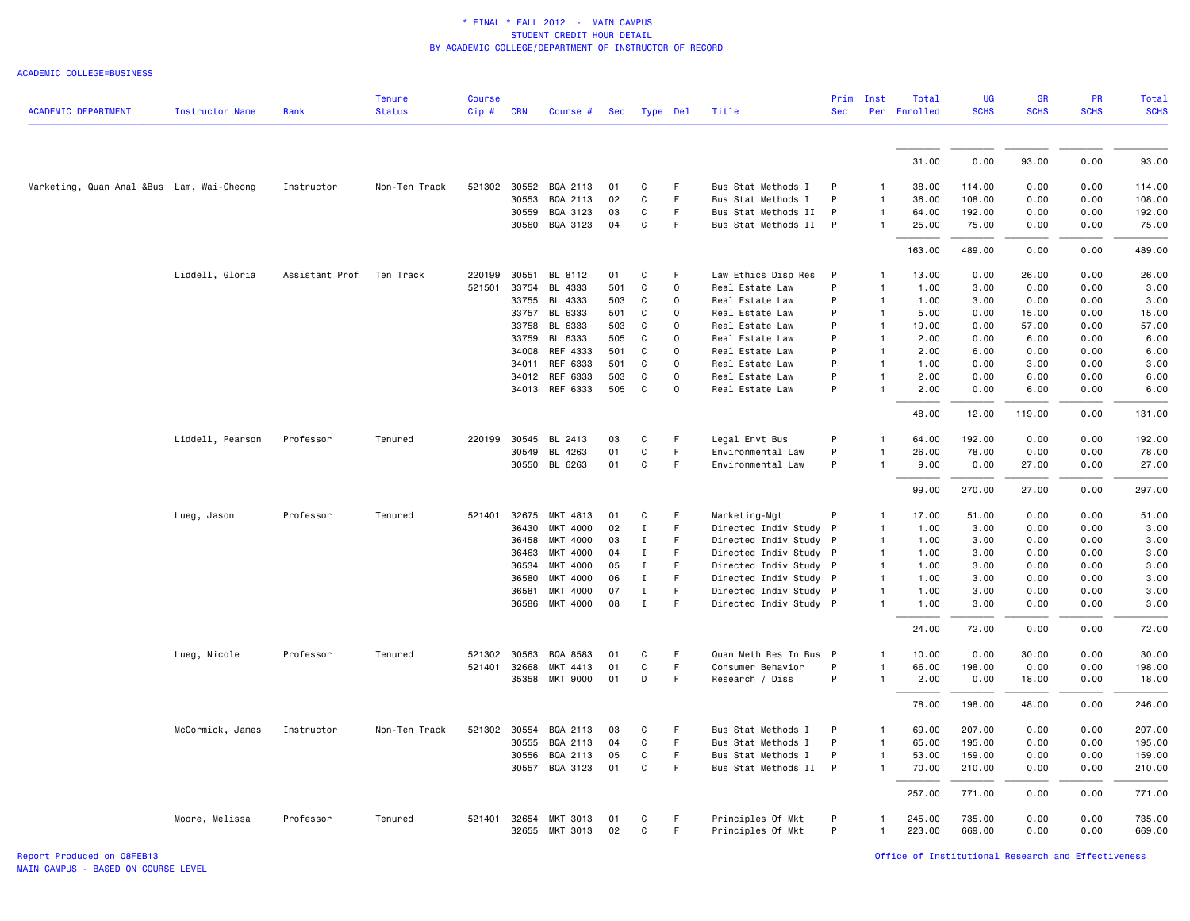ACADEMIC COLLEGE=BUSINESS

| <b>ACADEMIC DEPARTMENT</b>                | <b>Instructor Name</b> | Rank           | <b>Tenure</b><br><b>Status</b> | <b>Course</b><br>Cip# | <b>CRN</b> | Course #        | <b>Sec</b> | Type Del     |             | Title                  | Prim<br><b>Sec</b> | Inst         | Total<br>Per Enrolled | UG<br><b>SCHS</b> | GR<br><b>SCHS</b> | PR<br><b>SCHS</b> | Total<br><b>SCHS</b> |
|-------------------------------------------|------------------------|----------------|--------------------------------|-----------------------|------------|-----------------|------------|--------------|-------------|------------------------|--------------------|--------------|-----------------------|-------------------|-------------------|-------------------|----------------------|
|                                           |                        |                |                                |                       |            |                 |            |              |             |                        |                    |              |                       |                   |                   |                   |                      |
|                                           |                        |                |                                |                       |            |                 |            |              |             |                        |                    |              | 31.00                 | 0.00              | 93.00             | 0.00              | 93.00                |
| Marketing, Quan Anal &Bus Lam, Wai-Cheong |                        | Instructor     | Non-Ten Track                  | 521302                | 30552      | BQA 2113        | 01         | C            | F           | Bus Stat Methods I     | P                  |              | 38.00                 | 114.00            | 0.00              | 0.00              | 114.00               |
|                                           |                        |                |                                |                       | 30553      | BQA 2113        | 02         | C            | F           | Bus Stat Methods I     | P                  | 1            | 36.00                 | 108.00            | 0.00              | 0.00              | 108.00               |
|                                           |                        |                |                                |                       | 30559      | BQA 3123        | 03         | C            | F           | Bus Stat Methods II    | P                  | 1            | 64.00                 | 192.00            | 0.00              | 0.00              | 192.00               |
|                                           |                        |                |                                |                       |            | 30560 BQA 3123  | 04         | C            | $\mathsf F$ | Bus Stat Methods II    | $\mathsf{P}$       | 1            | 25.00                 | 75.00             | 0.00              | 0.00              | 75.00                |
|                                           |                        |                |                                |                       |            |                 |            |              |             |                        |                    |              | 163.00                | 489.00            | 0.00              | 0.00              | 489.00               |
|                                           | Liddell, Gloria        | Assistant Prof | Ten Track                      | 220199                | 30551      | BL 8112         | 01         | C            | F           | Law Ethics Disp Res    | P                  | 1            | 13.00                 | 0.00              | 26.00             | 0.00              | 26.00                |
|                                           |                        |                |                                | 521501                | 33754      | BL 4333         | 501        | C            | $\mathbf 0$ | Real Estate Law        | P                  | $\mathbf{1}$ | 1.00                  | 3.00              | 0.00              | 0.00              | 3.00                 |
|                                           |                        |                |                                |                       | 33755      | BL 4333         | 503        | C            | $\mathsf 0$ | Real Estate Law        | P                  | 1            | 1.00                  | 3.00              | 0.00              | 0.00              | 3.00                 |
|                                           |                        |                |                                |                       | 33757      | BL 6333         | 501        | C            | 0           | Real Estate Law        | P                  | 1            | 5.00                  | 0.00              | 15.00             | 0.00              | 15.00                |
|                                           |                        |                |                                |                       | 33758      | BL 6333         | 503        | C            | $\mathbf 0$ | Real Estate Law        | P                  | $\mathbf{1}$ | 19.00                 | 0.00              | 57.00             | 0.00              | 57.00                |
|                                           |                        |                |                                |                       | 33759      | BL 6333         | 505        | C            | $\mathsf 0$ | Real Estate Law        | P                  | $\mathbf{1}$ | 2.00                  | 0.00              | 6.00              | 0.00              | 6.00                 |
|                                           |                        |                |                                |                       | 34008      | REF 4333        | 501        | C            | $\mathsf 0$ | Real Estate Law        | P                  | 1            | 2.00                  | 6.00              | 0.00              | 0.00              | 6.00                 |
|                                           |                        |                |                                |                       | 34011      | REF 6333        | 501        | C            | $\mathsf 0$ | Real Estate Law        | P                  | 1            | 1.00                  | 0.00              | 3.00              | 0.00              | 3.00                 |
|                                           |                        |                |                                |                       |            | 34012 REF 6333  | 503        | C            | $\mathbf 0$ | Real Estate Law        | P                  | 1            | 2.00                  | 0.00              | 6.00              | 0.00              | 6.00                 |
|                                           |                        |                |                                |                       | 34013      | REF 6333        | 505        | C            | $\mathbf 0$ | Real Estate Law        | P                  | 1            | 2.00                  | 0.00              | 6.00              | 0.00              | 6.00                 |
|                                           |                        |                |                                |                       |            |                 |            |              |             |                        |                    |              | 48.00                 | 12.00             | 119.00            | 0.00              | 131.00               |
|                                           | Liddell, Pearson       | Professor      | Tenured                        | 220199                | 30545      | BL 2413         | 03         | $\mathtt{C}$ | F           | Legal Envt Bus         | P                  | 1            | 64.00                 | 192.00            | 0.00              | 0.00              | 192.00               |
|                                           |                        |                |                                |                       | 30549      | BL 4263         | 01         | C            | $\mathsf F$ | Environmental Law      | P                  |              | 26.00                 | 78.00             | 0.00              | 0.00              | 78.00                |
|                                           |                        |                |                                |                       |            | 30550 BL 6263   | 01         | C            | F           | Environmental Law      | P                  | 1            | 9.00                  | 0.00              | 27.00             | 0.00              | 27.00                |
|                                           |                        |                |                                |                       |            |                 |            |              |             |                        |                    |              | 99.00                 | 270.00            | 27.00             | 0.00              | 297.00               |
|                                           | Lueg, Jason            | Professor      | Tenured                        | 521401                | 32675      | MKT 4813        | 01         | C            | F           | Marketing-Mgt          | P                  |              | 17.00                 | 51.00             | 0.00              | 0.00              | 51.00                |
|                                           |                        |                |                                |                       | 36430      | MKT 4000        | 02         | $\mathbf{I}$ | $\mathsf F$ | Directed Indiv Study P |                    | 1            | 1.00                  | 3.00              | 0.00              | 0.00              | 3.00                 |
|                                           |                        |                |                                |                       | 36458      | MKT 4000        | 03         | Ι.           | F           | Directed Indiv Study P |                    | $\mathbf{1}$ | 1.00                  | 3.00              | 0.00              | 0.00              | 3.00                 |
|                                           |                        |                |                                |                       | 36463      | MKT 4000        | 04         | $\mathbf I$  | F           | Directed Indiv Study P |                    |              | 1.00                  | 3.00              | 0.00              | 0.00              | 3.00                 |
|                                           |                        |                |                                |                       | 36534      | MKT 4000        | 05         | $\mathbf I$  | $\mathsf F$ | Directed Indiv Study P |                    | $\mathbf{1}$ | 1.00                  | 3.00              | 0.00              | 0.00              | 3.00                 |
|                                           |                        |                |                                |                       | 36580      | <b>MKT 4000</b> | 06         | Ι.           | F           | Directed Indiv Study P |                    | 1            | 1.00                  | 3.00              | 0.00              | 0.00              | 3.00                 |
|                                           |                        |                |                                |                       | 36581      | MKT 4000        | 07         | Ι.           | F.          | Directed Indiv Study P |                    | 1            | 1.00                  | 3.00              | 0.00              | 0.00              | 3.00                 |
|                                           |                        |                |                                |                       | 36586      | MKT 4000        | 08         | $\mathbf{I}$ | F           | Directed Indiv Study P |                    | 1            | 1.00                  | 3.00              | 0.00              | 0.00              | 3.00                 |
|                                           |                        |                |                                |                       |            |                 |            |              |             |                        |                    |              | 24.00                 | 72.00             | 0.00              | 0.00              | 72.00                |
|                                           | Lueg, Nicole           | Professor      | Tenured                        | 521302                | 30563      | BQA 8583        | 01         | C            | F           | Quan Meth Res In Bus   | $\mathsf{P}$       |              | 10.00                 | 0.00              | 30.00             | 0.00              | 30.00                |
|                                           |                        |                |                                | 521401                | 32668      | MKT 4413        | 01         | C            | F           | Consumer Behavior      | P                  | 1            | 66.00                 | 198.00            | 0.00              | 0.00              | 198.00               |
|                                           |                        |                |                                |                       |            | 35358 MKT 9000  | 01         | D            | F           | Research / Diss        | P                  | 1            | 2.00                  | 0.00              | 18.00             | 0.00              | 18.00                |
|                                           |                        |                |                                |                       |            |                 |            |              |             |                        |                    |              | 78.00                 | 198.00            | 48.00             | 0.00              | 246.00               |
|                                           | McCormick, James       | Instructor     | Non-Ten Track                  | 521302                | 30554      | BQA 2113        | 03         | C            | F           | Bus Stat Methods I     | P                  | $\mathbf{1}$ | 69.00                 | 207.00            | 0.00              | 0.00              | 207.00               |
|                                           |                        |                |                                |                       | 30555      | BQA 2113        | 04         | C            | F           | Bus Stat Methods I     | P                  | 1            | 65.00                 | 195.00            | 0.00              | 0.00              | 195.00               |
|                                           |                        |                |                                |                       | 30556      | BQA 2113        | 05         | C            | F           | Bus Stat Methods I     | P                  | 1            | 53.00                 | 159.00            | 0.00              | 0.00              | 159.00               |
|                                           |                        |                |                                |                       |            | 30557 BQA 3123  | 01         | C            | $\mathsf F$ | Bus Stat Methods II P  |                    | $\mathbf{1}$ | 70.00                 | 210.00            | 0.00              | 0.00              | 210.00               |
|                                           |                        |                |                                |                       |            |                 |            |              |             |                        |                    |              | 257.00                | 771.00            | 0.00              | 0.00              | 771.00               |
|                                           | Moore, Melissa         | Professor      | Tenured                        | 521401                | 32654      | MKT 3013        | 01         | C            | F           | Principles Of Mkt      | P                  | 1            | 245.00                | 735.00            | 0.00              | 0.00              | 735.00               |
|                                           |                        |                |                                |                       |            | 32655 MKT 3013  | 02         | C            | F           | Principles Of Mkt      | P                  | 1            | 223.00                | 669.00            | 0.00              | 0.00              | 669.00               |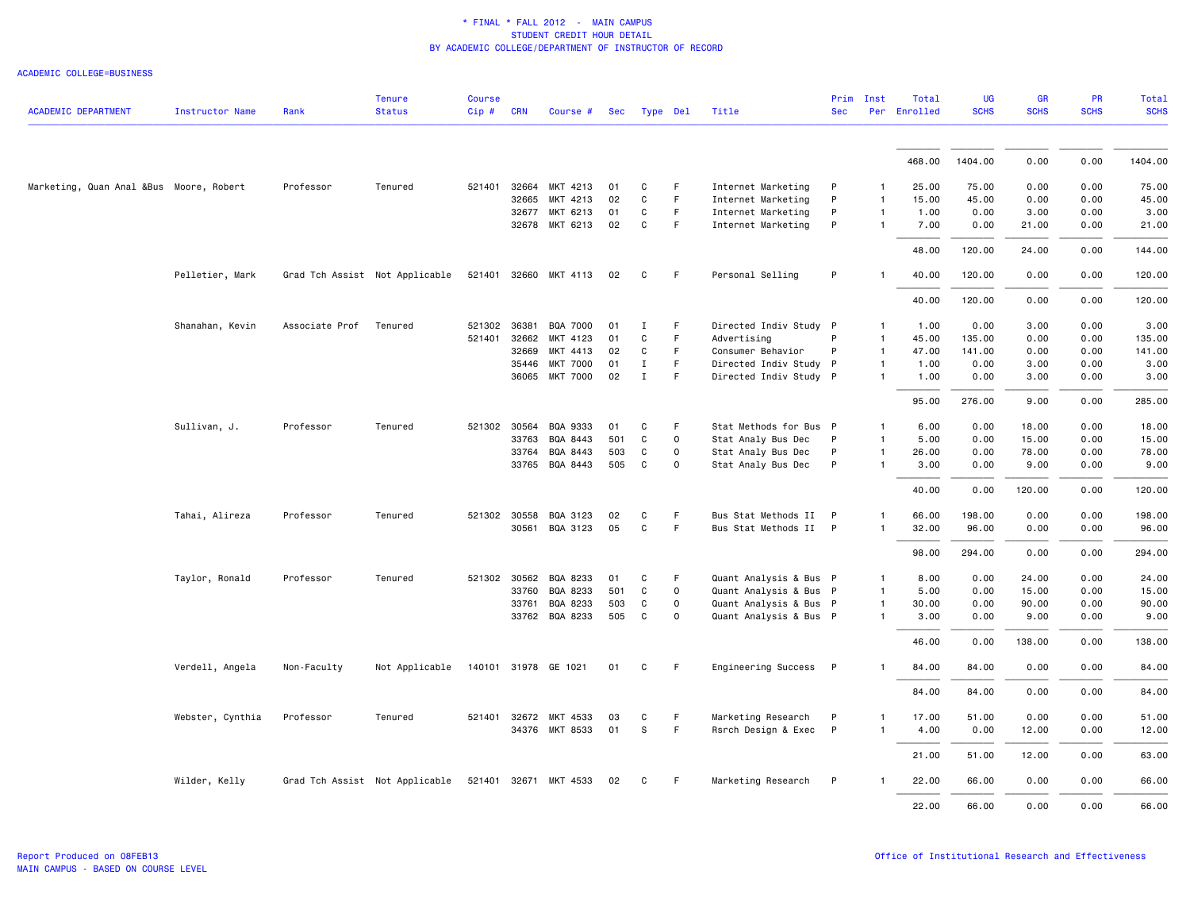| <b>ACADEMIC DEPARTMENT</b>              | <b>Instructor Name</b> | Rank           | <b>Tenure</b><br><b>Status</b> | <b>Course</b><br>$Cip \#$ | <b>CRN</b> | Course #              | Sec | Type Del     |             | Title                  | Prim<br><b>Sec</b> | Inst         | Total<br>Per Enrolled | <b>UG</b><br><b>SCHS</b> | GR<br><b>SCHS</b> | <b>PR</b><br><b>SCHS</b> | <b>Total</b><br><b>SCHS</b> |
|-----------------------------------------|------------------------|----------------|--------------------------------|---------------------------|------------|-----------------------|-----|--------------|-------------|------------------------|--------------------|--------------|-----------------------|--------------------------|-------------------|--------------------------|-----------------------------|
|                                         |                        |                |                                |                           |            |                       |     |              |             |                        |                    |              | 468.00                | 1404.00                  | 0.00              | 0.00                     | 1404.00                     |
| Marketing, Quan Anal &Bus Moore, Robert |                        | Professor      | Tenured                        | 521401 32664              |            | MKT 4213              | 01  | C            | F.          | Internet Marketing     | P                  | 1            | 25.00                 | 75.00                    | 0.00              | 0.00                     | 75.00                       |
|                                         |                        |                |                                |                           | 32665      | MKT 4213              | 02  | $\mathtt{C}$ | F.          | Internet Marketing     | P                  | $\mathbf{1}$ | 15.00                 | 45.00                    | 0.00              | 0.00                     | 45.00                       |
|                                         |                        |                |                                |                           | 32677      | MKT 6213              | 01  | C            | F           | Internet Marketing     | P                  | $\mathbf{1}$ | 1.00                  | 0.00                     | 3.00              | 0.00                     | 3.00                        |
|                                         |                        |                |                                |                           |            | 32678 MKT 6213        | 02  | $\mathtt{C}$ | F           | Internet Marketing     | P                  | -1           | 7.00                  | 0.00                     | 21.00             | 0.00                     | 21.00                       |
|                                         |                        |                |                                |                           |            |                       |     |              |             |                        |                    |              | 48.00                 | 120.00                   | 24.00             | 0.00                     | 144.00                      |
|                                         | Pelletier, Mark        |                | Grad Tch Assist Not Applicable |                           |            | 521401 32660 MKT 4113 | 02  | C            | F           | Personal Selling       | P                  | $\mathbf{1}$ | 40.00                 | 120.00                   | 0.00              | 0.00                     | 120.00                      |
|                                         |                        |                |                                |                           |            |                       |     |              |             |                        |                    |              | 40.00                 | 120.00                   | 0.00              | 0.00                     | 120.00                      |
|                                         | Shanahan, Kevin        | Associate Prof | Tenured                        | 521302 36381              |            | BQA 7000              | 01  | <b>I</b>     | F           | Directed Indiv Study P |                    | $\mathbf{1}$ | 1.00                  | 0.00                     | 3.00              | 0.00                     | 3.00                        |
|                                         |                        |                |                                | 521401                    | 32662      | MKT 4123              | 01  | C            | F           | Advertising            | P                  | $\mathbf{1}$ | 45.00                 | 135.00                   | 0.00              | 0.00                     | 135.00                      |
|                                         |                        |                |                                |                           | 32669      | MKT 4413              | 02  | $\mathtt{C}$ | F           | Consumer Behavior      | P                  | $\mathbf{1}$ | 47.00                 | 141.00                   | 0.00              | 0.00                     | 141.00                      |
|                                         |                        |                |                                |                           | 35446      | <b>MKT 7000</b>       | 01  | $\mathbf I$  | F           | Directed Indiv Study P |                    | $\mathbf{1}$ | 1.00                  | 0.00                     | 3.00              | 0.00                     | 3.00                        |
|                                         |                        |                |                                |                           | 36065      | MKT 7000              | 02  | $\mathbf I$  | F.          | Directed Indiv Study P |                    | $\mathbf{1}$ | 1.00                  | 0.00                     | 3.00              | 0.00                     | 3.00                        |
|                                         |                        |                |                                |                           |            |                       |     |              |             |                        |                    |              | 95.00                 | 276.00                   | 9.00              | 0.00                     | 285.00                      |
|                                         | Sullivan, J.           | Professor      | Tenured                        | 521302 30564              |            | BQA 9333              | 01  | C            | F.          | Stat Methods for Bus P |                    | $\mathbf{1}$ | 6.00                  | 0.00                     | 18.00             | 0.00                     | 18.00                       |
|                                         |                        |                |                                |                           | 33763      | BQA 8443              | 501 | C            | 0           | Stat Analy Bus Dec     | P                  | $\mathbf{1}$ | 5.00                  | 0.00                     | 15.00             | 0.00                     | 15.00                       |
|                                         |                        |                |                                |                           | 33764      | BQA 8443              | 503 | C            | $\mathbf 0$ | Stat Analy Bus Dec     | P                  | 1            | 26.00                 | 0.00                     | 78.00             | 0.00                     | 78.00                       |
|                                         |                        |                |                                |                           | 33765      | BQA 8443              | 505 | C            | 0           | Stat Analy Bus Dec     | P                  | $\mathbf{1}$ | 3.00                  | 0.00                     | 9.00              | 0.00                     | 9.00                        |
|                                         |                        |                |                                |                           |            |                       |     |              |             |                        |                    |              | 40.00                 | 0.00                     | 120.00            | 0.00                     | 120.00                      |
|                                         | Tahai, Alireza         | Professor      | Tenured                        | 521302 30558              |            | BQA 3123              | 02  | C            | F           | Bus Stat Methods II P  |                    | $\mathbf{1}$ | 66.00                 | 198.00                   | 0.00              | 0.00                     | 198.00                      |
|                                         |                        |                |                                |                           | 30561      | BQA 3123              | 05  | $\mathtt{C}$ | F           | Bus Stat Methods II P  |                    | $\mathbf{1}$ | 32.00                 | 96.00                    | 0.00              | 0.00                     | 96.00                       |
|                                         |                        |                |                                |                           |            |                       |     |              |             |                        |                    |              | 98.00                 | 294.00                   | 0.00              | 0.00                     | 294.00                      |
|                                         | Taylor, Ronald         | Professor      | Tenured                        | 521302 30562              |            | BQA 8233              | 01  | C            | F.          | Quant Analysis & Bus P |                    | $\mathbf{1}$ | 8.00                  | 0.00                     | 24.00             | 0.00                     | 24.00                       |
|                                         |                        |                |                                |                           | 33760      | BQA 8233              | 501 | C            | $\mathbf 0$ | Quant Analysis & Bus P |                    | $\mathbf{1}$ | 5.00                  | 0.00                     | 15.00             | 0.00                     | 15.00                       |
|                                         |                        |                |                                |                           | 33761      | BQA 8233              | 503 | C            | 0           | Quant Analysis & Bus P |                    | $\mathbf{1}$ | 30.00                 | 0.00                     | 90.00             | 0.00                     | 90.00                       |
|                                         |                        |                |                                |                           |            | 33762 BQA 8233        | 505 | C            | $\mathbf 0$ | Quant Analysis & Bus P |                    | $\mathbf{1}$ | 3.00                  | 0.00                     | 9.00              | 0.00                     | 9.00                        |
|                                         |                        |                |                                |                           |            |                       |     |              |             |                        |                    |              | 46.00                 | 0.00                     | 138.00            | 0.00                     | 138.00                      |
|                                         | Verdell, Angela        | Non-Faculty    | Not Applicable                 |                           |            | 140101 31978 GE 1021  | 01  | C            | F           | Engineering Success    | $\mathsf{P}$       | -1           | 84.00                 | 84.00                    | 0.00              | 0.00                     | 84.00                       |
|                                         |                        |                |                                |                           |            |                       |     |              |             |                        |                    |              | 84.00                 | 84.00                    | 0.00              | 0.00                     | 84.00                       |
|                                         | Webster, Cynthia       | Professor      | Tenured                        | 521401 32672              |            | MKT 4533              | 03  | C            | F           | Marketing Research     | P                  | -1           | 17.00                 | 51.00                    | 0.00              | 0.00                     | 51.00                       |
|                                         |                        |                |                                |                           |            | 34376 MKT 8533        | 01  | S            | F           | Rsrch Design & Exec P  |                    | $\mathbf{1}$ | 4.00                  | 0.00                     | 12.00             | 0.00                     | 12.00                       |
|                                         |                        |                |                                |                           |            |                       |     |              |             |                        |                    |              | 21.00                 | 51.00                    | 12.00             | 0.00                     | 63.00                       |
|                                         | Wilder, Kelly          |                | Grad Tch Assist Not Applicable |                           |            | 521401 32671 MKT 4533 | 02  | C            | F.          | Marketing Research     | P                  |              | 22.00                 | 66.00                    | 0.00              | 0.00                     | 66.00                       |
|                                         |                        |                |                                |                           |            |                       |     |              |             |                        |                    |              | 22.00                 | 66.00                    | 0.00              | 0.00                     | 66.00                       |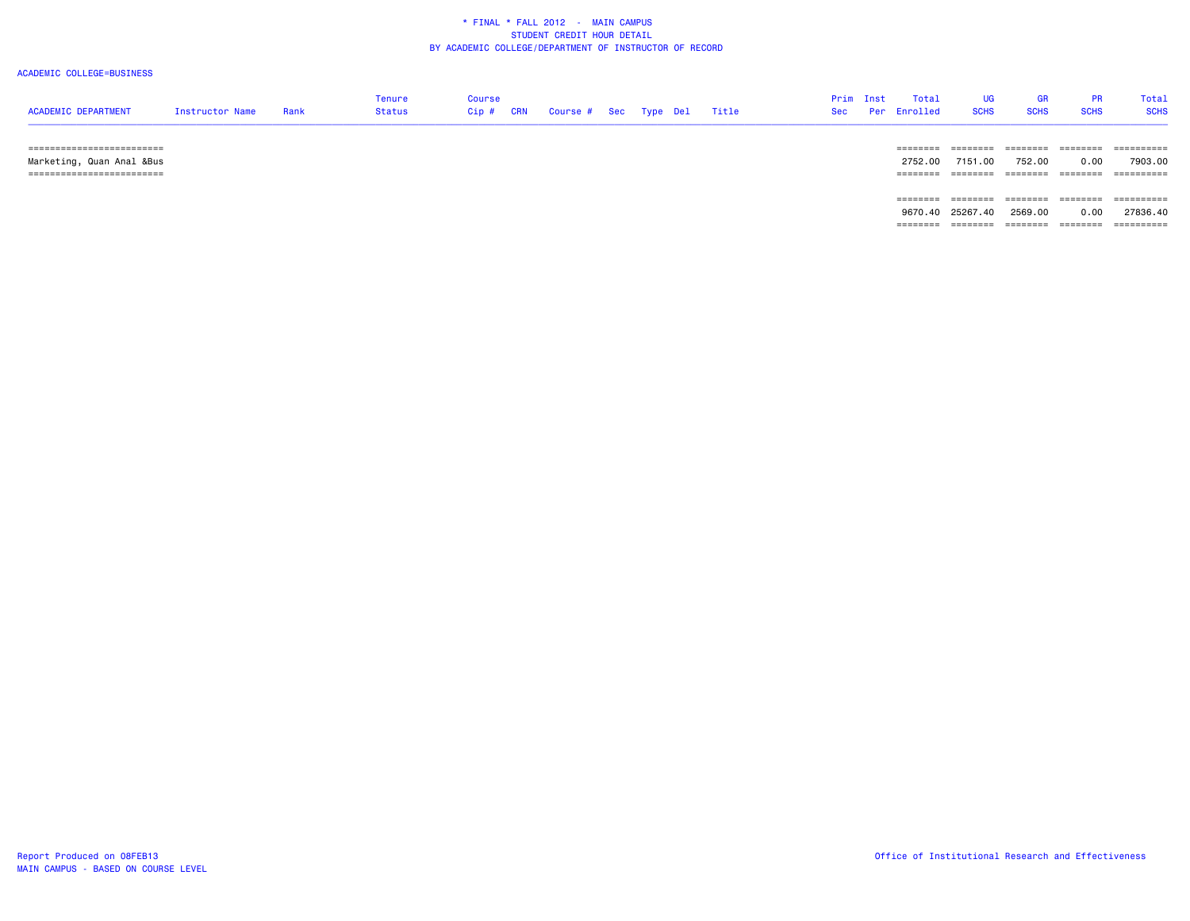### ACADEMIC COLLEGE=BUSINESS

| <b>ACADEMIC DEPARTMENT</b> | Instructor Name | Rank | Tenure<br><b>Status</b> | Course<br>$Cip$ # | <b>CRN</b> | Course # Sec Type Del |  | Title | Prim Inst<br>Sec | Total<br>Per Enrolled | <b>SCHS</b> | <b>SCHS</b> | Total<br><b>SCHS</b> |
|----------------------------|-----------------|------|-------------------------|-------------------|------------|-----------------------|--|-------|------------------|-----------------------|-------------|-------------|----------------------|
| -------------------------- |                 |      |                         |                   |            |                       |  |       |                  |                       |             | =======     | ==========           |

 Marketing, Quan Anal &Bus 2752.00 7151.00 752.00 0.00 7903.00 ========================= ======== ======== ======== ======== ========== ======== ======== ======== ======== ==========9670.40 25267.40 2569.00 0.00 27836.40

======== ======== ======== ======== ==========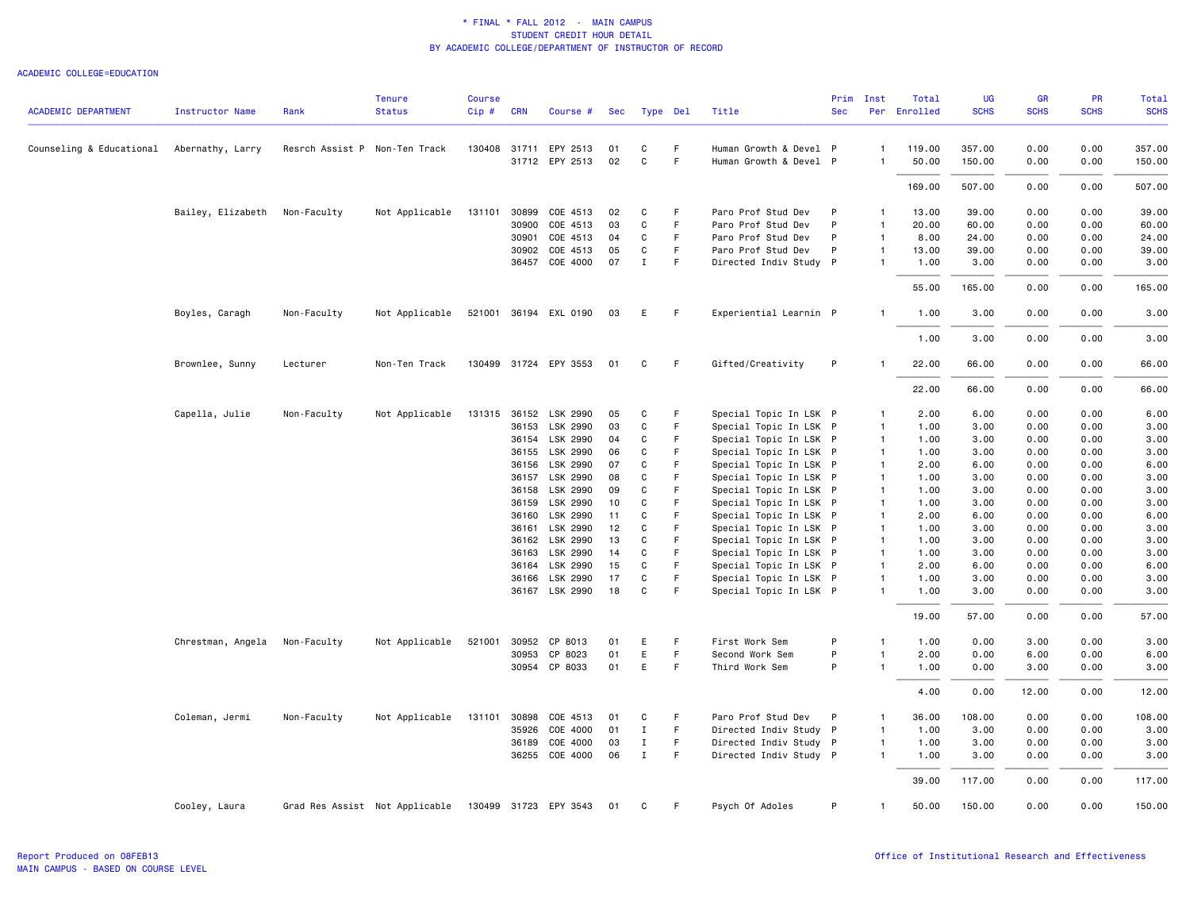|                            |                        |                               | <b>Tenure</b>                  | <b>Course</b> |            |                       |     |              |    |                        | Prim       | Inst           | Total        | <b>UG</b>   | <b>GR</b>   | <b>PR</b>   | Total       |
|----------------------------|------------------------|-------------------------------|--------------------------------|---------------|------------|-----------------------|-----|--------------|----|------------------------|------------|----------------|--------------|-------------|-------------|-------------|-------------|
| <b>ACADEMIC DEPARTMENT</b> | <b>Instructor Name</b> | Rank                          | <b>Status</b>                  | Cip#          | <b>CRN</b> | Course #              | Sec | Type Del     |    | Title                  | <b>Sec</b> |                | Per Enrolled | <b>SCHS</b> | <b>SCHS</b> | <b>SCHS</b> | <b>SCHS</b> |
| Counseling & Educational   | Abernathy, Larry       | Resrch Assist P Non-Ten Track |                                | 130408        | 31711      | EPY 2513              | 01  | C            | F. | Human Growth & Devel P |            | $\mathbf{1}$   | 119.00       | 357.00      | 0.00        | 0.00        | 357.00      |
|                            |                        |                               |                                |               |            | 31712 EPY 2513        | 02  | $\mathbf c$  | F  | Human Growth & Devel P |            | $\mathbf{1}$   | 50.00        | 150.00      | 0.00        | 0.00        | 150.00      |
|                            |                        |                               |                                |               |            |                       |     |              |    |                        |            |                | 169.00       | 507.00      | 0.00        | 0.00        | 507.00      |
|                            | Bailey, Elizabeth      | Non-Faculty                   | Not Applicable                 | 131101        | 30899      | COE 4513              | 02  | C            | F  | Paro Prof Stud Dev     | P          | $\mathbf{1}$   | 13.00        | 39.00       | 0.00        | 0.00        | 39.00       |
|                            |                        |                               |                                |               | 30900      | COE 4513              | 03  | C            | F  | Paro Prof Stud Dev     | P          | $\mathbf{1}$   | 20.00        | 60.00       | 0.00        | 0.00        | 60.00       |
|                            |                        |                               |                                |               | 30901      | COE 4513              | 04  | C            | F  | Paro Prof Stud Dev     | P          | $\mathbf{1}$   | 8.00         | 24.00       | 0.00        | 0.00        | 24.00       |
|                            |                        |                               |                                |               | 30902      | COE 4513              | 05  | C            | F. | Paro Prof Stud Dev     | P          | $\mathbf{1}$   | 13.00        | 39.00       | 0.00        | 0.00        | 39.00       |
|                            |                        |                               |                                |               | 36457      | COE 4000              | 07  | $\mathbf{I}$ | F. | Directed Indiv Study P |            | $\mathbf{1}$   | 1.00         | 3.00        | 0.00        | 0.00        | 3.00        |
|                            |                        |                               |                                |               |            |                       |     |              |    |                        |            |                | 55.00        | 165.00      | 0.00        | 0.00        | 165.00      |
|                            | Boyles, Caragh         | Non-Faculty                   | Not Applicable                 |               |            | 521001 36194 EXL 0190 | 03  | E            | F  | Experiential Learnin P |            | $\mathbf{1}$   | 1.00         | 3.00        | 0.00        | 0.00        | 3.00        |
|                            |                        |                               |                                |               |            |                       |     |              |    |                        |            |                | 1.00         | 3.00        | 0.00        | 0.00        | 3.00        |
|                            | Brownlee, Sunny        | Lecturer                      | Non-Ten Track                  |               |            | 130499 31724 EPY 3553 | 01  | C            | F. | Gifted/Creativity      | P          | $\mathbf{1}$   | 22.00        | 66.00       | 0.00        | 0.00        | 66.00       |
|                            |                        |                               |                                |               |            |                       |     |              |    |                        |            |                | 22.00        | 66.00       | 0.00        | 0.00        | 66.00       |
|                            | Capella, Julie         | Non-Faculty                   | Not Applicable                 |               |            | 131315 36152 LSK 2990 | 05  | C            | F  | Special Topic In LSK P |            | $\mathbf{1}$   | 2.00         | 6.00        | 0.00        | 0.00        | 6.00        |
|                            |                        |                               |                                |               | 36153      | LSK 2990              | 03  | C            | F  | Special Topic In LSK P |            | $\mathbf{1}$   | 1.00         | 3.00        | 0.00        | 0.00        | 3.00        |
|                            |                        |                               |                                |               | 36154      | LSK 2990              | 04  | C            | F  | Special Topic In LSK P |            | $\mathbf{1}$   | 1.00         | 3.00        | 0.00        | 0.00        | 3.00        |
|                            |                        |                               |                                |               | 36155      | LSK 2990              | 06  | C            | F  | Special Topic In LSK P |            | $\overline{1}$ | 1.00         | 3.00        | 0.00        | 0.00        | 3.00        |
|                            |                        |                               |                                |               | 36156      | LSK 2990              | 07  | C            | F  | Special Topic In LSK P |            | $\overline{1}$ | 2.00         | 6.00        | 0.00        | 0.00        | 6.00        |
|                            |                        |                               |                                |               | 36157      | LSK 2990              | 08  | C            | F  | Special Topic In LSK P |            | $\overline{1}$ | 1.00         | 3.00        | 0.00        | 0.00        | 3.00        |
|                            |                        |                               |                                |               | 36158      | LSK 2990              | 09  | C            | F  | Special Topic In LSK P |            | $\mathbf{1}$   | 1.00         | 3.00        | 0.00        | 0.00        | 3.00        |
|                            |                        |                               |                                |               | 36159      | LSK 2990              | 10  | C            | F  | Special Topic In LSK P |            | $\overline{1}$ | 1.00         | 3.00        | 0.00        | 0.00        | 3.00        |
|                            |                        |                               |                                |               | 36160      | LSK 2990              | 11  | C            | F  | Special Topic In LSK P |            | $\mathbf{1}$   | 2.00         | 6.00        | 0.00        | 0.00        | 6.00        |
|                            |                        |                               |                                |               | 36161      | LSK 2990              | 12  | C            | F  | Special Topic In LSK P |            | $\overline{1}$ | 1.00         | 3.00        | 0.00        | 0.00        | 3.00        |
|                            |                        |                               |                                |               |            | 36162 LSK 2990        | 13  | C            | F  | Special Topic In LSK P |            | $\mathbf{1}$   | 1.00         | 3.00        | 0.00        | 0.00        | 3.00        |
|                            |                        |                               |                                |               | 36163      | LSK 2990              | 14  | C            | F  | Special Topic In LSK P |            | $\mathbf{1}$   | 1.00         | 3.00        | 0.00        | 0.00        | 3.00        |
|                            |                        |                               |                                |               | 36164      | LSK 2990              | 15  | C            | F  | Special Topic In LSK P |            | $\mathbf{1}$   | 2.00         | 6.00        | 0.00        | 0.00        | 6.00        |
|                            |                        |                               |                                |               | 36166      | LSK 2990              | 17  | $\mathbf{C}$ | F. | Special Topic In LSK P |            | $\mathbf{1}$   | 1.00         | 3.00        | 0.00        | 0.00        | 3.00        |
|                            |                        |                               |                                |               | 36167      | LSK 2990              | 18  | C            | F  | Special Topic In LSK P |            | $\mathbf{1}$   | 1.00         | 3.00        | 0.00        | 0.00        | 3.00        |
|                            |                        |                               |                                |               |            |                       |     |              |    |                        |            |                | 19.00        | 57.00       | 0.00        | 0.00        | 57.00       |
|                            | Chrestman, Angela      | Non-Faculty                   | Not Applicable                 | 521001        |            | 30952 CP 8013         | 01  | E            | F. | First Work Sem         | P          | $\mathbf{1}$   | 1.00         | 0.00        | 3.00        | 0.00        | 3.00        |
|                            |                        |                               |                                |               | 30953      | CP 8023               | 01  | E            | F  | Second Work Sem        | P          | $\mathbf{1}$   | 2.00         | 0.00        | 6.00        | 0.00        | 6.00        |
|                            |                        |                               |                                |               |            | 30954 CP 8033         | 01  | E            | F. | Third Work Sem         | P          | $\mathbf{1}$   | 1.00         | 0.00        | 3.00        | 0.00        | 3.00        |
|                            |                        |                               |                                |               |            |                       |     |              |    |                        |            |                | 4.00         | 0.00        | 12.00       | 0.00        | 12.00       |
|                            | Coleman, Jermi         | Non-Faculty                   | Not Applicable                 | 131101        | 30898      | COE 4513              | 01  | C            | F. | Paro Prof Stud Dev     | P          | 1              | 36.00        | 108.00      | 0.00        | 0.00        | 108.00      |
|                            |                        |                               |                                |               | 35926      | COE 4000              | 01  | Ι.           | F  | Directed Indiv Study P |            | $\mathbf{1}$   | 1.00         | 3.00        | 0.00        | 0.00        | 3.00        |
|                            |                        |                               |                                |               | 36189      | COE 4000              | 03  | $\mathbf{I}$ | F  | Directed Indiv Study P |            | $\mathbf{1}$   | 1.00         | 3.00        | 0.00        | 0.00        | 3.00        |
|                            |                        |                               |                                |               |            | 36255 COE 4000        | 06  | $\mathbf{I}$ | F  | Directed Indiv Study P |            | $\mathbf{1}$   | 1.00         | 3.00        | 0.00        | 0.00        | 3.00        |
|                            |                        |                               |                                |               |            |                       |     |              |    |                        |            |                | 39.00        | 117.00      | 0.00        | 0.00        | 117.00      |
|                            | Cooley, Laura          |                               | Grad Res Assist Not Applicable |               |            | 130499 31723 EPY 3543 | 01  | C            | F. | Psych Of Adoles        | P          | $\mathbf{1}$   | 50.00        | 150.00      | 0.00        | 0.00        | 150.00      |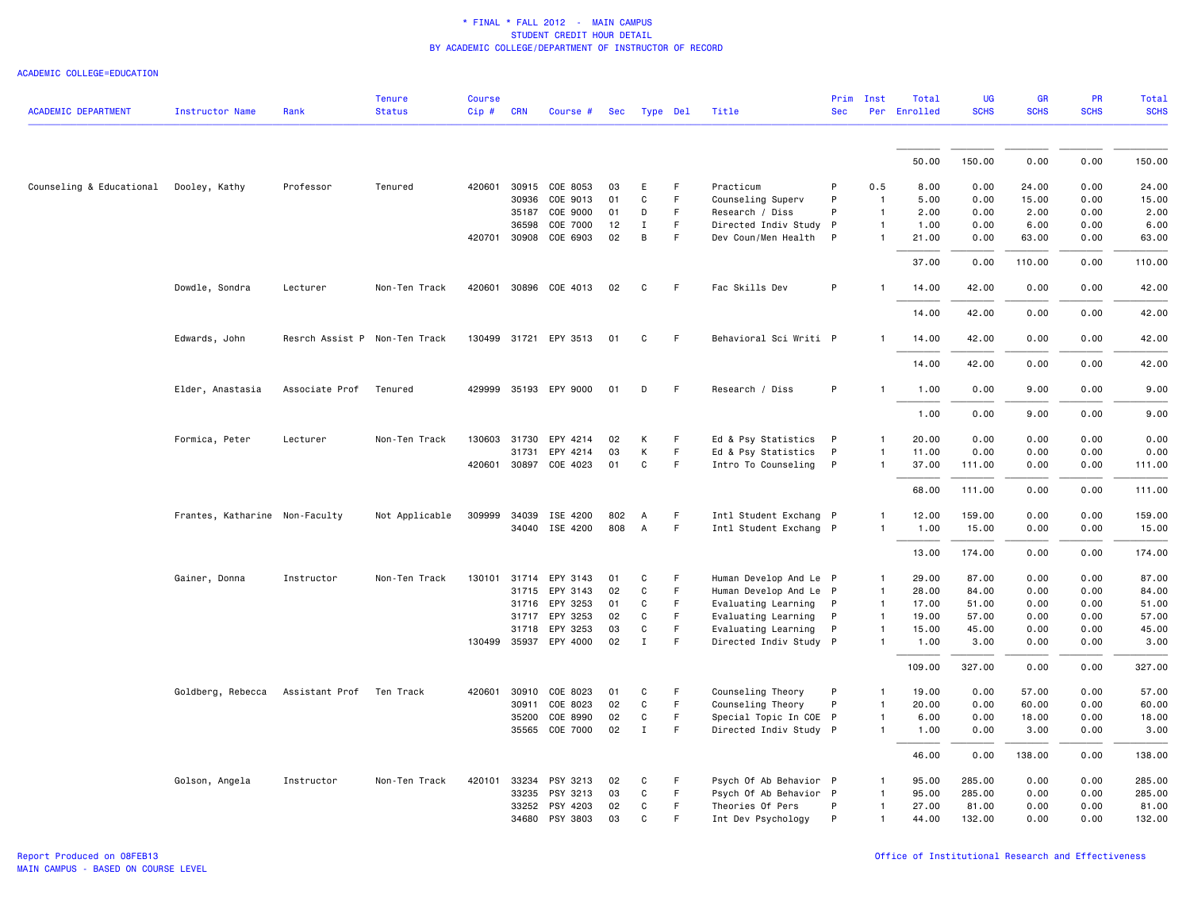| <b>ACADEMIC DEPARTMENT</b>             | <b>Instructor Name</b>         | Rank                          | <b>Tenure</b><br><b>Status</b> | <b>Course</b><br>Cip# | <b>CRN</b> | Course #                   | Sec      | Type Del          |         | Title                                            | Prim<br><b>Sec</b> | Inst                         | Total<br>Per Enrolled | <b>UG</b><br><b>SCHS</b> | <b>GR</b><br><b>SCHS</b> | PR<br><b>SCHS</b> | <b>Total</b><br><b>SCHS</b> |
|----------------------------------------|--------------------------------|-------------------------------|--------------------------------|-----------------------|------------|----------------------------|----------|-------------------|---------|--------------------------------------------------|--------------------|------------------------------|-----------------------|--------------------------|--------------------------|-------------------|-----------------------------|
|                                        |                                |                               |                                |                       |            |                            |          |                   |         |                                                  |                    |                              |                       |                          |                          |                   |                             |
|                                        |                                |                               |                                |                       |            |                            |          |                   |         |                                                  |                    |                              | 50.00                 | 150.00                   | 0.00                     | 0.00              | 150.00                      |
| Counseling & Educational Dooley, Kathy |                                | Professor                     | Tenured                        |                       |            | 420601 30915 COE 8053      | 03       | E                 | F       | Practicum                                        | P                  | 0.5                          | 8.00                  | 0.00                     | 24.00                    | 0.00              | 24.00                       |
|                                        |                                |                               |                                |                       | 30936      | COE 9013                   | 01       | C                 | F       | Counseling Superv                                | P                  | $\overline{1}$               | 5.00                  | 0.00                     | 15.00                    | 0.00              | 15.00                       |
|                                        |                                |                               |                                |                       | 35187      | COE 9000                   | 01       | D                 | F.      | Research / Diss                                  | P                  | $\overline{1}$               | 2.00                  | 0.00                     | 2.00                     | 0.00              | 2.00                        |
|                                        |                                |                               |                                |                       | 36598      | COE 7000                   | 12       | $\mathbf I$       | F.      | Directed Indiv Study P                           |                    | $\overline{1}$               | 1.00                  | 0.00                     | 6.00                     | 0.00              | 6.00                        |
|                                        |                                |                               |                                |                       |            | 420701 30908 COE 6903      | 02       | B                 | F.      | Dev Coun/Men Health                              | P                  | $\mathbf{1}$                 | 21.00                 | 0.00                     | 63.00                    | 0.00              | 63.00                       |
|                                        |                                |                               |                                |                       |            |                            |          |                   |         |                                                  |                    |                              | 37.00                 | 0.00                     | 110.00                   | 0.00              | 110.00                      |
|                                        | Dowdle, Sondra                 | Lecturer                      | Non-Ten Track                  |                       |            | 420601 30896 COE 4013      | 02       | C                 | F.      | Fac Skills Dev                                   | P                  |                              | 14.00                 | 42.00                    | 0.00                     | 0.00              | 42.00                       |
|                                        |                                |                               |                                |                       |            |                            |          |                   |         |                                                  |                    |                              | 14.00                 | 42.00                    | 0.00                     | 0.00              | 42.00                       |
|                                        | Edwards, John                  | Resrch Assist P Non-Ten Track |                                |                       |            | 130499 31721 EPY 3513      | 01       | C                 | F       | Behavioral Sci Writi P                           |                    | $\mathbf{1}$                 | 14.00                 | 42.00                    | 0.00                     | 0.00              | 42.00                       |
|                                        |                                |                               |                                |                       |            |                            |          |                   |         |                                                  |                    |                              | 14.00                 | 42.00                    | 0.00                     | 0.00              | 42.00                       |
|                                        | Elder, Anastasia               | Associate Prof                | Tenured                        |                       |            | 429999 35193 EPY 9000      | 01       | D                 | F       | Research / Diss                                  | P                  | $\mathbf{1}$                 | 1.00                  | 0.00                     | 9.00                     | 0.00              | 9.00                        |
|                                        |                                |                               |                                |                       |            |                            |          |                   |         |                                                  |                    |                              | 1.00                  | 0.00                     | 9.00                     | 0.00              | 9.00                        |
|                                        | Formica, Peter                 | Lecturer                      | Non-Ten Track                  |                       |            | 130603 31730 EPY 4214      | 02       | K                 | F.      | Ed & Psy Statistics P                            |                    | 1                            | 20.00                 | 0.00                     | 0.00                     | 0.00              | 0.00                        |
|                                        |                                |                               |                                |                       | 31731      | EPY 4214                   | 03       | К                 | F       | Ed & Psy Statistics                              | P                  | $\mathbf{1}$                 | 11.00                 | 0.00                     | 0.00                     | 0.00              | 0.00                        |
|                                        |                                |                               |                                |                       |            | 420601 30897 COE 4023      | 01       | $\mathtt{C}$      | F.      | Intro To Counseling P                            |                    | $\mathbf{1}$                 | 37.00                 | 111.00                   | 0.00                     | 0.00              | 111.00                      |
|                                        |                                |                               |                                |                       |            |                            |          |                   |         |                                                  |                    |                              | 68.00                 | 111.00                   | 0.00                     | 0.00              | 111.00                      |
|                                        | Frantes, Katharine Non-Faculty |                               | Not Applicable                 |                       |            | 309999 34039 ISE 4200      | 802      | A                 | F       | Intl Student Exchang P                           |                    | 1                            | 12.00                 | 159.00                   | 0.00                     | 0.00              | 159.00                      |
|                                        |                                |                               |                                |                       |            | 34040 ISE 4200             | 808      | $\overline{A}$    | F       | Intl Student Exchang P                           |                    | $\mathbf{1}$                 | 1.00                  | 15.00                    | 0.00                     | 0.00              | 15.00                       |
|                                        |                                |                               |                                |                       |            |                            |          |                   |         |                                                  |                    |                              | 13.00                 | 174.00                   | 0.00                     | 0.00              | 174.00                      |
|                                        | Gainer, Donna                  | Instructor                    | Non-Ten Track                  | 130101 31714          |            | EPY 3143                   | 01       | C                 | F       | Human Develop And Le P                           |                    | $\overline{1}$               | 29.00                 | 87.00                    | 0.00                     | 0.00              | 87.00                       |
|                                        |                                |                               |                                |                       | 31715      | EPY 3143                   | 02       | C                 | F.      | Human Develop And Le P                           |                    | $\mathbf{1}$                 | 28.00                 | 84.00                    | 0.00                     | 0.00              | 84.00                       |
|                                        |                                |                               |                                |                       |            | 31716 EPY 3253             | 01       | C                 | F       | Evaluating Learning                              | P                  | $\mathbf{1}$                 | 17.00                 | 51.00                    | 0.00                     | 0.00              | 51.00                       |
|                                        |                                |                               |                                |                       |            | 31717 EPY 3253             | 02       | C                 | F       | Evaluating Learning                              | P                  | $\mathbf{1}$                 | 19.00                 | 57.00                    | 0.00                     | 0.00              | 57.00                       |
|                                        |                                |                               |                                |                       | 31718      | EPY 3253                   | 03       | C                 | F.      | Evaluating Learning                              | P                  | $\mathbf{1}$                 | 15.00                 | 45.00                    | 0.00                     | 0.00              | 45.00                       |
|                                        |                                |                               |                                |                       |            | 130499 35937 EPY 4000      | 02       | $\mathbf{I}$      | F       | Directed Indiv Study P                           |                    | $\mathbf{1}$                 | 1.00                  | 3.00                     | 0.00                     | 0.00              | 3.00                        |
|                                        |                                |                               |                                |                       |            |                            |          |                   |         |                                                  |                    |                              | 109.00                | 327.00                   | 0.00                     | 0.00              | 327.00                      |
|                                        | Goldberg, Rebecca              | Assistant Prof Ten Track      |                                |                       |            | 420601 30910 COE 8023      | 01       | C                 | F       | Counseling Theory                                | P                  | $\mathbf{1}$                 | 19.00                 | 0.00                     | 57.00                    | 0.00              | 57.00                       |
|                                        |                                |                               |                                |                       | 30911      | COE 8023                   | 02       | C                 | F       | Counseling Theory                                | P                  | $\overline{1}$               | 20.00                 | 0.00                     | 60.00                    | 0.00              | 60.00                       |
|                                        |                                |                               |                                |                       | 35200      | COE 8990<br>35565 COE 7000 | 02<br>02 | C<br>$\mathbf{I}$ | F<br>F. | Special Topic In COE P<br>Directed Indiv Study P |                    | $\mathbf{1}$<br>$\mathbf{1}$ | 6.00<br>1.00          | 0.00<br>0.00             | 18.00<br>3.00            | 0.00<br>0.00      | 18.00<br>3.00               |
|                                        |                                |                               |                                |                       |            |                            |          |                   |         |                                                  |                    |                              | 46.00                 | 0.00                     | 138.00                   | 0.00              | 138.00                      |
|                                        | Golson, Angela                 | Instructor                    | Non-Ten Track                  | 420101 33234          |            | PSY 3213                   | 02       | C                 | F       | Psych Of Ab Behavior P                           |                    | 1                            | 95.00                 | 285.00                   | 0.00                     | 0.00              | 285.00                      |
|                                        |                                |                               |                                |                       | 33235      | PSY 3213                   | 03       | C                 | F.      | Psych Of Ab Behavior P                           |                    | 1                            | 95.00                 | 285.00                   | 0.00                     | 0.00              | 285.00                      |
|                                        |                                |                               |                                |                       | 33252      | PSY 4203                   | 02       | C                 | F       | Theories Of Pers                                 | P                  | $\mathbf{1}$                 | 27.00                 | 81.00                    | 0.00                     | 0.00              | 81.00                       |
|                                        |                                |                               |                                |                       |            | 34680 PSY 3803             | 03       | $\mathtt{C}$      | F       | Int Dev Psychology                               | P                  | $\mathbf{1}$                 | 44.00                 | 132.00                   | 0.00                     | 0.00              | 132.00                      |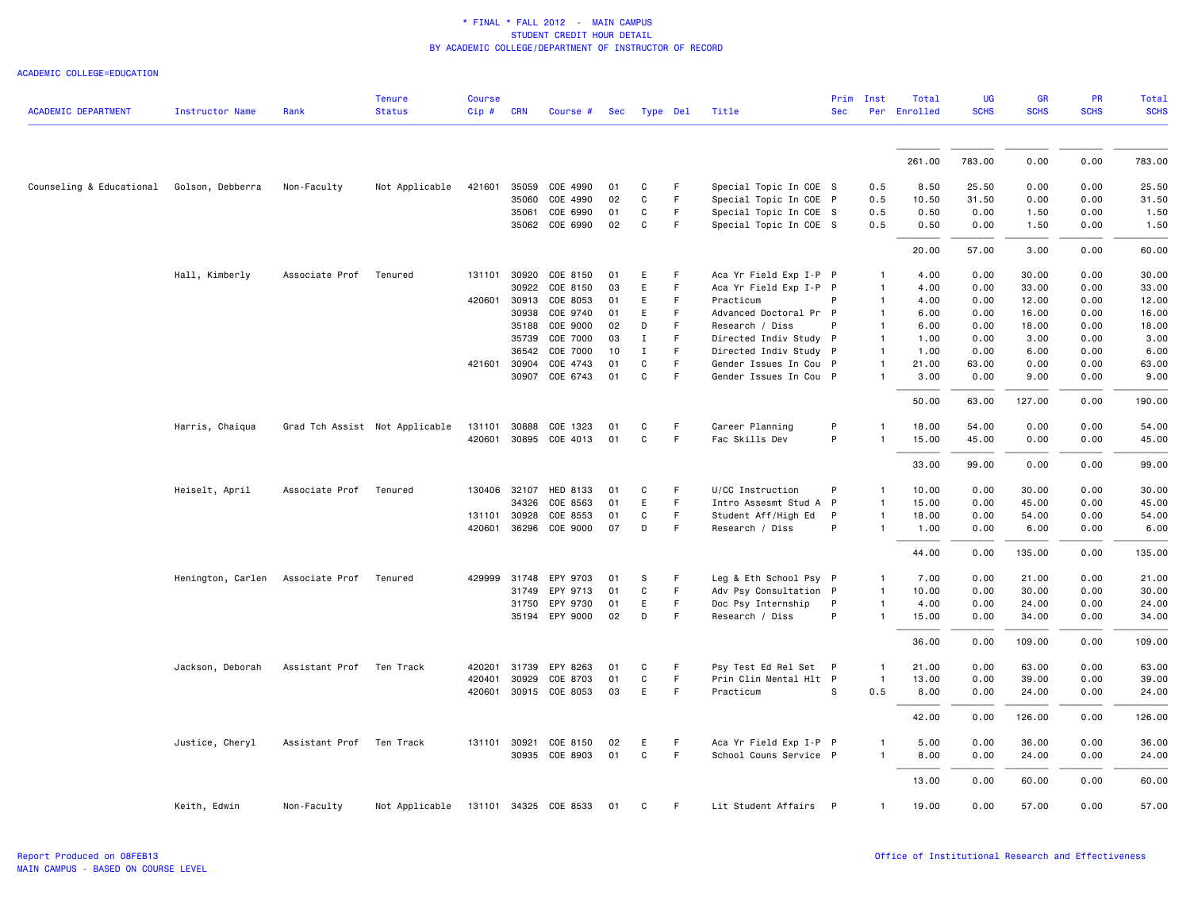|                            |                   |                          | <b>Tenure</b>                  | <b>Course</b> |              |                       |     |              |             |                        | Prim       | Inst           | Total        | <b>UG</b>   | <b>GR</b>   | PR          | Total       |
|----------------------------|-------------------|--------------------------|--------------------------------|---------------|--------------|-----------------------|-----|--------------|-------------|------------------------|------------|----------------|--------------|-------------|-------------|-------------|-------------|
| <b>ACADEMIC DEPARTMENT</b> | Instructor Name   | Rank                     | <b>Status</b>                  | $Cip \#$      | <b>CRN</b>   | Course #              | Sec |              | Type Del    | Title                  | <b>Sec</b> |                | Per Enrolled | <b>SCHS</b> | <b>SCHS</b> | <b>SCHS</b> | <b>SCHS</b> |
|                            |                   |                          |                                |               |              |                       |     |              |             |                        |            |                |              |             |             |             |             |
|                            |                   |                          |                                |               |              |                       |     |              |             |                        |            |                | 261.00       | 783.00      | 0.00        | 0.00        | 783.00      |
| Counseling & Educational   | Golson, Debberra  | Non-Faculty              | Not Applicable                 | 421601        | 35059        | COE 4990              | 01  | C            | F           | Special Topic In COE S |            | 0.5            | 8.50         | 25.50       | 0.00        | 0.00        | 25.50       |
|                            |                   |                          |                                |               | 35060        | COE 4990              | 02  | C            | F           | Special Topic In COE P |            | 0.5            | 10.50        | 31.50       | 0.00        | 0.00        | 31.50       |
|                            |                   |                          |                                |               | 35061        | COE 6990              | 01  | C            | $\mathsf F$ | Special Topic In COE S |            | 0.5            | 0.50         | 0.00        | 1.50        | 0.00        | 1.50        |
|                            |                   |                          |                                |               |              | 35062 COE 6990        | 02  | C            | F           | Special Topic In COE S |            | 0.5            | 0.50         | 0.00        | 1.50        | 0.00        | 1.50        |
|                            |                   |                          |                                |               |              |                       |     |              |             |                        |            |                | 20.00        | 57.00       | 3.00        | 0.00        | 60.00       |
|                            | Hall, Kimberly    | Associate Prof           | Tenured                        | 131101        | 30920        | COE 8150              | 01  | E            | F           | Aca Yr Field Exp I-P P |            |                | 4.00         | 0.00        | 30.00       | 0.00        | 30.00       |
|                            |                   |                          |                                |               | 30922        | COE 8150              | 03  | E.           | $\mathsf F$ | Aca Yr Field Exp I-P P |            | $\mathbf{1}$   | 4.00         | 0.00        | 33.00       | 0.00        | 33.00       |
|                            |                   |                          |                                | 420601        | 30913        | COE 8053              | 01  | E            | F           | Practicum              | P          | 1              | 4.00         | 0.00        | 12.00       | 0.00        | 12.00       |
|                            |                   |                          |                                |               | 30938        | COE 9740              | 01  | E.           | F           | Advanced Doctoral Pr P |            | $\mathbf{1}$   | 6.00         | 0.00        | 16.00       | 0.00        | 16.00       |
|                            |                   |                          |                                |               | 35188        | COE 9000              | 02  | D            | F           | Research / Diss        |            | 1              | 6.00         | 0.00        | 18.00       | 0.00        | 18.00       |
|                            |                   |                          |                                |               | 35739        | COE 7000              | 03  | Ι.           | F           | Directed Indiv Study P |            | -1             | 1.00         | 0.00        | 3.00        | 0.00        | 3.00        |
|                            |                   |                          |                                |               | 36542        | COE 7000              | 10  | Ι.           | F           | Directed Indiv Study P |            | $\mathbf{1}$   | 1.00         | 0.00        | 6.00        | 0.00        | 6.00        |
|                            |                   |                          |                                | 421601        | 30904        | COE 4743              | 01  | C            | F           | Gender Issues In Cou P |            |                | 21.00        | 63.00       | 0.00        | 0.00        | 63.00       |
|                            |                   |                          |                                |               |              | 30907 COE 6743        | 01  | C            | F           | Gender Issues In Cou P |            | 1              | 3.00         | 0.00        | 9.00        | 0.00        | 9.00        |
|                            |                   |                          |                                |               |              |                       |     |              |             |                        |            |                | 50.00        | 63.00       | 127.00      | 0.00        | 190.00      |
|                            | Harris, Chaiqua   |                          | Grad Tch Assist Not Applicable | 131101        | 30888        | COE 1323              | 01  | C            | F           | Career Planning        | P          | 1              | 18.00        | 54.00       | 0.00        | 0.00        | 54.00       |
|                            |                   |                          |                                |               |              | 420601 30895 COE 4013 | 01  | C            | F           | Fac Skills Dev         | P          | 1              | 15.00        | 45.00       | 0.00        | 0.00        | 45.00       |
|                            |                   |                          |                                |               |              |                       |     |              |             |                        |            |                | 33.00        | 99.00       | 0.00        | 0.00        | 99.00       |
|                            | Heiselt, April    | Associate Prof           | Tenured                        |               | 130406 32107 | <b>HED 8133</b>       | 01  | C            | F.          | U/CC Instruction       | P          |                | 10.00        | 0.00        | 30.00       | 0.00        | 30.00       |
|                            |                   |                          |                                |               | 34326        | COE 8563              | 01  | E            | $\mathsf F$ | Intro Assesmt Stud A P |            | 1              | 15.00        | 0.00        | 45.00       | 0.00        | 45.00       |
|                            |                   |                          |                                | 131101        | 30928        | COE 8553              | 01  | C            | F           | Student Aff/High Ed    | P          | $\mathbf{1}$   | 18.00        | 0.00        | 54.00       | 0.00        | 54.00       |
|                            |                   |                          |                                |               |              | 420601 36296 COE 9000 | 07  | D            | $\mathsf F$ | Research / Diss        | P          | $\mathbf{1}$   | 1.00         | 0.00        | 6.00        | 0.00        | 6.00        |
|                            |                   |                          |                                |               |              |                       |     |              |             |                        |            |                | 44.00        | 0.00        | 135.00      | 0.00        | 135.00      |
|                            | Henington, Carlen | Associate Prof           | Tenured                        |               | 429999 31748 | EPY 9703              | 01  | s            | $\mathsf F$ | Leg & Eth School Psy P |            |                | 7.00         | 0.00        | 21.00       | 0.00        | 21.00       |
|                            |                   |                          |                                |               | 31749        | EPY 9713              | 01  | C            | $\mathsf F$ | Adv Psy Consultation P |            | $\overline{1}$ | 10.00        | 0.00        | 30.00       | 0.00        | 30.00       |
|                            |                   |                          |                                |               | 31750        | EPY 9730              | 01  | E.           | F           | Doc Psy Internship     | P          | $\mathbf{1}$   | 4.00         | 0.00        | 24.00       | 0.00        | 24.00       |
|                            |                   |                          |                                |               |              | 35194 EPY 9000        | 02  | D            | F           | Research / Diss        | P          | 1              | 15.00        | 0.00        | 34.00       | 0.00        | 34.00       |
|                            |                   |                          |                                |               |              |                       |     |              |             |                        |            |                | 36.00        | 0.00        | 109.00      | 0.00        | 109.00      |
|                            | Jackson, Deborah  | Assistant Prof Ten Track |                                | 420201        | 31739        | EPY 8263              | 01  | C            | F           | Psy Test Ed Rel Set P  |            |                | 21.00        | 0.00        | 63.00       | 0.00        | 63.00       |
|                            |                   |                          |                                | 420401        | 30929        | COE 8703              | 01  | C            | $\mathsf F$ | Prin Clin Mental Hlt P |            | $\mathbf{1}$   | 13.00        | 0.00        | 39.00       | 0.00        | 39.00       |
|                            |                   |                          |                                |               |              | 420601 30915 COE 8053 | 03  | E            | F           | Practicum              | S          | 0.5            | 8.00         | 0.00        | 24.00       | 0.00        | 24.00       |
|                            |                   |                          |                                |               |              |                       |     |              |             |                        |            |                | 42.00        | 0.00        | 126.00      | 0.00        | 126.00      |
|                            | Justice, Cheryl   | Assistant Prof Ten Track |                                |               |              | 131101 30921 COE 8150 | 02  | E.           | F           | Aca Yr Field Exp I-P P |            | 1              | 5.00         | 0.00        | 36.00       | 0.00        | 36.00       |
|                            |                   |                          |                                |               |              | 30935 COE 8903        | 01  | $\mathbf{C}$ | $\mathsf F$ | School Couns Service P |            | $\mathbf{1}$   | 8.00         | 0.00        | 24.00       | 0.00        | 24.00       |
|                            |                   |                          |                                |               |              |                       |     |              |             |                        |            |                | 13.00        | 0.00        | 60.00       | 0.00        | 60.00       |
|                            | Keith, Edwin      | Non-Faculty              | Not Applicable                 |               |              | 131101 34325 COE 8533 | 01  | C            | F           | Lit Student Affairs P  |            | $\mathbf{1}$   | 19.00        | 0.00        | 57.00       | 0.00        | 57.00       |
|                            |                   |                          |                                |               |              |                       |     |              |             |                        |            |                |              |             |             |             |             |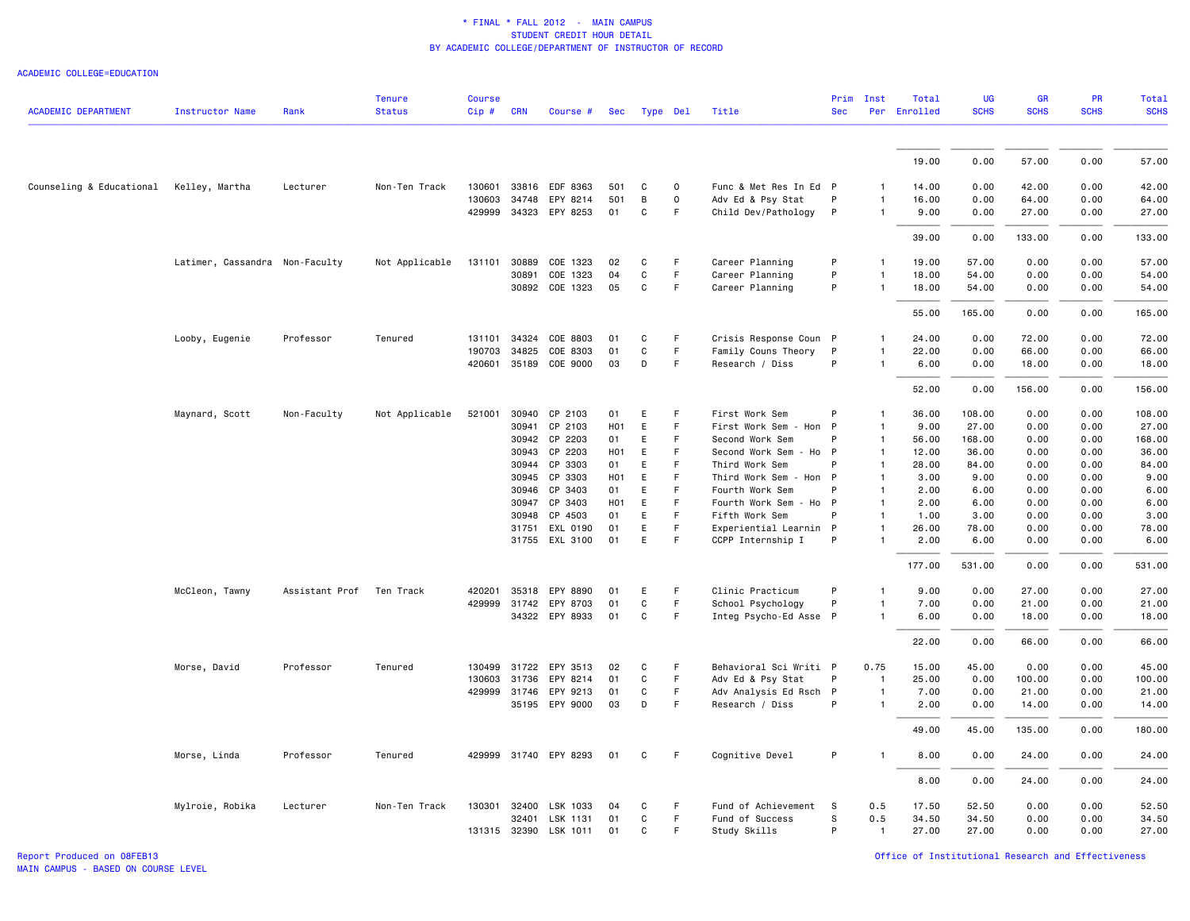| <b>ACADEMIC DEPARTMENT</b> | <b>Instructor Name</b>         | Rank           | <b>Tenure</b><br><b>Status</b> | <b>Course</b><br>Cip# | <b>CRN</b>     | Course #              | Sec                    | Type Del     |             | Title                                     | Prim<br><b>Sec</b> | Inst         | Total<br>Per Enrolled | <b>UG</b><br><b>SCHS</b> | GR<br><b>SCHS</b> | <b>PR</b><br><b>SCHS</b> | Total<br><b>SCHS</b> |
|----------------------------|--------------------------------|----------------|--------------------------------|-----------------------|----------------|-----------------------|------------------------|--------------|-------------|-------------------------------------------|--------------------|--------------|-----------------------|--------------------------|-------------------|--------------------------|----------------------|
|                            |                                |                |                                |                       |                |                       |                        |              |             |                                           |                    |              |                       |                          |                   |                          |                      |
|                            |                                |                |                                |                       |                |                       |                        |              |             |                                           |                    |              | 19.00                 | 0.00                     | 57.00             | 0.00                     | 57.00                |
| Counseling & Educational   | Kelley, Martha                 | Lecturer       | Non-Ten Track                  | 130601                |                | 33816 EDF 8363        | 501                    | C            | $\mathsf 0$ | Func & Met Res In Ed P                    |                    | 1            | 14.00                 | 0.00                     | 42.00             | 0.00                     | 42.00                |
|                            |                                |                |                                | 130603                | 34748          | EPY 8214              | 501                    | $\,$ B       | $\mathsf 0$ | Adv Ed & Psy Stat                         | P                  |              | 16.00                 | 0.00                     | 64.00             | 0.00                     | 64.00                |
|                            |                                |                |                                | 429999                | 34323          | EPY 8253              | 01                     | C            | F           | Child Dev/Pathology                       | $\mathsf{P}$       | 1            | 9.00                  | 0.00                     | 27.00             | 0.00                     | 27.00                |
|                            |                                |                |                                |                       |                |                       |                        |              |             |                                           |                    |              | 39.00                 | 0.00                     | 133.00            | 0.00                     | 133.00               |
|                            | Latimer, Cassandra Non-Faculty |                | Not Applicable                 | 131101                | 30889          | COE 1323              | 02                     | C            | F           | Career Planning                           | P                  |              | 19.00                 | 57.00                    | 0.00              | 0.00                     | 57.00                |
|                            |                                |                |                                |                       | 30891          | COE 1323              | 04                     | C            | $\mathsf F$ | Career Planning                           | P                  | 1            | 18.00                 | 54.00                    | 0.00              | 0.00                     | 54.00                |
|                            |                                |                |                                |                       |                | 30892 COE 1323        | 05                     | C            | F           | Career Planning                           | P                  | 1            | 18.00                 | 54.00                    | 0.00              | 0.00                     | 54.00                |
|                            |                                |                |                                |                       |                |                       |                        |              |             |                                           |                    |              | 55.00                 | 165.00                   | 0.00              | 0.00                     | 165.00               |
|                            | Looby, Eugenie                 | Professor      | Tenured                        | 131101                | 34324          | COE 8803              | 01                     | C            | F           | Crisis Response Coun P                    |                    |              | 24.00                 | 0.00                     | 72.00             | 0.00                     | 72.00                |
|                            |                                |                |                                | 190703                | 34825          | COE 8303              | 01                     | C            | F           | Family Couns Theory                       | P                  |              | 22.00                 | 0.00                     | 66.00             | 0.00                     | 66.00                |
|                            |                                |                |                                | 420601                | 35189          | COE 9000              | 03                     | D            | $\mathsf F$ | Research / Diss                           | P                  | 1            | 6.00                  | 0.00                     | 18.00             | 0.00                     | 18.00                |
|                            |                                |                |                                |                       |                |                       |                        |              |             |                                           |                    |              | 52.00                 | 0.00                     | 156.00            | 0.00                     | 156.00               |
|                            | Maynard, Scott                 | Non-Faculty    | Not Applicable                 | 521001                | 30940          | CP 2103               | 01                     | E            | F           | First Work Sem                            | P                  |              | 36.00                 | 108.00                   | 0.00              | 0.00                     | 108.00               |
|                            |                                |                |                                |                       | 30941          | CP 2103               | H <sub>0</sub> 1       | E            | F           | First Work Sem<br>- Hon P                 |                    | 1            | 9.00                  | 27.00                    | 0.00              | 0.00                     | 27.00                |
|                            |                                |                |                                |                       |                | 30942 CP 2203         | 01                     | E            | F           | Second Work Sem                           | P                  | 1            | 56.00                 | 168.00                   | 0.00              | 0.00                     | 168.00               |
|                            |                                |                |                                |                       | 30943          | CP 2203               | H <sub>0</sub> 1       | E            | F           | Second Work Sem - Ho P                    |                    | 1            | 12.00                 | 36.00                    | 0.00              | 0.00                     | 36.00                |
|                            |                                |                |                                |                       | 30944          | CP 3303               | 01                     | E            | F           | Third Work Sem                            | P                  | 1            | 28.00                 | 84.00                    | 0.00              | 0.00                     | 84.00                |
|                            |                                |                |                                |                       | 30945          | CP 3303               | H <sub>0</sub> 1       | E            | F.          | Third Work Sem<br>- Hon P                 |                    | 1            | 3.00                  | 9.00                     | 0.00              | 0.00                     | 9.00                 |
|                            |                                |                |                                |                       | 30946<br>30947 | CP 3403<br>CP 3403    | 01<br>H <sub>0</sub> 1 | E<br>E       | F<br>F      | Fourth Work Sem<br>Fourth Work Sem - Ho P | P                  | 1            | 2.00<br>2.00          | 6.00<br>6.00             | 0.00<br>0.00      | 0.00<br>0.00             | 6.00<br>6.00         |
|                            |                                |                |                                |                       | 30948          | CP 4503               | 01                     | E            | $\mathsf F$ | Fifth Work Sem                            | P                  | 1            | 1.00                  | 3.00                     | 0.00              | 0.00                     | 3.00                 |
|                            |                                |                |                                |                       | 31751          | EXL 0190              | 01                     | E            | F           | Experiential Learnin P                    |                    | 1            | 26.00                 | 78.00                    | 0.00              | 0.00                     | 78.00                |
|                            |                                |                |                                |                       |                | 31755 EXL 3100        | 01                     | E            | F           | CCPP Internship I                         | P                  |              | 2.00                  | 6.00                     | 0.00              | 0.00                     | 6.00                 |
|                            |                                |                |                                |                       |                |                       |                        |              |             |                                           |                    |              | 177.00                | 531.00                   | 0.00              | 0.00                     | 531.00               |
|                            | McCleon, Tawny                 | Assistant Prof | Ten Track                      | 420201                | 35318          | EPY 8890              | 01                     | E            | F           | Clinic Practicum                          | P                  |              | 9.00                  | 0.00                     | 27.00             | 0.00                     | 27.00                |
|                            |                                |                |                                | 429999                | 31742          | EPY 8703              | 01                     | C            | $\mathsf F$ | School Psychology                         | P                  | 1            | 7.00                  | 0.00                     | 21.00             | 0.00                     | 21.00                |
|                            |                                |                |                                |                       |                | 34322 EPY 8933        | 01                     | C            | F           | Integ Psycho-Ed Asse P                    |                    | 1            | 6.00                  | 0.00                     | 18.00             | 0.00                     | 18.00                |
|                            |                                |                |                                |                       |                |                       |                        |              |             |                                           |                    |              | 22.00                 | 0.00                     | 66.00             | 0.00                     | 66.00                |
|                            | Morse, David                   | Professor      | Tenured                        | 130499                | 31722          | EPY 3513              | 02                     | C            | F.          | Behavioral Sci Writi P                    |                    | 0.75         | 15.00                 | 45.00                    | 0.00              | 0.00                     | 45.00                |
|                            |                                |                |                                | 130603                | 31736          | EPY 8214              | 01                     | C            | $\mathsf F$ | Adv Ed & Psy Stat                         | P                  | -1           | 25.00                 | 0.00                     | 100.00            | 0.00                     | 100.00               |
|                            |                                |                |                                | 429999                | 31746          | EPY 9213              | 01                     | C            | F           | Adv Analysis Ed Rsch P                    |                    | 1            | 7.00                  | 0.00                     | 21.00             | 0.00                     | 21.00                |
|                            |                                |                |                                |                       |                | 35195 EPY 9000        | 03                     | D            | F           | Research / Diss                           | P                  | $\mathbf{1}$ | 2.00                  | 0.00                     | 14.00             | 0.00                     | 14.00                |
|                            |                                |                |                                |                       |                |                       |                        |              |             |                                           |                    |              | 49.00                 | 45.00                    | 135.00            | 0.00                     | 180.00               |
|                            | Morse, Linda                   | Professor      | Tenured                        |                       |                | 429999 31740 EPY 8293 | 01                     | C            | F           | Cognitive Devel                           | P                  | 1            | 8.00                  | 0.00                     | 24.00             | 0.00                     | 24.00                |
|                            |                                |                |                                |                       |                |                       |                        |              |             |                                           |                    |              | 8.00                  | 0.00                     | 24.00             | 0.00                     | 24.00                |
|                            | Mylroie, Robika                | Lecturer       | Non-Ten Track                  |                       | 130301 32400   | LSK 1033              | 04                     | C            | F           | Fund of Achievement S                     |                    | 0.5          | 17.50                 | 52.50                    | 0.00              | 0.00                     | 52.50                |
|                            |                                |                |                                |                       | 32401          | LSK 1131              | 01                     | C            | F           | Fund of Success                           | s                  | 0.5          | 34.50                 | 34.50                    | 0.00              | 0.00                     | 34.50                |
|                            |                                |                |                                |                       | 131315 32390   | LSK 1011              | 01                     | $\mathsf{C}$ | $\mathsf F$ | Study Skills                              | P                  | $\mathbf{1}$ | 27.00                 | 27.00                    | 0.00              | 0.00                     | 27.00                |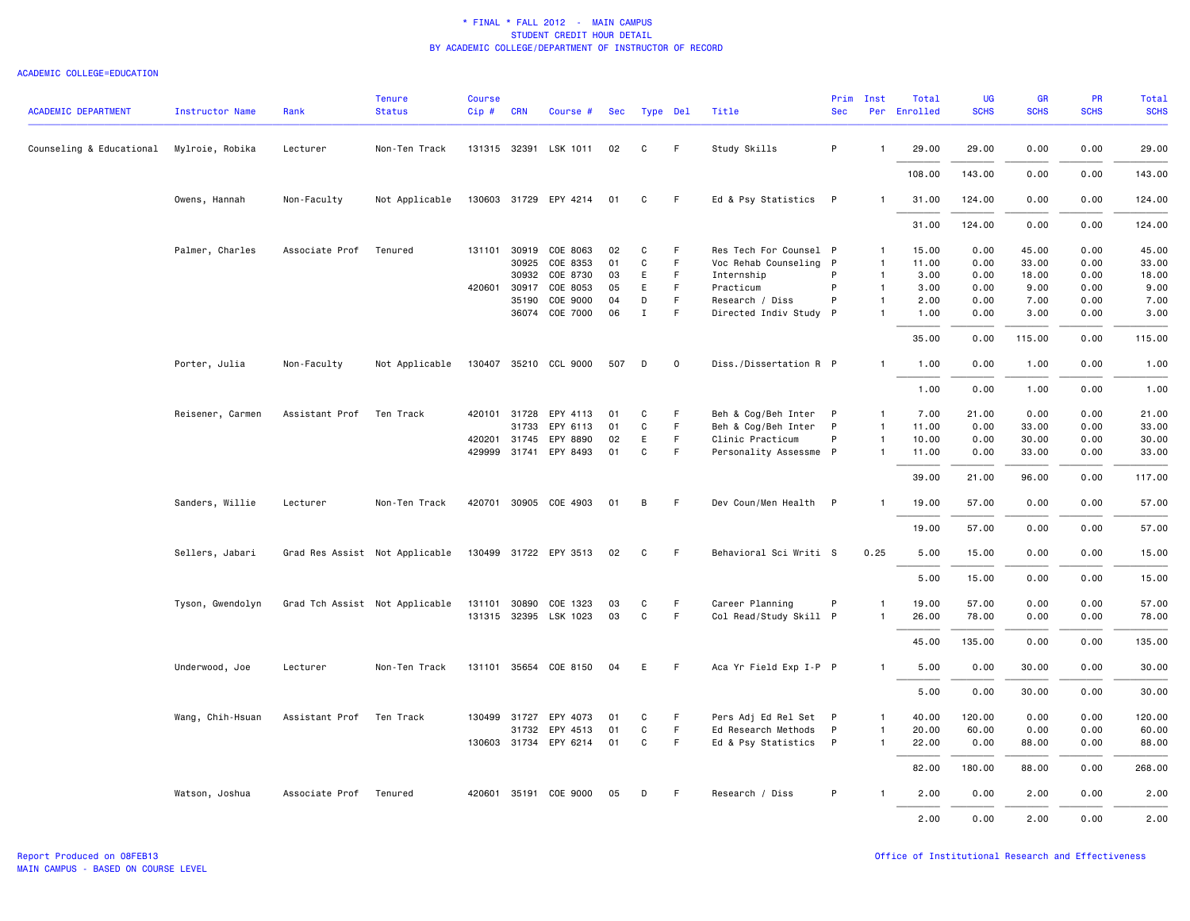| <b>ACADEMIC DEPARTMENT</b> | <b>Instructor Name</b> | Rank           | <b>Tenure</b><br><b>Status</b> | <b>Course</b><br>Cip# | <b>CRN</b>   | Course #              | Sec | Type Del     |             | Title                  | Prim<br><b>Sec</b> | Inst           | Total<br>Per Enrolled | UG<br><b>SCHS</b> | <b>GR</b><br><b>SCHS</b> | PR<br><b>SCHS</b> | Total<br><b>SCHS</b> |
|----------------------------|------------------------|----------------|--------------------------------|-----------------------|--------------|-----------------------|-----|--------------|-------------|------------------------|--------------------|----------------|-----------------------|-------------------|--------------------------|-------------------|----------------------|
| Counseling & Educational   | Mylroie, Robika        | Lecturer       | Non-Ten Track                  |                       |              | 131315 32391 LSK 1011 | 02  | C            | F.          | Study Skills           | P                  |                | 29.00                 | 29.00             | 0.00                     | 0.00              | 29.00                |
|                            |                        |                |                                |                       |              |                       |     |              |             |                        |                    |                | 108.00                | 143.00            | 0.00                     | 0.00              | 143.00               |
|                            | Owens, Hannah          | Non-Faculty    | Not Applicable                 |                       |              | 130603 31729 EPY 4214 | 01  | C            | F           | Ed & Psy Statistics P  |                    |                | 31.00                 | 124.00            | 0.00                     | 0.00              | 124.00               |
|                            |                        |                |                                |                       |              |                       |     |              |             |                        |                    |                | 31.00                 | 124.00            | 0.00                     | 0.00              | 124.00               |
|                            | Palmer, Charles        | Associate Prof | Tenured                        |                       | 131101 30919 | COE 8063              | 02  | C            | F           | Res Tech For Counsel P |                    | $\mathbf{1}$   | 15.00                 | 0.00              | 45.00                    | 0.00              | 45.00                |
|                            |                        |                |                                |                       | 30925        | COE 8353              | 01  | C            | F.          | Voc Rehab Counseling P |                    | $\overline{1}$ | 11.00                 | 0.00              | 33.00                    | 0.00              | 33.00                |
|                            |                        |                |                                |                       |              | 30932 COE 8730        | 03  | E            | F.          | Internship             | P                  | $\mathbf{1}$   | 3.00                  | 0.00              | 18.00                    | 0.00              | 18.00                |
|                            |                        |                |                                |                       | 420601 30917 | COE 8053              | 05  | E            | F           | Practicum              | P                  | $\overline{1}$ | 3.00                  | 0.00              | 9.00                     | 0.00              | 9.00                 |
|                            |                        |                |                                |                       | 35190        | COE 9000              | 04  | D            | F           | Research / Diss        | P                  | $\overline{1}$ | 2.00                  | 0.00              | 7.00                     | 0.00              | 7.00                 |
|                            |                        |                |                                |                       |              | 36074 COE 7000        | 06  | Ι.           | F.          | Directed Indiv Study P |                    | $\mathbf{1}$   | 1.00                  | 0.00              | 3.00                     | 0.00              | 3.00                 |
|                            |                        |                |                                |                       |              |                       |     |              |             |                        |                    |                | 35.00                 | 0.00              | 115.00                   | 0.00              | 115.00               |
|                            | Porter, Julia          | Non-Faculty    | Not Applicable                 |                       |              | 130407 35210 CCL 9000 | 507 | D            | $\mathbf 0$ | Diss./Dissertation R P |                    | -1             | 1.00                  | 0.00              | 1.00                     | 0.00              | 1.00                 |
|                            |                        |                |                                |                       |              |                       |     |              |             |                        |                    |                | 1.00                  | 0.00              | 1.00                     | 0.00              | 1.00                 |
|                            | Reisener, Carmen       | Assistant Prof | Ten Track                      |                       | 420101 31728 | EPY 4113              | 01  | C            | F           | Beh & Cog/Beh Inter P  |                    | $\mathbf{1}$   | 7.00                  | 21.00             | 0.00                     | 0.00              | 21.00                |
|                            |                        |                |                                |                       | 31733        | EPY 6113              | 01  | C            | F           | Beh & Cog/Beh Inter P  |                    | $\overline{1}$ | 11.00                 | 0.00              | 33.00                    | 0.00              | 33.00                |
|                            |                        |                |                                |                       |              | 420201 31745 EPY 8890 | 02  | E            | F           | Clinic Practicum       | P                  | $\overline{1}$ | 10.00                 | 0.00              | 30.00                    | 0.00              | 30.00                |
|                            |                        |                |                                |                       |              | 429999 31741 EPY 8493 | 01  | C            | F.          | Personality Assessme P |                    | $\mathbf{1}$   | 11.00                 | 0.00              | 33.00                    | 0.00              | 33.00                |
|                            |                        |                |                                |                       |              |                       |     |              |             |                        |                    |                | 39.00                 | 21.00             | 96.00                    | 0.00              | 117.00               |
|                            | Sanders, Willie        | Lecturer       | Non-Ten Track                  |                       |              | 420701 30905 COE 4903 | 01  | В            | -F          | Dev Coun/Men Health P  |                    | $\mathbf{1}$   | 19.00                 | 57.00             | 0.00                     | 0.00              | 57.00                |
|                            |                        |                |                                |                       |              |                       |     |              |             |                        |                    |                | 19.00                 | 57.00             | 0.00                     | 0.00              | 57.00                |
|                            | Sellers, Jabari        |                | Grad Res Assist Not Applicable |                       |              | 130499 31722 EPY 3513 | 02  | C            | -F          | Behavioral Sci Writi S |                    | 0.25           | 5.00                  | 15.00             | 0.00                     | 0.00              | 15.00                |
|                            |                        |                |                                |                       |              |                       |     |              |             |                        |                    |                | 5.00                  | 15.00             | 0.00                     | 0.00              | 15.00                |
|                            | Tyson, Gwendolyn       |                | Grad Tch Assist Not Applicable |                       |              | 131101 30890 COE 1323 | 03  | C            | F           | Career Planning        | P                  | $\mathbf{1}$   | 19.00                 | 57.00             | 0.00                     | 0.00              | 57.00                |
|                            |                        |                |                                |                       |              | 131315 32395 LSK 1023 | 03  | C            | F.          | Col Read/Study Skill P |                    | -1             | 26.00                 | 78.00             | 0.00                     | 0.00              | 78.00                |
|                            |                        |                |                                |                       |              |                       |     |              |             |                        |                    |                | 45.00                 | 135.00            | 0.00                     | 0.00              | 135.00               |
|                            | Underwood, Joe         | Lecturer       | Non-Ten Track                  |                       |              | 131101 35654 COE 8150 | 04  | E            | -F          | Aca Yr Field Exp I-P P |                    | $\mathbf{1}$   | 5.00                  | 0.00              | 30.00                    | 0.00              | 30.00                |
|                            |                        |                |                                |                       |              |                       |     |              |             |                        |                    |                | 5.00                  | 0.00              | 30.00                    | 0.00              | 30.00                |
|                            | Wang, Chih-Hsuan       | Assistant Prof | Ten Track                      |                       | 130499 31727 | EPY 4073              | 01  | C            | F           | Pers Adj Ed Rel Set P  |                    | $\mathbf{1}$   | 40.00                 | 120.00            | 0.00                     | 0.00              | 120.00               |
|                            |                        |                |                                |                       |              | 31732 EPY 4513        | 01  | $\mathtt{C}$ | F           | Ed Research Methods P  |                    | $\overline{1}$ | 20.00                 | 60.00             | 0.00                     | 0.00              | 60.00                |
|                            |                        |                |                                |                       |              | 130603 31734 EPY 6214 | 01  | C            | F.          | Ed & Psy Statistics P  |                    | $\mathbf{1}$   | 22.00                 | 0.00              | 88.00                    | 0.00              | 88.00                |
|                            |                        |                |                                |                       |              |                       |     |              |             |                        |                    |                | 82.00                 | 180.00            | 88.00                    | 0.00              | 268.00               |
|                            | Watson, Joshua         | Associate Prof | Tenured                        |                       |              | 420601 35191 COE 9000 | 05  | D            | -F          | Research / Diss        | P                  |                | 2.00                  | 0.00              | 2.00                     | 0.00              | 2.00                 |
|                            |                        |                |                                |                       |              |                       |     |              |             |                        |                    |                | 2.00                  | 0.00              | 2.00                     | 0.00              | 2.00                 |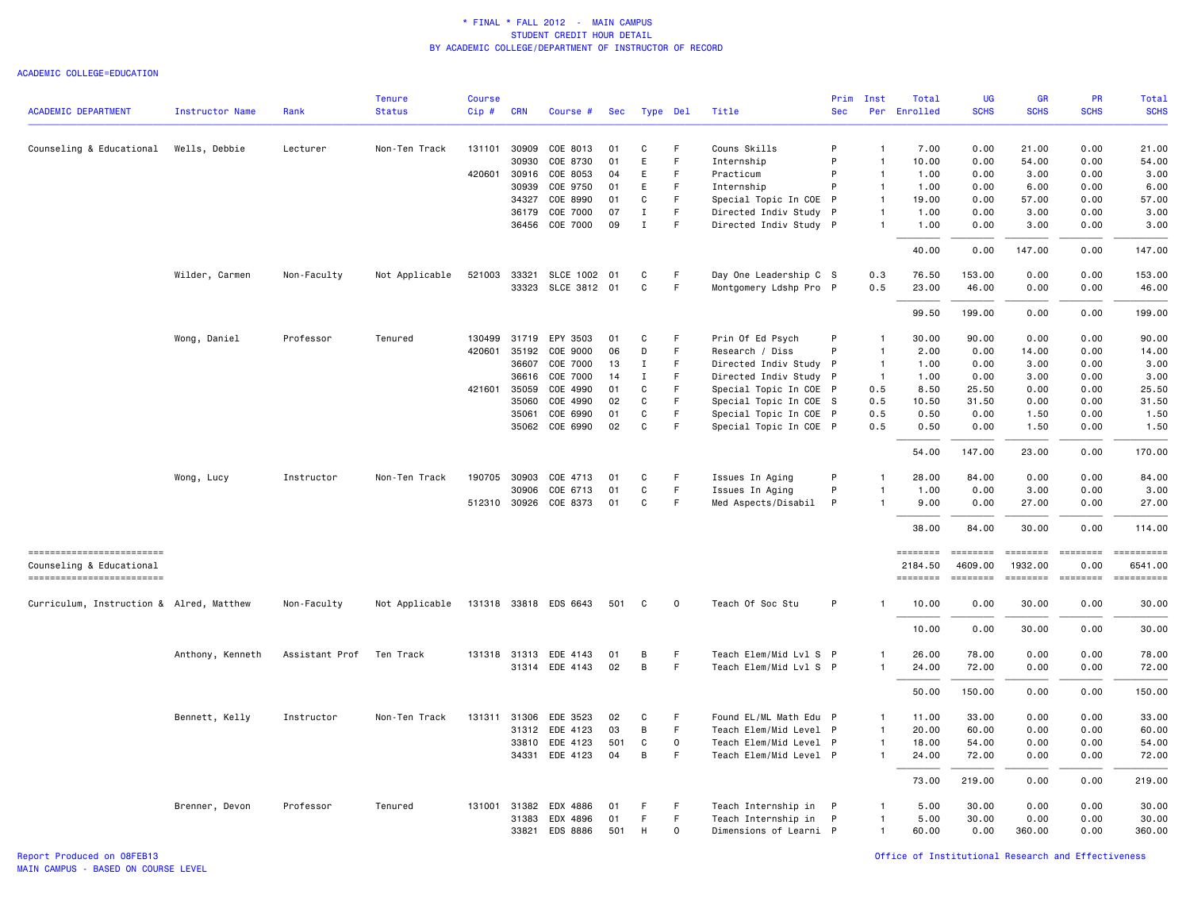|                                                       |                        |                | <b>Tenure</b>  | <b>Course</b> |              |                       |     |             |              |                        | Prim       | Inst           | Total               | <b>UG</b>           | <b>GR</b>           | PR               | Total                 |
|-------------------------------------------------------|------------------------|----------------|----------------|---------------|--------------|-----------------------|-----|-------------|--------------|------------------------|------------|----------------|---------------------|---------------------|---------------------|------------------|-----------------------|
| <b>ACADEMIC DEPARTMENT</b>                            | <b>Instructor Name</b> | Rank           | <b>Status</b>  | Cip#          | <b>CRN</b>   | Course #              | Sec | Type Del    |              | Title                  | <b>Sec</b> |                | Per Enrolled        | <b>SCHS</b>         | <b>SCHS</b>         | <b>SCHS</b>      | <b>SCHS</b>           |
| Counseling & Educational                              | Wells, Debbie          | Lecturer       | Non-Ten Track  | 131101        | 30909        | COE 8013              | 01  | C           | F.           | Couns Skills           | P          | $\mathbf{1}$   | 7.00                | 0.00                | 21.00               | 0.00             | 21.00                 |
|                                                       |                        |                |                |               | 30930        | COE 8730              | 01  | Ε           | $\mathsf F$  | Internship             | P          | $\mathbf{1}$   | 10.00               | 0.00                | 54.00               | 0.00             | 54.00                 |
|                                                       |                        |                |                | 420601        | 30916        | COE 8053              | 04  | Ε           | $\mathsf F$  | Practicum              | P          | $\mathbf{1}$   | 1.00                | 0.00                | 3.00                | 0.00             | 3.00                  |
|                                                       |                        |                |                |               | 30939        | COE 9750              | 01  | E           | F            | Internship             | P          | $\overline{1}$ | 1.00                | 0.00                | 6.00                | 0.00             | 6.00                  |
|                                                       |                        |                |                |               | 34327        | COE 8990              | 01  | C           | F            | Special Topic In COE P |            | $\overline{1}$ | 19.00               | 0.00                | 57.00               | 0.00             | 57.00                 |
|                                                       |                        |                |                |               | 36179        | COE 7000              | 07  | $\;$ I      | $\mathsf F$  | Directed Indiv Study P |            | $\mathbf{1}$   | 1.00                | 0.00                | 3.00                | 0.00             | 3.00                  |
|                                                       |                        |                |                |               | 36456        | COE 7000              | 09  | $\mathbf I$ | $\mathsf F$  | Directed Indiv Study P |            | $\mathbf{1}$   | 1.00                | 0.00                | 3.00                | 0.00             | 3.00                  |
|                                                       |                        |                |                |               |              |                       |     |             |              |                        |            |                | 40.00               | 0.00                | 147.00              | 0.00             | 147.00                |
|                                                       | Wilder, Carmen         | Non-Faculty    | Not Applicable | 521003        | 33321        | SLCE 1002             | 01  | C           | F            | Day One Leadership C S |            | 0.3            | 76.50               | 153.00              | 0.00                | 0.00             | 153.00                |
|                                                       |                        |                |                |               | 33323        | SLCE 3812 01          |     | $\mathbf C$ | F            | Montgomery Ldshp Pro P |            | 0.5            | 23.00               | 46.00               | 0.00                | 0.00             | 46.00                 |
|                                                       |                        |                |                |               |              |                       |     |             |              |                        |            |                | 99.50               | 199.00              | 0.00                | 0.00             | 199.00                |
|                                                       | Wong, Daniel           | Professor      | Tenured        | 130499        | 31719        | EPY 3503              | 01  | C           | F            | Prin Of Ed Psych       | P          | $\overline{1}$ | 30.00               | 90.00               | 0.00                | 0.00             | 90.00                 |
|                                                       |                        |                |                | 420601        | 35192        | COE 9000              | 06  | D           | F            | Research / Diss        | P          | $\mathbf{1}$   | 2.00                | 0.00                | 14.00               | 0.00             | 14.00                 |
|                                                       |                        |                |                |               | 36607        | COE 7000              | 13  | Ι.          | F            | Directed Indiv Study P |            | $\overline{1}$ | 1.00                | 0.00                | 3.00                | 0.00             | 3.00                  |
|                                                       |                        |                |                |               | 36616        | COE 7000              | 14  | Ι.          | F.           | Directed Indiv Study P |            | $\overline{1}$ | 1.00                | 0.00                | 3.00                | 0.00             | 3.00                  |
|                                                       |                        |                |                |               | 421601 35059 | COE 4990              | 01  | C           | F            | Special Topic In COE P |            | 0.5            | 8.50                | 25.50               | 0.00                | 0.00             | 25.50                 |
|                                                       |                        |                |                |               | 35060        | COE 4990              | 02  | $\mathbf C$ | F.           | Special Topic In COE S |            | 0.5            | 10.50               | 31.50               | 0.00                | 0.00             | 31.50                 |
|                                                       |                        |                |                |               | 35061        | COE 6990              | 01  | C           | F            | Special Topic In COE P |            | 0.5            | 0.50                | 0.00                | 1.50                | 0.00             | 1.50                  |
|                                                       |                        |                |                |               |              | 35062 COE 6990        | 02  | C           | F            | Special Topic In COE P |            | 0.5            | 0.50                | 0.00                | 1.50                | 0.00             | 1.50                  |
|                                                       |                        |                |                |               |              |                       |     |             |              |                        |            |                | 54.00               | 147.00              | 23.00               | 0.00             | 170.00                |
|                                                       | Wong, Lucy             | Instructor     | Non-Ten Track  |               | 190705 30903 | COE 4713              | 01  | C           | F            | Issues In Aging        | P          | $\mathbf{1}$   | 28.00               | 84.00               | 0.00                | 0.00             | 84.00                 |
|                                                       |                        |                |                |               | 30906        | COE 6713              | 01  | $\mathbf C$ | $\mathsf F$  | Issues In Aging        | P          | $\mathbf{1}$   | 1.00                | 0.00                | 3.00                | 0.00             | 3.00                  |
|                                                       |                        |                |                |               |              | 512310 30926 COE 8373 | 01  | C           | $\mathsf F$  | Med Aspects/Disabil    | P          | $\overline{1}$ | 9.00                | 0.00                | 27.00               | 0.00             | 27.00                 |
|                                                       |                        |                |                |               |              |                       |     |             |              |                        |            |                | 38.00               | 84.00               | 30.00               | 0.00             | 114.00                |
| ==========================                            |                        |                |                |               |              |                       |     |             |              |                        |            |                | <b>EDESSEDE</b>     | <b>SESSESSE</b>     | $= 1.122222222$     | <b>EDESSER</b>   |                       |
| Counseling & Educational<br>========================= |                        |                |                |               |              |                       |     |             |              |                        |            |                | 2184.50<br>======== | 4609.00<br>======== | 1932.00<br>======== | 0.00<br>======== | 6541.00<br>========== |
| Curriculum, Instruction & Alred, Matthew              |                        | Non-Faculty    | Not Applicable |               |              | 131318 33818 EDS 6643 | 501 | C           | $\circ$      | Teach Of Soc Stu       | P          | -1             | 10.00               | 0.00                | 30.00               | 0.00             | 30.00                 |
|                                                       |                        |                |                |               |              |                       |     |             |              |                        |            |                | 10.00               | 0.00                | 30.00               | 0.00             | 30.00                 |
|                                                       | Anthony, Kenneth       | Assistant Prof | Ten Track      |               |              | 131318 31313 EDE 4143 | 01  | В           | F            | Teach Elem/Mid Lvl S P |            | $\mathbf{1}$   | 26.00               | 78.00               | 0.00                | 0.00             | 78.00                 |
|                                                       |                        |                |                |               |              | 31314 EDE 4143        | 02  | B           | F            | Teach Elem/Mid Lvl S P |            | $\mathbf{1}$   | 24.00               | 72.00               | 0.00                | 0.00             | 72.00                 |
|                                                       |                        |                |                |               |              |                       |     |             |              |                        |            |                | 50.00               | 150.00              | 0.00                | 0.00             | 150.00                |
|                                                       | Bennett, Kelly         | Instructor     | Non-Ten Track  |               |              | 131311 31306 EDE 3523 | 02  | C           | -F           | Found EL/ML Math Edu P |            | $\mathbf{1}$   | 11.00               | 33.00               | 0.00                | 0.00             | 33.00                 |
|                                                       |                        |                |                |               |              | 31312 EDE 4123        | 03  | В           | -F           | Teach Elem/Mid Level P |            | $\overline{1}$ | 20.00               | 60.00               | 0.00                | 0.00             | 60.00                 |
|                                                       |                        |                |                |               |              | 33810 EDE 4123        | 501 | $\mathbf C$ | $\mathsf{o}$ | Teach Elem/Mid Level P |            | $\mathbf{1}$   | 18.00               | 54.00               | 0.00                | 0.00             | 54.00                 |
|                                                       |                        |                |                |               |              | 34331 EDE 4123        | 04  | В           | F            | Teach Elem/Mid Level P |            | $\mathbf{1}$   | 24.00               | 72.00               | 0.00                | 0.00             | 72.00                 |
|                                                       |                        |                |                |               |              |                       |     |             |              |                        |            |                | 73.00               | 219.00              | 0.00                | 0.00             | 219.00                |
|                                                       | Brenner, Devon         | Professor      | Tenured        |               |              | 131001 31382 EDX 4886 | 01  | F           | F            | Teach Internship in P  |            | $\mathbf{1}$   | 5.00                | 30.00               | 0.00                | 0.00             | 30.00                 |
|                                                       |                        |                |                |               | 31383        | EDX 4896              | 01  | F           | F.           | Teach Internship in P  |            | $\mathbf{1}$   | 5.00                | 30.00               | 0.00                | 0.00             | 30.00                 |
|                                                       |                        |                |                |               | 33821        | EDS 8886              | 501 | H           | $\mathbf 0$  | Dimensions of Learni P |            | $\mathbf{1}$   | 60.00               | 0.00                | 360.00              | 0.00             | 360.00                |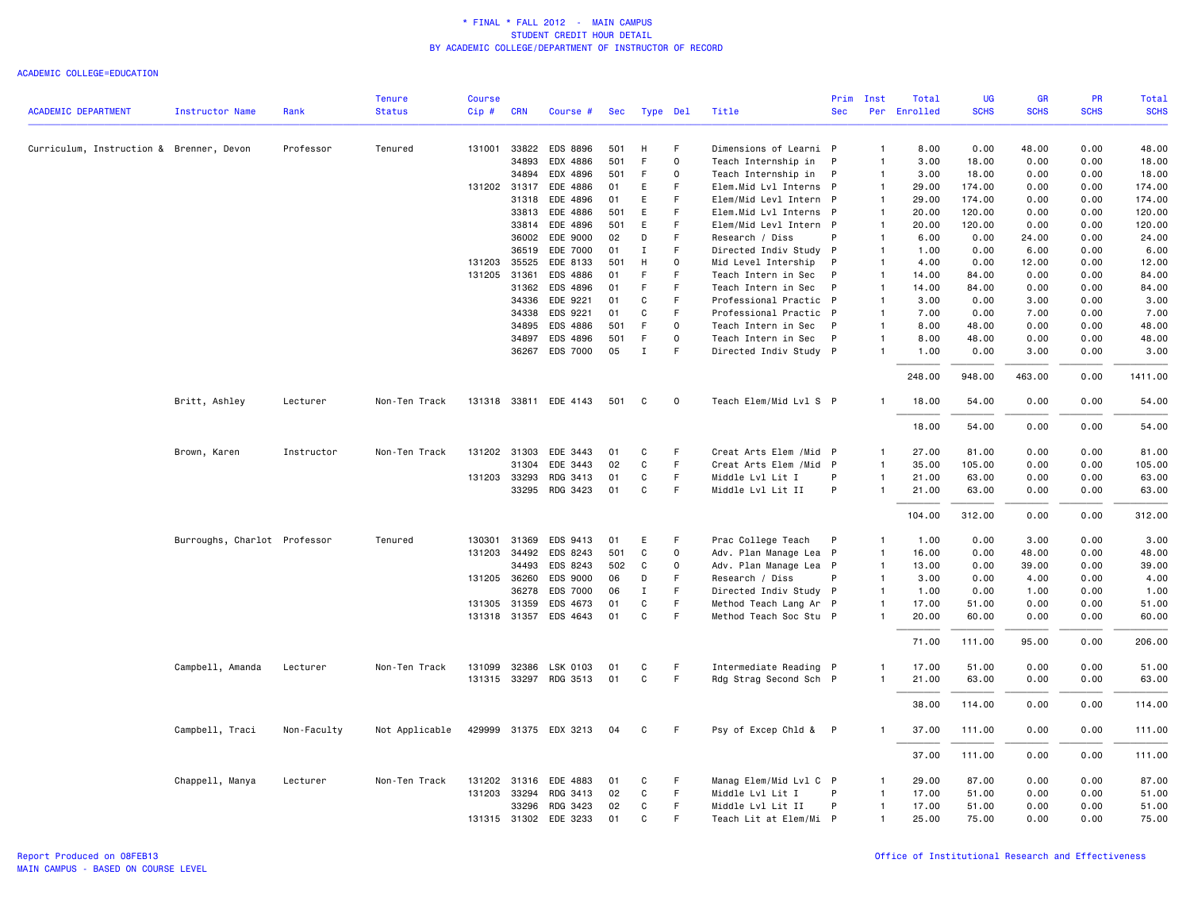|                                          |                              |             | <b>Tenure</b>  | <b>Course</b> |              |                       |     |              |          |                         | Prim         | Inst           | Total        | <b>UG</b>   | <b>GR</b>   | <b>PR</b>   | <b>Total</b> |
|------------------------------------------|------------------------------|-------------|----------------|---------------|--------------|-----------------------|-----|--------------|----------|-------------------------|--------------|----------------|--------------|-------------|-------------|-------------|--------------|
| <b>ACADEMIC DEPARTMENT</b>               | <b>Instructor Name</b>       | Rank        | <b>Status</b>  | Cip#          | <b>CRN</b>   | Course #              | Sec | Type Del     |          | Title                   | <b>Sec</b>   |                | Per Enrolled | <b>SCHS</b> | <b>SCHS</b> | <b>SCHS</b> | <b>SCHS</b>  |
| Curriculum, Instruction & Brenner, Devon |                              | Professor   | Tenured        | 131001        | 33822        | EDS 8896              | 501 | H            | F.       | Dimensions of Learni P  |              | $\mathbf{1}$   | 8.00         | 0.00        | 48.00       | 0.00        | 48.00        |
|                                          |                              |             |                |               | 34893        | EDX 4886              | 501 | F            | $\Omega$ | Teach Internship in     | $\mathsf{P}$ | $\mathbf{1}$   | 3.00         | 18.00       | 0.00        | 0.00        | 18.00        |
|                                          |                              |             |                |               | 34894        | EDX 4896              | 501 | F            | $\circ$  | Teach Internship in     | $\mathsf{P}$ | $\mathbf{1}$   | 3.00         | 18.00       | 0.00        | 0.00        | 18.00        |
|                                          |                              |             |                | 131202 31317  |              | EDE 4886              | 01  | E            | F        | Elem.Mid Lvl Interns P  |              | $\overline{1}$ | 29.00        | 174.00      | 0.00        | 0.00        | 174.00       |
|                                          |                              |             |                |               | 31318        | EDE 4896              | 01  | E            | F        | Elem/Mid Levl Intern P  |              | $\mathbf{1}$   | 29.00        | 174.00      | 0.00        | 0.00        | 174.00       |
|                                          |                              |             |                |               | 33813        | EDE 4886              | 501 | E            | F        | Elem.Mid Lvl Interns P  |              | $\mathbf{1}$   | 20.00        | 120.00      | 0.00        | 0.00        | 120.00       |
|                                          |                              |             |                |               | 33814        | EDE 4896              | 501 | E            | F        | Elem/Mid Levl Intern P  |              | 1              | 20.00        | 120.00      | 0.00        | 0.00        | 120.00       |
|                                          |                              |             |                |               | 36002        | EDE 9000              | 02  | D            | F        | Research / Diss         | P            | $\mathbf{1}$   | 6.00         | 0.00        | 24.00       | 0.00        | 24.00        |
|                                          |                              |             |                |               | 36519        | EDE 7000              | 01  | Ι            | F        | Directed Indiv Study P  |              | $\mathbf{1}$   | 1.00         | 0.00        | 6.00        | 0.00        | 6.00         |
|                                          |                              |             |                | 131203 35525  |              | EDE 8133              | 501 | H            | $\Omega$ | Mid Level Intership     | P            | $\overline{1}$ | 4.00         | 0.00        | 12.00       | 0.00        | 12.00        |
|                                          |                              |             |                | 131205        | 31361        | EDS 4886              | 01  | F            | F        | Teach Intern in Sec     | P            | $\mathbf{1}$   | 14.00        | 84.00       | 0.00        | 0.00        | 84.00        |
|                                          |                              |             |                |               | 31362        | EDS 4896              | 01  | F            | F        | Teach Intern in Sec     | P            | $\mathbf{1}$   | 14.00        | 84.00       | 0.00        | 0.00        | 84.00        |
|                                          |                              |             |                |               | 34336        | EDE 9221              | 01  | C            | F        | Professional Practic P  |              | $\mathbf{1}$   | 3.00         | 0.00        | 3.00        | 0.00        | 3.00         |
|                                          |                              |             |                |               | 34338        | EDS 9221              | 01  | C            | F        | Professional Practic P  |              | $\mathbf{1}$   | 7.00         | 0.00        | 7.00        | 0.00        | 7.00         |
|                                          |                              |             |                |               | 34895        | EDS 4886              | 501 | F.           | $\Omega$ | Teach Intern in Sec     | P            | $\mathbf{1}$   | 8.00         | 48.00       | 0.00        | 0.00        | 48.00        |
|                                          |                              |             |                |               | 34897        | EDS 4896              | 501 | F            | $\Omega$ | Teach Intern in Sec     | $\mathsf{P}$ | 1              | 8.00         | 48.00       | 0.00        | 0.00        | 48.00        |
|                                          |                              |             |                |               | 36267        | EDS 7000              | 05  | Ι.           | F.       | Directed Indiv Study P  |              | 1              | 1.00         | 0.00        | 3.00        | 0.00        | 3.00         |
|                                          |                              |             |                |               |              |                       |     |              |          |                         |              |                | 248.00       | 948.00      | 463.00      | 0.00        | 1411.00      |
|                                          | Britt, Ashley                | Lecturer    | Non-Ten Track  |               |              | 131318 33811 EDE 4143 | 501 | C            | 0        | Teach Elem/Mid Lvl S P  |              | $\mathbf{1}$   | 18.00        | 54.00       | 0.00        | 0.00        | 54.00        |
|                                          |                              |             |                |               |              |                       |     |              |          |                         |              |                | 18.00        | 54.00       | 0.00        | 0.00        | 54.00        |
|                                          | Brown, Karen                 | Instructor  | Non-Ten Track  | 131202 31303  |              | EDE 3443              | 01  | C            | F        | Creat Arts Elem / Mid P |              | $\mathbf{1}$   | 27.00        | 81.00       | 0.00        | 0.00        | 81.00        |
|                                          |                              |             |                |               | 31304        | EDE 3443              | 02  | C            | F        | Creat Arts Elem / Mid P |              | $\mathbf{1}$   | 35.00        | 105.00      | 0.00        | 0.00        | 105.00       |
|                                          |                              |             |                |               | 131203 33293 | RDG 3413              | 01  | C            | F        | Middle Lvl Lit I        | P            | $\mathbf{1}$   | 21.00        | 63.00       | 0.00        | 0.00        | 63.00        |
|                                          |                              |             |                |               | 33295        | RDG 3423              | 01  | C            | F        | Middle Lvl Lit II       | P            | -1             | 21.00        | 63.00       | 0.00        | 0.00        | 63.00        |
|                                          |                              |             |                |               |              |                       |     |              |          |                         |              |                | 104.00       | 312.00      | 0.00        | 0.00        | 312.00       |
|                                          | Burroughs, Charlot Professor |             | Tenured        | 130301        | 31369        | EDS 9413              | 01  | E            | F        | Prac College Teach      | P            | $\mathbf{1}$   | 1.00         | 0.00        | 3.00        | 0.00        | 3.00         |
|                                          |                              |             |                |               | 131203 34492 | EDS 8243              | 501 | C            | $\Omega$ | Adv. Plan Manage Lea P  |              | $\overline{1}$ | 16.00        | 0.00        | 48.00       | 0.00        | 48.00        |
|                                          |                              |             |                |               | 34493        | EDS 8243              | 502 | C            | $\circ$  | Adv. Plan Manage Lea P  |              | $\overline{1}$ | 13.00        | 0.00        | 39.00       | 0.00        | 39.00        |
|                                          |                              |             |                | 131205 36260  |              | EDS 9000              | 06  | D            | F        | Research / Diss         | P            | $\overline{1}$ | 3.00         | 0.00        | 4.00        | 0.00        | 4.00         |
|                                          |                              |             |                |               | 36278        | EDS 7000              | 06  | I            | F.       | Directed Indiv Study P  |              | $\mathbf{1}$   | 1.00         | 0.00        | 1.00        | 0.00        | 1.00         |
|                                          |                              |             |                |               | 131305 31359 | EDS 4673              | 01  | C            | F        | Method Teach Lang Ar P  |              | $\mathbf{1}$   | 17.00        | 51.00       | 0.00        | 0.00        | 51.00        |
|                                          |                              |             |                |               |              | 131318 31357 EDS 4643 | 01  | $\mathbf{C}$ | F.       | Method Teach Soc Stu P  |              | $\mathbf{1}$   | 20.00        | 60.00       | 0.00        | 0.00        | 60.00        |
|                                          |                              |             |                |               |              |                       |     |              |          |                         |              |                | 71.00        | 111.00      | 95.00       | 0.00        | 206.00       |
|                                          | Campbell, Amanda             | Lecturer    | Non-Ten Track  | 131099        | 32386        | LSK 0103              | 01  | C            | F.       | Intermediate Reading P  |              | $\mathbf{1}$   | 17.00        | 51.00       | 0.00        | 0.00        | 51.00        |
|                                          |                              |             |                |               |              | 131315 33297 RDG 3513 | 01  | C            | F        | Rdg Strag Second Sch P  |              | $\mathbf{1}$   | 21.00        | 63.00       | 0.00        | 0.00        | 63.00        |
|                                          |                              |             |                |               |              |                       |     |              |          |                         |              |                | 38.00        | 114.00      | 0.00        | 0.00        | 114.00       |
|                                          | Campbell, Traci              | Non-Faculty | Not Applicable |               |              | 429999 31375 EDX 3213 | 04  | C            | F.       | Psy of Excep Chld & P   |              | $\mathbf{1}$   | 37.00        | 111.00      | 0.00        | 0.00        | 111.00       |
|                                          |                              |             |                |               |              |                       |     |              |          |                         |              |                | 37.00        | 111.00      | 0.00        | 0.00        | 111.00       |
|                                          | Chappell, Manya              | Lecturer    | Non-Ten Track  |               | 131202 31316 | EDE 4883              | 01  | C            | F        | Manag Elem/Mid Lvl C P  |              | 1              | 29.00        | 87.00       | 0.00        | 0.00        | 87.00        |
|                                          |                              |             |                | 131203 33294  |              | RDG 3413              | 02  | $\mathtt{C}$ | F.       | Middle Lvl Lit I        | P            | $\mathbf{1}$   | 17.00        | 51.00       | 0.00        | 0.00        | 51.00        |
|                                          |                              |             |                |               | 33296        | RDG 3423              | 02  | C            | F        | Middle Lvl Lit II       | P            | $\mathbf{1}$   | 17.00        | 51.00       | 0.00        | 0.00        | 51.00        |
|                                          |                              |             |                |               |              | 131315 31302 EDE 3233 | 01  | C            | F        | Teach Lit at Elem/Mi P  |              | 1              | 25.00        | 75.00       | 0.00        | 0.00        | 75.00        |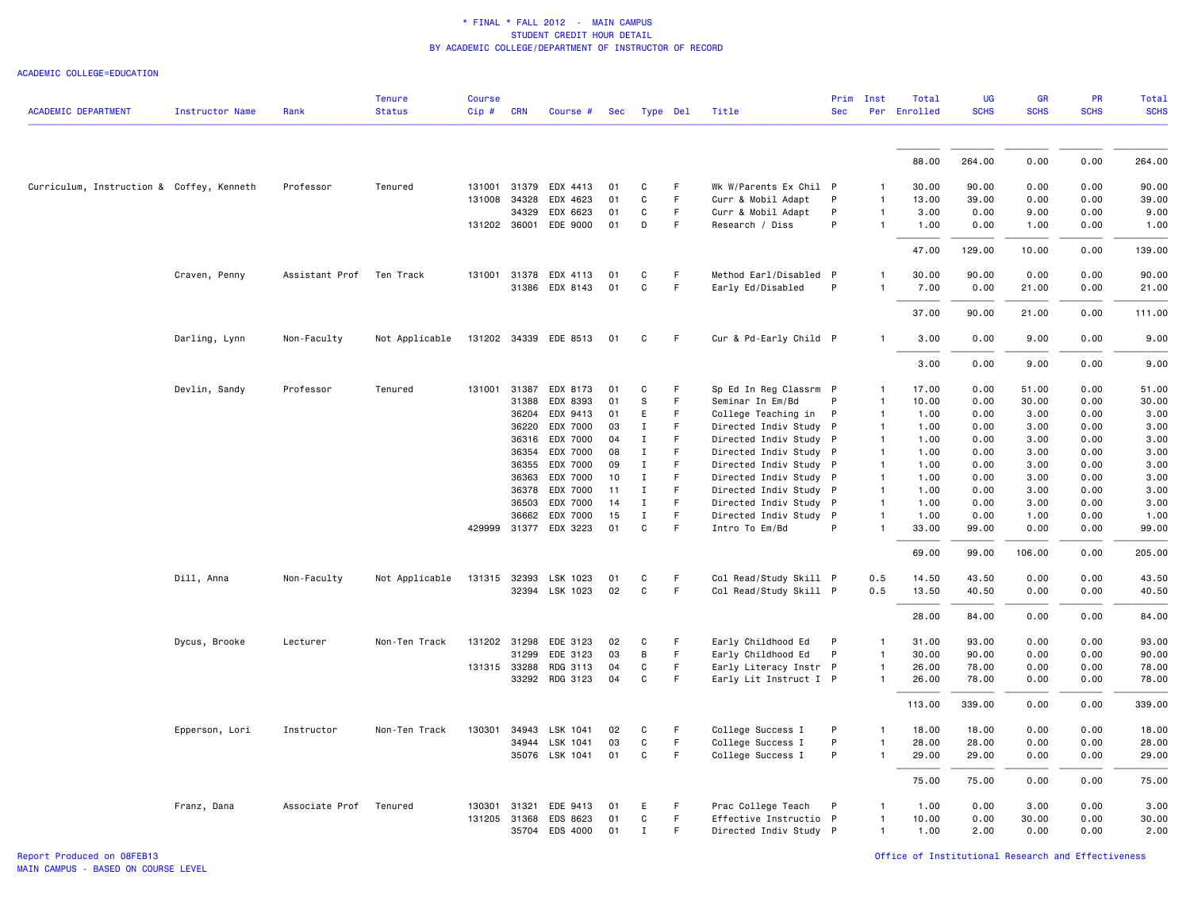ACADEMIC COLLEGE=EDUCATION

| <b>ACADEMIC DEPARTMENT</b>                | <b>Instructor Name</b> | Rank           | <b>Tenure</b><br><b>Status</b> | <b>Course</b><br>$Cip \#$ | <b>CRN</b>   | Course #              | <b>Sec</b> | Type Del     |                  | Title                  | Prim<br><b>Sec</b> | Inst         | Total<br>Per Enrolled | <b>UG</b><br><b>SCHS</b> | GR<br><b>SCHS</b> | PR<br><b>SCHS</b> | Total<br><b>SCHS</b> |
|-------------------------------------------|------------------------|----------------|--------------------------------|---------------------------|--------------|-----------------------|------------|--------------|------------------|------------------------|--------------------|--------------|-----------------------|--------------------------|-------------------|-------------------|----------------------|
|                                           |                        |                |                                |                           |              |                       |            |              |                  |                        |                    |              |                       |                          |                   |                   |                      |
|                                           |                        |                |                                |                           |              |                       |            |              |                  |                        |                    |              | 88.00                 | 264.00                   | 0.00              | 0.00              | 264.00               |
| Curriculum, Instruction & Coffey, Kenneth |                        | Professor      | Tenured                        |                           | 131001 31379 | EDX 4413              | 01         | C            | F                | Wk W/Parents Ex Chil P |                    |              | 30.00                 | 90.00                    | 0.00              | 0.00              | 90.00                |
|                                           |                        |                |                                | 131008                    | 34328        | EDX 4623              | 01         | C            | F                | Curr & Mobil Adapt     | P                  | 1            | 13.00                 | 39.00                    | 0.00              | 0.00              | 39.00                |
|                                           |                        |                |                                |                           | 34329        | EDX 6623              | 01         | C            | F                | Curr & Mobil Adapt     | P                  | 1            | 3.00                  | 0.00                     | 9.00              | 0.00              | 9.00                 |
|                                           |                        |                |                                |                           |              | 131202 36001 EDE 9000 | 01         | D            | F                | Research / Diss        | P                  | 1            | 1.00                  | 0.00                     | 1.00              | 0.00              | 1.00                 |
|                                           |                        |                |                                |                           |              |                       |            |              |                  |                        |                    |              | 47.00                 | 129.00                   | 10.00             | 0.00              | 139.00               |
|                                           | Craven, Penny          | Assistant Prof | Ten Track                      |                           | 131001 31378 | EDX 4113              | 01         | C            | F                | Method Earl/Disabled P |                    |              | 30.00                 | 90.00                    | 0.00              | 0.00              | 90.00                |
|                                           |                        |                |                                |                           | 31386        | EDX 8143              | 01         | C            | $\mathsf F$      | Early Ed/Disabled      | P                  | 1            | 7.00                  | 0.00                     | 21.00             | 0.00              | 21.00                |
|                                           |                        |                |                                |                           |              |                       |            |              |                  |                        |                    |              | 37.00                 | 90.00                    | 21.00             | 0.00              | 111.00               |
|                                           | Darling, Lynn          | Non-Faculty    | Not Applicable                 |                           |              | 131202 34339 EDE 8513 | 01         | C            | F                | Cur & Pd-Early Child P |                    | 1            | 3.00                  | 0.00                     | 9.00              | 0.00              | 9.00                 |
|                                           |                        |                |                                |                           |              |                       |            |              |                  |                        |                    |              | 3.00                  | 0.00                     | 9.00              | 0.00              | 9.00                 |
|                                           | Devlin, Sandy          | Professor      | Tenured                        | 131001                    | 31387        | EDX 8173              | 01         | C            | F                | Sp Ed In Reg Classrm P |                    | -1           | 17.00                 | 0.00                     | 51.00             | 0.00              | 51.00                |
|                                           |                        |                |                                |                           | 31388        | EDX 8393              | 01         | s            | F                | Seminar In Em/Bd       | P                  | $\mathbf{1}$ | 10.00                 | 0.00                     | 30.00             | 0.00              | 30.00                |
|                                           |                        |                |                                |                           | 36204        | EDX 9413              | 01         | E            | F                | College Teaching in    | P                  | $\mathbf{1}$ | 1.00                  | 0.00                     | 3.00              | 0.00              | 3.00                 |
|                                           |                        |                |                                |                           | 36220        | EDX 7000              | 03         | $\mathbf{I}$ | F                | Directed Indiv Study P |                    | 1            | 1.00                  | 0.00                     | 3.00              | 0.00              | 3.00                 |
|                                           |                        |                |                                |                           | 36316        | EDX 7000              | 04         | Ι.           | F                | Directed Indiv Study P |                    | 1            | 1.00                  | 0.00                     | 3.00              | 0.00              | 3.00                 |
|                                           |                        |                |                                |                           | 36354        | EDX 7000              | 08         | $\mathbf I$  | F                | Directed Indiv Study P |                    |              | 1.00                  | 0.00                     | 3.00              | 0.00              | 3.00                 |
|                                           |                        |                |                                |                           | 36355        | EDX 7000              | 09         | Ι.           | F                | Directed Indiv Study P |                    | 1            | 1.00                  | 0.00                     | 3.00              | 0.00              | 3.00                 |
|                                           |                        |                |                                |                           | 36363        | EDX 7000              | 10         | Ι.           | F                | Directed Indiv Study P |                    | 1            | 1.00                  | 0.00                     | 3.00              | 0.00              | 3.00                 |
|                                           |                        |                |                                |                           | 36378        | EDX 7000              | 11         | Ι.           | F                | Directed Indiv Study P |                    |              | 1.00                  | 0.00                     | 3.00              | 0.00              | 3.00                 |
|                                           |                        |                |                                |                           | 36503        | EDX 7000              | 14         | Ι.           | F                | Directed Indiv Study P |                    |              | 1.00                  | 0.00                     | 3.00              | 0.00              | 3.00                 |
|                                           |                        |                |                                |                           | 36662        | EDX 7000              | 15         | $\mathbf I$  | $\mathsf F$<br>F | Directed Indiv Study P | P                  | 1            | 1.00                  | 0.00                     | 1.00              | 0.00              | 1.00                 |
|                                           |                        |                |                                | 429999                    | 31377        | EDX 3223              | 01         | C            |                  | Intro To Em/Bd         |                    |              | 33.00                 | 99.00                    | 0.00              | 0.00              | 99.00                |
|                                           |                        |                |                                |                           |              |                       |            |              |                  |                        |                    |              | 69.00                 | 99.00                    | 106.00            | 0.00              | 205.00               |
|                                           | Dill, Anna             | Non-Faculty    | Not Applicable                 |                           | 131315 32393 | LSK 1023              | 01         | С            | F                | Col Read/Study Skill P |                    | 0.5          | 14.50                 | 43.50                    | 0.00              | 0.00              | 43.50                |
|                                           |                        |                |                                |                           | 32394        | LSK 1023              | 02         | C            | F                | Col Read/Study Skill P |                    | 0.5          | 13.50                 | 40.50                    | 0.00              | 0.00              | 40.50                |
|                                           |                        |                |                                |                           |              |                       |            |              |                  |                        |                    |              | 28.00                 | 84.00                    | 0.00              | 0.00              | 84.00                |
|                                           | Dycus, Brooke          | Lecturer       | Non-Ten Track                  |                           | 131202 31298 | EDE 3123              | 02         | C            | F                | Early Childhood Ed     | P                  | 1            | 31.00                 | 93.00                    | 0.00              | 0.00              | 93.00                |
|                                           |                        |                |                                |                           | 31299        | EDE 3123              | 03         | В            | F                | Early Childhood Ed     | P                  | 1            | 30.00                 | 90.00                    | 0.00              | 0.00              | 90.00                |
|                                           |                        |                |                                |                           | 131315 33288 | RDG 3113              | 04         | C            | $\mathsf F$      | Early Literacy Instr P |                    | 1            | 26.00                 | 78.00                    | 0.00              | 0.00              | 78.00                |
|                                           |                        |                |                                |                           |              | 33292 RDG 3123        | 04         | C            | F                | Early Lit Instruct I P |                    | 1            | 26.00                 | 78.00                    | 0.00              | 0.00              | 78.00                |
|                                           |                        |                |                                |                           |              |                       |            |              |                  |                        |                    |              | 113.00                | 339.00                   | 0.00              | 0.00              | 339.00               |
|                                           | Epperson, Lori         | Instructor     | Non-Ten Track                  | 130301                    | 34943        | LSK 1041              | 02         | C            | F                | College Success I      | P                  | -1           | 18.00                 | 18.00                    | 0.00              | 0.00              | 18.00                |
|                                           |                        |                |                                |                           | 34944        | LSK 1041              | 03         | $\mathtt{C}$ | F                | College Success I      | P                  |              | 28.00                 | 28.00                    | 0.00              | 0.00              | 28.00                |
|                                           |                        |                |                                |                           |              | 35076 LSK 1041        | 01         | C            | F                | College Success I      | P                  | 1            | 29.00                 | 29.00                    | 0.00              | 0.00              | 29.00                |
|                                           |                        |                |                                |                           |              |                       |            |              |                  |                        |                    |              | 75.00                 | 75.00                    | 0.00              | 0.00              | 75.00                |
|                                           | Franz, Dana            | Associate Prof | Tenured                        | 130301                    | 31321        | EDE 9413              | 01         | E            | F                | Prac College Teach     | P                  |              | 1.00                  | 0.00                     | 3.00              | 0.00              | 3.00                 |
|                                           |                        |                |                                |                           | 131205 31368 | EDS 8623              | 01         | C            | F                | Effective Instructio P |                    |              | 10.00                 | 0.00                     | 30.00             | 0.00              | 30.00                |
|                                           |                        |                |                                |                           | 35704        | EDS 4000              | 01         | Ι.           | F                | Directed Indiv Study P |                    | 1            | 1.00                  | 2.00                     | 0.00              | 0.00              | 2.00                 |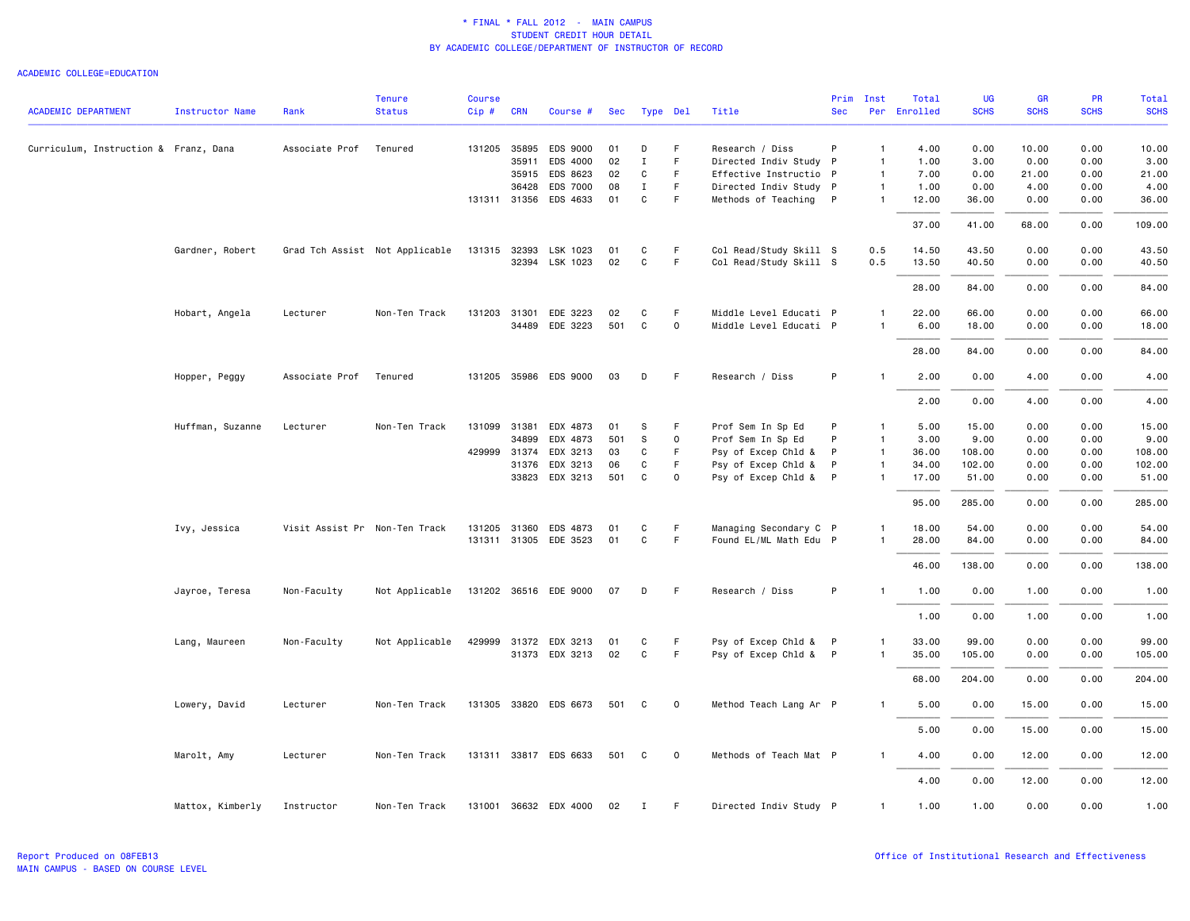| <b>ACADEMIC DEPARTMENT</b>            | <b>Instructor Name</b> | Rank                          | <b>Tenure</b><br><b>Status</b> | <b>Course</b><br>Cip# | <b>CRN</b>   | Course #              | Sec   | Type Del     |             | Title                  | Prim<br><b>Sec</b> | Inst         | Total<br>Per Enrolled | <b>UG</b><br><b>SCHS</b> | <b>GR</b><br><b>SCHS</b> | PR<br><b>SCHS</b> | <b>Total</b><br><b>SCHS</b> |
|---------------------------------------|------------------------|-------------------------------|--------------------------------|-----------------------|--------------|-----------------------|-------|--------------|-------------|------------------------|--------------------|--------------|-----------------------|--------------------------|--------------------------|-------------------|-----------------------------|
|                                       |                        |                               |                                |                       |              |                       |       |              |             |                        |                    |              |                       |                          |                          |                   |                             |
| Curriculum, Instruction & Franz, Dana |                        | Associate Prof                | Tenured                        |                       | 131205 35895 | EDS 9000              | 01    | D            | F.          | Research / Diss        | P                  | $\mathbf{1}$ | 4.00                  | 0.00                     | 10.00                    | 0.00              | 10.00                       |
|                                       |                        |                               |                                |                       | 35911        | EDS 4000              | 02    | $\mathbf I$  | F           | Directed Indiv Study P |                    | $\mathbf{1}$ | 1.00                  | 3.00                     | 0.00                     | 0.00              | 3.00                        |
|                                       |                        |                               |                                |                       | 35915        | EDS 8623              | 02    | C            | F.          | Effective Instructio P |                    | $\mathbf{1}$ | 7.00                  | 0.00                     | 21.00                    | 0.00              | 21.00                       |
|                                       |                        |                               |                                |                       | 36428        | EDS 7000              | 08    | $\mathbf{I}$ | F.          | Directed Indiv Study P |                    | $\mathbf{1}$ | 1.00                  | 0.00                     | 4.00                     | 0.00              | 4.00                        |
|                                       |                        |                               |                                |                       |              | 131311 31356 EDS 4633 | 01    | $\mathtt{C}$ | F           | Methods of Teaching P  |                    | $\mathbf{1}$ | 12.00                 | 36.00                    | 0.00                     | 0.00              | 36.00                       |
|                                       |                        |                               |                                |                       |              |                       |       |              |             |                        |                    |              | 37.00                 | 41.00                    | 68.00                    | 0.00              | 109.00                      |
|                                       | Gardner, Robert        |                               | Grad Tch Assist Not Applicable |                       | 131315 32393 | LSK 1023              | 01    | C            | F           | Col Read/Study Skill S |                    | 0.5          | 14.50                 | 43.50                    | 0.00                     | 0.00              | 43.50                       |
|                                       |                        |                               |                                |                       | 32394        | LSK 1023              | 02    | $\mathtt{C}$ | F.          | Col Read/Study Skill S |                    | 0.5          | 13.50                 | 40.50                    | 0.00                     | 0.00              | 40.50                       |
|                                       |                        |                               |                                |                       |              |                       |       |              |             |                        |                    |              | 28.00                 | 84.00                    | 0.00                     | 0.00              | 84.00                       |
|                                       | Hobart, Angela         | Lecturer                      | Non-Ten Track                  |                       | 131203 31301 | EDE 3223              | 02    | C            | F           | Middle Level Educati P |                    | 1            | 22.00                 | 66.00                    | 0.00                     | 0.00              | 66.00                       |
|                                       |                        |                               |                                |                       |              | 34489 EDE 3223        | 501   | C            | 0           | Middle Level Educati P |                    | $\mathbf{1}$ | 6.00                  | 18.00                    | 0.00                     | 0.00              | 18.00                       |
|                                       |                        |                               |                                |                       |              |                       |       |              |             |                        |                    |              | 28.00                 | 84.00                    | 0.00                     | 0.00              | 84.00                       |
|                                       | Hopper, Peggy          | Associate Prof                | Tenured                        |                       |              | 131205 35986 EDS 9000 | 03    | D            | F.          | Research / Diss        | P                  | $\mathbf{1}$ | 2.00                  | 0.00                     | 4.00                     | 0.00              | 4.00                        |
|                                       |                        |                               |                                |                       |              |                       |       |              |             |                        |                    |              | 2.00                  | 0.00                     | 4.00                     | 0.00              | 4.00                        |
|                                       | Huffman, Suzanne       | Lecturer                      | Non-Ten Track                  | 131099                | 31381        | EDX 4873              | 01    | S            | F           | Prof Sem In Sp Ed      | P                  | $\mathbf{1}$ | 5.00                  | 15.00                    | 0.00                     | 0.00              | 15.00                       |
|                                       |                        |                               |                                |                       | 34899        | EDX 4873              | 501   | S            | 0           | Prof Sem In Sp Ed      | P                  | $\mathbf{1}$ | 3.00                  | 9.00                     | 0.00                     | 0.00              | 9.00                        |
|                                       |                        |                               |                                |                       | 429999 31374 | EDX 3213              | 03    | C            | F.          | Psy of Excep Chld &    | P                  | $\mathbf{1}$ | 36.00                 | 108.00                   | 0.00                     | 0.00              | 108.00                      |
|                                       |                        |                               |                                |                       | 31376        | EDX 3213              | 06    | C            | F.          | Psy of Excep Chld &    | $\mathsf{P}$       | $\mathbf{1}$ | 34.00                 | 102.00                   | 0.00                     | 0.00              | 102.00                      |
|                                       |                        |                               |                                |                       |              | 33823 EDX 3213        | 501   | C            | 0           | Psy of Excep Chld & P  |                    | $\mathbf{1}$ | 17.00                 | 51.00                    | 0.00                     | 0.00              | 51.00                       |
|                                       |                        |                               |                                |                       |              |                       |       |              |             |                        |                    |              | 95.00                 | 285.00                   | 0.00                     | 0.00              | 285.00                      |
|                                       | Ivy, Jessica           | Visit Assist Pr Non-Ten Track |                                |                       | 131205 31360 | EDS 4873              | 01    | C            | F.          | Managing Secondary C P |                    | $\mathbf{1}$ | 18.00                 | 54.00                    | 0.00                     | 0.00              | 54.00                       |
|                                       |                        |                               |                                |                       |              | 131311 31305 EDE 3523 | 01    | C            | F           | Found EL/ML Math Edu P |                    | $\mathbf{1}$ | 28.00                 | 84.00                    | 0.00                     | 0.00              | 84.00                       |
|                                       |                        |                               |                                |                       |              |                       |       |              |             |                        |                    |              |                       |                          |                          |                   |                             |
|                                       |                        |                               |                                |                       |              |                       |       |              |             |                        |                    |              | 46.00                 | 138.00                   | 0.00                     | 0.00              | 138.00                      |
|                                       | Jayroe, Teresa         | Non-Faculty                   | Not Applicable                 |                       |              | 131202 36516 EDE 9000 | 07    | D            | -F          | Research / Diss        | P                  |              | 1.00                  | 0.00                     | 1.00                     | 0.00              | 1.00                        |
|                                       |                        |                               |                                |                       |              |                       |       |              |             |                        |                    |              | 1.00                  | 0.00                     | 1.00                     | 0.00              | 1.00                        |
|                                       | Lang, Maureen          | Non-Faculty                   | Not Applicable                 |                       |              | 429999 31372 EDX 3213 | 01    | C            | F.          | Psy of Excep Chld & P  |                    | $\mathbf{1}$ | 33.00                 | 99.00                    | 0.00                     | 0.00              | 99.00                       |
|                                       |                        |                               |                                |                       |              | 31373 EDX 3213        | 02    | C            | F.          | Psy of Excep Chld & P  |                    | $\mathbf{1}$ | 35.00                 | 105.00                   | 0.00                     | 0.00              | 105.00                      |
|                                       |                        |                               |                                |                       |              |                       |       |              |             |                        |                    |              | 68.00                 | 204.00                   | 0.00                     | 0.00              | 204.00                      |
|                                       | Lowery, David          | Lecturer                      | Non-Ten Track                  |                       |              | 131305 33820 EDS 6673 | 501   | C            | $\mathbf 0$ | Method Teach Lang Ar P |                    | $\mathbf{1}$ | 5.00                  | 0.00                     | 15.00                    | 0.00              | 15.00                       |
|                                       |                        |                               |                                |                       |              |                       |       |              |             |                        |                    |              | 5.00                  | 0.00                     | 15.00                    | 0.00              | 15.00                       |
|                                       | Marolt, Amy            | Lecturer                      | Non-Ten Track                  |                       |              | 131311 33817 EDS 6633 | 501 C |              | $\mathbf 0$ | Methods of Teach Mat P |                    | 1            | 4.00                  | 0.00                     | 12.00                    | 0.00              | 12.00                       |
|                                       |                        |                               |                                |                       |              |                       |       |              |             |                        |                    |              | 4.00                  | 0.00                     | 12.00                    | 0.00              | 12.00                       |
|                                       | Mattox, Kimberly       | Instructor                    | Non-Ten Track                  |                       |              | 131001 36632 EDX 4000 | 02    | Ι.           | F           | Directed Indiv Study P |                    | $\mathbf{1}$ | 1.00                  | 1.00                     | 0.00                     | 0.00              | 1.00                        |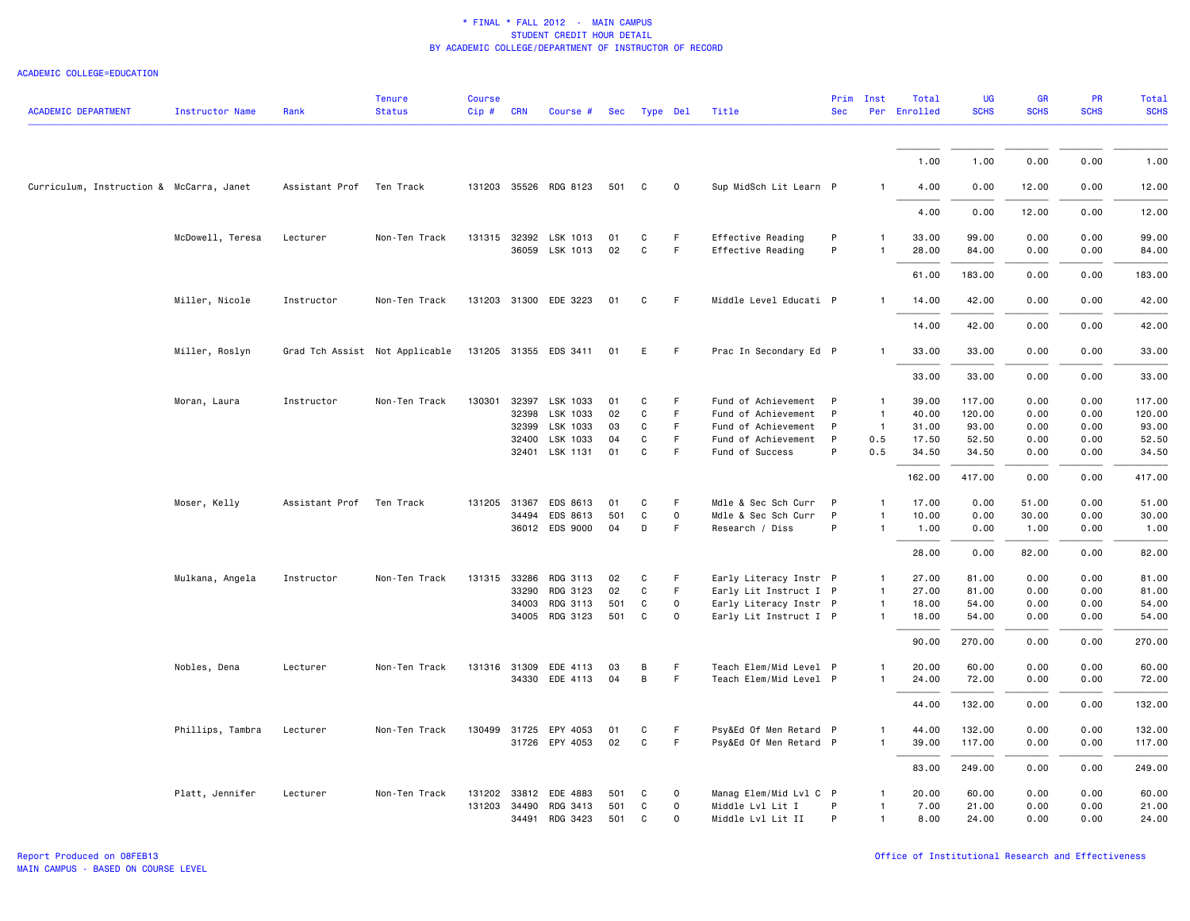| <b>ACADEMIC DEPARTMENT</b>               | <b>Instructor Name</b> | Rank                     | <b>Tenure</b><br><b>Status</b> | <b>Course</b><br>$Cip$ # | <b>CRN</b> | Course #                                | Sec      | Type Del     |             | Title                                  | <b>Sec</b>   | Prim Inst      | Total<br>Per Enrolled | <b>UG</b><br><b>SCHS</b> | <b>GR</b><br><b>SCHS</b> | PR<br><b>SCHS</b> | <b>Total</b><br><b>SCHS</b> |
|------------------------------------------|------------------------|--------------------------|--------------------------------|--------------------------|------------|-----------------------------------------|----------|--------------|-------------|----------------------------------------|--------------|----------------|-----------------------|--------------------------|--------------------------|-------------------|-----------------------------|
|                                          |                        |                          |                                |                          |            |                                         |          |              |             |                                        |              |                |                       |                          |                          |                   |                             |
|                                          |                        |                          |                                |                          |            |                                         |          |              |             |                                        |              |                | 1.00                  | 1.00                     | 0.00                     | 0.00              | 1.00                        |
| Curriculum, Instruction & McCarra, Janet |                        | Assistant Prof           | Ten Track                      |                          |            | 131203 35526 RDG 8123                   | 501      | C            | $\mathbf 0$ | Sup MidSch Lit Learn P                 |              |                | 4.00                  | 0.00                     | 12.00                    | 0.00              | 12.00                       |
|                                          |                        |                          |                                |                          |            |                                         |          |              |             |                                        |              |                | 4.00                  | 0.00                     | 12.00                    | 0.00              | 12.00                       |
|                                          | McDowell, Teresa       | Lecturer                 | Non-Ten Track                  |                          |            | 131315 32392 LSK 1013<br>36059 LSK 1013 | 01<br>02 | C<br>C       | F<br>F      | Effective Reading<br>Effective Reading | P<br>P       | 1              | 33.00<br>28.00        | 99.00<br>84.00           | 0.00<br>0.00             | 0.00<br>0.00      | 99.00<br>84.00              |
|                                          |                        |                          |                                |                          |            |                                         |          |              |             |                                        |              |                | 61.00                 | 183.00                   | 0.00                     | 0.00              | 183.00                      |
|                                          | Miller, Nicole         | Instructor               | Non-Ten Track                  |                          |            | 131203 31300 EDE 3223                   | 01       | C            | F           | Middle Level Educati P                 |              | $\mathbf{1}$   | 14.00                 | 42.00                    | 0.00                     | 0.00              | 42.00                       |
|                                          |                        |                          |                                |                          |            |                                         |          |              |             |                                        |              |                | 14.00                 | 42.00                    | 0.00                     | 0.00              | 42.00                       |
|                                          | Miller, Roslyn         |                          | Grad Tch Assist Not Applicable |                          |            | 131205 31355 EDS 3411                   | 01       | E.           | F.          | Prac In Secondary Ed P                 |              | $\mathbf{1}$   | 33.00                 | 33.00                    | 0.00                     | 0.00              | 33.00                       |
|                                          |                        |                          |                                |                          |            |                                         |          |              |             |                                        |              |                | 33.00                 | 33.00                    | 0.00                     | 0.00              | 33.00                       |
|                                          | Moran, Laura           | Instructor               | Non-Ten Track                  | 130301                   | 32397      | LSK 1033                                | 01       | C            | F.          | Fund of Achievement                    | $\mathsf{P}$ | $\overline{1}$ | 39.00                 | 117.00                   | 0.00                     | 0.00              | 117.00                      |
|                                          |                        |                          |                                |                          | 32398      | LSK 1033                                | 02       | C            | F.          | Fund of Achievement                    | P            | $\overline{1}$ | 40.00                 | 120.00                   | 0.00                     | 0.00              | 120.00                      |
|                                          |                        |                          |                                |                          | 32399      | LSK 1033                                | 03       | C            | F           | Fund of Achievement                    | P            | $\overline{1}$ | 31.00                 | 93.00                    | 0.00                     | 0.00              | 93.00                       |
|                                          |                        |                          |                                |                          | 32400      | LSK 1033                                | 04       | C            | F           | Fund of Achievement                    | P            | 0.5            | 17.50                 | 52.50                    | 0.00                     | 0.00              | 52.50                       |
|                                          |                        |                          |                                |                          |            | 32401 LSK 1131                          | 01       | C            | F.          | Fund of Success                        | P            | 0.5            | 34.50                 | 34.50                    | 0.00                     | 0.00              | 34.50                       |
|                                          |                        |                          |                                |                          |            |                                         |          |              |             |                                        |              |                | 162.00                | 417.00                   | 0.00                     | 0.00              | 417.00                      |
|                                          | Moser, Kelly           | Assistant Prof Ten Track |                                | 131205 31367             |            | EDS 8613                                | 01       | C            | F           | Mdle & Sec Sch Curr                    | P            | $\mathbf{1}$   | 17.00                 | 0.00                     | 51.00                    | 0.00              | 51.00                       |
|                                          |                        |                          |                                |                          | 34494      | EDS 8613                                | 501      | $\mathtt{C}$ | 0           | Mdle & Sec Sch Curr                    | $\mathsf{P}$ | $\mathbf{1}$   | 10.00                 | 0.00                     | 30.00                    | 0.00              | 30.00                       |
|                                          |                        |                          |                                |                          |            | 36012 EDS 9000                          | 04       | D            | F           | Research / Diss                        | P            | $\mathbf{1}$   | 1.00                  | 0.00                     | 1.00                     | 0.00              | 1.00                        |
|                                          |                        |                          |                                |                          |            |                                         |          |              |             |                                        |              |                | 28.00                 | 0.00                     | 82.00                    | 0.00              | 82.00                       |
|                                          | Mulkana, Angela        | Instructor               | Non-Ten Track                  | 131315 33286             |            | RDG 3113                                | 02       | C            | F           | Early Literacy Instr P                 |              | $\overline{1}$ | 27.00                 | 81.00                    | 0.00                     | 0.00              | 81.00                       |
|                                          |                        |                          |                                |                          | 33290      | RDG 3123                                | 02       | C            | F.          | Early Lit Instruct I P                 |              | $\mathbf{1}$   | 27.00                 | 81.00                    | 0.00                     | 0.00              | 81.00                       |
|                                          |                        |                          |                                |                          | 34003      | RDG 3113                                | 501      | C            | 0           | Early Literacy Instr P                 |              | $\mathbf{1}$   | 18.00                 | 54.00                    | 0.00                     | 0.00              | 54.00                       |
|                                          |                        |                          |                                |                          |            | 34005 RDG 3123                          | 501      | $\mathtt{C}$ | $\mathbf 0$ | Early Lit Instruct I P                 |              | $\mathbf{1}$   | 18.00                 | 54.00                    | 0.00                     | 0.00              | 54.00                       |
|                                          |                        |                          |                                |                          |            |                                         |          |              |             |                                        |              |                | 90.00                 | 270.00                   | 0.00                     | 0.00              | 270.00                      |
|                                          | Nobles, Dena           | Lecturer                 | Non-Ten Track                  | 131316 31309             |            | EDE 4113                                | 03       | B            | F.          | Teach Elem/Mid Level P                 |              | $\mathbf{1}$   | 20.00                 | 60.00                    | 0.00                     | 0.00              | 60.00                       |
|                                          |                        |                          |                                |                          |            | 34330 EDE 4113                          | 04       | B            | F           | Teach Elem/Mid Level P                 |              | $\mathbf{1}$   | 24.00                 | 72.00                    | 0.00                     | 0.00              | 72.00                       |
|                                          |                        |                          |                                |                          |            |                                         |          |              |             |                                        |              |                | 44.00                 | 132.00                   | 0.00                     | 0.00              | 132.00                      |
|                                          | Phillips, Tambra       | Lecturer                 | Non-Ten Track                  |                          |            | 130499 31725 EPY 4053                   | 01       | C            | F.          | Psy&Ed Of Men Retard P                 |              | 1              | 44.00                 | 132.00                   | 0.00                     | 0.00              | 132.00                      |
|                                          |                        |                          |                                |                          |            | 31726 EPY 4053                          | 02       | C            | F.          | Psy&Ed Of Men Retard P                 |              | 1              | 39.00                 | 117.00                   | 0.00                     | 0.00              | 117.00                      |
|                                          |                        |                          |                                |                          |            |                                         |          |              |             |                                        |              |                | 83.00                 | 249.00                   | 0.00                     | 0.00              | 249.00                      |
|                                          | Platt, Jennifer        | Lecturer                 | Non-Ten Track                  |                          |            | 131202 33812 EDE 4883                   | 501      | C            | $\circ$     | Manag Elem/Mid Lvl C P                 |              | $\mathbf{1}$   | 20.00                 | 60.00                    | 0.00                     | 0.00              | 60.00                       |
|                                          |                        |                          |                                | 131203                   | 34490      | RDG 3413                                | 501      | C            | $\mathbf 0$ | Middle Lvl Lit I                       | P            | $\mathbf{1}$   | 7.00                  | 21.00                    | 0.00                     | 0.00              | 21.00                       |
|                                          |                        |                          |                                |                          |            | 34491 RDG 3423                          | 501      | C            | $\Omega$    | Middle Lvl Lit II                      | P            | $\mathbf{1}$   | 8.00                  | 24.00                    | 0.00                     | 0.00              | 24.00                       |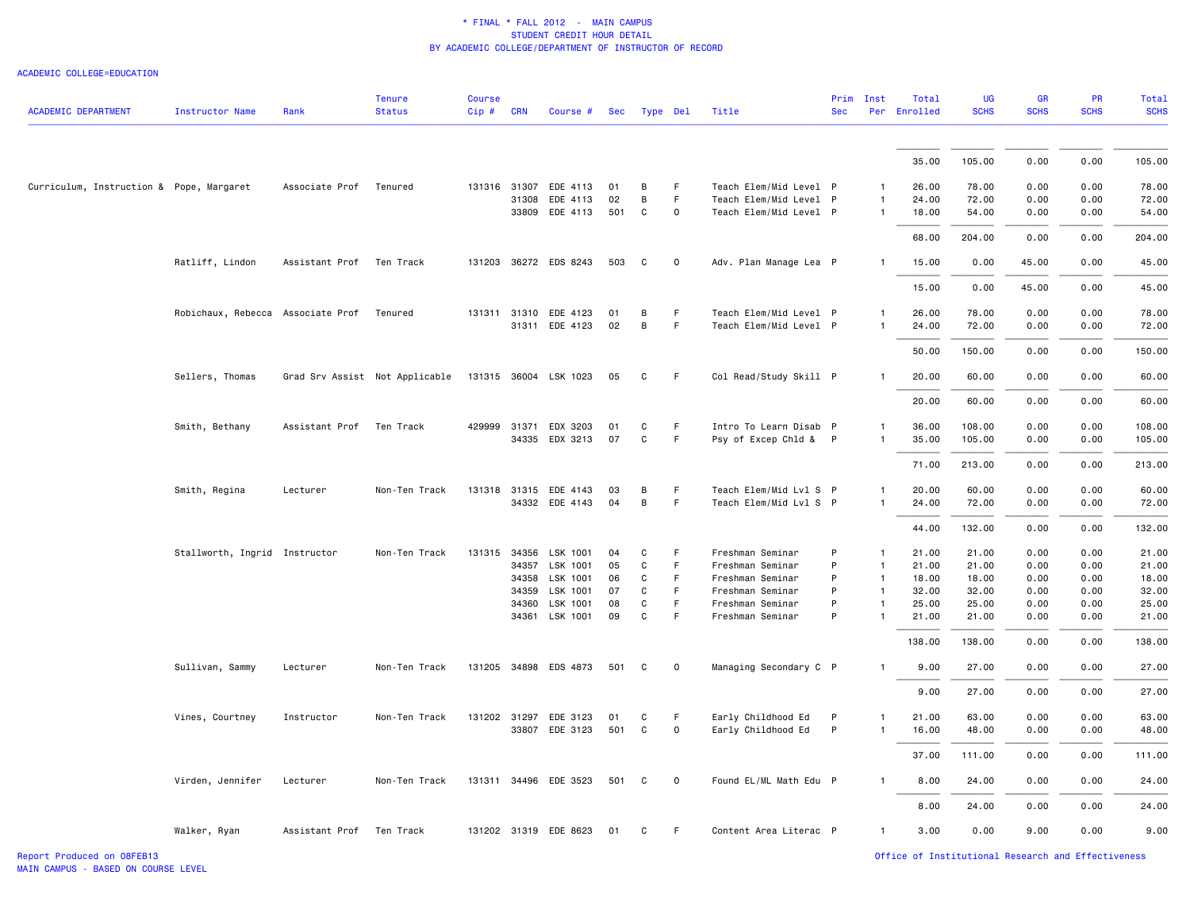| <b>ACADEMIC DEPARTMENT</b>               | <b>Instructor Name</b>            | Rank                     | <b>Tenure</b><br><b>Status</b> | <b>Course</b><br>Cip# | <b>CRN</b> | Course #                                | Sec       |                   | Type Del             | Title                                    | <b>Sec</b>        | Prim Inst                    | Total<br>Per Enrolled | UG<br><b>SCHS</b> | GR<br><b>SCHS</b> | PR<br><b>SCHS</b> | <b>Total</b><br><b>SCHS</b> |
|------------------------------------------|-----------------------------------|--------------------------|--------------------------------|-----------------------|------------|-----------------------------------------|-----------|-------------------|----------------------|------------------------------------------|-------------------|------------------------------|-----------------------|-------------------|-------------------|-------------------|-----------------------------|
|                                          |                                   |                          |                                |                       |            |                                         |           |                   |                      |                                          |                   |                              | 35.00                 | 105.00            | 0.00              | 0.00              | 105.00                      |
|                                          |                                   |                          |                                |                       |            |                                         |           |                   |                      |                                          |                   |                              |                       |                   |                   |                   |                             |
| Curriculum, Instruction & Pope, Margaret |                                   | Associate Prof           | Tenured                        |                       |            | 131316 31307 EDE 4113                   | 01        | B                 | F.                   | Teach Elem/Mid Level P                   |                   | $\mathbf{1}$                 | 26.00                 | 78.00             | 0.00              | 0.00              | 78.00                       |
|                                          |                                   |                          |                                |                       | 31308      | EDE 4113                                | 02        | B                 | F                    | Teach Elem/Mid Level P                   |                   |                              | 24.00                 | 72.00             | 0.00              | 0.00              | 72.00                       |
|                                          |                                   |                          |                                |                       |            | 33809 EDE 4113                          | 501       | C                 | $\mathsf{O}\xspace$  | Teach Elem/Mid Level P                   |                   | $\mathbf{1}$                 | 18.00                 | 54.00             | 0.00              | 0.00              | 54.00                       |
|                                          |                                   |                          |                                |                       |            |                                         |           |                   |                      |                                          |                   |                              | 68.00                 | 204.00            | 0.00              | 0.00              | 204.00                      |
|                                          | Ratliff, Lindon                   | Assistant Prof           | Ten Track                      |                       |            | 131203 36272 EDS 8243                   | 503       | C                 | $\circ$              | Adv. Plan Manage Lea P                   |                   | $\mathbf{1}$                 | 15.00                 | 0.00              | 45.00             | 0.00              | 45.00                       |
|                                          |                                   |                          |                                |                       |            |                                         |           |                   |                      |                                          |                   |                              | 15.00                 | 0.00              | 45.00             | 0.00              | 45.00                       |
|                                          | Robichaux, Rebecca Associate Prof |                          | Tenured                        |                       |            | 131311 31310 EDE 4123                   | 01        | B                 | F.                   | Teach Elem/Mid Level P                   |                   | $\mathbf{1}$                 | 26.00                 | 78.00             | 0.00              | 0.00              | 78.00                       |
|                                          |                                   |                          |                                |                       |            | 31311 EDE 4123                          | 02        | $\,$ B            | F                    | Teach Elem/Mid Level P                   |                   | $\mathbf{1}$                 | 24.00                 | 72.00             | 0.00              | 0.00              | 72.00                       |
|                                          |                                   |                          |                                |                       |            |                                         |           |                   |                      |                                          |                   |                              | 50.00                 | 150.00            | 0.00              | 0.00              | 150.00                      |
|                                          | Sellers, Thomas                   |                          | Grad Srv Assist Not Applicable |                       |            | 131315 36004 LSK 1023                   | 05        | C                 | F.                   | Col Read/Study Skill P                   |                   | $\mathbf{1}$                 | 20.00                 | 60.00             | 0.00              | 0.00              | 60.00                       |
|                                          |                                   |                          |                                |                       |            |                                         |           |                   |                      |                                          |                   |                              | 20.00                 | 60.00             | 0.00              | 0.00              | 60.00                       |
|                                          | Smith, Bethany                    | Assistant Prof Ten Track |                                | 429999 31371          |            | EDX 3203                                | 01        | C                 | F                    | Intro To Learn Disab P                   |                   | 1                            | 36.00                 | 108.00            | 0.00              | 0.00              | 108.00                      |
|                                          |                                   |                          |                                |                       |            | 34335 EDX 3213                          | 07        | C                 | F                    | Psy of Excep Chld & P                    |                   | 1                            | 35.00                 | 105.00            | 0.00              | 0.00              | 105.00                      |
|                                          |                                   |                          |                                |                       |            |                                         |           |                   |                      |                                          |                   |                              | 71.00                 | 213.00            | 0.00              | 0.00              | 213.00                      |
|                                          | Smith, Regina                     | Lecturer                 | Non-Ten Track                  |                       |            | 131318 31315 EDE 4143                   | 03        | В                 | F.                   | Teach Elem/Mid Lvl S P                   |                   | 1                            | 20.00                 | 60.00             | 0.00              | 0.00              | 60.00                       |
|                                          |                                   |                          |                                |                       |            | 34332 EDE 4143                          | 04        | B                 | F                    | Teach Elem/Mid Lvl S P                   |                   | $\mathbf{1}$                 | 24.00                 | 72.00             | 0.00              | 0.00              | 72.00                       |
|                                          |                                   |                          |                                |                       |            |                                         |           |                   |                      |                                          |                   |                              | 44.00                 | 132.00            | 0.00              | 0.00              | 132.00                      |
|                                          | Stallworth, Ingrid Instructor     |                          | Non-Ten Track                  | 131315                | 34356      | LSK 1001                                | 04        | C                 | F.                   | Freshman Seminar                         | P                 | $\mathbf{1}$                 | 21.00                 | 21.00             | 0.00              | 0.00              | 21.00                       |
|                                          |                                   |                          |                                |                       | 34357      | LSK 1001                                | 05        | C                 | F                    | Freshman Seminar                         | P                 | $\mathbf{1}$                 | 21.00                 | 21.00             | 0.00              | 0.00              | 21.00                       |
|                                          |                                   |                          |                                |                       | 34358      | LSK 1001                                | 06        | C                 | F                    | Freshman Seminar                         | P                 | $\overline{1}$               | 18.00                 | 18.00             | 0.00              | 0.00              | 18.00                       |
|                                          |                                   |                          |                                |                       | 34359      | LSK 1001                                | 07        | C                 | F.                   | Freshman Seminar                         | P                 | $\mathbf{1}$                 | 32.00                 | 32.00             | 0.00              | 0.00              | 32.00                       |
|                                          |                                   |                          |                                |                       | 34360      | LSK 1001<br>34361 LSK 1001              | 08<br>09  | C<br>$\mathtt{C}$ | F.<br>F              | Freshman Seminar<br>Freshman Seminar     | P<br>P            | $\mathbf{1}$                 | 25.00<br>21.00        | 25.00<br>21.00    | 0.00<br>0.00      | 0.00<br>0.00      | 25.00<br>21.00              |
|                                          |                                   |                          |                                |                       |            |                                         |           |                   |                      |                                          |                   |                              | 138.00                | 138.00            | 0.00              | 0.00              | 138.00                      |
|                                          | Sullivan, Sammy                   | Lecturer                 | Non-Ten Track                  |                       |            | 131205 34898 EDS 4873                   | 501       | C                 | $\mathbf 0$          | Managing Secondary C P                   |                   | $\mathbf{1}$                 | 9.00                  | 27.00             | 0.00              | 0.00              | 27.00                       |
|                                          |                                   |                          |                                |                       |            |                                         |           |                   |                      |                                          |                   |                              |                       | 27.00             | 0.00              | 0.00              |                             |
|                                          |                                   |                          |                                |                       |            |                                         |           |                   |                      |                                          |                   |                              | 9.00                  |                   |                   |                   | 27.00                       |
|                                          | Vines, Courtney                   | Instructor               | Non-Ten Track                  |                       |            | 131202 31297 EDE 3123<br>33807 EDE 3123 | 01<br>501 | C<br>C            | F.<br>$\mathsf{o}\,$ | Early Childhood Ed<br>Early Childhood Ed | P<br>$\mathsf{P}$ | $\mathbf{1}$<br>$\mathbf{1}$ | 21.00<br>16.00        | 63.00<br>48.00    | 0.00<br>0.00      | 0.00<br>0.00      | 63.00<br>48.00              |
|                                          |                                   |                          |                                |                       |            |                                         |           |                   |                      |                                          |                   |                              | 37.00                 | 111.00            | 0.00              | 0.00              | 111.00                      |
|                                          | Virden, Jennifer                  | Lecturer                 | Non-Ten Track                  |                       |            | 131311 34496 EDE 3523                   | 501       | C                 | $\mathsf 0$          | Found EL/ML Math Edu P                   |                   | $\mathbf{1}$                 | 8.00                  | 24.00             | 0.00              | 0.00              | 24.00                       |
|                                          |                                   |                          |                                |                       |            |                                         |           |                   |                      |                                          |                   |                              |                       |                   |                   |                   |                             |
|                                          |                                   |                          |                                |                       |            |                                         |           |                   |                      |                                          |                   |                              | 8.00                  | 24.00             | 0.00              | 0.00              | 24.00                       |
|                                          | Walker, Ryan                      | Assistant Prof Ten Track |                                |                       |            | 131202 31319 EDE 8623                   | 01        | C                 | F.                   | Content Area Literac P                   |                   | 1                            | 3.00                  | 0.00              | 9.00              | 0.00              | 9.00                        |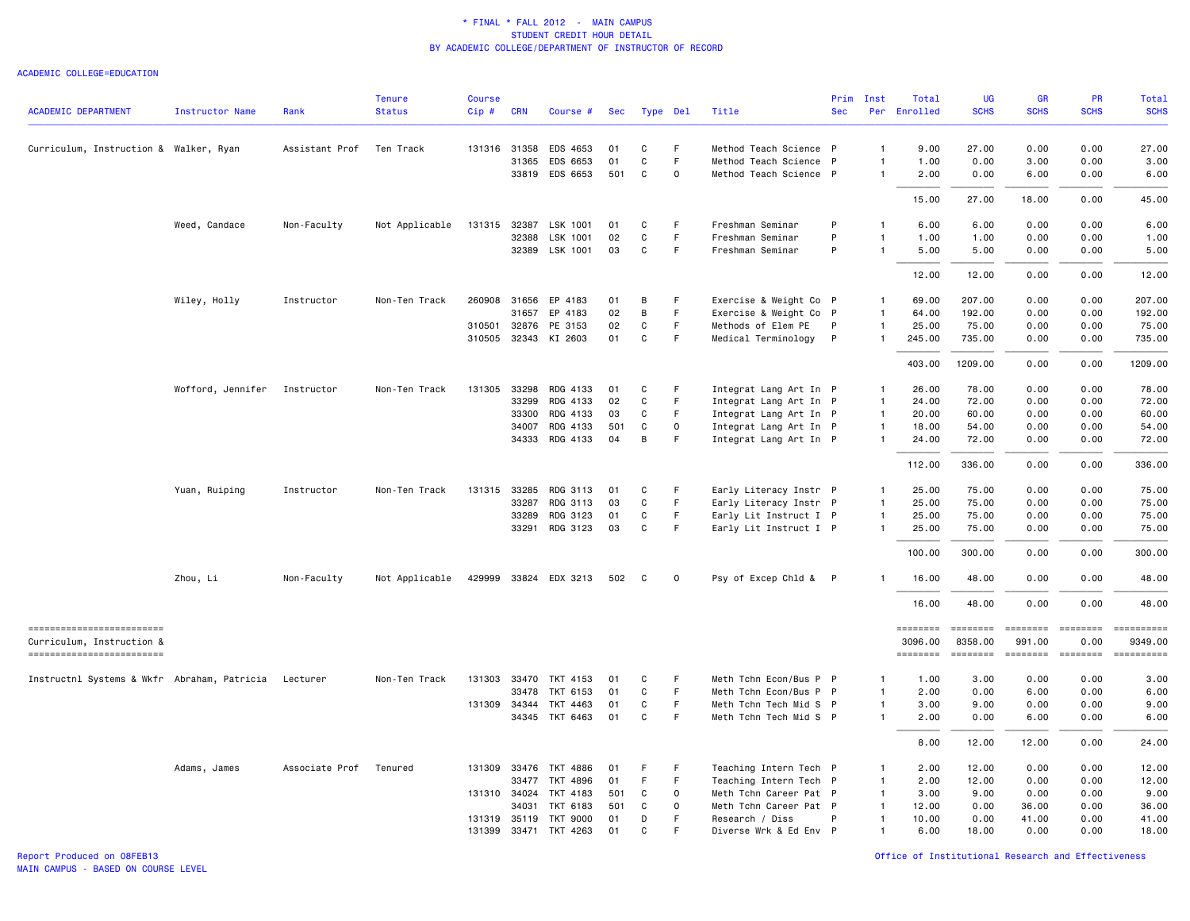#### ACADEMIC COLLEGE=EDUCATION

|                                                        |                        |                | <b>Tenure</b>  | <b>Course</b> |              |                       |            |              |             |                        | Prim         | Inst           | Total               | UG                  | <b>GR</b>                 | <b>PR</b>               | Total                 |
|--------------------------------------------------------|------------------------|----------------|----------------|---------------|--------------|-----------------------|------------|--------------|-------------|------------------------|--------------|----------------|---------------------|---------------------|---------------------------|-------------------------|-----------------------|
| <b>ACADEMIC DEPARTMENT</b>                             | <b>Instructor Name</b> | Rank           | <b>Status</b>  | Cip #         | <b>CRN</b>   | Course #              | <b>Sec</b> | Type Del     |             | Title                  | <b>Sec</b>   | Per            | Enrolled            | <b>SCHS</b>         | <b>SCHS</b>               | <b>SCHS</b>             | <b>SCHS</b>           |
| Curriculum, Instruction & Walker, Ryan                 |                        | Assistant Prof | Ten Track      |               | 131316 31358 | EDS 4653              | 01         | C            | F           | Method Teach Science P |              | $\overline{1}$ | 9.00                | 27.00               | 0.00                      | 0.00                    | 27.00                 |
|                                                        |                        |                |                |               | 31365        | EDS 6653              | 01         | C            | F           | Method Teach Science P |              | $\mathbf{1}$   | 1.00                | 0.00                | 3.00                      | 0.00                    | 3.00                  |
|                                                        |                        |                |                |               |              | 33819 EDS 6653        | 501        | $\mathtt{C}$ | $\mathsf 0$ | Method Teach Science P |              | $\mathbf{1}$   | 2.00                | 0.00                | 6.00                      | 0.00                    | 6.00                  |
|                                                        |                        |                |                |               |              |                       |            |              |             |                        |              |                | 15.00               | 27.00               | 18.00                     | 0.00                    | 45.00                 |
|                                                        | Weed, Candace          | Non-Faculty    | Not Applicable |               | 131315 32387 | LSK 1001              | 01         | C            | F           | Freshman Seminar       | P            | $\mathbf{1}$   | 6.00                | 6.00                | 0.00                      | 0.00                    | 6.00                  |
|                                                        |                        |                |                |               | 32388        | LSK 1001              | 02         | C            | F.          | Freshman Seminar       | P            | $\overline{1}$ | 1.00                | 1.00                | 0.00                      | 0.00                    | 1.00                  |
|                                                        |                        |                |                |               | 32389        | LSK 1001              | 03         | С            | F           | Freshman Seminar       | P            | $\overline{1}$ | 5.00                | 5.00                | 0.00                      | 0.00                    | 5.00                  |
|                                                        |                        |                |                |               |              |                       |            |              |             |                        |              |                | 12.00               | 12.00               | 0.00                      | 0.00                    | 12.00                 |
|                                                        | Wiley, Holly           | Instructor     | Non-Ten Track  | 260908        | 31656        | EP 4183               | 01         | B            | F           | Exercise & Weight Co P |              | $\mathbf{1}$   | 69.00               | 207.00              | 0.00                      | 0.00                    | 207.00                |
|                                                        |                        |                |                |               | 31657        | EP 4183               | 02         | B            | F.          | Exercise & Weight Co P |              | $\mathbf{1}$   | 64.00               | 192.00              | 0.00                      | 0.00                    | 192.00                |
|                                                        |                        |                |                |               | 310501 32876 | PE 3153               | 02         | C            | F           | Methods of Elem PE     | P            | $\mathbf{1}$   | 25.00               | 75.00               | 0.00                      | 0.00                    | 75.00                 |
|                                                        |                        |                |                |               | 310505 32343 | KI 2603               | 01         | C            | F.          | Medical Terminology    | $\mathsf{P}$ | $\mathbf{1}$   | 245.00              | 735.00              | 0.00                      | 0.00                    | 735.00                |
|                                                        |                        |                |                |               |              |                       |            |              |             |                        |              |                | 403.00              | 1209.00             | 0.00                      | 0.00                    | 1209.00               |
|                                                        | Wofford, Jennifer      | Instructor     | Non-Ten Track  |               | 131305 33298 | RDG 4133              | 01         | С            | F           | Integrat Lang Art In P |              | $\mathbf{1}$   | 26.00               | 78.00               | 0.00                      | 0.00                    | 78.00                 |
|                                                        |                        |                |                |               | 33299        | RDG 4133              | 02         | С            | F           | Integrat Lang Art In P |              | $\overline{1}$ | 24.00               | 72.00               | 0.00                      | 0.00                    | 72.00                 |
|                                                        |                        |                |                |               | 33300        | RDG 4133              | 03         | C            | F           | Integrat Lang Art In P |              | $\mathbf{1}$   | 20.00               | 60.00               | 0.00                      | 0.00                    | 60.00                 |
|                                                        |                        |                |                |               | 34007        | RDG 4133              | 501        | $\mathsf{C}$ | 0           | Integrat Lang Art In P |              | $\mathbf{1}$   | 18.00               | 54.00               | 0.00                      | 0.00                    | 54.00                 |
|                                                        |                        |                |                |               |              | 34333 RDG 4133        | 04         | B            | F           | Integrat Lang Art In P |              | $\mathbf{1}$   | 24.00               | 72.00               | 0.00                      | 0.00                    | 72.00                 |
|                                                        |                        |                |                |               |              |                       |            |              |             |                        |              |                | 112.00              | 336.00              | 0.00                      | 0.00                    | 336.00                |
|                                                        | Yuan, Ruiping          | Instructor     | Non-Ten Track  |               | 131315 33285 | RDG 3113              | 01         | C            | F           | Early Literacy Instr P |              | $\mathbf{1}$   | 25.00               | 75.00               | 0.00                      | 0.00                    | 75.00                 |
|                                                        |                        |                |                |               | 33287        | RDG 3113              | 03         | С            | F.          | Early Literacy Instr P |              | $\overline{1}$ | 25.00               | 75.00               | 0.00                      | 0.00                    | 75.00                 |
|                                                        |                        |                |                |               | 33289        | RDG 3123              | 01         | C            | F           | Early Lit Instruct I P |              | $\overline{1}$ | 25.00               | 75.00               | 0.00                      | 0.00                    | 75.00                 |
|                                                        |                        |                |                |               |              | 33291 RDG 3123        | 03         | $\mathbf{C}$ | F           | Early Lit Instruct I P |              | $\mathbf{1}$   | 25.00               | 75.00               | 0.00                      | 0.00                    | 75.00                 |
|                                                        |                        |                |                |               |              |                       |            |              |             |                        |              |                | 100.00              | 300.00              | 0.00                      | 0.00                    | 300.00                |
|                                                        | Zhou, Li               | Non-Faculty    | Not Applicable |               |              | 429999 33824 EDX 3213 | 502        | C            | $\mathbf 0$ | Psy of Excep Chld & P  |              |                | 16.00               | 48.00               | 0.00                      | 0.00                    | 48.00                 |
|                                                        |                        |                |                |               |              |                       |            |              |             |                        |              |                | 16.00               | 48.00               | 0.00                      | 0.00                    | 48.00                 |
| =========================<br>Curriculum, Instruction & |                        |                |                |               |              |                       |            |              |             |                        |              |                | ========<br>3096.00 | ========<br>8358.00 | <b>EEEEEEEE</b><br>991.00 | <b>ESSESSES</b><br>0.00 | ==========<br>9349.00 |
| -------------------------                              |                        |                |                |               |              |                       |            |              |             |                        |              |                | ========            | ========            | ========                  | <b>EDEDEDER</b>         | ==========            |
| Instructnl Systems & Wkfr Abraham, Patricia            |                        | Lecturer       | Non-Ten Track  |               |              | 131303 33470 TKT 4153 | 01         | С            | F           | Meth Tchn Econ/Bus P P |              | -1             | 1.00                | 3.00                | 0.00                      | 0.00                    | 3.00                  |
|                                                        |                        |                |                |               | 33478        | TKT 6153              | 01         | С            | F           | Meth Tchn Econ/Bus P P |              | $\mathbf{1}$   | 2.00                | 0.00                | 6.00                      | 0.00                    | 6.00                  |
|                                                        |                        |                |                |               |              | 131309 34344 TKT 4463 | 01         | C            | F.          | Meth Tchn Tech Mid S P |              | $\mathbf{1}$   | 3.00                | 9.00                | 0.00                      | 0.00                    | 9.00                  |
|                                                        |                        |                |                |               |              | 34345 TKT 6463        | 01         | C            | F           | Meth Tchn Tech Mid S P |              | $\mathbf{1}$   | 2.00                | 0.00                | 6.00                      | 0.00                    | 6.00                  |
|                                                        |                        |                |                |               |              |                       |            |              |             |                        |              |                | 8.00                | 12.00               | 12.00                     | 0.00                    | 24.00                 |
|                                                        | Adams, James           | Associate Prof | Tenured        |               |              | 131309 33476 TKT 4886 | 01         | F            | F           | Teaching Intern Tech P |              | $\mathbf{1}$   | 2.00                | 12.00               | 0.00                      | 0.00                    | 12.00                 |
|                                                        |                        |                |                |               | 33477        | TKT 4896              | 01         | F.           | F           | Teaching Intern Tech P |              | $\overline{1}$ | 2.00                | 12.00               | 0.00                      | 0.00                    | 12.00                 |
|                                                        |                        |                |                |               | 131310 34024 | TKT 4183              | 501        | C            | 0           | Meth Tchn Career Pat P |              | $\mathbf{1}$   | 3.00                | 9.00                | 0.00                      | 0.00                    | 9.00                  |
|                                                        |                        |                |                |               | 34031        | <b>TKT 6183</b>       | 501        | C            | $\Omega$    | Meth Tchn Career Pat P |              | $\overline{1}$ | 12.00               | 0.00                | 36.00                     | 0.00                    | 36.00                 |
|                                                        |                        |                |                |               | 131319 35119 | <b>TKT 9000</b>       | 01         | D            | F           | Research / Diss        | P            | $\overline{1}$ | 10.00               | 0.00                | 41.00                     | 0.00                    | 41.00                 |
|                                                        |                        |                |                |               |              | 131399 33471 TKT 4263 | 01         | C            | F           | Diverse Wrk & Ed Env P |              | $\overline{1}$ | 6.00                | 18.00               | 0.00                      | 0.00                    | 18.00                 |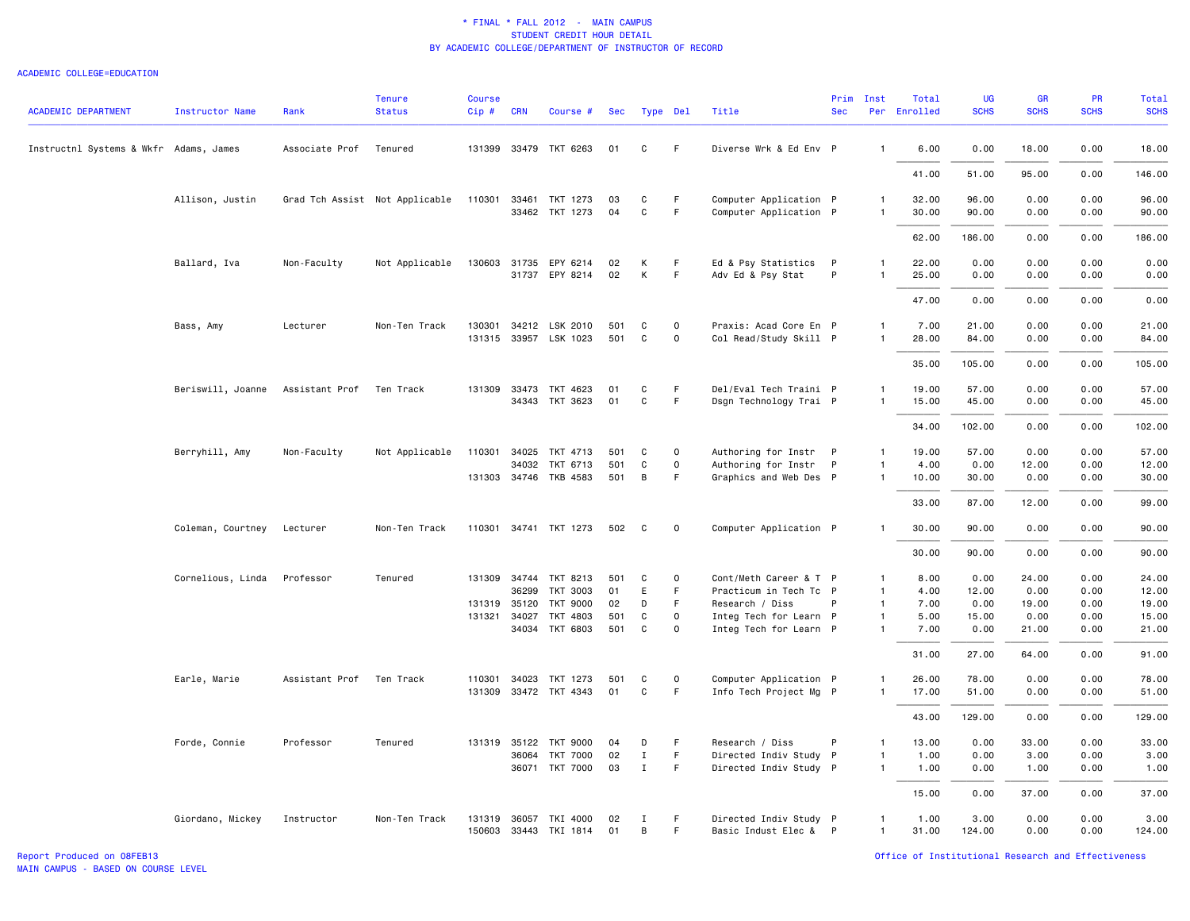#### ACADEMIC COLLEGE=EDUCATION

| <b>ACADEMIC DEPARTMENT</b>             | <b>Instructor Name</b> | Rank           | <b>Tenure</b><br><b>Status</b> | <b>Course</b><br>$Cip$ # | <b>CRN</b> | Course #              | Sec |              | Type Del    | Title                  | Prim<br><b>Sec</b> | Inst         | Total<br>Per Enrolled | UG<br><b>SCHS</b> | GR<br><b>SCHS</b> | PR<br><b>SCHS</b> | <b>Total</b><br><b>SCHS</b> |
|----------------------------------------|------------------------|----------------|--------------------------------|--------------------------|------------|-----------------------|-----|--------------|-------------|------------------------|--------------------|--------------|-----------------------|-------------------|-------------------|-------------------|-----------------------------|
| Instructnl Systems & Wkfr Adams, James |                        | Associate Prof | Tenured                        |                          |            | 131399 33479 TKT 6263 | 01  | C            | F           | Diverse Wrk & Ed Env P |                    | $\mathbf{1}$ | 6.00                  | 0.00              | 18.00             | 0.00              | 18.00                       |
|                                        |                        |                |                                |                          |            |                       |     |              |             |                        |                    |              | 41.00                 | 51.00             | 95.00             | 0.00              | 146.00                      |
|                                        | Allison, Justin        |                | Grad Tch Assist Not Applicable | 110301                   | 33461      | TKT 1273              | 03  | C            | $\mathsf F$ | Computer Application P |                    | $\mathbf{1}$ | 32.00                 | 96.00             | 0.00              | 0.00              | 96.00                       |
|                                        |                        |                |                                |                          |            | 33462 TKT 1273        | 04  | C            | F           | Computer Application P |                    | $\mathbf{1}$ | 30.00                 | 90.00             | 0.00              | 0.00              | 90.00                       |
|                                        |                        |                |                                |                          |            |                       |     |              |             |                        |                    |              | 62.00                 | 186.00            | 0.00              | 0.00              | 186.00                      |
|                                        | Ballard, Iva           | Non-Faculty    | Not Applicable                 |                          |            | 130603 31735 EPY 6214 | 02  | К            | F.          | Ed & Psy Statistics P  |                    | $\mathbf{1}$ | 22.00                 | 0.00              | 0.00              | 0.00              | 0.00                        |
|                                        |                        |                |                                |                          |            | 31737 EPY 8214        | 02  | K            | F.          | Adv Ed & Psy Stat      | P                  | 1            | 25.00                 | 0.00              | 0.00              | 0.00              | 0.00                        |
|                                        |                        |                |                                |                          |            |                       |     |              |             |                        |                    |              | 47.00                 | 0.00              | 0.00              | 0.00              | 0.00                        |
|                                        | Bass, Amy              | Lecturer       | Non-Ten Track                  |                          |            | 130301 34212 LSK 2010 | 501 | C            | $\mathbf 0$ | Praxis: Acad Core En P |                    | $\mathbf{1}$ | 7.00                  | 21.00             | 0.00              | 0.00              | 21.00                       |
|                                        |                        |                |                                |                          |            | 131315 33957 LSK 1023 | 501 | C            | 0           | Col Read/Study Skill P |                    | 1            | 28.00                 | 84.00             | 0.00              | 0.00              | 84.00                       |
|                                        |                        |                |                                |                          |            |                       |     |              |             |                        |                    |              | 35.00                 | 105.00            | 0.00              | 0.00              | 105.00                      |
|                                        | Beriswill, Joanne      | Assistant Prof | Ten Track                      | 131309                   |            | 33473 TKT 4623        | 01  | C            | F.          | Del/Eval Tech Traini P |                    | 1            | 19.00                 | 57.00             | 0.00              | 0.00              | 57.00                       |
|                                        |                        |                |                                |                          |            | 34343 TKT 3623        | 01  | $\mathsf{C}$ | F.          | Dsgn Technology Trai P |                    | $\mathbf{1}$ | 15.00                 | 45.00             | 0.00              | 0.00              | 45.00                       |
|                                        |                        |                |                                |                          |            |                       |     |              |             |                        |                    |              | 34.00                 | 102.00            | 0.00              | 0.00              | 102.00                      |
|                                        | Berryhill, Amy         | Non-Faculty    | Not Applicable                 |                          |            | 110301 34025 TKT 4713 | 501 | C            | $\circ$     | Authoring for Instr P  |                    | $\mathbf{1}$ | 19.00                 | 57.00             | 0.00              | 0.00              | 57.00                       |
|                                        |                        |                |                                |                          | 34032      | TKT 6713              | 501 | C            | 0           | Authoring for Instr P  |                    | 1            | 4.00                  | 0.00              | 12.00             | 0.00              | 12.00                       |
|                                        |                        |                |                                |                          |            | 131303 34746 TKB 4583 | 501 | B            | F           | Graphics and Web Des P |                    | 1            | 10.00                 | 30.00             | 0.00              | 0.00              | 30.00                       |
|                                        |                        |                |                                |                          |            |                       |     |              |             |                        |                    |              | 33.00                 | 87.00             | 12.00             | 0.00              | 99.00                       |
|                                        | Coleman, Courtney      | Lecturer       | Non-Ten Track                  |                          |            | 110301 34741 TKT 1273 | 502 | C            | 0           | Computer Application P |                    | $\mathbf{1}$ | 30.00                 | 90.00             | 0.00              | 0.00              | 90.00                       |
|                                        |                        |                |                                |                          |            |                       |     |              |             |                        |                    |              | 30.00                 | 90.00             | 0.00              | 0.00              | 90.00                       |
|                                        | Cornelious, Linda      | Professor      | Tenured                        |                          |            | 131309 34744 TKT 8213 | 501 | C            | 0           | Cont/Meth Career & T P |                    | $\mathbf{1}$ | 8.00                  | 0.00              | 24.00             | 0.00              | 24.00                       |
|                                        |                        |                |                                |                          | 36299      | TKT 3003              | 01  | E            | F.          | Practicum in Tech Tc P |                    | $\mathbf{1}$ | 4.00                  | 12.00             | 0.00              | 0.00              | 12.00                       |
|                                        |                        |                |                                | 131319 35120             |            | TKT 9000              | 02  | D            | F           | Research / Diss        | P                  | $\mathbf{1}$ | 7.00                  | 0.00              | 19.00             | 0.00              | 19.00                       |
|                                        |                        |                |                                | 131321 34027             |            | TKT 4803              | 501 | $\mathtt{C}$ | $\mathbf 0$ | Integ Tech for Learn P |                    | $\mathbf{1}$ | 5.00                  | 15.00             | 0.00              | 0.00              | 15.00                       |
|                                        |                        |                |                                |                          |            | 34034 TKT 6803        | 501 | C            | $\Omega$    | Integ Tech for Learn P |                    | $\mathbf{1}$ | 7.00                  | 0.00              | 21.00             | 0.00              | 21.00                       |
|                                        |                        |                |                                |                          |            |                       |     |              |             |                        |                    |              | 31.00                 | 27.00             | 64.00             | 0.00              | 91.00                       |
|                                        | Earle, Marie           | Assistant Prof | Ten Track                      | 110301                   |            | 34023 TKT 1273        | 501 | C            | 0           | Computer Application P |                    | 1            | 26.00                 | 78.00             | 0.00              | 0.00              | 78.00                       |
|                                        |                        |                |                                |                          |            | 131309 33472 TKT 4343 | 01  | $\mathsf{C}$ | F           | Info Tech Project Mg P |                    | $\mathbf{1}$ | 17.00                 | 51.00             | 0.00              | 0.00              | 51.00                       |
|                                        |                        |                |                                |                          |            |                       |     |              |             |                        |                    |              | 43.00                 | 129.00            | 0.00              | 0.00              | 129.00                      |
|                                        | Forde, Connie          | Professor      | Tenured                        |                          |            | 131319 35122 TKT 9000 | 04  | D            | F           | Research / Diss        | P                  | 1            | 13.00                 | 0.00              | 33.00             | 0.00              | 33.00                       |
|                                        |                        |                |                                |                          | 36064      | TKT 7000              | 02  | $\mathbf{I}$ | F           | Directed Indiv Study P |                    | $\mathbf{1}$ | 1.00                  | 0.00              | 3.00              | 0.00              | 3.00                        |
|                                        |                        |                |                                |                          | 36071      | <b>TKT 7000</b>       | 03  | $\mathbf I$  | F.          | Directed Indiv Study P |                    | $\mathbf{1}$ | 1.00                  | 0.00              | 1.00              | 0.00              | 1.00                        |
|                                        |                        |                |                                |                          |            |                       |     |              |             |                        |                    |              | 15.00                 | 0.00              | 37.00             | 0.00              | 37.00                       |
|                                        | Giordano, Mickey       | Instructor     | Non-Ten Track                  |                          |            | 131319 36057 TKI 4000 | 02  | Ι.           | F           | Directed Indiv Study P |                    | $\mathbf{1}$ | 1.00                  | 3.00              | 0.00              | 0.00              | 3.00                        |
|                                        |                        |                |                                |                          |            | 150603 33443 TKI 1814 | 01  | B            | F.          | Basic Indust Elec & P  |                    | $\mathbf{1}$ | 31.00                 | 124,00            | 0.00              | 0.00              | 124.00                      |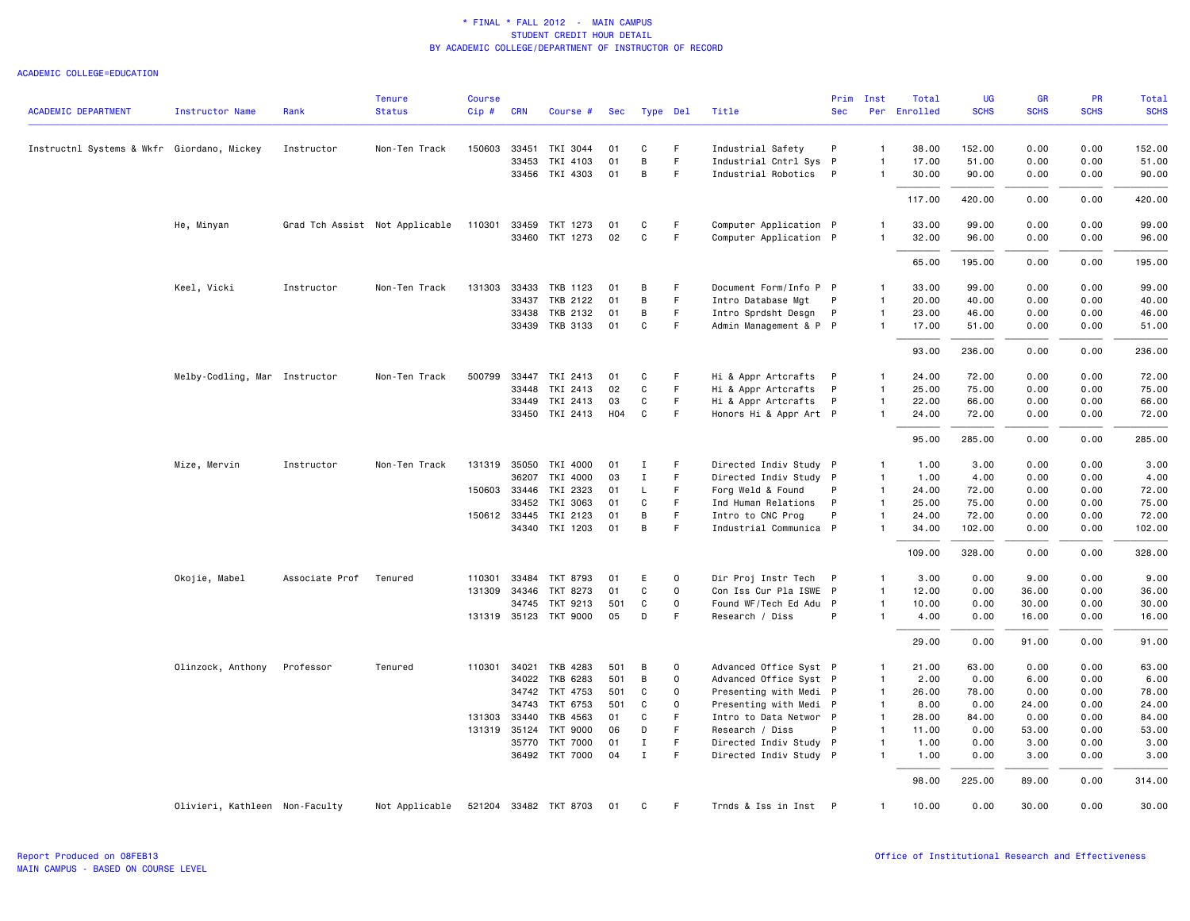| <b>ACADEMIC DEPARTMENT</b>                 | <b>Instructor Name</b>         | Rank           | Tenure<br><b>Status</b>        | <b>Course</b><br>Cip# | <b>CRN</b> | Course #              | Sec | Type Del     |             | Title                  | <b>Sec</b> | Prim Inst      | Total<br>Per Enrolled | UG<br><b>SCHS</b> | GR<br><b>SCHS</b> | PR<br><b>SCHS</b> | Total<br><b>SCHS</b> |
|--------------------------------------------|--------------------------------|----------------|--------------------------------|-----------------------|------------|-----------------------|-----|--------------|-------------|------------------------|------------|----------------|-----------------------|-------------------|-------------------|-------------------|----------------------|
|                                            |                                |                |                                |                       |            |                       |     |              |             |                        |            |                |                       |                   |                   |                   |                      |
| Instructnl Systems & Wkfr Giordano, Mickey |                                | Instructor     | Non-Ten Track                  | 150603                | 33451      | TKI 3044              | 01  | C            | F.          | Industrial Safety      | P          | $\mathbf{1}$   | 38.00                 | 152.00            | 0.00              | 0.00              | 152.00               |
|                                            |                                |                |                                |                       | 33453      | TKI 4103              | 01  | B            | F           | Industrial Cntrl Sys P |            | $\overline{1}$ | 17.00                 | 51.00             | 0.00              | 0.00              | 51.00                |
|                                            |                                |                |                                |                       |            | 33456 TKI 4303        | 01  | B            | F.          | Industrial Robotics    | P          | $\overline{1}$ | 30.00                 | 90.00             | 0.00              | 0.00              | 90.00                |
|                                            |                                |                |                                |                       |            |                       |     |              |             |                        |            |                | 117.00                | 420.00            | 0.00              | 0.00              | 420.00               |
|                                            | He, Minyan                     |                | Grad Tch Assist Not Applicable | 110301                |            | 33459 TKT 1273        | 01  | C            | F           | Computer Application P |            | $\overline{1}$ | 33.00                 | 99.00             | 0.00              | 0.00              | 99.00                |
|                                            |                                |                |                                |                       |            | 33460 TKT 1273        | 02  | $\mathsf{C}$ | F.          | Computer Application P |            | -1             | 32.00                 | 96.00             | 0.00              | 0.00              | 96.00                |
|                                            |                                |                |                                |                       |            |                       |     |              |             |                        |            |                | 65.00                 | 195.00            | 0.00              | 0.00              | 195.00               |
|                                            | Keel, Vicki                    | Instructor     | Non-Ten Track                  | 131303 33433          |            | TKB 1123              | 01  | B            | F           | Document Form/Info P P |            | $\overline{1}$ | 33.00                 | 99.00             | 0.00              | 0.00              | 99.00                |
|                                            |                                |                |                                |                       | 33437      | TKB 2122              | 01  | B            | F.          | Intro Database Mgt     | P          | $\overline{1}$ | 20.00                 | 40.00             | 0.00              | 0.00              | 40.00                |
|                                            |                                |                |                                |                       | 33438      | TKB 2132              | 01  | B            | F.          | Intro Sprdsht Desgn    | P          | $\overline{1}$ | 23.00                 | 46.00             | 0.00              | 0.00              | 46.00                |
|                                            |                                |                |                                |                       |            | 33439 TKB 3133        | 01  | C            | F           | Admin Management & P P |            | $\overline{1}$ | 17.00                 | 51.00             | 0.00              | 0.00              | 51.00                |
|                                            |                                |                |                                |                       |            |                       |     |              |             |                        |            |                | 93.00                 | 236.00            | 0.00              | 0.00              | 236.00               |
|                                            | Melby-Codling, Mar Instructor  |                | Non-Ten Track                  | 500799                |            | 33447 TKI 2413        | 01  | C            | F           | Hi & Appr Artcrafts    | P          | $\overline{1}$ | 24.00                 | 72.00             | 0.00              | 0.00              | 72.00                |
|                                            |                                |                |                                |                       | 33448      | TKI 2413              | 02  | C            | F.          | Hi & Appr Artcrafts    | P          | $\overline{1}$ | 25.00                 | 75.00             | 0.00              | 0.00              | 75.00                |
|                                            |                                |                |                                |                       |            | 33449 TKI 2413        | 03  | C            | F.          | Hi & Appr Artcrafts    | P          | $\overline{1}$ | 22.00                 | 66.00             | 0.00              | 0.00              | 66.00                |
|                                            |                                |                |                                |                       |            | 33450 TKI 2413        | H04 | C            | F.          | Honors Hi & Appr Art P |            | $\mathbf{1}$   | 24.00                 | 72.00             | 0.00              | 0.00              | 72.00                |
|                                            |                                |                |                                |                       |            |                       |     |              |             |                        |            |                | 95.00                 | 285.00            | 0.00              | 0.00              | 285.00               |
|                                            | Mize, Mervin                   | Instructor     | Non-Ten Track                  |                       |            | 131319 35050 TKI 4000 | 01  | I            | F           | Directed Indiv Study P |            | $\overline{1}$ | 1.00                  | 3.00              | 0.00              | 0.00              | 3.00                 |
|                                            |                                |                |                                |                       | 36207      | TKI 4000              | 03  | I            | F.          | Directed Indiv Study P |            | $\overline{1}$ | 1.00                  | 4.00              | 0.00              | 0.00              | 4.00                 |
|                                            |                                |                |                                |                       |            | 150603 33446 TKI 2323 | 01  | L            | F           | Forg Weld & Found      | P          | $\overline{1}$ | 24.00                 | 72.00             | 0.00              | 0.00              | 72.00                |
|                                            |                                |                |                                |                       | 33452      | TKI 3063              | 01  | C            | F.          | Ind Human Relations    | P          | $\overline{1}$ | 25.00                 | 75.00             | 0.00              | 0.00              | 75.00                |
|                                            |                                |                |                                | 150612 33445          |            | TKI 2123              | 01  | B            | F.          | Intro to CNC Prog      | P          | $\overline{1}$ | 24.00                 | 72.00             | 0.00              | 0.00              | 72.00                |
|                                            |                                |                |                                |                       |            | 34340 TKI 1203        | 01  | B            | F           | Industrial Communica P |            | $\overline{1}$ | 34.00                 | 102.00            | 0.00              | 0.00              | 102.00               |
|                                            |                                |                |                                |                       |            |                       |     |              |             |                        |            |                | 109.00                | 328.00            | 0.00              | 0.00              | 328.00               |
|                                            | Okojie, Mabel                  | Associate Prof | Tenured                        | 110301                | 33484      | TKT 8793              | 01  | E            | $\mathbf 0$ | Dir Proj Instr Tech    | P          | $\overline{1}$ | 3.00                  | 0.00              | 9.00              | 0.00              | 9.00                 |
|                                            |                                |                |                                | 131309                | 34346      | TKT 8273              | 01  | C            | 0           | Con Iss Cur Pla ISWE P |            | $\overline{1}$ | 12.00                 | 0.00              | 36.00             | 0.00              | 36.00                |
|                                            |                                |                |                                |                       |            | 34745 TKT 9213        | 501 | C            | 0           | Found WF/Tech Ed Adu P |            | $\overline{1}$ | 10.00                 | 0.00              | 30.00             | 0.00              | 30.00                |
|                                            |                                |                |                                |                       |            | 131319 35123 TKT 9000 | 05  | D            | F           | Research / Diss        | P          | $\overline{1}$ | 4.00                  | 0.00              | 16.00             | 0.00              | 16.00                |
|                                            |                                |                |                                |                       |            |                       |     |              |             |                        |            |                | 29.00                 | 0.00              | 91.00             | 0.00              | 91.00                |
|                                            | Olinzock, Anthony              | Professor      | Tenured                        |                       |            | 110301 34021 TKB 4283 | 501 | B            | $\mathbf 0$ | Advanced Office Syst P |            | $\mathbf{1}$   | 21.00                 | 63.00             | 0.00              | 0.00              | 63.00                |
|                                            |                                |                |                                |                       | 34022      | TKB 6283              | 501 | B            | 0           | Advanced Office Syst P |            | $\overline{1}$ | 2.00                  | 0.00              | 6.00              | 0.00              | 6.00                 |
|                                            |                                |                |                                |                       |            | 34742 TKT 4753        | 501 | C            | $\mathbf 0$ | Presenting with Medi P |            | $\overline{1}$ | 26.00                 | 78.00             | 0.00              | 0.00              | 78.00                |
|                                            |                                |                |                                |                       | 34743      | TKT 6753              | 501 | C            | 0           | Presenting with Medi P |            | $\overline{1}$ | 8.00                  | 0.00              | 24.00             | 0.00              | 24.00                |
|                                            |                                |                |                                | 131303 33440          |            | TKB 4563              | 01  | C            | F           | Intro to Data Networ P |            | $\overline{1}$ | 28.00                 | 84.00             | 0.00              | 0.00              | 84.00                |
|                                            |                                |                |                                | 131319 35124          |            | <b>TKT 9000</b>       | 06  | D            | F           | Research / Diss        | P          | $\overline{1}$ | 11.00                 | 0.00              | 53.00             | 0.00              | 53.00                |
|                                            |                                |                |                                |                       |            | 35770 TKT 7000        | 01  | I            | F           | Directed Indiv Study P |            | $\overline{1}$ | 1.00                  | 0.00              | 3.00              | 0.00              | 3.00                 |
|                                            |                                |                |                                |                       |            | 36492 TKT 7000        | 04  | $\mathbf{I}$ | F           | Directed Indiv Study P |            | $\overline{1}$ | 1.00                  | 0.00              | 3.00              | 0.00              | 3.00                 |
|                                            |                                |                |                                |                       |            |                       |     |              |             |                        |            |                | 98.00                 | 225.00            | 89.00             | 0.00              | 314.00               |
|                                            | Olivieri, Kathleen Non-Faculty |                | Not Applicable                 |                       |            | 521204 33482 TKT 8703 | 01  | C            | F.          | Trnds & Iss in Inst P  |            | $\overline{1}$ | 10.00                 | 0.00              | 30.00             | 0.00              | 30.00                |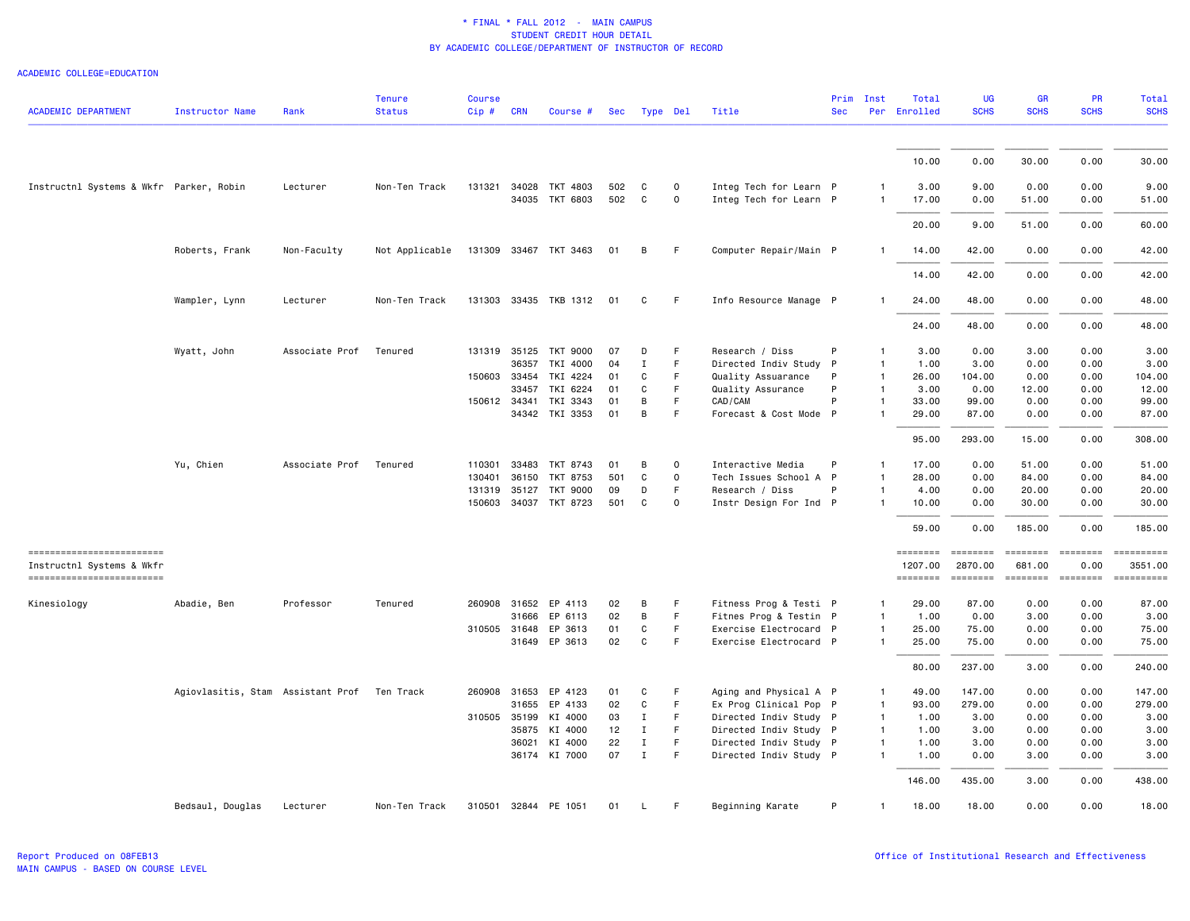| <b>ACADEMIC DEPARTMENT</b>                              | <b>Instructor Name</b>            | Rank           | <b>Tenure</b><br><b>Status</b> | <b>Course</b><br>$Cip \#$ | <b>CRN</b>   | Course #              | Sec | Type Del     |             | Title                  | Prim<br><b>Sec</b> | Inst           | Total<br>Per Enrolled      | <b>UG</b><br><b>SCHS</b>                                                                                                                                                                                                                                                                                                                                                                                                                                                                          | GR<br><b>SCHS</b> | <b>PR</b><br><b>SCHS</b> | <b>Total</b><br><b>SCHS</b>                                                                                                                                                                                                                                                                                                                                                                                                                                          |
|---------------------------------------------------------|-----------------------------------|----------------|--------------------------------|---------------------------|--------------|-----------------------|-----|--------------|-------------|------------------------|--------------------|----------------|----------------------------|---------------------------------------------------------------------------------------------------------------------------------------------------------------------------------------------------------------------------------------------------------------------------------------------------------------------------------------------------------------------------------------------------------------------------------------------------------------------------------------------------|-------------------|--------------------------|----------------------------------------------------------------------------------------------------------------------------------------------------------------------------------------------------------------------------------------------------------------------------------------------------------------------------------------------------------------------------------------------------------------------------------------------------------------------|
|                                                         |                                   |                |                                |                           |              |                       |     |              |             |                        |                    |                | 10.00                      | 0.00                                                                                                                                                                                                                                                                                                                                                                                                                                                                                              | 30.00             | 0.00                     | 30.00                                                                                                                                                                                                                                                                                                                                                                                                                                                                |
| Instructnl Systems & Wkfr Parker, Robin                 |                                   | Lecturer       | Non-Ten Track                  |                           |              | 131321 34028 TKT 4803 | 502 | C            | $\mathbf 0$ | Integ Tech for Learn P |                    |                | 3.00                       | 9.00                                                                                                                                                                                                                                                                                                                                                                                                                                                                                              | 0.00              | 0.00                     | 9.00                                                                                                                                                                                                                                                                                                                                                                                                                                                                 |
|                                                         |                                   |                |                                |                           |              | 34035 TKT 6803        | 502 | C            | 0           | Integ Tech for Learn P |                    | $\mathbf{1}$   | 17.00                      | 0.00                                                                                                                                                                                                                                                                                                                                                                                                                                                                                              | 51.00             | 0.00                     | 51.00                                                                                                                                                                                                                                                                                                                                                                                                                                                                |
|                                                         |                                   |                |                                |                           |              |                       |     |              |             |                        |                    |                | 20.00                      | 9.00                                                                                                                                                                                                                                                                                                                                                                                                                                                                                              | 51.00             | 0.00                     | 60.00                                                                                                                                                                                                                                                                                                                                                                                                                                                                |
|                                                         | Roberts, Frank                    | Non-Faculty    | Not Applicable                 |                           |              | 131309 33467 TKT 3463 | 01  | B            | F           | Computer Repair/Main P |                    | $\mathbf{1}$   | 14.00                      | 42.00                                                                                                                                                                                                                                                                                                                                                                                                                                                                                             | 0.00              | 0.00                     | 42.00                                                                                                                                                                                                                                                                                                                                                                                                                                                                |
|                                                         |                                   |                |                                |                           |              |                       |     |              |             |                        |                    |                | 14,00                      | 42.00                                                                                                                                                                                                                                                                                                                                                                                                                                                                                             | 0.00              | 0.00                     | 42.00                                                                                                                                                                                                                                                                                                                                                                                                                                                                |
|                                                         | Wampler, Lynn                     | Lecturer       | Non-Ten Track                  |                           |              | 131303 33435 TKB 1312 | 01  | C            | F           | Info Resource Manage P |                    |                | 24.00                      | 48.00                                                                                                                                                                                                                                                                                                                                                                                                                                                                                             | 0.00              | 0.00                     | 48.00                                                                                                                                                                                                                                                                                                                                                                                                                                                                |
|                                                         |                                   |                |                                |                           |              |                       |     |              |             |                        |                    |                | 24.00                      | 48.00                                                                                                                                                                                                                                                                                                                                                                                                                                                                                             | 0.00              | 0.00                     | 48.00                                                                                                                                                                                                                                                                                                                                                                                                                                                                |
|                                                         | Wyatt, John                       | Associate Prof | Tenured                        |                           | 131319 35125 | TKT 9000              | 07  | D            | F           | Research / Diss        | P                  | $\mathbf{1}$   | 3.00                       | 0.00                                                                                                                                                                                                                                                                                                                                                                                                                                                                                              | 3.00              | 0.00                     | 3.00                                                                                                                                                                                                                                                                                                                                                                                                                                                                 |
|                                                         |                                   |                |                                |                           | 36357        | TKI 4000              | 04  | $\mathbf I$  | F           | Directed Indiv Study P |                    | 1              | 1.00                       | 3.00                                                                                                                                                                                                                                                                                                                                                                                                                                                                                              | 0.00              | 0.00                     | 3.00                                                                                                                                                                                                                                                                                                                                                                                                                                                                 |
|                                                         |                                   |                |                                | 150603 33454              |              | TKI 4224              | 01  | C            | F           | Quality Assuarance     | P                  | $\mathbf{1}$   | 26.00                      | 104.00                                                                                                                                                                                                                                                                                                                                                                                                                                                                                            | 0.00              | 0.00                     | 104.00                                                                                                                                                                                                                                                                                                                                                                                                                                                               |
|                                                         |                                   |                |                                |                           | 33457        | TKI 6224              | 01  | C            | F           | Quality Assurance      | P                  | $\mathbf{1}$   | 3.00                       | 0.00                                                                                                                                                                                                                                                                                                                                                                                                                                                                                              | 12.00             | 0.00                     | 12.00                                                                                                                                                                                                                                                                                                                                                                                                                                                                |
|                                                         |                                   |                |                                | 150612 34341              |              | TKI 3343              | 01  | B            | F.          | CAD/CAM                | P                  | $\mathbf{1}$   | 33.00                      | 99.00                                                                                                                                                                                                                                                                                                                                                                                                                                                                                             | 0.00              | 0.00                     | 99.00                                                                                                                                                                                                                                                                                                                                                                                                                                                                |
|                                                         |                                   |                |                                |                           |              | 34342 TKI 3353        | 01  | B            | F.          | Forecast & Cost Mode P |                    | $\mathbf{1}$   | 29.00                      | 87.00                                                                                                                                                                                                                                                                                                                                                                                                                                                                                             | 0.00              | 0.00                     | 87.00                                                                                                                                                                                                                                                                                                                                                                                                                                                                |
|                                                         |                                   |                |                                |                           |              |                       |     |              |             |                        |                    |                | 95.00                      | 293.00                                                                                                                                                                                                                                                                                                                                                                                                                                                                                            | 15.00             | 0.00                     | 308.00                                                                                                                                                                                                                                                                                                                                                                                                                                                               |
|                                                         | Yu, Chien                         | Associate Prof | Tenured                        | 110301                    | 33483        | TKT 8743              | 01  | B            | 0           | Interactive Media      | P                  | $\mathbf{1}$   | 17.00                      | 0.00                                                                                                                                                                                                                                                                                                                                                                                                                                                                                              | 51.00             | 0.00                     | 51.00                                                                                                                                                                                                                                                                                                                                                                                                                                                                |
|                                                         |                                   |                |                                | 130401                    | 36150        | TKT 8753              | 501 | C            | $\Omega$    | Tech Issues School A P |                    | $\mathbf{1}$   | 28.00                      | 0.00                                                                                                                                                                                                                                                                                                                                                                                                                                                                                              | 84.00             | 0.00                     | 84.00                                                                                                                                                                                                                                                                                                                                                                                                                                                                |
|                                                         |                                   |                |                                | 131319                    | 35127        | TKT 9000              | 09  | D            | F           | Research / Diss        | P                  | $\mathbf{1}$   | 4.00                       | 0.00                                                                                                                                                                                                                                                                                                                                                                                                                                                                                              | 20.00             | 0.00                     | 20.00                                                                                                                                                                                                                                                                                                                                                                                                                                                                |
|                                                         |                                   |                |                                |                           |              | 150603 34037 TKT 8723 | 501 | C            | $\mathbf 0$ | Instr Design For Ind P |                    | $\mathbf{1}$   | 10.00                      | 0.00                                                                                                                                                                                                                                                                                                                                                                                                                                                                                              | 30.00             | 0.00                     | 30.00                                                                                                                                                                                                                                                                                                                                                                                                                                                                |
|                                                         |                                   |                |                                |                           |              |                       |     |              |             |                        |                    |                | 59.00                      | 0.00                                                                                                                                                                                                                                                                                                                                                                                                                                                                                              | 185.00            | 0.00                     | 185.00                                                                                                                                                                                                                                                                                                                                                                                                                                                               |
| ==========================<br>Instructnl Systems & Wkfr |                                   |                |                                |                           |              |                       |     |              |             |                        |                    |                | <b>EDESSERS</b><br>1207.00 | $\begin{array}{cccccccccc} \multicolumn{2}{c}{} & \multicolumn{2}{c}{} & \multicolumn{2}{c}{} & \multicolumn{2}{c}{} & \multicolumn{2}{c}{} & \multicolumn{2}{c}{} & \multicolumn{2}{c}{} & \multicolumn{2}{c}{} & \multicolumn{2}{c}{} & \multicolumn{2}{c}{} & \multicolumn{2}{c}{} & \multicolumn{2}{c}{} & \multicolumn{2}{c}{} & \multicolumn{2}{c}{} & \multicolumn{2}{c}{} & \multicolumn{2}{c}{} & \multicolumn{2}{c}{} & \multicolumn{2}{c}{} & \multicolumn{2}{c}{} & \mult$<br>2870.00 | 681.00            | $= 22222222$<br>0.00     | ==========<br>3551.00                                                                                                                                                                                                                                                                                                                                                                                                                                                |
| ------------------------                                |                                   |                |                                |                           |              |                       |     |              |             |                        |                    |                | ========                   | $\qquad \qquad \equiv \equiv \equiv \equiv \equiv \equiv \equiv \equiv$                                                                                                                                                                                                                                                                                                                                                                                                                           |                   |                          | $\begin{minipage}{0.03\linewidth} \hspace*{-0.2cm} \textbf{if the number of } \textit{if} \textit{if} \textit{if} \textit{if} \textit{if} \textit{if} \textit{if} \textit{if} \textit{if} \textit{if} \textit{if} \textit{if} \textit{if} \textit{if} \textit{if} \textit{if} \textit{if} \textit{if} \textit{if} \textit{if} \textit{if} \textit{if} \textit{if} \textit{if} \textit{if} \textit{if} \textit{if} \textit{if} \textit{if} \textit{if} \textit{if} \$ |
| Kinesiology                                             | Abadie, Ben                       | Professor      | Tenured                        |                           |              | 260908 31652 EP 4113  | 02  | B            | F.          | Fitness Prog & Testi P |                    | 1              | 29.00                      | 87.00                                                                                                                                                                                                                                                                                                                                                                                                                                                                                             | 0.00              | 0.00                     | 87.00                                                                                                                                                                                                                                                                                                                                                                                                                                                                |
|                                                         |                                   |                |                                |                           | 31666        | EP 6113               | 02  | B            | F.          | Fitnes Prog & Testin P |                    | 1              | 1.00                       | 0.00                                                                                                                                                                                                                                                                                                                                                                                                                                                                                              | 3.00              | 0.00                     | 3.00                                                                                                                                                                                                                                                                                                                                                                                                                                                                 |
|                                                         |                                   |                |                                | 310505 31648              |              | EP 3613               | 01  | C            | F           | Exercise Electrocard P |                    | $\mathbf{1}$   | 25.00                      | 75.00                                                                                                                                                                                                                                                                                                                                                                                                                                                                                             | 0.00              | 0.00                     | 75.00                                                                                                                                                                                                                                                                                                                                                                                                                                                                |
|                                                         |                                   |                |                                |                           |              | 31649 EP 3613         | 02  | C            | F.          | Exercise Electrocard P |                    | $\mathbf{1}$   | 25.00                      | 75.00                                                                                                                                                                                                                                                                                                                                                                                                                                                                                             | 0.00              | 0.00                     | 75.00                                                                                                                                                                                                                                                                                                                                                                                                                                                                |
|                                                         |                                   |                |                                |                           |              |                       |     |              |             |                        |                    |                | 80.00                      | 237.00                                                                                                                                                                                                                                                                                                                                                                                                                                                                                            | 3.00              | 0.00                     | 240.00                                                                                                                                                                                                                                                                                                                                                                                                                                                               |
|                                                         | Agiovlasitis, Stam Assistant Prof |                | Ten Track                      |                           | 260908 31653 | EP 4123               | 01  | C            | F           | Aging and Physical A P |                    | $\mathbf{1}$   | 49.00                      | 147.00                                                                                                                                                                                                                                                                                                                                                                                                                                                                                            | 0.00              | 0.00                     | 147.00                                                                                                                                                                                                                                                                                                                                                                                                                                                               |
|                                                         |                                   |                |                                |                           | 31655        | EP 4133               | 02  | $\mathtt{C}$ | F.          | Ex Prog Clinical Pop P |                    | $\mathbf{1}$   | 93.00                      | 279.00                                                                                                                                                                                                                                                                                                                                                                                                                                                                                            | 0.00              | 0.00                     | 279.00                                                                                                                                                                                                                                                                                                                                                                                                                                                               |
|                                                         |                                   |                |                                | 310505 35199              |              | KI 4000               | 03  | $\mathbf I$  | F.          | Directed Indiv Study P |                    | $\overline{1}$ | 1.00                       | 3.00                                                                                                                                                                                                                                                                                                                                                                                                                                                                                              | 0.00              | 0.00                     | 3.00                                                                                                                                                                                                                                                                                                                                                                                                                                                                 |
|                                                         |                                   |                |                                |                           | 35875        | KI 4000               | 12  | $\mathbf{I}$ | F           | Directed Indiv Study P |                    | $\mathbf{1}$   | 1.00                       | 3.00                                                                                                                                                                                                                                                                                                                                                                                                                                                                                              | 0.00              | 0.00                     | 3.00                                                                                                                                                                                                                                                                                                                                                                                                                                                                 |
|                                                         |                                   |                |                                |                           | 36021        | KI 4000               | 22  | $\bf{I}$     | F.          | Directed Indiv Study P |                    | 1              | 1.00                       | 3.00                                                                                                                                                                                                                                                                                                                                                                                                                                                                                              | 0.00              | 0.00                     | 3.00                                                                                                                                                                                                                                                                                                                                                                                                                                                                 |
|                                                         |                                   |                |                                |                           |              | 36174 KI 7000         | 07  | $\mathbf{I}$ | F.          | Directed Indiv Study P |                    | $\mathbf{1}$   | 1.00                       | 0.00                                                                                                                                                                                                                                                                                                                                                                                                                                                                                              | 3.00              | 0.00                     | 3.00                                                                                                                                                                                                                                                                                                                                                                                                                                                                 |
|                                                         |                                   |                |                                |                           |              |                       |     |              |             |                        |                    |                | 146.00                     | 435.00                                                                                                                                                                                                                                                                                                                                                                                                                                                                                            | 3.00              | 0.00                     | 438.00                                                                                                                                                                                                                                                                                                                                                                                                                                                               |
|                                                         | Bedsaul, Douglas                  | Lecturer       | Non-Ten Track                  | 310501                    | 32844        | PE 1051               | 01  | L            | F.          | Beginning Karate       | P                  | 1              | 18.00                      | 18.00                                                                                                                                                                                                                                                                                                                                                                                                                                                                                             | 0.00              | 0.00                     | 18.00                                                                                                                                                                                                                                                                                                                                                                                                                                                                |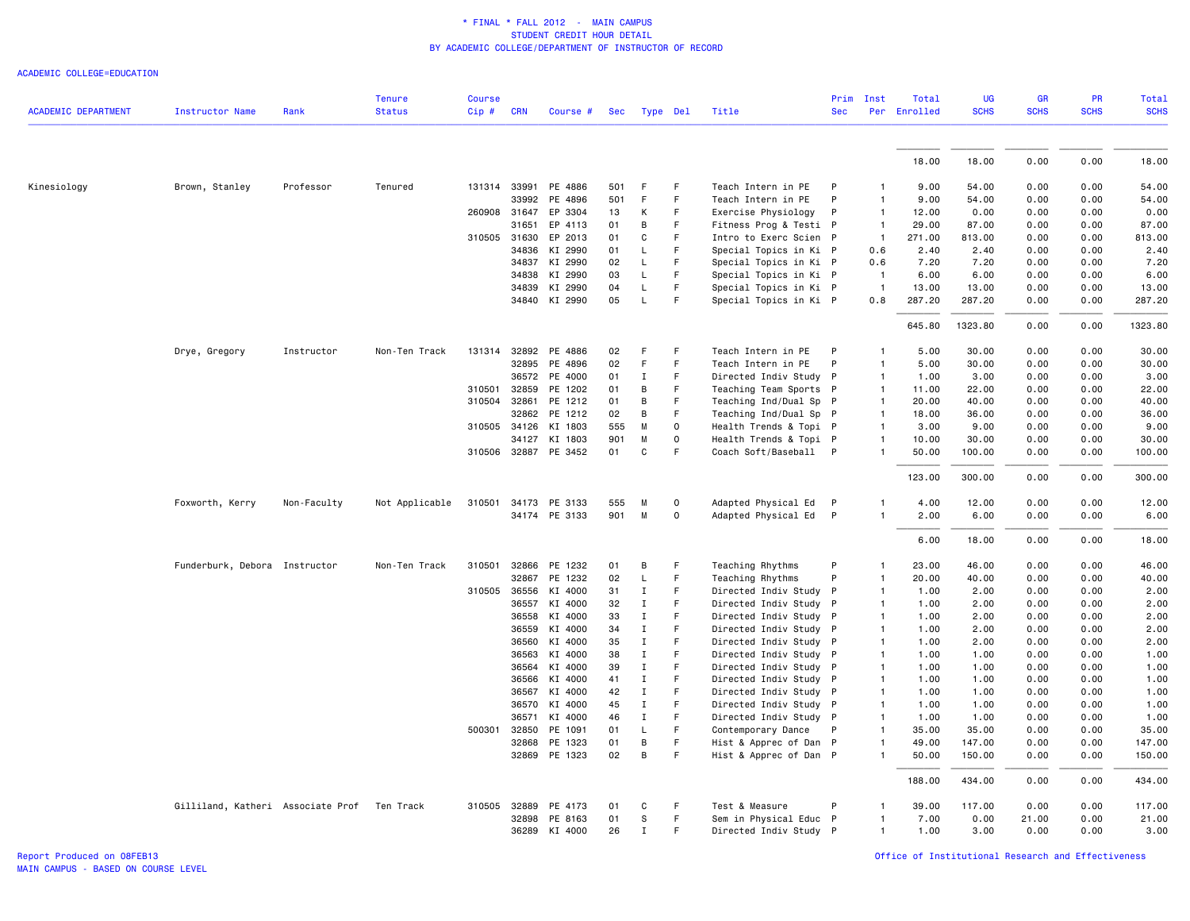|                            |                                             |             | <b>Tenure</b>  | <b>Course</b> |                |                      |          |                             |                  |                                                  | Prim         | Inst              | Total        | <b>UG</b>    | <b>GR</b>    | PR           | Total        |
|----------------------------|---------------------------------------------|-------------|----------------|---------------|----------------|----------------------|----------|-----------------------------|------------------|--------------------------------------------------|--------------|-------------------|--------------|--------------|--------------|--------------|--------------|
| <b>ACADEMIC DEPARTMENT</b> | Instructor Name                             | Rank        | <b>Status</b>  | $Cip$ #       | <b>CRN</b>     | Course #             |          | Sec Type Del                |                  | Title                                            | <b>Sec</b>   |                   | Per Enrolled | <b>SCHS</b>  | <b>SCHS</b>  | <b>SCHS</b>  | <b>SCHS</b>  |
|                            |                                             |             |                |               |                |                      |          |                             |                  |                                                  |              |                   |              |              |              |              |              |
|                            |                                             |             |                |               |                |                      |          |                             |                  |                                                  |              |                   | 18.00        | 18.00        | 0.00         | 0.00         | 18.00        |
| Kinesiology                | Brown, Stanley                              | Professor   | Tenured        |               | 131314 33991   | PE 4886              | 501      | F.                          | F                | Teach Intern in PE                               | P            |                   | 9.00         | 54.00        | 0.00         | 0.00         | 54.00        |
|                            |                                             |             |                |               | 33992          | PE 4896              | 501      | F                           | F                | Teach Intern in PE                               | P            | $\mathbf{1}$      | 9.00         | 54.00        | 0.00         | 0.00         | 54.00        |
|                            |                                             |             |                | 260908        | 31647          | EP 3304              | 13       | Κ                           | F                | Exercise Physiology                              | P            | $\mathbf{1}$      | 12.00        | 0.00         | 0.00         | 0.00         | 0.00         |
|                            |                                             |             |                |               | 31651          | EP 4113              | 01       | В                           | F                | Fitness Prog & Testi P                           |              | $\mathbf{1}$      | 29.00        | 87.00        | 0.00         | 0.00         | 87.00        |
|                            |                                             |             |                | 310505 31630  |                | EP 2013              | 01       | C                           | F                | Intro to Exerc Scien P                           |              | $\mathbf{1}$      | 271.00       | 813.00       | 0.00         | 0.00         | 813.00       |
|                            |                                             |             |                |               | 34836          | KI 2990              | 01       | L                           | F                | Special Topics in Ki P                           |              | 0.6               | 2.40         | 2.40         | 0.00         | 0.00         | 2.40         |
|                            |                                             |             |                |               | 34837          | KI 2990              | 02       | L                           | F                | Special Topics in Ki P                           |              | 0.6               | 7.20         | 7.20         | 0.00         | 0.00         | 7.20         |
|                            |                                             |             |                |               | 34838          | KI 2990              | 03       | L                           | F                | Special Topics in Ki P                           |              | $\overline{1}$    | 6.00         | 6.00         | 0.00         | 0.00         | 6.00         |
|                            |                                             |             |                |               | 34839          | KI 2990              | 04       | L                           | F                | Special Topics in Ki P                           |              | $\overline{1}$    | 13.00        | 13.00        | 0.00         | 0.00         | 13.00        |
|                            |                                             |             |                |               |                | 34840 KI 2990        | 05       | $\mathsf{L}$                | F                | Special Topics in Ki P                           |              | 0.8               | 287.20       | 287.20       | 0.00         | 0.00         | 287.20       |
|                            |                                             |             |                |               |                |                      |          |                             |                  |                                                  |              |                   | 645.80       | 1323.80      | 0.00         | 0.00         | 1323.80      |
|                            | Drye, Gregory                               | Instructor  | Non-Ten Track  | 131314        |                | 32892 PE 4886        | 02       | E                           | F                | Teach Intern in PE                               | P            |                   | 5.00         | 30.00        | 0.00         | 0.00         | 30.00        |
|                            |                                             |             |                |               | 32895          | PE 4896              | 02       | F                           | F                | Teach Intern in PE                               | P            | 1                 | 5.00         | 30.00        | 0.00         | 0.00         | 30.00        |
|                            |                                             |             |                |               |                | 36572 PE 4000        | 01       | $\mathbf{I}$                | F                | Directed Indiv Study P                           |              | $\mathbf{1}$      | 1.00         | 3.00         | 0.00         | 0.00         | 3.00         |
|                            |                                             |             |                | 310501        | 32859          | PE 1202              | 01       | B                           | F                | Teaching Team Sports P                           |              | $\mathbf{1}$      | 11.00        | 22.00        | 0.00         | 0.00         | 22.00        |
|                            |                                             |             |                | 310504        | 32861          | PE 1212              | 01       | В                           | F                | Teaching Ind/Dual Sp P                           |              | -1                | 20.00        | 40.00        | 0.00         | 0.00         | 40.00        |
|                            |                                             |             |                |               | 32862          | PE 1212              | 02       | В                           | F                | Teaching Ind/Dual Sp P                           |              | -1                | 18.00        | 36.00        | 0.00         | 0.00         | 36.00        |
|                            |                                             |             |                | 310505 34126  |                | KI 1803              | 555      | M                           | $\mathsf 0$      | Health Trends & Topi P                           |              | $\mathbf{1}$      | 3.00         | 9.00         | 0.00         | 0.00         | 9.00         |
|                            |                                             |             |                |               | 34127          | KI 1803              | 901      | M                           | $\mathsf 0$      | Health Trends & Topi P                           |              | 1                 | 10.00        | 30.00        | 0.00         | 0.00         | 30.00        |
|                            |                                             |             |                |               |                | 310506 32887 PE 3452 | 01       | $\mathsf{C}$                | F                | Coach Soft/Baseball P                            |              |                   | 50.00        | 100.00       | 0.00         | 0.00         | 100.00       |
|                            |                                             |             |                |               |                |                      |          |                             |                  |                                                  |              |                   | 123.00       | 300.00       | 0.00         | 0.00         | 300.00       |
|                            | Foxworth, Kerry                             | Non-Faculty | Not Applicable | 310501        |                | 34173 PE 3133        | 555      | M                           | $\Omega$         | Adapted Physical Ed                              | $\mathsf{P}$ |                   | 4.00         | 12.00        | 0.00         | 0.00         | 12.00        |
|                            |                                             |             |                |               |                | 34174 PE 3133        | 901      | M                           | $\mathbf 0$      | Adapted Physical Ed P                            |              | 1                 | 2.00         | 6.00         | 0.00         | 0.00         | 6.00         |
|                            |                                             |             |                |               |                |                      |          |                             |                  |                                                  |              |                   | 6.00         | 18.00        | 0.00         | 0.00         | 18.00        |
|                            | Funderburk, Debora Instructor               |             | Non-Ten Track  | 310501        |                | 32866 PE 1232        | 01       | B                           | F                | Teaching Rhythms                                 | P            | 1                 | 23.00        | 46.00        | 0.00         | 0.00         | 46.00        |
|                            |                                             |             |                |               | 32867          | PE 1232              | 02       | L                           | F                | Teaching Rhythms                                 | P            | $\mathbf{1}$      | 20.00        | 40.00        | 0.00         | 0.00         | 40.00        |
|                            |                                             |             |                | 310505        | 36556          | KI 4000              | 31       | $\mathbf{I}$                | F                | Directed Indiv Study                             | P            | $\mathbf{1}$      | 1.00         | 2.00         | 0.00         | 0.00         | 2.00         |
|                            |                                             |             |                |               | 36557          | KI 4000              | 32       | $\mathbf{I}$                | F                | Directed Indiv Study P                           |              | -1                | 1.00         | 2.00         | 0.00         | 0.00         | 2.00         |
|                            |                                             |             |                |               | 36558          | KI 4000              | 33       | $\;$ I                      | F                | Directed Indiv Study P                           |              | $\mathbf{1}$      | 1.00         | 2.00         | 0.00         | 0.00         | 2.00         |
|                            |                                             |             |                |               | 36559          | KI 4000              | 34       | $\mathbf{I}$                | F                | Directed Indiv Study P                           |              | $\mathbf{1}$      | 1.00         | 2.00         | 0.00         | 0.00         | 2.00         |
|                            |                                             |             |                |               | 36560          | KI 4000              | 35       | $\mathbf{I}$                | F                | Directed Indiv Study P                           |              | -1                | 1.00         | 2.00         | 0.00         | 0.00         | 2.00         |
|                            |                                             |             |                |               | 36563          | KI 4000<br>KI 4000   | 38<br>39 | $\mathbf I$<br>$\mathbf{I}$ | F<br>$\mathsf F$ | Directed Indiv Study P                           |              | -1                | 1.00         | 1.00         | 0.00<br>0.00 | 0.00<br>0.00 | 1.00         |
|                            |                                             |             |                |               | 36564          |                      |          |                             |                  | Directed Indiv Study P                           |              | $\mathbf{1}$      | 1.00         | 1.00         |              |              | 1.00         |
|                            |                                             |             |                |               | 36566<br>36567 | KI 4000<br>KI 4000   | 41<br>42 | Ι.<br>$\mathbf{I}$          | F<br>F           | Directed Indiv Study P<br>Directed Indiv Study P |              | $\mathbf{1}$<br>1 | 1.00<br>1.00 | 1.00<br>1.00 | 0.00<br>0.00 | 0.00<br>0.00 | 1.00<br>1.00 |
|                            |                                             |             |                |               | 36570          | KI 4000              | 45       | $\mathbf I$                 | F                | Directed Indiv Study P                           |              | 1                 | 1.00         | 1.00         | 0.00         | 0.00         | 1.00         |
|                            |                                             |             |                |               | 36571          | KI 4000              | 46       | $\mathbf{I}$                | F                | Directed Indiv Study P                           |              | 1                 | 1.00         | 1.00         | 0.00         | 0.00         | 1.00         |
|                            |                                             |             |                | 500301        | 32850          | PE 1091              | 01       | L                           | $\mathsf F$      | Contemporary Dance                               | P            | 1                 | 35.00        | 35.00        | 0.00         | 0.00         | 35.00        |
|                            |                                             |             |                |               | 32868          | PE 1323              | 01       | В                           | F                | Hist & Apprec of Dan P                           |              |                   | 49.00        | 147.00       | 0.00         | 0.00         | 147.00       |
|                            |                                             |             |                |               |                | 32869 PE 1323        | 02       | B                           | $\mathsf F$      | Hist & Apprec of Dan P                           |              |                   | 50.00        | 150.00       | 0.00         | 0.00         | 150.00       |
|                            |                                             |             |                |               |                |                      |          |                             |                  |                                                  |              |                   | 188.00       | 434.00       | 0.00         | 0.00         | 434.00       |
|                            | Gilliland, Katheri Associate Prof Ten Track |             |                | 310505        | 32889          | PE 4173              | 01       | C                           | F                | Test & Measure                                   | P            |                   | 39.00        | 117.00       | 0.00         | 0.00         | 117.00       |
|                            |                                             |             |                |               | 32898          | PE 8163              | 01       | S                           | F                | Sem in Physical Educ P                           |              | 1                 | 7.00         | 0.00         | 21.00        | 0.00         | 21.00        |
|                            |                                             |             |                |               | 36289          | KI 4000              | 26       | $\mathbf{I}$                | F                | Directed Indiv Study P                           |              | 1                 | 1.00         | 3.00         | 0.00         | 0.00         | 3.00         |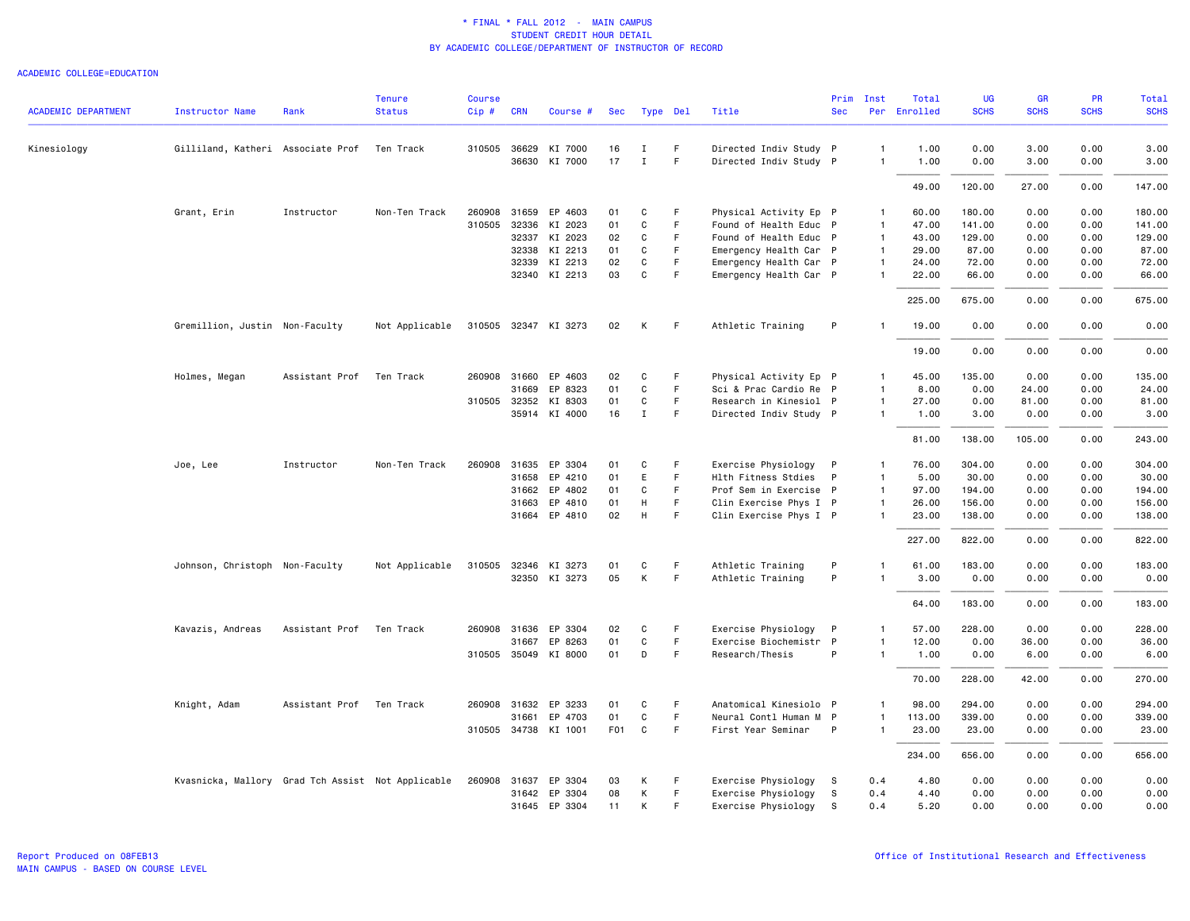| <b>ACADEMIC DEPARTMENT</b> | <b>Instructor Name</b>                            | Rank                     | <b>Tenure</b><br><b>Status</b> | <b>Course</b><br>Cip# | <b>CRN</b> | Course #             | Sec             | Type Del     |    | Title                  | Prim<br><b>Sec</b> | Inst           | Total<br>Per Enrolled | <b>UG</b><br><b>SCHS</b> | <b>GR</b><br><b>SCHS</b> | <b>PR</b><br><b>SCHS</b> | Total<br><b>SCHS</b> |
|----------------------------|---------------------------------------------------|--------------------------|--------------------------------|-----------------------|------------|----------------------|-----------------|--------------|----|------------------------|--------------------|----------------|-----------------------|--------------------------|--------------------------|--------------------------|----------------------|
|                            |                                                   |                          |                                |                       |            |                      |                 |              |    |                        |                    |                |                       |                          |                          |                          |                      |
| Kinesiology                | Gilliland, Katheri Associate Prof                 |                          | Ten Track                      | 310505 36629          |            | KI 7000              | 16              | п.           | F. | Directed Indiv Study P |                    | $\mathbf{1}$   | 1.00                  | 0.00                     | 3.00                     | 0.00                     | 3.00                 |
|                            |                                                   |                          |                                |                       |            | 36630 KI 7000        | 17              | $\mathbf{I}$ | F  | Directed Indiv Study P |                    | 1              | 1.00                  | 0.00                     | 3.00                     | 0.00                     | 3.00                 |
|                            |                                                   |                          |                                |                       |            |                      |                 |              |    |                        |                    |                | 49.00                 | 120.00                   | 27.00                    | 0.00                     | 147.00               |
|                            | Grant, Erin                                       | Instructor               | Non-Ten Track                  | 260908                | 31659      | EP 4603              | 01              | C            | F. | Physical Activity Ep P |                    | $\mathbf{1}$   | 60.00                 | 180.00                   | 0.00                     | 0.00                     | 180.00               |
|                            |                                                   |                          |                                | 310505                | 32336      | KI 2023              | 01              | C            | F. | Found of Health Educ P |                    | $\overline{1}$ | 47.00                 | 141.00                   | 0.00                     | 0.00                     | 141.00               |
|                            |                                                   |                          |                                |                       | 32337      | KI 2023              | 02              | C            | F  | Found of Health Educ P |                    | $\mathbf{1}$   | 43.00                 | 129.00                   | 0.00                     | 0.00                     | 129.00               |
|                            |                                                   |                          |                                |                       | 32338      | KI 2213              | 01              | C            | F. | Emergency Health Car P |                    | $\mathbf{1}$   | 29.00                 | 87.00                    | 0.00                     | 0.00                     | 87.00                |
|                            |                                                   |                          |                                |                       | 32339      | KI 2213              | 02              | C            | F  | Emergency Health Car P |                    | $\mathbf{1}$   | 24.00                 | 72.00                    | 0.00                     | 0.00                     | 72.00                |
|                            |                                                   |                          |                                |                       |            | 32340 KI 2213        | 03              | $\mathtt{C}$ | F  | Emergency Health Car P |                    | $\mathbf{1}$   | 22.00                 | 66.00                    | 0.00                     | 0.00                     | 66.00                |
|                            |                                                   |                          |                                |                       |            |                      |                 |              |    |                        |                    |                | 225.00                | 675.00                   | 0.00                     | 0.00                     | 675.00               |
|                            | Gremillion, Justin Non-Faculty                    |                          | Not Applicable                 |                       |            | 310505 32347 KI 3273 | 02              | K            | F  | Athletic Training      | P                  | 1              | 19.00                 | 0.00                     | 0.00                     | 0.00                     | 0.00                 |
|                            |                                                   |                          |                                |                       |            |                      |                 |              |    |                        |                    |                | 19.00                 | 0.00                     | 0.00                     | 0.00                     | 0.00                 |
|                            | Holmes, Megan                                     | Assistant Prof Ten Track |                                |                       |            | 260908 31660 EP 4603 | 02              | C            | F. | Physical Activity Ep P |                    | $\mathbf{1}$   | 45.00                 | 135.00                   | 0.00                     | 0.00                     | 135.00               |
|                            |                                                   |                          |                                |                       | 31669      | EP 8323              | 01              | C            | F  | Sci & Prac Cardio Re P |                    | $\mathbf{1}$   | 8.00                  | 0.00                     | 24.00                    | 0.00                     | 24.00                |
|                            |                                                   |                          |                                | 310505 32352          |            | KI 8303              | 01              | $\mathtt{C}$ | F  | Research in Kinesiol P |                    | $\mathbf{1}$   | 27.00                 | 0.00                     | 81.00                    | 0.00                     | 81.00                |
|                            |                                                   |                          |                                |                       |            | 35914 KI 4000        | 16              | $\mathbf{I}$ | F. | Directed Indiv Study P |                    | 1              | 1.00                  | 3.00                     | 0.00                     | 0.00                     | 3.00                 |
|                            |                                                   |                          |                                |                       |            |                      |                 |              |    |                        |                    |                | 81.00                 | 138.00                   | 105.00                   | 0.00                     | 243.00               |
|                            | Joe, Lee                                          | Instructor               | Non-Ten Track                  | 260908 31635          |            | EP 3304              | 01              | C            | F  | Exercise Physiology    | P                  | $\mathbf{1}$   | 76.00                 | 304.00                   | 0.00                     | 0.00                     | 304.00               |
|                            |                                                   |                          |                                |                       |            | 31658 EP 4210        | 01              | E            | F. | Hlth Fitness Stdies    | P                  | $\mathbf{1}$   | 5.00                  | 30.00                    | 0.00                     | 0.00                     | 30.00                |
|                            |                                                   |                          |                                |                       | 31662      | EP 4802              | 01              | C            | F  | Prof Sem in Exercise P |                    | $\mathbf{1}$   | 97.00                 | 194.00                   | 0.00                     | 0.00                     | 194.00               |
|                            |                                                   |                          |                                |                       | 31663      | EP 4810              | 01              | H            | F  | Clin Exercise Phys I P |                    | $\mathbf{1}$   | 26.00                 | 156.00                   | 0.00                     | 0.00                     | 156.00               |
|                            |                                                   |                          |                                |                       |            | 31664 EP 4810        | 02              | H            | F. | Clin Exercise Phys I P |                    |                | 23.00                 | 138.00                   | 0.00                     | 0.00                     | 138.00               |
|                            |                                                   |                          |                                |                       |            |                      |                 |              |    |                        |                    |                | 227.00                | 822.00                   | 0.00                     | 0.00                     | 822.00               |
|                            | Johnson, Christoph Non-Faculty                    |                          | Not Applicable                 |                       |            | 310505 32346 KI 3273 | 01              | C            | F  | Athletic Training      | P                  |                | 61.00                 | 183.00                   | 0.00                     | 0.00                     | 183.00               |
|                            |                                                   |                          |                                |                       |            | 32350 KI 3273        | 05              | K            | F. | Athletic Training      | P                  |                | 3.00                  | 0.00                     | 0.00                     | 0.00                     | 0.00                 |
|                            |                                                   |                          |                                |                       |            |                      |                 |              |    |                        |                    |                | 64.00                 | 183.00                   | 0.00                     | 0.00                     | 183.00               |
|                            | Kavazis, Andreas                                  | Assistant Prof           | Ten Track                      |                       |            | 260908 31636 EP 3304 | 02              | C            | F. | Exercise Physiology    | P                  | $\mathbf{1}$   | 57.00                 | 228.00                   | 0.00                     | 0.00                     | 228.00               |
|                            |                                                   |                          |                                |                       | 31667      | EP 8263              | 01              | C            | F. | Exercise Biochemistr P |                    | $\mathbf{1}$   | 12.00                 | 0.00                     | 36.00                    | 0.00                     | 36.00                |
|                            |                                                   |                          |                                |                       |            | 310505 35049 KI 8000 | 01              | D            | F  | Research/Thesis        | P                  | 1              | 1.00                  | 0.00                     | 6.00                     | 0.00                     | 6.00                 |
|                            |                                                   |                          |                                |                       |            |                      |                 |              |    |                        |                    |                | 70.00                 | 228.00                   | 42.00                    | 0.00                     | 270.00               |
|                            | Knight, Adam                                      | Assistant Prof Ten Track |                                |                       |            | 260908 31632 EP 3233 | 01              | C            | F  | Anatomical Kinesiolo P |                    | 1              | 98.00                 | 294.00                   | 0.00                     | 0.00                     | 294.00               |
|                            |                                                   |                          |                                |                       | 31661      | EP 4703              | 01              | C            | F  | Neural Contl Human M P |                    | $\mathbf{1}$   | 113.00                | 339.00                   | 0.00                     | 0.00                     | 339.00               |
|                            |                                                   |                          |                                |                       |            | 310505 34738 KI 1001 | F <sub>01</sub> | $\mathtt{C}$ | F  | First Year Seminar     | P                  | $\mathbf{1}$   | 23.00                 | 23.00                    | 0.00                     | 0.00                     | 23.00                |
|                            |                                                   |                          |                                |                       |            |                      |                 |              |    |                        |                    |                | 234.00                | 656.00                   | 0.00                     | 0.00                     | 656.00               |
|                            | Kvasnicka, Mallory Grad Tch Assist Not Applicable |                          |                                | 260908 31637          |            | EP 3304              | 03              | К            | F  | Exercise Physiology    | -S                 | 0.4            | 4.80                  | 0.00                     | 0.00                     | 0.00                     | 0.00                 |
|                            |                                                   |                          |                                |                       |            | 31642 EP 3304        | 08              | К            | F. | Exercise Physiology    | S                  | 0.4            | 4.40                  | 0.00                     | 0.00                     | 0.00                     | 0.00                 |
|                            |                                                   |                          |                                |                       |            | 31645 EP 3304        | 11              | K            | F  | Exercise Physiology    | S                  | 0.4            | 5.20                  | 0.00                     | 0.00                     | 0.00                     | 0.00                 |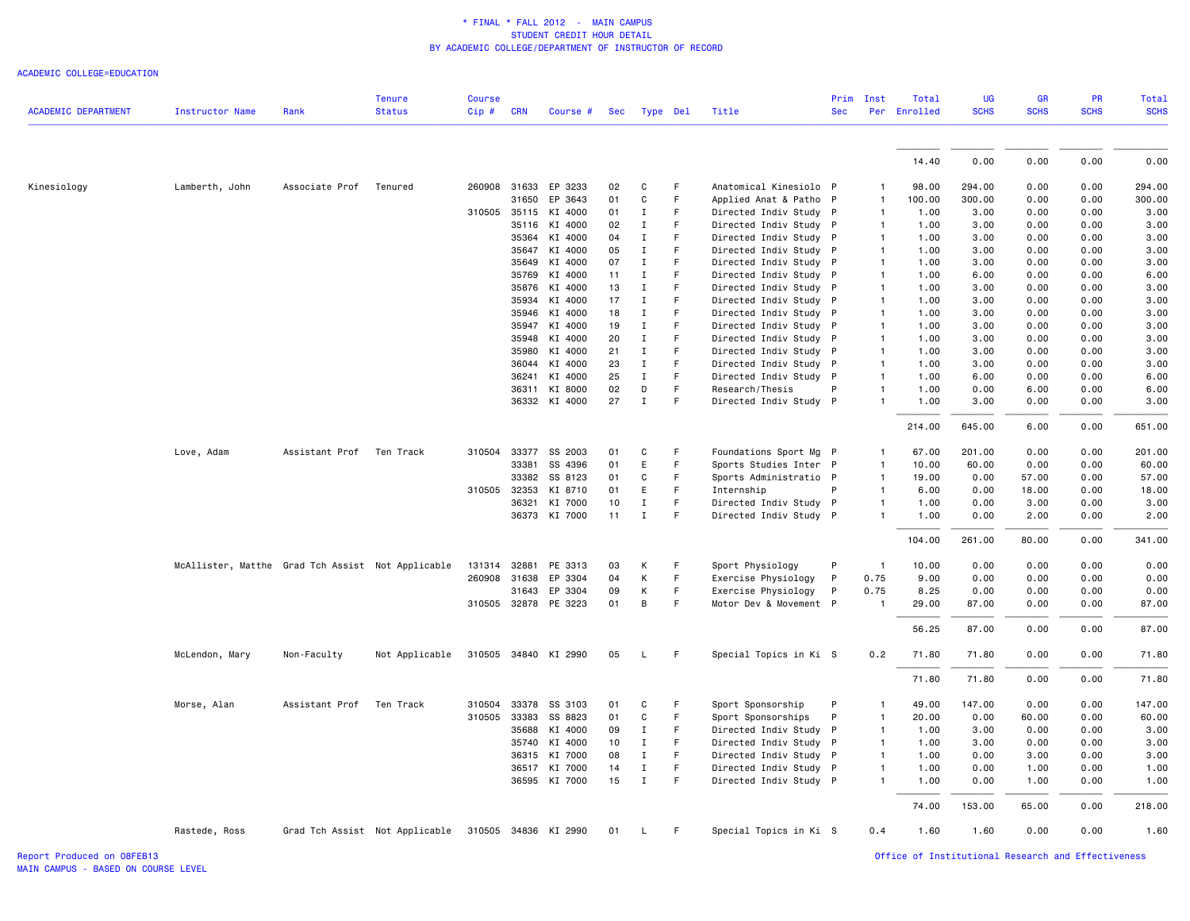ACADEMIC COLLEGE=EDUCATION

|                            |                                                   |                | <b>Tenure</b>                  | <b>Course</b> |       |                      |    |              |             |                        | Prim       | Inst           | Total        | <b>UG</b>   | <b>GR</b>   | <b>PR</b>   | Total       |
|----------------------------|---------------------------------------------------|----------------|--------------------------------|---------------|-------|----------------------|----|--------------|-------------|------------------------|------------|----------------|--------------|-------------|-------------|-------------|-------------|
| <b>ACADEMIC DEPARTMENT</b> | Instructor Name                                   | Rank           | <b>Status</b>                  | Cip # CRN     |       | Course #             |    | Sec Type Del |             | Title                  | <b>Sec</b> |                | Per Enrolled | <b>SCHS</b> | <b>SCHS</b> | <b>SCHS</b> | <b>SCHS</b> |
|                            |                                                   |                |                                |               |       |                      |    |              |             |                        |            |                |              |             |             |             |             |
|                            |                                                   |                |                                |               |       |                      |    |              |             |                        |            |                | 14.40        | 0.00        | 0.00        | 0.00        | 0.00        |
| Kinesiology                | Lamberth, John                                    | Associate Prof | Tenured                        |               |       | 260908 31633 EP 3233 | 02 | C            | F           | Anatomical Kinesiolo P |            |                | 98.00        | 294.00      | 0.00        | 0.00        | 294.00      |
|                            |                                                   |                |                                |               | 31650 | EP 3643              | 01 | $\mathsf{C}$ | $\mathsf F$ | Applied Anat & Patho P |            | $\mathbf{1}$   | 100.00       | 300.00      | 0.00        | 0.00        | 300.00      |
|                            |                                                   |                |                                | 310505        | 35115 | KI 4000              | 01 | $\mathbf{I}$ | F           | Directed Indiv Study P |            | 1              | 1.00         | 3.00        | 0.00        | 0.00        | 3.00        |
|                            |                                                   |                |                                |               | 35116 | KI 4000              | 02 | Ι.           | F           | Directed Indiv Study P |            | $\mathbf{1}$   | 1.00         | 3.00        | 0.00        | 0.00        | 3.00        |
|                            |                                                   |                |                                |               | 35364 | KI 4000              | 04 | $\mathbf I$  | F           | Directed Indiv Study P |            | 1              | 1.00         | 3.00        | 0.00        | 0.00        | 3.00        |
|                            |                                                   |                |                                |               | 35647 | KI 4000              | 05 | $\mathbf{I}$ | F           | Directed Indiv Study P |            | 1              | 1.00         | 3.00        | 0.00        | 0.00        | 3.00        |
|                            |                                                   |                |                                |               | 35649 | KI 4000              | 07 | $\mathbf{I}$ | F           | Directed Indiv Study P |            | 1              | 1.00         | 3.00        | 0.00        | 0.00        | 3.00        |
|                            |                                                   |                |                                |               | 35769 | KI 4000              | 11 | Ι.           | F           | Directed Indiv Study P |            | $\mathbf{1}$   | 1.00         | 6.00        | 0.00        | 0.00        | 6.00        |
|                            |                                                   |                |                                |               | 35876 | KI 4000              | 13 | Ι.           | F           | Directed Indiv Study P |            | $\mathbf{1}$   | 1.00         | 3.00        | 0.00        | 0.00        | 3.00        |
|                            |                                                   |                |                                |               | 35934 | KI 4000              | 17 | $\mathbf{I}$ | F           | Directed Indiv Study P |            | $\mathbf{1}$   | 1.00         | 3.00        | 0.00        | 0.00        | 3.00        |
|                            |                                                   |                |                                |               | 35946 | KI 4000              | 18 | $\mathbf{I}$ | F           | Directed Indiv Study P |            | 1              | 1.00         | 3.00        | 0.00        | 0.00        | 3.00        |
|                            |                                                   |                |                                |               | 35947 | KI 4000              | 19 | $\mathbf{I}$ | F           | Directed Indiv Study P |            | $\mathbf{1}$   | 1.00         | 3.00        | 0.00        | 0.00        | 3.00        |
|                            |                                                   |                |                                |               | 35948 | KI 4000              | 20 | $\mathbf{I}$ | F           | Directed Indiv Study P |            | $\mathbf{1}$   | 1.00         | 3.00        | 0.00        | 0.00        | 3.00        |
|                            |                                                   |                |                                |               | 35980 | KI 4000              | 21 | $\mathbf{I}$ | F           | Directed Indiv Study P |            | 1              | 1.00         | 3.00        | 0.00        | 0.00        | 3.00        |
|                            |                                                   |                |                                |               | 36044 | KI 4000              | 23 | $\mathbf{I}$ | $\mathsf F$ | Directed Indiv Study P |            | 1              | 1.00         | 3.00        | 0.00        | 0.00        | 3.00        |
|                            |                                                   |                |                                |               | 36241 | KI 4000              | 25 | $\mathbf{I}$ | $\mathsf F$ | Directed Indiv Study P |            | $\mathbf{1}$   | 1.00         | 6.00        | 0.00        | 0.00        | 6.00        |
|                            |                                                   |                |                                |               | 36311 | KI 8000              | 02 | D            | F           | Research/Thesis        | P          | 1              | 1.00         | 0.00        | 6.00        | 0.00        | 6.00        |
|                            |                                                   |                |                                |               |       | 36332 KI 4000        | 27 | $\mathbf{I}$ | F           | Directed Indiv Study P |            |                | 1.00         | 3.00        | 0.00        | 0.00        | 3.00        |
|                            |                                                   |                |                                |               |       |                      |    |              |             |                        |            |                | 214.00       | 645.00      | 6.00        | 0.00        | 651.00      |
|                            | Love, Adam                                        | Assistant Prof | Ten Track                      | 310504        | 33377 | SS 2003              | 01 | C            | F           | Foundations Sport Mg P |            | 1              | 67.00        | 201.00      | 0.00        | 0.00        | 201.00      |
|                            |                                                   |                |                                |               | 33381 | SS 4396              | 01 | E            | F           | Sports Studies Inter P |            | $\mathbf{1}$   | 10.00        | 60.00       | 0.00        | 0.00        | 60.00       |
|                            |                                                   |                |                                |               |       | 33382 SS 8123        | 01 | C            | F           | Sports Administratio P |            | -1             | 19.00        | 0.00        | 57.00       | 0.00        | 57.00       |
|                            |                                                   |                |                                | 310505        | 32353 | KI 8710              | 01 | E.           | F           | Internship             | P          | 1              | 6.00         | 0.00        | 18.00       | 0.00        | 18.00       |
|                            |                                                   |                |                                |               | 36321 | KI 7000              | 10 | $\mathbf{I}$ | F           | Directed Indiv Study P |            |                | 1.00         | 0.00        | 3.00        | 0.00        | 3.00        |
|                            |                                                   |                |                                |               |       | 36373 KI 7000        | 11 | $\mathbf I$  | F           | Directed Indiv Study P |            |                | 1.00         | 0.00        | 2.00        | 0.00        | 2.00        |
|                            |                                                   |                |                                |               |       |                      |    |              |             |                        |            |                | 104.00       | 261.00      | 80.00       | 0.00        | 341.00      |
|                            | McAllister, Matthe Grad Tch Assist Not Applicable |                |                                | 131314        | 32881 | PE 3313              | 03 | Κ            | F           | Sport Physiology       | P          | $\mathbf{1}$   | 10.00        | 0.00        | 0.00        | 0.00        | 0.00        |
|                            |                                                   |                |                                | 260908        | 31638 | EP 3304              | 04 | Κ            | $\mathsf F$ | Exercise Physiology    | P          | 0.75           | 9.00         | 0.00        | 0.00        | 0.00        | 0.00        |
|                            |                                                   |                |                                |               | 31643 | EP 3304              | 09 | Κ            | $\mathsf F$ | Exercise Physiology    | P          | 0.75           | 8.25         | 0.00        | 0.00        | 0.00        | 0.00        |
|                            |                                                   |                |                                |               |       | 310505 32878 PE 3223 | 01 | B            | F           | Motor Dev & Movement P |            | $\overline{1}$ | 29.00        | 87.00       | 0.00        | 0.00        | 87.00       |
|                            |                                                   |                |                                |               |       |                      |    |              |             |                        |            |                | 56.25        | 87.00       | 0.00        | 0.00        | 87.00       |
|                            | McLendon, Mary                                    | Non-Faculty    | Not Applicable                 |               |       | 310505 34840 KI 2990 | 05 | L            | F           | Special Topics in Ki S |            | 0.2            | 71.80        | 71.80       | 0.00        | 0.00        | 71.80       |
|                            |                                                   |                |                                |               |       |                      |    |              |             |                        |            |                | 71.80        | 71.80       | 0.00        | 0.00        | 71.80       |
|                            | Morse, Alan                                       | Assistant Prof | Ten Track                      | 310504        | 33378 | SS 3103              | 01 | C            | F           | Sport Sponsorship      | P          | 1              | 49.00        | 147.00      | 0.00        | 0.00        | 147.00      |
|                            |                                                   |                |                                | 310505        | 33383 | SS 8823              | 01 | C            | F           | Sport Sponsorships     | P          | 1              | 20.00        | 0.00        | 60.00       | 0.00        | 60.00       |
|                            |                                                   |                |                                |               | 35688 | KI 4000              | 09 | $\mathbf{I}$ | F           | Directed Indiv Study P |            | $\mathbf{1}$   | 1.00         | 3.00        | 0.00        | 0.00        | 3.00        |
|                            |                                                   |                |                                |               | 35740 | KI 4000              | 10 | $\mathbf{I}$ | $\mathsf F$ | Directed Indiv Study P |            | 1              | 1.00         | 3.00        | 0.00        | 0.00        | 3.00        |
|                            |                                                   |                |                                |               | 36315 | KI 7000              | 08 | $\mathbf{I}$ | F           | Directed Indiv Study P |            | $\mathbf{1}$   | 1.00         | 0.00        | 3.00        | 0.00        | 3.00        |
|                            |                                                   |                |                                |               | 36517 | KI 7000              | 14 | $\mathbf I$  | $\mathsf F$ | Directed Indiv Study P |            | $\mathbf{1}$   | 1.00         | 0.00        | 1.00        | 0.00        | 1.00        |
|                            |                                                   |                |                                |               |       | 36595 KI 7000        | 15 | $\mathbf{I}$ | F           | Directed Indiv Study P |            | $\mathbf{1}$   | 1.00         | 0.00        | 1.00        | 0.00        | 1.00        |
|                            |                                                   |                |                                |               |       |                      |    |              |             |                        |            |                | 74.00        | 153.00      | 65.00       | 0.00        | 218.00      |
|                            | Rastede, Ross                                     |                | Grad Tch Assist Not Applicable | 310505 34836  |       | KI 2990              | 01 | L            | F           | Special Topics in Ki S |            | 0.4            | 1.60         | 1.60        | 0.00        | 0.00        | 1.60        |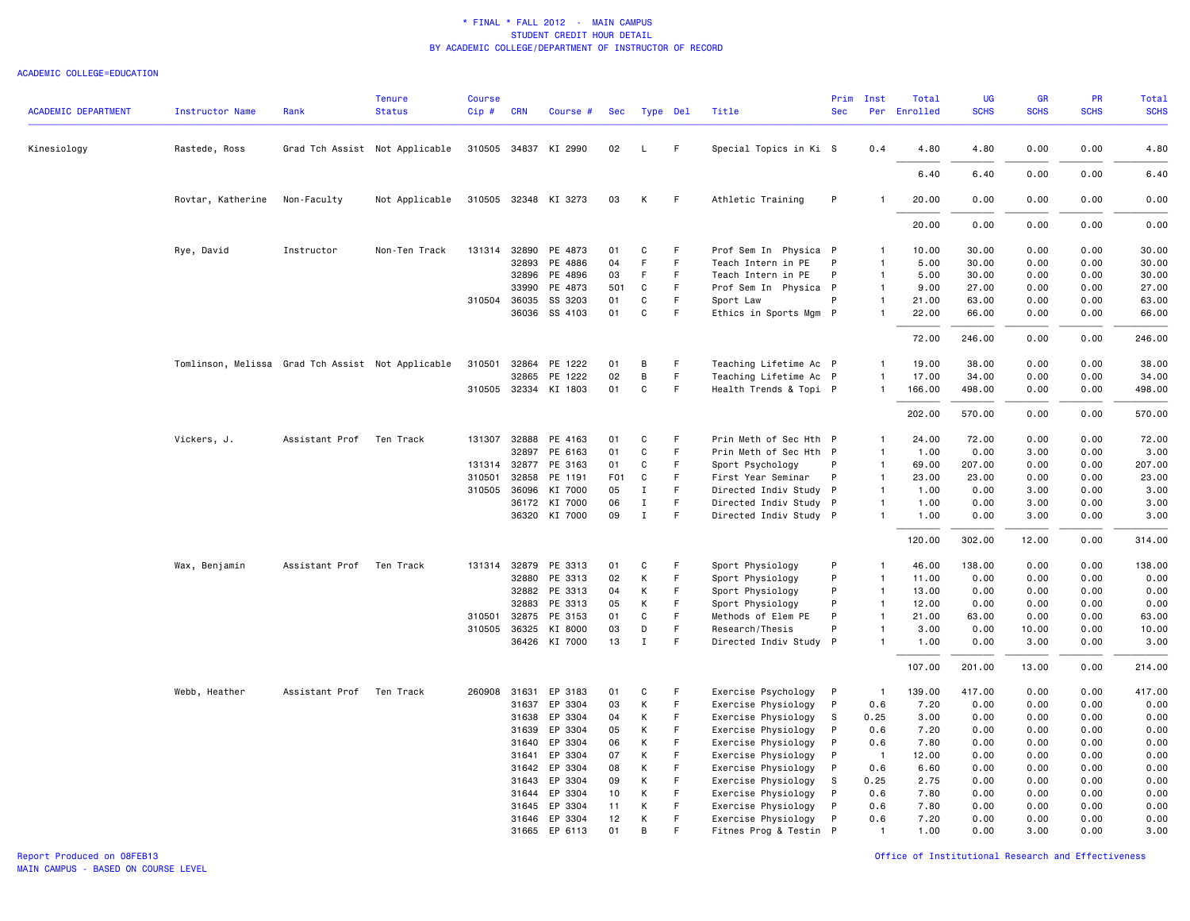| <b>ACADEMIC DEPARTMENT</b> | Instructor Name                                   | Rank           | <b>Tenure</b><br><b>Status</b> | <b>Course</b><br>$Cip$ # | <b>CRN</b> | Course #             | Sec              |             | Type Del    | Title                  | Prim<br><b>Sec</b> | Inst                    | Total<br>Per Enrolled | <b>UG</b><br><b>SCHS</b> | GR<br><b>SCHS</b> | PR<br><b>SCHS</b> | Total<br><b>SCHS</b> |
|----------------------------|---------------------------------------------------|----------------|--------------------------------|--------------------------|------------|----------------------|------------------|-------------|-------------|------------------------|--------------------|-------------------------|-----------------------|--------------------------|-------------------|-------------------|----------------------|
|                            |                                                   |                |                                |                          |            |                      |                  |             |             |                        |                    |                         |                       |                          |                   |                   |                      |
| Kinesiology                | Rastede, Ross                                     |                | Grad Tch Assist Not Applicable |                          |            | 310505 34837 KI 2990 | 02               | L.          | F           | Special Topics in Ki S |                    | 0.4                     | 4.80                  | 4.80                     | 0.00              | 0.00              | 4.80                 |
|                            |                                                   |                |                                |                          |            |                      |                  |             |             |                        |                    |                         | 6.40                  | 6.40                     | 0.00              | 0.00              | 6.40                 |
|                            | Rovtar, Katherine                                 | Non-Faculty    | Not Applicable                 |                          |            | 310505 32348 KI 3273 | 03               | К           | -F          | Athletic Training      | P                  | -1                      | 20.00                 | 0.00                     | 0.00              | 0.00              | 0.00                 |
|                            |                                                   |                |                                |                          |            |                      |                  |             |             |                        |                    |                         | 20.00                 | 0.00                     | 0.00              | 0.00              | 0.00                 |
|                            | Rye, David                                        | Instructor     | Non-Ten Track                  |                          |            | 131314 32890 PE 4873 | 01               | C           | F           | Prof Sem In Physica P  |                    | $\mathbf{1}$            | 10.00                 | 30.00                    | 0.00              | 0.00              | 30.00                |
|                            |                                                   |                |                                |                          | 32893      | PE 4886              | 04               | F           | $\mathsf F$ | Teach Intern in PE     | P                  | $\mathbf{1}$            | 5.00                  | 30.00                    | 0.00              | 0.00              | 30.00                |
|                            |                                                   |                |                                |                          |            | 32896 PE 4896        | 03               | F           | F           | Teach Intern in PE     | P                  | $\mathbf{1}$            | 5.00                  | 30.00                    | 0.00              | 0.00              | 30.00                |
|                            |                                                   |                |                                |                          | 33990      | PE 4873              | 501              | C           | F           | Prof Sem In Physica P  |                    | $\mathbf{1}$            | 9.00                  | 27.00                    | 0.00              | 0.00              | 27.00                |
|                            |                                                   |                |                                | 310504 36035             |            | SS 3203              | 01               | C           | F           | Sport Law              | P                  | $\mathbf{1}$            | 21.00                 | 63.00                    | 0.00              | 0.00              | 63.00                |
|                            |                                                   |                |                                |                          | 36036      | SS 4103              | 01               | $\mathbf C$ | $\mathsf F$ | Ethics in Sports Mgm P |                    | $\mathbf{1}$            | 22.00                 | 66.00                    | 0.00              | 0.00              | 66.00                |
|                            |                                                   |                |                                |                          |            |                      |                  |             |             |                        |                    |                         | 72.00                 | 246.00                   | 0.00              | 0.00              | 246.00               |
|                            | Tomlinson, Melissa Grad Tch Assist Not Applicable |                |                                | 310501                   |            | 32864 PE 1222        | 01               | В           | F           | Teaching Lifetime Ac P |                    | 1                       | 19.00                 | 38.00                    | 0.00              | 0.00              | 38.00                |
|                            |                                                   |                |                                |                          | 32865      | PE 1222              | 02               | B           | $\mathsf F$ | Teaching Lifetime Ac P |                    | $\overline{1}$          | 17.00                 | 34.00                    | 0.00              | 0.00              | 34.00                |
|                            |                                                   |                |                                |                          |            | 310505 32334 KI 1803 | 01               | C           | F.          | Health Trends & Topi P |                    | $\mathbf{1}$            | 166.00                | 498.00                   | 0.00              | 0.00              | 498.00               |
|                            |                                                   |                |                                |                          |            |                      |                  |             |             |                        |                    |                         | 202.00                | 570.00                   | 0.00              | 0.00              | 570.00               |
|                            | Vickers, J.                                       | Assistant Prof | Ten Track                      | 131307                   | 32888      | PE 4163              | 01               | C           | -F          | Prin Meth of Sec Hth P |                    | $\mathbf{1}$            | 24.00                 | 72.00                    | 0.00              | 0.00              | 72.00                |
|                            |                                                   |                |                                |                          | 32897      | PE 6163              | 01               | C           | F           | Prin Meth of Sec Hth P |                    | $\mathbf{1}$            | 1.00                  | 0.00                     | 3.00              | 0.00              | 3.00                 |
|                            |                                                   |                |                                |                          |            | 131314 32877 PE 3163 | 01               | C           | F.          | Sport Psychology       | P                  | $\overline{1}$          | 69.00                 | 207.00                   | 0.00              | 0.00              | 207.00               |
|                            |                                                   |                |                                | 310501                   | 32858      | PE 1191              | F <sub>0</sub> 1 | C           | F           | First Year Seminar     | P                  | $\overline{1}$          | 23.00                 | 23.00                    | 0.00              | 0.00              | 23.00                |
|                            |                                                   |                |                                | 310505 36096             |            | KI 7000              | 05               | $\mathbf I$ | $\mathsf F$ | Directed Indiv Study P |                    | $\overline{1}$          | 1.00                  | 0.00                     | 3.00              | 0.00              | 3.00                 |
|                            |                                                   |                |                                |                          | 36172      | KI 7000              | 06               | $\;$ I      | F           | Directed Indiv Study P |                    | $\mathbf{1}$            | 1.00                  | 0.00                     | 3.00              | 0.00              | 3.00                 |
|                            |                                                   |                |                                |                          |            | 36320 KI 7000        | 09               | $\mathbf I$ | $\mathsf F$ | Directed Indiv Study P |                    | $\mathbf{1}$            | 1.00                  | 0.00                     | 3.00              | 0.00              | 3.00                 |
|                            |                                                   |                |                                |                          |            |                      |                  |             |             |                        |                    |                         | 120.00                | 302.00                   | 12.00             | 0.00              | 314.00               |
|                            | Wax, Benjamin                                     | Assistant Prof | Ten Track                      |                          |            | 131314 32879 PE 3313 | 01               | C           | F           | Sport Physiology       | P                  | $\mathbf{1}$            | 46.00                 | 138.00                   | 0.00              | 0.00              | 138.00               |
|                            |                                                   |                |                                |                          | 32880      | PE 3313              | 02               | К           | $\mathsf F$ | Sport Physiology       | P                  | $\overline{1}$          | 11.00                 | 0.00                     | 0.00              | 0.00              | 0.00                 |
|                            |                                                   |                |                                |                          | 32882      | PE 3313              | 04               | К           | F           | Sport Physiology       | P                  | $\mathbf{1}$            | 13.00                 | 0.00                     | 0.00              | 0.00              | 0.00                 |
|                            |                                                   |                |                                |                          | 32883      | PE 3313              | 05               | К           | F.          | Sport Physiology       | P                  | $\mathbf{1}$            | 12.00                 | 0.00                     | 0.00              | 0.00              | 0.00                 |
|                            |                                                   |                |                                | 310501                   | 32875      | PE 3153              | 01               | C           | F           | Methods of Elem PE     | P                  | $\mathbf{1}$            | 21.00                 | 63.00                    | 0.00              | 0.00              | 63.00                |
|                            |                                                   |                |                                | 310505 36325             |            | KI 8000              | 03               | D           | F           | Research/Thesis        | P                  | $\mathbf{1}$            | 3,00                  | 0.00                     | 10.00             | 0.00              | 10.00                |
|                            |                                                   |                |                                |                          |            | 36426 KI 7000        | 13               | $\;$ I      | $\mathsf F$ | Directed Indiv Study P |                    | $\mathbf{1}$            | 1.00                  | 0.00                     | 3.00              | 0.00              | 3.00                 |
|                            |                                                   |                |                                |                          |            |                      |                  |             |             |                        |                    |                         | 107.00                | 201.00                   | 13.00             | 0.00              | 214.00               |
|                            | Webb, Heather                                     | Assistant Prof | Ten Track                      | 260908 31631             |            | EP 3183              | 01               | C           | F           | Exercise Psychology    | $\mathsf{P}$       | $\overline{1}$          | 139.00                | 417.00                   | 0.00              | 0.00              | 417.00               |
|                            |                                                   |                |                                |                          | 31637      | EP 3304              | 03               | К           | F.          | Exercise Physiology    | $\mathsf{P}$       | 0.6                     | 7.20                  | 0.00                     | 0.00              | 0.00              | 0.00                 |
|                            |                                                   |                |                                |                          | 31638      | EP 3304              | 04               | К           | F           | Exercise Physiology    | S                  | 0.25                    | 3.00                  | 0.00                     | 0.00              | 0.00              | 0.00                 |
|                            |                                                   |                |                                |                          | 31639      | EP 3304              | 05               | К           | F           | Exercise Physiology    | P                  | 0.6                     | 7.20                  | 0.00                     | 0.00              | 0.00              | 0.00                 |
|                            |                                                   |                |                                |                          | 31640      | EP 3304              | 06               | К           | $\mathsf F$ | Exercise Physiology    | P                  | 0.6                     | 7.80                  | 0.00                     | 0.00              | 0.00              | 0.00                 |
|                            |                                                   |                |                                |                          | 31641      | EP 3304              | 07               | К           | F           | Exercise Physiology    | P                  | $\overline{\mathbf{1}}$ | 12.00                 | 0.00                     | 0.00              | 0.00              | 0.00                 |
|                            |                                                   |                |                                |                          | 31642      | EP 3304              | 08               | К           | F           | Exercise Physiology    | P                  | 0.6                     | 6.60                  | 0.00                     | 0.00              | 0.00              | 0.00                 |
|                            |                                                   |                |                                |                          | 31643      | EP 3304              | 09               | К           | F           | Exercise Physiology    | S                  | 0.25                    | 2.75                  | 0.00                     | 0.00              | 0.00              | 0.00                 |
|                            |                                                   |                |                                |                          | 31644      | EP 3304              | 10               | К           | F           | Exercise Physiology    | P                  | 0.6                     | 7.80                  | 0.00                     | 0.00              | 0.00              | 0.00                 |
|                            |                                                   |                |                                |                          | 31645      | EP 3304              | 11               | К           | F           | Exercise Physiology    | P                  | 0.6                     | 7.80                  | 0.00                     | 0.00              | 0.00              | 0.00                 |
|                            |                                                   |                |                                |                          |            | 31646 EP 3304        | 12               | К           | F           | Exercise Physiology    | P                  | 0.6                     | 7.20                  | 0.00                     | 0.00              | 0.00              | 0.00                 |
|                            |                                                   |                |                                |                          |            | 31665 EP 6113        | 01               | B           | F           | Fitnes Prog & Testin P |                    | $\mathbf{1}$            | 1.00                  | 0.00                     | 3.00              | 0.00              | 3.00                 |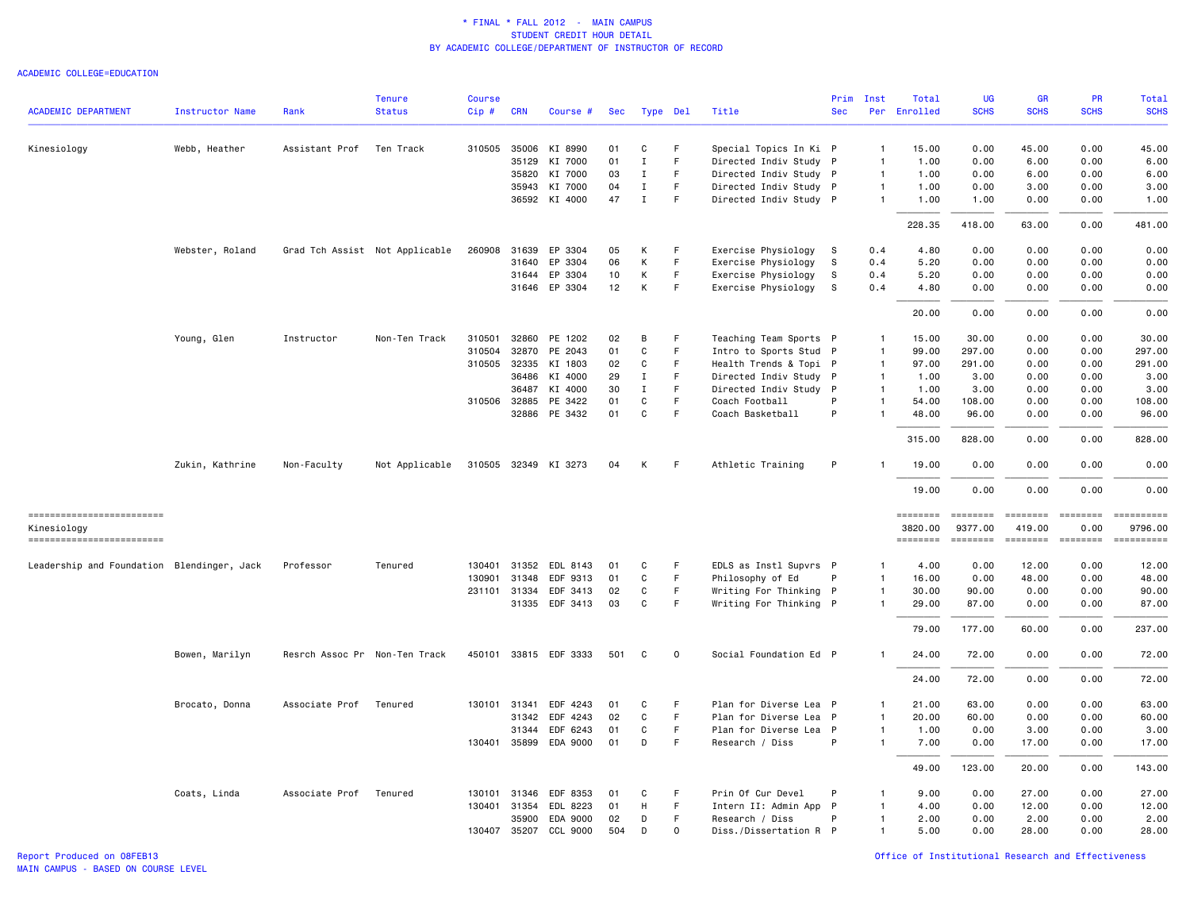|                                            |                        |                               | <b>Tenure</b>                  | <b>Course</b> |                |                       |          |              |             |                                            | Prim         | Inst           | Total               | UG                                                                                                                                                                                                                                                                                                                                                                                                                                                                                                | <b>GR</b>                                                                                                                                                                                                                                                                                                                                                                                                                                                                                        | <b>PR</b>                                                                                                                                                                                                                                                                                                                                                                                                                                                                                      | Total                 |
|--------------------------------------------|------------------------|-------------------------------|--------------------------------|---------------|----------------|-----------------------|----------|--------------|-------------|--------------------------------------------|--------------|----------------|---------------------|---------------------------------------------------------------------------------------------------------------------------------------------------------------------------------------------------------------------------------------------------------------------------------------------------------------------------------------------------------------------------------------------------------------------------------------------------------------------------------------------------|--------------------------------------------------------------------------------------------------------------------------------------------------------------------------------------------------------------------------------------------------------------------------------------------------------------------------------------------------------------------------------------------------------------------------------------------------------------------------------------------------|------------------------------------------------------------------------------------------------------------------------------------------------------------------------------------------------------------------------------------------------------------------------------------------------------------------------------------------------------------------------------------------------------------------------------------------------------------------------------------------------|-----------------------|
| <b>ACADEMIC DEPARTMENT</b>                 | <b>Instructor Name</b> | Rank                          | <b>Status</b>                  | Cip#          | <b>CRN</b>     | Course #              | Sec      | Type Del     |             | Title                                      | <b>Sec</b>   |                | Per Enrolled        | <b>SCHS</b>                                                                                                                                                                                                                                                                                                                                                                                                                                                                                       | <b>SCHS</b>                                                                                                                                                                                                                                                                                                                                                                                                                                                                                      | <b>SCHS</b>                                                                                                                                                                                                                                                                                                                                                                                                                                                                                    | <b>SCHS</b>           |
| Kinesiology                                | Webb, Heather          | Assistant Prof                | Ten Track                      |               | 310505 35006   | KI 8990               | 01       | C            | -F          | Special Topics In Ki P                     |              | $\overline{1}$ | 15.00               | 0.00                                                                                                                                                                                                                                                                                                                                                                                                                                                                                              | 45.00                                                                                                                                                                                                                                                                                                                                                                                                                                                                                            | 0.00                                                                                                                                                                                                                                                                                                                                                                                                                                                                                           | 45.00                 |
|                                            |                        |                               |                                |               | 35129          | KI 7000               | 01       | $\mathbf I$  | F           | Directed Indiv Study P                     |              | $\mathbf{1}$   | 1.00                | 0.00                                                                                                                                                                                                                                                                                                                                                                                                                                                                                              | 6.00                                                                                                                                                                                                                                                                                                                                                                                                                                                                                             | 0.00                                                                                                                                                                                                                                                                                                                                                                                                                                                                                           | 6.00                  |
|                                            |                        |                               |                                |               | 35820          | KI 7000               | 03       | $\mathbf I$  | F           | Directed Indiv Study P                     |              | $\overline{1}$ | 1.00                | 0.00                                                                                                                                                                                                                                                                                                                                                                                                                                                                                              | 6.00                                                                                                                                                                                                                                                                                                                                                                                                                                                                                             | 0.00                                                                                                                                                                                                                                                                                                                                                                                                                                                                                           | 6.00                  |
|                                            |                        |                               |                                |               | 35943          | KI 7000               | 04       | Ι.           | F           | Directed Indiv Study P                     |              | $\overline{1}$ | 1.00                | 0.00                                                                                                                                                                                                                                                                                                                                                                                                                                                                                              | 3.00                                                                                                                                                                                                                                                                                                                                                                                                                                                                                             | 0.00                                                                                                                                                                                                                                                                                                                                                                                                                                                                                           | 3.00                  |
|                                            |                        |                               |                                |               | 36592          | KI 4000               | 47       | $\mathbf I$  | F           | Directed Indiv Study P                     |              | $\mathbf{1}$   | 1.00                | 1.00                                                                                                                                                                                                                                                                                                                                                                                                                                                                                              | 0.00                                                                                                                                                                                                                                                                                                                                                                                                                                                                                             | 0.00                                                                                                                                                                                                                                                                                                                                                                                                                                                                                           | 1.00                  |
|                                            |                        |                               |                                |               |                |                       |          |              |             |                                            |              |                | 228.35              | 418.00                                                                                                                                                                                                                                                                                                                                                                                                                                                                                            | 63.00                                                                                                                                                                                                                                                                                                                                                                                                                                                                                            | 0.00                                                                                                                                                                                                                                                                                                                                                                                                                                                                                           | 481.00                |
|                                            |                        |                               |                                |               | 31639          |                       |          |              |             |                                            |              |                |                     | 0.00                                                                                                                                                                                                                                                                                                                                                                                                                                                                                              | 0.00                                                                                                                                                                                                                                                                                                                                                                                                                                                                                             | 0.00                                                                                                                                                                                                                                                                                                                                                                                                                                                                                           | 0.00                  |
|                                            | Webster, Roland        |                               | Grad Tch Assist Not Applicable | 260908        |                | EP 3304<br>EP 3304    | 05<br>06 | К<br>К       | F<br>F      | Exercise Physiology S                      | -S           | 0.4            | 4.80<br>5.20        | 0.00                                                                                                                                                                                                                                                                                                                                                                                                                                                                                              | 0.00                                                                                                                                                                                                                                                                                                                                                                                                                                                                                             | 0.00                                                                                                                                                                                                                                                                                                                                                                                                                                                                                           | 0.00                  |
|                                            |                        |                               |                                |               | 31640<br>31644 | EP 3304               | 10       | К            | $\mathsf F$ | Exercise Physiology<br>Exercise Physiology | s            | 0.4<br>0.4     | 5.20                | 0.00                                                                                                                                                                                                                                                                                                                                                                                                                                                                                              | 0.00                                                                                                                                                                                                                                                                                                                                                                                                                                                                                             | 0.00                                                                                                                                                                                                                                                                                                                                                                                                                                                                                           | 0.00                  |
|                                            |                        |                               |                                |               |                | 31646 EP 3304         | 12       | К            | F           |                                            | S.           | 0.4            |                     | 0.00                                                                                                                                                                                                                                                                                                                                                                                                                                                                                              | 0.00                                                                                                                                                                                                                                                                                                                                                                                                                                                                                             | 0.00                                                                                                                                                                                                                                                                                                                                                                                                                                                                                           | 0.00                  |
|                                            |                        |                               |                                |               |                |                       |          |              |             | Exercise Physiology                        |              |                | 4.80                |                                                                                                                                                                                                                                                                                                                                                                                                                                                                                                   |                                                                                                                                                                                                                                                                                                                                                                                                                                                                                                  |                                                                                                                                                                                                                                                                                                                                                                                                                                                                                                |                       |
|                                            |                        |                               |                                |               |                |                       |          |              |             |                                            |              |                | 20.00               | 0.00                                                                                                                                                                                                                                                                                                                                                                                                                                                                                              | 0.00                                                                                                                                                                                                                                                                                                                                                                                                                                                                                             | 0.00                                                                                                                                                                                                                                                                                                                                                                                                                                                                                           | 0.00                  |
|                                            | Young, Glen            | Instructor                    | Non-Ten Track                  | 310501        | 32860          | PE 1202               | 02       | В            | F           | Teaching Team Sports P                     |              | $\mathbf{1}$   | 15.00               | 30.00                                                                                                                                                                                                                                                                                                                                                                                                                                                                                             | 0.00                                                                                                                                                                                                                                                                                                                                                                                                                                                                                             | 0.00                                                                                                                                                                                                                                                                                                                                                                                                                                                                                           | 30.00                 |
|                                            |                        |                               |                                | 310504        | 32870          | PE 2043               | 01       | C            | F           | Intro to Sports Stud P                     |              | $\mathbf{1}$   | 99.00               | 297.00                                                                                                                                                                                                                                                                                                                                                                                                                                                                                            | 0.00                                                                                                                                                                                                                                                                                                                                                                                                                                                                                             | 0.00                                                                                                                                                                                                                                                                                                                                                                                                                                                                                           | 297.00                |
|                                            |                        |                               |                                |               | 310505 32335   | KI 1803               | 02       | C            | F           | Health Trends & Topi P                     |              | $\overline{1}$ | 97.00               | 291.00                                                                                                                                                                                                                                                                                                                                                                                                                                                                                            | 0.00                                                                                                                                                                                                                                                                                                                                                                                                                                                                                             | 0.00                                                                                                                                                                                                                                                                                                                                                                                                                                                                                           | 291.00                |
|                                            |                        |                               |                                |               | 36486          | KI 4000               | 29       | Ι.           | F           | Directed Indiv Study P                     |              | $\mathbf{1}$   | 1.00                | 3.00                                                                                                                                                                                                                                                                                                                                                                                                                                                                                              | 0.00                                                                                                                                                                                                                                                                                                                                                                                                                                                                                             | 0.00                                                                                                                                                                                                                                                                                                                                                                                                                                                                                           | 3.00                  |
|                                            |                        |                               |                                |               | 36487          | KI 4000               | 30       | $\mathbf I$  | F           | Directed Indiv Study P                     |              | $\overline{1}$ | 1.00                | 3.00                                                                                                                                                                                                                                                                                                                                                                                                                                                                                              | 0.00                                                                                                                                                                                                                                                                                                                                                                                                                                                                                             | 0.00                                                                                                                                                                                                                                                                                                                                                                                                                                                                                           | 3.00                  |
|                                            |                        |                               |                                |               | 310506 32885   | PE 3422               | 01       | C            | F.          | Coach Football                             | P            | $\mathbf{1}$   | 54.00               | 108.00                                                                                                                                                                                                                                                                                                                                                                                                                                                                                            | 0.00                                                                                                                                                                                                                                                                                                                                                                                                                                                                                             | 0.00                                                                                                                                                                                                                                                                                                                                                                                                                                                                                           | 108.00                |
|                                            |                        |                               |                                |               |                | 32886 PE 3432         | 01       | $\mathbf C$  | F           | Coach Basketball                           | P            | $\overline{1}$ | 48.00               | 96.00                                                                                                                                                                                                                                                                                                                                                                                                                                                                                             | 0.00                                                                                                                                                                                                                                                                                                                                                                                                                                                                                             | 0.00                                                                                                                                                                                                                                                                                                                                                                                                                                                                                           | 96.00                 |
|                                            |                        |                               |                                |               |                |                       |          |              |             |                                            |              |                | 315.00              | 828.00                                                                                                                                                                                                                                                                                                                                                                                                                                                                                            | 0.00                                                                                                                                                                                                                                                                                                                                                                                                                                                                                             | 0.00                                                                                                                                                                                                                                                                                                                                                                                                                                                                                           | 828.00                |
|                                            | Zukin, Kathrine        | Non-Faculty                   | Not Applicable                 |               |                | 310505 32349 KI 3273  | 04       | К            | -F          | Athletic Training                          | P            |                | 19.00               | 0.00                                                                                                                                                                                                                                                                                                                                                                                                                                                                                              | 0.00                                                                                                                                                                                                                                                                                                                                                                                                                                                                                             | 0.00                                                                                                                                                                                                                                                                                                                                                                                                                                                                                           | 0.00                  |
|                                            |                        |                               |                                |               |                |                       |          |              |             |                                            |              |                | 19.00               | 0.00                                                                                                                                                                                                                                                                                                                                                                                                                                                                                              | 0.00                                                                                                                                                                                                                                                                                                                                                                                                                                                                                             | 0.00                                                                                                                                                                                                                                                                                                                                                                                                                                                                                           | 0.00                  |
| ==========================                 |                        |                               |                                |               |                |                       |          |              |             |                                            |              |                | ========            | $\qquad \qquad \equiv \equiv \equiv \equiv \equiv \equiv \equiv \equiv$                                                                                                                                                                                                                                                                                                                                                                                                                           | <b>EEEEEEE</b>                                                                                                                                                                                                                                                                                                                                                                                                                                                                                   | <b>EBBEBBBB</b>                                                                                                                                                                                                                                                                                                                                                                                                                                                                                |                       |
| Kinesiology<br>-------------------------   |                        |                               |                                |               |                |                       |          |              |             |                                            |              |                | 3820.00<br>======== | 9377.00<br>$\begin{array}{cccccccccc} \multicolumn{2}{c}{} & \multicolumn{2}{c}{} & \multicolumn{2}{c}{} & \multicolumn{2}{c}{} & \multicolumn{2}{c}{} & \multicolumn{2}{c}{} & \multicolumn{2}{c}{} & \multicolumn{2}{c}{} & \multicolumn{2}{c}{} & \multicolumn{2}{c}{} & \multicolumn{2}{c}{} & \multicolumn{2}{c}{} & \multicolumn{2}{c}{} & \multicolumn{2}{c}{} & \multicolumn{2}{c}{} & \multicolumn{2}{c}{} & \multicolumn{2}{c}{} & \multicolumn{2}{c}{} & \multicolumn{2}{c}{} & \mult$ | 419.00<br>$\begin{array}{cccccccccc} \multicolumn{2}{c}{} & \multicolumn{2}{c}{} & \multicolumn{2}{c}{} & \multicolumn{2}{c}{} & \multicolumn{2}{c}{} & \multicolumn{2}{c}{} & \multicolumn{2}{c}{} & \multicolumn{2}{c}{} & \multicolumn{2}{c}{} & \multicolumn{2}{c}{} & \multicolumn{2}{c}{} & \multicolumn{2}{c}{} & \multicolumn{2}{c}{} & \multicolumn{2}{c}{} & \multicolumn{2}{c}{} & \multicolumn{2}{c}{} & \multicolumn{2}{c}{} & \multicolumn{2}{c}{} & \multicolumn{2}{c}{} & \mult$ | 0.00<br>$\begin{array}{cccccccccc} \multicolumn{2}{c}{} & \multicolumn{2}{c}{} & \multicolumn{2}{c}{} & \multicolumn{2}{c}{} & \multicolumn{2}{c}{} & \multicolumn{2}{c}{} & \multicolumn{2}{c}{} & \multicolumn{2}{c}{} & \multicolumn{2}{c}{} & \multicolumn{2}{c}{} & \multicolumn{2}{c}{} & \multicolumn{2}{c}{} & \multicolumn{2}{c}{} & \multicolumn{2}{c}{} & \multicolumn{2}{c}{} & \multicolumn{2}{c}{} & \multicolumn{2}{c}{} & \multicolumn{2}{c}{} & \multicolumn{2}{c}{} & \mult$ | 9796.00<br>========== |
| Leadership and Foundation Blendinger, Jack |                        | Professor                     | Tenured                        | 130401        |                | 31352 EDL 8143        | 01       | C            | F           | EDLS as Instl Supvrs P                     |              | $\mathbf{1}$   | 4.00                | 0.00                                                                                                                                                                                                                                                                                                                                                                                                                                                                                              | 12.00                                                                                                                                                                                                                                                                                                                                                                                                                                                                                            | 0.00                                                                                                                                                                                                                                                                                                                                                                                                                                                                                           | 12.00                 |
|                                            |                        |                               |                                | 130901        | 31348          | EDF 9313              | 01       | C            | F.          | Philosophy of Ed                           | P            | $\mathbf{1}$   | 16.00               | 0.00                                                                                                                                                                                                                                                                                                                                                                                                                                                                                              | 48.00                                                                                                                                                                                                                                                                                                                                                                                                                                                                                            | 0.00                                                                                                                                                                                                                                                                                                                                                                                                                                                                                           | 48.00                 |
|                                            |                        |                               |                                | 231101        | 31334          | EDF 3413              | 02       | C            | F.          | Writing For Thinking P                     |              | $\mathbf{1}$   | 30.00               | 90.00                                                                                                                                                                                                                                                                                                                                                                                                                                                                                             | 0.00                                                                                                                                                                                                                                                                                                                                                                                                                                                                                             | 0.00                                                                                                                                                                                                                                                                                                                                                                                                                                                                                           | 90.00                 |
|                                            |                        |                               |                                |               |                | 31335 EDF 3413        | 03       | $\mathtt{C}$ | $\mathsf F$ | Writing For Thinking P                     |              | $\mathbf{1}$   | 29.00               | 87.00                                                                                                                                                                                                                                                                                                                                                                                                                                                                                             | 0.00                                                                                                                                                                                                                                                                                                                                                                                                                                                                                             | 0.00                                                                                                                                                                                                                                                                                                                                                                                                                                                                                           | 87.00                 |
|                                            |                        |                               |                                |               |                |                       |          |              |             |                                            |              |                | 79.00               | 177.00                                                                                                                                                                                                                                                                                                                                                                                                                                                                                            | 60.00                                                                                                                                                                                                                                                                                                                                                                                                                                                                                            | 0.00                                                                                                                                                                                                                                                                                                                                                                                                                                                                                           | 237.00                |
|                                            | Bowen, Marilyn         | Resrch Assoc Pr Non-Ten Track |                                |               |                | 450101 33815 EDF 3333 | 501      | C            | $\mathbf 0$ | Social Foundation Ed P                     |              |                | 24.00               | 72.00                                                                                                                                                                                                                                                                                                                                                                                                                                                                                             | 0.00                                                                                                                                                                                                                                                                                                                                                                                                                                                                                             | 0.00                                                                                                                                                                                                                                                                                                                                                                                                                                                                                           | 72.00                 |
|                                            |                        |                               |                                |               |                |                       |          |              |             |                                            |              |                | 24.00               | 72.00                                                                                                                                                                                                                                                                                                                                                                                                                                                                                             | 0.00                                                                                                                                                                                                                                                                                                                                                                                                                                                                                             | 0.00                                                                                                                                                                                                                                                                                                                                                                                                                                                                                           | 72.00                 |
|                                            | Brocato, Donna         | Associate Prof                | Tenured                        |               |                | 130101 31341 EDF 4243 | 01       | C            | F           | Plan for Diverse Lea P                     |              | $\mathbf{1}$   | 21.00               | 63,00                                                                                                                                                                                                                                                                                                                                                                                                                                                                                             | 0.00                                                                                                                                                                                                                                                                                                                                                                                                                                                                                             | 0.00                                                                                                                                                                                                                                                                                                                                                                                                                                                                                           | 63.00                 |
|                                            |                        |                               |                                |               |                | 31342 EDF 4243        | 02       | C            | F           | Plan for Diverse Lea                       | $\mathsf{P}$ | $\mathbf{1}$   | 20.00               | 60.00                                                                                                                                                                                                                                                                                                                                                                                                                                                                                             | 0.00                                                                                                                                                                                                                                                                                                                                                                                                                                                                                             | 0.00                                                                                                                                                                                                                                                                                                                                                                                                                                                                                           | 60.00                 |
|                                            |                        |                               |                                |               | 31344          | EDF 6243              | 01       | C            | $\mathsf F$ | Plan for Diverse Lea P                     |              | $\mathbf{1}$   | 1.00                | 0.00                                                                                                                                                                                                                                                                                                                                                                                                                                                                                              | 3.00                                                                                                                                                                                                                                                                                                                                                                                                                                                                                             | 0.00                                                                                                                                                                                                                                                                                                                                                                                                                                                                                           | 3.00                  |
|                                            |                        |                               |                                |               |                | 130401 35899 EDA 9000 | 01       | D            | F           | Research / Diss                            | P            | $\mathbf{1}$   | 7.00                | 0.00                                                                                                                                                                                                                                                                                                                                                                                                                                                                                              | 17.00                                                                                                                                                                                                                                                                                                                                                                                                                                                                                            | 0.00                                                                                                                                                                                                                                                                                                                                                                                                                                                                                           | 17.00                 |
|                                            |                        |                               |                                |               |                |                       |          |              |             |                                            |              |                | 49.00               | 123.00                                                                                                                                                                                                                                                                                                                                                                                                                                                                                            | 20.00                                                                                                                                                                                                                                                                                                                                                                                                                                                                                            | 0.00                                                                                                                                                                                                                                                                                                                                                                                                                                                                                           | 143.00                |
|                                            | Coats, Linda           | Associate Prof                | Tenured                        | 130101        | 31346          | EDF 8353              | 01       | C            | F           | Prin Of Cur Devel                          | P            | -1             | 9.00                | 0.00                                                                                                                                                                                                                                                                                                                                                                                                                                                                                              | 27.00                                                                                                                                                                                                                                                                                                                                                                                                                                                                                            | 0.00                                                                                                                                                                                                                                                                                                                                                                                                                                                                                           | 27.00                 |
|                                            |                        |                               |                                | 130401        | 31354          | EDL 8223              | 01       | Н            | F.          | Intern II: Admin App P                     |              | $\mathbf{1}$   | 4.00                | 0.00                                                                                                                                                                                                                                                                                                                                                                                                                                                                                              | 12.00                                                                                                                                                                                                                                                                                                                                                                                                                                                                                            | 0.00                                                                                                                                                                                                                                                                                                                                                                                                                                                                                           | 12.00                 |
|                                            |                        |                               |                                |               | 35900          | EDA 9000              | 02       | D            | F.          | Research / Diss                            | P            | $\mathbf{1}$   | 2.00                | 0.00                                                                                                                                                                                                                                                                                                                                                                                                                                                                                              | 2.00                                                                                                                                                                                                                                                                                                                                                                                                                                                                                             | 0.00                                                                                                                                                                                                                                                                                                                                                                                                                                                                                           | 2.00                  |
|                                            |                        |                               |                                |               | 130407 35207   | CCL 9000              | 504      | D            | $\mathbf 0$ | Diss./Dissertation R P                     |              | $\mathbf{1}$   | 5.00                | 0.00                                                                                                                                                                                                                                                                                                                                                                                                                                                                                              | 28,00                                                                                                                                                                                                                                                                                                                                                                                                                                                                                            | 0.00                                                                                                                                                                                                                                                                                                                                                                                                                                                                                           | 28.00                 |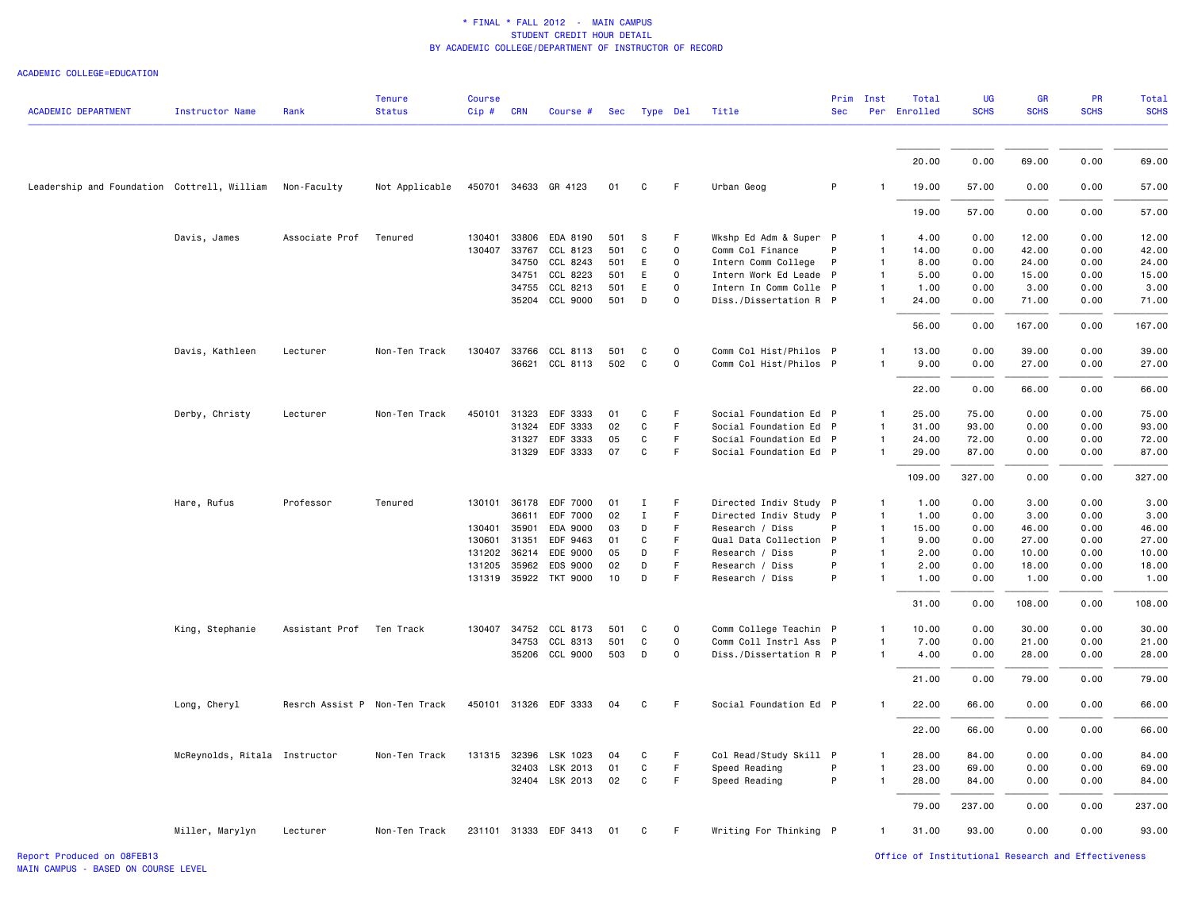|                                             |                               |                               | <b>Tenure</b>  | <b>Course</b> |       |                       |     |              |              |                        | Prim | Inst         | Total        | <b>UG</b>   | <b>GR</b>   | PR          | Total       |
|---------------------------------------------|-------------------------------|-------------------------------|----------------|---------------|-------|-----------------------|-----|--------------|--------------|------------------------|------|--------------|--------------|-------------|-------------|-------------|-------------|
| <b>ACADEMIC DEPARTMENT</b>                  | Instructor Name               | Rank                          | <b>Status</b>  | Cip # CRN     |       | Course #              | Sec | Type Del     |              | Title                  | Sec  |              | Per Enrolled | <b>SCHS</b> | <b>SCHS</b> | <b>SCHS</b> | <b>SCHS</b> |
|                                             |                               |                               |                |               |       |                       |     |              |              |                        |      |              |              |             |             |             |             |
|                                             |                               |                               |                |               |       |                       |     |              |              |                        |      |              | 20.00        | 0.00        | 69.00       | 0.00        | 69.00       |
| Leadership and Foundation Cottrell, William |                               | Non-Faculty                   | Not Applicable |               |       | 450701 34633 GR 4123  | 01  | C            | F            | Urban Geog             | P    |              | 19.00        | 57.00       | 0.00        | 0.00        | 57.00       |
|                                             |                               |                               |                |               |       |                       |     |              |              |                        |      |              | 19.00        | 57.00       | 0.00        | 0.00        | 57.00       |
|                                             | Davis, James                  | Associate Prof                | Tenured        | 130401        | 33806 | EDA 8190              | 501 | S            | F            | Wkshp Ed Adm & Super P |      |              | 4.00         | 0.00        | 12.00       | 0.00        | 12.00       |
|                                             |                               |                               |                | 130407        | 33767 | CCL 8123              | 501 | C            | $\mathsf 0$  | Comm Col Finance       | P    |              | 14.00        | 0.00        | 42.00       | 0.00        | 42.00       |
|                                             |                               |                               |                |               | 34750 | CCL 8243              | 501 | E            | $\mathsf{O}$ | Intern Comm College    | P    | 1            | 8.00         | 0.00        | 24.00       | 0.00        | 24.00       |
|                                             |                               |                               |                |               | 34751 | CCL 8223              |     | E            | $\mathsf 0$  |                        |      | 1            |              | 0.00        | 15.00       | 0.00        |             |
|                                             |                               |                               |                |               |       |                       | 501 |              |              | Intern Work Ed Leade P |      |              | 5.00         |             |             |             | 15.00       |
|                                             |                               |                               |                |               | 34755 | CCL 8213              | 501 | E            | $\mathsf 0$  | Intern In Comm Colle P |      | -1           | 1.00         | 0.00        | 3.00        | 0.00        | 3.00        |
|                                             |                               |                               |                |               |       | 35204 CCL 9000        | 501 | D            | $\mathsf 0$  | Diss./Dissertation R P |      |              | 24.00        | 0.00        | 71.00       | 0.00        | 71.00       |
|                                             |                               |                               |                |               |       |                       |     |              |              |                        |      |              | 56.00        | 0.00        | 167.00      | 0.00        | 167.00      |
|                                             | Davis, Kathleen               | Lecturer                      | Non-Ten Track  | 130407        |       | 33766 CCL 8113        | 501 | C            | $\mathsf 0$  | Comm Col Hist/Philos P |      | 1            | 13.00        | 0.00        | 39.00       | 0.00        | 39.00       |
|                                             |                               |                               |                |               |       | 36621 CCL 8113        | 502 | C            | $\mathsf 0$  | Comm Col Hist/Philos P |      | 1            | 9.00         | 0.00        | 27.00       | 0.00        | 27.00       |
|                                             |                               |                               |                |               |       |                       |     |              |              |                        |      |              |              |             |             |             |             |
|                                             |                               |                               |                |               |       |                       |     |              |              |                        |      |              | 22.00        | 0.00        | 66.00       | 0.00        | 66.00       |
|                                             | Derby, Christy                | Lecturer                      | Non-Ten Track  | 450101        | 31323 | EDF 3333              | 01  | C            | F.           | Social Foundation Ed P |      | 1            | 25.00        | 75.00       | 0.00        | 0.00        | 75.00       |
|                                             |                               |                               |                |               | 31324 | EDF 3333              | 02  | C            | F            | Social Foundation Ed P |      | 1            | 31.00        | 93.00       | 0.00        | 0.00        | 93.00       |
|                                             |                               |                               |                |               |       | 31327 EDF 3333        | 05  | C            | $\mathsf F$  | Social Foundation Ed P |      | $\mathbf{1}$ | 24.00        | 72.00       | 0.00        | 0.00        | 72.00       |
|                                             |                               |                               |                |               | 31329 | EDF 3333              | 07  | C            | F            | Social Foundation Ed P |      |              | 29.00        | 87.00       | 0.00        | 0.00        | 87.00       |
|                                             |                               |                               |                |               |       |                       |     |              |              |                        |      |              | 109.00       | 327.00      | 0.00        | 0.00        | 327.00      |
|                                             | Hare, Rufus                   | Professor                     | Tenured        | 130101        | 36178 | EDF 7000              | 01  | Ι.           | F            | Directed Indiv Study P |      | 1            | 1.00         | 0.00        | 3.00        | 0.00        | 3.00        |
|                                             |                               |                               |                |               | 36611 | EDF 7000              | 02  | $\mathbf{I}$ | F            | Directed Indiv Study P |      | 1            | 1.00         | 0.00        | 3.00        | 0.00        | 3.00        |
|                                             |                               |                               |                | 130401        | 35901 | EDA 9000              | 03  | D            | F            | Research / Diss        | P    | $\mathbf{1}$ | 15.00        | 0.00        | 46.00       | 0.00        | 46.00       |
|                                             |                               |                               |                | 130601        | 31351 | EDF 9463              | 01  | C            | F            | Qual Data Collection P |      | 1            | 9.00         | 0.00        | 27.00       | 0.00        | 27.00       |
|                                             |                               |                               |                | 131202        | 36214 | EDE 9000              | 05  | D            | F            | Research / Diss        | P    | 1            | 2.00         | 0.00        | 10.00       | 0.00        | 10.00       |
|                                             |                               |                               |                | 131205        | 35962 | EDS 9000              | 02  | D            | F            | Research / Diss        | P    |              | 2.00         | 0.00        | 18.00       | 0.00        | 18.00       |
|                                             |                               |                               |                |               |       | 131319 35922 TKT 9000 | 10  | D            | F            | Research / Diss        | P    |              | 1.00         | 0.00        | 1.00        | 0.00        | 1.00        |
|                                             |                               |                               |                |               |       |                       |     |              |              |                        |      |              | 31.00        | 0.00        | 108.00      | 0.00        | 108.00      |
|                                             | King, Stephanie               | Assistant Prof                | Ten Track      |               |       | 130407 34752 CCL 8173 | 501 | C            | $\mathsf 0$  | Comm College Teachin P |      |              | 10.00        | 0.00        | 30.00       | 0.00        | 30.00       |
|                                             |                               |                               |                |               | 34753 | CCL 8313              | 501 | C            | $\mathsf 0$  | Comm Coll Instrl Ass P |      | 1            | 7.00         | 0.00        | 21.00       | 0.00        | 21.00       |
|                                             |                               |                               |                |               |       | 35206 CCL 9000        | 503 | D            | $\mathsf 0$  | Diss./Dissertation R P |      |              | 4.00         | 0.00        | 28.00       | 0.00        | 28.00       |
|                                             |                               |                               |                |               |       |                       |     |              |              |                        |      |              | 21.00        | 0.00        | 79.00       | 0.00        | 79.00       |
|                                             | Long, Cheryl                  | Resrch Assist P Non-Ten Track |                |               |       | 450101 31326 EDF 3333 | 04  | C            | F            | Social Foundation Ed P |      |              | 22.00        | 66.00       | 0.00        | 0.00        | 66.00       |
|                                             |                               |                               |                |               |       |                       |     |              |              |                        |      |              |              |             |             |             |             |
|                                             |                               |                               |                |               |       |                       |     |              |              |                        |      |              | 22.00        | 66.00       | 0.00        | 0.00        | 66.00       |
|                                             | McReynolds, Ritala Instructor |                               | Non-Ten Track  | 131315        | 32396 | LSK 1023              | 04  | C            | F            | Col Read/Study Skill P |      |              | 28.00        | 84.00       | 0.00        | 0.00        | 84.00       |
|                                             |                               |                               |                |               | 32403 | LSK 2013              | 01  | C            | $\mathsf F$  | Speed Reading          | P    |              | 23.00        | 69.00       | 0.00        | 0.00        | 69.00       |
|                                             |                               |                               |                |               |       | 32404 LSK 2013        | 02  | C            | F            | Speed Reading          | P    |              | 28.00        | 84.00       | 0.00        | 0.00        | 84.00       |
|                                             |                               |                               |                |               |       |                       |     |              |              |                        |      |              | 79.00        | 237.00      | 0.00        | 0.00        | 237.00      |
|                                             | Miller, Marylyn               | Lecturer                      | Non-Ten Track  |               |       | 231101 31333 EDF 3413 | 01  | C            | F            | Writing For Thinking P |      |              | 31.00        | 93.00       | 0.00        | 0.00        | 93.00       |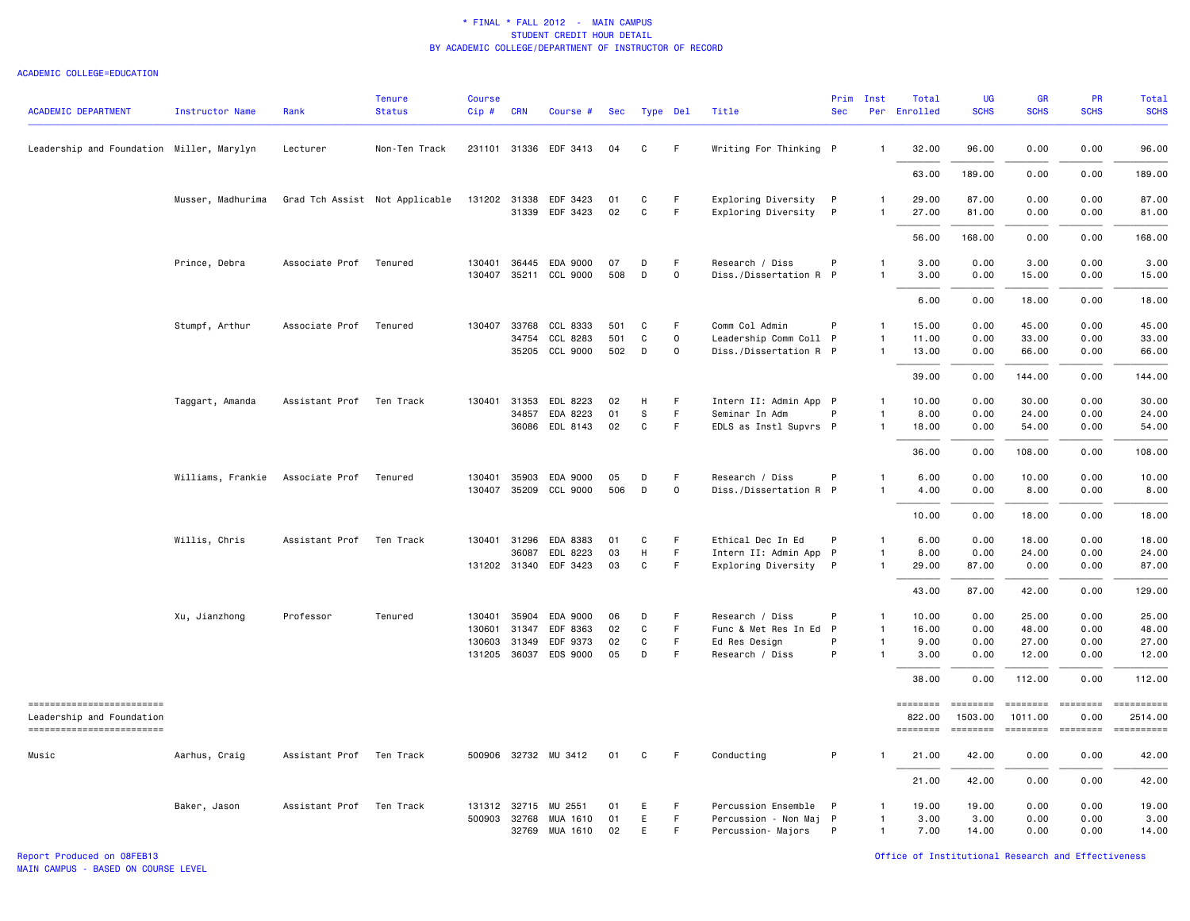#### ACADEMIC COLLEGE=EDUCATION

| <b>ACADEMIC DEPARTMENT</b>                            | Instructor Name   | Rank                     | <b>Tenure</b><br><b>Status</b> | <b>Course</b><br>Cip# | <b>CRN</b>   | Course #              | Sec | Type Del |              | Title                  | Prim<br><b>Sec</b> | Inst           | Total<br>Per Enrolled | UG<br><b>SCHS</b>                                                       | GR<br><b>SCHS</b>          | PR<br><b>SCHS</b>     | Total<br><b>SCHS</b> |
|-------------------------------------------------------|-------------------|--------------------------|--------------------------------|-----------------------|--------------|-----------------------|-----|----------|--------------|------------------------|--------------------|----------------|-----------------------|-------------------------------------------------------------------------|----------------------------|-----------------------|----------------------|
| Leadership and Foundation Miller, Marylyn             |                   | Lecturer                 | Non-Ten Track                  |                       |              | 231101 31336 EDF 3413 | 04  | C        | F            | Writing For Thinking P |                    | -1             | 32.00                 | 96.00                                                                   | 0.00                       | 0.00                  | 96.00                |
|                                                       |                   |                          |                                |                       |              |                       |     |          |              |                        |                    |                | 63.00                 | 189.00                                                                  | 0.00                       | 0.00                  | 189.00               |
|                                                       | Musser, Madhurima |                          | Grad Tch Assist Not Applicable |                       |              | 131202 31338 EDF 3423 | 01  | C        | -F           | Exploring Diversity P  |                    | -1             | 29.00                 | 87.00                                                                   | 0.00                       | 0.00                  | 87.00                |
|                                                       |                   |                          |                                |                       |              | 31339 EDF 3423        | 02  | C        | $\mathsf F$  | Exploring Diversity P  |                    | $\mathbf{1}$   | 27.00                 | 81.00                                                                   | 0.00                       | 0.00                  | 81.00                |
|                                                       |                   |                          |                                |                       |              |                       |     |          |              |                        |                    |                | 56.00                 | 168.00                                                                  | 0.00                       | 0.00                  | 168.00               |
|                                                       | Prince, Debra     | Associate Prof           | Tenured                        | 130401                | 36445        | EDA 9000              | 07  | D        | F            | Research / Diss        | P                  | -1             | 3.00                  | 0.00                                                                    | 3.00                       | 0.00                  | 3.00                 |
|                                                       |                   |                          |                                |                       |              | 130407 35211 CCL 9000 | 508 | D        | $\mathsf{o}$ | Diss./Dissertation R P |                    | 1              | 3.00                  | 0.00                                                                    | 15.00                      | 0.00                  | 15.00                |
|                                                       |                   |                          |                                |                       |              |                       |     |          |              |                        |                    |                | 6.00                  | 0.00                                                                    | 18.00                      | 0.00                  | 18.00                |
|                                                       | Stumpf, Arthur    | Associate Prof           | Tenured                        |                       | 130407 33768 | CCL 8333              | 501 | C        | F            | Comm Col Admin         | P                  | $\mathbf{1}$   | 15.00                 | 0.00                                                                    | 45.00                      | 0.00                  | 45.00                |
|                                                       |                   |                          |                                |                       | 34754        | CCL 8283              | 501 | C        | $\mathsf{o}$ | Leadership Comm Coll P |                    | $\mathbf{1}$   | 11.00                 | 0.00                                                                    | 33.00                      | 0.00                  | 33.00                |
|                                                       |                   |                          |                                |                       |              | 35205 CCL 9000        | 502 | D        | $\mathbf 0$  | Diss./Dissertation R P |                    | $\mathbf{1}$   | 13.00                 | 0.00                                                                    | 66.00                      | 0.00                  | 66.00                |
|                                                       |                   |                          |                                |                       |              |                       |     |          |              |                        |                    |                | 39.00                 | 0.00                                                                    | 144.00                     | 0.00                  | 144.00               |
|                                                       | Taggart, Amanda   | Assistant Prof           | Ten Track                      | 130401                | 31353        | EDL 8223              | 02  | н        | F            | Intern II: Admin App P |                    | $\mathbf{1}$   | 10.00                 | 0.00                                                                    | 30.00                      | 0.00                  | 30.00                |
|                                                       |                   |                          |                                |                       | 34857        | EDA 8223              | 01  | S        | F.           | Seminar In Adm         | P                  | $\mathbf{1}$   | 8.00                  | 0.00                                                                    | 24.00                      | 0.00                  | 24.00                |
|                                                       |                   |                          |                                |                       | 36086        | EDL 8143              | 02  | C        | F.           | EDLS as Instl Supvrs P |                    | $\mathbf{1}$   | 18.00                 | 0.00                                                                    | 54.00                      | 0.00                  | 54.00                |
|                                                       |                   |                          |                                |                       |              |                       |     |          |              |                        |                    |                | 36.00                 | 0.00                                                                    | 108.00                     | 0.00                  | 108.00               |
|                                                       | Williams, Frankie | Associate Prof           | Tenured                        | 130401                | 35903        | EDA 9000              | 05  | D        | F.           | Research / Diss        | P                  | $\mathbf{1}$   | 6.00                  | 0.00                                                                    | 10.00                      | 0.00                  | 10.00                |
|                                                       |                   |                          |                                |                       | 130407 35209 | CCL 9000              | 506 | D        | $\mathsf{o}$ | Diss./Dissertation R P |                    | $\overline{1}$ | 4.00                  | 0.00                                                                    | 8.00                       | 0.00                  | 8.00                 |
|                                                       |                   |                          |                                |                       |              |                       |     |          |              |                        |                    |                | 10.00                 | 0.00                                                                    | 18.00                      | 0.00                  | 18.00                |
|                                                       | Willis, Chris     | Assistant Prof           | Ten Track                      |                       |              | 130401 31296 EDA 8383 | 01  | C        | F            | Ethical Dec In Ed      | P                  | $\mathbf{1}$   | 6.00                  | 0.00                                                                    | 18.00                      | 0.00                  | 18.00                |
|                                                       |                   |                          |                                |                       | 36087        | EDL 8223              | 03  | H        | F.           | Intern II: Admin App P |                    | $\mathbf{1}$   | 8.00                  | 0.00                                                                    | 24.00                      | 0.00                  | 24.00                |
|                                                       |                   |                          |                                |                       |              | 131202 31340 EDF 3423 | 03  | C        | F.           | Exploring Diversity P  |                    | $\mathbf{1}$   | 29.00                 | 87.00                                                                   | 0.00                       | 0.00                  | 87.00                |
|                                                       |                   |                          |                                |                       |              |                       |     |          |              |                        |                    |                | 43.00                 | 87.00                                                                   | 42.00                      | 0.00                  | 129.00               |
|                                                       | Xu, Jianzhong     | Professor                | Tenured                        | 130401                | 35904        | EDA 9000              | 06  | D        | F            | Research / Diss        | P                  | $\mathbf{1}$   | 10.00                 | 0.00                                                                    | 25.00                      | 0.00                  | 25.00                |
|                                                       |                   |                          |                                | 130601                | 31347        | EDF 8363              | 02  | C        | F            | Func & Met Res In Ed   | P                  | $\mathbf{1}$   | 16.00                 | 0.00                                                                    | 48.00                      | 0.00                  | 48.00                |
|                                                       |                   |                          |                                |                       | 130603 31349 | EDF 9373              | 02  | C        | F            | Ed Res Design          | P                  | $\mathbf{1}$   | 9.00                  | 0.00                                                                    | 27.00                      | 0.00                  | 27.00                |
|                                                       |                   |                          |                                |                       |              | 131205 36037 EDS 9000 | 05  | D        | F            | Research / Diss        | P                  | 1              | 3.00                  | 0.00                                                                    | 12.00                      | 0.00                  | 12.00                |
|                                                       |                   |                          |                                |                       |              |                       |     |          |              |                        |                    |                | 38,00                 | 0.00                                                                    | 112.00                     | 0.00                  | 112.00               |
| =========================                             |                   |                          |                                |                       |              |                       |     |          |              |                        |                    |                | ========              | $\qquad \qquad \equiv \equiv \equiv \equiv \equiv \equiv \equiv \equiv$ | ========                   | $=$ ========          | ==========           |
| Leadership and Foundation<br>------------------------ |                   |                          |                                |                       |              |                       |     |          |              |                        |                    |                | 822.00<br>========    | 1503.00<br>========                                                     | 1011.00<br><b>EEEEEEEE</b> | 0.00<br>$= 222222222$ | 2514.00              |
| Music                                                 | Aarhus, Craig     | Assistant Prof Ten Track |                                |                       |              | 500906 32732 MU 3412  | 01  | C        | -F           | Conducting             | P                  | -1             | 21.00                 | 42.00                                                                   | 0.00                       | 0.00                  | 42.00                |
|                                                       |                   |                          |                                |                       |              |                       |     |          |              |                        |                    |                | 21.00                 | 42.00                                                                   | 0.00                       | 0.00                  | 42.00                |
|                                                       | Baker, Jason      | Assistant Prof Ten Track |                                |                       | 131312 32715 | MU 2551               | 01  | Е        | F            | Percussion Ensemble    | $\mathsf{P}$       | $\mathbf{1}$   | 19.00                 | 19.00                                                                   | 0.00                       | 0.00                  | 19.00                |
|                                                       |                   |                          |                                |                       | 500903 32768 | MUA 1610              | 01  | E        | $\vdash$     | Percussion - Non Maj P |                    | $\mathbf{1}$   | 3.00                  | 3.00                                                                    | 0.00                       | 0.00                  | 3.00                 |
|                                                       |                   |                          |                                |                       | 32769        | MUA 1610              | 02  | E        | F            | Percussion- Majors     | $\mathsf{P}$       | $\overline{1}$ | 7.00                  | 14.00                                                                   | 0.00                       | 0.00                  | 14.00                |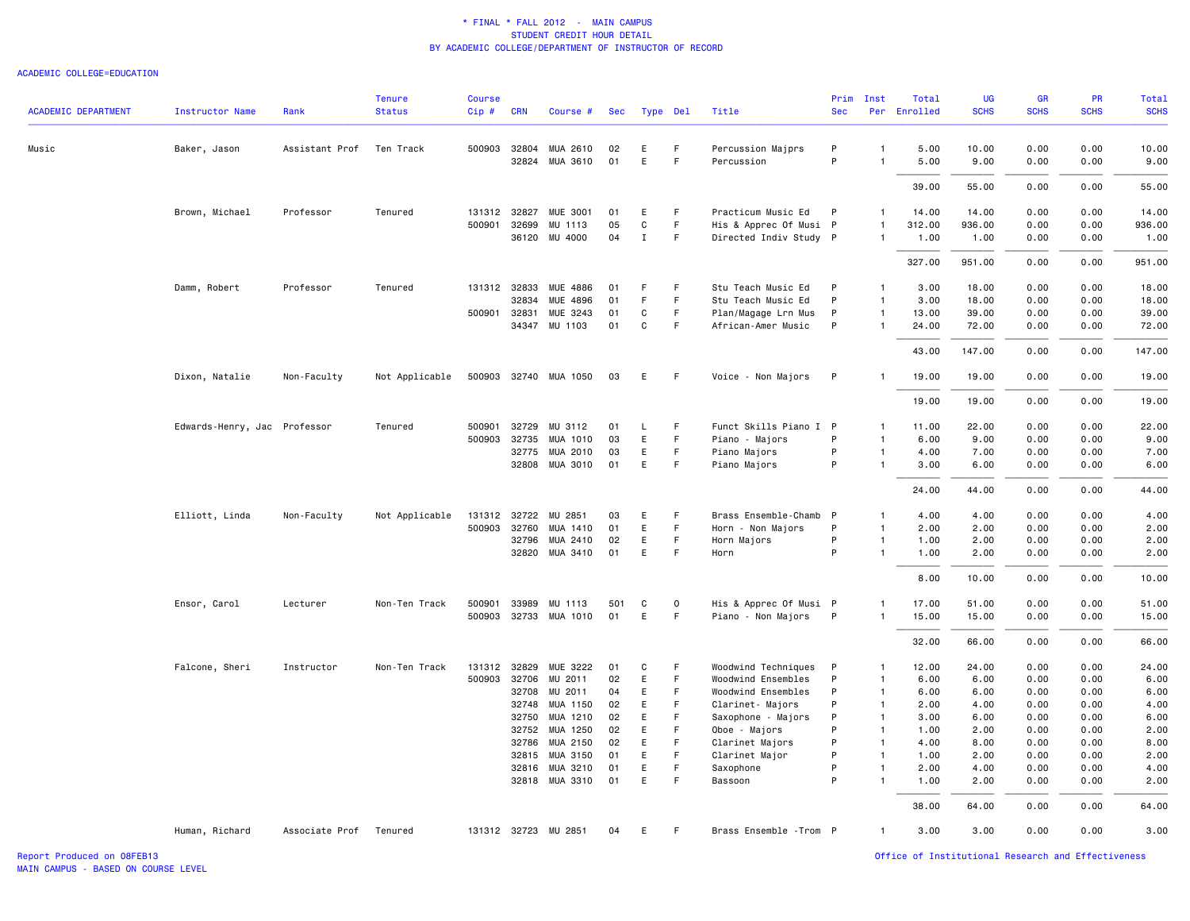#### ACADEMIC COLLEGE=EDUCATION

| <b>ACADEMIC DEPARTMENT</b> | <b>Instructor Name</b>       | Rank           | <b>Tenure</b><br><b>Status</b> | <b>Course</b><br>Cip# | <b>CRN</b> | Course #              | Sec | Type Del    |             | Title                   | Prim<br><b>Sec</b> | Inst           | Total<br>Per Enrolled | UG<br><b>SCHS</b> | <b>GR</b><br><b>SCHS</b> | <b>PR</b><br><b>SCHS</b> | Total<br><b>SCHS</b> |
|----------------------------|------------------------------|----------------|--------------------------------|-----------------------|------------|-----------------------|-----|-------------|-------------|-------------------------|--------------------|----------------|-----------------------|-------------------|--------------------------|--------------------------|----------------------|
| Music                      | Baker, Jason                 | Assistant Prof | Ten Track                      |                       |            | 500903 32804 MUA 2610 | 02  | E           | F           | Percussion Majprs       | P                  | $\mathbf{1}$   | 5.00                  | 10.00             | 0.00                     | 0.00                     | 10.00                |
|                            |                              |                |                                |                       |            | 32824 MUA 3610        | 01  | E           | F           | Percussion              | P                  | -1             | 5.00                  | 9.00              | 0.00                     | 0.00                     | 9.00                 |
|                            |                              |                |                                |                       |            |                       |     |             |             |                         |                    |                | 39.00                 | 55.00             | 0.00                     | 0.00                     | 55.00                |
|                            | Brown, Michael               | Professor      | Tenured                        | 131312 32827          |            | <b>MUE 3001</b>       | 01  | E           | F           | Practicum Music Ed      | P                  | -1             | 14.00                 | 14.00             | 0.00                     | 0.00                     | 14.00                |
|                            |                              |                |                                | 500901 32699          |            | MU 1113               | 05  | C           | F.          | His & Apprec Of Musi P  |                    | $\mathbf{1}$   | 312.00                | 936.00            | 0.00                     | 0.00                     | 936.00               |
|                            |                              |                |                                |                       |            | 36120 MU 4000         | 04  | $\mathbf I$ | F           | Directed Indiv Study P  |                    | $\mathbf{1}$   | 1.00                  | 1.00              | 0.00                     | 0.00                     | 1.00                 |
|                            |                              |                |                                |                       |            |                       |     |             |             |                         |                    |                | 327.00                | 951.00            | 0.00                     | 0.00                     | 951.00               |
|                            | Damm, Robert                 | Professor      | Tenured                        | 131312 32833          |            | MUE 4886              | 01  | F           | F.          | Stu Teach Music Ed      | P                  | $\mathbf{1}$   | 3.00                  | 18.00             | 0.00                     | 0.00                     | 18.00                |
|                            |                              |                |                                |                       | 32834      | MUE 4896              | 01  | F           | $\mathsf F$ | Stu Teach Music Ed      | P                  | $\mathbf{1}$   | 3.00                  | 18.00             | 0.00                     | 0.00                     | 18.00                |
|                            |                              |                |                                | 500901                | 32831      | MUE 3243              | 01  | C           | $\mathsf F$ | Plan/Magage Lrn Mus     | P                  | $\mathbf{1}$   | 13.00                 | 39.00             | 0.00                     | 0.00                     | 39.00                |
|                            |                              |                |                                |                       |            | 34347 MU 1103         | 01  | C           | F           | African-Amer Music      | P                  | $\mathbf{1}$   | 24.00                 | 72.00             | 0.00                     | 0.00                     | 72.00                |
|                            |                              |                |                                |                       |            |                       |     |             |             |                         |                    |                | 43.00                 | 147.00            | 0.00                     | 0.00                     | 147.00               |
|                            | Dixon, Natalie               | Non-Faculty    | Not Applicable                 |                       |            | 500903 32740 MUA 1050 | 03  | Е           | -F          | Voice - Non Majors      | P                  |                | 19.00                 | 19.00             | 0.00                     | 0.00                     | 19.00                |
|                            |                              |                |                                |                       |            |                       |     |             |             |                         |                    |                | 19.00                 | 19.00             | 0.00                     | 0.00                     | 19.00                |
|                            | Edwards-Henry, Jac Professor |                | Tenured                        | 500901 32729          |            | MU 3112               | 01  | L.          | -F          | Funct Skills Piano I P  |                    | $\mathbf{1}$   | 11.00                 | 22.00             | 0.00                     | 0.00                     | 22.00                |
|                            |                              |                |                                | 500903                | 32735      | MUA 1010              | 03  | E           | F.          | Piano - Majors          | P                  | $\mathbf{1}$   | 6.00                  | 9.00              | 0.00                     | 0.00                     | 9.00                 |
|                            |                              |                |                                |                       | 32775      | MUA 2010              | 03  | E           | F           | Piano Majors            | P                  | $\mathbf{1}$   | 4.00                  | 7.00              | 0.00                     | 0.00                     | 7.00                 |
|                            |                              |                |                                |                       |            | 32808 MUA 3010        | 01  | E           | $\mathsf F$ | Piano Majors            | P                  | $\mathbf{1}$   | 3.00                  | 6.00              | 0.00                     | 0.00                     | 6.00                 |
|                            |                              |                |                                |                       |            |                       |     |             |             |                         |                    |                | 24.00                 | 44.00             | 0.00                     | 0.00                     | 44.00                |
|                            | Elliott, Linda               | Non-Faculty    | Not Applicable                 | 131312 32722          |            | MU 2851               | 03  | Ε           | F           | Brass Ensemble-Chamb P  |                    | $\mathbf{1}$   | 4.00                  | 4.00              | 0.00                     | 0.00                     | 4.00                 |
|                            |                              |                |                                | 500903 32760          |            | MUA 1410              | 01  | E           | F.          | Horn - Non Majors       | P                  | $\mathbf{1}$   | 2.00                  | 2.00              | 0.00                     | 0.00                     | 2.00                 |
|                            |                              |                |                                |                       | 32796      | MUA 2410              | 02  | E           | F           | Horn Majors             | P                  | $\mathbf{1}$   | 1.00                  | 2.00              | 0.00                     | 0.00                     | 2.00                 |
|                            |                              |                |                                |                       | 32820      | MUA 3410              | 01  | Ε           | $\mathsf F$ | Horn                    | P                  | $\overline{1}$ | 1.00                  | 2.00              | 0.00                     | 0.00                     | 2.00                 |
|                            |                              |                |                                |                       |            |                       |     |             |             |                         |                    |                | 8.00                  | 10.00             | 0.00                     | 0.00                     | 10.00                |
|                            | Ensor, Carol                 | Lecturer       | Non-Ten Track                  | 500901 33989          |            | MU 1113               | 501 | C           | $\mathbf 0$ | His & Apprec Of Musi P  |                    | -1             | 17.00                 | 51.00             | 0.00                     | 0.00                     | 51.00                |
|                            |                              |                |                                |                       |            | 500903 32733 MUA 1010 | 01  | Ε           | F           | Piano - Non Majors      | $\mathsf{P}$       | $\mathbf{1}$   | 15.00                 | 15.00             | 0.00                     | 0.00                     | 15.00                |
|                            |                              |                |                                |                       |            |                       |     |             |             |                         |                    |                | 32.00                 | 66.00             | 0.00                     | 0.00                     | 66.00                |
|                            | Falcone, Sheri               | Instructor     | Non-Ten Track                  | 131312 32829          |            | MUE 3222              | 01  | C           | F           | Woodwind Techniques     | P                  | $\mathbf{1}$   | 12.00                 | 24.00             | 0.00                     | 0.00                     | 24.00                |
|                            |                              |                |                                | 500903 32706          |            | MU 2011               | 02  | E           | F           | Woodwind Ensembles      | P                  | $\mathbf{1}$   | 6.00                  | 6.00              | 0.00                     | 0.00                     | 6.00                 |
|                            |                              |                |                                |                       | 32708      | MU 2011               | 04  | E           | F           | Woodwind Ensembles      | P                  | $\mathbf{1}$   | 6.00                  | 6.00              | 0.00                     | 0.00                     | 6.00                 |
|                            |                              |                |                                |                       | 32748      | MUA 1150              | 02  | E           | E           | Clarinet- Majors        | P                  | $\mathbf{1}$   | 2.00                  | 4.00              | 0.00                     | 0.00                     | 4.00                 |
|                            |                              |                |                                |                       | 32750      | MUA 1210              | 02  | E           | F           | Saxophone - Majors      | P                  | $\mathbf{1}$   | 3.00                  | 6.00              | 0.00                     | 0.00                     | 6.00                 |
|                            |                              |                |                                |                       | 32752      | MUA 1250              | 02  | E           | F.          | Oboe - Majors           | P                  | $\overline{1}$ | 1.00                  | 2.00              | 0.00                     | 0.00                     | 2.00                 |
|                            |                              |                |                                |                       | 32786      | MUA 2150              | 02  | E           | F.          | Clarinet Majors         | P                  | $\overline{1}$ | 4.00                  | 8.00              | 0.00                     | 0.00                     | 8.00                 |
|                            |                              |                |                                |                       | 32815      | MUA 3150              | 01  | E           | F           | Clarinet Major          | P                  | $\overline{1}$ | 1.00                  | 2.00              | 0.00                     | 0.00                     | 2.00                 |
|                            |                              |                |                                |                       | 32816      | MUA 3210              | 01  | E           | F.          | Saxophone               | P                  | $\mathbf{1}$   | 2.00                  | 4.00              | 0.00                     | 0.00                     | 4.00                 |
|                            |                              |                |                                |                       | 32818      | MUA 3310              | 01  | E           | F.          | Bassoon                 | P                  | $\mathbf{1}$   | 1.00                  | 2.00              | 0.00                     | 0.00                     | 2.00                 |
|                            |                              |                |                                |                       |            |                       |     |             |             |                         |                    |                | 38.00                 | 64.00             | 0.00                     | 0.00                     | 64.00                |
|                            | Human, Richard               | Associate Prof | Tenured                        |                       |            | 131312 32723 MU 2851  | 04  | Е           | -F          | Brass Ensemble - Trom P |                    | $\mathbf{1}$   | 3.00                  | 3.00              | 0.00                     | 0.00                     | 3.00                 |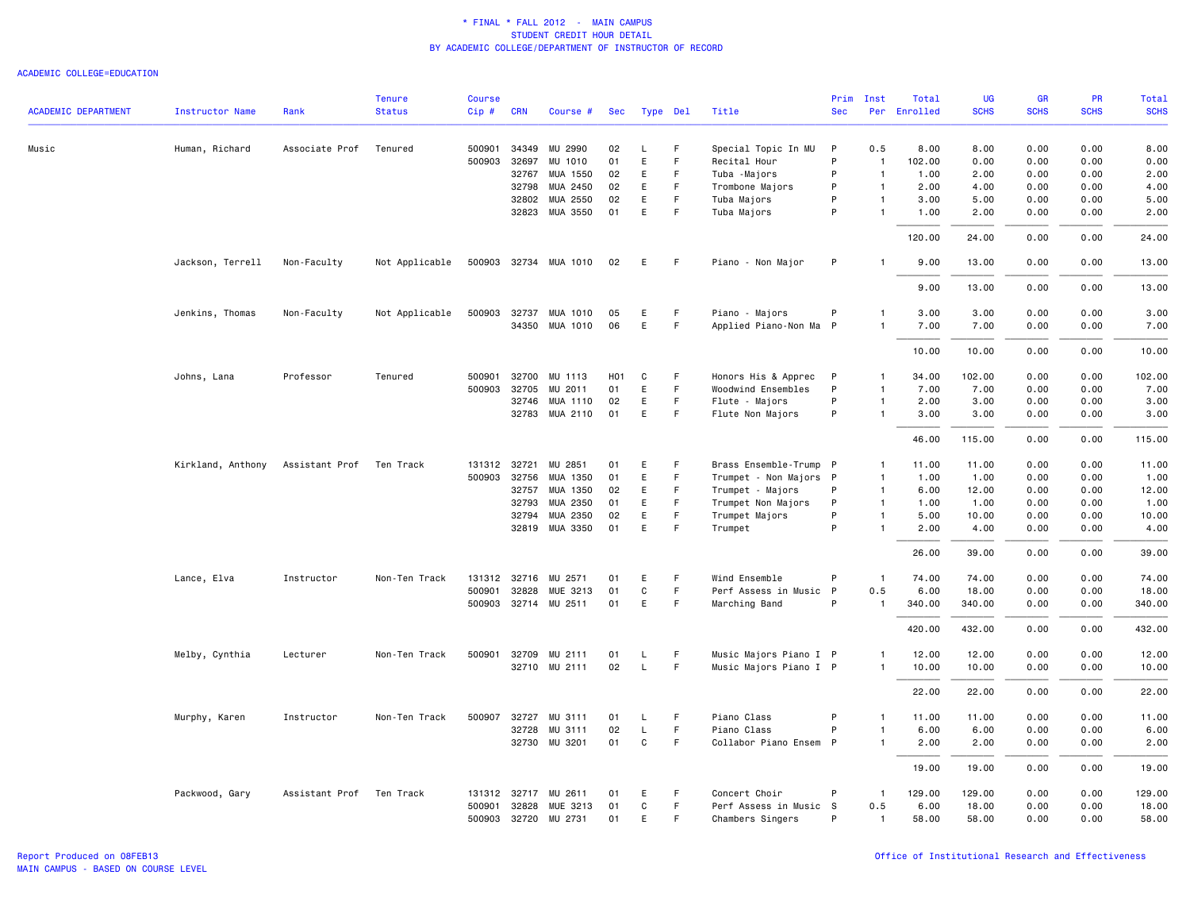|                            |                        |                          | <b>Tenure</b>  | <b>Course</b> |              |                            |                  |          |             |                           | Prim         | Inst                           | Total        | UG            | <b>GR</b>    | <b>PR</b>    | Total         |
|----------------------------|------------------------|--------------------------|----------------|---------------|--------------|----------------------------|------------------|----------|-------------|---------------------------|--------------|--------------------------------|--------------|---------------|--------------|--------------|---------------|
| <b>ACADEMIC DEPARTMENT</b> | <b>Instructor Name</b> | Rank                     | <b>Status</b>  | $Cip$ #       | <b>CRN</b>   | Course #                   | Sec              | Type Del |             | Title                     | <b>Sec</b>   |                                | Per Enrolled | <b>SCHS</b>   | <b>SCHS</b>  | <b>SCHS</b>  | <b>SCHS</b>   |
| Music                      | Human, Richard         | Associate Prof           | Tenured        | 500901        | 34349        | MU 2990                    | 02               | L.       | F           | Special Topic In MU       | P            | 0.5                            | 8.00         | 8.00          | 0.00         | 0.00         | 8.00          |
|                            |                        |                          |                | 500903        | 32697        | MU 1010                    | 01               | E        | F           | Recital Hour              | P            | $\overline{1}$                 | 102.00       | 0.00          | 0.00         | 0.00         | 0.00          |
|                            |                        |                          |                |               | 32767        | MUA 1550                   | 02               | Ε        | F           | Tuba - Majors             | P            | $\overline{1}$                 | 1.00         | 2.00          | 0.00         | 0.00         | 2.00          |
|                            |                        |                          |                |               | 32798        | MUA 2450                   | 02               | E        | F           | Trombone Majors           | P            | $\mathbf{1}$                   | 2.00         | 4.00          | 0.00         | 0.00         | 4.00          |
|                            |                        |                          |                |               | 32802        | MUA 2550                   | 02               | E        | F.          | Tuba Majors               | P            | $\mathbf{1}$                   | 3.00         | 5.00          | 0.00         | 0.00         | 5.00          |
|                            |                        |                          |                |               | 32823        | MUA 3550                   | 01               | E        | F           | Tuba Majors               | P            | $\mathbf{1}$                   | 1.00         | 2.00          | 0.00         | 0.00         | 2.00          |
|                            |                        |                          |                |               |              |                            |                  |          |             |                           |              |                                | 120.00       | 24.00         | 0.00         | 0.00         | 24.00         |
|                            | Jackson, Terrell       | Non-Faculty              | Not Applicable |               |              | 500903 32734 MUA 1010      | 02               | Е        | -F          | Piano - Non Major         | P            |                                | 9.00         | 13.00         | 0.00         | 0.00         | 13.00         |
|                            |                        |                          |                |               |              |                            |                  |          |             |                           |              |                                | 9.00         | 13,00         | 0.00         | 0.00         | 13.00         |
|                            | Jenkins, Thomas        | Non-Faculty              | Not Applicable |               | 500903 32737 | MUA 1010                   | 05               | Ε        | -F          | Piano - Majors            | P            | $\mathbf{1}$                   | 3.00         | 3.00          | 0.00         | 0.00         | 3.00          |
|                            |                        |                          |                |               | 34350        | MUA 1010                   | 06               | E        | F           | Applied Piano-Non Ma      | $\mathsf{P}$ | $\mathbf{1}$                   | 7.00         | 7.00          | 0.00         | 0.00         | 7.00          |
|                            |                        |                          |                |               |              |                            |                  |          |             |                           |              |                                | 10.00        | 10.00         | 0.00         | 0.00         | 10.00         |
|                            | Johns, Lana            | Professor                | Tenured        | 500901        | 32700        | MU 1113                    | H <sub>0</sub> 1 | C        | F.          | Honors His & Apprec       | $\mathsf{P}$ | $\mathbf{1}$                   | 34.00        | 102.00        | 0.00         | 0.00         | 102.00        |
|                            |                        |                          |                | 500903        | 32705        | MU 2011                    | 01               | E        | F           | Woodwind Ensembles        | P            | $\overline{1}$                 | 7.00         | 7.00          | 0.00         | 0.00         | 7.00          |
|                            |                        |                          |                |               | 32746        | MUA 1110                   | 02               | E        | F           | Flute - Majors            | P            | $\overline{1}$                 | 2.00         | 3.00          | 0.00         | 0.00         | 3.00          |
|                            |                        |                          |                |               | 32783        | MUA 2110                   | 01               | E        | F.          | Flute Non Majors          | P            | $\mathbf{1}$                   | 3.00         | 3.00          | 0.00         | 0.00         | 3.00          |
|                            |                        |                          |                |               |              |                            |                  |          |             |                           |              |                                | 46.00        | 115.00        | 0.00         | 0.00         | 115.00        |
|                            | Kirkland, Anthony      | Assistant Prof           | Ten Track      |               | 131312 32721 | MU 2851                    | 01               | Ε        | F           | Brass Ensemble-Trump P    |              | $\mathbf{1}$                   | 11.00        | 11.00         | 0.00         | 0.00         | 11.00         |
|                            |                        |                          |                |               | 500903 32756 | MUA 1350                   | 01               | Ε        | F           | Trumpet - Non Majors P    |              | $\mathbf{1}$                   | 1.00         | 1.00          | 0.00         | 0.00         | 1.00          |
|                            |                        |                          |                |               | 32757        | MUA 1350                   | 02               | E        | F           | Trumpet - Majors          | P            | $\overline{1}$                 | 6.00         | 12.00         | 0.00         | 0.00         | 12.00         |
|                            |                        |                          |                |               | 32793        | MUA 2350                   | 01               | Е        | F           | Trumpet Non Majors        | P<br>P       | $\mathbf{1}$                   | 1.00         | 1.00          | 0.00         | 0.00         | 1.00          |
|                            |                        |                          |                |               | 32794        | MUA 2350<br>32819 MUA 3350 | 02<br>01         | E<br>E   | F<br>F      | Trumpet Majors<br>Trumpet | P            | $\mathbf{1}$<br>$\overline{1}$ | 5.00<br>2.00 | 10.00<br>4.00 | 0.00<br>0.00 | 0.00<br>0.00 | 10.00<br>4.00 |
|                            |                        |                          |                |               |              |                            |                  |          |             |                           |              |                                | 26.00        | 39.00         | 0.00         | 0.00         | 39.00         |
|                            | Lance, Elva            | Instructor               | Non-Ten Track  |               | 131312 32716 | MU 2571                    | 01               | Ε        | F           | Wind Ensemble             | P            | $\overline{1}$                 | 74.00        | 74.00         | 0.00         | 0.00         | 74.00         |
|                            |                        |                          |                | 500901        | 32828        | MUE 3213                   | 01               | C        | F.          | Perf Assess in Music      | P            | 0.5                            | 6.00         | 18.00         | 0.00         | 0.00         | 18.00         |
|                            |                        |                          |                |               |              | 500903 32714 MU 2511       | 01               | E        | F.          | Marching Band             | P            | $\mathbf{1}$                   | 340.00       | 340.00        | 0.00         | 0.00         | 340.00        |
|                            |                        |                          |                |               |              |                            |                  |          |             |                           |              |                                | 420.00       | 432.00        | 0.00         | 0.00         | 432.00        |
|                            | Melby, Cynthia         | Lecturer                 | Non-Ten Track  |               | 500901 32709 | MU 2111                    | 01               | L.       | F.          | Music Majors Piano I P    |              | 1                              | 12.00        | 12.00         | 0.00         | 0.00         | 12.00         |
|                            |                        |                          |                |               |              | 32710 MU 2111              | 02               | L.       | F           | Music Majors Piano I P    |              | -1                             | 10.00        | 10.00         | 0.00         | 0.00         | 10.00         |
|                            |                        |                          |                |               |              |                            |                  |          |             |                           |              |                                | 22.00        | 22.00         | 0.00         | 0.00         | 22.00         |
|                            | Murphy, Karen          | Instructor               | Non-Ten Track  | 500907        | 32727        | MU 3111                    | 01               | L        | F           | Piano Class               | P            | $\mathbf{1}$                   | 11.00        | 11.00         | 0.00         | 0.00         | 11.00         |
|                            |                        |                          |                |               | 32728        | MU 3111                    | 02               | L        | $\mathsf F$ | Piano Class               | P            | -1                             | 6.00         | 6.00          | 0.00         | 0.00         | 6.00          |
|                            |                        |                          |                |               |              | 32730 MU 3201              | 01               | C        | F.          | Collabor Piano Ensem P    |              | $\mathbf{1}$                   | 2.00         | 2.00          | 0.00         | 0.00         | 2.00          |
|                            |                        |                          |                |               |              |                            |                  |          |             |                           |              |                                | 19.00        | 19.00         | 0.00         | 0.00         | 19.00         |
|                            | Packwood, Gary         | Assistant Prof Ten Track |                |               |              | 131312 32717 MU 2611       | 01               | E        | F.          | Concert Choir             | P            | $\overline{1}$                 | 129.00       | 129.00        | 0.00         | 0.00         | 129.00        |
|                            |                        |                          |                | 500901        | 32828        | MUE 3213                   | 01               | C        | F           | Perf Assess in Music      | - S          | 0.5                            | 6.00         | 18.00         | 0.00         | 0.00         | 18.00         |
|                            |                        |                          |                |               | 500903 32720 | MU 2731                    | 01               | E        | F           | Chambers Singers          | P            | $\overline{1}$                 | 58.00        | 58.00         | 0.00         | 0.00         | 58.00         |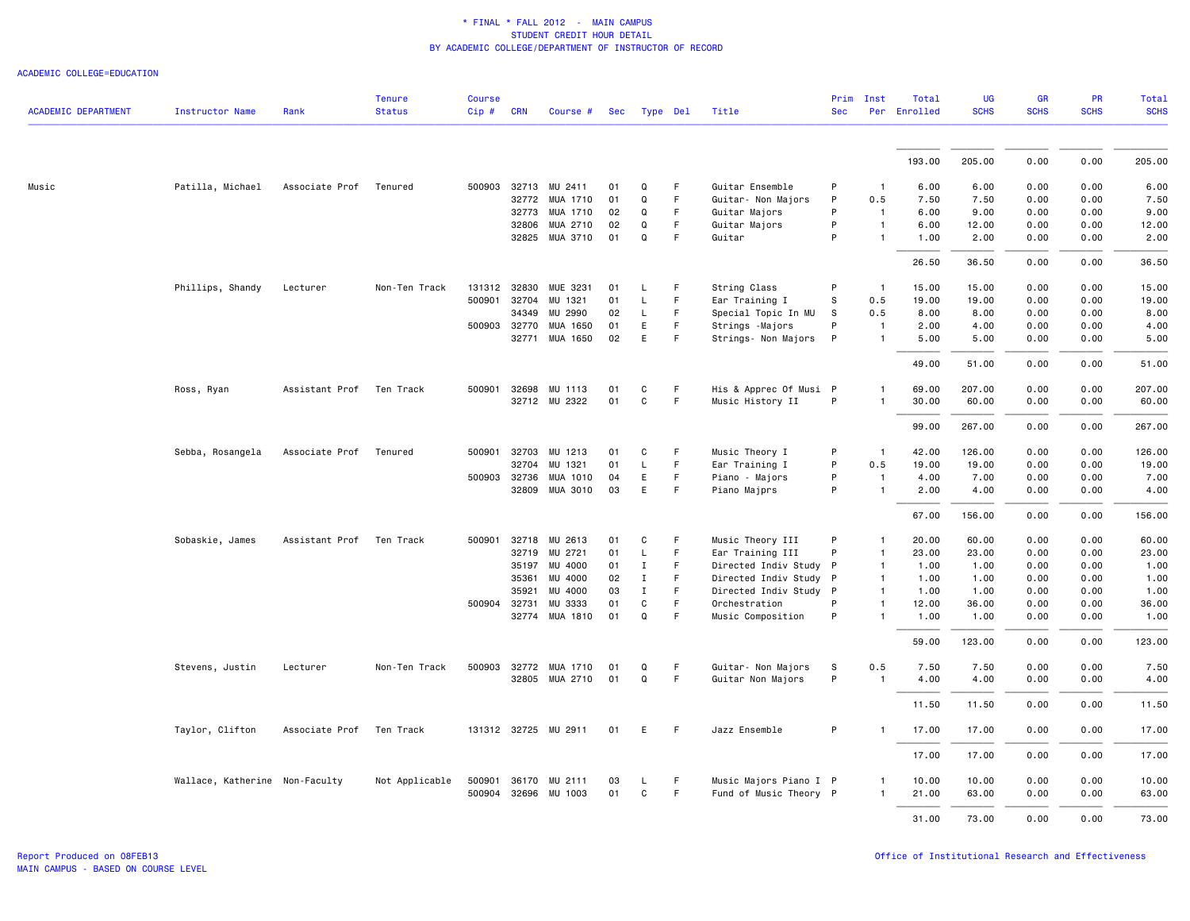| <b>ACADEMIC DEPARTMENT</b> | <b>Instructor Name</b>         | Rank           | <b>Tenure</b><br><b>Status</b> | <b>Course</b><br>Cip# | <b>CRN</b>   | Course #             |    | Sec Type Del |             | Title                  | Prim<br><b>Sec</b> | Inst           | Total<br>Per Enrolled | <b>UG</b><br><b>SCHS</b> | <b>GR</b><br><b>SCHS</b> | <b>PR</b><br><b>SCHS</b> | Total<br><b>SCHS</b> |
|----------------------------|--------------------------------|----------------|--------------------------------|-----------------------|--------------|----------------------|----|--------------|-------------|------------------------|--------------------|----------------|-----------------------|--------------------------|--------------------------|--------------------------|----------------------|
|                            |                                |                |                                |                       |              |                      |    |              |             |                        |                    |                |                       |                          |                          |                          |                      |
|                            |                                |                |                                |                       |              |                      |    |              |             |                        |                    |                | 193.00                | 205.00                   | 0.00                     | 0.00                     | 205.00               |
| Music                      | Patilla, Michael               | Associate Prof | Tenured                        | 500903                |              | 32713 MU 2411        | 01 | Q            | F           | Guitar Ensemble        | P                  | $\mathbf{1}$   | 6.00                  | 6.00                     | 0.00                     | 0.00                     | 6.00                 |
|                            |                                |                |                                |                       | 32772        | MUA 1710             | 01 | Q            | F           | Guitar- Non Majors     | P                  | 0.5            | 7.50                  | 7.50                     | 0.00                     | 0.00                     | 7.50                 |
|                            |                                |                |                                |                       | 32773        | MUA 1710             | 02 | Q            | F           | Guitar Majors          | P                  | $\overline{1}$ | 6.00                  | 9.00                     | 0.00                     | 0.00                     | 9.00                 |
|                            |                                |                |                                |                       | 32806        | MUA 2710             | 02 | Q            | F           | Guitar Majors          | P                  | $\mathbf{1}$   | 6.00                  | 12.00                    | 0.00                     | 0.00                     | 12.00                |
|                            |                                |                |                                |                       |              | 32825 MUA 3710       | 01 | Q            | F           | Guitar                 | P                  | 1              | 1.00                  | 2.00                     | 0.00                     | 0.00                     | 2.00                 |
|                            |                                |                |                                |                       |              |                      |    |              |             |                        |                    |                | 26.50                 | 36.50                    | 0.00                     | 0.00                     | 36.50                |
|                            | Phillips, Shandy               | Lecturer       | Non-Ten Track                  |                       | 131312 32830 | MUE 3231             | 01 | L            | F           | String Class           | P                  | $\overline{1}$ | 15.00                 | 15.00                    | 0.00                     | 0.00                     | 15.00                |
|                            |                                |                |                                | 500901                | 32704        | MU 1321              | 01 | L            | $\mathsf F$ | Ear Training I         | s                  | 0.5            | 19.00                 | 19.00                    | 0.00                     | 0.00                     | 19.00                |
|                            |                                |                |                                |                       | 34349        | MU 2990              | 02 | L            | F           | Special Topic In MU    | s                  | 0.5            | 8.00                  | 8.00                     | 0.00                     | 0.00                     | 8.00                 |
|                            |                                |                |                                | 500903                | 32770        | MUA 1650             | 01 | E.           | F           | Strings - Majors       | P                  | -1             | 2.00                  | 4.00                     | 0.00                     | 0.00                     | 4.00                 |
|                            |                                |                |                                |                       |              | 32771 MUA 1650       | 02 | E            | F           | Strings- Non Majors P  |                    | 1              | 5.00                  | 5.00                     | 0.00                     | 0.00                     | 5.00                 |
|                            |                                |                |                                |                       |              |                      |    |              |             |                        |                    |                | 49.00                 | 51.00                    | 0.00                     | 0.00                     | 51.00                |
|                            | Ross, Ryan                     | Assistant Prof | Ten Track                      | 500901                | 32698        | MU 1113              | 01 | C            | $\mathsf F$ | His & Apprec Of Musi P |                    |                | 69.00                 | 207.00                   | 0.00                     | 0.00                     | 207.00               |
|                            |                                |                |                                |                       |              | 32712 MU 2322        | 01 | $\mathsf{C}$ | $\mathsf F$ | Music History II       | P                  |                | 30.00                 | 60.00                    | 0.00                     | 0.00                     | 60.00                |
|                            |                                |                |                                |                       |              |                      |    |              |             |                        |                    |                | 99.00                 | 267.00                   | 0.00                     | 0.00                     | 267.00               |
|                            | Sebba, Rosangela               | Associate Prof | Tenured                        | 500901                | 32703        | MU 1213              | 01 | C            | F           | Music Theory I         | P                  | $\overline{1}$ | 42.00                 | 126.00                   | 0.00                     | 0.00                     | 126.00               |
|                            |                                |                |                                |                       | 32704        | MU 1321              | 01 | L            | $\mathsf F$ | Ear Training I         | P                  | 0.5            | 19.00                 | 19.00                    | 0.00                     | 0.00                     | 19.00                |
|                            |                                |                |                                |                       | 500903 32736 | MUA 1010             | 04 | E            | $\mathsf F$ | Piano - Majors         | P                  | $\mathbf{1}$   | 4.00                  | 7.00                     | 0.00                     | 0.00                     | 7.00                 |
|                            |                                |                |                                |                       |              | 32809 MUA 3010       | 03 | E.           | F           | Piano Majprs           | P                  | $\mathbf{1}$   | 2.00                  | 4.00                     | 0.00                     | 0.00                     | 4.00                 |
|                            |                                |                |                                |                       |              |                      |    |              |             |                        |                    |                | 67.00                 | 156.00                   | 0.00                     | 0.00                     | 156.00               |
|                            | Sobaskie, James                | Assistant Prof | Ten Track                      | 500901                | 32718        | MU 2613              | 01 | C            | F           | Music Theory III       | P                  | -1             | 20.00                 | 60.00                    | 0.00                     | 0.00                     | 60.00                |
|                            |                                |                |                                |                       | 32719        | MU 2721              | 01 | L            | $\mathsf F$ | Ear Training III       | P                  | $\mathbf{1}$   | 23.00                 | 23.00                    | 0.00                     | 0.00                     | 23.00                |
|                            |                                |                |                                |                       | 35197        | MU 4000              | 01 | $\mathbf I$  | $\mathsf F$ | Directed Indiv Study P |                    | $\mathbf{1}$   | 1.00                  | 1.00                     | 0.00                     | 0.00                     | 1.00                 |
|                            |                                |                |                                |                       | 35361        | MU 4000              | 02 | $\mathbf I$  | F           | Directed Indiv Study   | P                  | 1              | 1.00                  | 1.00                     | 0.00                     | 0.00                     | 1.00                 |
|                            |                                |                |                                |                       | 35921        | MU 4000              | 03 | $\mathbf{I}$ | F           | Directed Indiv Study P |                    | 1              | 1.00                  | 1.00                     | 0.00                     | 0.00                     | 1.00                 |
|                            |                                |                |                                |                       | 500904 32731 | MU 3333              | 01 | C            | $\mathsf F$ | Orchestration          | P                  | 1              | 12.00                 | 36.00                    | 0.00                     | 0.00                     | 36.00                |
|                            |                                |                |                                |                       |              | 32774 MUA 1810       | 01 | Q            | F           | Music Composition      | P                  | 1              | 1.00                  | 1.00                     | 0.00                     | 0.00                     | 1.00                 |
|                            |                                |                |                                |                       |              |                      |    |              |             |                        |                    |                | 59.00                 | 123.00                   | 0.00                     | 0.00                     | 123.00               |
|                            | Stevens, Justin                | Lecturer       | Non-Ten Track                  | 500903                | 32772        | MUA 1710             | 01 | Q            | F           | Guitar- Non Majors     | s                  | 0.5            | 7.50                  | 7.50                     | 0.00                     | 0.00                     | 7.50                 |
|                            |                                |                |                                |                       |              | 32805 MUA 2710       | 01 | Q            | F           | Guitar Non Majors      | P                  | $\overline{1}$ | 4.00                  | 4.00                     | 0.00                     | 0.00                     | 4.00                 |
|                            |                                |                |                                |                       |              |                      |    |              |             |                        |                    |                | 11.50                 | 11.50                    | 0.00                     | 0.00                     | 11.50                |
|                            | Taylor, Clifton                | Associate Prof | Ten Track                      |                       |              | 131312 32725 MU 2911 | 01 | E            | F           | Jazz Ensemble          | P                  | $\mathbf{1}$   | 17.00                 | 17.00                    | 0.00                     | 0.00                     | 17.00                |
|                            |                                |                |                                |                       |              |                      |    |              |             |                        |                    |                | 17.00                 | 17.00                    | 0.00                     | 0.00                     | 17.00                |
|                            | Wallace, Katherine Non-Faculty |                | Not Applicable                 | 500901                |              | 36170 MU 2111        | 03 | L.           | F           | Music Majors Piano I P |                    |                | 10.00                 | 10.00                    | 0.00                     | 0.00                     | 10.00                |
|                            |                                |                |                                | 500904                | 32696        | MU 1003              | 01 | C            | F           | Fund of Music Theory P |                    | 1              | 21.00                 | 63.00                    | 0.00                     | 0.00                     | 63.00                |
|                            |                                |                |                                |                       |              |                      |    |              |             |                        |                    |                |                       |                          |                          |                          |                      |
|                            |                                |                |                                |                       |              |                      |    |              |             |                        |                    |                | 31.00                 | 73.00                    | 0.00                     | 0.00                     | 73.00                |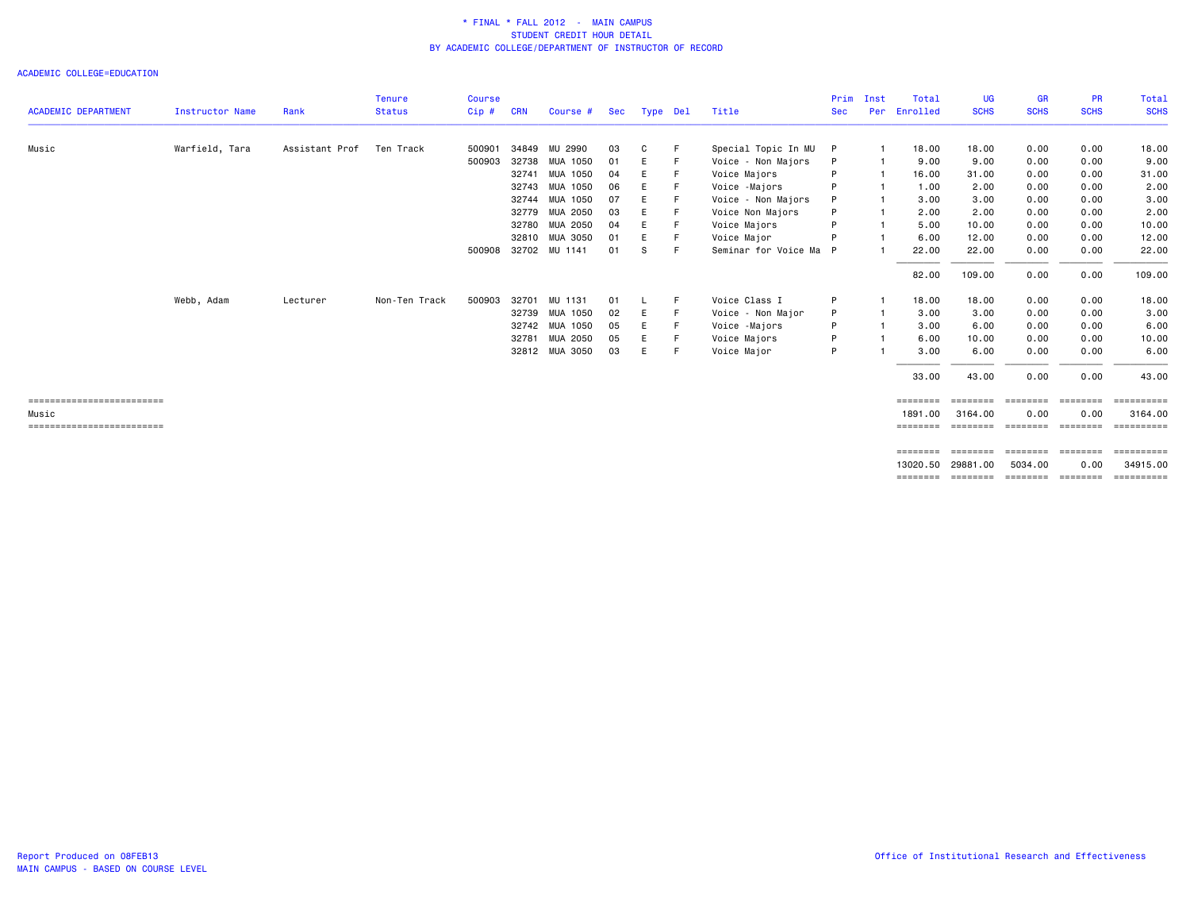| <b>ACADEMIC DEPARTMENT</b> | Instructor Name | Rank           | <b>Tenure</b><br><b>Status</b> | Course<br>Cip# | <b>CRN</b> | Course #             | Sec | Type Del |    | Title                  | Prim<br><b>Sec</b> | Inst<br>Per | Total<br>Enrolled | <b>UG</b><br><b>SCHS</b>            | GR<br><b>SCHS</b> | <b>PR</b><br><b>SCHS</b> | Total<br><b>SCHS</b>  |
|----------------------------|-----------------|----------------|--------------------------------|----------------|------------|----------------------|-----|----------|----|------------------------|--------------------|-------------|-------------------|-------------------------------------|-------------------|--------------------------|-----------------------|
|                            |                 |                |                                |                |            |                      |     |          |    |                        |                    |             |                   |                                     |                   |                          |                       |
| Music                      | Warfield, Tara  | Assistant Prof | Ten Track                      | 500901         | 34849      | MU 2990              | 03  | C        | E  | Special Topic In MU    | P                  |             | 18.00             | 18.00                               | 0.00              | 0.00                     | 18.00                 |
|                            |                 |                |                                | 500903         | 32738      | MUA 1050             | 01  | Е        | F  | Voice - Non Majors     | P                  |             | 9.00              | 9.00                                | 0.00              | 0.00                     | 9.00                  |
|                            |                 |                |                                |                | 32741      | MUA 1050             | 04  | Е        |    | Voice Majors           |                    |             | 16.00             | 31.00                               | 0.00              | 0.00                     | 31.00                 |
|                            |                 |                |                                |                | 32743      | MUA 1050             | 06  | Е        |    | Voice -Majors          | P                  |             | 1.00              | 2.00                                | 0.00              | 0.00                     | 2.00                  |
|                            |                 |                |                                |                | 32744      | MUA 1050             | 07  | Е        |    | Voice - Non Majors     |                    |             | 3.00              | 3.00                                | 0.00              | 0.00                     | 3.00                  |
|                            |                 |                |                                |                |            | 32779 MUA 2050       | 03  | Е        |    | Voice Non Majors       | P                  |             | 2.00              | 2.00                                | 0.00              | 0.00                     | 2.00                  |
|                            |                 |                |                                |                |            | 32780 MUA 2050       | 04  | Е        |    | Voice Majors           |                    |             | 5.00              | 10.00                               | 0.00              | 0.00                     | 10.00                 |
|                            |                 |                |                                |                | 32810      | MUA 3050             | 01  | Е        |    | Voice Major            |                    |             | 6.00              | 12.00                               | 0.00              | 0.00                     | 12.00                 |
|                            |                 |                |                                |                |            | 500908 32702 MU 1141 | 01  | S        | -F | Seminar for Voice Ma P |                    |             | 22.00             | 22.00                               | 0.00              | 0.00                     | 22.00                 |
|                            |                 |                |                                |                |            |                      |     |          |    |                        |                    |             | 82.00             | 109.00                              | 0.00              | 0.00                     | 109.00                |
|                            | Webb, Adam      | Lecturer       | Non-Ten Track                  | 500903         | 32701      | MU 1131              | 01  | L        | -F | Voice Class I          | P                  |             | 18.00             | 18.00                               | 0.00              | 0.00                     | 18.00                 |
|                            |                 |                |                                |                |            | 32739 MUA 1050       | 02  | E        | E  | Voice - Non Major      | P                  |             | 3.00              | 3.00                                | 0.00              | 0.00                     | 3.00                  |
|                            |                 |                |                                |                |            | 32742 MUA 1050       | 05  | E        | F  | Voice -Majors          | P                  |             | 3.00              | 6.00                                | 0.00              | 0.00                     | 6.00                  |
|                            |                 |                |                                |                | 32781      | MUA 2050             | 05  | E        | E  | Voice Majors           | P                  |             | 6.00              | 10.00                               | 0.00              | 0.00                     | 10.00                 |
|                            |                 |                |                                |                |            | 32812 MUA 3050       | 03  | E.       | -F | Voice Major            | P                  |             | 3.00              | 6.00                                | 0.00              | 0.00                     | 6.00                  |
|                            |                 |                |                                |                |            |                      |     |          |    |                        |                    |             | 33.00             | 43.00                               | 0.00              | 0.00                     | 43.00                 |
| -------------------------  |                 |                |                                |                |            |                      |     |          |    |                        |                    |             | ========          |                                     |                   | ========                 | ==========            |
| Music                      |                 |                |                                |                |            |                      |     |          |    |                        |                    |             | 1891.00           | 3164.00                             | 0.00              | 0.00                     | 3164.00               |
| ========================== |                 |                |                                |                |            |                      |     |          |    |                        |                    |             | ========          |                                     | ======== ======== | ========                 | ==========            |
|                            |                 |                |                                |                |            |                      |     |          |    |                        |                    |             | ========          | ========                            | ========          | ========                 | $=$ = = = = = = = = = |
|                            |                 |                |                                |                |            |                      |     |          |    |                        |                    |             | 13020.50          | 29881.00                            | 5034.00           | 0.00                     | 34915.00              |
|                            |                 |                |                                |                |            |                      |     |          |    |                        |                    |             |                   | ======== ======== ======== ======== |                   |                          | ==========            |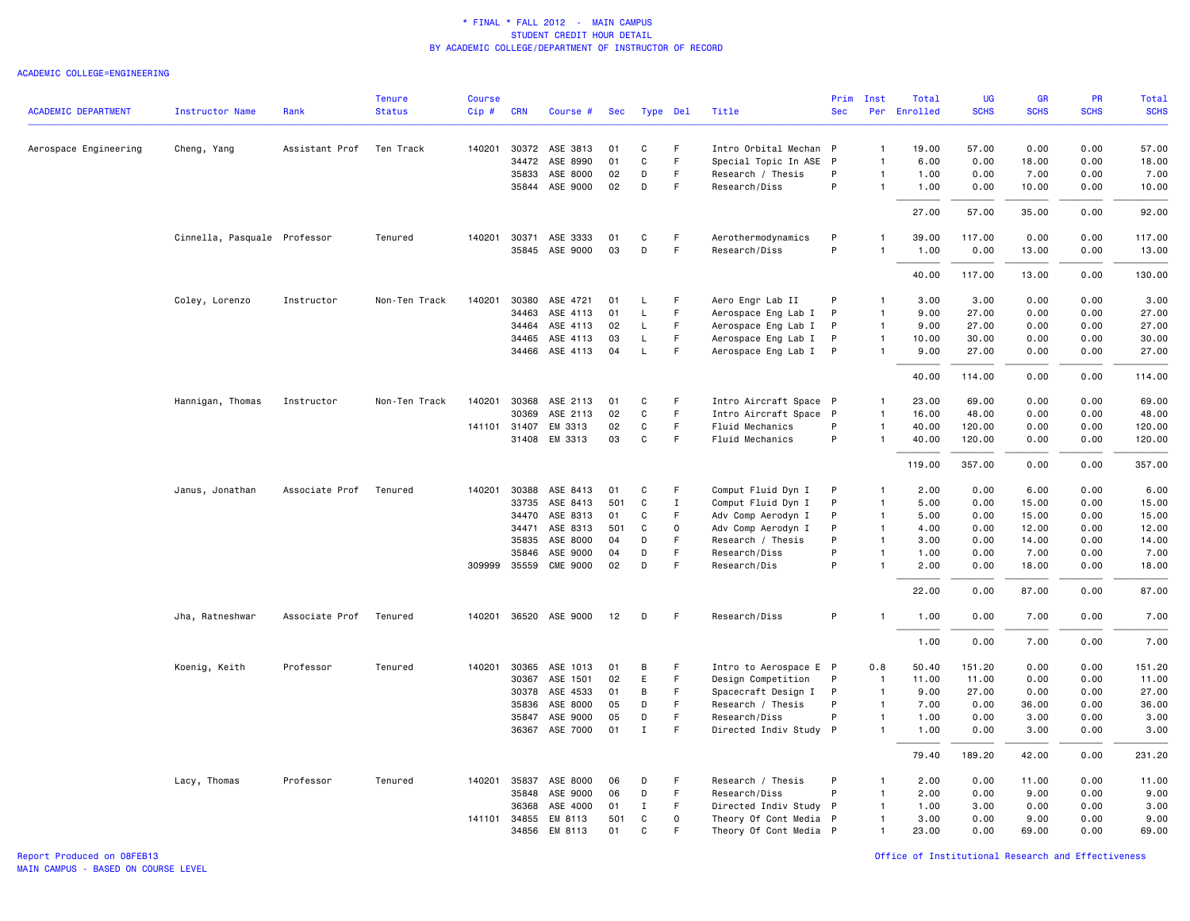#### ACADEMIC COLLEGE=ENGINEERING

|                            |                              |                | <b>Tenure</b> | <b>Course</b> |                |                       |          |                    |             |                                              | Prim         | Inst                           | Total         | UG             | <b>GR</b>    | <b>PR</b>    | Total          |
|----------------------------|------------------------------|----------------|---------------|---------------|----------------|-----------------------|----------|--------------------|-------------|----------------------------------------------|--------------|--------------------------------|---------------|----------------|--------------|--------------|----------------|
| <b>ACADEMIC DEPARTMENT</b> | <b>Instructor Name</b>       | Rank           | <b>Status</b> | Cip#          | <b>CRN</b>     | Course #              | Sec      | Type Del           |             | Title                                        | <b>Sec</b>   |                                | Per Enrolled  | <b>SCHS</b>    | <b>SCHS</b>  | <b>SCHS</b>  | <b>SCHS</b>    |
| Aerospace Engineering      | Cheng, Yang                  | Assistant Prof | Ten Track     | 140201        |                | 30372 ASE 3813        | 01       | C                  | -F          | Intro Orbital Mechan P                       |              | $\mathbf{1}$                   | 19.00         | 57.00          | 0.00         | 0.00         | 57.00          |
|                            |                              |                |               |               | 34472          | ASE 8990              | 01       | C                  | F.          | Special Topic In ASE P                       |              | $\mathbf{1}$                   | 6.00          | 0.00           | 18.00        | 0.00         | 18.00          |
|                            |                              |                |               |               | 35833          | ASE 8000              | 02       | D                  | F           | Research / Thesis                            | P            | $\mathbf{1}$                   | 1.00          | 0.00           | 7.00         | 0.00         | 7.00           |
|                            |                              |                |               |               |                | 35844 ASE 9000        | 02       | D                  | F.          | Research/Diss                                | P            | $\mathbf{1}$                   | 1.00          | 0.00           | 10.00        | 0.00         | 10.00          |
|                            |                              |                |               |               |                |                       |          |                    |             |                                              |              |                                | 27.00         | 57.00          | 35.00        | 0.00         | 92.00          |
|                            | Cinnella, Pasquale Professor |                | Tenured       |               | 140201 30371   | ASE 3333              | 01       | C                  | F.          | Aerothermodynamics                           | P            | $\mathbf{1}$                   | 39.00         | 117.00         | 0.00         | 0.00         | 117.00         |
|                            |                              |                |               |               | 35845          | ASE 9000              | 03       | D                  | F.          | Research/Diss                                | P            | $\mathbf{1}$                   | 1.00          | 0.00           | 13.00        | 0.00         | 13.00          |
|                            |                              |                |               |               |                |                       |          |                    |             |                                              |              |                                | 40.00         | 117.00         | 13.00        | 0.00         | 130.00         |
|                            | Coley, Lorenzo               | Instructor     | Non-Ten Track | 140201        | 30380          | ASE 4721              | 01       | L                  | F           | Aero Engr Lab II                             | P            | $\mathbf{1}$                   | 3.00          | 3.00           | 0.00         | 0.00         | 3.00           |
|                            |                              |                |               |               | 34463          | ASE 4113              | 01       | L                  | F           | Aerospace Eng Lab I                          | P            | $\mathbf{1}$                   | 9.00          | 27.00          | 0.00         | 0.00         | 27.00          |
|                            |                              |                |               |               | 34464          | ASE 4113              | 02       | L.                 | F           | Aerospace Eng Lab I                          | P            | $\overline{1}$                 | 9.00          | 27.00          | 0.00         | 0.00         | 27.00          |
|                            |                              |                |               |               | 34465<br>34466 | ASE 4113<br>ASE 4113  | 03<br>04 | L.<br>$\mathsf{L}$ | F.<br>F     | Aerospace Eng Lab I<br>Aerospace Eng Lab I P | $\mathsf{P}$ | $\overline{1}$<br>$\mathbf{1}$ | 10.00<br>9.00 | 30.00<br>27.00 | 0.00<br>0.00 | 0.00<br>0.00 | 30.00<br>27.00 |
|                            |                              |                |               |               |                |                       |          |                    |             |                                              |              |                                |               |                |              |              |                |
|                            |                              |                |               |               |                |                       |          |                    |             |                                              |              |                                | 40.00         | 114.00         | 0.00         | 0.00         | 114.00         |
|                            | Hannigan, Thomas             | Instructor     | Non-Ten Track | 140201        | 30368          | ASE 2113              | 01       | C                  | $\mathsf F$ | Intro Aircraft Space P                       |              | $\mathbf{1}$                   | 23.00         | 69.00          | 0.00         | 0.00         | 69.00          |
|                            |                              |                |               |               | 30369          | ASE 2113              | 02       | C                  | F           | Intro Aircraft Space P                       |              | $\mathbf{1}$                   | 16.00         | 48.00          | 0.00         | 0.00         | 48.00          |
|                            |                              |                |               |               | 141101 31407   | EM 3313               | 02       | C                  | F.          | Fluid Mechanics                              | P            | $\overline{1}$                 | 40.00         | 120.00         | 0.00         | 0.00         | 120.00         |
|                            |                              |                |               |               | 31408          | EM 3313               | 03       | C                  | F           | Fluid Mechanics                              | P            | $\mathbf{1}$                   | 40.00         | 120.00         | 0.00         | 0.00         | 120.00         |
|                            |                              |                |               |               |                |                       |          |                    |             |                                              |              |                                | 119.00        | 357.00         | 0.00         | 0.00         | 357.00         |
|                            | Janus, Jonathan              | Associate Prof | Tenured       | 140201        | 30388          | ASE 8413              | 01       | C                  | F.          | Comput Fluid Dyn I                           | P            | $\mathbf{1}$                   | 2.00          | 0.00           | 6.00         | 0.00         | 6.00           |
|                            |                              |                |               |               | 33735          | ASE 8413              | 501      | C                  | $\mathbf I$ | Comput Fluid Dyn I                           | P            | $\mathbf{1}$                   | 5.00          | 0.00           | 15.00        | 0.00         | 15.00          |
|                            |                              |                |               |               | 34470          | ASE 8313              | 01       | C                  | F.          | Adv Comp Aerodyn I                           | P            | $\overline{1}$                 | 5.00          | 0.00           | 15.00        | 0.00         | 15.00          |
|                            |                              |                |               |               | 34471          | ASE 8313              | 501      | C                  | $\mathbf 0$ | Adv Comp Aerodyn I                           | P            | $\overline{1}$                 | 4.00          | 0.00           | 12.00        | 0.00         | 12.00          |
|                            |                              |                |               |               | 35835          | ASE 8000              | 04       | D                  | F           | Research / Thesis                            | P            | $\mathbf{1}$                   | 3,00          | 0.00           | 14.00        | 0.00         | 14.00          |
|                            |                              |                |               |               | 35846          | ASE 9000              | 04       | D                  | F           | Research/Diss                                | P            | $\mathbf{1}$                   | 1.00          | 0.00           | 7.00         | 0.00         | 7.00           |
|                            |                              |                |               |               | 309999 35559   | <b>CME 9000</b>       | 02       | D                  | F           | Research/Dis                                 | P            | $\mathbf{1}$                   | 2.00          | 0.00           | 18.00        | 0.00         | 18.00          |
|                            |                              |                |               |               |                |                       |          |                    |             |                                              |              |                                | 22.00         | 0.00           | 87.00        | 0.00         | 87.00          |
|                            | Jha, Ratneshwar              | Associate Prof | Tenured       |               |                | 140201 36520 ASE 9000 | 12       | D                  | F           | Research/Diss                                | P            | -1                             | 1.00          | 0.00           | 7.00         | 0.00         | 7.00           |
|                            |                              |                |               |               |                |                       |          |                    |             |                                              |              |                                | 1.00          | 0.00           | 7.00         | 0.00         | 7.00           |
|                            | Koenig, Keith                | Professor      | Tenured       |               | 140201 30365   | ASE 1013              | 01       | в                  | F           | Intro to Aerospace E P                       |              | 0.8                            | 50.40         | 151.20         | 0.00         | 0.00         | 151.20         |
|                            |                              |                |               |               | 30367          | ASE 1501              | 02       | E                  | F           | Design Competition                           | P            | $\overline{1}$                 | 11.00         | 11.00          | 0.00         | 0.00         | 11.00          |
|                            |                              |                |               |               | 30378          | ASE 4533              | 01       | В                  | F           | Spacecraft Design I                          | P            | $\mathbf{1}$                   | 9.00          | 27.00          | 0.00         | 0.00         | 27.00          |
|                            |                              |                |               |               | 35836          | ASE 8000              | 05       | D                  | F.          | Research / Thesis                            | P            | $\overline{1}$                 | 7.00          | 0.00           | 36.00        | 0.00         | 36.00          |
|                            |                              |                |               |               | 35847          | ASE 9000              | 05       | D                  | F.          | Research/Diss                                | P            | $\mathbf{1}$                   | 1.00          | 0.00           | 3.00         | 0.00         | 3.00           |
|                            |                              |                |               |               | 36367          | ASE 7000              | 01       | $\mathbf I$        | F           | Directed Indiv Study P                       |              | $\overline{1}$                 | 1.00          | 0.00           | 3.00         | 0.00         | 3.00           |
|                            |                              |                |               |               |                |                       |          |                    |             |                                              |              |                                | 79.40         | 189.20         | 42.00        | 0.00         | 231.20         |
|                            | Lacy, Thomas                 | Professor      | Tenured       |               | 140201 35837   | ASE 8000              | 06       | D                  | F           | Research / Thesis                            | P            | $\mathbf{1}$                   | 2.00          | 0.00           | 11.00        | 0.00         | 11.00          |
|                            |                              |                |               |               | 35848          | ASE 9000              | 06       | D                  | F           | Research/Diss                                | P            | $\mathbf{1}$                   | 2.00          | 0.00           | 9.00         | 0.00         | 9.00           |
|                            |                              |                |               |               | 36368          | ASE 4000              | 01       | $\mathbf I$        | F           | Directed Indiv Study P                       |              | $\mathbf{1}$                   | 1.00          | 3.00           | 0.00         | 0.00         | 3.00           |
|                            |                              |                |               |               | 141101 34855   | EM 8113               | 501      | C                  | 0           | Theory Of Cont Media P                       |              | $\overline{1}$                 | 3.00          | 0.00           | 9.00         | 0.00         | 9.00           |
|                            |                              |                |               |               | 34856          | EM 8113               | 01       | $\mathbf C$        | F           | Theory Of Cont Media P                       |              | $\overline{1}$                 | 23.00         | 0.00           | 69.00        | 0.00         | 69.00          |

MAIN CAMPUS - BASED ON COURSE LEVEL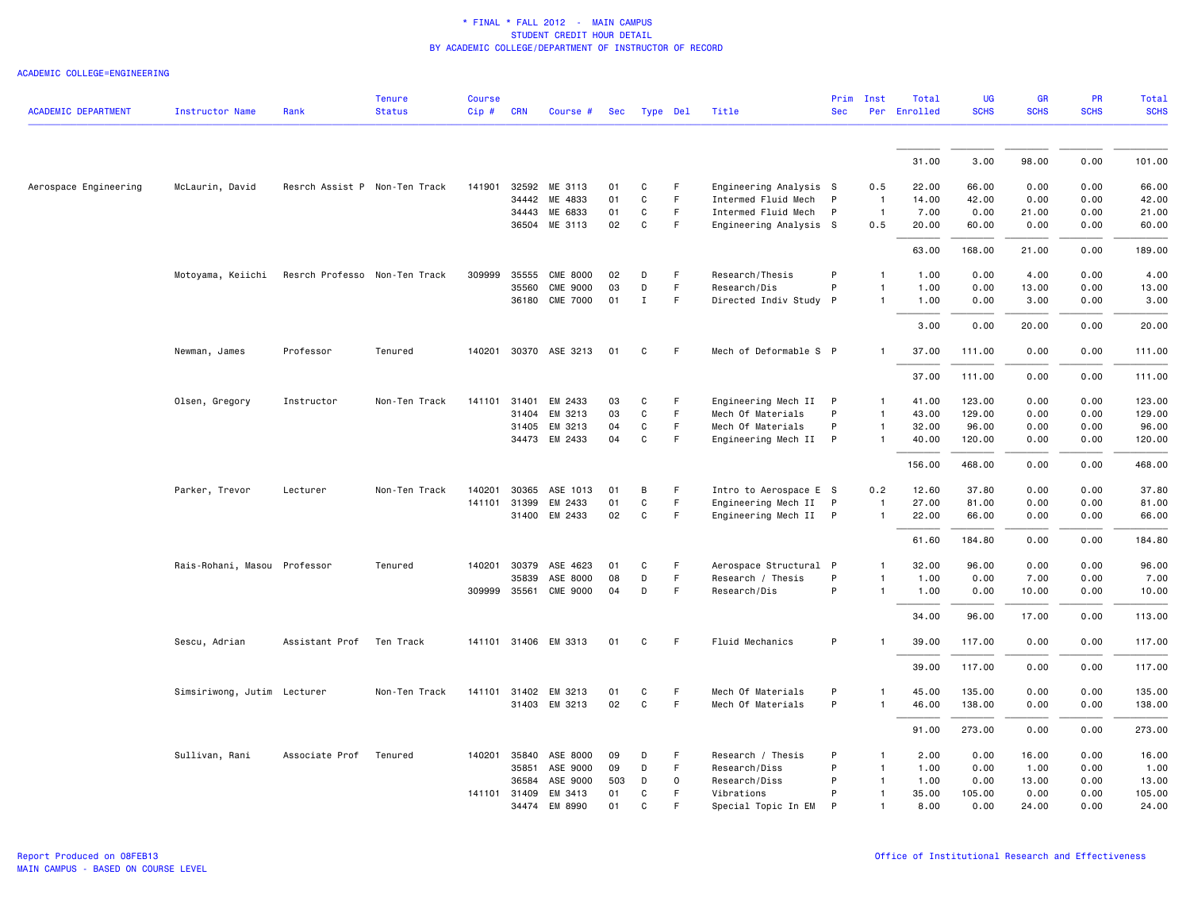| <b>ACADEMIC DEPARTMENT</b> | <b>Instructor Name</b>       | Rank                          | <b>Tenure</b><br><b>Status</b> | <b>Course</b><br>Cip# | <b>CRN</b> | Course #              | Sec | Type Del     |         | Title                  | <b>Sec</b> | Prim Inst      | Total<br>Per Enrolled | <b>UG</b><br><b>SCHS</b> | <b>GR</b><br><b>SCHS</b> | PR<br><b>SCHS</b> | <b>Total</b><br><b>SCHS</b> |
|----------------------------|------------------------------|-------------------------------|--------------------------------|-----------------------|------------|-----------------------|-----|--------------|---------|------------------------|------------|----------------|-----------------------|--------------------------|--------------------------|-------------------|-----------------------------|
|                            |                              |                               |                                |                       |            |                       |     |              |         |                        |            |                |                       |                          |                          |                   |                             |
|                            |                              |                               |                                |                       |            |                       |     |              |         |                        |            |                | 31.00                 | 3.00                     | 98.00                    | 0.00              | 101.00                      |
| Aerospace Engineering      | McLaurin, David              | Resrch Assist P Non-Ten Track |                                | 141901                |            | 32592 ME 3113         | 01  | C            | F.      | Engineering Analysis S |            | 0.5            | 22.00                 | 66.00                    | 0.00                     | 0.00              | 66.00                       |
|                            |                              |                               |                                |                       | 34442      | ME 4833               | 01  | C            | F       | Intermed Fluid Mech    | P          | $\overline{1}$ | 14.00                 | 42.00                    | 0.00                     | 0.00              | 42.00                       |
|                            |                              |                               |                                |                       | 34443      | ME 6833               | 01  | $\mathtt{C}$ | F.      | Intermed Fluid Mech    | P          | $\overline{1}$ | 7.00                  | 0.00                     | 21.00                    | 0.00              | 21.00                       |
|                            |                              |                               |                                |                       | 36504      | ME 3113               | 02  | C            | F.      | Engineering Analysis S |            | 0.5            | 20.00                 | 60.00                    | 0.00                     | 0.00              | 60.00                       |
|                            |                              |                               |                                |                       |            |                       |     |              |         |                        |            |                | 63.00                 | 168.00                   | 21.00                    | 0.00              | 189.00                      |
|                            | Motoyama, Keiichi            | Resrch Professo Non-Ten Track |                                | 309999                | 35555      | <b>CME 8000</b>       | 02  | D            | F       | Research/Thesis        | P          | $\mathbf{1}$   | 1.00                  | 0.00                     | 4.00                     | 0.00              | 4.00                        |
|                            |                              |                               |                                |                       | 35560      | <b>CME 9000</b>       | 03  | D            | F.      | Research/Dis           | P          | $\mathbf{1}$   | 1.00                  | 0.00                     | 13.00                    | 0.00              | 13.00                       |
|                            |                              |                               |                                |                       | 36180      | <b>CME 7000</b>       | 01  | $\mathbf{I}$ | F       | Directed Indiv Study P |            | $\mathbf{1}$   | 1.00                  | 0.00                     | 3.00                     | 0.00              | 3.00                        |
|                            |                              |                               |                                |                       |            |                       |     |              |         |                        |            |                | 3.00                  | 0.00                     | 20.00                    | 0.00              | 20.00                       |
|                            | Newman, James                | Professor                     | Tenured                        |                       |            | 140201 30370 ASE 3213 | 01  | C            | F.      | Mech of Deformable S P |            | $\mathbf{1}$   | 37.00                 | 111.00                   | 0.00                     | 0.00              | 111.00                      |
|                            |                              |                               |                                |                       |            |                       |     |              |         |                        |            |                | 37.00                 | 111.00                   | 0.00                     | 0.00              | 111.00                      |
|                            | Olsen, Gregory               | Instructor                    | Non-Ten Track                  | 141101 31401          |            | EM 2433               | 03  | C            | F       | Engineering Mech II P  |            | $\mathbf{1}$   | 41.00                 | 123.00                   | 0.00                     | 0.00              | 123.00                      |
|                            |                              |                               |                                |                       | 31404      | EM 3213               | 03  | $\mathtt{C}$ | F.      | Mech Of Materials      | P          | $\mathbf{1}$   | 43.00                 | 129.00                   | 0.00                     | 0.00              | 129.00                      |
|                            |                              |                               |                                |                       | 31405      | EM 3213               | 04  | C            | F.      | Mech Of Materials      | P          | $\mathbf{1}$   | 32.00                 | 96.00                    | 0.00                     | 0.00              | 96.00                       |
|                            |                              |                               |                                |                       |            | 34473 EM 2433         | 04  | C            | F       | Engineering Mech II P  |            | $\mathbf{1}$   | 40.00                 | 120.00                   | 0.00                     | 0.00              | 120.00                      |
|                            |                              |                               |                                |                       |            |                       |     |              |         |                        |            |                | 156.00                | 468.00                   | 0.00                     | 0.00              | 468.00                      |
|                            | Parker, Trevor               | Lecturer                      | Non-Ten Track                  |                       |            | 140201 30365 ASE 1013 | 01  | B            | F       | Intro to Aerospace E S |            | 0.2            | 12.60                 | 37.80                    | 0.00                     | 0.00              | 37.80                       |
|                            |                              |                               |                                | 141101 31399          |            | EM 2433               | 01  | C            | F       | Engineering Mech II P  |            | $\overline{1}$ | 27.00                 | 81.00                    | 0.00                     | 0.00              | 81.00                       |
|                            |                              |                               |                                |                       |            | 31400 EM 2433         | 02  | $\mathtt{C}$ | F       | Engineering Mech II P  |            | $\overline{1}$ | 22.00                 | 66.00                    | 0.00                     | 0.00              | 66.00                       |
|                            |                              |                               |                                |                       |            |                       |     |              |         |                        |            |                | 61.60                 | 184.80                   | 0.00                     | 0.00              | 184.80                      |
|                            | Rais-Rohani, Masou Professor |                               | Tenured                        |                       |            | 140201 30379 ASE 4623 | 01  | C            | F.      | Aerospace Structural P |            | $\mathbf{1}$   | 32.00                 | 96.00                    | 0.00                     | 0.00              | 96.00                       |
|                            |                              |                               |                                |                       | 35839      | ASE 8000              | 08  | D            | F       | Research / Thesis      | P          | $\mathbf{1}$   | 1.00                  | 0.00                     | 7.00                     | 0.00              | 7.00                        |
|                            |                              |                               |                                | 309999 35561          |            | <b>CME 9000</b>       | 04  | D            | F       | Research/Dis           | P          | $\mathbf{1}$   | 1.00                  | 0.00                     | 10.00                    | 0.00              | 10.00                       |
|                            |                              |                               |                                |                       |            |                       |     |              |         |                        |            |                | 34.00                 | 96.00                    | 17.00                    | 0.00              | 113.00                      |
|                            | Sescu, Adrian                | Assistant Prof                | Ten Track                      |                       |            | 141101 31406 EM 3313  | 01  | C            | F       | Fluid Mechanics        | P          | $\mathbf{1}$   | 39.00                 | 117.00                   | 0.00                     | 0.00              | 117.00                      |
|                            |                              |                               |                                |                       |            |                       |     |              |         |                        |            |                | 39.00                 | 117.00                   | 0.00                     | 0.00              | 117.00                      |
|                            | Simsiriwong, Jutim Lecturer  |                               | Non-Ten Track                  |                       |            | 141101 31402 EM 3213  | 01  | C            | F       | Mech Of Materials      | P          | $\mathbf{1}$   | 45.00                 | 135.00                   | 0.00                     | 0.00              | 135.00                      |
|                            |                              |                               |                                |                       | 31403      | EM 3213               | 02  | C            | F.      | Mech Of Materials      | P          | 1              | 46.00                 | 138.00                   | 0.00                     | 0.00              | 138.00                      |
|                            |                              |                               |                                |                       |            |                       |     |              |         |                        |            |                | 91.00                 | 273.00                   | 0.00                     | 0.00              | 273.00                      |
|                            | Sullivan, Rani               | Associate Prof                | Tenured                        |                       |            | 140201 35840 ASE 8000 | 09  | D            | F.      | Research / Thesis      | P          | 1              | 2.00                  | 0.00                     | 16.00                    | 0.00              | 16.00                       |
|                            |                              |                               |                                |                       | 35851      | ASE 9000              | 09  | D            | F.      | Research/Diss          | P          | $\overline{1}$ | 1.00                  | 0.00                     | 1.00                     | 0.00              | 1.00                        |
|                            |                              |                               |                                |                       | 36584      | ASE 9000              | 503 | D            | $\circ$ | Research/Diss          | P          | $\overline{1}$ | 1.00                  | 0.00                     | 13.00                    | 0.00              | 13.00                       |
|                            |                              |                               |                                | 141101 31409          |            | EM 3413               | 01  | C            | F       | Vibrations             | P          | $\mathbf{1}$   | 35.00                 | 105.00                   | 0.00                     | 0.00              | 105.00                      |
|                            |                              |                               |                                |                       | 34474      | EM 8990               | 01  | $\mathbf{C}$ |         | Special Topic In EM    | P          |                | 8,00                  | 0.00                     | 24.00                    | 0.00              | 24.00                       |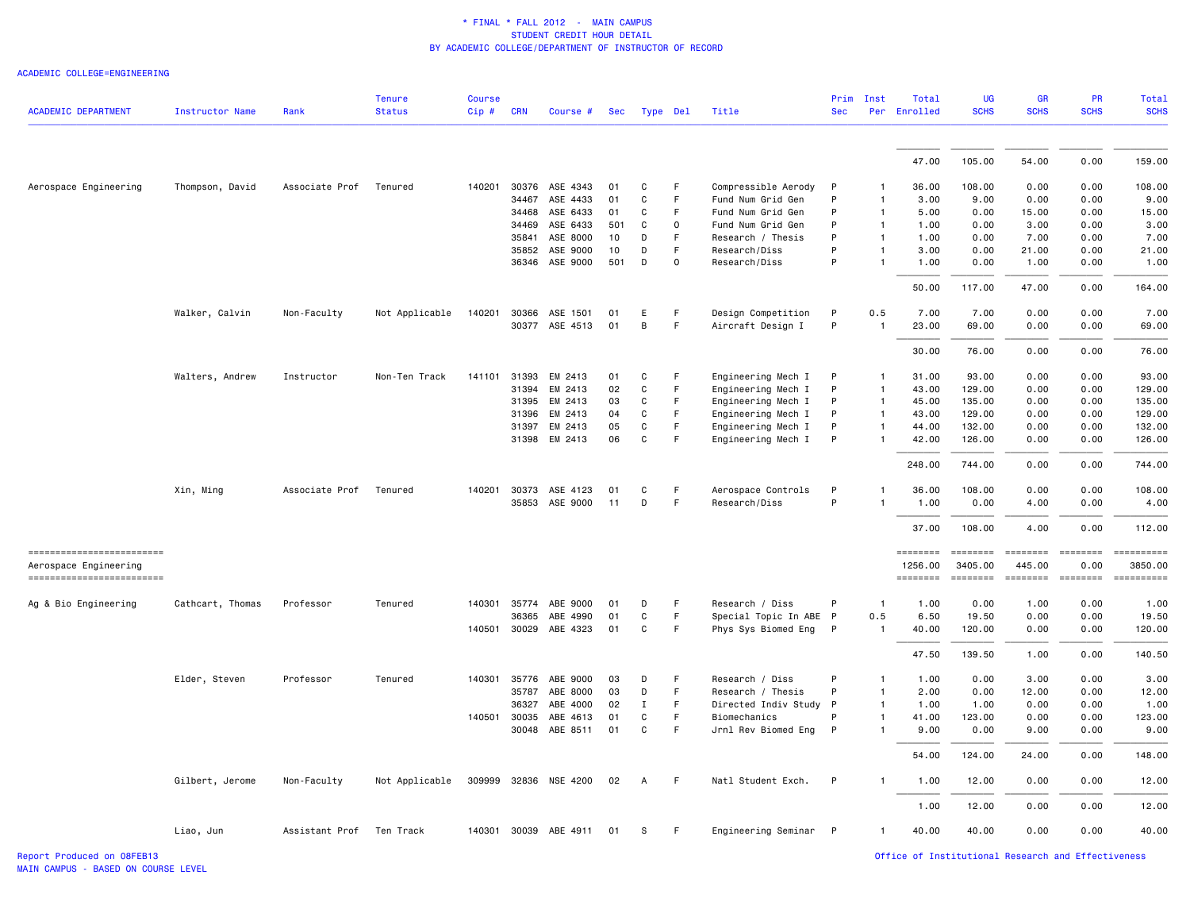ACADEMIC COLLEGE=ENGINEERING

| <b>ACADEMIC DEPARTMENT</b>                        | <b>Instructor Name</b> | Rank                     | <b>Tenure</b><br><b>Status</b> | <b>Course</b><br>$Cip$ # | <b>CRN</b>   | Course #              | Sec      |                | Type Del    | Title                  | Prim<br><b>Sec</b> | Inst                         | Total<br>Per Enrolled | <b>UG</b><br><b>SCHS</b>  | GR<br><b>SCHS</b>         | PR<br><b>SCHS</b>                                                               | <b>Total</b><br><b>SCHS</b>                                                                                                                                                                                                                                                                                                                                                                                                                                                        |
|---------------------------------------------------|------------------------|--------------------------|--------------------------------|--------------------------|--------------|-----------------------|----------|----------------|-------------|------------------------|--------------------|------------------------------|-----------------------|---------------------------|---------------------------|---------------------------------------------------------------------------------|------------------------------------------------------------------------------------------------------------------------------------------------------------------------------------------------------------------------------------------------------------------------------------------------------------------------------------------------------------------------------------------------------------------------------------------------------------------------------------|
|                                                   |                        |                          |                                |                          |              |                       |          |                |             |                        |                    |                              |                       |                           |                           |                                                                                 |                                                                                                                                                                                                                                                                                                                                                                                                                                                                                    |
|                                                   |                        |                          |                                |                          |              |                       |          |                |             |                        |                    |                              | 47.00                 | 105.00                    | 54.00                     | 0.00                                                                            | 159.00                                                                                                                                                                                                                                                                                                                                                                                                                                                                             |
| Aerospace Engineering                             | Thompson, David        | Associate Prof Tenured   |                                |                          |              | 140201 30376 ASE 4343 | 01       | C              | F           | Compressible Aerody    | P                  | $\mathbf{1}$                 | 36.00                 | 108.00                    | 0.00                      | 0.00                                                                            | 108.00                                                                                                                                                                                                                                                                                                                                                                                                                                                                             |
|                                                   |                        |                          |                                |                          | 34467        | ASE 4433              | 01       | C              | F           | Fund Num Grid Gen      | P                  | $\mathbf{1}$                 | 3.00                  | 9.00                      | 0.00                      | 0.00                                                                            | 9.00                                                                                                                                                                                                                                                                                                                                                                                                                                                                               |
|                                                   |                        |                          |                                |                          | 34468        | ASE 6433              | 01       | C              | F.          | Fund Num Grid Gen      | P                  | $\mathbf{1}$                 | 5.00                  | 0.00                      | 15.00                     | 0.00                                                                            | 15.00                                                                                                                                                                                                                                                                                                                                                                                                                                                                              |
|                                                   |                        |                          |                                |                          | 34469        | ASE 6433              | 501      | C              | $\mathbf 0$ | Fund Num Grid Gen      | P                  | $\mathbf{1}$                 | 1.00                  | 0.00                      | 3.00                      | 0.00                                                                            | 3.00                                                                                                                                                                                                                                                                                                                                                                                                                                                                               |
|                                                   |                        |                          |                                |                          | 35841        | ASE 8000              | 10       | D              | F.          | Research / Thesis      | P                  | $\mathbf{1}$                 | 1.00                  | 0.00                      | 7.00                      | 0.00                                                                            | 7.00                                                                                                                                                                                                                                                                                                                                                                                                                                                                               |
|                                                   |                        |                          |                                |                          | 35852        | ASE 9000              | 10       | D              | F           | Research/Diss          | P                  | $\mathbf{1}$                 | 3.00                  | 0.00                      | 21.00                     | 0.00                                                                            | 21.00                                                                                                                                                                                                                                                                                                                                                                                                                                                                              |
|                                                   |                        |                          |                                |                          |              | 36346 ASE 9000        | 501      | D              | $\mathbf 0$ | Research/Diss          | P                  | $\mathbf{1}$                 | 1.00                  | 0.00                      | 1.00                      | 0.00                                                                            | 1.00                                                                                                                                                                                                                                                                                                                                                                                                                                                                               |
|                                                   |                        |                          |                                |                          |              |                       |          |                |             |                        |                    |                              | 50.00                 | 117.00                    | 47.00                     | 0.00                                                                            | 164.00                                                                                                                                                                                                                                                                                                                                                                                                                                                                             |
|                                                   | Walker, Calvin         | Non-Faculty              | Not Applicable                 |                          |              | 140201 30366 ASE 1501 | 01       | E              | F           | Design Competition     | P                  | 0.5                          | 7.00                  | 7.00                      | 0.00                      | 0.00                                                                            | 7.00                                                                                                                                                                                                                                                                                                                                                                                                                                                                               |
|                                                   |                        |                          |                                |                          |              | 30377 ASE 4513        | 01       | B              | F           | Aircraft Design I      | P                  | $\overline{1}$               | 23.00                 | 69.00                     | 0.00                      | 0.00                                                                            | 69.00                                                                                                                                                                                                                                                                                                                                                                                                                                                                              |
|                                                   |                        |                          |                                |                          |              |                       |          |                |             |                        |                    |                              | 30.00                 | 76.00                     | 0.00                      | 0.00                                                                            | 76.00                                                                                                                                                                                                                                                                                                                                                                                                                                                                              |
|                                                   | Walters, Andrew        | Instructor               | Non-Ten Track                  | 141101                   | 31393        | EM 2413               | 01       | C              | F           | Engineering Mech I     | P                  | $\mathbf{1}$                 | 31.00                 | 93.00                     | 0.00                      | 0.00                                                                            | 93.00                                                                                                                                                                                                                                                                                                                                                                                                                                                                              |
|                                                   |                        |                          |                                |                          | 31394        | EM 2413               | 02       | C              | F           | Engineering Mech I     | P                  | $\mathbf{1}$                 | 43.00                 | 129.00                    | 0.00                      | 0.00                                                                            | 129.00                                                                                                                                                                                                                                                                                                                                                                                                                                                                             |
|                                                   |                        |                          |                                |                          | 31395        | EM 2413               | 03       | C              | F           | Engineering Mech I     | P                  | $\mathbf{1}$                 | 45.00                 | 135.00                    | 0.00                      | 0.00                                                                            | 135.00                                                                                                                                                                                                                                                                                                                                                                                                                                                                             |
|                                                   |                        |                          |                                |                          | 31396        | EM 2413               | 04       | C              | F.          | Engineering Mech I     | P                  | $\mathbf{1}$                 | 43.00                 | 129.00                    | 0.00                      | 0.00                                                                            | 129.00                                                                                                                                                                                                                                                                                                                                                                                                                                                                             |
|                                                   |                        |                          |                                |                          | 31397        | EM 2413               | 05       | C              | F           | Engineering Mech I     | P                  | $\mathbf{1}$                 | 44.00                 | 132.00                    | 0.00                      | 0.00                                                                            | 132.00                                                                                                                                                                                                                                                                                                                                                                                                                                                                             |
|                                                   |                        |                          |                                |                          |              | 31398 EM 2413         | 06       | C              | F.          | Engineering Mech I     | P                  | $\mathbf{1}$                 | 42.00                 | 126.00                    | 0.00                      | 0.00                                                                            | 126.00                                                                                                                                                                                                                                                                                                                                                                                                                                                                             |
|                                                   |                        |                          |                                |                          |              |                       |          |                |             |                        |                    |                              | 248.00                | 744.00                    | 0.00                      | 0.00                                                                            | 744.00                                                                                                                                                                                                                                                                                                                                                                                                                                                                             |
|                                                   | Xin, Ming              | Associate Prof Tenured   |                                |                          |              | 140201 30373 ASE 4123 | 01       | C              | F           | Aerospace Controls     | P                  | 1                            | 36.00                 | 108.00                    | 0.00                      | 0.00                                                                            | 108.00                                                                                                                                                                                                                                                                                                                                                                                                                                                                             |
|                                                   |                        |                          |                                |                          |              | 35853 ASE 9000        | 11       | D              | F           | Research/Diss          | P                  | 1                            | 1.00                  | 0.00                      | 4.00                      | 0.00                                                                            | 4.00                                                                                                                                                                                                                                                                                                                                                                                                                                                                               |
|                                                   |                        |                          |                                |                          |              |                       |          |                |             |                        |                    |                              | 37.00                 | 108.00                    | 4.00                      | 0.00                                                                            | 112.00                                                                                                                                                                                                                                                                                                                                                                                                                                                                             |
| ------------------------<br>Aerospace Engineering |                        |                          |                                |                          |              |                       |          |                |             |                        |                    |                              | ========<br>1256.00   | <b>ESSESSE</b><br>3405.00 | <b>SEBBEBEB</b><br>445.00 | $\qquad \qquad \equiv \equiv \equiv \equiv \equiv \equiv \equiv \equiv$<br>0.00 | $\begin{minipage}{0.9\linewidth} \hspace*{-0.2cm} \textbf{if the number of } \textit{if} \textit{if} \textit{if} \textit{if} \textit{if} \textit{if} \textit{if} \textit{if} \textit{if} \textit{if} \textit{if} \textit{if} \textit{if} \textit{if} \textit{if} \textit{if} \textit{if} \textit{if} \textit{if} \textit{if} \textit{if} \textit{if} \textit{if} \textit{if} \textit{if} \textit{if} \textit{if} \textit{if} \textit{if} \textit{if} \textit{if} \text$<br>3850.00 |
| ------------------------                          |                        |                          |                                |                          |              |                       |          |                |             |                        |                    |                              | ========              |                           | <b>SEBBEBEB</b>           |                                                                                 | $\begin{minipage}{0.9\linewidth} \hspace*{-0.2cm} \textbf{if the number of } \textit{if} \textit{if} \textit{if} \textit{if} \textit{if} \textit{if} \textit{if} \textit{if} \textit{if} \textit{if} \textit{if} \textit{if} \textit{if} \textit{if} \textit{if} \textit{if} \textit{if} \textit{if} \textit{if} \textit{if} \textit{if} \textit{if} \textit{if} \textit{if} \textit{if} \textit{if} \textit{if} \textit{if} \textit{if} \textit{if} \textit{if} \text$            |
| Ag & Bio Engineering                              | Cathcart, Thomas       | Professor                | Tenured                        |                          | 140301 35774 | ABE 9000              | 01       | D              | F           | Research / Diss        | P                  | $\overline{1}$               | 1.00                  | 0.00                      | 1.00                      | 0.00                                                                            | 1.00                                                                                                                                                                                                                                                                                                                                                                                                                                                                               |
|                                                   |                        |                          |                                |                          | 36365        | ABE 4990              | 01       | C              | F.          | Special Topic In ABE P |                    | 0.5                          | 6.50                  | 19.50                     | 0.00                      | 0.00                                                                            | 19.50                                                                                                                                                                                                                                                                                                                                                                                                                                                                              |
|                                                   |                        |                          |                                |                          |              | 140501 30029 ABE 4323 | 01       | C              | F           | Phys Sys Biomed Eng P  |                    | $\overline{1}$               | 40.00                 | 120.00                    | 0.00                      | 0.00                                                                            | 120.00                                                                                                                                                                                                                                                                                                                                                                                                                                                                             |
|                                                   |                        |                          |                                |                          |              |                       |          |                |             |                        |                    |                              | 47.50                 | 139.50                    | 1.00                      | 0.00                                                                            | 140.50                                                                                                                                                                                                                                                                                                                                                                                                                                                                             |
|                                                   | Elder, Steven          | Professor                | Tenured                        |                          | 140301 35776 | ABE 9000              | 03       | D              | F           | Research / Diss        | P                  | $\mathbf{1}$                 | 1.00                  | 0.00                      | 3.00                      | 0.00                                                                            | 3.00                                                                                                                                                                                                                                                                                                                                                                                                                                                                               |
|                                                   |                        |                          |                                |                          | 35787        | ABE 8000              | 03       | D              | F           | Research / Thesis      | P                  | $\mathbf{1}$                 | 2.00                  | 0.00                      | 12.00                     | 0.00                                                                            | 12.00                                                                                                                                                                                                                                                                                                                                                                                                                                                                              |
|                                                   |                        |                          |                                |                          | 36327        | ABE 4000              | 02       | $\mathbf{I}$   | F.          | Directed Indiv Study   | P                  | $\mathbf{1}$                 | 1.00                  | 1.00                      | 0.00                      | 0.00                                                                            | 1.00                                                                                                                                                                                                                                                                                                                                                                                                                                                                               |
|                                                   |                        |                          |                                |                          | 140501 30035 | ABE 4613              | 01<br>01 | C<br>C         | F.<br>F     | Biomechanics           | P<br>P             | $\mathbf{1}$<br>$\mathbf{1}$ | 41.00<br>9.00         | 123.00<br>0.00            | 0.00<br>9.00              | 0.00                                                                            | 123.00<br>9.00                                                                                                                                                                                                                                                                                                                                                                                                                                                                     |
|                                                   |                        |                          |                                |                          |              | 30048 ABE 8511        |          |                |             | Jrnl Rev Biomed Eng    |                    |                              |                       |                           |                           | 0.00                                                                            |                                                                                                                                                                                                                                                                                                                                                                                                                                                                                    |
|                                                   |                        |                          |                                |                          |              |                       |          |                |             |                        |                    |                              | 54.00                 | 124.00                    | 24.00                     | 0.00                                                                            | 148.00                                                                                                                                                                                                                                                                                                                                                                                                                                                                             |
|                                                   | Gilbert, Jerome        | Non-Faculty              | Not Applicable                 |                          |              | 309999 32836 NSE 4200 | 02       | $\overline{A}$ | F           | Natl Student Exch.     | P                  | $\mathbf{1}$                 | 1.00                  | 12.00                     | 0.00                      | 0.00                                                                            | 12.00                                                                                                                                                                                                                                                                                                                                                                                                                                                                              |
|                                                   |                        |                          |                                |                          |              |                       |          |                |             |                        |                    |                              | 1.00                  | 12.00                     | 0.00                      | 0.00                                                                            | 12.00                                                                                                                                                                                                                                                                                                                                                                                                                                                                              |
|                                                   | Liao, Jun              | Assistant Prof Ten Track |                                |                          |              | 140301 30039 ABE 4911 | 01       | S              | F           | Engineering Seminar P  |                    | $\mathbf{1}$                 | 40.00                 | 40.00                     | 0.00                      | 0.00                                                                            | 40.00                                                                                                                                                                                                                                                                                                                                                                                                                                                                              |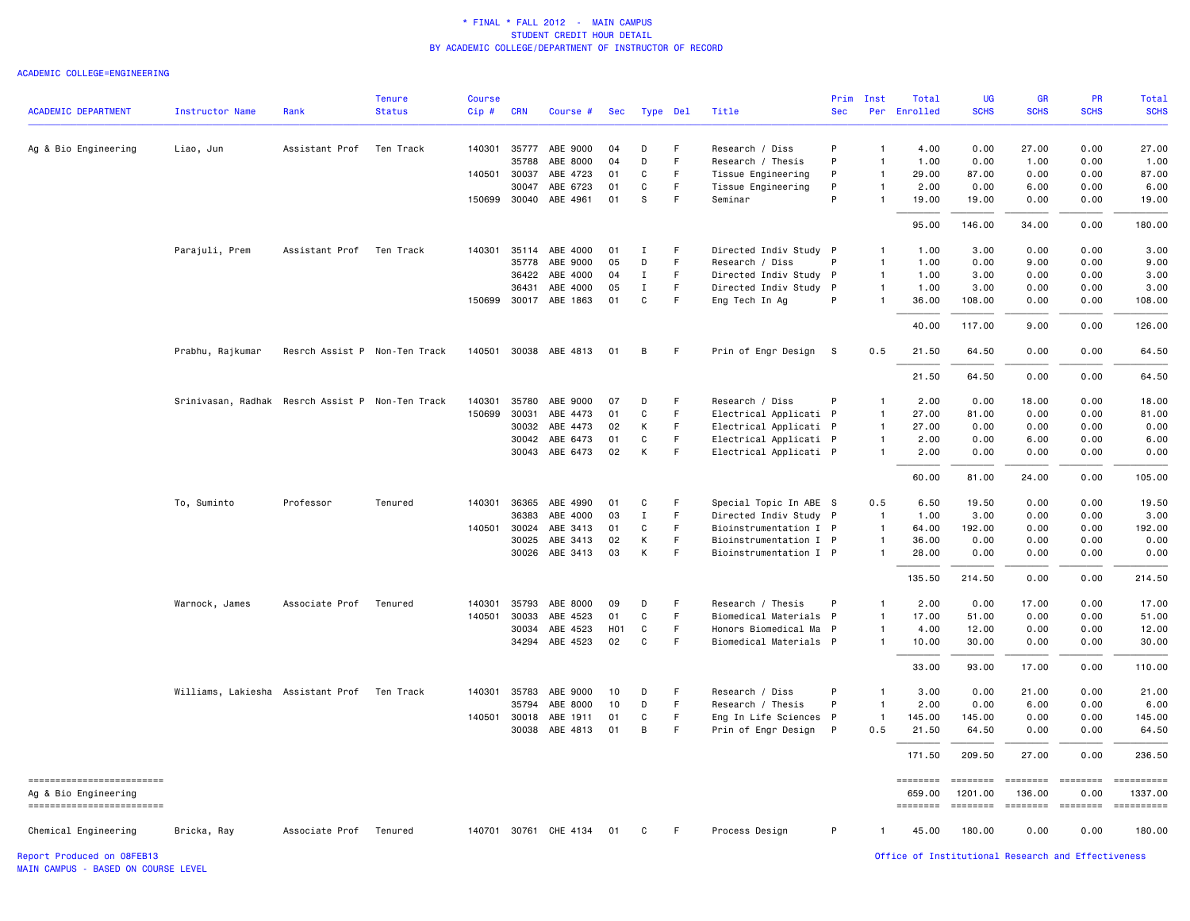#### ACADEMIC COLLEGE=ENGINEERING

|                                                    |                                                  |                               | <b>Tenure</b> | <b>Course</b> |              |                       |     |             |             |                        | Prim       | Inst           | Total              | UG                                                                                                                                                                                                                                                                                                                                                                                                                                                                                                | <b>GR</b>                                                                                                                                                                                                                                                                                                                                                                                                                                                                                      | <b>PR</b>                                                                                                                                                                                                                                                                                                                                                                                                                                                                                      | Total                                                                                                                                                                                                                                                                                                                                                                                                                    |
|----------------------------------------------------|--------------------------------------------------|-------------------------------|---------------|---------------|--------------|-----------------------|-----|-------------|-------------|------------------------|------------|----------------|--------------------|---------------------------------------------------------------------------------------------------------------------------------------------------------------------------------------------------------------------------------------------------------------------------------------------------------------------------------------------------------------------------------------------------------------------------------------------------------------------------------------------------|------------------------------------------------------------------------------------------------------------------------------------------------------------------------------------------------------------------------------------------------------------------------------------------------------------------------------------------------------------------------------------------------------------------------------------------------------------------------------------------------|------------------------------------------------------------------------------------------------------------------------------------------------------------------------------------------------------------------------------------------------------------------------------------------------------------------------------------------------------------------------------------------------------------------------------------------------------------------------------------------------|--------------------------------------------------------------------------------------------------------------------------------------------------------------------------------------------------------------------------------------------------------------------------------------------------------------------------------------------------------------------------------------------------------------------------|
| <b>ACADEMIC DEPARTMENT</b>                         | Instructor Name                                  | Rank                          | <b>Status</b> | Cip#          | <b>CRN</b>   | Course #              | Sec | Type Del    |             | Title                  | <b>Sec</b> |                | Per Enrolled       | <b>SCHS</b>                                                                                                                                                                                                                                                                                                                                                                                                                                                                                       | <b>SCHS</b>                                                                                                                                                                                                                                                                                                                                                                                                                                                                                    | <b>SCHS</b>                                                                                                                                                                                                                                                                                                                                                                                                                                                                                    | <b>SCHS</b>                                                                                                                                                                                                                                                                                                                                                                                                              |
| Ag & Bio Engineering                               | Liao, Jun                                        | Assistant Prof                | Ten Track     | 140301        |              | 35777 ABE 9000        | 04  | D           | F           | Research / Diss        | P          | $\mathbf{1}$   | 4.00               | 0.00                                                                                                                                                                                                                                                                                                                                                                                                                                                                                              | 27.00                                                                                                                                                                                                                                                                                                                                                                                                                                                                                          | 0.00                                                                                                                                                                                                                                                                                                                                                                                                                                                                                           | 27.00                                                                                                                                                                                                                                                                                                                                                                                                                    |
|                                                    |                                                  |                               |               |               | 35788        | ABE 8000              | 04  | D           | F           | Research / Thesis      | P          | $\mathbf{1}$   | 1.00               | 0.00                                                                                                                                                                                                                                                                                                                                                                                                                                                                                              | 1.00                                                                                                                                                                                                                                                                                                                                                                                                                                                                                           | 0.00                                                                                                                                                                                                                                                                                                                                                                                                                                                                                           | 1.00                                                                                                                                                                                                                                                                                                                                                                                                                     |
|                                                    |                                                  |                               |               | 140501        | 30037        | ABE 4723              | 01  | C           | F           | Tissue Engineering     | P          | $\mathbf{1}$   | 29.00              | 87.00                                                                                                                                                                                                                                                                                                                                                                                                                                                                                             | 0.00                                                                                                                                                                                                                                                                                                                                                                                                                                                                                           | 0.00                                                                                                                                                                                                                                                                                                                                                                                                                                                                                           | 87.00                                                                                                                                                                                                                                                                                                                                                                                                                    |
|                                                    |                                                  |                               |               |               | 30047        | ABE 6723              | 01  | C           | F.          | Tissue Engineering     | P          | $\mathbf{1}$   | 2.00               | 0.00                                                                                                                                                                                                                                                                                                                                                                                                                                                                                              | 6.00                                                                                                                                                                                                                                                                                                                                                                                                                                                                                           | 0.00                                                                                                                                                                                                                                                                                                                                                                                                                                                                                           | 6.00                                                                                                                                                                                                                                                                                                                                                                                                                     |
|                                                    |                                                  |                               |               |               | 150699 30040 | ABE 4961              | 01  | s           | F           | Seminar                | P          | $\mathbf{1}$   | 19.00              | 19.00                                                                                                                                                                                                                                                                                                                                                                                                                                                                                             | 0.00                                                                                                                                                                                                                                                                                                                                                                                                                                                                                           | 0.00                                                                                                                                                                                                                                                                                                                                                                                                                                                                                           | 19.00                                                                                                                                                                                                                                                                                                                                                                                                                    |
|                                                    |                                                  |                               |               |               |              |                       |     |             |             |                        |            |                | 95.00              | 146.00                                                                                                                                                                                                                                                                                                                                                                                                                                                                                            | 34.00                                                                                                                                                                                                                                                                                                                                                                                                                                                                                          | 0.00                                                                                                                                                                                                                                                                                                                                                                                                                                                                                           | 180.00                                                                                                                                                                                                                                                                                                                                                                                                                   |
|                                                    | Parajuli, Prem                                   | Assistant Prof                | Ten Track     |               |              | 140301 35114 ABE 4000 | 01  | Ι.          | F           | Directed Indiv Study P |            | $\mathbf{1}$   | 1.00               | 3.00                                                                                                                                                                                                                                                                                                                                                                                                                                                                                              | 0.00                                                                                                                                                                                                                                                                                                                                                                                                                                                                                           | 0.00                                                                                                                                                                                                                                                                                                                                                                                                                                                                                           | 3.00                                                                                                                                                                                                                                                                                                                                                                                                                     |
|                                                    |                                                  |                               |               |               | 35778        | ABE 9000              | 05  | D           | F           | Research / Diss        | P          | $\mathbf{1}$   | 1.00               | 0.00                                                                                                                                                                                                                                                                                                                                                                                                                                                                                              | 9.00                                                                                                                                                                                                                                                                                                                                                                                                                                                                                           | 0.00                                                                                                                                                                                                                                                                                                                                                                                                                                                                                           | 9.00                                                                                                                                                                                                                                                                                                                                                                                                                     |
|                                                    |                                                  |                               |               |               | 36422        | ABE 4000              | 04  | Ι.          | F           | Directed Indiv Study P |            | $\mathbf{1}$   | 1.00               | 3.00                                                                                                                                                                                                                                                                                                                                                                                                                                                                                              | 0.00                                                                                                                                                                                                                                                                                                                                                                                                                                                                                           | 0.00                                                                                                                                                                                                                                                                                                                                                                                                                                                                                           | 3.00                                                                                                                                                                                                                                                                                                                                                                                                                     |
|                                                    |                                                  |                               |               |               | 36431        | ABE 4000              | 05  | Ι.          | F           | Directed Indiv Study P |            | $\mathbf{1}$   | 1.00               | 3.00                                                                                                                                                                                                                                                                                                                                                                                                                                                                                              | 0.00                                                                                                                                                                                                                                                                                                                                                                                                                                                                                           | 0.00                                                                                                                                                                                                                                                                                                                                                                                                                                                                                           | 3.00                                                                                                                                                                                                                                                                                                                                                                                                                     |
|                                                    |                                                  |                               |               |               |              | 150699 30017 ABE 1863 | 01  | C           | F           | Eng Tech In Ag         | P          | $\mathbf{1}$   | 36.00              | 108.00                                                                                                                                                                                                                                                                                                                                                                                                                                                                                            | 0.00                                                                                                                                                                                                                                                                                                                                                                                                                                                                                           | 0.00                                                                                                                                                                                                                                                                                                                                                                                                                                                                                           | 108.00                                                                                                                                                                                                                                                                                                                                                                                                                   |
|                                                    |                                                  |                               |               |               |              |                       |     |             |             |                        |            |                | 40.00              | 117.00                                                                                                                                                                                                                                                                                                                                                                                                                                                                                            | 9.00                                                                                                                                                                                                                                                                                                                                                                                                                                                                                           | 0.00                                                                                                                                                                                                                                                                                                                                                                                                                                                                                           | 126.00                                                                                                                                                                                                                                                                                                                                                                                                                   |
|                                                    | Prabhu, Rajkumar                                 | Resrch Assist P Non-Ten Track |               |               |              | 140501 30038 ABE 4813 | 01  | В           | $\mathsf F$ | Prin of Engr Design S  |            | 0.5            | 21.50              | 64.50                                                                                                                                                                                                                                                                                                                                                                                                                                                                                             | 0.00                                                                                                                                                                                                                                                                                                                                                                                                                                                                                           | 0.00                                                                                                                                                                                                                                                                                                                                                                                                                                                                                           | 64.50                                                                                                                                                                                                                                                                                                                                                                                                                    |
|                                                    |                                                  |                               |               |               |              |                       |     |             |             |                        |            |                | 21.50              | 64.50                                                                                                                                                                                                                                                                                                                                                                                                                                                                                             | 0.00                                                                                                                                                                                                                                                                                                                                                                                                                                                                                           | 0.00                                                                                                                                                                                                                                                                                                                                                                                                                                                                                           | 64.50                                                                                                                                                                                                                                                                                                                                                                                                                    |
|                                                    | Srinivasan, Radhak Resrch Assist P Non-Ten Track |                               |               | 140301        | 35780        | ABE 9000              | 07  | D           | F           | Research / Diss        | P          | $\mathbf{1}$   | 2.00               | 0.00                                                                                                                                                                                                                                                                                                                                                                                                                                                                                              | 18.00                                                                                                                                                                                                                                                                                                                                                                                                                                                                                          | 0.00                                                                                                                                                                                                                                                                                                                                                                                                                                                                                           | 18.00                                                                                                                                                                                                                                                                                                                                                                                                                    |
|                                                    |                                                  |                               |               | 150699        | 30031        | ABE 4473              | 01  | C           | F           | Electrical Applicati P |            | $\mathbf{1}$   | 27.00              | 81.00                                                                                                                                                                                                                                                                                                                                                                                                                                                                                             | 0.00                                                                                                                                                                                                                                                                                                                                                                                                                                                                                           | 0.00                                                                                                                                                                                                                                                                                                                                                                                                                                                                                           | 81.00                                                                                                                                                                                                                                                                                                                                                                                                                    |
|                                                    |                                                  |                               |               |               | 30032        | ABE 4473              | 02  | К           | E           | Electrical Applicati P |            | $\mathbf{1}$   | 27.00              | 0.00                                                                                                                                                                                                                                                                                                                                                                                                                                                                                              | 0.00                                                                                                                                                                                                                                                                                                                                                                                                                                                                                           | 0.00                                                                                                                                                                                                                                                                                                                                                                                                                                                                                           | 0.00                                                                                                                                                                                                                                                                                                                                                                                                                     |
|                                                    |                                                  |                               |               |               | 30042        | ABE 6473              | 01  | C           | F.          | Electrical Applicati P |            | $\mathbf{1}$   | 2.00               | 0.00                                                                                                                                                                                                                                                                                                                                                                                                                                                                                              | 6.00                                                                                                                                                                                                                                                                                                                                                                                                                                                                                           | 0.00                                                                                                                                                                                                                                                                                                                                                                                                                                                                                           | 6.00                                                                                                                                                                                                                                                                                                                                                                                                                     |
|                                                    |                                                  |                               |               |               | 30043        | ABE 6473              | 02  | К           | $\mathsf F$ | Electrical Applicati P |            | $\mathbf{1}$   | 2.00               | 0.00                                                                                                                                                                                                                                                                                                                                                                                                                                                                                              | 0.00                                                                                                                                                                                                                                                                                                                                                                                                                                                                                           | 0.00                                                                                                                                                                                                                                                                                                                                                                                                                                                                                           | 0.00                                                                                                                                                                                                                                                                                                                                                                                                                     |
|                                                    |                                                  |                               |               |               |              |                       |     |             |             |                        |            |                | 60.00              | 81.00                                                                                                                                                                                                                                                                                                                                                                                                                                                                                             | 24.00                                                                                                                                                                                                                                                                                                                                                                                                                                                                                          | 0.00                                                                                                                                                                                                                                                                                                                                                                                                                                                                                           | 105.00                                                                                                                                                                                                                                                                                                                                                                                                                   |
|                                                    | To, Suminto                                      | Professor                     | Tenured       |               | 140301 36365 | ABE 4990              | 01  | C           | F           | Special Topic In ABE S |            | 0.5            | 6.50               | 19.50                                                                                                                                                                                                                                                                                                                                                                                                                                                                                             | 0.00                                                                                                                                                                                                                                                                                                                                                                                                                                                                                           | 0.00                                                                                                                                                                                                                                                                                                                                                                                                                                                                                           | 19.50                                                                                                                                                                                                                                                                                                                                                                                                                    |
|                                                    |                                                  |                               |               |               | 36383        | ABE 4000              | 03  | Ι.          | $\mathsf F$ | Directed Indiv Study P |            | $\overline{1}$ | 1.00               | 3.00                                                                                                                                                                                                                                                                                                                                                                                                                                                                                              | 0.00                                                                                                                                                                                                                                                                                                                                                                                                                                                                                           | 0.00                                                                                                                                                                                                                                                                                                                                                                                                                                                                                           | 3.00                                                                                                                                                                                                                                                                                                                                                                                                                     |
|                                                    |                                                  |                               |               | 140501        | 30024        | ABE 3413              | 01  | C           | F           | Bioinstrumentation I P |            | $\overline{1}$ | 64.00              | 192.00                                                                                                                                                                                                                                                                                                                                                                                                                                                                                            | 0.00                                                                                                                                                                                                                                                                                                                                                                                                                                                                                           | 0.00                                                                                                                                                                                                                                                                                                                                                                                                                                                                                           | 192.00                                                                                                                                                                                                                                                                                                                                                                                                                   |
|                                                    |                                                  |                               |               |               | 30025        | ABE 3413              | 02  | К           | $\mathsf F$ | Bioinstrumentation I P |            | $\overline{1}$ | 36.00              | 0.00                                                                                                                                                                                                                                                                                                                                                                                                                                                                                              | 0.00                                                                                                                                                                                                                                                                                                                                                                                                                                                                                           | 0.00                                                                                                                                                                                                                                                                                                                                                                                                                                                                                           | 0.00                                                                                                                                                                                                                                                                                                                                                                                                                     |
|                                                    |                                                  |                               |               |               | 30026        | ABE 3413              | 03  | К           | F           | Bioinstrumentation I P |            | $\mathbf{1}$   | 28.00              | 0.00                                                                                                                                                                                                                                                                                                                                                                                                                                                                                              | 0.00                                                                                                                                                                                                                                                                                                                                                                                                                                                                                           | 0.00                                                                                                                                                                                                                                                                                                                                                                                                                                                                                           | 0.00                                                                                                                                                                                                                                                                                                                                                                                                                     |
|                                                    |                                                  |                               |               |               |              |                       |     |             |             |                        |            |                | 135.50             | 214.50                                                                                                                                                                                                                                                                                                                                                                                                                                                                                            | 0.00                                                                                                                                                                                                                                                                                                                                                                                                                                                                                           | 0.00                                                                                                                                                                                                                                                                                                                                                                                                                                                                                           | 214.50                                                                                                                                                                                                                                                                                                                                                                                                                   |
|                                                    | Warnock, James                                   | Associate Prof                | Tenured       | 140301        | 35793        | ABE 8000              | 09  | D           | F           | Research / Thesis      | P          | $\mathbf{1}$   | 2.00               | 0.00                                                                                                                                                                                                                                                                                                                                                                                                                                                                                              | 17.00                                                                                                                                                                                                                                                                                                                                                                                                                                                                                          | 0.00                                                                                                                                                                                                                                                                                                                                                                                                                                                                                           | 17.00                                                                                                                                                                                                                                                                                                                                                                                                                    |
|                                                    |                                                  |                               |               | 140501        | 30033        | ABE 4523              | 01  | $\mathbf C$ | $\mathsf F$ | Biomedical Materials P |            | $\mathbf{1}$   | 17.00              | 51.00                                                                                                                                                                                                                                                                                                                                                                                                                                                                                             | 0.00                                                                                                                                                                                                                                                                                                                                                                                                                                                                                           | 0.00                                                                                                                                                                                                                                                                                                                                                                                                                                                                                           | 51.00                                                                                                                                                                                                                                                                                                                                                                                                                    |
|                                                    |                                                  |                               |               |               | 30034        | ABE 4523              | H01 | $\mathbf C$ | $\mathsf F$ | Honors Biomedical Ma P |            | $\mathbf{1}$   | 4.00               | 12.00                                                                                                                                                                                                                                                                                                                                                                                                                                                                                             | 0.00                                                                                                                                                                                                                                                                                                                                                                                                                                                                                           | 0.00                                                                                                                                                                                                                                                                                                                                                                                                                                                                                           | 12.00                                                                                                                                                                                                                                                                                                                                                                                                                    |
|                                                    |                                                  |                               |               |               |              | 34294 ABE 4523        | 02  | C           | $\mathsf F$ | Biomedical Materials P |            | $\mathbf{1}$   | 10.00              | 30.00                                                                                                                                                                                                                                                                                                                                                                                                                                                                                             | 0.00                                                                                                                                                                                                                                                                                                                                                                                                                                                                                           | 0.00                                                                                                                                                                                                                                                                                                                                                                                                                                                                                           | 30.00                                                                                                                                                                                                                                                                                                                                                                                                                    |
|                                                    |                                                  |                               |               |               |              |                       |     |             |             |                        |            |                | 33.00              | 93.00                                                                                                                                                                                                                                                                                                                                                                                                                                                                                             | 17.00                                                                                                                                                                                                                                                                                                                                                                                                                                                                                          | 0.00                                                                                                                                                                                                                                                                                                                                                                                                                                                                                           | 110.00                                                                                                                                                                                                                                                                                                                                                                                                                   |
|                                                    | Williams, Lakiesha Assistant Prof Ten Track      |                               |               |               | 140301 35783 | ABE 9000              | 10  | D           | F           | Research / Diss        | P          | $\overline{1}$ | 3.00               | 0.00                                                                                                                                                                                                                                                                                                                                                                                                                                                                                              | 21.00                                                                                                                                                                                                                                                                                                                                                                                                                                                                                          | 0.00                                                                                                                                                                                                                                                                                                                                                                                                                                                                                           | 21.00                                                                                                                                                                                                                                                                                                                                                                                                                    |
|                                                    |                                                  |                               |               |               | 35794        | ABE 8000              | 10  | D           | F           | Research / Thesis      | P          | $\overline{1}$ | 2.00               | 0.00                                                                                                                                                                                                                                                                                                                                                                                                                                                                                              | 6.00                                                                                                                                                                                                                                                                                                                                                                                                                                                                                           | 0.00                                                                                                                                                                                                                                                                                                                                                                                                                                                                                           | 6.00                                                                                                                                                                                                                                                                                                                                                                                                                     |
|                                                    |                                                  |                               |               | 140501        | 30018        | ABE 1911              | 01  | C           | F           | Eng In Life Sciences P |            | -1             | 145.00             | 145.00                                                                                                                                                                                                                                                                                                                                                                                                                                                                                            | 0.00                                                                                                                                                                                                                                                                                                                                                                                                                                                                                           | 0.00                                                                                                                                                                                                                                                                                                                                                                                                                                                                                           | 145.00                                                                                                                                                                                                                                                                                                                                                                                                                   |
|                                                    |                                                  |                               |               |               |              | 30038 ABE 4813        | 01  | B           | F           | Prin of Engr Design P  |            | 0.5            | 21.50              | 64.50                                                                                                                                                                                                                                                                                                                                                                                                                                                                                             | 0.00                                                                                                                                                                                                                                                                                                                                                                                                                                                                                           | 0.00                                                                                                                                                                                                                                                                                                                                                                                                                                                                                           | 64.50                                                                                                                                                                                                                                                                                                                                                                                                                    |
|                                                    |                                                  |                               |               |               |              |                       |     |             |             |                        |            |                | 171.50             | 209.50                                                                                                                                                                                                                                                                                                                                                                                                                                                                                            | 27.00                                                                                                                                                                                                                                                                                                                                                                                                                                                                                          | 0.00                                                                                                                                                                                                                                                                                                                                                                                                                                                                                           | 236.50                                                                                                                                                                                                                                                                                                                                                                                                                   |
| ==========================<br>Ag & Bio Engineering |                                                  |                               |               |               |              |                       |     |             |             |                        |            |                | ========<br>659.00 | $\begin{array}{cccccccccc} \multicolumn{2}{c}{} & \multicolumn{2}{c}{} & \multicolumn{2}{c}{} & \multicolumn{2}{c}{} & \multicolumn{2}{c}{} & \multicolumn{2}{c}{} & \multicolumn{2}{c}{} & \multicolumn{2}{c}{} & \multicolumn{2}{c}{} & \multicolumn{2}{c}{} & \multicolumn{2}{c}{} & \multicolumn{2}{c}{} & \multicolumn{2}{c}{} & \multicolumn{2}{c}{} & \multicolumn{2}{c}{} & \multicolumn{2}{c}{} & \multicolumn{2}{c}{} & \multicolumn{2}{c}{} & \multicolumn{2}{c}{} & \mult$<br>1201.00 | $\begin{array}{cccccc} \multicolumn{2}{c}{} & \multicolumn{2}{c}{} & \multicolumn{2}{c}{} & \multicolumn{2}{c}{} & \multicolumn{2}{c}{} & \multicolumn{2}{c}{} & \multicolumn{2}{c}{} & \multicolumn{2}{c}{} & \multicolumn{2}{c}{} & \multicolumn{2}{c}{} & \multicolumn{2}{c}{} & \multicolumn{2}{c}{} & \multicolumn{2}{c}{} & \multicolumn{2}{c}{} & \multicolumn{2}{c}{} & \multicolumn{2}{c}{} & \multicolumn{2}{c}{} & \multicolumn{2}{c}{} & \multicolumn{2}{c}{} & \multic$<br>136.00 | $\begin{array}{cccccccccc} \multicolumn{2}{c}{} & \multicolumn{2}{c}{} & \multicolumn{2}{c}{} & \multicolumn{2}{c}{} & \multicolumn{2}{c}{} & \multicolumn{2}{c}{} & \multicolumn{2}{c}{} & \multicolumn{2}{c}{} & \multicolumn{2}{c}{} & \multicolumn{2}{c}{} & \multicolumn{2}{c}{} & \multicolumn{2}{c}{} & \multicolumn{2}{c}{} & \multicolumn{2}{c}{} & \multicolumn{2}{c}{} & \multicolumn{2}{c}{} & \multicolumn{2}{c}{} & \multicolumn{2}{c}{} & \multicolumn{2}{c}{} & \mult$<br>0.00 | ==========<br>1337.00                                                                                                                                                                                                                                                                                                                                                                                                    |
| -------------------------                          |                                                  |                               |               |               |              |                       |     |             |             |                        |            |                | ========           | ========                                                                                                                                                                                                                                                                                                                                                                                                                                                                                          | <b>SEEBEEBE</b>                                                                                                                                                                                                                                                                                                                                                                                                                                                                                | <b>ESSESSE</b>                                                                                                                                                                                                                                                                                                                                                                                                                                                                                 | $\begin{minipage}{0.03\linewidth} \hspace*{-0.2cm} \textbf{if} \hspace*{-0.3cm} \textbf{if} \hspace*{-0.3cm} \textbf{if} \hspace*{-0.3cm} \textbf{if} \hspace*{-0.3cm} \textbf{if} \hspace*{-0.3cm} \textbf{if} \hspace*{-0.3cm} \textbf{if} \hspace*{-0.3cm} \textbf{if} \hspace*{-0.3cm} \textbf{if} \hspace*{-0.3cm} \textbf{if} \hspace*{-0.3cm} \textbf{if} \hspace*{-0.3cm} \textbf{if} \hspace*{-0.3cm} \textbf{$ |
| Chemical Engineering                               | Bricka, Ray                                      | Associate Prof Tenured        |               |               |              | 140701 30761 CHE 4134 | 01  | C           | -F          | Process Design         | P          | $\mathbf{1}$   | 45.00              | 180.00                                                                                                                                                                                                                                                                                                                                                                                                                                                                                            | 0.00                                                                                                                                                                                                                                                                                                                                                                                                                                                                                           | 0.00                                                                                                                                                                                                                                                                                                                                                                                                                                                                                           | 180.00                                                                                                                                                                                                                                                                                                                                                                                                                   |
|                                                    |                                                  |                               |               |               |              |                       |     |             |             |                        |            |                |                    |                                                                                                                                                                                                                                                                                                                                                                                                                                                                                                   |                                                                                                                                                                                                                                                                                                                                                                                                                                                                                                |                                                                                                                                                                                                                                                                                                                                                                                                                                                                                                |                                                                                                                                                                                                                                                                                                                                                                                                                          |

MAIN CAMPUS - BASED ON COURSE LEVEL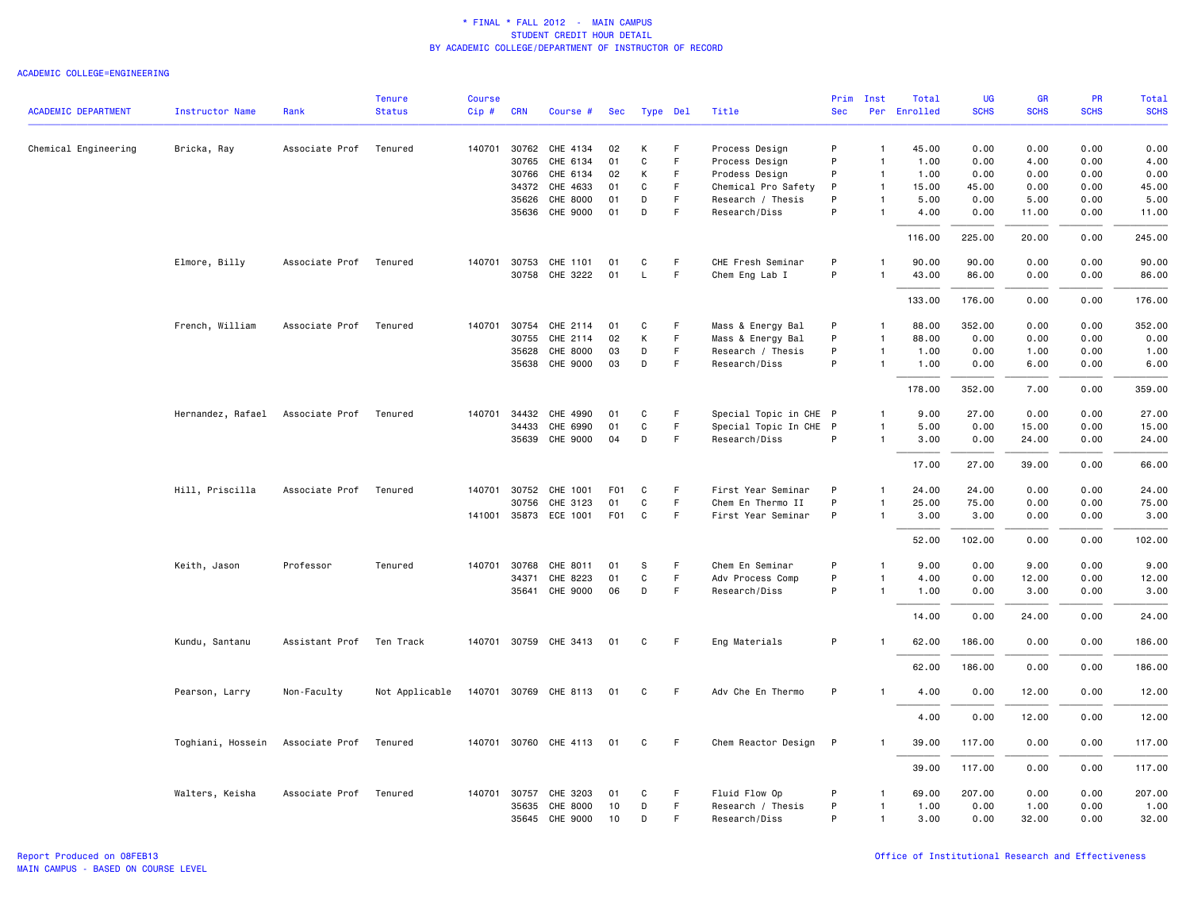|                            |                        |                        | <b>Tenure</b>  | <b>Course</b> |              |                       |                  |             |             |                        | Prim       | Inst           | Total        | UG          | <b>GR</b>   | <b>PR</b>   | Total       |
|----------------------------|------------------------|------------------------|----------------|---------------|--------------|-----------------------|------------------|-------------|-------------|------------------------|------------|----------------|--------------|-------------|-------------|-------------|-------------|
| <b>ACADEMIC DEPARTMENT</b> | <b>Instructor Name</b> | Rank                   | <b>Status</b>  | Cip#          | <b>CRN</b>   | Course #              | Sec              | Type Del    |             | Title                  | <b>Sec</b> |                | Per Enrolled | <b>SCHS</b> | <b>SCHS</b> | <b>SCHS</b> | <b>SCHS</b> |
| Chemical Engineering       | Bricka, Ray            | Associate Prof         | Tenured        | 140701        | 30762        | CHE 4134              | 02               | К           | F.          | Process Design         | P          | $\mathbf{1}$   | 45.00        | 0.00        | 0.00        | 0.00        | 0.00        |
|                            |                        |                        |                |               | 30765        | CHE 6134              | 01               | C           | F           | Process Design         | P          | $\overline{1}$ | 1.00         | 0.00        | 4.00        | 0.00        | 4.00        |
|                            |                        |                        |                |               | 30766        | CHE 6134              | 02               | К           | F.          | Prodess Design         | P          | $\overline{1}$ | 1.00         | 0.00        | 0.00        | 0.00        | 0.00        |
|                            |                        |                        |                |               | 34372        | CHE 4633              | 01               | C           | F.          | Chemical Pro Safety    | P          | $\overline{1}$ | 15.00        | 45.00       | 0.00        | 0.00        | 45.00       |
|                            |                        |                        |                |               | 35626        | CHE 8000              | 01               | D           | F           | Research / Thesis      | P          | $\mathbf{1}$   | 5.00         | 0.00        | 5.00        | 0.00        | 5.00        |
|                            |                        |                        |                |               |              | 35636 CHE 9000        | 01               | D           | F           | Research/Diss          | P          | $\overline{1}$ | 4.00         | 0.00        | 11.00       | 0.00        | 11.00       |
|                            |                        |                        |                |               |              |                       |                  |             |             |                        |            |                | 116.00       | 225.00      | 20.00       | 0.00        | 245.00      |
|                            | Elmore, Billy          | Associate Prof Tenured |                |               |              | 140701 30753 CHE 1101 | 01               | C           | F.          | CHE Fresh Seminar      | P          | 1              | 90.00        | 90.00       | 0.00        | 0.00        | 90.00       |
|                            |                        |                        |                |               |              | 30758 CHE 3222        | 01               | L           | F           | Chem Eng Lab I         | P          | $\overline{1}$ | 43.00        | 86.00       | 0.00        | 0.00        | 86.00       |
|                            |                        |                        |                |               |              |                       |                  |             |             |                        |            |                | 133.00       | 176.00      | 0.00        | 0.00        | 176.00      |
|                            | French, William        | Associate Prof         | Tenured        | 140701        | 30754        | CHE 2114              | 01               | C           | F.          | Mass & Energy Bal      | P          | $\mathbf{1}$   | 88.00        | 352.00      | 0.00        | 0.00        | 352.00      |
|                            |                        |                        |                |               | 30755        | CHE 2114              | 02               | К           | F           | Mass & Energy Bal      | P          | $\mathbf{1}$   | 88.00        | 0.00        | 0.00        | 0.00        | 0.00        |
|                            |                        |                        |                |               | 35628        | CHE 8000              | 03               | D           | F.          | Research / Thesis      | P          | $\mathbf{1}$   | 1.00         | 0.00        | 1.00        | 0.00        | 1.00        |
|                            |                        |                        |                |               | 35638        | CHE 9000              | 03               | D           | $\mathsf F$ | Research/Diss          | P          | -1             | 1.00         | 0.00        | 6.00        | 0.00        | 6.00        |
|                            |                        |                        |                |               |              |                       |                  |             |             |                        |            |                | 178.00       | 352.00      | 7.00        | 0.00        | 359.00      |
|                            | Hernandez, Rafael      | Associate Prof         | Tenured        | 140701        | 34432        | CHE 4990              | 01               | C           | F.          | Special Topic in CHE P |            | $\mathbf{1}$   | 9.00         | 27.00       | 0.00        | 0.00        | 27.00       |
|                            |                        |                        |                |               | 34433        | CHE 6990              | 01               | $\mathbf C$ | F           | Special Topic In CHE P |            | $\mathbf{1}$   | 5.00         | 0.00        | 15.00       | 0.00        | 15.00       |
|                            |                        |                        |                |               |              | 35639 CHE 9000        | 04               | D           | F           | Research/Diss          | P          | $\mathbf{1}$   | 3.00         | 0.00        | 24.00       | 0.00        | 24.00       |
|                            |                        |                        |                |               |              |                       |                  |             |             |                        |            |                | 17.00        | 27.00       | 39.00       | 0.00        | 66.00       |
|                            | Hill, Priscilla        | Associate Prof         | Tenured        | 140701        | 30752        | CHE 1001              | F <sub>0</sub> 1 | C           | F           | First Year Seminar     | P          | $\mathbf{1}$   | 24.00        | 24.00       | 0.00        | 0.00        | 24.00       |
|                            |                        |                        |                |               | 30756        | CHE 3123              | 01               | C           | F.          | Chem En Thermo II      | P          | -1             | 25.00        | 75.00       | 0.00        | 0.00        | 75.00       |
|                            |                        |                        |                |               |              | 141001 35873 ECE 1001 | <b>F01</b>       | $\mathbf c$ | F           | First Year Seminar     | P          | $\mathbf{1}$   | 3.00         | 3.00        | 0.00        | 0.00        | 3.00        |
|                            |                        |                        |                |               |              |                       |                  |             |             |                        |            |                | 52.00        | 102.00      | 0.00        | 0.00        | 102.00      |
|                            | Keith, Jason           | Professor              | Tenured        |               | 140701 30768 | CHE 8011              | 01               | S           | F.          | Chem En Seminar        | P          | $\mathbf{1}$   | 9.00         | 0.00        | 9.00        | 0.00        | 9.00        |
|                            |                        |                        |                |               | 34371        | CHE 8223              | 01               | $\mathbf C$ | $\mathsf F$ | Adv Process Comp       | P          | $\mathbf{1}$   | 4.00         | 0.00        | 12.00       | 0.00        | 12.00       |
|                            |                        |                        |                |               |              | 35641 CHE 9000        | 06               | D           | F           | Research/Diss          | P          | $\mathbf{1}$   | 1.00         | 0.00        | 3.00        | 0.00        | 3.00        |
|                            |                        |                        |                |               |              |                       |                  |             |             |                        |            |                | 14.00        | 0.00        | 24.00       | 0.00        | 24.00       |
|                            | Kundu, Santanu         | Assistant Prof         | Ten Track      |               |              | 140701 30759 CHE 3413 | 01               | C           | -F          | Eng Materials          | P          | -1             | 62.00        | 186.00      | 0.00        | 0.00        | 186.00      |
|                            |                        |                        |                |               |              |                       |                  |             |             |                        |            |                | 62.00        | 186.00      | 0.00        | 0.00        | 186.00      |
|                            | Pearson, Larry         | Non-Faculty            | Not Applicable |               |              | 140701 30769 CHE 8113 | 01               | C           | F.          | Adv Che En Thermo      | P          | -1             | 4.00         | 0.00        | 12.00       | 0.00        | 12.00       |
|                            |                        |                        |                |               |              |                       |                  |             |             |                        |            |                | 4.00         | 0.00        | 12.00       | 0.00        | 12.00       |
|                            | Toghiani, Hossein      | Associate Prof         | Tenured        |               |              | 140701 30760 CHE 4113 | 01               | C           | F           | Chem Reactor Design P  |            | -1             | 39.00        | 117.00      | 0.00        | 0.00        | 117.00      |
|                            |                        |                        |                |               |              |                       |                  |             |             |                        |            |                | 39.00        | 117.00      | 0.00        | 0.00        | 117.00      |
|                            | Walters, Keisha        | Associate Prof         | Tenured        |               | 140701 30757 | CHE 3203              | 01               | C           | F           | Fluid Flow Op          | P          | $\mathbf{1}$   | 69.00        | 207.00      | 0.00        | 0.00        | 207.00      |
|                            |                        |                        |                |               |              | 35635 CHE 8000        | 10               | D           | F.          | Research / Thesis      | P          | $\mathbf{1}$   | 1.00         | 0.00        | 1.00        | 0.00        | 1.00        |
|                            |                        |                        |                |               |              | 35645 CHE 9000        | 10               | D           | F           | Research/Diss          | P          | $\mathbf{1}$   | 3.00         | 0.00        | 32.00       | 0.00        | 32.00       |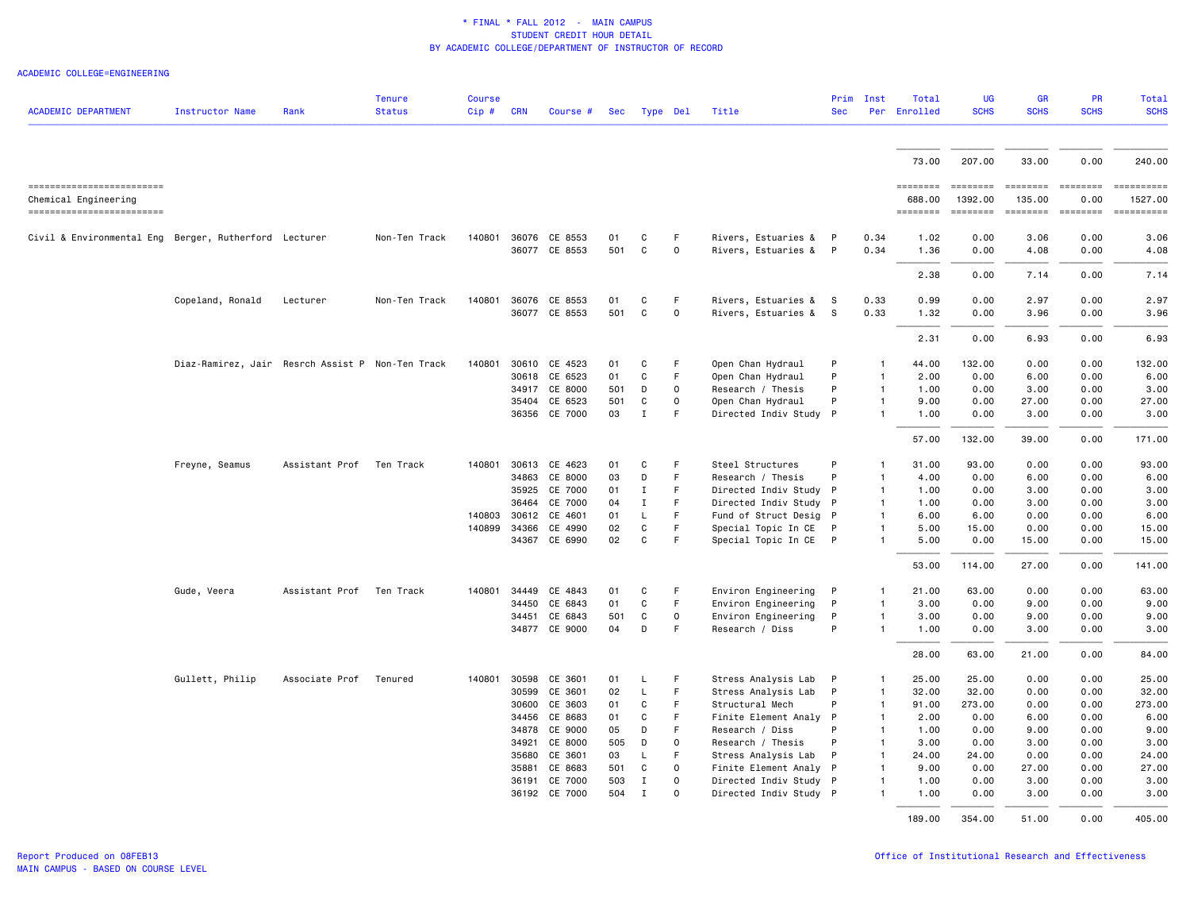| <b>ACADEMIC DEPARTMENT</b>                            | Instructor Name                                  | Rank                     | Tenure<br><b>Status</b> | <b>Course</b><br>$Cip \#$ | <b>CRN</b>     | Course #                       | Sec       | Type Del          |                          | Title                                      | Prim<br><b>Sec</b> | Inst<br>Per  | Total<br>Enrolled | UG<br><b>SCHS</b> | GR<br><b>SCHS</b> | <b>PR</b><br><b>SCHS</b>                                                | Total<br><b>SCHS</b>                                                                                                                                                                                                                                                                                                                                                                                                                                                                      |
|-------------------------------------------------------|--------------------------------------------------|--------------------------|-------------------------|---------------------------|----------------|--------------------------------|-----------|-------------------|--------------------------|--------------------------------------------|--------------------|--------------|-------------------|-------------------|-------------------|-------------------------------------------------------------------------|-------------------------------------------------------------------------------------------------------------------------------------------------------------------------------------------------------------------------------------------------------------------------------------------------------------------------------------------------------------------------------------------------------------------------------------------------------------------------------------------|
|                                                       |                                                  |                          |                         |                           |                |                                |           |                   |                          |                                            |                    |              |                   |                   |                   |                                                                         |                                                                                                                                                                                                                                                                                                                                                                                                                                                                                           |
|                                                       |                                                  |                          |                         |                           |                |                                |           |                   |                          |                                            |                    |              | 73.00             | 207.00            | 33.00             | 0.00                                                                    | 240.00                                                                                                                                                                                                                                                                                                                                                                                                                                                                                    |
| -------------------------                             |                                                  |                          |                         |                           |                |                                |           |                   |                          |                                            |                    |              | ========          | <b>EBBERSER</b>   | ---------         | <b>ESSESSES</b>                                                         | -----------                                                                                                                                                                                                                                                                                                                                                                                                                                                                               |
| Chemical Engineering                                  |                                                  |                          |                         |                           |                |                                |           |                   |                          |                                            |                    |              | 688,00            | 1392.00           | 135.00            | 0.00                                                                    | 1527.00                                                                                                                                                                                                                                                                                                                                                                                                                                                                                   |
| ------------------------                              |                                                  |                          |                         |                           |                |                                |           |                   |                          |                                            |                    |              | ========          | ========          | ========          | $\qquad \qquad \equiv \equiv \equiv \equiv \equiv \equiv \equiv \equiv$ | $\begin{minipage}{0.03\linewidth} \begin{tabular}{l} \multicolumn{2}{l}{} & \multicolumn{2}{l}{} & \multicolumn{2}{l}{} \\ \multicolumn{2}{l}{} & \multicolumn{2}{l}{} & \multicolumn{2}{l}{} \\ \multicolumn{2}{l}{} & \multicolumn{2}{l}{} & \multicolumn{2}{l}{} \\ \multicolumn{2}{l}{} & \multicolumn{2}{l}{} & \multicolumn{2}{l}{} \\ \multicolumn{2}{l}{} & \multicolumn{2}{l}{} & \multicolumn{2}{l}{} \\ \multicolumn{2}{l}{} & \multicolumn{2}{l}{} & \multicolumn{2}{l}{} \\$ |
| Civil & Environmental Eng Berger, Rutherford Lecturer |                                                  |                          | Non-Ten Track           | 140801                    |                | 36076 CE 8553                  | 01        | C                 | F                        | Rivers, Estuaries &                        | P                  | 0.34         | 1.02              | 0.00              | 3.06              | 0.00                                                                    | 3.06                                                                                                                                                                                                                                                                                                                                                                                                                                                                                      |
|                                                       |                                                  |                          |                         |                           |                | 36077 CE 8553                  | 501       | C                 | 0                        | Rivers, Estuaries &                        | P                  | 0.34         | 1.36              | 0.00              | 4.08              | 0.00                                                                    | 4.08                                                                                                                                                                                                                                                                                                                                                                                                                                                                                      |
|                                                       |                                                  |                          |                         |                           |                |                                |           |                   |                          |                                            |                    |              | 2.38              | 0.00              | 7.14              | 0.00                                                                    | 7.14                                                                                                                                                                                                                                                                                                                                                                                                                                                                                      |
|                                                       |                                                  |                          |                         |                           |                |                                |           |                   |                          |                                            |                    |              |                   |                   |                   |                                                                         |                                                                                                                                                                                                                                                                                                                                                                                                                                                                                           |
|                                                       | Copeland, Ronald                                 | Lecturer                 | Non-Ten Track           | 140801                    |                | 36076 CE 8553<br>36077 CE 8553 | 01<br>501 | C<br>$\mathsf{C}$ | F<br>$\mathsf{O}\xspace$ | Rivers, Estuaries &<br>Rivers, Estuaries & | $^{\circ}$ s<br>-S | 0.33<br>0.33 | 0.99<br>1.32      | 0.00<br>0.00      | 2.97<br>3.96      | 0.00<br>0.00                                                            | 2.97<br>3.96                                                                                                                                                                                                                                                                                                                                                                                                                                                                              |
|                                                       |                                                  |                          |                         |                           |                |                                |           |                   |                          |                                            |                    |              |                   |                   |                   |                                                                         |                                                                                                                                                                                                                                                                                                                                                                                                                                                                                           |
|                                                       |                                                  |                          |                         |                           |                |                                |           |                   |                          |                                            |                    |              | 2.31              | 0.00              | 6.93              | 0.00                                                                    | 6.93                                                                                                                                                                                                                                                                                                                                                                                                                                                                                      |
|                                                       | Diaz-Ramirez, Jair Resrch Assist P Non-Ten Track |                          |                         | 140801                    |                | 30610 CE 4523                  | 01        | C                 | F                        | Open Chan Hydraul                          | P                  | -1           | 44.00             | 132.00            | 0.00              | 0.00                                                                    | 132.00                                                                                                                                                                                                                                                                                                                                                                                                                                                                                    |
|                                                       |                                                  |                          |                         |                           |                | 30618 CE 6523                  | 01        | C                 | F.                       | Open Chan Hydraul                          | P                  |              | 2.00              | 0.00              | 6.00              | 0.00                                                                    | 6.00                                                                                                                                                                                                                                                                                                                                                                                                                                                                                      |
|                                                       |                                                  |                          |                         |                           | 34917          | CE 8000                        | 501       | D                 | 0                        | Research / Thesis                          | P                  | $\mathbf{1}$ | 1.00              | 0.00              | 3.00              | 0.00                                                                    | 3.00                                                                                                                                                                                                                                                                                                                                                                                                                                                                                      |
|                                                       |                                                  |                          |                         |                           |                | 35404 CE 6523                  | 501       | C                 | $\mathbf 0$<br>F.        | Open Chan Hydraul                          | P                  |              | 9.00              | 0.00              | 27.00             | 0.00                                                                    | 27.00                                                                                                                                                                                                                                                                                                                                                                                                                                                                                     |
|                                                       |                                                  |                          |                         |                           |                | 36356 CE 7000                  | 03        | Ι.                |                          | Directed Indiv Study P                     |                    |              | 1.00              | 0.00              | 3.00              | 0.00                                                                    | 3.00                                                                                                                                                                                                                                                                                                                                                                                                                                                                                      |
|                                                       |                                                  |                          |                         |                           |                |                                |           |                   |                          |                                            |                    |              | 57.00             | 132.00            | 39.00             | 0.00                                                                    | 171.00                                                                                                                                                                                                                                                                                                                                                                                                                                                                                    |
|                                                       | Freyne, Seamus                                   | Assistant Prof           | Ten Track               | 140801                    |                | 30613 CE 4623                  | 01        | C                 | F                        | Steel Structures                           | P                  | -1           | 31.00             | 93.00             | 0.00              | 0.00                                                                    | 93.00                                                                                                                                                                                                                                                                                                                                                                                                                                                                                     |
|                                                       |                                                  |                          |                         |                           | 34863          | CE 8000                        | 03        | D                 | F                        | Research / Thesis                          | P                  |              | 4.00              | 0.00              | 6.00              | 0.00                                                                    | 6.00                                                                                                                                                                                                                                                                                                                                                                                                                                                                                      |
|                                                       |                                                  |                          |                         |                           | 35925          | CE 7000                        | 01        | Ι.                | F.                       | Directed Indiv Study P                     |                    | $\mathbf{1}$ | 1.00              | 0.00              | 3.00              | 0.00                                                                    | 3.00                                                                                                                                                                                                                                                                                                                                                                                                                                                                                      |
|                                                       |                                                  |                          |                         |                           | 36464          | CE 7000                        | 04        | Ι.                | F.                       | Directed Indiv Study P                     |                    |              | 1.00              | 0.00              | 3.00              | 0.00                                                                    | 3.00                                                                                                                                                                                                                                                                                                                                                                                                                                                                                      |
|                                                       |                                                  |                          |                         | 140803                    | 30612          | CE 4601                        | 01        | L                 | F<br>F.                  | Fund of Struct Desig P                     |                    | -1           | 6.00              | 6.00              | 0.00              | 0.00                                                                    | 6.00                                                                                                                                                                                                                                                                                                                                                                                                                                                                                      |
|                                                       |                                                  |                          |                         | 140899                    | 34366<br>34367 | CE 4990<br>CE 6990             | 02<br>02  | $\mathsf{C}$<br>C | F.                       | Special Topic In CE<br>Special Topic In CE | $\mathsf{P}$<br>P  | $\mathbf{1}$ | 5.00<br>5.00      | 15.00<br>0.00     | 0.00<br>15.00     | 0.00<br>0.00                                                            | 15.00<br>15.00                                                                                                                                                                                                                                                                                                                                                                                                                                                                            |
|                                                       |                                                  |                          |                         |                           |                |                                |           |                   |                          |                                            |                    |              |                   |                   |                   |                                                                         |                                                                                                                                                                                                                                                                                                                                                                                                                                                                                           |
|                                                       |                                                  |                          |                         |                           |                |                                |           |                   |                          |                                            |                    |              | 53.00             | 114.00            | 27.00             | 0.00                                                                    | 141.00                                                                                                                                                                                                                                                                                                                                                                                                                                                                                    |
|                                                       | Gude, Veera                                      | Assistant Prof Ten Track |                         | 140801                    | 34449          | CE 4843                        | 01        | C                 | F                        | Environ Engineering                        | P                  |              | 21.00             | 63.00             | 0.00              | 0.00                                                                    | 63.00                                                                                                                                                                                                                                                                                                                                                                                                                                                                                     |
|                                                       |                                                  |                          |                         |                           | 34450          | CE 6843                        | 01        | C                 | F                        | Environ Engineering                        | P                  | -1           | 3.00              | 0.00              | 9.00              | 0.00                                                                    | 9.00                                                                                                                                                                                                                                                                                                                                                                                                                                                                                      |
|                                                       |                                                  |                          |                         |                           | 34451          | CE 6843                        | 501       | C                 | 0                        | Environ Engineering                        | P                  |              | 3.00              | 0.00              | 9.00              | 0.00                                                                    | 9.00                                                                                                                                                                                                                                                                                                                                                                                                                                                                                      |
|                                                       |                                                  |                          |                         |                           |                | 34877 CE 9000                  | 04        | D                 | F.                       | Research / Diss                            | P                  |              | 1.00              | 0.00              | 3.00              | 0.00                                                                    | 3.00                                                                                                                                                                                                                                                                                                                                                                                                                                                                                      |
|                                                       |                                                  |                          |                         |                           |                |                                |           |                   |                          |                                            |                    |              | 28.00             | 63.00             | 21.00             | 0.00                                                                    | 84.00                                                                                                                                                                                                                                                                                                                                                                                                                                                                                     |
|                                                       | Gullett, Philip                                  | Associate Prof           | Tenured                 | 140801                    | 30598          | CE 3601                        | 01        | L                 | F                        | Stress Analysis Lab                        | P                  |              | 25.00             | 25.00             | 0.00              | 0.00                                                                    | 25.00                                                                                                                                                                                                                                                                                                                                                                                                                                                                                     |
|                                                       |                                                  |                          |                         |                           | 30599          | CE 3601                        | 02        | L                 | F                        | Stress Analysis Lab                        | P                  | $\mathbf{1}$ | 32.00             | 32.00             | 0.00              | 0.00                                                                    | 32.00                                                                                                                                                                                                                                                                                                                                                                                                                                                                                     |
|                                                       |                                                  |                          |                         |                           | 30600          | CE 3603                        | 01        | C                 | F                        | Structural Mech                            | P                  | $\mathbf{1}$ | 91.00             | 273.00            | 0.00              | 0.00                                                                    | 273.00                                                                                                                                                                                                                                                                                                                                                                                                                                                                                    |
|                                                       |                                                  |                          |                         |                           | 34456          | CE 8683                        | 01        | C                 | F.                       | Finite Element Analy P                     |                    |              | 2.00              | 0.00              | 6.00              | 0.00                                                                    | 6.00                                                                                                                                                                                                                                                                                                                                                                                                                                                                                      |
|                                                       |                                                  |                          |                         |                           | 34878          | CE 9000                        | 05        | D                 | F                        | Research / Diss                            | P                  | -1           | 1.00              | 0.00              | 9.00              | 0.00                                                                    | 9.00                                                                                                                                                                                                                                                                                                                                                                                                                                                                                      |
|                                                       |                                                  |                          |                         |                           | 34921          | CE 8000                        | 505       | D                 | $\mathsf{O}\xspace$      | Research / Thesis                          | P                  | $\mathbf{1}$ | 3.00              | 0.00              | 3.00              | 0.00                                                                    | 3.00                                                                                                                                                                                                                                                                                                                                                                                                                                                                                      |
|                                                       |                                                  |                          |                         |                           | 35680          | CE 3601                        | 03        | L                 | F.                       | Stress Analysis Lab                        | P                  |              | 24.00             | 24.00             | 0.00              | 0.00                                                                    | 24.00                                                                                                                                                                                                                                                                                                                                                                                                                                                                                     |
|                                                       |                                                  |                          |                         |                           | 35881          | CE 8683                        | 501       | C                 | $\mathbf 0$              | Finite Element Analy P                     |                    |              | 9.00              | 0.00              | 27.00             | 0.00                                                                    | 27.00                                                                                                                                                                                                                                                                                                                                                                                                                                                                                     |
|                                                       |                                                  |                          |                         |                           | 36191          | CE 7000                        | 503       | $\mathbf I$       | $\mathbf 0$              | Directed Indiv Study P                     |                    | $\mathbf{1}$ | 1.00              | 0.00              | 3.00              | 0.00                                                                    | 3.00                                                                                                                                                                                                                                                                                                                                                                                                                                                                                      |
|                                                       |                                                  |                          |                         |                           | 36192          | CE 7000                        | 504       | <b>I</b>          | 0                        | Directed Indiv Study P                     |                    |              | 1.00              | 0.00              | 3.00              | 0.00                                                                    | 3.00                                                                                                                                                                                                                                                                                                                                                                                                                                                                                      |
|                                                       |                                                  |                          |                         |                           |                |                                |           |                   |                          |                                            |                    |              | 189.00            | 354.00            | 51.00             | 0.00                                                                    | 405.00                                                                                                                                                                                                                                                                                                                                                                                                                                                                                    |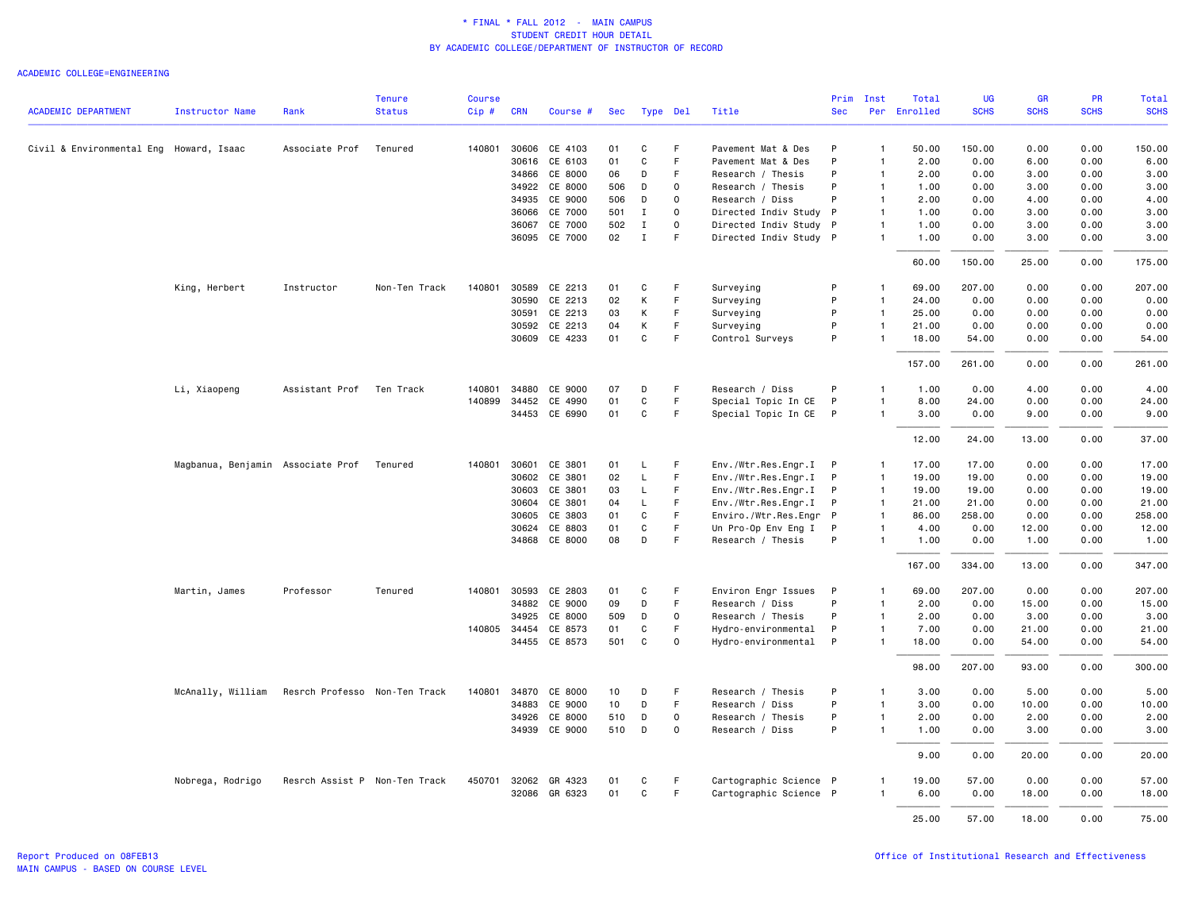|                                         |                                   |                               | <b>Tenure</b> | <b>Course</b> |              |                      |     |              |              |                        | Prim         | Inst           | Total        | <b>UG</b>   | <b>GR</b>   | <b>PR</b>   | Total       |
|-----------------------------------------|-----------------------------------|-------------------------------|---------------|---------------|--------------|----------------------|-----|--------------|--------------|------------------------|--------------|----------------|--------------|-------------|-------------|-------------|-------------|
| <b>ACADEMIC DEPARTMENT</b>              | <b>Instructor Name</b>            | Rank                          | <b>Status</b> | Cip#          | <b>CRN</b>   | Course #             | Sec | Type Del     |              | Title                  | <b>Sec</b>   |                | Per Enrolled | <b>SCHS</b> | <b>SCHS</b> | <b>SCHS</b> | <b>SCHS</b> |
| Civil & Environmental Eng Howard, Isaac |                                   | Associate Prof                | Tenured       | 140801        | 30606        | CE 4103              | 01  | C            | F            | Pavement Mat & Des     | P            | $\mathbf{1}$   | 50.00        | 150.00      | 0.00        | 0.00        | 150.00      |
|                                         |                                   |                               |               |               | 30616        | CE 6103              | 01  | $\mathbf C$  | F            | Pavement Mat & Des     | P            | $\mathbf{1}$   | 2.00         | 0.00        | 6.00        | 0.00        | 6.00        |
|                                         |                                   |                               |               |               | 34866        | CE 8000              | 06  | D            | F            | Research / Thesis      | P            | $\mathbf{1}$   | 2.00         | 0.00        | 3.00        | 0.00        | 3.00        |
|                                         |                                   |                               |               |               | 34922        | CE 8000              | 506 | D            | $\mathbf 0$  | Research / Thesis      | P            | $\overline{1}$ | 1.00         | 0.00        | 3.00        | 0.00        | 3.00        |
|                                         |                                   |                               |               |               |              | 34935 CE 9000        | 506 | D            | $\mathsf{o}$ | Research / Diss        | P            | $\mathbf{1}$   | 2.00         | 0.00        | 4.00        | 0.00        | 4.00        |
|                                         |                                   |                               |               |               | 36066        | CE 7000              | 501 | Ι.           | $\mathsf{o}$ | Directed Indiv Study P |              | $\mathbf{1}$   | 1.00         | 0.00        | 3.00        | 0.00        | 3.00        |
|                                         |                                   |                               |               |               | 36067        | CE 7000              | 502 | $\mathbf{I}$ | 0            | Directed Indiv Study P |              | $\mathbf{1}$   | 1.00         | 0.00        | 3.00        | 0.00        | 3.00        |
|                                         |                                   |                               |               |               |              | 36095 CE 7000        | 02  | $\mathbf I$  | E            | Directed Indiv Study P |              | $\mathbf{1}$   | 1.00         | 0.00        | 3.00        | 0.00        | 3.00        |
|                                         |                                   |                               |               |               |              |                      |     |              |              |                        |              |                | 60.00        | 150.00      | 25.00       | 0.00        | 175.00      |
|                                         | King, Herbert                     | Instructor                    | Non-Ten Track | 140801        | 30589        | CE 2213              | 01  | C            | F            | Surveying              | P            | $\mathbf{1}$   | 69.00        | 207.00      | 0.00        | 0.00        | 207.00      |
|                                         |                                   |                               |               |               | 30590        | CE 2213              | 02  | К            | F.           | Surveying              | P            | $\mathbf{1}$   | 24.00        | 0.00        | 0.00        | 0.00        | 0.00        |
|                                         |                                   |                               |               |               | 30591        | CE 2213              | 03  | К            | F            | Surveying              | P            | $\overline{1}$ | 25.00        | 0.00        | 0.00        | 0.00        | 0.00        |
|                                         |                                   |                               |               |               |              | 30592 CE 2213        | 04  | К            | F            | Surveying              | P            | $\mathbf{1}$   | 21.00        | 0.00        | 0.00        | 0.00        | 0.00        |
|                                         |                                   |                               |               |               |              | 30609 CE 4233        | 01  | $\mathtt{C}$ | F            | Control Surveys        | P            | $\mathbf{1}$   | 18.00        | 54.00       | 0.00        | 0.00        | 54.00       |
|                                         |                                   |                               |               |               |              |                      |     |              |              |                        |              |                | 157.00       | 261.00      | 0.00        | 0.00        | 261.00      |
|                                         | Li, Xiaopeng                      | Assistant Prof                | Ten Track     | 140801        | 34880        | CE 9000              | 07  | D            | F            | Research / Diss        | P            | $\mathbf{1}$   | 1.00         | 0.00        | 4.00        | 0.00        | 4.00        |
|                                         |                                   |                               |               | 140899        | 34452        | CE 4990              | 01  | $\mathbf C$  | $\mathsf F$  | Special Topic In CE    | P            | $\overline{1}$ | 8.00         | 24.00       | 0.00        | 0.00        | 24.00       |
|                                         |                                   |                               |               |               |              | 34453 CE 6990        | 01  | C            | F.           | Special Topic In CE P  |              | $\mathbf{1}$   | 3.00         | 0.00        | 9.00        | 0.00        | 9.00        |
|                                         |                                   |                               |               |               |              |                      |     |              |              |                        |              |                | 12.00        | 24,00       | 13.00       | 0.00        | 37.00       |
|                                         | Magbanua, Benjamin Associate Prof |                               | Tenured       | 140801        | 30601        | CE 3801              | 01  | L            | F            | Env./Wtr.Res.Engr.I P  |              | $\mathbf{1}$   | 17.00        | 17.00       | 0.00        | 0.00        | 17.00       |
|                                         |                                   |                               |               |               |              | 30602 CE 3801        | 02  | $\mathsf L$  | F.           | Env./Wtr.Res.Engr.I P  |              | $\overline{1}$ | 19.00        | 19.00       | 0.00        | 0.00        | 19.00       |
|                                         |                                   |                               |               |               | 30603        | CE 3801              | 03  | L            | $\mathsf F$  | Env./Wtr.Res.Engr.I    | P            | $\overline{1}$ | 19.00        | 19.00       | 0.00        | 0.00        | 19.00       |
|                                         |                                   |                               |               |               |              | 30604 CE 3801        | 04  | L            | F            | Env./Wtr.Res.Engr.I P  |              | $\overline{1}$ | 21.00        | 21.00       | 0.00        | 0.00        | 21.00       |
|                                         |                                   |                               |               |               | 30605        | CE 3803              | 01  | C            | F.           | Enviro./Wtr.Res.Engr P |              | $\overline{1}$ | 86.00        | 258.00      | 0.00        | 0.00        | 258.00      |
|                                         |                                   |                               |               |               | 30624        | CE 8803              | 01  | C            | $\mathsf F$  | Un Pro-Op Env Eng I    | P            | $\mathbf{1}$   | 4.00         | 0.00        | 12.00       | 0.00        | 12.00       |
|                                         |                                   |                               |               |               |              | 34868 CE 8000        | 08  | D            | F            | Research / Thesis      | P            | 1              | 1.00         | 0.00        | 1.00        | 0.00        | 1.00        |
|                                         |                                   |                               |               |               |              |                      |     |              |              |                        |              |                | 167.00       | 334.00      | 13.00       | 0.00        | 347.00      |
|                                         | Martin, James                     | Professor                     | Tenured       |               |              | 140801 30593 CE 2803 | 01  | C            | F            | Environ Engr Issues    | $\mathsf{P}$ | $\overline{1}$ | 69.00        | 207.00      | 0.00        | 0.00        | 207.00      |
|                                         |                                   |                               |               |               |              | 34882 CE 9000        | 09  | D            | F            | Research / Diss        | P            | $\mathbf{1}$   | 2.00         | 0.00        | 15.00       | 0.00        | 15.00       |
|                                         |                                   |                               |               |               | 34925        | CE 8000              | 509 | D            | $\mathsf{o}$ | Research / Thesis      | P            | $\mathbf{1}$   | 2.00         | 0.00        | 3.00        | 0.00        | 3.00        |
|                                         |                                   |                               |               |               | 140805 34454 | CE 8573              | 01  | C            | F            | Hydro-environmental    | P            | $\mathbf{1}$   | 7.00         | 0.00        | 21.00       | 0.00        | 21.00       |
|                                         |                                   |                               |               |               |              | 34455 CE 8573        | 501 | C            | $\mathsf{o}$ | Hydro-environmental    | P            | $\mathbf{1}$   | 18.00        | 0.00        | 54.00       | 0.00        | 54.00       |
|                                         |                                   |                               |               |               |              |                      |     |              |              |                        |              |                | 98.00        | 207.00      | 93.00       | 0.00        | 300.00      |
|                                         | McAnally, William                 | Resrch Professo Non-Ten Track |               |               |              | 140801 34870 CE 8000 | 10  | D            | F.           | Research / Thesis      | P            | $\mathbf{1}$   | 3.00         | 0.00        | 5.00        | 0.00        | 5.00        |
|                                         |                                   |                               |               |               | 34883        | CE 9000              | 10  | D            | F.           | Research / Diss        | P            | $\mathbf{1}$   | 3.00         | 0.00        | 10.00       | 0.00        | 10.00       |
|                                         |                                   |                               |               |               | 34926        | CE 8000              | 510 | D            | $\mathsf{o}$ | Research / Thesis      | P            | $\mathbf{1}$   | 2.00         | 0.00        | 2.00        | 0.00        | 2.00        |
|                                         |                                   |                               |               |               |              | 34939 CE 9000        | 510 | D            | $\mathbf 0$  | Research / Diss        | P            | $\mathbf{1}$   | 1.00         | 0.00        | 3.00        | 0.00        | 3.00        |
|                                         |                                   |                               |               |               |              |                      |     |              |              |                        |              |                | 9.00         | 0.00        | 20.00       | 0.00        | 20.00       |
|                                         | Nobrega, Rodrigo                  | Resrch Assist P Non-Ten Track |               | 450701        | 32062        | GR 4323              | 01  | C            | F            | Cartographic Science P |              | $\mathbf{1}$   | 19,00        | 57.00       | 0.00        | 0.00        | 57.00       |
|                                         |                                   |                               |               |               | 32086        | GR 6323              | 01  | C            | F.           | Cartographic Science P |              | 1              | 6.00         | 0.00        | 18.00       | 0.00        | 18.00       |
|                                         |                                   |                               |               |               |              |                      |     |              |              |                        |              |                | 25.00        | 57.00       | 18.00       | 0.00        | 75.00       |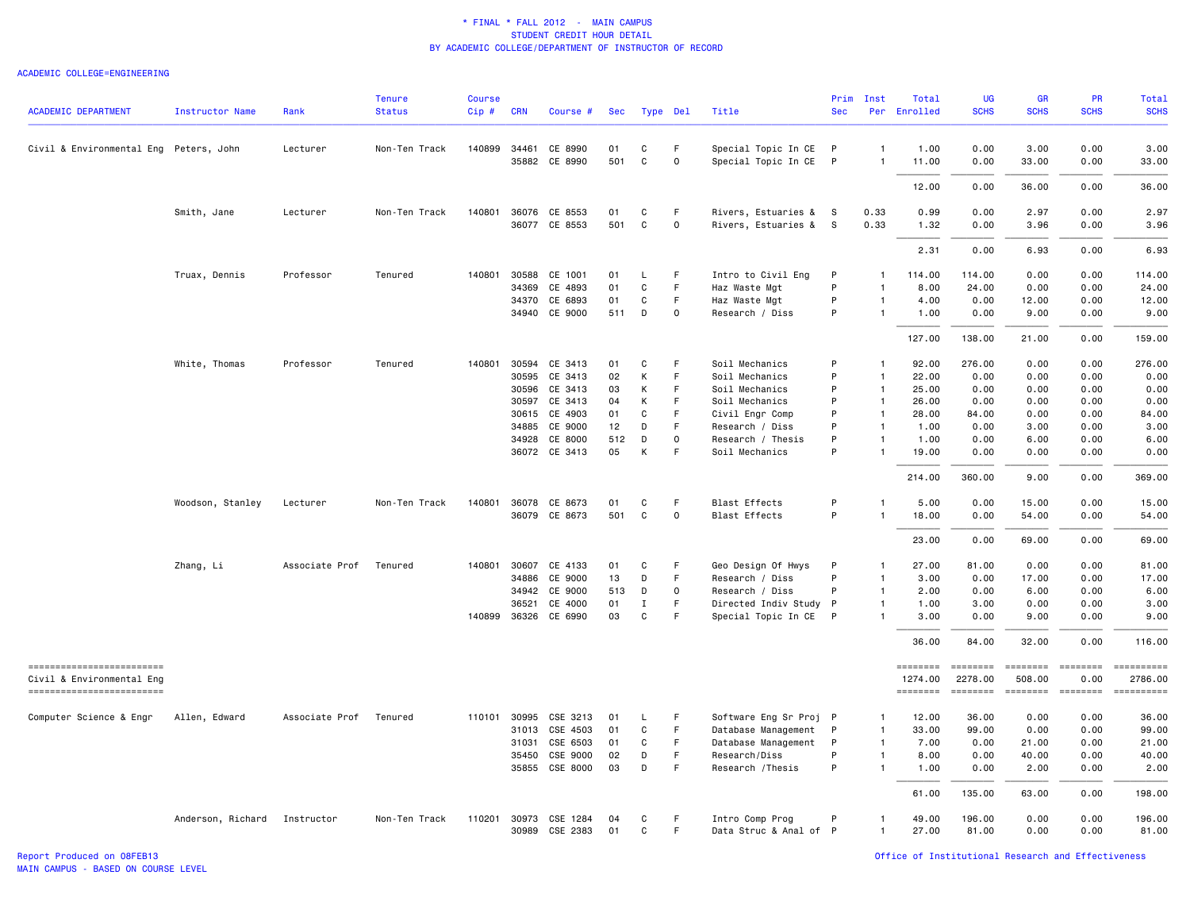| <b>ACADEMIC DEPARTMENT</b>                            | Instructor Name   | Rank           | Tenure<br><b>Status</b> | Course<br>$Cip$ # | <b>CRN</b>     | Course #                 | Sec       | Type Del     |              | Title                               | Prim<br><b>Sec</b> | Inst                         | Total<br>Per Enrolled | <b>UG</b><br><b>SCHS</b> | <b>GR</b><br><b>SCHS</b>  | PR<br><b>SCHS</b> | Total<br><b>SCHS</b>                                                                                                                                                                                                                                                                                                                                                                                                                 |
|-------------------------------------------------------|-------------------|----------------|-------------------------|-------------------|----------------|--------------------------|-----------|--------------|--------------|-------------------------------------|--------------------|------------------------------|-----------------------|--------------------------|---------------------------|-------------------|--------------------------------------------------------------------------------------------------------------------------------------------------------------------------------------------------------------------------------------------------------------------------------------------------------------------------------------------------------------------------------------------------------------------------------------|
| Civil & Environmental Eng Peters, John                |                   | Lecturer       | Non-Ten Track           | 140899            | 34461          | CE 8990                  | 01        | С            | F            | Special Topic In CE P               |                    | $\overline{1}$               | 1.00                  | 0.00                     | 3.00                      | 0.00              | 3.00                                                                                                                                                                                                                                                                                                                                                                                                                                 |
|                                                       |                   |                |                         |                   |                | 35882 CE 8990            | 501       | $\mathsf{C}$ | $\mathbf 0$  | Special Topic In CE                 | $\mathsf{P}$       | $\overline{1}$               | 11.00                 | 0.00                     | 33.00                     | 0.00              | 33.00                                                                                                                                                                                                                                                                                                                                                                                                                                |
|                                                       |                   |                |                         |                   |                |                          |           |              |              |                                     |                    |                              | 12.00                 | 0.00                     | 36.00                     | 0.00              | 36.00                                                                                                                                                                                                                                                                                                                                                                                                                                |
|                                                       | Smith, Jane       | Lecturer       | Non-Ten Track           |                   |                | 140801 36076 CE 8553     | 01        | C            | F            | Rivers, Estuaries & S               |                    | 0.33                         | 0.99                  | 0.00                     | 2.97                      | 0.00              | 2.97                                                                                                                                                                                                                                                                                                                                                                                                                                 |
|                                                       |                   |                |                         |                   |                | 36077 CE 8553            | 501       | $\mathsf{C}$ | $\mathbf 0$  | Rivers, Estuaries & S               |                    | 0.33                         | 1.32                  | 0.00                     | 3.96                      | 0.00              | 3.96                                                                                                                                                                                                                                                                                                                                                                                                                                 |
|                                                       |                   |                |                         |                   |                |                          |           |              |              |                                     |                    |                              | 2.31                  | 0.00                     | 6.93                      | 0.00              | 6.93                                                                                                                                                                                                                                                                                                                                                                                                                                 |
|                                                       | Truax, Dennis     | Professor      | Tenured                 | 140801            | 30588          | CE 1001                  | 01        | L            | F.           | Intro to Civil Eng                  | P                  | $\mathbf{1}$                 | 114.00                | 114.00                   | 0.00                      | 0.00              | 114.00                                                                                                                                                                                                                                                                                                                                                                                                                               |
|                                                       |                   |                |                         |                   | 34369          | CE 4893                  | 01        | C            | F            | Haz Waste Mgt                       | P                  | $\mathbf{1}$                 | 8.00                  | 24.00                    | 0.00                      | 0.00              | 24.00                                                                                                                                                                                                                                                                                                                                                                                                                                |
|                                                       |                   |                |                         |                   |                | 34370 CE 6893            | 01        | C            | F.           | Haz Waste Mgt                       | P                  | $\mathbf{1}$                 | 4.00                  | 0.00                     | 12.00                     | 0.00              | 12.00                                                                                                                                                                                                                                                                                                                                                                                                                                |
|                                                       |                   |                |                         |                   |                | 34940 CE 9000            | 511       | D            | $\mathsf{O}$ | Research / Diss                     | P                  | $\mathbf{1}$                 | 1.00                  | 0.00                     | 9.00                      | 0.00              | 9.00                                                                                                                                                                                                                                                                                                                                                                                                                                 |
|                                                       |                   |                |                         |                   |                |                          |           |              |              |                                     |                    |                              | 127.00                | 138.00                   | 21.00                     | 0.00              | 159.00                                                                                                                                                                                                                                                                                                                                                                                                                               |
|                                                       | White, Thomas     | Professor      | Tenured                 | 140801            |                | 30594 CE 3413            | 01        | C            | F            | Soil Mechanics                      | P                  | $\mathbf{1}$                 | 92.00                 | 276.00                   | 0.00                      | 0.00              | 276.00                                                                                                                                                                                                                                                                                                                                                                                                                               |
|                                                       |                   |                |                         |                   |                | 30595 CE 3413            | 02        | К            | F.           | Soil Mechanics                      | P                  | $\overline{1}$               | 22.00                 | 0.00                     | 0.00                      | 0.00              | 0.00                                                                                                                                                                                                                                                                                                                                                                                                                                 |
|                                                       |                   |                |                         |                   | 30596          | CE 3413                  | 03        | Κ            | F            | Soil Mechanics                      | P                  | $\overline{1}$               | 25.00                 | 0.00                     | 0.00                      | 0.00              | 0.00                                                                                                                                                                                                                                                                                                                                                                                                                                 |
|                                                       |                   |                |                         |                   | 30597          | CE 3413                  | 04        | K            | F            | Soil Mechanics                      | P                  | $\overline{1}$               | 26.00                 | 0.00                     | 0.00                      | 0.00              | 0.00                                                                                                                                                                                                                                                                                                                                                                                                                                 |
|                                                       |                   |                |                         |                   | 30615          | CE 4903                  | 01        | С            | F            | Civil Engr Comp                     | P                  | $\overline{1}$               | 28.00                 | 84.00                    | 0.00                      | 0.00              | 84.00                                                                                                                                                                                                                                                                                                                                                                                                                                |
|                                                       |                   |                |                         |                   | 34885          | CE 9000                  | 12        | D            | F            | Research / Diss                     | P<br>P             | $\overline{1}$               | 1.00                  | 0.00                     | 3.00                      | 0.00              | 3.00                                                                                                                                                                                                                                                                                                                                                                                                                                 |
|                                                       |                   |                |                         |                   | 34928          | CE 8000<br>36072 CE 3413 | 512<br>05 | D<br>K       | 0<br>F       | Research / Thesis<br>Soil Mechanics | P                  | $\mathbf{1}$<br>$\mathbf{1}$ | 1.00<br>19.00         | 0.00<br>0.00             | 6.00<br>0.00              | 0.00<br>0.00      | 6.00<br>0.00                                                                                                                                                                                                                                                                                                                                                                                                                         |
|                                                       |                   |                |                         |                   |                |                          |           |              |              |                                     |                    |                              | 214.00                | 360.00                   | 9.00                      | 0.00              | 369.00                                                                                                                                                                                                                                                                                                                                                                                                                               |
|                                                       | Woodson, Stanley  | Lecturer       | Non-Ten Track           |                   |                | 140801 36078 CE 8673     | 01        | C            | F            | <b>Blast Effects</b>                | P                  | $\mathbf{1}$                 | 5.00                  | 0.00                     | 15.00                     | 0.00              | 15.00                                                                                                                                                                                                                                                                                                                                                                                                                                |
|                                                       |                   |                |                         |                   |                | 36079 CE 8673            | 501       | C            | $\mathbf 0$  | <b>Blast Effects</b>                | P                  | $\overline{1}$               | 18.00                 | 0.00                     | 54.00                     | 0.00              | 54.00                                                                                                                                                                                                                                                                                                                                                                                                                                |
|                                                       |                   |                |                         |                   |                |                          |           |              |              |                                     |                    |                              | 23.00                 | 0.00                     | 69.00                     | 0.00              | 69.00                                                                                                                                                                                                                                                                                                                                                                                                                                |
|                                                       | Zhang, Li         | Associate Prof | Tenured                 |                   |                | 140801 30607 CE 4133     | 01        | C            | F            | Geo Design Of Hwys                  | P                  | -1                           | 27.00                 | 81.00                    | 0.00                      | 0.00              | 81.00                                                                                                                                                                                                                                                                                                                                                                                                                                |
|                                                       |                   |                |                         |                   | 34886          | CE 9000                  | 13        | D            | F            | Research / Diss                     | P                  | $\mathbf{1}$                 | 3.00                  | 0.00                     | 17.00                     | 0.00              | 17.00                                                                                                                                                                                                                                                                                                                                                                                                                                |
|                                                       |                   |                |                         |                   | 34942          | CE 9000                  | 513       | D            | $\mathbf 0$  | Research / Diss                     | P                  | $\overline{1}$               | 2.00                  | 0.00                     | 6.00                      | 0.00              | 6.00                                                                                                                                                                                                                                                                                                                                                                                                                                 |
|                                                       |                   |                |                         |                   | 36521          | CE 4000                  | 01        | Ι            | F            | Directed Indiv Study P              |                    | $\overline{1}$               | 1.00                  | 3.00                     | 0.00                      | 0.00              | 3.00                                                                                                                                                                                                                                                                                                                                                                                                                                 |
|                                                       |                   |                |                         |                   | 140899 36326   | CE 6990                  | 03        | C            | F            | Special Topic In CE                 | $\mathsf{P}$       | $\mathbf{1}$                 | 3.00                  | 0.00                     | 9.00                      | 0.00              | 9.00                                                                                                                                                                                                                                                                                                                                                                                                                                 |
|                                                       |                   |                |                         |                   |                |                          |           |              |              |                                     |                    |                              | 36.00                 | 84.00                    | 32.00                     | 0.00              | 116.00                                                                                                                                                                                                                                                                                                                                                                                                                               |
| ------------------------<br>Civil & Environmental Eng |                   |                |                         |                   |                |                          |           |              |              |                                     |                    |                              | ========<br>1274.00   | ========<br>2278.00      | <b>EEEEEEEE</b><br>508.00 | 0.00              | <b>EDECEMBER</b><br>2786.00                                                                                                                                                                                                                                                                                                                                                                                                          |
| ==========================                            |                   |                |                         |                   |                |                          |           |              |              |                                     |                    |                              | ========              | ========                 | ========                  | $=$ ========      | $\begin{minipage}{0.9\linewidth} \hspace*{-0.2cm} \textbf{1} & \textbf{2} & \textbf{3} & \textbf{5} & \textbf{6} & \textbf{7} \\ \textbf{5} & \textbf{6} & \textbf{7} & \textbf{8} & \textbf{9} & \textbf{1} & \textbf{1} \\ \textbf{6} & \textbf{8} & \textbf{9} & \textbf{1} & \textbf{1} & \textbf{1} & \textbf{1} \\ \textbf{7} & \textbf{1} & \textbf{1} & \textbf{1} & \textbf{1} & \textbf{1} & \textbf{1} \\ \textbf{8} & \$ |
| Computer Science & Engr                               | Allen, Edward     | Associate Prof | Tenured                 |                   | 110101 30995   | CSE 3213                 | 01        | L            | F.           | Software Eng Sr Proj P              |                    | $\mathbf{1}$                 | 12.00                 | 36.00                    | 0.00                      | 0.00              | 36.00                                                                                                                                                                                                                                                                                                                                                                                                                                |
|                                                       |                   |                |                         |                   | 31013          | CSE 4503                 | 01        | C            | F.           | Database Management                 | $\mathsf{P}$       | $\mathbf{1}$                 | 33.00                 | 99.00                    | 0.00                      | 0.00              | 99.00                                                                                                                                                                                                                                                                                                                                                                                                                                |
|                                                       |                   |                |                         |                   | 31031          | CSE 6503                 | 01        | C            | F.           | Database Management                 | P                  | $\mathbf{1}$                 | 7.00                  | 0.00                     | 21.00                     | 0.00              | 21.00                                                                                                                                                                                                                                                                                                                                                                                                                                |
|                                                       |                   |                |                         |                   | 35450<br>35855 | CSE 9000<br>CSE 8000     | 02<br>03  | D<br>D       | F<br>F       | Research/Diss<br>Research / Thesis  | P<br>P             | $\mathbf{1}$<br>$\mathbf{1}$ | 8.00<br>1.00          | 0.00<br>0.00             | 40.00<br>2.00             | 0.00<br>0.00      | 40.00<br>2.00                                                                                                                                                                                                                                                                                                                                                                                                                        |
|                                                       |                   |                |                         |                   |                |                          |           |              |              |                                     |                    |                              | 61.00                 | 135.00                   | 63.00                     | 0.00              | 198.00                                                                                                                                                                                                                                                                                                                                                                                                                               |
|                                                       | Anderson, Richard | Instructor     | Non-Ten Track           | 110201            | 30973          | CSE 1284                 | 04        | С            | F            | Intro Comp Prog                     | P                  | $\mathbf{1}$                 | 49.00                 | 196.00                   | 0.00                      | 0.00              | 196.00                                                                                                                                                                                                                                                                                                                                                                                                                               |
|                                                       |                   |                |                         |                   |                | 30989 CSE 2383           | 01        | C            | F.           | Data Struc & Anal of P              |                    | $\overline{1}$               | 27.00                 | 81.00                    | 0.00                      | 0.00              | 81.00                                                                                                                                                                                                                                                                                                                                                                                                                                |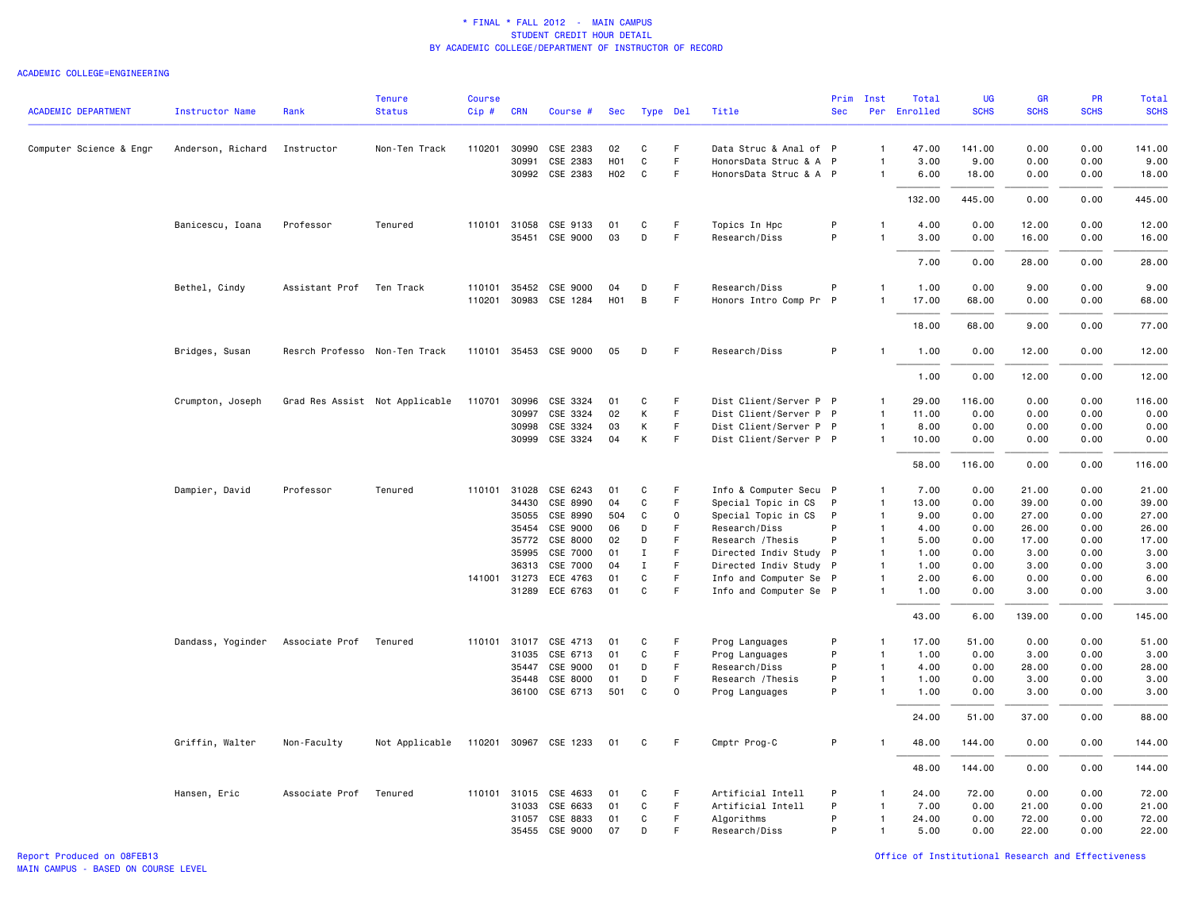| <b>ACADEMIC DEPARTMENT</b> | <b>Instructor Name</b> | Rank                          | <b>Tenure</b><br><b>Status</b> | <b>Course</b><br>Cip# | <b>CRN</b>   | Course #              | Sec              |                  | Type Del | Title                  | <b>Sec</b>   | Prim Inst                        | Total<br>Per Enrolled | UG<br><b>SCHS</b> | <b>GR</b><br><b>SCHS</b> | PR<br><b>SCHS</b> | Total<br><b>SCHS</b> |
|----------------------------|------------------------|-------------------------------|--------------------------------|-----------------------|--------------|-----------------------|------------------|------------------|----------|------------------------|--------------|----------------------------------|-----------------------|-------------------|--------------------------|-------------------|----------------------|
|                            |                        |                               |                                |                       |              |                       |                  |                  |          |                        |              |                                  |                       |                   |                          |                   |                      |
| Computer Science & Engr    | Anderson, Richard      | Instructor                    | Non-Ten Track                  | 110201                | 30990        | CSE 2383              | 02               | C                | F        | Data Struc & Anal of P |              | $\overline{1}$                   | 47.00                 | 141.00            | 0.00                     | 0.00              | 141.00               |
|                            |                        |                               |                                |                       | 30991        | CSE 2383              | H <sub>0</sub> 1 | C                | F.       | HonorsData Struc & A   | $\mathsf{P}$ | -1                               | 3.00                  | 9.00              | 0.00                     | 0.00              | 9.00                 |
|                            |                        |                               |                                |                       |              | 30992 CSE 2383        | H02              | C                | F        | HonorsData Struc & A P |              | $\overline{1}$                   | 6.00                  | 18.00             | 0.00                     | 0.00              | 18.00                |
|                            |                        |                               |                                |                       |              |                       |                  |                  |          |                        |              |                                  | 132.00                | 445.00            | 0.00                     | 0.00              | 445.00               |
|                            | Banicescu, Ioana       | Professor                     | Tenured                        |                       | 110101 31058 | CSE 9133              | 01               | C                | F        | Topics In Hpc          | P            | $\overline{1}$                   | 4.00                  | 0.00              | 12.00                    | 0.00              | 12.00                |
|                            |                        |                               |                                |                       |              | 35451 CSE 9000        | 03               | D                | F        | Research/Diss          | P            | $\overline{1}$                   | 3.00                  | 0.00              | 16.00                    | 0.00              | 16.00                |
|                            |                        |                               |                                |                       |              |                       |                  |                  |          |                        |              |                                  | 7.00                  | 0.00              | 28.00                    | 0.00              | 28.00                |
|                            | Bethel, Cindy          | Assistant Prof                | Ten Track                      |                       |              | 110101 35452 CSE 9000 | 04               | D                | F        | Research/Diss          | P            | $\overline{1}$                   | 1.00                  | 0.00              | 9.00                     | 0.00              | 9.00                 |
|                            |                        |                               |                                |                       |              | 110201 30983 CSE 1284 | H <sub>0</sub> 1 | B                | F        | Honors Intro Comp Pr   | P            | $\overline{1}$                   | 17.00                 | 68.00             | 0.00                     | 0.00              | 68.00                |
|                            |                        |                               |                                |                       |              |                       |                  |                  |          |                        |              |                                  | 18.00                 | 68.00             | 9.00                     | 0.00              | 77.00                |
|                            | Bridges, Susan         | Resrch Professo Non-Ten Track |                                |                       |              | 110101 35453 CSE 9000 | 05               | D                | F        | Research/Diss          | P            |                                  | 1.00                  | 0.00              | 12.00                    | 0.00              | 12.00                |
|                            |                        |                               |                                |                       |              |                       |                  |                  |          |                        |              |                                  | 1.00                  | 0.00              | 12.00                    | 0.00              | 12.00                |
|                            | Crumpton, Joseph       |                               | Grad Res Assist Not Applicable | 110701                |              | 30996 CSE 3324        | 01               | C                | F        | Dist Client/Server P P |              | $\mathbf{1}$                     | 29.00                 | 116.00            | 0.00                     | 0.00              | 116.00               |
|                            |                        |                               |                                |                       | 30997        | CSE 3324              | 02               | К                | F        | Dist Client/Server P P |              | $\overline{1}$                   | 11.00                 | 0.00              | 0.00                     | 0.00              | 0.00                 |
|                            |                        |                               |                                |                       | 30998        | CSE 3324              | 03               | К                | F.       | Dist Client/Server P P |              | $\overline{1}$                   | 8.00                  | 0.00              | 0.00                     | 0.00              | 0.00                 |
|                            |                        |                               |                                |                       | 30999        | CSE 3324              | 04               | К                | F        | Dist Client/Server P P |              | $\overline{1}$                   | 10.00                 | 0.00              | 0.00                     | 0.00              | 0.00                 |
|                            |                        |                               |                                |                       |              |                       |                  |                  |          |                        |              |                                  | 58.00                 | 116.00            | 0.00                     | 0.00              | 116.00               |
|                            | Dampier, David         | Professor                     | Tenured                        | 110101                | 31028        | CSE 6243              | 01               | C                | F        | Info & Computer Secu P |              | $\mathbf{1}$                     | 7.00                  | 0.00              | 21.00                    | 0.00              | 21.00                |
|                            |                        |                               |                                |                       | 34430        | CSE 8990              | 04               | C                | F        | Special Topic in CS    | P            | $\overline{1}$                   | 13.00                 | 0.00              | 39.00                    | 0.00              | 39.00                |
|                            |                        |                               |                                |                       | 35055        | CSE 8990              | 504              | C                | 0        | Special Topic in CS    | P            | $\overline{1}$                   | 9.00                  | 0.00              | 27.00                    | 0.00              | 27.00                |
|                            |                        |                               |                                |                       | 35454        | CSE 9000              | 06               | D                | F        | Research/Diss          | P            | $\overline{1}$                   | 4.00                  | 0.00              | 26.00                    | 0.00              | 26.00                |
|                            |                        |                               |                                |                       | 35772        | CSE 8000              | 02               | D                | F        | Research / Thesis      | P            | $\overline{1}$                   | 5.00                  | 0.00              | 17.00                    | 0.00              | 17.00                |
|                            |                        |                               |                                |                       | 35995        | CSE 7000              | 01               | Ι.               | F        | Directed Indiv Study   | P            | $\overline{1}$                   | 1.00                  | 0.00              | 3.00                     | 0.00              | 3.00                 |
|                            |                        |                               |                                |                       | 36313        | CSE 7000              | 04               | $\mathbf I$      | F.       | Directed Indiv Study P |              | $\overline{1}$                   | 1.00                  | 0.00              | 3.00                     | 0.00              | 3.00                 |
|                            |                        |                               |                                |                       | 141001 31273 | ECE 4763              | 01               | C<br>$\mathbf C$ | F.<br>F. | Info and Computer Se P |              | $\overline{1}$<br>$\overline{1}$ | 2.00                  | 6.00              | 0.00                     | 0.00              | 6.00                 |
|                            |                        |                               |                                |                       |              | 31289 ECE 6763        | 01               |                  |          | Info and Computer Se P |              |                                  | 1.00                  | 0.00              | 3.00                     | 0.00              | 3.00                 |
|                            |                        |                               |                                |                       |              |                       |                  |                  |          |                        |              |                                  | 43.00                 | 6.00              | 139.00                   | 0.00              | 145.00               |
|                            | Dandass, Yoginder      | Associate Prof                | Tenured                        |                       |              | 110101 31017 CSE 4713 | 01               | C                | F        | Prog Languages         | P            | $\mathbf{1}$                     | 17.00                 | 51.00             | 0.00                     | 0.00              | 51.00                |
|                            |                        |                               |                                |                       | 31035        | CSE 6713              | 01               | C                | F.       | Prog Languages         | P            | $\overline{1}$                   | 1.00                  | 0.00              | 3.00                     | 0.00              | 3.00                 |
|                            |                        |                               |                                |                       | 35447        | CSE 9000              | 01               | D                | F.       | Research/Diss          | P            | $\overline{1}$                   | 4.00                  | 0.00              | 28.00                    | 0.00              | 28.00                |
|                            |                        |                               |                                |                       | 35448        | CSE 8000              | 01               | D                | F        | Research / Thesis      | P            | $\overline{1}$                   | 1.00                  | 0.00              | 3.00                     | 0.00              | 3.00                 |
|                            |                        |                               |                                |                       |              | 36100 CSE 6713        | 501              | C                | 0        | Prog Languages         | P            | $\overline{1}$                   | 1.00                  | 0.00              | 3.00                     | 0.00              | 3.00                 |
|                            |                        |                               |                                |                       |              |                       |                  |                  |          |                        |              |                                  | 24.00                 | 51.00             | 37.00                    | 0.00              | 88.00                |
|                            | Griffin, Walter        | Non-Faculty                   | Not Applicable                 |                       |              | 110201 30967 CSE 1233 | 01               | C                | F        | Cmptr Prog-C           | P            | -1                               | 48.00                 | 144.00            | 0.00                     | 0.00              | 144.00               |
|                            |                        |                               |                                |                       |              |                       |                  |                  |          |                        |              |                                  | 48.00                 | 144.00            | 0.00                     | 0.00              | 144.00               |
|                            | Hansen, Eric           | Associate Prof                | Tenured                        |                       | 110101 31015 | CSE 4633              | 01               | C                | F        | Artificial Intell      | P            | $\mathbf{1}$                     | 24.00                 | 72.00             | 0.00                     | 0.00              | 72.00                |
|                            |                        |                               |                                |                       | 31033        | CSE 6633              | 01               | $\mathsf{C}$     | F.       | Artificial Intell      | P            | $\overline{1}$                   | 7.00                  | 0.00              | 21.00                    | 0.00              | 21.00                |
|                            |                        |                               |                                |                       | 31057        | CSE 8833              | 01               | C                | F        | Algorithms             | P            | $\overline{1}$                   | 24.00                 | 0.00              | 72.00                    | 0.00              | 72.00                |
|                            |                        |                               |                                |                       |              | 35455 CSE 9000        | 07               | D                | F        | Research/Diss          | P            | $\overline{1}$                   | 5.00                  | 0.00              | 22.00                    | 0.00              | 22.00                |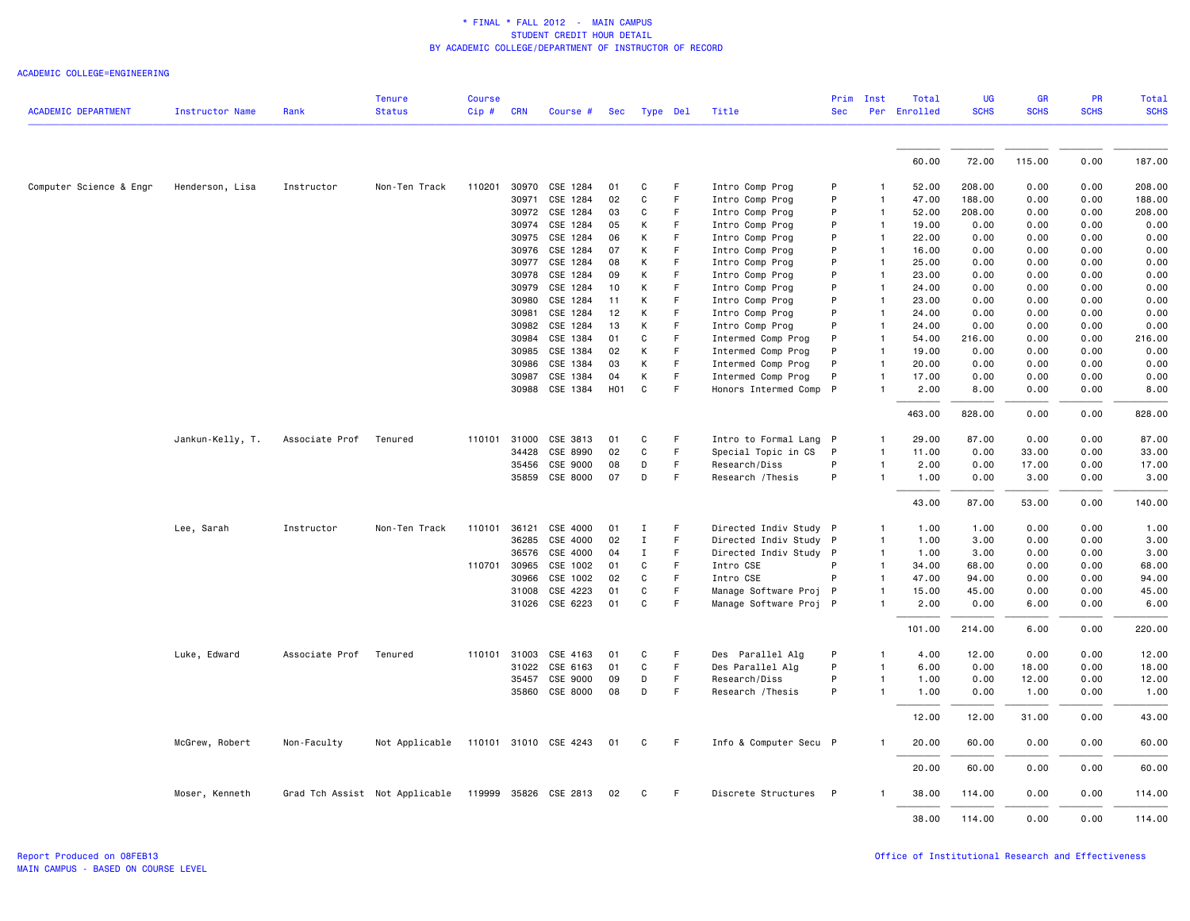|                            |                        |                | <b>Tenure</b>                  | <b>Course</b> |              |                       |            |              |             |                        | Prim       | Inst         | Total        | <b>UG</b>   | <b>GR</b>   | <b>PR</b>   | Total       |
|----------------------------|------------------------|----------------|--------------------------------|---------------|--------------|-----------------------|------------|--------------|-------------|------------------------|------------|--------------|--------------|-------------|-------------|-------------|-------------|
| <b>ACADEMIC DEPARTMENT</b> | <b>Instructor Name</b> | Rank           | <b>Status</b>                  | Cip #         | <b>CRN</b>   | Course #              |            | Sec Type Del |             | Title                  | <b>Sec</b> |              | Per Enrolled | <b>SCHS</b> | <b>SCHS</b> | <b>SCHS</b> | <b>SCHS</b> |
|                            |                        |                |                                |               |              |                       |            |              |             |                        |            |              |              |             |             |             |             |
|                            |                        |                |                                |               |              |                       |            |              |             |                        |            |              | 60.00        | 72.00       | 115.00      | 0.00        | 187.00      |
| Computer Science & Engr    | Henderson, Lisa        | Instructor     | Non-Ten Track                  | 110201        | 30970        | CSE 1284              | 01         | C            | F           | Intro Comp Prog        | P          | 1            | 52.00        | 208.00      | 0.00        | 0.00        | 208.00      |
|                            |                        |                |                                |               | 30971        | CSE 1284              | 02         | C            | F           | Intro Comp Prog        | P          | 1            | 47.00        | 188.00      | 0.00        | 0.00        | 188.00      |
|                            |                        |                |                                |               |              | 30972 CSE 1284        | 03         | C            | F           | Intro Comp Prog        | P          | 1            | 52.00        | 208.00      | 0.00        | 0.00        | 208.00      |
|                            |                        |                |                                |               | 30974        | CSE 1284              | 05         | Κ            | F           | Intro Comp Prog        | P          | $\mathbf{1}$ | 19.00        | 0.00        | 0.00        | 0.00        | 0.00        |
|                            |                        |                |                                |               | 30975        | CSE 1284              | 06         | Κ            | F           | Intro Comp Prog        | P          | 1            | 22.00        | 0.00        | 0.00        | 0.00        | 0.00        |
|                            |                        |                |                                |               | 30976        | CSE 1284              | 07         | Κ            | F           | Intro Comp Prog        | P          | 1            | 16.00        | 0.00        | 0.00        | 0.00        | 0.00        |
|                            |                        |                |                                |               | 30977        | CSE 1284              | 08         | K            | F           | Intro Comp Prog        | P          | 1            | 25.00        | 0.00        | 0.00        | 0.00        | 0.00        |
|                            |                        |                |                                |               | 30978        | CSE 1284              | 09         | K            | F           | Intro Comp Prog        | P          | $\mathbf{1}$ | 23.00        | 0.00        | 0.00        | 0.00        | 0.00        |
|                            |                        |                |                                |               | 30979        | CSE 1284              | 10         | Κ            | F           | Intro Comp Prog        | P          | 1            | 24.00        | 0.00        | 0.00        | 0.00        | 0.00        |
|                            |                        |                |                                |               | 30980        | CSE 1284              | 11         | Κ            | F           | Intro Comp Prog        | P          | 1            | 23.00        | 0.00        | 0.00        | 0.00        | 0.00        |
|                            |                        |                |                                |               | 30981        | CSE 1284              | 12         | K            | F           | Intro Comp Prog        | P          | $\mathbf{1}$ | 24.00        | 0.00        | 0.00        | 0.00        | 0.00        |
|                            |                        |                |                                |               | 30982        | CSE 1284              | 13         | K            | F           | Intro Comp Prog        | P          | 1            | 24,00        | 0.00        | 0.00        | 0.00        | 0.00        |
|                            |                        |                |                                |               | 30984        | CSE 1384              | 01         | C            | F           | Intermed Comp Prog     | P          | 1            | 54.00        | 216.00      | 0.00        | 0.00        | 216.00      |
|                            |                        |                |                                |               | 30985        | CSE 1384              | 02         | K            | F           | Intermed Comp Prog     | P          | 1            | 19.00        | 0.00        | 0.00        | 0.00        | 0.00        |
|                            |                        |                |                                |               | 30986        | CSE 1384              | 03         | K            | F           | Intermed Comp Prog     | P          | 1            | 20.00        | 0.00        | 0.00        | 0.00        | 0.00        |
|                            |                        |                |                                |               | 30987        | CSE 1384              | 04         | Κ            | F           | Intermed Comp Prog     | P          | 1            | 17.00        | 0.00        | 0.00        | 0.00        | 0.00        |
|                            |                        |                |                                |               |              | 30988 CSE 1384        | <b>H01</b> | $\mathsf{C}$ | F           | Honors Intermed Comp P |            |              | 2.00         | 8.00        | 0.00        | 0.00        | 8.00        |
|                            |                        |                |                                |               |              |                       |            |              |             |                        |            |              | 463.00       | 828.00      | 0.00        | 0.00        | 828.00      |
|                            | Jankun-Kelly, T.       | Associate Prof | Tenured                        |               | 110101 31000 | CSE 3813              | 01         | C            | F           | Intro to Formal Lang P |            |              | 29.00        | 87.00       | 0.00        | 0.00        | 87.00       |
|                            |                        |                |                                |               | 34428        | CSE 8990              | 02         | C            | $\mathsf F$ | Special Topic in CS    | P          | 1            | 11.00        | 0.00        | 33.00       | 0.00        | 33.00       |
|                            |                        |                |                                |               | 35456        | CSE 9000              | 08         | D            | F           | Research/Diss          | P          | 1            | 2.00         | 0.00        | 17.00       | 0.00        | 17.00       |
|                            |                        |                |                                |               |              | 35859 CSE 8000        | 07         | D            | F           | Research / Thesis      | P          | 1            | 1.00         | 0.00        | 3.00        | 0.00        | 3.00        |
|                            |                        |                |                                |               |              |                       |            |              |             |                        |            |              | 43.00        | 87.00       | 53.00       | 0.00        | 140.00      |
|                            | Lee, Sarah             | Instructor     | Non-Ten Track                  | 110101        | 36121        | CSE 4000              | 01         | Ι.           | F           | Directed Indiv Study P |            | $\mathbf{1}$ | 1.00         | 1.00        | 0.00        | 0.00        | 1.00        |
|                            |                        |                |                                |               | 36285        | CSE 4000              | 02         | Ι.           | F.          | Directed Indiv Study P |            | $\mathbf{1}$ | 1.00         | 3,00        | 0.00        | 0.00        | 3.00        |
|                            |                        |                |                                |               | 36576        | CSE 4000              | 04         | Ι.           | F           | Directed Indiv Study P |            | 1            | 1.00         | 3.00        | 0.00        | 0.00        | 3.00        |
|                            |                        |                |                                | 110701        | 30965        | CSE 1002              | 01         | C            | F           | Intro CSE              | P          | 1            | 34.00        | 68.00       | 0.00        | 0.00        | 68.00       |
|                            |                        |                |                                |               | 30966        | CSE 1002              | 02         | C            | F           | Intro CSE              | P          | 1            | 47.00        | 94.00       | 0.00        | 0.00        | 94.00       |
|                            |                        |                |                                |               | 31008        | CSE 4223              | 01         | C            | F           | Manage Software Proj P |            |              | 15.00        | 45.00       | 0.00        | 0.00        | 45.00       |
|                            |                        |                |                                |               |              | 31026 CSE 6223        | 01         | C            | F           | Manage Software Proj P |            |              | 2.00         | 0.00        | 6.00        | 0.00        | 6.00        |
|                            |                        |                |                                |               |              |                       |            |              |             |                        |            |              | 101.00       | 214.00      | 6.00        | 0.00        | 220.00      |
|                            | Luke, Edward           | Associate Prof | Tenured                        |               | 110101 31003 | CSE 4163              | 01         | C            | F           | Des Parallel Alg       | P          |              | 4.00         | 12.00       | 0.00        | 0.00        | 12.00       |
|                            |                        |                |                                |               | 31022        | CSE 6163              | 01         | C            | $\mathsf F$ | Des Parallel Alg       | P          | $\mathbf{1}$ | 6.00         | 0.00        | 18.00       | 0.00        | 18.00       |
|                            |                        |                |                                |               | 35457        | CSE 9000              | 09         | D            | F           | Research/Diss          | P          | 1            | 1.00         | 0.00        | 12.00       | 0.00        | 12.00       |
|                            |                        |                |                                |               |              | 35860 CSE 8000        | 08         | D            | F           | Research / Thesis      | P          | $\mathbf{1}$ | 1.00         | 0.00        | 1.00        | 0.00        | 1.00        |
|                            |                        |                |                                |               |              |                       |            |              |             |                        |            |              | 12.00        | 12.00       | 31.00       | 0.00        | 43.00       |
|                            | McGrew, Robert         | Non-Faculty    | Not Applicable                 |               |              | 110101 31010 CSE 4243 | 01         | C            | F           | Info & Computer Secu P |            | 1            | 20.00        | 60.00       | 0.00        | 0.00        | 60.00       |
|                            |                        |                |                                |               |              |                       |            |              |             |                        |            |              | 20.00        | 60.00       | 0.00        | 0.00        | 60.00       |
|                            | Moser, Kenneth         |                | Grad Tch Assist Not Applicable | 119999 35826  |              | CSE 2813              | 02         | C            | F           | Discrete Structures    | - P        |              | 38.00        | 114.00      | 0.00        | 0.00        | 114.00      |
|                            |                        |                |                                |               |              |                       |            |              |             |                        |            |              | 38,00        | 114.00      | 0.00        | 0.00        | 114.00      |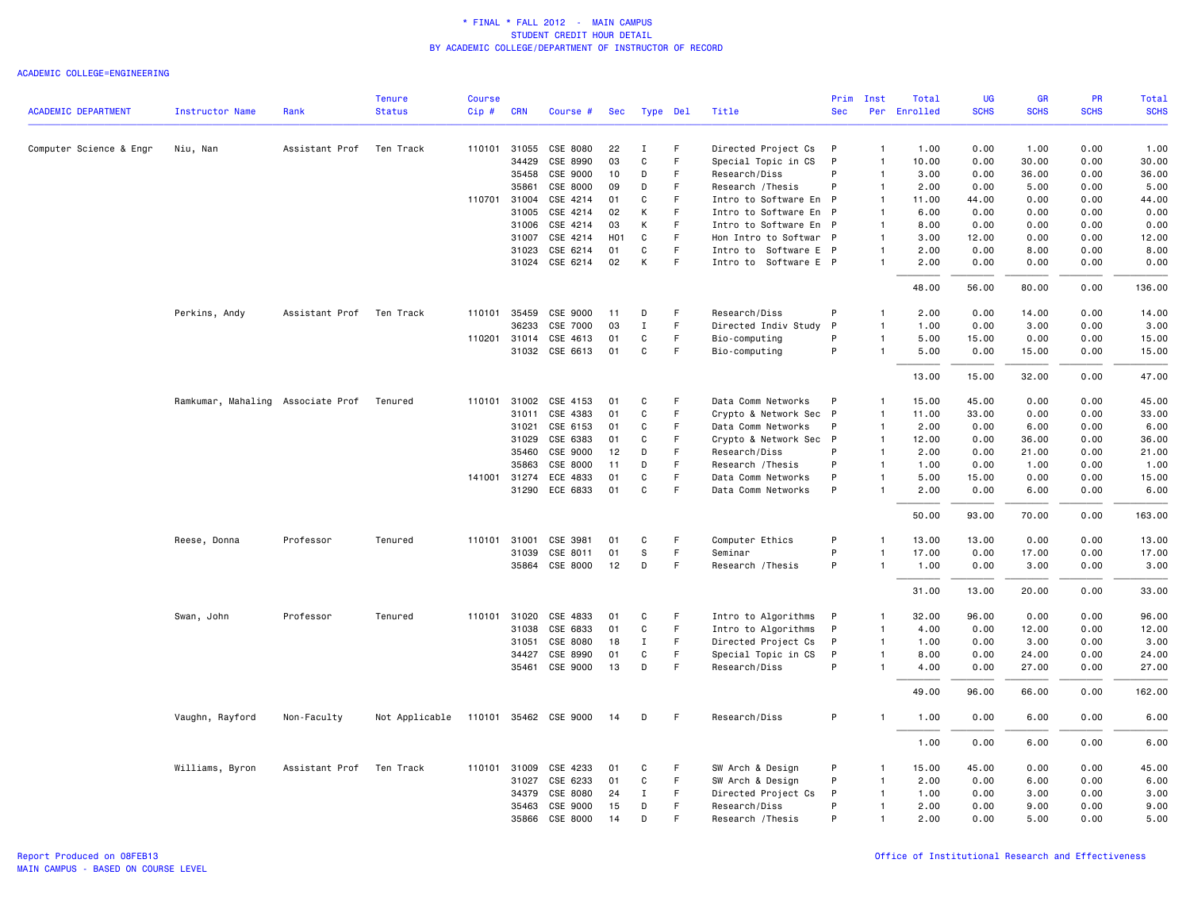|                            |                                   |                | <b>Tenure</b>  | <b>Course</b> |              |                       |                 |              |    |                        | Prim       | Inst           | Total        | <b>UG</b>   | <b>GR</b>   | PR          | Total       |
|----------------------------|-----------------------------------|----------------|----------------|---------------|--------------|-----------------------|-----------------|--------------|----|------------------------|------------|----------------|--------------|-------------|-------------|-------------|-------------|
| <b>ACADEMIC DEPARTMENT</b> | <b>Instructor Name</b>            | Rank           | <b>Status</b>  | Cip#          | <b>CRN</b>   | Course #              | Sec             | Type Del     |    | Title                  | <b>Sec</b> |                | Per Enrolled | <b>SCHS</b> | <b>SCHS</b> | <b>SCHS</b> | <b>SCHS</b> |
| Computer Science & Engr    | Niu, Nan                          | Assistant Prof | Ten Track      | 110101        | 31055        | CSE 8080              | 22              | $\mathbf I$  | F. | Directed Project Cs    | P          | $\mathbf{1}$   | 1.00         | 0.00        | 1.00        | 0.00        | 1.00        |
|                            |                                   |                |                |               | 34429        | CSE 8990              | 03              | $\mathbf C$  | F  | Special Topic in CS    | P          | $\overline{1}$ | 10.00        | 0.00        | 30.00       | 0.00        | 30.00       |
|                            |                                   |                |                |               | 35458        | CSE 9000              | 10              | D            | F. | Research/Diss          | P          | $\overline{1}$ | 3.00         | 0.00        | 36.00       | 0.00        | 36.00       |
|                            |                                   |                |                |               | 35861        | CSE 8000              | 09              | D            | F  | Research / Thesis      | P          | $\overline{1}$ | 2.00         | 0.00        | 5.00        | 0.00        | 5.00        |
|                            |                                   |                |                |               | 110701 31004 | CSE 4214              | 01              | C            | F  | Intro to Software En P |            | $\overline{1}$ | 11.00        | 44.00       | 0.00        | 0.00        | 44.00       |
|                            |                                   |                |                |               | 31005        | CSE 4214              | 02              | К            | F  | Intro to Software En P |            | $\overline{1}$ | 6.00         | 0.00        | 0.00        | 0.00        | 0.00        |
|                            |                                   |                |                |               | 31006        | CSE 4214              | 03              | К            | F  | Intro to Software En P |            | $\overline{1}$ | 8.00         | 0.00        | 0.00        | 0.00        | 0.00        |
|                            |                                   |                |                |               | 31007        | CSE 4214              | H <sub>01</sub> | C            | F  | Hon Intro to Softwar P |            | $\overline{1}$ | 3.00         | 12.00       | 0.00        | 0.00        | 12.00       |
|                            |                                   |                |                |               | 31023        | CSE 6214              | 01              | C            | F  | Intro to Software E P  |            | $\overline{1}$ | 2.00         | 0.00        | 8.00        | 0.00        | 8.00        |
|                            |                                   |                |                |               |              | 31024 CSE 6214        | 02              | К            | F  | Intro to Software E P  |            | $\overline{1}$ | 2.00         | 0.00        | 0.00        | 0.00        | 0.00        |
|                            |                                   |                |                |               |              |                       |                 |              |    |                        |            |                | 48.00        | 56.00       | 80.00       | 0.00        | 136.00      |
|                            | Perkins, Andy                     | Assistant Prof | Ten Track      | 110101        | 35459        | CSE 9000              | 11              | D            | F  | Research/Diss          | P          | $\overline{1}$ | 2.00         | 0.00        | 14.00       | 0.00        | 14.00       |
|                            |                                   |                |                |               | 36233        | CSE 7000              | 03              | $\mathbf I$  | F. | Directed Indiv Study   | P          | $\overline{1}$ | 1.00         | 0.00        | 3.00        | 0.00        | 3.00        |
|                            |                                   |                |                |               | 110201 31014 | CSE 4613              | 01              | C            | F. | Bio-computing          | P          | $\overline{1}$ | 5.00         | 15.00       | 0.00        | 0.00        | 15.00       |
|                            |                                   |                |                |               |              | 31032 CSE 6613        | 01              | $\mathsf{C}$ | F. | Bio-computing          | P          | $\overline{1}$ | 5.00         | 0.00        | 15.00       | 0.00        | 15.00       |
|                            |                                   |                |                |               |              |                       |                 |              |    |                        |            |                | 13.00        | 15.00       | 32.00       | 0.00        | 47.00       |
|                            | Ramkumar, Mahaling Associate Prof |                | Tenured        |               | 110101 31002 | CSE 4153              | 01              | C            | F  | Data Comm Networks     | P          | $\overline{1}$ | 15.00        | 45.00       | 0.00        | 0.00        | 45.00       |
|                            |                                   |                |                |               | 31011        | CSE 4383              | 01              | C            | F. | Crypto & Network Sec   | P          | $\overline{1}$ | 11.00        | 33.00       | 0.00        | 0.00        | 33.00       |
|                            |                                   |                |                |               | 31021        | CSE 6153              | 01              | C            | F  | Data Comm Networks     | P          | $\overline{1}$ | 2.00         | 0.00        | 6.00        | 0.00        | 6.00        |
|                            |                                   |                |                |               | 31029        | CSE 6383              | 01              | C            | F. | Crypto & Network Sec P |            | $\overline{1}$ | 12.00        | 0.00        | 36.00       | 0.00        | 36.00       |
|                            |                                   |                |                |               | 35460        | CSE 9000              | 12              | D            | F  | Research/Diss          | P          | $\overline{1}$ | 2.00         | 0.00        | 21.00       | 0.00        | 21.00       |
|                            |                                   |                |                |               | 35863        | CSE 8000              | 11              | D            | F. | Research / Thesis      | P          | $\overline{1}$ | 1.00         | 0.00        | 1.00        | 0.00        | 1.00        |
|                            |                                   |                |                |               | 141001 31274 | ECE 4833              | 01              | C            | F  | Data Comm Networks     | P          | $\overline{1}$ | 5.00         | 15.00       | 0.00        | 0.00        | 15.00       |
|                            |                                   |                |                |               |              | 31290 ECE 6833        | 01              | C            | F  | Data Comm Networks     | P          | $\overline{1}$ | 2.00         | 0.00        | 6.00        | 0.00        | 6.00        |
|                            |                                   |                |                |               |              |                       |                 |              |    |                        |            |                | 50.00        | 93.00       | 70.00       | 0.00        | 163.00      |
|                            | Reese, Donna                      | Professor      | Tenured        | 110101 31001  |              | CSE 3981              | 01              | C            | F  | Computer Ethics        | P          | $\overline{1}$ | 13.00        | 13.00       | 0.00        | 0.00        | 13.00       |
|                            |                                   |                |                |               | 31039        | CSE 8011              | 01              | S            | F  | Seminar                | P          | $\overline{1}$ | 17.00        | 0.00        | 17.00       | 0.00        | 17.00       |
|                            |                                   |                |                |               |              | 35864 CSE 8000        | 12              | D            | F  | Research / Thesis      | P          | -1             | 1.00         | 0.00        | 3.00        | 0.00        | 3.00        |
|                            |                                   |                |                |               |              |                       |                 |              |    |                        |            |                | 31.00        | 13.00       | 20.00       | 0.00        | 33.00       |
|                            | Swan, John                        | Professor      | Tenured        |               |              | 110101 31020 CSE 4833 | 01              | C            | F  | Intro to Algorithms    | P          | $\overline{1}$ | 32.00        | 96.00       | 0.00        | 0.00        | 96.00       |
|                            |                                   |                |                |               | 31038        | CSE 6833              | 01              | $\mathbf C$  | F. | Intro to Algorithms    | P          | $\mathbf{1}$   | 4.00         | 0.00        | 12.00       | 0.00        | 12.00       |
|                            |                                   |                |                |               | 31051        | CSE 8080              | 18              | $\mathbf I$  | F. | Directed Project Cs    | P          | $\overline{1}$ | 1.00         | 0.00        | 3.00        | 0.00        | 3.00        |
|                            |                                   |                |                |               | 34427        | CSE 8990              | 01              | C            | F  | Special Topic in CS    | P          | $\overline{1}$ | 8.00         | 0.00        | 24.00       | 0.00        | 24.00       |
|                            |                                   |                |                |               | 35461        | CSE 9000              | 13              | D            | F  | Research/Diss          | P          | $\overline{1}$ | 4.00         | 0.00        | 27.00       | 0.00        | 27.00       |
|                            |                                   |                |                |               |              |                       |                 |              |    |                        |            |                | 49.00        | 96.00       | 66.00       | 0.00        | 162.00      |
|                            | Vaughn, Rayford                   | Non-Faculty    | Not Applicable |               |              | 110101 35462 CSE 9000 | 14              | D            | F. | Research/Diss          | P          | $\overline{1}$ | 1.00         | 0.00        | 6.00        | 0.00        | 6.00        |
|                            |                                   |                |                |               |              |                       |                 |              |    |                        |            |                | 1.00         | 0.00        | 6.00        | 0.00        | 6.00        |
|                            | Williams, Byron                   | Assistant Prof | Ten Track      |               | 110101 31009 | CSE 4233              | 01              | C            | F  | SW Arch & Design       | P          | -1             | 15.00        | 45.00       | 0.00        | 0.00        | 45.00       |
|                            |                                   |                |                |               | 31027        | CSE 6233              | 01              | C            | F  | SW Arch & Design       | P          | $\overline{1}$ | 2.00         | 0.00        | 6.00        | 0.00        | 6.00        |
|                            |                                   |                |                |               | 34379        | CSE 8080              | 24              | I            | F. | Directed Project Cs    | P          | $\overline{1}$ | 1.00         | 0.00        | 3.00        | 0.00        | 3.00        |
|                            |                                   |                |                |               | 35463        | CSE 9000              | 15              | D            | F  | Research/Diss          | P          | $\overline{1}$ | 2.00         | 0.00        | 9.00        | 0.00        | 9.00        |
|                            |                                   |                |                |               | 35866        | CSE 8000              | 14              | D            | F. | Research / Thesis      | P          | $\overline{1}$ | 2.00         | 0.00        | 5.00        | 0.00        | 5.00        |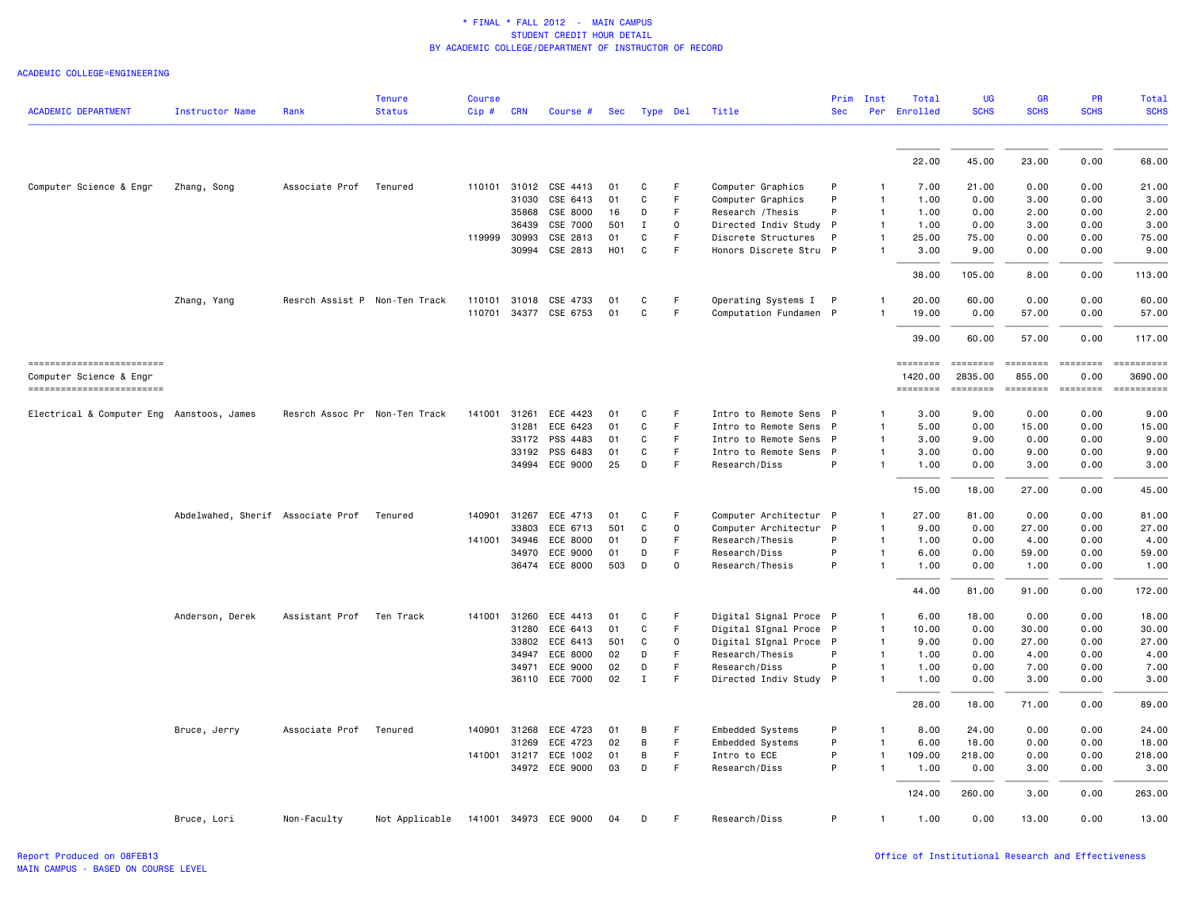|                                                     |                                   |                               | <b>Tenure</b>  | <b>Course</b> |              |                       |            |              |             |                        | Prim       | Inst         | Total               | <b>UG</b>                                                                                                                                                                                                                                                                                                                                                                                                                                                                              | GR                 | PR               | Total       |
|-----------------------------------------------------|-----------------------------------|-------------------------------|----------------|---------------|--------------|-----------------------|------------|--------------|-------------|------------------------|------------|--------------|---------------------|----------------------------------------------------------------------------------------------------------------------------------------------------------------------------------------------------------------------------------------------------------------------------------------------------------------------------------------------------------------------------------------------------------------------------------------------------------------------------------------|--------------------|------------------|-------------|
| <b>ACADEMIC DEPARTMENT</b>                          | <b>Instructor Name</b>            | Rank                          | <b>Status</b>  | Cip#          | <b>CRN</b>   | Course #              | <b>Sec</b> | Type Del     |             | Title                  | <b>Sec</b> |              | Per Enrolled        | <b>SCHS</b>                                                                                                                                                                                                                                                                                                                                                                                                                                                                            | <b>SCHS</b>        | <b>SCHS</b>      | <b>SCHS</b> |
|                                                     |                                   |                               |                |               |              |                       |            |              |             |                        |            |              |                     |                                                                                                                                                                                                                                                                                                                                                                                                                                                                                        |                    |                  |             |
|                                                     |                                   |                               |                |               |              |                       |            |              |             |                        |            |              | 22.00               | 45.00                                                                                                                                                                                                                                                                                                                                                                                                                                                                                  | 23.00              | 0.00             | 68.00       |
| Computer Science & Engr                             | Zhang, Song                       | Associate Prof                | Tenured        |               |              | 110101 31012 CSE 4413 | 01         | C            | F           | Computer Graphics      | P          | -1           | 7.00                | 21.00                                                                                                                                                                                                                                                                                                                                                                                                                                                                                  | 0.00               | 0.00             | 21.00       |
|                                                     |                                   |                               |                |               | 31030        | CSE 6413              | 01         | C            | F           | Computer Graphics      | P          | 1            | 1.00                | 0.00                                                                                                                                                                                                                                                                                                                                                                                                                                                                                   | 3.00               | 0.00             | 3.00        |
|                                                     |                                   |                               |                |               | 35868        | CSE 8000              | 16         | D            | F           | Research / Thesis      | P          | $\mathbf{1}$ | 1.00                | 0.00                                                                                                                                                                                                                                                                                                                                                                                                                                                                                   | 2.00               | 0.00             | 2.00        |
|                                                     |                                   |                               |                |               | 36439        | CSE 7000              | 501        | Ι.           | 0           | Directed Indiv Study P |            | $\mathbf{1}$ | 1.00                | 0.00                                                                                                                                                                                                                                                                                                                                                                                                                                                                                   | 3.00               | 0.00             | 3.00        |
|                                                     |                                   |                               |                | 119999        | 30993        | CSE 2813              | 01         | C            | $\mathsf F$ | Discrete Structures    | P          | 1            | 25.00               | 75.00                                                                                                                                                                                                                                                                                                                                                                                                                                                                                  | 0.00               | 0.00             | 75.00       |
|                                                     |                                   |                               |                |               |              | 30994 CSE 2813        | <b>H01</b> | C            | $\mathsf F$ | Honors Discrete Stru P |            |              | 3.00                | 9.00                                                                                                                                                                                                                                                                                                                                                                                                                                                                                   | 0.00               | 0.00             | 9.00        |
|                                                     |                                   |                               |                |               |              |                       |            |              |             |                        |            |              | 38.00               | 105.00                                                                                                                                                                                                                                                                                                                                                                                                                                                                                 | 8.00               | 0.00             | 113.00      |
|                                                     | Zhang, Yang                       | Resrch Assist P Non-Ten Track |                | 110101        | 31018        | CSE 4733              | 01         | C            | $\mathsf F$ | Operating Systems I P  |            |              | 20.00               | 60.00                                                                                                                                                                                                                                                                                                                                                                                                                                                                                  | 0.00               | 0.00             | 60.00       |
|                                                     |                                   |                               |                |               |              | 110701 34377 CSE 6753 | 01         | C            | $\mathsf F$ | Computation Fundamen P |            |              | 19.00               | 0.00                                                                                                                                                                                                                                                                                                                                                                                                                                                                                   | 57.00              | 0.00             | 57.00       |
|                                                     |                                   |                               |                |               |              |                       |            |              |             |                        |            |              | 39.00               | 60.00                                                                                                                                                                                                                                                                                                                                                                                                                                                                                  | 57.00              | 0.00             | 117.00      |
| ------------------------<br>Computer Science & Engr |                                   |                               |                |               |              |                       |            |              |             |                        |            |              | ========<br>1420.00 | ========<br>2835,00                                                                                                                                                                                                                                                                                                                                                                                                                                                                    | ========<br>855.00 | ========<br>0.00 | 3690,00     |
| ------------------------                            |                                   |                               |                |               |              |                       |            |              |             |                        |            |              | $= 222222222$       | $\begin{array}{cccccccccc} \multicolumn{2}{c}{} & \multicolumn{2}{c}{} & \multicolumn{2}{c}{} & \multicolumn{2}{c}{} & \multicolumn{2}{c}{} & \multicolumn{2}{c}{} & \multicolumn{2}{c}{} & \multicolumn{2}{c}{} & \multicolumn{2}{c}{} & \multicolumn{2}{c}{} & \multicolumn{2}{c}{} & \multicolumn{2}{c}{} & \multicolumn{2}{c}{} & \multicolumn{2}{c}{} & \multicolumn{2}{c}{} & \multicolumn{2}{c}{} & \multicolumn{2}{c}{} & \multicolumn{2}{c}{} & \multicolumn{2}{c}{} & \mult$ | <b>EEEEEEEE</b>    | <b>ESSESSE</b>   | ==========  |
| Electrical & Computer Eng Aanstoos, James           |                                   | Resrch Assoc Pr Non-Ten Track |                | 141001        | 31261        | ECE 4423              | 01         | C            | F           | Intro to Remote Sens P |            | -1           | 3.00                | 9.00                                                                                                                                                                                                                                                                                                                                                                                                                                                                                   | 0.00               | 0.00             | 9.00        |
|                                                     |                                   |                               |                |               | 31281        | ECE 6423              | 01         | C            | $\mathsf F$ | Intro to Remote Sens P |            | 1            | 5.00                | 0.00                                                                                                                                                                                                                                                                                                                                                                                                                                                                                   | 15.00              | 0.00             | 15.00       |
|                                                     |                                   |                               |                |               | 33172        | PSS 4483              | 01         | С            | F           | Intro to Remote Sens P |            | 1            | 3.00                | 9.00                                                                                                                                                                                                                                                                                                                                                                                                                                                                                   | 0.00               | 0.00             | 9.00        |
|                                                     |                                   |                               |                |               |              | 33192 PSS 6483        | 01         | C            | F           | Intro to Remote Sens P |            | 1            | 3.00                | 0.00                                                                                                                                                                                                                                                                                                                                                                                                                                                                                   | 9.00               | 0.00             | 9.00        |
|                                                     |                                   |                               |                |               | 34994        | ECE 9000              | 25         | D            | F           | Research/Diss          | P          |              | 1.00                | 0.00                                                                                                                                                                                                                                                                                                                                                                                                                                                                                   | 3.00               | 0.00             | 3,00        |
|                                                     |                                   |                               |                |               |              |                       |            |              |             |                        |            |              | 15.00               | 18,00                                                                                                                                                                                                                                                                                                                                                                                                                                                                                  | 27.00              | 0.00             | 45.00       |
|                                                     | Abdelwahed, Sherif Associate Prof |                               | Tenured        | 140901        | 31267        | ECE 4713              | 01         | C            | F           | Computer Architectur P |            | 1            | 27.00               | 81.00                                                                                                                                                                                                                                                                                                                                                                                                                                                                                  | 0.00               | 0.00             | 81.00       |
|                                                     |                                   |                               |                |               | 33803        | ECE 6713              | 501        | C            | $\mathsf 0$ | Computer Architectur P |            | 1            | 9.00                | 0.00                                                                                                                                                                                                                                                                                                                                                                                                                                                                                   | 27.00              | 0.00             | 27.00       |
|                                                     |                                   |                               |                | 141001        | 34946        | ECE 8000              | 01         | D            | F           | Research/Thesis        | P          | $\mathbf{1}$ | 1.00                | 0.00                                                                                                                                                                                                                                                                                                                                                                                                                                                                                   | 4.00               | 0.00             | 4.00        |
|                                                     |                                   |                               |                |               | 34970        | ECE 9000              | 01         | D            | F           | Research/Diss          | P          | 1            | 6.00                | 0.00                                                                                                                                                                                                                                                                                                                                                                                                                                                                                   | 59.00              | 0.00             | 59.00       |
|                                                     |                                   |                               |                |               |              | 36474 ECE 8000        | 503        | D            | $\mathbf 0$ | Research/Thesis        | P          |              | 1.00                | 0.00                                                                                                                                                                                                                                                                                                                                                                                                                                                                                   | 1.00               | 0.00             | 1.00        |
|                                                     |                                   |                               |                |               |              |                       |            |              |             |                        |            |              | 44.00               | 81.00                                                                                                                                                                                                                                                                                                                                                                                                                                                                                  | 91.00              | 0.00             | 172.00      |
|                                                     | Anderson, Derek                   | Assistant Prof Ten Track      |                |               | 141001 31260 | ECE 4413              | 01         | C            | F           | Digital Signal Proce P |            | 1            | 6.00                | 18.00                                                                                                                                                                                                                                                                                                                                                                                                                                                                                  | 0.00               | 0.00             | 18.00       |
|                                                     |                                   |                               |                |               | 31280        | ECE 6413              | 01         | $\mathsf{C}$ | $\mathsf F$ | Digital SIgnal Proce P |            | $\mathbf{1}$ | 10.00               | 0.00                                                                                                                                                                                                                                                                                                                                                                                                                                                                                   | 30.00              | 0.00             | 30.00       |
|                                                     |                                   |                               |                |               | 33802        | ECE 6413              | 501        | C            | $\mathbf 0$ | Digital SIgnal Proce P |            | 1            | 9.00                | 0.00                                                                                                                                                                                                                                                                                                                                                                                                                                                                                   | 27.00              | 0.00             | 27.00       |
|                                                     |                                   |                               |                |               | 34947        | ECE 8000              | 02         | D            | F           | Research/Thesis        | P          | 1            | 1.00                | 0.00                                                                                                                                                                                                                                                                                                                                                                                                                                                                                   | 4.00               | 0.00             | 4.00        |
|                                                     |                                   |                               |                |               | 34971        | ECE 9000              | 02         | D            | F           | Research/Diss          | P          | 1            | 1.00                | 0.00                                                                                                                                                                                                                                                                                                                                                                                                                                                                                   | 7.00               | 0.00             | 7.00        |
|                                                     |                                   |                               |                |               | 36110        | ECE 7000              | 02         | $\mathbf{I}$ | F           | Directed Indiv Study P |            | 1            | 1.00                | 0.00                                                                                                                                                                                                                                                                                                                                                                                                                                                                                   | 3.00               | 0.00             | 3.00        |
|                                                     |                                   |                               |                |               |              |                       |            |              |             |                        |            |              | 28.00               | 18.00                                                                                                                                                                                                                                                                                                                                                                                                                                                                                  | 71.00              | 0.00             | 89.00       |
|                                                     | Bruce, Jerry                      | Associate Prof                | Tenured        | 140901        | 31268        | ECE 4723              | 01         | В            | F           | Embedded Systems       | P          | -1           | 8.00                | 24.00                                                                                                                                                                                                                                                                                                                                                                                                                                                                                  | 0.00               | 0.00             | 24.00       |
|                                                     |                                   |                               |                |               | 31269        | ECE 4723              | 02         | B            | $\mathsf F$ | Embedded Systems       | P          | 1            | 6.00                | 18.00                                                                                                                                                                                                                                                                                                                                                                                                                                                                                  | 0.00               | 0.00             | 18.00       |
|                                                     |                                   |                               |                | 141001        | 31217        | ECE 1002              | 01         | В            | $\mathsf F$ | Intro to ECE           | P          | 1            | 109.00              | 218.00                                                                                                                                                                                                                                                                                                                                                                                                                                                                                 | 0.00               | 0.00             | 218.00      |
|                                                     |                                   |                               |                |               |              | 34972 ECE 9000        | 03         | D            | $\mathsf F$ | Research/Diss          | P          | 1            | 1.00                | 0.00                                                                                                                                                                                                                                                                                                                                                                                                                                                                                   | 3.00               | 0.00             | 3.00        |
|                                                     |                                   |                               |                |               |              |                       |            |              |             |                        |            |              | 124,00              | 260.00                                                                                                                                                                                                                                                                                                                                                                                                                                                                                 | 3.00               | 0.00             | 263.00      |
|                                                     | Bruce, Lori                       | Non-Faculty                   | Not Applicable |               |              | 141001 34973 ECE 9000 | 04         | D            | F.          | Research/Diss          | P          | $\mathbf{1}$ | 1.00                | 0.00                                                                                                                                                                                                                                                                                                                                                                                                                                                                                   | 13.00              | 0.00             | 13,00       |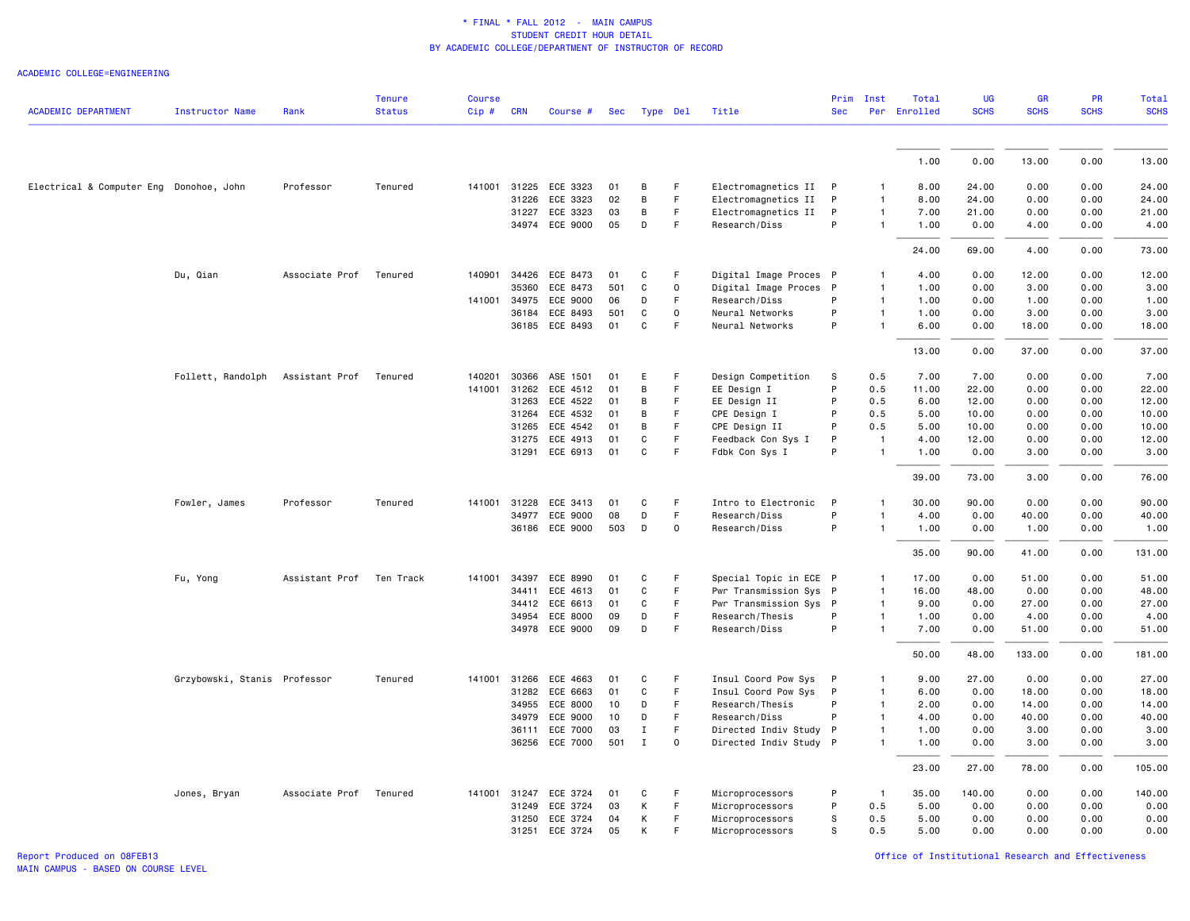| <b>ACADEMIC DEPARTMENT</b>              | Instructor Name              | Rank                   | <b>Tenure</b><br><b>Status</b> | <b>Course</b><br>Cip# | <b>CRN</b> | Course #              | Sec | Type Del     |             | Title                  | Prim<br><b>Sec</b> | Inst           | Total<br>Per Enrolled | <b>UG</b><br><b>SCHS</b> | <b>GR</b><br><b>SCHS</b> | PR<br><b>SCHS</b> | <b>Total</b><br><b>SCHS</b> |
|-----------------------------------------|------------------------------|------------------------|--------------------------------|-----------------------|------------|-----------------------|-----|--------------|-------------|------------------------|--------------------|----------------|-----------------------|--------------------------|--------------------------|-------------------|-----------------------------|
|                                         |                              |                        |                                |                       |            |                       |     |              |             |                        |                    |                |                       |                          |                          |                   |                             |
|                                         |                              |                        |                                |                       |            |                       |     |              |             |                        |                    |                | 1.00                  | 0.00                     | 13.00                    | 0.00              | 13.00                       |
| Electrical & Computer Eng Donohoe, John |                              | Professor              | Tenured                        |                       |            | 141001 31225 ECE 3323 | 01  | B            | F           | Electromagnetics II P  |                    | $\mathbf{1}$   | 8.00                  | 24.00                    | 0.00                     | 0.00              | 24.00                       |
|                                         |                              |                        |                                |                       | 31226      | ECE 3323              | 02  | B            | F.          | Electromagnetics II    | P                  | $\mathbf{1}$   | 8.00                  | 24.00                    | 0.00                     | 0.00              | 24.00                       |
|                                         |                              |                        |                                |                       | 31227      | ECE 3323              | 03  | B            | F           | Electromagnetics II    | P                  | $\mathbf{1}$   | 7.00                  | 21.00                    | 0.00                     | 0.00              | 21.00                       |
|                                         |                              |                        |                                |                       |            | 34974 ECE 9000        | 05  | D            | F           | Research/Diss          | P                  | $\mathbf{1}$   | 1.00                  | 0.00                     | 4.00                     | 0.00              | 4.00                        |
|                                         |                              |                        |                                |                       |            |                       |     |              |             |                        |                    |                | 24.00                 | 69.00                    | 4.00                     | 0.00              | 73.00                       |
|                                         | Du, Qian                     | Associate Prof         | Tenured                        | 140901                | 34426      | ECE 8473              | 01  | C            | F           | Digital Image Proces P |                    | $\mathbf{1}$   | 4.00                  | 0.00                     | 12.00                    | 0.00              | 12.00                       |
|                                         |                              |                        |                                |                       | 35360      | ECE 8473              | 501 | C            | 0           | Digital Image Proces P |                    | $\mathbf{1}$   | 1.00                  | 0.00                     | 3.00                     | 0.00              | 3.00                        |
|                                         |                              |                        |                                | 141001                | 34975      | ECE 9000              | 06  | D            | F.          | Research/Diss          | P                  | $\mathbf{1}$   | 1.00                  | 0.00                     | 1.00                     | 0.00              | 1.00                        |
|                                         |                              |                        |                                |                       | 36184      | ECE 8493              | 501 | C            | $\Omega$    | Neural Networks        | P                  | $\mathbf{1}$   | 1.00                  | 0.00                     | 3.00                     | 0.00              | 3.00                        |
|                                         |                              |                        |                                |                       |            | 36185 ECE 8493        | 01  | $\mathbf c$  | F.          | Neural Networks        | P                  | $\mathbf{1}$   | 6.00                  | 0.00                     | 18.00                    | 0.00              | 18.00                       |
|                                         |                              |                        |                                |                       |            |                       |     |              |             |                        |                    |                | 13.00                 | 0.00                     | 37.00                    | 0.00              | 37.00                       |
|                                         | Follett, Randolph            | Assistant Prof Tenured |                                | 140201                | 30366      | ASE 1501              | 01  | E            | F           | Design Competition     | s                  | 0.5            | 7.00                  | 7.00                     | 0.00                     | 0.00              | 7.00                        |
|                                         |                              |                        |                                | 141001                | 31262      | ECE 4512              | 01  | B            | F           | EE Design I            | P                  | 0.5            | 11.00                 | 22.00                    | 0.00                     | 0.00              | 22.00                       |
|                                         |                              |                        |                                |                       | 31263      | ECE 4522              | 01  | B            | F           | EE Design II           | P                  | 0.5            | 6.00                  | 12.00                    | 0.00                     | 0.00              | 12.00                       |
|                                         |                              |                        |                                |                       | 31264      | ECE 4532              | 01  | B            | F           | CPE Design I           | P                  | 0.5            | 5.00                  | 10.00                    | 0.00                     | 0.00              | 10.00                       |
|                                         |                              |                        |                                |                       | 31265      | ECE 4542              | 01  | B            | F.          | CPE Design II          | P                  | 0.5            | 5.00                  | 10.00                    | 0.00                     | 0.00              | 10.00                       |
|                                         |                              |                        |                                |                       | 31275      | ECE 4913              | 01  | C            | F           | Feedback Con Sys I     | P                  | $\overline{1}$ | 4.00                  | 12.00                    | 0.00                     | 0.00              | 12.00                       |
|                                         |                              |                        |                                |                       | 31291      | ECE 6913              | 01  | $\mathbf c$  | F           | Fdbk Con Sys I         | P                  | $\overline{1}$ | 1.00                  | 0.00                     | 3.00                     | 0.00              | 3.00                        |
|                                         |                              |                        |                                |                       |            |                       |     |              |             |                        |                    |                | 39.00                 | 73.00                    | 3.00                     | 0.00              | 76.00                       |
|                                         | Fowler, James                | Professor              | Tenured                        | 141001 31228          |            | ECE 3413              | 01  | C            | F           | Intro to Electronic    | P                  | $\mathbf{1}$   | 30.00                 | 90.00                    | 0.00                     | 0.00              | 90.00                       |
|                                         |                              |                        |                                |                       | 34977      | ECE 9000              | 08  | D            | F           | Research/Diss          | P                  | $\mathbf{1}$   | 4.00                  | 0.00                     | 40.00                    | 0.00              | 40.00                       |
|                                         |                              |                        |                                |                       | 36186      | ECE 9000              | 503 | D            | $\circ$     | Research/Diss          | P                  | $\mathbf{1}$   | 1.00                  | 0.00                     | 1.00                     | 0.00              | 1.00                        |
|                                         |                              |                        |                                |                       |            |                       |     |              |             |                        |                    |                | 35.00                 | 90.00                    | 41.00                    | 0.00              | 131.00                      |
|                                         | Fu, Yong                     | Assistant Prof         | Ten Track                      | 141001                | 34397      | ECE 8990              | 01  | C            | F.          | Special Topic in ECE P |                    | $\overline{1}$ | 17.00                 | 0.00                     | 51.00                    | 0.00              | 51.00                       |
|                                         |                              |                        |                                |                       | 34411      | ECE 4613              | 01  | C            | F.          | Pwr Transmission Sys P |                    | $\mathbf{1}$   | 16.00                 | 48.00                    | 0.00                     | 0.00              | 48.00                       |
|                                         |                              |                        |                                |                       | 34412      | ECE 6613              | 01  | C            | F           | Pwr Transmission Sys P |                    | $\mathbf{1}$   | 9.00                  | 0.00                     | 27.00                    | 0.00              | 27.00                       |
|                                         |                              |                        |                                |                       | 34954      | ECE 8000              | 09  | D            | F.          | Research/Thesis        | P                  | $\mathbf{1}$   | 1.00                  | 0.00                     | 4.00                     | 0.00              | 4.00                        |
|                                         |                              |                        |                                |                       | 34978      | ECE 9000              | 09  | D            | F           | Research/Diss          | P                  | $\mathbf{1}$   | 7.00                  | 0.00                     | 51.00                    | 0.00              | 51.00                       |
|                                         |                              |                        |                                |                       |            |                       |     |              |             |                        |                    |                | 50.00                 | 48.00                    | 133.00                   | 0.00              | 181.00                      |
|                                         | Grzybowski, Stanis Professor |                        | Tenured                        | 141001                | 31266      | ECE 4663              | 01  | C            | F           | Insul Coord Pow Sys    | P                  | 1              | 9.00                  | 27.00                    | 0.00                     | 0.00              | 27.00                       |
|                                         |                              |                        |                                |                       | 31282      | ECE 6663              | 01  | C            | F           | Insul Coord Pow Sys    | P                  | $\mathbf{1}$   | 6.00                  | 0.00                     | 18.00                    | 0.00              | 18.00                       |
|                                         |                              |                        |                                |                       | 34955      | ECE 8000              | 10  | D            | F           | Research/Thesis        | P                  | $\mathbf{1}$   | 2.00                  | 0.00                     | 14.00                    | 0.00              | 14.00                       |
|                                         |                              |                        |                                |                       | 34979      | ECE 9000              | 10  | D            | F.          | Research/Diss          | P                  | $\mathbf{1}$   | 4.00                  | 0.00                     | 40.00                    | 0.00              | 40.00                       |
|                                         |                              |                        |                                |                       | 36111      | ECE 7000              | 03  | $\mathbf{I}$ | F           | Directed Indiv Study P |                    | $\mathbf{1}$   | 1.00                  | 0.00                     | 3.00                     | 0.00              | 3.00                        |
|                                         |                              |                        |                                |                       |            | 36256 ECE 7000        | 501 | $\mathbf I$  | $\mathbf 0$ | Directed Indiv Study P |                    | $\mathbf{1}$   | 1.00                  | 0.00                     | 3.00                     | 0.00              | 3.00                        |
|                                         |                              |                        |                                |                       |            |                       |     |              |             |                        |                    |                | 23.00                 | 27.00                    | 78.00                    | 0.00              | 105.00                      |
|                                         | Jones, Bryan                 | Associate Prof         | Tenured                        | 141001 31247          |            | ECE 3724              | 01  | C            | F           | Microprocessors        | P                  | $\overline{1}$ | 35.00                 | 140.00                   | 0.00                     | 0.00              | 140.00                      |
|                                         |                              |                        |                                |                       | 31249      | ECE 3724              | 03  | K            | F           | Microprocessors        | P                  | 0.5            | 5.00                  | 0.00                     | 0.00                     | 0.00              | 0.00                        |
|                                         |                              |                        |                                |                       | 31250      | ECE 3724              | 04  | K            | F           | Microprocessors        | s                  | 0.5            | 5.00                  | 0.00                     | 0.00                     | 0.00              | 0.00                        |
|                                         |                              |                        |                                |                       | 31251      | ECE 3724              | 05  | K            | F           | Microprocessors        | S                  | 0.5            | 5.00                  | 0.00                     | 0.00                     | 0.00              | 0.00                        |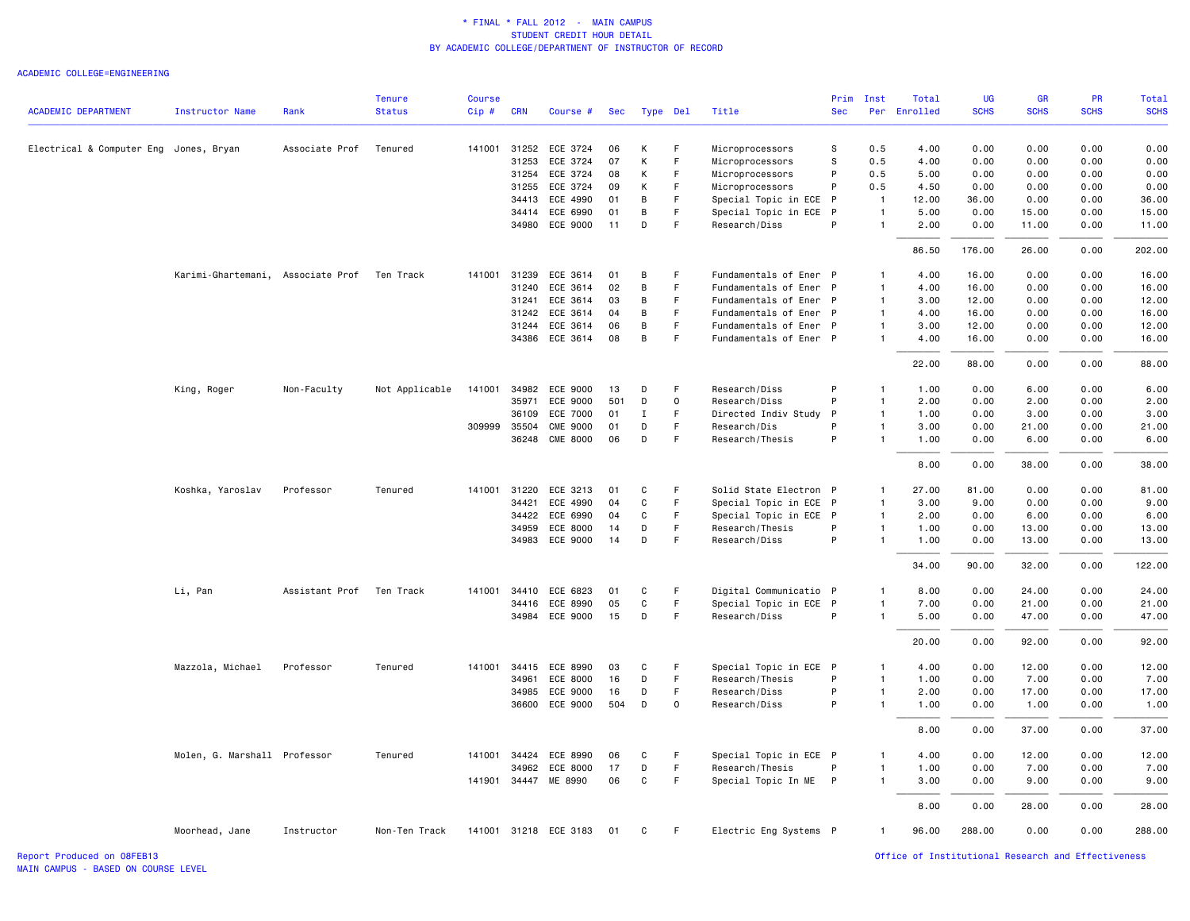#### ACADEMIC COLLEGE=ENGINEERING

| <b>SCHS</b><br><b>ACADEMIC DEPARTMENT</b><br><b>SCHS</b><br><b>SCHS</b><br>Instructor Name<br>Rank<br><b>Status</b><br>Cip#<br><b>CRN</b><br>Course #<br>Type Del<br>Title<br><b>Sec</b><br>Per Enrolled<br><b>SCHS</b><br>Sec<br>Electrical & Computer Eng Jones, Bryan<br>Associate Prof<br>Tenured<br>141001 31252<br>ECE 3724<br>06<br>К<br>F<br>Microprocessors<br>s<br>0.5<br>4.00<br>0.00<br>0.00<br>0.00<br>0.00<br>F<br>s<br>0.00<br>31253<br>ECE 3724<br>07<br>К<br>Microprocessors<br>0.5<br>4.00<br>0.00<br>0.00<br>0.00<br>31254<br>ECE 3724<br>08<br>К<br>E<br>Microprocessors<br>P<br>0.5<br>5.00<br>0.00<br>0.00<br>0.00<br>0.00<br>31255<br>ECE 3724<br>09<br>К<br>F.<br>Microprocessors<br>P<br>0.5<br>4.50<br>0.00<br>0.00<br>0.00<br>0.00<br>34413<br>ECE 4990<br>В<br>F<br>Special Topic in ECE P<br>12.00<br>36.00<br>0.00<br>0.00<br>36.00<br>01<br>$\overline{1}$<br>ECE 6990<br>В<br>F<br>Special Topic in ECE<br>$\mathsf{P}$<br>5.00<br>0.00<br>15.00<br>0.00<br>15.00<br>34414<br>01<br>$\overline{1}$<br>D<br>F<br>34980 ECE 9000<br>11<br>Research/Diss<br>P<br>$\overline{1}$<br>2.00<br>0.00<br>11.00<br>0.00<br>11.00<br>86.50<br>176.00<br>26.00<br>0.00<br>202.00<br>Karimi-Ghartemani, Associate Prof<br>Ten Track<br>141001 31239<br>ECE 3614<br>F<br>Fundamentals of Ener P<br>4.00<br>16.00<br>0.00<br>0.00<br>16.00<br>01<br>В<br>$\mathbf{1}$<br>31240<br>ECE 3614<br>02<br>В<br>F.<br>Fundamentals of Ener P<br>4.00<br>16.00<br>0.00<br>0.00<br>16.00<br>$\mathbf{1}$<br>12.00<br>0.00<br>12.00<br>31241<br>ECE 3614<br>03<br>В<br>-F<br>Fundamentals of Ener P<br>3.00<br>0.00<br>$\mathbf{1}$<br>31242 ECE 3614<br>F<br>Fundamentals of Ener P<br>0.00<br>0.00<br>16.00<br>04<br>B<br>$\mathbf{1}$<br>4.00<br>16.00<br>F<br>12.00<br>31244 ECE 3614<br>06<br>В<br>Fundamentals of Ener P<br>3.00<br>12.00<br>0.00<br>0.00<br>$\mathbf{1}$<br>34386 ECE 3614<br>В<br>F.<br>Fundamentals of Ener P<br>0.00<br>16.00<br>08<br>$\mathbf{1}$<br>4.00<br>16.00<br>0.00<br>0.00<br>88.00<br>22.00<br>88.00<br>0.00<br>King, Roger<br>Non-Faculty<br>Not Applicable<br>141001 34982 ECE 9000<br>Research/Diss<br>P<br>1.00<br>0.00<br>6.00<br>0.00<br>6.00<br>13<br>D<br>-F<br>$\mathbf{1}$<br>P<br>35971<br>ECE 9000<br>501<br>D<br>$\mathsf{o}$<br>Research/Diss<br>2.00<br>0.00<br>2.00<br>0.00<br>2.00<br>$\mathbf{1}$<br>F.<br>3.00<br>3.00<br>36109<br>ECE 7000<br>01<br>Ι.<br>Directed Indiv Study<br>P<br>$\mathbf{1}$<br>1.00<br>0.00<br>0.00<br>21.00<br>309999 35504<br><b>CME 9000</b><br>01<br>D<br>F<br>Research/Dis<br>P<br>3.00<br>0.00<br>21.00<br>0.00<br>$\mathbf{1}$<br>36248 CME 8000<br>F<br>P<br>6.00<br>06<br>D<br>Research/Thesis<br>$\mathbf{1}$<br>1.00<br>0.00<br>6.00<br>0.00<br>8.00<br>0.00<br>38.00<br>0.00<br>38.00<br>Koshka, Yaroslav<br>Professor<br>Tenured<br>141001 31220 ECE 3213<br>C<br>Solid State Electron P<br>27.00<br>81.00<br>0.00<br>0.00<br>81.00<br>01<br>F.<br>$\mathbf{1}$<br>34421<br>ECE 4990<br>04<br>C<br>F.<br>Special Topic in ECE P<br>3.00<br>9.00<br>0.00<br>0.00<br>9.00<br>$\mathbf{1}$<br>34422<br>ECE 6990<br>$\mathtt{C}$<br>$\mathsf F$<br>Special Topic in ECE P<br>6.00<br>0.00<br>6.00<br>04<br>$\mathbf{1}$<br>2.00<br>0.00<br>ECE 8000<br>D<br>F<br>Research/Thesis<br>P<br>1.00<br>0.00<br>13.00<br>0.00<br>13.00<br>34959<br>14<br>$\mathbf{1}$<br>P<br>34983 ECE 9000<br>14<br>D<br>F<br>Research/Diss<br>$\mathbf{1}$<br>1.00<br>0.00<br>13.00<br>0.00<br>13.00<br>90.00<br>32.00<br>0.00<br>122.00<br>34.00<br>Li, Pan<br>Assistant Prof Ten Track<br>141001 34410 ECE 6823<br>Digital Communicatio P<br>0.00<br>24.00<br>0.00<br>24.00<br>01<br>C<br>F<br>8.00<br>$\mathbf{1}$<br>ECE 8990<br>05<br>C<br>F<br>Special Topic in ECE P<br>7.00<br>0.00<br>21.00<br>0.00<br>21.00<br>34416<br>$\mathbf{1}$<br>15<br>D<br>F<br>P<br>34984 ECE 9000<br>Research/Diss<br>5.00<br>0.00<br>47.00<br>0.00<br>47.00<br>$\mathbf{1}$<br>0.00<br>92.00<br>0.00<br>92.00<br>20.00<br>0.00<br>12.00<br>0.00<br>12.00<br>Mazzola, Michael<br>Professor<br>Tenured<br>141001 34415 ECE 8990<br>03<br>C<br>F<br>Special Topic in ECE P<br>4.00<br>$\mathbf{1}$<br>$\mathsf F$<br>P<br>34961<br>ECE 8000<br>D<br>Research/Thesis<br>$\overline{1}$<br>1.00<br>0.00<br>7.00<br>0.00<br>7.00<br>16<br>F<br>P<br>34985<br>ECE 9000<br>16<br>D<br>Research/Diss<br>$\mathbf{1}$<br>2.00<br>0.00<br>17.00<br>0.00<br>17.00<br>P<br>1.00<br>36600<br>ECE 9000<br>504<br>D<br>$\mathbf 0$<br>Research/Diss<br>$\mathbf{1}$<br>1.00<br>0.00<br>1.00<br>0.00<br>0.00<br>37.00<br>0.00<br>37.00<br>8.00<br>Molen, G. Marshall Professor<br>F<br>Special Topic in ECE P<br>4.00<br>0.00<br>12.00<br>0.00<br>12.00<br>Tenured<br>141001<br>34424<br>ECE 8990<br>06<br>C<br>$\mathbf{1}$<br>$\mathsf F$<br>34962<br>ECE 8000<br>17<br>D<br>Research/Thesis<br>P<br>1.00<br>0.00<br>7.00<br>0.00<br>7.00<br>$\overline{1}$<br>$\mathsf F$<br>9.00<br>141901 34447 ME 8990<br>06<br>C<br>Special Topic In ME P<br>$\mathbf{1}$<br>3.00<br>0.00<br>9.00<br>0.00<br>0.00<br>28.00<br>8.00<br>0.00<br>28.00<br>141001 31218 ECE 3183<br>Electric Eng Systems P<br>288.00<br>0.00<br>0.00<br>288.00<br>Moorhead, Jane<br>Instructor<br>Non-Ten Track<br>01<br>C<br>-F<br>1<br>96.00 |  | <b>Tenure</b> | <b>Course</b> |  |  |  | Prim | Inst | Total | UG | <b>GR</b> | PR | Total |
|--------------------------------------------------------------------------------------------------------------------------------------------------------------------------------------------------------------------------------------------------------------------------------------------------------------------------------------------------------------------------------------------------------------------------------------------------------------------------------------------------------------------------------------------------------------------------------------------------------------------------------------------------------------------------------------------------------------------------------------------------------------------------------------------------------------------------------------------------------------------------------------------------------------------------------------------------------------------------------------------------------------------------------------------------------------------------------------------------------------------------------------------------------------------------------------------------------------------------------------------------------------------------------------------------------------------------------------------------------------------------------------------------------------------------------------------------------------------------------------------------------------------------------------------------------------------------------------------------------------------------------------------------------------------------------------------------------------------------------------------------------------------------------------------------------------------------------------------------------------------------------------------------------------------------------------------------------------------------------------------------------------------------------------------------------------------------------------------------------------------------------------------------------------------------------------------------------------------------------------------------------------------------------------------------------------------------------------------------------------------------------------------------------------------------------------------------------------------------------------------------------------------------------------------------------------------------------------------------------------------------------------------------------------------------------------------------------------------------------------------------------------------------------------------------------------------------------------------------------------------------------------------------------------------------------------------------------------------------------------------------------------------------------------------------------------------------------------------------------------------------------------------------------------------------------------------------------------------------------------------------------------------------------------------------------------------------------------------------------------------------------------------------------------------------------------------------------------------------------------------------------------------------------------------------------------------------------------------------------------------------------------------------------------------------------------------------------------------------------------------------------------------------------------------------------------------------------------------------------------------------------------------------------------------------------------------------------------------------------------------------------------------------------------------------------------------------------------------------------------------------------------------------------------------------------------------------------------------------------------------------------------------------------------------------------------------------------------------------------------------------------------------------------------------------------------------------------------------------------------------------------------------------------------------------------------------------------------------------------------------------------------------------------------------------------------------------------------------------------------------------------------------------------------------------------------------------------------------------------------------------------------------------------------------------------------------------------------------------------------------------------------------------------------------------------------------------------------------------------------------------------------------------------------------------------------------------------------------------------------------------------------------|--|---------------|---------------|--|--|--|------|------|-------|----|-----------|----|-------|
|                                                                                                                                                                                                                                                                                                                                                                                                                                                                                                                                                                                                                                                                                                                                                                                                                                                                                                                                                                                                                                                                                                                                                                                                                                                                                                                                                                                                                                                                                                                                                                                                                                                                                                                                                                                                                                                                                                                                                                                                                                                                                                                                                                                                                                                                                                                                                                                                                                                                                                                                                                                                                                                                                                                                                                                                                                                                                                                                                                                                                                                                                                                                                                                                                                                                                                                                                                                                                                                                                                                                                                                                                                                                                                                                                                                                                                                                                                                                                                                                                                                                                                                                                                                                                                                                                                                                                                                                                                                                                                                                                                                                                                                                                                                                                                                                                                                                                                                                                                                                                                                                                                                                                                                                                                                                    |  |               |               |  |  |  |      |      |       |    |           |    |       |
|                                                                                                                                                                                                                                                                                                                                                                                                                                                                                                                                                                                                                                                                                                                                                                                                                                                                                                                                                                                                                                                                                                                                                                                                                                                                                                                                                                                                                                                                                                                                                                                                                                                                                                                                                                                                                                                                                                                                                                                                                                                                                                                                                                                                                                                                                                                                                                                                                                                                                                                                                                                                                                                                                                                                                                                                                                                                                                                                                                                                                                                                                                                                                                                                                                                                                                                                                                                                                                                                                                                                                                                                                                                                                                                                                                                                                                                                                                                                                                                                                                                                                                                                                                                                                                                                                                                                                                                                                                                                                                                                                                                                                                                                                                                                                                                                                                                                                                                                                                                                                                                                                                                                                                                                                                                                    |  |               |               |  |  |  |      |      |       |    |           |    |       |
|                                                                                                                                                                                                                                                                                                                                                                                                                                                                                                                                                                                                                                                                                                                                                                                                                                                                                                                                                                                                                                                                                                                                                                                                                                                                                                                                                                                                                                                                                                                                                                                                                                                                                                                                                                                                                                                                                                                                                                                                                                                                                                                                                                                                                                                                                                                                                                                                                                                                                                                                                                                                                                                                                                                                                                                                                                                                                                                                                                                                                                                                                                                                                                                                                                                                                                                                                                                                                                                                                                                                                                                                                                                                                                                                                                                                                                                                                                                                                                                                                                                                                                                                                                                                                                                                                                                                                                                                                                                                                                                                                                                                                                                                                                                                                                                                                                                                                                                                                                                                                                                                                                                                                                                                                                                                    |  |               |               |  |  |  |      |      |       |    |           |    |       |
|                                                                                                                                                                                                                                                                                                                                                                                                                                                                                                                                                                                                                                                                                                                                                                                                                                                                                                                                                                                                                                                                                                                                                                                                                                                                                                                                                                                                                                                                                                                                                                                                                                                                                                                                                                                                                                                                                                                                                                                                                                                                                                                                                                                                                                                                                                                                                                                                                                                                                                                                                                                                                                                                                                                                                                                                                                                                                                                                                                                                                                                                                                                                                                                                                                                                                                                                                                                                                                                                                                                                                                                                                                                                                                                                                                                                                                                                                                                                                                                                                                                                                                                                                                                                                                                                                                                                                                                                                                                                                                                                                                                                                                                                                                                                                                                                                                                                                                                                                                                                                                                                                                                                                                                                                                                                    |  |               |               |  |  |  |      |      |       |    |           |    |       |
|                                                                                                                                                                                                                                                                                                                                                                                                                                                                                                                                                                                                                                                                                                                                                                                                                                                                                                                                                                                                                                                                                                                                                                                                                                                                                                                                                                                                                                                                                                                                                                                                                                                                                                                                                                                                                                                                                                                                                                                                                                                                                                                                                                                                                                                                                                                                                                                                                                                                                                                                                                                                                                                                                                                                                                                                                                                                                                                                                                                                                                                                                                                                                                                                                                                                                                                                                                                                                                                                                                                                                                                                                                                                                                                                                                                                                                                                                                                                                                                                                                                                                                                                                                                                                                                                                                                                                                                                                                                                                                                                                                                                                                                                                                                                                                                                                                                                                                                                                                                                                                                                                                                                                                                                                                                                    |  |               |               |  |  |  |      |      |       |    |           |    |       |
|                                                                                                                                                                                                                                                                                                                                                                                                                                                                                                                                                                                                                                                                                                                                                                                                                                                                                                                                                                                                                                                                                                                                                                                                                                                                                                                                                                                                                                                                                                                                                                                                                                                                                                                                                                                                                                                                                                                                                                                                                                                                                                                                                                                                                                                                                                                                                                                                                                                                                                                                                                                                                                                                                                                                                                                                                                                                                                                                                                                                                                                                                                                                                                                                                                                                                                                                                                                                                                                                                                                                                                                                                                                                                                                                                                                                                                                                                                                                                                                                                                                                                                                                                                                                                                                                                                                                                                                                                                                                                                                                                                                                                                                                                                                                                                                                                                                                                                                                                                                                                                                                                                                                                                                                                                                                    |  |               |               |  |  |  |      |      |       |    |           |    |       |
|                                                                                                                                                                                                                                                                                                                                                                                                                                                                                                                                                                                                                                                                                                                                                                                                                                                                                                                                                                                                                                                                                                                                                                                                                                                                                                                                                                                                                                                                                                                                                                                                                                                                                                                                                                                                                                                                                                                                                                                                                                                                                                                                                                                                                                                                                                                                                                                                                                                                                                                                                                                                                                                                                                                                                                                                                                                                                                                                                                                                                                                                                                                                                                                                                                                                                                                                                                                                                                                                                                                                                                                                                                                                                                                                                                                                                                                                                                                                                                                                                                                                                                                                                                                                                                                                                                                                                                                                                                                                                                                                                                                                                                                                                                                                                                                                                                                                                                                                                                                                                                                                                                                                                                                                                                                                    |  |               |               |  |  |  |      |      |       |    |           |    |       |
|                                                                                                                                                                                                                                                                                                                                                                                                                                                                                                                                                                                                                                                                                                                                                                                                                                                                                                                                                                                                                                                                                                                                                                                                                                                                                                                                                                                                                                                                                                                                                                                                                                                                                                                                                                                                                                                                                                                                                                                                                                                                                                                                                                                                                                                                                                                                                                                                                                                                                                                                                                                                                                                                                                                                                                                                                                                                                                                                                                                                                                                                                                                                                                                                                                                                                                                                                                                                                                                                                                                                                                                                                                                                                                                                                                                                                                                                                                                                                                                                                                                                                                                                                                                                                                                                                                                                                                                                                                                                                                                                                                                                                                                                                                                                                                                                                                                                                                                                                                                                                                                                                                                                                                                                                                                                    |  |               |               |  |  |  |      |      |       |    |           |    |       |
|                                                                                                                                                                                                                                                                                                                                                                                                                                                                                                                                                                                                                                                                                                                                                                                                                                                                                                                                                                                                                                                                                                                                                                                                                                                                                                                                                                                                                                                                                                                                                                                                                                                                                                                                                                                                                                                                                                                                                                                                                                                                                                                                                                                                                                                                                                                                                                                                                                                                                                                                                                                                                                                                                                                                                                                                                                                                                                                                                                                                                                                                                                                                                                                                                                                                                                                                                                                                                                                                                                                                                                                                                                                                                                                                                                                                                                                                                                                                                                                                                                                                                                                                                                                                                                                                                                                                                                                                                                                                                                                                                                                                                                                                                                                                                                                                                                                                                                                                                                                                                                                                                                                                                                                                                                                                    |  |               |               |  |  |  |      |      |       |    |           |    |       |
|                                                                                                                                                                                                                                                                                                                                                                                                                                                                                                                                                                                                                                                                                                                                                                                                                                                                                                                                                                                                                                                                                                                                                                                                                                                                                                                                                                                                                                                                                                                                                                                                                                                                                                                                                                                                                                                                                                                                                                                                                                                                                                                                                                                                                                                                                                                                                                                                                                                                                                                                                                                                                                                                                                                                                                                                                                                                                                                                                                                                                                                                                                                                                                                                                                                                                                                                                                                                                                                                                                                                                                                                                                                                                                                                                                                                                                                                                                                                                                                                                                                                                                                                                                                                                                                                                                                                                                                                                                                                                                                                                                                                                                                                                                                                                                                                                                                                                                                                                                                                                                                                                                                                                                                                                                                                    |  |               |               |  |  |  |      |      |       |    |           |    |       |
|                                                                                                                                                                                                                                                                                                                                                                                                                                                                                                                                                                                                                                                                                                                                                                                                                                                                                                                                                                                                                                                                                                                                                                                                                                                                                                                                                                                                                                                                                                                                                                                                                                                                                                                                                                                                                                                                                                                                                                                                                                                                                                                                                                                                                                                                                                                                                                                                                                                                                                                                                                                                                                                                                                                                                                                                                                                                                                                                                                                                                                                                                                                                                                                                                                                                                                                                                                                                                                                                                                                                                                                                                                                                                                                                                                                                                                                                                                                                                                                                                                                                                                                                                                                                                                                                                                                                                                                                                                                                                                                                                                                                                                                                                                                                                                                                                                                                                                                                                                                                                                                                                                                                                                                                                                                                    |  |               |               |  |  |  |      |      |       |    |           |    |       |
|                                                                                                                                                                                                                                                                                                                                                                                                                                                                                                                                                                                                                                                                                                                                                                                                                                                                                                                                                                                                                                                                                                                                                                                                                                                                                                                                                                                                                                                                                                                                                                                                                                                                                                                                                                                                                                                                                                                                                                                                                                                                                                                                                                                                                                                                                                                                                                                                                                                                                                                                                                                                                                                                                                                                                                                                                                                                                                                                                                                                                                                                                                                                                                                                                                                                                                                                                                                                                                                                                                                                                                                                                                                                                                                                                                                                                                                                                                                                                                                                                                                                                                                                                                                                                                                                                                                                                                                                                                                                                                                                                                                                                                                                                                                                                                                                                                                                                                                                                                                                                                                                                                                                                                                                                                                                    |  |               |               |  |  |  |      |      |       |    |           |    |       |
|                                                                                                                                                                                                                                                                                                                                                                                                                                                                                                                                                                                                                                                                                                                                                                                                                                                                                                                                                                                                                                                                                                                                                                                                                                                                                                                                                                                                                                                                                                                                                                                                                                                                                                                                                                                                                                                                                                                                                                                                                                                                                                                                                                                                                                                                                                                                                                                                                                                                                                                                                                                                                                                                                                                                                                                                                                                                                                                                                                                                                                                                                                                                                                                                                                                                                                                                                                                                                                                                                                                                                                                                                                                                                                                                                                                                                                                                                                                                                                                                                                                                                                                                                                                                                                                                                                                                                                                                                                                                                                                                                                                                                                                                                                                                                                                                                                                                                                                                                                                                                                                                                                                                                                                                                                                                    |  |               |               |  |  |  |      |      |       |    |           |    |       |
|                                                                                                                                                                                                                                                                                                                                                                                                                                                                                                                                                                                                                                                                                                                                                                                                                                                                                                                                                                                                                                                                                                                                                                                                                                                                                                                                                                                                                                                                                                                                                                                                                                                                                                                                                                                                                                                                                                                                                                                                                                                                                                                                                                                                                                                                                                                                                                                                                                                                                                                                                                                                                                                                                                                                                                                                                                                                                                                                                                                                                                                                                                                                                                                                                                                                                                                                                                                                                                                                                                                                                                                                                                                                                                                                                                                                                                                                                                                                                                                                                                                                                                                                                                                                                                                                                                                                                                                                                                                                                                                                                                                                                                                                                                                                                                                                                                                                                                                                                                                                                                                                                                                                                                                                                                                                    |  |               |               |  |  |  |      |      |       |    |           |    |       |
|                                                                                                                                                                                                                                                                                                                                                                                                                                                                                                                                                                                                                                                                                                                                                                                                                                                                                                                                                                                                                                                                                                                                                                                                                                                                                                                                                                                                                                                                                                                                                                                                                                                                                                                                                                                                                                                                                                                                                                                                                                                                                                                                                                                                                                                                                                                                                                                                                                                                                                                                                                                                                                                                                                                                                                                                                                                                                                                                                                                                                                                                                                                                                                                                                                                                                                                                                                                                                                                                                                                                                                                                                                                                                                                                                                                                                                                                                                                                                                                                                                                                                                                                                                                                                                                                                                                                                                                                                                                                                                                                                                                                                                                                                                                                                                                                                                                                                                                                                                                                                                                                                                                                                                                                                                                                    |  |               |               |  |  |  |      |      |       |    |           |    |       |
|                                                                                                                                                                                                                                                                                                                                                                                                                                                                                                                                                                                                                                                                                                                                                                                                                                                                                                                                                                                                                                                                                                                                                                                                                                                                                                                                                                                                                                                                                                                                                                                                                                                                                                                                                                                                                                                                                                                                                                                                                                                                                                                                                                                                                                                                                                                                                                                                                                                                                                                                                                                                                                                                                                                                                                                                                                                                                                                                                                                                                                                                                                                                                                                                                                                                                                                                                                                                                                                                                                                                                                                                                                                                                                                                                                                                                                                                                                                                                                                                                                                                                                                                                                                                                                                                                                                                                                                                                                                                                                                                                                                                                                                                                                                                                                                                                                                                                                                                                                                                                                                                                                                                                                                                                                                                    |  |               |               |  |  |  |      |      |       |    |           |    |       |
|                                                                                                                                                                                                                                                                                                                                                                                                                                                                                                                                                                                                                                                                                                                                                                                                                                                                                                                                                                                                                                                                                                                                                                                                                                                                                                                                                                                                                                                                                                                                                                                                                                                                                                                                                                                                                                                                                                                                                                                                                                                                                                                                                                                                                                                                                                                                                                                                                                                                                                                                                                                                                                                                                                                                                                                                                                                                                                                                                                                                                                                                                                                                                                                                                                                                                                                                                                                                                                                                                                                                                                                                                                                                                                                                                                                                                                                                                                                                                                                                                                                                                                                                                                                                                                                                                                                                                                                                                                                                                                                                                                                                                                                                                                                                                                                                                                                                                                                                                                                                                                                                                                                                                                                                                                                                    |  |               |               |  |  |  |      |      |       |    |           |    |       |
|                                                                                                                                                                                                                                                                                                                                                                                                                                                                                                                                                                                                                                                                                                                                                                                                                                                                                                                                                                                                                                                                                                                                                                                                                                                                                                                                                                                                                                                                                                                                                                                                                                                                                                                                                                                                                                                                                                                                                                                                                                                                                                                                                                                                                                                                                                                                                                                                                                                                                                                                                                                                                                                                                                                                                                                                                                                                                                                                                                                                                                                                                                                                                                                                                                                                                                                                                                                                                                                                                                                                                                                                                                                                                                                                                                                                                                                                                                                                                                                                                                                                                                                                                                                                                                                                                                                                                                                                                                                                                                                                                                                                                                                                                                                                                                                                                                                                                                                                                                                                                                                                                                                                                                                                                                                                    |  |               |               |  |  |  |      |      |       |    |           |    |       |
|                                                                                                                                                                                                                                                                                                                                                                                                                                                                                                                                                                                                                                                                                                                                                                                                                                                                                                                                                                                                                                                                                                                                                                                                                                                                                                                                                                                                                                                                                                                                                                                                                                                                                                                                                                                                                                                                                                                                                                                                                                                                                                                                                                                                                                                                                                                                                                                                                                                                                                                                                                                                                                                                                                                                                                                                                                                                                                                                                                                                                                                                                                                                                                                                                                                                                                                                                                                                                                                                                                                                                                                                                                                                                                                                                                                                                                                                                                                                                                                                                                                                                                                                                                                                                                                                                                                                                                                                                                                                                                                                                                                                                                                                                                                                                                                                                                                                                                                                                                                                                                                                                                                                                                                                                                                                    |  |               |               |  |  |  |      |      |       |    |           |    |       |
|                                                                                                                                                                                                                                                                                                                                                                                                                                                                                                                                                                                                                                                                                                                                                                                                                                                                                                                                                                                                                                                                                                                                                                                                                                                                                                                                                                                                                                                                                                                                                                                                                                                                                                                                                                                                                                                                                                                                                                                                                                                                                                                                                                                                                                                                                                                                                                                                                                                                                                                                                                                                                                                                                                                                                                                                                                                                                                                                                                                                                                                                                                                                                                                                                                                                                                                                                                                                                                                                                                                                                                                                                                                                                                                                                                                                                                                                                                                                                                                                                                                                                                                                                                                                                                                                                                                                                                                                                                                                                                                                                                                                                                                                                                                                                                                                                                                                                                                                                                                                                                                                                                                                                                                                                                                                    |  |               |               |  |  |  |      |      |       |    |           |    |       |
|                                                                                                                                                                                                                                                                                                                                                                                                                                                                                                                                                                                                                                                                                                                                                                                                                                                                                                                                                                                                                                                                                                                                                                                                                                                                                                                                                                                                                                                                                                                                                                                                                                                                                                                                                                                                                                                                                                                                                                                                                                                                                                                                                                                                                                                                                                                                                                                                                                                                                                                                                                                                                                                                                                                                                                                                                                                                                                                                                                                                                                                                                                                                                                                                                                                                                                                                                                                                                                                                                                                                                                                                                                                                                                                                                                                                                                                                                                                                                                                                                                                                                                                                                                                                                                                                                                                                                                                                                                                                                                                                                                                                                                                                                                                                                                                                                                                                                                                                                                                                                                                                                                                                                                                                                                                                    |  |               |               |  |  |  |      |      |       |    |           |    |       |
|                                                                                                                                                                                                                                                                                                                                                                                                                                                                                                                                                                                                                                                                                                                                                                                                                                                                                                                                                                                                                                                                                                                                                                                                                                                                                                                                                                                                                                                                                                                                                                                                                                                                                                                                                                                                                                                                                                                                                                                                                                                                                                                                                                                                                                                                                                                                                                                                                                                                                                                                                                                                                                                                                                                                                                                                                                                                                                                                                                                                                                                                                                                                                                                                                                                                                                                                                                                                                                                                                                                                                                                                                                                                                                                                                                                                                                                                                                                                                                                                                                                                                                                                                                                                                                                                                                                                                                                                                                                                                                                                                                                                                                                                                                                                                                                                                                                                                                                                                                                                                                                                                                                                                                                                                                                                    |  |               |               |  |  |  |      |      |       |    |           |    |       |
|                                                                                                                                                                                                                                                                                                                                                                                                                                                                                                                                                                                                                                                                                                                                                                                                                                                                                                                                                                                                                                                                                                                                                                                                                                                                                                                                                                                                                                                                                                                                                                                                                                                                                                                                                                                                                                                                                                                                                                                                                                                                                                                                                                                                                                                                                                                                                                                                                                                                                                                                                                                                                                                                                                                                                                                                                                                                                                                                                                                                                                                                                                                                                                                                                                                                                                                                                                                                                                                                                                                                                                                                                                                                                                                                                                                                                                                                                                                                                                                                                                                                                                                                                                                                                                                                                                                                                                                                                                                                                                                                                                                                                                                                                                                                                                                                                                                                                                                                                                                                                                                                                                                                                                                                                                                                    |  |               |               |  |  |  |      |      |       |    |           |    |       |
|                                                                                                                                                                                                                                                                                                                                                                                                                                                                                                                                                                                                                                                                                                                                                                                                                                                                                                                                                                                                                                                                                                                                                                                                                                                                                                                                                                                                                                                                                                                                                                                                                                                                                                                                                                                                                                                                                                                                                                                                                                                                                                                                                                                                                                                                                                                                                                                                                                                                                                                                                                                                                                                                                                                                                                                                                                                                                                                                                                                                                                                                                                                                                                                                                                                                                                                                                                                                                                                                                                                                                                                                                                                                                                                                                                                                                                                                                                                                                                                                                                                                                                                                                                                                                                                                                                                                                                                                                                                                                                                                                                                                                                                                                                                                                                                                                                                                                                                                                                                                                                                                                                                                                                                                                                                                    |  |               |               |  |  |  |      |      |       |    |           |    |       |
|                                                                                                                                                                                                                                                                                                                                                                                                                                                                                                                                                                                                                                                                                                                                                                                                                                                                                                                                                                                                                                                                                                                                                                                                                                                                                                                                                                                                                                                                                                                                                                                                                                                                                                                                                                                                                                                                                                                                                                                                                                                                                                                                                                                                                                                                                                                                                                                                                                                                                                                                                                                                                                                                                                                                                                                                                                                                                                                                                                                                                                                                                                                                                                                                                                                                                                                                                                                                                                                                                                                                                                                                                                                                                                                                                                                                                                                                                                                                                                                                                                                                                                                                                                                                                                                                                                                                                                                                                                                                                                                                                                                                                                                                                                                                                                                                                                                                                                                                                                                                                                                                                                                                                                                                                                                                    |  |               |               |  |  |  |      |      |       |    |           |    |       |
|                                                                                                                                                                                                                                                                                                                                                                                                                                                                                                                                                                                                                                                                                                                                                                                                                                                                                                                                                                                                                                                                                                                                                                                                                                                                                                                                                                                                                                                                                                                                                                                                                                                                                                                                                                                                                                                                                                                                                                                                                                                                                                                                                                                                                                                                                                                                                                                                                                                                                                                                                                                                                                                                                                                                                                                                                                                                                                                                                                                                                                                                                                                                                                                                                                                                                                                                                                                                                                                                                                                                                                                                                                                                                                                                                                                                                                                                                                                                                                                                                                                                                                                                                                                                                                                                                                                                                                                                                                                                                                                                                                                                                                                                                                                                                                                                                                                                                                                                                                                                                                                                                                                                                                                                                                                                    |  |               |               |  |  |  |      |      |       |    |           |    |       |
|                                                                                                                                                                                                                                                                                                                                                                                                                                                                                                                                                                                                                                                                                                                                                                                                                                                                                                                                                                                                                                                                                                                                                                                                                                                                                                                                                                                                                                                                                                                                                                                                                                                                                                                                                                                                                                                                                                                                                                                                                                                                                                                                                                                                                                                                                                                                                                                                                                                                                                                                                                                                                                                                                                                                                                                                                                                                                                                                                                                                                                                                                                                                                                                                                                                                                                                                                                                                                                                                                                                                                                                                                                                                                                                                                                                                                                                                                                                                                                                                                                                                                                                                                                                                                                                                                                                                                                                                                                                                                                                                                                                                                                                                                                                                                                                                                                                                                                                                                                                                                                                                                                                                                                                                                                                                    |  |               |               |  |  |  |      |      |       |    |           |    |       |
|                                                                                                                                                                                                                                                                                                                                                                                                                                                                                                                                                                                                                                                                                                                                                                                                                                                                                                                                                                                                                                                                                                                                                                                                                                                                                                                                                                                                                                                                                                                                                                                                                                                                                                                                                                                                                                                                                                                                                                                                                                                                                                                                                                                                                                                                                                                                                                                                                                                                                                                                                                                                                                                                                                                                                                                                                                                                                                                                                                                                                                                                                                                                                                                                                                                                                                                                                                                                                                                                                                                                                                                                                                                                                                                                                                                                                                                                                                                                                                                                                                                                                                                                                                                                                                                                                                                                                                                                                                                                                                                                                                                                                                                                                                                                                                                                                                                                                                                                                                                                                                                                                                                                                                                                                                                                    |  |               |               |  |  |  |      |      |       |    |           |    |       |
|                                                                                                                                                                                                                                                                                                                                                                                                                                                                                                                                                                                                                                                                                                                                                                                                                                                                                                                                                                                                                                                                                                                                                                                                                                                                                                                                                                                                                                                                                                                                                                                                                                                                                                                                                                                                                                                                                                                                                                                                                                                                                                                                                                                                                                                                                                                                                                                                                                                                                                                                                                                                                                                                                                                                                                                                                                                                                                                                                                                                                                                                                                                                                                                                                                                                                                                                                                                                                                                                                                                                                                                                                                                                                                                                                                                                                                                                                                                                                                                                                                                                                                                                                                                                                                                                                                                                                                                                                                                                                                                                                                                                                                                                                                                                                                                                                                                                                                                                                                                                                                                                                                                                                                                                                                                                    |  |               |               |  |  |  |      |      |       |    |           |    |       |
|                                                                                                                                                                                                                                                                                                                                                                                                                                                                                                                                                                                                                                                                                                                                                                                                                                                                                                                                                                                                                                                                                                                                                                                                                                                                                                                                                                                                                                                                                                                                                                                                                                                                                                                                                                                                                                                                                                                                                                                                                                                                                                                                                                                                                                                                                                                                                                                                                                                                                                                                                                                                                                                                                                                                                                                                                                                                                                                                                                                                                                                                                                                                                                                                                                                                                                                                                                                                                                                                                                                                                                                                                                                                                                                                                                                                                                                                                                                                                                                                                                                                                                                                                                                                                                                                                                                                                                                                                                                                                                                                                                                                                                                                                                                                                                                                                                                                                                                                                                                                                                                                                                                                                                                                                                                                    |  |               |               |  |  |  |      |      |       |    |           |    |       |
|                                                                                                                                                                                                                                                                                                                                                                                                                                                                                                                                                                                                                                                                                                                                                                                                                                                                                                                                                                                                                                                                                                                                                                                                                                                                                                                                                                                                                                                                                                                                                                                                                                                                                                                                                                                                                                                                                                                                                                                                                                                                                                                                                                                                                                                                                                                                                                                                                                                                                                                                                                                                                                                                                                                                                                                                                                                                                                                                                                                                                                                                                                                                                                                                                                                                                                                                                                                                                                                                                                                                                                                                                                                                                                                                                                                                                                                                                                                                                                                                                                                                                                                                                                                                                                                                                                                                                                                                                                                                                                                                                                                                                                                                                                                                                                                                                                                                                                                                                                                                                                                                                                                                                                                                                                                                    |  |               |               |  |  |  |      |      |       |    |           |    |       |
|                                                                                                                                                                                                                                                                                                                                                                                                                                                                                                                                                                                                                                                                                                                                                                                                                                                                                                                                                                                                                                                                                                                                                                                                                                                                                                                                                                                                                                                                                                                                                                                                                                                                                                                                                                                                                                                                                                                                                                                                                                                                                                                                                                                                                                                                                                                                                                                                                                                                                                                                                                                                                                                                                                                                                                                                                                                                                                                                                                                                                                                                                                                                                                                                                                                                                                                                                                                                                                                                                                                                                                                                                                                                                                                                                                                                                                                                                                                                                                                                                                                                                                                                                                                                                                                                                                                                                                                                                                                                                                                                                                                                                                                                                                                                                                                                                                                                                                                                                                                                                                                                                                                                                                                                                                                                    |  |               |               |  |  |  |      |      |       |    |           |    |       |
|                                                                                                                                                                                                                                                                                                                                                                                                                                                                                                                                                                                                                                                                                                                                                                                                                                                                                                                                                                                                                                                                                                                                                                                                                                                                                                                                                                                                                                                                                                                                                                                                                                                                                                                                                                                                                                                                                                                                                                                                                                                                                                                                                                                                                                                                                                                                                                                                                                                                                                                                                                                                                                                                                                                                                                                                                                                                                                                                                                                                                                                                                                                                                                                                                                                                                                                                                                                                                                                                                                                                                                                                                                                                                                                                                                                                                                                                                                                                                                                                                                                                                                                                                                                                                                                                                                                                                                                                                                                                                                                                                                                                                                                                                                                                                                                                                                                                                                                                                                                                                                                                                                                                                                                                                                                                    |  |               |               |  |  |  |      |      |       |    |           |    |       |
|                                                                                                                                                                                                                                                                                                                                                                                                                                                                                                                                                                                                                                                                                                                                                                                                                                                                                                                                                                                                                                                                                                                                                                                                                                                                                                                                                                                                                                                                                                                                                                                                                                                                                                                                                                                                                                                                                                                                                                                                                                                                                                                                                                                                                                                                                                                                                                                                                                                                                                                                                                                                                                                                                                                                                                                                                                                                                                                                                                                                                                                                                                                                                                                                                                                                                                                                                                                                                                                                                                                                                                                                                                                                                                                                                                                                                                                                                                                                                                                                                                                                                                                                                                                                                                                                                                                                                                                                                                                                                                                                                                                                                                                                                                                                                                                                                                                                                                                                                                                                                                                                                                                                                                                                                                                                    |  |               |               |  |  |  |      |      |       |    |           |    |       |
|                                                                                                                                                                                                                                                                                                                                                                                                                                                                                                                                                                                                                                                                                                                                                                                                                                                                                                                                                                                                                                                                                                                                                                                                                                                                                                                                                                                                                                                                                                                                                                                                                                                                                                                                                                                                                                                                                                                                                                                                                                                                                                                                                                                                                                                                                                                                                                                                                                                                                                                                                                                                                                                                                                                                                                                                                                                                                                                                                                                                                                                                                                                                                                                                                                                                                                                                                                                                                                                                                                                                                                                                                                                                                                                                                                                                                                                                                                                                                                                                                                                                                                                                                                                                                                                                                                                                                                                                                                                                                                                                                                                                                                                                                                                                                                                                                                                                                                                                                                                                                                                                                                                                                                                                                                                                    |  |               |               |  |  |  |      |      |       |    |           |    |       |
|                                                                                                                                                                                                                                                                                                                                                                                                                                                                                                                                                                                                                                                                                                                                                                                                                                                                                                                                                                                                                                                                                                                                                                                                                                                                                                                                                                                                                                                                                                                                                                                                                                                                                                                                                                                                                                                                                                                                                                                                                                                                                                                                                                                                                                                                                                                                                                                                                                                                                                                                                                                                                                                                                                                                                                                                                                                                                                                                                                                                                                                                                                                                                                                                                                                                                                                                                                                                                                                                                                                                                                                                                                                                                                                                                                                                                                                                                                                                                                                                                                                                                                                                                                                                                                                                                                                                                                                                                                                                                                                                                                                                                                                                                                                                                                                                                                                                                                                                                                                                                                                                                                                                                                                                                                                                    |  |               |               |  |  |  |      |      |       |    |           |    |       |
|                                                                                                                                                                                                                                                                                                                                                                                                                                                                                                                                                                                                                                                                                                                                                                                                                                                                                                                                                                                                                                                                                                                                                                                                                                                                                                                                                                                                                                                                                                                                                                                                                                                                                                                                                                                                                                                                                                                                                                                                                                                                                                                                                                                                                                                                                                                                                                                                                                                                                                                                                                                                                                                                                                                                                                                                                                                                                                                                                                                                                                                                                                                                                                                                                                                                                                                                                                                                                                                                                                                                                                                                                                                                                                                                                                                                                                                                                                                                                                                                                                                                                                                                                                                                                                                                                                                                                                                                                                                                                                                                                                                                                                                                                                                                                                                                                                                                                                                                                                                                                                                                                                                                                                                                                                                                    |  |               |               |  |  |  |      |      |       |    |           |    |       |
|                                                                                                                                                                                                                                                                                                                                                                                                                                                                                                                                                                                                                                                                                                                                                                                                                                                                                                                                                                                                                                                                                                                                                                                                                                                                                                                                                                                                                                                                                                                                                                                                                                                                                                                                                                                                                                                                                                                                                                                                                                                                                                                                                                                                                                                                                                                                                                                                                                                                                                                                                                                                                                                                                                                                                                                                                                                                                                                                                                                                                                                                                                                                                                                                                                                                                                                                                                                                                                                                                                                                                                                                                                                                                                                                                                                                                                                                                                                                                                                                                                                                                                                                                                                                                                                                                                                                                                                                                                                                                                                                                                                                                                                                                                                                                                                                                                                                                                                                                                                                                                                                                                                                                                                                                                                                    |  |               |               |  |  |  |      |      |       |    |           |    |       |
|                                                                                                                                                                                                                                                                                                                                                                                                                                                                                                                                                                                                                                                                                                                                                                                                                                                                                                                                                                                                                                                                                                                                                                                                                                                                                                                                                                                                                                                                                                                                                                                                                                                                                                                                                                                                                                                                                                                                                                                                                                                                                                                                                                                                                                                                                                                                                                                                                                                                                                                                                                                                                                                                                                                                                                                                                                                                                                                                                                                                                                                                                                                                                                                                                                                                                                                                                                                                                                                                                                                                                                                                                                                                                                                                                                                                                                                                                                                                                                                                                                                                                                                                                                                                                                                                                                                                                                                                                                                                                                                                                                                                                                                                                                                                                                                                                                                                                                                                                                                                                                                                                                                                                                                                                                                                    |  |               |               |  |  |  |      |      |       |    |           |    |       |
|                                                                                                                                                                                                                                                                                                                                                                                                                                                                                                                                                                                                                                                                                                                                                                                                                                                                                                                                                                                                                                                                                                                                                                                                                                                                                                                                                                                                                                                                                                                                                                                                                                                                                                                                                                                                                                                                                                                                                                                                                                                                                                                                                                                                                                                                                                                                                                                                                                                                                                                                                                                                                                                                                                                                                                                                                                                                                                                                                                                                                                                                                                                                                                                                                                                                                                                                                                                                                                                                                                                                                                                                                                                                                                                                                                                                                                                                                                                                                                                                                                                                                                                                                                                                                                                                                                                                                                                                                                                                                                                                                                                                                                                                                                                                                                                                                                                                                                                                                                                                                                                                                                                                                                                                                                                                    |  |               |               |  |  |  |      |      |       |    |           |    |       |
|                                                                                                                                                                                                                                                                                                                                                                                                                                                                                                                                                                                                                                                                                                                                                                                                                                                                                                                                                                                                                                                                                                                                                                                                                                                                                                                                                                                                                                                                                                                                                                                                                                                                                                                                                                                                                                                                                                                                                                                                                                                                                                                                                                                                                                                                                                                                                                                                                                                                                                                                                                                                                                                                                                                                                                                                                                                                                                                                                                                                                                                                                                                                                                                                                                                                                                                                                                                                                                                                                                                                                                                                                                                                                                                                                                                                                                                                                                                                                                                                                                                                                                                                                                                                                                                                                                                                                                                                                                                                                                                                                                                                                                                                                                                                                                                                                                                                                                                                                                                                                                                                                                                                                                                                                                                                    |  |               |               |  |  |  |      |      |       |    |           |    |       |
|                                                                                                                                                                                                                                                                                                                                                                                                                                                                                                                                                                                                                                                                                                                                                                                                                                                                                                                                                                                                                                                                                                                                                                                                                                                                                                                                                                                                                                                                                                                                                                                                                                                                                                                                                                                                                                                                                                                                                                                                                                                                                                                                                                                                                                                                                                                                                                                                                                                                                                                                                                                                                                                                                                                                                                                                                                                                                                                                                                                                                                                                                                                                                                                                                                                                                                                                                                                                                                                                                                                                                                                                                                                                                                                                                                                                                                                                                                                                                                                                                                                                                                                                                                                                                                                                                                                                                                                                                                                                                                                                                                                                                                                                                                                                                                                                                                                                                                                                                                                                                                                                                                                                                                                                                                                                    |  |               |               |  |  |  |      |      |       |    |           |    |       |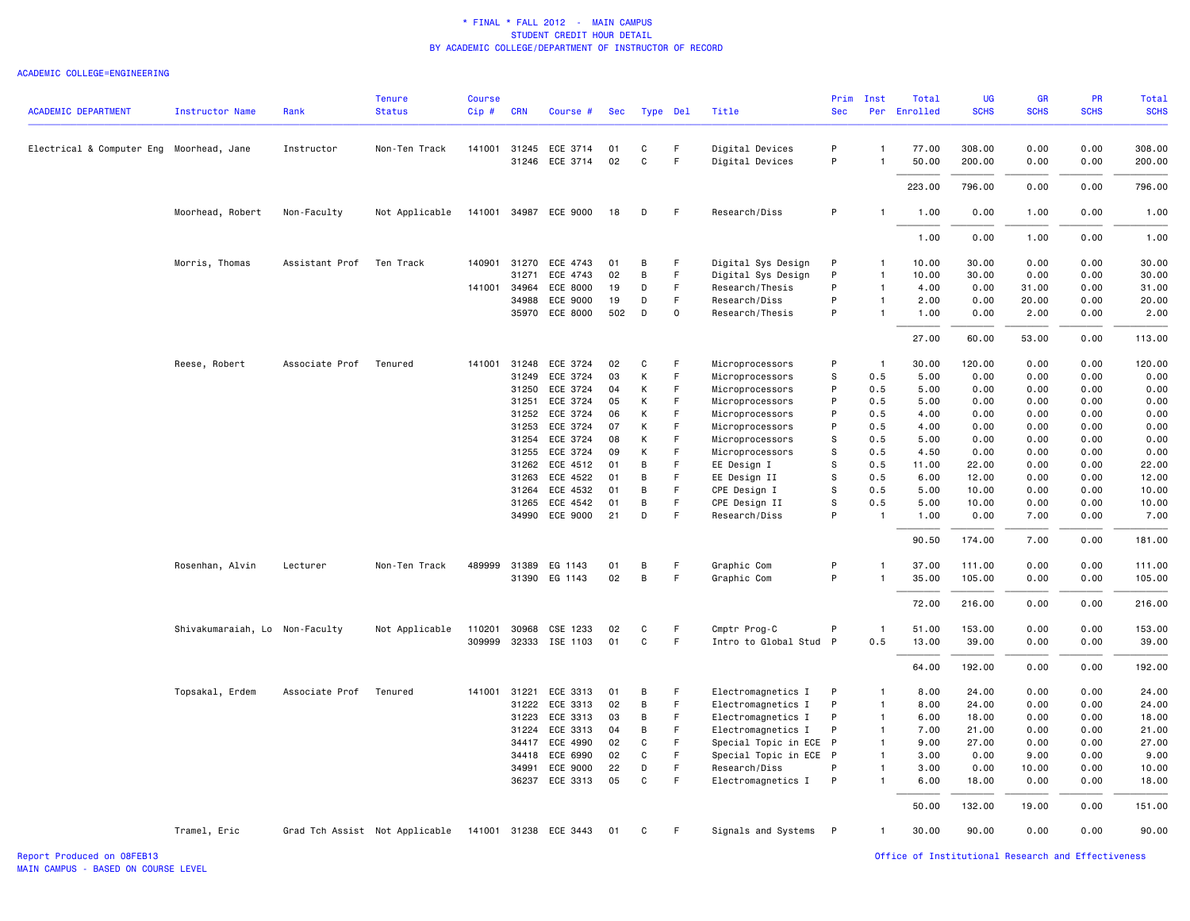#### ACADEMIC COLLEGE=ENGINEERING

| <b>ACADEMIC DEPARTMENT</b>               | <b>Instructor Name</b>         | Rank           | <b>Tenure</b><br><b>Status</b>                       | <b>Course</b><br>$Cip \#$ | <b>CRN</b> | Course #              | Sec | Type Del    |              | Title                  | Prim<br><b>Sec</b> | Inst           | Total<br>Per Enrolled | <b>UG</b><br><b>SCHS</b> | <b>GR</b><br><b>SCHS</b> | <b>PR</b><br><b>SCHS</b> | Total<br><b>SCHS</b> |
|------------------------------------------|--------------------------------|----------------|------------------------------------------------------|---------------------------|------------|-----------------------|-----|-------------|--------------|------------------------|--------------------|----------------|-----------------------|--------------------------|--------------------------|--------------------------|----------------------|
|                                          |                                |                |                                                      |                           |            |                       |     |             |              |                        |                    |                |                       |                          |                          |                          |                      |
| Electrical & Computer Eng Moorhead, Jane |                                | Instructor     | Non-Ten Track                                        |                           |            | 141001 31245 ECE 3714 | 01  | C           | F.           | Digital Devices        | P                  | $\mathbf{1}$   | 77.00                 | 308.00                   | 0.00                     | 0.00                     | 308.00               |
|                                          |                                |                |                                                      |                           |            | 31246 ECE 3714        | 02  | $\mathbf C$ | F            | Digital Devices        | P                  | $\overline{1}$ | 50.00                 | 200.00                   | 0.00                     | 0.00                     | 200.00               |
|                                          |                                |                |                                                      |                           |            |                       |     |             |              |                        |                    |                | 223.00                | 796.00                   | 0.00                     | 0.00                     | 796.00               |
|                                          | Moorhead, Robert               | Non-Faculty    | Not Applicable                                       |                           |            | 141001 34987 ECE 9000 | 18  | D           | F            | Research/Diss          | P                  | $\mathbf{1}$   | 1.00                  | 0.00                     | 1.00                     | 0.00                     | 1.00                 |
|                                          |                                |                |                                                      |                           |            |                       |     |             |              |                        |                    |                | 1.00                  | 0.00                     | 1.00                     | 0.00                     | 1.00                 |
|                                          | Morris, Thomas                 | Assistant Prof | Ten Track                                            | 140901                    | 31270      | ECE 4743              | 01  | B           | F            | Digital Sys Design     | P                  | $\mathbf{1}$   | 10.00                 | 30.00                    | 0.00                     | 0.00                     | 30.00                |
|                                          |                                |                |                                                      |                           | 31271      | ECE 4743              | 02  | В           | F.           | Digital Sys Design     | P                  | $\overline{1}$ | 10.00                 | 30.00                    | 0.00                     | 0.00                     | 30.00                |
|                                          |                                |                |                                                      | 141001 34964              |            | ECE 8000              | 19  | D           | $\mathsf F$  | Research/Thesis        | P                  | $\overline{1}$ | 4.00                  | 0.00                     | 31.00                    | 0.00                     | 31.00                |
|                                          |                                |                |                                                      |                           | 34988      | ECE 9000              | 19  | D           | F            | Research/Diss          | P                  | $\mathbf{1}$   | 2.00                  | 0.00                     | 20.00                    | 0.00                     | 20.00                |
|                                          |                                |                |                                                      |                           |            | 35970 ECE 8000        | 502 | D           | $\mathsf{o}$ | Research/Thesis        | P                  | $\overline{1}$ | 1.00                  | 0.00                     | 2.00                     | 0.00                     | 2.00                 |
|                                          |                                |                |                                                      |                           |            |                       |     |             |              |                        |                    |                | 27.00                 | 60.00                    | 53.00                    | 0.00                     | 113.00               |
|                                          | Reese, Robert                  | Associate Prof | Tenured                                              | 141001                    | 31248      | ECE 3724              | 02  | C           | F            | Microprocessors        | P                  | $\overline{1}$ | 30.00                 | 120.00                   | 0.00                     | 0.00                     | 120.00               |
|                                          |                                |                |                                                      |                           | 31249      | ECE 3724              | 03  | К           | F.           | Microprocessors        | s                  | 0.5            | 5.00                  | 0.00                     | 0.00                     | 0.00                     | 0.00                 |
|                                          |                                |                |                                                      |                           | 31250      | ECE 3724              | 04  | К           | F            | Microprocessors        | P                  | 0.5            | 5.00                  | 0.00                     | 0.00                     | 0.00                     | 0.00                 |
|                                          |                                |                |                                                      |                           | 31251      | ECE 3724              | 05  | К           | F.           | Microprocessors        | P                  | 0.5            | 5.00                  | 0.00                     | 0.00                     | 0.00                     | 0.00                 |
|                                          |                                |                |                                                      |                           |            | 31252 ECE 3724        | 06  | К           | F            | Microprocessors        | P                  | 0.5            | 4.00                  | 0.00                     | 0.00                     | 0.00                     | 0.00                 |
|                                          |                                |                |                                                      |                           | 31253      | ECE 3724              | 07  | К           | F.           | Microprocessors        | P                  | 0.5            | 4.00                  | 0.00                     | 0.00                     | 0.00                     | 0.00                 |
|                                          |                                |                |                                                      |                           | 31254      | ECE 3724              | 08  | К           | F            | Microprocessors        | s                  | 0.5            | 5.00                  | 0.00                     | 0.00                     | 0.00                     | 0.00                 |
|                                          |                                |                |                                                      |                           |            | 31255 ECE 3724        | 09  | К           | F            | Microprocessors        | s                  | 0.5            | 4.50                  | 0.00                     | 0.00                     | 0.00                     | 0.00                 |
|                                          |                                |                |                                                      |                           | 31262      | ECE 4512              | 01  | В           | F            | EE Design I            | s                  | 0.5            | 11.00                 | 22.00                    | 0.00                     | 0.00                     | 22.00                |
|                                          |                                |                |                                                      |                           | 31263      | ECE 4522              | 01  | В           | F            | EE Design II           | s                  | 0.5            | 6.00                  | 12.00                    | 0.00                     | 0.00                     | 12.00                |
|                                          |                                |                |                                                      |                           | 31264      | ECE 4532              | 01  | В           | F            | CPE Design I           | s                  | 0.5            | 5.00                  | 10.00                    | 0.00                     | 0.00                     | 10.00                |
|                                          |                                |                |                                                      |                           |            | 31265 ECE 4542        | 01  | B           | $\mathsf F$  | CPE Design II          | s                  | 0.5            | 5.00                  | 10.00                    | 0.00                     | 0.00                     | 10.00                |
|                                          |                                |                |                                                      |                           |            | 34990 ECE 9000        | 21  | D           | $\mathsf F$  | Research/Diss          | P                  | $\mathbf{1}$   | 1.00                  | 0.00                     | 7.00                     | 0.00                     | 7.00                 |
|                                          |                                |                |                                                      |                           |            |                       |     |             |              |                        |                    |                | 90.50                 | 174.00                   | 7.00                     | 0.00                     | 181.00               |
|                                          | Rosenhan, Alvin                | Lecturer       | Non-Ten Track                                        |                           |            | 489999 31389 EG 1143  | 01  | В           | F            | Graphic Com            | P                  | $\mathbf{1}$   | 37.00                 | 111.00                   | 0.00                     | 0.00                     | 111.00               |
|                                          |                                |                |                                                      |                           |            | 31390 EG 1143         | 02  | В           | F            | Graphic Com            | P                  | $\overline{1}$ | 35.00                 | 105.00                   | 0.00                     | 0.00                     | 105.00               |
|                                          |                                |                |                                                      |                           |            |                       |     |             |              |                        |                    |                | 72.00                 | 216.00                   | 0.00                     | 0.00                     | 216.00               |
|                                          | Shivakumaraiah, Lo Non-Faculty |                | Not Applicable                                       | 110201                    | 30968      | CSE 1233              | 02  | C           | F            | Cmptr Prog-C           | P                  | $\overline{1}$ | 51.00                 | 153.00                   | 0.00                     | 0.00                     | 153.00               |
|                                          |                                |                |                                                      |                           |            | 309999 32333 ISE 1103 | 01  | C           | F.           | Intro to Global Stud P |                    | 0.5            | 13.00                 | 39.00                    | 0.00                     | 0.00                     | 39.00                |
|                                          |                                |                |                                                      |                           |            |                       |     |             |              |                        |                    |                | 64.00                 | 192.00                   | 0.00                     | 0.00                     | 192.00               |
|                                          | Topsakal, Erdem                | Associate Prof | Tenured                                              | 141001 31221              |            | ECE 3313              | 01  | В           | -F           | Electromagnetics I     | P                  | $\mathbf{1}$   | 8.00                  | 24.00                    | 0.00                     | 0.00                     | 24.00                |
|                                          |                                |                |                                                      |                           | 31222      | ECE 3313              | 02  | В           | F            | Electromagnetics I     | P                  | $\mathbf{1}$   | 8.00                  | 24.00                    | 0.00                     | 0.00                     | 24.00                |
|                                          |                                |                |                                                      |                           | 31223      | ECE 3313              | 03  | B           | F.           | Electromagnetics I     | P                  | $\overline{1}$ | 6.00                  | 18.00                    | 0.00                     | 0.00                     | 18.00                |
|                                          |                                |                |                                                      |                           |            | 31224 ECE 3313        | 04  | B           | F.           | Electromagnetics I     | P                  | $\overline{1}$ | 7.00                  | 21.00                    | 0.00                     | 0.00                     | 21.00                |
|                                          |                                |                |                                                      |                           |            | 34417 ECE 4990        | 02  | $\mathbf C$ | $\mathsf F$  | Special Topic in ECE P |                    | $\overline{1}$ | 9.00                  | 27.00                    | 0.00                     | 0.00                     | 27.00                |
|                                          |                                |                |                                                      |                           | 34418      | ECE 6990              | 02  | C           | F            | Special Topic in ECE P |                    | $\overline{1}$ | 3.00                  | 0.00                     | 9.00                     | 0.00                     | 9.00                 |
|                                          |                                |                |                                                      |                           | 34991      | ECE 9000              | 22  | D           | F            | Research/Diss          | P                  | $\mathbf{1}$   | 3.00                  | 0.00                     | 10.00                    | 0.00                     | 10.00                |
|                                          |                                |                |                                                      |                           |            | 36237 ECE 3313        | 05  | C           | F            | Electromagnetics I     | P                  | $\mathbf{1}$   | 6.00                  | 18.00                    | 0.00                     | 0.00                     | 18.00                |
|                                          |                                |                |                                                      |                           |            |                       |     |             |              |                        |                    |                | 50.00                 | 132.00                   | 19.00                    | 0.00                     | 151.00               |
|                                          | Tramel, Eric                   |                | Grad Tch Assist Not Applicable 141001 31238 ECE 3443 |                           |            |                       | 01  | C           | -F           | Signals and Systems P  |                    | $\mathbf{1}$   | 30.00                 | 90.00                    | 0.00                     | 0.00                     | 90.00                |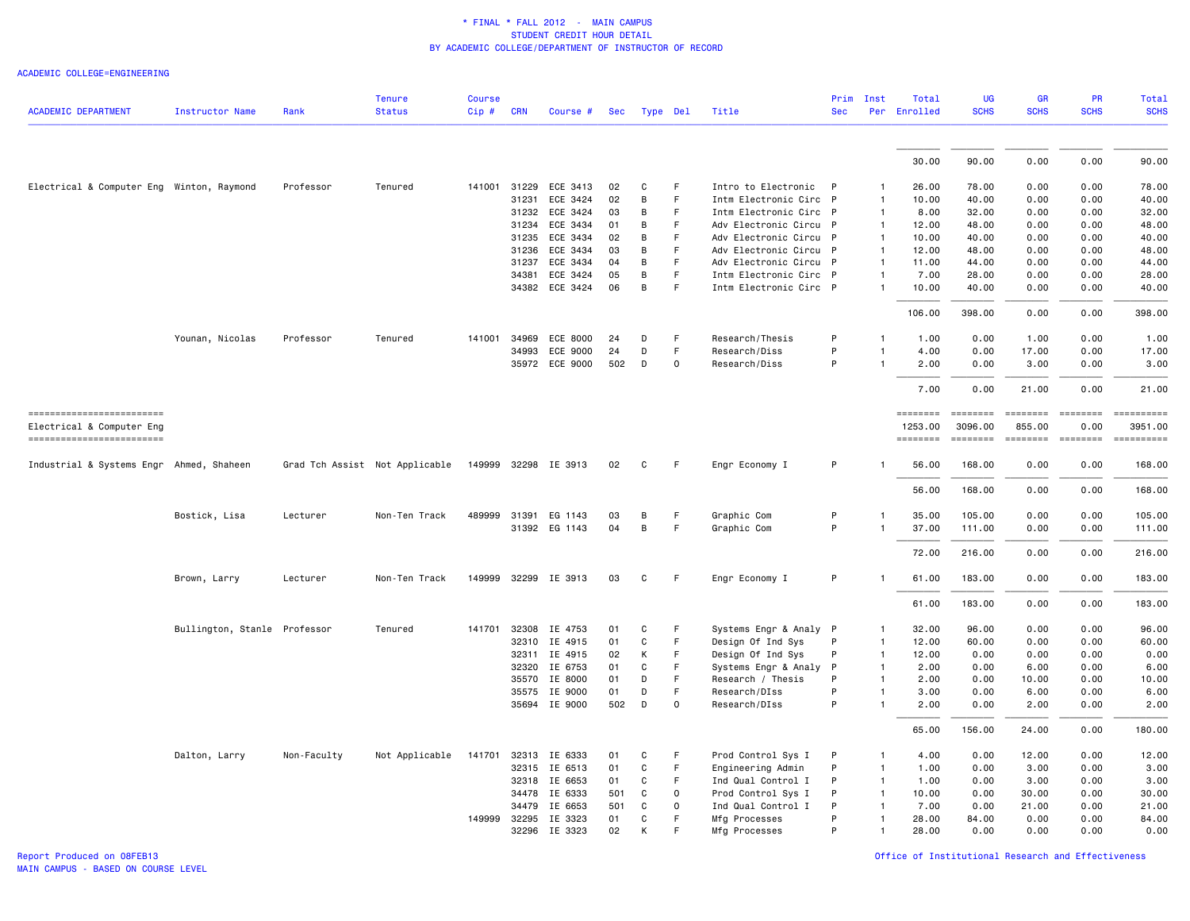#### ACADEMIC COLLEGE=ENGINEERING

| <b>ACADEMIC DEPARTMENT</b>                             | Instructor Name              | Rank        | <b>Tenure</b><br><b>Status</b> | <b>Course</b><br>Cip# | <b>CRN</b>   | Course #              | Sec | Type Del     |          | Title                  | Prim<br><b>Sec</b> | Inst           | Total<br>Per Enrolled      | <b>UG</b><br><b>SCHS</b>                                                           | <b>GR</b><br><b>SCHS</b> | PR<br><b>SCHS</b>                                                                        | <b>Total</b><br><b>SCHS</b>                                                                                                                                                                                                                                                                                                                                                                                                                                             |
|--------------------------------------------------------|------------------------------|-------------|--------------------------------|-----------------------|--------------|-----------------------|-----|--------------|----------|------------------------|--------------------|----------------|----------------------------|------------------------------------------------------------------------------------|--------------------------|------------------------------------------------------------------------------------------|-------------------------------------------------------------------------------------------------------------------------------------------------------------------------------------------------------------------------------------------------------------------------------------------------------------------------------------------------------------------------------------------------------------------------------------------------------------------------|
|                                                        |                              |             |                                |                       |              |                       |     |              |          |                        |                    |                |                            |                                                                                    |                          |                                                                                          |                                                                                                                                                                                                                                                                                                                                                                                                                                                                         |
|                                                        |                              |             |                                |                       |              |                       |     |              |          |                        |                    |                | 30.00                      | 90.00                                                                              | 0.00                     | 0.00                                                                                     | 90.00                                                                                                                                                                                                                                                                                                                                                                                                                                                                   |
| Electrical & Computer Eng Winton, Raymond              |                              | Professor   | Tenured                        |                       |              | 141001 31229 ECE 3413 | 02  | C            | F        | Intro to Electronic P  |                    | $\mathbf{1}$   | 26.00                      | 78.00                                                                              | 0.00                     | 0.00                                                                                     | 78.00                                                                                                                                                                                                                                                                                                                                                                                                                                                                   |
|                                                        |                              |             |                                |                       | 31231        | ECE 3424              | 02  | B            | F        | Intm Electronic Circ P |                    | 1              | 10.00                      | 40.00                                                                              | 0.00                     | 0.00                                                                                     | 40.00                                                                                                                                                                                                                                                                                                                                                                                                                                                                   |
|                                                        |                              |             |                                |                       | 31232        | ECE 3424              | 03  | B            | F        | Intm Electronic Circ P |                    | $\mathbf{1}$   | 8.00                       | 32.00                                                                              | 0.00                     | 0.00                                                                                     | 32.00                                                                                                                                                                                                                                                                                                                                                                                                                                                                   |
|                                                        |                              |             |                                |                       | 31234        | ECE 3434              | 01  | B            | F.       | Adv Electronic Circu P |                    | $\mathbf{1}$   | 12.00                      | 48.00                                                                              | 0.00                     | 0.00                                                                                     | 48.00                                                                                                                                                                                                                                                                                                                                                                                                                                                                   |
|                                                        |                              |             |                                |                       | 31235        | ECE 3434              | 02  | B            | F        | Adv Electronic Circu P |                    | $\overline{1}$ | 10.00                      | 40.00                                                                              | 0.00                     | 0.00                                                                                     | 40.00                                                                                                                                                                                                                                                                                                                                                                                                                                                                   |
|                                                        |                              |             |                                |                       | 31236        | ECE 3434              | 03  | B            | F        | Adv Electronic Circu   | $\mathsf{P}$       | $\mathbf{1}$   | 12.00                      | 48.00                                                                              | 0.00                     | 0.00                                                                                     | 48.00                                                                                                                                                                                                                                                                                                                                                                                                                                                                   |
|                                                        |                              |             |                                |                       | 31237        | ECE 3434              | 04  | B            | F        | Adv Electronic Circu P |                    | $\overline{1}$ | 11.00                      | 44.00                                                                              | 0.00                     | 0.00                                                                                     | 44.00                                                                                                                                                                                                                                                                                                                                                                                                                                                                   |
|                                                        |                              |             |                                |                       | 34381        | ECE 3424              | 05  | B            | F.       | Intm Electronic Circ P |                    | $\mathbf{1}$   | 7.00                       | 28.00                                                                              | 0.00                     | 0.00                                                                                     | 28.00                                                                                                                                                                                                                                                                                                                                                                                                                                                                   |
|                                                        |                              |             |                                |                       | 34382        | ECE 3424              | 06  | B            | F        | Intm Electronic Circ P |                    | $\mathbf{1}$   | 10.00                      | 40.00                                                                              | 0.00                     | 0.00                                                                                     | 40.00                                                                                                                                                                                                                                                                                                                                                                                                                                                                   |
|                                                        |                              |             |                                |                       |              |                       |     |              |          |                        |                    |                | 106.00                     | 398.00                                                                             | 0.00                     | 0.00                                                                                     | 398.00                                                                                                                                                                                                                                                                                                                                                                                                                                                                  |
|                                                        | Younan, Nicolas              | Professor   | Tenured                        | 141001                | 34969        | ECE 8000              | 24  | D            | F        | Research/Thesis        | P                  | $\mathbf{1}$   | 1.00                       | 0.00                                                                               | 1.00                     | 0.00                                                                                     | 1.00                                                                                                                                                                                                                                                                                                                                                                                                                                                                    |
|                                                        |                              |             |                                |                       | 34993        | ECE 9000              | 24  | D            | F.       | Research/Diss          | P                  | 1              | 4.00                       | 0.00                                                                               | 17.00                    | 0.00                                                                                     | 17.00                                                                                                                                                                                                                                                                                                                                                                                                                                                                   |
|                                                        |                              |             |                                |                       |              | 35972 ECE 9000        | 502 | D            | $\Omega$ | Research/Diss          | P                  | $\mathbf{1}$   | 2.00                       | 0.00                                                                               | 3.00                     | 0.00                                                                                     | 3.00                                                                                                                                                                                                                                                                                                                                                                                                                                                                    |
|                                                        |                              |             |                                |                       |              |                       |     |              |          |                        |                    |                | 7.00                       | 0.00                                                                               | 21.00                    | 0.00                                                                                     | 21.00                                                                                                                                                                                                                                                                                                                                                                                                                                                                   |
| ------------------------                               |                              |             |                                |                       |              |                       |     |              |          |                        |                    |                | <b>ESSESSES</b>            | <b>EEEEEEEE</b>                                                                    | <b>ESSESSE</b>           |                                                                                          | $\begin{minipage}{0.9\linewidth} \hspace*{-0.2cm} \textbf{if the number of } \textit{if} \textit{if} \textit{if} \textit{if} \textit{if} \textit{if} \textit{if} \textit{if} \textit{if} \textit{if} \textit{if} \textit{if} \textit{if} \textit{if} \textit{if} \textit{if} \textit{if} \textit{if} \textit{if} \textit{if} \textit{if} \textit{if} \textit{if} \textit{if} \textit{if} \textit{if} \textit{if} \textit{if} \textit{if} \textit{if} \textit{if} \text$ |
| Electrical & Computer Eng<br>========================= |                              |             |                                |                       |              |                       |     |              |          |                        |                    |                | 1253.00<br><b>ESSESSES</b> | 3096.00<br>$\qquad \qquad \equiv \equiv \equiv \equiv \equiv \equiv \equiv \equiv$ | 855.00<br>========       | 0.00<br>$\begin{array}{c} \texttt{m} = \texttt{m} = \texttt{m} = \texttt{m} \end{array}$ | 3951.00<br>==========                                                                                                                                                                                                                                                                                                                                                                                                                                                   |
|                                                        |                              |             |                                |                       |              |                       |     |              |          |                        |                    |                |                            |                                                                                    |                          |                                                                                          |                                                                                                                                                                                                                                                                                                                                                                                                                                                                         |
| Industrial & Systems Engr Ahmed, Shaheen               |                              |             | Grad Tch Assist Not Applicable |                       |              | 149999 32298 IE 3913  | 02  | C            | F        | Engr Economy I         | P                  | $\mathbf{1}$   | 56.00                      | 168.00                                                                             | 0.00                     | 0.00                                                                                     | 168.00                                                                                                                                                                                                                                                                                                                                                                                                                                                                  |
|                                                        |                              |             |                                |                       |              |                       |     |              |          |                        |                    |                | 56.00                      | 168.00                                                                             | 0.00                     | 0.00                                                                                     | 168.00                                                                                                                                                                                                                                                                                                                                                                                                                                                                  |
|                                                        | Bostick, Lisa                | Lecturer    | Non-Ten Track                  | 489999                | 31391        | EG 1143               | 03  | B            | F        | Graphic Com            | P                  | 1              | 35.00                      | 105.00                                                                             | 0.00                     | 0.00                                                                                     | 105.00                                                                                                                                                                                                                                                                                                                                                                                                                                                                  |
|                                                        |                              |             |                                |                       |              | 31392 EG 1143         | 04  | $\,$ B       | F        | Graphic Com            | P                  | $\mathbf{1}$   | 37.00                      | 111.00                                                                             | 0.00                     | 0.00                                                                                     | 111.00                                                                                                                                                                                                                                                                                                                                                                                                                                                                  |
|                                                        |                              |             |                                |                       |              |                       |     |              |          |                        |                    |                | 72.00                      | 216.00                                                                             | 0.00                     | 0.00                                                                                     | 216.00                                                                                                                                                                                                                                                                                                                                                                                                                                                                  |
|                                                        | Brown, Larry                 | Lecturer    | Non-Ten Track                  |                       |              | 149999 32299 IE 3913  | 03  | C            | F.       | Engr Economy I         | P                  | $\mathbf{1}$   | 61.00                      | 183.00                                                                             | 0.00                     | 0.00                                                                                     | 183.00                                                                                                                                                                                                                                                                                                                                                                                                                                                                  |
|                                                        |                              |             |                                |                       |              |                       |     |              |          |                        |                    |                | 61.00                      | 183.00                                                                             | 0.00                     | 0.00                                                                                     | 183.00                                                                                                                                                                                                                                                                                                                                                                                                                                                                  |
|                                                        | Bullington, Stanle Professor |             | Tenured                        |                       |              | 141701 32308 IE 4753  | 01  | C            | F        | Systems Engr & Analy P |                    | 1              | 32.00                      | 96.00                                                                              | 0.00                     | 0.00                                                                                     | 96.00                                                                                                                                                                                                                                                                                                                                                                                                                                                                   |
|                                                        |                              |             |                                |                       | 32310        | IE 4915               | 01  | C            | F        | Design Of Ind Sys      | P                  | $\mathbf{1}$   | 12.00                      | 60.00                                                                              | 0.00                     | 0.00                                                                                     | 60.00                                                                                                                                                                                                                                                                                                                                                                                                                                                                   |
|                                                        |                              |             |                                |                       | 32311        | IE 4915               | 02  | К            | F        | Design Of Ind Sys      | P                  | $\mathbf{1}$   | 12.00                      | 0.00                                                                               | 0.00                     | 0.00                                                                                     | 0.00                                                                                                                                                                                                                                                                                                                                                                                                                                                                    |
|                                                        |                              |             |                                |                       | 32320        | IE 6753               | 01  | C            | F        | Systems Engr & Analy   | P                  | $\mathbf{1}$   | 2.00                       | 0.00                                                                               | 6.00                     | 0.00                                                                                     | 6.00                                                                                                                                                                                                                                                                                                                                                                                                                                                                    |
|                                                        |                              |             |                                |                       | 35570        | IE 8000               | 01  | D            | F        | Research / Thesis      | P                  | $\mathbf{1}$   | 2.00                       | 0.00                                                                               | 10.00                    | 0.00                                                                                     | 10.00                                                                                                                                                                                                                                                                                                                                                                                                                                                                   |
|                                                        |                              |             |                                |                       | 35575        | IE 9000               | 01  | D            | F        | Research/DIss          | P                  | $\mathbf{1}$   | 3.00                       | 0.00                                                                               | 6.00                     | 0.00                                                                                     | 6.00                                                                                                                                                                                                                                                                                                                                                                                                                                                                    |
|                                                        |                              |             |                                |                       |              | 35694 IE 9000         | 502 | D            | $\Omega$ | Research/DIss          | P                  | $\mathbf{1}$   | 2.00                       | 0.00                                                                               | 2.00                     | 0.00                                                                                     | 2.00                                                                                                                                                                                                                                                                                                                                                                                                                                                                    |
|                                                        |                              |             |                                |                       |              |                       |     |              |          |                        |                    |                | 65.00                      | 156.00                                                                             | 24.00                    | 0.00                                                                                     | 180.00                                                                                                                                                                                                                                                                                                                                                                                                                                                                  |
|                                                        | Dalton, Larry                | Non-Faculty | Not Applicable                 | 141701                | 32313        | IE 6333               | 01  | C            | F        | Prod Control Sys I     | P                  | $\mathbf{1}$   | 4.00                       | 0.00                                                                               | 12.00                    | 0.00                                                                                     | 12.00                                                                                                                                                                                                                                                                                                                                                                                                                                                                   |
|                                                        |                              |             |                                |                       |              | 32315 IE 6513         | 01  | $\mathtt{C}$ | F        | Engineering Admin      | P                  | $\mathbf{1}$   | 1.00                       | 0.00                                                                               | 3.00                     | 0.00                                                                                     | 3.00                                                                                                                                                                                                                                                                                                                                                                                                                                                                    |
|                                                        |                              |             |                                |                       | 32318        | IE 6653               | 01  | C            | F        | Ind Qual Control I     | P                  | $\overline{1}$ | 1.00                       | 0.00                                                                               | 3.00                     | 0.00                                                                                     | 3.00                                                                                                                                                                                                                                                                                                                                                                                                                                                                    |
|                                                        |                              |             |                                |                       | 34478        | IE 6333               | 501 | C            | $\circ$  | Prod Control Sys I     | P                  | $\overline{1}$ | 10.00                      | 0.00                                                                               | 30.00                    | 0.00                                                                                     | 30.00                                                                                                                                                                                                                                                                                                                                                                                                                                                                   |
|                                                        |                              |             |                                |                       | 34479        | IE 6653               | 501 | C            | 0        | Ind Qual Control I     | P                  | $\mathbf{1}$   | 7.00                       | 0.00                                                                               | 21.00                    | 0.00                                                                                     | 21.00                                                                                                                                                                                                                                                                                                                                                                                                                                                                   |
|                                                        |                              |             |                                |                       | 149999 32295 | IE 3323               | 01  | C            | F.       | Mfg Processes          | P                  | $\overline{1}$ | 28.00                      | 84.00                                                                              | 0.00                     | 0.00                                                                                     | 84.00                                                                                                                                                                                                                                                                                                                                                                                                                                                                   |
|                                                        |                              |             |                                |                       |              | 32296 IE 3323         | 02  | K            | F        | Mfg Processes          | P                  | $\mathbf{1}$   | 28.00                      | 0.00                                                                               | 0.00                     | 0.00                                                                                     | 0.00                                                                                                                                                                                                                                                                                                                                                                                                                                                                    |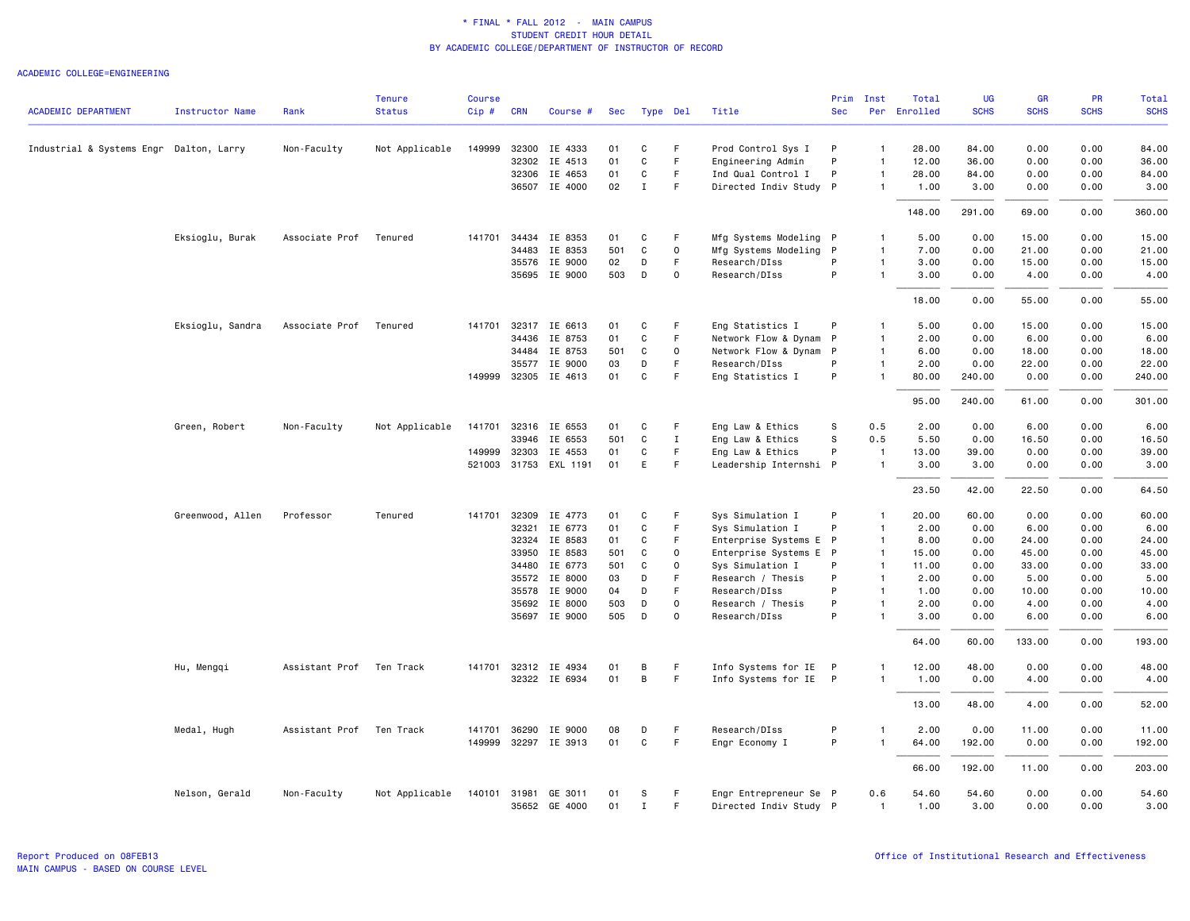| <b>ACADEMIC DEPARTMENT</b>              | <b>Instructor Name</b> | Rank           | <b>Tenure</b><br><b>Status</b> | <b>Course</b><br>Cip# | <b>CRN</b>   | Course #              | Sec | Type Del     |             | Title                  | Prim<br><b>Sec</b> | Inst           | Total<br>Per Enrolled | <b>UG</b><br><b>SCHS</b> | <b>GR</b><br><b>SCHS</b> | PR<br><b>SCHS</b> | Total<br><b>SCHS</b> |
|-----------------------------------------|------------------------|----------------|--------------------------------|-----------------------|--------------|-----------------------|-----|--------------|-------------|------------------------|--------------------|----------------|-----------------------|--------------------------|--------------------------|-------------------|----------------------|
|                                         |                        |                |                                |                       |              |                       |     |              |             |                        |                    |                |                       |                          |                          |                   |                      |
| Industrial & Systems Engr Dalton, Larry |                        | Non-Faculty    | Not Applicable                 | 149999                | 32300        | IE 4333               | 01  | C            | F.          | Prod Control Sys I     | P                  | $\mathbf{1}$   | 28.00                 | 84.00                    | 0.00                     | 0.00              | 84.00                |
|                                         |                        |                |                                |                       | 32302        | IE 4513               | 01  | $\mathbf c$  | F           | Engineering Admin      | P                  | $\mathbf{1}$   | 12.00                 | 36.00                    | 0.00                     | 0.00              | 36.00                |
|                                         |                        |                |                                |                       |              | 32306 IE 4653         | 01  | $\mathtt{C}$ | F.          | Ind Qual Control I     | P                  | $\mathbf{1}$   | 28.00                 | 84.00                    | 0.00                     | 0.00              | 84.00                |
|                                         |                        |                |                                |                       | 36507        | IE 4000               | 02  | $\mathbf I$  | F           | Directed Indiv Study P |                    | $\mathbf{1}$   | 1.00                  | 3.00                     | 0.00                     | 0.00              | 3.00                 |
|                                         |                        |                |                                |                       |              |                       |     |              |             |                        |                    |                | 148.00                | 291.00                   | 69.00                    | 0.00              | 360.00               |
|                                         | Eksioglu, Burak        | Associate Prof | Tenured                        | 141701                | 34434        | IE 8353               | 01  | C            | F.          | Mfg Systems Modeling P |                    | -1             | 5.00                  | 0.00                     | 15.00                    | 0.00              | 15.00                |
|                                         |                        |                |                                |                       | 34483        | IE 8353               | 501 | C            | 0           | Mfg Systems Modeling P |                    | $\mathbf{1}$   | 7.00                  | 0.00                     | 21.00                    | 0.00              | 21.00                |
|                                         |                        |                |                                |                       |              | 35576 IE 9000         | 02  | D            | F           | Research/DIss          | P                  | $\mathbf{1}$   | 3.00                  | 0.00                     | 15.00                    | 0.00              | 15.00                |
|                                         |                        |                |                                |                       |              | 35695 IE 9000         | 503 | D            | $\circ$     | Research/DIss          | P                  | $\mathbf{1}$   | 3.00                  | 0.00                     | 4.00                     | 0.00              | 4.00                 |
|                                         |                        |                |                                |                       |              |                       |     |              |             |                        |                    |                | 18.00                 | 0.00                     | 55.00                    | 0.00              | 55.00                |
|                                         | Eksioglu, Sandra       | Associate Prof | Tenured                        |                       | 141701 32317 | IE 6613               | 01  | C            | F           | Eng Statistics I       | P                  | $\mathbf{1}$   | 5.00                  | 0.00                     | 15.00                    | 0.00              | 15.00                |
|                                         |                        |                |                                |                       | 34436        | IE 8753               | 01  | C            | F           | Network Flow & Dynam P |                    | $\mathbf{1}$   | 2.00                  | 0.00                     | 6.00                     | 0.00              | 6.00                 |
|                                         |                        |                |                                |                       | 34484        | IE 8753               | 501 | C            | 0           | Network Flow & Dynam   | $\mathsf{P}$       | $\mathbf{1}$   | 6.00                  | 0.00                     | 18.00                    | 0.00              | 18.00                |
|                                         |                        |                |                                |                       |              | 35577 IE 9000         | 03  | D            | F           | Research/DIss          | P                  | $\mathbf{1}$   | 2.00                  | 0.00                     | 22.00                    | 0.00              | 22.00                |
|                                         |                        |                |                                |                       |              | 149999 32305 IE 4613  | 01  | C            | F.          | Eng Statistics I       | P                  | $\mathbf{1}$   | 80.00                 | 240.00                   | 0.00                     | 0.00              | 240.00               |
|                                         |                        |                |                                |                       |              |                       |     |              |             |                        |                    |                | 95.00                 | 240.00                   | 61.00                    | 0.00              | 301.00               |
|                                         | Green, Robert          | Non-Faculty    | Not Applicable                 | 141701                | 32316        | IE 6553               | 01  | C            | F.          | Eng Law & Ethics       | S                  | 0.5            | 2.00                  | 0.00                     | 6.00                     | 0.00              | 6.00                 |
|                                         |                        |                |                                |                       |              | 33946 IE 6553         | 501 | C            | $\mathbf I$ | Eng Law & Ethics       | S                  | 0.5            | 5.50                  | 0.00                     | 16.50                    | 0.00              | 16.50                |
|                                         |                        |                |                                | 149999                | 32303        | IE 4553               | 01  | C            | F.          | Eng Law & Ethics       | P                  | $\overline{1}$ | 13.00                 | 39.00                    | 0.00                     | 0.00              | 39.00                |
|                                         |                        |                |                                |                       |              | 521003 31753 EXL 1191 | 01  | E            | F           | Leadership Internshi P |                    | $\overline{1}$ | 3.00                  | 3.00                     | 0.00                     | 0.00              | 3.00                 |
|                                         |                        |                |                                |                       |              |                       |     |              |             |                        |                    |                | 23.50                 | 42.00                    | 22.50                    | 0.00              | 64.50                |
|                                         | Greenwood, Allen       | Professor      | Tenured                        | 141701                | 32309        | IE 4773               | 01  | C            | F           | Sys Simulation I       | P                  | $\mathbf{1}$   | 20.00                 | 60.00                    | 0.00                     | 0.00              | 60.00                |
|                                         |                        |                |                                |                       | 32321        | IE 6773               | 01  | C            | F           | Sys Simulation I       | P                  | $\mathbf{1}$   | 2.00                  | 0.00                     | 6.00                     | 0.00              | 6.00                 |
|                                         |                        |                |                                |                       |              | 32324 IE 8583         | 01  | C            | F.          | Enterprise Systems E   | $\mathsf{P}$       | $\mathbf{1}$   | 8.00                  | 0.00                     | 24.00                    | 0.00              | 24.00                |
|                                         |                        |                |                                |                       | 33950        | IE 8583               | 501 | C            | 0           | Enterprise Systems E   | $\mathsf{P}$       | $\mathbf{1}$   | 15.00                 | 0.00                     | 45.00                    | 0.00              | 45.00                |
|                                         |                        |                |                                |                       |              | 34480 IE 6773         | 501 | C            | $\Omega$    | Sys Simulation I       | P                  | $\mathbf{1}$   | 11.00                 | 0.00                     | 33.00                    | 0.00              | 33.00                |
|                                         |                        |                |                                |                       |              | 35572 IE 8000         | 03  | D            | F.          | Research / Thesis      | P                  | $\mathbf{1}$   | 2.00                  | 0.00                     | 5.00                     | 0.00              | 5.00                 |
|                                         |                        |                |                                |                       | 35578        | IE 9000               | 04  | D            | F           | Research/DIss          | P                  | $\mathbf{1}$   | 1.00                  | 0.00                     | 10.00                    | 0.00              | 10.00                |
|                                         |                        |                |                                |                       |              | 35692 IE 8000         | 503 | D            | $\Omega$    | Research / Thesis      | P                  | $\mathbf{1}$   | 2.00                  | 0.00                     | 4.00                     | 0.00              | 4.00                 |
|                                         |                        |                |                                |                       |              | 35697 IE 9000         | 505 | D            | $\Omega$    | Research/DIss          | P                  | $\mathbf{1}$   | 3.00                  | 0.00                     | 6.00                     | 0.00              | 6.00                 |
|                                         |                        |                |                                |                       |              |                       |     |              |             |                        |                    |                | 64.00                 | 60.00                    | 133.00                   | 0.00              | 193.00               |
|                                         | Hu, Mengqi             | Assistant Prof | Ten Track                      |                       |              | 141701 32312 IE 4934  | 01  | B            | F           | Info Systems for IE    | $\mathsf{P}$       | $\mathbf{1}$   | 12.00                 | 48.00                    | 0.00                     | 0.00              | 48.00                |
|                                         |                        |                |                                |                       |              | 32322 IE 6934         | 01  | B            | F.          | Info Systems for IE P  |                    | $\mathbf{1}$   | 1.00                  | 0.00                     | 4.00                     | 0.00              | 4.00                 |
|                                         |                        |                |                                |                       |              |                       |     |              |             |                        |                    |                | 13.00                 | 48.00                    | 4.00                     | 0.00              | 52.00                |
|                                         | Medal, Hugh            | Assistant Prof | Ten Track                      | 141701                | 36290        | IE 9000               | 08  | D            | F           | Research/DIss          | P                  | $\mathbf{1}$   | 2.00                  | 0.00                     | 11.00                    | 0.00              | 11.00                |
|                                         |                        |                |                                |                       |              | 149999 32297 IE 3913  | 01  | $\mathsf{C}$ | F           | Engr Economy I         | P                  | $\mathbf{1}$   | 64.00                 | 192.00                   | 0.00                     | 0.00              | 192.00               |
|                                         |                        |                |                                |                       |              |                       |     |              |             |                        |                    |                | 66.00                 | 192.00                   | 11.00                    | 0.00              | 203.00               |
|                                         | Nelson, Gerald         | Non-Faculty    | Not Applicable                 | 140101 31981          |              | GE 3011               | 01  | S            | F.          | Engr Entrepreneur Se P |                    | 0.6            | 54.60                 | 54.60                    | 0.00                     | 0.00              | 54.60                |
|                                         |                        |                |                                |                       |              | 35652 GE 4000         | 01  | $\mathbf{I}$ | F           | Directed Indiv Study P |                    | $\overline{1}$ | 1.00                  | 3.00                     | 0.00                     | 0.00              | 3.00                 |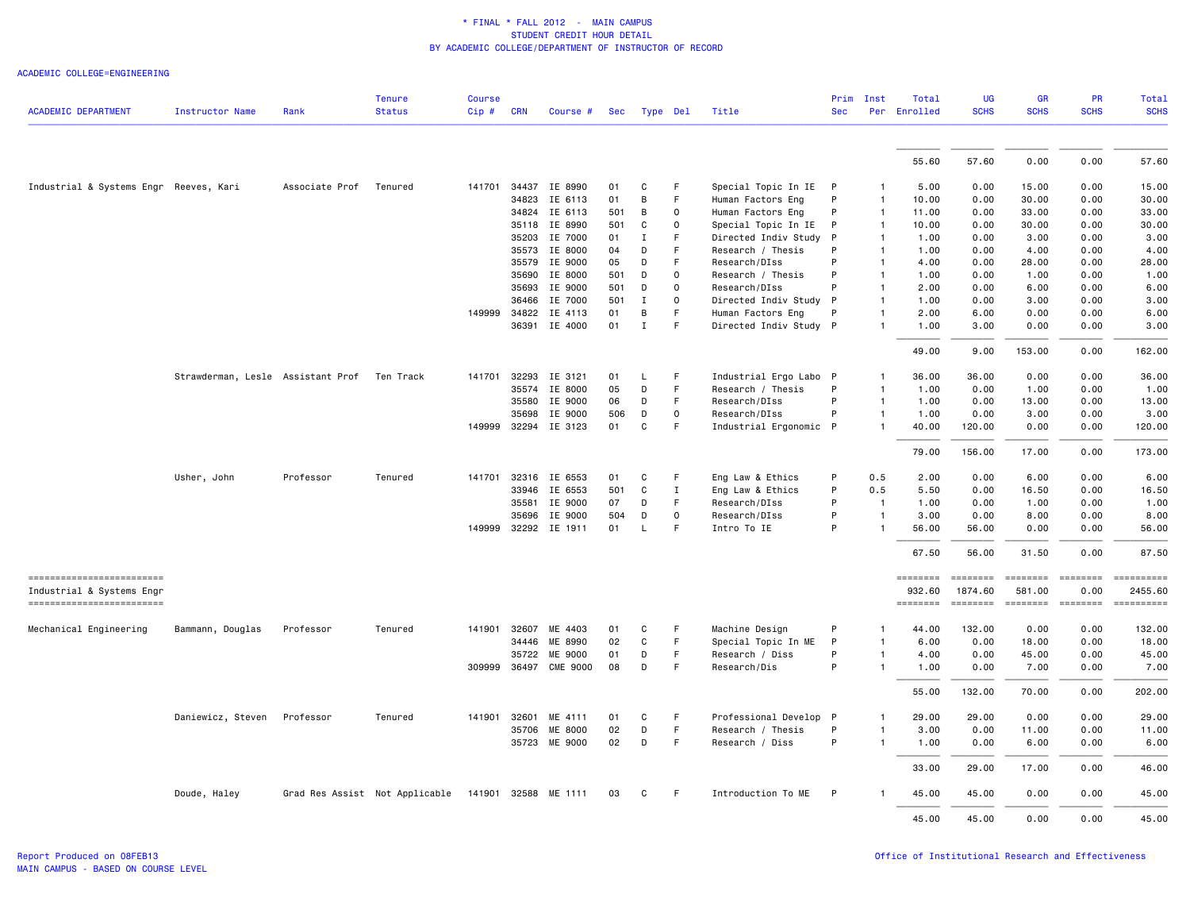|                                                        |                                   |                | <b>Tenure</b>                  | <b>Course</b> |              |                      |     |              |              |                        | Prim         | Inst           | Total              | <b>UG</b>                  | <b>GR</b>                | <b>PR</b>      | Total                 |
|--------------------------------------------------------|-----------------------------------|----------------|--------------------------------|---------------|--------------|----------------------|-----|--------------|--------------|------------------------|--------------|----------------|--------------------|----------------------------|--------------------------|----------------|-----------------------|
| <b>ACADEMIC DEPARTMENT</b>                             | <b>Instructor Name</b>            | Rank           | <b>Status</b>                  | Cip#          | <b>CRN</b>   | Course #             | Sec |              | Type Del     | Title                  | <b>Sec</b>   |                | Per Enrolled       | <b>SCHS</b>                | <b>SCHS</b>              | <b>SCHS</b>    | <b>SCHS</b>           |
|                                                        |                                   |                |                                |               |              |                      |     |              |              |                        |              |                |                    |                            |                          |                |                       |
|                                                        |                                   |                |                                |               |              |                      |     |              |              |                        |              |                | 55.60              | 57.60                      | 0.00                     | 0.00           | 57.60                 |
| Industrial & Systems Engr Reeves, Kari                 |                                   | Associate Prof | Tenured                        | 141701        |              | 34437 IE 8990        | 01  | C            | F.           | Special Topic In IE P  |              |                | 5.00               | 0.00                       | 15.00                    | 0.00           | 15.00                 |
|                                                        |                                   |                |                                |               | 34823        | IE 6113              | 01  | B            | F            | Human Factors Eng      | P            | -1             | 10.00              | 0.00                       | 30.00                    | 0.00           | 30.00                 |
|                                                        |                                   |                |                                |               |              | 34824 IE 6113        | 501 | В            | $\mathsf 0$  | Human Factors Eng      | P            | $\mathbf{1}$   | 11.00              | 0.00                       | 33.00                    | 0.00           | 33.00                 |
|                                                        |                                   |                |                                |               | 35118        | IE 8990              | 501 | C            | $\mathbf 0$  | Special Topic In IE    | P            | $\mathbf{1}$   | 10.00              | 0.00                       | 30.00                    | 0.00           | 30.00                 |
|                                                        |                                   |                |                                |               | 35203        | IE 7000              | 01  | Ι.           | F            | Directed Indiv Study   | P            | 1              | 1.00               | 0.00                       | 3.00                     | 0.00           | 3.00                  |
|                                                        |                                   |                |                                |               | 35573        | IE 8000              | 04  | D            | F            | Research / Thesis      | P            | 1              | 1.00               | 0.00                       | 4.00                     | 0.00           | 4.00                  |
|                                                        |                                   |                |                                |               | 35579        | IE 9000              | 05  | D            | F            | Research/DIss          | P            | $\mathbf{1}$   | 4.00               | 0.00                       | 28,00                    | 0.00           | 28.00                 |
|                                                        |                                   |                |                                |               | 35690        | IE 8000              | 501 | D            | $\mathsf 0$  | Research / Thesis      | P            | $\mathbf{1}$   | 1.00               | 0.00                       | 1.00                     | 0.00           | 1.00                  |
|                                                        |                                   |                |                                |               | 35693        | IE 9000              | 501 | D            | $\mathsf 0$  | Research/DIss          | P            | 1              | 2.00               | 0.00                       | 6.00                     | 0.00           | 6.00                  |
|                                                        |                                   |                |                                |               | 36466        | IE 7000              | 501 | $\mathbf I$  | $\mathbf 0$  | Directed Indiv Study P |              | 1              | 1.00               | 0.00                       | 3.00                     | 0.00           | 3.00                  |
|                                                        |                                   |                |                                | 149999        | 34822        | IE 4113              | 01  | B            | F            | Human Factors Eng      | P            |                | 2.00               | 6.00                       | 0.00                     | 0.00           | 6.00                  |
|                                                        |                                   |                |                                |               | 36391        | IE 4000              | 01  | $\mathbf{I}$ | F            | Directed Indiv Study P |              | 1              | 1.00               | 3.00                       | 0.00                     | 0.00           | 3.00                  |
|                                                        |                                   |                |                                |               |              |                      |     |              |              |                        |              |                | 49.00              | 9.00                       | 153.00                   | 0.00           | 162.00                |
|                                                        | Strawderman, Lesle Assistant Prof |                | Ten Track                      | 141701        |              | 32293 IE 3121        | 01  | L            | F            | Industrial Ergo Labo P |              |                | 36.00              | 36.00                      | 0.00                     | 0.00           | 36.00                 |
|                                                        |                                   |                |                                |               | 35574        | IE 8000              | 05  | D            | F            | Research / Thesis      | P            | $\mathbf{1}$   | 1.00               | 0.00                       | 1.00                     | 0.00           | 1.00                  |
|                                                        |                                   |                |                                |               | 35580        | IE 9000              | 06  | D            | F            | Research/DIss          | P            | $\mathbf{1}$   | 1.00               | 0.00                       | 13.00                    | 0.00           | 13.00                 |
|                                                        |                                   |                |                                |               | 35698        | IE 9000              | 506 | D            | $\mathbf 0$  | Research/DIss          | P            | $\mathbf{1}$   | 1.00               | 0.00                       | 3.00                     | 0.00           | 3.00                  |
|                                                        |                                   |                |                                | 149999        |              | 32294 IE 3123        | 01  | C            | $\mathsf F$  | Industrial Ergonomic P |              | 1              | 40.00              | 120.00                     | 0.00                     | 0.00           | 120.00                |
|                                                        |                                   |                |                                |               |              |                      |     |              |              |                        |              |                | 79.00              | 156.00                     | 17.00                    | 0.00           | 173.00                |
|                                                        | Usher, John                       | Professor      | Tenured                        |               |              | 141701 32316 IE 6553 | 01  | C            | F            | Eng Law & Ethics       | P            | 0.5            | 2.00               | 0.00                       | 6.00                     | 0.00           | 6.00                  |
|                                                        |                                   |                |                                |               | 33946        | IE 6553              | 501 | C            | $\mathbf{I}$ | Eng Law & Ethics       | P            | 0.5            | 5.50               | 0.00                       | 16.50                    | 0.00           | 16.50                 |
|                                                        |                                   |                |                                |               | 35581        | IE 9000              | 07  | D            | F            | Research/DIss          | P            | $\overline{1}$ | 1.00               | 0.00                       | 1.00                     | 0.00           | 1.00                  |
|                                                        |                                   |                |                                |               | 35696        | IE 9000              | 504 | D            | $\mathsf 0$  | Research/DIss          | P            | 1              | 3.00               | 0.00                       | 8.00                     | 0.00           | 8.00                  |
|                                                        |                                   |                |                                | 149999        |              | 32292 IE 1911        | 01  | L            | F            | Intro To IE            | P            | 1              | 56.00              | 56.00                      | 0.00                     | 0.00           | 56.00                 |
|                                                        |                                   |                |                                |               |              |                      |     |              |              |                        |              |                | 67.50              | 56.00                      | 31.50                    | 0.00           | 87.50                 |
| =========================<br>Industrial & Systems Engr |                                   |                |                                |               |              |                      |     |              |              |                        |              |                | ========<br>932.60 | <b>EDEDEDED</b><br>1874.60 | <b>ESSESSE</b><br>581.00 | 0.00           | ==========<br>2455.60 |
| ------------------------                               |                                   |                |                                |               |              |                      |     |              |              |                        |              |                | ========           | ========                   | ========                 | <b>ESSESSE</b> |                       |
| Mechanical Engineering                                 | Bammann, Douglas                  | Professor      | Tenured                        | 141901        | 32607        | ME 4403              | 01  | C            | F            | Machine Design         | P            | 1              | 44.00              | 132.00                     | 0.00                     | 0.00           | 132.00                |
|                                                        |                                   |                |                                |               | 34446        | ME 8990              | 02  | C            | $\mathsf F$  | Special Topic In ME    | P            | 1              | 6.00               | 0.00                       | 18.00                    | 0.00           | 18.00                 |
|                                                        |                                   |                |                                |               | 35722        | ME 9000              | 01  | D            | F            | Research / Diss        | P            | 1              | 4.00               | 0.00                       | 45.00                    | 0.00           | 45.00                 |
|                                                        |                                   |                |                                |               | 309999 36497 | <b>CME 9000</b>      | 08  | D            | F            | Research/Dis           | P            | 1              | 1.00               | 0.00                       | 7.00                     | 0.00           | 7.00                  |
|                                                        |                                   |                |                                |               |              |                      |     |              |              |                        |              |                | 55.00              | 132.00                     | 70.00                    | 0.00           | 202.00                |
|                                                        | Daniewicz, Steven                 | Professor      | Tenured                        | 141901        | 32601        | ME<br>4111           | 01  | C            | F            | Professional Develop   | $\mathsf{P}$ |                | 29.00              | 29.00                      | 0.00                     | 0.00           | 29.00                 |
|                                                        |                                   |                |                                |               | 35706        | ME 8000              | 02  | D            | $\mathsf F$  | Research / Thesis      | P            | 1              | 3.00               | 0.00                       | 11.00                    | 0.00           | 11.00                 |
|                                                        |                                   |                |                                |               |              | 35723 ME 9000        | 02  | $\mathsf D$  | F            | Research / Diss        | P            | $\mathbf{1}$   | 1.00               | 0.00                       | 6.00                     | 0.00           | 6.00                  |
|                                                        |                                   |                |                                |               |              |                      |     |              |              |                        |              |                | 33.00              | 29.00                      | 17.00                    | 0.00           | 46.00                 |
|                                                        | Doude, Haley                      |                | Grad Res Assist Not Applicable |               | 141901 32588 | ME 1111              | 03  | C            | F            | Introduction To ME     | P            |                | 45.00              | 45.00                      | 0.00                     | 0.00           | 45.00                 |
|                                                        |                                   |                |                                |               |              |                      |     |              |              |                        |              |                | 45.00              | 45.00                      | 0.00                     | 0.00           | 45.00                 |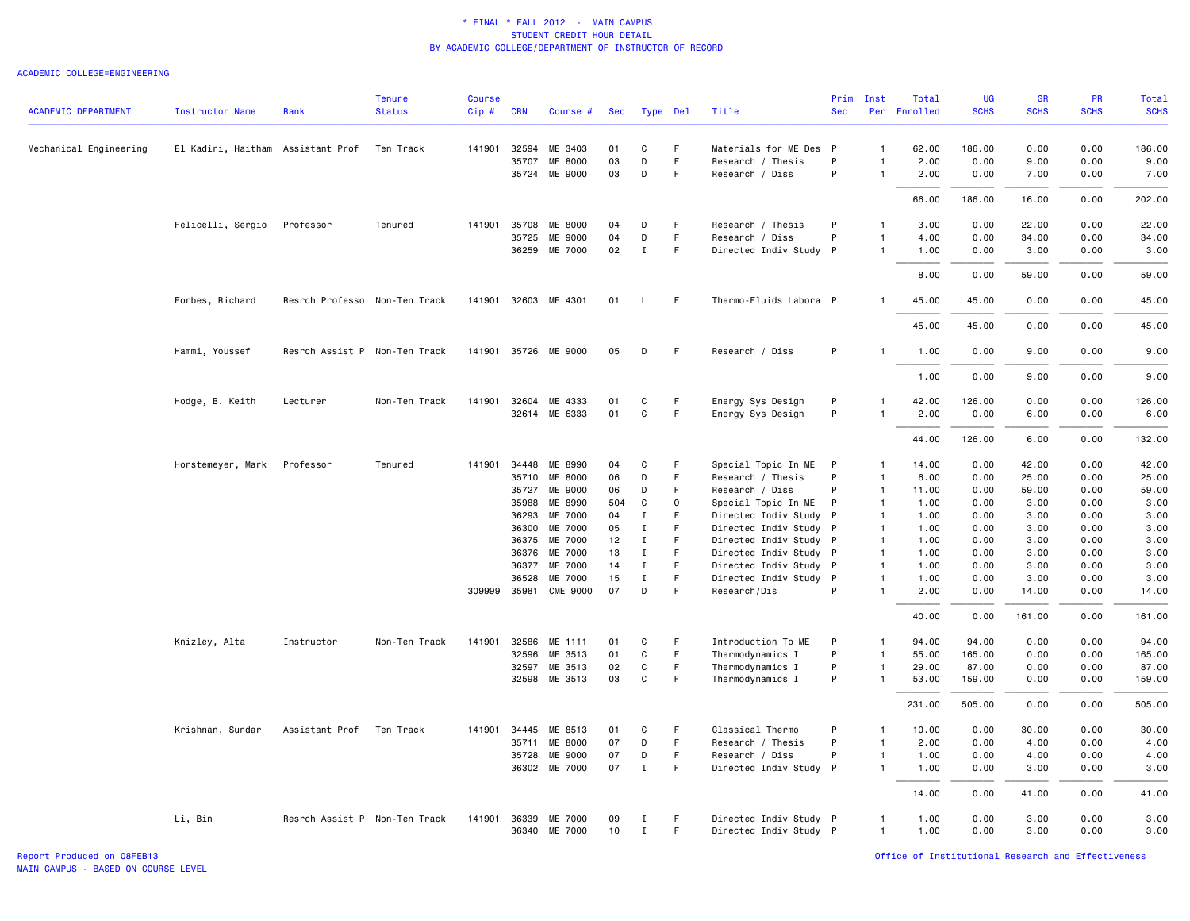| <b>ACADEMIC DEPARTMENT</b> |                                   |                               | <b>Tenure</b><br><b>Status</b> | <b>Course</b> |              |                      |            |                  |          |                                        | Prim<br><b>Sec</b> | Inst         | Total<br>Per Enrolled | <b>UG</b><br><b>SCHS</b> | <b>GR</b><br><b>SCHS</b> | <b>PR</b><br><b>SCHS</b> | <b>Total</b><br><b>SCHS</b> |
|----------------------------|-----------------------------------|-------------------------------|--------------------------------|---------------|--------------|----------------------|------------|------------------|----------|----------------------------------------|--------------------|--------------|-----------------------|--------------------------|--------------------------|--------------------------|-----------------------------|
|                            | <b>Instructor Name</b>            | Rank                          |                                | Cip#          | <b>CRN</b>   | Course #             | <b>Sec</b> |                  | Type Del | Title                                  |                    |              |                       |                          |                          |                          |                             |
| Mechanical Engineering     | El Kadiri, Haitham Assistant Prof |                               | Ten Track                      |               | 141901 32594 | ME 3403              | 01         | C                | F        | Materials for ME Des P                 |                    | $\mathbf{1}$ | 62.00                 | 186.00                   | 0.00                     | 0.00                     | 186.00                      |
|                            |                                   |                               |                                |               | 35707        | ME 8000              | 03         | D                | F        | Research / Thesis                      | P                  |              | 2.00                  | 0.00                     | 9.00                     | 0.00                     | 9.00                        |
|                            |                                   |                               |                                |               |              | 35724 ME 9000        | 03         | D                | F        | Research / Diss                        | P                  | $\mathbf{1}$ | 2.00                  | 0.00                     | 7.00                     | 0.00                     | 7.00                        |
|                            |                                   |                               |                                |               |              |                      |            |                  |          |                                        |                    |              | 66.00                 | 186.00                   | 16.00                    | 0.00                     | 202.00                      |
|                            | Felicelli, Sergio                 | Professor                     | Tenured                        | 141901        | 35708        | ME 8000              | 04         | D                | F        | Research / Thesis                      | P                  | $\mathbf{1}$ | 3.00                  | 0.00                     | 22.00                    | 0.00                     | 22.00                       |
|                            |                                   |                               |                                |               | 35725        | ME 9000              | 04         | D                | F        | Research / Diss                        | P                  | $\mathbf{1}$ | 4.00                  | 0.00                     | 34.00                    | 0.00                     | 34.00                       |
|                            |                                   |                               |                                |               | 36259        | ME 7000              | 02         | $\mathbf{I}$     | F        | Directed Indiv Study P                 |                    | $\mathbf{1}$ | 1.00                  | 0.00                     | 3.00                     | 0.00                     | 3.00                        |
|                            |                                   |                               |                                |               |              |                      |            |                  |          |                                        |                    |              | 8.00                  | 0.00                     | 59.00                    | 0.00                     | 59.00                       |
|                            | Forbes, Richard                   | Resrch Professo Non-Ten Track |                                | 141901        | 32603        | ME 4301              | 01         | L.               | F        | Thermo-Fluids Labora P                 |                    | $\mathbf{1}$ | 45.00                 | 45.00                    | 0.00                     | 0.00                     | 45.00                       |
|                            |                                   |                               |                                |               |              |                      |            |                  |          |                                        |                    |              | 45.00                 | 45.00                    | 0.00                     | 0.00                     | 45.00                       |
|                            | Hammi, Youssef                    | Resrch Assist P Non-Ten Track |                                |               |              | 141901 35726 ME 9000 | 05         | D                | F        | Research / Diss                        | P                  | $\mathbf{1}$ | 1.00                  | 0.00                     | 9.00                     | 0.00                     | 9.00                        |
|                            |                                   |                               |                                |               |              |                      |            |                  |          |                                        |                    |              | 1.00                  | 0.00                     | 9.00                     | 0.00                     | 9.00                        |
|                            |                                   | Lecturer                      | Non-Ten Track                  | 141901        | 32604        | ME 4333              | 01         |                  | F.       |                                        | P                  | 1            |                       | 126.00                   |                          | 0.00                     | 126,00                      |
|                            | Hodge, B. Keith                   |                               |                                |               |              | 32614 ME 6333        | 01         | C<br>$\mathbf c$ | F        | Energy Sys Design<br>Energy Sys Design | P                  |              | 42.00<br>2.00         | 0.00                     | 0.00<br>6.00             | 0.00                     | 6.00                        |
|                            |                                   |                               |                                |               |              |                      |            |                  |          |                                        |                    |              | 44.00                 | 126.00                   | 6.00                     | 0.00                     | 132.00                      |
|                            | Horstemeyer, Mark                 | Professor                     | Tenured                        | 141901 34448  |              | ME 8990              | 04         | C                | F        | Special Topic In ME                    | $\mathsf{P}$       | $\mathbf{1}$ | 14.00                 | 0.00                     | 42.00                    | 0.00                     | 42.00                       |
|                            |                                   |                               |                                |               |              | 35710 ME 8000        | 06         | D                | F.       | Research / Thesis                      | P                  | $\mathbf{1}$ | 6.00                  | 0.00                     | 25.00                    | 0.00                     | 25.00                       |
|                            |                                   |                               |                                |               | 35727        | ME 9000              | 06         | D                | F        | Research / Diss                        | P                  | $\mathbf{1}$ | 11.00                 | 0.00                     | 59.00                    | 0.00                     | 59.00                       |
|                            |                                   |                               |                                |               | 35988        | ME 8990              | 504        | C                | $\Omega$ | Special Topic In ME                    | P                  | $\mathbf{1}$ | 1.00                  | 0.00                     | 3.00                     | 0.00                     | 3.00                        |
|                            |                                   |                               |                                |               | 36293        | ME 7000              | 04         | $\mathbf I$      | F        | Directed Indiv Study P                 |                    | $\mathbf{1}$ | 1.00                  | 0.00                     | 3.00                     | 0.00                     | 3.00                        |
|                            |                                   |                               |                                |               | 36300        | ME 7000              | 05         | $\mathbf I$      | F        | Directed Indiv Study P                 |                    | $\mathbf{1}$ | 1.00                  | 0.00                     | 3.00                     | 0.00                     | 3.00                        |
|                            |                                   |                               |                                |               | 36375        | ME 7000              | 12         | $\mathbf{I}$     | F        | Directed Indiv Study P                 |                    | $\mathbf{1}$ | 1.00                  | 0.00                     | 3.00                     | 0.00                     | 3.00                        |
|                            |                                   |                               |                                |               | 36376        | ME 7000              | 13         | $\;$ I           | F        | Directed Indiv Study P                 |                    | $\mathbf{1}$ | 1.00                  | 0.00                     | 3.00                     | 0.00                     | 3.00                        |
|                            |                                   |                               |                                |               | 36377        | ME 7000              | 14         | $\mathbf I$      | F        | Directed Indiv Study P                 |                    | $\mathbf{1}$ | 1.00                  | 0.00                     | 3.00                     | 0.00                     | 3.00                        |
|                            |                                   |                               |                                |               | 36528        | ME 7000              | 15         | $\mathbf I$      | F        | Directed Indiv Study P                 |                    | $\mathbf{1}$ | 1.00                  | 0.00                     | 3.00                     | 0.00                     | 3.00                        |
|                            |                                   |                               |                                | 309999 35981  |              | <b>CME 9000</b>      | 07         | D                | F        | Research/Dis                           | P                  | $\mathbf{1}$ | 2.00                  | 0.00                     | 14.00                    | 0.00                     | 14.00                       |
|                            |                                   |                               |                                |               |              |                      |            |                  |          |                                        |                    |              | 40.00                 | 0.00                     | 161.00                   | 0.00                     | 161.00                      |
|                            | Knizley, Alta                     | Instructor                    | Non-Ten Track                  | 141901        | 32586        | ME 1111              | 01         | C                | F        | Introduction To ME                     | P                  | $\mathbf{1}$ | 94.00                 | 94.00                    | 0.00                     | 0.00                     | 94.00                       |
|                            |                                   |                               |                                |               | 32596        | ME 3513              | 01         | C                | F        | Thermodynamics I                       | P                  | $\mathbf{1}$ | 55.00                 | 165.00                   | 0.00                     | 0.00                     | 165.00                      |
|                            |                                   |                               |                                |               | 32597        | ME 3513              | 02         | C                | F.       | Thermodynamics I                       | P                  | 1            | 29.00                 | 87.00                    | 0.00                     | 0.00                     | 87.00                       |
|                            |                                   |                               |                                |               |              | 32598 ME 3513        | 03         | C                | F        | Thermodynamics I                       | P                  | $\mathbf{1}$ | 53.00                 | 159.00                   | 0.00                     | 0.00                     | 159.00                      |
|                            |                                   |                               |                                |               |              |                      |            |                  |          |                                        |                    |              | 231.00                | 505.00                   | 0.00                     | 0.00                     | 505.00                      |
|                            | Krishnan, Sundar                  | Assistant Prof                | Ten Track                      | 141901        | 34445        | ME 8513              | 01         | C                | F.       | Classical Thermo                       | P                  | $\mathbf{1}$ | 10.00                 | 0.00                     | 30.00                    | 0.00                     | 30.00                       |
|                            |                                   |                               |                                |               | 35711        | ME 8000              | 07         | D                | F.       | Research / Thesis                      | P                  | $\mathbf{1}$ | 2.00                  | 0.00                     | 4.00                     | 0.00                     | 4.00                        |
|                            |                                   |                               |                                |               | 35728        | ME 9000              | 07         | D                | F        | Research / Diss                        | P                  | $\mathbf{1}$ | 1.00                  | 0.00                     | 4.00                     | 0.00                     | 4.00                        |
|                            |                                   |                               |                                |               |              | 36302 ME 7000        | 07         | $\;$ I           | F        | Directed Indiv Study P                 |                    | $\mathbf{1}$ | 1.00                  | 0.00                     | 3.00                     | 0.00                     | 3.00                        |
|                            |                                   |                               |                                |               |              |                      |            |                  |          |                                        |                    |              | 14.00                 | 0.00                     | 41.00                    | 0.00                     | 41.00                       |
|                            | Li, Bin                           | Resrch Assist P Non-Ten Track |                                | 141901        |              | 36339 ME 7000        | 09         | Ι.               | F        | Directed Indiv Study P                 |                    | $\mathbf{1}$ | 1.00                  | 0.00                     | 3.00                     | 0.00                     | 3.00                        |
|                            |                                   |                               |                                |               |              | 36340 ME 7000        | 10         | $\mathbf{I}$     | F.       | Directed Indiv Study P                 |                    | $\mathbf{1}$ | 1.00                  | 0.00                     | 3.00                     | 0.00                     | 3.00                        |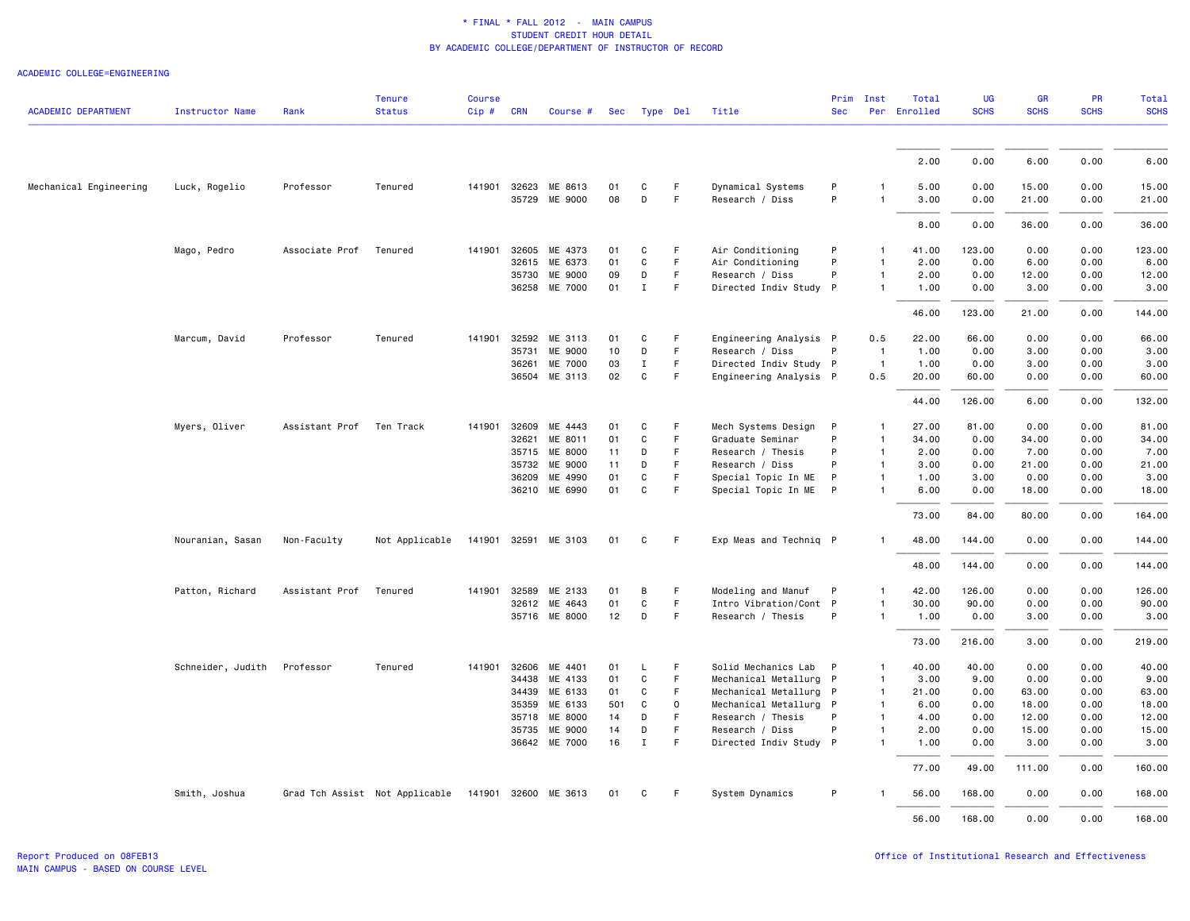| <b>ACADEMIC DEPARTMENT</b> | <b>Instructor Name</b> | Rank                     | <b>Tenure</b><br><b>Status</b> | <b>Course</b><br>Cip# | <b>CRN</b>   | Course #             | Sec |              | Type Del | Title                  | Prim<br><b>Sec</b> | Inst           | Total<br>Per Enrolled | UG<br><b>SCHS</b> | GR<br><b>SCHS</b> | PR<br><b>SCHS</b> | <b>Total</b><br><b>SCHS</b> |
|----------------------------|------------------------|--------------------------|--------------------------------|-----------------------|--------------|----------------------|-----|--------------|----------|------------------------|--------------------|----------------|-----------------------|-------------------|-------------------|-------------------|-----------------------------|
|                            |                        |                          |                                |                       |              |                      |     |              |          |                        |                    |                |                       |                   |                   |                   |                             |
|                            |                        |                          |                                |                       |              |                      |     |              |          |                        |                    |                | 2.00                  | 0.00              | 6.00              | 0.00              | 6.00                        |
| Mechanical Engineering     | Luck, Rogelio          | Professor                | Tenured                        |                       | 141901 32623 | ME 8613              | 01  | C            | F        | Dynamical Systems      | P                  |                | 5.00                  | 0.00              | 15.00             | 0.00              | 15.00                       |
|                            |                        |                          |                                |                       |              | 35729 ME 9000        | 08  | D            | F.       | Research / Diss        | P                  | $\mathbf{1}$   | 3.00                  | 0.00              | 21.00             | 0.00              | 21.00                       |
|                            |                        |                          |                                |                       |              |                      |     |              |          |                        |                    |                | 8.00                  | 0.00              | 36.00             | 0.00              | 36.00                       |
|                            | Mago, Pedro            | Associate Prof           | Tenured                        | 141901                | 32605        | ME 4373              | 01  | C            | F        | Air Conditioning       | P                  | 1              | 41.00                 | 123.00            | 0.00              | 0.00              | 123.00                      |
|                            |                        |                          |                                |                       | 32615        | ME 6373              | 01  | $\mathbf c$  | F        | Air Conditioning       | P                  | $\mathbf{1}$   | 2.00                  | 0.00              | 6.00              | 0.00              | 6.00                        |
|                            |                        |                          |                                |                       |              | 35730 ME 9000        | 09  | D            | F.       | Research / Diss        | P                  | $\mathbf{1}$   | 2.00                  | 0.00              | 12.00             | 0.00              | 12.00                       |
|                            |                        |                          |                                |                       |              | 36258 ME 7000        | 01  | $\mathbf{I}$ | F        | Directed Indiv Study P |                    | $\mathbf{1}$   | 1.00                  | 0.00              | 3.00              | 0.00              | 3.00                        |
|                            |                        |                          |                                |                       |              |                      |     |              |          |                        |                    |                | 46.00                 | 123.00            | 21.00             | 0.00              | 144.00                      |
|                            | Marcum, David          | Professor                | Tenured                        | 141901                | 32592        | ME 3113              | 01  | C            | F.       | Engineering Analysis P |                    | 0.5            | 22.00                 | 66.00             | 0.00              | 0.00              | 66.00                       |
|                            |                        |                          |                                |                       | 35731        | <b>ME 9000</b>       | 10  | D            | F.       | Research / Diss        | P                  | $\overline{1}$ | 1.00                  | 0.00              | 3.00              | 0.00              | 3.00                        |
|                            |                        |                          |                                |                       | 36261        | ME 7000              | 03  | $\mathbf{I}$ | F.       | Directed Indiv Study P |                    | $\overline{1}$ | 1.00                  | 0.00              | 3.00              | 0.00              | 3.00                        |
|                            |                        |                          |                                |                       |              | 36504 ME 3113        | 02  | C            | F        | Engineering Analysis P |                    | 0.5            | 20.00                 | 60.00             | 0.00              | 0.00              | 60.00                       |
|                            |                        |                          |                                |                       |              |                      |     |              |          |                        |                    |                | 44.00                 | 126.00            | 6.00              | 0.00              | 132.00                      |
|                            | Myers, Oliver          | Assistant Prof Ten Track |                                |                       | 141901 32609 | ME 4443              | 01  | C            | F        | Mech Systems Design    | P                  | 1              | 27.00                 | 81.00             | 0.00              | 0.00              | 81.00                       |
|                            |                        |                          |                                |                       | 32621        | ME 8011              | 01  | C            | F        | Graduate Seminar       | P                  | $\mathbf{1}$   | 34.00                 | 0.00              | 34.00             | 0.00              | 34.00                       |
|                            |                        |                          |                                |                       |              | 35715 ME 8000        | 11  | D            | F        | Research / Thesis      | P                  | $\mathbf{1}$   | 2.00                  | 0.00              | 7.00              | 0.00              | 7.00                        |
|                            |                        |                          |                                |                       | 35732        | ME 9000              | 11  | D            | F        | Research / Diss        | P                  | $\mathbf{1}$   | 3.00                  | 0.00              | 21.00             | 0.00              | 21.00                       |
|                            |                        |                          |                                |                       | 36209        | ME 4990              | 01  | $\mathbf c$  | F        | Special Topic In ME    | P                  | $\mathbf{1}$   | 1.00                  | 3.00              | 0.00              | 0.00              | 3.00                        |
|                            |                        |                          |                                |                       |              | 36210 ME 6990        | 01  | C            | F.       | Special Topic In ME P  |                    | $\mathbf{1}$   | 6.00                  | 0.00              | 18.00             | 0.00              | 18.00                       |
|                            |                        |                          |                                |                       |              |                      |     |              |          |                        |                    |                | 73.00                 | 84.00             | 80.00             | 0.00              | 164.00                      |
|                            | Nouranian, Sasan       | Non-Faculty              | Not Applicable                 |                       |              | 141901 32591 ME 3103 | 01  | C            | F.       | Exp Meas and Techniq P |                    | 1              | 48.00                 | 144.00            | 0.00              | 0.00              | 144.00                      |
|                            |                        |                          |                                |                       |              |                      |     |              |          |                        |                    |                | 48.00                 | 144.00            | 0.00              | 0.00              | 144.00                      |
|                            | Patton, Richard        | Assistant Prof           | Tenured                        |                       | 141901 32589 | ME 2133              | 01  | B            | F        | Modeling and Manuf     | P                  | $\mathbf{1}$   | 42.00                 | 126.00            | 0.00              | 0.00              | 126.00                      |
|                            |                        |                          |                                |                       |              | 32612 ME 4643        | 01  | C            | F        | Intro Vibration/Cont P |                    | 1              | 30.00                 | 90.00             | 0.00              | 0.00              | 90.00                       |
|                            |                        |                          |                                |                       |              | 35716 ME 8000        | 12  | D            | F.       | Research / Thesis      | P                  | $\mathbf{1}$   | 1.00                  | 0.00              | 3.00              | 0.00              | 3.00                        |
|                            |                        |                          |                                |                       |              |                      |     |              |          |                        |                    |                | 73.00                 | 216.00            | 3.00              | 0.00              | 219.00                      |
|                            | Schneider, Judith      | Professor                | Tenured                        |                       |              | 141901 32606 ME 4401 | 01  | L            | F        | Solid Mechanics Lab P  |                    | 1              | 40.00                 | 40.00             | 0.00              | 0.00              | 40.00                       |
|                            |                        |                          |                                |                       | 34438        | ME 4133              | 01  | C            | F        | Mechanical Metallurg P |                    | $\mathbf{1}$   | 3.00                  | 9.00              | 0.00              | 0.00              | 9.00                        |
|                            |                        |                          |                                |                       | 34439        | ME 6133              | 01  | C            | F.       | Mechanical Metallurg   | $\mathsf{P}$       | $\mathbf{1}$   | 21.00                 | 0.00              | 63.00             | 0.00              | 63.00                       |
|                            |                        |                          |                                |                       | 35359        | ME 6133              | 501 | C            | $\Omega$ | Mechanical Metallurg P |                    | $\mathbf{1}$   | 6.00                  | 0.00              | 18.00             | 0.00              | 18.00                       |
|                            |                        |                          |                                |                       | 35718        | ME 8000              | 14  | D            | F        | Research / Thesis      | P                  | $\mathbf{1}$   | 4.00                  | 0.00              | 12.00             | 0.00              | 12.00                       |
|                            |                        |                          |                                |                       | 35735        | ME 9000              | 14  | D            | F        | Research / Diss        | P                  | $\mathbf{1}$   | 2.00                  | 0.00              | 15.00             | 0.00              | 15.00                       |
|                            |                        |                          |                                |                       |              | 36642 ME 7000        | 16  | $\mathbf{I}$ | F.       | Directed Indiv Study P |                    | 1              | 1.00                  | 0.00              | 3.00              | 0.00              | 3.00                        |
|                            |                        |                          |                                |                       |              |                      |     |              |          |                        |                    |                | 77.00                 | 49.00             | 111.00            | 0.00              | 160.00                      |
|                            | Smith, Joshua          |                          | Grad Tch Assist Not Applicable |                       |              | 141901 32600 ME 3613 | 01  | C            | F.       | System Dynamics        | P                  |                | 56.00                 | 168.00            | 0.00              | 0.00              | 168.00                      |
|                            |                        |                          |                                |                       |              |                      |     |              |          |                        |                    |                | 56.00                 | 168.00            | 0.00              | 0.00              | 168,00                      |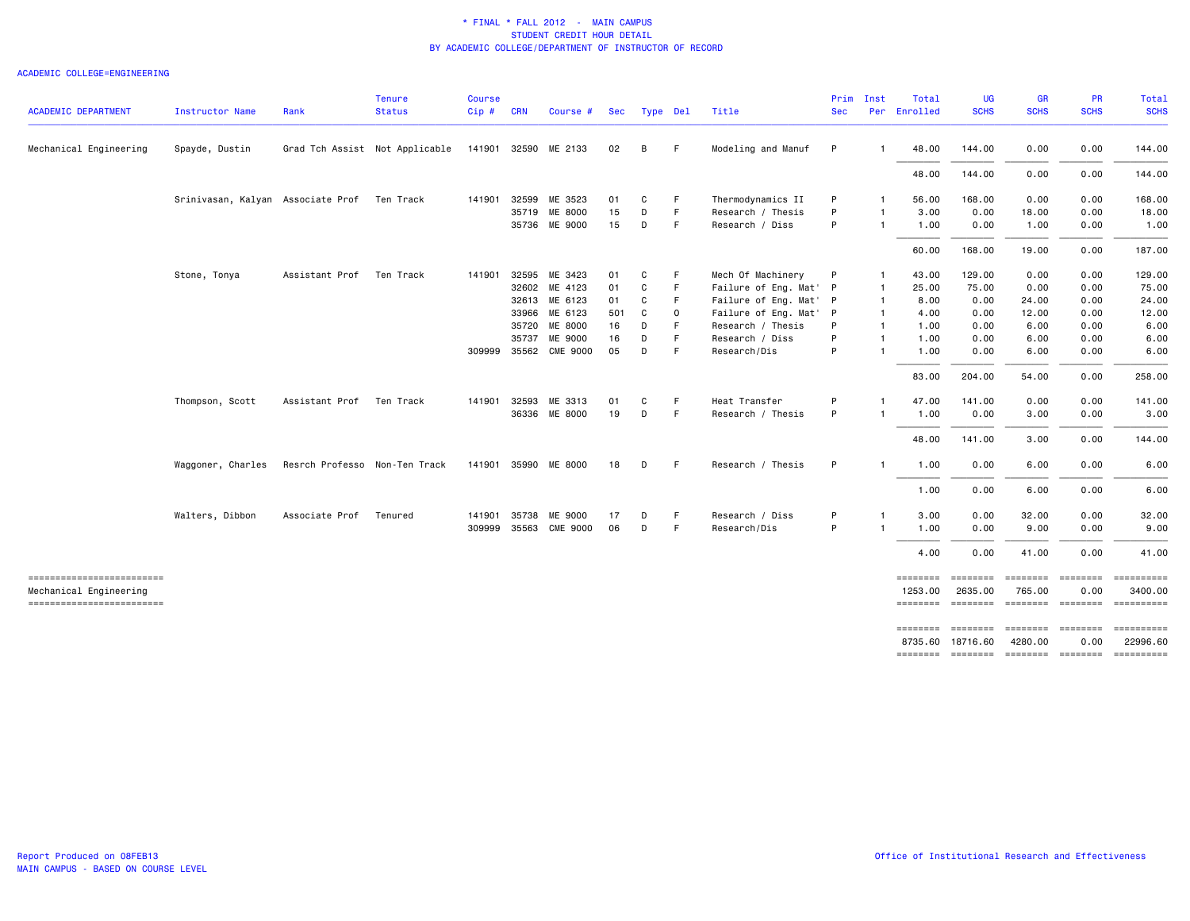| Mechanical Engineering                              | Spayde, Dustin    |                                             | Grad Tch Assist Not Applicable | 141901 32590 ME 2133 |              |                       |     |   |             |                        |   |                |                     |                             |          |                          |                                                                                                                                                                                                                                                                                                                                                                                                                                                                                        |
|-----------------------------------------------------|-------------------|---------------------------------------------|--------------------------------|----------------------|--------------|-----------------------|-----|---|-------------|------------------------|---|----------------|---------------------|-----------------------------|----------|--------------------------|----------------------------------------------------------------------------------------------------------------------------------------------------------------------------------------------------------------------------------------------------------------------------------------------------------------------------------------------------------------------------------------------------------------------------------------------------------------------------------------|
|                                                     |                   |                                             |                                |                      |              |                       |     |   |             |                        |   |                |                     |                             |          |                          |                                                                                                                                                                                                                                                                                                                                                                                                                                                                                        |
|                                                     |                   |                                             |                                |                      |              |                       | 02  | B | -F          | Modeling and Manuf     | P |                | 48,00               | 144.00                      | 0.00     | 0.00                     | 144.00                                                                                                                                                                                                                                                                                                                                                                                                                                                                                 |
|                                                     |                   |                                             |                                |                      |              |                       |     |   |             |                        |   |                | 48.00               | 144.00                      | 0.00     | 0.00                     | 144.00                                                                                                                                                                                                                                                                                                                                                                                                                                                                                 |
|                                                     |                   | Srinivasan, Kalyan Associate Prof Ten Track |                                |                      | 141901 32599 | ME 3523               | 01  | C | -F          | Thermodynamics II      | P | -1             | 56.00               | 168.00                      | 0.00     | 0.00                     | 168.00                                                                                                                                                                                                                                                                                                                                                                                                                                                                                 |
|                                                     |                   |                                             |                                |                      |              | 35719 ME 8000         | 15  | D | F           | Research / Thesis      | P | $\mathbf{1}$   | 3,00                | 0.00                        | 18.00    | 0.00                     | 18.00                                                                                                                                                                                                                                                                                                                                                                                                                                                                                  |
|                                                     |                   |                                             |                                |                      |              | 35736 ME 9000         | 15  | D | F.          | Research / Diss        | P | $\mathbf{1}$   | 1.00                | 0.00                        | 1.00     | 0.00                     | 1.00                                                                                                                                                                                                                                                                                                                                                                                                                                                                                   |
|                                                     |                   |                                             |                                |                      |              |                       |     |   |             |                        |   |                | 60.00               | 168.00                      | 19.00    | 0.00                     | 187.00                                                                                                                                                                                                                                                                                                                                                                                                                                                                                 |
|                                                     | Stone, Tonya      | Assistant Prof                              | Ten Track                      | 141901               |              | 32595 ME 3423         | 01  | C | -F.         | Mech Of Machinery      | P | -1             | 43.00               | 129.00                      | 0.00     | 0.00                     | 129.00                                                                                                                                                                                                                                                                                                                                                                                                                                                                                 |
|                                                     |                   |                                             |                                |                      | 32602        | ME 4123               | 01  | C | F           | Failure of Eng. Mat' P |   | $\overline{1}$ | 25.00               | 75.00                       | 0.00     | 0.00                     | 75.00                                                                                                                                                                                                                                                                                                                                                                                                                                                                                  |
|                                                     |                   |                                             |                                |                      |              | 32613 ME 6123         | 01  | C | -F          | Failure of Eng. Mat' P |   | $\overline{1}$ | 8.00                | 0.00                        | 24.00    | 0.00                     | 24.00                                                                                                                                                                                                                                                                                                                                                                                                                                                                                  |
|                                                     |                   |                                             |                                |                      |              | 33966 ME 6123         | 501 | C | $\mathbf 0$ | Failure of Eng. Mat' P |   | $\mathbf{1}$   | 4.00                | 0.00                        | 12.00    | 0.00                     | 12.00                                                                                                                                                                                                                                                                                                                                                                                                                                                                                  |
|                                                     |                   |                                             |                                |                      | 35720        | ME 8000               | 16  | D | F           | Research / Thesis      | P | $\overline{1}$ | 1.00                | 0.00                        | 6.00     | 0.00                     | 6.00                                                                                                                                                                                                                                                                                                                                                                                                                                                                                   |
|                                                     |                   |                                             |                                |                      | 35737        | ME 9000               | 16  | D | F           | Research / Diss        | P | $\mathbf{1}$   | 1.00                | 0.00                        | 6.00     | 0.00                     | 6.00                                                                                                                                                                                                                                                                                                                                                                                                                                                                                   |
|                                                     |                   |                                             |                                |                      | 309999 35562 | <b>CME 9000</b>       | 05  | D | F           | Research/Dis           | P | $\overline{1}$ | 1.00                | 0.00                        | 6.00     | 0.00                     | 6.00                                                                                                                                                                                                                                                                                                                                                                                                                                                                                   |
|                                                     |                   |                                             |                                |                      |              |                       |     |   |             |                        |   |                | 83.00               | 204.00                      | 54.00    | 0.00                     | 258.00                                                                                                                                                                                                                                                                                                                                                                                                                                                                                 |
|                                                     | Thompson, Scott   | Assistant Prof                              | Ten Track                      | 141901               | 32593        | ME 3313               | 01  | C | -F          | Heat Transfer          | P | -1             | 47.00               | 141.00                      | 0.00     | 0.00                     | 141.00                                                                                                                                                                                                                                                                                                                                                                                                                                                                                 |
|                                                     |                   |                                             |                                |                      |              | 36336 ME 8000         | 19  | D | F           | Research / Thesis      | P | $\mathbf{1}$   | 1.00                | 0.00                        | 3.00     | 0.00                     | 3.00                                                                                                                                                                                                                                                                                                                                                                                                                                                                                   |
|                                                     |                   |                                             |                                |                      |              |                       |     |   |             |                        |   |                | 48.00               | 141.00                      | 3.00     | 0.00                     | 144.00                                                                                                                                                                                                                                                                                                                                                                                                                                                                                 |
|                                                     | Waggoner, Charles | Resrch Professo Non-Ten Track               |                                |                      |              | 141901 35990 ME 8000  | 18  | D | - F         | Research / Thesis      | P | -1             | 1.00                | 0.00                        | 6.00     | 0.00                     | 6.00                                                                                                                                                                                                                                                                                                                                                                                                                                                                                   |
|                                                     |                   |                                             |                                |                      |              |                       |     |   |             |                        |   |                | 1.00                | 0.00                        | 6.00     | 0.00                     | 6.00                                                                                                                                                                                                                                                                                                                                                                                                                                                                                   |
|                                                     | Walters, Dibbon   | Associate Prof                              | Tenured                        | 141901               | 35738        | ME 9000               | 17  | D | F.          | Research / Diss        | P | -1             | 3.00                | 0.00                        | 32.00    | 0.00                     | 32.00                                                                                                                                                                                                                                                                                                                                                                                                                                                                                  |
|                                                     |                   |                                             |                                |                      |              | 309999 35563 CME 9000 | 06  | D | F.          | Research/Dis           | P |                | 1.00                | 0.00                        | 9.00     | 0.00                     | 9.00                                                                                                                                                                                                                                                                                                                                                                                                                                                                                   |
|                                                     |                   |                                             |                                |                      |              |                       |     |   |             |                        |   |                | 4.00                | 0.00                        | 41.00    | 0.00                     | 41.00                                                                                                                                                                                                                                                                                                                                                                                                                                                                                  |
| ==========================                          |                   |                                             |                                |                      |              |                       |     |   |             |                        |   |                | ========            | ========                    | ======== | <b>ESSESSES</b>          | $\begin{array}{cccccccccc} \multicolumn{2}{c}{} & \multicolumn{2}{c}{} & \multicolumn{2}{c}{} & \multicolumn{2}{c}{} & \multicolumn{2}{c}{} & \multicolumn{2}{c}{} & \multicolumn{2}{c}{} & \multicolumn{2}{c}{} & \multicolumn{2}{c}{} & \multicolumn{2}{c}{} & \multicolumn{2}{c}{} & \multicolumn{2}{c}{} & \multicolumn{2}{c}{} & \multicolumn{2}{c}{} & \multicolumn{2}{c}{} & \multicolumn{2}{c}{} & \multicolumn{2}{c}{} & \multicolumn{2}{c}{} & \multicolumn{2}{c}{} & \mult$ |
| Mechanical Engineering<br>------------------------- |                   |                                             |                                |                      |              |                       |     |   |             |                        |   |                | 1253.00<br>======== | 2635.00<br><b>EEEEEEE</b>   | 765.00   | 0.00<br>-------- ------- | 3400.00<br>==========                                                                                                                                                                                                                                                                                                                                                                                                                                                                  |
|                                                     |                   |                                             |                                |                      |              |                       |     |   |             |                        |   |                | ========            | --------- -------- -------- |          |                          | ==========                                                                                                                                                                                                                                                                                                                                                                                                                                                                             |
|                                                     |                   |                                             |                                |                      |              |                       |     |   |             |                        |   |                | 8735.60             | 18716.60                    | 4280.00  | 0.00                     | 22996.60                                                                                                                                                                                                                                                                                                                                                                                                                                                                               |
|                                                     |                   |                                             |                                |                      |              |                       |     |   |             |                        |   |                | ========            | --------- -------- -------- |          |                          | ==========                                                                                                                                                                                                                                                                                                                                                                                                                                                                             |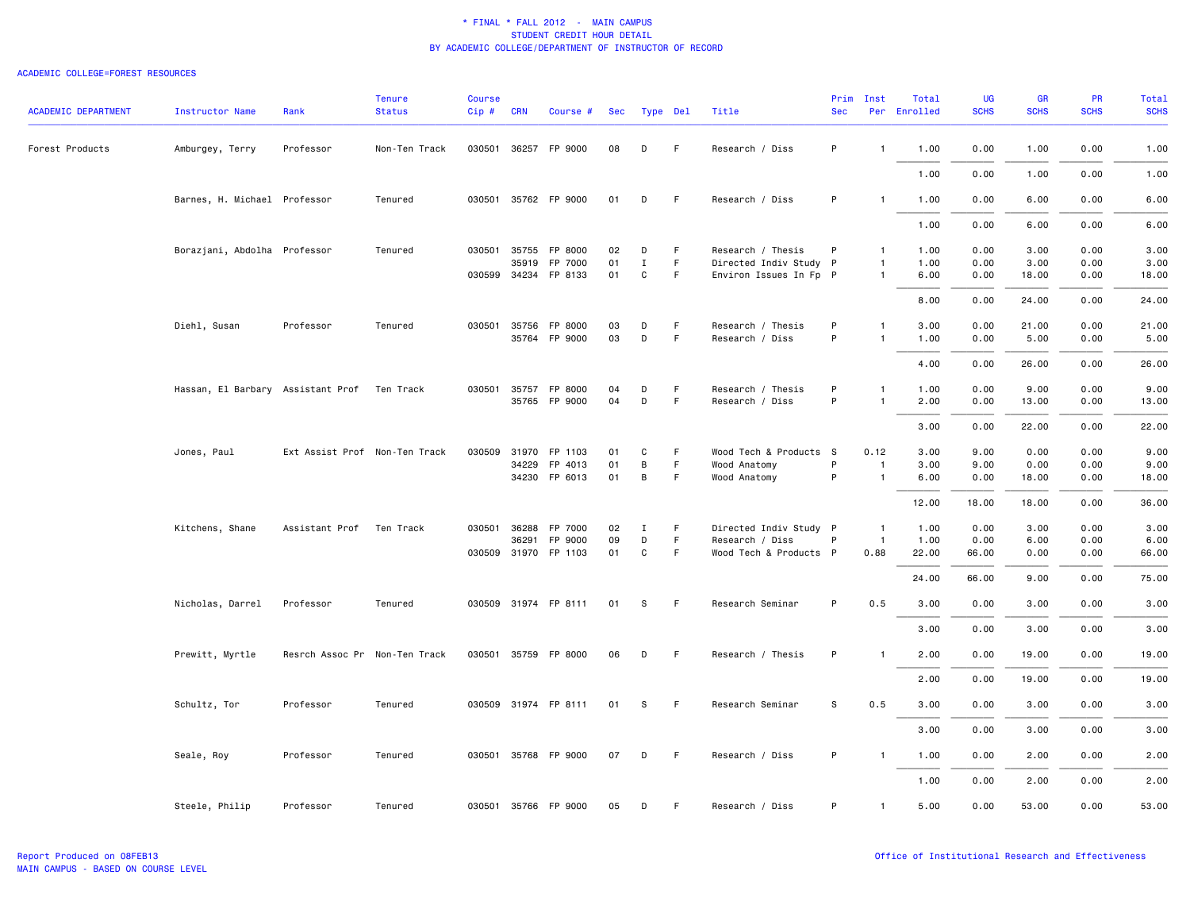| <b>ACADEMIC DEPARTMENT</b> | <b>Instructor Name</b>                      | Rank                          | <b>Tenure</b><br><b>Status</b> | <b>Course</b><br>$Cip \#$ | <b>CRN</b>   | Course #             | Sec |              | Type Del | Title                  | Prim<br><b>Sec</b> | Inst           | Total<br>Per Enrolled | <b>UG</b><br><b>SCHS</b> | GR<br><b>SCHS</b> | PR<br><b>SCHS</b> | <b>Total</b><br><b>SCHS</b> |
|----------------------------|---------------------------------------------|-------------------------------|--------------------------------|---------------------------|--------------|----------------------|-----|--------------|----------|------------------------|--------------------|----------------|-----------------------|--------------------------|-------------------|-------------------|-----------------------------|
| Forest Products            | Amburgey, Terry                             | Professor                     | Non-Ten Track                  |                           |              | 030501 36257 FP 9000 | 08  | D            | F        | Research / Diss        | P                  | $\mathbf{1}$   | 1.00                  | 0.00                     | 1.00              | 0.00              | 1.00                        |
|                            |                                             |                               |                                |                           |              |                      |     |              |          |                        |                    |                | 1.00                  | 0.00                     | 1.00              | 0.00              | 1.00                        |
|                            | Barnes, H. Michael Professor                |                               | Tenured                        |                           |              | 030501 35762 FP 9000 | 01  | D            | F.       | Research / Diss        | P                  | 1              | 1.00                  | 0.00                     | 6.00              | 0.00              | 6.00                        |
|                            |                                             |                               |                                |                           |              |                      |     |              |          |                        |                    |                | 1.00                  | 0.00                     | 6.00              | 0.00              | 6.00                        |
|                            | Borazjani, Abdolha Professor                |                               | Tenured                        |                           | 030501 35755 | FP 8000              | 02  | D            | F        | Research / Thesis      | P                  | $\mathbf{1}$   | 1.00                  | 0.00                     | 3.00              | 0.00              | 3.00                        |
|                            |                                             |                               |                                |                           | 35919        | FP 7000              | 01  | $\mathbf I$  | F        | Directed Indiv Study P |                    | $\mathbf{1}$   | 1.00                  | 0.00                     | 3.00              | 0.00              | 3.00                        |
|                            |                                             |                               |                                |                           |              | 030599 34234 FP 8133 | 01  | $\mathtt{C}$ | F.       | Environ Issues In Fp P |                    | $\mathbf{1}$   | 6.00                  | 0.00                     | 18.00             | 0.00              | 18.00                       |
|                            |                                             |                               |                                |                           |              |                      |     |              |          |                        |                    |                | 8.00                  | 0.00                     | 24.00             | 0.00              | 24.00                       |
|                            | Diehl, Susan                                | Professor                     | Tenured                        |                           | 030501 35756 | FP 8000              | 03  | D            | F.       | Research / Thesis      | P                  | $\mathbf{1}$   | 3.00                  | 0.00                     | 21.00             | 0.00              | 21.00                       |
|                            |                                             |                               |                                |                           |              | 35764 FP 9000        | 03  | D            | F        | Research / Diss        | P                  | $\mathbf{1}$   | 1.00                  | 0.00                     | 5.00              | 0.00              | 5.00                        |
|                            |                                             |                               |                                |                           |              |                      |     |              |          |                        |                    |                | 4.00                  | 0.00                     | 26.00             | 0.00              | 26.00                       |
|                            | Hassan, El Barbary Assistant Prof Ten Track |                               |                                |                           |              | 030501 35757 FP 8000 | 04  | D            | F        | Research / Thesis      | P                  | -1             | 1.00                  | 0.00                     | 9.00              | 0.00              | 9.00                        |
|                            |                                             |                               |                                |                           |              | 35765 FP 9000        | 04  | D            | F        | Research / Diss        | P                  | $\mathbf{1}$   | 2.00                  | 0.00                     | 13.00             | 0.00              | 13.00                       |
|                            |                                             |                               |                                |                           |              |                      |     |              |          |                        |                    |                | 3.00                  | 0.00                     | 22.00             | 0.00              | 22.00                       |
|                            | Jones, Paul                                 | Ext Assist Prof Non-Ten Track |                                |                           |              | 030509 31970 FP 1103 | 01  | C            | F.       | Wood Tech & Products S |                    | 0.12           | 3.00                  | 9.00                     | 0.00              | 0.00              | 9.00                        |
|                            |                                             |                               |                                |                           | 34229        | FP 4013              | 01  | B            | F        | Wood Anatomy           | P                  | $\overline{1}$ | 3.00                  | 9.00                     | 0.00              | 0.00              | 9.00                        |
|                            |                                             |                               |                                |                           |              | 34230 FP 6013        | 01  | B            | F.       | Wood Anatomy           | P                  | $\overline{1}$ | 6.00                  | 0.00                     | 18.00             | 0.00              | 18.00                       |
|                            |                                             |                               |                                |                           |              |                      |     |              |          |                        |                    |                | 12.00                 | 18.00                    | 18.00             | 0.00              | 36.00                       |
|                            | Kitchens, Shane                             | Assistant Prof Ten Track      |                                |                           | 030501 36288 | FP 7000              | 02  | Ι            | F        | Directed Indiv Study P |                    | $\overline{1}$ | 1.00                  | 0.00                     | 3.00              | 0.00              | 3.00                        |
|                            |                                             |                               |                                |                           | 36291        | FP 9000              | 09  | D            | F        | Research / Diss        | P                  | $\overline{1}$ | 1.00                  | 0.00                     | 6.00              | 0.00              | 6.00                        |
|                            |                                             |                               |                                |                           |              | 030509 31970 FP 1103 | 01  | C            | F        | Wood Tech & Products P |                    | 0.88           | 22.00                 | 66.00                    | 0.00              | 0.00              | 66.00                       |
|                            |                                             |                               |                                |                           |              |                      |     |              |          |                        |                    |                | 24.00                 | 66.00                    | 9.00              | 0.00              | 75.00                       |
|                            | Nicholas, Darrel                            | Professor                     | Tenured                        |                           |              | 030509 31974 FP 8111 | 01  | S            | F        | Research Seminar       | P                  | 0.5            | 3.00                  | 0.00                     | 3.00              | 0.00              | 3.00                        |
|                            |                                             |                               |                                |                           |              |                      |     |              |          |                        |                    |                | 3.00                  | 0.00                     | 3.00              | 0.00              | 3.00                        |
|                            | Prewitt, Myrtle                             | Resrch Assoc Pr Non-Ten Track |                                |                           |              | 030501 35759 FP 8000 | 06  | D            | F.       | Research / Thesis      | P                  | $\mathbf{1}$   | 2.00                  | 0.00                     | 19.00             | 0.00              | 19.00                       |
|                            |                                             |                               |                                |                           |              |                      |     |              |          |                        |                    |                | 2.00                  | 0.00                     | 19.00             | 0.00              | 19.00                       |
|                            | Schultz, Tor                                | Professor                     | Tenured                        |                           |              | 030509 31974 FP 8111 | 01  | s            | F        | Research Seminar       | S                  | 0.5            | 3.00                  | 0.00                     | 3.00              | 0.00              | 3.00                        |
|                            |                                             |                               |                                |                           |              |                      |     |              |          |                        |                    |                | 3.00                  | 0.00                     | 3.00              | 0.00              | 3.00                        |
|                            | Seale, Roy                                  | Professor                     | Tenured                        |                           |              | 030501 35768 FP 9000 | 07  | D            | F.       | Research / Diss        | P                  | $\mathbf{1}$   | 1.00                  | 0.00                     | 2.00              | 0.00              | 2.00                        |
|                            |                                             |                               |                                |                           |              |                      |     |              |          |                        |                    |                | 1.00                  | 0.00                     | 2.00              | 0.00              | 2.00                        |
|                            | Steele, Philip                              | Professor                     | Tenured                        |                           |              | 030501 35766 FP 9000 | 05  | D            | F        | Research / Diss        | P                  | $\mathbf{1}$   | 5.00                  | 0.00                     | 53.00             | 0.00              | 53.00                       |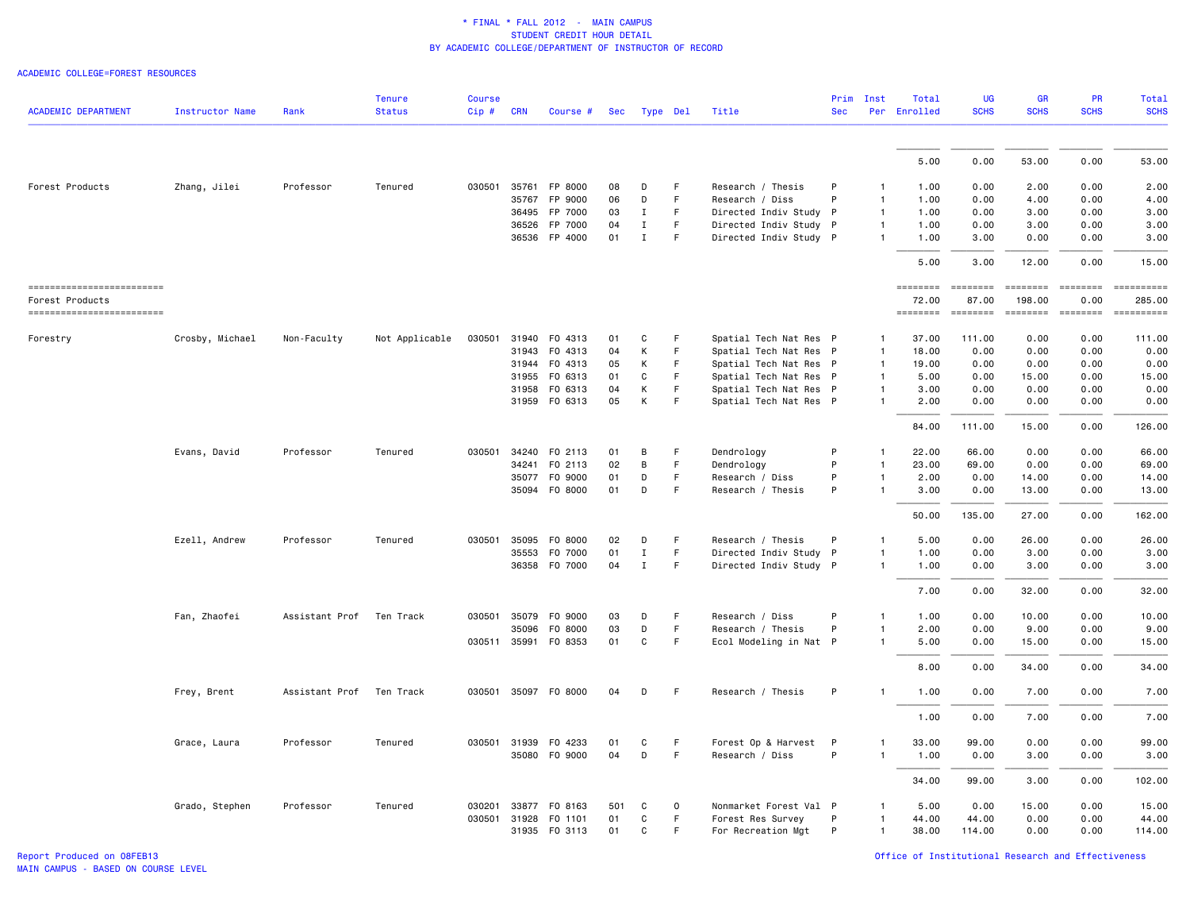|                            |                        |                | <b>Tenure</b>  | <b>Course</b> |              |                      |     |              |             |                        | Prim       | Inst         | Total        | <b>UG</b>     | <b>GR</b>       | <b>PR</b>     | Total               |
|----------------------------|------------------------|----------------|----------------|---------------|--------------|----------------------|-----|--------------|-------------|------------------------|------------|--------------|--------------|---------------|-----------------|---------------|---------------------|
| <b>ACADEMIC DEPARTMENT</b> | <b>Instructor Name</b> | Rank           | <b>Status</b>  | Cip#          | <b>CRN</b>   | Course #             | Sec | Type Del     |             | Title                  | <b>Sec</b> |              | Per Enrolled | <b>SCHS</b>   | <b>SCHS</b>     | <b>SCHS</b>   | <b>SCHS</b>         |
|                            |                        |                |                |               |              |                      |     |              |             |                        |            |              |              |               |                 |               |                     |
|                            |                        |                |                |               |              |                      |     |              |             |                        |            |              | 5.00         | 0.00          | 53.00           | 0.00          | 53,00               |
| Forest Products            | Zhang, Jilei           | Professor      | Tenured        | 030501        |              | 35761 FP 8000        | 08  | D            | F.          | Research / Thesis      | P          |              | 1.00         | 0.00          | 2.00            | 0.00          | 2.00                |
|                            |                        |                |                |               | 35767        | FP 9000              | 06  | D            | F           | Research / Diss        | P          | 1            | 1.00         | 0.00          | 4.00            | 0.00          | 4.00                |
|                            |                        |                |                |               | 36495        | FP 7000              | 03  | $\mathbf{I}$ | F           | Directed Indiv Study P |            | 1            | 1.00         | 0.00          | 3.00            | 0.00          | 3.00                |
|                            |                        |                |                |               | 36526        | FP 7000              | 04  | $\mathbf{I}$ | F           | Directed Indiv Study P |            | $\mathbf{1}$ | 1.00         | 0.00          | 3.00            | 0.00          | 3.00                |
|                            |                        |                |                |               | 36536        | FP 4000              | 01  | $\mathbf{I}$ | $\mathsf F$ | Directed Indiv Study P |            | $\mathbf{1}$ | 1.00         | 3.00          | 0.00            | 0.00          | 3.00                |
|                            |                        |                |                |               |              |                      |     |              |             |                        |            |              | 5.00         | 3.00          | 12.00           | 0.00          | 15.00               |
| ========================== |                        |                |                |               |              |                      |     |              |             |                        |            |              | ========     | $=$ ========  | <b>SEESSEES</b> |               | ======== ========== |
| Forest Products            |                        |                |                |               |              |                      |     |              |             |                        |            |              | 72.00        | 87.00         | 198.00          | 0.00          | 285.00              |
| ========================== |                        |                |                |               |              |                      |     |              |             |                        |            |              | ========     | $= 222222222$ | <b>ESSESSE</b>  | $= 222222222$ |                     |
| Forestry                   | Crosby, Michael        | Non-Faculty    | Not Applicable | 030501        | 31940        | F0 4313              | 01  | C            | F           | Spatial Tech Nat Res P |            | -1           | 37.00        | 111.00        | 0.00            | 0.00          | 111.00              |
|                            |                        |                |                |               | 31943        | F0 4313              | 04  | Κ            | F           | Spatial Tech Nat Res P |            | 1            | 18.00        | 0.00          | 0.00            | 0.00          | 0.00                |
|                            |                        |                |                |               |              | 31944 FO 4313        | 05  | Κ            | $\mathsf F$ | Spatial Tech Nat Res P |            | 1            | 19.00        | 0.00          | 0.00            | 0.00          | 0.00                |
|                            |                        |                |                |               | 31955        | F0 6313              | 01  | C            | F           | Spatial Tech Nat Res P |            | 1            | 5.00         | 0.00          | 15.00           | 0.00          | 15.00               |
|                            |                        |                |                |               | 31958        | F0 6313              | 04  | Κ            | F           | Spatial Tech Nat Res P |            | 1            | 3.00         | 0.00          | 0.00            | 0.00          | 0.00                |
|                            |                        |                |                |               |              | 31959 FO 6313        | 05  | K            | F           | Spatial Tech Nat Res P |            |              | 2.00         | 0.00          | 0.00            | 0.00          | 0.00                |
|                            |                        |                |                |               |              |                      |     |              |             |                        |            |              | 84.00        | 111.00        | 15.00           | 0.00          | 126.00              |
|                            | Evans, David           | Professor      | Tenured        | 030501        | 34240        | F0 2113              | 01  | B            | F.          | Dendrology             | P          |              | 22.00        | 66.00         | 0.00            | 0.00          | 66.00               |
|                            |                        |                |                |               | 34241        | F0 2113              | 02  | В            | F           | Dendrology             | P          | 1            | 23.00        | 69.00         | 0.00            | 0.00          | 69.00               |
|                            |                        |                |                |               |              | 35077 FO 9000        | 01  | D            | F           | Research / Diss        | P          | 1            | 2.00         | 0.00          | 14.00           | 0.00          | 14.00               |
|                            |                        |                |                |               | 35094        | F0 8000              | 01  | $\mathsf D$  | F           | Research / Thesis      | P          | 1            | 3.00         | 0.00          | 13.00           | 0.00          | 13.00               |
|                            |                        |                |                |               |              |                      |     |              |             |                        |            |              | 50.00        | 135.00        | 27.00           | 0.00          | 162.00              |
|                            | Ezell, Andrew          | Professor      | Tenured        | 030501        | 35095        | F0 8000              | 02  | D            | F           | Research / Thesis      | P          | 1            | 5.00         | 0.00          | 26.00           | 0.00          | 26.00               |
|                            |                        |                |                |               | 35553        | F0 7000              | 01  | $\mathbf I$  | $\mathsf F$ | Directed Indiv Study P |            | 1            | 1.00         | 0.00          | 3.00            | 0.00          | 3.00                |
|                            |                        |                |                |               | 36358        | F0 7000              | 04  | $\mathbf{I}$ | F           | Directed Indiv Study P |            | $\mathbf{1}$ | 1.00         | 0.00          | 3.00            | 0.00          | 3.00                |
|                            |                        |                |                |               |              |                      |     |              |             |                        |            |              | 7.00         | 0.00          | 32.00           | 0.00          | 32.00               |
|                            | Fan, Zhaofei           | Assistant Prof | Ten Track      | 030501        | 35079        | F0 9000              | 03  | D            | F           | Research / Diss        | P          | 1            | 1.00         | 0.00          | 10.00           | 0.00          | 10.00               |
|                            |                        |                |                |               | 35096        | F0 8000              | 03  | D            | F           | Research / Thesis      | P          |              | 2.00         | 0.00          | 9.00            | 0.00          | 9.00                |
|                            |                        |                |                |               |              | 030511 35991 F0 8353 | 01  | C            | F           | Ecol Modeling in Nat P |            | $\mathbf{1}$ | 5.00         | 0.00          | 15.00           | 0.00          | 15.00               |
|                            |                        |                |                |               |              |                      |     |              |             |                        |            |              | 8.00         | 0.00          | 34.00           | 0.00          | 34.00               |
|                            | Frey, Brent            | Assistant Prof | Ten Track      |               | 030501 35097 | F0 8000              | 04  | D            | F           | Research / Thesis      | P          |              | 1.00         | 0.00          | 7.00            | 0.00          | 7.00                |
|                            |                        |                |                |               |              |                      |     |              |             |                        |            |              | 1.00         | 0.00          | 7.00            | 0.00          | 7.00                |
|                            | Grace, Laura           | Professor      | Tenured        |               | 030501 31939 | F0 4233              | 01  | C            | F           | Forest Op & Harvest    | P          |              | 33.00        | 99.00         | 0.00            | 0.00          | 99.00               |
|                            |                        |                |                |               |              | 35080 F0 9000        | 04  | D            | F           | Research / Diss        | P          | 1            | 1.00         | 0.00          | 3.00            | 0.00          | 3.00                |
|                            |                        |                |                |               |              |                      |     |              |             |                        |            |              | 34.00        | 99.00         | 3.00            | 0.00          | 102.00              |
|                            | Grado, Stephen         | Professor      | Tenured        | 030201        | 33877        | F0 8163              | 501 | C            | 0           | Nonmarket Forest Val P |            |              | 5.00         | 0.00          | 15.00           | 0.00          | 15.00               |
|                            |                        |                |                | 030501        | 31928        | F0 1101              | 01  | C            | $\mathsf F$ | Forest Res Survey      | P          | 1            | 44.00        | 44.00         | 0.00            | 0.00          | 44.00               |
|                            |                        |                |                |               |              | 31935 FO 3113        | 01  | C            | F           | For Recreation Mgt     | P          | 1            | 38.00        | 114.00        | 0.00            | 0.00          | 114.00              |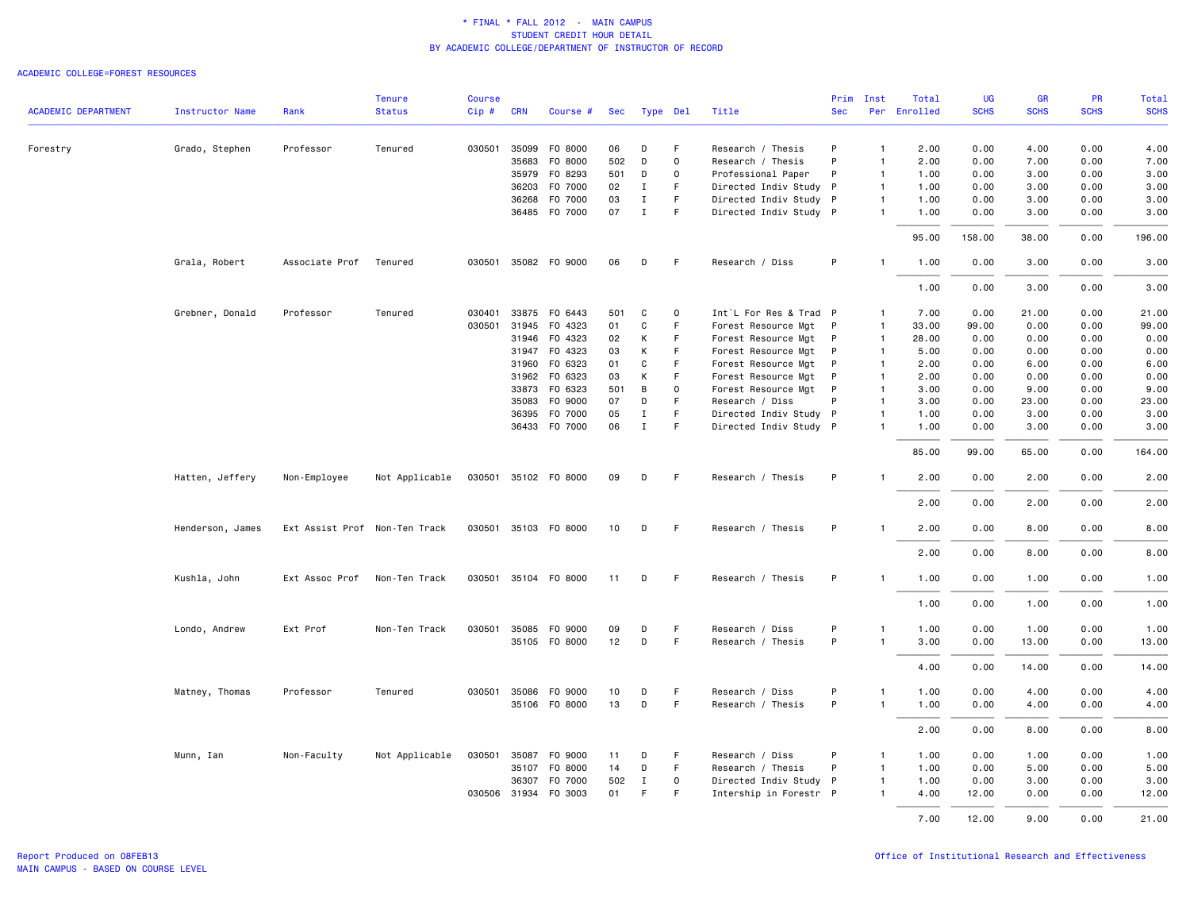|                            |                  |                               | <b>Tenure</b>  | <b>Course</b> |              |                      |     |             |              |                        | Prim       | Inst           | Total        | UG          | <b>GR</b>   | PR          | Total       |
|----------------------------|------------------|-------------------------------|----------------|---------------|--------------|----------------------|-----|-------------|--------------|------------------------|------------|----------------|--------------|-------------|-------------|-------------|-------------|
| <b>ACADEMIC DEPARTMENT</b> | Instructor Name  | Rank                          | <b>Status</b>  | Cip#          | <b>CRN</b>   | Course #             | Sec | Type Del    |              | Title                  | <b>Sec</b> |                | Per Enrolled | <b>SCHS</b> | <b>SCHS</b> | <b>SCHS</b> | <b>SCHS</b> |
| Forestry                   | Grado, Stephen   | Professor                     | Tenured        | 030501        | 35099        | F0 8000              | 06  | D           | F            | Research / Thesis      | P          | $\mathbf{1}$   | 2.00         | 0.00        | 4.00        | 0.00        | 4.00        |
|                            |                  |                               |                |               | 35683        | F0 8000              | 502 | D           | 0            | Research / Thesis      | P          | $\mathbf{1}$   | 2.00         | 0.00        | 7.00        | 0.00        | 7.00        |
|                            |                  |                               |                |               | 35979        | F0 8293              | 501 | D           | 0            | Professional Paper     | P          | $\mathbf{1}$   | 1.00         | 0.00        | 3.00        | 0.00        | 3.00        |
|                            |                  |                               |                |               | 36203        | F0 7000              | 02  | Ι.          | F            | Directed Indiv Study P |            | $\mathbf{1}$   | 1.00         | 0.00        | 3.00        | 0.00        | 3.00        |
|                            |                  |                               |                |               | 36268        | F0 7000              | 03  | $\mathbf I$ | F.           | Directed Indiv Study P |            | $\mathbf{1}$   | 1.00         | 0.00        | 3.00        | 0.00        | 3.00        |
|                            |                  |                               |                |               |              | 36485 F0 7000        | 07  | $\mathbf I$ | F            | Directed Indiv Study P |            | $\mathbf{1}$   | 1.00         | 0.00        | 3.00        | 0.00        | 3.00        |
|                            |                  |                               |                |               |              |                      |     |             |              |                        |            |                | 95.00        | 158.00      | 38.00       | 0.00        | 196.00      |
|                            | Grala, Robert    | Associate Prof                | Tenured        |               |              | 030501 35082 F0 9000 | 06  | D           | -F           | Research / Diss        | P          | $\mathbf{1}$   | 1.00         | 0.00        | 3.00        | 0.00        | 3.00        |
|                            |                  |                               |                |               |              |                      |     |             |              |                        |            |                | 1.00         | 0.00        | 3.00        | 0.00        | 3.00        |
|                            | Grebner, Donald  | Professor                     | Tenured        | 030401        |              | 33875 F0 6443        | 501 | C           | $\Omega$     | Int`L For Res & Trad P |            | $\mathbf{1}$   | 7.00         | 0.00        | 21.00       | 0.00        | 21.00       |
|                            |                  |                               |                | 030501        | 31945        | F0 4323              | 01  | C           | F.           | Forest Resource Mgt P  |            | $\overline{1}$ | 33.00        | 99.00       | 0.00        | 0.00        | 99.00       |
|                            |                  |                               |                |               | 31946        | F0 4323              | 02  | К           | F            | Forest Resource Mgt P  |            | $\mathbf{1}$   | 28.00        | 0.00        | 0.00        | 0.00        | 0.00        |
|                            |                  |                               |                |               |              | 31947 FO 4323        | 03  | К           | F.           | Forest Resource Mgt P  |            | $\overline{1}$ | 5.00         | 0.00        | 0.00        | 0.00        | 0.00        |
|                            |                  |                               |                |               | 31960        | F0 6323              | 01  | C           | $\mathsf F$  | Forest Resource Mgt    | P          | $\overline{1}$ | 2.00         | 0.00        | 6.00        | 0.00        | 6.00        |
|                            |                  |                               |                |               |              | 31962 FO 6323        | 03  | К           | F            | Forest Resource Mgt P  |            | $\mathbf{1}$   | 2.00         | 0.00        | 0.00        | 0.00        | 0.00        |
|                            |                  |                               |                |               | 33873        | F0 6323              | 501 | B           | $\mathsf{o}$ | Forest Resource Mgt P  |            | $\overline{1}$ | 3.00         | 0.00        | 9.00        | 0.00        | 9.00        |
|                            |                  |                               |                |               | 35083        | F0 9000              | 07  | D           | F            | Research / Diss        | P          | $\mathbf{1}$   | 3.00         | 0.00        | 23.00       | 0.00        | 23.00       |
|                            |                  |                               |                |               |              | 36395 F0 7000        | 05  | $\mathbf I$ | F.           | Directed Indiv Study P |            | $\mathbf{1}$   | 1.00         | 0.00        | 3.00        | 0.00        | 3.00        |
|                            |                  |                               |                |               |              | 36433 F0 7000        | 06  | $\mathbf I$ | $\mathsf F$  | Directed Indiv Study P |            | $\mathbf{1}$   | 1.00         | 0.00        | 3.00        | 0.00        | 3.00        |
|                            |                  |                               |                |               |              |                      |     |             |              |                        |            |                | 85.00        | 99.00       | 65.00       | 0.00        | 164.00      |
|                            | Hatten, Jeffery  | Non-Employee                  | Not Applicable |               |              | 030501 35102 F0 8000 | 09  | D           | - F          | Research / Thesis      | P          | $\mathbf{1}$   | 2.00         | 0.00        | 2.00        | 0.00        | 2.00        |
|                            |                  |                               |                |               |              |                      |     |             |              |                        |            |                | 2.00         | 0.00        | 2.00        | 0.00        | 2.00        |
|                            | Henderson, James | Ext Assist Prof Non-Ten Track |                |               |              | 030501 35103 FO 8000 | 10  | D           | - F          | Research / Thesis      | P          | $\mathbf{1}$   | 2.00         | 0.00        | 8.00        | 0.00        | 8.00        |
|                            |                  |                               |                |               |              |                      |     |             |              |                        |            |                | 2.00         | 0.00        | 8.00        | 0.00        | 8.00        |
|                            | Kushla, John     | Ext Assoc Prof                | Non-Ten Track  |               |              | 030501 35104 F0 8000 | 11  | D           | -F           | Research / Thesis      | P          |                | 1.00         | 0.00        | 1.00        | 0.00        | 1.00        |
|                            |                  |                               |                |               |              |                      |     |             |              |                        |            |                | 1.00         | 0.00        | 1.00        | 0.00        | 1.00        |
|                            | Londo, Andrew    | Ext Prof                      | Non-Ten Track  |               |              | 030501 35085 FO 9000 | 09  | D           | F            | Research / Diss        | P          | 1              | 1.00         | 0.00        | 1.00        | 0.00        | 1.00        |
|                            |                  |                               |                |               |              | 35105 FO 8000        | 12  | D           | F.           | Research / Thesis      | P          | $\mathbf{1}$   | 3.00         | 0.00        | 13.00       | 0.00        | 13.00       |
|                            |                  |                               |                |               |              |                      |     |             |              |                        |            |                | 4.00         | 0.00        | 14.00       | 0.00        | 14.00       |
|                            | Matney, Thomas   | Professor                     | Tenured        |               |              | 030501 35086 FO 9000 | 10  | D           | F            | Research / Diss        | P          | $\mathbf{1}$   | 1.00         | 0.00        | 4.00        | 0.00        | 4.00        |
|                            |                  |                               |                |               |              | 35106 FO 8000        | 13  | D           | F            | Research / Thesis      | P          | $\mathbf{1}$   | 1.00         | 0.00        | 4.00        | 0.00        | 4.00        |
|                            |                  |                               |                |               |              |                      |     |             |              |                        |            |                | 2.00         | 0.00        | 8.00        | 0.00        | 8.00        |
|                            | Munn, Ian        | Non-Faculty                   | Not Applicable | 030501        | 35087        | F0 9000              | 11  | D           | F            | Research / Diss        | P          | $\mathbf{1}$   | 1.00         | 0.00        | 1.00        | 0.00        | 1.00        |
|                            |                  |                               |                |               | 35107        | F0 8000              | 14  | D           | F            | Research / Thesis      | P          | $\mathbf{1}$   | 1.00         | 0.00        | 5.00        | 0.00        | 5.00        |
|                            |                  |                               |                |               | 36307        | F0 7000              | 502 | $\mathbf I$ | 0            | Directed Indiv Study P |            | $\mathbf{1}$   | 1.00         | 0.00        | 3.00        | 0.00        | 3.00        |
|                            |                  |                               |                |               | 030506 31934 | F0 3003              | 01  | F           | F            | Intership in Forestr P |            | $\mathbf{1}$   | 4.00         | 12.00       | 0.00        | 0.00        | 12.00       |
|                            |                  |                               |                |               |              |                      |     |             |              |                        |            |                | 7.00         | 12.00       | 9.00        | 0.00        | 21.00       |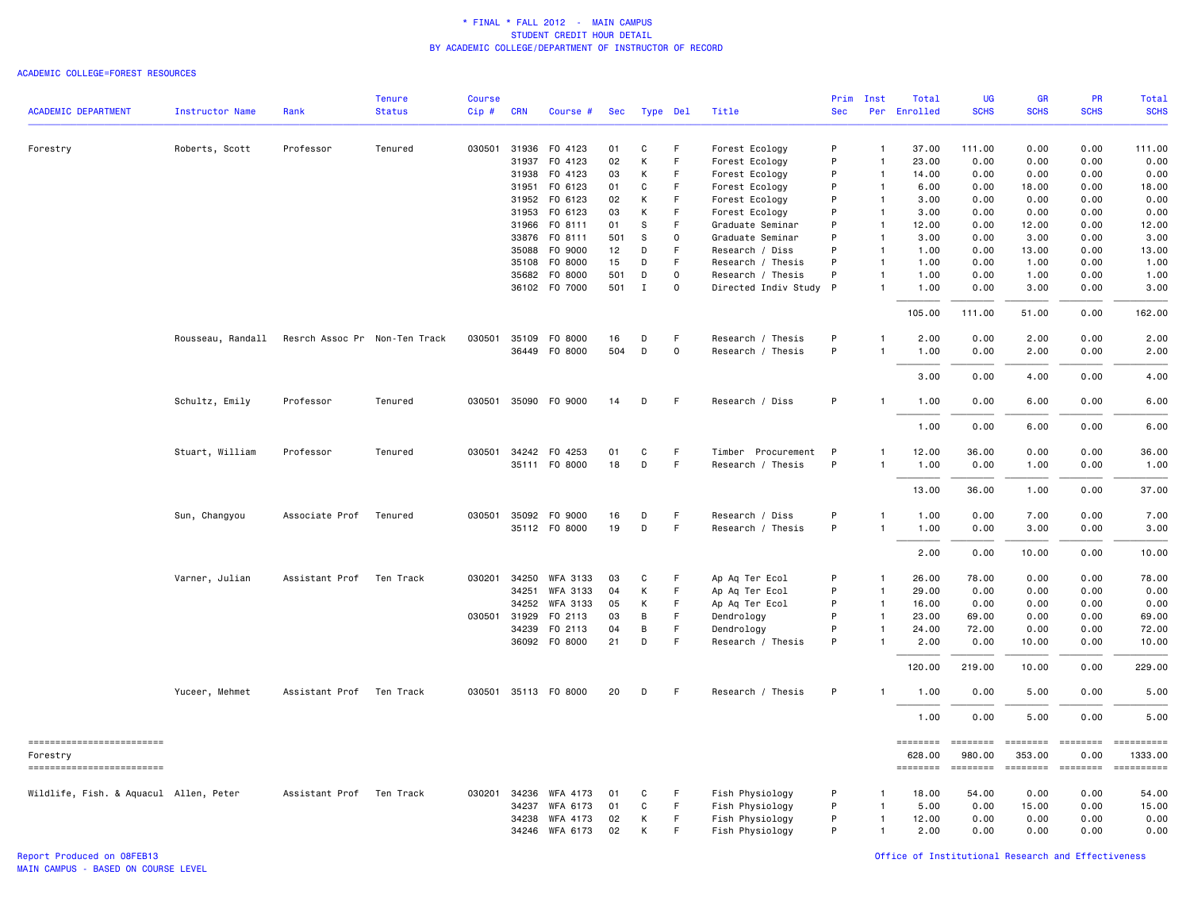#### ACADEMIC COLLEGE=FOREST RESOURCES

|                                        |                        |                               | <b>Tenure</b> | <b>Course</b> |              |                      |     |             |             |                        | Prim         | Inst           | Total        | <b>UG</b>   | <b>GR</b>          | <b>PR</b>        | <b>Total</b>          |
|----------------------------------------|------------------------|-------------------------------|---------------|---------------|--------------|----------------------|-----|-------------|-------------|------------------------|--------------|----------------|--------------|-------------|--------------------|------------------|-----------------------|
| <b>ACADEMIC DEPARTMENT</b>             | <b>Instructor Name</b> | Rank                          | <b>Status</b> | Cip#          | <b>CRN</b>   | Course #             | Sec | Type Del    |             | Title                  | <b>Sec</b>   |                | Per Enrolled | <b>SCHS</b> | <b>SCHS</b>        | <b>SCHS</b>      | <b>SCHS</b>           |
| Forestry                               | Roberts, Scott         | Professor                     | Tenured       |               | 030501 31936 | F0 4123              | 01  | С           | F           | Forest Ecology         | P            | $\mathbf{1}$   | 37.00        | 111.00      | 0.00               | 0.00             | 111.00                |
|                                        |                        |                               |               |               | 31937        | F0 4123              | 02  | Κ           | F           | Forest Ecology         | P            | $\overline{1}$ | 23.00        | 0.00        | 0.00               | 0.00             | 0.00                  |
|                                        |                        |                               |               |               | 31938        | F0 4123              | 03  | К           | F           | Forest Ecology         | P            | $\overline{1}$ | 14.00        | 0.00        | 0.00               | 0.00             | 0.00                  |
|                                        |                        |                               |               |               | 31951        | F0 6123              | 01  | C           | F           | Forest Ecology         | P            | $\overline{1}$ | 6.00         | 0.00        | 18.00              | 0.00             | 18.00                 |
|                                        |                        |                               |               |               | 31952        | F0 6123              | 02  | Κ           | F           | Forest Ecology         | P            | $\overline{1}$ | 3.00         | 0.00        | 0.00               | 0.00             | 0.00                  |
|                                        |                        |                               |               |               | 31953        | F0 6123              | 03  | К           | F           | Forest Ecology         | P            | $\overline{1}$ | 3.00         | 0.00        | 0.00               | 0.00             | 0.00                  |
|                                        |                        |                               |               |               | 31966        | FO 8111              | 01  | S           | F           | Graduate Seminar       | P            | $\overline{1}$ | 12.00        | 0.00        | 12.00              | 0.00             | 12.00                 |
|                                        |                        |                               |               |               | 33876        | FO 8111              | 501 | S           | 0           | Graduate Seminar       | P            | $\mathbf{1}$   | 3.00         | 0.00        | 3.00               | 0.00             | 3.00                  |
|                                        |                        |                               |               |               | 35088        | F0 9000              | 12  | D           | F           | Research / Diss        | P            | $\overline{1}$ | 1.00         | 0.00        | 13.00              | 0.00             | 13.00                 |
|                                        |                        |                               |               |               | 35108        | F0 8000              | 15  | D           | F           | Research / Thesis      | P            | $\mathbf{1}$   | 1.00         | 0.00        | 1.00               | 0.00             | 1.00                  |
|                                        |                        |                               |               |               | 35682        | F0 8000              | 501 | D           | $\mathbf 0$ | Research / Thesis      | P            | $\mathbf{1}$   | 1.00         | 0.00        | 1.00               | 0.00             | 1.00                  |
|                                        |                        |                               |               |               |              | 36102 FO 7000        | 501 | $\mathbf I$ | $\mathbf 0$ | Directed Indiv Study P |              | $\mathbf{1}$   | 1.00         | 0.00        | 3.00               | 0.00             | 3.00                  |
|                                        |                        |                               |               |               |              |                      |     |             |             |                        |              |                | 105.00       | 111.00      | 51.00              | 0.00             | 162.00                |
|                                        | Rousseau, Randall      | Resrch Assoc Pr Non-Ten Track |               | 030501        | 35109        | F0 8000              | 16  | D           | F           | Research / Thesis      | P            | $\mathbf{1}$   | 2.00         | 0.00        | 2.00               | 0.00             | 2.00                  |
|                                        |                        |                               |               |               | 36449        | F0 8000              | 504 | D           | $\mathbf 0$ | Research / Thesis      | P            |                | 1.00         | 0.00        | 2.00               | 0.00             | 2.00                  |
|                                        |                        |                               |               |               |              |                      |     |             |             |                        |              |                | 3.00         | 0.00        | 4.00               | 0.00             | 4.00                  |
|                                        | Schultz, Emily         | Professor                     | Tenured       |               |              | 030501 35090 F0 9000 | 14  | D           | $\mathsf F$ | Research / Diss        | P            | $\mathbf{1}$   | 1.00         | 0.00        | 6.00               | 0.00             | 6.00                  |
|                                        |                        |                               |               |               |              |                      |     |             |             |                        |              |                | 1.00         | 0.00        | 6.00               | 0.00             | 6.00                  |
|                                        | Stuart, William        | Professor                     | Tenured       |               |              | 030501 34242 F0 4253 | 01  | C           | F.          | Timber Procurement     | $\mathsf{P}$ | -1             | 12.00        | 36.00       | 0.00               | 0.00             | 36.00                 |
|                                        |                        |                               |               |               |              | 35111 FO 8000        | 18  | D           | F.          | Research / Thesis      | P            | $\overline{1}$ | 1.00         | 0.00        | 1.00               | 0.00             | 1.00                  |
|                                        |                        |                               |               |               |              |                      |     |             |             |                        |              |                | 13.00        | 36.00       | 1.00               | 0.00             | 37.00                 |
|                                        | Sun, Changyou          | Associate Prof                | Tenured       |               | 030501 35092 | F0 9000              | 16  | D           | F           | Research / Diss        | P            | -1             | 1.00         | 0.00        | 7.00               | 0.00             | 7.00                  |
|                                        |                        |                               |               |               |              | 35112 FO 8000        | 19  | D           | F           | Research / Thesis      | P            | $\mathbf{1}$   | 1.00         | 0.00        | 3.00               | 0.00             | 3.00                  |
|                                        |                        |                               |               |               |              |                      |     |             |             |                        |              |                | 2.00         | 0.00        | 10.00              | 0.00             | 10.00                 |
|                                        | Varner, Julian         | Assistant Prof                | Ten Track     | 030201        | 34250        | <b>WFA 3133</b>      | 03  | C           | F           | Ap Aq Ter Ecol         | P            | $\mathbf{1}$   | 26.00        | 78.00       | 0.00               | 0.00             | 78.00                 |
|                                        |                        |                               |               |               | 34251        | WFA 3133             | 04  | K           | F           | Ap Aq Ter Ecol         | P            | $\overline{1}$ | 29.00        | 0.00        | 0.00               | 0.00             | 0.00                  |
|                                        |                        |                               |               |               | 34252        | WFA 3133             | 05  | Κ           | F           | Ap Aq Ter Ecol         | P            | $\mathbf{1}$   | 16.00        | 0.00        | 0.00               | 0.00             | 0.00                  |
|                                        |                        |                               |               |               | 030501 31929 | F0 2113              | 03  | В           | F           | Dendrology             | P            | $\mathbf{1}$   | 23.00        | 69.00       | 0.00               | 0.00             | 69.00                 |
|                                        |                        |                               |               |               | 34239        | F0 2113              | 04  | В           | F           | Dendrology             | P            | $\mathbf{1}$   | 24.00        | 72.00       | 0.00               | 0.00             | 72.00                 |
|                                        |                        |                               |               |               |              | 36092 F0 8000        | 21  | D           | F           | Research / Thesis      | P            | $\mathbf{1}$   | 2.00         | 0.00        | 10.00              | 0.00             | 10.00                 |
|                                        |                        |                               |               |               |              |                      |     |             |             |                        |              |                | 120.00       | 219.00      | 10.00              | 0.00             | 229.00                |
|                                        | Yuceer, Mehmet         | Assistant Prof                | Ten Track     |               |              | 030501 35113 FO 8000 | 20  | D           | E           | Research / Thesis      | P            | $\mathbf{1}$   | 1.00         | 0.00        | 5.00               | 0.00             | 5.00                  |
|                                        |                        |                               |               |               |              |                      |     |             |             |                        |              |                | 1.00         | 0.00        | 5.00               | 0.00             | 5.00                  |
| ==========================<br>Forestry |                        |                               |               |               |              |                      |     |             |             |                        |              |                | 628.00       | 980.00      | ========<br>353.00 | ========<br>0.00 | ==========<br>1333.00 |
| ==========================             |                        |                               |               |               |              |                      |     |             |             |                        |              |                | ========     | ========    | ========           | ========         |                       |
| Wildlife, Fish. & Aquacul Allen, Peter |                        | Assistant Prof Ten Track      |               |               | 030201 34236 | WFA 4173             | 01  | C           | F           | Fish Physiology        | P            |                | 18.00        | 54.00       | 0.00               | 0.00             | 54.00                 |
|                                        |                        |                               |               |               | 34237        | WFA 6173             | 01  | С           | $\mathsf F$ | Fish Physiology        | P            | $\mathbf{1}$   | 5.00         | 0.00        | 15.00              | 0.00             | 15.00                 |
|                                        |                        |                               |               |               | 34238        | WFA 4173             | 02  | Κ           | F           | Fish Physiology        | P            | $\mathbf{1}$   | 12.00        | 0.00        | 0.00               | 0.00             | 0.00                  |
|                                        |                        |                               |               |               |              | 34246 WFA 6173       | 02  | K           | F           | Fish Physiology        | P            | $\mathbf{1}$   | 2.00         | 0.00        | 0.00               | 0.00             | 0.00                  |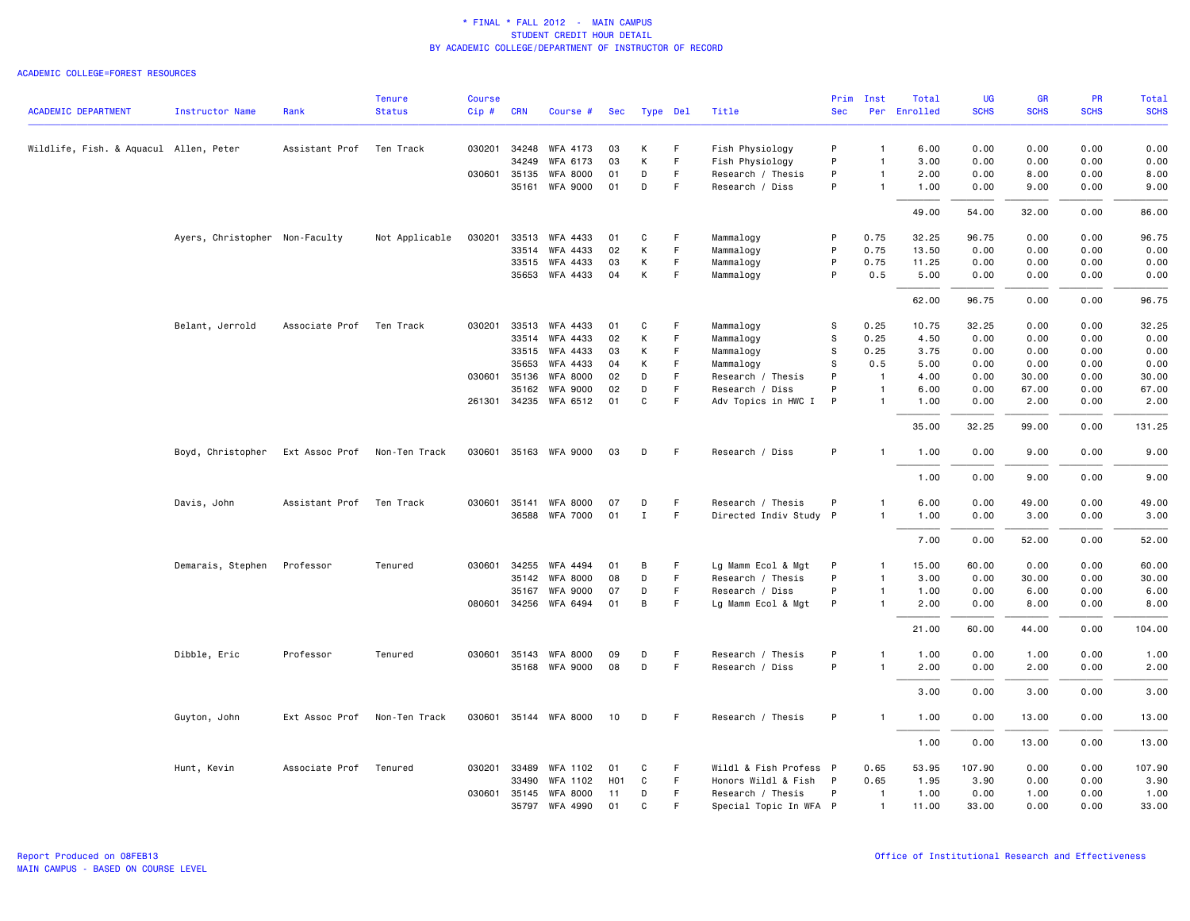| <b>ACADEMIC DEPARTMENT</b>             | <b>Instructor Name</b>         | Rank                         | <b>Tenure</b><br><b>Status</b> | <b>Course</b><br>Cip# | <b>CRN</b>   | Course #              | Sec |              |    | Title                  | <b>Sec</b> | Prim Inst      | Total<br>Per Enrolled | UG<br><b>SCHS</b> | <b>GR</b><br><b>SCHS</b> | PR<br><b>SCHS</b> | Total<br><b>SCHS</b> |
|----------------------------------------|--------------------------------|------------------------------|--------------------------------|-----------------------|--------------|-----------------------|-----|--------------|----|------------------------|------------|----------------|-----------------------|-------------------|--------------------------|-------------------|----------------------|
|                                        |                                |                              |                                |                       |              |                       |     | Type Del     |    |                        |            |                |                       |                   |                          |                   |                      |
| Wildlife, Fish. & Aquacul Allen, Peter |                                | Assistant Prof               | Ten Track                      | 030201                | 34248        | WFA 4173              | 03  | К            | F  | Fish Physiology        | P          | $\mathbf{1}$   | 6.00                  | 0.00              | 0.00                     | 0.00              | 0.00                 |
|                                        |                                |                              |                                |                       | 34249        | WFA 6173              | 03  | К            | F  | Fish Physiology        | P          | $\overline{1}$ | 3.00                  | 0.00              | 0.00                     | 0.00              | 0.00                 |
|                                        |                                |                              |                                |                       | 030601 35135 | <b>WFA 8000</b>       | 01  | D            | F. | Research / Thesis      | P          | $\overline{1}$ | 2.00                  | 0.00              | 8.00                     | 0.00              | 8.00                 |
|                                        |                                |                              |                                |                       | 35161        | <b>WFA 9000</b>       | 01  | D            | F  | Research / Diss        | P          | $\overline{1}$ | 1.00                  | 0.00              | 9.00                     | 0.00              | 9.00                 |
|                                        |                                |                              |                                |                       |              |                       |     |              |    |                        |            |                | 49.00                 | 54.00             | 32.00                    | 0.00              | 86.00                |
|                                        | Ayers, Christopher Non-Faculty |                              | Not Applicable                 | 030201                | 33513        | WFA 4433              | 01  | C            | F  | Mammalogy              | P          | 0.75           | 32.25                 | 96.75             | 0.00                     | 0.00              | 96.75                |
|                                        |                                |                              |                                |                       | 33514        | WFA 4433              | 02  | К            | F  | Mammalogy              | P          | 0.75           | 13.50                 | 0.00              | 0.00                     | 0.00              | 0.00                 |
|                                        |                                |                              |                                |                       | 33515        | WFA 4433              | 03  | К            | F  | Mammalogy              | P          | 0.75           | 11.25                 | 0.00              | 0.00                     | 0.00              | 0.00                 |
|                                        |                                |                              |                                |                       |              | 35653 WFA 4433        | 04  | К            | F  | Mammalogy              | P          | 0.5            | 5.00                  | 0.00              | 0.00                     | 0.00              | 0.00                 |
|                                        |                                |                              |                                |                       |              |                       |     |              |    |                        |            |                | 62.00                 | 96.75             | 0.00                     | 0.00              | 96.75                |
|                                        | Belant, Jerrold                | Associate Prof               | Ten Track                      | 030201                | 33513        | WFA 4433              | 01  | C            | F  | Mammalogy              | s          | 0.25           | 10.75                 | 32.25             | 0.00                     | 0.00              | 32.25                |
|                                        |                                |                              |                                |                       | 33514        | WFA 4433              | 02  | К            | F  | Mammalogy              | s          | 0.25           | 4.50                  | 0.00              | 0.00                     | 0.00              | 0.00                 |
|                                        |                                |                              |                                |                       |              | 33515 WFA 4433        | 03  | К            | F  | Mammalogy              | s          | 0.25           | 3.75                  | 0.00              | 0.00                     | 0.00              | 0.00                 |
|                                        |                                |                              |                                |                       | 35653        | WFA 4433              | 04  | К            | F  | Mammalogy              | S          | 0.5            | 5.00                  | 0.00              | 0.00                     | 0.00              | 0.00                 |
|                                        |                                |                              |                                |                       | 030601 35136 | WFA 8000              | 02  | D            | F  | Research / Thesis      | P          | $\overline{1}$ | 4.00                  | 0.00              | 30.00                    | 0.00              | 30.00                |
|                                        |                                |                              |                                |                       | 35162        | <b>WFA 9000</b>       | 02  | D            | F  | Research / Diss        | P          | $\overline{1}$ | 6.00                  | 0.00              | 67.00                    | 0.00              | 67.00                |
|                                        |                                |                              |                                |                       |              | 261301 34235 WFA 6512 | 01  | C            | F  | Adv Topics in HWC I    | P          | $\overline{1}$ | 1.00                  | 0.00              | 2.00                     | 0.00              | 2.00                 |
|                                        |                                |                              |                                |                       |              |                       |     |              |    |                        |            |                | 35.00                 | 32.25             | 99.00                    | 0.00              | 131.25               |
|                                        | Boyd, Christopher              | Ext Assoc Prof Non-Ten Track |                                |                       |              | 030601 35163 WFA 9000 | 03  | D            | F  | Research / Diss        | P          | $\overline{1}$ | 1.00                  | 0.00              | 9.00                     | 0.00              | 9.00                 |
|                                        |                                |                              |                                |                       |              |                       |     |              |    |                        |            |                | 1.00                  | 0.00              | 9.00                     | 0.00              | 9.00                 |
|                                        | Davis, John                    | Assistant Prof               | Ten Track                      | 030601                | 35141        | <b>WFA 8000</b>       | 07  | D            | F  | Research / Thesis      | P          | $\overline{1}$ | 6.00                  | 0.00              | 49.00                    | 0.00              | 49.00                |
|                                        |                                |                              |                                |                       |              | 36588 WFA 7000        | 01  | $\mathbf I$  | F. | Directed Indiv Study P |            | $\mathbf{1}$   | 1.00                  | 0.00              | 3.00                     | 0.00              | 3.00                 |
|                                        |                                |                              |                                |                       |              |                       |     |              |    |                        |            |                |                       |                   |                          |                   |                      |
|                                        |                                |                              |                                |                       |              |                       |     |              |    |                        |            |                | 7.00                  | 0.00              | 52.00                    | 0.00              | 52.00                |
|                                        | Demarais, Stephen              | Professor                    | Tenured                        |                       | 030601 34255 | WFA 4494              | 01  | B            | F  | Lg Mamm Ecol & Mgt     | P          | $\overline{1}$ | 15.00                 | 60.00             | 0.00                     | 0.00              | 60.00                |
|                                        |                                |                              |                                |                       | 35142        | <b>WFA 8000</b>       | 08  | D            | F. | Research / Thesis      | P          | $\overline{1}$ | 3.00                  | 0.00              | 30.00                    | 0.00              | 30.00                |
|                                        |                                |                              |                                |                       | 35167        | <b>WFA 9000</b>       | 07  | D            | F  | Research / Diss        | P          | $\mathbf{1}$   | 1.00                  | 0.00              | 6.00                     | 0.00              | 6.00                 |
|                                        |                                |                              |                                |                       |              | 080601 34256 WFA 6494 | 01  | B            | F  | Lg Mamm Ecol & Mgt     | P          | $\overline{1}$ | 2.00                  | 0.00              | 8.00                     | 0.00              | 8.00                 |
|                                        |                                |                              |                                |                       |              |                       |     |              |    |                        |            |                | 21.00                 | 60.00             | 44.00                    | 0.00              | 104.00               |
|                                        | Dibble, Eric                   | Professor                    | Tenured                        |                       | 030601 35143 | WFA 8000              | 09  | D            | F  | Research / Thesis      | P          | $\mathbf{1}$   | 1.00                  | 0.00              | 1.00                     | 0.00              | 1.00                 |
|                                        |                                |                              |                                |                       |              | 35168 WFA 9000        | 08  | D            | F. | Research / Diss        | P          | $\overline{1}$ | 2.00                  | 0.00              | 2.00                     | 0.00              | 2.00                 |
|                                        |                                |                              |                                |                       |              |                       |     |              |    |                        |            |                | 3.00                  | 0.00              | 3.00                     | 0.00              | 3.00                 |
|                                        | Guyton, John                   | Ext Assoc Prof               | Non-Ten Track                  |                       |              | 030601 35144 WFA 8000 | 10  | D            | F  | Research / Thesis      | P          | -1             | 1.00                  | 0.00              | 13.00                    | 0.00              | 13.00                |
|                                        |                                |                              |                                |                       |              |                       |     |              |    |                        |            |                | 1.00                  | 0.00              | 13.00                    | 0.00              | 13.00                |
|                                        | Hunt, Kevin                    | Associate Prof               | Tenured                        |                       | 030201 33489 | <b>WFA 1102</b>       | 01  | C            | F  | Wildl & Fish Profess P |            | 0.65           | 53.95                 | 107.90            | 0.00                     | 0.00              | 107.90               |
|                                        |                                |                              |                                |                       | 33490        | WFA 1102              | H01 | C            | F  | Honors Wildl & Fish    | P          | 0.65           | 1.95                  | 3.90              | 0.00                     | 0.00              | 3.90                 |
|                                        |                                |                              |                                |                       |              | 030601 35145 WFA 8000 | 11  | D            | F  | Research / Thesis      | P          | - 1            | 1.00                  | 0.00              | 1.00                     | 0.00              | 1.00                 |
|                                        |                                |                              |                                |                       | 35797        | WFA 4990              | 01  | $\mathsf{C}$ |    | Special Topic In WFA P |            | $\overline{1}$ | 11.00                 | 33,00             | 0.00                     | 0.00              | 33.00                |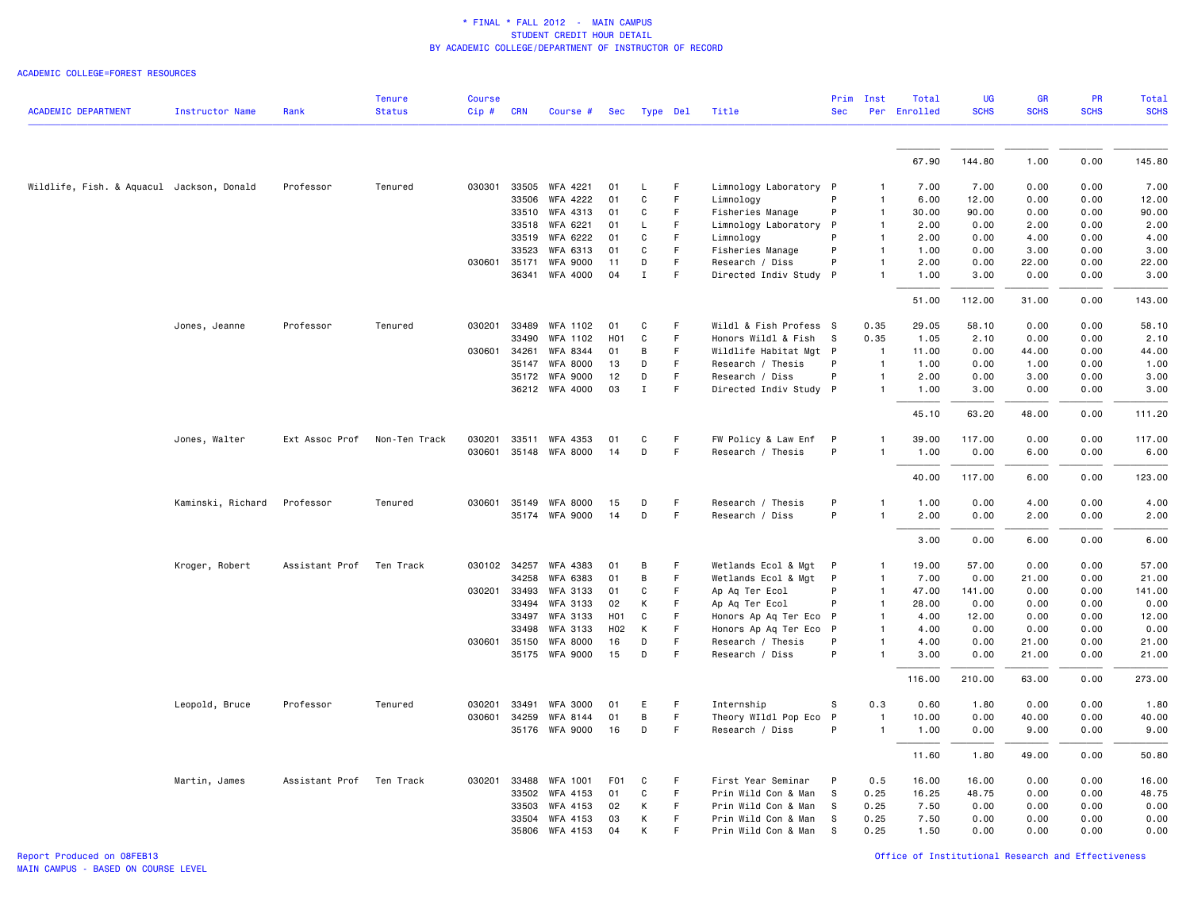|                                           |                        |                | <b>Tenure</b> | <b>Course</b>    |              |                                   |                  |              |                            |                                      | Prim         | Inst                         | Total         | <b>UG</b>    | GR             | <b>PR</b>    | Total          |
|-------------------------------------------|------------------------|----------------|---------------|------------------|--------------|-----------------------------------|------------------|--------------|----------------------------|--------------------------------------|--------------|------------------------------|---------------|--------------|----------------|--------------|----------------|
| <b>ACADEMIC DEPARTMENT</b>                | <b>Instructor Name</b> | Rank           | <b>Status</b> | $Cip$ #          | <b>CRN</b>   | Course #                          | Sec              | Type Del     |                            | Title                                | <b>Sec</b>   |                              | Per Enrolled  | <b>SCHS</b>  | <b>SCHS</b>    | <b>SCHS</b>  | <b>SCHS</b>    |
|                                           |                        |                |               |                  |              |                                   |                  |              |                            |                                      |              |                              |               |              |                |              |                |
|                                           |                        |                |               |                  |              |                                   |                  |              |                            |                                      |              |                              | 67.90         | 144.80       | 1.00           | 0.00         | 145.80         |
| Wildlife, Fish. & Aquacul Jackson, Donald |                        | Professor      | Tenured       | 030301           |              | 33505 WFA 4221                    | 01               | L            | F                          | Limnology Laboratory P               |              |                              | 7.00          | 7.00         | 0.00           | 0.00         | 7.00           |
|                                           |                        |                |               |                  | 33506        | WFA 4222                          | 01               | C            | $\mathsf F$                | Limnology                            | P            | 1                            | 6.00          | 12.00        | 0.00           | 0.00         | 12.00          |
|                                           |                        |                |               |                  | 33510        | WFA 4313                          | 01               | C            | F                          | Fisheries Manage                     | P            | 1                            | 30.00         | 90.00        | 0.00           | 0.00         | 90.00          |
|                                           |                        |                |               |                  | 33518        | WFA 6221                          | 01               | L            | F                          | Limnology Laboratory P               |              | 1                            | 2.00          | 0.00         | 2.00           | 0.00         | 2.00           |
|                                           |                        |                |               |                  | 33519        | WFA 6222                          | 01               | C            | F                          | Limnology                            |              | 1                            | 2.00          | 0.00         | 4.00           | 0.00         | 4.00           |
|                                           |                        |                |               |                  | 33523        | WFA 6313                          | 01               | C            | F                          | Fisheries Manage                     | P            | 1                            | 1.00          | 0.00         | 3.00           | 0.00         | 3.00           |
|                                           |                        |                |               | 030601           | 35171        | <b>WFA 9000</b>                   | 11               | D            | F                          | Research / Diss                      | P            | 1                            | 2.00          | 0.00         | 22.00          | 0.00         | 22.00          |
|                                           |                        |                |               |                  |              | 36341 WFA 4000                    | 04               | $\mathbf{I}$ | $\mathsf F$                | Directed Indiv Study P               |              |                              | 1.00          | 3.00         | 0.00           | 0.00         | 3.00           |
|                                           |                        |                |               |                  |              |                                   |                  |              |                            |                                      |              |                              | 51.00         | 112.00       | 31.00          | 0.00         | 143.00         |
|                                           | Jones, Jeanne          | Professor      | Tenured       | 030201           | 33489        | WFA 1102                          | 01               | C            | F                          | Wildl & Fish Profess S               |              | 0.35                         | 29.05         | 58.10        | 0.00           | 0.00         | 58.10          |
|                                           |                        |                |               |                  | 33490        | WFA 1102                          | H <sub>0</sub> 1 | $\mathtt{C}$ | F                          | Honors Wildl & Fish                  | <b>S</b>     | 0.35                         | 1.05          | 2.10         | 0.00           | 0.00         | 2.10           |
|                                           |                        |                |               | 030601           | 34261        | WFA 8344                          | 01               | В            | F                          | Wildlife Habitat Mgt P               |              | $\overline{1}$               | 11.00         | 0.00         | 44.00          | 0.00         | 44.00          |
|                                           |                        |                |               |                  | 35147        | <b>WFA 8000</b>                   | 13               | D            | F                          | Research / Thesis                    | P            | -1                           | 1.00          | 0.00         | 1.00           | 0.00         | 1.00           |
|                                           |                        |                |               |                  | 35172        | <b>WFA 9000</b>                   | 12               | D            | F                          | Research / Diss                      | P            | $\mathbf{1}$                 | 2.00          | 0.00         | 3.00           | 0.00         | 3.00           |
|                                           |                        |                |               |                  |              | 36212 WFA 4000                    | 03               | $\mathbf I$  | F                          | Directed Indiv Study P               |              | 1                            | 1.00          | 3.00         | 0.00           | 0.00         | 3.00           |
|                                           |                        |                |               |                  |              |                                   |                  |              |                            |                                      |              |                              | 45.10         | 63.20        | 48.00          | 0.00         | 111.20         |
|                                           | Jones, Walter          | Ext Assoc Prof | Non-Ten Track | 030201           |              | 33511 WFA 4353                    | 01               | C            | F                          | FW Policy & Law Enf                  | P            | 1                            | 39.00         | 117.00       | 0.00           | 0.00         | 117.00         |
|                                           |                        |                |               | 030601           |              | 35148 WFA 8000                    | 14               | D            | F                          | Research / Thesis                    | P            | 1                            | 1.00          | 0.00         | 6.00           | 0.00         | 6.00           |
|                                           |                        |                |               |                  |              |                                   |                  |              |                            |                                      |              |                              | 40.00         | 117.00       | 6.00           | 0.00         | 123.00         |
|                                           | Kaminski, Richard      | Professor      | Tenured       | 030601           | 35149        | WFA 8000                          | 15               | D            | F                          | Research / Thesis                    | P            | 1                            | 1.00          | 0.00         | 4.00           | 0.00         | 4.00           |
|                                           |                        |                |               |                  |              | 35174 WFA 9000                    | 14               | D            | F                          | Research / Diss                      | P            | 1                            | 2.00          | 0.00         | 2.00           | 0.00         | 2.00           |
|                                           |                        |                |               |                  |              |                                   |                  |              |                            |                                      |              |                              | 3.00          | 0.00         | 6.00           | 0.00         | 6.00           |
|                                           | Kroger, Robert         | Assistant Prof | Ten Track     |                  | 030102 34257 | WFA 4383                          | 01               | B            | F                          | Wetlands Ecol & Mgt P                |              | 1                            | 19.00         | 57.00        | 0.00           | 0.00         | 57.00          |
|                                           |                        |                |               |                  | 34258        | WFA 6383                          | 01               | B            | $\mathsf F$                | Wetlands Ecol & Mgt                  | $\mathsf{P}$ | $\mathbf{1}$                 | 7.00          | 0.00         | 21.00          | 0.00         | 21.00          |
|                                           |                        |                |               | 030201           | 33493        | WFA 3133                          | 01               | C            | F                          | Ap Aq Ter Ecol                       | P            | $\mathbf{1}$                 | 47.00         | 141.00       | 0.00           | 0.00         | 141.00         |
|                                           |                        |                |               |                  | 33494        | WFA 3133                          | 02               | Κ            | F                          | Ap Aq Ter Ecol                       | P            | 1                            | 28.00         | 0.00         | 0.00           | 0.00         | 0.00           |
|                                           |                        |                |               |                  | 33497        | <b>WFA 3133</b>                   | H <sub>0</sub> 1 | C            | F                          | Honors Ap Aq Ter Eco                 | $\mathsf{P}$ |                              | 4.00          | 12.00        | 0.00           | 0.00         | 12.00          |
|                                           |                        |                |               |                  | 33498        | WFA 3133                          | H <sub>02</sub>  | К            | F                          | Honors Ap Aq Ter Eco P               |              |                              | 4.00          | 0.00         | 0.00           | 0.00         | 0.00           |
|                                           |                        |                |               | 030601           | 35150        | <b>WFA 8000</b><br>35175 WFA 9000 | 16<br>15         | D<br>D       | $\mathsf F$<br>$\mathsf F$ | Research / Thesis<br>Research / Diss | P<br>P       | 1                            | 4.00<br>3.00  | 0.00<br>0.00 | 21.00<br>21.00 | 0.00<br>0.00 | 21.00<br>21.00 |
|                                           |                        |                |               |                  |              |                                   |                  |              |                            |                                      |              |                              | 116.00        | 210.00       | 63.00          | 0.00         | 273.00         |
|                                           |                        |                |               |                  |              |                                   |                  |              |                            |                                      |              |                              |               |              |                |              |                |
|                                           | Leopold, Bruce         | Professor      | Tenured       | 030201<br>030601 | 33491        | <b>WFA 3000</b>                   | 01               | E.<br>B      | F<br>$\mathsf F$           | Internship                           | S            | 0.3                          | 0.60<br>10.00 | 1.80         | 0.00           | 0.00         | 1.80           |
|                                           |                        |                |               |                  | 34259        | WFA 8144<br>35176 WFA 9000        | 01<br>16         | D            | F                          | Theory WIldl Pop Eco P               | P            | $\mathbf{1}$<br>$\mathbf{1}$ | 1.00          | 0.00         | 40.00<br>9.00  | 0.00<br>0.00 | 40.00          |
|                                           |                        |                |               |                  |              |                                   |                  |              |                            | Research / Diss                      |              |                              |               | 0.00         |                |              | 9.00           |
|                                           |                        |                |               |                  |              |                                   |                  |              |                            |                                      |              |                              | 11.60         | 1.80         | 49.00          | 0.00         | 50.80          |
|                                           | Martin, James          | Assistant Prof | Ten Track     | 030201           | 33488        | WFA 1001                          | F <sub>0</sub> 1 | C            | F                          | First Year Seminar                   | P            | 0.5                          | 16.00         | 16.00        | 0.00           | 0.00         | 16.00          |
|                                           |                        |                |               |                  | 33502        | WFA 4153                          | 01               | C            | F                          | Prin Wild Con & Man                  | <b>S</b>     | 0.25                         | 16.25         | 48.75        | 0.00           | 0.00         | 48.75          |
|                                           |                        |                |               |                  | 33503        | WFA 4153                          | 02               | Κ            | F                          | Prin Wild Con & Man                  | s            | 0.25                         | 7.50          | 0.00         | 0.00           | 0.00         | 0.00           |
|                                           |                        |                |               |                  | 33504        | WFA 4153                          | 03               | K            | F                          | Prin Wild Con & Man                  | - S          | 0.25                         | 7.50          | 0.00         | 0.00           | 0.00         | 0.00           |
|                                           |                        |                |               |                  | 35806        | WFA 4153                          | 04               | Κ            | F                          | Prin Wild Con & Man                  | - S          | 0.25                         | 1.50          | 0.00         | 0.00           | 0.00         | 0.00           |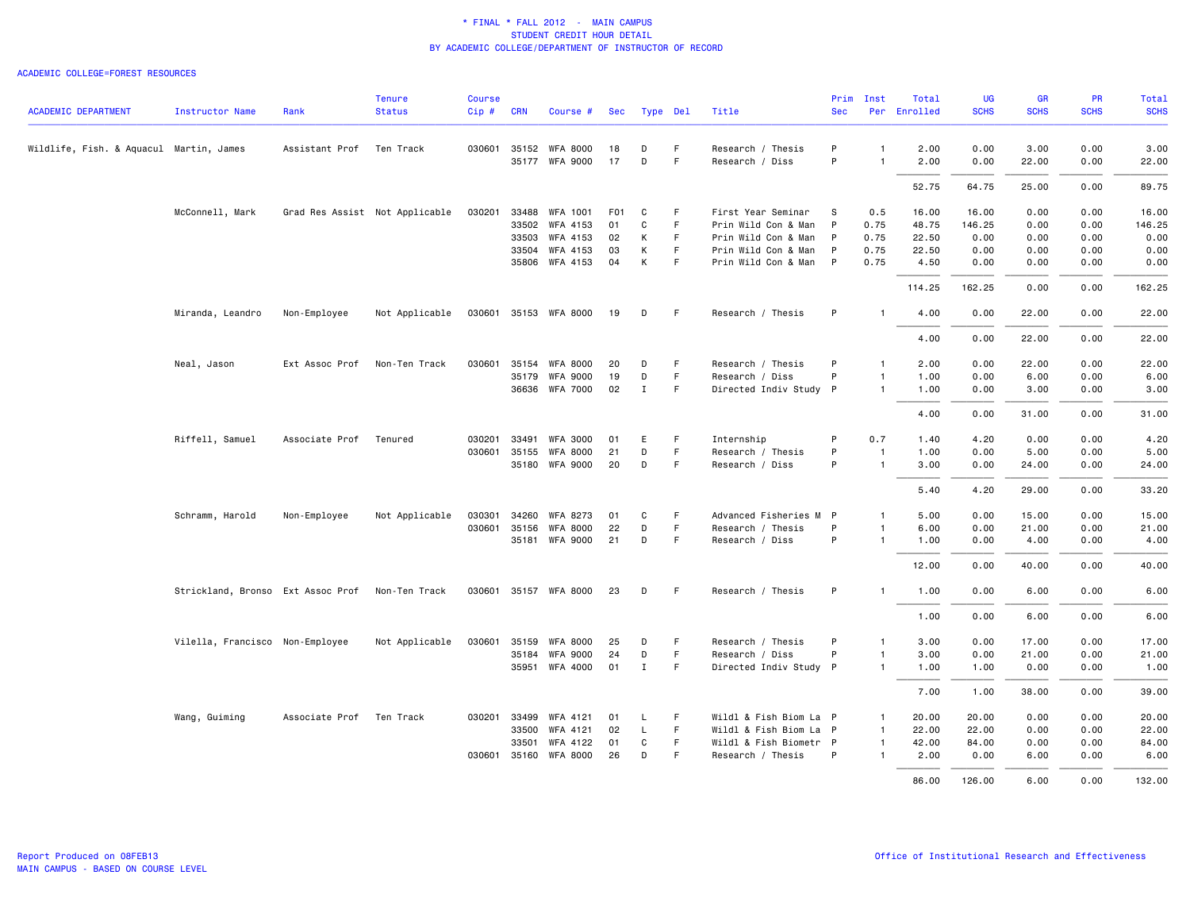|                                         |                                                 |                | <b>Tenure</b>                  | <b>Course</b> |              |                       |                  |              |     |                        | Prim         | Inst           | Total        | UG          | <b>GR</b>   | PR          | Total       |
|-----------------------------------------|-------------------------------------------------|----------------|--------------------------------|---------------|--------------|-----------------------|------------------|--------------|-----|------------------------|--------------|----------------|--------------|-------------|-------------|-------------|-------------|
| <b>ACADEMIC DEPARTMENT</b>              | <b>Instructor Name</b>                          | Rank           | <b>Status</b>                  | $Cip \#$      | <b>CRN</b>   | Course #              | Sec              | Type Del     |     | Title                  | <b>Sec</b>   |                | Per Enrolled | <b>SCHS</b> | <b>SCHS</b> | <b>SCHS</b> | <b>SCHS</b> |
| Wildlife, Fish. & Aquacul Martin, James |                                                 | Assistant Prof | Ten Track                      |               |              | 030601 35152 WFA 8000 | 18               | D            | F.  | Research / Thesis      | P            | $\mathbf{1}$   | 2.00         | 0.00        | 3.00        | 0.00        | 3.00        |
|                                         |                                                 |                |                                |               |              | 35177 WFA 9000        | 17               | D            | F   | Research / Diss        | P            | $\overline{1}$ | 2.00         | 0.00        | 22.00       | 0.00        | 22.00       |
|                                         |                                                 |                |                                |               |              |                       |                  |              |     |                        |              |                | 52.75        | 64.75       | 25.00       | 0.00        | 89.75       |
|                                         | McConnell, Mark                                 |                | Grad Res Assist Not Applicable | 030201        | 33488        | <b>WFA 1001</b>       | F <sub>0</sub> 1 | C            | F.  | First Year Seminar     | S            | 0.5            | 16.00        | 16.00       | 0.00        | 0.00        | 16.00       |
|                                         |                                                 |                |                                |               |              | 33502 WFA 4153        | 01               | C            | F   | Prin Wild Con & Man    | $\mathsf{P}$ | 0.75           | 48.75        | 146.25      | 0.00        | 0.00        | 146.25      |
|                                         |                                                 |                |                                |               | 33503        | WFA 4153              | 02               | К            | F   | Prin Wild Con & Man    | P            | 0.75           | 22.50        | 0.00        | 0.00        | 0.00        | 0.00        |
|                                         |                                                 |                |                                |               |              | 33504 WFA 4153        | 03               | К            | F   | Prin Wild Con & Man    | $\mathsf{P}$ | 0.75           | 22.50        | 0.00        | 0.00        | 0.00        | 0.00        |
|                                         |                                                 |                |                                |               |              | 35806 WFA 4153        | 04               | К            | F.  | Prin Wild Con & Man P  |              | 0.75           | 4.50         | 0.00        | 0.00        | 0.00        | 0.00        |
|                                         |                                                 |                |                                |               |              |                       |                  |              |     |                        |              |                | 114.25       | 162.25      | 0.00        | 0.00        | 162.25      |
|                                         | Miranda, Leandro                                | Non-Employee   | Not Applicable                 |               |              | 030601 35153 WFA 8000 | 19               | D            | - F | Research / Thesis      | P            | -1             | 4.00         | 0.00        | 22.00       | 0.00        | 22.00       |
|                                         |                                                 |                |                                |               |              |                       |                  |              |     |                        |              |                | 4.00         | 0.00        | 22.00       | 0.00        | 22.00       |
|                                         | Neal, Jason                                     | Ext Assoc Prof | Non-Ten Track                  |               |              | 030601 35154 WFA 8000 | 20               | D            | -F  | Research / Thesis      | P            | 1              | 2.00         | 0.00        | 22.00       | 0.00        | 22.00       |
|                                         |                                                 |                |                                |               | 35179        | <b>WFA 9000</b>       | 19               | D            | F.  | Research / Diss        | P            | $\mathbf{1}$   | 1.00         | 0.00        | 6.00        | 0.00        | 6.00        |
|                                         |                                                 |                |                                |               |              | 36636 WFA 7000        | 02               | $\mathbf{I}$ | F   | Directed Indiv Study P |              | $\overline{1}$ | 1.00         | 0.00        | 3.00        | 0.00        | 3.00        |
|                                         |                                                 |                |                                |               |              |                       |                  |              |     |                        |              |                | 4.00         | 0.00        | 31.00       | 0.00        | 31.00       |
|                                         | Riffell, Samuel                                 | Associate Prof | Tenured                        | 030201        | 33491        | <b>WFA 3000</b>       | 01               | Ε            | F   | Internship             | P            | 0.7            | 1.40         | 4.20        | 0.00        | 0.00        | 4.20        |
|                                         |                                                 |                |                                |               | 030601 35155 | <b>WFA 8000</b>       | 21               | D            | F.  | Research / Thesis      | P            | $\overline{1}$ | 1.00         | 0.00        | 5.00        | 0.00        | 5.00        |
|                                         |                                                 |                |                                |               |              | 35180 WFA 9000        | 20               | D            | F.  | Research / Diss        | P            | $\mathbf{1}$   | 3.00         | 0.00        | 24.00       | 0.00        | 24.00       |
|                                         |                                                 |                |                                |               |              |                       |                  |              |     |                        |              |                | 5.40         | 4.20        | 29.00       | 0.00        | 33.20       |
|                                         | Schramm, Harold                                 | Non-Employee   | Not Applicable                 | 030301        | 34260        | WFA 8273              | 01               | C            | F   | Advanced Fisheries M P |              | $\mathbf{1}$   | 5.00         | 0.00        | 15.00       | 0.00        | 15.00       |
|                                         |                                                 |                |                                |               | 030601 35156 | <b>WFA 8000</b>       | 22               | D            | F.  | Research / Thesis      | P            | $\mathbf{1}$   | 6.00         | 0.00        | 21.00       | 0.00        | 21.00       |
|                                         |                                                 |                |                                |               |              | 35181 WFA 9000        | 21               | D            | F.  | Research / Diss        | P            | $\mathbf{1}$   | 1.00         | 0.00        | 4.00        | 0.00        | 4.00        |
|                                         |                                                 |                |                                |               |              |                       |                  |              |     |                        |              |                | 12.00        | 0.00        | 40.00       | 0.00        | 40.00       |
|                                         | Strickland, Bronso Ext Assoc Prof Non-Ten Track |                |                                |               |              | 030601 35157 WFA 8000 | 23               | D            | - F | Research / Thesis      | P            | -1             | 1.00         | 0.00        | 6.00        | 0.00        | 6.00        |
|                                         |                                                 |                |                                |               |              |                       |                  |              |     |                        |              |                | 1.00         | 0.00        | 6.00        | 0.00        | 6.00        |
|                                         | Vilella, Francisco Non-Employee                 |                | Not Applicable                 |               |              | 030601 35159 WFA 8000 | 25               | D            | F.  | Research / Thesis      | P            | $\mathbf{1}$   | 3.00         | 0.00        | 17.00       | 0.00        | 17.00       |
|                                         |                                                 |                |                                |               |              | 35184 WFA 9000        | 24               | D            | F   | Research / Diss        | P            | $\mathbf{1}$   | 3.00         | 0.00        | 21.00       | 0.00        | 21.00       |
|                                         |                                                 |                |                                |               |              | 35951 WFA 4000        | 01               | $\mathbf{I}$ | F   | Directed Indiv Study P |              | $\mathbf{1}$   | 1.00         | 1.00        | 0.00        | 0.00        | 1.00        |
|                                         |                                                 |                |                                |               |              |                       |                  |              |     |                        |              |                | 7.00         | 1.00        | 38.00       | 0.00        | 39.00       |
|                                         | Wang, Guiming                                   | Associate Prof | Ten Track                      | 030201        | 33499        | WFA 4121              | 01               | L            | F.  | Wildl & Fish Biom La P |              | $\overline{1}$ | 20.00        | 20.00       | 0.00        | 0.00        | 20.00       |
|                                         |                                                 |                |                                |               |              | 33500 WFA 4121        | 02               | L.           | F.  | Wildl & Fish Biom La P |              | $\mathbf{1}$   | 22.00        | 22.00       | 0.00        | 0.00        | 22.00       |
|                                         |                                                 |                |                                |               | 33501        | WFA 4122              | 01               | C            | F.  | Wildl & Fish Biometr P |              | $\mathbf{1}$   | 42.00        | 84.00       | 0.00        | 0.00        | 84.00       |
|                                         |                                                 |                |                                |               | 030601 35160 | <b>WFA 8000</b>       | 26               | D            | F   | Research / Thesis      | P            | $\mathbf{1}$   | 2.00         | 0.00        | 6.00        | 0.00        | 6.00        |
|                                         |                                                 |                |                                |               |              |                       |                  |              |     |                        |              |                | 86.00        | 126.00      | 6.00        | 0.00        | 132.00      |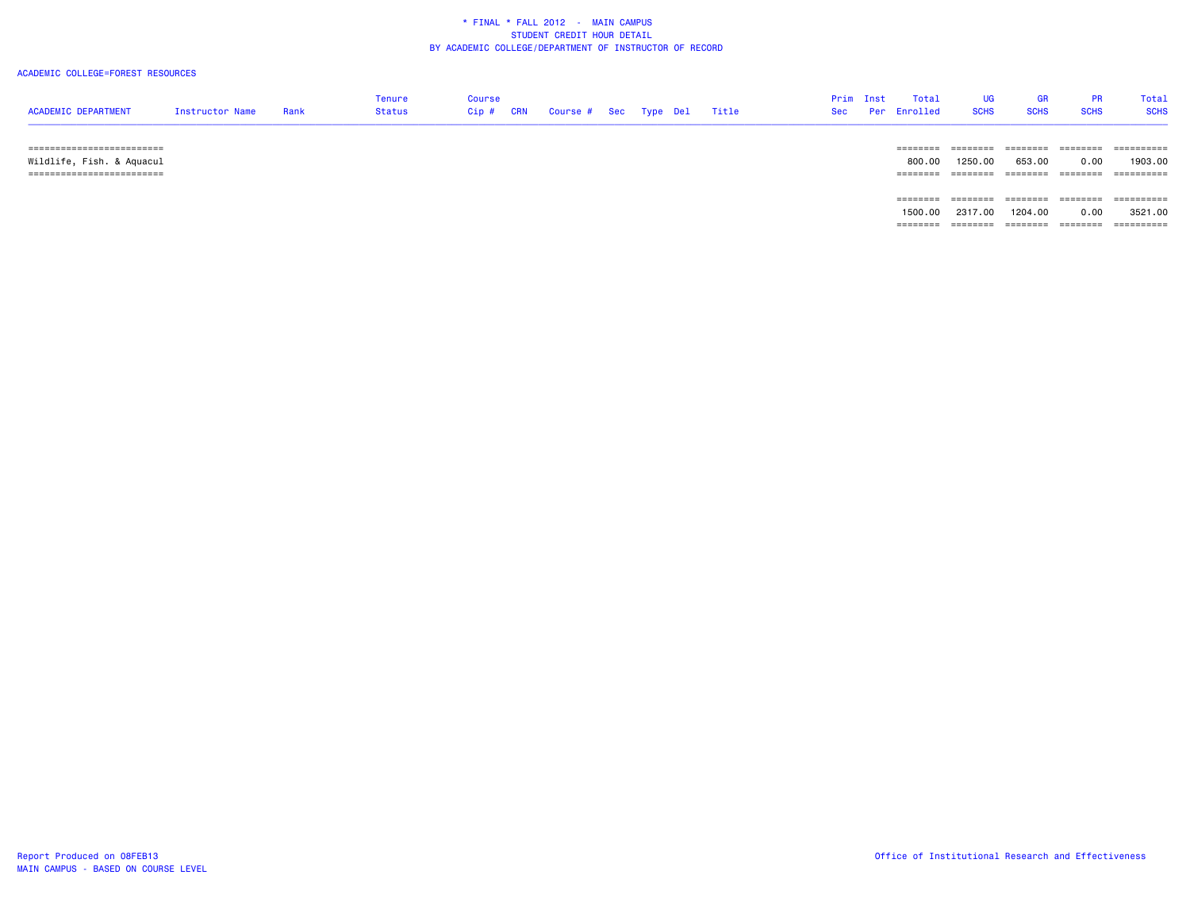#### ACADEMIC COLLEGE=FOREST RESOURCES

| <b>ACADEMIC DEPARTMENT</b>                               | <b>Instructor Name</b> | Rank | Tenure<br>Status | Course<br>Cip # CRN | " Course # Sec Type Del |  | Title | Prim Inst | Total<br>Sec Per Enrolled | UG<br><b>SCHS</b> | <b>GR</b><br><b>SCHS</b> | PR.<br><b>SCHS</b> | Total<br><b>SCHS</b> |
|----------------------------------------------------------|------------------------|------|------------------|---------------------|-------------------------|--|-------|-----------|---------------------------|-------------------|--------------------------|--------------------|----------------------|
| --------------------------<br>-------------------------- |                        |      |                  |                     |                         |  |       |           | =======                   |                   |                          | ========           | ==========           |

 Wildlife, Fish. & Aquacul 800.00 1250.00 653.00 0.00 1903.00 ========================= ======== ======== ======== ======== ========== ======== ======== ======== ======== ========== 1500.00 2317.00 1204.00 0.00 3521.00======== ======== ======== ======== ==========

MAIN CAMPUS - BASED ON COURSE LEVEL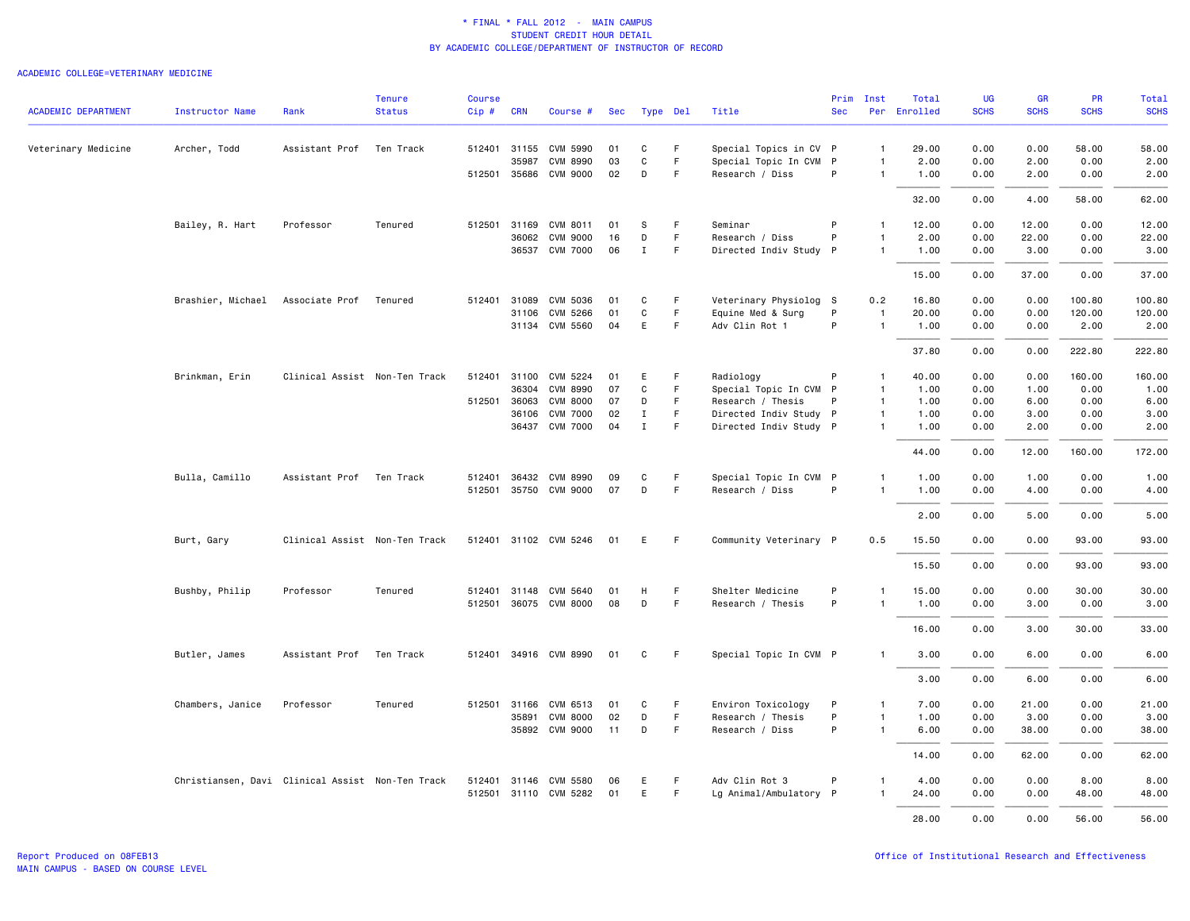|                            |                                                  |                               | <b>Tenure</b> | Course |              |                       |     |              |        |                        | Prim       | Inst           | Total        | UG          | <b>GR</b>   | <b>PR</b>   | Total       |
|----------------------------|--------------------------------------------------|-------------------------------|---------------|--------|--------------|-----------------------|-----|--------------|--------|------------------------|------------|----------------|--------------|-------------|-------------|-------------|-------------|
| <b>ACADEMIC DEPARTMENT</b> | <b>Instructor Name</b>                           | Rank                          | <b>Status</b> | Cip#   | <b>CRN</b>   | Course #              | Sec | Type Del     |        | Title                  | <b>Sec</b> |                | Per Enrolled | <b>SCHS</b> | <b>SCHS</b> | <b>SCHS</b> | <b>SCHS</b> |
| Veterinary Medicine        | Archer, Todd                                     | Assistant Prof                | Ten Track     |        |              | 512401 31155 CVM 5990 | 01  | С            | F.     | Special Topics in CV P |            | $\mathbf{1}$   | 29.00        | 0.00        | 0.00        | 58.00       | 58.00       |
|                            |                                                  |                               |               |        | 35987        | CVM 8990              | 03  | C            | F.     | Special Topic In CVM P |            |                | 2.00         | 0.00        | 2.00        | 0.00        | 2.00        |
|                            |                                                  |                               |               |        |              | 512501 35686 CVM 9000 | 02  | D            | F      | Research / Diss        | P          | $\mathbf{1}$   | 1.00         | 0.00        | 2.00        | 0.00        | 2.00        |
|                            |                                                  |                               |               |        |              |                       |     |              |        |                        |            |                | 32.00        | 0.00        | 4.00        | 58.00       | 62.00       |
|                            | Bailey, R. Hart                                  | Professor                     | Tenured       |        |              | 512501 31169 CVM 8011 | 01  | s            | F      | Seminar                | P          | $\mathbf{1}$   | 12.00        | 0.00        | 12.00       | 0.00        | 12.00       |
|                            |                                                  |                               |               |        | 36062        | <b>CVM 9000</b>       | 16  | D            | F.     | Research / Diss        | P          | $\mathbf{1}$   | 2.00         | 0.00        | 22.00       | 0.00        | 22.00       |
|                            |                                                  |                               |               |        |              | 36537 CVM 7000        | 06  | $\mathbf I$  | F.     | Directed Indiv Study P |            | $\mathbf{1}$   | 1.00         | 0.00        | 3.00        | 0.00        | 3.00        |
|                            |                                                  |                               |               |        |              |                       |     |              |        |                        |            |                | 15.00        | 0.00        | 37.00       | 0.00        | 37.00       |
|                            | Brashier, Michael                                | Associate Prof                | Tenured       |        | 512401 31089 | CVM 5036              | 01  | С            | F      | Veterinary Physiolog S |            | 0.2            | 16.80        | 0.00        | 0.00        | 100.80      | 100.80      |
|                            |                                                  |                               |               |        | 31106        | CVM 5266              | 01  | C            | F      | Equine Med & Surg      | P          | $\mathbf{1}$   | 20.00        | 0.00        | 0.00        | 120.00      | 120.00      |
|                            |                                                  |                               |               |        |              | 31134 CVM 5560        | 04  | E            | F.     | Adv Clin Rot 1         | P          | $\overline{1}$ | 1.00         | 0.00        | 0.00        | 2.00        | 2.00        |
|                            |                                                  |                               |               |        |              |                       |     |              |        |                        |            |                | 37.80        | 0.00        | 0.00        | 222.80      | 222.80      |
|                            | Brinkman, Erin                                   | Clinical Assist Non-Ten Track |               |        |              | 512401 31100 CVM 5224 | 01  | Е            | F      | Radiology              | P          | -1             | 40.00        | 0.00        | 0.00        | 160.00      | 160.00      |
|                            |                                                  |                               |               |        | 36304        | CVM 8990              | 07  | C            | F.     | Special Topic In CVM P |            | $\overline{1}$ | 1.00         | 0.00        | 1.00        | 0.00        | 1.00        |
|                            |                                                  |                               |               |        | 512501 36063 | <b>CVM 8000</b>       | 07  | D            | F      | Research / Thesis      | P          | $\mathbf{1}$   | 1.00         | 0.00        | 6.00        | 0.00        | 6.00        |
|                            |                                                  |                               |               |        |              | 36106 CVM 7000        | 02  | Ι.           | F.     | Directed Indiv Study P |            | $\mathbf{1}$   | 1.00         | 0.00        | 3.00        | 0.00        | 3.00        |
|                            |                                                  |                               |               |        |              | 36437 CVM 7000        | 04  | $\mathbf{I}$ | F      | Directed Indiv Study P |            | $\mathbf{1}$   | 1.00         | 0.00        | 2.00        | 0.00        | 2.00        |
|                            |                                                  |                               |               |        |              |                       |     |              |        |                        |            |                | 44.00        | 0.00        | 12.00       | 160.00      | 172.00      |
|                            | Bulla, Camillo                                   | Assistant Prof Ten Track      |               |        |              | 512401 36432 CVM 8990 | 09  | C            | F.     | Special Topic In CVM P |            | $\mathbf{1}$   | 1.00         | 0.00        | 1.00        | 0.00        | 1.00        |
|                            |                                                  |                               |               |        |              | 512501 35750 CVM 9000 | 07  | D            | F      | Research / Diss        | P          | $\overline{1}$ | 1.00         | 0.00        | 4.00        | 0.00        | 4.00        |
|                            |                                                  |                               |               |        |              |                       |     |              |        |                        |            |                | 2.00         | 0.00        | 5.00        | 0.00        | 5.00        |
|                            | Burt, Gary                                       | Clinical Assist Non-Ten Track |               |        |              | 512401 31102 CVM 5246 | 01  | E            | F.     | Community Veterinary P |            | 0.5            | 15.50        | 0.00        | 0.00        | 93.00       | 93.00       |
|                            |                                                  |                               |               |        |              |                       |     |              |        |                        |            |                | 15.50        | 0.00        | 0.00        | 93.00       | 93.00       |
|                            | Bushby, Philip                                   | Professor                     | Tenured       |        |              | 512401 31148 CVM 5640 | 01  | н            | F      | Shelter Medicine       | P          |                | 15.00        | 0.00        | 0.00        | 30.00       | 30.00       |
|                            |                                                  |                               |               |        |              | 512501 36075 CVM 8000 | 08  | D            | F      | Research / Thesis      | P          | $\mathbf{1}$   | 1.00         | 0.00        | 3.00        | 0.00        | 3.00        |
|                            |                                                  |                               |               |        |              |                       |     |              |        |                        |            |                | 16.00        | 0.00        | 3.00        | 30.00       | 33.00       |
|                            | Butler, James                                    | Assistant Prof                | Ten Track     |        |              | 512401 34916 CVM 8990 | 01  | С            | F      | Special Topic In CVM P |            | $\mathbf{1}$   | 3.00         | 0.00        | 6.00        | 0.00        | 6.00        |
|                            |                                                  |                               |               |        |              |                       |     |              |        |                        |            |                | 3.00         | 0.00        | 6.00        | 0.00        | 6.00        |
|                            |                                                  |                               |               |        |              |                       |     |              |        |                        |            |                |              |             |             |             |             |
|                            | Chambers, Janice                                 | Professor                     | Tenured       |        | 512501 31166 | CVM 6513              | 01  | С            | F      | Environ Toxicology     | P          | $\mathbf{1}$   | 7.00         | 0.00        | 21.00       | 0.00        | 21.00       |
|                            |                                                  |                               |               |        | 35891        | <b>CVM 8000</b>       | 02  | D            | F<br>F | Research / Thesis      | P<br>P     | $\overline{1}$ | 1.00         | 0.00        | 3.00        | 0.00        | 3.00        |
|                            |                                                  |                               |               |        |              | 35892 CVM 9000        | 11  | D            |        | Research / Diss        |            | $\mathbf{1}$   | 6.00         | 0.00        | 38.00       | 0.00        | 38.00       |
|                            |                                                  |                               |               |        |              |                       |     |              |        |                        |            |                | 14.00        | 0.00        | 62.00       | 0.00        | 62.00       |
|                            | Christiansen, Davi Clinical Assist Non-Ten Track |                               |               |        |              | 512401 31146 CVM 5580 | 06  | Ε            | E      | Adv Clin Rot 3         | P          | $\mathbf{1}$   | 4.00         | 0.00        | 0.00        | 8.00        | 8.00        |
|                            |                                                  |                               |               |        |              | 512501 31110 CVM 5282 | 01  | Ε            | F      | Lg Animal/Ambulatory P |            | $\mathbf{1}$   | 24.00        | 0.00        | 0.00        | 48.00       | 48.00       |
|                            |                                                  |                               |               |        |              |                       |     |              |        |                        |            |                |              |             |             |             |             |
|                            |                                                  |                               |               |        |              |                       |     |              |        |                        |            |                | 28,00        | 0.00        | 0.00        | 56.00       | 56.00       |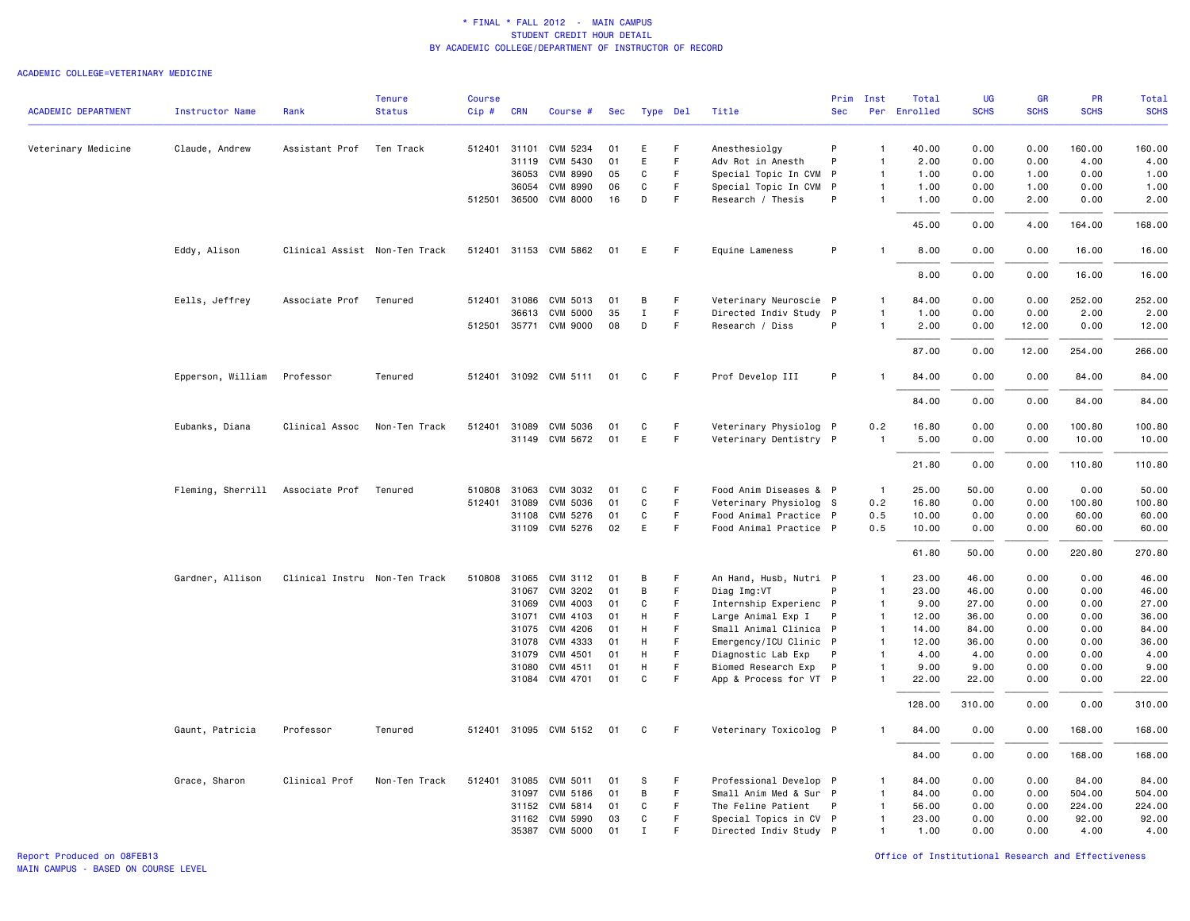#### ACADEMIC COLLEGE=VETERINARY MEDICINE

|                            |                                  |                               | <b>Tenure</b> | <b>Course</b> |              |                       |     |             |          |                        |              | Prim Inst      | Total        | UG          | <b>GR</b>   | PR          | Total       |
|----------------------------|----------------------------------|-------------------------------|---------------|---------------|--------------|-----------------------|-----|-------------|----------|------------------------|--------------|----------------|--------------|-------------|-------------|-------------|-------------|
| <b>ACADEMIC DEPARTMENT</b> | <b>Instructor Name</b>           | Rank                          | <b>Status</b> | Cip#          | <b>CRN</b>   | Course #              | Sec |             | Type Del | Title                  | <b>Sec</b>   |                | Per Enrolled | <b>SCHS</b> | <b>SCHS</b> | <b>SCHS</b> | <b>SCHS</b> |
| Veterinary Medicine        | Claude, Andrew                   | Assistant Prof                | Ten Track     |               | 512401 31101 | CVM 5234              | 01  | E           | F        | Anesthesiolgy          | P            | $\overline{1}$ | 40.00        | 0.00        | 0.00        | 160.00      | 160.00      |
|                            |                                  |                               |               |               | 31119        | CVM 5430              | 01  | E           | F        | Adv Rot in Anesth      | P            | $\overline{1}$ | 2.00         | 0.00        | 0.00        | 4.00        | 4.00        |
|                            |                                  |                               |               |               | 36053        | <b>CVM 8990</b>       | 05  | C           | F        | Special Topic In CVM   | $\mathsf{P}$ | $\overline{1}$ | 1.00         | 0.00        | 1.00        | 0.00        | 1.00        |
|                            |                                  |                               |               |               | 36054        | <b>CVM 8990</b>       | 06  | C           | F.       | Special Topic In CVM P |              | $\overline{1}$ | 1.00         | 0.00        | 1.00        | 0.00        | 1.00        |
|                            |                                  |                               |               |               | 512501 36500 | <b>CVM 8000</b>       | 16  | D           | F        | Research / Thesis      | P            | $\overline{1}$ | 1.00         | 0.00        | 2.00        | 0.00        | 2.00        |
|                            |                                  |                               |               |               |              |                       |     |             |          |                        |              |                | 45.00        | 0.00        | 4.00        | 164.00      | 168.00      |
|                            | Eddy, Alison                     | Clinical Assist Non-Ten Track |               |               |              | 512401 31153 CVM 5862 | 01  | E           | F.       | Equine Lameness        | P            | $\overline{1}$ | 8.00         | 0.00        | 0.00        | 16.00       | 16.00       |
|                            |                                  |                               |               |               |              |                       |     |             |          |                        |              |                | 8.00         | 0.00        | 0.00        | 16.00       | 16.00       |
|                            | Eells, Jeffrey                   | Associate Prof                | Tenured       | 512401        | 31086        | CVM 5013              | 01  | В           | F        | Veterinary Neuroscie   | $\mathsf{P}$ | $\mathbf{1}$   | 84.00        | 0.00        | 0.00        | 252.00      | 252.00      |
|                            |                                  |                               |               |               | 36613        | CVM 5000              | 35  | $\mathbf I$ | F.       | Directed Indiv Study   | P            | -1             | 1.00         | 0.00        | 0.00        | 2.00        | 2.00        |
|                            |                                  |                               |               |               |              | 512501 35771 CVM 9000 | 08  | D           | F.       | Research / Diss        | P            | $\overline{1}$ | 2.00         | 0.00        | 12.00       | 0.00        | 12.00       |
|                            |                                  |                               |               |               |              |                       |     |             |          |                        |              |                | 87.00        | 0.00        | 12.00       | 254.00      | 266.00      |
|                            | Epperson, William                | Professor                     | Tenured       |               |              | 512401 31092 CVM 5111 | 01  | C           | F        | Prof Develop III       | P            |                | 84.00        | 0.00        | 0.00        | 84.00       | 84.00       |
|                            |                                  |                               |               |               |              |                       |     |             |          |                        |              |                | 84.00        | 0.00        | 0.00        | 84.00       | 84.00       |
|                            | Eubanks, Diana                   | Clinical Assoc                | Non-Ten Track |               |              | 512401 31089 CVM 5036 | 01  | C           | F        | Veterinary Physiolog P |              | 0.2            | 16.80        | 0.00        | 0.00        | 100.80      | 100.80      |
|                            |                                  |                               |               |               |              | 31149 CVM 5672        | 01  | Ε           | F.       | Veterinary Dentistry P |              | $\overline{1}$ | 5.00         | 0.00        | 0.00        | 10.00       | 10.00       |
|                            |                                  |                               |               |               |              |                       |     |             |          |                        |              |                | 21.80        | 0.00        | 0.00        | 110.80      | 110.80      |
|                            | Fleming, Sherrill Associate Prof |                               | Tenured       | 510808        | 31063        | CVM 3032              | 01  | C           | F        | Food Anim Diseases & P |              | $\overline{1}$ | 25.00        | 50.00       | 0.00        | 0.00        | 50.00       |
|                            |                                  |                               |               |               | 512401 31089 | CVM 5036              | 01  | C           | F        | Veterinary Physiolog S |              | 0.2            | 16.80        | 0.00        | 0.00        | 100.80      | 100.80      |
|                            |                                  |                               |               |               | 31108        | CVM 5276              | 01  | C           | F        | Food Animal Practice P |              | 0.5            | 10.00        | 0.00        | 0.00        | 60.00       | 60.00       |
|                            |                                  |                               |               |               |              | 31109 CVM 5276        | 02  | E           | F        | Food Animal Practice P |              | 0.5            | 10.00        | 0.00        | 0.00        | 60.00       | 60.00       |
|                            |                                  |                               |               |               |              |                       |     |             |          |                        |              |                | 61.80        | 50.00       | 0.00        | 220.80      | 270.80      |
|                            | Gardner, Allison                 | Clinical Instru Non-Ten Track |               |               | 510808 31065 | CVM 3112              | 01  | В           |          | An Hand, Husb, Nutri P |              | $\overline{1}$ | 23.00        | 46.00       | 0.00        | 0.00        | 46.00       |
|                            |                                  |                               |               |               | 31067        | CVM 3202              | 01  | в           | F        | Diag Img:VT            | P            | $\overline{1}$ | 23.00        | 46.00       | 0.00        | 0.00        | 46.00       |
|                            |                                  |                               |               |               | 31069        | CVM 4003              | 01  | C           | F        | Internship Experienc P |              | $\overline{1}$ | 9.00         | 27.00       | 0.00        | 0.00        | 27.00       |
|                            |                                  |                               |               |               | 31071        | CVM 4103              | 01  | Н           | F        | Large Animal Exp I     | P            | $\overline{1}$ | 12.00        | 36.00       | 0.00        | 0.00        | 36.00       |
|                            |                                  |                               |               |               | 31075        | CVM 4206              | 01  | Н           |          | Small Animal Clinica P |              | $\overline{1}$ | 14.00        | 84.00       | 0.00        | 0.00        | 84.00       |
|                            |                                  |                               |               |               | 31078        | CVM 4333              | 01  | H           | F        | Emergency/ICU Clinic P |              | $\overline{1}$ | 12.00        | 36.00       | 0.00        | 0.00        | 36.00       |
|                            |                                  |                               |               |               | 31079        | CVM 4501              | 01  | H           | F        | Diagnostic Lab Exp     | P            | $\overline{1}$ | 4.00         | 4.00        | 0.00        | 0.00        | 4.00        |
|                            |                                  |                               |               |               | 31080        | CVM 4511              | 01  | Н           | F        | Biomed Research Exp    | P            | $\overline{1}$ | 9.00         | 9.00        | 0.00        | 0.00        | 9.00        |
|                            |                                  |                               |               |               |              | 31084 CVM 4701        | 01  | C           | F        | App & Process for VT P |              | $\overline{1}$ | 22.00        | 22.00       | 0.00        | 0.00        | 22.00       |
|                            |                                  |                               |               |               |              |                       |     |             |          |                        |              |                | 128.00       | 310.00      | 0.00        | 0.00        | 310.00      |
|                            | Gaunt, Patricia                  | Professor                     | Tenured       |               |              | 512401 31095 CVM 5152 | 01  | C           | F.       | Veterinary Toxicolog P |              | -1             | 84.00        | 0.00        | 0.00        | 168.00      | 168.00      |
|                            |                                  |                               |               |               |              |                       |     |             |          |                        |              |                | 84.00        | 0.00        | 0.00        | 168.00      | 168.00      |
|                            | Grace, Sharon                    | Clinical Prof                 | Non-Ten Track | 512401        | 31085        | CVM 5011              | 01  | S           | F        | Professional Develop P |              | $\mathbf{1}$   | 84.00        | 0.00        | 0.00        | 84.00       | 84.00       |
|                            |                                  |                               |               |               | 31097        | CVM 5186              | 01  | B           | F        | Small Anim Med & Sur P |              | $\overline{1}$ | 84.00        | 0.00        | 0.00        | 504.00      | 504.00      |
|                            |                                  |                               |               |               | 31152        | CVM 5814              | 01  | C           | F.       | The Feline Patient     | P            | $\overline{1}$ | 56.00        | 0.00        | 0.00        | 224.00      | 224.00      |
|                            |                                  |                               |               |               | 31162        | CVM 5990              | 03  | C           | F        | Special Topics in CV P |              | $\overline{1}$ | 23.00        | 0.00        | 0.00        | 92.00       | 92.00       |
|                            |                                  |                               |               |               |              | 35387 CVM 5000        | 01  | Ι.          |          | Directed Indiv Study P |              | $\mathbf{1}$   | 1.00         | 0.00        | 0.00        | 4.00        | 4.00        |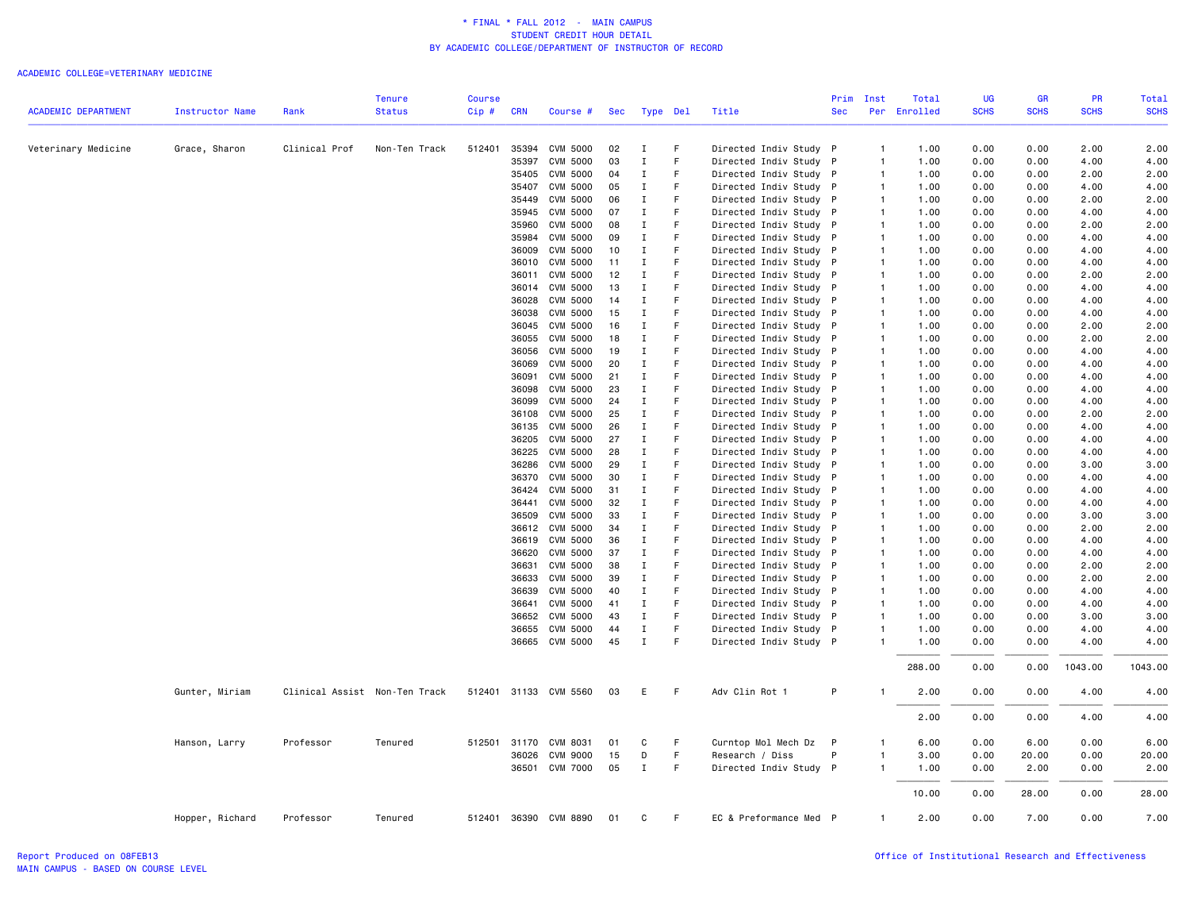|                            |                        |                               | Tenure        | <b>Course</b> |                |                                    |            |                   |          |                                                  | Prim         | Inst                             | Total        | UG           | GR           | <b>PR</b>    | Total        |
|----------------------------|------------------------|-------------------------------|---------------|---------------|----------------|------------------------------------|------------|-------------------|----------|--------------------------------------------------|--------------|----------------------------------|--------------|--------------|--------------|--------------|--------------|
| <b>ACADEMIC DEPARTMENT</b> | <b>Instructor Name</b> | Rank                          | <b>Status</b> | Cip#          | <b>CRN</b>     | Course #                           | <b>Sec</b> |                   | Type Del | Title                                            | <b>Sec</b>   |                                  | Per Enrolled | <b>SCHS</b>  | <b>SCHS</b>  | <b>SCHS</b>  | <b>SCHS</b>  |
|                            |                        |                               |               |               |                |                                    |            |                   |          |                                                  |              |                                  |              |              |              |              |              |
| Veterinary Medicine        | Grace, Sharon          | Clinical Prof                 | Non-Ten Track | 512401        |                | 35394 CVM 5000                     | 02         | $\mathbf I$       | F        | Directed Indiv Study P                           |              | $\overline{1}$                   | 1.00         | 0.00         | 0.00         | 2.00         | 2.00         |
|                            |                        |                               |               |               | 35397          | <b>CVM 5000</b>                    | 03         | $\mathbf I$       | F        | Directed Indiv Study P                           |              | $\overline{1}$                   | 1.00         | 0.00         | 0.00         | 4.00         | 4.00         |
|                            |                        |                               |               |               | 35405          | <b>CVM 5000</b>                    | 04         | I                 | F        | Directed Indiv Study P                           |              | $\overline{1}$                   | 1.00         | 0.00         | 0.00         | 2.00         | 2.00         |
|                            |                        |                               |               |               | 35407          | <b>CVM 5000</b>                    | 05         | $\mathbf I$       | F        | Directed Indiv Study P                           |              | $\overline{1}$                   | 1.00         | 0.00         | 0.00         | 4.00         | 4.00         |
|                            |                        |                               |               |               | 35449          | <b>CVM 5000</b>                    | 06         | $\mathbf I$       | F        | Directed Indiv Study P                           |              | $\overline{1}$                   | 1.00         | 0.00         | 0.00         | 2.00         | 2.00         |
|                            |                        |                               |               |               | 35945          | <b>CVM 5000</b>                    | 07         | I                 | F        | Directed Indiv Study                             | P            | $\overline{1}$                   | 1.00         | 0.00         | 0.00         | 4.00         | 4.00         |
|                            |                        |                               |               |               | 35960          | <b>CVM 5000</b>                    | 08         | I                 | F        | Directed Indiv Study P                           |              | $\overline{1}$                   | 1.00         | 0.00         | 0.00         | 2.00         | 2.00         |
|                            |                        |                               |               |               | 35984          | <b>CVM 5000</b>                    | 09         | $\mathbf I$       | F<br>F   | Directed Indiv Study P                           |              | $\overline{1}$                   | 1.00         | 0.00         | 0.00         | 4.00         | 4.00         |
|                            |                        |                               |               |               | 36009          | <b>CVM 5000</b>                    | 10         | I                 |          | Directed Indiv Study                             | $\mathsf{P}$ | $\overline{1}$                   | 1.00         | 0.00         | 0.00         | 4.00         | 4.00         |
|                            |                        |                               |               |               | 36010<br>36011 | CVM 5000                           | 11<br>12   | Ι.<br>$\mathbf I$ | F.       | Directed Indiv Study P                           |              | $\overline{1}$<br>$\overline{1}$ | 1.00<br>1.00 | 0.00<br>0.00 | 0.00<br>0.00 | 4.00<br>2.00 | 4.00<br>2.00 |
|                            |                        |                               |               |               | 36014          | <b>CVM 5000</b><br><b>CVM 5000</b> | 13         | I                 | F        | Directed Indiv Study P<br>Directed Indiv Study P |              | $\overline{1}$                   | 1.00         | 0.00         | 0.00         | 4.00         | 4.00         |
|                            |                        |                               |               |               | 36028          | <b>CVM 5000</b>                    | 14         | I                 | F        | Directed Indiv Study P                           |              | $\overline{1}$                   | 1.00         | 0.00         | 0.00         | 4.00         | 4.00         |
|                            |                        |                               |               |               | 36038          | <b>CVM 5000</b>                    | 15         | Ι.                | F        | Directed Indiv Study P                           |              | $\overline{1}$                   | 1.00         | 0.00         | 0.00         | 4.00         | 4.00         |
|                            |                        |                               |               |               | 36045          | <b>CVM 5000</b>                    | 16         | $\mathbf I$       | F        | Directed Indiv Study P                           |              | $\overline{1}$                   | 1.00         | 0.00         | 0.00         | 2.00         | 2.00         |
|                            |                        |                               |               |               | 36055          | <b>CVM 5000</b>                    | 18         | I                 | F        | Directed Indiv Study                             | P            | $\overline{1}$                   | 1.00         | 0.00         | 0.00         | 2.00         | 2.00         |
|                            |                        |                               |               |               | 36056          | CVM 5000                           | 19         | Ι                 |          | Directed Indiv Study P                           |              | $\overline{1}$                   | 1.00         | 0.00         | 0.00         | 4.00         | 4.00         |
|                            |                        |                               |               |               | 36069          | <b>CVM 5000</b>                    | 20         | $\mathbf I$       | F        | Directed Indiv Study P                           |              | $\overline{1}$                   | 1.00         | 0.00         | 0.00         | 4.00         | 4.00         |
|                            |                        |                               |               |               | 36091          | <b>CVM 5000</b>                    | 21         | Ι.                | F        | Directed Indiv Study P                           |              | $\overline{1}$                   | 1.00         | 0.00         | 0.00         | 4.00         | 4.00         |
|                            |                        |                               |               |               | 36098          | <b>CVM 5000</b>                    | 23         | $\mathbf I$       |          | Directed Indiv Study P                           |              | $\overline{1}$                   | 1.00         | 0.00         | 0.00         | 4.00         | 4.00         |
|                            |                        |                               |               |               | 36099          | <b>CVM 5000</b>                    | 24         | Ι.                | F        | Directed Indiv Study                             | P            | $\overline{1}$                   | 1.00         | 0.00         | 0.00         | 4.00         | 4.00         |
|                            |                        |                               |               |               | 36108          | <b>CVM 5000</b>                    | 25         | I                 | F        | Directed Indiv Study P                           |              | $\overline{1}$                   | 1.00         | 0.00         | 0.00         | 2.00         | 2.00         |
|                            |                        |                               |               |               | 36135          | <b>CVM 5000</b>                    | 26         | Ι.                | F        | Directed Indiv Study P                           |              | $\overline{1}$                   | 1.00         | 0.00         | 0.00         | 4.00         | 4.00         |
|                            |                        |                               |               |               | 36205          | <b>CVM 5000</b>                    | 27         | Ι.                | F        | Directed Indiv Study P                           |              | $\overline{1}$                   | 1.00         | 0.00         | 0.00         | 4.00         | 4.00         |
|                            |                        |                               |               |               | 36225          | <b>CVM 5000</b>                    | 28         | $\;$ I            | F        | Directed Indiv Study P                           |              | $\overline{1}$                   | 1.00         | 0.00         | 0.00         | 4.00         | 4.00         |
|                            |                        |                               |               |               | 36286          | <b>CVM 5000</b>                    | 29         | I                 | F        | Directed Indiv Study                             | P            | $\overline{1}$                   | 1.00         | 0.00         | 0.00         | 3.00         | 3.00         |
|                            |                        |                               |               |               | 36370          | CVM 5000                           | 30         | Ι.                |          | Directed Indiv Study P                           |              | $\overline{1}$                   | 1.00         | 0.00         | 0.00         | 4.00         | 4.00         |
|                            |                        |                               |               |               | 36424          | <b>CVM 5000</b>                    | 31         | $\mathbf I$       | F        | Directed Indiv Study P                           |              | $\overline{1}$                   | 1.00         | 0.00         | 0.00         | 4.00         | 4.00         |
|                            |                        |                               |               |               | 36441          | <b>CVM 5000</b>                    | 32         | $\mathbf I$       | F        | Directed Indiv Study P                           |              | $\overline{1}$                   | 1.00         | 0.00         | 0.00         | 4.00         | 4.00         |
|                            |                        |                               |               |               | 36509          | CVM 5000                           | 33         | I                 | F        | Directed Indiv Study P                           |              | $\overline{1}$                   | 1.00         | 0.00         | 0.00         | 3.00         | 3.00         |
|                            |                        |                               |               |               | 36612          | <b>CVM 5000</b>                    | 34         | Ι.                | F        | Directed Indiv Study P                           |              | $\overline{1}$                   | 1.00         | 0.00         | 0.00         | 2.00         | 2.00         |
|                            |                        |                               |               |               | 36619          | <b>CVM 5000</b>                    | 36         | $\mathbf I$       | F        | Directed Indiv Study P                           |              | $\overline{1}$                   | 1.00         | 0.00         | 0.00         | 4.00         | 4.00         |
|                            |                        |                               |               |               | 36620          | <b>CVM 5000</b>                    | 37         | I                 | F        | Directed Indiv Study                             | P            | $\overline{1}$                   | 1.00         | 0.00         | 0.00         | 4.00         | 4.00         |
|                            |                        |                               |               |               | 36631          | <b>CVM 5000</b>                    | 38         | Ι                 |          | Directed Indiv Study P                           |              | $\overline{1}$                   | 1.00         | 0.00         | 0.00         | 2.00         | 2.00         |
|                            |                        |                               |               |               | 36633          | <b>CVM 5000</b>                    | 39         | $\mathbf I$       | F        | Directed Indiv Study P                           |              | $\overline{1}$                   | 1.00         | 0.00         | 0.00         | 2.00         | 2.00         |
|                            |                        |                               |               |               | 36639          | <b>CVM 5000</b>                    | 40         | Ι.                | F        | Directed Indiv Study P                           |              | $\overline{1}$                   | 1.00         | 0.00         | 0.00         | 4.00         | 4.00         |
|                            |                        |                               |               |               | 36641          | <b>CVM 5000</b>                    | 41         | I                 | F        | Directed Indiv Study P                           |              | $\overline{1}$                   | 1.00         | 0.00         | 0.00         | 4.00         | 4.00         |
|                            |                        |                               |               |               | 36652          | <b>CVM 5000</b>                    | 43         | I                 | F        | Directed Indiv Study                             | P            | $\overline{1}$                   | 1.00         | 0.00         | 0.00         | 3.00         | 3.00         |
|                            |                        |                               |               |               | 36655          | <b>CVM 5000</b>                    | 44         | $\mathbf I$       | F        | Directed Indiv Study P                           |              | $\overline{1}$                   | 1.00         | 0.00         | 0.00         | 4.00         | 4.00         |
|                            |                        |                               |               |               |                | 36665 CVM 5000                     | 45         | $\mathbf I$       | F        | Directed Indiv Study P                           |              | $\overline{1}$                   | 1.00         | 0.00         | 0.00         | 4.00         | 4.00         |
|                            |                        |                               |               |               |                |                                    |            |                   |          |                                                  |              |                                  | 288.00       | 0.00         | 0.00         | 1043.00      | 1043.00      |
|                            | Gunter, Miriam         | Clinical Assist Non-Ten Track |               |               |                | 512401 31133 CVM 5560              | 03         | Е                 | F        | Adv Clin Rot 1                                   | P            | -1                               | 2.00         | 0.00         | 0.00         | 4.00         | 4.00         |
|                            |                        |                               |               |               |                |                                    |            |                   |          |                                                  |              |                                  | 2.00         | 0.00         | 0.00         | 4.00         | 4.00         |
|                            |                        |                               |               |               |                |                                    |            |                   |          |                                                  |              |                                  |              |              |              |              |              |
|                            | Hanson, Larry          | Professor                     | Tenured       |               | 512501 31170   | CVM 8031                           | 01         | C                 | F        | Curntop Mol Mech Dz                              | P            | $\mathbf{1}$                     | 6.00         | 0.00         | 6.00         | 0.00         | 6.00         |
|                            |                        |                               |               |               |                | 36026 CVM 9000                     | 15         | D                 | F.       | Research / Diss                                  | P            | $\overline{1}$                   | 3.00         | 0.00         | 20.00        | 0.00         | 20.00        |
|                            |                        |                               |               |               |                | 36501 CVM 7000                     | 05         | $\mathbf I$       | F        | Directed Indiv Study P                           |              | $\overline{1}$                   | 1.00         | 0.00         | 2.00         | 0.00         | 2.00         |
|                            |                        |                               |               |               |                |                                    |            |                   |          |                                                  |              |                                  | 10.00        | 0.00         | 28.00        | 0.00         | 28.00        |
|                            | Hopper, Richard        | Professor                     | Tenured       |               |                | 512401 36390 CVM 8890              | 01         | C                 | F.       | EC & Preformance Med P                           |              | $\overline{1}$                   | 2.00         | 0.00         | 7.00         | 0.00         | 7.00         |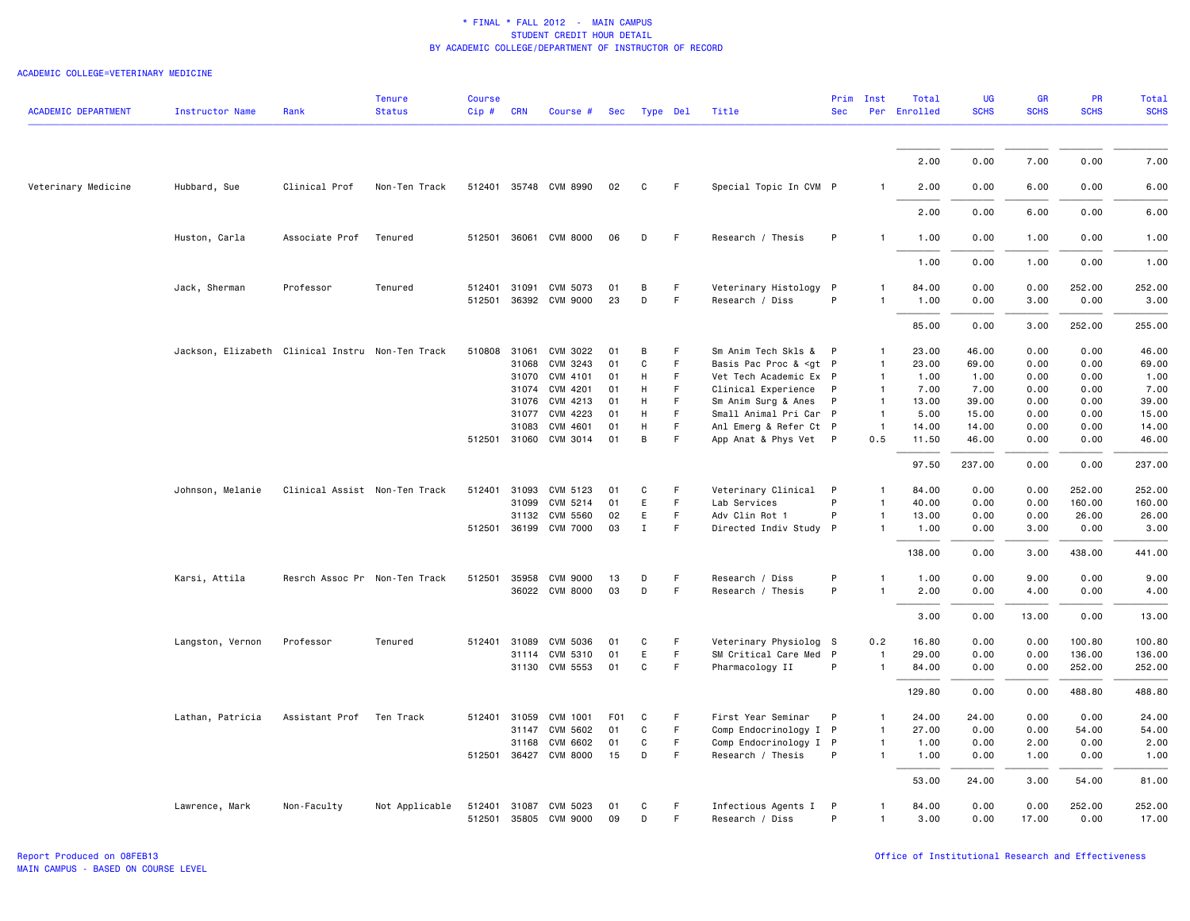| <b>ACADEMIC DEPARTMENT</b> | <b>Instructor Name</b>                           | Rank                          | <b>Tenure</b><br><b>Status</b> | <b>Course</b><br>Cip# | <b>CRN</b> | Course #                                       | Sec             | Type Del     |         | Title                                                                                                                                               | Prim<br><b>Sec</b> | Inst                         | Total<br>Per Enrolled | <b>UG</b><br><b>SCHS</b> | <b>GR</b><br><b>SCHS</b> | PR<br><b>SCHS</b> | <b>Total</b><br><b>SCHS</b> |
|----------------------------|--------------------------------------------------|-------------------------------|--------------------------------|-----------------------|------------|------------------------------------------------|-----------------|--------------|---------|-----------------------------------------------------------------------------------------------------------------------------------------------------|--------------------|------------------------------|-----------------------|--------------------------|--------------------------|-------------------|-----------------------------|
|                            |                                                  |                               |                                |                       |            |                                                |                 |              |         |                                                                                                                                                     |                    |                              |                       |                          |                          |                   |                             |
|                            |                                                  |                               |                                |                       |            |                                                |                 |              |         |                                                                                                                                                     |                    |                              | 2.00                  | 0.00                     | 7.00                     | 0.00              | 7.00                        |
| Veterinary Medicine        | Hubbard, Sue                                     | Clinical Prof                 | Non-Ten Track                  |                       |            | 512401 35748 CVM 8990                          | 02              | C            | F       | Special Topic In CVM P                                                                                                                              |                    | -1                           | 2.00                  | 0.00                     | 6.00                     | 0.00              | 6.00                        |
|                            |                                                  |                               |                                |                       |            |                                                |                 |              |         |                                                                                                                                                     |                    |                              | 2.00                  | 0.00                     | 6.00                     | 0.00              | 6.00                        |
|                            | Huston, Carla                                    | Associate Prof                | Tenured                        |                       |            | 512501 36061 CVM 8000                          | 06              | D            | F.      | Research / Thesis                                                                                                                                   | P                  | $\mathbf{1}$                 | 1.00                  | 0.00                     | 1.00                     | 0.00              | 1.00                        |
|                            |                                                  |                               |                                |                       |            |                                                |                 |              |         |                                                                                                                                                     |                    |                              | 1.00                  | 0.00                     | 1.00                     | 0.00              | 1.00                        |
|                            | Jack, Sherman                                    | Professor                     | Tenured                        | 512401 31091          |            | CVM 5073                                       | 01              | B            | F.      | Veterinary Histology P                                                                                                                              |                    | 1                            | 84.00                 | 0.00                     | 0.00                     | 252.00            | 252.00                      |
|                            |                                                  |                               |                                |                       |            | 512501 36392 CVM 9000                          | 23              | D            | F       | Research / Diss                                                                                                                                     | P                  | 1                            | 1.00                  | 0.00                     | 3.00                     | 0.00              | 3.00                        |
|                            |                                                  |                               |                                |                       |            |                                                |                 |              |         |                                                                                                                                                     |                    |                              | 85.00                 | 0.00                     | 3.00                     | 252.00            | 255.00                      |
|                            | Jackson, Elizabeth Clinical Instru Non-Ten Track |                               |                                | 510808 31061          |            | CVM 3022                                       | 01              | B            | F       | Sm Anim Tech Skls & P                                                                                                                               |                    | 1                            | 23.00                 | 46.00                    | 0.00                     | 0.00              | 46.00                       |
|                            |                                                  |                               |                                |                       | 31068      | CVM 3243                                       | 01              | C            | F       | Basis Pac Proc & <gt p<="" td=""><td></td><td><math>\mathbf{1}</math></td><td>23.00</td><td>69.00</td><td>0.00</td><td>0.00</td><td>69.00</td></gt> |                    | $\mathbf{1}$                 | 23.00                 | 69.00                    | 0.00                     | 0.00              | 69.00                       |
|                            |                                                  |                               |                                |                       |            | 31070 CVM 4101                                 | 01              | H            | F       | Vet Tech Academic Ex P                                                                                                                              |                    | $\mathbf{1}$                 | 1.00                  | 1.00                     | 0.00                     | 0.00              | 1.00                        |
|                            |                                                  |                               |                                |                       | 31074      | CVM 4201                                       | 01              | H            | F       | Clinical Experience                                                                                                                                 | P                  | $\mathbf{1}$                 | 7.00                  | 7.00                     | 0.00                     | 0.00              | 7.00                        |
|                            |                                                  |                               |                                |                       | 31076      | CVM 4213                                       | 01              | H            | F       | Sm Anim Surg & Anes                                                                                                                                 | P                  | $\overline{1}$               | 13.00                 | 39.00                    | 0.00                     | 0.00              | 39.00                       |
|                            |                                                  |                               |                                |                       | 31077      | CVM 4223                                       | 01              | H            | F.      | Small Animal Pri Car P                                                                                                                              |                    | $\overline{1}$               | 5.00                  | 15.00                    | 0.00                     | 0.00              | 15.00                       |
|                            |                                                  |                               |                                |                       | 31083      | CVM 4601                                       | 01              | H            | F       | Anl Emerg & Refer Ct P                                                                                                                              |                    | $\overline{1}$               | 14.00                 | 14.00                    | 0.00                     | 0.00              | 14.00                       |
|                            |                                                  |                               |                                |                       |            | 512501 31060 CVM 3014                          | 01              | B            | F       | App Anat & Phys Vet P                                                                                                                               |                    | 0.5                          | 11.50                 | 46.00                    | 0.00                     | 0.00              | 46.00                       |
|                            |                                                  |                               |                                |                       |            |                                                |                 |              |         |                                                                                                                                                     |                    |                              | 97.50                 | 237.00                   | 0.00                     | 0.00              | 237.00                      |
|                            | Johnson, Melanie                                 | Clinical Assist Non-Ten Track |                                | 512401                | 31093      | CVM 5123                                       | 01              | C            | F       | Veterinary Clinical                                                                                                                                 | P                  | $\mathbf{1}$                 | 84.00                 | 0.00                     | 0.00                     | 252.00            | 252.00                      |
|                            |                                                  |                               |                                |                       | 31099      | CVM 5214                                       | 01              | E            | F.      | Lab Services                                                                                                                                        | P                  | 1                            | 40.00                 | 0.00                     | 0.00                     | 160.00            | 160.00                      |
|                            |                                                  |                               |                                |                       | 31132      | CVM 5560                                       | 02              | E            | F       | Adv Clin Rot 1                                                                                                                                      | P                  | 1                            | 13.00                 | 0.00                     | 0.00                     | 26.00             | 26.00                       |
|                            |                                                  |                               |                                |                       |            | 512501 36199 CVM 7000                          | 03              | $\mathbf{I}$ | F.      | Directed Indiv Study P                                                                                                                              |                    | $\mathbf{1}$                 | 1.00                  | 0.00                     | 3.00                     | 0.00              | 3.00                        |
|                            |                                                  |                               |                                |                       |            |                                                |                 |              |         |                                                                                                                                                     |                    |                              | 138.00                | 0.00                     | 3.00                     | 438.00            | 441.00                      |
|                            | Karsi, Attila                                    | Resrch Assoc Pr Non-Ten Track |                                | 512501                |            | 35958 CVM 9000                                 | 13              | D            | F       | Research / Diss                                                                                                                                     | P                  | $\mathbf{1}$                 | 1.00                  | 0.00                     | 9.00                     | 0.00              | 9.00                        |
|                            |                                                  |                               |                                |                       |            | 36022 CVM 8000                                 | 03              | D            | F       | Research / Thesis                                                                                                                                   | P                  | $\mathbf{1}$                 | 2.00                  | 0.00                     | 4.00                     | 0.00              | 4.00                        |
|                            |                                                  |                               |                                |                       |            |                                                |                 |              |         |                                                                                                                                                     |                    |                              | 3.00                  | 0.00                     | 13.00                    | 0.00              | 13.00                       |
|                            | Langston, Vernon                                 | Professor                     | Tenured                        | 512401 31089          |            | CVM 5036                                       | 01              | C            | F.      | Veterinary Physiolog S                                                                                                                              |                    | 0.2                          | 16.80                 | 0.00                     | 0.00                     | 100.80            | 100.80                      |
|                            |                                                  |                               |                                |                       |            | 31114 CVM 5310                                 | 01              | E            | F       | SM Critical Care Med P                                                                                                                              |                    | $\mathbf{1}$                 | 29.00                 | 0.00                     | 0.00                     | 136.00            | 136.00                      |
|                            |                                                  |                               |                                |                       |            | 31130 CVM 5553                                 | 01              | C            | F       | Pharmacology II                                                                                                                                     | P                  | $\mathbf{1}$                 | 84.00                 | 0.00                     | 0.00                     | 252.00            | 252.00                      |
|                            |                                                  |                               |                                |                       |            |                                                |                 |              |         |                                                                                                                                                     |                    |                              | 129.80                | 0.00                     | 0.00                     | 488.80            | 488.80                      |
|                            | Lathan, Patricia                                 | Assistant Prof                | Ten Track                      | 512401                | 31059      | CVM 1001                                       | F <sub>01</sub> | C            | F       | First Year Seminar                                                                                                                                  | P                  | $\mathbf{1}$                 | 24.00                 | 24.00                    | 0.00                     | 0.00              | 24.00                       |
|                            |                                                  |                               |                                |                       |            | 31147 CVM 5602                                 | 01              | C            | F       | Comp Endocrinology I P                                                                                                                              |                    | $\mathbf{1}$                 | 27.00                 | 0.00                     | 0.00                     | 54.00             | 54.00                       |
|                            |                                                  |                               |                                |                       | 31168      | CVM 6602                                       | 01              | C            | F.      | Comp Endocrinology I P                                                                                                                              |                    | $\mathbf{1}$                 | 1.00                  | 0.00                     | 2.00                     | 0.00              | 2.00                        |
|                            |                                                  |                               |                                | 512501 36427          |            | <b>CVM 8000</b>                                | 15              | D            | F       | Research / Thesis                                                                                                                                   | P                  | $\mathbf{1}$                 | 1.00                  | 0.00                     | 1.00                     | 0.00              | 1.00                        |
|                            |                                                  |                               |                                |                       |            |                                                |                 |              |         |                                                                                                                                                     |                    |                              | 53.00                 | 24.00                    | 3.00                     | 54.00             | 81.00                       |
|                            | Lawrence, Mark                                   | Non-Faculty                   | Not Applicable                 |                       |            | 512401 31087 CVM 5023<br>512501 35805 CVM 9000 | 01<br>09        | C<br>D       | F.<br>F | Infectious Agents I<br>Research / Diss                                                                                                              | P<br>P             | $\mathbf{1}$<br>$\mathbf{1}$ | 84.00<br>3.00         | 0.00<br>0.00             | 0.00<br>17.00            | 252.00<br>0.00    | 252.00<br>17.00             |
|                            |                                                  |                               |                                |                       |            |                                                |                 |              |         |                                                                                                                                                     |                    |                              |                       |                          |                          |                   |                             |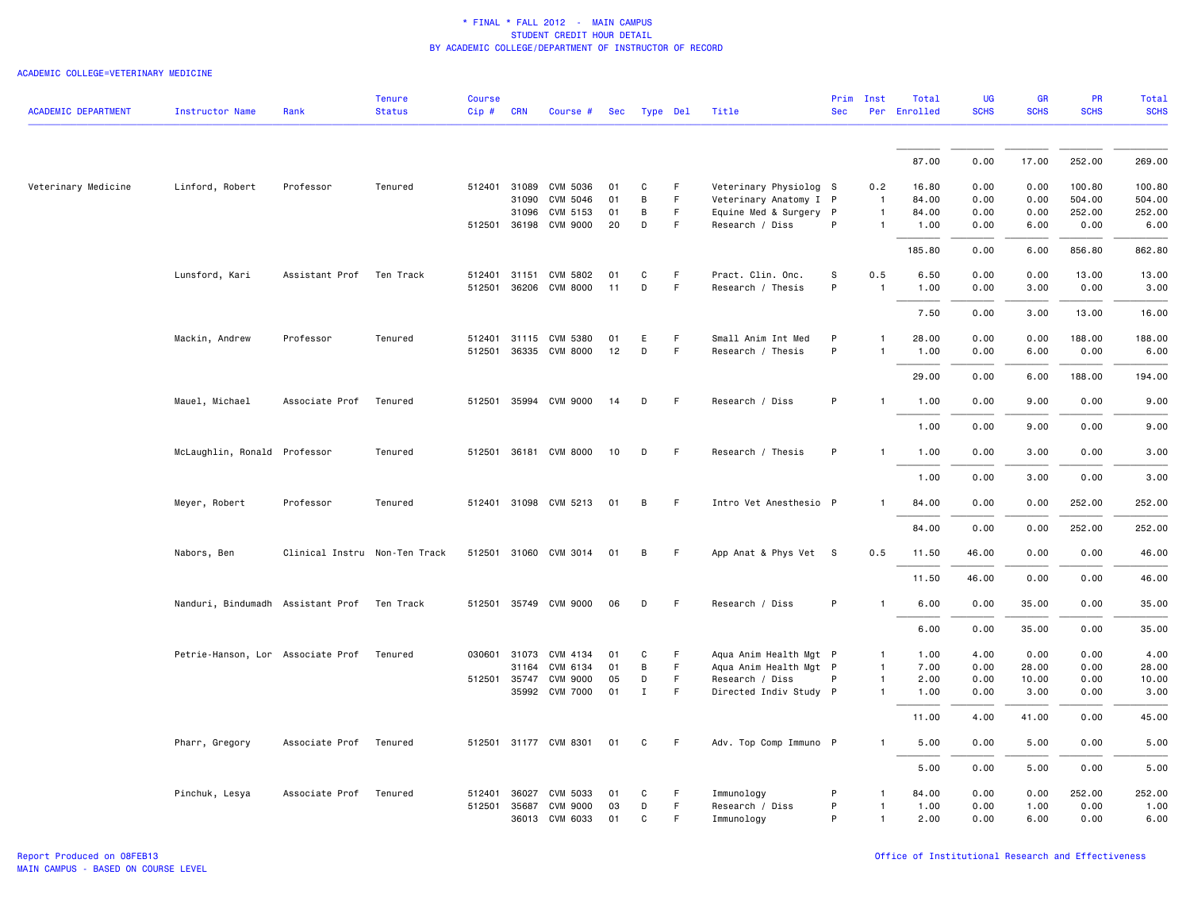| <b>ACADEMIC DEPARTMENT</b> | <b>Instructor Name</b>                      | Rank                          | <b>Tenure</b><br><b>Status</b> | <b>Course</b><br>$Cip$ # | <b>CRN</b>   | Course #              |    | Sec Type Del |    | Title                  | <b>Sec</b>  | Prim Inst      | Total<br>Per Enrolled | <b>UG</b><br><b>SCHS</b> | <b>GR</b><br><b>SCHS</b> | <b>PR</b><br><b>SCHS</b> | Total<br><b>SCHS</b> |
|----------------------------|---------------------------------------------|-------------------------------|--------------------------------|--------------------------|--------------|-----------------------|----|--------------|----|------------------------|-------------|----------------|-----------------------|--------------------------|--------------------------|--------------------------|----------------------|
|                            |                                             |                               |                                |                          |              |                       |    |              |    |                        |             |                |                       |                          |                          |                          |                      |
|                            |                                             |                               |                                |                          |              |                       |    |              |    |                        |             |                | 87.00                 | 0.00                     | 17.00                    | 252.00                   | 269.00               |
|                            |                                             |                               |                                |                          |              |                       |    |              |    |                        |             |                |                       |                          |                          |                          |                      |
| Veterinary Medicine        | Linford, Robert                             | Professor                     | Tenured                        |                          |              | 512401 31089 CVM 5036 | 01 | C            | F  | Veterinary Physiolog S |             | 0.2            | 16.80                 | 0.00                     | 0.00                     | 100.80                   | 100.80               |
|                            |                                             |                               |                                |                          | 31090        | CVM 5046              | 01 | B            | F. | Veterinary Anatomy I P |             | $\overline{1}$ | 84.00                 | 0.00                     | 0.00                     | 504.00                   | 504.00               |
|                            |                                             |                               |                                |                          | 31096        | CVM 5153              | 01 | B            | F  | Equine Med & Surgery P |             | $\mathbf{1}$   | 84.00                 | 0.00                     | 0.00                     | 252.00                   | 252.00               |
|                            |                                             |                               |                                |                          |              | 512501 36198 CVM 9000 | 20 | D            | F  | Research / Diss        | P           | $\mathbf{1}$   | 1.00                  | 0.00                     | 6.00                     | 0.00                     | 6.00                 |
|                            |                                             |                               |                                |                          |              |                       |    |              |    |                        |             |                | 185.80                | 0.00                     | 6.00                     | 856.80                   | 862.80               |
|                            | Lunsford, Kari                              | Assistant Prof                | Ten Track                      |                          | 512401 31151 | CVM 5802              | 01 | C            | F  | Pract. Clin. Onc.      | $\mathbb S$ | 0.5            | 6.50                  | 0.00                     | 0.00                     | 13.00                    | 13.00                |
|                            |                                             |                               |                                |                          |              | 512501 36206 CVM 8000 | 11 | D            | F. | Research / Thesis      | P           | $\overline{1}$ | 1.00                  | 0.00                     | 3.00                     | 0.00                     | 3.00                 |
|                            |                                             |                               |                                |                          |              |                       |    |              |    |                        |             |                | 7.50                  | 0.00                     | 3.00                     | 13.00                    | 16.00                |
|                            | Mackin, Andrew                              | Professor                     | Tenured                        |                          |              | 512401 31115 CVM 5380 | 01 | E            | F. | Small Anim Int Med     | P           | 1              | 28.00                 | 0.00                     | 0.00                     | 188.00                   | 188.00               |
|                            |                                             |                               |                                |                          |              | 512501 36335 CVM 8000 | 12 | D            | F. | Research / Thesis      | P           | $\mathbf{1}$   | 1.00                  | 0.00                     | 6.00                     | 0.00                     | 6.00                 |
|                            |                                             |                               |                                |                          |              |                       |    |              |    |                        |             |                | 29.00                 | 0.00                     | 6.00                     | 188.00                   | 194.00               |
|                            | Mauel, Michael                              | Associate Prof                | Tenured                        |                          |              | 512501 35994 CVM 9000 | 14 | D            | F. | Research / Diss        | P           | $\mathbf{1}$   | 1.00                  | 0.00                     | 9.00                     | 0.00                     | 9.00                 |
|                            |                                             |                               |                                |                          |              |                       |    |              |    |                        |             |                | 1.00                  | 0.00                     | 9.00                     | 0.00                     | 9.00                 |
|                            | McLaughlin, Ronald Professor                |                               | Tenured                        | 512501                   |              | 36181 CVM 8000        | 10 | D            | F. | Research / Thesis      | P           | $\mathbf{1}$   | 1.00                  | 0.00                     | 3.00                     | 0.00                     | 3.00                 |
|                            |                                             |                               |                                |                          |              |                       |    |              |    |                        |             |                | 1.00                  | 0.00                     | 3.00                     | 0.00                     | 3.00                 |
|                            | Meyer, Robert                               | Professor                     | Tenured                        |                          |              | 512401 31098 CVM 5213 | 01 | В            | F. | Intro Vet Anesthesio P |             |                | 84.00                 | 0.00                     | 0.00                     | 252.00                   | 252.00               |
|                            |                                             |                               |                                |                          |              |                       |    |              |    |                        |             |                | 84.00                 | 0.00                     | 0.00                     | 252.00                   | 252.00               |
|                            | Nabors, Ben                                 | Clinical Instru Non-Ten Track |                                |                          |              | 512501 31060 CVM 3014 | 01 | B            | F. | App Anat & Phys Vet S  |             | 0.5            | 11.50                 | 46.00                    | 0.00                     | 0.00                     | 46.00                |
|                            |                                             |                               |                                |                          |              |                       |    |              |    |                        |             |                | 11.50                 | 46.00                    | 0.00                     | 0.00                     | 46.00                |
|                            | Nanduri, Bindumadh Assistant Prof Ten Track |                               |                                |                          |              | 512501 35749 CVM 9000 | 06 | D            | F  | Research / Diss        | P           | $\mathbf{1}$   | 6.00                  | 0.00                     | 35.00                    | 0.00                     | 35.00                |
|                            |                                             |                               |                                |                          |              |                       |    |              |    |                        |             |                | 6.00                  | 0.00                     | 35.00                    | 0.00                     | 35.00                |
|                            | Petrie-Hanson, Lor Associate Prof Tenured   |                               |                                |                          |              | 030601 31073 CVM 4134 | 01 | C            | F. | Aqua Anim Health Mgt P |             | 1              | 1.00                  | 4.00                     | 0.00                     | 0.00                     | 4.00                 |
|                            |                                             |                               |                                |                          | 31164        | CVM 6134              | 01 | B            | F. | Aqua Anim Health Mgt P |             | $\mathbf{1}$   | 7.00                  | 0.00                     | 28.00                    | 0.00                     | 28.00                |
|                            |                                             |                               |                                |                          | 512501 35747 | <b>CVM 9000</b>       | 05 | D            | F  | Research / Diss        | P           | 1              | 2.00                  | 0.00                     | 10.00                    | 0.00                     | 10.00                |
|                            |                                             |                               |                                |                          |              | 35992 CVM 7000        | 01 | $\;$ I       | F. | Directed Indiv Study P |             | $\mathbf{1}$   | 1.00                  | 0.00                     | 3.00                     | 0.00                     | 3.00                 |
|                            |                                             |                               |                                |                          |              |                       |    |              |    |                        |             |                | 11.00                 | 4.00                     | 41.00                    | 0.00                     | 45.00                |
|                            | Pharr, Gregory                              | Associate Prof Tenured        |                                |                          |              | 512501 31177 CVM 8301 | 01 | C            | F. | Adv. Top Comp Immuno P |             | 1              | 5.00                  | 0.00                     | 5.00                     | 0.00                     | 5.00                 |
|                            |                                             |                               |                                |                          |              |                       |    |              |    |                        |             |                | 5.00                  | 0.00                     | 5.00                     | 0.00                     | 5.00                 |
|                            | Pinchuk, Lesya                              | Associate Prof                | Tenured                        | 512401                   | 36027        | CVM 5033              | 01 | C            | F  | Immunology             | P           | $\mathbf{1}$   | 84.00                 | 0.00                     | 0.00                     | 252.00                   | 252.00               |
|                            |                                             |                               |                                |                          | 512501 35687 | <b>CVM 9000</b>       | 03 | D            | F. | Research / Diss        | P           | $\mathbf{1}$   | 1.00                  | 0.00                     | 1.00                     | 0.00                     | 1.00                 |
|                            |                                             |                               |                                |                          |              | 36013 CVM 6033        | 01 | C            | F  | Immunology             | P           | 1              | 2.00                  | 0.00                     | 6.00                     | 0.00                     | 6.00                 |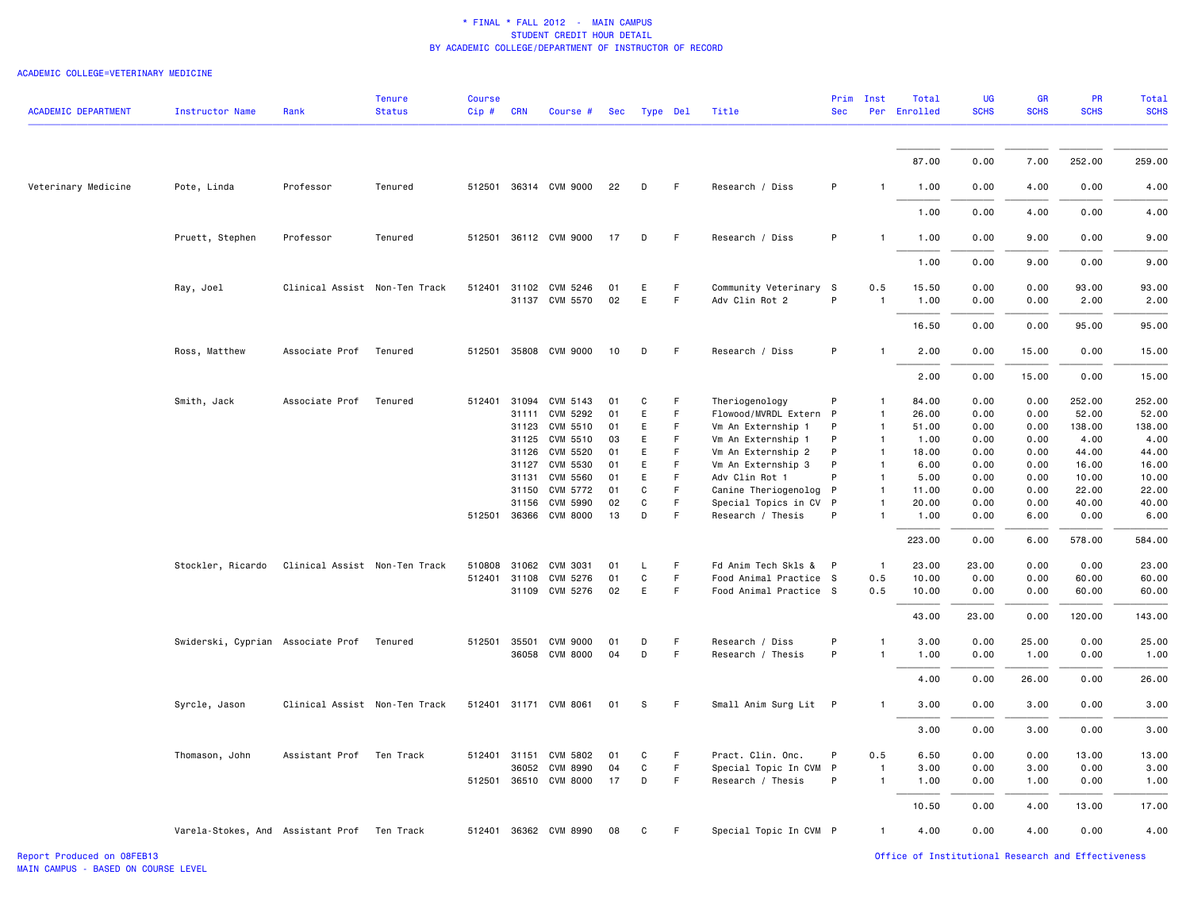#### ACADEMIC COLLEGE=VETERINARY MEDICINE

| <b>ACADEMIC DEPARTMENT</b> | <b>Instructor Name</b>                      | Rank                          | <b>Tenure</b><br><b>Status</b> | <b>Course</b><br>$Cip$ # | <b>CRN</b>   | Course #                                | Sec      | Type Del |         | Title                                    | Prim<br><b>Sec</b> | Inst           | Total<br>Per Enrolled | UG<br><b>SCHS</b> | GR<br><b>SCHS</b> | PR<br><b>SCHS</b> | <b>Total</b><br><b>SCHS</b> |
|----------------------------|---------------------------------------------|-------------------------------|--------------------------------|--------------------------|--------------|-----------------------------------------|----------|----------|---------|------------------------------------------|--------------------|----------------|-----------------------|-------------------|-------------------|-------------------|-----------------------------|
|                            |                                             |                               |                                |                          |              |                                         |          |          |         |                                          |                    |                | 87.00                 | 0.00              | 7.00              | 252.00            | 259.00                      |
|                            |                                             |                               |                                |                          |              |                                         |          |          |         |                                          |                    |                |                       |                   |                   |                   |                             |
| Veterinary Medicine        | Pote, Linda                                 | Professor                     | Tenured                        |                          |              | 512501 36314 CVM 9000                   | 22       | D        | F.      | Research / Diss                          | P                  | $\mathbf{1}$   | 1.00                  | 0.00              | 4.00              | 0.00              | 4.00                        |
|                            |                                             |                               |                                |                          |              |                                         |          |          |         |                                          |                    |                | 1.00                  | 0.00              | 4.00              | 0.00              | 4.00                        |
|                            | Pruett, Stephen                             | Professor                     | Tenured                        |                          |              | 512501 36112 CVM 9000                   | 17       | D        | F.      | Research / Diss                          | P                  | $\mathbf{1}$   | 1.00                  | 0.00              | 9.00              | 0.00              | 9.00                        |
|                            |                                             |                               |                                |                          |              |                                         |          |          |         |                                          |                    |                | 1.00                  | 0.00              | 9.00              | 0.00              | 9.00                        |
|                            | Ray, Joel                                   | Clinical Assist Non-Ten Track |                                |                          |              | 512401 31102 CVM 5246<br>31137 CVM 5570 | 01<br>02 | E<br>E   | F<br>F  | Community Veterinary S<br>Adv Clin Rot 2 | P                  | 0.5            | 15.50<br>1.00         | 0.00<br>0.00      | 0.00<br>0.00      | 93.00<br>2.00     | 93.00<br>2.00               |
|                            |                                             |                               |                                |                          |              |                                         |          |          |         |                                          |                    |                | 16.50                 | 0.00              | 0.00              | 95.00             | 95.00                       |
|                            | Ross, Matthew                               | Associate Prof                | Tenured                        |                          |              | 512501 35808 CVM 9000                   | 10       | D        | -F      | Research / Diss                          | P                  |                | 2.00                  | 0.00              | 15.00             | 0.00              | 15.00                       |
|                            |                                             |                               |                                |                          |              |                                         |          |          |         |                                          |                    |                | 2.00                  | 0.00              | 15.00             | 0.00              | 15.00                       |
|                            | Smith, Jack                                 | Associate Prof                | Tenured                        |                          | 512401 31094 | CVM 5143                                | 01       | C        | F.<br>F | Theriogenology                           | P                  | $\mathbf{1}$   | 84.00                 | 0.00              | 0.00              | 252.00            | 252.00                      |
|                            |                                             |                               |                                |                          | 31111        | CVM 5292                                | 01       | E        |         | Flowood/MVRDL Extern P                   |                    | $\mathbf{1}$   | 26.00                 | 0.00              | 0.00              | 52.00             | 52.00                       |
|                            |                                             |                               |                                |                          | 31123        | CVM 5510                                | 01       | E        | F.      | Vm An Externship 1                       | P                  | $\mathbf{1}$   | 51.00                 | 0.00              | 0.00              | 138.00            | 138.00                      |
|                            |                                             |                               |                                |                          | 31125        | CVM 5510                                | 03       | E        | F.      | Vm An Externship 1                       | P                  | $\overline{1}$ | 1.00                  | 0.00              | 0.00              | 4.00              | 4.00                        |
|                            |                                             |                               |                                |                          | 31126        | CVM 5520                                | 01       | E        | F.      | Vm An Externship 2                       | P                  | $\mathbf{1}$   | 18.00                 | 0.00              | 0.00              | 44.00             | 44.00                       |
|                            |                                             |                               |                                |                          | 31127        | CVM 5530                                | 01       | E        | F       | Vm An Externship 3                       | P                  | $\mathbf{1}$   | 6.00                  | 0.00              | 0.00              | 16.00             | 16.00                       |
|                            |                                             |                               |                                |                          | 31131        | CVM 5560                                | 01       | E        | F.      | Adv Clin Rot 1                           | P                  | $\mathbf{1}$   | 5.00                  | 0.00              | 0.00              | 10.00             | 10.00                       |
|                            |                                             |                               |                                |                          | 31150        | CVM 5772                                | 01       | C        | F.      | Canine Theriogenolog                     | P                  | $\overline{1}$ | 11.00                 | 0.00              | 0.00              | 22.00             | 22.00                       |
|                            |                                             |                               |                                |                          | 31156        | CVM 5990                                | 02       | C        | F.      | Special Topics in CV P                   |                    | -1             | 20.00                 | 0.00              | 0.00              | 40.00             | 40.00                       |
|                            |                                             |                               |                                |                          |              | 512501 36366 CVM 8000                   | 13       | D        | F       | Research / Thesis                        | P                  | $\mathbf{1}$   | 1.00                  | 0.00              | 6.00              | 0.00              | 6.00                        |
|                            |                                             |                               |                                |                          |              |                                         |          |          |         |                                          |                    |                | 223.00                | 0.00              | 6.00              | 578.00            | 584.00                      |
|                            | Stockler, Ricardo                           | Clinical Assist Non-Ten Track |                                |                          | 510808 31062 | CVM 3031                                | 01       | L.       | F       | Fd Anim Tech Skls & P                    |                    | $\overline{1}$ | 23.00                 | 23.00             | 0.00              | 0.00              | 23.00                       |
|                            |                                             |                               |                                |                          |              | 512401 31108 CVM 5276                   | 01       | C        | F       | Food Animal Practice S                   |                    | 0.5            | 10.00                 | 0.00              | 0.00              | 60.00             | 60.00                       |
|                            |                                             |                               |                                |                          |              | 31109 CVM 5276                          | 02       | E        | F.      | Food Animal Practice S                   |                    | 0.5            | 10.00                 | 0.00              | 0.00              | 60.00             | 60.00                       |
|                            |                                             |                               |                                |                          |              |                                         |          |          |         |                                          |                    |                | 43.00                 | 23.00             | 0.00              | 120.00            | 143.00                      |
|                            | Swiderski, Cyprian Associate Prof           |                               | Tenured                        | 512501                   | 35501        | <b>CVM 9000</b>                         | 01       | D        | F.      | Research / Diss                          | P                  | 1              | 3.00                  | 0.00              | 25.00             | 0.00              | 25.00                       |
|                            |                                             |                               |                                |                          |              | 36058 CVM 8000                          | 04       | D        | F       | Research / Thesis                        | P                  | $\mathbf{1}$   | 1.00                  | 0.00              | 1.00              | 0.00              | 1.00                        |
|                            |                                             |                               |                                |                          |              |                                         |          |          |         |                                          |                    |                | 4.00                  | 0.00              | 26.00             | 0.00              | 26.00                       |
|                            | Syrcle, Jason                               | Clinical Assist Non-Ten Track |                                |                          |              | 512401 31171 CVM 8061                   | 01       | -S       | F.      | Small Anim Surg Lit P                    |                    | 1              | 3.00                  | 0.00              | 3.00              | 0.00              | 3.00                        |
|                            |                                             |                               |                                |                          |              |                                         |          |          |         |                                          |                    |                | 3.00                  | 0.00              | 3.00              | 0.00              | 3.00                        |
|                            | Thomason, John                              | Assistant Prof                | Ten Track                      |                          | 512401 31151 | CVM 5802                                | 01       | C        | F.      | Pract. Clin. Onc.                        | P                  | 0.5            | 6.50                  | 0.00              | 0.00              | 13.00             | 13.00                       |
|                            |                                             |                               |                                |                          | 36052        | <b>CVM 8990</b>                         | 04       | C        | F       | Special Topic In CVM P                   |                    | $\mathbf{1}$   | 3.00                  | 0.00              | 3.00              | 0.00              | 3.00                        |
|                            |                                             |                               |                                |                          |              | 512501 36510 CVM 8000                   | 17       | D        | F       | Research / Thesis                        | P                  | $\overline{1}$ | 1.00                  | 0.00              | 1.00              | 0.00              | 1.00                        |
|                            |                                             |                               |                                |                          |              |                                         |          |          |         |                                          |                    |                | 10.50                 | 0.00              | 4.00              | 13.00             | 17.00                       |
|                            | Varela-Stokes, And Assistant Prof Ten Track |                               |                                |                          |              | 512401 36362 CVM 8990                   | 08       | C        | F.      | Special Topic In CVM P                   |                    | $\mathbf{1}$   | 4.00                  | 0.00              | 4.00              | 0.00              | 4.00                        |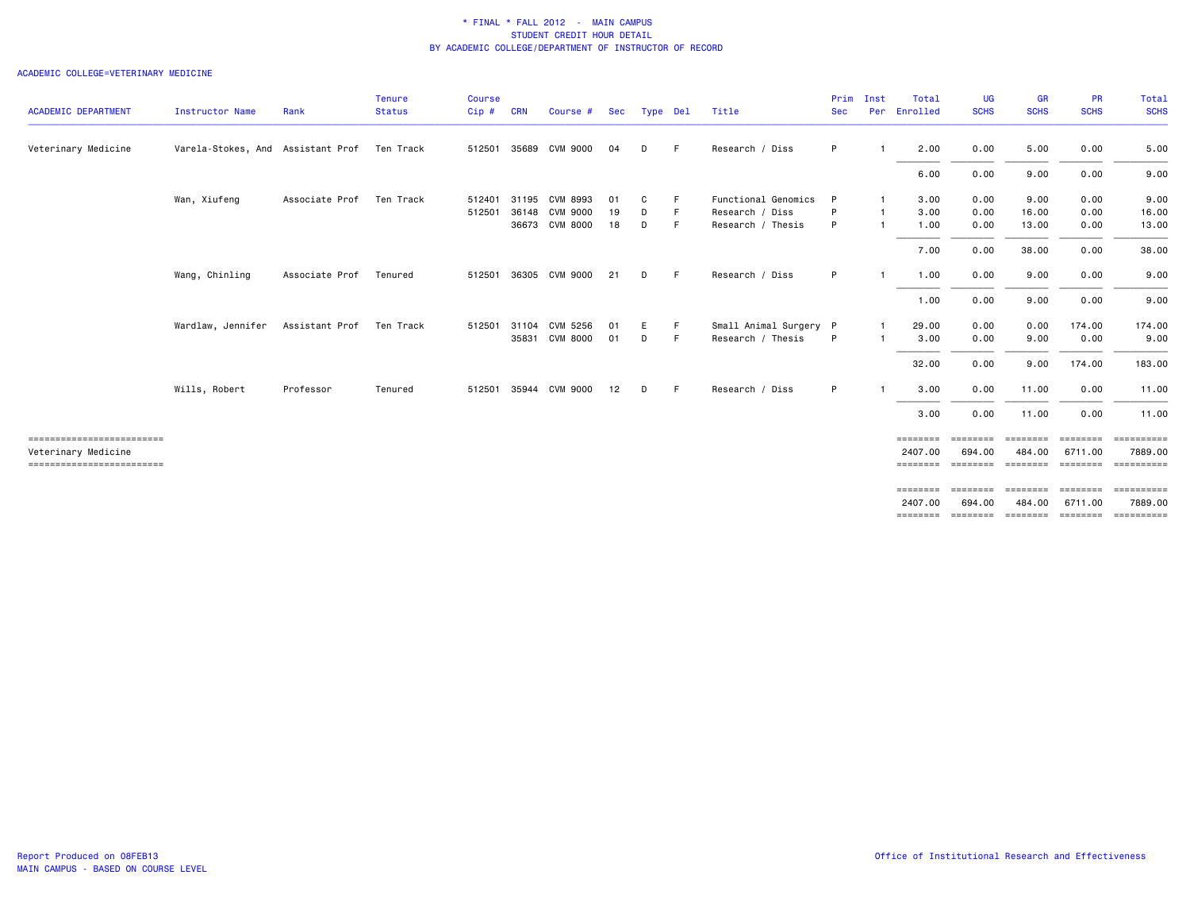|                                                  |                                             |                | <b>Tenure</b> | Course |            |                       |    |              |    |                        |            | Prim Inst | Total               | <b>UG</b>   | GR                 | <b>PR</b>   | Total               |
|--------------------------------------------------|---------------------------------------------|----------------|---------------|--------|------------|-----------------------|----|--------------|----|------------------------|------------|-----------|---------------------|-------------|--------------------|-------------|---------------------|
| <b>ACADEMIC DEPARTMENT</b>                       | Instructor Name                             | Rank           | <b>Status</b> | Cip#   | <b>CRN</b> | Course #              |    | Sec Type Del |    | Title                  | <b>Sec</b> | Per       | Enrolled            | <b>SCHS</b> | <b>SCHS</b>        | <b>SCHS</b> | <b>SCHS</b>         |
| Veterinary Medicine                              | Varela-Stokes, And Assistant Prof Ten Track |                |               |        |            | 512501 35689 CVM 9000 | 04 | D            | F. | Research / Diss        | P          |           | 2.00                | 0.00        | 5.00               | 0.00        | 5.00                |
|                                                  |                                             |                |               |        |            |                       |    |              |    |                        |            |           | 6.00                | 0.00        | 9.00               | 0.00        | 9.00                |
|                                                  | Wan, Xiufeng                                | Associate Prof | Ten Track     | 512401 | 31195      | CVM 8993              | 01 | C            | F  | Functional Genomics    | P          |           | 3.00                | 0.00        | 9.00               | 0.00        | 9.00                |
|                                                  |                                             |                |               | 512501 | 36148      | <b>CVM 9000</b>       | 19 | D            | F. | Research / Diss        | P          |           | 3.00                | 0.00        | 16.00              | 0.00        | 16.00               |
|                                                  |                                             |                |               |        |            | 36673 CVM 8000        | 18 | D            | F. | Research / Thesis      | P          |           | 1.00                | 0.00        | 13.00              | 0.00        | 13.00               |
|                                                  |                                             |                |               |        |            |                       |    |              |    |                        |            |           | 7.00                | 0.00        | 38.00              | 0.00        | 38.00               |
|                                                  | Wang, Chinling                              | Associate Prof | Tenured       |        |            | 512501 36305 CVM 9000 | 21 | D            | F. | Research / Diss        | P          |           | 1.00                | 0.00        | 9.00               | 0.00        | 9.00                |
|                                                  |                                             |                |               |        |            |                       |    |              |    |                        |            |           | 1.00                | 0.00        | 9.00               | 0.00        | 9.00                |
|                                                  | Wardlaw, Jennifer                           | Assistant Prof | Ten Track     | 512501 | 31104      | CVM 5256              | 01 | E.           | F. | Small Animal Surgery P |            |           | 29.00               | 0.00        | 0.00               | 174.00      | 174.00              |
|                                                  |                                             |                |               |        |            | 35831 CVM 8000        | 01 | D            | F. | Research / Thesis      | P          |           | 3.00                | 0.00        | 9.00               | 0.00        | 9.00                |
|                                                  |                                             |                |               |        |            |                       |    |              |    |                        |            |           | 32.00               | 0.00        | 9.00               | 174.00      | 183.00              |
|                                                  | Wills, Robert                               | Professor      | Tenured       |        |            | 512501 35944 CVM 9000 | 12 | D            | F  | Research / Diss        | P          |           | 3.00                | 0.00        | 11.00              | 0.00        | 11.00               |
|                                                  |                                             |                |               |        |            |                       |    |              |    |                        |            |           | 3.00                | 0.00        | 11.00              | 0.00        | 11.00               |
| ------------------------                         |                                             |                |               |        |            |                       |    |              |    |                        |            |           | ========            | ========    | ========           | ========    | ==========          |
| Veterinary Medicine<br>------------------------- |                                             |                |               |        |            |                       |    |              |    |                        |            |           | 2407.00<br>======== | 694.00      | 484.00             | 6711.00     | 7889.00             |
|                                                  |                                             |                |               |        |            |                       |    |              |    |                        |            |           | ========            |             | ================== |             | =================== |
|                                                  |                                             |                |               |        |            |                       |    |              |    |                        |            |           | 2407.00<br>======== | 694,00      | 484.00             | 6711.00     | 7889.00             |
|                                                  |                                             |                |               |        |            |                       |    |              |    |                        |            |           |                     |             |                    |             |                     |